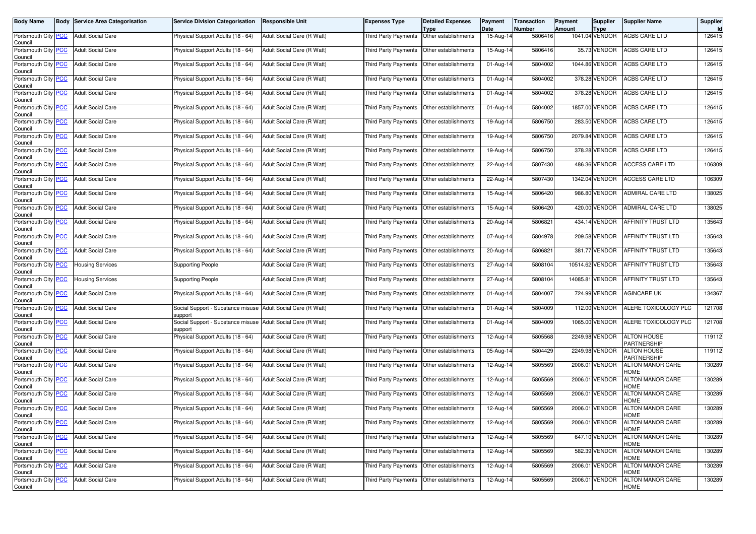| <b>Body Name</b>                       | <b>Body Service Area Categorisation</b> | <b>Service Division Categorisation</b>                                  | <b>Responsible Unit</b>    | <b>Expenses Type</b>                        | <b>Detailed Expenses</b>     | Payment<br>Date | <b>Transaction</b><br><b>Number</b> | Payment<br><b>Amount</b> | Supplier                      | <b>Supplier Name</b>              | <b>Supplier</b> |
|----------------------------------------|-----------------------------------------|-------------------------------------------------------------------------|----------------------------|---------------------------------------------|------------------------------|-----------------|-------------------------------------|--------------------------|-------------------------------|-----------------------------------|-----------------|
| Portsmouth City PCC<br>Council         | <b>Adult Social Care</b>                | Physical Support Adults (18 - 64)                                       | Adult Social Care (R Watt) | Third Party Payments                        | Type<br>Other establishments | 15-Aug-14       | 5806416                             |                          | <b>Type</b><br>1041.04 VENDOR | <b>ACBS CARE LTD</b>              | 126415          |
| Portsmouth City PCC<br>Council         | <b>Adult Social Care</b>                | Physical Support Adults (18 - 64)                                       | Adult Social Care (R Watt) | Third Party Payments                        | Other establishments         | 15-Aug-14       | 5806416                             |                          | 35.73 VENDOR                  | <b>ACBS CARE LTD</b>              | 126415          |
| Portsmouth City PCC<br>Council         | <b>Adult Social Care</b>                | Physical Support Adults (18 - 64)                                       | Adult Social Care (R Watt) | Third Party Payments                        | Other establishments         | 01-Aug-14       | 5804002                             |                          | 1044.86 VENDOR                | <b>ACBS CARE LTD</b>              | 126415          |
| Portsmouth City PCC<br>Council         | <b>Adult Social Care</b>                | Physical Support Adults (18 - 64)                                       | Adult Social Care (R Watt) | Third Party Payments                        | Other establishments         | 01-Aug-14       | 5804002                             |                          | 378.28 VENDOR                 | <b>ACBS CARE LTD</b>              | 126415          |
| Portsmouth City PCC<br>Council         | <b>Adult Social Care</b>                | Physical Support Adults (18 - 64)                                       | Adult Social Care (R Watt) | Third Party Payments                        | Other establishments         | 01-Aug-14       | 5804002                             |                          | 378.28 VENDOR                 | <b>ACBS CARE LTD</b>              | 126415          |
| Portsmouth City PCC<br>Council         | <b>Adult Social Care</b>                | Physical Support Adults (18 - 64)                                       | Adult Social Care (R Watt) | Third Party Payments                        | Other establishments         | 01-Aug-14       | 5804002                             |                          | 1857.00 VENDOR                | ACBS CARE LTD                     | 126415          |
| Portsmouth City PCC<br>Council         | <b>Adult Social Care</b>                | Physical Support Adults (18 - 64)                                       | Adult Social Care (R Watt) | Third Party Payments                        | Other establishments         | 19-Aug-14       | 5806750                             |                          | 283.50 VENDOR                 | <b>ACBS CARE LTD</b>              | 126415          |
| Portsmouth City PCC<br>Council         | <b>Adult Social Care</b>                | Physical Support Adults (18 - 64)                                       | Adult Social Care (R Watt) | Third Party Payments                        | Other establishments         | 19-Aug-14       | 5806750                             |                          | 2079.84 VENDOR                | <b>ACBS CARE LTD</b>              | 126415          |
| Portsmouth City PCC<br>Council         | <b>Adult Social Care</b>                | Physical Support Adults (18 - 64)                                       | Adult Social Care (R Watt) | Third Party Payments                        | Other establishments         | 19-Aug-14       | 5806750                             |                          | 378.28 VENDOR                 | ACBS CARE LTD                     | 126415          |
| Portsmouth City PCC<br>Council         | <b>Adult Social Care</b>                | Physical Support Adults (18 - 64)                                       | Adult Social Care (R Watt) | Third Party Payments                        | Other establishments         | 22-Aug-14       | 5807430                             |                          | 486.36 VENDOR                 | <b>ACCESS CARE LTD</b>            | 106309          |
| Portsmouth City PCC<br>Council         | <b>Adult Social Care</b>                | Physical Support Adults (18 - 64)                                       | Adult Social Care (R Watt) | Third Party Payments                        | Other establishments         | 22-Aug-14       | 5807430                             |                          | 1342.04 VENDOR                | <b>ACCESS CARE LTD</b>            | 106309          |
| Portsmouth City PCC<br>Council         | <b>Adult Social Care</b>                | Physical Support Adults (18 - 64)                                       | Adult Social Care (R Watt) | Third Party Payments                        | Other establishments         | $15-Aug-14$     | 5806420                             |                          | 986.80 VENDOR                 | ADMIRAL CARE LTD                  | 138025          |
| Portsmouth City PCC<br>Council         | <b>Adult Social Care</b>                | Physical Support Adults (18 - 64)                                       | Adult Social Care (R Watt) | Third Party Payments                        | Other establishments         | 15-Aug-14       | 5806420                             |                          | 420.00 VENDOR                 | <b>ADMIRAL CARE LTD</b>           | 138025          |
| Portsmouth City PCC<br>Council         | <b>Adult Social Care</b>                | Physical Support Adults (18 - 64)                                       | Adult Social Care (R Watt) | Third Party Payments                        | Other establishments         | 20-Aug-14       | 5806821                             |                          | 434.14 VENDOR                 | <b>AFFINITY TRUST LTD</b>         | 135643          |
| Portsmouth City PCC<br>Council         | <b>Adult Social Care</b>                | Physical Support Adults (18 - 64)                                       | Adult Social Care (R Watt) | Third Party Payments                        | Other establishments         | 07-Aug-14       | 5804978                             |                          | 209.58 VENDOR                 | AFFINITY TRUST LTD                | 135643          |
| Portsmouth City PCC<br>Council         | <b>Adult Social Care</b>                | Physical Support Adults (18 - 64)                                       | Adult Social Care (R Watt) | Third Party Payments                        | Other establishments         | 20-Aug-14       | 5806821                             |                          | 381.77 VENDOR                 | AFFINITY TRUST LTD                | 135643          |
| Portsmouth City PCC<br>Council         | <b>Housing Services</b>                 | <b>Supporting People</b>                                                | Adult Social Care (R Watt) | Third Party Payments                        | Other establishments         | 27-Aug-14       | 5808104                             |                          | 10514.62 VENDOR               | <b>AFFINITY TRUST LTD</b>         | 135643          |
| Portsmouth City PCC<br>Council         | <b>Housing Services</b>                 | <b>Supporting People</b>                                                | Adult Social Care (R Watt) | Third Party Payments                        | Other establishments         | 27-Aug-14       | 5808104                             |                          | 14085.81 VENDOR               | AFFINITY TRUST LTD                | 135643          |
| Portsmouth City PCC<br>Council         | <b>Adult Social Care</b>                | Physical Support Adults (18 - 64)                                       | Adult Social Care (R Watt) | Third Party Payments                        | Other establishments         | 01-Aug-14       | 5804007                             |                          | 724.99 VENDOR                 | <b>AGINCARE UK</b>                | 134367          |
| Portsmouth City PCC<br>Council         | <b>Adult Social Care</b>                | Social Support - Substance misuse Adult Social Care (R Watt)<br>support |                            | Third Party Payments                        | Other establishments         | 01-Aug-14       | 5804009                             |                          | 112.00 VENDOR                 | ALERE TOXICOLOGY PLC              | 121708          |
| Portsmouth City PCC<br>Council         | <b>Adult Social Care</b>                | Social Support - Substance misuse<br>support                            | Adult Social Care (R Watt) | Third Party Payments                        | Other establishments         | 01-Aug-14       | 5804009                             |                          | 1065.00 VENDOR                | ALERE TOXICOLOGY PLC              | 121708          |
| Portsmouth City <b>PCC</b><br>Council  | <b>Adult Social Care</b>                | Physical Support Adults (18 - 64)                                       | Adult Social Care (R Watt) | Third Party Payments                        | Other establishments         | 12-Aug-14       | 5805568                             |                          | 2249.98 VENDOR                | <b>ALTON HOUSE</b><br>PARTNERSHIP | 119112          |
| Portsmouth City PCC<br>Council         | <b>Adult Social Care</b>                | Physical Support Adults (18 - 64)                                       | Adult Social Care (R Watt) | Third Party Payments                        | Other establishments         | 05-Aug-14       | 5804429                             |                          | 2249.98 VENDOR                | ALTON HOUSE<br>PARTNERSHIP        | 119112          |
| Portsmouth City PCC<br>Council         | <b>Adult Social Care</b>                | Physical Support Adults (18 - 64)                                       | Adult Social Care (R Watt) | Third Party Payments                        | Other establishments         | 12-Aug-14       | 5805569                             |                          | 2006.01 VENDOR                | <b>ALTON MANOR CARE</b><br>HOME   | 130289          |
| Portsmouth City <b>PCC</b><br>Council  | <b>Adult Social Care</b>                | Physical Support Adults (18 - 64)                                       | Adult Social Care (R Watt) | Third Party Payments                        | Other establishments         | 12-Aug-14       | 5805569                             |                          | 2006.01 VENDOR                | <b>ALTON MANOR CARE</b><br>HOME   | 130289          |
| Portsmouth City PCC<br>Council         | <b>Adult Social Care</b>                | Physical Support Adults (18 - 64)                                       | Adult Social Care (R Watt) | Third Party Payments                        | Other establishments         | 12-Aug-14       | 5805569                             |                          | 2006.01 VENDOR                | ALTON MANOR CARE<br>HOME          | 130289          |
| Portsmouth City PCC<br>Council         | <b>Adult Social Care</b>                | Physical Support Adults (18 - 64)                                       | Adult Social Care (R Watt) | Third Party Payments                        | Other establishments         | 12-Aug-14       | 5805569                             |                          | 2006.01 VENDOR                | <b>ALTON MANOR CARE</b><br>HOME   | 130289          |
| Portsmouth City_ <u>PCC</u><br>Council | <b>Adult Social Care</b>                | Physical Support Adults (18 - 64)                                       | Adult Social Care (R Watt) | Third Party Payments   Other establishments |                              | 12-Aug-14       | 5805569                             |                          | 2006.01 VENDOR                | ALTON MANOR CARE<br><b>HOME</b>   | 130289          |
| Portsmouth City PCC<br>Council         | <b>Adult Social Care</b>                | Physical Support Adults (18 - 64)                                       | Adult Social Care (R Watt) | Third Party Payments                        | Other establishments         | 12-Aug-14       | 5805569                             |                          | 647.10 VENDOR                 | <b>ALTON MANOR CARE</b><br>HOME   | 130289          |
| Portsmouth City PCC<br>Council         | <b>Adult Social Care</b>                | Physical Support Adults (18 - 64)                                       | Adult Social Care (R Watt) | Third Party Payments                        | Other establishments         | 12-Aug-14       | 5805569                             |                          | 582.39 VENDOR                 | ALTON MANOR CARE<br>HOME          | 130289          |
| Portsmouth City PCC<br>Council         | <b>Adult Social Care</b>                | Physical Support Adults (18 - 64)                                       | Adult Social Care (R Watt) | Third Party Payments Other establishments   |                              | 12-Aug-14       | 5805569                             |                          | 2006.01 VENDOR                | <b>ALTON MANOR CARE</b><br>HOME   | 130289          |
| Portsmouth City PCC<br>Council         | <b>Adult Social Care</b>                | Physical Support Adults (18 - 64)                                       | Adult Social Care (R Watt) | Third Party Payments                        | Other establishments         | 12-Aug-14       | 5805569                             |                          | 2006.01 VENDOR                | ALTON MANOR CARE<br>HOME          | 130289          |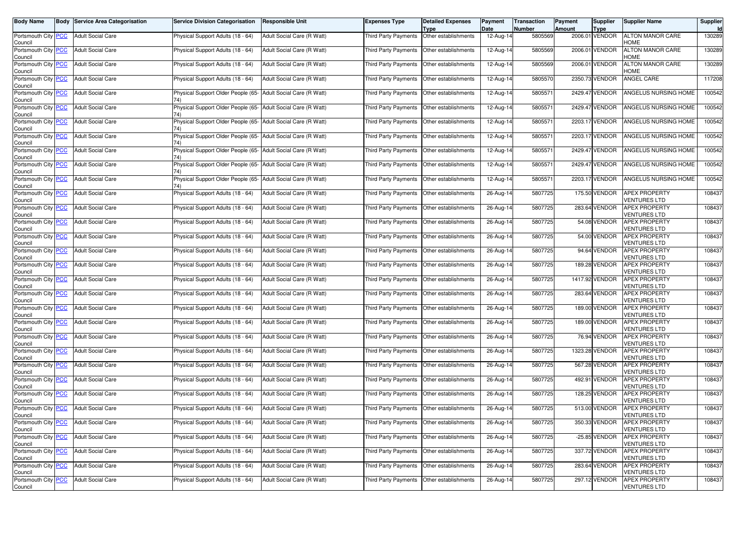| <b>Body Name</b>                      | <b>Body Service Area Categorisation</b> | <b>Service Division Categorisation</b>                               | <b>Responsible Unit</b>    | Expenses Type                               | <b>Detailed Expenses</b><br>Type | Payment<br>Date | Transaction<br>Number | Payment<br><b>Amount</b> | <b>Supplier</b><br><b>Type</b> | <b>Supplier Name</b>                        | <b>Supplier</b><br><b>Id</b> |
|---------------------------------------|-----------------------------------------|----------------------------------------------------------------------|----------------------------|---------------------------------------------|----------------------------------|-----------------|-----------------------|--------------------------|--------------------------------|---------------------------------------------|------------------------------|
| Portsmouth City PCC<br>Council        | <b>Adult Social Care</b>                | Physical Support Adults (18 - 64)                                    | Adult Social Care (R Watt) | <b>Third Party Payments</b>                 | Other establishments             | 12-Aug-14       | 5805569               |                          | 2006.01 VENDOR                 | <b>ALTON MANOR CARE</b><br>HOME             | 130289                       |
| Portsmouth City PCC<br>Council        | <b>Adult Social Care</b>                | Physical Support Adults (18 - 64)                                    | Adult Social Care (R Watt) | Third Party Payments                        | Other establishments             | 12-Aug-14       | 5805569               |                          | 2006.01 VENDOR                 | <b>ALTON MANOR CARE</b><br><b>HOME</b>      | 130289                       |
| Portsmouth City <b>PCC</b><br>Council | <b>Adult Social Care</b>                | Physical Support Adults (18 - 64)                                    | Adult Social Care (R Watt) | Third Party Payments                        | Other establishments             | 12-Aug-14       | 5805569               |                          | 2006.01 VENDOR                 | <b>ALTON MANOR CARE</b><br><b>HOME</b>      | 130289                       |
| Portsmouth City PCC<br>Council        | <b>Adult Social Care</b>                | Physical Support Adults (18 - 64)                                    | Adult Social Care (R Watt) | Third Party Payments                        | Other establishments             | 12-Aug-14       | 5805570               |                          | 2350.73 VENDOR                 | ANGEL CARE                                  | 117208                       |
| Portsmouth City PCC<br>Council        | <b>Adult Social Care</b>                | Physical Support Older People (65- Adult Social Care (R Watt)<br>74) |                            | Third Party Payments                        | Other establishments             | 12-Aug-14       | 5805571               |                          | 2429.47 VENDOR                 | ANGELUS NURSING HOME                        | 100542                       |
| Portsmouth City PCC<br>Council        | <b>Adult Social Care</b>                | Physical Support Older People (65- Adult Social Care (R Watt)        |                            | Third Party Payments                        | Other establishments             | 12-Aug-14       | 580557                |                          | 2429.47 VENDOR                 | ANGELUS NURSING HOME                        | 100542                       |
| Portsmouth City PCC<br>Council        | <b>Adult Social Care</b>                | Physical Support Older People (65- Adult Social Care (R Watt)<br>741 |                            | Third Party Payments                        | Other establishments             | 12-Aug-14       | 580557                |                          | 2203.17 VENDOR                 | ANGELUS NURSING HOME                        | 100542                       |
| Portsmouth City PCC<br>Council        | <b>Adult Social Care</b>                | Physical Support Older People (65- Adult Social Care (R Watt)<br>74) |                            | Third Party Payments                        | Other establishments             | 12-Aug-14       | 5805571               |                          | 2203.17 VENDOR                 | ANGELUS NURSING HOME                        | 100542                       |
| Portsmouth City PCC<br>Council        | <b>Adult Social Care</b>                | Physical Support Older People (65- Adult Social Care (R Watt)        |                            | Third Party Payments                        | Other establishments             | 12-Aug-14       | 5805571               |                          | 2429.47 VENDOR                 | ANGELUS NURSING HOME                        | 100542                       |
| Portsmouth City PCC<br>Council        | <b>Adult Social Care</b>                | Physical Support Older People (65- Adult Social Care (R Watt)        |                            | Third Party Payments                        | Other establishments             | 12-Aug-14       | 580557                |                          | 2429.47 VENDOR                 | ANGELUS NURSING HOME                        | 100542                       |
| Portsmouth City PCC<br>Council        | <b>Adult Social Care</b>                | Physical Support Older People (65- Adult Social Care (R Watt)        |                            | Third Party Payments                        | Other establishments             | 12-Aug-14       | 5805571               |                          | 2203.17 VENDOR                 | ANGELUS NURSING HOME                        | 100542                       |
| Portsmouth City PCC<br>Council        | <b>Adult Social Care</b>                | Physical Support Adults (18 - 64)                                    | Adult Social Care (R Watt) | Third Party Payments                        | Other establishments             | 26-Aug-14       | 5807725               |                          | 175.50 VENDOR                  | <b>APEX PROPERTY</b><br><b>VENTURES LTD</b> | 108437                       |
| Portsmouth City PCC<br>Council        | <b>Adult Social Care</b>                | Physical Support Adults (18 - 64)                                    | Adult Social Care (R Watt) | Third Party Payments                        | Other establishments             | 26-Aug-14       | 5807725               |                          | 283.64 VENDOR                  | <b>APEX PROPERTY</b><br>VENTURES LTD        | 108437                       |
| Portsmouth City PCC<br>Council        | <b>Adult Social Care</b>                | Physical Support Adults (18 - 64)                                    | Adult Social Care (R Watt) | <b>Third Party Payments</b>                 | Other establishments             | 26-Aug-14       | 5807725               |                          | 54.08 VENDOR                   | <b>APEX PROPERTY</b><br><b>VENTURES LTD</b> | 108437                       |
| Portsmouth City PCC<br>Council        | <b>Adult Social Care</b>                | Physical Support Adults (18 - 64)                                    | Adult Social Care (R Watt) | Third Party Payments                        | Other establishments             | 26-Aug-14       | 5807725               |                          | 54.00 VENDOR                   | <b>APEX PROPERTY</b><br>VENTURES LTD        | 108437                       |
| Portsmouth City PCC<br>Council        | <b>Adult Social Care</b>                | Physical Support Adults (18 - 64)                                    | Adult Social Care (R Watt) | Third Party Payments                        | Other establishments             | 26-Aug-14       | 5807725               |                          | 94.64 VENDOR                   | <b>APEX PROPERTY</b><br>VENTURES LTD        | 108437                       |
| Portsmouth City PCC<br>Council        | <b>Adult Social Care</b>                | Physical Support Adults (18 - 64)                                    | Adult Social Care (R Watt) | Third Party Payments                        | Other establishments             | 26-Aug-14       | 5807725               |                          | 189.28 VENDOR                  | <b>APEX PROPERTY</b><br>VENTURES LTD        | 108437                       |
| Portsmouth City PCC<br>Council        | <b>Adult Social Care</b>                | Physical Support Adults (18 - 64)                                    | Adult Social Care (R Watt) | Third Party Payments                        | Other establishments             | 26-Aug-14       | 5807725               |                          | 1417.92 VENDOR                 | <b>APEX PROPERTY</b><br>VENTURES LTD        | 108437                       |
| Portsmouth City PCC<br>Council        | <b>Adult Social Care</b>                | Physical Support Adults (18 - 64)                                    | Adult Social Care (R Watt) | Third Party Payments                        | Other establishments             | 26-Aug-14       | 5807725               |                          | 283.64 VENDOR                  | <b>APEX PROPERTY</b><br><b>VENTURES LTD</b> | 108437                       |
| Portsmouth City PCC<br>Council        | <b>Adult Social Care</b>                | Physical Support Adults (18 - 64)                                    | Adult Social Care (R Watt) | Third Party Payments                        | Other establishments             | 26-Aug-14       | 5807725               |                          | 189.00 VENDOR                  | <b>APEX PROPERTY</b><br>VENTURES LTD        | 108437                       |
| Portsmouth City PCC<br>Council        | <b>Adult Social Care</b>                | Physical Support Adults (18 - 64)                                    | Adult Social Care (R Watt) | Third Party Payments                        | Other establishments             | 26-Aug-14       | 5807725               |                          | 189.00 VENDOR                  | <b>APEX PROPERTY</b><br>VENTURES LTD        | 108437                       |
| Portsmouth City PCC<br>Council        | <b>Adult Social Care</b>                | Physical Support Adults (18 - 64)                                    | Adult Social Care (R Watt) | Third Party Payments                        | Other establishments             | 26-Aug-14       | 5807725               |                          | 76.94 VENDOR                   | <b>APEX PROPERTY</b><br><b>VENTURES LTD</b> | 108437                       |
| Portsmouth City PCC<br>Council        | <b>Adult Social Care</b>                | Physical Support Adults (18 - 64)                                    | Adult Social Care (R Watt) | Third Party Payments                        | Other establishments             | 26-Aug-14       | 5807725               |                          | 1323.28 VENDOR                 | <b>APEX PROPERTY</b><br>/ENTURES LTD        | 108437                       |
| Portsmouth City PCC<br>Council        | <b>Adult Social Care</b>                | Physical Support Adults (18 - 64)                                    | Adult Social Care (R Watt) | Third Party Payments                        | Other establishments             | 26-Aug-14       | 5807725               |                          | 567.28 VENDOR                  | <b>APEX PROPERTY</b><br>VENTURES LTD        | 108437                       |
| Portsmouth City PCC<br>Council        | <b>Adult Social Care</b>                | Physical Support Adults (18 - 64)                                    | Adult Social Care (R Watt) | Third Party Payments                        | Other establishments             | 26-Aug-14       | 5807725               |                          | 492.91 VENDOR                  | <b>APEX PROPERTY</b><br><b>VENTURES LTD</b> | 108437                       |
| Portsmouth City PCC<br>Council        | <b>Adult Social Care</b>                | Physical Support Adults (18 - 64)                                    | Adult Social Care (R Watt) | <b>Third Party Payments</b>                 | Other establishments             | 26-Aug-14       | 5807725               |                          | 128.25 VENDOR                  | <b>APEX PROPERTY</b><br>/ENTURES LTD        | 108437                       |
| Portsmouth City PCC<br>Council        | <b>Adult Social Care</b>                | Physical Support Adults (18 - 64)                                    | Adult Social Care (R Watt) | Third Party Payments                        | Other establishments             | 26-Aug-14       | 5807725               |                          | 513.00 VENDOR                  | <b>APEX PROPERTY</b><br>VENTURES LTD        | 108437                       |
| Portsmouth City PCC<br>Council        | <b>Adult Social Care</b>                | Physical Support Adults (18 - 64)                                    | Adult Social Care (R Watt) | Third Party Payments   Other establishments |                                  | 26-Aug-14       | 5807725               |                          | 350.33 VENDOR                  | <b>APEX PROPERTY</b><br><b>VENTURES LTD</b> | 108437                       |
| Portsmouth City PCC<br>Council        | <b>Adult Social Care</b>                | Physical Support Adults (18 - 64)                                    | Adult Social Care (R Watt) | Third Party Payments Other establishments   |                                  | 26-Aug-14       | 5807725               |                          | -25.85 VENDOR                  | <b>APEX PROPERTY</b><br><b>VENTURES LTD</b> | 108437                       |
| Portsmouth City PCC<br>Council        | <b>Adult Social Care</b>                | Physical Support Adults (18 - 64)                                    | Adult Social Care (R Watt) | Third Party Payments                        | Other establishments             | 26-Aug-14       | 5807725               |                          | 337.72 VENDOR                  | <b>APEX PROPERTY</b><br><b>VENTURES LTD</b> | 108437                       |
| Portsmouth City PCC<br>Council        | <b>Adult Social Care</b>                | Physical Support Adults (18 - 64)                                    | Adult Social Care (R Watt) | Third Party Payments Other establishments   |                                  | 26-Aug-14       | 5807725               |                          | 283.64 VENDOR                  | <b>APEX PROPERTY</b><br><b>VENTURES LTD</b> | 108437                       |
| Portsmouth City PCC<br>Council        | <b>Adult Social Care</b>                | Physical Support Adults (18 - 64)                                    | Adult Social Care (R Watt) | Third Party Payments Other establishments   |                                  | 26-Aug-14       | 5807725               |                          | 297.12 VENDOR                  | <b>APEX PROPERTY</b><br><b>VENTURES LTD</b> | 108437                       |
|                                       |                                         |                                                                      |                            |                                             |                                  |                 |                       |                          |                                |                                             |                              |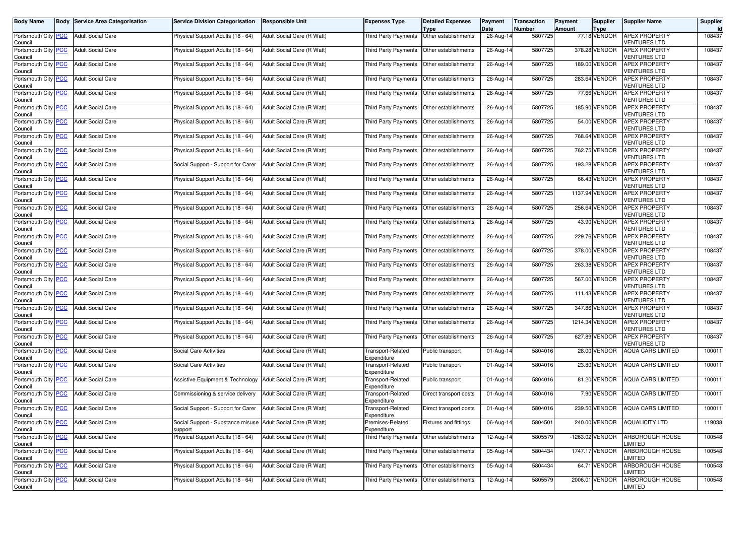| <b>Body Name</b>                      | <b>Body Service Area Categorisation</b> | <b>Service Division Categorisation</b>                                    | <b>Responsible Unit</b>    | Expenses Type                           | <b>Detailed Expenses</b><br>Type          | Payment<br>Date         | <b>Transaction</b><br><b>Number</b> | Payment<br><b>Amount</b> | <b>Supplier</b><br><b>Type</b> | <b>Supplier Name</b>                        | Supplier<br>Id |
|---------------------------------------|-----------------------------------------|---------------------------------------------------------------------------|----------------------------|-----------------------------------------|-------------------------------------------|-------------------------|-------------------------------------|--------------------------|--------------------------------|---------------------------------------------|----------------|
| Portsmouth City <b>PCC</b><br>Council | <b>Adult Social Care</b>                | Physical Support Adults (18 - 64)                                         | Adult Social Care (R Watt) | <b>Third Party Payments</b>             | Other establishments                      | 26-Aug-14               | 5807725                             |                          | 77.18 VENDOR                   | <b>APEX PROPERTY</b><br><b>VENTURES LTD</b> | 108437         |
| Portsmouth City PCC<br>Council        | <b>Adult Social Care</b>                | Physical Support Adults (18 - 64)                                         | Adult Social Care (R Watt) | <b>Third Party Payments</b>             | Other establishments                      | 26-Aug-14               | 5807725                             |                          | 378.28 VENDOR                  | <b>APEX PROPERTY</b><br>VENTURES LTD        | 108437         |
| Portsmouth City PCC<br>Council        | <b>Adult Social Care</b>                | Physical Support Adults (18 - 64)                                         | Adult Social Care (R Watt) | Third Party Payments                    | Other establishments                      | 26-Aug-14               | 5807725                             |                          | 189.00 VENDOR                  | <b>APEX PROPERTY</b><br>VENTURES LTD        | 108437         |
| Portsmouth City PCC<br>Council        | <b>Adult Social Care</b>                | Physical Support Adults (18 - 64)                                         | Adult Social Care (R Watt) | <b>Third Party Payments</b>             | Other establishments                      | 26-Aug-14               | 5807725                             |                          | 283.64 VENDOR                  | <b>APEX PROPERTY</b><br><b>VENTURES LTD</b> | 108437         |
| Portsmouth City PCC<br>Council        | <b>Adult Social Care</b>                | Physical Support Adults (18 - 64)                                         | Adult Social Care (R Watt) | Third Party Payments                    | Other establishments                      | 26-Aug-14               | 5807725                             |                          | 77.66 VENDOR                   | <b>APEX PROPERTY</b><br>VENTURES LTD        | 108437         |
| Portsmouth City PCC<br>Council        | <b>Adult Social Care</b>                | Physical Support Adults (18 - 64)                                         | Adult Social Care (R Watt) | Third Party Payments                    | Other establishments                      | 26-Aug-14               | 5807725                             |                          | 185.90 VENDOR                  | <b>APEX PROPERTY</b><br><b>VENTURES LTD</b> | 108437         |
| Portsmouth City PCC<br>Council        | <b>Adult Social Care</b>                | Physical Support Adults (18 - 64)                                         | Adult Social Care (R Watt) | Third Party Payments                    | Other establishments                      | 26-Aug-14               | 5807725                             |                          | 54.00 VENDOR                   | <b>APEX PROPERTY</b><br><b>VENTURES LTD</b> | 108437         |
| Portsmouth City PCC<br>Council        | <b>Adult Social Care</b>                | Physical Support Adults (18 - 64)                                         | Adult Social Care (R Watt) | Third Party Payments                    | Other establishments                      | 26-Aug-14               | 5807725                             |                          | 768.64 VENDOR                  | <b>APEX PROPERTY</b><br>VENTURES LTD        | 108437         |
| Portsmouth City PCC<br>Council        | <b>Adult Social Care</b>                | Physical Support Adults (18 - 64)                                         | Adult Social Care (R Watt) | Third Party Payments                    | Other establishments                      | 26-Aug-14               | 5807725                             |                          | 762.75 VENDOR                  | <b>APEX PROPERTY</b><br>VENTURES LTD        | 108437         |
| Portsmouth City PCC<br>Council        | <b>Adult Social Care</b>                | Social Support - Support for Carer                                        | Adult Social Care (R Watt) | Third Party Payments                    | Other establishments                      | 26-Aug-14               | 5807725                             |                          | 193.28 VENDOR                  | <b>APEX PROPERTY</b><br><b>VENTURES LTD</b> | 108437         |
| Portsmouth City PCC<br>Council        | <b>Adult Social Care</b>                | Physical Support Adults (18 - 64)                                         | Adult Social Care (R Watt) | Third Party Payments                    | Other establishments                      | 26-Aug-14               | 5807725                             |                          | 66.43 VENDOR                   | <b>APEX PROPERTY</b><br><b>/ENTURES LTD</b> | 108437         |
| Portsmouth City PCC<br>Council        | <b>Adult Social Care</b>                | Physical Support Adults (18 - 64)                                         | Adult Social Care (R Watt) | Third Party Payments                    | Other establishments                      | 26-Aug-14               | 5807725                             |                          | 1137.94 VENDOR                 | <b>APEX PROPERTY</b><br>VENTURES LTD        | 108437         |
| Portsmouth City PCC<br>Council        | <b>Adult Social Care</b>                | Physical Support Adults (18 - 64)                                         | Adult Social Care (R Watt) | Third Party Payments                    | Other establishments                      | 26-Aug-14               | 5807725                             |                          | 256.64 VENDOR                  | <b>APEX PROPERTY</b><br><b>VENTURES LTD</b> | 108437         |
| Portsmouth City PCC<br>Council        | <b>Adult Social Care</b>                | Physical Support Adults (18 - 64)                                         | Adult Social Care (R Watt) | Third Party Payments                    | Other establishments                      | 26-Aug-14               | 5807725                             |                          | 43.90 VENDOR                   | <b>APEX PROPERTY</b><br><b>/ENTURES LTD</b> | 108437         |
| Portsmouth City PCC<br>Council        | <b>Adult Social Care</b>                | Physical Support Adults (18 - 64)                                         | Adult Social Care (R Watt) | Third Party Payments                    | Other establishments                      | 26-Aug-14               | 5807725                             |                          | 229.76 VENDOR                  | <b>APEX PROPERTY</b><br>VENTURES LTD        | 108437         |
| Portsmouth City PCC<br>Council        | <b>Adult Social Care</b>                | Physical Support Adults (18 - 64)                                         | Adult Social Care (R Watt) | Third Party Payments                    | Other establishments                      | 26-Aug-14               | 5807725                             |                          | 378.00 VENDOR                  | <b>APEX PROPERTY</b><br><b>VENTURES LTD</b> | 108437         |
| Portsmouth City PCC<br>Council        | <b>Adult Social Care</b>                | Physical Support Adults (18 - 64)                                         | Adult Social Care (R Watt) | Third Party Payments                    | Other establishments                      | 26-Aug-14               | 5807725                             |                          | 263.38 VENDOR                  | <b>APEX PROPERTY</b><br><b>VENTURES LTD</b> | 108437         |
| Portsmouth City PCC<br>Council        | <b>Adult Social Care</b>                | Physical Support Adults (18 - 64)                                         | Adult Social Care (R Watt) | Third Party Payments                    | Other establishments                      | $26$ -Aug-14            | 5807725                             |                          | 567.00 VENDOR                  | <b>APEX PROPERTY</b><br>VENTURES LTD        | 108437         |
| Portsmouth City PCC<br>Council        | <b>Adult Social Care</b>                | Physical Support Adults (18 - 64)                                         | Adult Social Care (R Watt) | Third Party Payments                    | Other establishments                      | 26-Aug-14               | 5807725                             |                          | 111.43 VENDOR                  | <b>APEX PROPERTY</b><br><b>VENTURES LTD</b> | 108437         |
| Portsmouth City PCC<br>Council        | <b>Adult Social Care</b>                | Physical Support Adults (18 - 64)                                         | Adult Social Care (R Watt) | Third Party Payments                    | Other establishments                      | 26-Aug-14               | 5807725                             |                          | 347.86 VENDOR                  | <b>APEX PROPERTY</b><br>/ENTURES LTD        | 108437         |
| Portsmouth City PCC<br>Council        | <b>Adult Social Care</b>                | Physical Support Adults (18 - 64)                                         | Adult Social Care (R Watt) | Third Party Payments                    | Other establishments                      | 26-Aug-14               | 5807725                             |                          | 1214.34 VENDOR                 | <b>APEX PROPERTY</b><br>/ENTURES LTD        | 108437         |
| Portsmouth City PCC<br>Council        | <b>Adult Social Care</b>                | Physical Support Adults (18 - 64)                                         | Adult Social Care (R Watt) | Third Party Payments                    | Other establishments                      | 26-Aug-14               | 5807725                             |                          | 627.89 VENDOR                  | <b>APEX PROPERTY</b><br><b>VENTURES LTD</b> | 108437         |
| Portsmouth City PCC<br>Council        | <b>Adult Social Care</b>                | Social Care Activities                                                    | Adult Social Care (R Watt) | <b>Transport-Related</b><br>Expenditure | Public transport                          | 01-Aug-14               | 5804016                             |                          | 28.00 VENDOR                   | <b>AQUA CARS LIMITED</b>                    | 100011         |
| Portsmouth City PCC<br>Council        | <b>Adult Social Care</b>                | Social Care Activities                                                    | Adult Social Care (R Watt) | Transport-Related<br>Expenditure        | Public transport                          | $\overline{0}$ 1-Aug-14 | 5804016                             |                          | 23.80 VENDOR                   | <b>AQUA CARS LIMITED</b>                    | 100011         |
| Portsmouth City PCC<br>Council        | <b>Adult Social Care</b>                | <b>Assistive Equipment &amp; Technology</b>                               | Adult Social Care (R Watt) | <b>Transport-Related</b><br>Expenditure | Public transport                          | 01-Aug-14               | 5804016                             |                          | 81.20 VENDOR                   | <b>AQUA CARS LIMITED</b>                    | 100011         |
| Portsmouth City PCC<br>Council        | <b>Adult Social Care</b>                | Commissioning & service delivery                                          | Adult Social Care (R Watt) | Transport-Related<br>Expenditure        | Direct transport costs                    | 01-Aug-14               | 5804016                             |                          | 7.90 VENDOR                    | <b>AQUA CARS LIMITED</b>                    | 100011         |
| Portsmouth City PCC<br>Council        | <b>Adult Social Care</b>                | Social Support - Support for Carer                                        | Adult Social Care (R Watt) | Transport-Related<br>Expenditure        | Direct transport costs                    | 01-Aug-14               | 5804016                             |                          | 239.50 VENDOR                  | <b>AQUA CARS LIMITED</b>                    | 100011         |
| Portsmouth City   PCC<br>Council      | <b>Adult Social Care</b>                | Social Support - Substance misuse   Adult Social Care (H Watt)<br>support |                            | Premises-Related<br>Expenditure         | <b>Fixtures and fittings</b>              | 06-Aug-14               | 5804501                             |                          | 240.00 VENDOR                  | <b>AQUALICITY LTD</b>                       | 119038         |
| Portsmouth City PCC<br>Council        | <b>Adult Social Care</b>                | Physical Support Adults (18 - 64)                                         | Adult Social Care (R Watt) |                                         | Third Party Payments Other establishments | 12-Aug-14               | 5805579                             |                          | -1263.02 VENDOR                | ARBOROUGH HOUSE<br><b>IMITED</b>            | 100548         |
| Portsmouth City PCC<br>Council        | <b>Adult Social Care</b>                | Physical Support Adults (18 - 64)                                         | Adult Social Care (R Watt) |                                         | Third Party Payments Other establishments | 05-Aug-14               | 5804434                             |                          | 1747.17 VENDOR                 | ARBOROUGH HOUSE<br>LIMITED                  | 100548         |
| Portsmouth City PCC<br>Council        | <b>Adult Social Care</b>                | Physical Support Adults (18 - 64)                                         | Adult Social Care (R Watt) |                                         | Third Party Payments Other establishments | 05-Aug-14               | 5804434                             |                          | 64.71 VENDOR                   | ARBOROUGH HOUSE<br>IMITED.                  | 100548         |
| Portsmouth City PCC<br>Council        | <b>Adult Social Care</b>                | Physical Support Adults (18 - 64)                                         | Adult Social Care (R Watt) | Third Party Payments                    | Other establishments                      | 12-Aug-14               | 5805579                             |                          | 2006.01 VENDOR                 | ARBOROUGH HOUSE<br>LIMITED                  | 100548         |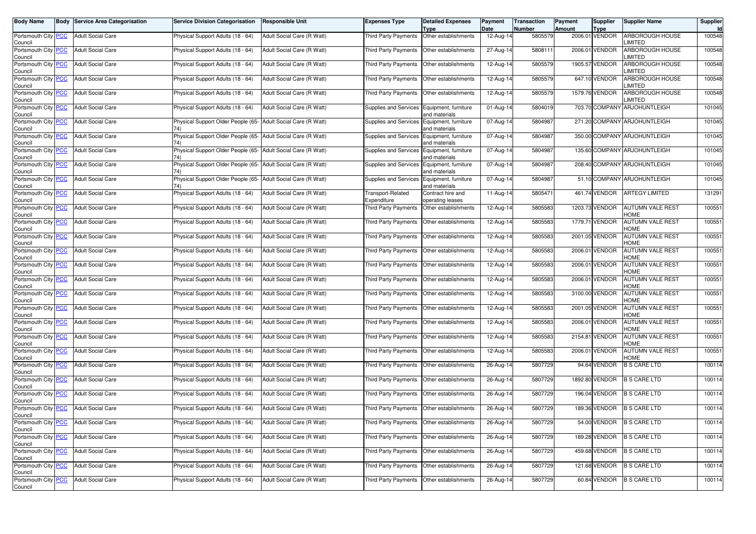| <b>Body Name</b>                            | <b>Body Service Area Categorisation</b> | <b>Service Division Categorisation</b>                               | <b>Responsible Unit</b>    | <b>Expenses Type</b>                        | <b>Detailed Expenses</b><br>Type      | Payment<br>Date | Transaction<br>Number | Payment<br><b>Amount</b> | <b>Supplier</b><br>Type | <b>Supplier Name</b>                    | Supplier<br>Id |
|---------------------------------------------|-----------------------------------------|----------------------------------------------------------------------|----------------------------|---------------------------------------------|---------------------------------------|-----------------|-----------------------|--------------------------|-------------------------|-----------------------------------------|----------------|
| Portsmouth City PCC<br>Council              | <b>Adult Social Care</b>                | Physical Support Adults (18 - 64)                                    | Adult Social Care (R Watt) | Third Party Payments                        | Other establishments                  | 12-Aug-14       | 5805579               |                          | 2006.01 VENDOR          | ARBOROUGH HOUSE<br><b>LIMITED</b>       | 100548         |
| Portsmouth City PCC<br>Council              | <b>Adult Social Care</b>                | Physical Support Adults (18 - 64)                                    | Adult Social Care (R Watt) | Third Party Payments                        | Other establishments                  | 27-Aug-14       | 5808111               |                          | 2006.01 VENDOR          | ARBOROUGH HOUSE<br><b>IMITED</b>        | 100548         |
| Portsmouth City <b>PCC</b><br>Council       | <b>Adult Social Care</b>                | Physical Support Adults (18 - 64)                                    | Adult Social Care (R Watt) | Third Party Payments                        | Other establishments                  | 12-Aug-14       | 5805579               |                          | 1905.57 VENDOR          | <b>ARBOROUGH HOUSE</b><br><b>IMITED</b> | 100548         |
| Portsmouth City <mark>PCC</mark><br>Council | <b>Adult Social Care</b>                | Physical Support Adults (18 - 64)                                    | Adult Social Care (R Watt) | Third Party Payments                        | Other establishments                  | 12-Aug-14       | 5805579               |                          | 647.10 VENDOR           | <b>ARBOROUGH HOUSE</b><br><b>IMITED</b> | 100548         |
| Portsmouth City PCC<br>Council              | <b>Adult Social Care</b>                | Physical Support Adults (18 - 64)                                    | Adult Social Care (R Watt) | Third Party Payments                        | Other establishments                  | 12-Aug-14       | 5805579               |                          | 1579.76 VENDOR          | ARBOROUGH HOUSE<br><b>IMITED</b>        | 100548         |
| Portsmouth City PCC<br>Council              | <b>Adult Social Care</b>                | Physical Support Adults (18 - 64)                                    | Adult Social Care (R Watt) | Supplies and Services                       | Equipment, furniture<br>and materials | 01-Aug-14       | 5804019               |                          |                         | 703.70 COMPANY ARJOHUNTLEIGH            | 101045         |
| Portsmouth City PCC<br>Council              | <b>Adult Social Care</b>                | Physical Support Older People (65- Adult Social Care (R Watt)<br>74) |                            | Supplies and Services                       | Equipment, furniture<br>and materials | 07-Aug-14       | 5804987               |                          |                         | 271.20 COMPANY ARJOHUNTLEIGH            | 101045         |
| Portsmouth City PCC<br>Council              | <b>Adult Social Care</b>                | Physical Support Older People (65- Adult Social Care (R Watt)<br>74) |                            | Supplies and Services                       | Equipment, furniture<br>and materials | 07-Aug-14       | 5804987               |                          |                         | 350.00 COMPANY ARJOHUNTLEIGH            | 101045         |
| Portsmouth City PCC<br>Council              | <b>Adult Social Care</b>                | Physical Support Older People (65- Adult Social Care (R Watt)        |                            | Supplies and Services Equipment, furniture  | and materials                         | 07-Aug-14       | 5804987               |                          |                         | 135.60 COMPANY ARJOHUNTLEIGH            | 101045         |
| Portsmouth City PCC<br>Council              | <b>Adult Social Care</b>                | Physical Support Older People (65- Adult Social Care (R Watt)        |                            | Supplies and Services                       | Equipment, furniture<br>and materials | 07-Aug-14       | 5804987               |                          |                         | 208.40 COMPANY ARJOHUNTLEIGH            | 101045         |
| Portsmouth City PCC<br>Council              | <b>Adult Social Care</b>                | Physical Support Older People (65- Adult Social Care (R Watt)<br>74) |                            | Supplies and Services                       | Equipment, furniture<br>and materials | 07-Aug-14       | 5804987               |                          |                         | 51.10 COMPANY ARJOHUNTLEIGH             | 101045         |
| Portsmouth City PCC<br>Council              | <b>Adult Social Care</b>                | Physical Support Adults (18 - 64)                                    | Adult Social Care (R Watt) | <b>Transport-Related</b><br>Expenditure     | Contract hire and<br>operating leases | 11-Aug-14       | 5805471               |                          | 461.74 VENDOR           | <b>ARTEGY LIMITED</b>                   | 131291         |
| Portsmouth City PCC<br>Council              | <b>Adult Social Care</b>                | Physical Support Adults (18 - 64)                                    | Adult Social Care (R Watt) | Third Party Payments                        | Other establishments                  | 12-Aug-14       | 5805583               |                          | 1203.73 VENDOR          | <b>AUTUMN VALE REST</b><br>HOME         | 100551         |
| Portsmouth City PCC<br>Council              | <b>Adult Social Care</b>                | Physical Support Adults (18 - 64)                                    | Adult Social Care (R Watt) | <b>Third Party Payments</b>                 | Other establishments                  | 12-Aug-14       | 5805583               |                          | 1779.71 VENDOR          | AUTUMN VALE REST<br>HOME                | 100551         |
| Portsmouth City PCC<br>Council              | <b>Adult Social Care</b>                | Physical Support Adults (18 - 64)                                    | Adult Social Care (R Watt) | Third Party Payments                        | Other establishments                  | 12-Aug-14       | 5805583               |                          | 2001.05 VENDOR          | <b>AUTUMN VALE REST</b><br>HOME         | 100551         |
| Portsmouth City PCC<br>Council              | <b>Adult Social Care</b>                | Physical Support Adults (18 - 64)                                    | Adult Social Care (R Watt) | Third Party Payments                        | Other establishments                  | 12-Aug-14       | 5805583               |                          | 2006.01 VENDOR          | <b>AUTUMN VALE REST</b><br>HOME         | 100551         |
| Portsmouth City PCC<br>Council              | <b>Adult Social Care</b>                | Physical Support Adults (18 - 64)                                    | Adult Social Care (R Watt) | Third Party Payments                        | Other establishments                  | 12-Aug-14       | 5805583               |                          | 2006.01 VENDOR          | AUTUMN VALE REST<br>HOME                | 100551         |
| Portsmouth City PCC<br>Council              | <b>Adult Social Care</b>                | Physical Support Adults (18 - 64)                                    | Adult Social Care (R Watt) | Third Party Payments                        | Other establishments                  | 12-Aug-14       | 5805583               |                          | 2006.01 VENDOR          | AUTUMN VALE REST<br>HOME                | 100551         |
| Portsmouth City PCC<br>Council              | <b>Adult Social Care</b>                | Physical Support Adults (18 - 64)                                    | Adult Social Care (R Watt) | Third Party Payments                        | Other establishments                  | 12-Aug-14       | 5805583               |                          | 3100.00 VENDOR          | AUTUMN VALE REST<br>HOME                | 100551         |
| Portsmouth City PCC<br>Council              | <b>Adult Social Care</b>                | Physical Support Adults (18 - 64)                                    | Adult Social Care (R Watt) | Third Party Payments                        | Other establishments                  | 12-Aug-14       | 5805583               |                          | 2001.05 VENDOR          | AUTUMN VALE REST<br>HOME                | 100551         |
| Portsmouth City PCC<br>Council              | <b>Adult Social Care</b>                | Physical Support Adults (18 - 64)                                    | Adult Social Care (R Watt) | Third Party Payments   Other establishments |                                       | 12-Aug-14       | 5805583               |                          | 2006.01 VENDOR          | AUTUMN VALE REST<br><b>HOME</b>         | 100551         |
| Portsmouth City PCC<br>Council              | <b>Adult Social Care</b>                | Physical Support Adults (18 - 64)                                    | Adult Social Care (R Watt) | Third Party Payments                        | Other establishments                  | 12-Aug-14       | 5805583               |                          | 2154.81 VENDOR          | <b>AUTUMN VALE REST</b><br>HOME         | 100551         |
| Portsmouth City PCC<br>Council              | <b>Adult Social Care</b>                | Physical Support Adults (18 - 64)                                    | Adult Social Care (R Watt) | Third Party Payments                        | Other establishments                  | 12-Aug-14       | 5805583               |                          | 2006.01 VENDOR          | AUTUMN VALE REST<br>HOME                | 100551         |
| Portsmouth City PCC<br>Council              | <b>Adult Social Care</b>                | Physical Support Adults (18 - 64)                                    | Adult Social Care (R Watt) | Third Party Payments                        | Other establishments                  | 26-Aug-14       | 5807729               |                          | 94.64 VENDOR            | <b>B S CARE LTD</b>                     | 100114         |
| Portsmouth City PCC<br>Council              | <b>Adult Social Care</b>                | Physical Support Adults (18 - 64)                                    | Adult Social Care (R Watt) | Third Party Payments                        | Other establishments                  | 26-Aug-14       | 5807729               |                          | 1892.80 VENDOR          | <b>B S CARE LTD</b>                     | 100114         |
| Portsmouth City PCC<br>Council              | <b>Adult Social Care</b>                | Physical Support Adults (18 - 64)                                    | Adult Social Care (R Watt) | Third Party Payments                        | Other establishments                  | 26-Aug-14       | 5807729               |                          | 196.04 VENDOR           | <b>B S CARE LTD</b>                     | 100114         |
| Portsmouth City PCC<br>Council              | <b>Adult Social Care</b>                | Physical Support Adults (18 - 64)                                    | Adult Social Care (R Watt) | Third Party Payments   Other establishments |                                       | 26-Aug-14       | 5807729               |                          | 189.36 VENDOR           | <b>B S CARE LTD</b>                     | 100114         |
| Portsmouth City PCC<br>Council              | <b>Adult Social Care</b>                | Physical Support Adults (18 - 64)                                    | Adult Social Care (R Watt) | Third Party Payments   Other establishments |                                       | 26-Aug-14       | 5807729               |                          |                         | 54.00 VENDOR B S CARE LTD               | 100114         |
| Portsmouth City PCC<br>Council              | <b>Adult Social Care</b>                | Physical Support Adults (18 - 64)                                    | Adult Social Care (R Watt) | Third Party Payments Other establishments   |                                       | 26-Aug-14       | 5807729               |                          | 189.28 VENDOR           | <b>B S CARE LTD</b>                     | 100114         |
| Portsmouth City PCC<br>Council              | <b>Adult Social Care</b>                | Physical Support Adults (18 - 64)                                    | Adult Social Care (R Watt) | Third Party Payments                        | Other establishments                  | 26-Aug-14       | 5807729               |                          | 459.68 VENDOR           | <b>B S CARE LTD</b>                     | 100114         |
| Portsmouth City PCC<br>Council              | <b>Adult Social Care</b>                | Physical Support Adults (18 - 64)                                    | Adult Social Care (R Watt) | Third Party Payments Other establishments   |                                       | 26-Aug-14       | 5807729               |                          | 121.68 VENDOR           | <b>B S CARE LTD</b>                     | 100114         |
| Portsmouth City PCC<br>Council              | <b>Adult Social Care</b>                | Physical Support Adults (18 - 64)                                    | Adult Social Care (R Watt) |                                             |                                       | 26-Aug-14       | 5807729               |                          | 60.84 VENDOR            | <b>B S CARE LTD</b>                     | 100114         |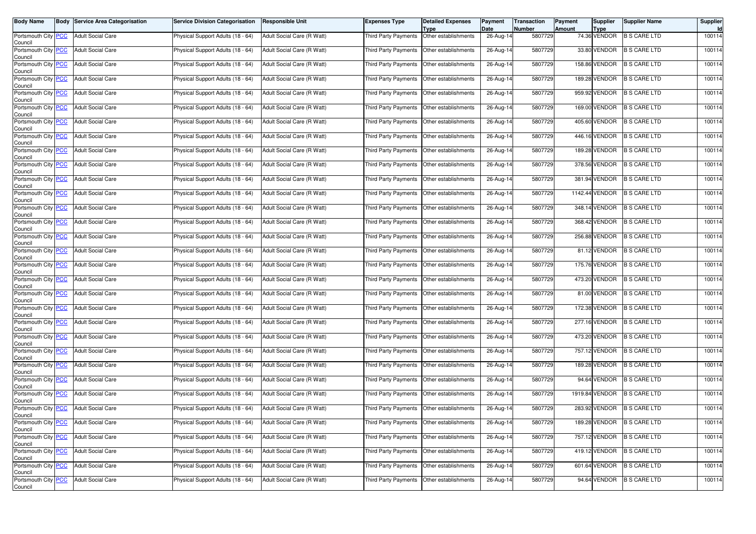| <b>Body Name</b>               | <b>Body Service Area Categorisation</b> | <b>Service Division Categorisation</b> | <b>Responsible Unit</b>    | <b>Expenses Type</b>                        | <b>Detailed Expenses</b><br>Type | Payment<br>Date | <b>Transaction</b><br>Number | Payment<br>Amount | <b>Supplier</b><br><b>Type</b> | <b>Supplier Name</b>       | Supplier |
|--------------------------------|-----------------------------------------|----------------------------------------|----------------------------|---------------------------------------------|----------------------------------|-----------------|------------------------------|-------------------|--------------------------------|----------------------------|----------|
| Portsmouth City PCC<br>Council | <b>Adult Social Care</b>                | Physical Support Adults (18 - 64)      | Adult Social Care (R Watt) | <b>Third Party Payments</b>                 | Other establishments             | 26-Aug-14       | 5807729                      |                   | 74.36 VENDOR                   | <b>B S CARE LTD</b>        | 100114   |
| Portsmouth City PCC<br>Council | <b>Adult Social Care</b>                | Physical Support Adults (18 - 64)      | Adult Social Care (R Watt) | Third Party Payments                        | Other establishments             | 26-Aug-14       | 5807729                      |                   | 33.80 VENDOR                   | <b>B S CARE LTD</b>        | 100114   |
| Portsmouth City PCC<br>Council | <b>Adult Social Care</b>                | Physical Support Adults (18 - 64)      | Adult Social Care (R Watt) | Third Party Payments                        | Other establishments             | $26$ -Aug-14    | 5807729                      |                   | 158.86 VENDOR                  | <b>B S CARE LTD</b>        | 100114   |
| Portsmouth City PCC<br>Council | <b>Adult Social Care</b>                | Physical Support Adults (18 - 64)      | Adult Social Care (R Watt) | Third Party Payments                        | Other establishments             | 26-Aug-14       | 5807729                      |                   | 189.28 VENDOR                  | <b>B S CARE LTD</b>        | 100114   |
| Portsmouth City PCC<br>Council | <b>Adult Social Care</b>                | Physical Support Adults (18 - 64)      | Adult Social Care (R Watt) | Third Party Payments                        | Other establishments             | 26-Aug-14       | 5807729                      |                   | 959.92 VENDOR                  | <b>B S CARE LTD</b>        | 100114   |
| Portsmouth City PCC<br>Council | <b>Adult Social Care</b>                | Physical Support Adults (18 - 64)      | Adult Social Care (R Watt) | Third Party Payments                        | Other establishments             | 26-Aug-14       | 5807729                      |                   | 169.00 VENDOR                  | <b>B S CARE LTD</b>        | 100114   |
| Portsmouth City PCC<br>Council | <b>Adult Social Care</b>                | Physical Support Adults (18 - 64)      | Adult Social Care (R Watt) | Third Party Payments                        | Other establishments             | 26-Aug-14       | 5807729                      |                   | 405.60 VENDOR                  | <b>B S CARE LTD</b>        | 100114   |
| Portsmouth City PCC<br>Council | <b>Adult Social Care</b>                | Physical Support Adults (18 - 64)      | Adult Social Care (R Watt) | Third Party Payments                        | Other establishments             | 26-Aug-14       | 5807729                      |                   | 446.16 VENDOR                  | <b>B S CARE LTD</b>        | 100114   |
| Portsmouth City PCC<br>Council | <b>Adult Social Care</b>                | Physical Support Adults (18 - 64)      | Adult Social Care (R Watt) | Third Party Payments                        | Other establishments             | 26-Aug-14       | 5807729                      |                   | 189.28 VENDOR                  | <b>B S CARE LTD</b>        | 100114   |
| Portsmouth City PCC<br>Council | <b>Adult Social Care</b>                | Physical Support Adults (18 - 64)      | Adult Social Care (R Watt) | <b>Third Party Payments</b>                 | Other establishments             | 26-Aug-14       | 5807729                      |                   | 378.56 VENDOR                  | <b>B S CARE LTD</b>        | 100114   |
| Portsmouth City PCC<br>Council | <b>Adult Social Care</b>                | Physical Support Adults (18 - 64)      | Adult Social Care (R Watt) | Third Party Payments                        | Other establishments             | $26$ -Aug-14    | 5807729                      |                   | 381.94 VENDOR                  | <b>B S CARE LTD</b>        | 100114   |
| Portsmouth City PCC<br>Council | <b>Adult Social Care</b>                | Physical Support Adults (18 - 64)      | Adult Social Care (R Watt) | <b>Third Party Payments</b>                 | Other establishments             | 26-Aug-14       | 5807729                      |                   | 1142.44 VENDOR                 | <b>B S CARE LTD</b>        | 100114   |
| Portsmouth City PCC<br>Council | <b>Adult Social Care</b>                | Physical Support Adults (18 - 64)      | Adult Social Care (R Watt) | <b>Third Party Payments</b>                 | Other establishments             | 26-Aug-14       | 5807729                      |                   | 348.14 VENDOR                  | <b>B S CARE LTD</b>        | 100114   |
| Portsmouth City PCC<br>Council | <b>Adult Social Care</b>                | Physical Support Adults (18 - 64)      | Adult Social Care (R Watt) | Third Party Payments                        | Other establishments             | 26-Aug-14       | 5807729                      |                   | 368.42 VENDOR                  | <b>B S CARE LTD</b>        | 100114   |
| Portsmouth City PCC<br>Council | <b>Adult Social Care</b>                | Physical Support Adults (18 - 64)      | Adult Social Care (R Watt) | Third Party Payments                        | Other establishments             | 26-Aug-14       | 5807729                      |                   | 256.88 VENDOR                  | <b>B S CARE LTD</b>        | 100114   |
| Portsmouth City PCC<br>Council | <b>Adult Social Care</b>                | Physical Support Adults (18 - 64)      | Adult Social Care (R Watt) | Third Party Payments                        | Other establishments             | 26-Aug-14       | 5807729                      |                   | 81.12 VENDOR                   | <b>B S CARE LTD</b>        | 100114   |
| Portsmouth City PCC<br>Council | <b>Adult Social Care</b>                | Physical Support Adults (18 - 64)      | Adult Social Care (R Watt) | Third Party Payments                        | Other establishments             | 26-Aug-14       | 5807729                      |                   | 175.76 VENDOR                  | <b>B S CARE LTD</b>        | 100114   |
| Portsmouth City PCC<br>Council | <b>Adult Social Care</b>                | Physical Support Adults (18 - 64)      | Adult Social Care (R Watt) | Third Party Payments                        | Other establishments             | 26-Aug-14       | 5807729                      |                   |                                | 473.20 VENDOR B S CARE LTD | 100114   |
| Portsmouth City PCC<br>Council | <b>Adult Social Care</b>                | Physical Support Adults (18 - 64)      | Adult Social Care (R Watt) | Third Party Payments                        | Other establishments             | 26-Aug-14       | 5807729                      |                   | 81.00 VENDOR                   | <b>B S CARE LTD</b>        | 100114   |
| Portsmouth City PCC<br>Council | <b>Adult Social Care</b>                | Physical Support Adults (18 - 64)      | Adult Social Care (R Watt) | Third Party Payments                        | Other establishments             | 26-Aug-14       | 5807729                      |                   | 172.38 VENDOR                  | <b>B S CARE LTD</b>        | 100114   |
| Portsmouth City PCC<br>Council | <b>Adult Social Care</b>                | Physical Support Adults (18 - 64)      | Adult Social Care (R Watt) | Third Party Payments                        | Other establishments             | 26-Aug-14       | 5807729                      |                   | 277.16 VENDOR                  | <b>B S CARE LTD</b>        | 100114   |
| Portsmouth City PCC<br>Council | <b>Adult Social Care</b>                | Physical Support Adults (18 - 64)      | Adult Social Care (R Watt) | Third Party Payments                        | Other establishments             | 26-Aug-14       | 5807729                      |                   | 473.20 VENDOR                  | <b>B S CARE LTD</b>        | 100114   |
| Portsmouth City PCC<br>Council | <b>Adult Social Care</b>                | Physical Support Adults (18 - 64)      | Adult Social Care (R Watt) | Third Party Payments                        | Other establishments             | 26-Aug-14       | 5807729                      |                   | 757.12 VENDOR                  | <b>B S CARE LTD</b>        | 100114   |
| Portsmouth City PCC<br>Council | <b>Adult Social Care</b>                | Physical Support Adults (18 - 64)      | Adult Social Care (R Watt) | Third Party Payments                        | Other establishments             | 26-Aug-14       | 5807729                      |                   | 189.28 VENDOR                  | <b>B S CARE LTD</b>        | 100114   |
| Portsmouth City PCC<br>Council | <b>Adult Social Care</b>                | Physical Support Adults (18 - 64)      | Adult Social Care (R Watt) | Third Party Payments                        | Other establishments             | $26$ -Aug-14    | 5807729                      |                   | 94.64 VENDOR                   | <b>B S CARE LTD</b>        | 100114   |
| Portsmouth City PCC<br>Council | <b>Adult Social Care</b>                | Physical Support Adults (18 - 64)      | Adult Social Care (R Watt) | Third Party Payments                        | Other establishments             | 26-Aug-14       | 5807729                      |                   | 1919.84 VENDOR                 | <b>B S CARE LTD</b>        | 100114   |
| Portsmouth City PCC<br>Council | <b>Adult Social Care</b>                | Physical Support Adults (18 - 64)      | Adult Social Care (R Watt) | Third Party Payments   Other establishments |                                  | 26-Aug-14       | 5807729                      |                   |                                | 283.92 VENDOR B S CARE LTD | 100114   |
| Portsmouth City PCC<br>Council | <b>Adult Social Care</b>                | Physical Support Adults (18 - 64)      | Adult Social Care (R Watt) | Third Party Payments Other establishments   |                                  | 26-Aug-14       | 5807729                      |                   |                                | 189.28 VENDOR B S CARE LTD | 100114   |
| Portsmouth City PCC<br>Council | <b>Adult Social Care</b>                | Physical Support Adults (18 - 64)      | Adult Social Care (R Watt) | Third Party Payments Other establishments   |                                  | 26-Aug-14       | 5807729                      |                   |                                | 757.12 VENDOR B S CARE LTD | 100114   |
| Portsmouth City PCC<br>Council | <b>Adult Social Care</b>                | Physical Support Adults (18 - 64)      | Adult Social Care (R Watt) | Third Party Payments                        | Other establishments             | 26-Aug-14       | 5807729                      |                   |                                | 419.12 VENDOR B S CARE LTD | 100114   |
| Portsmouth City PCC<br>Council | <b>Adult Social Care</b>                | Physical Support Adults (18 - 64)      | Adult Social Care (R Watt) | <b>Third Party Payments</b>                 | Other establishments             | 26-Aug-14       | 5807729                      |                   |                                | 601.64 VENDOR B S CARE LTD | 100114   |
| Portsmouth City PCC<br>Council | <b>Adult Social Care</b>                | Physical Support Adults (18 - 64)      | Adult Social Care (R Watt) | Third Party Payments                        | Other establishments             | 26-Aug-14       | 5807729                      |                   | 94.64 VENDOR                   | <b>B S CARE LTD</b>        | 100114   |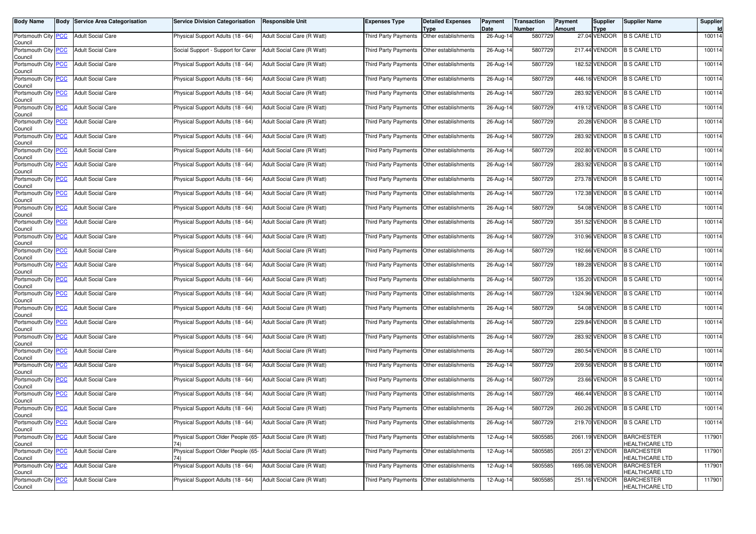| <b>Body Name</b>                            | <b>Body Service Area Categorisation</b> | <b>Service Division Categorisation</b>                               | <b>Responsible Unit</b>    | <b>Expenses Type</b>        | <b>Detailed Expenses</b><br><b>Type</b>      | Payment<br>Date         | <b>Transaction</b><br>Number | Payment<br><b>Amount</b> | Supplier<br><b>Type</b> | <b>Supplier Name</b>                       | Supplier |
|---------------------------------------------|-----------------------------------------|----------------------------------------------------------------------|----------------------------|-----------------------------|----------------------------------------------|-------------------------|------------------------------|--------------------------|-------------------------|--------------------------------------------|----------|
| Portsmouth City PCC<br>Council              | <b>Adult Social Care</b>                | Physical Support Adults (18 - 64)                                    | Adult Social Care (R Watt) | Third Party Payments        | Other establishments                         | $26$ -Aug-14            | 5807729                      |                          | 27.04 VENDOR            | <b>B S CARE LTD</b>                        | 100114   |
| Portsmouth City PCC<br>Council              | <b>Adult Social Care</b>                | Social Support - Support for Carer                                   | Adult Social Care (R Watt) | <b>Third Party Payments</b> | Other establishments                         | 26-Aug-14               | 5807729                      |                          | 217.44 VENDOR           | <b>B S CARE LTD</b>                        | 100114   |
| Portsmouth City PCC<br>Council              | <b>Adult Social Care</b>                | Physical Support Adults (18 - 64)                                    | Adult Social Care (R Watt) |                             | Third Party Payments Other establishments    | 26-Aug-14               | 5807729                      |                          | 182.52 VENDOR           | <b>B S CARE LTD</b>                        | 100114   |
| Portsmouth City PCC<br>Council              | <b>Adult Social Care</b>                | Physical Support Adults (18 - 64)                                    | Adult Social Care (R Watt) | Third Party Payments        | Other establishments                         | 26-Aug-14               | 5807729                      |                          | 446.16 VENDOR           | <b>B S CARE LTD</b>                        | 100114   |
| Portsmouth City PCC<br>Council              | <b>Adult Social Care</b>                | Physical Support Adults (18 - 64)                                    | Adult Social Care (R Watt) | <b>Third Party Payments</b> | Other establishments                         | 26-Aug-14               | 5807729                      |                          | 283.92 VENDOR           | <b>B S CARE LTD</b>                        | 100114   |
| Portsmouth City PCC<br>Council              | <b>Adult Social Care</b>                | Physical Support Adults (18 - 64)                                    | Adult Social Care (R Watt) |                             | Third Party Payments Other establishments    | 26-Aug-14               | 5807729                      |                          | 419.12 VENDOR           | <b>B S CARE LTD</b>                        | 100114   |
| Portsmouth City PCC<br>Council              | <b>Adult Social Care</b>                | Physical Support Adults (18 - 64)                                    | Adult Social Care (R Watt) | Third Party Payments        | Other establishments                         | 26-Aug-14               | 5807729                      |                          | 20.28 VENDOR            | <b>B S CARE LTD</b>                        | 100114   |
| Portsmouth City PCC<br>Council              | <b>Adult Social Care</b>                | Physical Support Adults (18 - 64)                                    | Adult Social Care (R Watt) |                             | Third Party Payments   Other establishments  | 26-Aug-14               | 5807729                      |                          | 283.92 VENDOR           | <b>B S CARE LTD</b>                        | 100114   |
| Portsmouth City PCC<br>Council              | <b>Adult Social Care</b>                | Physical Support Adults (18 - 64)                                    | Adult Social Care (R Watt) |                             | Third Party Payments Other establishments    | 26-Aug-14               | 5807729                      |                          | 202.80 VENDOR           | <b>B S CARE LTD</b>                        | 100114   |
| Portsmouth City PCC<br>Council              | <b>Adult Social Care</b>                | Physical Support Adults (18 - 64)                                    | Adult Social Care (R Watt) |                             | Third Party Payments Other establishments    | 26-Aug-14               | 5807729                      |                          | 283.92 VENDOR           | <b>B S CARE LTD</b>                        | 100114   |
| Portsmouth City PCC<br>Council              | <b>Adult Social Care</b>                | Physical Support Adults (18 - 64)                                    | Adult Social Care (R Watt) |                             | Third Party Payments Other establishments    | 26-Aug-14               | 5807729                      |                          | 273.78 VENDOR           | <b>B S CARE LTD</b>                        | 100114   |
| Portsmouth City PCC<br>Council              | <b>Adult Social Care</b>                | Physical Support Adults (18 - 64)                                    | Adult Social Care (R Watt) |                             | Third Party Payments Other establishments    | 26-Aug-14               | 5807729                      |                          | 172.38 VENDOR           | <b>B S CARE LTD</b>                        | 100114   |
| Portsmouth City PCC<br>Council              | <b>Adult Social Care</b>                | Physical Support Adults (18 - 64)                                    | Adult Social Care (R Watt) | Third Party Payments        | Other establishments                         | 26-Aug-14               | 5807729                      |                          | 54.08 VENDOR            | <b>B S CARE LTD</b>                        | 100114   |
| Portsmouth City PCC<br>Council              | <b>Adult Social Care</b>                | Physical Support Adults (18 - 64)                                    | Adult Social Care (R Watt) |                             | Third Party Payments Other establishments    | 26-Aug-14               | 5807729                      |                          | 351.52 VENDOR           | <b>B S CARE LTD</b>                        | 100114   |
| Portsmouth City PCC<br>Council              | <b>Adult Social Care</b>                | Physical Support Adults (18 - 64)                                    | Adult Social Care (R Watt) | Third Party Payments        | Other establishments                         | 26-Aug-14               | 5807729                      |                          | 310.96 VENDOR           | <b>B S CARE LTD</b>                        | 100114   |
| Portsmouth City PCC<br>Council              | <b>Adult Social Care</b>                | Physical Support Adults (18 - 64)                                    | Adult Social Care (R Watt) | Third Party Payments        | Other establishments                         | 26-Aug-14               | 5807729                      |                          | 192.66 VENDOR           | <b>B S CARE LTD</b>                        | 100114   |
| Portsmouth City PCC<br>Council              | <b>Adult Social Care</b>                | Physical Support Adults (18 - 64)                                    | Adult Social Care (R Watt) |                             | Third Party Payments   Other establishments  | 26-Aug-14               | 5807729                      |                          | 189.28 VENDOR           | <b>B S CARE LTD</b>                        | 100114   |
| Portsmouth City PCC<br>Council              | <b>Adult Social Care</b>                | Physical Support Adults (18 - 64)                                    | Adult Social Care (R Watt) | Third Party Payments        | Other establishments                         | 26-Aug-14               | 5807729                      |                          | 135.20 VENDOR           | <b>B S CARE LTD</b>                        | 100114   |
| Portsmouth City PCC<br>Council              | <b>Adult Social Care</b>                | Physical Support Adults (18 - 64)                                    | Adult Social Care (R Watt) | Third Party Payments        | Other establishments                         | 26-Aug-14               | 5807729                      |                          | 1324.96 VENDOR          | <b>B S CARE LTD</b>                        | 100114   |
| Portsmouth City PCC<br>Council              | <b>Adult Social Care</b>                | Physical Support Adults (18 - 64)                                    | Adult Social Care (R Watt) |                             | Third Party Payments   Other establishments  | 26-Aug-14               | 5807729                      |                          | 54.08 VENDOR            | <b>B S CARE LTD</b>                        | 100114   |
| Portsmouth City PCC<br>Council              | <b>Adult Social Care</b>                | Physical Support Adults (18 - 64)                                    | Adult Social Care (R Watt) | Third Party Payments        | Other establishments                         | 26-Aug-14               | 5807729                      |                          | 229.84 VENDOR           | <b>B S CARE LTD</b>                        | 100114   |
| Portsmouth City PCC<br>Council              | <b>Adult Social Care</b>                | Physical Support Adults (18 - 64)                                    | Adult Social Care (R Watt) |                             | Third Party Payments Other establishments    | 26-Aug-14               | 5807729                      |                          | 283.92 VENDOR           | <b>B S CARE LTD</b>                        | 100114   |
| Portsmouth City PCC<br>Council              | <b>Adult Social Care</b>                | Physical Support Adults (18 - 64)                                    | Adult Social Care (R Watt) | Third Party Payments        | Other establishments                         | 26-Aug-14               | 5807729                      |                          | 280.54 VENDOR           | <b>B S CARE LTD</b>                        | 100114   |
| Portsmouth City PCC<br>Council              | <b>Adult Social Care</b>                | Physical Support Adults (18 - 64)                                    | Adult Social Care (R Watt) | Third Party Payments        | Other establishments                         | 26-Aug-14               | 5807729                      |                          | 209.56 VENDOR           | <b>B S CARE LTD</b>                        | 100114   |
| Portsmouth City PCC<br>Council              | <b>Adult Social Care</b>                | Physical Support Adults (18 - 64)                                    | Adult Social Care (R Watt) | Third Party Payments        | Other establishments                         | 26-Aug-14               | 5807729                      |                          | 23.66 VENDOR            | <b>B S CARE LTD</b>                        | 100114   |
| Portsmouth City PCC<br>Council              | <b>Adult Social Care</b>                | Physical Support Adults (18 - 64)                                    | Adult Social Care (R Watt) | Third Party Payments        | Other establishments                         | 26-Aug-14               | 5807729                      |                          | 466.44 VENDOR           | <b>B S CARE LTD</b>                        | 100114   |
| Portsmouth City PCC<br>Council              | <b>Adult Social Care</b>                | Physical Support Adults (18 - 64)                                    | Adult Social Care (R Watt) | Third Party Payments        | Other establishments                         | 26-Aug-14               | 5807729                      |                          | 260.26 VENDOR           | <b>B S CARE LTD</b>                        | 100114   |
| Portsmouth City <mark>PCC</mark><br>Council | <b>Adult Social Care</b>                | Physical Support Adults (18 - 64)                                    | Adult Social Care (H Watt) |                             | I hird Party Payments   Other establishments | 26-Aug-14               | 5807729                      |                          | 219.70 VENDOR           | <b>B S CARE LTD</b>                        | 100114   |
| Portsmouth City PCC<br>Council              | <b>Adult Social Care</b>                | Physical Support Older People (65- Adult Social Care (R Watt)<br>74) |                            |                             | Third Party Payments   Other establishments  | 12-Aug-14               | 5805585                      |                          | 2061.19 VENDOR          | <b>BARCHESTER</b><br><b>IEALTHCARE LTD</b> | 117901   |
| Portsmouth City PCC<br>Council              | <b>Adult Social Care</b>                | Physical Support Older People (65- Adult Social Care (R Watt)<br>74) |                            |                             | Third Party Payments Other establishments    | 12-Aug-14               | 5805585                      |                          | 2051.27 VENDOR          | <b>BARCHESTER</b><br><b>HEALTHCARE LTD</b> | 117901   |
| Portsmouth City PCC<br>Council              | <b>Adult Social Care</b>                | Physical Support Adults (18 - 64)                                    | Adult Social Care (R Watt) |                             | Third Party Payments Other establishments    | 12-Aug-14               | 5805585                      |                          | 1695.08 VENDOR          | <b>BARCHESTER</b><br><b>IEALTHCARE LTD</b> | 117901   |
| Portsmouth City PCC<br>Council              | <b>Adult Social Care</b>                | Physical Support Adults (18 - 64)                                    | Adult Social Care (R Watt) |                             | Third Party Payments Other establishments    | $\overline{12}$ -Aug-14 | 5805585                      |                          | 251.16 VENDOR           | <b>BARCHESTER</b><br>HEALTHCARE LTD        | 117901   |
|                                             |                                         |                                                                      |                            |                             |                                              |                         |                              |                          |                         |                                            |          |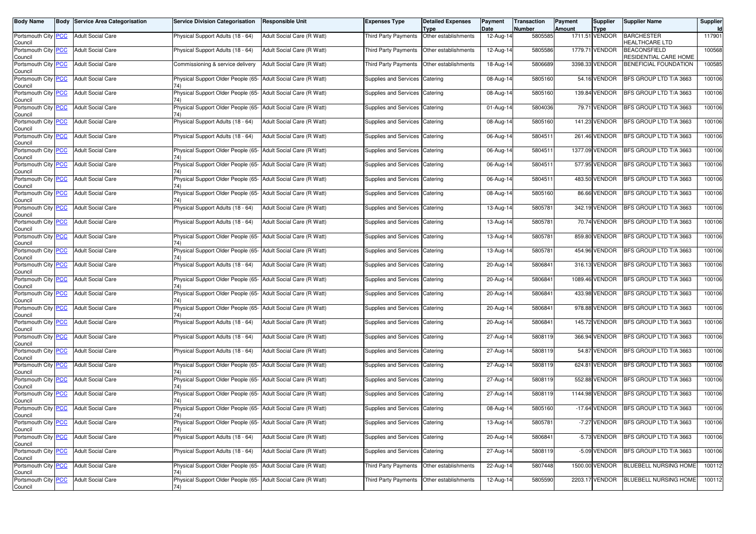|                                                                                                                                                                                                                                                                                                                                                                                                                                                                                                                                                                                                                                                                                                                                                              |                                           |                            |                                                                                                                                                                                                                                                                                                                                                                                                                                                                                                                                                                                                                                                                                                                                                                                                                                                                                                                                                                                                                                                                                                                                                                                                                                                                                                                                                                                                                                  |                                              | Payment<br>Date                                                                                                                                                                                                                                                                                                                                                                                                                                                                                                                                                                                                                                                                                                                                                                                                                                                                                                                                                                                                | <b>Number</b> | <b>Amount</b> | Supplier    |                                                                                                                                                                                                                                                                                                                                                                                                                                                                                                                                                              | Supplier<br>Id |
|--------------------------------------------------------------------------------------------------------------------------------------------------------------------------------------------------------------------------------------------------------------------------------------------------------------------------------------------------------------------------------------------------------------------------------------------------------------------------------------------------------------------------------------------------------------------------------------------------------------------------------------------------------------------------------------------------------------------------------------------------------------|-------------------------------------------|----------------------------|----------------------------------------------------------------------------------------------------------------------------------------------------------------------------------------------------------------------------------------------------------------------------------------------------------------------------------------------------------------------------------------------------------------------------------------------------------------------------------------------------------------------------------------------------------------------------------------------------------------------------------------------------------------------------------------------------------------------------------------------------------------------------------------------------------------------------------------------------------------------------------------------------------------------------------------------------------------------------------------------------------------------------------------------------------------------------------------------------------------------------------------------------------------------------------------------------------------------------------------------------------------------------------------------------------------------------------------------------------------------------------------------------------------------------------|----------------------------------------------|----------------------------------------------------------------------------------------------------------------------------------------------------------------------------------------------------------------------------------------------------------------------------------------------------------------------------------------------------------------------------------------------------------------------------------------------------------------------------------------------------------------------------------------------------------------------------------------------------------------------------------------------------------------------------------------------------------------------------------------------------------------------------------------------------------------------------------------------------------------------------------------------------------------------------------------------------------------------------------------------------------------|---------------|---------------|-------------|--------------------------------------------------------------------------------------------------------------------------------------------------------------------------------------------------------------------------------------------------------------------------------------------------------------------------------------------------------------------------------------------------------------------------------------------------------------------------------------------------------------------------------------------------------------|----------------|
| <b>Adult Social Care</b>                                                                                                                                                                                                                                                                                                                                                                                                                                                                                                                                                                                                                                                                                                                                     | Physical Support Adults (18 - 64)         | Adult Social Care (R Watt) | <b>Third Party Payments</b>                                                                                                                                                                                                                                                                                                                                                                                                                                                                                                                                                                                                                                                                                                                                                                                                                                                                                                                                                                                                                                                                                                                                                                                                                                                                                                                                                                                                      | Type<br>Other establishments                 | 12-Aug-14                                                                                                                                                                                                                                                                                                                                                                                                                                                                                                                                                                                                                                                                                                                                                                                                                                                                                                                                                                                                      | 5805585       |               | <b>Type</b> | <b>BARCHESTER</b><br><b>HEALTHCARE LTD</b>                                                                                                                                                                                                                                                                                                                                                                                                                                                                                                                   | 117901         |
| <b>Adult Social Care</b>                                                                                                                                                                                                                                                                                                                                                                                                                                                                                                                                                                                                                                                                                                                                     | Physical Support Adults (18 - 64)         |                            |                                                                                                                                                                                                                                                                                                                                                                                                                                                                                                                                                                                                                                                                                                                                                                                                                                                                                                                                                                                                                                                                                                                                                                                                                                                                                                                                                                                                                                  |                                              | 12-Aug-14                                                                                                                                                                                                                                                                                                                                                                                                                                                                                                                                                                                                                                                                                                                                                                                                                                                                                                                                                                                                      | 5805586       |               |             | <b>BEACONSFIELD</b><br>RESIDENTIAL CARE HOME                                                                                                                                                                                                                                                                                                                                                                                                                                                                                                                 | 100568         |
| <b>Adult Social Care</b>                                                                                                                                                                                                                                                                                                                                                                                                                                                                                                                                                                                                                                                                                                                                     | Commissioning & service delivery          | Adult Social Care (R Watt) |                                                                                                                                                                                                                                                                                                                                                                                                                                                                                                                                                                                                                                                                                                                                                                                                                                                                                                                                                                                                                                                                                                                                                                                                                                                                                                                                                                                                                                  | Other establishments                         | 18-Aug-14                                                                                                                                                                                                                                                                                                                                                                                                                                                                                                                                                                                                                                                                                                                                                                                                                                                                                                                                                                                                      | 5806689       |               |             | BENEFICIAL FOUNDATION                                                                                                                                                                                                                                                                                                                                                                                                                                                                                                                                        | 100585         |
| <b>Adult Social Care</b>                                                                                                                                                                                                                                                                                                                                                                                                                                                                                                                                                                                                                                                                                                                                     | 74)                                       |                            |                                                                                                                                                                                                                                                                                                                                                                                                                                                                                                                                                                                                                                                                                                                                                                                                                                                                                                                                                                                                                                                                                                                                                                                                                                                                                                                                                                                                                                  |                                              | 08-Aug-14                                                                                                                                                                                                                                                                                                                                                                                                                                                                                                                                                                                                                                                                                                                                                                                                                                                                                                                                                                                                      | 5805160       |               |             | BFS GROUP LTD T/A 3663                                                                                                                                                                                                                                                                                                                                                                                                                                                                                                                                       | 100106         |
| <b>Adult Social Care</b>                                                                                                                                                                                                                                                                                                                                                                                                                                                                                                                                                                                                                                                                                                                                     | 74)                                       |                            |                                                                                                                                                                                                                                                                                                                                                                                                                                                                                                                                                                                                                                                                                                                                                                                                                                                                                                                                                                                                                                                                                                                                                                                                                                                                                                                                                                                                                                  |                                              | 08-Aug-14                                                                                                                                                                                                                                                                                                                                                                                                                                                                                                                                                                                                                                                                                                                                                                                                                                                                                                                                                                                                      | 5805160       |               |             | BFS GROUP LTD T/A 3663                                                                                                                                                                                                                                                                                                                                                                                                                                                                                                                                       | 100106         |
| <b>Adult Social Care</b>                                                                                                                                                                                                                                                                                                                                                                                                                                                                                                                                                                                                                                                                                                                                     | 74)                                       |                            |                                                                                                                                                                                                                                                                                                                                                                                                                                                                                                                                                                                                                                                                                                                                                                                                                                                                                                                                                                                                                                                                                                                                                                                                                                                                                                                                                                                                                                  |                                              | 01-Aug-14                                                                                                                                                                                                                                                                                                                                                                                                                                                                                                                                                                                                                                                                                                                                                                                                                                                                                                                                                                                                      | 5804036       |               |             | BFS GROUP LTD T/A 3663                                                                                                                                                                                                                                                                                                                                                                                                                                                                                                                                       | 100106         |
| <b>Adult Social Care</b>                                                                                                                                                                                                                                                                                                                                                                                                                                                                                                                                                                                                                                                                                                                                     | Physical Support Adults (18 - 64)         | Adult Social Care (R Watt) |                                                                                                                                                                                                                                                                                                                                                                                                                                                                                                                                                                                                                                                                                                                                                                                                                                                                                                                                                                                                                                                                                                                                                                                                                                                                                                                                                                                                                                  |                                              | 08-Aug-14                                                                                                                                                                                                                                                                                                                                                                                                                                                                                                                                                                                                                                                                                                                                                                                                                                                                                                                                                                                                      | 5805160       |               |             | BFS GROUP LTD T/A 3663                                                                                                                                                                                                                                                                                                                                                                                                                                                                                                                                       | 100106         |
| <b>Adult Social Care</b>                                                                                                                                                                                                                                                                                                                                                                                                                                                                                                                                                                                                                                                                                                                                     | Physical Support Adults (18 - 64)         |                            |                                                                                                                                                                                                                                                                                                                                                                                                                                                                                                                                                                                                                                                                                                                                                                                                                                                                                                                                                                                                                                                                                                                                                                                                                                                                                                                                                                                                                                  |                                              | 06-Aug-14                                                                                                                                                                                                                                                                                                                                                                                                                                                                                                                                                                                                                                                                                                                                                                                                                                                                                                                                                                                                      | 5804511       |               |             | BFS GROUP LTD T/A 3663                                                                                                                                                                                                                                                                                                                                                                                                                                                                                                                                       | 100106         |
| <b>Adult Social Care</b>                                                                                                                                                                                                                                                                                                                                                                                                                                                                                                                                                                                                                                                                                                                                     | 74)                                       |                            |                                                                                                                                                                                                                                                                                                                                                                                                                                                                                                                                                                                                                                                                                                                                                                                                                                                                                                                                                                                                                                                                                                                                                                                                                                                                                                                                                                                                                                  |                                              | 06-Aug-14                                                                                                                                                                                                                                                                                                                                                                                                                                                                                                                                                                                                                                                                                                                                                                                                                                                                                                                                                                                                      | 580451        |               |             | BFS GROUP LTD T/A 3663                                                                                                                                                                                                                                                                                                                                                                                                                                                                                                                                       | 100106         |
| <b>Adult Social Care</b>                                                                                                                                                                                                                                                                                                                                                                                                                                                                                                                                                                                                                                                                                                                                     | 74)                                       |                            |                                                                                                                                                                                                                                                                                                                                                                                                                                                                                                                                                                                                                                                                                                                                                                                                                                                                                                                                                                                                                                                                                                                                                                                                                                                                                                                                                                                                                                  |                                              | 06-Aug-14                                                                                                                                                                                                                                                                                                                                                                                                                                                                                                                                                                                                                                                                                                                                                                                                                                                                                                                                                                                                      | 5804511       |               |             | BFS GROUP LTD T/A 3663                                                                                                                                                                                                                                                                                                                                                                                                                                                                                                                                       | 100106         |
| <b>Adult Social Care</b>                                                                                                                                                                                                                                                                                                                                                                                                                                                                                                                                                                                                                                                                                                                                     |                                           |                            |                                                                                                                                                                                                                                                                                                                                                                                                                                                                                                                                                                                                                                                                                                                                                                                                                                                                                                                                                                                                                                                                                                                                                                                                                                                                                                                                                                                                                                  |                                              | 06-Aug-14                                                                                                                                                                                                                                                                                                                                                                                                                                                                                                                                                                                                                                                                                                                                                                                                                                                                                                                                                                                                      | 5804511       |               |             | BFS GROUP LTD T/A 3663                                                                                                                                                                                                                                                                                                                                                                                                                                                                                                                                       | 100106         |
| <b>Adult Social Care</b>                                                                                                                                                                                                                                                                                                                                                                                                                                                                                                                                                                                                                                                                                                                                     |                                           |                            |                                                                                                                                                                                                                                                                                                                                                                                                                                                                                                                                                                                                                                                                                                                                                                                                                                                                                                                                                                                                                                                                                                                                                                                                                                                                                                                                                                                                                                  |                                              | 08-Aug-14                                                                                                                                                                                                                                                                                                                                                                                                                                                                                                                                                                                                                                                                                                                                                                                                                                                                                                                                                                                                      | 5805160       |               |             | BFS GROUP LTD T/A 3663                                                                                                                                                                                                                                                                                                                                                                                                                                                                                                                                       | 100106         |
| <b>Adult Social Care</b>                                                                                                                                                                                                                                                                                                                                                                                                                                                                                                                                                                                                                                                                                                                                     | Physical Support Adults (18 - 64)         |                            |                                                                                                                                                                                                                                                                                                                                                                                                                                                                                                                                                                                                                                                                                                                                                                                                                                                                                                                                                                                                                                                                                                                                                                                                                                                                                                                                                                                                                                  |                                              | 13-Aug-14                                                                                                                                                                                                                                                                                                                                                                                                                                                                                                                                                                                                                                                                                                                                                                                                                                                                                                                                                                                                      | 5805781       |               |             | BFS GROUP LTD T/A 3663                                                                                                                                                                                                                                                                                                                                                                                                                                                                                                                                       | 100106         |
| <b>Adult Social Care</b>                                                                                                                                                                                                                                                                                                                                                                                                                                                                                                                                                                                                                                                                                                                                     | Physical Support Adults (18 - 64)         | Adult Social Care (R Watt) |                                                                                                                                                                                                                                                                                                                                                                                                                                                                                                                                                                                                                                                                                                                                                                                                                                                                                                                                                                                                                                                                                                                                                                                                                                                                                                                                                                                                                                  | Catering                                     | 13-Aug-14                                                                                                                                                                                                                                                                                                                                                                                                                                                                                                                                                                                                                                                                                                                                                                                                                                                                                                                                                                                                      | 5805781       |               |             | BFS GROUP LTD T/A 3663                                                                                                                                                                                                                                                                                                                                                                                                                                                                                                                                       | 100106         |
| <b>Adult Social Care</b>                                                                                                                                                                                                                                                                                                                                                                                                                                                                                                                                                                                                                                                                                                                                     | Physical Support Older People (65-<br>74) |                            |                                                                                                                                                                                                                                                                                                                                                                                                                                                                                                                                                                                                                                                                                                                                                                                                                                                                                                                                                                                                                                                                                                                                                                                                                                                                                                                                                                                                                                  | Catering                                     | 13-Aug-14                                                                                                                                                                                                                                                                                                                                                                                                                                                                                                                                                                                                                                                                                                                                                                                                                                                                                                                                                                                                      | 5805781       |               |             | BFS GROUP LTD T/A 3663                                                                                                                                                                                                                                                                                                                                                                                                                                                                                                                                       | 100106         |
| <b>Adult Social Care</b>                                                                                                                                                                                                                                                                                                                                                                                                                                                                                                                                                                                                                                                                                                                                     | 74)                                       |                            |                                                                                                                                                                                                                                                                                                                                                                                                                                                                                                                                                                                                                                                                                                                                                                                                                                                                                                                                                                                                                                                                                                                                                                                                                                                                                                                                                                                                                                  |                                              | 13-Aug-14                                                                                                                                                                                                                                                                                                                                                                                                                                                                                                                                                                                                                                                                                                                                                                                                                                                                                                                                                                                                      | 5805781       |               |             | BFS GROUP LTD T/A 3663                                                                                                                                                                                                                                                                                                                                                                                                                                                                                                                                       | 100106         |
| <b>Adult Social Care</b>                                                                                                                                                                                                                                                                                                                                                                                                                                                                                                                                                                                                                                                                                                                                     | Physical Support Adults (18 - 64)         |                            |                                                                                                                                                                                                                                                                                                                                                                                                                                                                                                                                                                                                                                                                                                                                                                                                                                                                                                                                                                                                                                                                                                                                                                                                                                                                                                                                                                                                                                  |                                              | 20-Aug-14                                                                                                                                                                                                                                                                                                                                                                                                                                                                                                                                                                                                                                                                                                                                                                                                                                                                                                                                                                                                      | 5806841       |               |             | BFS GROUP LTD T/A 3663                                                                                                                                                                                                                                                                                                                                                                                                                                                                                                                                       | 100106         |
| <b>Adult Social Care</b>                                                                                                                                                                                                                                                                                                                                                                                                                                                                                                                                                                                                                                                                                                                                     | 74)                                       |                            |                                                                                                                                                                                                                                                                                                                                                                                                                                                                                                                                                                                                                                                                                                                                                                                                                                                                                                                                                                                                                                                                                                                                                                                                                                                                                                                                                                                                                                  | Catering                                     | 20-Aug-14                                                                                                                                                                                                                                                                                                                                                                                                                                                                                                                                                                                                                                                                                                                                                                                                                                                                                                                                                                                                      | 580684        |               |             | BFS GROUP LTD T/A 3663                                                                                                                                                                                                                                                                                                                                                                                                                                                                                                                                       | 100106         |
| <b>Adult Social Care</b>                                                                                                                                                                                                                                                                                                                                                                                                                                                                                                                                                                                                                                                                                                                                     | 74)                                       |                            |                                                                                                                                                                                                                                                                                                                                                                                                                                                                                                                                                                                                                                                                                                                                                                                                                                                                                                                                                                                                                                                                                                                                                                                                                                                                                                                                                                                                                                  |                                              | 20-Aug-14                                                                                                                                                                                                                                                                                                                                                                                                                                                                                                                                                                                                                                                                                                                                                                                                                                                                                                                                                                                                      | 5806841       |               |             | BFS GROUP LTD T/A 3663                                                                                                                                                                                                                                                                                                                                                                                                                                                                                                                                       | 100106         |
| <b>Adult Social Care</b>                                                                                                                                                                                                                                                                                                                                                                                                                                                                                                                                                                                                                                                                                                                                     |                                           |                            |                                                                                                                                                                                                                                                                                                                                                                                                                                                                                                                                                                                                                                                                                                                                                                                                                                                                                                                                                                                                                                                                                                                                                                                                                                                                                                                                                                                                                                  |                                              | 20-Aug-14                                                                                                                                                                                                                                                                                                                                                                                                                                                                                                                                                                                                                                                                                                                                                                                                                                                                                                                                                                                                      | 5806841       |               |             | BFS GROUP LTD T/A 3663                                                                                                                                                                                                                                                                                                                                                                                                                                                                                                                                       | 100106         |
| <b>Adult Social Care</b>                                                                                                                                                                                                                                                                                                                                                                                                                                                                                                                                                                                                                                                                                                                                     | Physical Support Adults (18 - 64)         | Adult Social Care (R Watt) |                                                                                                                                                                                                                                                                                                                                                                                                                                                                                                                                                                                                                                                                                                                                                                                                                                                                                                                                                                                                                                                                                                                                                                                                                                                                                                                                                                                                                                  | Catering                                     | 20-Aug-14                                                                                                                                                                                                                                                                                                                                                                                                                                                                                                                                                                                                                                                                                                                                                                                                                                                                                                                                                                                                      | 5806841       |               |             | BFS GROUP LTD T/A 3663                                                                                                                                                                                                                                                                                                                                                                                                                                                                                                                                       | 100106         |
| <b>Adult Social Care</b>                                                                                                                                                                                                                                                                                                                                                                                                                                                                                                                                                                                                                                                                                                                                     | Physical Support Adults (18 - 64)         | Adult Social Care (R Watt) |                                                                                                                                                                                                                                                                                                                                                                                                                                                                                                                                                                                                                                                                                                                                                                                                                                                                                                                                                                                                                                                                                                                                                                                                                                                                                                                                                                                                                                  |                                              | 27-Aug-14                                                                                                                                                                                                                                                                                                                                                                                                                                                                                                                                                                                                                                                                                                                                                                                                                                                                                                                                                                                                      | 5808119       |               |             | BFS GROUP LTD T/A 3663                                                                                                                                                                                                                                                                                                                                                                                                                                                                                                                                       | 100106         |
| <b>Adult Social Care</b>                                                                                                                                                                                                                                                                                                                                                                                                                                                                                                                                                                                                                                                                                                                                     | Physical Support Adults (18 - 64)         | Adult Social Care (R Watt) |                                                                                                                                                                                                                                                                                                                                                                                                                                                                                                                                                                                                                                                                                                                                                                                                                                                                                                                                                                                                                                                                                                                                                                                                                                                                                                                                                                                                                                  |                                              | 27-Aug-14                                                                                                                                                                                                                                                                                                                                                                                                                                                                                                                                                                                                                                                                                                                                                                                                                                                                                                                                                                                                      | 5808119       |               |             | BFS GROUP LTD T/A 3663                                                                                                                                                                                                                                                                                                                                                                                                                                                                                                                                       | 100106         |
| <b>Adult Social Care</b>                                                                                                                                                                                                                                                                                                                                                                                                                                                                                                                                                                                                                                                                                                                                     | 74)                                       |                            |                                                                                                                                                                                                                                                                                                                                                                                                                                                                                                                                                                                                                                                                                                                                                                                                                                                                                                                                                                                                                                                                                                                                                                                                                                                                                                                                                                                                                                  | Catering                                     | 27-Aug-14                                                                                                                                                                                                                                                                                                                                                                                                                                                                                                                                                                                                                                                                                                                                                                                                                                                                                                                                                                                                      | 5808119       |               |             | BFS GROUP LTD T/A 3663                                                                                                                                                                                                                                                                                                                                                                                                                                                                                                                                       | 100106         |
| <b>Adult Social Care</b>                                                                                                                                                                                                                                                                                                                                                                                                                                                                                                                                                                                                                                                                                                                                     | 74)                                       |                            |                                                                                                                                                                                                                                                                                                                                                                                                                                                                                                                                                                                                                                                                                                                                                                                                                                                                                                                                                                                                                                                                                                                                                                                                                                                                                                                                                                                                                                  |                                              | 27-Aug-14                                                                                                                                                                                                                                                                                                                                                                                                                                                                                                                                                                                                                                                                                                                                                                                                                                                                                                                                                                                                      | 5808119       |               |             | BFS GROUP LTD T/A 3663                                                                                                                                                                                                                                                                                                                                                                                                                                                                                                                                       | 100106         |
| <b>Adult Social Care</b>                                                                                                                                                                                                                                                                                                                                                                                                                                                                                                                                                                                                                                                                                                                                     |                                           |                            |                                                                                                                                                                                                                                                                                                                                                                                                                                                                                                                                                                                                                                                                                                                                                                                                                                                                                                                                                                                                                                                                                                                                                                                                                                                                                                                                                                                                                                  |                                              | 27-Aug-14                                                                                                                                                                                                                                                                                                                                                                                                                                                                                                                                                                                                                                                                                                                                                                                                                                                                                                                                                                                                      | 5808119       |               |             | BFS GROUP LTD T/A 3663                                                                                                                                                                                                                                                                                                                                                                                                                                                                                                                                       | 100106         |
| <b>Adult Social Care</b>                                                                                                                                                                                                                                                                                                                                                                                                                                                                                                                                                                                                                                                                                                                                     | 74)                                       |                            |                                                                                                                                                                                                                                                                                                                                                                                                                                                                                                                                                                                                                                                                                                                                                                                                                                                                                                                                                                                                                                                                                                                                                                                                                                                                                                                                                                                                                                  | Catering                                     | 08-Aug-14                                                                                                                                                                                                                                                                                                                                                                                                                                                                                                                                                                                                                                                                                                                                                                                                                                                                                                                                                                                                      | 5805160       |               |             | BFS GROUP LTD T/A 3663                                                                                                                                                                                                                                                                                                                                                                                                                                                                                                                                       | 100106         |
| <b>Adult Social Care</b>                                                                                                                                                                                                                                                                                                                                                                                                                                                                                                                                                                                                                                                                                                                                     | 74)                                       |                            |                                                                                                                                                                                                                                                                                                                                                                                                                                                                                                                                                                                                                                                                                                                                                                                                                                                                                                                                                                                                                                                                                                                                                                                                                                                                                                                                                                                                                                  |                                              | 13-Aug-14                                                                                                                                                                                                                                                                                                                                                                                                                                                                                                                                                                                                                                                                                                                                                                                                                                                                                                                                                                                                      | 5805781       |               |             | BFS GROUP LTD T/A 3663                                                                                                                                                                                                                                                                                                                                                                                                                                                                                                                                       | 100106         |
| <b>Adult Social Care</b>                                                                                                                                                                                                                                                                                                                                                                                                                                                                                                                                                                                                                                                                                                                                     | Physical Support Adults (18 - 64)         |                            |                                                                                                                                                                                                                                                                                                                                                                                                                                                                                                                                                                                                                                                                                                                                                                                                                                                                                                                                                                                                                                                                                                                                                                                                                                                                                                                                                                                                                                  |                                              | 20-Aug-14                                                                                                                                                                                                                                                                                                                                                                                                                                                                                                                                                                                                                                                                                                                                                                                                                                                                                                                                                                                                      | 5806841       |               |             | BFS GROUP LTD T/A 3663                                                                                                                                                                                                                                                                                                                                                                                                                                                                                                                                       | 100106         |
| <b>Adult Social Care</b>                                                                                                                                                                                                                                                                                                                                                                                                                                                                                                                                                                                                                                                                                                                                     | Physical Support Adults (18 - 64)         |                            |                                                                                                                                                                                                                                                                                                                                                                                                                                                                                                                                                                                                                                                                                                                                                                                                                                                                                                                                                                                                                                                                                                                                                                                                                                                                                                                                                                                                                                  |                                              | 27-Aug-14                                                                                                                                                                                                                                                                                                                                                                                                                                                                                                                                                                                                                                                                                                                                                                                                                                                                                                                                                                                                      | 5808119       |               |             | BFS GROUP LTD T/A 3663                                                                                                                                                                                                                                                                                                                                                                                                                                                                                                                                       | 100106         |
| <b>Adult Social Care</b>                                                                                                                                                                                                                                                                                                                                                                                                                                                                                                                                                                                                                                                                                                                                     | 74)                                       |                            |                                                                                                                                                                                                                                                                                                                                                                                                                                                                                                                                                                                                                                                                                                                                                                                                                                                                                                                                                                                                                                                                                                                                                                                                                                                                                                                                                                                                                                  |                                              | 22-Aug-14                                                                                                                                                                                                                                                                                                                                                                                                                                                                                                                                                                                                                                                                                                                                                                                                                                                                                                                                                                                                      | 5807448       |               |             | <b>BLUEBELL NURSING HOME</b>                                                                                                                                                                                                                                                                                                                                                                                                                                                                                                                                 | 100112         |
| <b>Adult Social Care</b>                                                                                                                                                                                                                                                                                                                                                                                                                                                                                                                                                                                                                                                                                                                                     | 74)                                       |                            |                                                                                                                                                                                                                                                                                                                                                                                                                                                                                                                                                                                                                                                                                                                                                                                                                                                                                                                                                                                                                                                                                                                                                                                                                                                                                                                                                                                                                                  |                                              | 12-Aug-14                                                                                                                                                                                                                                                                                                                                                                                                                                                                                                                                                                                                                                                                                                                                                                                                                                                                                                                                                                                                      | 5805590       |               |             | BLUEBELL NURSING HOME                                                                                                                                                                                                                                                                                                                                                                                                                                                                                                                                        | 100112         |
| Portsmouth City PCC<br>Portsmouth City PCC<br>Portsmouth City PCC<br>Portsmouth City PCC<br>Portsmouth City PCC<br>Portsmouth City PCC<br>Portsmouth City PCC<br>Portsmouth City PCC<br>Portsmouth City PCC<br>Portsmouth City PCC<br>Portsmouth City PCC<br>Portsmouth City PCC<br>Portsmouth City PCC<br>Portsmouth City PCC<br>Portsmouth City PCC<br>Portsmouth City PCC<br>Portsmouth City PCC<br>Portsmouth City PCC<br>Portsmouth City PCC<br>Portsmouth City PCC<br>Portsmouth City PCC<br>Portsmouth City PCC<br>Portsmouth City PCC<br>Portsmouth City PCC<br>Portsmouth City PCC<br>Portsmouth City PCC<br>Portsmouth City PCC<br>Portsmouth City PCC<br>Portsmouth City PCC<br>Portsmouth City PCC<br>Portsmouth City PCC<br>Portsmouth City PCC |                                           |                            | Adult Social Care (R Watt)<br>Physical Support Older People (65- Adult Social Care (R Watt)<br>Physical Support Older People (65- Adult Social Care (R Watt)<br>Physical Support Older People (65- Adult Social Care (R Watt)<br>Adult Social Care (R Watt)<br>Physical Support Older People (65- Adult Social Care (R Watt)<br>Physical Support Older People (65- Adult Social Care (R Watt)<br>Physical Support Older People (65- Adult Social Care (R Watt)<br>Physical Support Older People (65- Adult Social Care (R Watt)<br>Adult Social Care (R Watt)<br>Adult Social Care (R Watt)<br>Physical Support Older People (65- Adult Social Care (R Watt)<br>Adult Social Care (R Watt)<br>Physical Support Older People (65- Adult Social Care (R Watt)<br>Physical Support Older People (65- Adult Social Care (R Watt)<br>Physical Support Older People (65- Adult Social Care (R Watt)<br>Physical Support Older People (65- Adult Social Care (R Watt)<br>Physical Support Older People (65- Adult Social Care (R Watt)<br>Physical Support Older People (65- Adult Social Care (R Watt)<br>Physical Support Older People (65- Adult Social Care (R Watt)<br>Physical Support Older People (65- Adult Social Care (R Watt)<br>Adult Social Care (R Watt)<br>Adult Social Care (R Watt)<br>Physical Support Older People (65- Adult Social Care (R Watt)<br>Physical Support Older People (65- Adult Social Care (R Watt) | Third Party Payments<br>Third Party Payments | Other establishments<br>Supplies and Services Catering<br>Supplies and Services Catering<br>Supplies and Services Catering<br>Supplies and Services Catering<br>Supplies and Services Catering<br>Supplies and Services Catering<br>Supplies and Services Catering<br>Supplies and Services Catering<br>Supplies and Services Catering<br>Supplies and Services Catering<br>Supplies and Services<br>Supplies and Services<br>Supplies and Services Catering<br>Supplies and Services Catering<br>Supplies and Services<br>Supplies and Services Catering<br>Supplies and Services Catering<br>Supplies and Services<br>Supplies and Services Catering<br>Supplies and Services Catering<br>Supplies and Services<br>Supplies and Services Catering<br>Supplies and Services Catering<br>Supplies and Services<br>supplies and Services Catering<br>Supplies and Services Catering<br>Supplies and Services Catering<br>Third Party Payments Other establishments<br>Third Party Payments Other establishments |               |               |             | 1711.51 VENDOR<br>1779.71 VENDOR<br>3398.33 VENDOR<br>54.16 VENDOR<br>139.84 VENDOR<br>79.71 VENDOR<br>141.23 VENDOR<br>261.46 VENDOR<br>1377.09 VENDOR<br>577.95 VENDOR<br>483.50 VENDOR<br>86.66 VENDOR<br>342.19 VENDOR<br>70.74 VENDOR<br>859.80 VENDOR<br>454.96 VENDOR<br>316.13 VENDOR<br>1089.46 VENDOR<br>433.98 VENDOR<br>978.88 VENDOR<br>145.72 VENDOR<br>366.94 VENDOR<br>54.87 VENDOR<br>624.81 VENDOR<br>552.88 VENDOR<br>1144.98 VENDOR<br>-17.64 VENDOR<br>-7.27 VENDOR<br>-5.73 VENDOR<br>-5.09 VENDOR<br>1500.00 VENDOR<br>2203.17 VENDOR |                |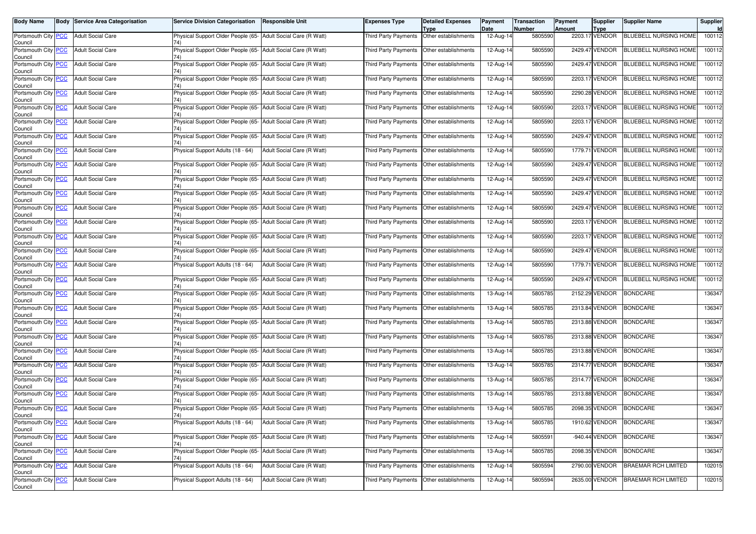| Body Name                                     |            | <b>Body Service Area Categorisation</b> | <b>Service Division Categorisation</b>                               | Responsible Unit           | <b>Expenses Type</b>                        | <b>Detailed Expenses</b>                    | Payment                         | Transaction       | Payment | <b>Supplier</b>               | <b>Supplier Name</b>         | Supplier      |
|-----------------------------------------------|------------|-----------------------------------------|----------------------------------------------------------------------|----------------------------|---------------------------------------------|---------------------------------------------|---------------------------------|-------------------|---------|-------------------------------|------------------------------|---------------|
| Portsmouth City PCC<br>Council                |            | <b>Adult Social Care</b>                | Physical Support Older People (65- Adult Social Care (R Watt)        |                            | Third Party Payments                        | Type<br>Other establishments                | Date<br>$\overline{12}$ -Aug-14 | Number<br>5805590 | Amount  | <b>Type</b><br>2203.17 VENDOR | <b>BLUEBELL NURSING HOME</b> | ld.<br>100112 |
| Portsmouth City PCC<br>Council                |            | <b>Adult Social Care</b>                | Physical Support Older People (65- Adult Social Care (R Watt)        |                            | Third Party Payments                        | Other establishments                        | 12-Aug-14                       | 5805590           |         | 2429.47 VENDOR                | <b>BLUEBELL NURSING HOME</b> | 100112        |
| Portsmouth City PCC<br>Council                |            | <b>Adult Social Care</b>                | Physical Support Older People (65- Adult Social Care (R Watt)        |                            | Third Party Payments                        | Other establishments                        | 12-Aug-14                       | 5805590           |         | 2429.47 VENDOR                | <b>BLUEBELL NURSING HOME</b> | 100112        |
| Portsmouth City PCC<br>Council                |            | <b>Adult Social Care</b>                | Physical Support Older People (65- Adult Social Care (R Watt)        |                            |                                             | Third Party Payments   Other establishments | 12-Aug-14                       | 5805590           |         | 2203.17 VENDOR                | BLUEBELL NURSING HOME        | 100112        |
| Portsmouth City PCC<br>Council                |            | <b>Adult Social Care</b>                | Physical Support Older People (65- Adult Social Care (R Watt)<br>74) |                            | Third Party Payments                        | Other establishments                        | 12-Aug-14                       | 5805590           |         | 2290.28 VENDOR                | BLUEBELL NURSING HOME        | 100112        |
| Portsmouth City PCC<br>Council                |            | <b>Adult Social Care</b>                | Physical Support Older People (65- Adult Social Care (R Watt)        |                            | Third Party Payments                        | Other establishments                        | 12-Aug-14                       | 5805590           |         | 2203.17 VENDOR                | BLUEBELL NURSING HOME        | 100112        |
| Portsmouth City PCC<br>Council                |            | <b>Adult Social Care</b>                | Physical Support Older People (65- Adult Social Care (R Watt)        |                            | Third Party Payments                        | Other establishments                        | 12-Aug-14                       | 5805590           |         | 2203.17 VENDOR                | BLUEBELL NURSING HOME        | 100112        |
| Portsmouth City PCC<br>Council                |            | <b>Adult Social Care</b>                | Physical Support Older People (65- Adult Social Care (R Watt)        |                            |                                             | Third Party Payments Other establishments   | 12-Aug-14                       | 5805590           |         | 2429.47 VENDOR                | BLUEBELL NURSING HOME        | 100112        |
| Portsmouth City PCC<br>Council                |            | <b>Adult Social Care</b>                | Physical Support Adults (18 - 64)                                    | Adult Social Care (R Watt) |                                             | Third Party Payments   Other establishments | 12-Aug-14                       | 5805590           |         | 1779.71 VENDOR                | BLUEBELL NURSING HOME        | 100112        |
| Portsmouth City PCC<br>Council                |            | <b>Adult Social Care</b>                | Physical Support Older People (65- Adult Social Care (R Watt)        |                            | Third Party Payments                        | Other establishments                        | 12-Aug-14                       | 5805590           |         | 2429.47 VENDOR                | BLUEBELL NURSING HOME        | 100112        |
| Portsmouth City PCC<br>Council                |            | <b>Adult Social Care</b>                | Physical Support Older People (65- Adult Social Care (R Watt)<br>74) |                            | <b>Third Party Payments</b>                 | Other establishments                        | 12-Aug-14                       | 5805590           |         | 2429.47 VENDOR                | BLUEBELL NURSING HOME        | 100112        |
| Portsmouth City <b>PCC</b><br>Council         |            | <b>Adult Social Care</b>                | Physical Support Older People (65- Adult Social Care (R Watt)        |                            |                                             | Third Party Payments   Other establishments | 12-Aug-14                       | 5805590           |         | 2429.47 VENDOR                | BLUEBELL NURSING HOME        | 100112        |
| Portsmouth City PCC<br>Council                |            | <b>Adult Social Care</b>                | Physical Support Older People (65- Adult Social Care (R Watt)        |                            | Third Party Payments                        | Other establishments                        | 12-Aug-14                       | 5805590           |         | 2429.47 VENDOR                | BLUEBELL NURSING HOME        | 100112        |
| Portsmouth City PCC<br>Council                |            | <b>Adult Social Care</b>                | Physical Support Older People (65- Adult Social Care (R Watt)        |                            |                                             | Third Party Payments   Other establishments | 12-Aug-14                       | 5805590           |         | 2203.17 VENDOR                | BLUEBELL NURSING HOME        | 100112        |
| Portsmouth City PCC<br>Council                |            | <b>Adult Social Care</b>                | Physical Support Older People (65- Adult Social Care (R Watt)        |                            |                                             | Third Party Payments   Other establishments | 12-Aug-14                       | 5805590           |         | 2203.17 VENDOR                | BLUEBELL NURSING HOME        | 100112        |
| Portsmouth City PCC<br>Council                |            | <b>Adult Social Care</b>                | Physical Support Older People (65- Adult Social Care (R Watt)        |                            | Third Party Payments                        | Other establishments                        | 12-Aug-14                       | 5805590           |         | 2429.47 VENDOR                | BLUEBELL NURSING HOME        | 100112        |
| Portsmouth City PCC<br>Council                |            | <b>Adult Social Care</b>                | Physical Support Adults (18 - 64)                                    | Adult Social Care (R Watt) | Third Party Payments Other establishments   |                                             | 12-Aug-14                       | 5805590           |         | 1779.71 VENDOR                | <b>BLUEBELL NURSING HOME</b> | 100112        |
| Portsmouth City PCC<br>Council                |            | <b>Adult Social Care</b>                | Physical Support Older People (65- Adult Social Care (R Watt)        |                            |                                             | Third Party Payments   Other establishments | 12-Aug-14                       | 5805590           |         | 2429.47 VENDOR                | BLUEBELL NURSING HOME        | 100112        |
| Portsmouth City PCC<br>Council                |            | <b>Adult Social Care</b>                | Physical Support Older People (65- Adult Social Care (R Watt)        |                            | Third Party Payments                        | Other establishments                        | 13-Aug-14                       | 5805785           |         | 2152.29 VENDOR                | <b>BONDCARE</b>              | 136347        |
| Portsmouth City<br>Council                    | <b>PCC</b> | <b>Adult Social Care</b>                | Physical Support Older People (65- Adult Social Care (R Watt)        |                            | Third Party Payments                        | Other establishments                        | 13-Aug-14                       | 5805785           |         | 2313.84 VENDOR                | <b>BONDCARE</b>              | 136347        |
| Portsmouth City PCC<br>Council                |            | <b>Adult Social Care</b>                | Physical Support Older People (65- Adult Social Care (R Watt)        |                            |                                             | Third Party Payments   Other establishments | 13-Aug-14                       | 5805785           |         | 2313.88 VENDOR                | <b>BONDCARE</b>              | 136347        |
| Portsmouth City <b>PCC</b><br>Council         |            | <b>Adult Social Care</b>                | Physical Support Older People (65- Adult Social Care (R Watt)<br>74) |                            | Third Party Payments                        | Other establishments                        | 13-Aug-14                       | 5805785           |         | 2313.88 VENDOR                | <b>BONDCARE</b>              | 136347        |
| Portsmouth City PCC<br>Council                |            | <b>Adult Social Care</b>                | Physical Support Older People (65- Adult Social Care (R Watt)        |                            | Third Party Payments                        | Other establishments                        | 13-Aug-14                       | 5805785           |         | 2313.88 VENDOR                | <b>BONDCARE</b>              | 136347        |
| Portsmouth City PCC<br>Council                |            | <b>Adult Social Care</b>                | Physical Support Older People (65- Adult Social Care (R Watt)        |                            | Third Party Payments                        | Other establishments                        | 13-Aug-14                       | 5805785           |         | 2314.77 VENDOR                | <b>BONDCARE</b>              | 136347        |
| Portsmouth City PCC<br>Council                |            | <b>Adult Social Care</b>                | Physical Support Older People (65- Adult Social Care (R Watt)<br>74) |                            | Third Party Payments                        | Other establishments                        | 13-Aug-14                       | 5805785           |         | 2314.77 VENDOR                | <b>BONDCARE</b>              | 136347        |
| Portsmouth City PCC<br>Council                |            | <b>Adult Social Care</b>                | Physical Support Older People (65- Adult Social Care (R Watt)        |                            | Third Party Payments   Other establishments |                                             | 13-Aug-14                       | 5805785           |         | 2313.88 VENDOR                | <b>BONDCARE</b>              | 136347        |
| Portsmouth City PCC<br>Council                |            | <b>Adult Social Care</b>                | Physical Support Older People (65- Adult Social Care (R Watt)<br>74) |                            |                                             | Third Party Payments   Other establishments | 13-Aug-14                       | 5805785           |         | 2098.35 VENDOR                | <b>BONDCARE</b>              | 136347        |
| Portsmouth City <mark>  PCC</mark><br>Council |            | <b>Adult Social Care</b>                | Physical Support Adults (18 - 64)                                    | Adult Social Care (R Watt) | Third Party Payments   Other establishments |                                             | 13-Aug-14                       | 5805785           |         |                               | 1910.62 VENDOR BONDCARE      | 136347        |
| Portsmouth City PCC<br>Council                |            | <b>Adult Social Care</b>                | Physical Support Older People (65- Adult Social Care (R Watt)        |                            |                                             | Third Party Payments Other establishments   | 12-Aug-14                       | 5805591           |         | -940.44 VENDOR                | <b>BONDCARE</b>              | 136347        |
| Portsmouth City PCC<br>Council                |            | <b>Adult Social Care</b>                | Physical Support Older People (65- Adult Social Care (R Watt)<br>74) |                            | Third Party Payments                        | Other establishments                        | 13-Aug-14                       | 5805785           |         | 2098.35 VENDOR                | <b>BONDCARE</b>              | 136347        |
| Portsmouth City PCC<br>Council                |            | <b>Adult Social Care</b>                | Physical Support Adults (18 - 64)                                    | Adult Social Care (R Watt) |                                             | Third Party Payments Other establishments   | 12-Aug-14                       | 5805594           |         | 2790.00 VENDOR                | <b>BRAEMAR RCH LIMITED</b>   | 102015        |
| Portsmouth City PCC<br>Council                |            | <b>Adult Social Care</b>                | Physical Support Adults (18 - 64)                                    | Adult Social Care (R Watt) |                                             | Third Party Payments  Other establishments  | 12-Aug-14                       | 5805594           |         | 2635.00 VENDOR                | <b>BRAEMAR RCH LIMITED</b>   | 102015        |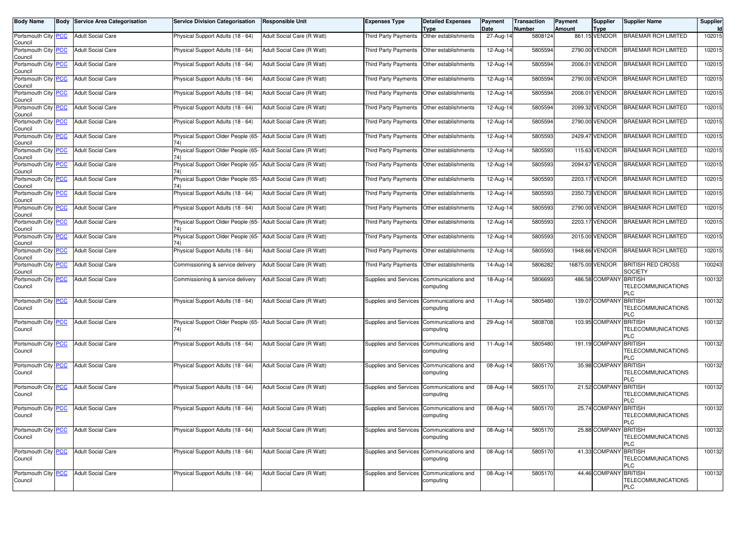| Body Name                             | <b>Body Service Area Categorisation</b> | <b>Service Division Categorisation</b>                               | Responsible Unit           | <b>Expenses Type</b>                        | <b>Detailed Expenses</b><br><b>Type</b> | Payment<br>Date | Transaction<br>Number | Payment<br>Amount | <b>Supplier</b><br><b>Type</b> | <b>Supplier Name</b>                       | Supplier<br><b>Id</b> |
|---------------------------------------|-----------------------------------------|----------------------------------------------------------------------|----------------------------|---------------------------------------------|-----------------------------------------|-----------------|-----------------------|-------------------|--------------------------------|--------------------------------------------|-----------------------|
| Portsmouth City PCC<br>Council        | <b>Adult Social Care</b>                | Physical Support Adults (18 - 64)                                    | Adult Social Care (R Watt) | Third Party Payments                        | Other establishments                    | 27-Aug-14       | 5808124               |                   | 861.15 VENDOR                  | <b>BRAEMAR RCH LIMITED</b>                 | 102015                |
| Portsmouth City PCC<br>Council        | <b>Adult Social Care</b>                | Physical Support Adults (18 - 64)                                    | Adult Social Care (R Watt) | Third Party Payments                        | Other establishments                    | 12-Aug-14       | 5805594               |                   | 2790.00 VENDOR                 | <b>BRAEMAR RCH LIMITED</b>                 | 102015                |
| Portsmouth City PCC<br>Council        | <b>Adult Social Care</b>                | Physical Support Adults (18 - 64)                                    | Adult Social Care (R Watt) | Third Party Payments                        | Other establishments                    | 12-Aug-14       | 5805594               |                   | 2006.01 VENDOR                 | <b>BRAEMAR RCH LIMITED</b>                 | 102015                |
| Portsmouth City PCC<br>Council        | <b>Adult Social Care</b>                | Physical Support Adults (18 - 64)                                    | Adult Social Care (R Watt) | Third Party Payments   Other establishments |                                         | 12-Aug-14       | 5805594               |                   | 2790.00 VENDOR                 | <b>BRAEMAR RCH LIMITED</b>                 | 102015                |
| Portsmouth City PCC<br>Council        | <b>Adult Social Care</b>                | Physical Support Adults (18 - 64)                                    | Adult Social Care (R Watt) | Third Party Payments                        | Other establishments                    | 12-Aug-14       | 5805594               |                   | 2006.01 VENDOR                 | <b>BRAEMAR RCH LIMITED</b>                 | 102015                |
| Portsmouth City PCC<br>Council        | <b>Adult Social Care</b>                | Physical Support Adults (18 - 64)                                    | Adult Social Care (R Watt) | Third Party Payments                        | Other establishments                    | 12-Aug-14       | 5805594               |                   | 2099.32 VENDOR                 | BRAEMAR RCH LIMITED                        | 102015                |
| Portsmouth City PCC<br>Council        | <b>Adult Social Care</b>                | Physical Support Adults (18 - 64)                                    | Adult Social Care (R Watt) | Third Party Payments                        | Other establishments                    | 12-Aug-14       | 5805594               |                   | 2790.00 VENDOR                 | <b>BRAEMAR RCH LIMITED</b>                 | 102015                |
| Portsmouth City PCC<br>Council        | <b>Adult Social Care</b>                | Physical Support Older People (65- Adult Social Care (R Watt)        |                            | Third Party Payments   Other establishments |                                         | 12-Aug-14       | 5805593               |                   | 2429.47 VENDOR                 | <b>BRAEMAR RCH LIMITED</b>                 | 102015                |
| Portsmouth City PCC<br>Council        | <b>Adult Social Care</b>                | Physical Support Older People (65- Adult Social Care (R Watt)        |                            | Third Party Payments   Other establishments |                                         | 12-Aug-14       | 5805593               |                   | 115.63 VENDOR                  | <b>BRAEMAR RCH LIMITED</b>                 | 102015                |
| Portsmouth City PCC<br>Council        | <b>Adult Social Care</b>                | Physical Support Older People (65- Adult Social Care (R Watt)        |                            | Third Party Payments                        | Other establishments                    | 12-Aug-14       | 5805593               |                   | 2094.67 VENDOR                 | <b>BRAEMAR RCH LIMITED</b>                 | 102015                |
| Portsmouth City PCC<br>Council        | <b>Adult Social Care</b>                | Physical Support Older People (65- Adult Social Care (R Watt)<br>74) |                            | Third Party Payments                        | Other establishments                    | 12-Aug-14       | 5805593               |                   | 2203.17 VENDOR                 | <b>BRAEMAR RCH LIMITED</b>                 | 102015                |
| Portsmouth City PCC<br>Council        | <b>Adult Social Care</b>                | Physical Support Adults (18 - 64)                                    | Adult Social Care (R Watt) | Third Party Payments   Other establishments |                                         | 12-Aug-14       | 5805593               |                   | 2350.73 VENDOR                 | <b>BRAEMAR RCH LIMITED</b>                 | 102015                |
| Portsmouth City PCC<br>Council        | <b>Adult Social Care</b>                | Physical Support Adults (18 - 64)                                    | Adult Social Care (R Watt) | Third Party Payments                        | Other establishments                    | 12-Aug-14       | 5805593               |                   | 2790.00 VENDOR                 | <b>BRAEMAR RCH LIMITED</b>                 | 102015                |
| Portsmouth City PCC<br>Council        | <b>Adult Social Care</b>                | Physical Support Older People (65- Adult Social Care (R Watt)        |                            | Third Party Payments                        | Other establishments                    | 12-Aug-14       | 5805593               |                   | 2203.17 VENDOR                 | <b>BRAEMAR RCH LIMITED</b>                 | 102015                |
| Portsmouth City PCC<br>Council        | <b>Adult Social Care</b>                | Physical Support Older People (65- Adult Social Care (R Watt)        |                            | Third Party Payments   Other establishments |                                         | 12-Aug-14       | 5805593               |                   | 2015.00 VENDOR                 | <b>BRAEMAR RCH LIMITED</b>                 | 102015                |
| Portsmouth City PCC<br>Council        | <b>Adult Social Care</b>                | Physical Support Adults (18 - 64)                                    | Adult Social Care (R Watt) | Third Party Payments                        | Other establishments                    | 12-Aug-14       | 5805593               |                   | 1948.66 VENDOR                 | <b>BRAEMAR RCH LIMITED</b>                 | 102015                |
| Portsmouth City PCC<br>Council        | <b>Adult Social Care</b>                | Commissioning & service delivery                                     | Adult Social Care (R Watt) | Third Party Payments                        | Other establishments                    | 14-Aug-14       | 5806282               |                   | 16875.00 VENDOR                | <b>BRITISH RED CROSS</b><br><b>SOCIETY</b> | 100243                |
| Portsmouth City PCC<br>Council        | <b>Adult Social Care</b>                | Commissioning & service delivery                                     | Adult Social Care (R Watt) | Supplies and Services Communications and    | computing                               | 18-Aug-14       | 5806693               |                   | 486.58 COMPANY BRITISH         | <b>TELECOMMUNICATIONS</b><br>PLC           | 100132                |
| Portsmouth City PCC<br>Council        | <b>Adult Social Care</b>                | Physical Support Adults (18 - 64)                                    | Adult Social Care (R Watt) | Supplies and Services Communications and    | computing                               | 11-Aug-14       | 5805480               |                   | 139.07 COMPANY BRITISH         | <b>TELECOMMUNICATIONS</b><br>PLC           | 100132                |
| Portsmouth City <b>PCC</b><br>Council | <b>Adult Social Care</b>                | Physical Support Older People (65- Adult Social Care (R Watt)<br>74) |                            | Supplies and Services                       | Communications and<br>computing         | 29-Aug-14       | 5808708               |                   | 103.95 COMPANY BRITISH         | <b>TELECOMMUNICATIONS</b><br><b>PLC</b>    | 100132                |
| Portsmouth City PCC<br>Council        | <b>Adult Social Care</b>                | Physical Support Adults (18 - 64)                                    | Adult Social Care (R Watt) | Supplies and Services                       | Communications and<br>computing         | 11-Aug-14       | 5805480               |                   | 191.19 COMPANY BRITISH         | <b>TELECOMMUNICATIONS</b><br>PLC           | 100132                |
| Portsmouth City PCC<br>Council        | <b>Adult Social Care</b>                | Physical Support Adults (18 - 64)                                    | Adult Social Care (R Watt) | Supplies and Services Communications and    | computing                               | 08-Aug-14       | 5805170               |                   | 35.98 COMPANY BRITISH          | <b>TELECOMMUNICATIONS</b><br>PLC           | 100132                |
| Portsmouth City PCC<br>Council        | <b>Adult Social Care</b>                | Physical Support Adults (18 - 64)                                    | Adult Social Care (R Watt) | Supplies and Services Communications and    | computing                               | 08-Aug-14       | 5805170               |                   | 21.52 COMPANY BRITISH          | <b>TELECOMMUNICATIONS</b><br>PLC           | 100132                |
| Portsmouth City PCC<br>Council        | <b>Adult Social Care</b>                | Physical Support Adults (18 - 64)                                    | Adult Social Care (R Watt) | Supplies and Services                       | Communications and<br>computing         | 08-Aug-14       | 5805170               |                   | 25.74 COMPANY BRITISH          | <b>TELECOMMUNICATIONS</b><br>PLC           | 100132                |
| Portsmouth City PCC<br>Council        | <b>Adult Social Care</b>                | Physical Support Adults (18 - 64)                                    | Adult Social Care (R Watt) | Supplies and Services Communications and    | computing                               | 08-Aug-14       | 5805170               |                   | 25.88 COMPANY BRITISH          | <b>TELECOMMUNICATIONS</b><br><b>PLC</b>    | 100132                |
| Portsmouth City PCC<br>Council        | <b>Adult Social Care</b>                | Physical Support Adults (18 - 64)                                    | Adult Social Care (R Watt) | Supplies and Services Communications and    | computing                               | 08-Aug-14       | 5805170               |                   | 41.33 COMPANY BRITISH          | <b>TELECOMMUNICATIONS</b><br><b>PLC</b>    | 100132                |
| Portsmouth City PCC<br>Council        | <b>Adult Social Care</b>                | Physical Support Adults (18 - 64)                                    | Adult Social Care (R Watt) | Supplies and Services                       | Communications and<br>computing         | 08-Aug-14       | 5805170               |                   | 44.46 COMPANY BRITISH          | <b>TELECOMMUNICATIONS</b><br>PLC           | 100132                |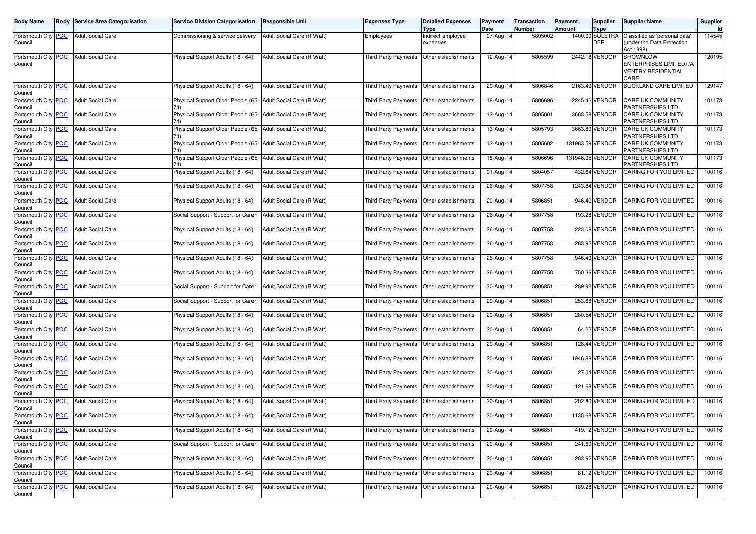| <b>Body Name</b>               | <b>Body</b> | <b>Service Area Categorisation</b> | <b>Service Division Categorisation</b>                               | <b>Responsible Unit</b>    | <b>Expenses Type</b>                        | <b>Detailed Expenses</b><br>Type | Payment<br>Date         | <b>Transaction</b><br>Number | Payment<br><b>Amount</b> | Supplier<br>Type              | <b>Supplier Name</b>                                                           | Supplier<br><b>Id</b> |
|--------------------------------|-------------|------------------------------------|----------------------------------------------------------------------|----------------------------|---------------------------------------------|----------------------------------|-------------------------|------------------------------|--------------------------|-------------------------------|--------------------------------------------------------------------------------|-----------------------|
| Portsmouth City PCC<br>Council |             | <b>Adult Social Care</b>           | Commissioning & service delivery                                     | Adult Social Care (R Watt) | Employees                                   | Indirect employee<br>expenses    | $\overline{0}$ 7-Aug-14 | 5805002                      |                          | 1400.00 SOLETRA<br><b>DER</b> | Classified as 'personal data'<br>under the Data Protection<br>Act 1998)        | 114545                |
| Portsmouth City PCC<br>Council |             | <b>Adult Social Care</b>           | Physical Support Adults (18 - 64)                                    | Adult Social Care (R Watt) | Third Party Payments                        | Other establishments             | 12-Aug-14               | 5805599                      |                          | 2442.18 VENDOR                | <b>BROWNLOW</b><br>ENTERPRISES LIMITEDT/A<br><b>VENTRY RESIDENTIAL</b><br>CARE | 120195                |
| Portsmouth City PCC<br>Council |             | <b>Adult Social Care</b>           | Physical Support Adults (18 - 64)                                    | Adult Social Care (R Watt) | Third Party Payments                        | Other establishments             | 20-Aug-14               | 5806846                      |                          | 2163.49 VENDOR                | <b>BUCKLAND CARE LIMITED</b>                                                   | 129147                |
| Portsmouth City PCC<br>Council |             | <b>Adult Social Care</b>           | Physical Support Older People (65- Adult Social Care (R Watt)        |                            | Third Party Payments                        | Other establishments             | 18-Aug-14               | 5806696                      |                          | -2245.42 VENDOR               | <b>CARE UK COMMUNITY</b><br>PARTNERSHIPS LTD                                   | 101173                |
| Portsmouth City PCC<br>Council |             | <b>Adult Social Care</b>           | Physical Support Older People (65- Adult Social Care (R Watt)<br>74) |                            | Third Party Payments                        | Other establishments             | 12-Aug-14               | 5805601                      |                          | 3663.58 VENDOR                | <b>CARE UK COMMUNITY</b><br>PARTNERSHIPS LTD                                   | 101173                |
| Portsmouth City PCC<br>Council |             | <b>Adult Social Care</b>           | Physical Support Older People (65- Adult Social Care (R Watt)        |                            | Third Party Payments                        | Other establishments             | 13-Aug-14               | 5805793                      |                          | 3663.89 VENDOR                | CARE UK COMMUNITY<br>PARTNERSHIPS LTD                                          | 101173                |
| Portsmouth City PCC<br>Council |             | <b>Adult Social Care</b>           | Physical Support Older People (65- Adult Social Care (R Watt)        |                            | Third Party Payments                        | Other establishments             | 12-Aug-14               | 5805602                      |                          | 131983.59 VENDOR              | <b>CARE UK COMMUNITY</b><br>PARTNERSHIPS LTD                                   | 101173                |
| Portsmouth City PCC<br>Council |             | <b>Adult Social Care</b>           | Physical Support Older People (65- Adult Social Care (R Watt)        |                            | Third Party Payments                        | Other establishments             | 18-Aug-14               | 5806696                      |                          | 131946.05 VENDOR              | CARE UK COMMUNITY<br>PARTNERSHIPS LTD                                          | 101173                |
| Portsmouth City PCC<br>Council |             | <b>Adult Social Care</b>           | Physical Support Adults (18 - 64)                                    | Adult Social Care (R Watt) | Third Party Payments                        | Other establishments             | 01-Aug-14               | 5804057                      |                          | 432.64 VENDOR                 | CARING FOR YOU LIMITED                                                         | 100116                |
| Portsmouth City PCC<br>Council |             | <b>Adult Social Care</b>           | Physical Support Adults (18 - 64)                                    | Adult Social Care (R Watt) | Third Party Payments                        | Other establishments             | 26-Aug-14               | 5807758                      |                          | 1243.84 VENDOR                | CARING FOR YOU LIMITED                                                         | 100116                |
| Portsmouth City PCC<br>Council |             | <b>Adult Social Care</b>           | Physical Support Adults (18 - 64)                                    | Adult Social Care (R Watt) | Third Party Payments                        | Other establishments             | 20-Aug-14               | 5806851                      |                          | 946.40 VENDOR                 | CARING FOR YOU LIMITED                                                         | 100116                |
| Portsmouth City PCC<br>Council |             | <b>Adult Social Care</b>           | Social Support - Support for Carer                                   | Adult Social Care (R Watt) | Third Party Payments                        | Other establishments             | 26-Aug-14               | 5807758                      |                          | 193.28 VENDOR                 | CARING FOR YOU LIMITED                                                         | 100116                |
| Portsmouth City PCC<br>Council |             | <b>Adult Social Care</b>           | Physical Support Adults (18 - 64)                                    | Adult Social Care (R Watt) | Third Party Payments                        | Other establishments             | 26-Aug-14               | 5807758                      |                          | 223.08 VENDOR                 | CARING FOR YOU LIMITED                                                         | 100116                |
| Portsmouth City PCC<br>Council |             | <b>Adult Social Care</b>           | Physical Support Adults (18 - 64)                                    | Adult Social Care (R Watt) | Third Party Payments                        | Other establishments             | 26-Aug-14               | 5807758                      |                          | 283.92 VENDOR                 | CARING FOR YOU LIMITED                                                         | 100116                |
| Portsmouth City PCC<br>Council |             | <b>Adult Social Care</b>           | Physical Support Adults (18 - 64)                                    | Adult Social Care (R Watt) | Third Party Payments                        | Other establishments             | 26-Aug-14               | 5807758                      |                          | 946.40 VENDOR                 | CARING FOR YOU LIMITED                                                         | 100116                |
| Portsmouth City PCC<br>Council |             | <b>Adult Social Care</b>           | Physical Support Adults (18 - 64)                                    | Adult Social Care (R Watt) | Third Party Payments                        | Other establishments             | 26-Aug-14               | 5807758                      |                          | 750.36 VENDOR                 | CARING FOR YOU LIMITED                                                         | 100116                |
| Portsmouth City PCC<br>Council |             | <b>Adult Social Care</b>           | Social Support - Support for Carer                                   | Adult Social Care (R Watt) | Third Party Payments                        | Other establishments             | 20-Aug-14               | 5806851                      |                          | 289.92 VENDOR                 | CARING FOR YOU LIMITED                                                         | 100116                |
| Portsmouth City PCC<br>Council |             | <b>Adult Social Care</b>           | Social Support - Support for Carer                                   | Adult Social Care (R Watt) | Third Party Payments                        | Other establishments             | 20-Aug-14               | 5806851                      |                          | 253.68 VENDOR                 | CARING FOR YOU LIMITED                                                         | 100116                |
| Portsmouth City PCC<br>Council |             | <b>Adult Social Care</b>           | Physical Support Adults (18 - 64)                                    | Adult Social Care (R Watt) | Third Party Payments                        | Other establishments             | 20-Aug-14               | 5806851                      |                          | 280.54 VENDOR                 | CARING FOR YOU LIMITED                                                         | 100116                |
| Portsmouth City PCC<br>Council |             | <b>Adult Social Care</b>           | Physical Support Adults (18 - 64)                                    | Adult Social Care (R Watt) | Third Party Payments                        | Other establishments             | 20-Aug-14               | 5806851                      |                          | 64.22 VENDOR                  | CARING FOR YOU LIMITED                                                         | 100116                |
| Portsmouth City PCC<br>Council |             | <b>Adult Social Care</b>           | Physical Support Adults (18 - 64)                                    | Adult Social Care (R Watt) | Third Party Payments                        | Other establishments             | 20-Aug-14               | 5806851                      |                          | 128.44 VENDOR                 | CARING FOR YOU LIMITED                                                         | 100116                |
| Portsmouth City PCC<br>Council |             | <b>Adult Social Care</b>           | Physical Support Adults (18 - 64)                                    | Adult Social Care (R Watt) | Third Party Payments                        | Other establishments             | 20-Aug-14               | 5806851                      |                          | 1946.88 VENDOR                | CARING FOR YOU LIMITED                                                         | 100116                |
| Portsmouth City PCC<br>Council |             | <b>Adult Social Care</b>           | Physical Support Adults (18 - 64)                                    | Adult Social Care (R Watt) | <b>Third Party Payments</b>                 | Other establishments             | 20-Aug-14               | 5806851                      |                          | 27.04 VENDOR                  | CARING FOR YOU LIMITED                                                         | 100116                |
| Portsmouth City PCC<br>Council |             | <b>Adult Social Care</b>           | Physical Support Adults (18 - 64)                                    | Adult Social Care (R Watt) | Third Party Payments                        | Other establishments             | 20-Aug-14               | 5806851                      |                          | 121.68 VENDOR                 | CARING FOR YOU LIMITED                                                         | 100116                |
| Portsmouth City PCC<br>Council |             | <b>Adult Social Care</b>           | Physical Support Adults (18 - 64)                                    | Adult Social Care (R Watt) | Third Party Payments                        | Other establishments             | 20-Aug-14               | 5806851                      |                          | 202.80 VENDOR                 | CARING FOR YOU LIMITED                                                         | 100116                |
| Portsmouth City PCC<br>Council |             | <b>Adult Social Care</b>           | Physical Support Adults (18 - 64)                                    | Adult Social Care (R Watt) | Third Party Payments   Other establishments |                                  | 20-Aug-14               | 5806851                      |                          | 1135.68 VENDOR                | CARING FOR YOU LIMITED                                                         | 100116                |
| Portsmouth City PCC<br>Council |             | <b>Adult Social Care</b>           | Physical Support Adults (18 - 64)                                    | Adult Social Care (R Watt) | Third Party Payments Other establishments   |                                  | $20 - Aug-14$           | 5806851                      |                          | 419.12 VENDOR                 | CARING FOR YOU LIMITED                                                         | 100116                |
| Portsmouth City PCC<br>Council |             | <b>Adult Social Care</b>           | Social Support - Support for Carer                                   | Adult Social Care (R Watt) | Third Party Payments                        | Other establishments             | 20-Aug-14               | 5806851                      |                          | 241.60 VENDOR                 | CARING FOR YOU LIMITED                                                         | 100116                |
| Portsmouth City PCC<br>Council |             | <b>Adult Social Care</b>           | Physical Support Adults (18 - 64)                                    | Adult Social Care (R Watt) | Third Party Payments                        | Other establishments             | 20-Aug-14               | 5806851                      |                          | 283.92 VENDOR                 | CARING FOR YOU LIMITED                                                         | 100116                |
| Portsmouth City PCC<br>Council |             | <b>Adult Social Care</b>           | Physical Support Adults (18 - 64)                                    | Adult Social Care (R Watt) | Third Party Payments                        | Other establishments             | 20-Aug-14               | 5806851                      |                          | 81.12 VENDOR                  | CARING FOR YOU LIMITED                                                         | 100116                |
| Portsmouth City PCC<br>Council |             | <b>Adult Social Care</b>           | Physical Support Adults (18 - 64)                                    | Adult Social Care (R Watt) | Third Party Payments                        | Other establishments             | 20-Aug-14               | 5806851                      |                          | 189.28 VENDOR                 | CARING FOR YOU LIMITED                                                         | 100116                |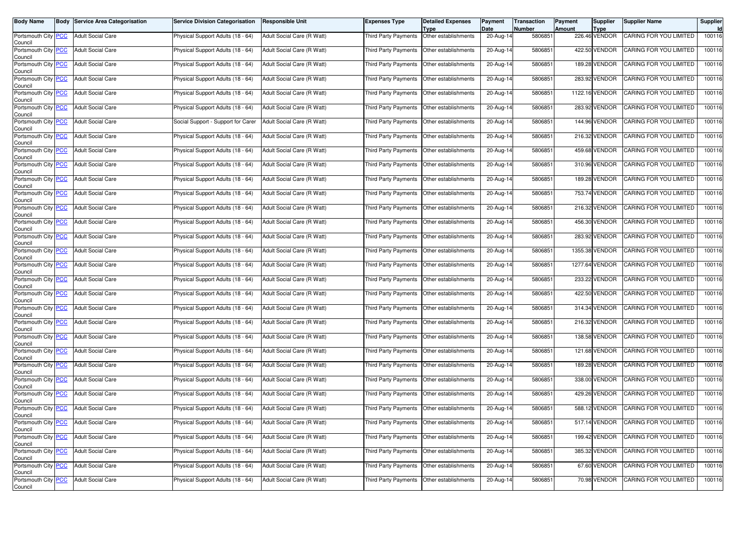| <b>Body Name</b>                              | <b>Body Service Area Categorisation</b> | <b>Service Division Categorisation</b> | <b>Responsible Unit</b>    | Expenses Type                               | <b>Detailed Expenses</b>                    | Payment<br>Date | Transaction<br>Number | Payment<br>Amount | <b>Supplier</b><br><b>Type</b> | <b>Supplier Name</b>          | Supplier<br><b>Id</b> |
|-----------------------------------------------|-----------------------------------------|----------------------------------------|----------------------------|---------------------------------------------|---------------------------------------------|-----------------|-----------------------|-------------------|--------------------------------|-------------------------------|-----------------------|
| Portsmouth City PCC<br>Council                | <b>Adult Social Care</b>                | Physical Support Adults (18 - 64)      | Adult Social Care (R Watt) | Third Party Payments                        | Type<br>Other establishments                | 20-Aug-14       | 5806851               |                   | 226.46 VENDOR                  | CARING FOR YOU LIMITED        | 100116                |
| Portsmouth City PCC<br>Council                | <b>Adult Social Care</b>                | Physical Support Adults (18 - 64)      | Adult Social Care (R Watt) | Third Party Payments                        | Other establishments                        | 20-Aug-14       | 5806851               |                   | 422.50 VENDOR                  | CARING FOR YOU LIMITED        | 100116                |
| Portsmouth City <b>PCC</b><br>Council         | <b>Adult Social Care</b>                | Physical Support Adults (18 - 64)      | Adult Social Care (R Watt) | Third Party Payments                        | Other establishments                        | 20-Aug-14       | 5806851               |                   | 189.28 VENDOR                  | CARING FOR YOU LIMITED        | 100116                |
| Portsmouth City <mark>PCC</mark><br>Council   | <b>Adult Social Care</b>                | Physical Support Adults (18 - 64)      | Adult Social Care (R Watt) |                                             | Third Party Payments   Other establishments | 20-Aug-14       | 5806851               |                   | 283.92 VENDOR                  | CARING FOR YOU LIMITED        | 100116                |
| Portsmouth City PCC<br>Council                | <b>Adult Social Care</b>                | Physical Support Adults (18 - 64)      | Adult Social Care (R Watt) | Third Party Payments                        | Other establishments                        | 20-Aug-14       | 5806851               |                   | 1122.16 VENDOR                 | CARING FOR YOU LIMITED        | 100116                |
| Portsmouth City PCC<br>Council                | <b>Adult Social Care</b>                | Physical Support Adults (18 - 64)      | Adult Social Care (R Watt) | Third Party Payments                        | Other establishments                        | 20-Aug-14       | 5806851               |                   | 283.92 VENDOR                  | CARING FOR YOU LIMITED        | 100116                |
| Portsmouth City PCC<br>Council                | <b>Adult Social Care</b>                | Social Support - Support for Carer     | Adult Social Care (R Watt) | Third Party Payments                        | Other establishments                        | 20-Aug-14       | 5806851               |                   | 144.96 VENDOR                  | CARING FOR YOU LIMITED        | 100116                |
| Portsmouth City PCC<br>Council                | <b>Adult Social Care</b>                | Physical Support Adults (18 - 64)      | Adult Social Care (R Watt) | <b>Third Party Payments</b>                 | Other establishments                        | 20-Aug-14       | 5806851               |                   | 216.32 VENDOR                  | CARING FOR YOU LIMITED        | 100116                |
| Portsmouth City PCC<br>Council                | <b>Adult Social Care</b>                | Physical Support Adults (18 - 64)      | Adult Social Care (R Watt) | Third Party Payments                        | Other establishments                        | 20-Aug-14       | 5806851               |                   | 459.68 VENDOR                  | CARING FOR YOU LIMITED        | 100116                |
| Portsmouth City PCC<br>Council                | <b>Adult Social Care</b>                | Physical Support Adults (18 - 64)      | Adult Social Care (R Watt) | Third Party Payments                        | Other establishments                        | 20-Aug-14       | 5806851               |                   | 310.96 VENDOR                  | CARING FOR YOU LIMITED        | 100116                |
| Portsmouth City PCC<br>Council                | <b>Adult Social Care</b>                | Physical Support Adults (18 - 64)      | Adult Social Care (R Watt) | <b>Third Party Payments</b>                 | Other establishments                        | 20-Aug-14       | 5806851               |                   | 189.28 VENDOR                  | CARING FOR YOU LIMITED        | 100116                |
| Portsmouth City PCC<br>Council                | <b>Adult Social Care</b>                | Physical Support Adults (18 - 64)      | Adult Social Care (R Watt) |                                             | Third Party Payments   Other establishments | 20-Aug-14       | 5806851               |                   | 753.74 VENDOR                  | CARING FOR YOU LIMITED        | 100116                |
| Portsmouth City PCC<br>Council                | <b>Adult Social Care</b>                | Physical Support Adults (18 - 64)      | Adult Social Care (R Watt) | Third Party Payments                        | Other establishments                        | 20-Aug-14       | 5806851               |                   | 216.32 VENDOR                  | CARING FOR YOU LIMITED        | 100116                |
| Portsmouth City PCC<br>Council                | <b>Adult Social Care</b>                | Physical Support Adults (18 - 64)      | Adult Social Care (R Watt) | Third Party Payments                        | Other establishments                        | 20-Aug-14       | 5806851               |                   | 456.30 VENDOR                  | CARING FOR YOU LIMITED        | 100116                |
| Portsmouth City PCC<br>Council                | <b>Adult Social Care</b>                | Physical Support Adults (18 - 64)      | Adult Social Care (R Watt) |                                             | Third Party Payments   Other establishments | 20-Aug-14       | 5806851               |                   | 283.92 VENDOR                  | CARING FOR YOU LIMITED        | 100116                |
| Portsmouth City PCC<br>Council                | <b>Adult Social Care</b>                | Physical Support Adults (18 - 64)      | Adult Social Care (R Watt) | Third Party Payments                        | Other establishments                        | 20-Aug-14       | 5806851               |                   | 1355.38 VENDOR                 | CARING FOR YOU LIMITED        | 100116                |
| Portsmouth City PCC<br>Council                | <b>Adult Social Care</b>                | Physical Support Adults (18 - 64)      | Adult Social Care (R Watt) | Third Party Payments                        | Other establishments                        | 20-Aug-14       | 5806851               |                   | 1277.64 VENDOR                 | CARING FOR YOU LIMITED        | 100116                |
| Portsmouth City PCC<br>Council                | <b>Adult Social Care</b>                | Physical Support Adults (18 - 64)      | Adult Social Care (R Watt) |                                             | Third Party Payments   Other establishments | 20-Aug-14       | 5806851               |                   | 233.22 VENDOR                  | CARING FOR YOU LIMITED        | 100116                |
| Portsmouth City PCC<br>Council                | <b>Adult Social Care</b>                | Physical Support Adults (18 - 64)      | Adult Social Care (R Watt) | Third Party Payments                        | Other establishments                        | 20-Aug-14       | 5806851               |                   | 422.50 VENDOR                  | CARING FOR YOU LIMITED        | 100116                |
| Portsmouth City PCC<br>Council                | <b>Adult Social Care</b>                | Physical Support Adults (18 - 64)      | Adult Social Care (R Watt) | <b>Third Party Payments</b>                 | Other establishments                        | 20-Aug-14       | 5806851               |                   | 314.34 VENDOR                  | CARING FOR YOU LIMITED        | 100116                |
| Portsmouth City PCC<br>Council                | <b>Adult Social Care</b>                | Physical Support Adults (18 - 64)      | Adult Social Care (R Watt) |                                             | Third Party Payments   Other establishments | 20-Aug-14       | 5806851               |                   | 216.32 VENDOR                  | CARING FOR YOU LIMITED        | 100116                |
| Portsmouth City PCC<br>Council                | <b>Adult Social Care</b>                | Physical Support Adults (18 - 64)      | Adult Social Care (R Watt) | Third Party Payments                        | Other establishments                        | 20-Aug-14       | 5806851               |                   | 138.58 VENDOR                  | CARING FOR YOU LIMITED        | 100116                |
| Portsmouth City PCC<br>Council                | <b>Adult Social Care</b>                | Physical Support Adults (18 - 64)      | Adult Social Care (R Watt) | <b>Third Party Payments</b>                 | Other establishments                        | 20-Aug-14       | 5806851               |                   | 121.68 VENDOR                  | CARING FOR YOU LIMITED        | 100116                |
| Portsmouth City PCC<br>Council                | <b>Adult Social Care</b>                | Physical Support Adults (18 - 64)      | Adult Social Care (R Watt) | Third Party Payments                        | Other establishments                        | $20-Aug-14$     | 5806851               |                   | 189.28 VENDOR                  | CARING FOR YOU LIMITED        | 100116                |
| Portsmouth City PCC<br>Council                | <b>Adult Social Care</b>                | Physical Support Adults (18 - 64)      | Adult Social Care (R Watt) | Third Party Payments                        | Other establishments                        | 20-Aug-14       | 5806851               |                   | 338.00 VENDOR                  | CARING FOR YOU LIMITED        | 100116                |
| Portsmouth City PCC<br>Council                | <b>Adult Social Care</b>                | Physical Support Adults (18 - 64)      | Adult Social Care (R Watt) | Third Party Payments   Other establishments |                                             | 20-Aug-14       | 5806851               |                   | 429.26 VENDOR                  | CARING FOR YOU LIMITED        | 100116                |
| Portsmouth City PCC<br>Council                | <b>Adult Social Care</b>                | Physical Support Adults (18 - 64)      | Adult Social Care (R Watt) |                                             | Third Party Payments   Other establishments | $20 - Aug-14$   | 5806851               |                   | 588.12 VENDOR                  | CARING FOR YOU LIMITED        | 100116                |
| Portsmouth City <mark>  PCC</mark><br>Council | <b>Adult Social Care</b>                | Physical Support Adults (18 - 64)      | Adult Social Care (R Watt) |                                             | Third Party Payments   Other establishments | 20-Aug-14       | 5806851               |                   | 517.14 VENDOR                  | CARING FOR YOU LIMITED        | 100116                |
| Portsmouth City PCC<br>Council                | <b>Adult Social Care</b>                | Physical Support Adults (18 - 64)      | Adult Social Care (R Watt) |                                             | Third Party Payments Other establishments   | 20-Aug-14       | 5806851               |                   | 199.42 VENDOR                  | <b>CARING FOR YOU LIMITED</b> | 100116                |
| Portsmouth City PCC<br>Council                | Adult Social Care                       | Physical Support Adults (18 - 64)      | Adult Social Care (R Watt) | Third Party Payments                        | Other establishments                        | 20-Aug-14       | 5806851               |                   | 385.32 VENDOR                  | CARING FOR YOU LIMITED        | 100116                |
| Portsmouth City PCC<br>Council                | <b>Adult Social Care</b>                | Physical Support Adults (18 - 64)      | Adult Social Care (R Watt) |                                             | Third Party Payments Other establishments   | 20-Aug-14       | 5806851               |                   | 67.60 VENDOR                   | CARING FOR YOU LIMITED        | 100116                |
| Portsmouth City PCC<br>Council                | <b>Adult Social Care</b>                | Physical Support Adults (18 - 64)      | Adult Social Care (R Watt) | Third Party Payments Other establishments   |                                             | 20-Aug-14       | 5806851               |                   | 70.98 VENDOR                   | CARING FOR YOU LIMITED        | 100116                |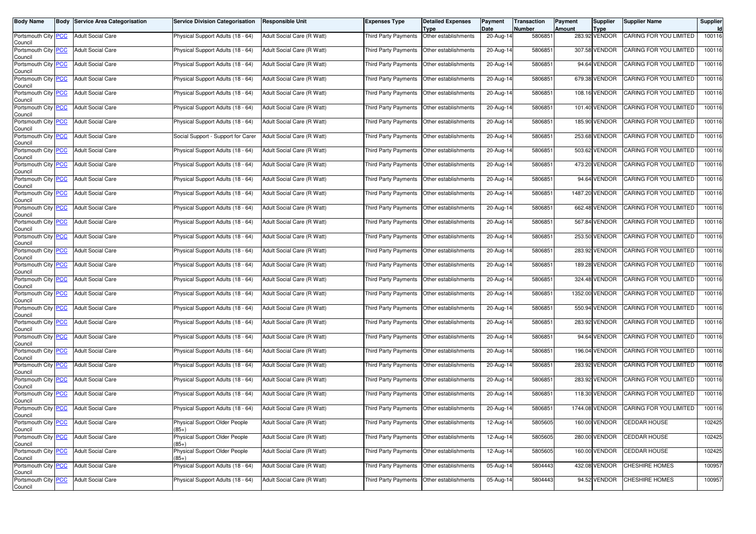| <b>Body Name</b>                      | <b>Body</b> | <b>Service Area Categorisation</b> | <b>Service Division Categorisation</b> | <b>Responsible Unit</b>    | Expenses Type                               | <b>Detailed Expenses</b>     | Payment<br>Date         | <b>Transaction</b><br>Number | Payment | Supplier                     | <b>Supplier Name</b>   | Supplier<br><b>Id</b> |
|---------------------------------------|-------------|------------------------------------|----------------------------------------|----------------------------|---------------------------------------------|------------------------------|-------------------------|------------------------------|---------|------------------------------|------------------------|-----------------------|
| Portsmouth City PCC<br>Council        |             | <b>Adult Social Care</b>           | Physical Support Adults (18 - 64)      | Adult Social Care (R Watt) | Third Party Payments                        | Type<br>Other establishments | 20-Aug-14               | 5806851                      | Amount  | <b>Type</b><br>283.92 VENDOR | CARING FOR YOU LIMITED | 100116                |
| Portsmouth City PCC<br>Council        |             | <b>Adult Social Care</b>           | Physical Support Adults (18 - 64)      | Adult Social Care (R Watt) | Third Party Payments                        | Other establishments         | 20-Aug-14               | 5806851                      |         | 307.58 VENDOR                | CARING FOR YOU LIMITED | 100116                |
| Portsmouth City PCC<br>Council        |             | <b>Adult Social Care</b>           | Physical Support Adults (18 - 64)      | Adult Social Care (R Watt) | Third Party Payments                        | Other establishments         | 20-Aug-14               | 5806851                      |         | 94.64 VENDOR                 | CARING FOR YOU LIMITED | 100116                |
| Portsmouth City PCC<br>Council        |             | <b>Adult Social Care</b>           | Physical Support Adults (18 - 64)      | Adult Social Care (R Watt) | Third Party Payments                        | Other establishments         | 20-Aug-14               | 5806851                      |         | 679.38 VENDOR                | CARING FOR YOU LIMITED | 100116                |
| Portsmouth City PCC<br>Council        |             | <b>Adult Social Care</b>           | Physical Support Adults (18 - 64)      | Adult Social Care (R Watt) | Third Party Payments                        | Other establishments         | 20-Aug-14               | 5806851                      |         | 108.16 VENDOR                | CARING FOR YOU LIMITED | 100116                |
| Portsmouth City PCC<br>Council        |             | <b>Adult Social Care</b>           | Physical Support Adults (18 - 64)      | Adult Social Care (R Watt) | Third Party Payments                        | Other establishments         | 20-Aug-14               | 5806851                      |         | 101.40 VENDOR                | CARING FOR YOU LIMITED | 100116                |
| Portsmouth City PCC<br>Council        |             | <b>Adult Social Care</b>           | Physical Support Adults (18 - 64)      | Adult Social Care (R Watt) | Third Party Payments                        | Other establishments         | 20-Aug-14               | 5806851                      |         | 185.90 VENDOR                | CARING FOR YOU LIMITED | 100116                |
| Portsmouth City PCC<br>Council        |             | <b>Adult Social Care</b>           | Social Support - Support for Carer     | Adult Social Care (R Watt) | Third Party Payments                        | Other establishments         | 20-Aug-14               | 5806851                      |         | 253.68 VENDOR                | CARING FOR YOU LIMITED | 100116                |
| Portsmouth City PCC<br>Council        |             | <b>Adult Social Care</b>           | Physical Support Adults (18 - 64)      | Adult Social Care (R Watt) | Third Party Payments                        | Other establishments         | 20-Aug-14               | 5806851                      |         | 503.62 VENDOR                | CARING FOR YOU LIMITED | 100116                |
| Portsmouth City <b>PCC</b><br>Council |             | <b>Adult Social Care</b>           | Physical Support Adults (18 - 64)      | Adult Social Care (R Watt) | Third Party Payments                        | Other establishments         | 20-Aug-14               | 5806851                      |         | 473.20 VENDOR                | CARING FOR YOU LIMITED | 100116                |
| Portsmouth City PCC<br>Council        |             | <b>Adult Social Care</b>           | Physical Support Adults (18 - 64)      | Adult Social Care (R Watt) | Third Party Payments                        | Other establishments         | 20-Aug-14               | 5806851                      |         | 94.64 VENDOR                 | CARING FOR YOU LIMITED | 100116                |
| Portsmouth City PCC<br>Council        |             | <b>Adult Social Care</b>           | Physical Support Adults (18 - 64)      | Adult Social Care (R Watt) | Third Party Payments                        | Other establishments         | 20-Aug-14               | 5806851                      |         | 1487.20 VENDOR               | CARING FOR YOU LIMITED | 100116                |
| Portsmouth City PCC<br>Council        |             | <b>Adult Social Care</b>           | Physical Support Adults (18 - 64)      | Adult Social Care (R Watt) | Third Party Payments                        | Other establishments         | 20-Aug-14               | 5806851                      |         | 662.48 VENDOR                | CARING FOR YOU LIMITED | 100116                |
| Portsmouth City PCC<br>Council        |             | <b>Adult Social Care</b>           | Physical Support Adults (18 - 64)      | Adult Social Care (R Watt) | Third Party Payments                        | Other establishments         | 20-Aug-14               | 5806851                      |         | 567.84 VENDOR                | CARING FOR YOU LIMITED | 100116                |
| Portsmouth City PCC<br>Council        |             | <b>Adult Social Care</b>           | Physical Support Adults (18 - 64)      | Adult Social Care (R Watt) | Third Party Payments                        | Other establishments         | 20-Aug-14               | 5806851                      |         | 253.50 VENDOR                | CARING FOR YOU LIMITED | 100116                |
| Portsmouth City PCC<br>Council        |             | <b>Adult Social Care</b>           | Physical Support Adults (18 - 64)      | Adult Social Care (R Watt) | Third Party Payments                        | Other establishments         | 20-Aug-14               | 5806851                      |         | 283.92 VENDOR                | CARING FOR YOU LIMITED | 100116                |
| Portsmouth City PCC<br>Council        |             | <b>Adult Social Care</b>           | Physical Support Adults (18 - 64)      | Adult Social Care (R Watt) | Third Party Payments                        | Other establishments         | 20-Aug-14               | 5806851                      |         | 189.28 VENDOR                | CARING FOR YOU LIMITED | 100116                |
| Portsmouth City PCC<br>Council        |             | <b>Adult Social Care</b>           | Physical Support Adults (18 - 64)      | Adult Social Care (R Watt) | Third Party Payments                        | Other establishments         | 20-Aug-14               | 5806851                      |         | 324.48 VENDOR                | CARING FOR YOU LIMITED | 100116                |
| Portsmouth City PCC<br>Council        |             | <b>Adult Social Care</b>           | Physical Support Adults (18 - 64)      | Adult Social Care (R Watt) | Third Party Payments                        | Other establishments         | 20-Aug-14               | 5806851                      |         | 1352.00 VENDOR               | CARING FOR YOU LIMITED | 100116                |
| Portsmouth City PCC<br>Council        |             | <b>Adult Social Care</b>           | Physical Support Adults (18 - 64)      | Adult Social Care (R Watt) | <b>Third Party Payments</b>                 | Other establishments         | 20-Aug-14               | 5806851                      |         | 550.94 VENDOR                | CARING FOR YOU LIMITED | 100116                |
| Portsmouth City PCC<br>Council        |             | <b>Adult Social Care</b>           | Physical Support Adults (18 - 64)      | Adult Social Care (R Watt) | Third Party Payments                        | Other establishments         | 20-Aug-14               | 5806851                      |         | 283.92 VENDOR                | CARING FOR YOU LIMITED | 100116                |
| Portsmouth City PCC<br>Council        |             | <b>Adult Social Care</b>           | Physical Support Adults (18 - 64)      | Adult Social Care (R Watt) | Third Party Payments                        | Other establishments         | 20-Aug-14               | 5806851                      |         | 94.64 VENDOR                 | CARING FOR YOU LIMITED | 100116                |
| Portsmouth City PCC<br>Council        |             | <b>Adult Social Care</b>           | Physical Support Adults (18 - 64)      | Adult Social Care (R Watt) | Third Party Payments                        | Other establishments         | 20-Aug-14               | 5806851                      |         | 196.04 VENDOR                | CARING FOR YOU LIMITED | 100116                |
| Portsmouth City PCC<br>Council        |             | <b>Adult Social Care</b>           | Physical Support Adults (18 - 64)      | Adult Social Care (R Watt) | Third Party Payments                        | Other establishments         | $20 - Aug-14$           | 5806851                      |         | 283.92 VENDOR                | CARING FOR YOU LIMITED | 100116                |
| Portsmouth City PCC<br>Council        |             | <b>Adult Social Care</b>           | Physical Support Adults (18 - 64)      | Adult Social Care (R Watt) | Third Party Payments                        | Other establishments         | 20-Aug-14               | 5806851                      |         | 283.92 VENDOR                | CARING FOR YOU LIMITED | 100116                |
| Portsmouth City PCC<br>Council        |             | <b>Adult Social Care</b>           | Physical Support Adults (18 - 64)      | Adult Social Care (R Watt) | Third Party Payments                        | Other establishments         | 20-Aug-14               | 5806851                      |         | 118.30 VENDOR                | CARING FOR YOU LIMITED | 100116                |
| Portsmouth City PCC<br>Council        |             | <b>Adult Social Care</b>           | Physical Support Adults (18 - 64)      | Adult Social Care (R Watt) | Third Party Payments                        | Other establishments         | 20-Aug-14               | 5806851                      |         | 1744.08 VENDOR               | CARING FOR YOU LIMITED | 100116                |
| Portsmouth City <b>PCC</b><br>Council |             | <b>Adult Social Care</b>           | Physical Support Older People<br>$85+$ | Adult Social Care (R Watt) | Third Party Payments   Other establishments |                              | 12-Aug-14               | 5805605                      |         | 160.00 VENDOR                | <b>CEDDAR HOUSE</b>    | 102425                |
| Portsmouth City PCC<br>Council        |             | <b>Adult Social Care</b>           | Physical Support Older People<br>85+)  | Adult Social Care (R Watt) | Third Party Payments Other establishments   |                              | $\overline{12}$ -Aug-14 | 5805605                      |         | 280.00 VENDOR                | CEDDAR HOUSE           | 102425                |
| Portsmouth City PCC<br>Council        |             | <b>Adult Social Care</b>           | Physical Support Older People<br>$85+$ | Adult Social Care (R Watt) | Third Party Payments                        | Other establishments         | 12-Aug-14               | 5805605                      |         | 160.00 VENDOR                | CEDDAR HOUSE           | 102425                |
| Portsmouth City PCC<br>Council        |             | <b>Adult Social Care</b>           | Physical Support Adults (18 - 64)      | Adult Social Care (R Watt) | Third Party Payments                        | Other establishments         | 05-Aug-14               | 5804443                      |         | 432.08 VENDOR                | <b>CHESHIRE HOMES</b>  | 100957                |
| Portsmouth City PCC<br>Council        |             | <b>Adult Social Care</b>           | Physical Support Adults (18 - 64)      | Adult Social Care (R Watt) | Third Party Payments                        | Other establishments         | 05-Aug-14               | 5804443                      |         | 94.52 VENDOR                 | <b>CHESHIRE HOMES</b>  | 100957                |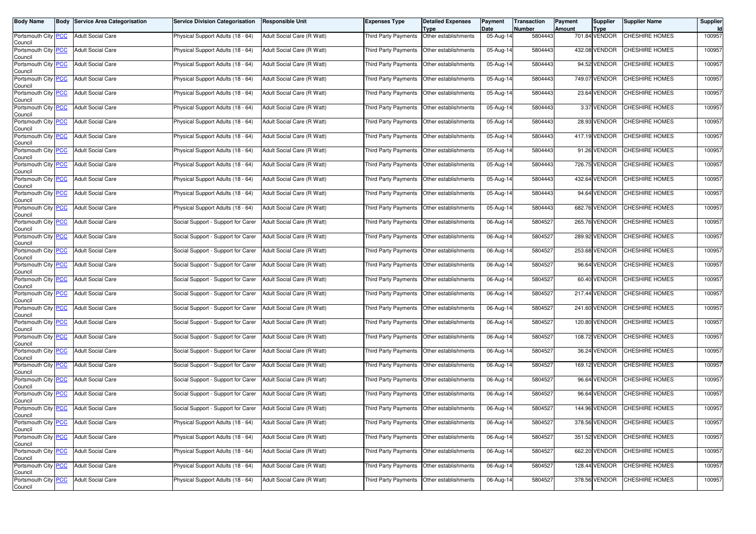| <b>Body Name</b>                              | <b>Body Service Area Categorisation</b> | <b>Service Division Categorisation</b> | <b>Responsible Unit</b>    | <b>Expenses Type</b>                      | <b>Detailed Expenses</b><br>Type | Payment<br>Date         | <b>Transaction</b><br>Number | Payment<br>Amount | <b>Supplier</b><br><b>Type</b> | <b>Supplier Name</b>  | Supplier |
|-----------------------------------------------|-----------------------------------------|----------------------------------------|----------------------------|-------------------------------------------|----------------------------------|-------------------------|------------------------------|-------------------|--------------------------------|-----------------------|----------|
| Portsmouth City PCC<br>Council                | <b>Adult Social Care</b>                | Physical Support Adults (18 - 64)      | Adult Social Care (R Watt) | <b>Third Party Payments</b>               | Other establishments             | 05-Aug-14               | 5804443                      |                   | 701.84 VENDOR                  | <b>CHESHIRE HOMES</b> | 100957   |
| Portsmouth City PCC<br>Council                | <b>Adult Social Care</b>                | Physical Support Adults (18 - 64)      | Adult Social Care (R Watt) | Third Party Payments                      | Other establishments             | 05-Aug-14               | 5804443                      |                   | 432.08 VENDOR                  | <b>CHESHIRE HOMES</b> | 100957   |
| Portsmouth City <b>PCC</b><br>Council         | <b>Adult Social Care</b>                | Physical Support Adults (18 - 64)      | Adult Social Care (R Watt) | Third Party Payments                      | Other establishments             | 05-Aug-14               | 5804443                      |                   | 94.52 VENDOR                   | CHESHIRE HOMES        | 100957   |
| Portsmouth City PCC<br>Council                | <b>Adult Social Care</b>                | Physical Support Adults (18 - 64)      | Adult Social Care (R Watt) | Third Party Payments                      | Other establishments             | 05-Aug-14               | 5804443                      |                   | 749.07 VENDOR                  | <b>CHESHIRE HOMES</b> | 100957   |
| Portsmouth City PCC<br>Council                | <b>Adult Social Care</b>                | Physical Support Adults (18 - 64)      | Adult Social Care (R Watt) | Third Party Payments                      | Other establishments             | 05-Aug-14               | 5804443                      |                   | 23.64 VENDOR                   | CHESHIRE HOMES        | 100957   |
| Portsmouth City PCC<br>Council                | <b>Adult Social Care</b>                | Physical Support Adults (18 - 64)      | Adult Social Care (R Watt) | <b>Third Party Payments</b>               | Other establishments             | $\overline{05}$ -Aug-14 | 5804443                      |                   | 3.37 VENDOR                    | CHESHIRE HOMES        | 100957   |
| Portsmouth City PCC<br>Council                | <b>Adult Social Care</b>                | Physical Support Adults (18 - 64)      | Adult Social Care (R Watt) | <b>Third Party Payments</b>               | Other establishments             | 05-Aug-14               | 5804443                      |                   | 28.93 VENDOR                   | CHESHIRE HOMES        | 100957   |
| Portsmouth City PCC<br>Council                | <b>Adult Social Care</b>                | Physical Support Adults (18 - 64)      | Adult Social Care (R Watt) | Third Party Payments                      | Other establishments             | $\overline{05}$ -Aug-14 | 5804443                      |                   | 417.19 VENDOR                  | CHESHIRE HOMES        | 100957   |
| Portsmouth City PCC<br>Council                | <b>Adult Social Care</b>                | Physical Support Adults (18 - 64)      | Adult Social Care (R Watt) | Third Party Payments                      | Other establishments             | 05-Aug-14               | 5804443                      |                   | 91.26 VENDOR                   | CHESHIRE HOMES        | 100957   |
| Portsmouth City <b>PCC</b><br>Council         | <b>Adult Social Care</b>                | Physical Support Adults (18 - 64)      | Adult Social Care (R Watt) | <b>Third Party Payments</b>               | Other establishments             | 05-Aug-14               | 5804443                      |                   | 726.75 VENDOR                  | CHESHIRE HOMES        | 100957   |
| Portsmouth City PCC<br>Council                | <b>Adult Social Care</b>                | Physical Support Adults (18 - 64)      | Adult Social Care (R Watt) | Third Party Payments                      | Other establishments             | $\overline{05}$ -Aug-14 | 5804443                      |                   | 432.64 VENDOR                  | CHESHIRE HOMES        | 100957   |
| Portsmouth City PCC<br>Council                | <b>Adult Social Care</b>                | Physical Support Adults (18 - 64)      | Adult Social Care (R Watt) | Third Party Payments                      | Other establishments             | 05-Aug-14               | 5804443                      |                   | 94.64 VENDOR                   | CHESHIRE HOMES        | 100957   |
| Portsmouth City PCC<br>Council                | <b>Adult Social Care</b>                | Physical Support Adults (18 - 64)      | Adult Social Care (R Watt) | <b>Third Party Payments</b>               | Other establishments             | 05-Aug-14               | 5804443                      |                   | 682.76 VENDOR                  | CHESHIRE HOMES        | 100957   |
| Portsmouth City PCC<br>Council                | <b>Adult Social Care</b>                | Social Support - Support for Carer     | Adult Social Care (R Watt) | Third Party Payments                      | Other establishments             | 06-Aug-14               | 5804527                      |                   | 265.76 VENDOR                  | CHESHIRE HOMES        | 100957   |
| Portsmouth City PCC<br>Council                | <b>Adult Social Care</b>                | Social Support - Support for Carer     | Adult Social Care (R Watt) | Third Party Payments                      | Other establishments             | 06-Aug-14               | 5804527                      |                   | 289.92 VENDOR                  | CHESHIRE HOMES        | 100957   |
| Portsmouth City PCC<br>Council                | <b>Adult Social Care</b>                | Social Support - Support for Carer     | Adult Social Care (R Watt) | Third Party Payments                      | Other establishments             | 06-Aug-14               | 5804527                      |                   | 253.68 VENDOR                  | CHESHIRE HOMES        | 100957   |
| Portsmouth City PCC<br>Council                | <b>Adult Social Care</b>                | Social Support - Support for Carer     | Adult Social Care (R Watt) | Third Party Payments                      | Other establishments             | 06-Aug-14               | 5804527                      |                   | 96.64 VENDOR                   | CHESHIRE HOMES        | 100957   |
| Portsmouth City PCC<br>Council                | <b>Adult Social Care</b>                | Social Support - Support for Carer     | Adult Social Care (R Watt) | Third Party Payments                      | Other establishments             | 06-Aug-14               | 5804527                      |                   | 60.40 VENDOR                   | CHESHIRE HOMES        | 100957   |
| Portsmouth City PCC<br>Council                | <b>Adult Social Care</b>                | Social Support - Support for Carer     | Adult Social Care (R Watt) | Third Party Payments                      | Other establishments             | 06-Aug-14               | 5804527                      |                   | 217.44 VENDOR                  | CHESHIRE HOMES        | 100957   |
| Portsmouth City PCC<br>Council                | <b>Adult Social Care</b>                | Social Support - Support for Carer     | Adult Social Care (R Watt) | Third Party Payments                      | Other establishments             | 06-Aug-14               | 5804527                      |                   | 241.60 VENDOR                  | CHESHIRE HOMES        | 100957   |
| Portsmouth City PCC<br>Council                | <b>Adult Social Care</b>                | Social Support - Support for Carer     | Adult Social Care (R Watt) | Third Party Payments                      | Other establishments             | $\overline{06}$ -Aug-14 | 5804527                      |                   | 120.80 VENDOR                  | CHESHIRE HOMES        | 100957   |
| Portsmouth City PCC<br>Council                | <b>Adult Social Care</b>                | Social Support - Support for Carer     | Adult Social Care (R Watt) | Third Party Payments                      | Other establishments             | $06$ -Aug-14            | 5804527                      |                   | 108.72 VENDOR                  | <b>CHESHIRE HOMES</b> | 100957   |
| Portsmouth City PCC<br>Council                | <b>Adult Social Care</b>                | Social Support - Support for Carer     | Adult Social Care (R Watt) | Third Party Payments                      | Other establishments             | 06-Aug-14               | 5804527                      |                   | 36.24 VENDOR                   | CHESHIRE HOMES        | 100957   |
| Portsmouth City PCC<br>Council                | <b>Adult Social Care</b>                | Social Support - Support for Carer     | Adult Social Care (R Watt) | Third Party Payments                      | Other establishments             | 06-Aug-14               | 5804527                      |                   | 169.12 VENDOR                  | CHESHIRE HOMES        | 100957   |
| Portsmouth City PCC<br>Council                | <b>Adult Social Care</b>                | Social Support - Support for Carer     | Adult Social Care (R Watt) | Third Party Payments                      | Other establishments             | $06$ -Aug-14            | 5804527                      |                   | 96.64 VENDOR                   | <b>CHESHIRE HOMES</b> | 100957   |
| Portsmouth City PCC<br>Council                | <b>Adult Social Care</b>                | Social Support - Support for Carer     | Adult Social Care (R Watt) | Third Party Payments                      | Other establishments             | 06-Aug-14               | 5804527                      |                   | 96.64 VENDOR                   | CHESHIRE HOMES        | 100957   |
| Portsmouth City PCC<br>Council                | <b>Adult Social Care</b>                | Social Support - Support for Carer     | Adult Social Care (R Watt) | Third Party Payments                      | Other establishments             | 06-Aug-14               | 5804527                      |                   | 144.96 VENDOR                  | CHESHIRE HOMES        | 100957   |
| Portsmouth City <mark>  PCC</mark><br>Council | <b>Adult Social Care</b>                | Physical Support Adults (18 - 64)      | Adult Social Care (R Watt) | Third Party Payments Other establishments |                                  | 06-Aug-14               | 5804527                      |                   | 378.56 VENDOR                  | <b>CHESHIRE HOMES</b> | 100957   |
| Portsmouth City PCC<br>Council                | <b>Adult Social Care</b>                | Physical Support Adults (18 - 64)      | Adult Social Care (R Watt) | Third Party Payments Other establishments |                                  | 06-Aug-14               | 5804527                      |                   | 351.52 VENDOR                  | CHESHIRE HOMES        | 100957   |
| Portsmouth City PCC<br>Council                | <b>Adult Social Care</b>                | Physical Support Adults (18 - 64)      | Adult Social Care (R Watt) | Third Party Payments                      | Other establishments             | 06-Aug-14               | 5804527                      |                   | 662.20 VENDOR                  | CHESHIRE HOMES        | 100957   |
| Portsmouth City PCC<br>Council                | <b>Adult Social Care</b>                | Physical Support Adults (18 - 64)      | Adult Social Care (R Watt) | <b>Third Party Payments</b>               | Other establishments             | 06-Aug-14               | 5804527                      |                   | 128.44 VENDOR                  | CHESHIRE HOMES        | 100957   |
| Portsmouth City PCC<br>Council                | <b>Adult Social Care</b>                | Physical Support Adults (18 - 64)      | Adult Social Care (R Watt) | Third Party Payments                      | Other establishments             | 06-Aug-14               | 5804527                      |                   | 378.56 VENDOR                  | CHESHIRE HOMES        | 100957   |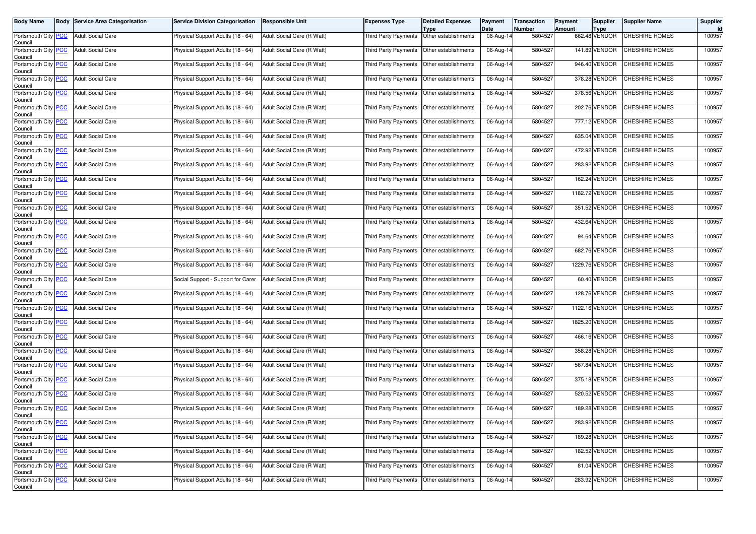| <b>Body Name</b>                              | <b>Body Service Area Categorisation</b> | <b>Service Division Categorisation</b> | <b>Responsible Unit</b>    | <b>Expenses Type</b>                      | <b>Detailed Expenses</b><br>Type | Payment<br>Date         | <b>Transaction</b><br>Number | Payment<br>Amount | <b>Supplier</b><br><b>Type</b> | <b>Supplier Name</b>  | Supplier |
|-----------------------------------------------|-----------------------------------------|----------------------------------------|----------------------------|-------------------------------------------|----------------------------------|-------------------------|------------------------------|-------------------|--------------------------------|-----------------------|----------|
| Portsmouth City PCC<br>Council                | <b>Adult Social Care</b>                | Physical Support Adults (18 - 64)      | Adult Social Care (R Watt) | <b>Third Party Payments</b>               | Other establishments             | 06-Aug-14               | 5804527                      |                   | 662.48 VENDOR                  | <b>CHESHIRE HOMES</b> | 100957   |
| Portsmouth City PCC<br>Council                | <b>Adult Social Care</b>                | Physical Support Adults (18 - 64)      | Adult Social Care (R Watt) | Third Party Payments                      | Other establishments             | 06-Aug-14               | 5804527                      |                   | 141.89 VENDOR                  | <b>CHESHIRE HOMES</b> | 100957   |
| Portsmouth City PCC<br>Council                | <b>Adult Social Care</b>                | Physical Support Adults (18 - 64)      | Adult Social Care (R Watt) | <b>Third Party Payments</b>               | Other establishments             | $\overline{06}$ -Aug-14 | 5804527                      |                   | 946.40 VENDOR                  | CHESHIRE HOMES        | 100957   |
| Portsmouth City PCC<br>Council                | <b>Adult Social Care</b>                | Physical Support Adults (18 - 64)      | Adult Social Care (R Watt) | Third Party Payments                      | Other establishments             | 06-Aug-14               | 5804527                      |                   | 378.28 VENDOR                  | <b>CHESHIRE HOMES</b> | 100957   |
| Portsmouth City PCC<br>Council                | <b>Adult Social Care</b>                | Physical Support Adults (18 - 64)      | Adult Social Care (R Watt) | Third Party Payments                      | Other establishments             | 06-Aug-14               | 5804527                      |                   | 378.56 VENDOR                  | CHESHIRE HOMES        | 100957   |
| Portsmouth City PCC<br>Council                | <b>Adult Social Care</b>                | Physical Support Adults (18 - 64)      | Adult Social Care (R Watt) | <b>Third Party Payments</b>               | Other establishments             | 06-Aug-14               | 5804527                      |                   | 202.76 VENDOR                  | CHESHIRE HOMES        | 100957   |
| Portsmouth City PCC<br>Council                | <b>Adult Social Care</b>                | Physical Support Adults (18 - 64)      | Adult Social Care (R Watt) | <b>Third Party Payments</b>               | Other establishments             | 06-Aug-14               | 5804527                      |                   | 777.12 VENDOR                  | CHESHIRE HOMES        | 100957   |
| Portsmouth City PCC<br>Council                | <b>Adult Social Care</b>                | Physical Support Adults (18 - 64)      | Adult Social Care (R Watt) | Third Party Payments                      | Other establishments             | $06$ -Aug-14            | 5804527                      |                   | 635.04 VENDOR                  | CHESHIRE HOMES        | 100957   |
| Portsmouth City PCC<br>Council                | <b>Adult Social Care</b>                | Physical Support Adults (18 - 64)      | Adult Social Care (R Watt) | Third Party Payments                      | Other establishments             | 06-Aug-14               | 5804527                      |                   | 472.92 VENDOR                  | CHESHIRE HOMES        | 100957   |
| Portsmouth City PCC<br>Council                | <b>Adult Social Care</b>                | Physical Support Adults (18 - 64)      | Adult Social Care (R Watt) | <b>Third Party Payments</b>               | Other establishments             | 06-Aug-14               | 5804527                      |                   | 283.92 VENDOR                  | CHESHIRE HOMES        | 100957   |
| Portsmouth City PCC<br>Council                | <b>Adult Social Care</b>                | Physical Support Adults (18 - 64)      | Adult Social Care (R Watt) | Third Party Payments                      | Other establishments             | $\overline{06}$ -Aug-14 | 5804527                      |                   | 162.24 VENDOR                  | CHESHIRE HOMES        | 100957   |
| Portsmouth City PCC<br>Council                | <b>Adult Social Care</b>                | Physical Support Adults (18 - 64)      | Adult Social Care (R Watt) | Third Party Payments                      | Other establishments             | 06-Aug-14               | 5804527                      |                   | 1182.72 VENDOR                 | CHESHIRE HOMES        | 100957   |
| Portsmouth City PCC<br>Council                | <b>Adult Social Care</b>                | Physical Support Adults (18 - 64)      | Adult Social Care (R Watt) | <b>Third Party Payments</b>               | Other establishments             | 06-Aug-14               | 5804527                      |                   | 351.52 VENDOR                  | CHESHIRE HOMES        | 100957   |
| Portsmouth City PCC<br>Council                | <b>Adult Social Care</b>                | Physical Support Adults (18 - 64)      | Adult Social Care (R Watt) | Third Party Payments                      | Other establishments             | 06-Aug-14               | 5804527                      |                   | 432.64 VENDOR                  | CHESHIRE HOMES        | 100957   |
| Portsmouth City PCC<br>Council                | <b>Adult Social Care</b>                | Physical Support Adults (18 - 64)      | Adult Social Care (R Watt) | Third Party Payments                      | Other establishments             | 06-Aug-14               | 5804527                      |                   | 94.64 VENDOR                   | CHESHIRE HOMES        | 100957   |
| Portsmouth City PCC<br>Council                | <b>Adult Social Care</b>                | Physical Support Adults (18 - 64)      | Adult Social Care (R Watt) | Third Party Payments                      | Other establishments             | 06-Aug-14               | 5804527                      |                   | 682.76 VENDOR                  | CHESHIRE HOMES        | 100957   |
| Portsmouth City PCC<br>Council                | <b>Adult Social Care</b>                | Physical Support Adults (18 - 64)      | Adult Social Care (R Watt) | Third Party Payments                      | Other establishments             | 06-Aug-14               | 5804527                      |                   | 1229.76 VENDOR                 | CHESHIRE HOMES        | 100957   |
| Portsmouth City PCC<br>Council                | <b>Adult Social Care</b>                | Social Support - Support for Carer     | Adult Social Care (R Watt) | Third Party Payments                      | Other establishments             | 06-Aug-14               | 5804527                      |                   | 60.40 VENDOR                   | CHESHIRE HOMES        | 100957   |
| Portsmouth City PCC<br>Council                | <b>Adult Social Care</b>                | Physical Support Adults (18 - 64)      | Adult Social Care (R Watt) | Third Party Payments                      | Other establishments             | 06-Aug-14               | 5804527                      |                   | 128.76 VENDOR                  | CHESHIRE HOMES        | 100957   |
| Portsmouth City PCC<br>Council                | <b>Adult Social Care</b>                | Physical Support Adults (18 - 64)      | Adult Social Care (R Watt) | Third Party Payments                      | Other establishments             | 06-Aug-14               | 5804527                      |                   | 1122.16 VENDOR                 | CHESHIRE HOMES        | 100957   |
| Portsmouth City PCC<br>Council                | <b>Adult Social Care</b>                | Physical Support Adults (18 - 64)      | Adult Social Care (R Watt) | Third Party Payments                      | Other establishments             | $\overline{0}$ 6-Aug-14 | 5804527                      |                   | 1825.20 VENDOR                 | CHESHIRE HOMES        | 100957   |
| Portsmouth City PCC<br>Council                | <b>Adult Social Care</b>                | Physical Support Adults (18 - 64)      | Adult Social Care (R Watt) | Third Party Payments                      | Other establishments             | $06$ -Aug-14            | 5804527                      |                   | 466.16 VENDOR                  | <b>CHESHIRE HOMES</b> | 100957   |
| Portsmouth City PCC<br>Council                | <b>Adult Social Care</b>                | Physical Support Adults (18 - 64)      | Adult Social Care (R Watt) | Third Party Payments                      | Other establishments             | 06-Aug-14               | 5804527                      |                   | 358.28 VENDOR                  | CHESHIRE HOMES        | 100957   |
| Portsmouth City PCC<br>Council                | <b>Adult Social Care</b>                | Physical Support Adults (18 - 64)      | Adult Social Care (R Watt) | Third Party Payments                      | Other establishments             | 06-Aug-14               | 5804527                      |                   | 567.84 VENDOR                  | CHESHIRE HOMES        | 100957   |
| Portsmouth City PCC<br>Council                | <b>Adult Social Care</b>                | Physical Support Adults (18 - 64)      | Adult Social Care (R Watt) | Third Party Payments                      | Other establishments             | $06$ -Aug-14            | 5804527                      |                   | 375.18 VENDOR                  | <b>CHESHIRE HOMES</b> | 100957   |
| Portsmouth City PCC<br>Council                | <b>Adult Social Care</b>                | Physical Support Adults (18 - 64)      | Adult Social Care (R Watt) | Third Party Payments                      | Other establishments             | 06-Aug-14               | 5804527                      |                   | 520.52 VENDOR                  | CHESHIRE HOMES        | 100957   |
| Portsmouth City PCC<br>Council                | <b>Adult Social Care</b>                | Physical Support Adults (18 - 64)      | Adult Social Care (R Watt) | Third Party Payments                      | Other establishments             | 06-Aug-14               | 5804527                      |                   | 189.28 VENDOR                  | CHESHIRE HOMES        | 100957   |
| Portsmouth City <mark>  PCC</mark><br>Council | <b>Adult Social Care</b>                | Physical Support Adults (18 - 64)      | Adult Social Care (R Watt) | Third Party Payments Other establishments |                                  | 06-Aug-14               | 5804527                      |                   | 283.92 VENDOR                  | <b>CHESHIRE HOMES</b> | 100957   |
| Portsmouth City PCC<br>Council                | <b>Adult Social Care</b>                | Physical Support Adults (18 - 64)      | Adult Social Care (R Watt) | Third Party Payments Other establishments |                                  | 06-Aug-14               | 5804527                      |                   | 189.28 VENDOR                  | CHESHIRE HOMES        | 100957   |
| Portsmouth City PCC<br>Council                | <b>Adult Social Care</b>                | Physical Support Adults (18 - 64)      | Adult Social Care (R Watt) | Third Party Payments                      | Other establishments             | 06-Aug-14               | 5804527                      |                   | 182.52 VENDOR                  | CHESHIRE HOMES        | 100957   |
| Portsmouth City PCC<br>Council                | <b>Adult Social Care</b>                | Physical Support Adults (18 - 64)      | Adult Social Care (R Watt) | <b>Third Party Payments</b>               | Other establishments             | 06-Aug-14               | 5804527                      |                   | 81.04 VENDOR                   | <b>CHESHIRE HOMES</b> | 100957   |
| Portsmouth City PCC<br>Council                | <b>Adult Social Care</b>                | Physical Support Adults (18 - 64)      | Adult Social Care (R Watt) | Third Party Payments                      | Other establishments             | 06-Aug-14               | 5804527                      |                   | 283.92 VENDOR                  | CHESHIRE HOMES        | 100957   |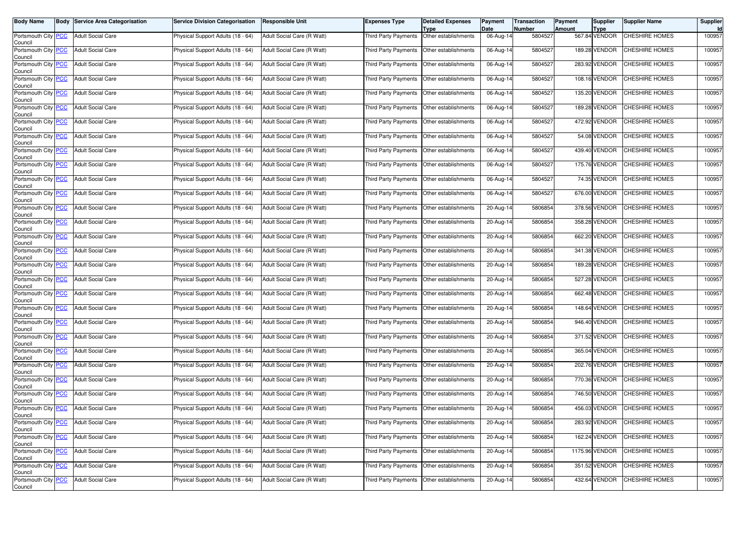| <b>Body Name</b>                              | <b>Body Service Area Categorisation</b> | <b>Service Division Categorisation</b> | <b>Responsible Unit</b>    | <b>Expenses Type</b>                      | <b>Detailed Expenses</b><br>Type | Payment<br>Date         | <b>Transaction</b><br>Number | Payment<br>Amount | <b>Supplier</b><br><b>Type</b> | <b>Supplier Name</b>  | Supplier |
|-----------------------------------------------|-----------------------------------------|----------------------------------------|----------------------------|-------------------------------------------|----------------------------------|-------------------------|------------------------------|-------------------|--------------------------------|-----------------------|----------|
| Portsmouth City PCC<br>Council                | <b>Adult Social Care</b>                | Physical Support Adults (18 - 64)      | Adult Social Care (R Watt) | <b>Third Party Payments</b>               | Other establishments             | 06-Aug-14               | 5804527                      |                   | 567.84 VENDOR                  | <b>CHESHIRE HOMES</b> | 100957   |
| Portsmouth City PCC<br>Council                | <b>Adult Social Care</b>                | Physical Support Adults (18 - 64)      | Adult Social Care (R Watt) | Third Party Payments                      | Other establishments             | 06-Aug-14               | 5804527                      |                   | 189.28 VENDOR                  | <b>CHESHIRE HOMES</b> | 100957   |
| Portsmouth City PCC<br>Council                | <b>Adult Social Care</b>                | Physical Support Adults (18 - 64)      | Adult Social Care (R Watt) | <b>Third Party Payments</b>               | Other establishments             | 06-Aug-14               | 5804527                      |                   | 283.92 VENDOR                  | CHESHIRE HOMES        | 100957   |
| Portsmouth City PCC<br>Council                | <b>Adult Social Care</b>                | Physical Support Adults (18 - 64)      | Adult Social Care (R Watt) | Third Party Payments                      | Other establishments             | 06-Aug-14               | 5804527                      |                   | 108.16 VENDOR                  | <b>CHESHIRE HOMES</b> | 100957   |
| Portsmouth City PCC<br>Council                | <b>Adult Social Care</b>                | Physical Support Adults (18 - 64)      | Adult Social Care (R Watt) | Third Party Payments                      | Other establishments             | 06-Aug-14               | 5804527                      |                   | 135.20 VENDOR                  | CHESHIRE HOMES        | 100957   |
| Portsmouth City PCC<br>Council                | <b>Adult Social Care</b>                | Physical Support Adults (18 - 64)      | Adult Social Care (R Watt) | <b>Third Party Payments</b>               | Other establishments             | 06-Aug-14               | 5804527                      |                   | 189.28 VENDOR                  | CHESHIRE HOMES        | 100957   |
| Portsmouth City PCC<br>Council                | <b>Adult Social Care</b>                | Physical Support Adults (18 - 64)      | Adult Social Care (R Watt) | <b>Third Party Payments</b>               | Other establishments             | 06-Aug-14               | 5804527                      |                   | 472.92 VENDOR                  | CHESHIRE HOMES        | 100957   |
| Portsmouth City PCC<br>Council                | <b>Adult Social Care</b>                | Physical Support Adults (18 - 64)      | Adult Social Care (R Watt) | Third Party Payments                      | Other establishments             | 06-Aug-14               | 5804527                      |                   | 54.08 VENDOR                   | CHESHIRE HOMES        | 100957   |
| Portsmouth City PCC<br>Council                | <b>Adult Social Care</b>                | Physical Support Adults (18 - 64)      | Adult Social Care (R Watt) | Third Party Payments                      | Other establishments             | 06-Aug-14               | 5804527                      |                   | 439.40 VENDOR                  | CHESHIRE HOMES        | 100957   |
| Portsmouth City PCC<br>Council                | <b>Adult Social Care</b>                | Physical Support Adults (18 - 64)      | Adult Social Care (R Watt) | <b>Third Party Payments</b>               | Other establishments             | 06-Aug-14               | 5804527                      |                   | 175.76 VENDOR                  | CHESHIRE HOMES        | 100957   |
| Portsmouth City PCC<br>Council                | <b>Adult Social Care</b>                | Physical Support Adults (18 - 64)      | Adult Social Care (R Watt) | Third Party Payments                      | Other establishments             | $\overline{06}$ -Aug-14 | 5804527                      |                   | 74.35 VENDOR                   | CHESHIRE HOMES        | 100957   |
| Portsmouth City PCC<br>Council                | <b>Adult Social Care</b>                | Physical Support Adults (18 - 64)      | Adult Social Care (R Watt) | Third Party Payments                      | Other establishments             | 06-Aug-14               | 5804527                      |                   | 676.00 VENDOR                  | CHESHIRE HOMES        | 100957   |
| Portsmouth City PCC<br>Council                | <b>Adult Social Care</b>                | Physical Support Adults (18 - 64)      | Adult Social Care (R Watt) | <b>Third Party Payments</b>               | Other establishments             | 20-Aug-14               | 5806854                      |                   | 378.56 VENDOR                  | CHESHIRE HOMES        | 100957   |
| Portsmouth City PCC<br>Council                | <b>Adult Social Care</b>                | Physical Support Adults (18 - 64)      | Adult Social Care (R Watt) | Third Party Payments                      | Other establishments             | 20-Aug-14               | 5806854                      |                   | 358.28 VENDOR                  | CHESHIRE HOMES        | 100957   |
| Portsmouth City PCC<br>Council                | <b>Adult Social Care</b>                | Physical Support Adults (18 - 64)      | Adult Social Care (R Watt) | Third Party Payments                      | Other establishments             | 20-Aug-14               | 5806854                      |                   | 662.20 VENDOR                  | CHESHIRE HOMES        | 100957   |
| Portsmouth City PCC<br>Council                | <b>Adult Social Care</b>                | Physical Support Adults (18 - 64)      | Adult Social Care (R Watt) | Third Party Payments                      | Other establishments             | 20-Aug-14               | 5806854                      |                   | 341.38 VENDOR                  | CHESHIRE HOMES        | 100957   |
| Portsmouth City PCC<br>Council                | <b>Adult Social Care</b>                | Physical Support Adults (18 - 64)      | Adult Social Care (R Watt) | Third Party Payments                      | Other establishments             | 20-Aug-14               | 5806854                      |                   | 189.28 VENDOR                  | CHESHIRE HOMES        | 100957   |
| Portsmouth City PCC<br>Council                | <b>Adult Social Care</b>                | Physical Support Adults (18 - 64)      | Adult Social Care (R Watt) | Third Party Payments                      | Other establishments             | 20-Aug-14               | 5806854                      |                   | 527.28 VENDOR                  | CHESHIRE HOMES        | 100957   |
| Portsmouth City PCC<br>Council                | <b>Adult Social Care</b>                | Physical Support Adults (18 - 64)      | Adult Social Care (R Watt) | Third Party Payments                      | Other establishments             | 20-Aug-14               | 5806854                      |                   | 662.48 VENDOR                  | CHESHIRE HOMES        | 100957   |
| Portsmouth City PCC<br>Council                | <b>Adult Social Care</b>                | Physical Support Adults (18 - 64)      | Adult Social Care (R Watt) | Third Party Payments                      | Other establishments             | 20-Aug-14               | 5806854                      |                   | 148.64 VENDOR                  | CHESHIRE HOMES        | 100957   |
| Portsmouth City PCC<br>Council                | <b>Adult Social Care</b>                | Physical Support Adults (18 - 64)      | Adult Social Care (R Watt) | Third Party Payments                      | Other establishments             | $20-Aug-14$             | 5806854                      |                   | 946.40 VENDOR                  | CHESHIRE HOMES        | 100957   |
| Portsmouth City PCC<br>Council                | <b>Adult Social Care</b>                | Physical Support Adults (18 - 64)      | Adult Social Care (R Watt) | Third Party Payments                      | Other establishments             | 20-Aug-14               | 5806854                      |                   | 371.52 VENDOR                  | <b>CHESHIRE HOMES</b> | 100957   |
| Portsmouth City PCC<br>Council                | <b>Adult Social Care</b>                | Physical Support Adults (18 - 64)      | Adult Social Care (R Watt) | Third Party Payments                      | Other establishments             | 20-Aug-14               | 5806854                      |                   | 365.04 VENDOR                  | CHESHIRE HOMES        | 100957   |
| Portsmouth City PCC<br>Council                | <b>Adult Social Care</b>                | Physical Support Adults (18 - 64)      | Adult Social Care (R Watt) | Third Party Payments                      | Other establishments             | 20-Aug-14               | 5806854                      |                   | 202.76 VENDOR                  | CHESHIRE HOMES        | 100957   |
| Portsmouth City PCC<br>Council                | <b>Adult Social Care</b>                | Physical Support Adults (18 - 64)      | Adult Social Care (R Watt) | Third Party Payments                      | Other establishments             | 20-Aug-14               | 5806854                      |                   | 770.36 VENDOR                  | <b>CHESHIRE HOMES</b> | 100957   |
| Portsmouth City PCC<br>Council                | <b>Adult Social Care</b>                | Physical Support Adults (18 - 64)      | Adult Social Care (R Watt) | <b>Third Party Payments</b>               | Other establishments             | 20-Aug-14               | 5806854                      |                   | 746.50 VENDOR                  | CHESHIRE HOMES        | 100957   |
| Portsmouth City PCC<br>Council                | <b>Adult Social Care</b>                | Physical Support Adults (18 - 64)      | Adult Social Care (R Watt) | Third Party Payments                      | Other establishments             | 20-Aug-14               | 5806854                      |                   | 456.03 VENDOR                  | CHESHIRE HOMES        | 100957   |
| Portsmouth City <mark>  PCC</mark><br>Council | <b>Adult Social Care</b>                | Physical Support Adults (18 - 64)      | Adult Social Care (R Watt) | Third Party Payments Other establishments |                                  | 20-Aug-14               | 5806854                      |                   | 283.92 VENDOR                  | <b>CHESHIRE HOMES</b> | 100957   |
| Portsmouth City PCC<br>Council                | <b>Adult Social Care</b>                | Physical Support Adults (18 - 64)      | Adult Social Care (R Watt) | Third Party Payments Other establishments |                                  | 20-Aug-14               | 5806854                      |                   | 162.24 VENDOR                  | CHESHIRE HOMES        | 100957   |
| Portsmouth City PCC<br>Council                | <b>Adult Social Care</b>                | Physical Support Adults (18 - 64)      | Adult Social Care (R Watt) | Third Party Payments                      | Other establishments             | 20-Aug-14               | 5806854                      |                   | 1175.96 VENDOR                 | CHESHIRE HOMES        | 100957   |
| Portsmouth City PCC<br>Council                | <b>Adult Social Care</b>                | Physical Support Adults (18 - 64)      | Adult Social Care (R Watt) | <b>Third Party Payments</b>               | Other establishments             | 20-Aug-14               | 5806854                      |                   | 351.52 VENDOR                  | CHESHIRE HOMES        | 100957   |
| Portsmouth City PCC<br>Council                | <b>Adult Social Care</b>                | Physical Support Adults (18 - 64)      | Adult Social Care (R Watt) | Third Party Payments                      | Other establishments             | 20-Aug-14               | 5806854                      |                   | 432.64 VENDOR                  | CHESHIRE HOMES        | 100957   |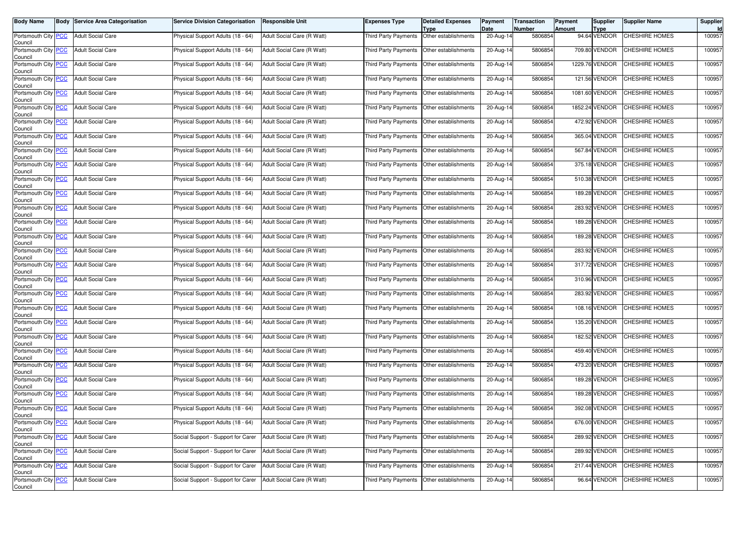| <b>Body Name</b>                              | <b>Body Service Area Categorisation</b> | <b>Service Division Categorisation</b> | <b>Responsible Unit</b>    | <b>Expenses Type</b>                        | <b>Detailed Expenses</b><br>Type | Payment<br>Date | <b>Transaction</b><br><b>Number</b> | Payment<br>Amount | <b>Supplier</b><br><b>Type</b> | <b>Supplier Name</b>         | Supplier |
|-----------------------------------------------|-----------------------------------------|----------------------------------------|----------------------------|---------------------------------------------|----------------------------------|-----------------|-------------------------------------|-------------------|--------------------------------|------------------------------|----------|
| Portsmouth City PCC<br>Council                | <b>Adult Social Care</b>                | Physical Support Adults (18 - 64)      | Adult Social Care (R Watt) | <b>Third Party Payments</b>                 | Other establishments             | 20-Aug-14       | 5806854                             |                   | 94.64 VENDOR                   | <b>CHESHIRE HOMES</b>        | 100957   |
| Portsmouth City PCC<br>Council                | <b>Adult Social Care</b>                | Physical Support Adults (18 - 64)      | Adult Social Care (R Watt) | Third Party Payments                        | Other establishments             | 20-Aug-14       | 5806854                             |                   | 709.80 VENDOR                  | <b>CHESHIRE HOMES</b>        | 100957   |
| Portsmouth City PCC<br>Council                | <b>Adult Social Care</b>                | Physical Support Adults (18 - 64)      | Adult Social Care (R Watt) | Third Party Payments                        | Other establishments             | $20 - Aug-14$   | 5806854                             |                   | 1229.76 VENDOR                 | CHESHIRE HOMES               | 100957   |
| Portsmouth City PCC<br>Council                | <b>Adult Social Care</b>                | Physical Support Adults (18 - 64)      | Adult Social Care (R Watt) | Third Party Payments                        | Other establishments             | 20-Aug-14       | 5806854                             |                   | 121.56 VENDOR                  | <b>CHESHIRE HOMES</b>        | 100957   |
| Portsmouth City PCC<br>Council                | <b>Adult Social Care</b>                | Physical Support Adults (18 - 64)      | Adult Social Care (R Watt) | Third Party Payments                        | Other establishments             | 20-Aug-14       | 5806854                             |                   | 1081.60 VENDOR                 | <b>CHESHIRE HOMES</b>        | 100957   |
| Portsmouth City PCC<br>Council                | <b>Adult Social Care</b>                | Physical Support Adults (18 - 64)      | Adult Social Care (R Watt) | Third Party Payments                        | Other establishments             | 20-Aug-14       | 5806854                             |                   | 1852.24 VENDOR                 | CHESHIRE HOMES               | 100957   |
| Portsmouth City PCC<br>Council                | <b>Adult Social Care</b>                | Physical Support Adults (18 - 64)      | Adult Social Care (R Watt) | Third Party Payments                        | Other establishments             | 20-Aug-14       | 5806854                             |                   | 472.92 VENDOR                  | CHESHIRE HOMES               | 100957   |
| Portsmouth City PCC<br>Council                | <b>Adult Social Care</b>                | Physical Support Adults (18 - 64)      | Adult Social Care (R Watt) | Third Party Payments                        | Other establishments             | 20-Aug-14       | 5806854                             |                   | 365.04 VENDOR                  | CHESHIRE HOMES               | 100957   |
| Portsmouth City PCC<br>Council                | <b>Adult Social Care</b>                | Physical Support Adults (18 - 64)      | Adult Social Care (R Watt) | Third Party Payments                        | Other establishments             | 20-Aug-14       | 5806854                             |                   | 567.84 VENDOR                  | CHESHIRE HOMES               | 100957   |
| Portsmouth City PCC<br>Council                | <b>Adult Social Care</b>                | Physical Support Adults (18 - 64)      | Adult Social Care (R Watt) | Third Party Payments                        | Other establishments             | 20-Aug-14       | 5806854                             |                   | 375.18 VENDOR                  | CHESHIRE HOMES               | 100957   |
| Portsmouth City PCC<br>Council                | <b>Adult Social Care</b>                | Physical Support Adults (18 - 64)      | Adult Social Care (R Watt) | Third Party Payments                        | Other establishments             | 20-Aug-14       | 5806854                             |                   | 510.38 VENDOR                  | CHESHIRE HOMES               | 100957   |
| Portsmouth City PCC<br>Council                | <b>Adult Social Care</b>                | Physical Support Adults (18 - 64)      | Adult Social Care (R Watt) | <b>Third Party Payments</b>                 | Other establishments             | 20-Aug-14       | 5806854                             |                   | 189.28 VENDOR                  | CHESHIRE HOMES               | 100957   |
| Portsmouth City PCC<br>Council                | <b>Adult Social Care</b>                | Physical Support Adults (18 - 64)      | Adult Social Care (R Watt) | Third Party Payments                        | Other establishments             | 20-Aug-14       | 5806854                             |                   | 283.92 VENDOR                  | <b>CHESHIRE HOMES</b>        | 100957   |
| Portsmouth City PCC<br>Council                | <b>Adult Social Care</b>                | Physical Support Adults (18 - 64)      | Adult Social Care (R Watt) | Third Party Payments                        | Other establishments             | 20-Aug-14       | 5806854                             |                   | 189.28 VENDOR                  | CHESHIRE HOMES               | 100957   |
| Portsmouth City PCC<br>Council                | <b>Adult Social Care</b>                | Physical Support Adults (18 - 64)      | Adult Social Care (R Watt) | Third Party Payments                        | Other establishments             | 20-Aug-14       | 5806854                             |                   | 189.28 VENDOR                  | CHESHIRE HOMES               | 100957   |
| Portsmouth City PCC<br>Council                | <b>Adult Social Care</b>                | Physical Support Adults (18 - 64)      | Adult Social Care (R Watt) | Third Party Payments                        | Other establishments             | 20-Aug-14       | 5806854                             |                   | 283.92 VENDOR                  | <b>CHESHIRE HOMES</b>        | 100957   |
| Portsmouth City PCC<br>Council                | <b>Adult Social Care</b>                | Physical Support Adults (18 - 64)      | Adult Social Care (R Watt) | Third Party Payments                        | Other establishments             | 20-Aug-14       | 5806854                             |                   | 317.72 VENDOR                  | CHESHIRE HOMES               | 100957   |
| Portsmouth City PCC<br>Council                | <b>Adult Social Care</b>                | Physical Support Adults (18 - 64)      | Adult Social Care (R Watt) | Third Party Payments                        | Other establishments             | 20-Aug-14       | 5806854                             |                   | 310.96 VENDOR                  | CHESHIRE HOMES               | 100957   |
| Portsmouth City PCC<br>Council                | <b>Adult Social Care</b>                | Physical Support Adults (18 - 64)      | Adult Social Care (R Watt) | Third Party Payments                        | Other establishments             | 20-Aug-14       | 5806854                             |                   | 283.92 VENDOR                  | <b>CHESHIRE HOMES</b>        | 100957   |
| Portsmouth City PCC<br>Council                | <b>Adult Social Care</b>                | Physical Support Adults (18 - 64)      | Adult Social Care (R Watt) | Third Party Payments                        | Other establishments             | 20-Aug-14       | 5806854                             |                   | 108.16 VENDOR                  | CHESHIRE HOMES               | 100957   |
| Portsmouth City PCC<br>Council                | <b>Adult Social Care</b>                | Physical Support Adults (18 - 64)      | Adult Social Care (R Watt) | Third Party Payments                        | Other establishments             | 20-Aug-14       | 5806854                             |                   | 135.20 VENDOR                  | CHESHIRE HOMES               | 100957   |
| Portsmouth City PCC<br>Council                | <b>Adult Social Care</b>                | Physical Support Adults (18 - 64)      | Adult Social Care (R Watt) | Third Party Payments                        | Other establishments             | 20-Aug-14       | 5806854                             |                   | 182.52 VENDOR                  | <b>CHESHIRE HOMES</b>        | 100957   |
| Portsmouth City PCC<br>Council                | <b>Adult Social Care</b>                | Physical Support Adults (18 - 64)      | Adult Social Care (R Watt) | Third Party Payments                        | Other establishments             | 20-Aug-14       | 5806854                             |                   | 459.40 VENDOR                  | CHESHIRE HOMES               | 100957   |
| Portsmouth City PCC<br>Council                | <b>Adult Social Care</b>                | Physical Support Adults (18 - 64)      | Adult Social Care (R Watt) | Third Party Payments                        | Other establishments             | 20-Aug-14       | 5806854                             |                   | 473.20 VENDOR                  | CHESHIRE HOMES               | 100957   |
| Portsmouth City PCC<br>Council                | <b>Adult Social Care</b>                | Physical Support Adults (18 - 64)      | Adult Social Care (R Watt) | Third Party Payments                        | Other establishments             | 20-Aug-14       | 5806854                             |                   | 189.28 VENDOR                  | <b>CHESHIRE HOMES</b>        | 100957   |
| Portsmouth City PCC<br>Council                | <b>Adult Social Care</b>                | Physical Support Adults (18 - 64)      | Adult Social Care (R Watt) | Third Party Payments                        | Other establishments             | 20-Aug-14       | 5806854                             |                   | 189.28 VENDOR                  | CHESHIRE HOMES               | 100957   |
| Portsmouth City PCC<br>Council                | <b>Adult Social Care</b>                | Physical Support Adults (18 - 64)      | Adult Social Care (R Watt) | Third Party Payments                        | Other establishments             | 20-Aug-14       | 5806854                             |                   | 392.08 VENDOR                  | CHESHIRE HOMES               | 100957   |
| Portsmouth City <mark>  PCC</mark><br>Council | <b>Adult Social Care</b>                | Physical Support Adults (18 - 64)      | Adult Social Care (R Watt) | Third Party Payments   Other establishments |                                  | 20-Aug-14       | 5806854                             |                   |                                | 676.00 VENDOR CHESHIRE HOMES | 100957   |
| Portsmouth City PCC<br>Council                | <b>Adult Social Care</b>                | Social Support - Support for Carer     | Adult Social Care (R Watt) | Third Party Payments Other establishments   |                                  | 20-Aug-14       | 5806854                             |                   | 289.92 VENDOR                  | <b>CHESHIRE HOMES</b>        | 100957   |
| Portsmouth City PCC<br>Council                | <b>Adult Social Care</b>                | Social Support - Support for Carer     | Adult Social Care (R Watt) | Third Party Payments                        | Other establishments             | 20-Aug-14       | 5806854                             |                   | 289.92 VENDOR                  | CHESHIRE HOMES               | 100957   |
| Portsmouth City PCC<br>Council                | <b>Adult Social Care</b>                | Social Support - Support for Carer     | Adult Social Care (R Watt) | Third Party Payments                        | Other establishments             | 20-Aug-14       | 5806854                             |                   | 217.44 VENDOR                  | <b>CHESHIRE HOMES</b>        | 100957   |
| Portsmouth City PCC<br>Council                | <b>Adult Social Care</b>                | Social Support - Support for Carer     | Adult Social Care (R Watt) | Third Party Payments                        | Other establishments             | 20-Aug-14       | 5806854                             |                   | 96.64 VENDOR                   | <b>CHESHIRE HOMES</b>        | 100957   |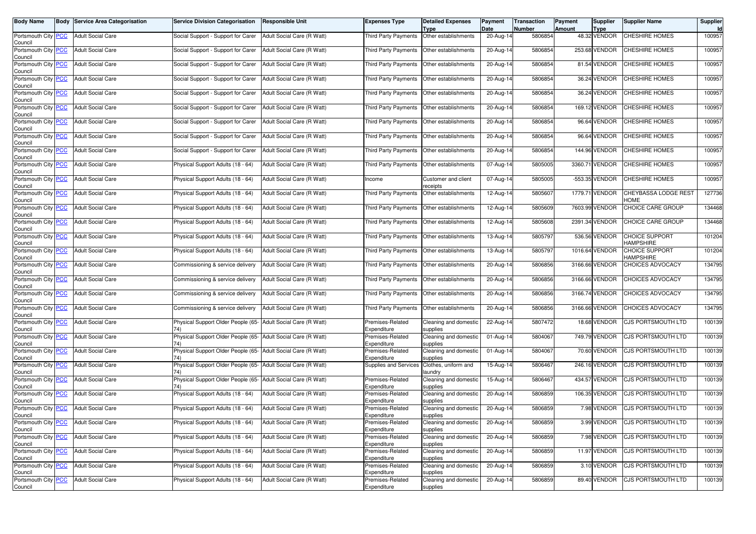| <b>Body Name</b>                       | <b>Body Service Area Categorisation</b> | <b>Service Division Categorisation</b>                               | <b>Responsible Unit</b>    | <b>Expenses Type</b>            | <b>Detailed Expenses</b><br><b>Type</b> | Payment<br>Date | <b>Transaction</b><br>Number | Payment<br><b>Amount</b> | <b>Supplier</b><br><b>Type</b> | <b>Supplier Name</b>               | Supplier |
|----------------------------------------|-----------------------------------------|----------------------------------------------------------------------|----------------------------|---------------------------------|-----------------------------------------|-----------------|------------------------------|--------------------------|--------------------------------|------------------------------------|----------|
| Portsmouth City PCC<br>Council         | <b>Adult Social Care</b>                | Social Support - Support for Carer                                   | Adult Social Care (R Watt) | <b>Third Party Payments</b>     | Other establishments                    | 20-Aug-14       | 5806854                      |                          | 48.32 VENDOR                   | CHESHIRE HOMES                     | 100957   |
| Portsmouth City PCC<br>Council         | <b>Adult Social Care</b>                | Social Support - Support for Carer                                   | Adult Social Care (R Watt) | Third Party Payments            | Other establishments                    | 20-Aug-14       | 5806854                      |                          | 253.68 VENDOR                  | CHESHIRE HOMES                     | 100957   |
| Portsmouth City PCC<br>Council         | <b>Adult Social Care</b>                | Social Support - Support for Carer                                   | Adult Social Care (R Watt) | Third Party Payments            | Other establishments                    | 20-Aug-14       | 5806854                      |                          | 81.54 VENDOR                   | CHESHIRE HOMES                     | 100957   |
| Portsmouth City PCC<br>Council         | <b>Adult Social Care</b>                | Social Support - Support for Carer                                   | Adult Social Care (R Watt) | <b>Third Party Payments</b>     | Other establishments                    | 20-Aug-14       | 5806854                      |                          | 36.24 VENDOR                   | CHESHIRE HOMES                     | 100957   |
| Portsmouth City PCC<br>Council         | <b>Adult Social Care</b>                | Social Support - Support for Carer                                   | Adult Social Care (R Watt) | Third Party Payments            | Other establishments                    | 20-Aug-14       | 5806854                      |                          | 36.24 VENDOR                   | CHESHIRE HOMES                     | 100957   |
| Portsmouth City PCC<br>Council         | <b>Adult Social Care</b>                | Social Support - Support for Carer                                   | Adult Social Care (R Watt) | Third Party Payments            | Other establishments                    | 20-Aug-14       | 5806854                      |                          | 169.12 VENDOR                  | CHESHIRE HOMES                     | 100957   |
| Portsmouth City PCC<br>Council         | <b>Adult Social Care</b>                | Social Support - Support for Carer                                   | Adult Social Care (R Watt) | Third Party Payments            | Other establishments                    | 20-Aug-14       | 5806854                      |                          | 96.64 VENDOR                   | CHESHIRE HOMES                     | 100957   |
| Portsmouth City <b>PCC</b><br>Council  | <b>Adult Social Care</b>                | Social Support - Support for Carer                                   | Adult Social Care (R Watt) | <b>Third Party Payments</b>     | Other establishments                    | 20-Aug-14       | 5806854                      |                          | 96.64 VENDOR                   | CHESHIRE HOMES                     | 100957   |
| Portsmouth City PCC<br>Council         | <b>Adult Social Care</b>                | Social Support - Support for Carer                                   | Adult Social Care (R Watt) | Third Party Payments            | Other establishments                    | 20-Aug-14       | 5806854                      |                          | 144.96 VENDOR                  | CHESHIRE HOMES                     | 100957   |
| Portsmouth City PCC<br>Council         | <b>Adult Social Care</b>                | Physical Support Adults (18 - 64)                                    | Adult Social Care (R Watt) | Third Party Payments            | Other establishments                    | 07-Aug-14       | 5805005                      |                          | 3360.71 VENDOR                 | CHESHIRE HOMES                     | 100957   |
| Portsmouth City PCC<br>Council         | <b>Adult Social Care</b>                | Physical Support Adults (18 - 64)                                    | Adult Social Care (R Watt) | Income                          | Customer and client<br>receipts         | 07-Aug-14       | 5805005                      |                          | -553.35 VENDOR                 | CHESHIRE HOMES                     | 100957   |
| Portsmouth City PCC<br>Council         | <b>Adult Social Care</b>                | Physical Support Adults (18 - 64)                                    | Adult Social Care (R Watt) | Third Party Payments            | Other establishments                    | 12-Aug-14       | 580560                       |                          | 1779.71 VENDOR                 | CHEYBASSA LODGE REST<br>HOME       | 127736   |
| Portsmouth City PCC<br>Council         | <b>Adult Social Care</b>                | Physical Support Adults (18 - 64)                                    | Adult Social Care (R Watt) | Third Party Payments            | Other establishments                    | 12-Aug-14       | 5805609                      |                          | 7603.99 VENDOR                 | CHOICE CARE GROUP                  | 134468   |
| Portsmouth City PCC<br>Council         | <b>Adult Social Care</b>                | Physical Support Adults (18 - 64)                                    | Adult Social Care (R Watt) | <b>Third Party Payments</b>     | Other establishments                    | 12-Aug-14       | 5805608                      |                          | 2391.34 VENDOR                 | CHOICE CARE GROUP                  | 134468   |
| Portsmouth City PCC<br>Council         | <b>Adult Social Care</b>                | Physical Support Adults (18 - 64)                                    | Adult Social Care (R Watt) | <b>Third Party Payments</b>     | Other establishments                    | 13-Aug-14       | 5805797                      |                          | 536.56 VENDOR                  | CHOICE SUPPORT<br><b>HAMPSHIRE</b> | 101204   |
| Portsmouth City <b>PCC</b><br>Council  | <b>Adult Social Care</b>                | Physical Support Adults (18 - 64)                                    | Adult Social Care (R Watt) | Third Party Payments            | Other establishments                    | 13-Aug-14       | 5805797                      |                          | 1016.64 VENDOR                 | CHOICE SUPPORT<br><b>HAMPSHIRE</b> | 101204   |
| Portsmouth City PCC<br>Council         | <b>Adult Social Care</b>                | Commissioning & service delivery                                     | Adult Social Care (R Watt) | <b>Third Party Payments</b>     | Other establishments                    | 20-Aug-14       | 5806856                      |                          | 3166.66 VENDOR                 | CHOICES ADVOCACY                   | 134795   |
| Portsmouth City PCC<br>Council         | <b>Adult Social Care</b>                | Commissioning & service delivery                                     | Adult Social Care (R Watt) | Third Party Payments            | Other establishments                    | 20-Aug-14       | 5806856                      |                          | 3166.66 VENDOR                 | CHOICES ADVOCACY                   | 134795   |
| Portsmouth City PCC<br>Council         | <b>Adult Social Care</b>                | Commissioning & service delivery                                     | Adult Social Care (R Watt) | <b>Third Party Payments</b>     | Other establishments                    | 20-Aug-14       | 5806856                      |                          | 3166.74 VENDOR                 | CHOICES ADVOCACY                   | 134795   |
| Portsmouth City PCC<br>Council         | <b>Adult Social Care</b>                | Commissioning & service delivery                                     | Adult Social Care (R Watt) | Third Party Payments            | Other establishments                    | 20-Aug-14       | 5806856                      |                          | 3166.66 VENDOR                 | CHOICES ADVOCACY                   | 134795   |
| Portsmouth City PCC<br>Council         | <b>Adult Social Care</b>                | Physical Support Older People (65-<br>74)                            | Adult Social Care (R Watt) | Premises-Related<br>Expenditure | Cleaning and domestic<br>supplies       | 22-Aug-14       | 5807472                      |                          | 18.68 VENDOR                   | CJS PORTSMOUTH LTD                 | 100139   |
| Portsmouth City <b>PCC</b><br>Council  | <b>Adult Social Care</b>                | Physical Support Older People (65- Adult Social Care (R Watt)<br>74) |                            | Premises-Related<br>Expenditure | Cleaning and domestic<br>supplies       | 01-Aug-14       | 5804067                      |                          | 749.79 VENDOR                  | <b>CJS PORTSMOUTH LTD</b>          | 100139   |
| Portsmouth City PCC<br>Council         | <b>Adult Social Care</b>                | Physical Support Older People (65- Adult Social Care (R Watt)        |                            | Premises-Related<br>Expenditure | Cleaning and domestic<br>supplies       | 01-Aug-14       | 5804067                      |                          | 70.60 VENDOR                   | CJS PORTSMOUTH LTD                 | 100139   |
| Portsmouth City PCC<br>Council         | <b>Adult Social Care</b>                | Physical Support Older People (65-                                   | Adult Social Care (R Watt) | Supplies and Services           | Clothes, uniform and<br>laundrv         | 15-Aug-14       | 580646                       |                          | 246.16 VENDOR                  | CJS PORTSMOUTH LTD                 | 100139   |
| Portsmouth City PCC<br>Council         | <b>Adult Social Care</b>                | Physical Support Older People (65- Adult Social Care (R Watt)<br>74) |                            | Premises-Related<br>Expenditure | Cleaning and domestic<br>supplies       | 15-Aug-14       | 5806467                      |                          | 434.57 VENDOR                  | CJS PORTSMOUTH LTD                 | 100139   |
| Portsmouth City PCC<br>Council         | <b>Adult Social Care</b>                | Physical Support Adults (18 - 64)                                    | Adult Social Care (R Watt) | Premises-Related<br>Expenditure | Cleaning and domestic<br>supplies       | 20-Aug-14       | 5806859                      |                          | 106.35 VENDOR                  | CJS PORTSMOUTH LTD                 | 100139   |
| Portsmouth City PCC<br>Council         | <b>Adult Social Care</b>                | Physical Support Adults (18 - 64)                                    | Adult Social Care (R Watt) | Premises-Related<br>Expenditure | Cleaning and domestic<br>supplies       | $20-Aug-14$     | 5806859                      |                          | 7.98 VENDOR                    | CJS PORTSMOUTH LTD                 | 100139   |
| Portsmouth City_ <u>PCC</u><br>Council | <b>Adult Social Care</b>                | Physical Support Adults (18 - 64)                                    | Adult Social Care (H Watt) | Premises-Related<br>Expenditure | Cleaning and domestic<br>supplies       | 20-Aug-14       | 5806859                      |                          | 3.99 VENDOR                    | <b>CJS PORTSMOUTH LTD</b>          | 100139   |
| Portsmouth City PCC<br>Council         | <b>Adult Social Care</b>                | Physical Support Adults (18 - 64)                                    | Adult Social Care (R Watt) | Premises-Related<br>Expenditure | Cleaning and domestic<br>supplies       | 20-Aug-14       | 5806859                      |                          | 7.98 VENDOR                    | CJS PORTSMOUTH LTD                 | 100139   |
| Portsmouth City PCC<br>Council         | <b>Adult Social Care</b>                | Physical Support Adults (18 - 64)                                    | Adult Social Care (R Watt) | Premises-Related<br>Expenditure | Cleaning and domestic<br>supplies       | 20-Aug-14       | 5806859                      |                          | 11.97 VENDOR                   | CJS PORTSMOUTH LTD                 | 100139   |
| Portsmouth City PCC<br>Council         | <b>Adult Social Care</b>                | Physical Support Adults (18 - 64)                                    | Adult Social Care (R Watt) | Premises-Related<br>Expenditure | Cleaning and domestic<br>supplies       | 20-Aug-14       | 5806859                      |                          | 3.10 VENDOR                    | <b>CJS PORTSMOUTH LTD</b>          | 100139   |
| Portsmouth City PCC<br>Council         | <b>Adult Social Care</b>                | Physical Support Adults (18 - 64)                                    | Adult Social Care (R Watt) | Premises-Related<br>Expenditure | Cleaning and domestic<br>supplies       | 20-Aug-14       | 5806859                      |                          | 89.40 VENDOR                   | CJS PORTSMOUTH LTD                 | 100139   |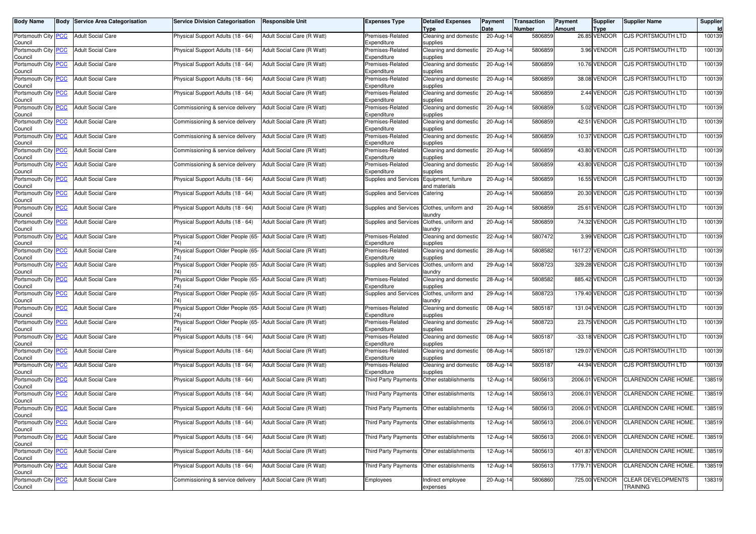| <b>Body Name</b>                              | Body | <b>Service Area Categorisation</b> | <b>Service Division Categorisation</b>                               | <b>Responsible Unit</b>    | Expenses Type                   | <b>Detailed Expenses</b><br><b>Type</b> | Payment<br>Date | <b>Transaction</b><br>Number | Payment<br>Amount | <b>Supplier</b><br><b>Type</b> | <b>Supplier Name</b>                         | <b>Supplier</b><br><b>Id</b> |
|-----------------------------------------------|------|------------------------------------|----------------------------------------------------------------------|----------------------------|---------------------------------|-----------------------------------------|-----------------|------------------------------|-------------------|--------------------------------|----------------------------------------------|------------------------------|
| Portsmouth City PCC<br>Council                |      | <b>Adult Social Care</b>           | Physical Support Adults (18 - 64)                                    | Adult Social Care (R Watt) | Premises-Related<br>Expenditure | Cleaning and domestic<br>supplies       | 20-Aug-14       | 5806859                      |                   | 26.85 VENDOR                   | CJS PORTSMOUTH LTD                           | 100139                       |
| Portsmouth City PCC<br>Council                |      | <b>Adult Social Care</b>           | Physical Support Adults (18 - 64)                                    | Adult Social Care (R Watt) | Premises-Related<br>Expenditure | Cleaning and domestic<br>supplies       | 20-Aug-14       | 5806859                      |                   | 3.96 VENDOR                    | <b>CJS PORTSMOUTH LTD</b>                    | 100139                       |
| Portsmouth City <b>PCC</b><br>Council         |      | <b>Adult Social Care</b>           | Physical Support Adults (18 - 64)                                    | Adult Social Care (R Watt) | Premises-Related<br>Expenditure | Cleaning and domestic<br>supplies       | 20-Aug-14       | 5806859                      |                   | 10.76 VENDOR                   | CJS PORTSMOUTH LTD                           | 100139                       |
| Portsmouth City PCC<br>Council                |      | <b>Adult Social Care</b>           | Physical Support Adults (18 - 64)                                    | Adult Social Care (R Watt) | Premises-Related<br>Expenditure | Cleaning and domestic<br>supplies       | $20-Aug-14$     | 5806859                      |                   | 38.08 VENDOR                   | CJS PORTSMOUTH LTD                           | 100139                       |
| Portsmouth City PCC<br>Council                |      | <b>Adult Social Care</b>           | Physical Support Adults (18 - 64)                                    | Adult Social Care (R Watt) | Premises-Related<br>Expenditure | Cleaning and domestic<br>supplies       | 20-Aug-14       | 5806859                      |                   | 2.44 VENDOR                    | CJS PORTSMOUTH LTD                           | 100139                       |
| Portsmouth City PCC<br>Council                |      | <b>Adult Social Care</b>           | Commissioning & service delivery                                     | Adult Social Care (R Watt) | Premises-Related<br>Expenditure | Cleaning and domestic<br>supplies       | 20-Aug-14       | 5806859                      |                   | 5.02 VENDOR                    | CJS PORTSMOUTH LTD                           | 100139                       |
| Portsmouth City PCC<br>Council                |      | <b>Adult Social Care</b>           | Commissioning & service delivery                                     | Adult Social Care (R Watt) | Premises-Related<br>Expenditure | Cleaning and domestic<br>supplies       | 20-Aug-14       | 5806859                      |                   | 42.51 VENDOR                   | CJS PORTSMOUTH LTD                           | 100139                       |
| Portsmouth City PCC<br>Council                |      | <b>Adult Social Care</b>           | Commissioning & service delivery                                     | Adult Social Care (R Watt) | Premises-Related<br>Expenditure | Cleaning and domestic<br>supplies       | 20-Aug-14       | 5806859                      |                   | 10.37 VENDOR                   | <b>CJS PORTSMOUTH LTD</b>                    | 100139                       |
| Portsmouth City PCC<br>Council                |      | <b>Adult Social Care</b>           | Commissioning & service delivery                                     | Adult Social Care (R Watt) | Premises-Related<br>Expenditure | Cleaning and domestic<br>supplies       | 20-Aug-14       | 5806859                      |                   | 43.80 VENDOR                   | CJS PORTSMOUTH LTD                           | 100139                       |
| Portsmouth City <b>PCC</b><br>Council         |      | <b>Adult Social Care</b>           | Commissioning & service delivery                                     | Adult Social Care (R Watt) | Premises-Related<br>Expenditure | Cleaning and domestic<br>supplies       | 20-Aug-14       | 5806859                      |                   | 43.80 VENDOR                   | CJS PORTSMOUTH LTD                           | 100139                       |
| Portsmouth City PCC<br>Council                |      | <b>Adult Social Care</b>           | Physical Support Adults (18 - 64)                                    | Adult Social Care (R Watt) | <b>Supplies and Services</b>    | Equipment, furniture<br>and materials   | 20-Aug-14       | 5806859                      |                   | 16.55 VENDOR                   | <b>CJS PORTSMOUTH LTD</b>                    | 100139                       |
| Portsmouth City PCC<br>Council                |      | <b>Adult Social Care</b>           | Physical Support Adults (18 - 64)                                    | Adult Social Care (R Watt) | Supplies and Services Catering  |                                         | 20-Aug-14       | 5806859                      | 20.30             | VENDOR                         | <b>CJS PORTSMOUTH LTD</b>                    | 100139                       |
| Portsmouth City PCC<br>Council                |      | <b>Adult Social Care</b>           | Physical Support Adults (18 - 64)                                    | Adult Social Care (R Watt) | Supplies and Services           | Clothes, uniform and<br>aundry          | 20-Aug-14       | 5806859                      |                   | 25.61 VENDOR                   | CJS PORTSMOUTH LTD                           | 100139                       |
| Portsmouth City PCC<br>Council                |      | <b>Adult Social Care</b>           | Physical Support Adults (18 - 64)                                    | Adult Social Care (R Watt) | Supplies and Services           | Clothes, uniform and<br>laundry         | 20-Aug-14       | 5806859                      |                   | 74.32 VENDOR                   | <b>CJS PORTSMOUTH LTD</b>                    | 100139                       |
| Portsmouth City <b>PCC</b><br>Council         |      | <b>Adult Social Care</b>           | Physical Support Older People (65-                                   | Adult Social Care (R Watt) | Premises-Related<br>Expenditure | Cleaning and domestic<br>supplies       | 22-Aug-14       | 5807472                      |                   | 3.99 VENDOR                    | <b>CJS PORTSMOUTH LTD</b>                    | 100139                       |
| Portsmouth City PCC<br>Council                |      | <b>Adult Social Care</b>           | Physical Support Older People (65- Adult Social Care (R Watt)<br>74) |                            | Premises-Related<br>Expenditure | Cleaning and domestic<br>supplies       | 28-Aug-14       | 5808582                      |                   | 1617.27 VENDOR                 | CJS PORTSMOUTH LTD                           | 100139                       |
| Portsmouth City <b>PCC</b><br>Council         |      | <b>Adult Social Care</b>           | Physical Support Older People (65- Adult Social Care (R Watt)<br>74) |                            | <b>Supplies and Services</b>    | Clothes, uniform and<br>laundry         | 29-Aug-14       | 5808723                      |                   | 329.28 VENDOR                  | <b>CJS PORTSMOUTH LTD</b>                    | 100139                       |
| Portsmouth City PCC<br>Council                |      | <b>Adult Social Care</b>           | Physical Support Older People (65- Adult Social Care (R Watt)        |                            | Premises-Related<br>Expenditure | Cleaning and domestic<br>supplies       | 28-Aug-14       | 5808582                      |                   | 885.42 VENDOR                  | CJS PORTSMOUTH LTD                           | 100139                       |
| Portsmouth City PCC<br>Council                |      | <b>Adult Social Care</b>           | Physical Support Older People (65- Adult Social Care (R Watt)        |                            | Supplies and Services           | Clothes, uniform and<br>laundry         | 29-Aug-14       | 5808723                      |                   | 179.40 VENDOR                  | CJS PORTSMOUTH LTD                           | 100139                       |
| Portsmouth City PCC<br>Council                |      | <b>Adult Social Care</b>           | Physical Support Older People (65- Adult Social Care (R Watt)<br>74) |                            | Premises-Related<br>Expenditure | Cleaning and domestic<br>supplies       | 08-Aug-14       | 5805187                      |                   | 131.04 VENDOR                  | <b>CJS PORTSMOUTH LTD</b>                    | 100139                       |
| Portsmouth City PCC<br>Council                |      | <b>Adult Social Care</b>           | Physical Support Older People (65-                                   | Adult Social Care (R Watt) | Premises-Related<br>Expenditure | Cleaning and domestic<br>supplies       | 29-Aug-14       | 5808723                      |                   | 23.75 VENDOR                   | CJS PORTSMOUTH LTD                           | 100139                       |
| Portsmouth City <b>PCC</b><br>Council         |      | <b>Adult Social Care</b>           | Physical Support Adults (18 - 64)                                    | Adult Social Care (R Watt) | Premises-Related<br>Expenditure | Cleaning and domestic<br>supplies       | 08-Aug-14       | 5805187                      |                   | -33.18 VENDOR                  | <b>CJS PORTSMOUTH LTD</b>                    | 100139                       |
| Portsmouth City PCC<br>Council                |      | <b>Adult Social Care</b>           | Physical Support Adults (18 - 64)                                    | Adult Social Care (R Watt) | Premises-Related<br>Expenditure | Cleaning and domestic<br>supplies       | 08-Aug-14       | 5805187                      |                   | 129.07 VENDOR                  | <b>CJS PORTSMOUTH LTD</b>                    | 100139                       |
| Portsmouth City PCC<br>Council                |      | <b>Adult Social Care</b>           | Physical Support Adults (18 - 64)                                    | Adult Social Care (R Watt) | Premises-Related<br>Expenditure | Cleaning and domestic<br>supplies       | 08-Aug-14       | 5805187                      |                   | 44.94 VENDOR                   | CJS PORTSMOUTH LTD                           | 100139                       |
| Portsmouth City PCC<br>Council                |      | <b>Adult Social Care</b>           | Physical Support Adults (18 - 64)                                    | Adult Social Care (R Watt) | <b>Third Party Payments</b>     | Other establishments                    | 12-Aug-14       | 5805613                      |                   | 2006.01 VENDOR                 | <b>CLARENDON CARE HOME.</b>                  | 138519                       |
| Portsmouth City PCC<br>Council                |      | <b>Adult Social Care</b>           | Physical Support Adults (18 - 64)                                    | Adult Social Care (R Watt) | Third Party Payments            | Other establishments                    | 12-Aug-14       | 5805613                      |                   | 2006.01 VENDOR                 | <b>CLARENDON CARE HOME.</b>                  | 138519                       |
| Portsmouth City PCC<br>Council                |      | <b>Adult Social Care</b>           | Physical Support Adults (18 - 64)                                    | Adult Social Care (R Watt) | Third Party Payments            | Other establishments                    | $12-Aug-14$     | 5805613                      |                   | 2006.01 VENDOR                 | <b>CLARENDON CARE HOME.</b>                  | 138519                       |
| Portsmouth City <mark>  PCC</mark><br>Council |      | Adult Social Care                  | Physical Support Adults (18 - 64)                                    | Adult Social Care (R Watt) | Third Party Payments            | Other establishments                    | 12-Aug-14       | 5805613                      |                   | 2006.01 VENDOR                 | <b>CLARENDON CARE HOME.</b>                  | 138519                       |
| Portsmouth City PCC<br>Council                |      | <b>Adult Social Care</b>           | Physical Support Adults (18 - 64)                                    | Adult Social Care (R Watt) | <b>Third Party Payments</b>     | Other establishments                    | 12-Aug-14       | 5805613                      |                   | 2006.01 VENDOR                 | <b>CLARENDON CARE HOME.</b>                  | 138519                       |
| Portsmouth City PCC<br>Council                |      | Adult Social Care                  | Physical Support Adults (18 - 64)                                    | Adult Social Care (R Watt) | Third Party Payments            | Other establishments                    | 12-Aug-14       | 5805613                      |                   | 401.87 VENDOR                  | CLARENDON CARE HOME.                         | 138519                       |
| Portsmouth City PCC<br>Council                |      | <b>Adult Social Care</b>           | Physical Support Adults (18 - 64)                                    | Adult Social Care (R Watt) | Third Party Payments            | Other establishments                    | 12-Aug-14       | 5805613                      |                   | 1779.71 VENDOR                 | CLARENDON CARE HOME.                         | 138519                       |
| Portsmouth City PCC<br>Council                |      | <b>Adult Social Care</b>           | Commissioning & service delivery                                     | Adult Social Care (R Watt) | Employees                       | Indirect employee<br>expenses           | 20-Aug-14       | 5806860                      |                   | 725.00 VENDOR                  | <b>CLEAR DEVELOPMENTS</b><br><b>TRAINING</b> | 138319                       |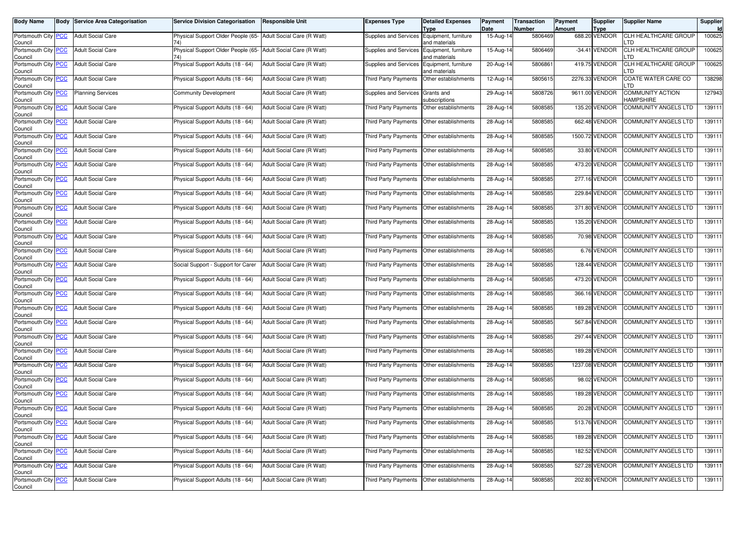| <b>Body Name</b>                              | <b>Body Service Area Categorisation</b> | <b>Service Division Categorisation</b>                               | <b>Responsible Unit</b>    | <b>Expenses Type</b>                        | <b>Detailed Expenses</b><br>Type      | Payment<br>Date | Transaction<br>Number | Payment<br><b>Amount</b> | <b>Supplier</b><br><b>Type</b> | <b>Supplier Name</b>                 | Supplier<br><b>Id</b> |
|-----------------------------------------------|-----------------------------------------|----------------------------------------------------------------------|----------------------------|---------------------------------------------|---------------------------------------|-----------------|-----------------------|--------------------------|--------------------------------|--------------------------------------|-----------------------|
| Portsmouth City PCC<br>Council                | <b>Adult Social Care</b>                | Physical Support Older People (65-<br>741                            | Adult Social Care (R Watt) | Supplies and Services                       | Equipment, furniture<br>and materials | 15-Aug-14       | 5806469               |                          | 688.20 VENDOR                  | <b>CLH HEALTHCARE GROUP</b><br>.TD   | 100625                |
| Portsmouth City PCC<br>Council                | <b>Adult Social Care</b>                | Physical Support Older People (65- Adult Social Care (R Watt)<br>74) |                            | <b>Supplies and Services</b>                | Equipment, furniture<br>and materials | 15-Aug-14       | 5806469               |                          | -34.41 VENDOR                  | CLH HEALTHCARE GROUP<br>TD           | 100625                |
| Portsmouth City <b>PCC</b><br>Council         | <b>Adult Social Care</b>                | Physical Support Adults (18 - 64)                                    | Adult Social Care (R Watt) | Supplies and Services                       | Equipment, furniture<br>and materials | 20-Aug-14       | 5806861               |                          | 419.75 VENDOR                  | CLH HEALTHCARE GROUP<br>.TD          | 100625                |
| Portsmouth City PCC<br>Council                | <b>Adult Social Care</b>                | Physical Support Adults (18 - 64)                                    | Adult Social Care (R Watt) | Third Party Payments                        | Other establishments                  | 12-Aug-14       | 5805615               |                          | 2276.33 VENDOR                 | COATE WATER CARE CO<br>.TD           | 138298                |
| Portsmouth City PCC<br>Council                | <b>Planning Services</b>                | <b>Community Development</b>                                         | Adult Social Care (R Watt) | Supplies and Services                       | Grants and<br>subscriptions           | 29-Aug-14       | 5808726               |                          | 9611.00 VENDOR                 | COMMUNITY ACTION<br><b>HAMPSHIRE</b> | 127943                |
| Portsmouth City PCC<br>Council                | <b>Adult Social Care</b>                | Physical Support Adults (18 - 64)                                    | Adult Social Care (R Watt) | Third Party Payments                        | Other establishments                  | 28-Aug-14       | 5808585               |                          | 135.20 VENDOR                  | <b>COMMUNITY ANGELS LTD</b>          | 139111                |
| Portsmouth City PCC<br>Council                | <b>Adult Social Care</b>                | Physical Support Adults (18 - 64)                                    | Adult Social Care (R Watt) | Third Party Payments                        | Other establishments                  | 28-Aug-14       | 5808585               |                          | 662.48 VENDOR                  | <b>COMMUNITY ANGELS LTD</b>          | 139111                |
| Portsmouth City PCC<br>Council                | <b>Adult Social Care</b>                | Physical Support Adults (18 - 64)                                    | Adult Social Care (R Watt) | <b>Third Party Payments</b>                 | Other establishments                  | 28-Aug-14       | 5808585               |                          | 1500.72 VENDOR                 | <b>COMMUNITY ANGELS LTD</b>          | 139111                |
| Portsmouth City PCC<br>Council                | <b>Adult Social Care</b>                | Physical Support Adults (18 - 64)                                    | Adult Social Care (R Watt) | Third Party Payments                        | Other establishments                  | 28-Aug-14       | 5808585               |                          | 33.80 VENDOR                   | COMMUNITY ANGELS LTD                 | 139111                |
| Portsmouth City PCC<br>Council                | <b>Adult Social Care</b>                | Physical Support Adults (18 - 64)                                    | Adult Social Care (R Watt) | <b>Third Party Payments</b>                 | Other establishments                  | 28-Aug-14       | 5808585               |                          | 473.20 VENDOR                  | COMMUNITY ANGELS LTD                 | 139111                |
| Portsmouth City PCC<br>Council                | <b>Adult Social Care</b>                | Physical Support Adults (18 - 64)                                    | Adult Social Care (R Watt) | <b>Third Party Payments</b>                 | Other establishments                  | 28-Aug-14       | 5808585               |                          | 277.16 VENDOR                  | COMMUNITY ANGELS LTD                 | 139111                |
| Portsmouth City PCC<br>Council                | <b>Adult Social Care</b>                | Physical Support Adults (18 - 64)                                    | Adult Social Care (R Watt) | Third Party Payments                        | Other establishments                  | 28-Aug-14       | 5808585               |                          | 229.84 VENDOR                  | COMMUNITY ANGELS LTD                 | 139111                |
| Portsmouth City PCC<br>Council                | <b>Adult Social Care</b>                | Physical Support Adults (18 - 64)                                    | Adult Social Care (R Watt) | Third Party Payments                        | Other establishments                  | 28-Aug-14       | 5808585               |                          | 371.80 VENDOR                  | <b>COMMUNITY ANGELS LTD</b>          | 139111                |
| Portsmouth City PCC<br>Council                | <b>Adult Social Care</b>                | Physical Support Adults (18 - 64)                                    | Adult Social Care (R Watt) | <b>Third Party Payments</b>                 | Other establishments                  | 28-Aug-14       | 5808585               |                          | 135.20 VENDOR                  | COMMUNITY ANGELS LTD                 | 139111                |
| Portsmouth City PCC<br>Council                | <b>Adult Social Care</b>                | Physical Support Adults (18 - 64)                                    | Adult Social Care (R Watt) | Third Party Payments                        | Other establishments                  | 28-Aug-14       | 5808585               |                          | 70.98 VENDOR                   | COMMUNITY ANGELS LTD                 | 139111                |
| Portsmouth City PCC<br>Council                | <b>Adult Social Care</b>                | Physical Support Adults (18 - 64)                                    | Adult Social Care (R Watt) | Third Party Payments                        | Other establishments                  | 28-Aug-14       | 5808585               |                          | 6.76 VENDOR                    | COMMUNITY ANGELS LTD                 | 139111                |
| Portsmouth City PCC<br>Council                | <b>Adult Social Care</b>                | Social Support - Support for Carer                                   | Adult Social Care (R Watt) | Third Party Payments                        | Other establishments                  | 28-Aug-14       | 5808585               |                          | 128.44 VENDOR                  | COMMUNITY ANGELS LTD                 | 139111                |
| Portsmouth City PCC<br>Council                | <b>Adult Social Care</b>                | Physical Support Adults (18 - 64)                                    | Adult Social Care (R Watt) | Third Party Payments                        | Other establishments                  | 28-Aug-14       | 5808585               |                          | 473.20 VENDOR                  | COMMUNITY ANGELS LTD                 | 139111                |
| Portsmouth City PCC<br>Council                | <b>Adult Social Care</b>                | Physical Support Adults (18 - 64)                                    | Adult Social Care (R Watt) | Third Party Payments                        | Other establishments                  | 28-Aug-14       | 5808585               |                          | 366.16 VENDOR                  | COMMUNITY ANGELS LTD                 | 139111                |
| Portsmouth City PCC<br>Council                | <b>Adult Social Care</b>                | Physical Support Adults (18 - 64)                                    | Adult Social Care (R Watt) | Third Party Payments                        | Other establishments                  | 28-Aug-14       | 5808585               |                          | 189.28 VENDOR                  | COMMUNITY ANGELS LTD                 | 139111                |
| Portsmouth City PCC<br>Council                | <b>Adult Social Care</b>                | Physical Support Adults (18 - 64)                                    | Adult Social Care (R Watt) | Third Party Payments                        | Other establishments                  | 28-Aug-14       | 5808585               |                          | 567.84 VENDOR                  | COMMUNITY ANGELS LTD                 | 139111                |
| Portsmouth City PCC<br>Council                | <b>Adult Social Care</b>                | Physical Support Adults (18 - 64)                                    | Adult Social Care (R Watt) | Third Party Payments                        | Other establishments                  | $28-Aug-14$     | 5808585               |                          | 297.44 VENDOR                  | COMMUNITY ANGELS LTD                 | 139111                |
| Portsmouth City PCC<br>Council                | <b>Adult Social Care</b>                | Physical Support Adults (18 - 64)                                    | Adult Social Care (R Watt) | Third Party Payments                        | Other establishments                  | 28-Aug-14       | 5808585               |                          | 189.28 VENDOR                  | COMMUNITY ANGELS LTD                 | 139111                |
| Portsmouth City PCC<br>Council                | <b>Adult Social Care</b>                | Physical Support Adults (18 - 64)                                    | Adult Social Care (R Watt) | Third Party Payments                        | Other establishments                  | 28-Aug-14       | 5808585               |                          | 1237.08 VENDOR                 | COMMUNITY ANGELS LTD                 | 139111                |
| Portsmouth City PCC<br>Council                | <b>Adult Social Care</b>                | Physical Support Adults (18 - 64)                                    | Adult Social Care (R Watt) | Third Party Payments                        | Other establishments                  | 28-Aug-14       | 5808585               |                          | 98.02 VENDOR                   | COMMUNITY ANGELS LTD                 | 139111                |
| Portsmouth City PCC<br>Council                | <b>Adult Social Care</b>                | Physical Support Adults (18 - 64)                                    | Adult Social Care (R Watt) | <b>Third Party Payments</b>                 | Other establishments                  | 28-Aug-14       | 5808585               |                          | 189.28 VENDOR                  | <b>COMMUNITY ANGELS LTD</b>          | 139111                |
| Portsmouth City PCC<br>Council                | <b>Adult Social Care</b>                | Physical Support Adults (18 - 64)                                    | Adult Social Care (R Watt) | Third Party Payments                        | Other establishments                  | 28-Aug-14       | 5808585               |                          | 20.28 VENDOR                   | COMMUNITY ANGELS LTD                 | 139111                |
| Portsmouth City <mark>  PCC</mark><br>Council | <b>Adult Social Care</b>                | Physical Support Adults (18 - 64)                                    | Adult Social Care (R Watt) | Third Party Payments   Other establishments |                                       | 28-Aug-14       | 5808585               |                          | 513.76 VENDOR                  | COMMUNITY ANGELS LTD                 | 139111                |
| Portsmouth City PCC<br>Council                | <b>Adult Social Care</b>                | Physical Support Adults (18 - 64)                                    | Adult Social Care (R Watt) | Third Party Payments Other establishments   |                                       | 28-Aug-14       | 5808585               |                          | 189.28 VENDOR                  | <b>COMMUNITY ANGELS LTD</b>          | 139111                |
| Portsmouth City PCC<br>Council                | Adult Social Care                       | Physical Support Adults (18 - 64)                                    | Adult Social Care (R Watt) | Third Party Payments                        | Other establishments                  | 28-Aug-14       | 5808585               |                          | 182.52 VENDOR                  | COMMUNITY ANGELS LTD                 | 139111                |
| Portsmouth City PCC<br>Council                | <b>Adult Social Care</b>                | Physical Support Adults (18 - 64)                                    | Adult Social Care (R Watt) | Third Party Payments Other establishments   |                                       | 28-Aug-14       | 5808585               |                          | 527.28 VENDOR                  | <b>COMMUNITY ANGELS LTD</b>          | 139111                |
| Portsmouth City PCC<br>Council                | <b>Adult Social Care</b>                | Physical Support Adults (18 - 64)                                    | Adult Social Care (R Watt) | Third Party Payments Other establishments   |                                       | 28-Aug-14       | 5808585               |                          | 202.80 VENDOR                  | <b>COMMUNITY ANGELS LTD</b>          | 139111                |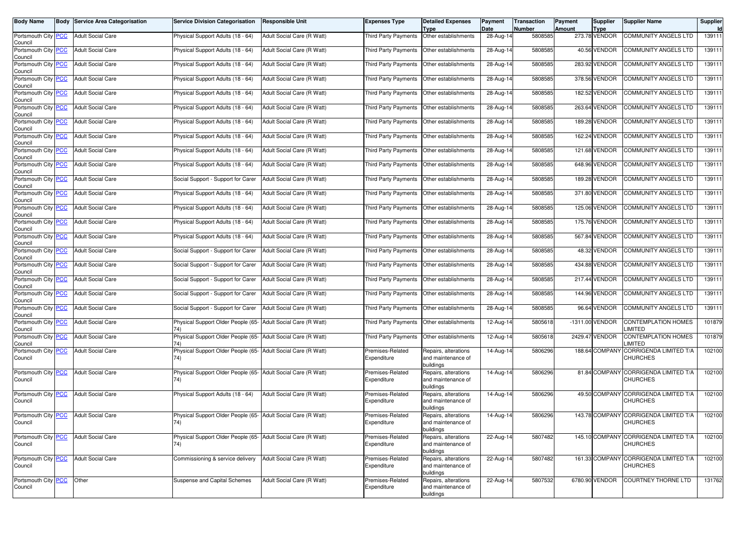| <b>Body Name</b>                      | <b>Body Service Area Categorisation</b> | <b>Service Division Categorisation</b>                               | <b>Responsible Unit</b>    | Expenses Type                   | <b>Detailed Expenses</b><br>Type                        | Payment<br>Date | Transaction<br>Number | Payment<br><b>Amount</b> | <b>Supplier</b><br><b>Type</b> | <b>Supplier Name</b>                                     | Supplier<br><b>Id</b> |
|---------------------------------------|-----------------------------------------|----------------------------------------------------------------------|----------------------------|---------------------------------|---------------------------------------------------------|-----------------|-----------------------|--------------------------|--------------------------------|----------------------------------------------------------|-----------------------|
| Portsmouth City PCC<br>Council        | <b>Adult Social Care</b>                | Physical Support Adults (18 - 64)                                    | Adult Social Care (R Watt) | <b>Third Party Payments</b>     | Other establishments                                    | 28-Aug-14       | 5808585               |                          | 273.78 VENDOR                  | <b>COMMUNITY ANGELS LTD</b>                              | 139111                |
| Portsmouth City PCC<br>Council        | <b>Adult Social Care</b>                | Physical Support Adults (18 - 64)                                    | Adult Social Care (R Watt) | Third Party Payments            | Other establishments                                    | 28-Aug-14       | 5808585               |                          | 40.56 VENDOR                   | COMMUNITY ANGELS LTD                                     | 139111                |
| Portsmouth City <b>PCC</b><br>Council | <b>Adult Social Care</b>                | Physical Support Adults (18 - 64)                                    | Adult Social Care (R Watt) | <b>Third Party Payments</b>     | Other establishments                                    | 28-Aug-14       | 5808585               |                          | 283.92 VENDOR                  | COMMUNITY ANGELS LTD                                     | 139111                |
| Portsmouth City PCC<br>Council        | <b>Adult Social Care</b>                | Physical Support Adults (18 - 64)                                    | Adult Social Care (R Watt) | Third Party Payments            | Other establishments                                    | 28-Aug-14       | 5808585               |                          | 378.56 VENDOR                  | COMMUNITY ANGELS LTD                                     | 139111                |
| Portsmouth City PCC<br>Council        | <b>Adult Social Care</b>                | Physical Support Adults (18 - 64)                                    | Adult Social Care (R Watt) | Third Party Payments            | Other establishments                                    | 28-Aug-14       | 5808585               |                          | 182.52 VENDOR                  | COMMUNITY ANGELS LTD                                     | 139111                |
| Portsmouth City PCC<br>Council        | <b>Adult Social Care</b>                | Physical Support Adults (18 - 64)                                    | Adult Social Care (R Watt) | Third Party Payments            | Other establishments                                    | 28-Aug-14       | 5808585               |                          | 263.64 VENDOR                  | COMMUNITY ANGELS LTD                                     | 139111                |
| Portsmouth City PCC<br>Council        | <b>Adult Social Care</b>                | Physical Support Adults (18 - 64)                                    | Adult Social Care (R Watt) | Third Party Payments            | Other establishments                                    | 28-Aug-14       | 5808585               |                          | 189.28 VENDOR                  | COMMUNITY ANGELS LTD                                     | 139111                |
| Portsmouth City PCC<br>Council        | <b>Adult Social Care</b>                | Physical Support Adults (18 - 64)                                    | Adult Social Care (R Watt) | <b>Third Party Payments</b>     | Other establishments                                    | 28-Aug-14       | 5808585               |                          | 162.24 VENDOR                  | <b>COMMUNITY ANGELS LTD</b>                              | 139111                |
| Portsmouth City PCC<br>Council        | <b>Adult Social Care</b>                | Physical Support Adults (18 - 64)                                    | Adult Social Care (R Watt) | Third Party Payments            | Other establishments                                    | 28-Aug-14       | 5808585               |                          | 121.68 VENDOR                  | COMMUNITY ANGELS LTD                                     | 139111                |
| Portsmouth City PCC<br>Council        | <b>Adult Social Care</b>                | Physical Support Adults (18 - 64)                                    | Adult Social Care (R Watt) | <b>Third Party Payments</b>     | Other establishments                                    | 28-Aug-14       | 5808585               |                          | 648.96 VENDOR                  | COMMUNITY ANGELS LTD                                     | 139111                |
| Portsmouth City PCC<br>Council        | <b>Adult Social Care</b>                | Social Support - Support for Carer                                   | Adult Social Care (R Watt) | <b>Third Party Payments</b>     | Other establishments                                    | 28-Aug-14       | 5808585               |                          | 189.28 VENDOR                  | COMMUNITY ANGELS LTD                                     | 139111                |
| Portsmouth City PCC<br>Council        | <b>Adult Social Care</b>                | Physical Support Adults (18 - 64)                                    | Adult Social Care (R Watt) | Third Party Payments            | Other establishments                                    | 28-Aug-14       | 5808585               |                          | 371.80 VENDOR                  | COMMUNITY ANGELS LTD                                     | 139111                |
| Portsmouth City PCC<br>Council        | <b>Adult Social Care</b>                | Physical Support Adults (18 - 64)                                    | Adult Social Care (R Watt) | <b>Third Party Payments</b>     | Other establishments                                    | 28-Aug-14       | 5808585               |                          | 125.06 VENDOR                  | COMMUNITY ANGELS LTD                                     | 139111                |
| Portsmouth City PCC<br>Council        | <b>Adult Social Care</b>                | Physical Support Adults (18 - 64)                                    | Adult Social Care (R Watt) | <b>Third Party Payments</b>     | Other establishments                                    | 28-Aug-14       | 5808585               |                          | 175.76 VENDOR                  | COMMUNITY ANGELS LTD                                     | 139111                |
| Portsmouth City PCC<br>Council        | <b>Adult Social Care</b>                | Physical Support Adults (18 - 64)                                    | Adult Social Care (R Watt) | Third Party Payments            | Other establishments                                    | 28-Aug-14       | 5808585               |                          | 567.84 VENDOR                  | COMMUNITY ANGELS LTD                                     | 139111                |
| Portsmouth City PCC<br>Council        | <b>Adult Social Care</b>                | Social Support - Support for Carer                                   | Adult Social Care (R Watt) | Third Party Payments            | Other establishments                                    | 28-Aug-14       | 5808585               |                          | 48.32 VENDOR                   | COMMUNITY ANGELS LTD                                     | 139111                |
| Portsmouth City PCC<br>Council        | <b>Adult Social Care</b>                | Social Support - Support for Carer                                   | Adult Social Care (R Watt) | Third Party Payments            | Other establishments                                    | 28-Aug-14       | 5808585               |                          | 434.88 VENDOR                  | COMMUNITY ANGELS LTD                                     | 139111                |
| Portsmouth City PCC<br>Council        | <b>Adult Social Care</b>                | Social Support - Support for Carer                                   | Adult Social Care (R Watt) | Third Party Payments            | Other establishments                                    | 28-Aug-14       | 5808585               |                          | <b>217.44 VENDOR</b>           | COMMUNITY ANGELS LTD                                     | 139111                |
| Portsmouth City PCC<br>Council        | <b>Adult Social Care</b>                | Social Support - Support for Carer                                   | Adult Social Care (R Watt) | Third Party Payments            | Other establishments                                    | 28-Aug-14       | 5808585               |                          | 144.96 VENDOR                  | COMMUNITY ANGELS LTD                                     | 139111                |
| Portsmouth City PCC<br>Council        | <b>Adult Social Care</b>                | Social Support - Support for Carer                                   | Adult Social Care (R Watt) | Third Party Payments            | Other establishments                                    | 28-Aug-14       | 5808585               |                          | 96.64 VENDOR                   | COMMUNITY ANGELS LTD                                     | 139111                |
| Portsmouth City PCC<br>Council        | <b>Adult Social Care</b>                | Physical Support Older People (65-                                   | Adult Social Care (R Watt) | Third Party Payments            | Other establishments                                    | 12-Aug-14       | 5805618               |                          | -1311.00 VENDOR                | CONTEMPLATION HOMES<br><b>IMITED</b>                     | 101879                |
| Portsmouth City PCC<br>Council        | <b>Adult Social Care</b>                | Physical Support Older People (65- Adult Social Care (R Watt)<br>74) |                            | Third Party Payments            | Other establishments                                    | 12-Aug-14       | 5805618               |                          | 2429.47 VENDOR                 | <b>CONTEMPLATION HOMES</b><br><b>IMITED</b>              | 101879                |
| Portsmouth City PCC<br>Council        | <b>Adult Social Care</b>                | Physical Support Older People (65- Adult Social Care (R Watt)<br>74) |                            | Premises-Related<br>Expenditure | Repairs, alterations<br>and maintenance of<br>buildings | 14-Aug-14       | 5806296               |                          | 188.64 COMPANY                 | CORRIGENDA LIMITED T/A<br>CHURCHES                       | 102100                |
| Portsmouth City PCC<br>Council        | <b>Adult Social Care</b>                | Physical Support Older People (65- Adult Social Care (R Watt)<br>74) |                            | Premises-Related<br>Expenditure | Repairs, alterations<br>and maintenance of<br>buildings | 14-Aug-14       | 5806296               |                          |                                | 81.84 COMPANY CORRIGENDA LIMITED T/A<br>CHURCHES         | 102100                |
| Portsmouth City PCC<br>Council        | <b>Adult Social Care</b>                | Physical Support Adults (18 - 64)                                    | Adult Social Care (R Watt) | Premises-Related<br>Expenditure | Repairs, alterations<br>and maintenance of<br>buildings | 14-Aug-14       | 5806296               |                          |                                | 49.50 COMPANY CORRIGENDA LIMITED T/A<br>CHURCHES         | 102100                |
| Portsmouth City PCC<br>Council        | <b>Adult Social Care</b>                | Physical Support Older People (65- Adult Social Care (R Watt)<br>74) |                            | Premises-Related<br>Expenditure | Repairs, alterations<br>and maintenance of<br>buildings | 14-Aug-14       | 5806296               |                          |                                | 143.78 COMPANY CORRIGENDA LIMITED T/A<br>CHURCHES        | 102100                |
| Portsmouth City PCC<br>Council        | <b>Adult Social Care</b>                | Physical Support Older People (65- Adult Social Care (R Watt)<br>74) |                            | Premises-Related<br>Expenditure | Repairs, alterations<br>and maintenance of<br>buildings | 22-Aug-14       | 5807482               |                          |                                | 145.10 COMPANY CORRIGENDA LIMITED T/A<br><b>CHURCHES</b> | 102100                |
| Portsmouth City PCC<br>Council        | <b>Adult Social Care</b>                | Commissioning & service delivery                                     | Adult Social Care (R Watt) | Premises-Related<br>Expenditure | Repairs, alterations<br>and maintenance of<br>buildings | 22-Aug-14       | 5807482               |                          |                                | 161.33 COMPANY CORRIGENDA LIMITED T/A<br><b>CHURCHES</b> | 102100                |
| Portsmouth City PCC<br>Council        | Other                                   | Suspense and Capital Schemes                                         | Adult Social Care (R Watt) | Premises-Related<br>Expenditure | Repairs, alterations<br>and maintenance of<br>buildings | 22-Aug-14       | 5807532               |                          | 6780.90 VENDOR                 | <b>COURTNEY THORNE LTD</b>                               | 131762                |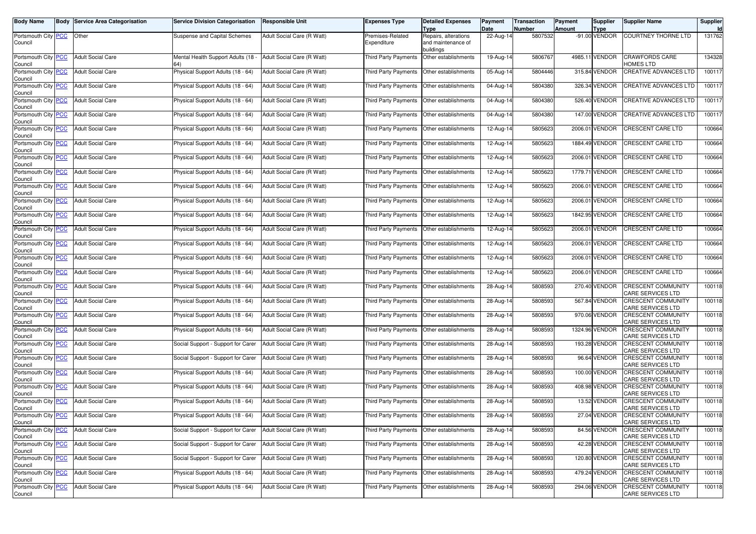| <b>Body Name</b>               | <b>Body Service Area Categorisation</b> | <b>Service Division Categorisation</b> | Responsible Unit           | <b>Expenses Type</b>                        | <b>Detailed Expenses</b>                           | Payment           | <b>Transaction</b> | Payment       | Supplier                     | <b>Supplier Name</b>                                  | Supplier     |
|--------------------------------|-----------------------------------------|----------------------------------------|----------------------------|---------------------------------------------|----------------------------------------------------|-------------------|--------------------|---------------|------------------------------|-------------------------------------------------------|--------------|
| Portsmouth City PCC<br>Council | Other                                   | Suspense and Capital Schemes           | Adult Social Care (R Watt) | Premises-Related<br>Expenditure             | Type<br>Repairs, alterations<br>and maintenance of | Date<br>22-Aug-14 | Number<br>5807532  | <b>Amount</b> | <b>Type</b><br>-91.00 VENDOR | <b>COURTNEY THORNE LTD</b>                            | Id<br>131762 |
| Portsmouth City PCC            | <b>Adult Social Care</b>                | Mental Health Support Adults (18       | Adult Social Care (R Watt) | Third Party Payments                        | buildings<br>Other establishments                  | 19-Aug-14         | 5806767            |               | 4985.11 VENDOR               | CRAWFORDS CARE                                        | 134328       |
| Council<br>Portsmouth City PCC | <b>Adult Social Care</b>                | Physical Support Adults (18 - 64)      | Adult Social Care (R Watt) | Third Party Payments                        | Other establishments                               | 05-Aug-14         | 5804446            |               | 315.84 VENDOR                | <b>IOMES LTD</b><br>CREATIVE ADVANCES LTD             | 100117       |
| Council<br>Portsmouth City PCC | <b>Adult Social Care</b>                | Physical Support Adults (18 - 64)      | Adult Social Care (R Watt) | Third Party Payments                        | Other establishments                               | 04-Aug-14         | 5804380            |               | 326.34 VENDOR                | CREATIVE ADVANCES LTD                                 | 100117       |
| Council<br>Portsmouth City PCC | <b>Adult Social Care</b>                | Physical Support Adults (18 - 64)      | Adult Social Care (R Watt) | Third Party Payments                        | Other establishments                               | 04-Aug-14         | 5804380            |               | 526.40 VENDOR                | CREATIVE ADVANCES LTD                                 | 100117       |
| Council<br>Portsmouth City PCC | <b>Adult Social Care</b>                | Physical Support Adults (18 - 64)      | Adult Social Care (R Watt) | Third Party Payments                        | Other establishments                               | 04-Aug-14         | 5804380            |               | 147.00 VENDOR                | CREATIVE ADVANCES LTD                                 | 100117       |
| Council<br>Portsmouth City PCC | <b>Adult Social Care</b>                | Physical Support Adults (18 - 64)      | Adult Social Care (R Watt) | Third Party Payments                        | Other establishments                               | 12-Aug-14         | 5805623            |               | 2006.01 VENDOR               | CRESCENT CARE LTD                                     | 100664       |
| Council<br>Portsmouth City PCC | <b>Adult Social Care</b>                | Physical Support Adults (18 - 64)      | Adult Social Care (R Watt) | Third Party Payments                        | Other establishments                               | 12-Aug-14         | 5805623            |               | 1884.49 VENDOR               | <b>CRESCENT CARE LTD</b>                              | 100664       |
| Council<br>Portsmouth City PCC | <b>Adult Social Care</b>                | Physical Support Adults (18 - 64)      | Adult Social Care (R Watt) | Third Party Payments                        | Other establishments                               | 12-Aug-14         | 5805623            |               | 2006.01 VENDOR               | CRESCENT CARE LTD                                     | 100664       |
| Council<br>Portsmouth City PCC | <b>Adult Social Care</b>                | Physical Support Adults (18 - 64)      | Adult Social Care (R Watt) | Third Party Payments                        | Other establishments                               | 12-Aug-14         | 5805623            |               | 1779.71 VENDOR               | CRESCENT CARE LTD                                     | 100664       |
| Council<br>Portsmouth City PCC | <b>Adult Social Care</b>                | Physical Support Adults (18 - 64)      | Adult Social Care (R Watt) | Third Party Payments                        | Other establishments                               | 12-Aug-14         | 5805623            |               | 2006.01 VENDOR               | CRESCENT CARE LTD                                     | 100664       |
| Council<br>Portsmouth City PCC | <b>Adult Social Care</b>                | Physical Support Adults (18 - 64)      | Adult Social Care (R Watt) | <b>Third Party Payments</b>                 | Other establishments                               | 12-Aug-14         | 5805623            |               | 2006.01 VENDOR               | CRESCENT CARE LTD                                     | 100664       |
| Council<br>Portsmouth City PCC | <b>Adult Social Care</b>                | Physical Support Adults (18 - 64)      | Adult Social Care (R Watt) | Third Party Payments                        | Other establishments                               | 12-Aug-14         | 5805623            |               | 1842.95 VENDOR               | CRESCENT CARE LTD                                     | 100664       |
| Council<br>Portsmouth City PCC | <b>Adult Social Care</b>                | Physical Support Adults (18 - 64)      | Adult Social Care (R Watt) | Third Party Payments                        | Other establishments                               | 12-Aug-14         | 5805623            |               | 2006.01 VENDOR               | CRESCENT CARE LTD                                     | 100664       |
| Council<br>Portsmouth City PCC | <b>Adult Social Care</b>                | Physical Support Adults (18 - 64)      | Adult Social Care (R Watt) | Third Party Payments                        | Other establishments                               | 12-Aug-14         | 5805623            |               | 2006.01 VENDOR               | CRESCENT CARE LTD                                     | 100664       |
| Council<br>Portsmouth City PCC | <b>Adult Social Care</b>                | Physical Support Adults (18 - 64)      | Adult Social Care (R Watt) | Third Party Payments                        | Other establishments                               | 12-Aug-14         | 5805623            |               | 2006.01 VENDOR               | CRESCENT CARE LTD                                     | 100664       |
| Council<br>Portsmouth City PCC | <b>Adult Social Care</b>                | Physical Support Adults (18 - 64)      | Adult Social Care (R Watt) | Third Party Payments                        | Other establishments                               | 12-Aug-14         | 5805623            |               | 2006.01 VENDOR               | <b>CRESCENT CARE LTD</b>                              | 100664       |
| Council<br>Portsmouth City PCC | <b>Adult Social Care</b>                | Physical Support Adults (18 - 64)      | Adult Social Care (R Watt) | Third Party Payments                        | Other establishments                               | 28-Aug-14         | 5808593            |               | 270.40 VENDOR                | CRESCENT COMMUNITY                                    | 100118       |
| Council<br>Portsmouth City PCC | <b>Adult Social Care</b>                | Physical Support Adults (18 - 64)      | Adult Social Care (R Watt) | Third Party Payments                        | Other establishments                               | 28-Aug-14         | 5808593            |               | 567.84 VENDOR                | CARE SERVICES LTD<br><b>CRESCENT COMMUNITY</b>        | 100118       |
| Council<br>Portsmouth City PCC | <b>Adult Social Care</b>                | Physical Support Adults (18 - 64)      | Adult Social Care (R Watt) | Third Party Payments                        | Other establishments                               | 28-Aug-14         | 5808593            |               | 970.06 VENDOR                | CARE SERVICES LTD<br><b>CRESCENT COMMUNITY</b>        | 100118       |
| Council<br>Portsmouth City PCC | <b>Adult Social Care</b>                | Physical Support Adults (18 - 64)      | Adult Social Care (R Watt) | Third Party Payments                        | Other establishments                               | 28-Aug-14         | 5808593            |               | 1324.96 VENDOR               | CARE SERVICES LTD<br>CRESCENT COMMUNITY               | 100118       |
| Council                        | <b>Adult Social Care</b>                |                                        |                            |                                             |                                                    |                   | 5808593            |               | 193.28 VENDOR                | CARE SERVICES LTD<br>CRESCENT COMMUNITY               | 100118       |
| Portsmouth City PCC<br>Council |                                         | Social Support - Support for Carer     | Adult Social Care (R Watt) | Third Party Payments                        | Other establishments                               | 28-Aug-14         |                    |               | 96.64 VENDOR                 | CARE SERVICES LTD                                     |              |
| Portsmouth City PCC<br>Council | <b>Adult Social Care</b>                | Social Support - Support for Carer     | Adult Social Care (R Watt) | Third Party Payments                        | Other establishments                               | 28-Aug-14         | 5808593            |               |                              | CRESCENT COMMUNITY<br>CARE SERVICES LTD               | 100118       |
| Portsmouth City PCC<br>Council | <b>Adult Social Care</b>                | Physical Support Adults (18 - 64)      | Adult Social Care (R Watt) | Third Party Payments                        | Other establishments                               | 28-Aug-14         | 5808593            |               | 100.00 VENDOR                | CRESCENT COMMUNITY<br>CARE SERVICES LTD               | 100118       |
| Portsmouth City PCC<br>Council | <b>Adult Social Care</b>                | Physical Support Adults (18 - 64)      | Adult Social Care (R Watt) | Third Party Payments                        | Other establishments                               | $28-Aug-14$       | 5808593            |               | 408.98 VENDOR                | CRESCENT COMMUNITY<br>CARE SERVICES LTD               | 100118       |
| Portsmouth City PCC<br>Council | <b>Adult Social Care</b>                | Physical Support Adults (18 - 64)      | Adult Social Care (R Watt) | Third Party Payments                        | Other establishments                               | 28-Aug-14         | 5808593            |               | 13.52 VENDOR                 | <b>CRESCENT COMMUNITY</b><br>CARE SERVICES LTD        | 100118       |
| Portsmouth City PCC<br>Council | <b>Adult Social Care</b>                | Physical Support Adults (18 - 64)      | Adult Social Care (R Watt) | Third Party Payments   Other establishments |                                                    | 28-Aug-14         | 5808593            |               | 27.04 VENDOR                 | <b>CRESCENT COMMUNITY</b><br>CARE SERVICES LTD        | 100118       |
| Portsmouth City PCC<br>Council | <b>Adult Social Care</b>                | Social Support - Support for Carer     | Adult Social Care (R Watt) | Third Party Payments                        | Other establishments                               | 28-Aug-14         | 5808593            |               | 84.56 VENDOR                 | <b>CRESCENT COMMUNITY</b><br><b>CARE SERVICES LTD</b> | 100118       |
| Portsmouth City PCC<br>Council | <b>Adult Social Care</b>                | Social Support - Support for Carer     | Adult Social Care (R Watt) | <b>Third Party Payments</b>                 | Other establishments                               | 28-Aug-14         | 5808593            |               | 42.28 VENDOR                 | <b>CRESCENT COMMUNITY</b><br>CARE SERVICES LTD        | 100118       |
| Portsmouth City PCC<br>Council | <b>Adult Social Care</b>                | Social Support - Support for Carer     | Adult Social Care (R Watt) | Third Party Payments                        | Other establishments                               | 28-Aug-14         | 5808593            |               | 120.80 VENDOR                | <b>CRESCENT COMMUNITY</b><br>CARE SERVICES LTD        | 100118       |
| Portsmouth City PCC<br>Council | <b>Adult Social Care</b>                | Physical Support Adults (18 - 64)      | Adult Social Care (R Watt) | Third Party Payments                        | Other establishments                               | 28-Aug-14         | 5808593            |               | 479.24 VENDOR                | CRESCENT COMMUNITY<br>CARE SERVICES LTD               | 100118       |
| Portsmouth City PCC<br>Council | <b>Adult Social Care</b>                | Physical Support Adults (18 - 64)      | Adult Social Care (R Watt) | Third Party Payments   Other establishments |                                                    | 28-Aug-14         | 5808593            |               | 294.06 VENDOR                | <b>CRESCENT COMMUNITY</b><br>CARE SERVICES LTD        | 100118       |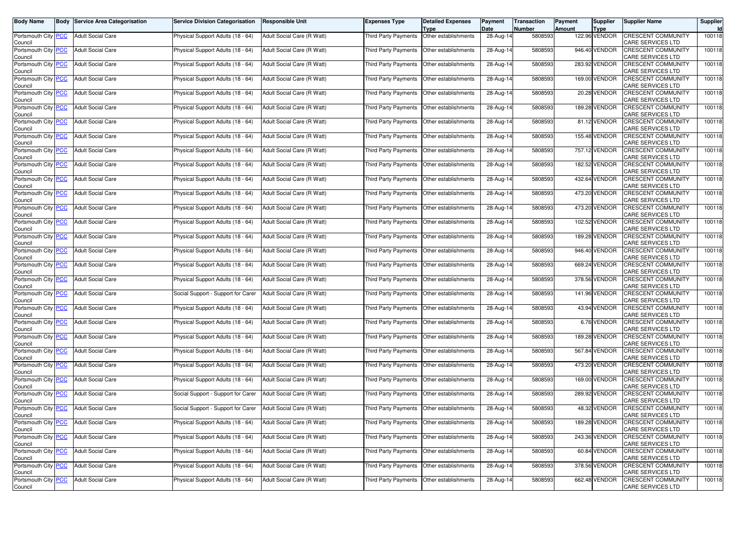| Body Name                                   | <b>Body Service Area Categorisation</b> | <b>Service Division Categorisation</b> | <b>Responsible Unit</b>    | Expenses Type               | <b>Detailed Expenses</b>                     | Payment<br>Date | <b>Transaction</b><br><b>Number</b> | Payment<br><b>Amount</b> | Supplier<br><b>Type</b> | <b>Supplier Name</b>                                  | Supplier<br>Id |
|---------------------------------------------|-----------------------------------------|----------------------------------------|----------------------------|-----------------------------|----------------------------------------------|-----------------|-------------------------------------|--------------------------|-------------------------|-------------------------------------------------------|----------------|
| Portsmouth City <b>PCC</b><br>Council       | <b>Adult Social Care</b>                | Physical Support Adults (18 - 64)      | Adult Social Care (R Watt) | <b>Third Party Payments</b> | Type<br>Other establishments                 | 28-Aug-14       | 5808593                             |                          | 122.96 VENDOR           | <b>CRESCENT COMMUNITY</b><br>CARE SERVICES LTD        | 100118         |
| Portsmouth City PCC<br>Council              | <b>Adult Social Care</b>                | Physical Support Adults (18 - 64)      | Adult Social Care (R Watt) | <b>Third Party Payments</b> | Other establishments                         | 28-Aug-14       | 5808593                             |                          | 946.40 VENDOR           | CRESCENT COMMUNITY<br>CARE SERVICES LTD               | 100118         |
| Portsmouth City PCC<br>Council              | <b>Adult Social Care</b>                | Physical Support Adults (18 - 64)      | Adult Social Care (R Watt) | Third Party Payments        | Other establishments                         | 28-Aug-14       | 5808593                             |                          | 283.92 VENDOR           | CRESCENT COMMUNITY<br>CARE SERVICES LTD               | 100118         |
| Portsmouth City PCC<br>Council              | <b>Adult Social Care</b>                | Physical Support Adults (18 - 64)      | Adult Social Care (R Watt) | Third Party Payments        | Other establishments                         | $28-Aug-14$     | 5808593                             |                          | 169.00 VENDOR           | <b>CRESCENT COMMUNITY</b><br>CARE SERVICES LTD        | 100118         |
| Portsmouth City PCC<br>Council              | <b>Adult Social Care</b>                | Physical Support Adults (18 - 64)      | Adult Social Care (R Watt) | <b>Third Party Payments</b> | Other establishments                         | 28-Aug-14       | 5808593                             |                          | 20.28 VENDOR            | <b>CRESCENT COMMUNITY</b><br>CARE SERVICES LTD        | 100118         |
| Portsmouth City PCC<br>Council              | <b>Adult Social Care</b>                | Physical Support Adults (18 - 64)      | Adult Social Care (R Watt) | Third Party Payments        | Other establishments                         | 28-Aug-14       | 5808593                             |                          | 189.28 VENDOR           | <b>CRESCENT COMMUNITY</b><br>CARE SERVICES LTD        | 100118         |
| Portsmouth City PCC<br>Council              | <b>Adult Social Care</b>                | Physical Support Adults (18 - 64)      | Adult Social Care (R Watt) | Third Party Payments        | Other establishments                         | 28-Aug-14       | 5808593                             |                          | 81.12 VENDOR            | <b>CRESCENT COMMUNITY</b><br>CARE SERVICES LTD        | 100118         |
| Portsmouth City PCC<br>Council              | <b>Adult Social Care</b>                | Physical Support Adults (18 - 64)      | Adult Social Care (R Watt) | <b>Third Party Payments</b> | Other establishments                         | 28-Aug-14       | 5808593                             |                          | 155.48 VENDOR           | <b>CRESCENT COMMUNITY</b><br>CARE SERVICES LTD        | 100118         |
| Portsmouth City PCC<br>Council              | <b>Adult Social Care</b>                | Physical Support Adults (18 - 64)      | Adult Social Care (R Watt) | Third Party Payments        | Other establishments                         | 28-Aug-14       | 5808593                             |                          | 757.12 VENDOR           | CRESCENT COMMUNITY<br>CARE SERVICES LTD               | 100118         |
| Portsmouth City PCC<br>Council              | <b>Adult Social Care</b>                | Physical Support Adults (18 - 64)      | Adult Social Care (R Watt) | Third Party Payments        | Other establishments                         | 28-Aug-14       | 5808593                             |                          | 182.52 VENDOR           | <b>CRESCENT COMMUNITY</b><br>CARE SERVICES LTD        | 100118         |
| Portsmouth City PCC<br>Council              | <b>Adult Social Care</b>                | Physical Support Adults (18 - 64)      | Adult Social Care (R Watt) | <b>Third Party Payments</b> | Other establishments                         | 28-Aug-14       | 5808593                             |                          | 432.64 VENDOR           | <b>CRESCENT COMMUNITY</b><br>CARE SERVICES LTD        | 100118         |
| Portsmouth City PCC<br>Council              | <b>Adult Social Care</b>                | Physical Support Adults (18 - 64)      | Adult Social Care (R Watt) | Third Party Payments        | Other establishments                         | 28-Aug-14       | 5808593                             |                          | 473.20 VENDOR           | <b>CRESCENT COMMUNITY</b><br>CARE SERVICES LTD        | 100118         |
| Portsmouth City PCC<br>Council              | <b>Adult Social Care</b>                | Physical Support Adults (18 - 64)      | Adult Social Care (R Watt) | Third Party Payments        | Other establishments                         | 28-Aug-14       | 5808593                             |                          | 473.20 VENDOR           | <b>CRESCENT COMMUNITY</b><br>CARE SERVICES LTD        | 100118         |
| Portsmouth City PCC<br>Council              | <b>Adult Social Care</b>                | Physical Support Adults (18 - 64)      | Adult Social Care (R Watt) | <b>Third Party Payments</b> | Other establishments                         | 28-Aug-14       | 5808593                             |                          | 102.52 VENDOR           | <b>CRESCENT COMMUNITY</b><br>CARE SERVICES LTD        | 100118         |
| Portsmouth City PCC<br>Council              | <b>Adult Social Care</b>                | Physical Support Adults (18 - 64)      | Adult Social Care (R Watt) | Third Party Payments        | Other establishments                         | 28-Aug-14       | 5808593                             |                          | 189.28 VENDOR           | CRESCENT COMMUNITY<br>CARE SERVICES LTD               | 100118         |
| Portsmouth City PCC<br>Council              | <b>Adult Social Care</b>                | Physical Support Adults (18 - 64)      | Adult Social Care (R Watt) | Third Party Payments        | Other establishments                         | 28-Aug-14       | 5808593                             |                          | 946.40 VENDOR           | <b>CRESCENT COMMUNITY</b><br>CARE SERVICES LTD        | 100118         |
| Portsmouth City PCC<br>Council              | <b>Adult Social Care</b>                | Physical Support Adults (18 - 64)      | Adult Social Care (R Watt) | Third Party Payments        | Other establishments                         | 28-Aug-14       | 5808593                             |                          | 669.24 VENDOR           | <b>CRESCENT COMMUNITY</b><br>CARE SERVICES LTD        | 100118         |
| Portsmouth City PCC<br>Council              | <b>Adult Social Care</b>                | Physical Support Adults (18 - 64)      | Adult Social Care (R Watt) | Third Party Payments        | Other establishments                         | 28-Aug-14       | 5808593                             |                          | 378.56 VENDOR           | <b>CRESCENT COMMUNITY</b><br>CARE SERVICES LTD        | 100118         |
| Portsmouth City PCC<br>Council              | <b>Adult Social Care</b>                | Social Support - Support for Carer     | Adult Social Care (R Watt) | Third Party Payments        | Other establishments                         | 28-Aug-14       | 5808593                             |                          | 141.96 VENDOR           | <b>CRESCENT COMMUNITY</b><br>CARE SERVICES LTD        | 100118         |
| Portsmouth City PCC<br>Council              | <b>Adult Social Care</b>                | Physical Support Adults (18 - 64)      | Adult Social Care (R Watt) | Third Party Payments        | Other establishments                         | 28-Aug-14       | 5808593                             |                          | 43.94 VENDOR            | CRESCENT COMMUNITY<br>CARE SERVICES LTD               | 100118         |
| Portsmouth City PCC<br>Council              | <b>Adult Social Care</b>                | Physical Support Adults (18 - 64)      | Adult Social Care (R Watt) | Third Party Payments        | Other establishments                         | 28-Aug-14       | 5808593                             |                          | 6.76 VENDOR             | <b>CRESCENT COMMUNITY</b><br>CARE SERVICES LTD        | 100118         |
| Portsmouth City PCC<br>Council              | <b>Adult Social Care</b>                | Physical Support Adults (18 - 64)      | Adult Social Care (R Watt) | Third Party Payments        | Other establishments                         | 28-Aug-14       | 5808593                             |                          | 189.28 VENDOR           | <b>CRESCENT COMMUNITY</b><br>CARE SERVICES LTD        | 100118         |
| Portsmouth City <mark>PCC</mark><br>Council | <b>Adult Social Care</b>                | Physical Support Adults (18 - 64)      | Adult Social Care (R Watt) | Third Party Payments        | Other establishments                         | 28-Aug-14       | 5808593                             |                          | 567.84 VENDOR           | CRESCENT COMMUNITY<br>CARE SERVICES LTD               | 100118         |
| Portsmouth City PCC<br>Council              | <b>Adult Social Care</b>                | Physical Support Adults (18 - 64)      | Adult Social Care (R Watt) | Third Party Payments        | Other establishments                         | 28-Aug-14       | 5808593                             |                          | 473.20 VENDOR           | <b>CRESCENT COMMUNITY</b><br>CARE SERVICES LTD        | 100118         |
| Portsmouth City PCC<br>Council              | <b>Adult Social Care</b>                | Physical Support Adults (18 - 64)      | Adult Social Care (R Watt) | Third Party Payments        | Other establishments                         | 28-Aug-14       | 5808593                             |                          | 169.00 VENDOR           | <b>CRESCENT COMMUNITY</b><br>CARE SERVICES LTD        | 100118         |
| Portsmouth City PCC<br>Council              | <b>Adult Social Care</b>                | Social Support - Support for Carer     | Adult Social Care (R Watt) | Third Party Payments        | Other establishments                         | 28-Aug-14       | 5808593                             |                          | 289.92 VENDOR           | CRESCENT COMMUNITY<br>CARE SERVICES LTD               | 100118         |
| Portsmouth City PCC<br>Council              | <b>Adult Social Care</b>                | Social Support - Support for Carer     | Adult Social Care (R Watt) | Third Party Payments        | Other establishments                         | 28-Aug-14       | 5808593                             |                          | 48.32 VENDOR            | CRESCENT COMMUNITY<br><b>CARE SERVICES LTD</b>        | 100118         |
| Portsmouth City   PCC<br>Council            | <b>Adult Social Care</b>                | Physical Support Adults (18 - 64)      | Adult Social Care (R Watt) |                             | I hird Party Payments   Other establishments | 28-Aug-14       | 5808593                             |                          | 189.28 VENDOR           | <b>CRESCENT COMMUNITY</b><br><b>CARE SERVICES LTD</b> | 100118         |
| Portsmouth City PCC<br>Council              | <b>Adult Social Care</b>                | Physical Support Adults (18 - 64)      | Adult Social Care (R Watt) |                             | Third Party Payments Other establishments    | 28-Aug-14       | 5808593                             |                          | 243.36 VENDOR           | <b>CRESCENT COMMUNITY</b><br>CARE SERVICES LTD        | 100118         |
| Portsmouth City PCC<br>Council              | <b>Adult Social Care</b>                | Physical Support Adults (18 - 64)      | Adult Social Care (R Watt) |                             | Third Party Payments Other establishments    | 28-Aug-14       | 5808593                             |                          | 60.84 VENDOR            | <b>CRESCENT COMMUNITY</b><br>CARE SERVICES LTD        | 100118         |
| Portsmouth City PCC<br>Council              | <b>Adult Social Care</b>                | Physical Support Adults (18 - 64)      | Adult Social Care (R Watt) |                             | Third Party Payments Other establishments    | 28-Aug-14       | 5808593                             |                          | 378.56 VENDOR           | <b>CRESCENT COMMUNITY</b><br>CARE SERVICES LTD        | 100118         |
| Portsmouth City PCC<br>Council              | <b>Adult Social Care</b>                | Physical Support Adults (18 - 64)      | Adult Social Care (R Watt) |                             | Third Party Payments Other establishments    | 28-Aug-14       | 5808593                             |                          | 662.48 VENDOR           | <b>CRESCENT COMMUNITY</b><br>CARE SERVICES LTD        | 100118         |
|                                             |                                         |                                        |                            |                             |                                              |                 |                                     |                          |                         |                                                       |                |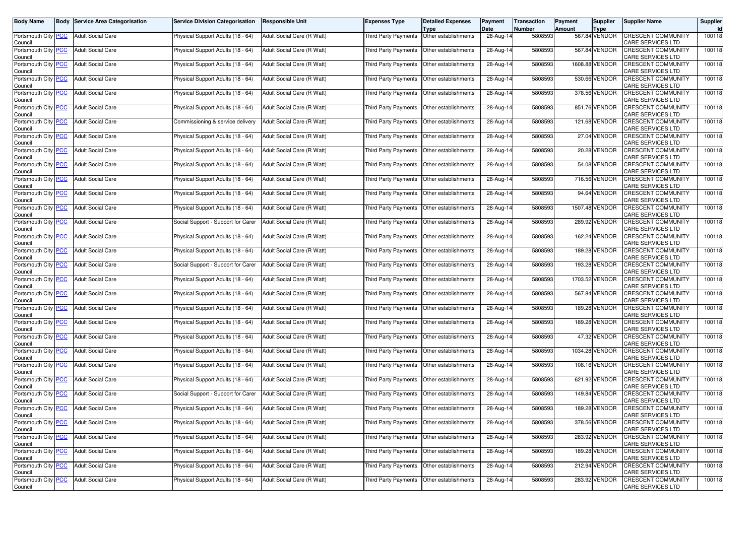| Body Name                                   | <b>Body Service Area Categorisation</b> | <b>Service Division Categorisation</b> | <b>Responsible Unit</b>    | Expenses Type               | <b>Detailed Expenses</b>                     | Payment<br>Date | <b>Transaction</b><br><b>Number</b> | Payment<br><b>Amount</b> | Supplier                     | <b>Supplier Name</b>                                  | Supplier<br>Id |
|---------------------------------------------|-----------------------------------------|----------------------------------------|----------------------------|-----------------------------|----------------------------------------------|-----------------|-------------------------------------|--------------------------|------------------------------|-------------------------------------------------------|----------------|
| Portsmouth City <b>PCC</b><br>Council       | <b>Adult Social Care</b>                | Physical Support Adults (18 - 64)      | Adult Social Care (R Watt) | Third Party Payments        | Type<br>Other establishments                 | 28-Aug-14       | 5808593                             |                          | <b>Type</b><br>567.84 VENDOR | <b>CRESCENT COMMUNITY</b><br>CARE SERVICES LTD        | 100118         |
| Portsmouth City PCC<br>Council              | <b>Adult Social Care</b>                | Physical Support Adults (18 - 64)      | Adult Social Care (R Watt) | <b>Third Party Payments</b> | Other establishments                         | 28-Aug-14       | 5808593                             |                          | 567.84 VENDOR                | CRESCENT COMMUNITY<br>CARE SERVICES LTD               | 100118         |
| Portsmouth City PCC<br>Council              | <b>Adult Social Care</b>                | Physical Support Adults (18 - 64)      | Adult Social Care (R Watt) | Third Party Payments        | Other establishments                         | 28-Aug-14       | 5808593                             |                          | 1608.88 VENDOR               | CRESCENT COMMUNITY<br>CARE SERVICES LTD               | 100118         |
| Portsmouth City PCC<br>Council              | <b>Adult Social Care</b>                | Physical Support Adults (18 - 64)      | Adult Social Care (R Watt) | Third Party Payments        | Other establishments                         | 28-Aug-14       | 5808593                             |                          | 530.66 VENDOR                | <b>CRESCENT COMMUNITY</b><br>CARE SERVICES LTD        | 100118         |
| Portsmouth City PCC<br>Council              | <b>Adult Social Care</b>                | Physical Support Adults (18 - 64)      | Adult Social Care (R Watt) | <b>Third Party Payments</b> | Other establishments                         | 28-Aug-14       | 5808593                             |                          | 378.56 VENDOR                | <b>CRESCENT COMMUNITY</b><br>CARE SERVICES LTD        | 100118         |
| Portsmouth City PCC<br>Council              | <b>Adult Social Care</b>                | Physical Support Adults (18 - 64)      | Adult Social Care (R Watt) | Third Party Payments        | Other establishments                         | 28-Aug-14       | 5808593                             |                          | 851.76 VENDOR                | <b>CRESCENT COMMUNITY</b><br>CARE SERVICES LTD        | 100118         |
| Portsmouth City PCC<br>Council              | <b>Adult Social Care</b>                | Commissioning & service delivery       | Adult Social Care (R Watt) | Third Party Payments        | Other establishments                         | 28-Aug-14       | 5808593                             |                          | 121.68 VENDOR                | <b>CRESCENT COMMUNITY</b><br>CARE SERVICES LTD        | 100118         |
| Portsmouth City PCC<br>Council              | <b>Adult Social Care</b>                | Physical Support Adults (18 - 64)      | Adult Social Care (R Watt) | <b>Third Party Payments</b> | Other establishments                         | 28-Aug-14       | 5808593                             |                          | 27.04 VENDOR                 | <b>CRESCENT COMMUNITY</b><br>CARE SERVICES LTD        | 100118         |
| Portsmouth City PCC<br>Council              | <b>Adult Social Care</b>                | Physical Support Adults (18 - 64)      | Adult Social Care (R Watt) | Third Party Payments        | Other establishments                         | 28-Aug-14       | 5808593                             |                          | 20.28 VENDOR                 | CRESCENT COMMUNITY<br>CARE SERVICES LTD               | 100118         |
| Portsmouth City PCC<br>Council              | <b>Adult Social Care</b>                | Physical Support Adults (18 - 64)      | Adult Social Care (R Watt) | Third Party Payments        | Other establishments                         | 28-Aug-14       | 5808593                             |                          | 54.08 VENDOR                 | <b>CRESCENT COMMUNITY</b><br>CARE SERVICES LTD        | 100118         |
| Portsmouth City PCC<br>Council              | <b>Adult Social Care</b>                | Physical Support Adults (18 - 64)      | Adult Social Care (R Watt) | <b>Third Party Payments</b> | Other establishments                         | 28-Aug-14       | 5808593                             |                          | 716.56 VENDOR                | <b>CRESCENT COMMUNITY</b><br>CARE SERVICES LTD        | 100118         |
| Portsmouth City PCC<br>Council              | <b>Adult Social Care</b>                | Physical Support Adults (18 - 64)      | Adult Social Care (R Watt) | Third Party Payments        | Other establishments                         | 28-Aug-14       | 5808593                             |                          | 94.64 VENDOR                 | <b>CRESCENT COMMUNITY</b><br>CARE SERVICES LTD        | 100118         |
| Portsmouth City PCC<br>Council              | <b>Adult Social Care</b>                | Physical Support Adults (18 - 64)      | Adult Social Care (R Watt) | Third Party Payments        | Other establishments                         | 28-Aug-14       | 5808593                             |                          | 1507.48 VENDOR               | <b>CRESCENT COMMUNITY</b><br>CARE SERVICES LTD        | 100118         |
| Portsmouth City PCC<br>Council              | <b>Adult Social Care</b>                | Social Support - Support for Carer     | Adult Social Care (R Watt) | <b>Third Party Payments</b> | Other establishments                         | 28-Aug-14       | 5808593                             |                          | 289.92 VENDOR                | <b>CRESCENT COMMUNITY</b><br>CARE SERVICES LTD        | 100118         |
| Portsmouth City PCC<br>Council              | <b>Adult Social Care</b>                | Physical Support Adults (18 - 64)      | Adult Social Care (R Watt) | Third Party Payments        | Other establishments                         | 28-Aug-14       | 5808593                             |                          | 162.24 VENDOR                | CRESCENT COMMUNITY<br>CARE SERVICES LTD               | 100118         |
| Portsmouth City PCC<br>Council              | <b>Adult Social Care</b>                | Physical Support Adults (18 - 64)      | Adult Social Care (R Watt) | Third Party Payments        | Other establishments                         | 28-Aug-14       | 5808593                             |                          | 189.28 VENDOR                | <b>CRESCENT COMMUNITY</b><br>CARE SERVICES LTD        | 100118         |
| Portsmouth City PCC<br>Council              | <b>Adult Social Care</b>                | Social Support - Support for Carer     | Adult Social Care (R Watt) | Third Party Payments        | Other establishments                         | 28-Aug-14       | 5808593                             |                          | 193.28 VENDOR                | <b>CRESCENT COMMUNITY</b><br>CARE SERVICES LTD        | 100118         |
| Portsmouth City PCC<br>Council              | <b>Adult Social Care</b>                | Physical Support Adults (18 - 64)      | Adult Social Care (R Watt) | Third Party Payments        | Other establishments                         | 28-Aug-14       | 5808593                             |                          | 1703.52 VENDOR               | <b>CRESCENT COMMUNITY</b><br>CARE SERVICES LTD        | 100118         |
| Portsmouth City PCC<br>Council              | <b>Adult Social Care</b>                | Physical Support Adults (18 - 64)      | Adult Social Care (R Watt) | Third Party Payments        | Other establishments                         | 28-Aug-14       | 5808593                             |                          | 567.84 VENDOR                | <b>CRESCENT COMMUNITY</b><br>CARE SERVICES LTD        | 100118         |
| Portsmouth City PCC<br>Council              | <b>Adult Social Care</b>                | Physical Support Adults (18 - 64)      | Adult Social Care (R Watt) | Third Party Payments        | Other establishments                         | 28-Aug-14       | 5808593                             |                          | 189.28 VENDOR                | CRESCENT COMMUNITY<br>CARE SERVICES LTD               | 100118         |
| Portsmouth City PCC<br>Council              | <b>Adult Social Care</b>                | Physical Support Adults (18 - 64)      | Adult Social Care (R Watt) | Third Party Payments        | Other establishments                         | 28-Aug-14       | 5808593                             |                          | 189.28 VENDOR                | <b>CRESCENT COMMUNITY</b><br>CARE SERVICES LTD        | 100118         |
| Portsmouth City PCC<br>Council              | <b>Adult Social Care</b>                | Physical Support Adults (18 - 64)      | Adult Social Care (R Watt) | Third Party Payments        | Other establishments                         | 28-Aug-14       | 5808593                             |                          | 47.32 VENDOR                 | <b>CRESCENT COMMUNITY</b><br>CARE SERVICES LTD        | 100118         |
| Portsmouth City <mark>PCC</mark><br>Council | <b>Adult Social Care</b>                | Physical Support Adults (18 - 64)      | Adult Social Care (R Watt) | Third Party Payments        | Other establishments                         | 28-Aug-14       | 5808593                             |                          | 1034.28 VENDOR               | CRESCENT COMMUNITY<br>CARE SERVICES LTD               | 100118         |
| Portsmouth City PCC<br>Council              | <b>Adult Social Care</b>                | Physical Support Adults (18 - 64)      | Adult Social Care (R Watt) | Third Party Payments        | Other establishments                         | 28-Aug-14       | 5808593                             |                          | 108.16 VENDOR                | <b>CRESCENT COMMUNITY</b><br>CARE SERVICES LTD        | 100118         |
| Portsmouth City PCC<br>Council              | <b>Adult Social Care</b>                | Physical Support Adults (18 - 64)      | Adult Social Care (R Watt) | Third Party Payments        | Other establishments                         | 28-Aug-14       | 5808593                             |                          | 621.92 VENDOR                | <b>CRESCENT COMMUNITY</b><br>CARE SERVICES LTD        | 100118         |
| Portsmouth City PCC<br>Council              | <b>Adult Social Care</b>                | Social Support - Support for Carer     | Adult Social Care (R Watt) | Third Party Payments        | Other establishments                         | 28-Aug-14       | 5808593                             |                          | 149.84 VENDOR                | CRESCENT COMMUNITY<br>CARE SERVICES LTD               | 100118         |
| Portsmouth City PCC<br>Council              | <b>Adult Social Care</b>                | Physical Support Adults (18 - 64)      | Adult Social Care (R Watt) | Third Party Payments        | Other establishments                         | 28-Aug-14       | 5808593                             |                          | 189.28 VENDOR                | CRESCENT COMMUNITY<br><b>CARE SERVICES LTD</b>        | 100118         |
| Portsmouth City   PCC<br>Council            | <b>Adult Social Care</b>                | Physical Support Adults (18 - 64)      | Adult Social Care (R Watt) |                             | I hird Party Payments   Other establishments | 28-Aug-14       | 5808593                             |                          | 3/8.56 VENDOR                | <b>CRESCENT COMMUNITY</b><br><b>CARE SERVICES LTD</b> | 100118         |
| Portsmouth City PCC<br>Council              | <b>Adult Social Care</b>                | Physical Support Adults (18 - 64)      | Adult Social Care (R Watt) |                             | Third Party Payments Other establishments    | 28-Aug-14       | 5808593                             |                          | 283.92 VENDOR                | <b>CRESCENT COMMUNITY</b><br>CARE SERVICES LTD        | 100118         |
| Portsmouth City PCC<br>Council              | <b>Adult Social Care</b>                | Physical Support Adults (18 - 64)      | Adult Social Care (R Watt) |                             | Third Party Payments Other establishments    | 28-Aug-14       | 5808593                             |                          | 189.28 VENDOR                | <b>CRESCENT COMMUNITY</b><br>CARE SERVICES LTD        | 100118         |
| Portsmouth City PCC<br>Council              | <b>Adult Social Care</b>                | Physical Support Adults (18 - 64)      | Adult Social Care (R Watt) |                             | Third Party Payments Other establishments    | 28-Aug-14       | 5808593                             |                          | 212.94 VENDOR                | <b>CRESCENT COMMUNITY</b><br>CARE SERVICES LTD        | 100118         |
| Portsmouth City PCC<br>Council              | <b>Adult Social Care</b>                | Physical Support Adults (18 - 64)      | Adult Social Care (R Watt) |                             | Third Party Payments Other establishments    | 28-Aug-14       | 5808593                             |                          | 283.92 VENDOR                | <b>CRESCENT COMMUNITY</b><br>CARE SERVICES LTD        | 100118         |
|                                             |                                         |                                        |                            |                             |                                              |                 |                                     |                          |                              |                                                       |                |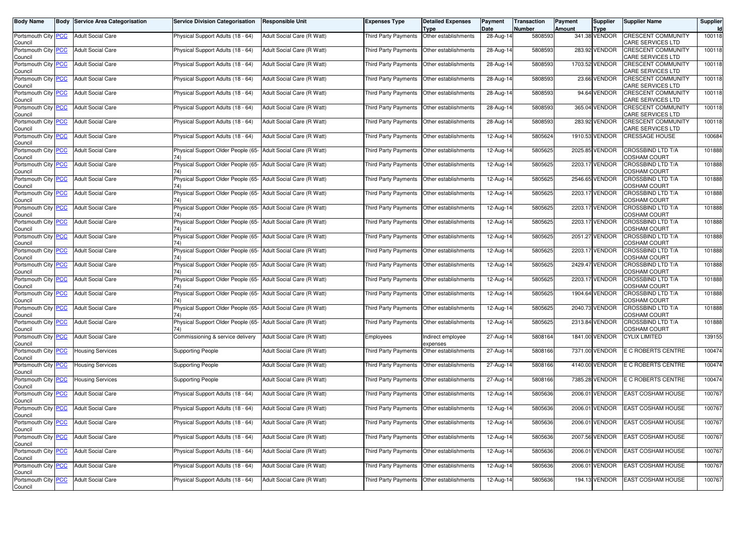| <b>Body Name</b>                      | <b>Body Service Area Categorisation</b> | <b>Service Division Categorisation</b>                               | <b>Responsible Unit</b>    | Expenses Type                               | <b>Detailed Expenses</b><br>Type | Payment<br>Date | Transaction<br>Number | Payment<br><b>Amount</b> | Supplier<br>Type | <b>Supplier Name</b>                            | Supplier<br><b>Id</b> |
|---------------------------------------|-----------------------------------------|----------------------------------------------------------------------|----------------------------|---------------------------------------------|----------------------------------|-----------------|-----------------------|--------------------------|------------------|-------------------------------------------------|-----------------------|
| Portsmouth City PCC<br>Council        | <b>Adult Social Care</b>                | Physical Support Adults (18 - 64)                                    | Adult Social Care (R Watt) | Third Party Payments                        | Other establishments             | 28-Aug-14       | 5808593               |                          | 341.38 VENDOR    | <b>CRESCENT COMMUNITY</b><br>CARE SERVICES LTD  | 100118                |
| Portsmouth City PCC<br>Council        | <b>Adult Social Care</b>                | Physical Support Adults (18 - 64)                                    | Adult Social Care (R Watt) | Third Party Payments                        | Other establishments             | 28-Aug-14       | 5808593               |                          | 283.92 VENDOR    | <b>CRESCENT COMMUNITY</b><br>CARE SERVICES LTD  | 100118                |
| Portsmouth City <b>PCC</b><br>Council | <b>Adult Social Care</b>                | Physical Support Adults (18 - 64)                                    | Adult Social Care (R Watt) | Third Party Payments                        | Other establishments             | 28-Aug-14       | 5808593               |                          | 1703.52 VENDOR   | <b>CRESCENT COMMUNITY</b><br>CARE SERVICES LTD  | 100118                |
| Portsmouth City PCC<br>Council        | <b>Adult Social Care</b>                | Physical Support Adults (18 - 64)                                    | Adult Social Care (R Watt) | Third Party Payments                        | Other establishments             | 28-Aug-14       | 5808593               |                          | 23.66 VENDOR     | <b>CRESCENT COMMUNITY</b><br>CARE SERVICES LTD  | 100118                |
| Portsmouth City PCC<br>Council        | <b>Adult Social Care</b>                | Physical Support Adults (18 - 64)                                    | Adult Social Care (R Watt) | Third Party Payments                        | Other establishments             | 28-Aug-14       | 5808593               |                          | 94.64 VENDOR     | <b>CRESCENT COMMUNITY</b><br>CARE SERVICES LTD  | 100118                |
| Portsmouth City PCC<br>Council        | <b>Adult Social Care</b>                | Physical Support Adults (18 - 64)                                    | Adult Social Care (R Watt) | Third Party Payments                        | Other establishments             | 28-Aug-14       | 5808593               |                          | 365.04 VENDOR    | <b>CRESCENT COMMUNITY</b><br>CARE SERVICES LTD  | 100118                |
| Portsmouth City PCC<br>Council        | <b>Adult Social Care</b>                | Physical Support Adults (18 - 64)                                    | Adult Social Care (R Watt) | Third Party Payments                        | Other establishments             | 28-Aug-14       | 5808593               |                          | 283.92 VENDOR    | <b>CRESCENT COMMUNITY</b><br>CARE SERVICES LTD  | 100118                |
| Portsmouth City PCC<br>Council        | <b>Adult Social Care</b>                | Physical Support Adults (18 - 64)                                    | Adult Social Care (R Watt) | Third Party Payments                        | Other establishments             | 12-Aug-14       | 5805624               |                          | 1910.53 VENDOR   | <b>CRESSAGE HOUSE</b>                           | 100684                |
| Portsmouth City PCC<br>Council        | <b>Adult Social Care</b>                | Physical Support Older People (65-                                   | Adult Social Care (R Watt) | Third Party Payments                        | Other establishments             | 12-Aug-14       | 5805625               |                          | 2025.85 VENDOR   | CROSSBIND LTD T/A<br>COSHAM COURT               | 101888                |
| Portsmouth City PCC<br>Council        | <b>Adult Social Care</b>                | Physical Support Older People (65- Adult Social Care (R Watt)        |                            | Third Party Payments                        | Other establishments             | 12-Aug-14       | 5805625               |                          | 2203.17 VENDOR   | <b>CROSSBIND LTD T/A</b><br>COSHAM COURT        | 101888                |
| Portsmouth City PCC<br>Council        | <b>Adult Social Care</b>                | Physical Support Older People (65- Adult Social Care (R Watt)<br>74) |                            | Third Party Payments                        | Other establishments             | 12-Aug-14       | 5805625               |                          | 2546.65 VENDOR   | CROSSBIND LTD T/A<br>COSHAM COURT               | 101888                |
| Portsmouth City PCC<br>Council        | <b>Adult Social Care</b>                | Physical Support Older People (65- Adult Social Care (R Watt)<br>74) |                            | Third Party Payments                        | Other establishments             | 12-Aug-14       | 5805625               |                          | 2203.17 VENDOR   | <b>CROSSBIND LTD T/A</b><br><b>COSHAM COURT</b> | 101888                |
| Portsmouth City PCC<br>Council        | <b>Adult Social Care</b>                | Physical Support Older People (65- Adult Social Care (R Watt)<br>74) |                            | Third Party Payments                        | Other establishments             | 12-Aug-14       | 5805625               |                          | 2203.17 VENDOR   | <b>CROSSBIND LTD T/A</b><br>COSHAM COURT        | 101888                |
| Portsmouth City PCC<br>Council        | <b>Adult Social Care</b>                | Physical Support Older People (65- Adult Social Care (R Watt)<br>74) |                            | <b>Third Party Payments</b>                 | Other establishments             | 12-Aug-14       | 5805625               |                          | 2203.17 VENDOR   | CROSSBIND LTD T/A<br><b>COSHAM COURT</b>        | 101888                |
| Portsmouth City PCC<br>Council        | <b>Adult Social Care</b>                | Physical Support Older People (65- Adult Social Care (R Watt)        |                            | Third Party Payments                        | Other establishments             | 12-Aug-14       | 5805625               |                          | 2051.27 VENDOR   | CROSSBIND LTD T/A<br>COSHAM COURT               | 101888                |
| Portsmouth City PCC<br>Council        | <b>Adult Social Care</b>                | Physical Support Older People (65- Adult Social Care (R Watt)<br>74) |                            | Third Party Payments                        | Other establishments             | 12-Aug-14       | 5805625               |                          | 2203.17 VENDOR   | <b>CROSSBIND LTD T/A</b><br>COSHAM COURT        | 101888                |
| Portsmouth City PCC<br>Council        | <b>Adult Social Care</b>                | Physical Support Older People (65- Adult Social Care (R Watt)<br>74) |                            | <b>Third Party Payments</b>                 | Other establishments             | 12-Aug-14       | 5805625               |                          | 2429.47 VENDOR   | CROSSBIND LTD T/A<br>COSHAM COURT               | 101888                |
| Portsmouth City PCC<br>Council        | <b>Adult Social Care</b>                | Physical Support Older People (65- Adult Social Care (R Watt)        |                            | Third Party Payments                        | Other establishments             | 12-Aug-14       | 5805625               |                          | 2203.17 VENDOR   | CROSSBIND LTD T/A<br>COSHAM COURT               | 101888                |
| Portsmouth City PCC<br>Council        | <b>Adult Social Care</b>                | Physical Support Older People (65- Adult Social Care (R Watt)<br>74) |                            | Third Party Payments                        | Other establishments             | 12-Aug-14       | 5805625               |                          | 1904.64 VENDOR   | CROSSBIND LTD T/A<br>COSHAM COURT               | 101888                |
| Portsmouth City PCC<br>Council        | <b>Adult Social Care</b>                | Physical Support Older People (65- Adult Social Care (R Watt)        |                            | Third Party Payments                        | Other establishments             | 12-Aug-14       | 5805625               |                          | 2040.73 VENDOR   | CROSSBIND LTD T/A<br><b>COSHAM COURT</b>        | 101888                |
| Portsmouth City PCC<br>Council        | <b>Adult Social Care</b>                | Physical Support Older People (65- Adult Social Care (R Watt)        |                            | Third Party Payments                        | Other establishments             | 12-Aug-14       | 5805625               |                          | 2313.84 VENDOR   | CROSSBIND LTD T/A<br>COSHAM COURT               | 101888                |
| Portsmouth City PCC<br>Council        | <b>Adult Social Care</b>                | Commissioning & service delivery                                     | Adult Social Care (R Watt) | Employees                                   | ndirect employee<br>expenses     | 27-Aug-14       | 5808164               |                          | 1841.00 VENDOR   | <b>CYLIX LIMITED</b>                            | 139155                |
| Portsmouth City PCC<br>Council        | <b>Housing Services</b>                 | <b>Supporting People</b>                                             | Adult Social Care (R Watt) | Third Party Payments                        | Other establishments             | 27-Aug-14       | 5808166               |                          | 7371.00 VENDOR   | E C ROBERTS CENTRE                              | 100474                |
| Portsmouth City PCC<br>Council        | <b>Housing Services</b>                 | <b>Supporting People</b>                                             | Adult Social Care (R Watt) | Third Party Payments                        | Other establishments             | 27-Aug-14       | 5808166               |                          | 4140.00 VENDOR   | E C ROBERTS CENTRE                              | 100474                |
| Portsmouth City PCC<br>Council        | <b>Housing Services</b>                 | <b>Supporting People</b>                                             | Adult Social Care (R Watt) | Third Party Payments                        | Other establishments             | 27-Aug-14       | 5808166               |                          | 7385.28 VENDOR   | E C ROBERTS CENTRE                              | 100474                |
| Portsmouth City PCC<br>Council        | <b>Adult Social Care</b>                | Physical Support Adults (18 - 64)                                    | Adult Social Care (R Watt) | <b>Third Party Payments</b>                 | Other establishments             | 12-Aug-14       | 5805636               |                          | 2006.01 VENDOR   | <b>EAST COSHAM HOUSE</b>                        | 100767                |
| Portsmouth City PCC<br>Council        | <b>Adult Social Care</b>                | Physical Support Adults (18 - 64)                                    | Adult Social Care (R Watt) | Third Party Payments                        | Other establishments             | 12-Aug-14       | 5805636               |                          | 2006.01 VENDOR   | <b>EAST COSHAM HOUSE</b>                        | 100767                |
| Portsmouth City PCC<br>Council        | <b>Adult Social Care</b>                | Physical Support Adults (18 - 64)                                    | Adult Social Care (R Watt) | Third Party Payments   Other establishments |                                  | 12-Aug-14       | 5805636               |                          | 2006.01 VENDOR   | <b>EAST COSHAM HOUSE</b>                        | 100767                |
| Portsmouth City PCC<br>Council        | <b>Adult Social Care</b>                | Physical Support Adults (18 - 64)                                    | Adult Social Care (R Watt) | Third Party Payments Other establishments   |                                  | 12-Aug-14       | 5805636               |                          | 2007.56 VENDOR   | <b>EAST COSHAM HOUSE</b>                        | 100767                |
| Portsmouth City PCC<br>Council        | Adult Social Care                       | Physical Support Adults (18 - 64)                                    | Adult Social Care (R Watt) | Third Party Payments                        | Other establishments             | 12-Aug-14       | 5805636               |                          | 2006.01 VENDOR   | EAST COSHAM HOUSE                               | 100767                |
| Portsmouth City PCC<br>Council        | <b>Adult Social Care</b>                | Physical Support Adults (18 - 64)                                    | Adult Social Care (R Watt) | Third Party Payments Other establishments   |                                  | 12-Aug-14       | 5805636               |                          | 2006.01 VENDOR   | <b>EAST COSHAM HOUSE</b>                        | 100767                |
| Portsmouth City PCC<br>Council        | <b>Adult Social Care</b>                | Physical Support Adults (18 - 64)                                    | Adult Social Care (R Watt) |                                             |                                  | 12-Aug-14       | 5805636               |                          | 194.13 VENDOR    | EAST COSHAM HOUSE                               | 100767                |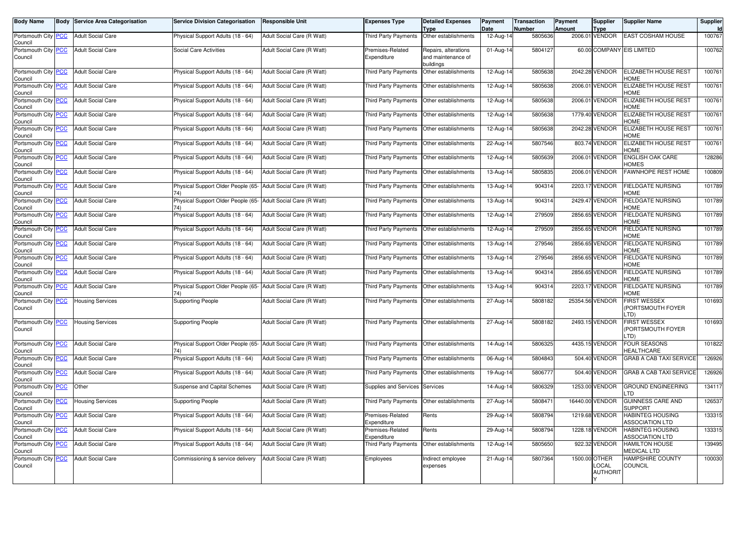| <b>Body Name</b>                      | <b>Body</b> | <b>Service Area Categorisation</b> | <b>Service Division Categorisation</b>                               | <b>Responsible Unit</b>    | Expenses Type                               | <b>Detailed Expenses</b><br><b>Type</b>                 | Payment<br>Date         | <b>Transaction</b><br><b>Number</b> | Payment<br><b>Amount</b> | <b>Supplier</b><br><b>Type</b>            | <b>Supplier Name</b>                              | Supplier<br>Id |
|---------------------------------------|-------------|------------------------------------|----------------------------------------------------------------------|----------------------------|---------------------------------------------|---------------------------------------------------------|-------------------------|-------------------------------------|--------------------------|-------------------------------------------|---------------------------------------------------|----------------|
| Portsmouth City PCC<br>Council        |             | <b>Adult Social Care</b>           | Physical Support Adults (18 - 64)                                    | Adult Social Care (R Watt) | <b>Third Party Payments</b>                 | Other establishments                                    | 12-Aug-14               | 5805636                             |                          | 2006.01 VENDOR                            | <b>EAST COSHAM HOUSE</b>                          | 100767         |
| Portsmouth City PCC<br>Council        |             | <b>Adult Social Care</b>           | Social Care Activities                                               | Adult Social Care (R Watt) | Premises-Related<br>Expenditure             | Repairs, alterations<br>and maintenance of<br>buildings | 01-Aug-14               | 5804127                             |                          |                                           | 60.00 COMPANY EIS LIMITED                         | 100762         |
| Portsmouth City PCC<br>Council        |             | <b>Adult Social Care</b>           | Physical Support Adults (18 - 64)                                    | Adult Social Care (R Watt) | <b>Third Party Payments</b>                 | Other establishments                                    | 12-Aug-14               | 5805638                             |                          | 2042.28 VENDOR                            | ELIZABETH HOUSE REST<br>HOME                      | 100761         |
| Portsmouth City <b>PCC</b><br>Council |             | <b>Adult Social Care</b>           | Physical Support Adults (18 - 64)                                    | Adult Social Care (R Watt) | Third Party Payments   Other establishments |                                                         | 12-Aug-14               | 5805638                             |                          | 2006.01 VENDOR                            | ELIZABETH HOUSE REST<br><b>HOME</b>               | 100761         |
| Portsmouth City PCC<br>Council        |             | <b>Adult Social Care</b>           | Physical Support Adults (18 - 64)                                    | Adult Social Care (R Watt) | Third Party Payments                        | Other establishments                                    | 12-Aug-14               | 5805638                             |                          | 2006.01 VENDOR                            | ELIZABETH HOUSE REST<br><b>HOME</b>               | 100761         |
| Portsmouth City PCC<br>Council        |             | <b>Adult Social Care</b>           | Physical Support Adults (18 - 64)                                    | Adult Social Care (R Watt) | Third Party Payments                        | Other establishments                                    | 12-Aug-14               | 5805638                             |                          | 1779.40 VENDOR                            | <b>ELIZABETH HOUSE REST</b><br>HOME               | 100761         |
| Portsmouth City PCC<br>Council        |             | <b>Adult Social Care</b>           | Physical Support Adults (18 - 64)                                    | Adult Social Care (R Watt) | Third Party Payments                        | Other establishments                                    | 12-Aug-14               | 5805638                             |                          | 2042.28 VENDOR                            | <b>ELIZABETH HOUSE REST</b><br><b>HOME</b>        | 100761         |
| Portsmouth City PCC<br>Council        |             | <b>Adult Social Care</b>           | Physical Support Adults (18 - 64)                                    | Adult Social Care (R Watt) | <b>Third Party Payments</b>                 | Other establishments                                    | 22-Aug-14               | 5807546                             |                          | 803.74 VENDOR                             | ELIZABETH HOUSE REST<br><b>HOME</b>               | 100761         |
| Portsmouth City PCC<br>Council        |             | <b>Adult Social Care</b>           | Physical Support Adults (18 - 64)                                    | Adult Social Care (R Watt) | Third Party Payments                        | Other establishments                                    | 12-Aug-14               | 5805639                             |                          | 2006.01 VENDOR                            | ENGLISH OAK CARE<br><b>OMES</b>                   | 128286         |
| Portsmouth City PCC<br>Council        |             | <b>Adult Social Care</b>           | Physical Support Adults (18 - 64)                                    | Adult Social Care (R Watt) | Third Party Payments                        | Other establishments                                    | 13-Aug-14               | 5805835                             |                          | 2006.01 VENDOR                            | FAWNHOPE REST HOME                                | 100809         |
| Portsmouth City PCC<br>Council        |             | <b>Adult Social Care</b>           | Physical Support Older People (65-                                   | Adult Social Care (R Watt) | Third Party Payments                        | Other establishments                                    | 13-Aug-14               | 904314                              |                          | 2203.17 VENDOR                            | FIELDGATE NURSING<br><b>HOME</b>                  | 101789         |
| Portsmouth City PCC<br>Council        |             | <b>Adult Social Care</b>           | Physical Support Older People (65-<br>74)                            | Adult Social Care (R Watt) | Third Party Payments                        | Other establishments                                    | 13-Aug-14               | 904314                              |                          | 2429.47 VENDOR                            | FIELDGATE NURSING<br><b>IOME</b>                  | 101789         |
| Portsmouth City PCC<br>Council        |             | <b>Adult Social Care</b>           | Physical Support Adults (18 - 64)                                    | Adult Social Care (R Watt) | Third Party Payments                        | Other establishments                                    | 12-Aug-14               | 279509                              |                          | 2856.65 VENDOR                            | <b>FIELDGATE NURSING</b><br><b>HOME</b>           | 101789         |
| Portsmouth City PCC<br>Council        |             | <b>Adult Social Care</b>           | Physical Support Adults (18 - 64)                                    | Adult Social Care (R Watt) | Third Party Payments                        | Other establishments                                    | 12-Aug-14               | 279509                              |                          | 2856.65 VENDOR                            | <b>FIELDGATE NURSING</b><br><b>HOME</b>           | 101789         |
| Portsmouth City PCC<br>Council        |             | <b>Adult Social Care</b>           | Physical Support Adults (18 - 64)                                    | Adult Social Care (R Watt) | Third Party Payments                        | Other establishments                                    | 13-Aug-14               | 279546                              |                          | 2856.65 VENDOR                            | <b>FIELDGATE NURSING</b><br>HOME                  | 101789         |
| Portsmouth City<br>Council            | PCC         | <b>Adult Social Care</b>           | Physical Support Adults (18 - 64)                                    | Adult Social Care (R Watt) | Third Party Payments                        | Other establishments                                    | 13-Aug-14               | 279546                              |                          | 2856.65 VENDOR                            | <b>IELDGATE NURSING</b><br><b>HOME</b>            | 101789         |
| Portsmouth City PCC<br>Council        |             | <b>Adult Social Care</b>           | Physical Support Adults (18 - 64)                                    | Adult Social Care (R Watt) | Third Party Payments                        | Other establishments                                    | 13-Aug-14               | 904314                              |                          | 2856.65 VENDOR                            | <b>FIELDGATE NURSING</b><br><b>HOME</b>           | 101789         |
| Portsmouth City <b>PCC</b><br>Council |             | <b>Adult Social Care</b>           | Physical Support Older People (65-<br>74)                            | Adult Social Care (R Watt) | Third Party Payments                        | Other establishments                                    | 13-Aug-14               | 904314                              |                          | 2203.17 VENDOR                            | FIELDGATE NURSING<br><b>HOME</b>                  | 101789         |
| Portsmouth City PCC<br>Council        |             | <b>Housing Services</b>            | <b>Supporting People</b>                                             | Adult Social Care (R Watt) | Third Party Payments                        | Other establishments                                    | 27-Aug-14               | 5808182                             |                          | 25354.56 VENDOR                           | <b>FIRST WESSEX</b><br>PORTSMOUTH FOYER<br>.TD)   | 101693         |
| Portsmouth City PCC<br>Council        |             | <b>Housing Services</b>            | <b>Supporting People</b>                                             | Adult Social Care (R Watt) | Third Party Payments Other establishments   |                                                         | 27-Aug-14               | 5808182                             |                          | 2493.15 VENDOR                            | <b>FIRST WESSEX</b><br>PORTSMOUTH FOYER<br>TD)    | 101693         |
| Portsmouth City PCC<br>Council        |             | <b>Adult Social Care</b>           | Physical Support Older People (65- Adult Social Care (R Watt)<br>74) |                            | Third Party Payments                        | Other establishments                                    | 14-Aug-14               | 5806325                             |                          | 4435.15 VENDOR                            | FOUR SEASONS<br><b>HEALTHCARE</b>                 | 101822         |
| Portsmouth City PCC<br>Council        |             | <b>Adult Social Care</b>           | Physical Support Adults (18 - 64)                                    | Adult Social Care (R Watt) | Third Party Payments                        | Other establishments                                    | $\overline{0}$ 6-Aug-14 | 5804843                             |                          | 504.40 VENDOR                             | <b>GRAB A CAB TAXI SERVICE</b>                    | 126926         |
| Portsmouth City PCC<br>Council        |             | <b>Adult Social Care</b>           | Physical Support Adults (18 - 64)                                    | Adult Social Care (R Watt) | Third Party Payments                        | Other establishments                                    | 19-Aug-14               | 5806777                             |                          | 504.40 VENDOR                             | <b>GRAB A CAB TAXI SERVICE</b>                    | 126926         |
| Portsmouth City PCC<br>Council        |             | Other                              | Suspense and Capital Schemes                                         | Adult Social Care (R Watt) | Supplies and Services                       | Services                                                | 14-Aug-14               | 5806329                             |                          | 1253.00 VENDOR                            | <b>GROUND ENGINEERING</b><br>TD                   | 134117         |
| Portsmouth City <b>PCC</b><br>Council |             | <b>Housing Services</b>            | <b>Supporting People</b>                                             | Adult Social Care (R Watt) | Third Party Payments                        | Other establishments                                    | 27-Aug-14               | 580847                              |                          | 16440.00 VENDOR                           | GUINNESS CARE AND<br>SUPPORT                      | 126537         |
| Portsmouth City PCC<br>Council        |             | <b>Adult Social Care</b>           | Physical Support Adults (18 - 64)                                    | Adult Social Care (R Watt) | Premises-Related<br>Expenditure             | Rents                                                   | 29-Aug-14               | 5808794                             |                          | 1219.68 VENDOR                            | HABINTEG HOUSING<br><b>ASSOCIATION LTD</b>        | 133315         |
| Portsmouth City PCC<br>Council        |             | <b>Adult Social Care</b>           | Physical Support Adults (18 - 64)                                    | Adult Social Care (R Watt) | Premises-Related<br>Expenditure             | Rents                                                   | 29-Aug-14               | 5808794                             |                          | 1228.18 VENDOR                            | <b>HABINTEG HOUSING</b><br><b>ASSOCIATION LTD</b> | 133315         |
| Portsmouth City PCC<br>Council        |             | <b>Adult Social Care</b>           | Physical Support Adults (18 - 64)                                    | Adult Social Care (R Watt) | Third Party Payments                        | Other establishments                                    | 12-Aug-14               | 5805650                             |                          | 922.32 VENDOR                             | <b>HAMILTON HOUSE</b><br><b>MEDICAL LTD</b>       | 139495         |
| Portsmouth City PCC<br>Council        |             | <b>Adult Social Care</b>           | Commissioning & service delivery                                     | Adult Social Care (R Watt) | Employees                                   | Indirect employee<br>expenses                           | 21-Aug-14               | 5807364                             |                          | 1500.00 OTHER<br>LOCAL<br><b>AUTHORIT</b> | HAMPSHIRE COUNTY<br>COUNCIL                       | 100030         |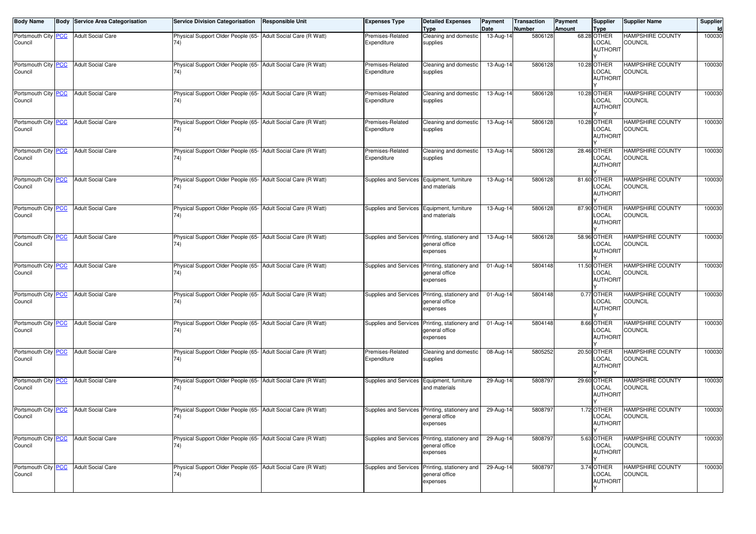| <b>Body Name</b>               | <b>Body Service Area Categorisation</b> | <b>Service Division Categorisation</b>                               | <b>Responsible Unit</b>    | <b>Expenses Type</b>                       | <b>Detailed Expenses</b><br><b>Type</b>                                      | Payment<br>Date | <b>Transaction</b><br>Number | Payment<br>Amount | <b>Supplier</b><br><b>Type</b>                | <b>Supplier Name</b>                      | Supplier<br>Id |
|--------------------------------|-----------------------------------------|----------------------------------------------------------------------|----------------------------|--------------------------------------------|------------------------------------------------------------------------------|-----------------|------------------------------|-------------------|-----------------------------------------------|-------------------------------------------|----------------|
| Portsmouth City PCC<br>Council | <b>Adult Social Care</b>                | Physical Support Older People (65- Adult Social Care (R Watt)<br>74) |                            | Premises-Related<br>Expenditure            | Cleaning and domestic<br>supplies                                            | 13-Aug-14       | 5806128                      |                   | 68.28 OTHER<br>LOCAL<br><b>AUTHORIT</b>       | <b>HAMPSHIRE COUNTY</b><br><b>COUNCIL</b> | 100030         |
| Portsmouth City PCC<br>Council | <b>Adult Social Care</b>                | Physical Support Older People (65-<br>74)                            | Adult Social Care (R Watt) | Premises-Related<br>Expenditure            | Cleaning and domestic<br>supplies                                            | 13-Aug-14       | 5806128                      |                   | 10.28 OTHER<br>LOCAL<br><b>AUTHORIT</b>       | <b>HAMPSHIRE COUNTY</b><br><b>COUNCIL</b> | 100030         |
| Portsmouth City PCC<br>Council | <b>Adult Social Care</b>                | Physical Support Older People (65- Adult Social Care (R Watt)<br>74) |                            | Premises-Related<br>Expenditure            | Cleaning and domestic<br>supplies                                            | 13-Aug-14       | 5806128                      |                   | 10.28 OTHER<br>LOCAL<br><b>AUTHORIT</b>       | <b>HAMPSHIRE COUNTY</b><br>COUNCIL        | 100030         |
| Portsmouth City PCC<br>Council | <b>Adult Social Care</b>                | Physical Support Older People (65- Adult Social Care (R Watt)<br>74) |                            | Premises-Related<br>Expenditure            | Cleaning and domestic<br>supplies                                            | 13-Aug-14       | 5806128                      |                   | 10.28 OTHER<br>LOCAL<br><b>AUTHORIT</b>       | <b>HAMPSHIRE COUNTY</b><br>COUNCIL        | 100030         |
| Portsmouth City PCC<br>Council | <b>Adult Social Care</b>                | Physical Support Older People (65-<br>74)                            | Adult Social Care (R Watt) | Premises-Related<br>Expenditure            | Cleaning and domestic<br>supplies                                            | $13$ -Aug-1     | 5806128                      |                   | 28.46 OTHER<br>LOCAL<br><b>AUTHORIT</b>       | <b>HAMPSHIRE COUNTY</b><br><b>COUNCIL</b> | 100030         |
| Portsmouth City PCC<br>Council | <b>Adult Social Care</b>                | Physical Support Older People (65- Adult Social Care (R Watt)<br>74) |                            | Supplies and Services Equipment, furniture | and materials                                                                | 13-Aug-14       | 5806128                      |                   | 81.60 OTHER<br>LOCAL<br><b>AUTHORIT</b>       | <b>HAMPSHIRE COUNTY</b><br>COUNCIL        | 100030         |
| Portsmouth City PCC<br>Council | <b>Adult Social Care</b>                | Physical Support Older People (65- Adult Social Care (R Watt)<br>74) |                            | Supplies and Services Equipment, furniture | and materials                                                                | 13-Aug-14       | 5806128                      |                   | 87.90 OTHER<br>LOCAL<br><b>AUTHORIT</b>       | <b>HAMPSHIRE COUNTY</b><br>COUNCIL        | 100030         |
| Portsmouth City PCC<br>Council | <b>Adult Social Care</b>                | Physical Support Older People (65- Adult Social Care (R Watt)<br>74) |                            |                                            | Supplies and Services Printing, stationery and<br>general office<br>expenses | 13-Aug-14       | 5806128                      |                   | 58.96 OTHER<br>LOCAL<br><b>AUTHORIT</b>       | <b>HAMPSHIRE COUNTY</b><br><b>COUNCIL</b> | 100030         |
| Portsmouth City PCC<br>Council | <b>Adult Social Care</b>                | Physical Support Older People (65- Adult Social Care (R Watt)<br>74) |                            | Supplies and Services                      | Printing, stationery and<br>general office<br>expenses                       | 01-Aug-14       | 5804148                      |                   | 11.50 OTHER<br>LOCAL<br><b>AUTHORIT</b>       | <b>HAMPSHIRE COUNTY</b><br>COUNCIL        | 100030         |
| Portsmouth City PCC<br>Council | <b>Adult Social Care</b>                | Physical Support Older People (65- Adult Social Care (R Watt)<br>74) |                            |                                            | Supplies and Services Printing, stationery and<br>general office<br>expenses | 01-Aug-14       | 5804148                      |                   | 0.77 OTHER<br>LOCAL<br><b>AUTHORIT</b>        | <b>HAMPSHIRE COUNTY</b><br>COUNCIL        | 100030         |
| Portsmouth City PCC<br>Council | <b>Adult Social Care</b>                | Physical Support Older People (65- Adult Social Care (R Watt)<br>74) |                            |                                            | Supplies and Services Printing, stationery and<br>general office<br>expenses | 01-Aug-14       | 5804148                      |                   | 8.66 OTHER<br>LOCAL<br><b>AUTHORIT</b>        | <b>HAMPSHIRE COUNTY</b><br>COUNCIL        | 100030         |
| Portsmouth City PCC<br>Council | <b>Adult Social Care</b>                | Physical Support Older People (65- Adult Social Care (R Watt)<br>74) |                            | Premises-Related<br>Expenditure            | Cleaning and domestic<br>supplies                                            | 08-Aug-14       | 5805252                      |                   | 20.50 OTHER<br>LOCAL<br><b>AUTHORIT</b>       | <b>HAMPSHIRE COUNTY</b><br>COUNCIL        | 100030         |
| Portsmouth City PCC<br>Council | <b>Adult Social Care</b>                | Physical Support Older People (65- Adult Social Care (R Watt)<br>74) |                            | Supplies and Services Equipment, furniture | and materials                                                                | 29-Aug-14       | 5808797                      |                   | 29.60 OTHER<br>LOCAL<br><b>AUTHORIT</b>       | <b>HAMPSHIRE COUNTY</b><br>COUNCIL        | 100030         |
| Portsmouth City PCC<br>Council | <b>Adult Social Care</b>                | Physical Support Older People (65- Adult Social Care (R Watt)<br>74) |                            |                                            | Supplies and Services Printing, stationery and<br>general office<br>expenses | 29-Aug-14       | 5808797                      |                   | 1.72 OTHER<br>LOCAL<br><b>AUTHORIT</b><br>v   | HAMPSHIRE COUNTY<br>COUNCIL               | 100030         |
| Portsmouth City PCC<br>Council | <b>Adult Social Care</b>                | Physical Support Older People (65- Adult Social Care (R Watt)<br>74) |                            |                                            | Supplies and Services Printing, stationery and<br>general office<br>expenses | 29-Aug-14       | 5808797                      |                   | 5.63 OTHER<br><b>LOCAL</b><br><b>AUTHORIT</b> | <b>HAMPSHIRE COUNTY</b><br><b>COUNCIL</b> | 100030         |
| Portsmouth City PCC<br>Council | <b>Adult Social Care</b>                | Physical Support Older People (65- Adult Social Care (R Watt)<br>74) |                            | Supplies and Services                      | Printing, stationery and<br>general office<br>expenses                       | 29-Aug-14       | 5808797                      |                   | 3.74 OTHER<br>LOCAL<br><b>AUTHORIT</b>        | <b>HAMPSHIRE COUNTY</b><br><b>COUNCIL</b> | 100030         |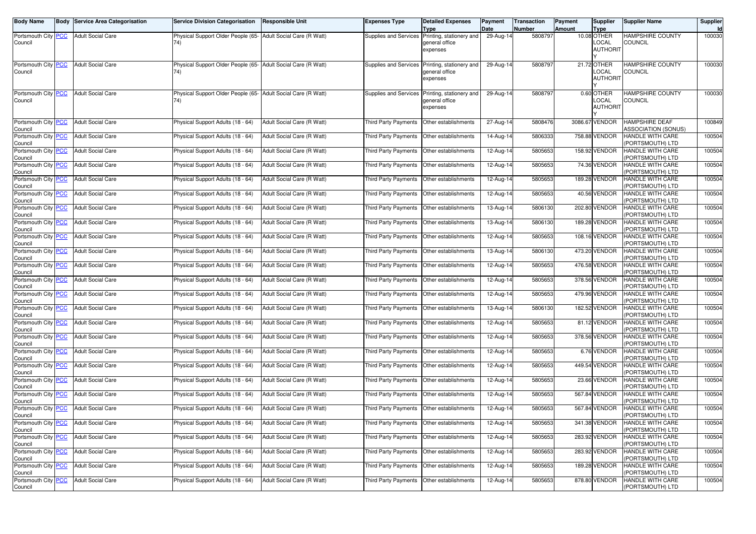| Body Name                                       |            | <b>Body Service Area Categorisation</b> | <b>Service Division Categorisation</b>                                | <b>Responsible Unit</b>    | <b>Expenses Type</b>                        | <b>Detailed Expenses</b><br><b>Type</b>                | Payment<br>Date | Transaction<br>Number | Payment<br><b>Amount</b> | Supplier<br><b>Type</b>                        | <b>Supplier Name</b>                         | Supplier<br>Id |
|-------------------------------------------------|------------|-----------------------------------------|-----------------------------------------------------------------------|----------------------------|---------------------------------------------|--------------------------------------------------------|-----------------|-----------------------|--------------------------|------------------------------------------------|----------------------------------------------|----------------|
| Portsmouth City PCC<br>Council                  |            | <b>Adult Social Care</b>                | Physical Support Older People (65- Adult Social Care (R Watt)<br>74)  |                            | Supplies and Services                       | Printing, stationery and<br>general office<br>expenses | 29-Aug-14       | 5808797               |                          | 10.08 OTHER<br>LOCAL<br><b>AUTHORIT</b>        | HAMPSHIRE COUNTY<br><b>COUNCIL</b>           | 100030         |
|                                                 |            |                                         |                                                                       |                            |                                             |                                                        |                 |                       |                          |                                                |                                              |                |
| Portsmouth City PCC<br>Council                  |            | <b>Adult Social Care</b>                | Physical Support Older People (65- Adult Social Care (R Watt)<br>74)  |                            | Supplies and Services                       | Printing, stationery and<br>general office<br>expenses | 29-Aug-14       | 5808797               |                          | 21.72 OTHER<br><b>LOCAL</b><br><b>AUTHORIT</b> | HAMPSHIRE COUNTY<br><b>COUNCIL</b>           | 100030         |
| Portsmouth City PCC<br>Council                  |            | <b>Adult Social Care</b>                | Physical Support Older People (65- Adult Social Care (R Watt)<br>74). |                            | Supplies and Services                       | Printing, stationery and<br>general office<br>expenses | 29-Aug-14       | 5808797               |                          | 0.60 OTHER<br>LOCAL<br><b>AUTHORIT</b>         | <b>HAMPSHIRE COUNTY</b><br><b>COUNCIL</b>    | 100030         |
| Portsmouth City PCC<br>Council                  |            | <b>Adult Social Care</b>                | Physical Support Adults (18 - 64)                                     | Adult Social Care (R Watt) | Third Party Payments                        | Other establishments                                   | 27-Aug-14       | 5808476               |                          | 3086.67 VENDOR                                 | HAMPSHIRE DEAF<br><b>ASSOCIATION (SONUS)</b> | 100849         |
| Portsmouth City PCC<br>Council                  |            | <b>Adult Social Care</b>                | Physical Support Adults (18 - 64)                                     | Adult Social Care (R Watt) | Third Party Payments                        | Other establishments                                   | 14-Aug-14       | 5806333               |                          | 758.88 VENDOR                                  | HANDLE WITH CARE<br>PORTSMOUTH) LTD          | 100504         |
| Portsmouth City PCC<br>Council                  |            | <b>Adult Social Care</b>                | Physical Support Adults (18 - 64)                                     | Adult Social Care (R Watt) | Third Party Payments                        | Other establishments                                   | 12-Aug-14       | 5805653               |                          | 158.92 VENDOR                                  | HANDLE WITH CARE<br>PORTSMOUTH) LTD          | 100504         |
| Portsmouth City PCC<br>Council                  |            | <b>Adult Social Care</b>                | Physical Support Adults (18 - 64)                                     | Adult Social Care (R Watt) | Third Party Payments                        | Other establishments                                   | 12-Aug-14       | 5805653               |                          | 74.36 VENDOR                                   | HANDLE WITH CARE<br>PORTSMOUTH) LTD          | 100504         |
| Portsmouth City<br>Council                      | <b>PCC</b> | <b>Adult Social Care</b>                | Physical Support Adults (18 - 64)                                     | Adult Social Care (R Watt) | Third Party Payments                        | Other establishments                                   | 12-Aug-14       | 5805653               |                          | 189.28 VENDOR                                  | HANDLE WITH CARE<br>PORTSMOUTH) LTD          | 100504         |
| Portsmouth City PCC<br>Council                  |            | <b>Adult Social Care</b>                | Physical Support Adults (18 - 64)                                     | Adult Social Care (R Watt) | <b>Third Party Payments</b>                 | Other establishments                                   | 12-Aug-14       | 5805653               |                          | 40.56 VENDOR                                   | HANDLE WITH CARE<br>PORTSMOUTH) LTD          | 100504         |
| Portsmouth City PCC<br>Council                  |            | <b>Adult Social Care</b>                | Physical Support Adults (18 - 64)                                     | Adult Social Care (R Watt) | Third Party Payments                        | Other establishments                                   | 13-Aug-14       | 5806130               |                          | 202.80 VENDOR                                  | HANDLE WITH CARE<br>PORTSMOUTH) LTD          | 100504         |
| Portsmouth City PCC<br>Council                  |            | <b>Adult Social Care</b>                | Physical Support Adults (18 - 64)                                     | Adult Social Care (R Watt) | Third Party Payments                        | Other establishments                                   | 13-Aug-14       | 5806130               |                          | 189.28 VENDOR                                  | HANDLE WITH CARE<br>PORTSMOUTH) LTD          | 100504         |
| Portsmouth City PCC<br>Council                  |            | <b>Adult Social Care</b>                | Physical Support Adults (18 - 64)                                     | Adult Social Care (R Watt) | Third Party Payments                        | Other establishments                                   | 12-Aug-14       | 5805653               |                          | 108.16 VENDOR                                  | HANDLE WITH CARE<br>PORTSMOUTH) LTD          | 100504         |
| Portsmouth City PCC<br>Council                  |            | <b>Adult Social Care</b>                | Physical Support Adults (18 - 64)                                     | Adult Social Care (R Watt) | Third Party Payments                        | Other establishments                                   | 13-Aug-14       | 5806130               |                          | 473.20 VENDOR                                  | HANDLE WITH CARE<br>PORTSMOUTH) LTD          | 100504         |
| Portsmouth City PCC<br>Council                  |            | <b>Adult Social Care</b>                | Physical Support Adults (18 - 64)                                     | Adult Social Care (R Watt) | Third Party Payments                        | Other establishments                                   | 12-Aug-14       | 5805653               |                          | 476.58 VENDOR                                  | HANDLE WITH CARE<br>PORTSMOUTH) LTD          | 100504         |
| Portsmouth City PCC<br>Council                  |            | <b>Adult Social Care</b>                | Physical Support Adults (18 - 64)                                     | Adult Social Care (R Watt) | Third Party Payments                        | Other establishments                                   | 12-Aug-14       | 5805653               |                          | 378.56 VENDOR                                  | HANDLE WITH CARE<br>PORTSMOUTH) LTD          | 100504         |
| Portsmouth City PCC<br>Council                  |            | <b>Adult Social Care</b>                | Physical Support Adults (18 - 64)                                     | Adult Social Care (R Watt) | Third Party Payments                        | Other establishments                                   | 12-Aug-14       | 5805653               |                          | 479.96 VENDOR                                  | HANDLE WITH CARE<br>PORTSMOUTH) LTD          | 100504         |
| Portsmouth City PCC<br>Council                  |            | <b>Adult Social Care</b>                | Physical Support Adults (18 - 64)                                     | Adult Social Care (R Watt) | Third Party Payments                        | Other establishments                                   | 13-Aug-14       | 5806130               |                          | 182.52 VENDOR                                  | HANDLE WITH CARE<br>PORTSMOUTH) LTD          | 100504         |
| Portsmouth City PCC<br>Council                  |            | <b>Adult Social Care</b>                | Physical Support Adults (18 - 64)                                     | Adult Social Care (R Watt) | Third Party Payments                        | Other establishments                                   | 12-Aug-14       | 5805653               |                          | 81.12 VENDOR                                   | HANDLE WITH CARE<br>PORTSMOUTH) LTD          | 100504         |
| Portsmouth City PCC<br>Council                  |            | <b>Adult Social Care</b>                | Physical Support Adults (18 - 64)                                     | Adult Social Care (R Watt) | Third Party Payments                        | Other establishments                                   | 12-Aug-14       | 5805653               |                          | 378.56 VENDOR                                  | HANDLE WITH CARE<br>PORTSMOUTH) LTD          | 100504         |
| Portsmouth City PCC<br>Council                  |            | <b>Adult Social Care</b>                | Physical Support Adults (18 - 64)                                     | Adult Social Care (R Watt) | Third Party Payments                        | Other establishments                                   | 12-Aug-14       | 5805653               |                          | 6.76 VENDOR                                    | HANDLE WITH CARE<br>PORTSMOUTH) LTD          | 100504         |
| Portsmouth City PCC<br>Council                  |            | <b>Adult Social Care</b>                | Physical Support Adults (18 - 64)                                     | Adult Social Care (R Watt) | Third Party Payments                        | Other establishments                                   | 12-Aug-14       | 5805653               |                          | 449.54 VENDOR                                  | HANDLE WITH CARE<br>PORTSMOUTH) LTD          | 100504         |
| Portsmouth City PCC<br>Council                  |            | <b>Adult Social Care</b>                | Physical Support Adults (18 - 64)                                     | Adult Social Care (R Watt) | Third Party Payments                        | Other establishments                                   | 12-Aug-14       | 5805653               |                          | 23.66 VENDOR                                   | HANDLE WITH CARE<br>PORTSMOUTH) LTD          | 100504         |
| Portsmouth City PCC<br>Council                  |            | <b>Adult Social Care</b>                | Physical Support Adults (18 - 64)                                     | Adult Social Care (R Watt) | Third Party Payments                        | Other establishments                                   | 12-Aug-14       | 5805653               |                          | 567.84 VENDOR                                  | HANDLE WITH CARE<br>PORTSMOUTH) LTD          | 100504         |
| Portsmouth City PCC<br>Council                  |            | <b>Adult Social Care</b>                | Physical Support Adults (18 - 64)                                     | Adult Social Care (R Watt) | Third Party Payments                        | Other establishments                                   | 12-Aug-14       | 5805653               |                          | 567.84 VENDOR                                  | HANDLE WITH CARE<br>(PORTSMOUTH) LTD         | 100504         |
| Portsmouth City   <mark>PCC</mark>  <br>Council |            | <b>Adult Social Care</b>                | Physical Support Adults (18 - 64)                                     | Adult Social Care (R Watt) | Third Party Payments   Other establishments |                                                        | 12-Aug-14       | 5805653               |                          | 341.38 VENDOR                                  | <b>HANDLE WITH CARE</b><br>(PORTSMOUTH) LTD  | 100504         |
| Portsmouth City PCC<br>Council                  |            | <b>Adult Social Care</b>                | Physical Support Adults (18 - 64)                                     | Adult Social Care (R Watt) | Third Party Payments Other establishments   |                                                        | $12-Aug-14$     | 5805653               |                          | 283.92 VENDOR                                  | HANDLE WITH CARE<br>PORTSMOUTH) LTD          | 100504         |
| Portsmouth City PCC<br>Council                  |            | <b>Adult Social Care</b>                | Physical Support Adults (18 - 64)                                     | Adult Social Care (R Watt) | Third Party Payments Other establishments   |                                                        | 12-Aug-14       | 5805653               |                          | 283.92 VENDOR                                  | HANDLE WITH CARE<br>(PORTSMOUTH) LTD         | 100504         |
| Portsmouth City PCC<br>Council                  |            | <b>Adult Social Care</b>                | Physical Support Adults (18 - 64)                                     | Adult Social Care (R Watt) | Third Party Payments Other establishments   |                                                        | 12-Aug-14       | 5805653               |                          | 189.28 VENDOR                                  | HANDLE WITH CARE<br>PORTSMOUTH) LTD          | 100504         |
| Portsmouth City PCC<br>Council                  |            | <b>Adult Social Care</b>                | Physical Support Adults (18 - 64)                                     | Adult Social Care (R Watt) | Third Party Payments Other establishments   |                                                        | 12-Aug-14       | 5805653               |                          | 878.80 VENDOR                                  | HANDLE WITH CARE<br>PORTSMOUTH) LTD          | 100504         |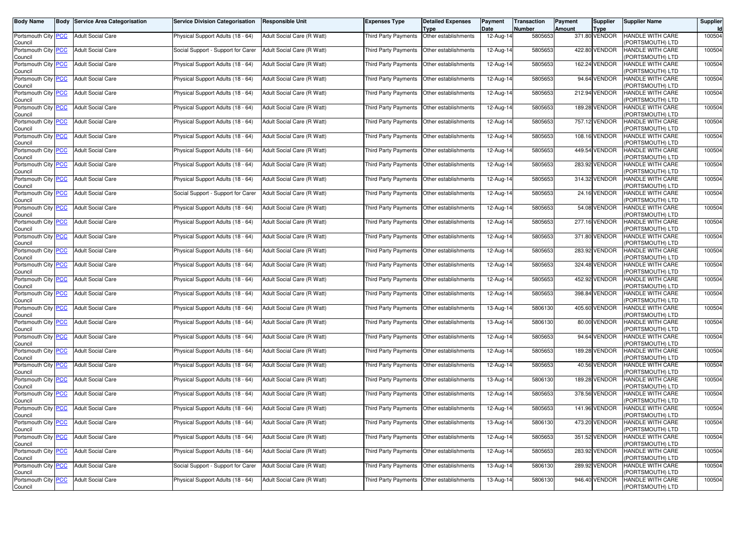| Body Name                                    | <b>Body Service Area Categorisation</b> | <b>Service Division Categorisation</b> | <b>Responsible Unit</b>    | Expenses Type               | <b>Detailed Expenses</b><br>Type             | Payment<br>Date         | <b>Transaction</b><br>Number | Payment<br><b>Amount</b> | Supplier<br><b>Type</b> | <b>Supplier Name</b>                       | Supplier<br>Id |
|----------------------------------------------|-----------------------------------------|----------------------------------------|----------------------------|-----------------------------|----------------------------------------------|-------------------------|------------------------------|--------------------------|-------------------------|--------------------------------------------|----------------|
| Portsmouth City <b>PCC</b><br>Council        | <b>Adult Social Care</b>                | Physical Support Adults (18 - 64)      | Adult Social Care (R Watt) | Third Party Payments        | Other establishments                         | $12-Aug-14$             | 5805653                      |                          | 371.80 VENDOR           | HANDLE WITH CARE<br>PORTSMOUTH) LTD        | 100504         |
| Portsmouth City PCC<br>Council               | <b>Adult Social Care</b>                | Social Support - Support for Carer     | Adult Social Care (R Watt) | <b>Third Party Payments</b> | Other establishments                         | 12-Aug-14               | 5805653                      |                          | 422.80 VENDOR           | <b>HANDLE WITH CARE</b><br>PORTSMOUTH) LTD | 100504         |
| Portsmouth City PCC<br>Council               | <b>Adult Social Care</b>                | Physical Support Adults (18 - 64)      | Adult Social Care (R Watt) | Third Party Payments        | Other establishments                         | 12-Aug-14               | 5805653                      |                          | 162.24 VENDOR           | HANDLE WITH CARE<br>PORTSMOUTH) LTD        | 100504         |
| Portsmouth City PCC<br>Council               | <b>Adult Social Care</b>                | Physical Support Adults (18 - 64)      | Adult Social Care (R Watt) | <b>Third Party Payments</b> | Other establishments                         | 12-Aug-14               | 5805653                      |                          | 94.64 VENDOR            | <b>HANDLE WITH CARE</b><br>PORTSMOUTH) LTD | 100504         |
| Portsmouth City PCC<br>Council               | <b>Adult Social Care</b>                | Physical Support Adults (18 - 64)      | Adult Social Care (R Watt) | <b>Third Party Payments</b> | Other establishments                         | 12-Aug-14               | 5805653                      |                          | 212.94 VENDOR           | <b>HANDLE WITH CARE</b><br>PORTSMOUTH) LTD | 100504         |
| Portsmouth City PCC<br>Council               | <b>Adult Social Care</b>                | Physical Support Adults (18 - 64)      | Adult Social Care (R Watt) | Third Party Payments        | Other establishments                         | 12-Aug-14               | 5805653                      |                          | 189.28 VENDOR           | HANDLE WITH CARE<br>PORTSMOUTH) LTD        | 100504         |
| Portsmouth City PCC<br>Council               | <b>Adult Social Care</b>                | Physical Support Adults (18 - 64)      | Adult Social Care (R Watt) | <b>Third Party Payments</b> | Other establishments                         | 12-Aug-14               | 5805653                      |                          | 757.12 VENDOR           | HANDLE WITH CARE<br>PORTSMOUTH) LTD        | 100504         |
| Portsmouth City PCC<br>Council               | <b>Adult Social Care</b>                | Physical Support Adults (18 - 64)      | Adult Social Care (R Watt) | Third Party Payments        | Other establishments                         | 12-Aug-14               | 5805653                      |                          | 108.16 VENDOR           | HANDLE WITH CARE<br>PORTSMOUTH) LTD        | 100504         |
| Portsmouth City PCC<br>Council               | <b>Adult Social Care</b>                | Physical Support Adults (18 - 64)      | Adult Social Care (R Watt) |                             | Third Party Payments   Other establishments  | 12-Aug-14               | 5805653                      |                          | 449.54 VENDOR           | HANDLE WITH CARE<br>PORTSMOUTH) LTD        | 100504         |
| Portsmouth City PCC<br>Council               | <b>Adult Social Care</b>                | Physical Support Adults (18 - 64)      | Adult Social Care (R Watt) | Third Party Payments        | Other establishments                         | 12-Aug-14               | 5805653                      |                          | 283.92 VENDOR           | HANDLE WITH CARE<br>PORTSMOUTH) LTD        | 100504         |
| Portsmouth City PCC<br>Council               | <b>Adult Social Care</b>                | Physical Support Adults (18 - 64)      | Adult Social Care (R Watt) | Third Party Payments        | Other establishments                         | 12-Aug-14               | 5805653                      |                          | 314.32 VENDOR           | HANDLE WITH CARE<br>PORTSMOUTH) LTD        | 100504         |
| Portsmouth City PCC<br>Council               | <b>Adult Social Care</b>                | Social Support - Support for Carer     | Adult Social Care (R Watt) | Third Party Payments        | Other establishments                         | 12-Aug-14               | 5805653                      |                          | 24.16 VENDOR            | HANDLE WITH CARE<br>PORTSMOUTH) LTD        | 100504         |
| Portsmouth City PCC<br>Council               | <b>Adult Social Care</b>                | Physical Support Adults (18 - 64)      | Adult Social Care (R Watt) | Third Party Payments        | Other establishments                         | 12-Aug-14               | 5805653                      |                          | 54.08 VENDOR            | HANDLE WITH CARE<br>PORTSMOUTH) LTD        | 100504         |
| Portsmouth City PCC<br>Council               | <b>Adult Social Care</b>                | Physical Support Adults (18 - 64)      | Adult Social Care (R Watt) |                             | Third Party Payments   Other establishments  | 12-Aug-14               | 5805653                      |                          | 277.16 VENDOR           | HANDLE WITH CARE<br>PORTSMOUTH) LTD        | 100504         |
| Portsmouth City PCC<br>Council               | <b>Adult Social Care</b>                | Physical Support Adults (18 - 64)      | Adult Social Care (R Watt) | Third Party Payments        | Other establishments                         | 12-Aug-14               | 5805653                      |                          | 371.80 VENDOR           | HANDLE WITH CARE<br>PORTSMOUTH) LTD        | 100504         |
| Portsmouth City PCC<br>Council               | <b>Adult Social Care</b>                | Physical Support Adults (18 - 64)      | Adult Social Care (R Watt) | Third Party Payments        | Other establishments                         | 12-Aug-14               | 5805653                      |                          | 283.92 VENDOR           | HANDLE WITH CARE<br>PORTSMOUTH) LTD        | 100504         |
| Portsmouth City PCC<br>Council               | <b>Adult Social Care</b>                | Physical Support Adults (18 - 64)      | Adult Social Care (R Watt) |                             | Third Party Payments   Other establishments  | 12-Aug-14               | 5805653                      |                          | 324.48 VENDOR           | HANDLE WITH CARE<br>PORTSMOUTH) LTD        | 100504         |
| Portsmouth City PCC<br>Council               | <b>Adult Social Care</b>                | Physical Support Adults (18 - 64)      | Adult Social Care (R Watt) | Third Party Payments        | Other establishments                         | 12-Aug-14               | 5805653                      |                          | 452.92 VENDOR           | HANDLE WITH CARE<br>PORTSMOUTH) LTD        | 100504         |
| Portsmouth City PCC<br>Council               | <b>Adult Social Care</b>                | Physical Support Adults (18 - 64)      | Adult Social Care (R Watt) | Third Party Payments        | Other establishments                         | 12-Aug-14               | 5805653                      |                          | 398.84 VENDOR           | HANDLE WITH CARE<br>(PORTSMOUTH) LTD       | 100504         |
| Portsmouth City PCC<br>Council               | <b>Adult Social Care</b>                | Physical Support Adults (18 - 64)      | Adult Social Care (R Watt) | Third Party Payments        | Other establishments                         | 13-Aug-14               | 5806130                      |                          | 405.60 VENDOR           | HANDLE WITH CARE<br>PORTSMOUTH) LTD        | 100504         |
| Portsmouth City PCC<br>Council               | <b>Adult Social Care</b>                | Physical Support Adults (18 - 64)      | Adult Social Care (R Watt) | Third Party Payments        | Other establishments                         | 13-Aug-14               | 5806130                      |                          | 80.00 VENDOR            | HANDLE WITH CARE<br>PORTSMOUTH) LTD        | 100504         |
| Portsmouth City PCC<br>Council               | <b>Adult Social Care</b>                | Physical Support Adults (18 - 64)      | Adult Social Care (R Watt) | Third Party Payments        | Other establishments                         | 12-Aug-14               | 5805653                      |                          | 94.64 VENDOR            | HANDLE WITH CARE<br>PORTSMOUTH) LTD        | 100504         |
| Portsmouth City <mark>PCC</mark><br>Council  | <b>Adult Social Care</b>                | Physical Support Adults (18 - 64)      | Adult Social Care (R Watt) | Third Party Payments        | Other establishments                         | 12-Aug-14               | 5805653                      |                          | 189.28 VENDOR           | HANDLE WITH CARE<br>PORTSMOUTH) LTD        | 100504         |
| Portsmouth City PCC<br>Council               | <b>Adult Social Care</b>                | Physical Support Adults (18 - 64)      | Adult Social Care (R Watt) | <b>Third Party Payments</b> | Other establishments                         | 12-Aug-14               | 5805653                      |                          | 40.56 VENDOR            | HANDLE WITH CARE<br>PORTSMOUTH) LTD        | 100504         |
| Portsmouth City PCC<br>Council               | <b>Adult Social Care</b>                | Physical Support Adults (18 - 64)      | Adult Social Care (R Watt) | Third Party Payments        | Other establishments                         | 13-Aug-14               | 5806130                      |                          | 189.28 VENDOR           | HANDLE WITH CARE<br>PORTSMOUTH) LTD        | 100504         |
| Portsmouth City PCC<br>Council               | <b>Adult Social Care</b>                | Physical Support Adults (18 - 64)      | Adult Social Care (R Watt) | Third Party Payments        | Other establishments                         | 12-Aug-14               | 5805653                      |                          | 378.56 VENDOR           | HANDLE WITH CARE<br>PORTSMOUTH) LTD        | 100504         |
| Portsmouth City PCC<br>Council               | <b>Adult Social Care</b>                | Physical Support Adults (18 - 64)      | Adult Social Care (R Watt) | <b>Third Party Payments</b> | Other establishments                         | 12-Aug-14               | 5805653                      |                          | 141.96 VENDOR           | HANDLE WITH CARE<br>(PORTSMOUTH) LTD       | 100504         |
| Portsmouth City_ <mark>PCC</mark><br>Council | <b>Adult Social Care</b>                | Physical Support Adults (18 - 64)      | Adult Social Care (R Watt) |                             | I hird Party Payments   Other establishments | 13-Aug-14               | 5806130                      |                          | 4/3.20 VENDOR           | HANDLE WITH CARE<br>(PORTSMOUTH) LTD       | 100504         |
| Portsmouth City PCC<br>Council               | <b>Adult Social Care</b>                | Physical Support Adults (18 - 64)      | Adult Social Care (R Watt) |                             | Third Party Payments Other establishments    | $\overline{12}$ -Aug-14 | 5805653                      |                          | 351.52 VENDOR           | HANDLE WITH CARE<br>PORTSMOUTH) LTD        | 100504         |
| Portsmouth City PCC<br>Council               | <b>Adult Social Care</b>                | Physical Support Adults (18 - 64)      | Adult Social Care (R Watt) |                             | Third Party Payments Other establishments    | 12-Aug-14               | 5805653                      |                          | 283.92 VENDOR           | HANDLE WITH CARE<br>PORTSMOUTH) LTD        | 100504         |
| Portsmouth City PCC<br>Council               | <b>Adult Social Care</b>                | Social Support - Support for Carer     | Adult Social Care (R Watt) |                             | Third Party Payments Other establishments    | 13-Aug-14               | 5806130                      |                          | 289.92 VENDOR           | HANDLE WITH CARE<br>PORTSMOUTH) LTD        | 100504         |
| Portsmouth City PCC<br>Council               | <b>Adult Social Care</b>                | Physical Support Adults (18 - 64)      | Adult Social Care (R Watt) |                             | Third Party Payments Other establishments    | 13-Aug-14               | 5806130                      |                          | 946.40 VENDOR           | HANDLE WITH CARE<br>PORTSMOUTH) LTD        | 100504         |
|                                              |                                         |                                        |                            |                             |                                              |                         |                              |                          |                         |                                            |                |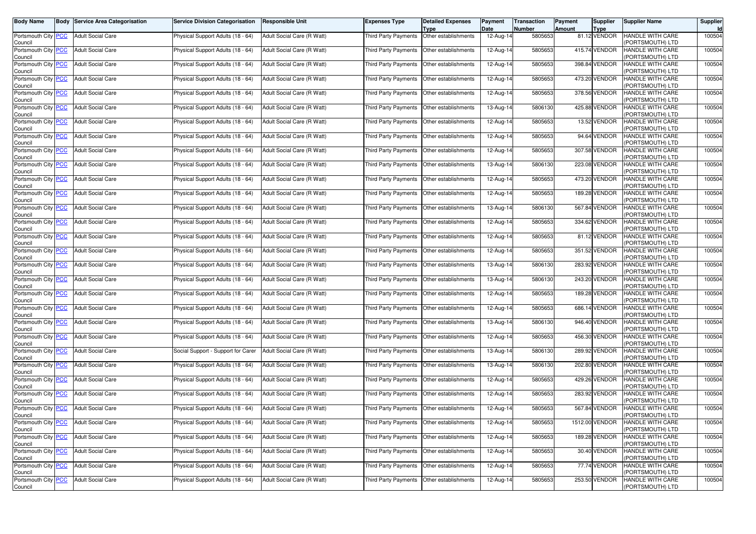| Body Name                                   | <b>Body Service Area Categorisation</b> | <b>Service Division Categorisation</b> | <b>Responsible Unit</b>    | Expenses Type               | <b>Detailed Expenses</b><br>Type             | Payment<br>Date         | <b>Transaction</b><br>Number | Payment<br><b>Amount</b> | Supplier<br><b>Type</b> | <b>Supplier Name</b>                        | Supplier<br>Id |
|---------------------------------------------|-----------------------------------------|----------------------------------------|----------------------------|-----------------------------|----------------------------------------------|-------------------------|------------------------------|--------------------------|-------------------------|---------------------------------------------|----------------|
| Portsmouth City <b>PCC</b><br>Council       | <b>Adult Social Care</b>                | Physical Support Adults (18 - 64)      | Adult Social Care (R Watt) | Third Party Payments        | Other establishments                         | $12-Aug-14$             | 5805653                      |                          | 81.12 VENDOR            | HANDLE WITH CARE<br>PORTSMOUTH) LTD         | 100504         |
| Portsmouth City PCC<br>Council              | <b>Adult Social Care</b>                | Physical Support Adults (18 - 64)      | Adult Social Care (R Watt) | <b>Third Party Payments</b> | Other establishments                         | 12-Aug-14               | 5805653                      |                          | 415.74 VENDOR           | HANDLE WITH CARE<br>PORTSMOUTH) LTD         | 100504         |
| Portsmouth City PCC<br>Council              | <b>Adult Social Care</b>                | Physical Support Adults (18 - 64)      | Adult Social Care (R Watt) | Third Party Payments        | Other establishments                         | 12-Aug-14               | 5805653                      |                          | 398.84 VENDOR           | HANDLE WITH CARE<br>PORTSMOUTH) LTD         | 100504         |
| Portsmouth City PCC<br>Council              | <b>Adult Social Care</b>                | Physical Support Adults (18 - 64)      | Adult Social Care (R Watt) | <b>Third Party Payments</b> | Other establishments                         | 12-Aug-14               | 5805653                      |                          | 473.20 VENDOR           | <b>HANDLE WITH CARE</b><br>PORTSMOUTH) LTD  | 100504         |
| Portsmouth City PCC<br>Council              | <b>Adult Social Care</b>                | Physical Support Adults (18 - 64)      | Adult Social Care (R Watt) | <b>Third Party Payments</b> | Other establishments                         | 12-Aug-14               | 5805653                      |                          | 378.56 VENDOR           | HANDLE WITH CARE<br>PORTSMOUTH) LTD         | 100504         |
| Portsmouth City PCC<br>Council              | <b>Adult Social Care</b>                | Physical Support Adults (18 - 64)      | Adult Social Care (R Watt) | Third Party Payments        | Other establishments                         | 13-Aug-14               | 5806130                      |                          | 425.88 VENDOR           | HANDLE WITH CARE<br>PORTSMOUTH) LTD         | 100504         |
| Portsmouth City PCC<br>Council              | <b>Adult Social Care</b>                | Physical Support Adults (18 - 64)      | Adult Social Care (R Watt) | <b>Third Party Payments</b> | Other establishments                         | 12-Aug-14               | 5805653                      |                          | 13.52 VENDOR            | HANDLE WITH CARE<br>PORTSMOUTH) LTD         | 100504         |
| Portsmouth City PCC<br>Council              | <b>Adult Social Care</b>                | Physical Support Adults (18 - 64)      | Adult Social Care (R Watt) | Third Party Payments        | Other establishments                         | 12-Aug-14               | 5805653                      |                          | 94.64 VENDOR            | HANDLE WITH CARE<br>PORTSMOUTH) LTD         | 100504         |
| Portsmouth City PCC<br>Council              | <b>Adult Social Care</b>                | Physical Support Adults (18 - 64)      | Adult Social Care (R Watt) |                             | Third Party Payments   Other establishments  | 12-Aug-14               | 5805653                      |                          | 307.58 VENDOR           | HANDLE WITH CARE<br>PORTSMOUTH) LTD         | 100504         |
| Portsmouth City PCC<br>Council              | <b>Adult Social Care</b>                | Physical Support Adults (18 - 64)      | Adult Social Care (R Watt) | Third Party Payments        | Other establishments                         | 13-Aug-14               | 5806130                      |                          | 223.08 VENDOR           | HANDLE WITH CARE<br>PORTSMOUTH) LTD         | 100504         |
| Portsmouth City PCC<br>Council              | <b>Adult Social Care</b>                | Physical Support Adults (18 - 64)      | Adult Social Care (R Watt) | Third Party Payments        | Other establishments                         | 12-Aug-14               | 5805653                      |                          | 473.20 VENDOR           | HANDLE WITH CARE<br>PORTSMOUTH) LTD         | 100504         |
| Portsmouth City PCC<br>Council              | <b>Adult Social Care</b>                | Physical Support Adults (18 - 64)      | Adult Social Care (R Watt) | Third Party Payments        | Other establishments                         | 12-Aug-14               | 5805653                      |                          | 189.28 VENDOR           | HANDLE WITH CARE<br>PORTSMOUTH) LTD         | 100504         |
| Portsmouth City PCC<br>Council              | <b>Adult Social Care</b>                | Physical Support Adults (18 - 64)      | Adult Social Care (R Watt) | Third Party Payments        | Other establishments                         | 13-Aug-14               | 5806130                      |                          | 567.84 VENDOR           | HANDLE WITH CARE<br>PORTSMOUTH) LTD         | 100504         |
| Portsmouth City PCC<br>Council              | <b>Adult Social Care</b>                | Physical Support Adults (18 - 64)      | Adult Social Care (R Watt) |                             | Third Party Payments   Other establishments  | 12-Aug-14               | 5805653                      |                          | 334.62 VENDOR           | HANDLE WITH CARE<br>PORTSMOUTH) LTD         | 100504         |
| Portsmouth City PCC<br>Council              | <b>Adult Social Care</b>                | Physical Support Adults (18 - 64)      | Adult Social Care (R Watt) | Third Party Payments        | Other establishments                         | 12-Aug-14               | 5805653                      |                          | 81.12 VENDOR            | HANDLE WITH CARE<br>PORTSMOUTH) LTD         | 100504         |
| Portsmouth City PCC<br>Council              | <b>Adult Social Care</b>                | Physical Support Adults (18 - 64)      | Adult Social Care (R Watt) | Third Party Payments        | Other establishments                         | 12-Aug-14               | 5805653                      |                          | 351.52 VENDOR           | HANDLE WITH CARE<br>PORTSMOUTH) LTD         | 100504         |
| Portsmouth City PCC<br>Council              | <b>Adult Social Care</b>                | Physical Support Adults (18 - 64)      | Adult Social Care (R Watt) |                             | Third Party Payments   Other establishments  | 13-Aug-14               | 5806130                      |                          | 283.92 VENDOR           | HANDLE WITH CARE<br>PORTSMOUTH) LTD         | 100504         |
| Portsmouth City PCC<br>Council              | <b>Adult Social Care</b>                | Physical Support Adults (18 - 64)      | Adult Social Care (R Watt) | Third Party Payments        | Other establishments                         | 13-Aug-14               | 5806130                      |                          | 243.20 VENDOR           | HANDLE WITH CARE<br>PORTSMOUTH) LTD         | 100504         |
| Portsmouth City PCC<br>Council              | <b>Adult Social Care</b>                | Physical Support Adults (18 - 64)      | Adult Social Care (R Watt) | Third Party Payments        | Other establishments                         | 12-Aug-14               | 5805653                      |                          | 189.28 VENDOR           | HANDLE WITH CARE<br>(PORTSMOUTH) LTD        | 100504         |
| Portsmouth City PCC<br>Council              | <b>Adult Social Care</b>                | Physical Support Adults (18 - 64)      | Adult Social Care (R Watt) | Third Party Payments        | Other establishments                         | 12-Aug-14               | 5805653                      |                          | 686.14 VENDOR           | HANDLE WITH CARE<br>PORTSMOUTH) LTD         | 100504         |
| Portsmouth City PCC<br>Council              | <b>Adult Social Care</b>                | Physical Support Adults (18 - 64)      | Adult Social Care (R Watt) | Third Party Payments        | Other establishments                         | 13-Aug-14               | 5806130                      |                          | 946.40 VENDOR           | HANDLE WITH CARE<br>PORTSMOUTH) LTD         | 100504         |
| Portsmouth City PCC<br>Council              | <b>Adult Social Care</b>                | Physical Support Adults (18 - 64)      | Adult Social Care (R Watt) | Third Party Payments        | Other establishments                         | 12-Aug-14               | 5805653                      |                          | 456.30 VENDOR           | HANDLE WITH CARE<br>PORTSMOUTH) LTD         | 100504         |
| Portsmouth City <mark>PCC</mark><br>Council | <b>Adult Social Care</b>                | Social Support - Support for Carer     | Adult Social Care (R Watt) | Third Party Payments        | Other establishments                         | 13-Aug-14               | 5806130                      |                          | 289.92 VENDOR           | HANDLE WITH CARE<br>PORTSMOUTH) LTD         | 100504         |
| Portsmouth City PCC<br>Council              | <b>Adult Social Care</b>                | Physical Support Adults (18 - 64)      | Adult Social Care (R Watt) | <b>Third Party Payments</b> | Other establishments                         | 13-Aug-14               | 5806130                      |                          | 202.80 VENDOR           | HANDLE WITH CARE<br>PORTSMOUTH) LTD         | 100504         |
| Portsmouth City PCC<br>Council              | <b>Adult Social Care</b>                | Physical Support Adults (18 - 64)      | Adult Social Care (R Watt) | Third Party Payments        | Other establishments                         | 12-Aug-14               | 5805653                      |                          | 429.26 VENDOR           | HANDLE WITH CARE<br>PORTSMOUTH) LTD         | 100504         |
| Portsmouth City PCC<br>Council              | <b>Adult Social Care</b>                | Physical Support Adults (18 - 64)      | Adult Social Care (R Watt) | Third Party Payments        | Other establishments                         | 12-Aug-14               | 5805653                      |                          | 283.92 VENDOR           | HANDLE WITH CARE<br>PORTSMOUTH) LTD         | 100504         |
| Portsmouth City PCC<br>Council              | <b>Adult Social Care</b>                | Physical Support Adults (18 - 64)      | Adult Social Care (R Watt) | <b>Third Party Payments</b> | Other establishments                         | 12-Aug-14               | 5805653                      |                          | 567.84 VENDOR           | HANDLE WITH CARE<br>(PORTSMOUTH) LTD        | 100504         |
| Portsmouth City   PCC<br>Council            | <b>Adult Social Care</b>                | Physical Support Adults (18 - 64)      | Adult Social Care (R Watt) |                             | I hird Party Payments   Other establishments | 12-Aug-14               | 5805653                      |                          | 1512.00 VENDOR          | <b>HANDLE WITH CARE</b><br>(PORTSMOUTH) LTD | 100504         |
| Portsmouth City PCC<br>Council              | <b>Adult Social Care</b>                | Physical Support Adults (18 - 64)      | Adult Social Care (R Watt) |                             | Third Party Payments Other establishments    | $\overline{12}$ -Aug-14 | 5805653                      |                          | 189.28 VENDOR           | HANDLE WITH CARE<br>PORTSMOUTH) LTD         | 100504         |
| Portsmouth City PCC<br>Council              | <b>Adult Social Care</b>                | Physical Support Adults (18 - 64)      | Adult Social Care (R Watt) |                             | Third Party Payments Other establishments    | 12-Aug-14               | 5805653                      |                          | 30.40 VENDOR            | HANDLE WITH CARE<br>PORTSMOUTH) LTD         | 100504         |
| Portsmouth City PCC<br>Council              | <b>Adult Social Care</b>                | Physical Support Adults (18 - 64)      | Adult Social Care (R Watt) |                             | Third Party Payments Other establishments    | 12-Aug-14               | 5805653                      |                          | 77.74 VENDOR            | HANDLE WITH CARE<br>PORTSMOUTH) LTD         | 100504         |
| Portsmouth City PCC<br>Council              | <b>Adult Social Care</b>                | Physical Support Adults (18 - 64)      | Adult Social Care (R Watt) |                             | Third Party Payments Other establishments    | 12-Aug-14               | 5805653                      |                          | 253.50 VENDOR           | HANDLE WITH CARE<br>PORTSMOUTH) LTD         | 100504         |
|                                             |                                         |                                        |                            |                             |                                              |                         |                              |                          |                         |                                             |                |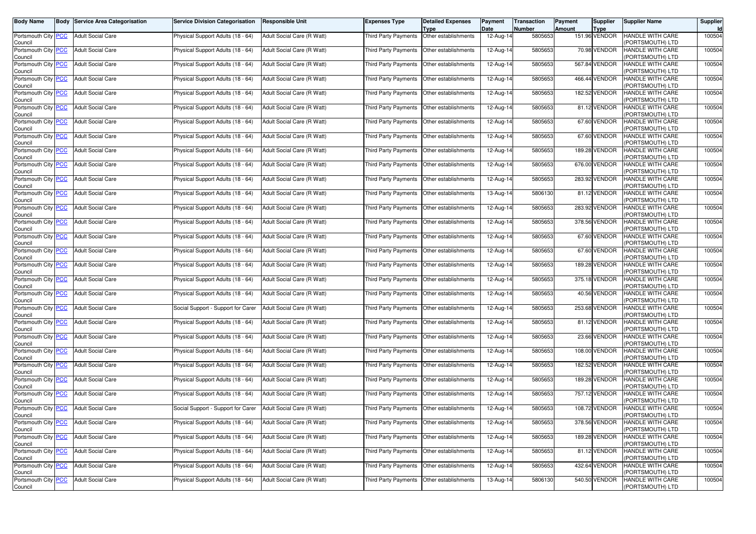| Body Name                             | <b>Body Service Area Categorisation</b> | <b>Service Division Categorisation</b> | <b>Responsible Unit</b>    | Expenses Type               | <b>Detailed Expenses</b><br>Type             | Payment<br>Date         | <b>Transaction</b><br>Number | Payment<br><b>Amount</b> | Supplier<br><b>Type</b> | <b>Supplier Name</b>                       | Supplier<br>Id |
|---------------------------------------|-----------------------------------------|----------------------------------------|----------------------------|-----------------------------|----------------------------------------------|-------------------------|------------------------------|--------------------------|-------------------------|--------------------------------------------|----------------|
| Portsmouth City <b>PCC</b><br>Council | <b>Adult Social Care</b>                | Physical Support Adults (18 - 64)      | Adult Social Care (R Watt) | Third Party Payments        | Other establishments                         | $12-Aug-14$             | 5805653                      |                          | 151.96 VENDOR           | HANDLE WITH CARE<br>PORTSMOUTH) LTD        | 100504         |
| Portsmouth City PCC<br>Council        | <b>Adult Social Care</b>                | Physical Support Adults (18 - 64)      | Adult Social Care (R Watt) | <b>Third Party Payments</b> | Other establishments                         | 12-Aug-14               | 5805653                      |                          | 70.98 VENDOR            | HANDLE WITH CARE<br>PORTSMOUTH) LTD        | 100504         |
| Portsmouth City PCC<br>Council        | <b>Adult Social Care</b>                | Physical Support Adults (18 - 64)      | Adult Social Care (R Watt) |                             | Third Party Payments   Other establishments  | 12-Aug-14               | 5805653                      |                          | 567.84 VENDOR           | HANDLE WITH CARE<br>PORTSMOUTH) LTD        | 100504         |
| Portsmouth City PCC<br>Council        | <b>Adult Social Care</b>                | Physical Support Adults (18 - 64)      | Adult Social Care (R Watt) | <b>Third Party Payments</b> | Other establishments                         | 12-Aug-14               | 5805653                      |                          | 466.44 VENDOR           | <b>HANDLE WITH CARE</b><br>PORTSMOUTH) LTD | 100504         |
| Portsmouth City PCC<br>Council        | <b>Adult Social Care</b>                | Physical Support Adults (18 - 64)      | Adult Social Care (R Watt) | <b>Third Party Payments</b> | Other establishments                         | 12-Aug-14               | 5805653                      |                          | 182.52 VENDOR           | HANDLE WITH CARE<br>PORTSMOUTH) LTD        | 100504         |
| Portsmouth City PCC<br>Council        | <b>Adult Social Care</b>                | Physical Support Adults (18 - 64)      | Adult Social Care (R Watt) | Third Party Payments        | Other establishments                         | 12-Aug-14               | 5805653                      |                          | 81.12 VENDOR            | HANDLE WITH CARE<br>PORTSMOUTH) LTD        | 100504         |
| Portsmouth City PCC<br>Council        | <b>Adult Social Care</b>                | Physical Support Adults (18 - 64)      | Adult Social Care (R Watt) | <b>Third Party Payments</b> | Other establishments                         | 12-Aug-14               | 5805653                      |                          | 67.60 VENDOR            | HANDLE WITH CARE<br>PORTSMOUTH) LTD        | 100504         |
| Portsmouth City PCC<br>Council        | <b>Adult Social Care</b>                | Physical Support Adults (18 - 64)      | Adult Social Care (R Watt) | Third Party Payments        | Other establishments                         | 12-Aug-14               | 5805653                      |                          | 67.60 VENDOR            | HANDLE WITH CARE<br>PORTSMOUTH) LTD        | 100504         |
| Portsmouth City PCC<br>Council        | <b>Adult Social Care</b>                | Physical Support Adults (18 - 64)      | Adult Social Care (R Watt) |                             | Third Party Payments   Other establishments  | 12-Aug-14               | 5805653                      |                          | 189.28 VENDOR           | HANDLE WITH CARE<br>PORTSMOUTH) LTD        | 100504         |
| Portsmouth City PCC<br>Council        | <b>Adult Social Care</b>                | Physical Support Adults (18 - 64)      | Adult Social Care (R Watt) | Third Party Payments        | Other establishments                         | 12-Aug-14               | 5805653                      |                          | 676.00 VENDOR           | HANDLE WITH CARE<br>PORTSMOUTH) LTD        | 100504         |
| Portsmouth City PCC<br>Council        | <b>Adult Social Care</b>                | Physical Support Adults (18 - 64)      | Adult Social Care (R Watt) | Third Party Payments        | Other establishments                         | 12-Aug-14               | 5805653                      |                          | 283.92 VENDOR           | HANDLE WITH CARE<br>PORTSMOUTH) LTD        | 100504         |
| Portsmouth City PCC<br>Council        | <b>Adult Social Care</b>                | Physical Support Adults (18 - 64)      | Adult Social Care (R Watt) | Third Party Payments        | Other establishments                         | 13-Aug-14               | 5806130                      |                          | 81.12 VENDOR            | HANDLE WITH CARE<br>PORTSMOUTH) LTD        | 100504         |
| Portsmouth City PCC<br>Council        | <b>Adult Social Care</b>                | Physical Support Adults (18 - 64)      | Adult Social Care (R Watt) | Third Party Payments        | Other establishments                         | 12-Aug-14               | 5805653                      |                          | 283.92 VENDOR           | HANDLE WITH CARE<br>PORTSMOUTH) LTD        | 100504         |
| Portsmouth City PCC<br>Council        | <b>Adult Social Care</b>                | Physical Support Adults (18 - 64)      | Adult Social Care (R Watt) |                             | Third Party Payments   Other establishments  | 12-Aug-14               | 5805653                      |                          | 378.56 VENDOR           | HANDLE WITH CARE<br>PORTSMOUTH) LTD        | 100504         |
| Portsmouth City PCC<br>Council        | <b>Adult Social Care</b>                | Physical Support Adults (18 - 64)      | Adult Social Care (R Watt) | Third Party Payments        | Other establishments                         | 12-Aug-14               | 5805653                      |                          | 67.60 VENDOR            | HANDLE WITH CARE<br>PORTSMOUTH) LTD        | 100504         |
| Portsmouth City PCC<br>Council        | <b>Adult Social Care</b>                | Physical Support Adults (18 - 64)      | Adult Social Care (R Watt) | Third Party Payments        | Other establishments                         | 12-Aug-14               | 5805653                      |                          | 67.60 VENDOR            | HANDLE WITH CARE<br>PORTSMOUTH) LTD        | 100504         |
| Portsmouth City PCC<br>Council        | <b>Adult Social Care</b>                | Physical Support Adults (18 - 64)      | Adult Social Care (R Watt) |                             | Third Party Payments   Other establishments  | 12-Aug-14               | 5805653                      |                          | 189.28 VENDOR           | HANDLE WITH CARE<br>PORTSMOUTH) LTD        | 100504         |
| Portsmouth City PCC<br>Council        | <b>Adult Social Care</b>                | Physical Support Adults (18 - 64)      | Adult Social Care (R Watt) | Third Party Payments        | Other establishments                         | 12-Aug-14               | 5805653                      |                          | 375.18 VENDOR           | HANDLE WITH CARE<br>PORTSMOUTH) LTD        | 100504         |
| Portsmouth City PCC<br>Council        | <b>Adult Social Care</b>                | Physical Support Adults (18 - 64)      | Adult Social Care (R Watt) | Third Party Payments        | Other establishments                         | 12-Aug-14               | 5805653                      |                          | 40.56 VENDOR            | HANDLE WITH CARE<br>(PORTSMOUTH) LTD       | 100504         |
| Portsmouth City PCC<br>Council        | <b>Adult Social Care</b>                | Social Support - Support for Carer     | Adult Social Care (R Watt) | Third Party Payments        | Other establishments                         | 12-Aug-14               | 5805653                      |                          | 253.68 VENDOR           | HANDLE WITH CARE<br>PORTSMOUTH) LTD        | 100504         |
| Portsmouth City PCC<br>Council        | <b>Adult Social Care</b>                | Physical Support Adults (18 - 64)      | Adult Social Care (R Watt) | Third Party Payments        | Other establishments                         | 12-Aug-14               | 5805653                      |                          | 81.12 VENDOR            | HANDLE WITH CARE<br>PORTSMOUTH) LTD        | 100504         |
| Portsmouth City PCC<br>Council        | <b>Adult Social Care</b>                | Physical Support Adults (18 - 64)      | Adult Social Care (R Watt) | Third Party Payments        | Other establishments                         | 12-Aug-14               | 5805653                      |                          | 23.66 VENDOR            | HANDLE WITH CARE<br>PORTSMOUTH) LTD        | 100504         |
| Portsmouth City PCC<br>Council        | <b>Adult Social Care</b>                | Physical Support Adults (18 - 64)      | Adult Social Care (R Watt) | Third Party Payments        | Other establishments                         | 12-Aug-14               | 5805653                      |                          | 108.00 VENDOR           | HANDLE WITH CARE<br>PORTSMOUTH) LTD        | 100504         |
| Portsmouth City PCC<br>Council        | <b>Adult Social Care</b>                | Physical Support Adults (18 - 64)      | Adult Social Care (R Watt) | <b>Third Party Payments</b> | Other establishments                         | 12-Aug-14               | 5805653                      |                          | 182.52 VENDOR           | HANDLE WITH CARE<br>PORTSMOUTH) LTD        | 100504         |
| Portsmouth City PCC<br>Council        | <b>Adult Social Care</b>                | Physical Support Adults (18 - 64)      | Adult Social Care (R Watt) | Third Party Payments        | Other establishments                         | 12-Aug-14               | 5805653                      |                          | 189.28 VENDOR           | HANDLE WITH CARE<br>PORTSMOUTH) LTD        | 100504         |
| Portsmouth City PCC<br>Council        | <b>Adult Social Care</b>                | Physical Support Adults (18 - 64)      | Adult Social Care (R Watt) | Third Party Payments        | Other establishments                         | 12-Aug-14               | 5805653                      |                          | 757.12 VENDOR           | HANDLE WITH CARE<br>PORTSMOUTH) LTD        | 100504         |
| Portsmouth City PCC<br>Council        | <b>Adult Social Care</b>                | Social Support - Support for Carer     | Adult Social Care (R Watt) | <b>Third Party Payments</b> | Other establishments                         | 12-Aug-14               | 5805653                      |                          | 108.72 VENDOR           | HANDLE WITH CARE<br>(PORTSMOUTH) LTD       | 100504         |
| Portsmouth City   PCC<br>Council      | <b>Adult Social Care</b>                | Physical Support Adults (18 - 64)      | Adult Social Care (R Watt) |                             | I hird Party Payments   Other establishments | 12-Aug-14               | 5805653                      |                          | 3/8.56 VENDOR           | HANDLE WITH CARE<br>(PORTSMOUTH) LTD       | 100504         |
| Portsmouth City PCC<br>Council        | <b>Adult Social Care</b>                | Physical Support Adults (18 - 64)      | Adult Social Care (R Watt) |                             | Third Party Payments Other establishments    | $\overline{12}$ -Aug-14 | 5805653                      |                          | 189.28 VENDOR           | HANDLE WITH CARE<br>PORTSMOUTH) LTD        | 100504         |
| Portsmouth City PCC<br>Council        | <b>Adult Social Care</b>                | Physical Support Adults (18 - 64)      | Adult Social Care (R Watt) |                             | Third Party Payments Other establishments    | 12-Aug-14               | 5805653                      |                          | 81.12 VENDOR            | HANDLE WITH CARE<br>PORTSMOUTH) LTD        | 100504         |
| Portsmouth City PCC<br>Council        | <b>Adult Social Care</b>                | Physical Support Adults (18 - 64)      | Adult Social Care (R Watt) |                             | Third Party Payments Other establishments    | 12-Aug-14               | 5805653                      |                          | 432.64 VENDOR           | HANDLE WITH CARE<br>PORTSMOUTH) LTD        | 100504         |
| Portsmouth City PCC<br>Council        | <b>Adult Social Care</b>                | Physical Support Adults (18 - 64)      | Adult Social Care (R Watt) |                             | Third Party Payments Other establishments    | 13-Aug-14               | 5806130                      |                          | 540.50 VENDOR           | HANDLE WITH CARE<br>PORTSMOUTH) LTD        | 100504         |
|                                       |                                         |                                        |                            |                             |                                              |                         |                              |                          |                         |                                            |                |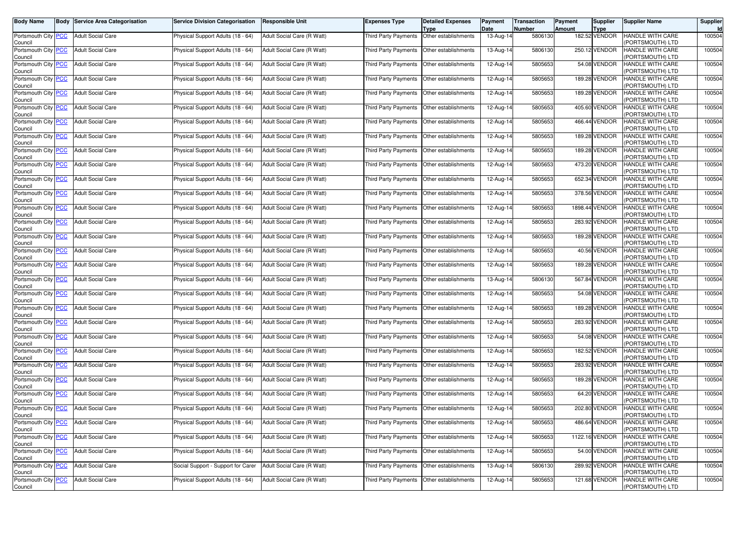| Body Name                             | <b>Body Service Area Categorisation</b> | <b>Service Division Categorisation</b> | <b>Responsible Unit</b>    | Expenses Type                               | <b>Detailed Expenses</b><br>Type | Payment<br>Date | Transaction<br>Number | Payment<br><b>Amount</b> | <b>Supplier</b><br>Type | <b>Supplier Name</b>                        | Supplier<br><b>Id</b> |
|---------------------------------------|-----------------------------------------|----------------------------------------|----------------------------|---------------------------------------------|----------------------------------|-----------------|-----------------------|--------------------------|-------------------------|---------------------------------------------|-----------------------|
| Portsmouth City PCC<br>Council        | <b>Adult Social Care</b>                | Physical Support Adults (18 - 64)      | Adult Social Care (R Watt) | Third Party Payments                        | Other establishments             | 13-Aug-14       | 5806130               |                          | 182.52 VENDOR           | HANDLE WITH CARE<br>PORTSMOUTH) LTD         | 100504                |
| Portsmouth City PCC<br>Council        | <b>Adult Social Care</b>                | Physical Support Adults (18 - 64)      | Adult Social Care (R Watt) | Third Party Payments                        | Other establishments             | 13-Aug-14       | 5806130               |                          | 250.12 VENDOR           | HANDLE WITH CARE<br>PORTSMOUTH) LTD         | 100504                |
| Portsmouth City <b>PCC</b><br>Council | <b>Adult Social Care</b>                | Physical Support Adults (18 - 64)      | Adult Social Care (R Watt) | Third Party Payments                        | Other establishments             | 12-Aug-14       | 5805653               |                          | 54.08 VENDOR            | HANDLE WITH CARE<br>PORTSMOUTH) LTD         | 100504                |
| Portsmouth City PCC<br>Council        | <b>Adult Social Care</b>                | Physical Support Adults (18 - 64)      | Adult Social Care (R Watt) | <b>Third Party Payments</b>                 | Other establishments             | 12-Aug-14       | 5805653               |                          | 189.28 VENDOR           | HANDLE WITH CARE<br>PORTSMOUTH) LTD         | 100504                |
| Portsmouth City PCC<br>Council        | <b>Adult Social Care</b>                | Physical Support Adults (18 - 64)      | Adult Social Care (R Watt) | Third Party Payments                        | Other establishments             | 12-Aug-14       | 5805653               |                          | 189.28 VENDOR           | HANDLE WITH CARE<br>PORTSMOUTH) LTD         | 100504                |
| Portsmouth City PCC<br>Council        | <b>Adult Social Care</b>                | Physical Support Adults (18 - 64)      | Adult Social Care (R Watt) | Third Party Payments                        | Other establishments             | 12-Aug-14       | 5805653               |                          | 405.60 VENDOR           | HANDLE WITH CARE<br>PORTSMOUTH) LTD         | 100504                |
| Portsmouth City PCC<br>Council        | <b>Adult Social Care</b>                | Physical Support Adults (18 - 64)      | Adult Social Care (R Watt) | Third Party Payments                        | Other establishments             | 12-Aug-14       | 5805653               |                          | 466.44 VENDOR           | HANDLE WITH CARE<br>PORTSMOUTH) LTD         | 100504                |
| Portsmouth City PCC<br>Council        | <b>Adult Social Care</b>                | Physical Support Adults (18 - 64)      | Adult Social Care (R Watt) | Third Party Payments                        | Other establishments             | 12-Aug-14       | 5805653               |                          | 189.28 VENDOR           | <b>HANDLE WITH CARE</b><br>PORTSMOUTH) LTD  | 100504                |
| Portsmouth City PCC<br>Council        | <b>Adult Social Care</b>                | Physical Support Adults (18 - 64)      | Adult Social Care (R Watt) | Third Party Payments                        | Other establishments             | 12-Aug-14       | 5805653               |                          | 189.28 VENDOR           | HANDLE WITH CARE<br>PORTSMOUTH) LTD         | 100504                |
| Portsmouth City PCC<br>Council        | <b>Adult Social Care</b>                | Physical Support Adults (18 - 64)      | Adult Social Care (R Watt) | Third Party Payments                        | Other establishments             | 12-Aug-14       | 5805653               |                          | 473.20 VENDOR           | HANDLE WITH CARE<br>PORTSMOUTH) LTD         | 100504                |
| Portsmouth City PCC<br>Council        | <b>Adult Social Care</b>                | Physical Support Adults (18 - 64)      | Adult Social Care (R Watt) | Third Party Payments                        | Other establishments             | 12-Aug-14       | 5805653               |                          | 652.34 VENDOR           | HANDLE WITH CARE<br>PORTSMOUTH) LTD         | 100504                |
| Portsmouth City PCC<br>Council        | <b>Adult Social Care</b>                | Physical Support Adults (18 - 64)      | Adult Social Care (R Watt) | Third Party Payments                        | Other establishments             | 12-Aug-14       | 5805653               |                          | 378.56 VENDOR           | HANDLE WITH CARE<br>PORTSMOUTH) LTD         | 100504                |
| Portsmouth City PCC<br>Council        | <b>Adult Social Care</b>                | Physical Support Adults (18 - 64)      | Adult Social Care (R Watt) | <b>Third Party Payments</b>                 | Other establishments             | 12-Aug-14       | 5805653               |                          | 1898.44 VENDOR          | HANDLE WITH CARE<br>PORTSMOUTH) LTD         | 100504                |
| Portsmouth City PCC<br>Council        | <b>Adult Social Care</b>                | Physical Support Adults (18 - 64)      | Adult Social Care (R Watt) | <b>Third Party Payments</b>                 | Other establishments             | 12-Aug-14       | 5805653               |                          | 283.92 VENDOR           | HANDLE WITH CARE<br>PORTSMOUTH) LTD         | 100504                |
| Portsmouth City PCC<br>Council        | <b>Adult Social Care</b>                | Physical Support Adults (18 - 64)      | Adult Social Care (R Watt) | Third Party Payments                        | Other establishments             | 12-Aug-14       | 5805653               |                          | 189.28 VENDOR           | HANDLE WITH CARE<br>PORTSMOUTH) LTD         | 100504                |
| Portsmouth City PCC<br>Council        | <b>Adult Social Care</b>                | Physical Support Adults (18 - 64)      | Adult Social Care (R Watt) | <b>Third Party Payments</b>                 | Other establishments             | 12-Aug-14       | 5805653               |                          | 40.56 VENDOR            | HANDLE WITH CARE<br>PORTSMOUTH) LTD         | 100504                |
| Portsmouth City PCC<br>Council        | <b>Adult Social Care</b>                | Physical Support Adults (18 - 64)      | Adult Social Care (R Watt) | <b>Third Party Payments</b>                 | Other establishments             | 12-Aug-14       | 5805653               |                          | 189.28 VENDOR           | HANDLE WITH CARE<br>PORTSMOUTH) LTD         | 100504                |
| Portsmouth City PCC<br>Council        | <b>Adult Social Care</b>                | Physical Support Adults (18 - 64)      | Adult Social Care (R Watt) | Third Party Payments                        | Other establishments             | 13-Aug-14       | 5806130               |                          | 567.84 VENDOR           | HANDLE WITH CARE<br>PORTSMOUTH) LTD         | 100504                |
| Portsmouth City PCC<br>Council        | <b>Adult Social Care</b>                | Physical Support Adults (18 - 64)      | Adult Social Care (R Watt) | Third Party Payments                        | Other establishments             | 12-Aug-14       | 5805653               |                          | 54.08 VENDOR            | HANDLE WITH CARE<br>PORTSMOUTH) LTD         | 100504                |
| Portsmouth City PCC<br>Council        | <b>Adult Social Care</b>                | Physical Support Adults (18 - 64)      | Adult Social Care (R Watt) | <b>Third Party Payments</b>                 | Other establishments             | 12-Aug-14       | 5805653               |                          | 189.28 VENDOR           | HANDLE WITH CARE<br>PORTSMOUTH) LTD         | 100504                |
| Portsmouth City PCC<br>Council        | <b>Adult Social Care</b>                | Physical Support Adults (18 - 64)      | Adult Social Care (R Watt) | Third Party Payments   Other establishments |                                  | 12-Aug-14       | 5805653               |                          | 283.92 VENDOR           | HANDLE WITH CARE<br>PORTSMOUTH) LTD         | 100504                |
| Portsmouth City PCC<br>Council        | <b>Adult Social Care</b>                | Physical Support Adults (18 - 64)      | Adult Social Care (R Watt) | Third Party Payments                        | Other establishments             | 12-Aug-14       | 5805653               |                          | 54.08 VENDOR            | HANDLE WITH CARE<br>PORTSMOUTH) LTD         | 100504                |
| Portsmouth City PCC<br>Council        | <b>Adult Social Care</b>                | Physical Support Adults (18 - 64)      | Adult Social Care (R Watt) | <b>Third Party Payments</b>                 | Other establishments             | 12-Aug-14       | 5805653               |                          | 182.52 VENDOR           | HANDLE WITH CARE<br>PORTSMOUTH) LTD         | 100504                |
| Portsmouth City PCC<br>Council        | <b>Adult Social Care</b>                | Physical Support Adults (18 - 64)      | Adult Social Care (R Watt) | Third Party Payments                        | Other establishments             | 12-Aug-14       | 5805653               |                          | 283.92 VENDOR           | HANDLE WITH CARE<br>PORTSMOUTH) LTD         | 100504                |
| Portsmouth City PCC<br>Council        | <b>Adult Social Care</b>                | Physical Support Adults (18 - 64)      | Adult Social Care (R Watt) | Third Party Payments                        | Other establishments             | 12-Aug-14       | 5805653               |                          | 189.28 VENDOR           | HANDLE WITH CARE<br>PORTSMOUTH) LTD         | 100504                |
| Portsmouth City PCC<br>Council        | <b>Adult Social Care</b>                | Physical Support Adults (18 - 64)      | Adult Social Care (R Watt) | <b>Third Party Payments</b>                 | Other establishments             | 12-Aug-14       | 5805653               |                          | 64.20 VENDOR            | HANDLE WITH CARE<br>PORTSMOUTH) LTD         | 100504                |
| Portsmouth City PCC<br>Council        | <b>Adult Social Care</b>                | Physical Support Adults (18 - 64)      | Adult Social Care (R Watt) | Third Party Payments   Other establishments |                                  | 12-Aug-14       | 5805653               |                          | 202.80 VENDOR           | <b>HANDLE WITH CARE</b><br>PORTSMOUTH) LTD  | 100504                |
| Portsmouth City PCC<br>Council        | <b>Adult Social Care</b>                | Physical Support Adults (18 - 64)      | Adult Social Care (R Watt) | Third Party Payments   Other establishments |                                  | 12-Aug-14       | 5805653               |                          | 486.64 VENDOR           | <b>HANDLE WITH CARE</b><br>(PORTSMOUTH) LTD | 100504                |
| Portsmouth City PCC<br>Council        | <b>Adult Social Care</b>                | Physical Support Adults (18 - 64)      | Adult Social Care (R Watt) | Third Party Payments Other establishments   |                                  | 12-Aug-14       | 5805653               |                          | 1122.16 VENDOR          | HANDLE WITH CARE<br>PORTSMOUTH) LTD         | 100504                |
| Portsmouth City PCC<br>Council        | <b>Adult Social Care</b>                | Physical Support Adults (18 - 64)      | Adult Social Care (R Watt) | Third Party Payments                        | Other establishments             | 12-Aug-14       | 5805653               |                          | 54.00 VENDOR            | HANDLE WITH CARE<br>PORTSMOUTH) LTD         | 100504                |
| Portsmouth City PCC<br>Council        | <b>Adult Social Care</b>                | Social Support - Support for Carer     | Adult Social Care (R Watt) | Third Party Payments Other establishments   |                                  | 13-Aug-14       | 5806130               |                          | 289.92 VENDOR           | HANDLE WITH CARE<br>PORTSMOUTH) LTD         | 100504                |
| Portsmouth City PCC<br>Council        | <b>Adult Social Care</b>                | Physical Support Adults (18 - 64)      | Adult Social Care (R Watt) | Third Party Payments Other establishments   |                                  | 12-Aug-14       | 5805653               |                          | 121.68 VENDOR           | HANDLE WITH CARE<br>(PORTSMOUTH) LTD        | 100504                |
|                                       |                                         |                                        |                            |                                             |                                  |                 |                       |                          |                         |                                             |                       |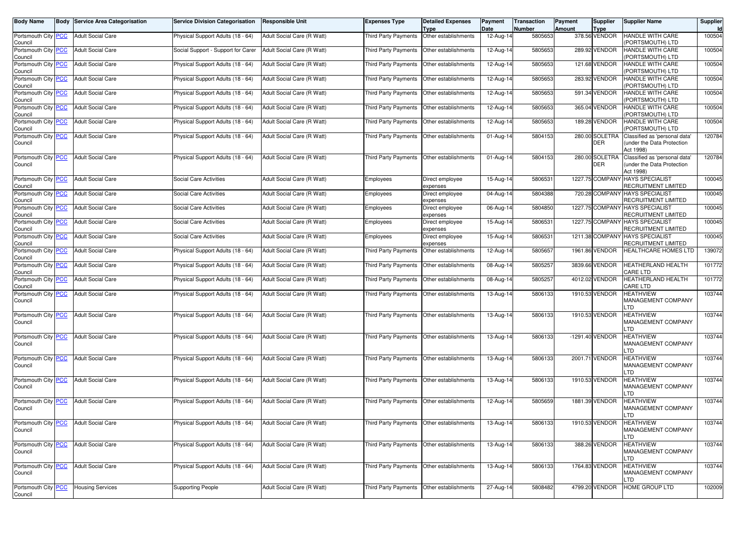| <b>Body Name</b>                      | <b>Body Service Area Categorisation</b> | <b>Service Division Categorisation</b> | <b>Responsible Unit</b>    | <b>Expenses Type</b>                        | <b>Detailed Expenses</b><br>Type | Payment<br>Date | <b>Transaction</b><br><b>Number</b> | Payment<br><b>Amount</b> | Supplier<br>Type             | <b>Supplier Name</b>                                                    | Supplier<br>Id |
|---------------------------------------|-----------------------------------------|----------------------------------------|----------------------------|---------------------------------------------|----------------------------------|-----------------|-------------------------------------|--------------------------|------------------------------|-------------------------------------------------------------------------|----------------|
| Portsmouth City PCC<br>Council        | <b>Adult Social Care</b>                | Physical Support Adults (18 - 64)      | Adult Social Care (R Watt) | <b>Third Party Payments</b>                 | Other establishments             | 12-Aug-14       | 5805653                             |                          | 378.56 VENDOR                | HANDLE WITH CARE<br>PORTSMOUTH) LTD                                     | 100504         |
| Portsmouth City PCC<br>Council        | <b>Adult Social Care</b>                | Social Support - Support for Carer     | Adult Social Care (R Watt) | Third Party Payments                        | Other establishments             | 12-Aug-14       | 5805653                             |                          | 289.92 VENDOR                | HANDLE WITH CARE<br>PORTSMOUTH) LTD                                     | 100504         |
| Portsmouth City PCC<br>Council        | <b>Adult Social Care</b>                | Physical Support Adults (18 - 64)      | Adult Social Care (R Watt) | Third Party Payments                        | Other establishments             | 12-Aug-14       | 5805653                             |                          | 121.68 VENDOR                | HANDLE WITH CARE<br>PORTSMOUTH) LTD                                     | 100504         |
| Portsmouth City PCC<br>Council        | <b>Adult Social Care</b>                | Physical Support Adults (18 - 64)      | Adult Social Care (R Watt) | Third Party Payments                        | Other establishments             | 12-Aug-14       | 5805653                             |                          | 283.92 VENDOR                | HANDLE WITH CARE<br>PORTSMOUTH) LTD                                     | 100504         |
| Portsmouth City PCC<br>Council        | <b>Adult Social Care</b>                | Physical Support Adults (18 - 64)      | Adult Social Care (R Watt) | Third Party Payments                        | Other establishments             | 12-Aug-14       | 5805653                             |                          | 591.34 VENDOR                | HANDLE WITH CARE<br>PORTSMOUTH) LTD                                     | 100504         |
| Portsmouth City PCC<br>Council        | <b>Adult Social Care</b>                | Physical Support Adults (18 - 64)      | Adult Social Care (R Watt) | Third Party Payments                        | Other establishments             | 12-Aug-14       | 5805653                             |                          | 365.04 VENDOR                | HANDLE WITH CARE<br>PORTSMOUTH) LTD                                     | 100504         |
| Portsmouth City PCC<br>Council        | <b>Adult Social Care</b>                | Physical Support Adults (18 - 64)      | Adult Social Care (R Watt) | Third Party Payments                        | Other establishments             | 12-Aug-14       | 5805653                             |                          | 189.28 VENDOR                | HANDLE WITH CARE<br>PORTSMOUTH) LTD                                     | 100504         |
| Portsmouth City PCC<br>Council        | <b>Adult Social Care</b>                | Physical Support Adults (18 - 64)      | Adult Social Care (R Watt) | Third Party Payments                        | Other establishments             | $01-Aug-14$     | 5804153                             |                          | 280.00 SOLETRA<br>DER        | Classified as 'personal data'<br>under the Data Protection<br>Act 1998) | 120784         |
| Portsmouth City PCC<br>Council        | <b>Adult Social Care</b>                | Physical Support Adults (18 - 64)      | Adult Social Care (R Watt) | Third Party Payments                        | Other establishments             | 01-Aug-14       | 5804153                             |                          | 280.00 SOLETRA<br><b>DER</b> | Classified as 'personal data'<br>under the Data Protection<br>Act 1998) | 120784         |
| Portsmouth City PCC<br>Council        | <b>Adult Social Care</b>                | <b>Social Care Activities</b>          | Adult Social Care (R Watt) | Employees                                   | Direct employee<br>expenses      | 15-Aug-14       | 5806531                             |                          | 1227.75 COMPANY              | <b>HAYS SPECIALIST</b><br>RECRUITMENT LIMITED                           | 100045         |
| Portsmouth City PCC<br>Council        | <b>Adult Social Care</b>                | <b>Social Care Activities</b>          | Adult Social Care (R Watt) | Employees                                   | Direct employee<br>expenses      | 04-Aug-14       | 5804388                             |                          | 720.28 COMPANY               | <b>HAYS SPECIALIST</b><br>RECRUITMENT LIMITED                           | 100045         |
| Portsmouth City PCC<br>Council        | <b>Adult Social Care</b>                | Social Care Activities                 | Adult Social Care (R Watt) | Employees                                   | Direct employee<br>expenses      | 06-Aug-14       | 5804850                             |                          | 1227.75 COMPANY              | <b>HAYS SPECIALIST</b><br>RECRUITMENT LIMITED                           | 100045         |
| Portsmouth City PCC<br>Council        | <b>Adult Social Care</b>                | Social Care Activities                 | Adult Social Care (R Watt) | Employees                                   | Direct employee<br>expenses      | 15-Aug-14       | 5806531                             |                          | 1227.75 COMPANY              | <b>HAYS SPECIALIST</b><br><b>RECRUITMENT LIMITED</b>                    | 100045         |
| Portsmouth City PCC<br>Council        | <b>Adult Social Care</b>                | Social Care Activities                 | Adult Social Care (R Watt) | Employees                                   | Direct employee<br>expenses      | 15-Aug-14       | 580653                              |                          | 1211.38 COMPANY              | <b>HAYS SPECIALIST</b><br>RECRUITMENT LIMITED                           | 100045         |
| Portsmouth City PCC<br>Council        | <b>Adult Social Care</b>                | Physical Support Adults (18 - 64)      | Adult Social Care (R Watt) | <b>Third Party Payments</b>                 | Other establishments             | 12-Aug-14       | 5805657                             |                          | 1961.86 VENDOR               | <b>HEALTHCARE HOMES LTD</b>                                             | 139072         |
| Portsmouth City PCC<br>Council        | <b>Adult Social Care</b>                | Physical Support Adults (18 - 64)      | Adult Social Care (R Watt) | Third Party Payments                        | Other establishments             | 08-Aug-14       | 5805257                             |                          | 3839.66 VENDOR               | <b>HEATHERLAND HEALTH</b><br>CARE LTD                                   | 101772         |
| Portsmouth City PCC<br>Council        | <b>Adult Social Care</b>                | Physical Support Adults (18 - 64)      | Adult Social Care (R Watt) | Third Party Payments                        | Other establishments             | 08-Aug-14       | 5805257                             |                          | 4012.02 VENDOR               | <b>HEATHERLAND HEALTH</b><br>CARE LTD                                   | 101772         |
| Portsmouth City PCC<br>Council        | <b>Adult Social Care</b>                | Physical Support Adults (18 - 64)      | Adult Social Care (R Watt) | Third Party Payments                        | Other establishments             | 13-Aug-14       | 5806133                             |                          | 1910.53 VENDOR               | HEATHVIEW<br>MANAGEMENT COMPANY<br>.TD                                  | 103744         |
| Portsmouth City PCC<br>Council        | <b>Adult Social Care</b>                | Physical Support Adults (18 - 64)      | Adult Social Care (R Watt) | Third Party Payments                        | Other establishments             | 13-Aug-14       | 5806133                             |                          | 1910.53 VENDOR               | <b>HEATHVIEW</b><br>MANAGEMENT COMPANY<br>.TD                           | 103744         |
| Portsmouth City PCC<br>Council        | <b>Adult Social Care</b>                | Physical Support Adults (18 - 64)      | Adult Social Care (R Watt) | Third Party Payments                        | Other establishments             | 13-Aug-14       | 5806133                             |                          | -1291.40 VENDOR              | HEATHVIEW<br>MANAGEMENT COMPANY<br>.TD                                  | 103744         |
| Portsmouth City PCC<br>Council        | <b>Adult Social Care</b>                | Physical Support Adults (18 - 64)      | Adult Social Care (R Watt) | Third Party Payments                        | Other establishments             | 13-Aug-14       | 5806133                             |                          | 2001.71 VENDOR               | <b>HEATHVIEW</b><br>MANAGEMENT COMPANY<br>.TD                           | 103744         |
| Portsmouth City PCC<br>Council        | <b>Adult Social Care</b>                | Physical Support Adults (18 - 64)      | Adult Social Care (R Watt) | Third Party Payments                        | Other establishments             | 13-Aug-14       | 5806133                             |                          | 1910.53 VENDOR               | HEATHVIEW<br><b>MANAGEMENT COMPANY</b><br>.TD                           | 103744         |
| Portsmouth City PCC<br>Council        | <b>Adult Social Care</b>                | Physical Support Adults (18 - 64)      | Adult Social Care (R Watt) | Third Party Payments                        | Other establishments             | 12-Aug-14       | 5805659                             |                          | 1881.39 VENDOR               | <b>HEATHVIEW</b><br>MANAGEMENT COMPANY<br>LTD.                          | 103744         |
| Portsmouth City <b>PCC</b><br>Council | Adult Social Care                       | Physical Support Adults (18 - 64)      | Adult Social Care (H Watt) | Third Party Payments   Other establishments |                                  | 13-Aug-14       | 5806133                             |                          | 1910.53 VENDOR               | <b>HEATHVIEW</b><br>MANAGEMENT COMPANY<br>_TD                           | 103/44         |
| Portsmouth City PCC<br>Council        | <b>Adult Social Care</b>                | Physical Support Adults (18 - 64)      | Adult Social Care (R Watt) | Third Party Payments Other establishments   |                                  | 13-Aug-14       | 5806133                             |                          | 388.26 VENDOR                | <b>HEATHVIEW</b><br><b>MANAGEMENT COMPANY</b><br>_TD                    | 103744         |
| Portsmouth City PCC<br>Council        | <b>Adult Social Care</b>                | Physical Support Adults (18 - 64)      | Adult Social Care (R Watt) | Third Party Payments                        | Other establishments             | 13-Aug-14       | 5806133                             |                          | 1764.83 VENDOR               | <b>HEATHVIEW</b><br>MANAGEMENT COMPANY<br>.TD                           | 103744         |
| Portsmouth City PCC<br>Council        | <b>Housing Services</b>                 | <b>Supporting People</b>               | Adult Social Care (R Watt) | Third Party Payments                        | Other establishments             | 27-Aug-14       | 5808482                             |                          | 4799.20 VENDOR               | HOME GROUP LTD                                                          | 102009         |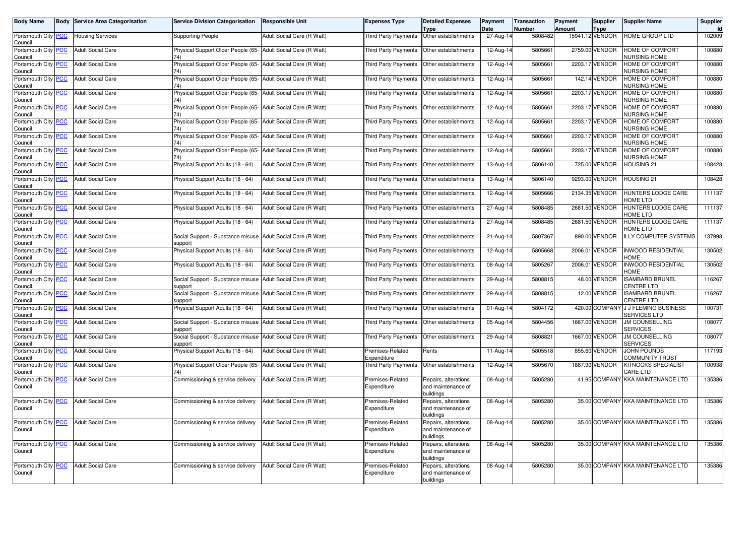| <b>Body Name</b>                      | <b>Body</b> | <b>Service Area Categorisation</b> | <b>Service Division Categorisation</b>                                  | <b>Responsible Unit</b>    | Expenses Type                   | <b>Detailed Expenses</b><br><b>Type</b>                 | Payment<br>Date | <b>Transaction</b><br><b>Number</b> | Payment<br><b>Amount</b> | <b>Supplier</b><br><b>Type</b> | <b>Supplier Name</b>                          | Supplier<br>Id |
|---------------------------------------|-------------|------------------------------------|-------------------------------------------------------------------------|----------------------------|---------------------------------|---------------------------------------------------------|-----------------|-------------------------------------|--------------------------|--------------------------------|-----------------------------------------------|----------------|
| Portsmouth City PCC<br>Council        |             | <b>Housing Services</b>            | <b>Supporting People</b>                                                | Adult Social Care (R Watt) | Third Party Payments            | Other establishments                                    | 27-Aug-14       | 5808482                             |                          | 15941.12 VENDOR                | HOME GROUP LTD                                | 102009         |
| Portsmouth City <b>PCC</b><br>Council |             | <b>Adult Social Care</b>           | Physical Support Older People (65-<br>74)                               | Adult Social Care (R Watt) | Third Party Payments            | Other establishments                                    | 12-Aug-14       | 5805661                             |                          | 2759.00 VENDOR                 | HOME OF COMFORT<br><b>JURSING HOME</b>        | 100880         |
| Portsmouth City PCC<br>Council        |             | <b>Adult Social Care</b>           | Physical Support Older People (65- Adult Social Care (R Watt)<br>74)    |                            | Third Party Payments            | Other establishments                                    | 12-Aug-14       | 580566                              |                          | 2203.17 VENDOR                 | HOME OF COMFORT<br><b>NURSING HOME</b>        | 100880         |
| Portsmouth City PCC<br>Council        |             | <b>Adult Social Care</b>           | Physical Support Older People (65- Adult Social Care (R Watt)           |                            | Third Party Payments            | Other establishments                                    | 12-Aug-14       | 580566                              |                          | 142.14 VENDOR                  | <b>HOME OF COMFORT</b><br><b>JURSING HOME</b> | 100880         |
| Portsmouth City <b>PCC</b><br>Council |             | <b>Adult Social Care</b>           | Physical Support Older People (65- Adult Social Care (R Watt)<br>74)    |                            | Third Party Payments            | Other establishments                                    | 12-Aug-14       | 5805661                             |                          | 2203.17 VENDOR                 | HOME OF COMFORT<br><b>NURSING HOME</b>        | 100880         |
| Portsmouth City PCC<br>Council        |             | <b>Adult Social Care</b>           | Physical Support Older People (65-<br>74                                | Adult Social Care (R Watt) | Third Party Payments            | Other establishments                                    | 12-Aug-14       | 580566                              |                          | 2203.17 VENDOR                 | HOME OF COMFORT<br><b>JURSING HOME</b>        | 100880         |
| Portsmouth City PCC<br>Council        |             | <b>Adult Social Care</b>           | Physical Support Older People (65- Adult Social Care (R Watt)           |                            | <b>Third Party Payments</b>     | Other establishments                                    | 12-Aug-14       | 580566                              |                          | 2203.17 VENDOR                 | HOME OF COMFORT<br><b>JURSING HOME</b>        | 100880         |
| Portsmouth City PCC<br>Council        |             | <b>Adult Social Care</b>           | Physical Support Older People (65- Adult Social Care (R Watt)<br>74     |                            | Third Party Payments            | Other establishments                                    | 12-Aug-14       | 5805661                             |                          | 2203.17 VENDOR                 | <b>HOME OF COMFORT</b><br><b>JURSING HOME</b> | 100880         |
| Portsmouth City PCC<br>Council        |             | <b>Adult Social Care</b>           | Physical Support Older People (65-                                      | Adult Social Care (R Watt) | Third Party Payments            | Other establishments                                    | 12-Aug-14       | 580566                              |                          | 2203.17 VENDOR                 | <b>HOME OF COMFORT</b><br><b>NURSING HOME</b> | 100880         |
| Portsmouth City <b>PCC</b><br>Council |             | <b>Adult Social Care</b>           | Physical Support Adults (18 - 64)                                       | Adult Social Care (R Watt) | Third Party Payments            | Other establishments                                    | 13-Aug-14       | 5806140                             |                          | 725.00 VENDOR                  | <b>HOUSING 21</b>                             | 108428         |
| Portsmouth City PCC<br>Council        |             | <b>Adult Social Care</b>           | Physical Support Adults (18 - 64)                                       | Adult Social Care (R Watt) | Third Party Payments            | Other establishments                                    | 13-Aug-14       | 5806140                             |                          | 9293.00 VENDOR                 | <b>HOUSING 21</b>                             | 108428         |
| Portsmouth City PCC<br>Council        |             | <b>Adult Social Care</b>           | Physical Support Adults (18 - 64)                                       | Adult Social Care (R Watt) | <b>Third Party Payments</b>     | Other establishments                                    | 12-Aug-14       | 5805666                             |                          | 2134.35 VENDOR                 | HUNTERS LODGE CARE<br><b>IOME LTD</b>         | 111137         |
| Portsmouth City PCC<br>Council        |             | <b>Adult Social Care</b>           | Physical Support Adults (18 - 64)                                       | Adult Social Care (R Watt) | Third Party Payments            | Other establishments                                    | 27-Aug-14       | 5808485                             |                          | 2681.50 VENDOR                 | HUNTERS LODGE CARE<br><b>IOME LTD</b>         | 111137         |
| Portsmouth City PCC<br>Council        |             | <b>Adult Social Care</b>           | Physical Support Adults (18 - 64)                                       | Adult Social Care (R Watt) | Third Party Payments            | Other establishments                                    | 27-Aug-14       | 5808485                             |                          | 2681.50 VENDOR                 | <b>HUNTERS LODGE CARE</b><br><b>IOME LTD</b>  | 111137         |
| Portsmouth City PCC<br>Council        |             | <b>Adult Social Care</b>           | Social Support - Substance misuse<br>support                            | Adult Social Care (R Watt) | Third Party Payments            | Other establishments                                    | 21-Aug-14       | 5807367                             |                          | 890.00 VENDOR                  | <b>ILLY COMPUTER SYSTEMS</b>                  | 137998         |
| Portsmouth City PCC<br>Council        |             | <b>Adult Social Care</b>           | Physical Support Adults (18 - 64)                                       | Adult Social Care (R Watt) | Third Party Payments            | Other establishments                                    | 12-Aug-14       | 5805668                             |                          | 2006.01 VENDOR                 | <b>INWOOD RESIDENTIAL</b><br><b>HOME</b>      | 130502         |
| Portsmouth City PCC<br>Council        |             | <b>Adult Social Care</b>           | Physical Support Adults (18 - 64)                                       | Adult Social Care (R Watt) | Third Party Payments            | Other establishments                                    | 08-Aug-14       | 5805267                             |                          | 2006.01 VENDOR                 | <b>INWOOD RESIDENTIAL</b><br><b>HOME</b>      | 130502         |
| Portsmouth City PCC<br>Council        |             | <b>Adult Social Care</b>           | Social Support - Substance misuse<br>support                            | Adult Social Care (R Watt) | Third Party Payments            | Other establishments                                    | 29-Aug-14       | 5808815                             |                          | 48.00 VENDOR                   | <b>ISAMBARD BRUNEL</b><br>CENTRE LTD          | 116267         |
| Portsmouth City PCC<br>Council        |             | <b>Adult Social Care</b>           | Social Support - Substance misuse<br>support                            | Adult Social Care (R Watt) | Third Party Payments            | Other establishments                                    | 29-Aug-14       | 580881                              |                          | 12.00 VENDOR                   | SAMBARD BRUNEL<br>CENTRE LTD                  | 116267         |
| Portsmouth City PCC<br>Council        |             | <b>Adult Social Care</b>           | Physical Support Adults (18 - 64)                                       | Adult Social Care (R Watt) | Third Party Payments            | Other establishments                                    | 01-Aug-14       | 5804172                             |                          | 420.00 COMPANY                 | J J FLEMING BUSINESS<br><b>SERVICES LTD</b>   | 100731         |
| Portsmouth City PCC<br>Council        |             | <b>Adult Social Care</b>           | Social Support - Substance misuse Adult Social Care (R Watt)<br>support |                            | Third Party Payments            | Other establishments                                    | 05-Aug-14       | 5804456                             |                          | 1667.00 VENDOR                 | <b>JM COUNSELLING</b><br><b>SERVICES</b>      | 108077         |
| Portsmouth City <b>PCC</b><br>Council |             | <b>Adult Social Care</b>           | Social Support - Substance misuse<br>support                            | Adult Social Care (R Watt) | Third Party Payments            | Other establishments                                    | $29$ -Aug-14    | 580882                              |                          | 1667.00 VENDOR                 | <b>JM COUNSELLING</b><br><b>SERVICES</b>      | 108077         |
| Portsmouth City PCC<br>Council        |             | <b>Adult Social Care</b>           | Physical Support Adults (18 - 64)                                       | Adult Social Care (R Watt) | Premises-Related<br>Expenditure | Rents                                                   | 11-Aug-14       | 5805518                             |                          | 855.60 VENDOR                  | JOHN POUNDS<br>COMMUNITY TRUST                | 117193         |
| Portsmouth City PCC<br>Council        |             | <b>Adult Social Care</b>           | Physical Support Older People (65-<br>74)                               | Adult Social Care (R Watt) | Third Party Payments            | Other establishments                                    | 12-Aug-14       | 5805670                             |                          | 1887.90 VENDOR                 | <b>KITNOCKS SPECIALIST</b><br>CARE LTD        | 100938         |
| Portsmouth City PCC<br>Council        |             | <b>Adult Social Care</b>           | Commissioning & service delivery                                        | Adult Social Care (R Watt) | Premises-Related<br>Expenditure | Repairs, alterations<br>and maintenance of              | 08-Aug-14       | 5805280                             |                          |                                | 41.95 COMPANY KKA MAINTENANCE LTD             | 135386         |
| Portsmouth City PCC                   |             | <b>Adult Social Care</b>           | Commissioning & service delivery                                        | Adult Social Care (R Watt) | Premises-Related                | buildings<br>Repairs, alterations                       | 08-Aug-14       | 5805280                             |                          |                                | 35.00 COMPANY KKA MAINTENANCE LTD             | 135386         |
| Council                               |             |                                    |                                                                         |                            | Expenditure                     | and maintenance of<br>buildings                         |                 |                                     |                          |                                |                                               |                |
| Portsmouth City PCC<br>Council        |             | <b>Adult Social Care</b>           | Commissioning & service delivery                                        | Adult Social Care (R Watt) | Premises-Related<br>Expenditure | Repairs, alterations<br>and maintenance of<br>buildings | 08-Aug-14       | 5805280                             |                          |                                | 35.00 COMPANY KKA MAINTENANCE LTD             | 135386         |
| Portsmouth City PCC<br>Council        |             | <b>Adult Social Care</b>           | Commissioning & service delivery                                        | Adult Social Care (R Watt) | Premises-Related<br>Expenditure | Repairs, alterations<br>and maintenance of<br>buildings | 08-Aug-14       | 5805280                             |                          |                                | 35.00 COMPANY KKA MAINTENANCE LTD             | 135386         |
| Portsmouth City PCC<br>Council        |             | <b>Adult Social Care</b>           | Commissioning & service delivery                                        | Adult Social Care (R Watt) | Premises-Related<br>Expenditure | Repairs, alterations<br>and maintenance of<br>buildings | 08-Aug-14       | 5805280                             |                          |                                | 35.00 COMPANY KKA MAINTENANCE LTD             | 135386         |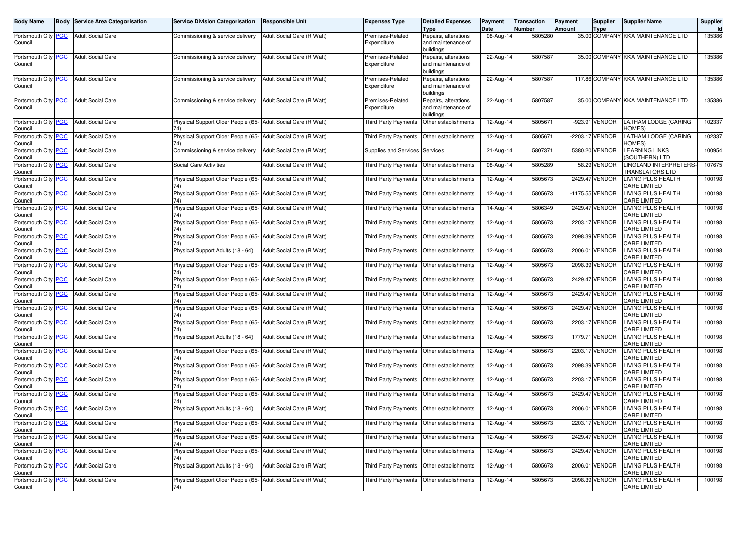| <b>Body Name</b>                      | <b>Body Service Area Categorisation</b> | <b>Service Division Categorisation</b>                                 | Responsible Unit           | <b>Expenses Type</b>                        | <b>Detailed Expenses</b>                   | Payment           | <b>Transaction</b>       | Payment       | Supplier        | <b>Supplier Name</b>                             | Supplier     |
|---------------------------------------|-----------------------------------------|------------------------------------------------------------------------|----------------------------|---------------------------------------------|--------------------------------------------|-------------------|--------------------------|---------------|-----------------|--------------------------------------------------|--------------|
| Portsmouth City <b>PCC</b>            | <b>Adult Social Care</b>                | Commissioning & service delivery                                       | Adult Social Care (R Watt) | Premises-Related                            | <b>Type</b><br>Repairs, alterations        | Date<br>08-Aug-14 | <b>Number</b><br>5805280 | <b>Amount</b> | <b>Type</b>     | 35.00 COMPANY KKA MAINTENANCE LTD                | Id<br>135386 |
| Council                               |                                         |                                                                        |                            | Expenditure                                 | and maintenance of                         |                   |                          |               |                 |                                                  |              |
|                                       |                                         |                                                                        |                            |                                             | buildings                                  |                   |                          |               |                 |                                                  |              |
| Portsmouth City PCC<br>Council        | <b>Adult Social Care</b>                | Commissioning & service delivery                                       | Adult Social Care (R Watt) | Premises-Related<br>Expenditure             | Repairs, alterations<br>and maintenance of | 22-Aug-14         | 5807587                  |               |                 | 35.00 COMPANY KKA MAINTENANCE LTD                | 135386       |
|                                       |                                         |                                                                        |                            |                                             | buildings                                  |                   |                          |               |                 |                                                  |              |
| Portsmouth City PCC<br>Council        | <b>Adult Social Care</b>                | Commissioning & service delivery                                       | Adult Social Care (R Watt) | Premises-Related<br>Expenditure             | Repairs, alterations<br>and maintenance of | 22-Aug-14         | 5807587                  |               |                 | 117.86 COMPANY KKA MAINTENANCE LTD               | 135386       |
|                                       |                                         |                                                                        |                            |                                             | buildings                                  |                   |                          |               |                 |                                                  |              |
| Portsmouth City <b>PCC</b><br>Council | <b>Adult Social Care</b>                | Commissioning & service delivery                                       | Adult Social Care (R Watt) | Premises-Related<br>Expenditure             | Repairs, alterations<br>and maintenance of | 22-Aug-14         | 5807587                  |               |                 | 35.00 COMPANY KKA MAINTENANCE LTD                | 135386       |
|                                       |                                         |                                                                        |                            |                                             | buildings                                  |                   |                          |               |                 |                                                  |              |
| Portsmouth City PCC<br>Council        | <b>Adult Social Care</b>                | Physical Support Older People (65- Adult Social Care (R Watt)<br>74)   |                            | <b>Third Party Payments</b>                 | Other establishments                       | 12-Aug-14         | 580567                   |               | -923.91 VENDOR  | LATHAM LODGE (CARING<br>HOMES)                   | 102337       |
| Portsmouth City PCC<br>Council        | <b>Adult Social Care</b>                | Physical Support Older People (65- Adult Social Care (R Watt)<br>74)   |                            | Third Party Payments                        | Other establishments                       | 12-Aug-14         | 5805671                  |               | -2203.17 VENDOR | ATHAM LODGE (CARING<br>HOMES)                    | 102337       |
| Portsmouth City PCC<br>Council        | <b>Adult Social Care</b>                | Commissioning & service delivery                                       | Adult Social Care (R Watt) | Supplies and Services Services              |                                            | 21-Aug-14         | 5807371                  |               | 5380.20 VENDOR  | <b>EARNING LINKS</b><br>SOUTHERN) LTD            | 100954       |
| Portsmouth City PCC<br>Council        | <b>Adult Social Care</b>                | Social Care Activities                                                 | Adult Social Care (R Watt) | <b>Third Party Payments</b>                 | Other establishments                       | 08-Aug-14         | 5805289                  |               | 58.29 VENDOR    | LINGLAND INTERPRETERS-<br><b>TRANSLATORS LTD</b> | 107675       |
| Portsmouth City PCC<br>Council        | <b>Adult Social Care</b>                | Physical Support Older People (65- Adult Social Care (R Watt)<br>74)   |                            | Third Party Payments                        | Other establishments                       | 12-Aug-14         | 5805673                  |               | 2429.47 VENDOR  | LIVING PLUS HEALTH<br>CARE LIMITED               | 100198       |
| Portsmouth City PCC<br>Council        | <b>Adult Social Care</b>                | Physical Support Older People (65- Adult Social Care (R Watt)          |                            | Third Party Payments                        | Other establishments                       | 12-Aug-14         | 5805673                  |               | -1175.55 VENDOR | LIVING PLUS HEALTH<br><b>CARE LIMITED</b>        | 100198       |
| Portsmouth City PCC<br>Council        | <b>Adult Social Care</b>                | Physical Support Older People (65- Adult Social Care (R Watt)<br>74)   |                            | Third Party Payments                        | Other establishments                       | 14-Aug-14         | 5806349                  |               | 2429.47 VENDOR  | LIVING PLUS HEALTH<br><b>CARE LIMITED</b>        | 100198       |
| Portsmouth City PCC<br>Council        | <b>Adult Social Care</b>                | Physical Support Older People (65- Adult Social Care (R Watt)<br>74)   |                            | Third Party Payments                        | Other establishments                       | 12-Aug-14         | 5805673                  |               | 2203.17 VENDOR  | LIVING PLUS HEALTH<br>CARE LIMITED               | 100198       |
| Portsmouth City PCC<br>Council        | <b>Adult Social Care</b>                | Physical Support Older People (65- Adult Social Care (R Watt)          |                            | Third Party Payments                        | Other establishments                       | 12-Aug-14         | 5805673                  |               | 2098.39 VENDOR  | LIVING PLUS HEALTH<br>CARE LIMITED               | 100198       |
| Portsmouth City PCC<br>Council        | <b>Adult Social Care</b>                | Physical Support Adults (18 - 64)                                      | Adult Social Care (R Watt) | Third Party Payments                        | Other establishments                       | 12-Aug-14         | 5805673                  |               | 2006.01 VENDOR  | <b>LIVING PLUS HEALTH</b><br><b>CARE LIMITED</b> | 100198       |
| Portsmouth City PCC<br>Council        | <b>Adult Social Care</b>                | Physical Support Older People (65- Adult Social Care (R Watt)<br>74)   |                            | Third Party Payments                        | Other establishments                       | 12-Aug-14         | 5805673                  |               | 2098.39 VENDOR  | LIVING PLUS HEALTH<br>CARE LIMITED               | 100198       |
| Portsmouth City PCC<br>Council        | <b>Adult Social Care</b>                | Physical Support Older People (65- Adult Social Care (R Watt)          |                            | Third Party Payments                        | Other establishments                       | 12-Aug-14         | 5805673                  |               | 2429.47 VENDOR  | LIVING PLUS HEALTH<br>CARE LIMITED               | 100198       |
| Portsmouth City PCC<br>Council        | <b>Adult Social Care</b>                | Physical Support Older People (65- Adult Social Care (R Watt)<br>74)   |                            | Third Party Payments                        | Other establishments                       | 12-Aug-14         | 5805673                  |               | 2429.47 VENDOR  | LIVING PLUS HEALTH<br>CARE LIMITED               | 100198       |
| Portsmouth City PCC<br>Council        | <b>Adult Social Care</b>                | Physical Support Older People (65- Adult Social Care (R Watt)          |                            | <b>Third Party Payments</b>                 | Other establishments                       | 12-Aug-14         | 5805673                  |               | 2429.47 VENDOR  | LIVING PLUS HEALTH<br>CARE LIMITED               | 100198       |
| Portsmouth City PCC<br>Council        | <b>Adult Social Care</b>                | Physical Support Older People (65- Adult Social Care (R Watt)          |                            | Third Party Payments                        | Other establishments                       | 12-Aug-14         | 5805673                  |               | 2203.17 VENDOR  | LIVING PLUS HEALTH<br>CARE LIMITED               | 100198       |
| Portsmouth City PCC<br>Council        | <b>Adult Social Care</b>                | Physical Support Adults (18 - 64)                                      | Adult Social Care (R Watt) | Third Party Payments                        | Other establishments                       | 12-Aug-14         | 5805673                  |               | 1779.71 VENDOR  | LIVING PLUS HEALTH<br><b>CARE LIMITED</b>        | 100198       |
| Portsmouth City PCC<br>Council        | <b>Adult Social Care</b>                | Physical Support Older People (65- Adult Social Care (R Watt)          |                            | Third Party Payments                        | Other establishments                       | 12-Aug-14         | 5805673                  |               | 2203.17 VENDOR  | LIVING PLUS HEALTH<br>CARE LIMITED               | 100198       |
| Portsmouth City PCC<br>Council        | <b>Adult Social Care</b>                | Physical Support Older People (65- Adult Social Care (R Watt)          |                            | Third Party Payments                        | Other establishments                       | 12-Aug-14         | 5805673                  |               | 2098.39 VENDOR  | <b>LIVING PLUS HEALTH</b><br><b>CARE LIMITED</b> | 100198       |
| Portsmouth City PCC<br>Council        | <b>Adult Social Care</b>                | Physical Support Older People (65- Adult Social Care (R Watt)<br>74)   |                            | Third Party Payments                        | Other establishments                       | 12-Aug-14         | 5805673                  |               | 2203.17 VENDOR  | LIVING PLUS HEALTH<br>CARE LIMITED               | 100198       |
| Portsmouth City PCC<br>Council        | <b>Adult Social Care</b>                | Physical Support Older People (65- Adult Social Care (R Watt)          |                            | Third Party Payments                        | Other establishments                       | 12-Aug-14         | 5805673                  |               | 2429.47 VENDOR  | LIVING PLUS HEALTH<br>CARE LIMITED               | 100198       |
| Portsmouth City PCC<br>Council        | <b>Adult Social Care</b>                | Physical Support Adults (18 - 64)                                      | Adult Social Care (R Watt) | Third Party Payments                        | Other establishments                       | 12-Aug-14         | 5805673                  |               | 2006.01 VENDOR  | LIVING PLUS HEALTH<br><b>CARE LIMITED</b>        | 100198       |
| Portsmouth City <b>PCC</b><br>Council | <b>Adult Social Care</b>                | Physical Support Older People (65-   Adult Social Care (H Watt)<br>74) |                            | Third Party Payments   Other establishments |                                            | 12-Aug-14         | 5805673                  |               | 2203.17 VENDOR  | <b>LIVING PLUS HEALTH</b><br><b>CARE LIMITED</b> | 100198       |
| Portsmouth City PCC<br>Council        | <b>Adult Social Care</b>                | Physical Support Older People (65- Adult Social Care (R Watt)          |                            | Third Party Payments   Other establishments |                                            | 12-Aug-14         | 5805673                  |               | 2429.47 VENDOR  | LIVING PLUS HEALTH<br>CARE LIMITED               | 100198       |
| Portsmouth City PCC<br>Council        | <b>Adult Social Care</b>                | Physical Support Older People (65- Adult Social Care (R Watt)<br>74)   |                            | Third Party Payments                        | Other establishments                       | 12-Aug-14         | 5805673                  |               | 2429.47 VENDOR  | LIVING PLUS HEALTH<br><b>CARE LIMITED</b>        | 100198       |
| Portsmouth City PCC<br>Council        | <b>Adult Social Care</b>                | Physical Support Adults (18 - 64)                                      | Adult Social Care (R Watt) | Third Party Payments                        | Other establishments                       | 12-Aug-14         | 5805673                  |               | 2006.01 VENDOR  | LIVING PLUS HEALTH<br>CARE LIMITED               | 100198       |
| Portsmouth City PCC<br>Council        | <b>Adult Social Care</b>                | Physical Support Older People (65- Adult Social Care (R Watt)<br>74)   |                            | Third Party Payments                        | Other establishments                       | 12-Aug-14         | 5805673                  |               | 2098.39 VENDOR  | LIVING PLUS HEALTH<br><b>CARE LIMITED</b>        | 100198       |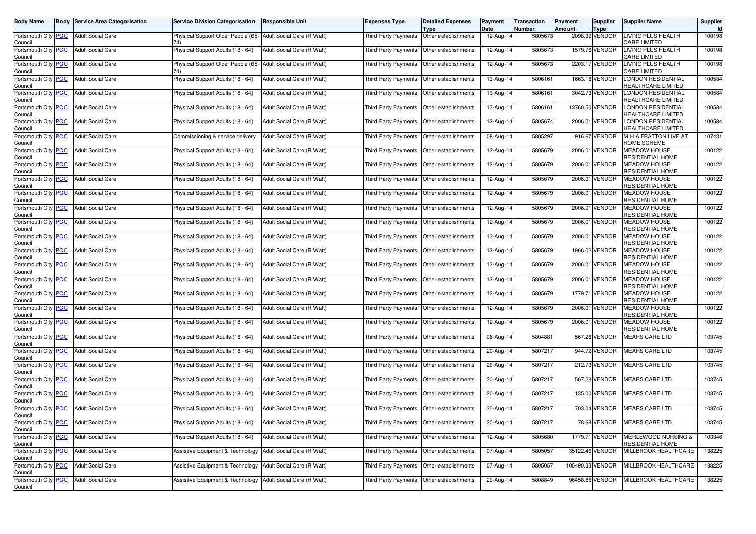| <b>Body Name</b>                              | <b>Body Service Area Categorisation</b> | <b>Service Division Categorisation</b>                        | <b>Responsible Unit</b>    | Expenses Type                               | <b>Detailed Expenses</b><br>Type | Payment<br>Date         | Transaction<br>Number | Payment<br><b>Amount</b> | <b>Supplier</b><br>Type | <b>Supplier Name</b>                               | Supplier<br><b>Id</b> |
|-----------------------------------------------|-----------------------------------------|---------------------------------------------------------------|----------------------------|---------------------------------------------|----------------------------------|-------------------------|-----------------------|--------------------------|-------------------------|----------------------------------------------------|-----------------------|
| Portsmouth City PCC<br>Council                | <b>Adult Social Care</b>                | Physical Support Older People (65-<br>741                     | Adult Social Care (R Watt) | <b>Third Party Payments</b>                 | Other establishments             | 12-Aug-14               | 5805673               |                          | 2098.39 VENDOR          | LIVING PLUS HEALTH<br><b>CARE LIMITED</b>          | 100198                |
| Portsmouth City PCC<br>Council                | <b>Adult Social Care</b>                | Physical Support Adults (18 - 64)                             | Adult Social Care (R Watt) | Third Party Payments                        | Other establishments             | 12-Aug-14               | 5805673               |                          | 1579.76 VENDOR          | LIVING PLUS HEALTH<br><b>CARE LIMITED</b>          | 100198                |
| Portsmouth City <b>PCC</b><br>Council         | <b>Adult Social Care</b>                | Physical Support Older People (65-                            | Adult Social Care (R Watt) | Third Party Payments                        | Other establishments             | 12-Aug-14               | 5805673               |                          | 2203.17 VENDOR          | LIVING PLUS HEALTH<br>CARE LIMITED                 | 100198                |
| Portsmouth City PCC<br>Council                | <b>Adult Social Care</b>                | Physical Support Adults (18 - 64)                             | Adult Social Care (R Watt) | Third Party Payments                        | Other establishments             | $\overline{13}$ -Aug-14 | 5806161               |                          | 1663.18 VENDOR          | LONDON RESIDENTIAL<br><b>HEALTHCARE LIMITED</b>    | 100584                |
| Portsmouth City PCC<br>Council                | <b>Adult Social Care</b>                | Physical Support Adults (18 - 64)                             | Adult Social Care (R Watt) | Third Party Payments                        | Other establishments             | 13-Aug-14               | 5806161               |                          | 3042.73 VENDOR          | ONDON RESIDENTIAL<br><b>HEALTHCARE LIMITED</b>     | 100584                |
| Portsmouth City PCC<br>Council                | <b>Adult Social Care</b>                | Physical Support Adults (18 - 64)                             | Adult Social Care (R Watt) | Third Party Payments                        | Other establishments             | 13-Aug-14               | 5806161               |                          | 13760.50 VENDOR         | ONDON RESIDENTIAL<br><b>IEALTHCARE LIMITED</b>     | 100584                |
| Portsmouth City PCC<br>Council                | <b>Adult Social Care</b>                | Physical Support Adults (18 - 64)                             | Adult Social Care (R Watt) | Third Party Payments                        | Other establishments             | 12-Aug-14               | 5805674               |                          | 2006.01 VENDOR          | LONDON RESIDENTIAL<br><b>HEALTHCARE LIMITED</b>    | 100584                |
| Portsmouth City PCC<br>Council                | <b>Adult Social Care</b>                | Commissioning & service delivery                              | Adult Social Care (R Watt) | Third Party Payments                        | Other establishments             | 08-Aug-14               | 5805297               |                          | 916.67 VENDOR           | M H A FRATTON LIVE AT<br><b>IOME SCHEME</b>        | 107431                |
| Portsmouth City PCC<br>Council                | <b>Adult Social Care</b>                | Physical Support Adults (18 - 64)                             | Adult Social Care (R Watt) | Third Party Payments                        | Other establishments             | 12-Aug-14               | 5805679               |                          | 2006.01 VENDOR          | <b>MEADOW HOUSE</b><br>RESIDENTIAL HOME            | 100122                |
| Portsmouth City PCC<br>Council                | <b>Adult Social Care</b>                | Physical Support Adults (18 - 64)                             | Adult Social Care (R Watt) | <b>Third Party Payments</b>                 | Other establishments             | 12-Aug-14               | 5805679               |                          | 2006.01 VENDOR          | <b>MEADOW HOUSE</b><br>RESIDENTIAL HOME            | 100122                |
| Portsmouth City PCC<br>Council                | <b>Adult Social Care</b>                | Physical Support Adults (18 - 64)                             | Adult Social Care (R Watt) | Third Party Payments                        | Other establishments             | 12-Aug-14               | 5805679               |                          | 2006.01 VENDOR          | <b>MEADOW HOUSE</b><br>RESIDENTIAL HOME            | 100122                |
| Portsmouth City PCC<br>Council                | <b>Adult Social Care</b>                | Physical Support Adults (18 - 64)                             | Adult Social Care (R Watt) | Third Party Payments                        | Other establishments             | 12-Aug-14               | 5805679               |                          | 2006.01 VENDOR          | <b>MEADOW HOUSE</b><br>RESIDENTIAL HOME            | 100122                |
| Portsmouth City PCC<br>Council                | <b>Adult Social Care</b>                | Physical Support Adults (18 - 64)                             | Adult Social Care (R Watt) | <b>Third Party Payments</b>                 | Other establishments             | 12-Aug-14               | 5805679               |                          | 2006.01 VENDOR          | <b>MEADOW HOUSE</b><br>RESIDENTIAL HOME            | 100122                |
| Portsmouth City PCC<br>Council                | <b>Adult Social Care</b>                | Physical Support Adults (18 - 64)                             | Adult Social Care (R Watt) | <b>Third Party Payments</b>                 | Other establishments             | 12-Aug-14               | 5805679               |                          | 2006.01 VENDOR          | <b>MEADOW HOUSE</b><br>RESIDENTIAL HOME            | 100122                |
| Portsmouth City PCC<br>Council                | <b>Adult Social Care</b>                | Physical Support Adults (18 - 64)                             | Adult Social Care (R Watt) | Third Party Payments                        | Other establishments             | 12-Aug-14               | 5805679               |                          | 2006.01 VENDOR          | MEADOW HOUSE<br>RESIDENTIAL HOME                   | 100122                |
| Portsmouth City PCC<br>Council                | <b>Adult Social Care</b>                | Physical Support Adults (18 - 64)                             | Adult Social Care (R Watt) | Third Party Payments                        | Other establishments             | 12-Aug-14               | 5805679               |                          | 1966.02 VENDOR          | <b>MEADOW HOUSE</b><br>RESIDENTIAL HOME            | 100122                |
| Portsmouth City PCC<br>Council                | <b>Adult Social Care</b>                | Physical Support Adults (18 - 64)                             | Adult Social Care (R Watt) | <b>Third Party Payments</b>                 | Other establishments             | 12-Aug-14               | 5805679               |                          | 2006.01 VENDOR          | <b>MEADOW HOUSE</b><br>RESIDENTIAL HOME            | 100122                |
| Portsmouth City PCC<br>Council                | <b>Adult Social Care</b>                | Physical Support Adults (18 - 64)                             | Adult Social Care (R Watt) | Third Party Payments                        | Other establishments             | 12-Aug-14               | 5805679               |                          | 2006.01 VENDOR          | <b>MEADOW HOUSE</b><br>RESIDENTIAL HOME            | 100122                |
| Portsmouth City PCC<br>Council                | <b>Adult Social Care</b>                | Physical Support Adults (18 - 64)                             | Adult Social Care (R Watt) | Third Party Payments                        | Other establishments             | 12-Aug-14               | 5805679               |                          | 1779.71 VENDOR          | <b>MEADOW HOUSE</b><br>RESIDENTIAL HOME            | 100122                |
| Portsmouth City PCC<br>Council                | <b>Adult Social Care</b>                | Physical Support Adults (18 - 64)                             | Adult Social Care (R Watt) | Third Party Payments                        | Other establishments             | 12-Aug-14               | 5805679               |                          | 2006.01 VENDOR          | <b>MEADOW HOUSE</b><br>RESIDENTIAL HOME            | 100122                |
| Portsmouth City PCC<br>Council                | <b>Adult Social Care</b>                | Physical Support Adults (18 - 64)                             | Adult Social Care (R Watt) | Third Party Payments                        | Other establishments             | 12-Aug-14               | 5805679               |                          | 2006.01 VENDOR          | MEADOW HOUSE<br>RESIDENTIAL HOME                   | 100122                |
| Portsmouth City PCC<br>Council                | <b>Adult Social Care</b>                | Physical Support Adults (18 - 64)                             | Adult Social Care (R Watt) | Third Party Payments                        | Other establishments             | 06-Aug-14               | 5804881               |                          | 567.28 VENDOR           | <b>MEARS CARE LTD</b>                              | 103745                |
| Portsmouth City PCC<br>Council                | <b>Adult Social Care</b>                | Physical Support Adults (18 - 64)                             | Adult Social Care (R Watt) | Third Party Payments                        | Other establishments             | 20-Aug-14               | 5807217               |                          | 944.72 VENDOR           | <b>MEARS CARE LTD</b>                              | 103745                |
| Portsmouth City PCC<br>Council                | <b>Adult Social Care</b>                | Physical Support Adults (18 - 64)                             | Adult Social Care (R Watt) | Third Party Payments                        | Other establishments             | 20-Aug-14               | 5807217               |                          | 212.73 VENDOR           | <b>MEARS CARE LTD</b>                              | 103745                |
| Portsmouth City PCC<br>Council                | <b>Adult Social Care</b>                | Physical Support Adults (18 - 64)                             | Adult Social Care (R Watt) | Third Party Payments                        | Other establishments             | 20-Aug-14               | 5807217               |                          | 567.28 VENDOR           | <b>MEARS CARE LTD</b>                              | 103745                |
| Portsmouth City PCC<br>Council                | <b>Adult Social Care</b>                | Physical Support Adults (18 - 64)                             | Adult Social Care (R Watt) | <b>Third Party Payments</b>                 | Other establishments             | 20-Aug-14               | 5807217               |                          | 135.00 VENDOR           | <b>MEARS CARE LTD</b>                              | 103745                |
| Portsmouth City PCC<br>Council                | <b>Adult Social Care</b>                | Physical Support Adults (18 - 64)                             | Adult Social Care (R Watt) | Third Party Payments                        | Other establishments             | 20-Aug-14               | 5807217               |                          | 703.04 VENDOR           | <b>MEARS CARE LTD</b>                              | 103745                |
| Portsmouth City <mark>  PCC</mark><br>Council | <b>Adult Social Care</b>                | Physical Support Adults (18 - 64)                             | Adult Social Care (R Watt) | Third Party Payments   Other establishments |                                  | 20-Aug-14               | 5807217               |                          | 78.68 VENDOR            | MEARS CARE LTD                                     | 103745                |
| Portsmouth City PCC<br>Council                | <b>Adult Social Care</b>                | Physical Support Adults (18 - 64)                             | Adult Social Care (R Watt) | Third Party Payments Other establishments   |                                  | 12-Aug-14               | 5805680               |                          | 1779.71 VENDOR          | <b>MERLEWOOD NURSING &amp;</b><br>RESIDENTIAL HOME | 103346                |
| Portsmouth City PCC<br>Council                | <b>Adult Social Care</b>                | Assistive Equipment & Technology                              | Adult Social Care (R Watt) | Third Party Payments                        | Other establishments             | 07-Aug-14               | 5805057               |                          | 35122.46 VENDOR         | MILLBROOK HEALTHCARE                               | 138225                |
| Portsmouth City PCC<br>Council                | <b>Adult Social Care</b>                | Assistive Equipment & Technology   Adult Social Care (R Watt) |                            | Third Party Payments Other establishments   |                                  | 07-Aug-14               | 5805057               |                          | 105490.33 VENDOR        | MILLBROOK HEALTHCARE                               | 138225                |
| Portsmouth City PCC<br>Council                | <b>Adult Social Care</b>                | Assistive Equipment & Technology                              | Adult Social Care (R Watt) | Third Party Payments Other establishments   |                                  | 29-Aug-14               | 5808849               |                          | 96458.86 VENDOR         | MILLBROOK HEALTHCARE                               | 138225                |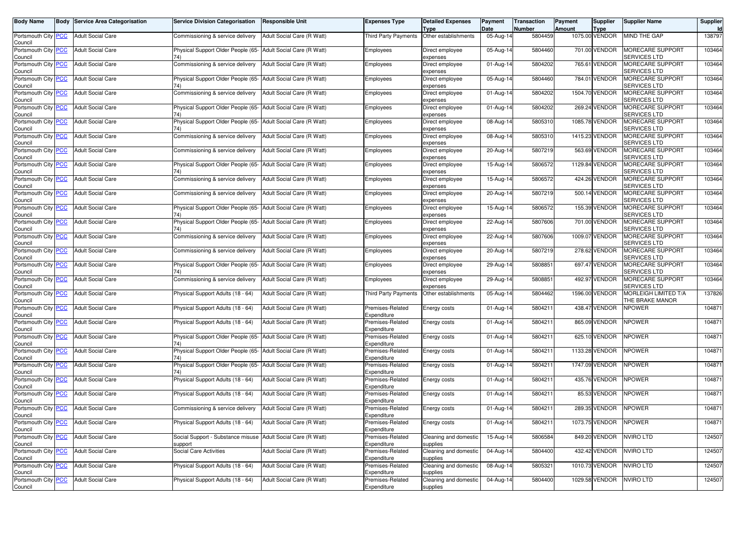| <b>Body Name</b>                      | <b>Body Service Area Categorisation</b> | <b>Service Division Categorisation</b>                                  | <b>Responsible Unit</b>    | Expenses Type                   | <b>Detailed Expenses</b><br>Type  | Payment<br>Date | <b>Transaction</b><br>Number | Payment<br><b>Amount</b> | <b>Supplier</b><br>Type | <b>Supplier Name</b>                           | Supplier<br><b>Id</b> |
|---------------------------------------|-----------------------------------------|-------------------------------------------------------------------------|----------------------------|---------------------------------|-----------------------------------|-----------------|------------------------------|--------------------------|-------------------------|------------------------------------------------|-----------------------|
| Portsmouth City PCC<br>Council        | <b>Adult Social Care</b>                | Commissioning & service delivery                                        | Adult Social Care (R Watt) | <b>Third Party Payments</b>     | Other establishments              | 05-Aug-14       | 5804459                      |                          | 1075.00 VENDOR          | MIND THE GAP                                   | 138797                |
| Portsmouth City PCC<br>Council        | <b>Adult Social Care</b>                | Physical Support Older People (65-<br>74)                               | Adult Social Care (R Watt) | Employees                       | Direct employee<br>expenses       | 05-Aug-14       | 5804460                      |                          | 701.00 VENDOR           | <b>MORECARE SUPPORT</b><br>SERVICES LTD        | 103464                |
| Portsmouth City <b>PCC</b><br>Council | <b>Adult Social Care</b>                | Commissioning & service delivery                                        | Adult Social Care (R Watt) | Employees                       | Direct employee<br>expenses       | 01-Aug-14       | 5804202                      |                          | 765.61 VENDOR           | <b>MORECARE SUPPORT</b><br><b>SERVICES LTD</b> | 103464                |
| Portsmouth City PCC<br>Council        | <b>Adult Social Care</b>                | Physical Support Older People (65-<br>74)                               | Adult Social Care (R Watt) | Employees                       | Direct employee<br>expenses       | 05-Aug-14       | 5804460                      |                          | 784.01 VENDOR           | <b>MORECARE SUPPORT</b><br>SERVICES LTD        | 103464                |
| Portsmouth City PCC<br>Council        | <b>Adult Social Care</b>                | Commissioning & service delivery                                        | Adult Social Care (R Watt) | Employees                       | Direct employee<br>expenses       | 01-Aug-14       | 5804202                      |                          | 1504.70 VENDOR          | <b>MORECARE SUPPORT</b><br>SERVICES LTD        | 103464                |
| Portsmouth City PCC<br>Council        | <b>Adult Social Care</b>                | Physical Support Older People (65-<br>74)                               | Adult Social Care (R Watt) | Employees                       | Direct employee<br>expenses       | 01-Aug-14       | 5804202                      |                          | 269.24 VENDOR           | <b>MORECARE SUPPORT</b><br><b>SERVICES LTD</b> | 103464                |
| Portsmouth City PCC<br>Council        | <b>Adult Social Care</b>                | Physical Support Older People (65-<br>741                               | Adult Social Care (R Watt) | Employees                       | Direct employee<br>expenses       | 08-Aug-14       | 580531                       |                          | 1085.78 VENDOR          | MORECARE SUPPORT<br><b>SERVICES LTD</b>        | 103464                |
| Portsmouth City PCC<br>Council        | <b>Adult Social Care</b>                | Commissioning & service delivery                                        | Adult Social Care (R Watt) | Employees                       | Direct employee<br>expenses       | 08-Aug-14       | 5805310                      |                          | 1415.23 VENDOR          | <b>MORECARE SUPPORT</b><br>SERVICES LTD        | 103464                |
| Portsmouth City PCC<br>Council        | <b>Adult Social Care</b>                | Commissioning & service delivery                                        | Adult Social Care (R Watt) | Employees                       | Direct employee<br>expenses       | 20-Aug-14       | 5807219                      |                          | 563.69 VENDOR           | MORECARE SUPPORT<br><b>SERVICES LTD</b>        | 103464                |
| Portsmouth City <b>PCC</b><br>Council | <b>Adult Social Care</b>                | Physical Support Older People (65-                                      | Adult Social Care (R Watt) | Employees                       | Direct employee<br>expenses       | 15-Aug-14       | 5806572                      |                          | 1129.84 VENDOR          | <b>MORECARE SUPPORT</b><br><b>SERVICES LTD</b> | 103464                |
| Portsmouth City PCC<br>Council        | <b>Adult Social Care</b>                | Commissioning & service delivery                                        | Adult Social Care (R Watt) | Employees                       | Direct employee<br>expenses       | 15-Aug-14       | 5806572                      |                          | 424.26 VENDOR           | <b>MORECARE SUPPORT</b><br>SERVICES LTD        | 103464                |
| Portsmouth City PCC<br>Council        | <b>Adult Social Care</b>                | Commissioning & service delivery                                        | Adult Social Care (R Watt) | Employees                       | Direct employee<br>expenses       | 20-Aug-14       | 5807219                      |                          | 500.14 VENDOR           | MORECARE SUPPORT<br><b>SERVICES LTD</b>        | 103464                |
| Portsmouth City PCC<br>Council        | <b>Adult Social Care</b>                | Physical Support Older People (65-<br>74)                               | Adult Social Care (R Watt) | Employees                       | Direct employee<br>expenses       | 15-Aug-14       | 5806572                      |                          | 155.39 VENDOR           | <b>MORECARE SUPPORT</b><br><b>SERVICES LTD</b> | 103464                |
| Portsmouth City PCC<br>Council        | <b>Adult Social Care</b>                | Physical Support Older People (65-<br>74)                               | Adult Social Care (R Watt) | Employees                       | Direct employee<br>expenses       | 22-Aug-14       | 5807606                      |                          | 701.00 VENDOR           | <b>MORECARE SUPPORT</b><br><b>SERVICES LTD</b> | 103464                |
| Portsmouth City PCC<br>Council        | <b>Adult Social Care</b>                | Commissioning & service delivery                                        | Adult Social Care (R Watt) | Employees                       | Direct employee<br>expenses       | 22-Aug-14       | 5807606                      |                          | 1009.07 VENDOR          | MORECARE SUPPORT<br><b>SERVICES LTD</b>        | 103464                |
| Portsmouth City PCC<br>Council        | <b>Adult Social Care</b>                | Commissioning & service delivery                                        | Adult Social Care (R Watt) | Employees                       | Direct employee<br>expenses       | 20-Aug-14       | 5807219                      |                          | 278.62 VENDOR           | MORECARE SUPPORT<br><b>SERVICES LTD</b>        | 103464                |
| Portsmouth City PCC<br>Council        | <b>Adult Social Care</b>                | Physical Support Older People (65-<br>74)                               | Adult Social Care (R Watt) | Employees                       | Direct employee<br>expenses       | 29-Aug-14       | 5808851                      |                          | 697.47 VENDOR           | <b>MORECARE SUPPORT</b><br><b>SERVICES LTD</b> | 103464                |
| Portsmouth City PCC<br>Council        | <b>Adult Social Care</b>                | Commissioning & service delivery                                        | Adult Social Care (R Watt) | Employees                       | Direct employee<br>expenses       | 29-Aug-14       | 580885                       |                          | 492.97 VENDOR           | MORECARE SUPPORT<br><b>SERVICES LTD</b>        | 103464                |
| Portsmouth City PCC<br>Council        | <b>Adult Social Care</b>                | Physical Support Adults (18 - 64)                                       | Adult Social Care (R Watt) | <b>Third Party Payments</b>     | Other establishments              | 05-Aug-14       | 5804462                      |                          | 1596.00 VENDOR          | MORLEIGH LIMITED T/A<br>THE BRAKE MANOR        | 137826                |
| Portsmouth City PCC<br>Council        | <b>Adult Social Care</b>                | Physical Support Adults (18 - 64)                                       | Adult Social Care (R Watt) | Premises-Related<br>Expenditure | Energy costs                      | 01-Aug-14       | 580421                       |                          | 438.47 VENDOR           | <b>NPOWER</b>                                  | 104871                |
| Portsmouth City PCC<br>Council        | <b>Adult Social Care</b>                | Physical Support Adults (18 - 64)                                       | Adult Social Care (R Watt) | Premises-Related<br>Expenditure | Energy costs                      | 01-Aug-14       | 580421                       |                          | 865.09 VENDOR           | <b>NPOWER</b>                                  | 104871                |
| Portsmouth City PCC<br>Council        | <b>Adult Social Care</b>                | Physical Support Older People (65-<br>74)                               | Adult Social Care (R Watt) | Premises-Related<br>Expenditure | Energy costs                      | 01-Aug-14       | 5804211                      |                          | 625.10 VENDOR           | <b>NPOWER</b>                                  | 104871                |
| Portsmouth City PCC<br>Council        | <b>Adult Social Care</b>                | Physical Support Older People (65-<br>74)                               | Adult Social Care (R Watt) | Premises-Related<br>Expenditure | Energy costs                      | 01-Aug-14       | 580421                       |                          | 1133.28 VENDOR          | <b>NPOWER</b>                                  | 104871                |
| Portsmouth City PCC<br>Council        | <b>Adult Social Care</b>                | Physical Support Older People (65-<br>74)                               | Adult Social Care (R Watt) | Premises-Related<br>Expenditure | Energy costs                      | 01-Aug-14       | 580421                       |                          | 1747.09 VENDOR          | VPOWER                                         | 104871                |
| Portsmouth City PCC<br>Council        | <b>Adult Social Care</b>                | Physical Support Adults (18 - 64)                                       | Adult Social Care (R Watt) | Premises-Related<br>Expenditure | Energy costs                      | 01-Aug-14       | 5804211                      |                          | 435.76 VENDOR           | <b>NPOWER</b>                                  | 104871                |
| Portsmouth City PCC<br>Council        | <b>Adult Social Care</b>                | Physical Support Adults (18 - 64)                                       | Adult Social Care (R Watt) | Premises-Related<br>Expenditure | Energy costs                      | 01-Aug-14       | 580421                       |                          | 85.53 VENDOR            | <b>NPOWER</b>                                  | 104871                |
| Portsmouth City PCC<br>Council        | <b>Adult Social Care</b>                | Commissioning & service delivery                                        | Adult Social Care (R Watt) | Premises-Related<br>Expenditure | Energy costs                      | 01-Aug-14       | 580421                       |                          | 289.35 VENDOR           | VPOWER                                         | 104871                |
| Portsmouth City <b>PCC</b><br>Council | <b>Adult Social Care</b>                | Physical Support Adults (18 - 64)                                       | Adult Social Care (R Watt) | Premises-Related<br>Expenditure | Energy costs                      | 01-Aug-14       | 5804211                      |                          | 1073.75 VENDOR          | <b>NPOWER</b>                                  | 104871                |
| Portsmouth City PCC<br>Council        | <b>Adult Social Care</b>                | Social Support - Substance misuse Adult Social Care (R Watt)<br>support |                            | Premises-Related<br>Expenditure | Cleaning and domestic<br>supplies | 15-Aug-14       | 5806584                      |                          | 849.20 VENDOR           | <b>NVIRO LTD</b>                               | 124507                |
| Portsmouth City PCC<br>Council        | <b>Adult Social Care</b>                | Social Care Activities                                                  | Adult Social Care (R Watt) | Premises-Related<br>Expenditure | Cleaning and domestic<br>supplies | 04-Aug-14       | 5804400                      |                          | 432.42 VENDOR           | NVIRO LTD                                      | 124507                |
| Portsmouth City PCC<br>Council        | <b>Adult Social Care</b>                | Physical Support Adults (18 - 64)                                       | Adult Social Care (R Watt) | Premises-Related<br>Expenditure | Cleaning and domestic<br>supplies | 08-Aug-14       | 5805321                      |                          | 1010.73 VENDOR          | <b>NVIRO LTD</b>                               | 124507                |
| Portsmouth City PCC<br>Council        | <b>Adult Social Care</b>                | Physical Support Adults (18 - 64)                                       | Adult Social Care (R Watt) | Premises-Related<br>Expenditure | Cleaning and domestic<br>supplies | 04-Aug-14       | 5804400                      |                          | 1029.58 VENDOR          | NVIRO LTD                                      | 124507                |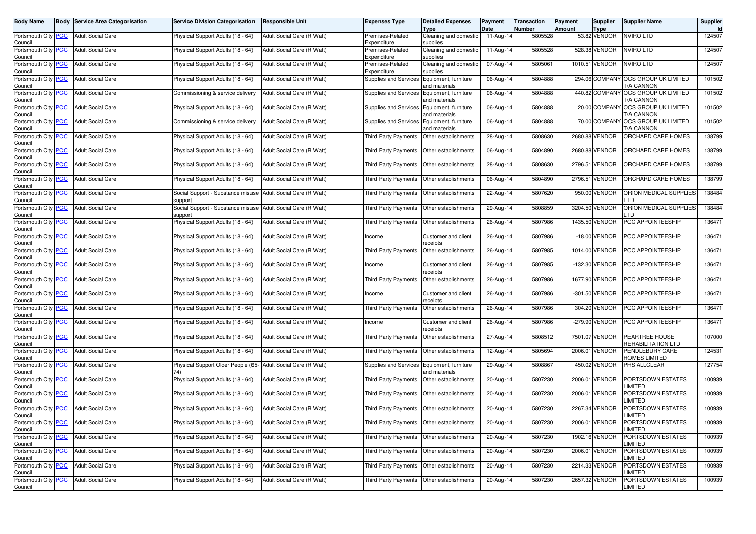| <b>Body Name</b>                      | <b>Body</b> | <b>Service Area Categorisation</b> | <b>Service Division Categorisation</b>       | <b>Responsible Unit</b>    | Expenses Type                               | <b>Detailed Expenses</b><br>Type      | Payment<br>Date | Transaction<br>Number | Payment<br><b>Amount</b> | <b>Supplier</b><br><b>Type</b> | <b>Supplier Name</b>                              | Supplier<br><b>Id</b> |
|---------------------------------------|-------------|------------------------------------|----------------------------------------------|----------------------------|---------------------------------------------|---------------------------------------|-----------------|-----------------------|--------------------------|--------------------------------|---------------------------------------------------|-----------------------|
| Portsmouth City PCC<br>Council        |             | <b>Adult Social Care</b>           | Physical Support Adults (18 - 64)            | Adult Social Care (R Watt) | Premises-Related<br>Expenditure             | Cleaning and domestic<br>supplies     | 11-Aug-14       | 5805528               |                          | 53.82 VENDOR                   | <b>NVIRO LTD</b>                                  | 124507                |
| Portsmouth City PCC<br>Council        |             | <b>Adult Social Care</b>           | Physical Support Adults (18 - 64)            | Adult Social Care (R Watt) | Premises-Related<br>Expenditure             | Cleaning and domestic<br>supplies     | 11-Aug-14       | 5805528               |                          | 528.38 VENDOR                  | NVIRO LTD                                         | 124507                |
| Portsmouth City PCC<br>Council        |             | <b>Adult Social Care</b>           | Physical Support Adults (18 - 64)            | Adult Social Care (R Watt) | Premises-Related<br>Expenditure             | Cleaning and domestic<br>supplies     | 07-Aug-14       | 5805061               |                          | 1010.51 VENDOR                 | <b>VVIRO LTD</b>                                  | 124507                |
| Portsmouth City PCC<br>Council        |             | <b>Adult Social Care</b>           | Physical Support Adults (18 - 64)            | Adult Social Care (R Watt) | Supplies and Services Equipment, furniture  | and materials                         | 06-Aug-14       | 5804888               |                          |                                | 294.06 COMPANY OCS GROUP UK LIMITED<br>T/A CANNON | 101502                |
| Portsmouth City PCC<br>Council        |             | <b>Adult Social Care</b>           | Commissioning & service delivery             | Adult Social Care (R Watt) | Supplies and Services                       | Equipment, furniture<br>and materials | 06-Aug-14       | 5804888               |                          | 440.82 COMPANY                 | OCS GROUP UK LIMITED<br>T/A CANNON                | 101502                |
| Portsmouth City PCC<br>Council        |             | <b>Adult Social Care</b>           | Physical Support Adults (18 - 64)            | Adult Social Care (R Watt) | Supplies and Services                       | Equipment, furniture<br>and materials | 06-Aug-14       | 5804888               |                          |                                | 20.00 COMPANY OCS GROUP UK LIMITED<br>T/A CANNON  | 101502                |
| Portsmouth City PCC<br>Council        |             | <b>Adult Social Care</b>           | Commissioning & service delivery             | Adult Social Care (R Watt) | Supplies and Services                       | Equipment, furniture<br>and materials | 06-Aug-14       | 5804888               |                          | 70.00 COMPANY                  | <b>OCS GROUP UK LIMITED</b><br>T/A CANNON         | 101502                |
| Portsmouth City PCC<br>Council        |             | <b>Adult Social Care</b>           | Physical Support Adults (18 - 64)            | Adult Social Care (R Watt) | <b>Third Party Payments</b>                 | Other establishments                  | 28-Aug-14       | 5808630               |                          | 2680.88 VENDOR                 | ORCHARD CARE HOMES                                | 138799                |
| Portsmouth City PCC<br>Council        |             | <b>Adult Social Care</b>           | Physical Support Adults (18 - 64)            | Adult Social Care (R Watt) | Third Party Payments                        | Other establishments                  | 06-Aug-14       | 5804890               |                          | 2680.88 VENDOR                 | ORCHARD CARE HOMES                                | 138799                |
| Portsmouth City <b>PCC</b><br>Council |             | <b>Adult Social Care</b>           | Physical Support Adults (18 - 64)            | Adult Social Care (R Watt) | <b>Third Party Payments</b>                 | Other establishments                  | 28-Aug-14       | 5808630               |                          | 2796.51 VENDOR                 | ORCHARD CARE HOMES                                | 138799                |
| Portsmouth City PCC<br>Council        |             | <b>Adult Social Care</b>           | Physical Support Adults (18 - 64)            | Adult Social Care (R Watt) | Third Party Payments                        | Other establishments                  | 06-Aug-14       | 5804890               |                          | 2796.51 VENDOR                 | ORCHARD CARE HOMES                                | 138799                |
| Portsmouth City PCC<br>Council        |             | <b>Adult Social Care</b>           | Social Support - Substance misuse<br>upport  | Adult Social Care (R Watt) | Third Party Payments                        | Other establishments                  | 22-Aug-14       | 5807620               |                          | 950.00 VENDOR                  | ORION MEDICAL SUPPLIES<br>.TD                     | 138484                |
| Portsmouth City PCC<br>Council        |             | <b>Adult Social Care</b>           | Social Support - Substance misuse<br>support | Adult Social Care (R Watt) | <b>Third Party Payments</b>                 | Other establishments                  | 29-Aug-14       | 5808859               |                          | 3204.50 VENDOR                 | ORION MEDICAL SUPPLIES<br>TD                      | 138484                |
| Portsmouth City PCC<br>Council        |             | <b>Adult Social Care</b>           | Physical Support Adults (18 - 64)            | Adult Social Care (R Watt) | Third Party Payments                        | Other establishments                  | 26-Aug-14       | 5807986               |                          | 1435.50 VENDOR                 | PCC APPOINTEESHIP                                 | 136471                |
| Portsmouth City PCC<br>Council        |             | <b>Adult Social Care</b>           | Physical Support Adults (18 - 64)            | Adult Social Care (R Watt) | Income                                      | Customer and client<br>eceipts        | 26-Aug-14       | 5807986               |                          | -18.00 VENDOR                  | <b>PCC APPOINTEESHIP</b>                          | 136471                |
| Portsmouth City PCC<br>Council        |             | <b>Adult Social Care</b>           | Physical Support Adults (18 - 64)            | Adult Social Care (R Watt) | <b>Third Party Payments</b>                 | Other establishments                  | 26-Aug-14       | 5807985               |                          | 1014.00 VENDOR                 | PCC APPOINTEESHIP                                 | 136471                |
| Portsmouth City PCC<br>Council        |             | <b>Adult Social Care</b>           | Physical Support Adults (18 - 64)            | Adult Social Care (R Watt) | Income                                      | Customer and client<br>receipts       | 26-Aug-14       | 5807985               |                          | -132.30 VENDOR                 | PCC APPOINTEESHIP                                 | 136471                |
| Portsmouth City PCC<br>Council        |             | <b>Adult Social Care</b>           | Physical Support Adults (18 - 64)            | Adult Social Care (R Watt) | Third Party Payments                        | Other establishments                  | 26-Aug-14       | 5807986               |                          | 1677.90 VENDOR                 | <b>PCC APPOINTEESHIP</b>                          | 136471                |
| Portsmouth City PCC<br>Council        |             | <b>Adult Social Care</b>           | Physical Support Adults (18 - 64)            | Adult Social Care (R Watt) | Income                                      | Customer and client<br>receipts       | 26-Aug-14       | 5807986               |                          | -301.50 VENDOR                 | PCC APPOINTEESHIP                                 | 136471                |
| Portsmouth City PCC<br>Council        |             | <b>Adult Social Care</b>           | Physical Support Adults (18 - 64)            | Adult Social Care (R Watt) | <b>Third Party Payments</b>                 | Other establishments                  | 26-Aug-14       | 5807986               |                          | 304.20 VENDOR                  | PCC APPOINTEESHIP                                 | 136471                |
| Portsmouth City PCC<br>Council        |             | <b>Adult Social Care</b>           | Physical Support Adults (18 - 64)            | Adult Social Care (R Watt) | Income                                      | Customer and client<br>eceipts        | 26-Aug-14       | 5807986               |                          | -279.90 VENDOR                 | PCC APPOINTEESHIP                                 | 136471                |
| Portsmouth City PCC<br>Council        |             | <b>Adult Social Care</b>           | Physical Support Adults (18 - 64)            | Adult Social Care (R Watt) | <b>Third Party Payments</b>                 | Other establishments                  | 27-Aug-14       | 5808512               |                          | 7501.07 VENDOR                 | PEARTREE HOUSE<br>REHABILITATION LTD              | 107000                |
| Portsmouth City PCC<br>Council        |             | <b>Adult Social Care</b>           | Physical Support Adults (18 - 64)            | Adult Social Care (R Watt) | <b>Third Party Payments</b>                 | Other establishments                  | 12-Aug-14       | 5805694               |                          | 2006.01 VENDOR                 | PENDLEBURY CARE<br><b>IOMES LIMITED</b>           | 124531                |
| Portsmouth City PCC<br>Council        |             | <b>Adult Social Care</b>           | Physical Support Older People (65-           | Adult Social Care (R Watt) | Supplies and Services Equipment, furniture  | and materials                         | 29-Aug-14       | 5808867               |                          | 450.02 VENDOR                  | PHS ALLCLEAR                                      | 127754                |
| Portsmouth City PCC<br>Council        |             | <b>Adult Social Care</b>           | Physical Support Adults (18 - 64)            | Adult Social Care (R Watt) | <b>Third Party Payments</b>                 | Other establishments                  | 20-Aug-14       | 5807230               |                          | 2006.01 VENDOR                 | PORTSDOWN ESTATES<br><b>LIMITED</b>               | 100939                |
| Portsmouth City PCC<br>Council        |             | <b>Adult Social Care</b>           | Physical Support Adults (18 - 64)            | Adult Social Care (R Watt) | <b>Third Party Payments</b>                 | Other establishments                  | 20-Aug-14       | 5807230               |                          | 2006.01 VENDOR                 | PORTSDOWN ESTATES<br><b>IMITED</b>                | 100939                |
| Portsmouth City PCC<br>Council        |             | <b>Adult Social Care</b>           | Physical Support Adults (18 - 64)            | Adult Social Care (R Watt) | Third Party Payments                        | Other establishments                  | 20-Aug-14       | 5807230               |                          | 2267.34 VENDOR                 | PORTSDOWN ESTATES<br>LIMITED                      | 100939                |
| Portsmouth City <b>PCC</b><br>Council |             | <b>Adult Social Care</b>           | Physical Support Adults (18 - 64)            | Adult Social Care (R Watt) | Third Party Payments   Other establishments |                                       | 20-Aug-14       | 5807230               |                          | 2006.01 VENDOR                 | <b>PORTSDOWN ESTATES</b><br>LIMITED               | 100939                |
| Portsmouth City PCC<br>Council        |             | <b>Adult Social Care</b>           | Physical Support Adults (18 - 64)            | Adult Social Care (R Watt) | Third Party Payments Other establishments   |                                       | 20-Aug-14       | 5807230               |                          | 1902.16 VENDOR                 | PORTSDOWN ESTATES<br>_IMITED                      | 100939                |
| Portsmouth City PCC<br>Council        |             | <b>Adult Social Care</b>           | Physical Support Adults (18 - 64)            | Adult Social Care (R Watt) | Third Party Payments                        | Other establishments                  | 20-Aug-14       | 5807230               |                          | 2006.01 VENDOR                 | PORTSDOWN ESTATES<br><b>LIMITED</b>               | 100939                |
| Portsmouth City PCC<br>Council        |             | <b>Adult Social Care</b>           | Physical Support Adults (18 - 64)            | Adult Social Care (R Watt) | Third Party Payments                        | Other establishments                  | 20-Aug-14       | 5807230               |                          | 2214.33 VENDOR                 | PORTSDOWN ESTATES<br><b>IMITED</b>                | 100939                |
| Portsmouth City PCC<br>Council        |             | <b>Adult Social Care</b>           | Physical Support Adults (18 - 64)            | Adult Social Care (R Watt) | Third Party Payments                        | Other establishments                  | 20-Aug-14       | 5807230               |                          | 2657.32 VENDOR                 | PORTSDOWN ESTATES<br>LIMITED                      | 100939                |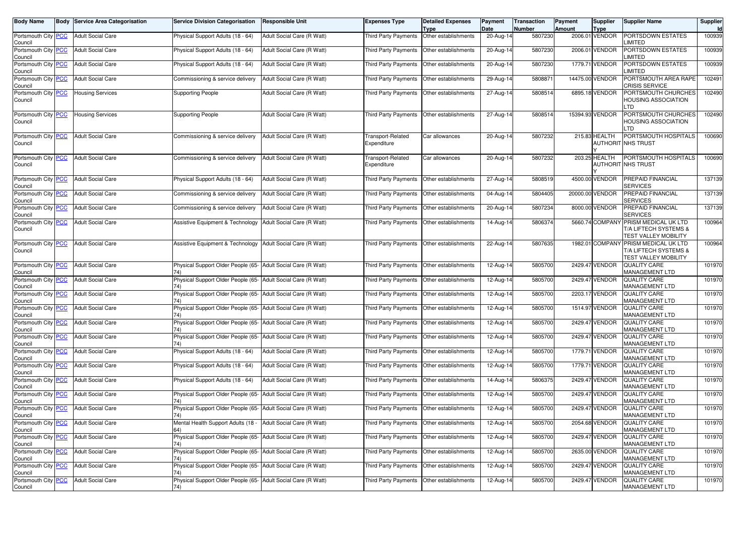| <b>Body Name</b>                                |            | <b>Body Service Area Categorisation</b> | <b>Service Division Categorisation</b>                               | <b>Responsible Unit</b>    | <b>Expenses Type</b>                        | <b>Detailed Expenses</b>            | Payment<br>Date | Transaction<br>Number | Payment<br><b>Amount</b> | Supplier                      | <b>Supplier Name</b>                                                                         | Supplier<br>Id |
|-------------------------------------------------|------------|-----------------------------------------|----------------------------------------------------------------------|----------------------------|---------------------------------------------|-------------------------------------|-----------------|-----------------------|--------------------------|-------------------------------|----------------------------------------------------------------------------------------------|----------------|
| Portsmouth City <b>PCC</b><br>Council           |            | <b>Adult Social Care</b>                | Physical Support Adults (18 - 64)                                    | Adult Social Care (R Watt) | <b>Third Party Payments</b>                 | <b>Type</b><br>Other establishments | 20-Aug-14       | 5807230               |                          | <b>Type</b><br>2006.01 VENDOR | PORTSDOWN ESTATES<br>LIMITED                                                                 | 100939         |
| Portsmouth City PCC<br>Council                  |            | <b>Adult Social Care</b>                | Physical Support Adults (18 - 64)                                    | Adult Social Care (R Watt) | Third Party Payments                        | Other establishments                | 20-Aug-14       | 5807230               |                          | 2006.01 VENDOR                | PORTSDOWN ESTATES<br>_IMITED                                                                 | 100939         |
| Portsmouth City<br>Council                      | <b>PCC</b> | <b>Adult Social Care</b>                | Physical Support Adults (18 - 64)                                    | Adult Social Care (R Watt) | Third Party Payments                        | Other establishments                | $20-Aug-14$     | 5807230               |                          | 1779.71 VENDOR                | PORTSDOWN ESTATES<br>LIMITED                                                                 | 100939         |
| Portsmouth City PCC<br>Council                  |            | <b>Adult Social Care</b>                | Commissioning & service delivery                                     | Adult Social Care (R Watt) | Third Party Payments                        | Other establishments                | 29-Aug-14       | 5808871               |                          | 14475.00 VENDOR               | PORTSMOUTH AREA RAPE<br>CRISIS SERVICE                                                       | 102491         |
| Portsmouth City PCC<br>Council                  |            | <b>Housing Services</b>                 | <b>Supporting People</b>                                             | Adult Social Care (R Watt) | Third Party Payments   Other establishments |                                     | 27-Aug-14       | 5808514               |                          | 6895.18 VENDOR                | PORTSMOUTH CHURCHES<br>HOUSING ASSOCIATION<br>TD.                                            | 102490         |
| Portsmouth City PCC<br>Council                  |            | <b>Housing Services</b>                 | <b>Supporting People</b>                                             | Adult Social Care (R Watt) | Third Party Payments   Other establishments |                                     | 27-Aug-14       | 5808514               |                          | 15394.93 VENDOR               | PORTSMOUTH CHURCHES<br>HOUSING ASSOCIATION<br>TD.                                            | 102490         |
| Portsmouth City PCC<br>Council                  |            | <b>Adult Social Care</b>                | Commissioning & service delivery                                     | Adult Social Care (R Watt) | <b>Transport-Related</b><br>Expenditure     | Car allowances                      | 20-Aug-14       | 5807232               |                          | 215.83 HEALTH                 | PORTSMOUTH HOSPITALS<br>AUTHORIT NHS TRUST                                                   | 100690         |
| Portsmouth City PCC<br>Council                  |            | <b>Adult Social Care</b>                | Commissioning & service delivery                                     | Adult Social Care (R Watt) | <b>Transport-Related</b><br>Expenditure     | Car allowances                      | 20-Aug-14       | 5807232               |                          | 203.25 HEALTH                 | PORTSMOUTH HOSPITALS<br>AUTHORIT NHS TRUST                                                   | 100690         |
| Portsmouth City PCC<br>Council                  |            | <b>Adult Social Care</b>                | Physical Support Adults (18 - 64)                                    | Adult Social Care (R Watt) | Third Party Payments   Other establishments |                                     | 27-Aug-14       | 5808519               |                          | 4500.00 VENDOR                | PREPAID FINANCIAL<br>SERVICES                                                                | 137139         |
| Portsmouth City PCC<br>Council                  |            | <b>Adult Social Care</b>                | Commissioning & service delivery                                     | Adult Social Care (R Watt) | Third Party Payments                        | Other establishments                | 04-Aug-14       | 5804405               |                          | 20000.00 VENDOR               | PREPAID FINANCIAL<br>SERVICES                                                                | 137139         |
| Portsmouth City PCC<br>Council                  |            | <b>Adult Social Care</b>                | Commissioning & service delivery                                     | Adult Social Care (R Watt) | Third Party Payments                        | Other establishments                | 20-Aug-14       | 5807234               |                          | 8000.00 VENDOR                | PREPAID FINANCIAL<br><b>SERVICES</b>                                                         | 137139         |
| Portsmouth City PCC<br>Council                  |            | <b>Adult Social Care</b>                | Assistive Equipment & Technology   Adult Social Care (R Watt)        |                            | Third Party Payments   Other establishments |                                     | 14-Aug-14       | 5806374               |                          | 5660.74 COMPANY               | PRISM MEDICAL UK LTD<br>T/A LIFTECH SYSTEMS &<br><b>TEST VALLEY MOBILITY</b>                 | 100964         |
| Portsmouth City <b>PCC</b><br>Council           |            | <b>Adult Social Care</b>                | Assistive Equipment & Technology   Adult Social Care (R Watt)        |                            | Third Party Payments   Other establishments |                                     | 22-Aug-14       | 5807635               |                          |                               | 1982.01 COMPANY PRISM MEDICAL UK LTD<br>T/A LIFTECH SYSTEMS &<br><b>TEST VALLEY MOBILITY</b> | 100964         |
| Portsmouth City PCC<br>Council                  |            | <b>Adult Social Care</b>                | Physical Support Older People (65- Adult Social Care (R Watt)        |                            | Third Party Payments   Other establishments |                                     | 12-Aug-14       | 5805700               |                          | 2429.47 VENDOR                | QUALITY CARE<br>MANAGEMENT LTD                                                               | 101970         |
| Portsmouth City PCC<br>Council                  |            | <b>Adult Social Care</b>                | Physical Support Older People (65- Adult Social Care (R Watt)        |                            | Third Party Payments                        | Other establishments                | 12-Aug-14       | 5805700               |                          | 2429.47 VENDOR                | <b>QUALITY CARE</b><br>MANAGEMENT LTD                                                        | 101970         |
| Portsmouth City PCC<br>Council                  |            | <b>Adult Social Care</b>                | Physical Support Older People (65- Adult Social Care (R Watt)        |                            | Third Party Payments                        | Other establishments                | 12-Aug-14       | 5805700               |                          | 2203.17 VENDOR                | <b>QUALITY CARE</b><br>MANAGEMENT LTD                                                        | 101970         |
| Portsmouth City PCC<br>Council                  |            | <b>Adult Social Care</b>                | Physical Support Older People (65- Adult Social Care (R Watt)        |                            | Third Party Payments                        | Other establishments                | 12-Aug-14       | 5805700               |                          | 1514.97 VENDOR                | <b>QUALITY CARE</b><br>MANAGEMENT LTD                                                        | 101970         |
| Portsmouth City PCC<br>Council                  |            | <b>Adult Social Care</b>                | Physical Support Older People (65- Adult Social Care (R Watt)        |                            | Third Party Payments                        | Other establishments                | 12-Aug-14       | 5805700               |                          | 2429.47 VENDOR                | <b>QUALITY CARE</b><br>MANAGEMENT LTD                                                        | 101970         |
| Portsmouth City PCC<br>Council                  |            | <b>Adult Social Care</b>                | Physical Support Older People (65- Adult Social Care (R Watt)<br>74) |                            | Third Party Payments                        | Other establishments                | 12-Aug-14       | 5805700               |                          | 2429.47 VENDOR                | <b>QUALITY CARE</b><br>MANAGEMENT LTD                                                        | 101970         |
| Portsmouth City PCC<br>Council                  |            | <b>Adult Social Care</b>                | Physical Support Adults (18 - 64)                                    | Adult Social Care (R Watt) | Third Party Payments                        | Other establishments                | 12-Aug-14       | 5805700               |                          | 1779.71 VENDOR                | QUALITY CARE<br>MANAGEMENT LTD                                                               | 101970         |
| Portsmouth City PCC<br>Council                  |            | <b>Adult Social Care</b>                | Physical Support Adults (18 - 64)                                    | Adult Social Care (R Watt) | Third Party Payments                        | Other establishments                | 12-Aug-14       | 5805700               |                          | 1779.71 VENDOR                | <b>QUALITY CARE</b><br>MANAGEMENT LTD                                                        | 101970         |
| Portsmouth City PCC<br>Council                  |            | <b>Adult Social Care</b>                | Physical Support Adults (18 - 64)                                    | Adult Social Care (R Watt) | Third Party Payments   Other establishments |                                     | 14-Aug-14       | 5806375               |                          | 2429.47 VENDOR                | <b>QUALITY CARE</b><br>MANAGEMENT LTD                                                        | 101970         |
| Portsmouth City PCC<br>Council                  |            | <b>Adult Social Care</b>                | Physical Support Older People (65- Adult Social Care (R Watt)        |                            | Third Party Payments                        | Other establishments                | 12-Aug-14       | 5805700               |                          | 2429.47 VENDOR                | <b>QUALITY CARE</b><br><b>MANAGEMENT LTD</b>                                                 | 101970         |
| Portsmouth City PCC<br>Council                  |            | <b>Adult Social Care</b>                | Physical Support Older People (65- Adult Social Care (R Watt)<br>74) |                            | Third Party Payments                        | Other establishments                | 12-Aug-14       | 5805700               |                          | 2429.47 VENDOR                | <b>QUALITY CARE</b><br><b>MANAGEMENT LTD</b>                                                 | 101970         |
| Portsmouth City   <mark>PCC</mark>  <br>Council |            | <b>Adult Social Care</b>                | Mental Health Support Adults (18 - Adult Social Care (R Watt)<br>64) |                            | Third Party Payments   Other establishments |                                     | 12-Aug-14       | 5805700               |                          | 2054.68 VENDOR                | <b>QUALITY CARE</b><br>MANAGEMENT LTD                                                        | 101970         |
| Portsmouth City PCC<br>Council                  |            | <b>Adult Social Care</b>                | Physical Support Older People (65- Adult Social Care (R Watt)        |                            | Third Party Payments Other establishments   |                                     | 12-Aug-14       | 5805700               |                          | 2429.47 VENDOR                | <b>QUALITY CARE</b><br>MANAGEMENT LTD                                                        | 101970         |
| Portsmouth City PCC<br>Council                  |            | <b>Adult Social Care</b>                | Physical Support Older People (65- Adult Social Care (R Watt)<br>74) |                            | Third Party Payments Other establishments   |                                     | 12-Aug-14       | 5805700               |                          | 2635.00 VENDOR                | <b>QUALITY CARE</b><br>MANAGEMENT LTD                                                        | 101970         |
| Portsmouth City PCC<br>Council                  |            | <b>Adult Social Care</b>                | Physical Support Older People (65- Adult Social Care (R Watt)<br>74) |                            | Third Party Payments Other establishments   |                                     | 12-Aug-14       | 5805700               |                          | 2429.47 VENDOR                | <b>QUALITY CARE</b><br>MANAGEMENT LTD                                                        | 101970         |
| Portsmouth City PCC<br>Council                  |            | <b>Adult Social Care</b>                | Physical Support Older People (65- Adult Social Care (R Watt)<br>74) |                            | <b>Third Party Payments</b>                 | Other establishments                | 12-Aug-14       | 5805700               |                          | 2429.47 VENDOR                | <b>QUALITY CARE</b><br>MANAGEMENT LTD                                                        | 101970         |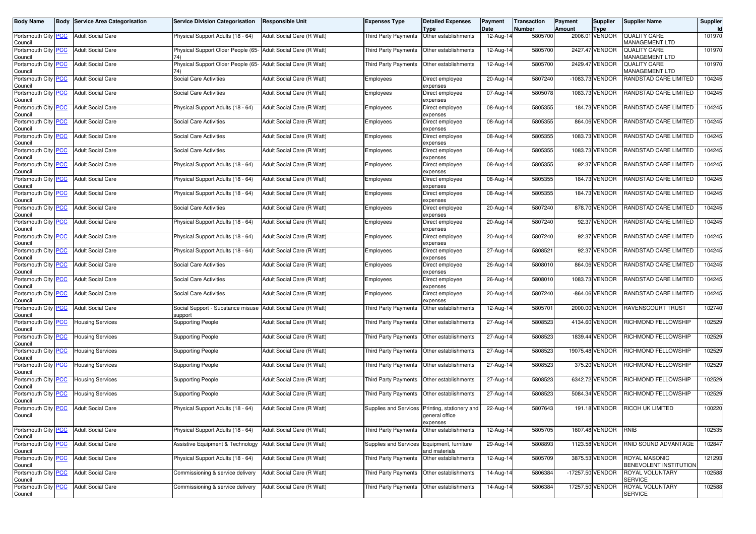| Body Name                      | Body       | <b>Service Area Categorisation</b> | <b>Service Division Categorisation</b>                                  | Responsible Unit           | <b>Expenses Type</b>                       | <b>Detailed Expenses</b><br><b>Type</b>                | Payment<br>Date | Transaction<br>Number | Payment<br><b>Amount</b> | <b>Supplier</b><br><b>Type</b> | <b>Supplier Name</b>                    | Supplier<br><b>Id</b> |
|--------------------------------|------------|------------------------------------|-------------------------------------------------------------------------|----------------------------|--------------------------------------------|--------------------------------------------------------|-----------------|-----------------------|--------------------------|--------------------------------|-----------------------------------------|-----------------------|
| Portsmouth City PCC<br>Council |            | <b>Adult Social Care</b>           | Physical Support Adults (18 - 64)                                       | Adult Social Care (R Watt) | Third Party Payments                       | Other establishments                                   | 12-Aug-14       | 5805700               |                          | 2006.01 VENDOR                 | <b>QUALITY CARE</b><br>MANAGEMENT LTD   | 101970                |
| Portsmouth City PCC<br>Council |            | <b>Adult Social Care</b>           | Physical Support Older People (65-                                      | Adult Social Care (R Watt) | <b>Third Party Payments</b>                | Other establishments                                   | 12-Aug-14       | 5805700               |                          | 2427.47 VENDOR                 | <b>QUALITY CARE</b><br>MANAGEMENT LTD   | 101970                |
| Portsmouth City<br>Council     | <b>PCC</b> | <b>Adult Social Care</b>           | Physical Support Older People (65- Adult Social Care (R Watt)           |                            | <b>Third Party Payments</b>                | Other establishments                                   | 12-Aug-14       | 5805700               |                          | 2429.47 VENDOR                 | QUALITY CARE<br><b>MANAGEMENT LTD</b>   | 101970                |
| Portsmouth City PCC<br>Council |            | <b>Adult Social Care</b>           | Social Care Activities                                                  | Adult Social Care (R Watt) | Employees                                  | Direct employee<br>expenses                            | 20-Aug-14       | 5807240               |                          | -1083.73 VENDOR                | RANDSTAD CARE LIMITED                   | 104245                |
| Portsmouth City PCC<br>Council |            | <b>Adult Social Care</b>           | Social Care Activities                                                  | Adult Social Care (R Watt) | Employees                                  | Direct employee<br>expenses                            | 07-Aug-14       | 5805078               |                          | 1083.73 VENDOR                 | RANDSTAD CARE LIMITED                   | 104245                |
| Portsmouth City PCC<br>Council |            | <b>Adult Social Care</b>           | Physical Support Adults (18 - 64)                                       | Adult Social Care (R Watt) | Employees                                  | Direct employee<br>expenses                            | 08-Aug-14       | 5805355               |                          | 184.73 VENDOR                  | RANDSTAD CARE LIMITED                   | 104245                |
| Portsmouth City PCC<br>Council |            | <b>Adult Social Care</b>           | Social Care Activities                                                  | Adult Social Care (R Watt) | Employees                                  | Direct employee<br>expenses                            | 08-Aug-14       | 5805355               |                          | 864.06 VENDOR                  | RANDSTAD CARE LIMITED                   | 104245                |
| Portsmouth City<br>Council     | PCC        | <b>Adult Social Care</b>           | Social Care Activities                                                  | Adult Social Care (R Watt) | Employees                                  | Direct employee<br>expenses                            | 08-Aug-14       | 5805355               |                          | 1083.73 VENDOR                 | RANDSTAD CARE LIMITED                   | 104245                |
| Portsmouth City PCC<br>Council |            | <b>Adult Social Care</b>           | Social Care Activities                                                  | Adult Social Care (R Watt) | Employees                                  | Direct employee<br>expenses                            | 08-Aug-14       | 5805355               |                          | 1083.73 VENDOR                 | RANDSTAD CARE LIMITED                   | 104245                |
| Portsmouth City PCC<br>Council |            | <b>Adult Social Care</b>           | Physical Support Adults (18 - 64)                                       | Adult Social Care (R Watt) | Employees                                  | Direct employee<br>expenses                            | 08-Aug-14       | 5805355               |                          | 92.37 VENDOR                   | RANDSTAD CARE LIMITED                   | 104245                |
| Portsmouth City<br>Council     | <u>PCC</u> | <b>Adult Social Care</b>           | Physical Support Adults (18 - 64)                                       | Adult Social Care (R Watt) | Employees                                  | Direct employee<br>expenses                            | 08-Aug-14       | 5805355               |                          | 184.73 VENDOR                  | RANDSTAD CARE LIMITED                   | 104245                |
| Portsmouth City PCC<br>Council |            | <b>Adult Social Care</b>           | Physical Support Adults (18 - 64)                                       | Adult Social Care (R Watt) | Employees                                  | Direct employee<br>expenses                            | 08-Aug-14       | 5805355               |                          | 184.73 VENDOR                  | RANDSTAD CARE LIMITED                   | 104245                |
| Portsmouth City PCC<br>Council |            | <b>Adult Social Care</b>           | <b>Social Care Activities</b>                                           | Adult Social Care (R Watt) | Employees                                  | Direct employee<br>expenses                            | 20-Aug-14       | 5807240               |                          | 878.70 VENDOR                  | RANDSTAD CARE LIMITED                   | 104245                |
| Portsmouth City<br>Council     | <b>PCC</b> | <b>Adult Social Care</b>           | Physical Support Adults (18 - 64)                                       | Adult Social Care (R Watt) | Employees                                  | Direct employee<br>expenses                            | 20-Aug-14       | 5807240               |                          | 92.37 VENDOR                   | RANDSTAD CARE LIMITED                   | 104245                |
| Portsmouth City PCC<br>Council |            | <b>Adult Social Care</b>           | Physical Support Adults (18 - 64)                                       | Adult Social Care (R Watt) | Employees                                  | Direct employee<br>expenses                            | 20-Aug-14       | 5807240               |                          | 92.37 VENDOR                   | RANDSTAD CARE LIMITED                   | 104245                |
| Portsmouth City PCC<br>Council |            | <b>Adult Social Care</b>           | Physical Support Adults (18 - 64)                                       | Adult Social Care (R Watt) | Employees                                  | Direct employee<br>expenses                            | 27-Aug-14       | 5808521               |                          | 92.37 VENDOR                   | RANDSTAD CARE LIMITED                   | 104245                |
| Portsmouth City<br>Council     | <b>PCC</b> | <b>Adult Social Care</b>           | Social Care Activities                                                  | Adult Social Care (R Watt) | Employees                                  | Direct employee<br>expenses                            | 26-Aug-14       | 5808010               |                          | 864.06 VENDOR                  | RANDSTAD CARE LIMITED                   | 104245                |
| Portsmouth City PCC<br>Council |            | <b>Adult Social Care</b>           | Social Care Activities                                                  | Adult Social Care (R Watt) | Employees                                  | Direct employee<br>expenses                            | 26-Aug-14       | 5808010               |                          | 1083.73 VENDOR                 | RANDSTAD CARE LIMITED                   | 104245                |
| Portsmouth City PCC<br>Council |            | <b>Adult Social Care</b>           | Social Care Activities                                                  | Adult Social Care (R Watt) | Employees                                  | Direct employee<br>expenses                            | 20-Aug-14       | 5807240               |                          | -864.06 VENDOR                 | RANDSTAD CARE LIMITED                   | 104245                |
| Portsmouth City<br>Council     | <b>PCC</b> | <b>Adult Social Care</b>           | Social Support - Substance misuse Adult Social Care (R Watt)<br>support |                            | <b>Third Party Payments</b>                | Other establishments                                   | 12-Aug-14       | 5805701               |                          | 2000.00 VENDOR                 | RAVENSCOURT TRUST                       | 102740                |
| Portsmouth City PCC<br>Council |            | <b>Housing Services</b>            | <b>Supporting People</b>                                                | Adult Social Care (R Watt) | Third Party Payments                       | Other establishments                                   | 27-Aug-14       | 5808523               |                          | 4134.60 VENDOR                 | RICHMOND FELLOWSHIP                     | 102529                |
| Portsmouth City PCC<br>Council |            | <b>Housing Services</b>            | Supporting People                                                       | Adult Social Care (R Watt) | Third Party Payments                       | Other establishments                                   | 27-Aug-14       | 5808523               |                          | 1839.44 VENDOR                 | RICHMOND FELLOWSHIP                     | 102529                |
| Portsmouth City<br>Council     | <b>PCC</b> | <b>Housing Services</b>            | <b>Supporting People</b>                                                | Adult Social Care (R Watt) | Third Party Payments                       | Other establishments                                   | 27-Aug-14       | 5808523               |                          | 19075.48 VENDOR                | RICHMOND FELLOWSHIP                     | 102529                |
| Portsmouth City PCC<br>Council |            | <b>Housing Services</b>            | <b>Supporting People</b>                                                | Adult Social Care (R Watt) | <b>Third Party Payments</b>                | Other establishments                                   | 27-Aug-14       | 5808523               |                          | 375.20 VENDOR                  | RICHMOND FELLOWSHIP                     | 102529                |
| Portsmouth City PCC<br>Council |            | <b>Housing Services</b>            | <b>Supporting People</b>                                                | Adult Social Care (R Watt) | Third Party Payments                       | Other establishments                                   | 27-Aug-14       | 5808523               |                          | 6342.72 VENDOR                 | RICHMOND FELLOWSHIP                     | 102529                |
| Portsmouth City<br>Council     | <b>PCC</b> | <b>Housing Services</b>            | <b>Supporting People</b>                                                | Adult Social Care (R Watt) | Third Party Payments                       | Other establishments                                   | 27-Aug-14       | 5808523               |                          | 5084.34 VENDOR                 | RICHMOND FELLOWSHIP                     | 102529                |
| Portsmouth City<br>Council     | <b>PCC</b> | <b>Adult Social Care</b>           | Physical Support Adults (18 - 64)                                       | Adult Social Care (R Watt) | Supplies and Services                      | Printing, stationery and<br>general office<br>expenses | 22-Aug-14       | 5807643               |                          | 191.18 VENDOR                  | RICOH UK LIMITED                        | 100220                |
| Portsmouth City PCC<br>Council |            | <b>Adult Social Care</b>           | Physical Support Adults (18 - 64)                                       | Adult Social Care (R Watt) | Third Party Payments                       | Other establishments                                   | $12-Aug-14$     | 5805705               |                          | 1607.48 VENDOR                 | RNIB                                    | 102535                |
| Portsmouth City PCC<br>Council |            | <b>Adult Social Care</b>           | Assistive Equipment & Technology Adult Social Care (R Watt)             |                            | Supplies and Services Equipment, furniture | and materials                                          | 29-Aug-14       | 5808893               |                          | 1123.58 VENDOR                 | RNID SOUND ADVANTAGE                    | 102847                |
| Portsmouth City PCC<br>Council |            | <b>Adult Social Care</b>           | Physical Support Adults (18 - 64)                                       | Adult Social Care (R Watt) | Third Party Payments                       | Other establishments                                   | 12-Aug-14       | 5805709               |                          | 3875.53 VENDOR                 | ROYAL MASONIC<br>BENEVOLENT INSTITUTION | 121293                |
| Portsmouth City PCC<br>Council |            | <b>Adult Social Care</b>           | Commissioning & service delivery                                        | Adult Social Care (R Watt) | Third Party Payments                       | Other establishments                                   | 14-Aug-14       | 5806384               |                          | -17257.50 VENDOR               | ROYAL VOLUNTARY<br>SERVICE              | 102588                |
| Portsmouth City PCC<br>Council |            | <b>Adult Social Care</b>           | Commissioning & service delivery                                        | Adult Social Care (R Watt) | Third Party Payments                       | Other establishments                                   | 14-Aug-14       | 5806384               |                          | 17257.50 VENDOR                | ROYAL VOLUNTARY<br><b>SERVICE</b>       | 102588                |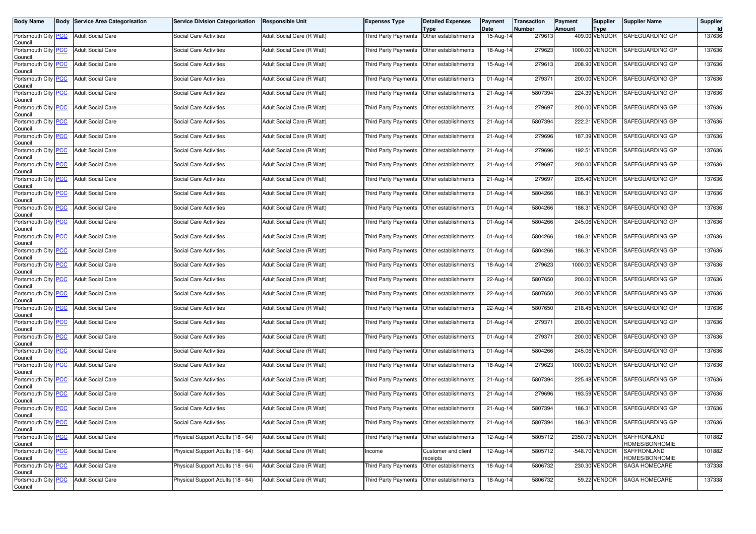| <b>Body Name</b>                      | <b>Body Service Area Categorisation</b> | <b>Service Division Categorisation</b> | <b>Responsible Unit</b>    | <b>Expenses Type</b>                        | <b>Detailed Expenses</b><br><b>Type</b> | Payment<br>Date | <b>Transaction</b><br>Number | Payment<br><b>Amount</b> | <b>Supplier</b><br><b>Type</b> | <b>Supplier Name</b>          | Supplier |
|---------------------------------------|-----------------------------------------|----------------------------------------|----------------------------|---------------------------------------------|-----------------------------------------|-----------------|------------------------------|--------------------------|--------------------------------|-------------------------------|----------|
| Portsmouth City PCC<br>Council        | <b>Adult Social Care</b>                | <b>Social Care Activities</b>          | Adult Social Care (R Watt) | <b>Third Party Payments</b>                 | Other establishments                    | 15-Aug-14       | 279613                       |                          | 409.00 VENDOR                  | SAFEGUARDING GP               | 137636   |
| Portsmouth City PCC<br>Council        | <b>Adult Social Care</b>                | Social Care Activities                 | Adult Social Care (R Watt) | Third Party Payments                        | Other establishments                    | 18-Aug-14       | 279623                       |                          | 1000.00 VENDOR                 | SAFEGUARDING GP               | 137636   |
| Portsmouth City PCC<br>Council        | <b>Adult Social Care</b>                | Social Care Activities                 | Adult Social Care (R Watt) | Third Party Payments                        | Other establishments                    | $15-Aug-14$     | 279613                       |                          | 208.90 VENDOR                  | SAFEGUARDING GP               | 137636   |
| Portsmouth City PCC<br>Council        | <b>Adult Social Care</b>                | Social Care Activities                 | Adult Social Care (R Watt) | <b>Third Party Payments</b>                 | Other establishments                    | 01-Aug-14       | 279371                       |                          | 200.00 VENDOR                  | SAFEGUARDING GP               | 137636   |
| Portsmouth City PCC<br>Council        | <b>Adult Social Care</b>                | Social Care Activities                 | Adult Social Care (R Watt) | Third Party Payments                        | Other establishments                    | 21-Aug-14       | 5807394                      |                          | 224.39 VENDOR                  | SAFEGUARDING GP               | 137636   |
| Portsmouth City PCC<br>Council        | <b>Adult Social Care</b>                | Social Care Activities                 | Adult Social Care (R Watt) | Third Party Payments                        | Other establishments                    | 21-Aug-14       | 279697                       |                          | 200.00 VENDOR                  | SAFEGUARDING GP               | 137636   |
| Portsmouth City PCC<br>Council        | <b>Adult Social Care</b>                | Social Care Activities                 | Adult Social Care (R Watt) | Third Party Payments                        | Other establishments                    | 21-Aug-14       | 5807394                      |                          | 222.21 VENDOR                  | SAFEGUARDING GP               | 137636   |
| Portsmouth City PCC<br>Council        | <b>Adult Social Care</b>                | Social Care Activities                 | Adult Social Care (R Watt) | Third Party Payments                        | Other establishments                    | 21-Aug-14       | 279696                       |                          | 187.39 VENDOR                  | SAFEGUARDING GP               | 137636   |
| Portsmouth City PCC<br>Council        | <b>Adult Social Care</b>                | Social Care Activities                 | Adult Social Care (R Watt) | Third Party Payments                        | Other establishments                    | 21-Aug-14       | 279696                       |                          | 192.51 VENDOR                  | SAFEGUARDING GP               | 137636   |
| Portsmouth City PCC<br>Council        | <b>Adult Social Care</b>                | Social Care Activities                 | Adult Social Care (R Watt) | Third Party Payments                        | Other establishments                    | 21-Aug-14       | 279697                       |                          | 200.00 VENDOR                  | SAFEGUARDING GP               | 137636   |
| Portsmouth City PCC<br>Council        | <b>Adult Social Care</b>                | Social Care Activities                 | Adult Social Care (R Watt) | Third Party Payments                        | Other establishments                    | 21-Aug-14       | 279697                       |                          | 205.40 VENDOR                  | SAFEGUARDING GP               | 137636   |
| Portsmouth City PCC<br>Council        | <b>Adult Social Care</b>                | Social Care Activities                 | Adult Social Care (R Watt) | Third Party Payments                        | Other establishments                    | 01-Aug-14       | 5804266                      |                          | 186.31 VENDOR                  | SAFEGUARDING GP               | 137636   |
| Portsmouth City PCC<br>Council        | <b>Adult Social Care</b>                | Social Care Activities                 | Adult Social Care (R Watt) | Third Party Payments                        | Other establishments                    | 01-Aug-14       | 5804266                      |                          | 186.31 VENDOR                  | SAFEGUARDING GP               | 137636   |
| Portsmouth City PCC<br>Council        | <b>Adult Social Care</b>                | Social Care Activities                 | Adult Social Care (R Watt) | Third Party Payments                        | Other establishments                    | 01-Aug-14       | 5804266                      |                          | 245.06 VENDOR                  | SAFEGUARDING GP               | 137636   |
| Portsmouth City PCC<br>Council        | <b>Adult Social Care</b>                | Social Care Activities                 | Adult Social Care (R Watt) | <b>Third Party Payments</b>                 | Other establishments                    | 01-Aug-14       | 5804266                      |                          | 186.31 VENDOR                  | SAFEGUARDING GP               | 137636   |
| Portsmouth City PCC<br>Council        | <b>Adult Social Care</b>                | Social Care Activities                 | Adult Social Care (R Watt) | Third Party Payments                        | Other establishments                    | 01-Aug-14       | 5804266                      |                          | 186.31 VENDOR                  | SAFEGUARDING GP               | 137636   |
| Portsmouth City PCC<br>Council        | <b>Adult Social Care</b>                | Social Care Activities                 | Adult Social Care (R Watt) | Third Party Payments                        | Other establishments                    | 18-Aug-14       | 279623                       |                          | 1000.00 VENDOR                 | SAFEGUARDING GP               | 137636   |
| Portsmouth City PCC<br>Council        | <b>Adult Social Care</b>                | Social Care Activities                 | Adult Social Care (R Watt) | Third Party Payments                        | Other establishments                    | 22-Aug-14       | 5807650                      |                          | 200.00 VENDOR                  | SAFEGUARDING GP               | 137636   |
| Portsmouth City PCC<br>Council        | <b>Adult Social Care</b>                | Social Care Activities                 | Adult Social Care (R Watt) | Third Party Payments                        | Other establishments                    | 22-Aug-14       | 5807650                      |                          | 200.00 VENDOR                  | SAFEGUARDING GP               | 137636   |
| Portsmouth City PCC<br>Council        | <b>Adult Social Care</b>                | Social Care Activities                 | Adult Social Care (R Watt) | Third Party Payments                        | Other establishments                    | 22-Aug-14       | 5807650                      |                          | 218.45 VENDOR                  | SAFEGUARDING GP               | 137636   |
| Portsmouth City PCC<br>Council        | <b>Adult Social Care</b>                | Social Care Activities                 | Adult Social Care (R Watt) | Third Party Payments                        | Other establishments                    | 01-Aug-14       | 279371                       |                          | 200.00 VENDOR                  | SAFEGUARDING GP               | 137636   |
| Portsmouth City <b>PCC</b><br>Council | <b>Adult Social Care</b>                | Social Care Activities                 | Adult Social Care (R Watt) | Third Party Payments                        | Other establishments                    | 01-Aug-14       | 279371                       |                          | 200.00 VENDOR                  | SAFEGUARDING GP               | 137636   |
| Portsmouth City PCC<br>Council        | <b>Adult Social Care</b>                | Social Care Activities                 | Adult Social Care (R Watt) | Third Party Payments                        | Other establishments                    | 01-Aug-14       | 5804266                      |                          | 245.06 VENDOR                  | SAFEGUARDING GP               | 137636   |
| Portsmouth City PCC<br>Council        | <b>Adult Social Care</b>                | Social Care Activities                 | Adult Social Care (R Watt) | Third Party Payments                        | Other establishments                    | 18-Aug-14       | 279623                       |                          | 1000.00 VENDOR                 | SAFEGUARDING GP               | 137636   |
| Portsmouth City PCC<br>Council        | <b>Adult Social Care</b>                | Social Care Activities                 | Adult Social Care (R Watt) | <b>Third Party Payments</b>                 | Other establishments                    | 21-Aug-14       | 5807394                      |                          | 225.48 VENDOR                  | SAFEGUARDING GP               | 137636   |
| Portsmouth City PCC<br>Council        | <b>Adult Social Care</b>                | Social Care Activities                 | Adult Social Care (R Watt) | <b>Third Party Payments</b>                 | Other establishments                    | 21-Aug-14       | 279696                       |                          | 193.59 VENDOR                  | SAFEGUARDING GP               | 137636   |
| Portsmouth City PCC<br>Council        | <b>Adult Social Care</b>                | Social Care Activities                 | Adult Social Care (R Watt) | Third Party Payments                        | Other establishments                    | 21-Aug-14       | 5807394                      |                          | 186.31 VENDOR                  | SAFEGUARDING GP               | 137636   |
| Portsmouth City   PCC<br>Council      | <b>Adult Social Care</b>                | Social Care Activities                 | Adult Social Care (R Watt) | Third Party Payments   Other establishments |                                         | 21-Aug-14       | 5807394                      |                          | 186.31 VENDOR                  | SAFEGUARDING GP               | 137636   |
| Portsmouth City PCC<br>Council        | <b>Adult Social Care</b>                | Physical Support Adults (18 - 64)      | Adult Social Care (R Watt) | <b>Third Party Payments</b>                 | Other establishments                    | $12-Aug-14$     | 5805712                      |                          | 2350.73 VENDOR                 | SAFFRONLAND<br>HOMES/BONHOMIE | 101882   |
| Portsmouth City PCC<br>Council        | <b>Adult Social Care</b>                | Physical Support Adults (18 - 64)      | Adult Social Care (R Watt) | Income                                      | Customer and client<br>receipts         | 12-Aug-14       | 5805712                      |                          | -548.70 VENDOR                 | SAFFRONLAND<br>HOMES/BONHOMIE | 101882   |
| Portsmouth City PCC<br>Council        | <b>Adult Social Care</b>                | Physical Support Adults (18 - 64)      | Adult Social Care (R Watt) | Third Party Payments                        | Other establishments                    | 18-Aug-14       | 5806732                      |                          | 230.30 VENDOR                  | SAGA HOMECARE                 | 137338   |
| Portsmouth City PCC<br>Council        | <b>Adult Social Care</b>                | Physical Support Adults (18 - 64)      | Adult Social Care (R Watt) | <b>Third Party Payments</b>                 | Other establishments                    | 18-Aug-14       | 5806732                      |                          | 59.22 VENDOR                   | SAGA HOMECARE                 | 137338   |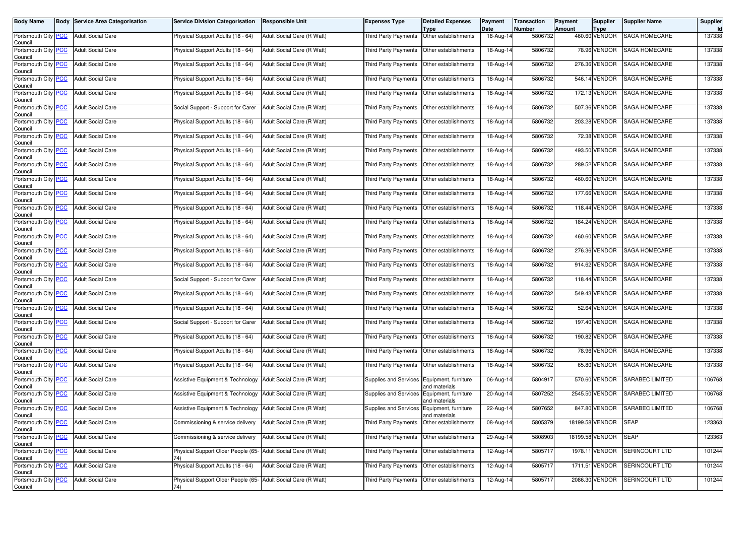| <b>Body Name</b>                      | <b>Body Service Area Categorisation</b> | <b>Service Division Categorisation</b>                               | <b>Responsible Unit</b>    | <b>Expenses Type</b>                       | <b>Detailed Expenses</b><br>Type      | Payment<br>Date         | <b>Transaction</b><br>Number | Payment<br>Amount | <b>Supplier</b><br><b>Type</b> | <b>Supplier Name</b>   | Supplier |
|---------------------------------------|-----------------------------------------|----------------------------------------------------------------------|----------------------------|--------------------------------------------|---------------------------------------|-------------------------|------------------------------|-------------------|--------------------------------|------------------------|----------|
| Portsmouth City PCC<br>Council        | <b>Adult Social Care</b>                | Physical Support Adults (18 - 64)                                    | Adult Social Care (R Watt) | <b>Third Party Payments</b>                | Other establishments                  | $\overline{18}$ -Aug-14 | 5806732                      |                   | 460.60 VENDOR                  | SAGA HOMECARE          | 137338   |
| Portsmouth City PCC<br>Council        | <b>Adult Social Care</b>                | Physical Support Adults (18 - 64)                                    | Adult Social Care (R Watt) | Third Party Payments                       | Other establishments                  | 18-Aug-14               | 5806732                      |                   | 78.96 VENDOR                   | SAGA HOMECARE          | 137338   |
| Portsmouth City PCC<br>Council        | <b>Adult Social Care</b>                | Physical Support Adults (18 - 64)                                    | Adult Social Care (R Watt) | <b>Third Party Payments</b>                | Other establishments                  | 18-Aug-14               | 5806732                      |                   | 276.36 VENDOR                  | SAGA HOMECARE          | 137338   |
| Portsmouth City PCC<br>Council        | <b>Adult Social Care</b>                | Physical Support Adults (18 - 64)                                    | Adult Social Care (R Watt) | Third Party Payments                       | Other establishments                  | 18-Aug-14               | 5806732                      |                   | 546.14 VENDOR                  | SAGA HOMECARE          | 137338   |
| Portsmouth City PCC<br>Council        | <b>Adult Social Care</b>                | Physical Support Adults (18 - 64)                                    | Adult Social Care (R Watt) | Third Party Payments                       | Other establishments                  | 18-Aug-14               | 5806732                      |                   | 172.13 VENDOR                  | SAGA HOMECARE          | 137338   |
| Portsmouth City PCC<br>Council        | <b>Adult Social Care</b>                | Social Support - Support for Carer                                   | Adult Social Care (R Watt) | <b>Third Party Payments</b>                | Other establishments                  | 18-Aug-14               | 5806732                      |                   | 507.36 VENDOR                  | SAGA HOMECARE          | 137338   |
| Portsmouth City PCC<br>Council        | <b>Adult Social Care</b>                | Physical Support Adults (18 - 64)                                    | Adult Social Care (R Watt) | Third Party Payments                       | Other establishments                  | 18-Aug-14               | 5806732                      |                   | 203.28 VENDOR                  | SAGA HOMECARE          | 137338   |
| Portsmouth City PCC<br>Council        | <b>Adult Social Care</b>                | Physical Support Adults (18 - 64)                                    | Adult Social Care (R Watt) | Third Party Payments                       | Other establishments                  | 18-Aug-14               | 5806732                      |                   | 72.38 VENDOR                   | SAGA HOMECARE          | 137338   |
| Portsmouth City PCC<br>Council        | <b>Adult Social Care</b>                | Physical Support Adults (18 - 64)                                    | Adult Social Care (R Watt) | Third Party Payments                       | Other establishments                  | 18-Aug-14               | 5806732                      |                   | 493.50 VENDOR                  | SAGA HOMECARE          | 137338   |
| Portsmouth City <b>PCC</b><br>Council | <b>Adult Social Care</b>                | Physical Support Adults (18 - 64)                                    | Adult Social Care (R Watt) | Third Party Payments                       | Other establishments                  | 18-Aug-14               | 5806732                      |                   | 289.52 VENDOR                  | SAGA HOMECARE          | 137338   |
| Portsmouth City PCC<br>Council        | <b>Adult Social Care</b>                | Physical Support Adults (18 - 64)                                    | Adult Social Care (R Watt) | Third Party Payments                       | Other establishments                  | 18-Aug-14               | 5806732                      |                   | 460.60 VENDOR                  | <b>SAGA HOMECARE</b>   | 137338   |
| Portsmouth City PCC<br>Council        | <b>Adult Social Care</b>                | Physical Support Adults (18 - 64)                                    | Adult Social Care (R Watt) | Third Party Payments                       | Other establishments                  | 18-Aug-14               | 5806732                      |                   | 177.66 VENDOR                  | SAGA HOMECARE          | 137338   |
| Portsmouth City PCC<br>Council        | <b>Adult Social Care</b>                | Physical Support Adults (18 - 64)                                    | Adult Social Care (R Watt) | Third Party Payments                       | Other establishments                  | 18-Aug-14               | 5806732                      |                   | 118.44 VENDOR                  | SAGA HOMECARE          | 137338   |
| Portsmouth City PCC<br>Council        | <b>Adult Social Care</b>                | Physical Support Adults (18 - 64)                                    | Adult Social Care (R Watt) | Third Party Payments                       | Other establishments                  | 18-Aug-14               | 5806732                      |                   | 184.24 VENDOR                  | SAGA HOMECARE          | 137338   |
| Portsmouth City PCC<br>Council        | <b>Adult Social Care</b>                | Physical Support Adults (18 - 64)                                    | Adult Social Care (R Watt) | Third Party Payments                       | Other establishments                  | 18-Aug-14               | 5806732                      |                   | 460.60 VENDOR                  | SAGA HOMECARE          | 137338   |
| Portsmouth City PCC<br>Council        | <b>Adult Social Care</b>                | Physical Support Adults (18 - 64)                                    | Adult Social Care (R Watt) | Third Party Payments                       | Other establishments                  | 18-Aug-14               | 5806732                      |                   | 276.36 VENDOR                  | SAGA HOMECARE          | 137338   |
| Portsmouth City PCC<br>Council        | <b>Adult Social Care</b>                | Physical Support Adults (18 - 64)                                    | Adult Social Care (R Watt) | Third Party Payments                       | Other establishments                  | 18-Aug-14               | 5806732                      |                   | 914.62 VENDOR                  | <b>SAGA HOMECARE</b>   | 137338   |
| Portsmouth City PCC<br>Council        | <b>Adult Social Care</b>                | Social Support - Support for Carer                                   | Adult Social Care (R Watt) | Third Party Payments                       | Other establishments                  | 18-Aug-14               | 5806732                      |                   | 118.44 VENDOR                  | SAGA HOMECARE          | 137338   |
| Portsmouth City PCC<br>Council        | <b>Adult Social Care</b>                | Physical Support Adults (18 - 64)                                    | Adult Social Care (R Watt) | Third Party Payments                       | Other establishments                  | 18-Aug-14               | 5806732                      |                   | 549.43 VENDOR                  | SAGA HOMECARE          | 137338   |
| Portsmouth City PCC<br>Council        | <b>Adult Social Care</b>                | Physical Support Adults (18 - 64)                                    | Adult Social Care (R Watt) | Third Party Payments                       | Other establishments                  | 18-Aug-14               | 5806732                      |                   | 52.64 VENDOR                   | SAGA HOMECARE          | 137338   |
| Portsmouth City PCC<br>Council        | <b>Adult Social Care</b>                | Social Support - Support for Carer                                   | Adult Social Care (R Watt) | Third Party Payments                       | Other establishments                  | 18-Aug-14               | 5806732                      |                   | 197.40 VENDOR                  | SAGA HOMECARE          | 137338   |
| Portsmouth City PCC<br>Council        | <b>Adult Social Care</b>                | Physical Support Adults (18 - 64)                                    | Adult Social Care (R Watt) | Third Party Payments                       | Other establishments                  | 18-Aug-14               | 5806732                      |                   | 190.82 VENDOR                  | SAGA HOMECARE          | 137338   |
| Portsmouth City PCC<br>Council        | <b>Adult Social Care</b>                | Physical Support Adults (18 - 64)                                    | Adult Social Care (R Watt) | Third Party Payments                       | Other establishments                  | 18-Aug-14               | 5806732                      |                   | 78.96 VENDOR                   | <b>SAGA HOMECARE</b>   | 137338   |
| Portsmouth City PCC<br>Council        | <b>Adult Social Care</b>                | Physical Support Adults (18 - 64)                                    | Adult Social Care (R Watt) | Third Party Payments                       | Other establishments                  | 18-Aug-14               | 5806732                      |                   | 65.80 VENDOR                   | SAGA HOMECARE          | 137338   |
| Portsmouth City PCC<br>Council        | <b>Adult Social Care</b>                | Assistive Equipment & Technology                                     | Adult Social Care (R Watt) | Supplies and Services Equipment, furniture | and materials                         | 06-Aug-14               | 5804917                      |                   | 570.60 VENDOR                  | SARABEC LIMITED        | 106768   |
| Portsmouth City PCC<br>Council        | <b>Adult Social Care</b>                | Assistive Equipment & Technology Adult Social Care (R Watt)          |                            | Supplies and Services                      | Equipment, furniture<br>and materials | 20-Aug-14               | 5807252                      |                   | 2545.50 VENDOR                 | <b>SARABEC LIMITED</b> | 106768   |
| Portsmouth City PCC<br>Council        | <b>Adult Social Care</b>                | Assistive Equipment & Technology                                     | Adult Social Care (R Watt) | Supplies and Services                      | Equipment, furniture<br>and materials | 22-Aug-14               | 5807652                      |                   | 847.80 VENDOR                  | SARABEC LIMITED        | 106768   |
| Portsmouth City PCC<br>Council        | <b>Adult Social Care</b>                | Commissioning & service delivery                                     | Adult Social Care (R Watt) | Third Party Payments Other establishments  |                                       | 08-Aug-14               | 5805379                      |                   | 18199.58 VENDOR SEAP           |                        | 123363   |
| Portsmouth City PCC<br>Council        | <b>Adult Social Care</b>                | Commissioning & service delivery Adult Social Care (R Watt)          |                            | Third Party Payments Other establishments  |                                       | 29-Aug-14               | 5808903                      |                   | 18199.58 VENDOR                | <b>SEAP</b>            | 123363   |
| Portsmouth City PCC<br>Council        | <b>Adult Social Care</b>                | Physical Support Older People (65- Adult Social Care (R Watt)<br>74) |                            | Third Party Payments                       | Other establishments                  | 12-Aug-14               | 5805717                      |                   | 1978.11 VENDOR                 | SERINCOURT LTD         | 101244   |
| Portsmouth City PCC<br>Council        | <b>Adult Social Care</b>                | Physical Support Adults (18 - 64)                                    | Adult Social Care (R Watt) | <b>Third Party Payments</b>                | Other establishments                  | 12-Aug-14               | 5805717                      |                   | 1711.51 VENDOR                 | SERINCOURT LTD         | 101244   |
| Portsmouth City PCC<br>Council        | <b>Adult Social Care</b>                | Physical Support Older People (65- Adult Social Care (R Watt)<br>74) |                            | Third Party Payments                       | Other establishments                  | 12-Aug-14               | 5805717                      |                   | 2086.30 VENDOR                 | SERINCOURT LTD         | 101244   |
|                                       |                                         |                                                                      |                            |                                            |                                       |                         |                              |                   |                                |                        |          |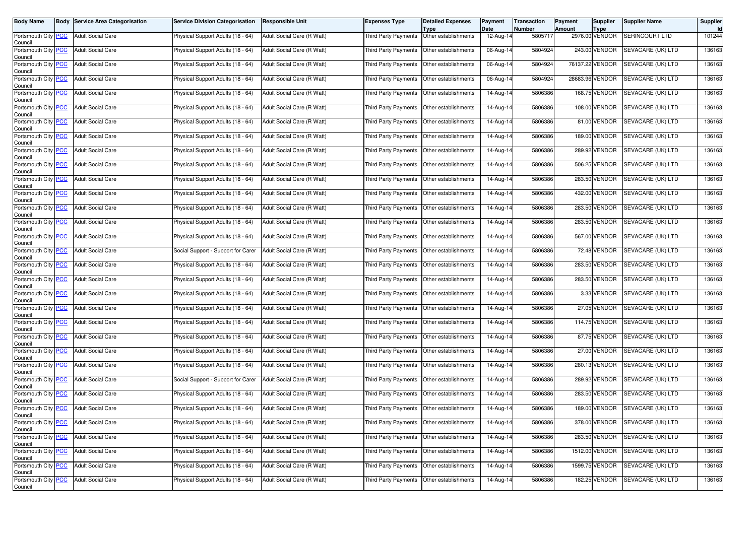| <b>Body Name</b>                              | <b>Body Service Area Categorisation</b> | <b>Service Division Categorisation</b> | <b>Responsible Unit</b>    | Expenses Type                               | <b>Detailed Expenses</b><br>Type | Payment<br>Date | <b>Transaction</b><br><b>Number</b> | Payment<br>Amount | <b>Supplier</b><br>Type | <b>Supplier Name</b>            | Supplier |
|-----------------------------------------------|-----------------------------------------|----------------------------------------|----------------------------|---------------------------------------------|----------------------------------|-----------------|-------------------------------------|-------------------|-------------------------|---------------------------------|----------|
| Portsmouth City PCC<br>Council                | <b>Adult Social Care</b>                | Physical Support Adults (18 - 64)      | Adult Social Care (R Watt) | <b>Third Party Payments</b>                 | Other establishments             | 12-Aug-14       | 5805717                             |                   | 2976.00 VENDOR          | <b>SERINCOURT LTD</b>           | 101244   |
| Portsmouth City PCC<br>Council                | <b>Adult Social Care</b>                | Physical Support Adults (18 - 64)      | Adult Social Care (R Watt) | Third Party Payments                        | Other establishments             | 06-Aug-14       | 5804924                             |                   | 243.00 VENDOR           | SEVACARE (UK) LTD               | 136163   |
| Portsmouth City PCC<br>Council                | <b>Adult Social Care</b>                | Physical Support Adults (18 - 64)      | Adult Social Care (R Watt) | Third Party Payments                        | Other establishments             | $06$ -Aug-14    | 5804924                             |                   | 76137.22 VENDOR         | SEVACARE (UK) LTD               | 136163   |
| Portsmouth City PCC<br>Council                | <b>Adult Social Care</b>                | Physical Support Adults (18 - 64)      | Adult Social Care (R Watt) | Third Party Payments                        | Other establishments             | 06-Aug-14       | 5804924                             |                   | 28683.96 VENDOR         | SEVACARE (UK) LTD               | 136163   |
| Portsmouth City PCC<br>Council                | <b>Adult Social Care</b>                | Physical Support Adults (18 - 64)      | Adult Social Care (R Watt) | Third Party Payments                        | Other establishments             | 14-Aug-14       | 5806386                             |                   | 168.75 VENDOR           | SEVACARE (UK) LTD               | 136163   |
| Portsmouth City PCC<br>Council                | <b>Adult Social Care</b>                | Physical Support Adults (18 - 64)      | Adult Social Care (R Watt) | Third Party Payments                        | Other establishments             | 14-Aug-14       | 5806386                             |                   | 108.00 VENDOR           | SEVACARE (UK) LTD               | 136163   |
| Portsmouth City PCC<br>Council                | <b>Adult Social Care</b>                | Physical Support Adults (18 - 64)      | Adult Social Care (R Watt) | Third Party Payments                        | Other establishments             | 14-Aug-14       | 5806386                             |                   | 81.00 VENDOR            | SEVACARE (UK) LTD               | 136163   |
| Portsmouth City PCC<br>Council                | <b>Adult Social Care</b>                | Physical Support Adults (18 - 64)      | Adult Social Care (R Watt) | Third Party Payments                        | Other establishments             | $14$ -Aug-14    | 5806386                             |                   | 189.00 VENDOR           | SEVACARE (UK) LTD               | 136163   |
| Portsmouth City PCC<br>Council                | <b>Adult Social Care</b>                | Physical Support Adults (18 - 64)      | Adult Social Care (R Watt) | <b>Third Party Payments</b>                 | Other establishments             | 14-Aug-14       | 5806386                             |                   | 289.92 VENDOR           | SEVACARE (UK) LTD               | 136163   |
| Portsmouth City PCC<br>Council                | <b>Adult Social Care</b>                | Physical Support Adults (18 - 64)      | Adult Social Care (R Watt) | Third Party Payments                        | Other establishments             | 14-Aug-14       | 5806386                             |                   | 506.25 VENDOR           | SEVACARE (UK) LTD               | 136163   |
| Portsmouth City PCC<br>Council                | <b>Adult Social Care</b>                | Physical Support Adults (18 - 64)      | Adult Social Care (R Watt) | Third Party Payments                        | Other establishments             | 14-Aug-14       | 5806386                             |                   | 283.50 VENDOR           | SEVACARE (UK) LTD               | 136163   |
| Portsmouth City PCC<br>Council                | <b>Adult Social Care</b>                | Physical Support Adults (18 - 64)      | Adult Social Care (R Watt) | Third Party Payments                        | Other establishments             | 14-Aug-14       | 5806386                             |                   | 432.00 VENDOR           | SEVACARE (UK) LTD               | 136163   |
| Portsmouth City PCC<br>Council                | <b>Adult Social Care</b>                | Physical Support Adults (18 - 64)      | Adult Social Care (R Watt) | Third Party Payments                        | Other establishments             | 14-Aug-14       | 5806386                             |                   | 283.50 VENDOR           | SEVACARE (UK) LTD               | 136163   |
| Portsmouth City PCC<br>Council                | <b>Adult Social Care</b>                | Physical Support Adults (18 - 64)      | Adult Social Care (R Watt) | Third Party Payments                        | Other establishments             | 14-Aug-14       | 5806386                             |                   | 283.50 VENDOR           | SEVACARE (UK) LTD               | 136163   |
| Portsmouth City PCC<br>Council                | <b>Adult Social Care</b>                | Physical Support Adults (18 - 64)      | Adult Social Care (R Watt) | Third Party Payments                        | Other establishments             | 14-Aug-14       | 5806386                             |                   | 567.00 VENDOR           | SEVACARE (UK) LTD               | 136163   |
| Portsmouth City PCC<br>Council                | <b>Adult Social Care</b>                | Social Support - Support for Carer     | Adult Social Care (R Watt) | Third Party Payments                        | Other establishments             | 14-Aug-14       | 5806386                             |                   | 72.48 VENDOR            | SEVACARE (UK) LTD               | 136163   |
| Portsmouth City PCC<br>Council                | <b>Adult Social Care</b>                | Physical Support Adults (18 - 64)      | Adult Social Care (R Watt) | Third Party Payments                        | Other establishments             | 14-Aug-14       | 5806386                             |                   | 283.50 VENDOR           | SEVACARE (UK) LTD               | 136163   |
| Portsmouth City PCC<br>Council                | <b>Adult Social Care</b>                | Physical Support Adults (18 - 64)      | Adult Social Care (R Watt) | Third Party Payments                        | Other establishments             | 14-Aug-14       | 5806386                             |                   | 283.50 VENDOR           | SEVACARE (UK) LTD               | 136163   |
| Portsmouth City PCC<br>Council                | <b>Adult Social Care</b>                | Physical Support Adults (18 - 64)      | Adult Social Care (R Watt) | Third Party Payments                        | Other establishments             | 14-Aug-14       | 5806386                             |                   | 3.33 VENDOR             | SEVACARE (UK) LTD               | 136163   |
| Portsmouth City PCC<br>Council                | <b>Adult Social Care</b>                | Physical Support Adults (18 - 64)      | Adult Social Care (R Watt) | Third Party Payments                        | Other establishments             | 14-Aug-14       | 5806386                             |                   | 27.05 VENDOR            | SEVACARE (UK) LTD               | 136163   |
| Portsmouth City PCC<br>Council                | <b>Adult Social Care</b>                | Physical Support Adults (18 - 64)      | Adult Social Care (R Watt) | Third Party Payments                        | Other establishments             | 14-Aug-14       | 5806386                             |                   | 114.75 VENDOR           | SEVACARE (UK) LTD               | 136163   |
| Portsmouth City PCC<br>Council                | <b>Adult Social Care</b>                | Physical Support Adults (18 - 64)      | Adult Social Care (R Watt) | Third Party Payments                        | Other establishments             | 14-Aug-14       | 5806386                             |                   | 87.75 VENDOR            | SEVACARE (UK) LTD               | 136163   |
| Portsmouth City PCC<br>Council                | <b>Adult Social Care</b>                | Physical Support Adults (18 - 64)      | Adult Social Care (R Watt) | <b>Third Party Payments</b>                 | Other establishments             | 14-Aug-14       | 5806386                             |                   | 27.00 VENDOR            | SEVACARE (UK) LTD               | 136163   |
| Portsmouth City PCC<br>Council                | <b>Adult Social Care</b>                | Physical Support Adults (18 - 64)      | Adult Social Care (R Watt) | Third Party Payments                        | Other establishments             | 14-Aug-14       | 5806386                             |                   | 280.13 VENDOR           | SEVACARE (UK) LTD               | 136163   |
| Portsmouth City PCC<br>Council                | <b>Adult Social Care</b>                | Social Support - Support for Carer     | Adult Social Care (R Watt) | Third Party Payments                        | Other establishments             | 14-Aug-14       | 5806386                             |                   | 289.92 VENDOR           | SEVACARE (UK) LTD               | 136163   |
| Portsmouth City PCC<br>Council                | <b>Adult Social Care</b>                | Physical Support Adults (18 - 64)      | Adult Social Care (R Watt) | Third Party Payments                        | Other establishments             | 14-Aug-14       | 5806386                             |                   | 283.50 VENDOR           | SEVACARE (UK) LTD               | 136163   |
| Portsmouth City PCC<br>Council                | <b>Adult Social Care</b>                | Physical Support Adults (18 - 64)      | Adult Social Care (R Watt) | Third Party Payments                        | Other establishments             | 14-Aug-14       | 5806386                             |                   | 189.00 VENDOR           | SEVACARE (UK) LTD               | 136163   |
| Portsmouth City <mark>  PCC</mark><br>Council | Adult Social Care                       | Physical Support Adults (18 - 64)      | Adult Social Care (R Watt) | Third Party Payments   Other establishments |                                  | 14-Aug-14       | 5806386                             |                   |                         | 378.00 VENDOR SEVACARE (UK) LTD | 136163   |
| Portsmouth City PCC<br>Council                | <b>Adult Social Care</b>                | Physical Support Adults (18 - 64)      | Adult Social Care (R Watt) | Third Party Payments                        | Other establishments             | 14-Aug-14       | 5806386                             |                   | 283.50 VENDOR           | SEVACARE (UK) LTD               | 136163   |
| Portsmouth City PCC<br>Council                | Adult Social Care                       | Physical Support Adults (18 - 64)      | Adult Social Care (R Watt) | Third Party Payments                        | Other establishments             | 14-Aug-14       | 5806386                             |                   | 1512.00 VENDOR          | SEVACARE (UK) LTD               | 136163   |
| Portsmouth City PCC<br>Council                | <b>Adult Social Care</b>                | Physical Support Adults (18 - 64)      | Adult Social Care (R Watt) | Third Party Payments                        | Other establishments             | 14-Aug-14       | 5806386                             |                   | 1599.75 VENDOR          | SEVACARE (UK) LTD               | 136163   |
| Portsmouth City PCC<br>Council                | <b>Adult Social Care</b>                | Physical Support Adults (18 - 64)      | Adult Social Care (R Watt) | Third Party Payments                        | Other establishments             | 14-Aug-14       | 5806386                             |                   | 182.25 VENDOR           | SEVACARE (UK) LTD               | 136163   |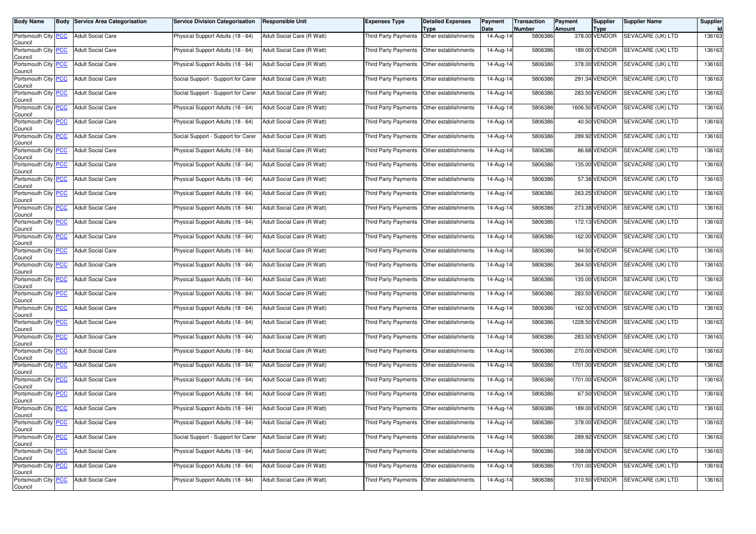| <b>Body Name</b>                              | <b>Body Service Area Categorisation</b> | <b>Service Division Categorisation</b> | <b>Responsible Unit</b>    | Expenses Type                               | <b>Detailed Expenses</b><br>Type | Payment<br>Date         | <b>Transaction</b><br><b>Number</b> | Payment<br>Amount | <b>Supplier</b><br>Type | <b>Supplier Name</b>            | Supplier |
|-----------------------------------------------|-----------------------------------------|----------------------------------------|----------------------------|---------------------------------------------|----------------------------------|-------------------------|-------------------------------------|-------------------|-------------------------|---------------------------------|----------|
| Portsmouth City PCC<br>Council                | <b>Adult Social Care</b>                | Physical Support Adults (18 - 64)      | Adult Social Care (R Watt) | <b>Third Party Payments</b>                 | Other establishments             | 14-Aug-14               | 5806386                             |                   | 378.00 VENDOR           | SEVACARE (UK) LTD               | 136163   |
| Portsmouth City PCC<br>Council                | <b>Adult Social Care</b>                | Physical Support Adults (18 - 64)      | Adult Social Care (R Watt) | Third Party Payments                        | Other establishments             | 14-Aug-14               | 5806386                             |                   | 189.00 VENDOR           | SEVACARE (UK) LTD               | 136163   |
| Portsmouth City <b>PCC</b><br>Council         | <b>Adult Social Care</b>                | Physical Support Adults (18 - 64)      | Adult Social Care (R Watt) | Third Party Payments                        | Other establishments             | 14-Aug-14               | 5806386                             |                   | 378.00 VENDOR           | <b>SEVACARE (UK) LTD</b>        | 136163   |
| Portsmouth City PCC<br>Council                | <b>Adult Social Care</b>                | Social Support - Support for Carer     | Adult Social Care (R Watt) | Third Party Payments                        | Other establishments             | 14-Aug-14               | 5806386                             |                   | 291.34 VENDOR           | SEVACARE (UK) LTD               | 136163   |
| Portsmouth City PCC<br>Council                | <b>Adult Social Care</b>                | Social Support - Support for Carer     | Adult Social Care (R Watt) | Third Party Payments                        | Other establishments             | 14-Aug-14               | 5806386                             |                   | 283.50 VENDOR           | SEVACARE (UK) LTD               | 136163   |
| Portsmouth City PCC<br>Council                | <b>Adult Social Care</b>                | Physical Support Adults (18 - 64)      | Adult Social Care (R Watt) | Third Party Payments                        | Other establishments             | 14-Aug-14               | 5806386                             | 1606.50           | VENDOR                  | SEVACARE (UK) LTD               | 136163   |
| Portsmouth City PCC<br>Council                | <b>Adult Social Care</b>                | Physical Support Adults (18 - 64)      | Adult Social Care (R Watt) | Third Party Payments                        | Other establishments             | 14-Aug-14               | 5806386                             |                   | 40.50 VENDOR            | SEVACARE (UK) LTD               | 136163   |
| Portsmouth City PCC<br>Council                | <b>Adult Social Care</b>                | Social Support - Support for Carer     | Adult Social Care (R Watt) | Third Party Payments                        | Other establishments             | $\overline{1}$ 4-Aug-14 | 5806386                             |                   | 289.92 VENDOR           | SEVACARE (UK) LTD               | 136163   |
| Portsmouth City PCC<br>Council                | <b>Adult Social Care</b>                | Physical Support Adults (18 - 64)      | Adult Social Care (R Watt) | <b>Third Party Payments</b>                 | Other establishments             | 14-Aug-14               | 5806386                             |                   | 86.68 VENDOR            | SEVACARE (UK) LTD               | 136163   |
| Portsmouth City PCC<br>Council                | <b>Adult Social Care</b>                | Physical Support Adults (18 - 64)      | Adult Social Care (R Watt) | Third Party Payments                        | Other establishments             | 14-Aug-14               | 5806386                             |                   | 135.00 VENDOR           | SEVACARE (UK) LTD               | 136163   |
| Portsmouth City PCC<br>Council                | <b>Adult Social Care</b>                | Physical Support Adults (18 - 64)      | Adult Social Care (R Watt) | Third Party Payments                        | Other establishments             | 14-Aug-14               | 5806386                             |                   | 57.38 VENDOR            | SEVACARE (UK) LTD               | 136163   |
| Portsmouth City PCC<br>Council                | <b>Adult Social Care</b>                | Physical Support Adults (18 - 64)      | Adult Social Care (R Watt) | Third Party Payments                        | Other establishments             | 14-Aug-14               | 5806386                             |                   | 263.25 VENDOR           | SEVACARE (UK) LTD               | 136163   |
| Portsmouth City PCC<br>Council                | <b>Adult Social Care</b>                | Physical Support Adults (18 - 64)      | Adult Social Care (R Watt) | Third Party Payments                        | Other establishments             | 14-Aug-14               | 5806386                             |                   | 273.38 VENDOR           | SEVACARE (UK) LTD               | 136163   |
| Portsmouth City PCC<br>Council                | <b>Adult Social Care</b>                | Physical Support Adults (18 - 64)      | Adult Social Care (R Watt) | Third Party Payments                        | Other establishments             | 14-Aug-14               | 5806386                             |                   | 172.13 VENDOR           | SEVACARE (UK) LTD               | 136163   |
| Portsmouth City PCC<br>Council                | <b>Adult Social Care</b>                | Physical Support Adults (18 - 64)      | Adult Social Care (R Watt) | Third Party Payments                        | Other establishments             | 14-Aug-14               | 5806386                             |                   | 162.00 VENDOR           | SEVACARE (UK) LTD               | 136163   |
| Portsmouth City PCC<br>Council                | <b>Adult Social Care</b>                | Physical Support Adults (18 - 64)      | Adult Social Care (R Watt) | Third Party Payments                        | Other establishments             | 14-Aug-14               | 5806386                             |                   | 94.50 VENDOR            | SEVACARE (UK) LTD               | 136163   |
| Portsmouth City <b>PCC</b><br>Council         | <b>Adult Social Care</b>                | Physical Support Adults (18 - 64)      | Adult Social Care (R Watt) | Third Party Payments                        | Other establishments             | 14-Aug-14               | 5806386                             |                   | 364.50 VENDOR           | SEVACARE (UK) LTD               | 136163   |
| Portsmouth City PCC<br>Council                | <b>Adult Social Care</b>                | Physical Support Adults (18 - 64)      | Adult Social Care (R Watt) | Third Party Payments                        | Other establishments             | 14-Aug-14               | 5806386                             |                   | 135.00 VENDOR           | SEVACARE (UK) LTD               | 136163   |
| Portsmouth City PCC<br>Council                | <b>Adult Social Care</b>                | Physical Support Adults (18 - 64)      | Adult Social Care (R Watt) | Third Party Payments                        | Other establishments             | 14-Aug-14               | 5806386                             |                   | 283.50 VENDOR           | SEVACARE (UK) LTD               | 136163   |
| Portsmouth City PCC<br>Council                | <b>Adult Social Care</b>                | Physical Support Adults (18 - 64)      | Adult Social Care (R Watt) | Third Party Payments                        | Other establishments             | 14-Aug-14               | 5806386                             | 162.00            | VENDOR                  | SEVACARE (UK) LTD               | 136163   |
| Portsmouth City PCC<br>Council                | <b>Adult Social Care</b>                | Physical Support Adults (18 - 64)      | Adult Social Care (R Watt) | Third Party Payments                        | Other establishments             | 14-Aug-14               | 5806386                             |                   | 1228.50 VENDOR          | SEVACARE (UK) LTD               | 136163   |
| Portsmouth City PCC<br>Council                | <b>Adult Social Care</b>                | Physical Support Adults (18 - 64)      | Adult Social Care (R Watt) | Third Party Payments                        | Other establishments             | 14-Aug-14               | 5806386                             |                   | 283.50 VENDOR           | SEVACARE (UK) LTD               | 136163   |
| Portsmouth City PCC<br>Council                | <b>Adult Social Care</b>                | Physical Support Adults (18 - 64)      | Adult Social Care (R Watt) | <b>Third Party Payments</b>                 | Other establishments             | 14-Aug-14               | 5806386                             |                   | 270.00 VENDOR           | SEVACARE (UK) LTD               | 136163   |
| Portsmouth City PCC<br>Council                | <b>Adult Social Care</b>                | Physical Support Adults (18 - 64)      | Adult Social Care (R Watt) | Third Party Payments                        | Other establishments             | 14-Aug-14               | 5806386                             |                   | 1701.00 VENDOR          | SEVACARE (UK) LTD               | 136163   |
| Portsmouth City PCC<br>Council                | <b>Adult Social Care</b>                | Physical Support Adults (18 - 64)      | Adult Social Care (R Watt) | Third Party Payments                        | Other establishments             | 14-Aug-14               | 5806386                             |                   | 1701.00 VENDOR          | SEVACARE (UK) LTD               | 136163   |
| Portsmouth City PCC<br>Council                | <b>Adult Social Care</b>                | Physical Support Adults (18 - 64)      | Adult Social Care (R Watt) | Third Party Payments                        | Other establishments             | 14-Aug-14               | 5806386                             |                   | 67.50 VENDOR            | SEVACARE (UK) LTD               | 136163   |
| Portsmouth City PCC<br>Council                | <b>Adult Social Care</b>                | Physical Support Adults (18 - 64)      | Adult Social Care (R Watt) | Third Party Payments                        | Other establishments             | 14-Aug-14               | 5806386                             |                   | 189.00 VENDOR           | SEVACARE (UK) LTD               | 136163   |
| Portsmouth City <mark>  PCC</mark><br>Council | Adult Social Care                       | Physical Support Adults (18 - 64)      | Adult Social Care (R Watt) | Third Party Payments   Other establishments |                                  | 14-Aug-14               | 5806386                             |                   |                         | 378.00 VENDOR SEVACARE (UK) LTD | 136163   |
| Portsmouth City PCC<br>Council                | <b>Adult Social Care</b>                | Social Support - Support for Carer     | Adult Social Care (R Watt) | Third Party Payments                        | Other establishments             | 14-Aug-14               | 5806386                             |                   | 289.92 VENDOR           | SEVACARE (UK) LTD               | 136163   |
| Portsmouth City PCC<br>Council                | Adult Social Care                       | Physical Support Adults (18 - 64)      | Adult Social Care (R Watt) | Third Party Payments                        | Other establishments             | 14-Aug-14               | 5806386                             |                   | 358.08 VENDOR           | SEVACARE (UK) LTD               | 136163   |
| Portsmouth City PCC<br>Council                | <b>Adult Social Care</b>                | Physical Support Adults (18 - 64)      | Adult Social Care (R Watt) | Third Party Payments                        | Other establishments             | 14-Aug-14               | 5806386                             |                   | 1701.00 VENDOR          | SEVACARE (UK) LTD               | 136163   |
| Portsmouth City PCC<br>Council                | <b>Adult Social Care</b>                | Physical Support Adults (18 - 64)      | Adult Social Care (R Watt) | Third Party Payments                        | Other establishments             | 14-Aug-14               | 5806386                             |                   | 310.50 VENDOR           | SEVACARE (UK) LTD               | 136163   |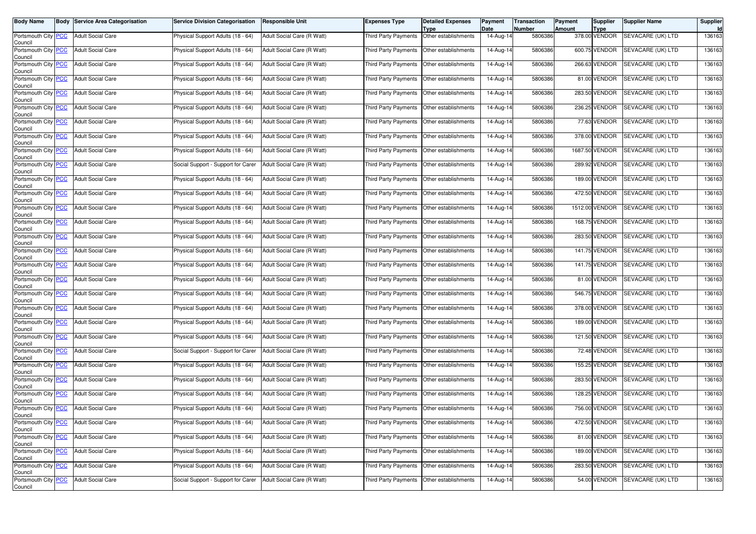| <b>Body Name</b>                              | <b>Body Service Area Categorisation</b> | <b>Service Division Categorisation</b> | <b>Responsible Unit</b>    | Expenses Type                               | <b>Detailed Expenses</b><br>Type | Payment<br>Date | <b>Transaction</b><br><b>Number</b> | Payment<br>Amount | <b>Supplier</b><br>Type | <b>Supplier Name</b>            | Supplier |
|-----------------------------------------------|-----------------------------------------|----------------------------------------|----------------------------|---------------------------------------------|----------------------------------|-----------------|-------------------------------------|-------------------|-------------------------|---------------------------------|----------|
| Portsmouth City PCC<br>Council                | <b>Adult Social Care</b>                | Physical Support Adults (18 - 64)      | Adult Social Care (R Watt) | <b>Third Party Payments</b>                 | Other establishments             | 14-Aug-14       | 5806386                             |                   | 378.00 VENDOR           | SEVACARE (UK) LTD               | 136163   |
| Portsmouth City PCC<br>Council                | <b>Adult Social Care</b>                | Physical Support Adults (18 - 64)      | Adult Social Care (R Watt) | Third Party Payments                        | Other establishments             | 14-Aug-14       | 5806386                             |                   | 600.75 VENDOR           | SEVACARE (UK) LTD               | 136163   |
| Portsmouth City PCC<br>Council                | <b>Adult Social Care</b>                | Physical Support Adults (18 - 64)      | Adult Social Care (R Watt) | Third Party Payments                        | Other establishments             | 14-Aug-14       | 5806386                             |                   | 266.63 VENDOR           | <b>SEVACARE (UK) LTD</b>        | 136163   |
| Portsmouth City PCC<br>Council                | <b>Adult Social Care</b>                | Physical Support Adults (18 - 64)      | Adult Social Care (R Watt) | Third Party Payments                        | Other establishments             | 14-Aug-14       | 5806386                             |                   | 81.00 VENDOR            | SEVACARE (UK) LTD               | 136163   |
| Portsmouth City PCC<br>Council                | <b>Adult Social Care</b>                | Physical Support Adults (18 - 64)      | Adult Social Care (R Watt) | Third Party Payments                        | Other establishments             | 14-Aug-14       | 5806386                             |                   | 283.50 VENDOR           | SEVACARE (UK) LTD               | 136163   |
| Portsmouth City PCC<br>Council                | <b>Adult Social Care</b>                | Physical Support Adults (18 - 64)      | Adult Social Care (R Watt) | Third Party Payments                        | Other establishments             | 14-Aug-14       | 5806386                             |                   | 236.25 VENDOR           | SEVACARE (UK) LTD               | 136163   |
| Portsmouth City PCC<br>Council                | <b>Adult Social Care</b>                | Physical Support Adults (18 - 64)      | Adult Social Care (R Watt) | Third Party Payments                        | Other establishments             | 14-Aug-14       | 5806386                             |                   | 77.63 VENDOR            | SEVACARE (UK) LTD               | 136163   |
| Portsmouth City PCC<br>Council                | <b>Adult Social Care</b>                | Physical Support Adults (18 - 64)      | Adult Social Care (R Watt) | Third Party Payments                        | Other establishments             | $14$ -Aug-14    | 5806386                             |                   | 378.00 VENDOR           | SEVACARE (UK) LTD               | 136163   |
| Portsmouth City PCC<br>Council                | <b>Adult Social Care</b>                | Physical Support Adults (18 - 64)      | Adult Social Care (R Watt) | <b>Third Party Payments</b>                 | Other establishments             | 14-Aug-14       | 5806386                             |                   | 1687.50 VENDOR          | SEVACARE (UK) LTD               | 136163   |
| Portsmouth City PCC<br>Council                | <b>Adult Social Care</b>                | Social Support - Support for Carer     | Adult Social Care (R Watt) | Third Party Payments                        | Other establishments             | 14-Aug-14       | 5806386                             |                   | 289.92 VENDOR           | SEVACARE (UK) LTD               | 136163   |
| Portsmouth City PCC<br>Council                | <b>Adult Social Care</b>                | Physical Support Adults (18 - 64)      | Adult Social Care (R Watt) | Third Party Payments                        | Other establishments             | 14-Aug-14       | 5806386                             |                   | 189.00 VENDOR           | SEVACARE (UK) LTD               | 136163   |
| Portsmouth City PCC<br>Council                | <b>Adult Social Care</b>                | Physical Support Adults (18 - 64)      | Adult Social Care (R Watt) | Third Party Payments                        | Other establishments             | 14-Aug-14       | 5806386                             |                   | 472.50 VENDOR           | SEVACARE (UK) LTD               | 136163   |
| Portsmouth City PCC<br>Council                | <b>Adult Social Care</b>                | Physical Support Adults (18 - 64)      | Adult Social Care (R Watt) | Third Party Payments                        | Other establishments             | 14-Aug-14       | 5806386                             |                   | 1512.00 VENDOR          | SEVACARE (UK) LTD               | 136163   |
| Portsmouth City PCC<br>Council                | <b>Adult Social Care</b>                | Physical Support Adults (18 - 64)      | Adult Social Care (R Watt) | Third Party Payments                        | Other establishments             | 14-Aug-14       | 5806386                             |                   | 168.75 VENDOR           | SEVACARE (UK) LTD               | 136163   |
| Portsmouth City PCC<br>Council                | <b>Adult Social Care</b>                | Physical Support Adults (18 - 64)      | Adult Social Care (R Watt) | Third Party Payments                        | Other establishments             | 14-Aug-14       | 5806386                             |                   | 283.50 VENDOR           | SEVACARE (UK) LTD               | 136163   |
| Portsmouth City PCC<br>Council                | <b>Adult Social Care</b>                | Physical Support Adults (18 - 64)      | Adult Social Care (R Watt) | Third Party Payments                        | Other establishments             | 14-Aug-14       | 5806386                             |                   | 141.75 VENDOR           | SEVACARE (UK) LTD               | 136163   |
| Portsmouth City PCC<br>Council                | <b>Adult Social Care</b>                | Physical Support Adults (18 - 64)      | Adult Social Care (R Watt) | Third Party Payments                        | Other establishments             | 14-Aug-14       | 5806386                             |                   | 141.75 VENDOR           | SEVACARE (UK) LTD               | 136163   |
| Portsmouth City PCC<br>Council                | <b>Adult Social Care</b>                | Physical Support Adults (18 - 64)      | Adult Social Care (R Watt) | Third Party Payments                        | Other establishments             | 14-Aug-14       | 5806386                             |                   | 81.00 VENDOR            | SEVACARE (UK) LTD               | 136163   |
| Portsmouth City PCC<br>Council                | <b>Adult Social Care</b>                | Physical Support Adults (18 - 64)      | Adult Social Care (R Watt) | Third Party Payments                        | Other establishments             | 14-Aug-14       | 5806386                             |                   | 546.75 VENDOR           | SEVACARE (UK) LTD               | 136163   |
| Portsmouth City PCC<br>Council                | <b>Adult Social Care</b>                | Physical Support Adults (18 - 64)      | Adult Social Care (R Watt) | Third Party Payments                        | Other establishments             | 14-Aug-14       | 5806386                             | 378.00            | VENDOR                  | SEVACARE (UK) LTD               | 136163   |
| Portsmouth City PCC<br>Council                | <b>Adult Social Care</b>                | Physical Support Adults (18 - 64)      | Adult Social Care (R Watt) | Third Party Payments                        | Other establishments             | 14-Aug-14       | 5806386                             |                   | 189.00 VENDOR           | SEVACARE (UK) LTD               | 136163   |
| Portsmouth City PCC<br>Council                | <b>Adult Social Care</b>                | Physical Support Adults (18 - 64)      | Adult Social Care (R Watt) | Third Party Payments                        | Other establishments             | 14-Aug-14       | 5806386                             |                   | 121.50 VENDOR           | SEVACARE (UK) LTD               | 136163   |
| Portsmouth City PCC<br>Council                | <b>Adult Social Care</b>                | Social Support - Support for Carer     | Adult Social Care (R Watt) | <b>Third Party Payments</b>                 | Other establishments             | 14-Aug-14       | 5806386                             |                   | 72.48 VENDOR            | SEVACARE (UK) LTD               | 136163   |
| Portsmouth City PCC<br>Council                | <b>Adult Social Care</b>                | Physical Support Adults (18 - 64)      | Adult Social Care (R Watt) | Third Party Payments                        | Other establishments             | 14-Aug-14       | 5806386                             |                   | 155.25 VENDOR           | SEVACARE (UK) LTD               | 136163   |
| Portsmouth City PCC<br>Council                | <b>Adult Social Care</b>                | Physical Support Adults (18 - 64)      | Adult Social Care (R Watt) | Third Party Payments                        | Other establishments             | 14-Aug-14       | 5806386                             |                   | 283.50 VENDOR           | SEVACARE (UK) LTD               | 136163   |
| Portsmouth City PCC<br>Council                | <b>Adult Social Care</b>                | Physical Support Adults (18 - 64)      | Adult Social Care (R Watt) | Third Party Payments                        | Other establishments             | 14-Aug-14       | 5806386                             |                   | 128.25 VENDOR           | SEVACARE (UK) LTD               | 136163   |
| Portsmouth City PCC<br>Council                | <b>Adult Social Care</b>                | Physical Support Adults (18 - 64)      | Adult Social Care (R Watt) | Third Party Payments                        | Other establishments             | 14-Aug-14       | 5806386                             |                   | 756.00 VENDOR           | SEVACARE (UK) LTD               | 136163   |
| Portsmouth City <mark>  PCC</mark><br>Council | Adult Social Care                       | Physical Support Adults (18 - 64)      | Adult Social Care (R Watt) | Third Party Payments   Other establishments |                                  | 14-Aug-14       | 5806386                             |                   |                         | 472.50 VENDOR SEVACARE (UK) LTD | 136163   |
| Portsmouth City PCC<br>Council                | <b>Adult Social Care</b>                | Physical Support Adults (18 - 64)      | Adult Social Care (R Watt) | Third Party Payments Other establishments   |                                  | 14-Aug-14       | 5806386                             |                   | 81.00 VENDOR            | SEVACARE (UK) LTD               | 136163   |
| Portsmouth City PCC<br>Council                | Adult Social Care                       | Physical Support Adults (18 - 64)      | Adult Social Care (R Watt) | Third Party Payments                        | Other establishments             | 14-Aug-14       | 5806386                             |                   | 189.00 VENDOR           | SEVACARE (UK) LTD               | 136163   |
| Portsmouth City PCC<br>Council                | <b>Adult Social Care</b>                | Physical Support Adults (18 - 64)      | Adult Social Care (R Watt) | Third Party Payments                        | Other establishments             | 14-Aug-14       | 5806386                             |                   | 283.50 VENDOR           | SEVACARE (UK) LTD               | 136163   |
| Portsmouth City PCC<br>Council                | <b>Adult Social Care</b>                | Social Support - Support for Carer     | Adult Social Care (R Watt) | Third Party Payments                        | Other establishments             | 14-Aug-14       | 5806386                             |                   | 54.00 VENDOR            | SEVACARE (UK) LTD               | 136163   |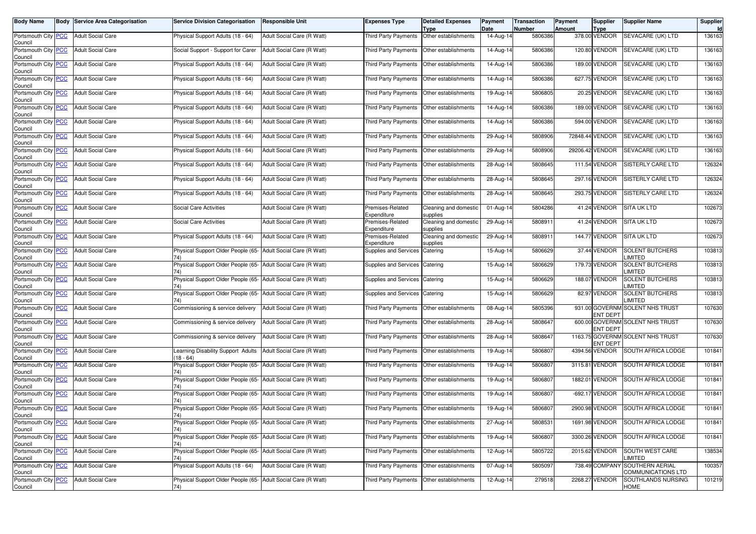| Body Name                                       |            | <b>Body Service Area Categorisation</b> | <b>Service Division Categorisation</b>                               | <b>Responsible Unit</b>    | Expenses Type                   | <b>Detailed Expenses</b><br><b>Type</b>      | Payment<br>Date         | <b>Transaction</b><br>Number | Payment<br>Amount | Supplier                     | <b>Supplier Name</b>                                 | <b>Supplier</b><br><b>Id</b> |
|-------------------------------------------------|------------|-----------------------------------------|----------------------------------------------------------------------|----------------------------|---------------------------------|----------------------------------------------|-------------------------|------------------------------|-------------------|------------------------------|------------------------------------------------------|------------------------------|
| Portsmouth City <b>PCC</b><br>Council           |            | <b>Adult Social Care</b>                | Physical Support Adults (18 - 64)                                    | Adult Social Care (R Watt) | <b>Third Party Payments</b>     | Other establishments                         | 14-Aug-14               | 5806386                      |                   | <b>Type</b><br>378.00 VENDOR | SEVACARE (UK) LTD                                    | 136163                       |
| Portsmouth City<br>Council                      | <b>PCC</b> | <b>Adult Social Care</b>                | Social Support - Support for Carer                                   | Adult Social Care (R Watt) | Third Party Payments            | Other establishments                         | 14-Aug-14               | 5806386                      |                   | 120.80 VENDOR                | SEVACARE (UK) LTD                                    | 136163                       |
| Portsmouth City <b>PCC</b><br>Council           |            | <b>Adult Social Care</b>                | Physical Support Adults (18 - 64)                                    | Adult Social Care (R Watt) | <b>Third Party Payments</b>     | Other establishments                         | 14-Aug-14               | 5806386                      |                   | 189.00 VENDOR                | SEVACARE (UK) LTD                                    | 136163                       |
| Portsmouth City PCC<br>Council                  |            | <b>Adult Social Care</b>                | Physical Support Adults (18 - 64)                                    | Adult Social Care (R Watt) | <b>Third Party Payments</b>     | Other establishments                         | $\overline{1}$ 4-Aug-14 | 5806386                      |                   | 627.75 VENDOR                | SEVACARE (UK) LTD                                    | 136163                       |
| Portsmouth City<br>Council                      | <b>PCC</b> | <b>Adult Social Care</b>                | Physical Support Adults (18 - 64)                                    | Adult Social Care (R Watt) | Third Party Payments            | Other establishments                         | 19-Aug-14               | 5806805                      |                   | 20.25 VENDOR                 | SEVACARE (UK) LTD                                    | 136163                       |
| Portsmouth City PCC<br>Council                  |            | <b>Adult Social Care</b>                | Physical Support Adults (18 - 64)                                    | Adult Social Care (R Watt) | Third Party Payments            | Other establishments                         | 14-Aug-14               | 5806386                      |                   | 189.00 VENDOR                | SEVACARE (UK) LTD                                    | 136163                       |
| Portsmouth City PCC<br>Council                  |            | <b>Adult Social Care</b>                | Physical Support Adults (18 - 64)                                    | Adult Social Care (R Watt) | Third Party Payments            | Other establishments                         | 14-Aug-14               | 5806386                      |                   | 594.00 VENDOR                | SEVACARE (UK) LTD                                    | 136163                       |
| Portsmouth City PCC<br>Council                  |            | <b>Adult Social Care</b>                | Physical Support Adults (18 - 64)                                    | Adult Social Care (R Watt) | Third Party Payments            | Other establishments                         | 29-Aug-14               | 5808906                      |                   | 72848.44 VENDOR              | SEVACARE (UK) LTD                                    | 136163                       |
| Portsmouth City PCC<br>Council                  |            | <b>Adult Social Care</b>                | Physical Support Adults (18 - 64)                                    | Adult Social Care (R Watt) | Third Party Payments            | Other establishments                         | 29-Aug-14               | 5808906                      |                   | 29206.42 VENDOR              | SEVACARE (UK) LTD                                    | 136163                       |
| Portsmouth City PCC<br>Council                  |            | <b>Adult Social Care</b>                | Physical Support Adults (18 - 64)                                    | Adult Social Care (R Watt) | Third Party Payments            | Other establishments                         | 28-Aug-14               | 5808645                      |                   | 111.54 VENDOR                | <b>SISTERLY CARE LTD</b>                             | 126324                       |
| Portsmouth City<br>Council                      | <u>PCC</u> | <b>Adult Social Care</b>                | Physical Support Adults (18 - 64)                                    | Adult Social Care (R Watt) | Third Party Payments            | Other establishments                         | 28-Aug-14               | 5808645                      |                   | 297.16 VENDOR                | <b>SISTERLY CARE LTD</b>                             | 126324                       |
| Portsmouth City PCC<br>Council                  |            | <b>Adult Social Care</b>                | Physical Support Adults (18 - 64)                                    | Adult Social Care (R Watt) | Third Party Payments            | Other establishments                         | 28-Aug-14               | 5808645                      |                   | 293.75 VENDOR                | SISTERLY CARE LTD                                    | 126324                       |
| Portsmouth City PCC<br>Council                  |            | <b>Adult Social Care</b>                | Social Care Activities                                               | Adult Social Care (R Watt) | Premises-Related<br>Expenditure | Cleaning and domestic<br>supplies            | 01-Aug-14               | 5804286                      |                   | 41.24 VENDOR                 | <b>SITA UK LTD</b>                                   | 102673                       |
| Portsmouth City<br>Council                      | <b>PCC</b> | <b>Adult Social Care</b>                | Social Care Activities                                               | Adult Social Care (R Watt) | Premises-Related<br>Expenditure | Cleaning and domestic<br>supplies            | 29-Aug-14               | 580891                       |                   | 41.24 VENDOR                 | <b>SITA UK LTD</b>                                   | 102673                       |
| Portsmouth City PCC<br>Council                  |            | <b>Adult Social Care</b>                | Physical Support Adults (18 - 64)                                    | Adult Social Care (R Watt) | Premises-Related<br>Expenditure | Cleaning and domestic<br>supplies            | 29-Aug-14               | 580891                       |                   | <b>144.77 VENDOR</b>         | <b>SITA UK LTD</b>                                   | 102673                       |
| Portsmouth City PCC<br>Council                  |            | <b>Adult Social Care</b>                | Physical Support Older People (65-<br>74)                            | Adult Social Care (R Watt) | Supplies and Services           | Catering                                     | 15-Aug-14               | 5806629                      |                   | 37.44 VENDOR                 | <b>SOLENT BUTCHERS</b><br>LIMITED                    | 103813                       |
| Portsmouth City PCC<br>Council                  |            | <b>Adult Social Care</b>                | Physical Support Older People (65- Adult Social Care (R Watt)        |                            | Supplies and Services           | Catering                                     | 15-Aug-14               | 5806629                      |                   | 179.73 VENDOR                | SOLENT BUTCHERS<br><b>LIMITED</b>                    | 103813                       |
| Portsmouth City PCC<br>Council                  |            | <b>Adult Social Care</b>                | Physical Support Older People (65- Adult Social Care (R Watt)<br>74) |                            | Supplies and Services           | Catering                                     | 15-Aug-14               | 5806629                      |                   | 188.07 VENDOR                | <b>SOLENT BUTCHERS</b><br><b>IMITED</b>              | 103813                       |
| Portsmouth City PCC<br>Council                  |            | <b>Adult Social Care</b>                | Physical Support Older People (65- Adult Social Care (R Watt)<br>74) |                            | Supplies and Services           | Catering                                     | 15-Aug-14               | 5806629                      |                   | 82.97 VENDOR                 | <b>SOLENT BUTCHERS</b><br>LIMITED                    | 103813                       |
| Portsmouth City PCC<br>Council                  |            | <b>Adult Social Care</b>                | Commissioning & service delivery                                     | Adult Social Care (R Watt) | Third Party Payments            | Other establishments                         | 08-Aug-14               | 5805396                      |                   | ENT DEPT                     | 931.00 GOVERNM SOLENT NHS TRUST                      | 107630                       |
| Portsmouth City PCC<br>Council                  |            | <b>Adult Social Care</b>                | Commissioning & service delivery                                     | Adult Social Care (R Watt) | Third Party Payments            | Other establishments                         | 28-Aug-14               | 5808647                      |                   | ENT DEPT                     | 600.00 GOVERNM SOLENT NHS TRUST                      | 107630                       |
| Portsmouth City PCC<br>Council                  |            | <b>Adult Social Care</b>                | Commissioning & service delivery                                     | Adult Social Care (R Watt) | Third Party Payments            | Other establishments                         | 28-Aug-14               | 5808647                      |                   | <b>ENT DEPT</b>              | 1163.75 GOVERNM SOLENT NHS TRUST                     | 107630                       |
| Portsmouth City PCC<br>Council                  |            | <b>Adult Social Care</b>                | Learning Disability Support Adults<br>(18 - 64)                      | Adult Social Care (R Watt) | Third Party Payments            | Other establishments                         | 19-Aug-14               | 5806807                      |                   | 4394.56 VENDOR               | SOUTH AFRICA LODGE                                   | 101841                       |
| Portsmouth City PCC<br>Council                  |            | <b>Adult Social Care</b>                | Physical Support Older People (65-<br>74)                            | Adult Social Care (R Watt) | Third Party Payments            | Other establishments                         | 19-Aug-14               | 5806807                      |                   | 3115.81 VENDOR               | SOUTH AFRICA LODGE                                   | 101841                       |
| Portsmouth City PCC<br>Council                  |            | <b>Adult Social Care</b>                | Physical Support Older People (65- Adult Social Care (R Watt)<br>74) |                            | <b>Third Party Payments</b>     | Other establishments                         | 19-Aug-14               | 5806807                      |                   | 1882.01 VENDOR               | <b>SOUTH AFRICA LODGE</b>                            | 101841                       |
| Portsmouth City PCC<br>Council                  |            | <b>Adult Social Care</b>                | Physical Support Older People (65- Adult Social Care (R Watt)        |                            | Third Party Payments            | Other establishments                         | 19-Aug-14               | 5806807                      |                   | -692.17 VENDOR               | SOUTH AFRICA LODGE                                   | 101841                       |
| Portsmouth City PCC<br>Council                  |            | <b>Adult Social Care</b>                | Physical Support Older People (65- Adult Social Care (R Watt)<br>74) |                            | Third Party Payments            | Other establishments                         | 19-Aug-14               | 5806807                      |                   | 2900.98 VENDOR               | SOUTH AFRICA LODGE                                   | 101841                       |
| Portsmouth City   <mark>PCC</mark>  <br>Council |            | <b>Adult Social Care</b>                | Physical Support Older People (65- Adult Social Care (R Watt)<br>74) |                            |                                 | I hird Party Payments   Other establishments | 27-Aug-14               | 5808531                      |                   | 1691.98 VENDOR               | SOUTH AFRICA LODGE                                   | 101841                       |
| Portsmouth City PCC<br>Council                  |            | <b>Adult Social Care</b>                | Physical Support Older People (65- Adult Social Care (R Watt)<br>74) |                            |                                 | Third Party Payments Other establishments    | 19-Aug-14               | 5806807                      |                   | 3300.26 VENDOR               | SOUTH AFRICA LODGE                                   | 101841                       |
| Portsmouth City PCC<br>Council                  |            | <b>Adult Social Care</b>                | Physical Support Older People (65- Adult Social Care (R Watt)<br>74) |                            |                                 | Third Party Payments Other establishments    | 12-Aug-14               | 5805722                      |                   | 2015.62 VENDOR               | SOUTH WEST CARE<br>LIMITED                           | 138534                       |
| Portsmouth City PCC<br>Council                  |            | <b>Adult Social Care</b>                | Physical Support Adults (18 - 64)                                    | Adult Social Care (R Watt) |                                 | Third Party Payments Other establishments    | 07-Aug-14               | 5805097                      |                   |                              | 738.49 COMPANY SOUTHERN AERIAL<br>COMMUNICATIONS LTD | 100357                       |
| Portsmouth City PCC<br>Council                  |            | <b>Adult Social Care</b>                | Physical Support Older People (65- Adult Social Care (R Watt)<br>74) |                            |                                 | Third Party Payments Other establishments    | 12-Aug-14               | 279518                       |                   | 2268.27 VENDOR               | SOUTHLANDS NURSING<br>HOME                           | 101219                       |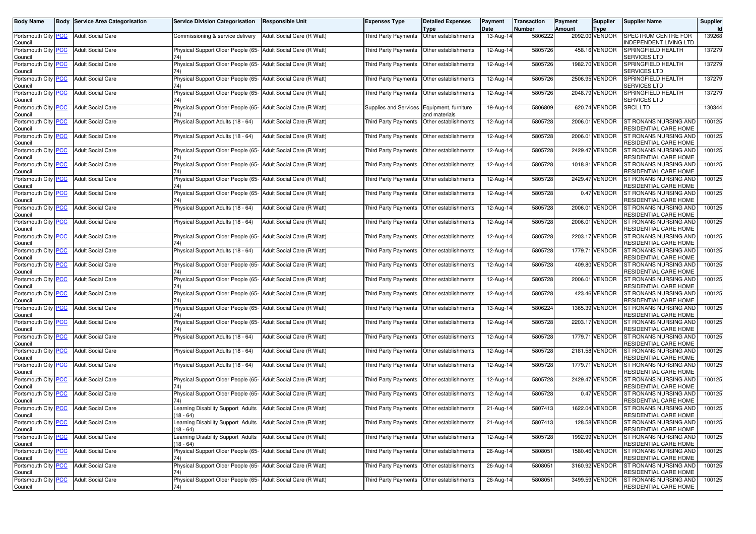| Body Name                                   |            | <b>Body Service Area Categorisation</b> | <b>Service Division Categorisation</b>                                       | Responsible Unit           | Expenses Type               | <b>Detailed Expenses</b><br>Type            | Payment<br>Date | <b>Transaction</b><br>Number | Payment<br>Amount | Supplier<br>Type | Supplier Name                                         | Supplier |
|---------------------------------------------|------------|-----------------------------------------|------------------------------------------------------------------------------|----------------------------|-----------------------------|---------------------------------------------|-----------------|------------------------------|-------------------|------------------|-------------------------------------------------------|----------|
| Portsmouth City PCC<br>Council              |            | <b>Adult Social Care</b>                | Commissioning & service delivery                                             | Adult Social Care (R Watt) | <b>Third Party Payments</b> | Other establishments                        | 13-Aug-14       | 5806222                      |                   | 2092.00 VENDOR   | SPECTRUM CENTRE FOR<br>INDEPENDENT LIVING LTD         | 139268   |
| Portsmouth City PCC<br>Council              |            | <b>Adult Social Care</b>                | Physical Support Older People (65- Adult Social Care (R Watt)                |                            | Third Party Payments        | Other establishments                        | 12-Aug-14       | 5805726                      |                   | 458.16 VENDOR    | SPRINGFIELD HEALTH<br><b>SERVICES LTD</b>             | 137279   |
| Portsmouth City<br>Council                  | PCC        | <b>Adult Social Care</b>                | Physical Support Older People (65- Adult Social Care (R Watt)                |                            | Third Party Payments        | Other establishments                        | 12-Aug-14       | 5805726                      |                   | 1982.70 VENDOR   | SPRINGFIELD HEALTH<br><b>SERVICES LTD</b>             | 137279   |
| Portsmouth City PCC<br>Council              |            | <b>Adult Social Care</b>                | Physical Support Older People (65- Adult Social Care (R Watt)                |                            | Third Party Payments        | Other establishments                        | 12-Aug-14       | 5805726                      |                   | 2506.95 VENDOR   | SPRINGFIELD HEALTH<br><b>SERVICES LTD</b>             | 137279   |
| Portsmouth City PCC<br>Council              |            | <b>Adult Social Care</b>                | Physical Support Older People (65- Adult Social Care (R Watt)<br>74)         |                            | Third Party Payments        | Other establishments                        | 12-Aug-14       | 5805726                      |                   | 2048.79 VENDOR   | SPRINGFIELD HEALTH<br>SERVICES LTD                    | 137279   |
| Portsmouth City<br>Council                  | <u>PCC</u> | <b>Adult Social Care</b>                | Physical Support Older People (65-                                           | Adult Social Care (R Watt) | Supplies and Services       | Equipment, furniture<br>and materials       | 19-Aug-14       | 5806809                      |                   | 620.74 VENDOR    | SRCL LTD                                              | 130344   |
| Portsmouth City PCC<br>Council              |            | <b>Adult Social Care</b>                | Physical Support Adults (18 - 64)                                            | Adult Social Care (R Watt) | Third Party Payments        | Other establishments                        | 12-Aug-14       | 5805728                      |                   | 2006.01 VENDOR   | ST RONANS NURSING AND<br>RESIDENTIAL CARE HOME        | 100125   |
| Portsmouth City PCC<br>Council              |            | <b>Adult Social Care</b>                | Physical Support Adults (18 - 64)                                            | Adult Social Care (R Watt) | Third Party Payments        | Other establishments                        | 12-Aug-14       | 5805728                      |                   | 2006.01 VENDOR   | ST RONANS NURSING AND<br>RESIDENTIAL CARE HOME        | 100125   |
| Portsmouth City PCC<br>Council              |            | <b>Adult Social Care</b>                | Physical Support Older People (65-                                           | Adult Social Care (R Watt) | <b>Third Party Payments</b> | Other establishments                        | 12-Aug-14       | 5805728                      |                   | 2429.47 VENDOR   | ST RONANS NURSING AND<br>RESIDENTIAL CARE HOME        | 100125   |
| Portsmouth City PCC<br>Council              |            | <b>Adult Social Care</b>                | Physical Support Older People (65- Adult Social Care (R Watt)<br>74)         |                            | Third Party Payments        | Other establishments                        | 12-Aug-14       | 5805728                      |                   | 1018.81 VENDOR   | ST RONANS NURSING AND<br>RESIDENTIAL CARE HOME        | 100125   |
| Portsmouth City PCC<br>Council              |            | <b>Adult Social Care</b>                | Physical Support Older People (65- Adult Social Care (R Watt)                |                            | Third Party Payments        | Other establishments                        | 12-Aug-14       | 5805728                      |                   | 2429.47 VENDOR   | ST RONANS NURSING AND<br>RESIDENTIAL CARE HOME        | 100125   |
| Portsmouth City PCC<br>Council              |            | <b>Adult Social Care</b>                | Physical Support Older People (65-                                           | Adult Social Care (R Watt) | Third Party Payments        | Other establishments                        | 12-Aug-14       | 5805728                      |                   | 0.47 VENDOR      | ST RONANS NURSING AND<br>RESIDENTIAL CARE HOME        | 100125   |
| Portsmouth City PCC<br>Council              |            | <b>Adult Social Care</b>                | Physical Support Adults (18 - 64)                                            | Adult Social Care (R Watt) | Third Party Payments        | Other establishments                        | 12-Aug-14       | 5805728                      |                   | 2006.01 VENDOR   | ST RONANS NURSING AND<br>RESIDENTIAL CARE HOME        | 100125   |
| Portsmouth City  <br>Council                | <b>PCC</b> | <b>Adult Social Care</b>                | Physical Support Adults (18 - 64)                                            | Adult Social Care (R Watt) | <b>Third Party Payments</b> | Other establishments                        | 12-Aug-14       | 5805728                      |                   | 2006.01 VENDOR   | ST RONANS NURSING AND<br>RESIDENTIAL CARE HOME        | 100125   |
| Portsmouth City PCC<br>Council              |            | <b>Adult Social Care</b>                | Physical Support Older People (65-                                           | Adult Social Care (R Watt) | Third Party Payments        | Other establishments                        | 12-Aug-14       | 5805728                      |                   | 2203.17 VENDOR   | ST RONANS NURSING AND<br>RESIDENTIAL CARE HOME        | 100125   |
| Portsmouth City PCC<br>Council              |            | <b>Adult Social Care</b>                | Physical Support Adults (18 - 64)                                            | Adult Social Care (R Watt) | Third Party Payments        | Other establishments                        | 12-Aug-14       | 5805728                      |                   | 1779.71 VENDOR   | ST RONANS NURSING AND<br>RESIDENTIAL CARE HOME        | 100125   |
| Portsmouth City<br>Council                  | <u>PCC</u> | <b>Adult Social Care</b>                | Physical Support Older People (65- Adult Social Care (R Watt)<br>74)         |                            | <b>Third Party Payments</b> | Other establishments                        | 12-Aug-14       | 5805728                      |                   | 409.80 VENDOR    | ST RONANS NURSING AND<br>RESIDENTIAL CARE HOME        | 100125   |
| Portsmouth City <mark>PCC</mark><br>Council |            | <b>Adult Social Care</b>                | Physical Support Older People (65- Adult Social Care (R Watt)                |                            | Third Party Payments        | Other establishments                        | 12-Aug-14       | 5805728                      |                   | 2006.01 VENDOR   | ST RONANS NURSING AND<br>RESIDENTIAL CARE HOME        | 100125   |
| Portsmouth City<br>Council                  | <b>PCC</b> | <b>Adult Social Care</b>                | Physical Support Older People (65- Adult Social Care (R Watt)                |                            | Third Party Payments        | Other establishments                        | 12-Aug-14       | 5805728                      |                   | 423.46 VENDOR    | ST RONANS NURSING AND<br>RESIDENTIAL CARE HOME        | 100125   |
| Portsmouth City  <br>Council                | <u>PCC</u> | <b>Adult Social Care</b>                | Physical Support Older People (65- Adult Social Care (R Watt)                |                            | <b>Third Party Payments</b> | Other establishments                        | 13-Aug-14       | 5806224                      |                   | 1365.39 VENDOR   | ST RONANS NURSING AND<br>RESIDENTIAL CARE HOME        | 100125   |
| Portsmouth City PCC<br>Council              |            | <b>Adult Social Care</b>                | Physical Support Older People (65- Adult Social Care (R Watt)                |                            | Third Party Payments        | Other establishments                        | 12-Aug-14       | 5805728                      |                   | 2203.17 VENDOR   | ST RONANS NURSING AND<br>RESIDENTIAL CARE HOME        | 100125   |
| Portsmouth City PCC<br>Council              |            | <b>Adult Social Care</b>                | Physical Support Adults (18 - 64)                                            | Adult Social Care (R Watt) | Third Party Payments        | Other establishments                        | 12-Aug-14       | 5805728                      |                   | 1779.71 VENDOR   | ST RONANS NURSING AND<br>RESIDENTIAL CARE HOME        | 100125   |
| Portsmouth City <mark>PCC</mark><br>Council |            | <b>Adult Social Care</b>                | Physical Support Adults (18 - 64)                                            | Adult Social Care (R Watt) | Third Party Payments        | Other establishments                        | 12-Aug-14       | 5805728                      |                   | 2181.58 VENDOR   | ST RONANS NURSING AND<br>RESIDENTIAL CARE HOME        | 100125   |
| Portsmouth City PCC<br>Council              |            | <b>Adult Social Care</b>                | Physical Support Adults (18 - 64)                                            | Adult Social Care (R Watt) | Third Party Payments        | Other establishments                        | 12-Aug-14       | 5805728                      |                   | 1779.71 VENDOR   | ST RONANS NURSING AND<br>RESIDENTIAL CARE HOME        | 100125   |
| Portsmouth City PCC<br>Council              |            | <b>Adult Social Care</b>                | Physical Support Older People (65- Adult Social Care (R Watt)                |                            | Third Party Payments        | Other establishments                        | 12-Aug-14       | 5805728                      |                   | 2429.47 VENDOR   | ST RONANS NURSING AND<br>RESIDENTIAL CARE HOME        | 100125   |
| Portsmouth City PCC<br>Council              |            | <b>Adult Social Care</b>                | Physical Support Older People (65- Adult Social Care (R Watt)                |                            | Third Party Payments        | Other establishments                        | 12-Aug-14       | 5805728                      |                   | 0.47 VENDOR      | ST RONANS NURSING AND<br>RESIDENTIAL CARE HOME        | 100125   |
| Portsmouth City <mark>PCC</mark><br>Council |            | <b>Adult Social Care</b>                | Learning Disability Support Adults<br>(18 - 64)                              | Adult Social Care (R Watt) | Third Party Payments        | Other establishments                        | 21-Aug-14       | 5807413                      |                   | 1622.04 VENDOR   | ST RONANS NURSING AND<br>RESIDENTIAL CARE HOME        | 100125   |
| Portsmouth City PCC<br>Council              |            | <b>Adult Social Care</b>                | Learning Disability Support Adults   Adult Social Care (R Watt)<br>$18 - 64$ |                            |                             | Third Party Payments   Other establishments | 21-Aug-14       | 5807413                      |                   | 128.58 VENDOR    | <b>ST RONANS NURSING AND</b><br>RESIDENTIAL CARE HOME | 100125   |
| Portsmouth City PCC<br>Council              |            | <b>Adult Social Care</b>                | Learning Disability Support Adults Adult Social Care (R Watt)<br>$18 - 64$   |                            |                             | Third Party Payments Other establishments   | 12-Aug-14       | 5805728                      |                   | 1992.99 VENDOR   | ST RONANS NURSING AND<br>RESIDENTIAL CARE HOME        | 100125   |
| Portsmouth City PCC<br>Council              |            | <b>Adult Social Care</b>                | Physical Support Older People (65- Adult Social Care (R Watt)<br>74)         |                            | <b>Third Party Payments</b> | Other establishments                        | 26-Aug-14       | 5808051                      |                   | 1580.46 VENDOR   | ST RONANS NURSING AND<br>RESIDENTIAL CARE HOME        | 100125   |
| Portsmouth City PCC<br>Council              |            | <b>Adult Social Care</b>                | Physical Support Older People (65- Adult Social Care (R Watt)<br>74)         |                            | Third Party Payments        | Other establishments                        | 26-Aug-14       | 5808051                      |                   | 3160.92 VENDOR   | ST RONANS NURSING AND<br>RESIDENTIAL CARE HOME        | 100125   |
| Portsmouth City PCC<br>Council              |            | <b>Adult Social Care</b>                | Physical Support Older People (65- Adult Social Care (R Watt)<br>74)         |                            | Third Party Payments        | Other establishments                        | 26-Aug-14       | 5808051                      |                   | 3499.59 VENDOR   | ST RONANS NURSING AND<br>RESIDENTIAL CARE HOME        | 100125   |
|                                             |            |                                         |                                                                              |                            |                             |                                             |                 |                              |                   |                  |                                                       |          |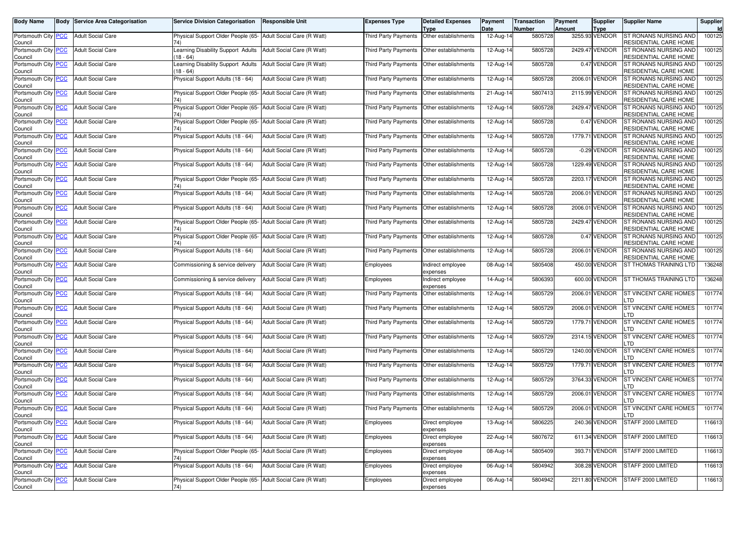| <b>Body Name</b>                            |             | <b>Body Service Area Categorisation</b> | <b>Service Division Categorisation</b>                               | Responsible Unit           | Expenses Type               | <b>Detailed Expenses</b><br>Type | Payment<br>Date | <b>Transaction</b><br>Number | Payment<br>Amount | Supplier<br>Type | Supplier Name                                  | Supplier |
|---------------------------------------------|-------------|-----------------------------------------|----------------------------------------------------------------------|----------------------------|-----------------------------|----------------------------------|-----------------|------------------------------|-------------------|------------------|------------------------------------------------|----------|
| Portsmouth City PCC<br>Council              |             | <b>Adult Social Care</b>                | Physical Support Older People (65- Adult Social Care (R Watt)<br>74) |                            | <b>Third Party Payments</b> | Other establishments             | 12-Aug-14       | 5805728                      |                   | 3255.93 VENDOR   | ST RONANS NURSING AND<br>RESIDENTIAL CARE HOME | 100125   |
| Portsmouth City  <br>Council                | <b>PCC</b>  | <b>Adult Social Care</b>                | Learning Disability Support Adults<br>$18 - 64$                      | Adult Social Care (R Watt) | Third Party Payments        | Other establishments             | 12-Aug-14       | 5805728                      |                   | 2429.47 VENDOR   | ST RONANS NURSING AND<br>RESIDENTIAL CARE HOME | 100125   |
| Portsmouth City<br>Council                  | PСC         | <b>Adult Social Care</b>                | Learning Disability Support Adults<br>18 - 64)                       | Adult Social Care (R Watt) | Third Party Payments        | Other establishments             | 12-Aug-14       | 5805728                      |                   | 0.47 VENDOR      | ST RONANS NURSING AND<br>RESIDENTIAL CARE HOME | 100125   |
| Portsmouth City PCC<br>Council              |             | <b>Adult Social Care</b>                | Physical Support Adults (18 - 64)                                    | Adult Social Care (R Watt) | Third Party Payments        | Other establishments             | 12-Aug-14       | 5805728                      |                   | 2006.01 VENDOR   | ST RONANS NURSING AND<br>RESIDENTIAL CARE HOME | 100125   |
| Portsmouth City  <br>Council                | <b>PCC</b>  | <b>Adult Social Care</b>                | Physical Support Older People (65- Adult Social Care (R Watt)<br>74) |                            | Third Party Payments        | Other establishments             | 21-Aug-14       | 5807413                      |                   | 2115.99 VENDOR   | ST RONANS NURSING AND<br>RESIDENTIAL CARE HOME | 100125   |
| Portsmouth City<br>Council                  | <u>PCC</u>  | <b>Adult Social Care</b>                | Physical Support Older People (65-                                   | Adult Social Care (R Watt) | <b>Third Party Payments</b> | Other establishments             | 12-Aug-14       | 5805728                      |                   | 2429.47 VENDOR   | ST RONANS NURSING AND<br>RESIDENTIAL CARE HOME | 100125   |
| Portsmouth City PCC<br>Council              |             | <b>Adult Social Care</b>                | Physical Support Older People (65- Adult Social Care (R Watt)<br>74) |                            | Third Party Payments        | Other establishments             | 12-Aug-14       | 5805728                      |                   | 0.47 VENDOR      | ST RONANS NURSING AND<br>RESIDENTIAL CARE HOME | 100125   |
| Portsmouth City<br>Council                  | <b>PCC</b>  | <b>Adult Social Care</b>                | Physical Support Adults (18 - 64)                                    | Adult Social Care (R Watt) | Third Party Payments        | Other establishments             | 12-Aug-14       | 5805728                      |                   | 1779.71 VENDOR   | ST RONANS NURSING AND<br>RESIDENTIAL CARE HOME | 100125   |
| Portsmouth City<br>Council                  | <b>PCC</b>  | <b>Adult Social Care</b>                | Physical Support Adults (18 - 64)                                    | Adult Social Care (R Watt) | <b>Third Party Payments</b> | Other establishments             | 12-Aug-14       | 5805728                      |                   | -0.29 VENDOR     | ST RONANS NURSING AND<br>RESIDENTIAL CARE HOME | 100125   |
| Portsmouth City PCC<br>Council              |             | <b>Adult Social Care</b>                | Physical Support Adults (18 - 64)                                    | Adult Social Care (R Watt) | Third Party Payments        | Other establishments             | 12-Aug-14       | 5805728                      |                   | 1229.49 VENDOR   | ST RONANS NURSING AND<br>RESIDENTIAL CARE HOME | 100125   |
| Portsmouth City  <br>Council                | <b>PCC</b>  | <b>Adult Social Care</b>                | Physical Support Older People (65-                                   | Adult Social Care (R Watt) | Third Party Payments        | Other establishments             | 12-Aug-14       | 5805728                      |                   | 2203.17 VENDOR   | ST RONANS NURSING AND<br>RESIDENTIAL CARE HOME | 100125   |
| Portsmouth City PCC<br>Council              |             | <b>Adult Social Care</b>                | Physical Support Adults (18 - 64)                                    | Adult Social Care (R Watt) | Third Party Payments        | Other establishments             | 12-Aug-14       | 5805728                      |                   | 2006.01 VENDOR   | ST RONANS NURSING AND<br>RESIDENTIAL CARE HOME | 100125   |
| Portsmouth City<br>Council                  | <u>PCC</u>  | <b>Adult Social Care</b>                | Physical Support Adults (18 - 64)                                    | Adult Social Care (R Watt) | Third Party Payments        | Other establishments             | 12-Aug-14       | 5805728                      |                   | 2006.01 VENDOR   | ST RONANS NURSING AND<br>RESIDENTIAL CARE HOME | 100125   |
| Portsmouth City<br>Council                  | <u>PCC</u>  | <b>Adult Social Care</b>                | Physical Support Older People (65-                                   | Adult Social Care (R Watt) | <b>Third Party Payments</b> | Other establishments             | 12-Aug-14       | 5805728                      |                   | 2429.47 VENDOR   | ST RONANS NURSING AND<br>RESIDENTIAL CARE HOME | 100125   |
| Portsmouth City PCC<br>Council              |             | <b>Adult Social Care</b>                | Physical Support Older People (65-                                   | Adult Social Care (R Watt) | Third Party Payments        | Other establishments             | 12-Aug-14       | 5805728                      |                   | 0.47 VENDOR      | ST RONANS NURSING AND<br>RESIDENTIAL CARE HOME | 100125   |
| Portsmouth City<br>Council                  | <b>PCC</b>  | <b>Adult Social Care</b>                | Physical Support Adults (18 - 64)                                    | Adult Social Care (R Watt) | Third Party Payments        | Other establishments             | 12-Aug-14       | 5805728                      |                   | 2006.01 VENDOR   | ST RONANS NURSING AND<br>RESIDENTIAL CARE HOME | 100125   |
| Portsmouth City<br>Council                  | <u>PCC</u>  | <b>Adult Social Care</b>                | Commissioning & service delivery                                     | Adult Social Care (R Watt) | Employees                   | Indirect employee<br>expenses    | 08-Aug-14       | 5805408                      |                   | 450.00 VENDOR    | ST THOMAS TRAINING LTD                         | 136248   |
| Portsmouth City <mark>PCC</mark><br>Council |             | <b>Adult Social Care</b>                | Commissioning & service delivery                                     | Adult Social Care (R Watt) | Employees                   | Indirect employee<br>expenses    | 14-Aug-14       | 5806393                      |                   | 600.00 VENDOR    | ST THOMAS TRAINING LTD                         | 136248   |
| Portsmouth City<br>Council                  | <u>PCC</u>  | <b>Adult Social Care</b>                | Physical Support Adults (18 - 64)                                    | Adult Social Care (R Watt) | Third Party Payments        | Other establishments             | 12-Aug-14       | 5805729                      |                   | 2006.01 VENDOR   | ST VINCENT CARE HOMES<br>.TD                   | 101774   |
| Portsmouth City<br>Council                  | <u> РСС</u> | <b>Adult Social Care</b>                | Physical Support Adults (18 - 64)                                    | Adult Social Care (R Watt) | <b>Third Party Payments</b> | Other establishments             | 12-Aug-14       | 5805729                      |                   | 2006.01 VENDOR   | ST VINCENT CARE HOMES<br>TD.                   | 101774   |
| Portsmouth City<br>Council                  | <b>PCC</b>  | <b>Adult Social Care</b>                | Physical Support Adults (18 - 64)                                    | Adult Social Care (R Watt) | Third Party Payments        | Other establishments             | 12-Aug-14       | 5805729                      |                   | 1779.71 VENDOR   | <b>ST VINCENT CARE HOMES</b><br>.TD            | 101774   |
| Portsmouth City PCC<br>Council              |             | <b>Adult Social Care</b>                | Physical Support Adults (18 - 64)                                    | Adult Social Care (R Watt) | Third Party Payments        | Other establishments             | 12-Aug-14       | 5805729                      |                   | 2314.15 VENDOR   | ST VINCENT CARE HOMES<br>TD.                   | 101774   |
| Portsmouth City PCC<br>Council              |             | <b>Adult Social Care</b>                | Physical Support Adults (18 - 64)                                    | Adult Social Care (R Watt) | <b>Third Party Payments</b> | Other establishments             | 12-Aug-14       | 5805729                      |                   | 1240.00 VENDOR   | ST VINCENT CARE HOMES<br>_TD                   | 101774   |
| Portsmouth City PCC<br>Council              |             | <b>Adult Social Care</b>                | Physical Support Adults (18 - 64)                                    | Adult Social Care (R Watt) | Third Party Payments        | Other establishments             | 12-Aug-14       | 5805729                      |                   | 1779.71 VENDOR   | ST VINCENT CARE HOMES<br>.TD                   | 101774   |
| Portsmouth City PCC<br>Council              |             | <b>Adult Social Care</b>                | Physical Support Adults (18 - 64)                                    | Adult Social Care (R Watt) | Third Party Payments        | Other establishments             | 12-Aug-14       | 5805729                      |                   | 3764.33 VENDOR   | ST VINCENT CARE HOMES<br>.TD                   | 101774   |
| Portsmouth City PCC<br>Council              |             | <b>Adult Social Care</b>                | Physical Support Adults (18 - 64)                                    | Adult Social Care (R Watt) | <b>Third Party Payments</b> | Other establishments             | 12-Aug-14       | 5805729                      |                   | 2006.01 VENDOR   | ST VINCENT CARE HOMES<br>_TD                   | 101774   |
| Portsmouth City <mark>PCC</mark><br>Council |             | <b>Adult Social Care</b>                | Physical Support Adults (18 - 64)                                    | Adult Social Care (R Watt) | Third Party Payments        | Other establishments             | 12-Aug-14       | 5805729                      |                   | 2006.01 VENDOR   | ST VINCENT CARE HOMES<br>_TD                   | 101774   |
| Portsmouth City PCC<br>Council              |             | <b>Adult Social Care</b>                | Physical Support Adults (18 - 64)                                    | Adult Social Care (R Watt) | Employees                   | Direct employee<br>expenses      | 13-Aug-14       | 5806225                      |                   | 240.36 VENDOR    | STAFF 2000 LIMITED                             | 116613   |
| Portsmouth City PCC<br>Council              |             | <b>Adult Social Care</b>                | Physical Support Adults (18 - 64)                                    | Adult Social Care (R Watt) | Employees                   | Direct employee<br>expenses      | 22-Aug-14       | 5807672                      |                   | 611.34 VENDOR    | STAFF 2000 LIMITED                             | 116613   |
| Portsmouth City PCC<br>Council              |             | <b>Adult Social Care</b>                | Physical Support Older People (65- Adult Social Care (R Watt)<br>74) |                            | Employees                   | Direct employee<br>expenses      | 08-Aug-14       | 5805409                      |                   | 393.71 VENDOR    | STAFF 2000 LIMITED                             | 116613   |
| Portsmouth City PCC<br>Council              |             | <b>Adult Social Care</b>                | Physical Support Adults (18 - 64)                                    | Adult Social Care (R Watt) | Employees                   | Direct employee<br>expenses      | 06-Aug-14       | 5804942                      |                   | 308.28 VENDOR    | STAFF 2000 LIMITED                             | 116613   |
| Portsmouth City PCC<br>Council              |             | <b>Adult Social Care</b>                | Physical Support Older People (65- Adult Social Care (R Watt)<br>74) |                            | Employees                   | Direct employee<br>expenses      | 06-Aug-14       | 5804942                      |                   | 2211.80 VENDOR   | STAFF 2000 LIMITED                             | 116613   |
|                                             |             |                                         |                                                                      |                            |                             |                                  |                 |                              |                   |                  |                                                |          |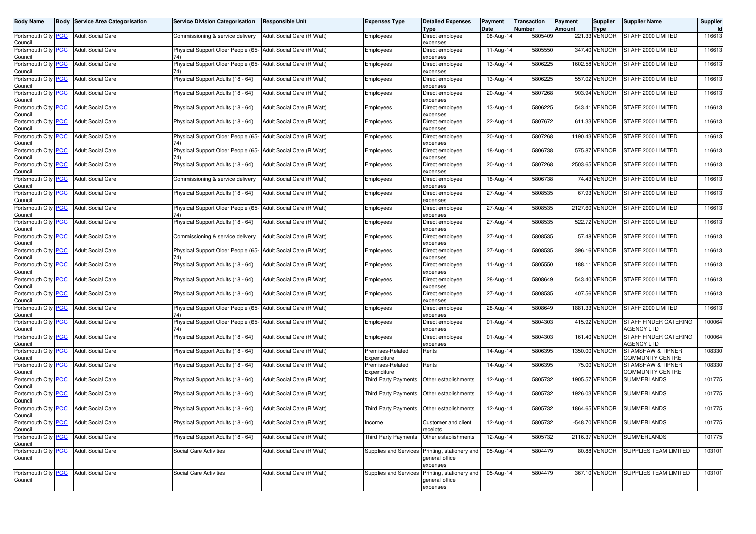| Body Name                             | Body | <b>Service Area Categorisation</b> | <b>Service Division Categorisation</b>    | <b>Responsible Unit</b>    | Expenses Type                   | <b>Detailed Expenses</b><br><b>Type</b>                | Payment<br>Date | <b>Transaction</b><br>Number | <b>Payment</b><br><b>Amount</b> | <b>Supplier</b><br><b>Type</b> | <b>Supplier Name</b>                       | Supplier<br>ld. |
|---------------------------------------|------|------------------------------------|-------------------------------------------|----------------------------|---------------------------------|--------------------------------------------------------|-----------------|------------------------------|---------------------------------|--------------------------------|--------------------------------------------|-----------------|
| Portsmouth City PCC<br>Council        |      | <b>Adult Social Care</b>           | Commissioning & service delivery          | Adult Social Care (R Watt) | Employees                       | Direct employee<br>expenses                            | 08-Aug-14       | 5805409                      |                                 | 221.33 VENDOR                  | STAFF 2000 LIMITED                         | 116613          |
| Portsmouth City PCC<br>Council        |      | <b>Adult Social Care</b>           | Physical Support Older People (65-<br>74) | Adult Social Care (R Watt) | Employees                       | Direct employee<br>expenses                            | 11-Aug-14       | 5805550                      |                                 | 347.40 VENDOR                  | STAFF 2000 LIMITED                         | 116613          |
| Portsmouth City <b>PCC</b><br>Council |      | <b>Adult Social Care</b>           | Physical Support Older People (65-        | Adult Social Care (R Watt) | Employees                       | Direct employee<br>expenses                            | 13-Aug-14       | 5806225                      |                                 | 1602.58 VENDOR                 | STAFF 2000 LIMITED                         | 116613          |
| Portsmouth City PCC<br>Council        |      | <b>Adult Social Care</b>           | Physical Support Adults (18 - 64)         | Adult Social Care (R Watt) | Employees                       | Direct employee<br>expenses                            | 13-Aug-14       | 5806225                      |                                 | 557.02 VENDOR                  | STAFF 2000 LIMITED                         | 116613          |
| Portsmouth City PCC<br>Council        |      | <b>Adult Social Care</b>           | Physical Support Adults (18 - 64)         | Adult Social Care (R Watt) | Employees                       | Direct employee<br>expenses                            | 20-Aug-14       | 5807268                      |                                 | 903.94 VENDOR                  | STAFF 2000 LIMITED                         | 116613          |
| Portsmouth City PCC<br>Council        |      | <b>Adult Social Care</b>           | Physical Support Adults (18 - 64)         | Adult Social Care (R Watt) | Employees                       | Direct employee<br>expenses                            | 13-Aug-14       | 5806225                      |                                 | 543.41 VENDOR                  | STAFF 2000 LIMITED                         | 116613          |
| Portsmouth City PCC<br>Council        |      | <b>Adult Social Care</b>           | Physical Support Adults (18 - 64)         | Adult Social Care (R Watt) | Employees                       | Direct employee<br>expenses                            | 22-Aug-14       | 5807672                      |                                 | 611.33 VENDOR                  | STAFF 2000 LIMITED                         | 116613          |
| Portsmouth City PCC<br>Council        |      | <b>Adult Social Care</b>           | Physical Support Older People (65-<br>74) | Adult Social Care (R Watt) | Employees                       | Direct employee<br>expenses                            | 20-Aug-14       | 5807268                      |                                 | 1190.43 VENDOR                 | STAFF 2000 LIMITED                         | 116613          |
| Portsmouth City PCC<br>Council        |      | <b>Adult Social Care</b>           | Physical Support Older People (65-        | Adult Social Care (R Watt) | Employees                       | Direct employee<br>expenses                            | 18-Aug-14       | 5806738                      |                                 | 575.87 VENDOR                  | STAFF 2000 LIMITED                         | 116613          |
| Portsmouth City <b>PCC</b><br>Council |      | <b>Adult Social Care</b>           | Physical Support Adults (18 - 64)         | Adult Social Care (R Watt) | Employees                       | Direct employee<br>expenses                            | 20-Aug-14       | 5807268                      |                                 | 2503.65 VENDOR                 | STAFF 2000 LIMITED                         | 116613          |
| Portsmouth City PCC<br>Council        |      | <b>Adult Social Care</b>           | Commissioning & service delivery          | Adult Social Care (R Watt) | Employees                       | Direct employee<br>expenses                            | 18-Aug-14       | 5806738                      |                                 | 74.43 VENDOR                   | STAFF 2000 LIMITED                         | 116613          |
| Portsmouth City PCC<br>Council        |      | <b>Adult Social Care</b>           | Physical Support Adults (18 - 64)         | Adult Social Care (R Watt) | Employees                       | Direct employee<br>expenses                            | 27-Aug-14       | 5808535                      |                                 | 67.93 VENDOR                   | STAFF 2000 LIMITED                         | 116613          |
| Portsmouth City PCC<br>Council        |      | <b>Adult Social Care</b>           | Physical Support Older People (65-<br>74  | Adult Social Care (R Watt) | Employees                       | Direct employee<br>expenses                            | 27-Aug-14       | 5808535                      |                                 | 2127.60 VENDOR                 | STAFF 2000 LIMITED                         | 116613          |
| Portsmouth City PCC<br>Council        |      | <b>Adult Social Care</b>           | Physical Support Adults (18 - 64)         | Adult Social Care (R Watt) | Employees                       | Direct employee<br>expenses                            | 27-Aug-14       | 5808535                      |                                 | 522.72 VENDOR                  | STAFF 2000 LIMITED                         | 116613          |
| Portsmouth City PCC<br>Council        |      | <b>Adult Social Care</b>           | Commissioning & service delivery          | Adult Social Care (R Watt) | Employees                       | Direct employee<br>expenses                            | 27-Aug-14       | 5808535                      |                                 | 57.48 VENDOR                   | STAFF 2000 LIMITED                         | 116613          |
| Portsmouth City PCC<br>Council        |      | <b>Adult Social Care</b>           | Physical Support Older People (65-<br>74  | Adult Social Care (R Watt) | Employees                       | Direct employee<br>expenses                            | 27-Aug-14       | 5808535                      |                                 | 396.16 VENDOR                  | STAFF 2000 LIMITED                         | 116613          |
| Portsmouth City PCC<br>Council        |      | <b>Adult Social Care</b>           | Physical Support Adults (18 - 64)         | Adult Social Care (R Watt) | Employees                       | Direct employee<br>expenses                            | 11-Aug-14       | 5805550                      |                                 | 188.11 VENDOR                  | STAFF 2000 LIMITED                         | 116613          |
| Portsmouth City PCC<br>Council        |      | <b>Adult Social Care</b>           | Physical Support Adults (18 - 64)         | Adult Social Care (R Watt) | Employees                       | Direct employee<br>expenses                            | 28-Aug-14       | 5808649                      |                                 | 543.40 VENDOR                  | STAFF 2000 LIMITED                         | 116613          |
| Portsmouth City PCC<br>Council        |      | <b>Adult Social Care</b>           | Physical Support Adults (18 - 64)         | Adult Social Care (R Watt) | Employees                       | Direct employee<br>expenses                            | 27-Aug-14       | 5808535                      |                                 | 407.56 VENDOR                  | STAFF 2000 LIMITED                         | 116613          |
| Portsmouth City PCC<br>Council        |      | <b>Adult Social Care</b>           | Physical Support Older People (65-<br>74) | Adult Social Care (R Watt) | Employees                       | Direct employee<br>expenses                            | 28-Aug-14       | 5808649                      |                                 | 1881.33 VENDOR                 | STAFF 2000 LIMITED                         | 116613          |
| Portsmouth City PCC<br>Council        |      | <b>Adult Social Care</b>           | Physical Support Older People (65-        | Adult Social Care (R Watt) | Employees                       | Direct employee<br>expenses                            | 01-Aug-14       | 5804303                      |                                 | 415.92 VENDOR                  | STAFF FINDER CATERING<br><b>AGENCY LTD</b> | 100064          |
| Portsmouth City PCC<br>Council        |      | <b>Adult Social Care</b>           | Physical Support Adults (18 - 64)         | Adult Social Care (R Watt) | Employees                       | Direct employee<br>expenses                            | 01-Aug-14       | 5804303                      |                                 | 161.40 VENDOR                  | STAFF FINDER CATERING<br><b>AGENCY LTD</b> | 100064          |
| Portsmouth City PCC<br>Council        |      | <b>Adult Social Care</b>           | Physical Support Adults (18 - 64)         | Adult Social Care (R Watt) | Premises-Related<br>Expenditure | Rents                                                  | 14-Aug-14       | 5806395                      |                                 | 1350.00 VENDOR                 | STAMSHAW & TIPNER<br>COMMUNITY CENTRE      | 108330          |
| Portsmouth City PCC<br>Council        |      | <b>Adult Social Care</b>           | Physical Support Adults (18 - 64)         | Adult Social Care (R Watt) | Premises-Related<br>Expenditure | Rents                                                  | 14-Aug-14       | 5806395                      |                                 | 75.00 VENDOR                   | STAMSHAW & TIPNER<br>COMMUNITY CENTRE      | 108330          |
| Portsmouth City PCC<br>Council        |      | <b>Adult Social Care</b>           | Physical Support Adults (18 - 64)         | Adult Social Care (R Watt) | Third Party Payments            | Other establishments                                   | 12-Aug-14       | 5805732                      |                                 | 1905.57 VENDOR                 | <b>SUMMERLANDS</b>                         | 101775          |
| Portsmouth City PCC<br>Council        |      | <b>Adult Social Care</b>           | Physical Support Adults (18 - 64)         | Adult Social Care (R Watt) | Third Party Payments            | Other establishments                                   | 12-Aug-14       | 5805732                      |                                 | 1926.03 VENDOR                 | <b>SUMMERLANDS</b>                         | 101775          |
| Portsmouth City PCC<br>Council        |      | <b>Adult Social Care</b>           | Physical Support Adults (18 - 64)         | Adult Social Care (R Watt) | Third Party Payments            | Other establishments                                   | 12-Aug-14       | 5805732                      |                                 | 1864.65 VENDOR                 | <b>SUMMERLANDS</b>                         | 101775          |
| Portsmouth City PCC<br>Council        |      | <b>Adult Social Care</b>           | Physical Support Adults (18 - 64)         | Adult Social Care (R Watt) | Income                          | Customer and client<br>receipts                        | 12-Aug-14       | 5805732                      |                                 | -548.70 VENDOR                 | SUMMERLANDS                                | 101775          |
| Portsmouth City PCC<br>Council        |      | <b>Adult Social Care</b>           | Physical Support Adults (18 - 64)         | Adult Social Care (R Watt) | Third Party Payments            | Other establishments                                   | 12-Aug-14       | 5805732                      |                                 | 2116.37 VENDOR                 | <b>SUMMERLANDS</b>                         | 101775          |
| Portsmouth City PCC<br>Council        |      | <b>Adult Social Care</b>           | Social Care Activities                    | Adult Social Care (R Watt) | Supplies and Services           | Printing, stationery and<br>general office<br>expenses | 05-Aug-14       | 5804479                      |                                 | 80.88 VENDOR                   | SUPPLIES TEAM LIMITED                      | 103101          |
| Portsmouth City PCC<br>Council        |      | <b>Adult Social Care</b>           | Social Care Activities                    | Adult Social Care (R Watt) | Supplies and Services           | Printing, stationery and<br>general office<br>expenses | 05-Aug-14       | 5804479                      |                                 | 367.10 VENDOR                  | SUPPLIES TEAM LIMITED                      | 103101          |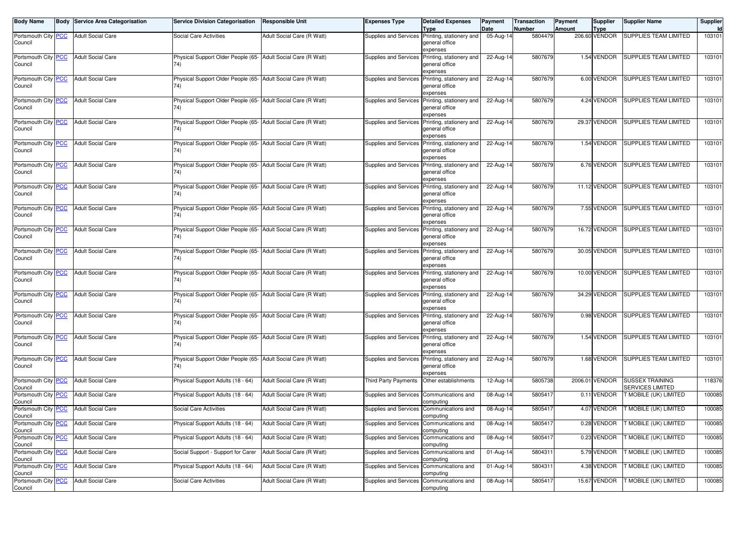| <b>Body Name</b>                              |            | <b>Body Service Area Categorisation</b> | <b>Service Division Categorisation</b>                               | <b>Responsible Unit</b>    | <b>Expenses Type</b>                     | <b>Detailed Expenses</b>                                                        | Payment<br>Date         | <b>Transaction</b><br><b>Number</b> | Payment<br><b>Amount</b> | <b>Supplier</b>       | <b>Supplier Name</b>                              | Supplier |
|-----------------------------------------------|------------|-----------------------------------------|----------------------------------------------------------------------|----------------------------|------------------------------------------|---------------------------------------------------------------------------------|-------------------------|-------------------------------------|--------------------------|-----------------------|---------------------------------------------------|----------|
| Portsmouth City<br>Council                    | <b>PCC</b> | <b>Adult Social Care</b>                | Social Care Activities                                               | Adult Social Care (R Watt) |                                          | <b>Type</b><br>Supplies and Services Printing, stationery and<br>general office | $\overline{05}$ -Aug-14 | 5804479                             |                          | Type<br>206.60 VENDOR | <b>SUPPLIES TEAM LIMITED</b>                      | 103101   |
| Portsmouth City PCC<br>Council                |            | <b>Adult Social Care</b>                | Physical Support Older People (65- Adult Social Care (R Watt)<br>74) |                            | Supplies and Services                    | expenses<br>Printing, stationery and<br>general office<br>expenses              | 22-Aug-14               | 5807679                             |                          | 1.54 VENDOR           | <b>SUPPLIES TEAM LIMITED</b>                      | 103101   |
| Portsmouth City<br>Council                    | <b>PCC</b> | <b>Adult Social Care</b>                | Physical Support Older People (65- Adult Social Care (R Watt)<br>74) |                            | Supplies and Services                    | Printing, stationery and<br>general office<br>expenses                          | 22-Aug-14               | 5807679                             |                          | 6.00 VENDOR           | <b>SUPPLIES TEAM LIMITED</b>                      | 103101   |
| Portsmouth City PCC<br>Council                |            | <b>Adult Social Care</b>                | Physical Support Older People (65- Adult Social Care (R Watt)<br>74) |                            | Supplies and Services                    | Printing, stationery and<br>general office<br>expenses                          | 22-Aug-14               | 5807679                             |                          | 4.24 VENDOR           | <b>SUPPLIES TEAM LIMITED</b>                      | 103101   |
| Portsmouth City PCC<br>Council                |            | <b>Adult Social Care</b>                | Physical Support Older People (65- Adult Social Care (R Watt)<br>74) |                            | Supplies and Services                    | Printing, stationery and<br>general office<br>expenses                          | $22-Aug-14$             | 5807679                             |                          | 29.37 VENDOR          | <b>SUPPLIES TEAM LIMITED</b>                      | 103101   |
| Portsmouth City<br>Council                    | <b>PCC</b> | <b>Adult Social Care</b>                | Physical Support Older People (65- Adult Social Care (R Watt)<br>74) |                            | Supplies and Services                    | Printing, stationery and<br>general office<br>expenses                          | 22-Aug-14               | 5807679                             |                          | 1.54 VENDOR           | <b>SUPPLIES TEAM LIMITED</b>                      | 103101   |
| Portsmouth City PCC<br>Council                |            | <b>Adult Social Care</b>                | Physical Support Older People (65- Adult Social Care (R Watt)<br>74) |                            | Supplies and Services                    | Printing, stationery and<br>general office<br>expenses                          | 22-Aug-14               | 5807679                             |                          | 6.76 VENDOR           | <b>SUPPLIES TEAM LIMITED</b>                      | 103101   |
| Portsmouth City PCC<br>Council                |            | <b>Adult Social Care</b>                | Physical Support Older People (65- Adult Social Care (R Watt)<br>74) |                            | Supplies and Services                    | Printing, stationery and<br>general office<br>expenses                          | $22-Aug-14$             | 5807679                             |                          | 11.12 VENDOR          | <b>SUPPLIES TEAM LIMITED</b>                      | 103101   |
| Portsmouth City<br>Council                    | <b>PCC</b> | <b>Adult Social Care</b>                | Physical Support Older People (65- Adult Social Care (R Watt)<br>74) |                            | Supplies and Services                    | Printing, stationery and<br>general office<br>expenses                          | 22-Aug-14               | 5807679                             |                          | 7.55 VENDOR           | SUPPLIES TEAM LIMITED                             | 103101   |
| Portsmouth City PCC<br>Council                |            | <b>Adult Social Care</b>                | Physical Support Older People (65- Adult Social Care (R Watt)<br>74) |                            | Supplies and Services                    | Printing, stationery and<br>general office<br>expenses                          | $22$ -Aug-14            | 5807679                             |                          | 16.72 VENDOR          | <b>SUPPLIES TEAM LIMITED</b>                      | 103101   |
| Portsmouth City PCC<br>Council                |            | <b>Adult Social Care</b>                | Physical Support Older People (65- Adult Social Care (R Watt)<br>74) |                            | Supplies and Services                    | Printing, stationery and<br>general office<br>expenses                          | 22-Aug-14               | 5807679                             |                          | 30.05 VENDOR          | <b>SUPPLIES TEAM LIMITED</b>                      | 103101   |
| Portsmouth City<br>Council                    | <b>PCC</b> | <b>Adult Social Care</b>                | Physical Support Older People (65- Adult Social Care (R Watt)<br>74) |                            | Supplies and Services                    | Printing, stationery and<br>general office<br>expenses                          | 22-Aug-14               | 5807679                             |                          | 10.00 VENDOR          | SUPPLIES TEAM LIMITED                             | 103101   |
| Portsmouth City PCC<br>Council                |            | <b>Adult Social Care</b>                | Physical Support Older People (65- Adult Social Care (R Watt)<br>74) |                            | Supplies and Services                    | Printing, stationery and<br>general office<br>expenses                          | 22-Aug-14               | 5807679                             |                          | 34.29 VENDOR          | SUPPLIES TEAM LIMITED                             | 103101   |
| Portsmouth City PCC<br>Council                |            | <b>Adult Social Care</b>                | Physical Support Older People (65- Adult Social Care (R Watt)<br>74) |                            |                                          | Supplies and Services Printing, stationery and<br>general office<br>expenses    | 22-Aug-14               | 5807679                             |                          | 0.98 VENDOR           | SUPPLIES TEAM LIMITED                             | 103101   |
| Portsmouth City PCC<br>Council                |            | <b>Adult Social Care</b>                | Physical Support Older People (65- Adult Social Care (R Watt)<br>74) |                            |                                          | Supplies and Services Printing, stationery and<br>general office<br>expenses    | 22-Aug-14               | 5807679                             |                          | 1.54 VENDOR           | SUPPLIES TEAM LIMITED                             | 103101   |
| Portsmouth City PCC<br>Council                |            | <b>Adult Social Care</b>                | Physical Support Older People (65- Adult Social Care (R Watt)<br>74) |                            | Supplies and Services                    | Printing, stationery and<br>general office<br>expenses                          | 22-Aug-14               | 5807679                             |                          | 1.68 VENDOR           | SUPPLIES TEAM LIMITED                             | 103101   |
| Portsmouth City PCC<br>Council                |            | <b>Adult Social Care</b>                | Physical Support Adults (18 - 64)                                    | Adult Social Care (R Watt) | <b>Third Party Payments</b>              | Other establishments                                                            | 12-Aug-14               | 5805738                             |                          | 2006.01 VENDOR        | <b>SUSSEX TRAINING</b><br><b>SERVICES LIMITED</b> | 118376   |
| Portsmouth City<br>Council                    | <u>PCC</u> | <b>Adult Social Care</b>                | Physical Support Adults (18 - 64)                                    | Adult Social Care (R Watt) | Supplies and Services Communications and | computing                                                                       | 08-Aug-14               | 5805417                             | 0.11                     | <b>VENDOR</b>         | T MOBILE (UK) LIMITED                             | 100085   |
| Portsmouth City PCC<br>Council                |            | <b>Adult Social Care</b>                | Social Care Activities                                               | Adult Social Care (R Watt) | Supplies and Services                    | Communications and<br>computing                                                 | 08-Aug-14               | 5805417                             |                          | 4.07 VENDOR           | T MOBILE (UK) LIMITED                             | 100085   |
| Portsmouth City   <mark>PCC</mark><br>Council |            | Adult Social Care                       | Physical Support Adults (18 - 64)                                    | Adult Social Care (R Watt) | Supplies and Services Communications and | computing                                                                       | 08-Aug-14               | 5805417                             |                          | 0.28 VENDOR           | <b>T MOBILE (UK) LIMITED</b>                      | 100085   |
| Portsmouth City PCC<br>Council                |            | <b>Adult Social Care</b>                | Physical Support Adults (18 - 64)                                    | Adult Social Care (R Watt) | Supplies and Services                    | Communications and<br>computing                                                 | 08-Aug-14               | 5805417                             |                          | 0.23 VENDOR           | T MOBILE (UK) LIMITED                             | 100085   |
| Portsmouth City PCC<br>Council                |            | <b>Adult Social Care</b>                | Social Support - Support for Carer                                   | Adult Social Care (R Watt) | Supplies and Services Communications and | computing                                                                       | 01-Aug-14               | 5804311                             |                          | 5.79 VENDOR           | T MOBILE (UK) LIMITED                             | 100085   |
| Portsmouth City PCC<br>Council                |            | <b>Adult Social Care</b>                | Physical Support Adults (18 - 64)                                    | Adult Social Care (R Watt) | Supplies and Services                    | Communications and<br>computing                                                 | 01-Aug-14               | 5804311                             |                          | 4.38 VENDOR           | T MOBILE (UK) LIMITED                             | 100085   |
| Portsmouth City<br>Council                    | <b>PCC</b> | <b>Adult Social Care</b>                | Social Care Activities                                               | Adult Social Care (R Watt) | Supplies and Services                    | Communications and<br>computing                                                 | 08-Aug-14               | 5805417                             |                          | 15.67 VENDOR          | T MOBILE (UK) LIMITED                             | 100085   |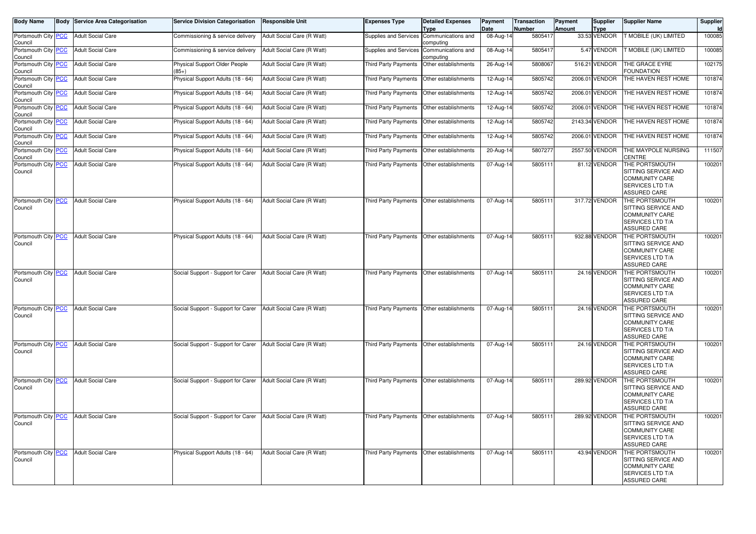| <b>Body Name</b>               |            | <b>Body Service Area Categorisation</b> | <b>Service Division Categorisation</b>                        | <b>Responsible Unit</b>    | <b>Expenses Type</b>                      | <b>Detailed Expenses</b><br><b>Type</b> | Payment<br>Date | <b>Transaction</b><br>Number | <b>Payment</b><br>Amount | <b>Supplier</b><br><b>Type</b> | <b>Supplier Name</b>                                                                                             | Supplier<br>Id |
|--------------------------------|------------|-----------------------------------------|---------------------------------------------------------------|----------------------------|-------------------------------------------|-----------------------------------------|-----------------|------------------------------|--------------------------|--------------------------------|------------------------------------------------------------------------------------------------------------------|----------------|
| Portsmouth City<br>Council     | PCC        | <b>Adult Social Care</b>                | Commissioning & service delivery                              | Adult Social Care (R Watt) | Supplies and Services                     | Communications and<br>computing         | 08-Aug-14       | 5805417                      |                          | 33.53 VENDOR                   | T MOBILE (UK) LIMITED                                                                                            | 100085         |
| Portsmouth City<br>Council     | PCC        | <b>Adult Social Care</b>                | Commissioning & service delivery                              | Adult Social Care (R Watt) | Supplies and Services                     | Communications and<br>computing         | 08-Aug-14       | 5805417                      |                          | 5.47 VENDOR                    | T MOBILE (UK) LIMITED                                                                                            | 100085         |
| Portsmouth City<br>Council     | <b>PCC</b> | <b>Adult Social Care</b>                | Physical Support Older People<br>$(85+)$                      | Adult Social Care (R Watt) | <b>Third Party Payments</b>               | Other establishments                    | 26-Aug-14       | 5808067                      |                          | 516.21 VENDOR                  | THE GRACE EYRE<br><b>FOUNDATION</b>                                                                              | 102175         |
| Portsmouth City<br>Council     | <b>PCC</b> | <b>Adult Social Care</b>                | Physical Support Adults (18 - 64)                             | Adult Social Care (R Watt) | <b>Third Party Payments</b>               | Other establishments                    | 12-Aug-14       | 5805742                      |                          | 2006.01 VENDOR                 | THE HAVEN REST HOME                                                                                              | 101874         |
| Portsmouth City<br>Council     | <b>PCC</b> | <b>Adult Social Care</b>                | Physical Support Adults (18 - 64)                             | Adult Social Care (R Watt) | Third Party Payments                      | Other establishments                    | 12-Aug-14       | 5805742                      |                          | 2006.01 VENDOR                 | THE HAVEN REST HOME                                                                                              | 101874         |
| Portsmouth City<br>Council     | <b>PCC</b> | <b>Adult Social Care</b>                | Physical Support Adults (18 - 64)                             | Adult Social Care (R Watt) | <b>Third Party Payments</b>               | Other establishments                    | 12-Aug-14       | 5805742                      |                          | 2006.01 VENDOR                 | THE HAVEN REST HOME                                                                                              | 101874         |
| Portsmouth City<br>Council     | PCC        | <b>Adult Social Care</b>                | Physical Support Adults (18 - 64)                             | Adult Social Care (R Watt) | Third Party Payments                      | Other establishments                    | 12-Aug-14       | 5805742                      |                          | 2143.34 VENDOR                 | THE HAVEN REST HOME                                                                                              | 101874         |
| Portsmouth City<br>Council     | <b>PCC</b> | <b>Adult Social Care</b>                | Physical Support Adults (18 - 64)                             | Adult Social Care (R Watt) | Third Party Payments                      | Other establishments                    | 12-Aug-14       | 5805742                      |                          | 2006.01 VENDOR                 | THE HAVEN REST HOME                                                                                              | 101874         |
| Portsmouth City<br>Council     | <u>PCC</u> | <b>Adult Social Care</b>                | Physical Support Adults (18 - 64)                             | Adult Social Care (R Watt) | Third Party Payments                      | Other establishments                    | 20-Aug-14       | 5807277                      |                          | 2557.50 VENDOR                 | THE MAYPOLE NURSING<br>CENTRE                                                                                    | 111507         |
| Portsmouth City<br>Council     | PCC        | <b>Adult Social Care</b>                | Physical Support Adults (18 - 64)                             | Adult Social Care (R Watt) | Third Party Payments                      | Other establishments                    | 07-Aug-14       | 5805111                      |                          | 81.12 VENDOR                   | THE PORTSMOUTH<br>SITTING SERVICE AND<br><b>COMMUNITY CARE</b><br>SERVICES LTD T/A<br>ASSURED CARE               | 100201         |
| Portsmouth City<br>Council     | <b>PCC</b> | <b>Adult Social Care</b>                | Physical Support Adults (18 - 64)                             | Adult Social Care (R Watt) | Third Party Payments                      | Other establishments                    | 07-Aug-14       | 5805111                      |                          | 317.72 VENDOR                  | THE PORTSMOUTH<br>SITTING SERVICE AND<br><b>COMMUNITY CARE</b><br>SERVICES LTD T/A<br><b>ASSURED CARE</b>        | 100201         |
| Portsmouth City PCC<br>Council |            | <b>Adult Social Care</b>                | Physical Support Adults (18 - 64)                             | Adult Social Care (R Watt) | Third Party Payments                      | Other establishments                    | 07-Aug-14       | 5805111                      |                          | 932.88 VENDOR                  | THE PORTSMOUTH<br>SITTING SERVICE AND<br><b>COMMUNITY CARE</b><br><b>SERVICES LTD T/A</b><br><b>ASSURED CARE</b> | 100201         |
| Portsmouth City<br>Council     | <u>PCC</u> | <b>Adult Social Care</b>                | Social Support - Support for Carer                            | Adult Social Care (R Watt) | Third Party Payments                      | Other establishments                    | 07-Aug-14       | 5805111                      |                          | 24.16 VENDOR                   | THE PORTSMOUTH<br>SITTING SERVICE AND<br><b>COMMUNITY CARE</b><br>SERVICES LTD T/A<br><b>ASSURED CARE</b>        | 100201         |
| Portsmouth City<br>Council     | <b>PCC</b> | <b>Adult Social Care</b>                | Social Support - Support for Carer                            | Adult Social Care (R Watt) | Third Party Payments                      | Other establishments                    | 07-Aug-14       | 5805111                      |                          | 24.16 VENDOR                   | THE PORTSMOUTH<br>SITTING SERVICE AND<br><b>COMMUNITY CARE</b><br>SERVICES LTD T/A<br><b>ASSURED CARE</b>        | 100201         |
| Portsmouth City PCC<br>Council |            | <b>Adult Social Care</b>                | Social Support - Support for Carer                            | Adult Social Care (R Watt) | Third Party Payments                      | Other establishments                    | 07-Aug-1        | 580511                       |                          | 24.16 VENDOR                   | THE PORTSMOUTH<br>SITTING SERVICE AND<br><b>COMMUNITY CARE</b><br>SERVICES LTD T/A<br><b>ASSURED CARE</b>        | 100201         |
| Portsmouth City<br>Council     | <b>PCC</b> | <b>Adult Social Care</b>                | Social Support - Support for Carer                            | Adult Social Care (R Watt) | Third Party Payments                      | Other establishments                    | 07-Aug-14       | 5805111                      |                          | 289.92 VENDOR                  | THE PORTSMOUTH<br>SITTING SERVICE AND<br><b>COMMUNITY CARE</b><br>SERVICES LTD T/A<br><b>ASSURED CARE</b>        | 100201         |
| Portsmouth City<br>Council     | <b>PCC</b> | <b>Adult Social Care</b>                | Social Support - Support for Carer Adult Social Care (R Watt) |                            | Third Party Payments Other establishments |                                         | 07-Aug-14       | 5805111                      |                          | 289.92 VENDOR                  | THE PORTSMOUTH<br>SITTING SERVICE AND<br><b>COMMUNITY CARE</b><br>SERVICES LTD T/A<br><b>ASSURED CARE</b>        | 100201         |
| Portsmouth City<br>Council     | <b>PCC</b> | <b>Adult Social Care</b>                | Physical Support Adults (18 - 64)                             | Adult Social Care (R Watt) | Third Party Payments Other establishments |                                         | 07-Aug-14       | 5805111                      |                          | 43.94 VENDOR                   | THE PORTSMOUTH<br>SITTING SERVICE AND<br><b>COMMUNITY CARE</b><br>SERVICES LTD T/A<br><b>ASSURED CARE</b>        | 100201         |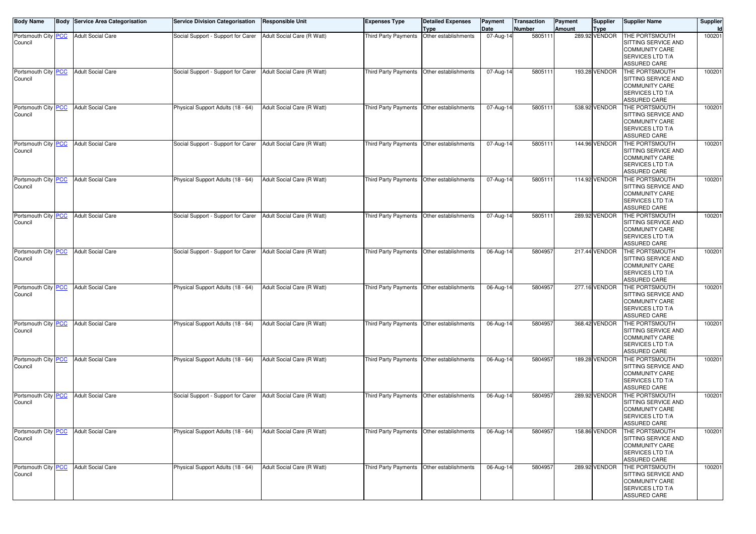| <b>Body Name</b>                 | Body | Service Area Categorisation           | <b>Service Division Categorisation</b> | <b>Responsible Unit</b>    | Expenses Type               | <b>Detailed Expenses</b><br>Type          | Payment<br>Date | ransaction<br>Number | Payment<br>Amount | <b>Supplier</b><br>Type | <b>Supplier Name</b>                                                                                      | Supplier |
|----------------------------------|------|---------------------------------------|----------------------------------------|----------------------------|-----------------------------|-------------------------------------------|-----------------|----------------------|-------------------|-------------------------|-----------------------------------------------------------------------------------------------------------|----------|
| Portsmouth City   PCC<br>Council |      | <b>Adult Social Care</b>              | Social Support - Support for Carer     | Adult Social Care (R Watt) | Third Party Payments        | Other establishments                      | 07-Aug-14       | 580511               |                   | 289.92 VENDOR           | THE PORTSMOUTH<br>SITTING SERVICE AND<br><b>COMMUNITY CARE</b><br>SERVICES LTD T/A<br>ASSURED CARE        | 10020    |
| Portsmouth City PCC<br>Council   |      | <b>Adult Social Care</b>              | Social Support - Support for Carer     | Adult Social Care (R Watt) |                             | Third Party Payments Other establishments | 07-Aug-14       | 580511               |                   | 193.28 VENDOR           | THE PORTSMOUTH<br>SITTING SERVICE AND<br><b>COMMUNITY CARE</b><br>SERVICES LTD T/A<br>ASSURED CARE        | 10020    |
| Portsmouth City PCC<br>Council   |      | <b>Adult Social Care</b>              | Physical Support Adults (18 - 64)      | Adult Social Care (R Watt) | <b>Third Party Payments</b> | Other establishments                      | 07-Aug-14       | 580511               |                   | 538.92 VENDOR           | THE PORTSMOUTH<br>SITTING SERVICE AND<br><b>COMMUNITY CARE</b><br>SERVICES LTD T/A<br>ASSURED CARE        | 10020    |
| Portsmouth City PCC<br>Council   |      | <b>Adult Social Care</b>              | Social Support - Support for Carer     | Adult Social Care (R Watt) | Third Party Payments        | Other establishments                      | 07-Aug-14       | 580511               |                   | 144.96 VENDOR           | THE PORTSMOUTH<br>SITTING SERVICE AND<br><b>COMMUNITY CARE</b><br>SERVICES LTD T/A<br>ASSURED CARE        | 10020    |
| Portsmouth City PCC<br>Council   |      | <b>Adult Social Care</b>              | Physical Support Adults (18 - 64)      | Adult Social Care (R Watt) | Third Party Payments        | Other establishments                      | 07-Aug-14       | 580511               |                   | 114.92 VENDOR           | THE PORTSMOUTH<br>SITTING SERVICE AND<br><b>COMMUNITY CARE</b><br>SERVICES LTD T/A<br><b>ASSURED CARE</b> | 10020    |
| Portsmouth City PCC<br>Council   |      | <b>Adult Social Care</b>              | Social Support - Support for Carer     | Adult Social Care (R Watt) | Third Party Payments        | Other establishments                      | 07-Aug-14       | 580511               |                   | 289.92 VENDOR           | THE PORTSMOUTH<br>SITTING SERVICE AND<br><b>COMMUNITY CARE</b><br>SERVICES LTD T/A<br>ASSURED CARE        | 10020    |
| Portsmouth City PCC<br>Council   |      | <b>Adult Social Care</b>              | Social Support - Support for Carer     | Adult Social Care (R Watt) | Third Party Payments        | Other establishments                      | 06-Aug-1        | 5804957              |                   | 217.44 VENDOR           | THE PORTSMOUTH<br>SITTING SERVICE AND<br>COMMUNITY CARE<br>SERVICES LTD T/A<br>ASSURED CARE               | 10020    |
| Portsmouth City PCC<br>Council   |      | <b>Adult Social Care</b>              | Physical Support Adults (18 - 64)      | Adult Social Care (R Watt) | Third Party Payments        | Other establishments                      | 06-Aug-14       | 5804957              |                   | 277.16 VENDOR           | THE PORTSMOUTH<br>SITTING SERVICE AND<br><b>COMMUNITY CARE</b><br>SERVICES LTD T/A<br>ASSURED CARE        | 10020    |
| Portsmouth City PCC<br>Council   |      | <b>Adult Social Care</b>              | Physical Support Adults (18 - 64)      | Adult Social Care (R Watt) | Third Party Payments        | Other establishments                      | 06-Aug-14       | 5804957              |                   | 368.42 VENDOR           | THE PORTSMOUTH<br>SITTING SERVICE AND<br><b>COMMUNITY CARE</b><br>SERVICES LTD T/A<br>ASSURED CARE        | 10020    |
| Portsmouth City PCC<br>Council   |      | <b>Adult Social Care</b>              | Physical Support Adults (18 - 64)      | Adult Social Care (R Watt) | Third Party Payments        | Other establishments                      | 06-Aug-14       | 5804957              |                   | 189.28 VENDOR           | THE PORTSMOUTH<br>SITTING SERVICE AND<br>COMMUNITY CARE<br>SERVICES LTD T/A<br><b>ASSURED CARE</b>        | 10020    |
| Portsmouth City PCC<br>Council   |      | <b>Adult Social Care</b>              | Social Support - Support for Carer     | Adult Social Care (R Watt) | Third Party Payments        | Other establishments                      | 06-Aug-14       | 5804957              |                   | 289.92 VENDOR           | THE PORTSMOUTH<br>SITTING SERVICE AND<br><b>COMMUNITY CARE</b><br>SERVICES LTD T/A<br><b>ASSURED CARE</b> | 10020    |
| Portsmouth City   PCC<br>Council |      | <b>Adult Social Care</b>              | Physical Support Adults (18 - 64)      | Adult Social Care (R Watt) |                             | Third Party Payments Other establishments | 06-Aug-14       | 5804957              |                   | 158.86 VENDOR           | THE PORTSMOUTH<br>SITTING SERVICE AND<br><b>COMMUNITY CARE</b><br>SERVICES LTD T/A<br>ASSURED CARE        | 10020    |
| Council                          |      | Portsmouth City PCC Adult Social Care | Physical Support Adults (18 - 64)      | Adult Social Care (R Watt) |                             | Third Party Payments Other establishments | 06-Aug-14       | 5804957              |                   | 289.92 VENDOR           | THE PORTSMOUTH<br>SITTING SERVICE AND<br>COMMUNITY CARE<br>SERVICES LTD T/A<br>ASSURED CARE               | 10020    |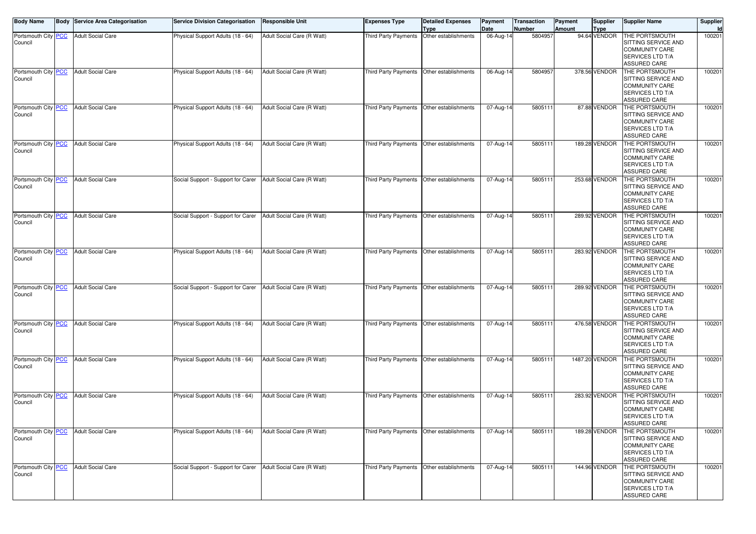| <b>Body Name</b>                 | Body | Service Area Categorisation           | <b>Service Division Categorisation</b>                        | Responsible Unit           | Expenses Type               | Detailed Expenses<br>Type                 | Payment<br>Date | ransaction<br>Number | Payment<br>Amount | <b>Supplier</b><br>Type | <b>Supplier Name</b>                                                                                      | Supplier |
|----------------------------------|------|---------------------------------------|---------------------------------------------------------------|----------------------------|-----------------------------|-------------------------------------------|-----------------|----------------------|-------------------|-------------------------|-----------------------------------------------------------------------------------------------------------|----------|
| Portsmouth City   PCC<br>Council |      | <b>Adult Social Care</b>              | Physical Support Adults (18 - 64)                             | Adult Social Care (R Watt) | Third Party Payments        | Other establishments                      | 06-Aug-14       | 5804957              |                   | 94.64 VENDOR            | THE PORTSMOUTH<br>SITTING SERVICE AND<br><b>COMMUNITY CARE</b><br>SERVICES LTD T/A<br>ASSURED CARE        | 10020    |
| Portsmouth City PCC<br>Council   |      | <b>Adult Social Care</b>              | Physical Support Adults (18 - 64)                             | Adult Social Care (R Watt) |                             | Third Party Payments Other establishments | 06-Aug-14       | 5804957              |                   | 378.56 VENDOR           | THE PORTSMOUTH<br>SITTING SERVICE AND<br><b>COMMUNITY CARE</b><br>SERVICES LTD T/A<br>ASSURED CARE        | 10020    |
| Portsmouth City PCC<br>Council   |      | <b>Adult Social Care</b>              | Physical Support Adults (18 - 64)                             | Adult Social Care (R Watt) | <b>Third Party Payments</b> | Other establishments                      | 07-Aug-14       | 580511               |                   | 87.88 VENDOR            | THE PORTSMOUTH<br>SITTING SERVICE AND<br><b>COMMUNITY CARE</b><br>SERVICES LTD T/A<br>ASSURED CARE        | 10020    |
| Portsmouth City PCC<br>Council   |      | <b>Adult Social Care</b>              | Physical Support Adults (18 - 64)                             | Adult Social Care (R Watt) | Third Party Payments        | Other establishments                      | 07-Aug-14       | 580511               |                   | 189.28 VENDOR           | THE PORTSMOUTH<br>SITTING SERVICE AND<br><b>COMMUNITY CARE</b><br>SERVICES LTD T/A<br>ASSURED CARE        | 10020    |
| Portsmouth City PCC<br>Council   |      | <b>Adult Social Care</b>              | Social Support - Support for Carer                            | Adult Social Care (R Watt) | Third Party Payments        | Other establishments                      | 07-Aug-14       | 580511               |                   | 253.68 VENDOR           | THE PORTSMOUTH<br>SITTING SERVICE AND<br><b>COMMUNITY CARE</b><br>SERVICES LTD T/A<br>ASSURED CARE        | 10020    |
| Portsmouth City PCC<br>Council   |      | <b>Adult Social Care</b>              | Social Support - Support for Carer                            | Adult Social Care (R Watt) | Third Party Payments        | Other establishments                      | 07-Aug-14       | 580511               |                   | 289.92 VENDOR           | THE PORTSMOUTH<br>SITTING SERVICE AND<br><b>COMMUNITY CARE</b><br>SERVICES LTD T/A<br>ASSURED CARE        | 10020    |
| Portsmouth City PCC<br>Council   |      | <b>Adult Social Care</b>              | Physical Support Adults (18 - 64)                             | Adult Social Care (R Watt) | Third Party Payments        | Other establishments                      | 07-Aug-14       | 580511               |                   | 283.92 VENDOR           | THE PORTSMOUTH<br>SITTING SERVICE AND<br>COMMUNITY CARE<br>SERVICES LTD T/A<br>ASSURED CARE               | 10020    |
| Portsmouth City PCC<br>Council   |      | <b>Adult Social Care</b>              | Social Support - Support for Carer                            | Adult Social Care (R Watt) | Third Party Payments        | Other establishments                      | 07-Aug-14       | 580511               |                   | 289.92 VENDOR           | THE PORTSMOUTH<br>SITTING SERVICE AND<br><b>COMMUNITY CARE</b><br>SERVICES LTD T/A<br>ASSURED CARE        | 10020    |
| Portsmouth City   PCC<br>Council |      | <b>Adult Social Care</b>              | Physical Support Adults (18 - 64)                             | Adult Social Care (R Watt) | Third Party Payments        | Other establishments                      | 07-Aug-14       | 580511               |                   | 476.58 VENDOR           | THE PORTSMOUTH<br>SITTING SERVICE AND<br><b>COMMUNITY CARE</b><br>SERVICES LTD T/A<br>ASSURED CARE        | 10020    |
| Portsmouth City PCC<br>Council   |      | <b>Adult Social Care</b>              | Physical Support Adults (18 - 64)                             | Adult Social Care (R Watt) | Third Party Payments        | Other establishments                      | 07-Aug-14       | 580511               |                   | 1487.20 VENDOR          | THE PORTSMOUTH<br>SITTING SERVICE AND<br>COMMUNITY CARE<br>SERVICES LTD T/A<br><b>ASSURED CARE</b>        | 10020    |
| Portsmouth City PCC<br>Council   |      | <b>Adult Social Care</b>              | Physical Support Adults (18 - 64)                             | Adult Social Care (R Watt) | Third Party Payments        | Other establishments                      | 07-Aug-14       | 580511               |                   | 283.92 VENDOR           | THE PORTSMOUTH<br>SITTING SERVICE AND<br><b>COMMUNITY CARE</b><br>SERVICES LTD T/A<br><b>ASSURED CARE</b> | 10020    |
| Portsmouth City   PCC<br>Council |      | <b>Adult Social Care</b>              | Physical Support Adults (18 - 64)                             | Adult Social Care (R Watt) |                             | Third Party Payments Other establishments | 07-Aug-14       | 580511               |                   | 189.28 VENDOR           | THE PORTSMOUTH<br>SITTING SERVICE AND<br><b>COMMUNITY CARE</b><br>SERVICES LTD T/A<br>ASSURED CARE        | 10020    |
| Council                          |      | Portsmouth City PCC Adult Social Care | Social Support - Support for Carer Adult Social Care (R Watt) |                            |                             | Third Party Payments Other establishments | 07-Aug-14       | 5805111              |                   | 144.96 VENDOR           | THE PORTSMOUTH<br>SITTING SERVICE AND<br>COMMUNITY CARE<br>SERVICES LTD T/A<br>ASSURED CARE               | 10020    |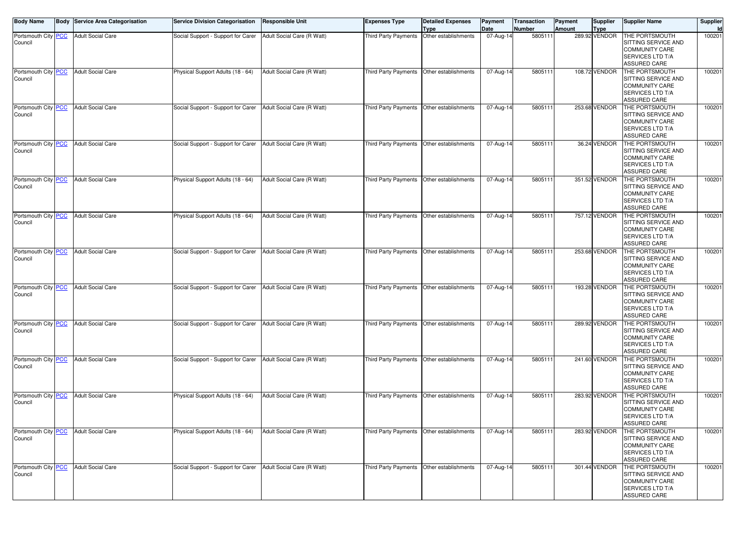| <b>Body Name</b>                 | <b>Body Service Area Categorisation</b> | <b>Service Division Categorisation</b>                        | <b>Responsible Unit</b>    | Expenses Type               | <b>Detailed Expenses</b><br>Type          | Payment<br>Date | ransaction<br>Number | Payment<br>Amount | <b>Supplier</b><br>Type | <b>Supplier Name</b>                                                                                      | Supplier |
|----------------------------------|-----------------------------------------|---------------------------------------------------------------|----------------------------|-----------------------------|-------------------------------------------|-----------------|----------------------|-------------------|-------------------------|-----------------------------------------------------------------------------------------------------------|----------|
| Portsmouth City   PCC<br>Council | <b>Adult Social Care</b>                | Social Support - Support for Carer                            | Adult Social Care (R Watt) | Third Party Payments        | Other establishments                      | 07-Aug-14       | 580511               |                   | 289.92 VENDOR           | THE PORTSMOUTH<br>SITTING SERVICE AND<br><b>COMMUNITY CARE</b><br>SERVICES LTD T/A<br>ASSURED CARE        | 10020    |
| Portsmouth City PCC<br>Council   | <b>Adult Social Care</b>                | Physical Support Adults (18 - 64)                             | Adult Social Care (R Watt) |                             | Third Party Payments Other establishments | 07-Aug-14       | 580511               |                   | 108.72 VENDOR           | THE PORTSMOUTH<br>SITTING SERVICE AND<br><b>COMMUNITY CARE</b><br>SERVICES LTD T/A<br>ASSURED CARE        | 10020    |
| Portsmouth City PCC<br>Council   | <b>Adult Social Care</b>                | Social Support - Support for Carer                            | Adult Social Care (R Watt) | <b>Third Party Payments</b> | Other establishments                      | 07-Aug-14       | 580511               |                   | 253.68 VENDOR           | THE PORTSMOUTH<br>SITTING SERVICE AND<br><b>COMMUNITY CARE</b><br>SERVICES LTD T/A<br>ASSURED CARE        | 10020    |
| Portsmouth City PCC<br>Council   | <b>Adult Social Care</b>                | Social Support - Support for Carer                            | Adult Social Care (R Watt) | Third Party Payments        | Other establishments                      | 07-Aug-14       | 580511               |                   | 36.24 VENDOR            | THE PORTSMOUTH<br>SITTING SERVICE AND<br><b>COMMUNITY CARE</b><br>SERVICES LTD T/A<br>ASSURED CARE        | 10020    |
| Portsmouth City PCC<br>Council   | <b>Adult Social Care</b>                | Physical Support Adults (18 - 64)                             | Adult Social Care (R Watt) | Third Party Payments        | Other establishments                      | 07-Aug-14       | 580511               |                   | 351.52 VENDOR           | THE PORTSMOUTH<br>SITTING SERVICE AND<br><b>COMMUNITY CARE</b><br>SERVICES LTD T/A<br>ASSURED CARE        | 10020    |
| Portsmouth City PCC<br>Council   | <b>Adult Social Care</b>                | Physical Support Adults (18 - 64)                             | Adult Social Care (R Watt) | Third Party Payments        | Other establishments                      | 07-Aug-14       | 580511               |                   | 757.12 VENDOR           | THE PORTSMOUTH<br>SITTING SERVICE AND<br><b>COMMUNITY CARE</b><br>SERVICES LTD T/A<br>ASSURED CARE        | 10020    |
| Portsmouth City PCC<br>Council   | <b>Adult Social Care</b>                | Social Support - Support for Carer                            | Adult Social Care (R Watt) | Third Party Payments        | Other establishments                      | 07-Aug-14       | 580511               |                   | 253.68 VENDOR           | THE PORTSMOUTH<br>SITTING SERVICE AND<br>COMMUNITY CARE<br>SERVICES LTD T/A<br>ASSURED CARE               | 10020    |
| Portsmouth City PCC<br>Council   | <b>Adult Social Care</b>                | Social Support - Support for Carer                            | Adult Social Care (R Watt) | Third Party Payments        | Other establishments                      | 07-Aug-14       | 580511               |                   | 193.28 VENDOR           | THE PORTSMOUTH<br>SITTING SERVICE AND<br><b>COMMUNITY CARE</b><br>SERVICES LTD T/A<br>ASSURED CARE        | 10020    |
| Portsmouth City PCC<br>Council   | <b>Adult Social Care</b>                | Social Support - Support for Carer                            | Adult Social Care (R Watt) | Third Party Payments        | Other establishments                      | 07-Aug-14       | 580511               |                   | 289.92 VENDOR           | THE PORTSMOUTH<br>SITTING SERVICE AND<br><b>COMMUNITY CARE</b><br>SERVICES LTD T/A<br>ASSURED CARE        | 10020    |
| Portsmouth City PCC<br>Council   | <b>Adult Social Care</b>                | Social Support - Support for Carer                            | Adult Social Care (R Watt) | Third Party Payments        | Other establishments                      | 07-Aug-14       | 580511               |                   | 241.60 VENDOR           | THE PORTSMOUTH<br>SITTING SERVICE AND<br>COMMUNITY CARE<br>SERVICES LTD T/A<br><b>ASSURED CARE</b>        | 10020    |
| Portsmouth City PCC<br>Council   | <b>Adult Social Care</b>                | Physical Support Adults (18 - 64)                             | Adult Social Care (R Watt) | Third Party Payments        | Other establishments                      | 07-Aug-14       | 580511               |                   | 283.92 VENDOR           | THE PORTSMOUTH<br>SITTING SERVICE AND<br><b>COMMUNITY CARE</b><br>SERVICES LTD T/A<br><b>ASSURED CARE</b> | 10020    |
| Portsmouth City   PCC<br>Council | <b>Adult Social Care</b>                | Physical Support Adults (18 - 64)                             | Adult Social Care (R Watt) |                             | Third Party Payments Other establishments | 07-Aug-14       | 5805111              |                   | 283.92 VENDOR           | THE PORTSMOUTH<br>SITTING SERVICE AND<br><b>COMMUNITY CARE</b><br>SERVICES LTD T/A<br>ASSURED CARE        | 10020    |
| Council                          | Portsmouth City PCC Adult Social Care   | Social Support - Support for Carer Adult Social Care (R Watt) |                            |                             | Third Party Payments Other establishments | 07-Aug-14       | 5805111              |                   | 301.44 VENDOR           | THE PORTSMOUTH<br>SITTING SERVICE AND<br>COMMUNITY CARE<br>SERVICES LTD T/A<br>ASSURED CARE               | 10020    |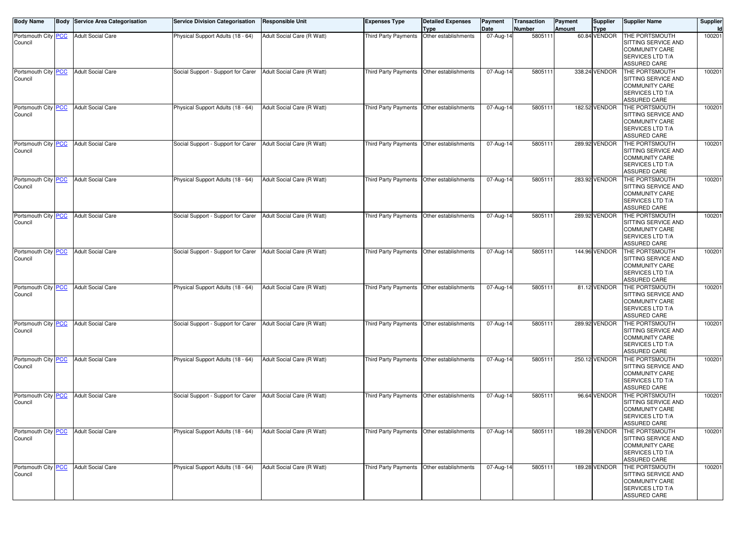| <b>Body Name</b>               | <b>Body Service Area Categorisation</b> | <b>Service Division Categorisation</b>                        | <b>Responsible Unit</b>    | <b>Expenses Type</b>        | <b>Detailed Expenses</b><br><b>Type</b>     | Payment<br>Date | <b>Transaction</b><br>Number | Payment<br>Amount | <b>Supplier</b><br><b>Type</b> | <b>Supplier Name</b>                                                                                      | Supplier<br>Id |
|--------------------------------|-----------------------------------------|---------------------------------------------------------------|----------------------------|-----------------------------|---------------------------------------------|-----------------|------------------------------|-------------------|--------------------------------|-----------------------------------------------------------------------------------------------------------|----------------|
| Portsmouth City PCC<br>Council | <b>Adult Social Care</b>                | Physical Support Adults (18 - 64)                             | Adult Social Care (R Watt) | Third Party Payments        | Other establishments                        | 07-Aug-14       | 5805111                      |                   | 60.84 VENDOR                   | THE PORTSMOUTH<br>SITTING SERVICE AND<br><b>COMMUNITY CARE</b><br>SERVICES LTD T/A<br>ASSURED CARE        | 100201         |
| Portsmouth City PCC<br>Council | <b>Adult Social Care</b>                | Social Support - Support for Carer                            | Adult Social Care (R Watt) |                             | Third Party Payments Other establishments   | 07-Aug-14       | 5805111                      |                   | 338.24 VENDOR                  | THE PORTSMOUTH<br>SITTING SERVICE AND<br><b>COMMUNITY CARE</b><br>SERVICES LTD T/A<br>ASSURED CARE        | 100201         |
| Portsmouth City PCC<br>Council | <b>Adult Social Care</b>                | Physical Support Adults (18 - 64)                             | Adult Social Care (R Watt) | <b>Third Party Payments</b> | Other establishments                        | 07-Aug-14       | 5805111                      |                   | 182.52 VENDOR                  | THE PORTSMOUTH<br>SITTING SERVICE AND<br><b>COMMUNITY CARE</b><br>SERVICES LTD T/A<br><b>ASSURED CARE</b> | 100201         |
| Portsmouth City PCC<br>Council | <b>Adult Social Care</b>                | Social Support - Support for Carer                            | Adult Social Care (R Watt) | Third Party Payments        | Other establishments                        | 07-Aug-14       | 5805111                      |                   | 289.92 VENDOR                  | THE PORTSMOUTH<br>SITTING SERVICE AND<br><b>COMMUNITY CARE</b><br>SERVICES LTD T/A<br>ASSURED CARE        | 100201         |
| Portsmouth City PCC<br>Council | <b>Adult Social Care</b>                | Physical Support Adults (18 - 64)                             | Adult Social Care (R Watt) | Third Party Payments        | Other establishments                        | 07-Aug-14       | 5805111                      |                   | 283.92 VENDOR                  | THE PORTSMOUTH<br>SITTING SERVICE AND<br><b>COMMUNITY CARE</b><br>SERVICES LTD T/A<br>ASSURED CARE        | 100201         |
| Portsmouth City PCC<br>Council | <b>Adult Social Care</b>                | Social Support - Support for Carer                            | Adult Social Care (R Watt) | Third Party Payments        | Other establishments                        | 07-Aug-14       | 5805111                      |                   | 289.92 VENDOR                  | THE PORTSMOUTH<br>SITTING SERVICE AND<br><b>COMMUNITY CARE</b><br>SERVICES LTD T/A<br>ASSURED CARE        | 100201         |
| Portsmouth City PCC<br>Council | <b>Adult Social Care</b>                | Social Support - Support for Carer                            | Adult Social Care (R Watt) | <b>Third Party Payments</b> | Other establishments                        | 07-Aug-14       | 5805111                      |                   | 144.96 VENDOR                  | THE PORTSMOUTH<br>SITTING SERVICE AND<br><b>COMMUNITY CARE</b><br>SERVICES LTD T/A<br>ASSURED CARE        | 100201         |
| Portsmouth City PCC<br>Council | <b>Adult Social Care</b>                | Physical Support Adults (18 - 64)                             | Adult Social Care (R Watt) | Third Party Payments        | Other establishments                        | 07-Aug-14       | 5805111                      |                   | 81.12 VENDOR                   | THE PORTSMOUTH<br>SITTING SERVICE AND<br><b>COMMUNITY CARE</b><br>SERVICES LTD T/A<br>ASSURED CARE        | 100201         |
| Portsmouth City PCC<br>Council | <b>Adult Social Care</b>                | Social Support - Support for Carer                            | Adult Social Care (R Watt) | <b>Third Party Payments</b> | Other establishments                        | 07-Aug-14       | 5805111                      |                   | 289.92 VENDOR                  | THE PORTSMOUTH<br>SITTING SERVICE AND<br><b>COMMUNITY CARE</b><br>SERVICES LTD T/A<br>ASSURED CARE        | 100201         |
| Portsmouth City PCC<br>Council | <b>Adult Social Care</b>                | Physical Support Adults (18 - 64)                             | Adult Social Care (R Watt) | Third Party Payments        | Other establishments                        | 07-Aug-14       | 5805111                      |                   | 250.12 VENDOR                  | THE PORTSMOUTH<br>SITTING SERVICE AND<br><b>COMMUNITY CARE</b><br>SERVICES LTD T/A<br>ASSURED CARE        | 100201         |
| Portsmouth City PCC<br>Council | <b>Adult Social Care</b>                | Social Support - Support for Carer Adult Social Care (R Watt) |                            |                             | Third Party Payments   Other establishments | 07-Aug-14       | 5805111                      |                   | 96.64 VENDOR                   | THE PORTSMOUTH<br>SITTING SERVICE AND<br><b>COMMUNITY CARE</b><br>SERVICES LTD T/A<br><b>ASSURED CARE</b> | 100201         |
| Portsmouth City PCC<br>Council | <b>Adult Social Care</b>                | Physical Support Adults (18 - 64)                             | Adult Social Care (R Watt) | Third Party Payments        | Other establishments                        | 07-Aug-14       | 5805111                      |                   | 189.28 VENDOR                  | THE PORTSMOUTH<br>SITTING SERVICE AND<br><b>COMMUNITY CARE</b><br>SERVICES LTD T/A<br>ASSURED CARE        | 100201         |
| Portsmouth City PCC<br>Council | <b>Adult Social Care</b>                | Physical Support Adults (18 - 64)                             | Adult Social Care (R Watt) | Third Party Payments        | Other establishments                        | 07-Aug-14       | 5805111                      |                   | 189.28 VENDOR                  | THE PORTSMOUTH<br>SITTING SERVICE AND<br><b>COMMUNITY CARE</b><br>SERVICES LTD T/A<br>ASSURED CARE        | 100201         |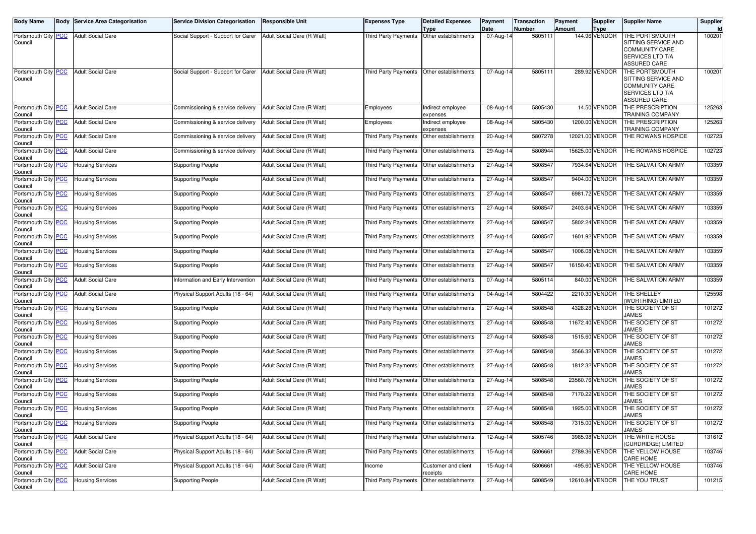|                                                                                                                                                                                                                                                                                                                                                                                                                                                                                                                                                                                                                                                                                                | <b>Service Division Categorisation</b>  | <b>Responsible Unit</b>    | <b>Expenses Type</b>                                          | <b>Detailed Expenses</b>      | Payment                                                                                                                                                          | <b>Transaction</b> | Payment                                                                                                                                                                                                                                                                                                                                                                              | Supplier                                                                                                                                                                                                                                                                                                                              | <b>Supplier Name</b>                                                                                                                                                                                                                                                                                                                                                                                                                                                                                                                                   | Supplier<br>Id                                                                                                                                                         |
|------------------------------------------------------------------------------------------------------------------------------------------------------------------------------------------------------------------------------------------------------------------------------------------------------------------------------------------------------------------------------------------------------------------------------------------------------------------------------------------------------------------------------------------------------------------------------------------------------------------------------------------------------------------------------------------------|-----------------------------------------|----------------------------|---------------------------------------------------------------|-------------------------------|------------------------------------------------------------------------------------------------------------------------------------------------------------------|--------------------|--------------------------------------------------------------------------------------------------------------------------------------------------------------------------------------------------------------------------------------------------------------------------------------------------------------------------------------------------------------------------------------|---------------------------------------------------------------------------------------------------------------------------------------------------------------------------------------------------------------------------------------------------------------------------------------------------------------------------------------|--------------------------------------------------------------------------------------------------------------------------------------------------------------------------------------------------------------------------------------------------------------------------------------------------------------------------------------------------------------------------------------------------------------------------------------------------------------------------------------------------------------------------------------------------------|------------------------------------------------------------------------------------------------------------------------------------------------------------------------|
| <b>Adult Social Care</b>                                                                                                                                                                                                                                                                                                                                                                                                                                                                                                                                                                                                                                                                       | Social Support - Support for Carer      | Adult Social Care (R Watt) | <b>Third Party Payments</b>                                   | Other establishments          | $07$ -Aug-14                                                                                                                                                     |                    |                                                                                                                                                                                                                                                                                                                                                                                      |                                                                                                                                                                                                                                                                                                                                       | THE PORTSMOUTH<br>SITTING SERVICE AND<br><b>COMMUNITY CARE</b><br>SERVICES LTD T/A<br>ASSURED CARE                                                                                                                                                                                                                                                                                                                                                                                                                                                     | 100201                                                                                                                                                                 |
| <b>Adult Social Care</b>                                                                                                                                                                                                                                                                                                                                                                                                                                                                                                                                                                                                                                                                       |                                         |                            |                                                               |                               |                                                                                                                                                                  |                    |                                                                                                                                                                                                                                                                                                                                                                                      |                                                                                                                                                                                                                                                                                                                                       | THE PORTSMOUTH<br>SITTING SERVICE AND<br><b>COMMUNITY CARE</b><br>SERVICES LTD T/A<br><b>ASSURED CARE</b>                                                                                                                                                                                                                                                                                                                                                                                                                                              | 100201                                                                                                                                                                 |
| <b>Adult Social Care</b>                                                                                                                                                                                                                                                                                                                                                                                                                                                                                                                                                                                                                                                                       | Commissioning & service delivery        | Adult Social Care (R Watt) | Employees                                                     | Indirect employee<br>expenses |                                                                                                                                                                  |                    |                                                                                                                                                                                                                                                                                                                                                                                      |                                                                                                                                                                                                                                                                                                                                       | THE PRESCRIPTION<br>TRAINING COMPANY                                                                                                                                                                                                                                                                                                                                                                                                                                                                                                                   | 125263                                                                                                                                                                 |
| <b>Adult Social Care</b>                                                                                                                                                                                                                                                                                                                                                                                                                                                                                                                                                                                                                                                                       | Commissioning & service delivery        | Adult Social Care (R Watt) | Employees                                                     | Indirect employee<br>expenses |                                                                                                                                                                  |                    |                                                                                                                                                                                                                                                                                                                                                                                      |                                                                                                                                                                                                                                                                                                                                       | THE PRESCRIPTION<br>TRAINING COMPANY                                                                                                                                                                                                                                                                                                                                                                                                                                                                                                                   | 125263                                                                                                                                                                 |
| <b>Adult Social Care</b>                                                                                                                                                                                                                                                                                                                                                                                                                                                                                                                                                                                                                                                                       | Commissioning & service delivery        | Adult Social Care (R Watt) | <b>Third Party Payments</b>                                   | Other establishments          |                                                                                                                                                                  |                    |                                                                                                                                                                                                                                                                                                                                                                                      |                                                                                                                                                                                                                                                                                                                                       | THE ROWANS HOSPICE                                                                                                                                                                                                                                                                                                                                                                                                                                                                                                                                     | 102723                                                                                                                                                                 |
| <b>Adult Social Care</b>                                                                                                                                                                                                                                                                                                                                                                                                                                                                                                                                                                                                                                                                       | Commissioning & service delivery        | Adult Social Care (R Watt) | Third Party Payments                                          | Other establishments          |                                                                                                                                                                  |                    |                                                                                                                                                                                                                                                                                                                                                                                      |                                                                                                                                                                                                                                                                                                                                       | THE ROWANS HOSPICE                                                                                                                                                                                                                                                                                                                                                                                                                                                                                                                                     | 102723                                                                                                                                                                 |
| <b>Housing Services</b>                                                                                                                                                                                                                                                                                                                                                                                                                                                                                                                                                                                                                                                                        | <b>Supporting People</b>                | Adult Social Care (R Watt) | Third Party Payments                                          | Other establishments          |                                                                                                                                                                  |                    |                                                                                                                                                                                                                                                                                                                                                                                      |                                                                                                                                                                                                                                                                                                                                       | THE SALVATION ARMY                                                                                                                                                                                                                                                                                                                                                                                                                                                                                                                                     | 103359                                                                                                                                                                 |
| <b>Housing Services</b>                                                                                                                                                                                                                                                                                                                                                                                                                                                                                                                                                                                                                                                                        | Supporting People                       | Adult Social Care (R Watt) | <b>Third Party Payments</b>                                   | Other establishments          |                                                                                                                                                                  |                    |                                                                                                                                                                                                                                                                                                                                                                                      |                                                                                                                                                                                                                                                                                                                                       | THE SALVATION ARMY                                                                                                                                                                                                                                                                                                                                                                                                                                                                                                                                     | 103359                                                                                                                                                                 |
| <b>Housing Services</b>                                                                                                                                                                                                                                                                                                                                                                                                                                                                                                                                                                                                                                                                        | Supporting People                       | Adult Social Care (R Watt) | Third Party Payments                                          | Other establishments          |                                                                                                                                                                  |                    |                                                                                                                                                                                                                                                                                                                                                                                      |                                                                                                                                                                                                                                                                                                                                       | THE SALVATION ARMY                                                                                                                                                                                                                                                                                                                                                                                                                                                                                                                                     | 103359                                                                                                                                                                 |
| <b>Housing Services</b>                                                                                                                                                                                                                                                                                                                                                                                                                                                                                                                                                                                                                                                                        | <b>Supporting People</b>                | Adult Social Care (R Watt) | Third Party Payments                                          | Other establishments          |                                                                                                                                                                  |                    |                                                                                                                                                                                                                                                                                                                                                                                      |                                                                                                                                                                                                                                                                                                                                       | THE SALVATION ARMY                                                                                                                                                                                                                                                                                                                                                                                                                                                                                                                                     | 103359                                                                                                                                                                 |
| <b>Housing Services</b>                                                                                                                                                                                                                                                                                                                                                                                                                                                                                                                                                                                                                                                                        | <b>Supporting People</b>                | Adult Social Care (R Watt) | <b>Third Party Payments</b>                                   | Other establishments          |                                                                                                                                                                  |                    |                                                                                                                                                                                                                                                                                                                                                                                      |                                                                                                                                                                                                                                                                                                                                       | THE SALVATION ARMY                                                                                                                                                                                                                                                                                                                                                                                                                                                                                                                                     | 103359                                                                                                                                                                 |
| <b>Housing Services</b>                                                                                                                                                                                                                                                                                                                                                                                                                                                                                                                                                                                                                                                                        | <b>Supporting People</b>                | Adult Social Care (R Watt) | Third Party Payments                                          | Other establishments          |                                                                                                                                                                  |                    |                                                                                                                                                                                                                                                                                                                                                                                      |                                                                                                                                                                                                                                                                                                                                       | THE SALVATION ARMY                                                                                                                                                                                                                                                                                                                                                                                                                                                                                                                                     | 103359                                                                                                                                                                 |
| <b>Housing Services</b>                                                                                                                                                                                                                                                                                                                                                                                                                                                                                                                                                                                                                                                                        | <b>Supporting People</b>                | Adult Social Care (R Watt) | Third Party Payments                                          | Other establishments          |                                                                                                                                                                  |                    |                                                                                                                                                                                                                                                                                                                                                                                      |                                                                                                                                                                                                                                                                                                                                       | THE SALVATION ARMY                                                                                                                                                                                                                                                                                                                                                                                                                                                                                                                                     | 103359                                                                                                                                                                 |
| <b>Housing Services</b>                                                                                                                                                                                                                                                                                                                                                                                                                                                                                                                                                                                                                                                                        | <b>Supporting People</b>                | Adult Social Care (R Watt) | <b>Third Party Payments</b>                                   | Other establishments          |                                                                                                                                                                  |                    |                                                                                                                                                                                                                                                                                                                                                                                      |                                                                                                                                                                                                                                                                                                                                       | THE SALVATION ARMY                                                                                                                                                                                                                                                                                                                                                                                                                                                                                                                                     | 103359                                                                                                                                                                 |
| <b>Adult Social Care</b>                                                                                                                                                                                                                                                                                                                                                                                                                                                                                                                                                                                                                                                                       | Information and Early Intervention      | Adult Social Care (R Watt) | <b>Third Party Payments</b>                                   | Other establishments          |                                                                                                                                                                  |                    |                                                                                                                                                                                                                                                                                                                                                                                      |                                                                                                                                                                                                                                                                                                                                       | THE SALVATION ARMY                                                                                                                                                                                                                                                                                                                                                                                                                                                                                                                                     | 103359                                                                                                                                                                 |
| <b>Adult Social Care</b>                                                                                                                                                                                                                                                                                                                                                                                                                                                                                                                                                                                                                                                                       | Physical Support Adults (18 - 64)       | Adult Social Care (R Watt) | Third Party Payments                                          | Other establishments          |                                                                                                                                                                  |                    |                                                                                                                                                                                                                                                                                                                                                                                      |                                                                                                                                                                                                                                                                                                                                       | THE SHELLEY                                                                                                                                                                                                                                                                                                                                                                                                                                                                                                                                            | 125598                                                                                                                                                                 |
| <b>Housing Services</b>                                                                                                                                                                                                                                                                                                                                                                                                                                                                                                                                                                                                                                                                        | <b>Supporting People</b>                | Adult Social Care (R Watt) | <b>Third Party Payments</b>                                   | Other establishments          |                                                                                                                                                                  |                    |                                                                                                                                                                                                                                                                                                                                                                                      |                                                                                                                                                                                                                                                                                                                                       | THE SOCIETY OF ST                                                                                                                                                                                                                                                                                                                                                                                                                                                                                                                                      | 101272                                                                                                                                                                 |
| <b>Housing Services</b>                                                                                                                                                                                                                                                                                                                                                                                                                                                                                                                                                                                                                                                                        | <b>Supporting People</b>                | Adult Social Care (R Watt) | Third Party Payments                                          | Other establishments          |                                                                                                                                                                  |                    |                                                                                                                                                                                                                                                                                                                                                                                      |                                                                                                                                                                                                                                                                                                                                       | THE SOCIETY OF ST                                                                                                                                                                                                                                                                                                                                                                                                                                                                                                                                      | 101272                                                                                                                                                                 |
| <b>Housing Services</b>                                                                                                                                                                                                                                                                                                                                                                                                                                                                                                                                                                                                                                                                        | Supporting People                       | Adult Social Care (R Watt) | Third Party Payments                                          | Other establishments          |                                                                                                                                                                  |                    |                                                                                                                                                                                                                                                                                                                                                                                      |                                                                                                                                                                                                                                                                                                                                       | THE SOCIETY OF ST                                                                                                                                                                                                                                                                                                                                                                                                                                                                                                                                      | 101272                                                                                                                                                                 |
| <b>Housing Services</b>                                                                                                                                                                                                                                                                                                                                                                                                                                                                                                                                                                                                                                                                        | <b>Supporting People</b>                | Adult Social Care (R Watt) | Third Party Payments                                          | Other establishments          |                                                                                                                                                                  |                    |                                                                                                                                                                                                                                                                                                                                                                                      |                                                                                                                                                                                                                                                                                                                                       | THE SOCIETY OF ST                                                                                                                                                                                                                                                                                                                                                                                                                                                                                                                                      | 101272                                                                                                                                                                 |
| <b>Housing Services</b>                                                                                                                                                                                                                                                                                                                                                                                                                                                                                                                                                                                                                                                                        | <b>Supporting People</b>                | Adult Social Care (R Watt) | Third Party Payments                                          | Other establishments          |                                                                                                                                                                  |                    |                                                                                                                                                                                                                                                                                                                                                                                      |                                                                                                                                                                                                                                                                                                                                       | THE SOCIETY OF ST                                                                                                                                                                                                                                                                                                                                                                                                                                                                                                                                      | 101272                                                                                                                                                                 |
| <b>Housing Services</b>                                                                                                                                                                                                                                                                                                                                                                                                                                                                                                                                                                                                                                                                        | <b>Supporting People</b>                | Adult Social Care (R Watt) | Third Party Payments                                          | Other establishments          |                                                                                                                                                                  |                    |                                                                                                                                                                                                                                                                                                                                                                                      |                                                                                                                                                                                                                                                                                                                                       | THE SOCIETY OF ST                                                                                                                                                                                                                                                                                                                                                                                                                                                                                                                                      | 101272                                                                                                                                                                 |
| <b>Housing Services</b>                                                                                                                                                                                                                                                                                                                                                                                                                                                                                                                                                                                                                                                                        | <b>Supporting People</b>                | Adult Social Care (R Watt) | Third Party Payments                                          | Other establishments          |                                                                                                                                                                  |                    |                                                                                                                                                                                                                                                                                                                                                                                      |                                                                                                                                                                                                                                                                                                                                       | THE SOCIETY OF ST                                                                                                                                                                                                                                                                                                                                                                                                                                                                                                                                      | 101272                                                                                                                                                                 |
| <b>Housing Services</b>                                                                                                                                                                                                                                                                                                                                                                                                                                                                                                                                                                                                                                                                        | <b>Supporting People</b>                | Adult Social Care (R Watt) | <b>Third Party Payments</b>                                   | Other establishments          |                                                                                                                                                                  |                    |                                                                                                                                                                                                                                                                                                                                                                                      |                                                                                                                                                                                                                                                                                                                                       | THE SOCIETY OF ST                                                                                                                                                                                                                                                                                                                                                                                                                                                                                                                                      | 101272                                                                                                                                                                 |
| <b>Housing Services</b>                                                                                                                                                                                                                                                                                                                                                                                                                                                                                                                                                                                                                                                                        | <b>Supporting People</b>                | Adult Social Care (R Watt) |                                                               |                               |                                                                                                                                                                  |                    |                                                                                                                                                                                                                                                                                                                                                                                      |                                                                                                                                                                                                                                                                                                                                       | <b>THE SOCIETY OF ST</b>                                                                                                                                                                                                                                                                                                                                                                                                                                                                                                                               | 101272                                                                                                                                                                 |
| <b>Adult Social Care</b>                                                                                                                                                                                                                                                                                                                                                                                                                                                                                                                                                                                                                                                                       | Physical Support Adults (18 - 64)       | Adult Social Care (R Watt) |                                                               |                               |                                                                                                                                                                  |                    |                                                                                                                                                                                                                                                                                                                                                                                      |                                                                                                                                                                                                                                                                                                                                       | THE WHITE HOUSE                                                                                                                                                                                                                                                                                                                                                                                                                                                                                                                                        | 131612                                                                                                                                                                 |
| <b>Adult Social Care</b>                                                                                                                                                                                                                                                                                                                                                                                                                                                                                                                                                                                                                                                                       | Physical Support Adults (18 - 64)       | Adult Social Care (R Watt) | <b>Third Party Payments</b>                                   | Other establishments          |                                                                                                                                                                  |                    |                                                                                                                                                                                                                                                                                                                                                                                      |                                                                                                                                                                                                                                                                                                                                       | THE YELLOW HOUSE                                                                                                                                                                                                                                                                                                                                                                                                                                                                                                                                       | 103746                                                                                                                                                                 |
| <b>Adult Social Care</b>                                                                                                                                                                                                                                                                                                                                                                                                                                                                                                                                                                                                                                                                       | Physical Support Adults (18 - 64)       | Adult Social Care (R Watt) | Income                                                        | Customer and client           |                                                                                                                                                                  |                    |                                                                                                                                                                                                                                                                                                                                                                                      |                                                                                                                                                                                                                                                                                                                                       | THE YELLOW HOUSE                                                                                                                                                                                                                                                                                                                                                                                                                                                                                                                                       | 103746                                                                                                                                                                 |
| <b>Housing Services</b>                                                                                                                                                                                                                                                                                                                                                                                                                                                                                                                                                                                                                                                                        | <b>Supporting People</b>                | Adult Social Care (R Watt) | Third Party Payments                                          | Other establishments          |                                                                                                                                                                  |                    |                                                                                                                                                                                                                                                                                                                                                                                      |                                                                                                                                                                                                                                                                                                                                       | THE YOU TRUST                                                                                                                                                                                                                                                                                                                                                                                                                                                                                                                                          | 101215                                                                                                                                                                 |
| Portsmouth City PCC<br>Portsmouth City PCC<br>Portsmouth City PCC<br>Portsmouth City PCC<br>Portsmouth City PCC<br>Portsmouth City PCC<br>Portsmouth City PCC<br>Portsmouth City PCC<br>Portsmouth City PCC<br>Portsmouth City PCC<br>Portsmouth City PCC<br>Portsmouth City PCC<br>Portsmouth City PCC<br>Portsmouth City PCC<br>Portsmouth City PCC<br>Portsmouth City PCC<br>Portsmouth City PCC<br>Portsmouth City PCC<br>Portsmouth City PCC<br>Portsmouth City PCC<br>Portsmouth City PCC<br>Portsmouth City PCC<br>Portsmouth City PCC<br>Portsmouth City PCC<br>Portsmouth City <b>PCC</b><br>Portsmouth City PCC<br>Portsmouth City PCC<br>Portsmouth City PCC<br>Portsmouth City PCC | <b>Body Service Area Categorisation</b> |                            | Social Support - Support for Carer Adult Social Care (R Watt) |                               | <b>Type</b><br>Third Party Payments Other establishments<br>Third Party Payments Other establishments<br>Third Party Payments   Other establishments<br>receipts | Date               | Number<br>07-Aug-14<br>08-Aug-14<br>08-Aug-14<br>20-Aug-14<br>29-Aug-14<br>27-Aug-14<br>27-Aug-14<br>27-Aug-14<br>$27-Aug-14$<br>27-Aug-14<br>27-Aug-14<br>27-Aug-14<br>27-Aug-14<br>07-Aug-14<br>04-Aug-14<br>27-Aug-14<br>27-Aug-14<br>27-Aug-14<br>27-Aug-14<br>27-Aug-14<br>27-Aug-14<br>27-Aug-14<br>27-Aug-14<br>27-Aug-14<br>12-Aug-14<br>15-Aug-14<br>15-Aug-14<br>27-Aug-14 | Amount<br>5805111<br>5805111<br>5805430<br>5805430<br>5807278<br>5808944<br>5808547<br>5808547<br>5808547<br>5808547<br>5808547<br>5808547<br>5808547<br>5808547<br>5805114<br>5804422<br>5808548<br>5808548<br>5808548<br>5808548<br>5808548<br>5808548<br>5808548<br>5808548<br>5808548<br>5805746<br>5806661<br>5806661<br>5808549 | <b>Type</b><br>144.96 VENDOR<br>289.92 VENDOR<br>14.50 VENDOR<br>1200.00 VENDOR<br>12021.00 VENDOR<br>15625.00 VENDOR<br>7934.64 VENDOR<br>9404.00 VENDOR<br>6981.72 VENDOR<br>2403.64 VENDOR<br>5802.24 VENDOR<br>1601.92 VENDOR<br>1006.08 VENDOR<br>16150.40 VENDOR<br>840.00 VENDOR<br>2210.30 VENDOR<br>4328.28 VENDOR<br>11672.40 VENDOR<br>1515.60 VENDOR<br>3566.32 VENDOR<br>1812.32 VENDOR<br>23560.76 VENDOR<br>7170.22 VENDOR<br>1925.00 VENDOR<br>7315.00 VENDOR<br>3985.98 VENDOR<br>2789.36 VENDOR<br>-495.60 VENDOR<br>12610.84 VENDOR | <b>WORTHING) LIMITED</b><br>JAMES<br>JAMES<br>JAMES<br>JAMES<br>JAMES<br>JAMES<br><b>AMES</b><br>JAMES<br>JAMES<br><b>CURDRIDGE) LIMITED</b><br>CARE HOME<br>CARE HOME |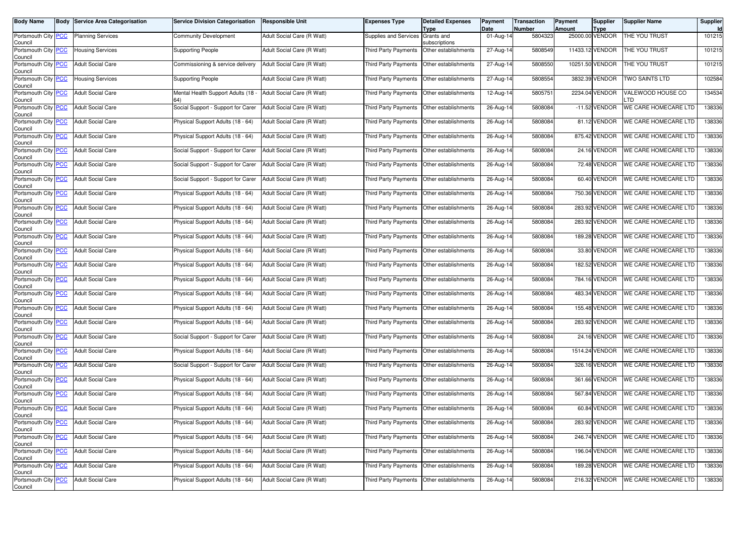| <b>Body Name</b>                                      | <b>Body Service Area Categorisation</b>              | <b>Service Division Categorisation</b>                                 | <b>Responsible Unit</b>                                  | <b>Expenses Type</b>                                | <b>Detailed Expenses</b>                     | Payment                | <b>Transaction</b> | Payment<br><b>Amount</b> | <b>Supplier</b>                | <b>Supplier Name</b>                         | Supplier         |
|-------------------------------------------------------|------------------------------------------------------|------------------------------------------------------------------------|----------------------------------------------------------|-----------------------------------------------------|----------------------------------------------|------------------------|--------------------|--------------------------|--------------------------------|----------------------------------------------|------------------|
| Portsmouth City PCC<br>Council                        | <b>Planning Services</b>                             | Community Development                                                  | Adult Social Care (R Watt)                               | Supplies and Services                               | Type<br>Grants and<br>subscriptions          | Date<br>01-Aug-14      | Number<br>5804323  |                          | <b>Type</b><br>25000.00 VENDOR | THE YOU TRUST                                | 101215           |
| Portsmouth City PCC<br>Council                        | Housing Services                                     | <b>Supporting People</b>                                               | Adult Social Care (R Watt)                               | <b>Third Party Payments</b>                         | Other establishments                         | 27-Aug-14              | 5808549            |                          | 11433.12 VENDOR                | THE YOU TRUST                                | 101215           |
| Portsmouth City PCC<br>Council                        | <b>Adult Social Care</b>                             | Commissioning & service delivery                                       | Adult Social Care (R Watt)                               | <b>Third Party Payments</b>                         | Other establishments                         | 27-Aug-14              | 5808550            |                          | 10251.50 VENDOR                | THE YOU TRUST                                | 101215           |
| Portsmouth City PCC<br>Council                        | Housing Services                                     | Supporting People                                                      | Adult Social Care (R Watt)                               | <b>Third Party Payments</b>                         | Other establishments                         | 27-Aug-14              | 5808554            |                          | 3832.39 VENDOR                 | TWO SAINTS LTD                               | 102584           |
| Portsmouth City PCC<br>Council                        | <b>Adult Social Care</b>                             | Mental Health Support Adults (18 -<br>64)                              | Adult Social Care (R Watt)                               | <b>Third Party Payments</b>                         | Other establishments                         | 12-Aug-14              | 5805751            |                          | 2234.04 VENDOR                 | VALEWOOD HOUSE CO<br>_TD                     | 134534           |
| Portsmouth City PCC<br>Council                        | <b>Adult Social Care</b>                             | Social Support - Support for Carer                                     | Adult Social Care (R Watt)                               | <b>Third Party Payments</b>                         | Other establishments                         | 26-Aug-14              | 5808084            |                          | $-11.52$ VENDOR                | WE CARE HOMECARE LTD                         | 138336           |
| Portsmouth City PCC<br>Council                        | <b>Adult Social Care</b>                             | Physical Support Adults (18 - 64)                                      | Adult Social Care (R Watt)                               | <b>Third Party Payments</b>                         | Other establishments                         | 26-Aug-14              | 5808084            |                          | 81.12 VENDOR                   | WE CARE HOMECARE LTD                         | 138336           |
| Portsmouth City PCC<br>Council                        | <b>Adult Social Care</b>                             | Physical Support Adults (18 - 64)                                      | Adult Social Care (R Watt)                               | <b>Third Party Payments</b>                         | Other establishments                         | 26-Aug-14              | 5808084            |                          | 875.42 VENDOR                  | WE CARE HOMECARE LTD                         | 138336           |
| Portsmouth City PCC<br>Council                        | <b>Adult Social Care</b>                             | Social Support - Support for Carer                                     | Adult Social Care (R Watt)                               | Third Party Payments                                | Other establishments                         | 26-Aug-14              | 5808084            |                          | 24.16 VENDOR                   | WE CARE HOMECARE LTD                         | 138336           |
| Portsmouth City PCC<br>Council                        | <b>Adult Social Care</b>                             | Social Support - Support for Carer                                     | Adult Social Care (R Watt)                               | <b>Third Party Payments</b>                         | Other establishments                         | 26-Aug-14              | 5808084            |                          | 72.48 VENDOR                   | WE CARE HOMECARE LTD                         | 138336           |
| Portsmouth City PCC<br>Council                        | <b>Adult Social Care</b>                             | Social Support - Support for Carer                                     | Adult Social Care (R Watt)                               | <b>Third Party Payments</b>                         | Other establishments                         | 26-Aug-14              | 5808084            |                          | 60.40 VENDOR                   | WE CARE HOMECARE LTD                         | 138336           |
| Portsmouth City PCC<br>Council                        | <b>Adult Social Care</b>                             | Physical Support Adults (18 - 64)                                      | Adult Social Care (R Watt)                               | Third Party Payments                                | Other establishments                         | 26-Aug-14              | 5808084            |                          | 750.36 VENDOR                  | WE CARE HOMECARE LTD                         | 138336           |
| Portsmouth City PCC<br>Council                        | <b>Adult Social Care</b>                             | Physical Support Adults (18 - 64)                                      | Adult Social Care (R Watt)                               | <b>Third Party Payments</b>                         | Other establishments                         | 26-Aug-14              | 5808084            |                          | 283.92 VENDOR                  | WE CARE HOMECARE LTD                         | 138336           |
| Portsmouth City PCC<br>Council                        | <b>Adult Social Care</b>                             | Physical Support Adults (18 - 64)                                      | Adult Social Care (R Watt)                               | <b>Third Party Payments</b>                         | Other establishments                         | 26-Aug-14              | 5808084            |                          | 283.92 VENDOR                  | WE CARE HOMECARE LTD                         | 138336           |
| Portsmouth City PCC<br>Council                        | <b>Adult Social Care</b><br><b>Adult Social Care</b> | Physical Support Adults (18 - 64)                                      | Adult Social Care (R Watt)                               | Third Party Payments                                | Other establishments                         | $26 - Aug-14$          | 5808084            |                          | 189.28 VENDOR<br>33.80 VENDOR  | WE CARE HOMECARE LTD<br>WE CARE HOMECARE LTD | 138336           |
| Portsmouth City PCC<br>Council                        |                                                      | Physical Support Adults (18 - 64)                                      | Adult Social Care (R Watt)<br>Adult Social Care (R Watt) | <b>Third Party Payments</b>                         | Other establishments                         | 26-Aug-14              | 5808084            |                          | 182.52 VENDOR                  | WE CARE HOMECARE LTD                         | 138336<br>138336 |
| Portsmouth City PCC<br>Council                        | <b>Adult Social Care</b>                             | Physical Support Adults (18 - 64)                                      |                                                          | <b>Third Party Payments</b>                         | Other establishments                         | 26-Aug-14<br>26-Aug-14 | 5808084<br>5808084 |                          | 784.16 VENDOR                  | WE CARE HOMECARE LTD                         | 138336           |
| Portsmouth City PCC<br>Council                        | <b>Adult Social Care</b>                             | Physical Support Adults (18 - 64)                                      | Adult Social Care (R Watt)                               | Third Party Payments                                | Other establishments                         |                        |                    |                          |                                | WE CARE HOMECARE LTD                         |                  |
| Portsmouth City PCC<br>Council                        | <b>Adult Social Care</b><br><b>Adult Social Care</b> | Physical Support Adults (18 - 64)<br>Physical Support Adults (18 - 64) | Adult Social Care (R Watt)                               | <b>Third Party Payments</b>                         | Other establishments                         | 26-Aug-14<br>26-Aug-14 | 5808084<br>5808084 |                          | 483.34 VENDOR<br>155.48 VENDOR | WE CARE HOMECARE LTD                         | 138336<br>138336 |
| Portsmouth City PCC<br>Council<br>Portsmouth City PCC | <b>Adult Social Care</b>                             | Physical Support Adults (18 - 64)                                      | Adult Social Care (R Watt)                               | <b>Third Party Payments</b><br>Third Party Payments | Other establishments                         |                        | 5808084            |                          | 283.92 VENDOR                  | WE CARE HOMECARE LTD                         | 138336           |
| Council<br>Portsmouth City PCC                        | <b>Adult Social Care</b>                             | Social Support - Support for Carer                                     | Adult Social Care (R Watt)<br>Adult Social Care (R Watt) | <b>Third Party Payments</b>                         | Other establishments<br>Other establishments | 26-Aug-14<br>26-Aug-14 | 5808084            |                          | 24.16 VENDOR                   | WE CARE HOMECARE LTD                         | 138336           |
| Council<br>Portsmouth City PCC                        | <b>Adult Social Care</b>                             | Physical Support Adults (18 - 64)                                      | Adult Social Care (R Watt)                               | <b>Third Party Payments</b>                         | Other establishments                         | 26-Aug-14              | 5808084            |                          | 1514.24 VENDOR                 | WE CARE HOMECARE LTD                         | 138336           |
| Council<br>Portsmouth City PCC                        | <b>Adult Social Care</b>                             | Social Support - Support for Carer                                     | Adult Social Care (R Watt)                               | Third Party Payments                                | Other establishments                         | 26-Aug-14              | 5808084            |                          | 326.16 VENDOR                  | WE CARE HOMECARE LTD                         | 138336           |
| Council<br>Portsmouth City PCC                        | <b>Adult Social Care</b>                             | Physical Support Adults (18 - 64)                                      | Adult Social Care (R Watt)                               | <b>Third Party Payments</b>                         | Other establishments                         | 26-Aug-14              | 5808084            |                          | 361.66 VENDOR                  | WE CARE HOMECARE LTD                         | 138336           |
| Council<br>Portsmouth City PCC                        | <b>Adult Social Care</b>                             | Physical Support Adults (18 - 64)                                      | Adult Social Care (R Watt)                               | Third Party Payments                                | Other establishments                         | 26-Aug-14              | 5808084            |                          | 567.84 VENDOR                  | WE CARE HOMECARE LTD                         | 138336           |
| Council<br>Portsmouth City PCC                        | <b>Adult Social Care</b>                             | Physical Support Adults (18 - 64)                                      | Adult Social Care (R Watt)                               | Third Party Payments                                | Other establishments                         | 26-Aug-14              | 5808084            |                          | 60.84 VENDOR                   | WE CARE HOMECARE LTD                         | 138336           |
| Council<br>Portsmouth City PCC                        | <b>Adult Social Care</b>                             | Physical Support Adults (18 - 64)                                      | Adult Social Care (R Watt)                               | Third Party Payments   Other establishments         |                                              |                        | 5808084            |                          | 283.92 VENDOR                  | WE CARE HOMECARE LTD                         | 138336           |
| Council<br>Portsmouth City PCC                        | <b>Adult Social Care</b>                             | Physical Support Adults (18 - 64)                                      | Adult Social Care (R Watt)                               | Third Party Payments                                | Other establishments                         | 26-Aug-14<br>26-Aug-14 | 5808084            |                          | 246.74 VENDOR                  | WE CARE HOMECARE LTD                         | 138336           |
| Council<br>Portsmouth City PCC                        | <b>Adult Social Care</b>                             | Physical Support Adults (18 - 64)                                      | Adult Social Care (R Watt)                               | <b>Third Party Payments</b>                         | Other establishments                         | 26-Aug-14              | 5808084            |                          | 196.04 VENDOR                  | WE CARE HOMECARE LTD                         | 138336           |
| Council<br>Portsmouth City PCC                        | <b>Adult Social Care</b>                             | Physical Support Adults (18 - 64)                                      | Adult Social Care (R Watt)                               | Third Party Payments                                | Other establishments                         | 26-Aug-14              | 5808084            |                          | 189.28 VENDOR                  | <b>WE CARE HOMECARE LTD</b>                  | 138336           |
| Council<br>Portsmouth City PCC                        | <b>Adult Social Care</b>                             | Physical Support Adults (18 - 64)                                      | Adult Social Care (R Watt)                               | Third Party Payments                                | Other establishments                         | 26-Aug-14              | 5808084            |                          | 216.32 VENDOR                  | WE CARE HOMECARE LTD                         | 138336           |
| Council                                               |                                                      |                                                                        |                                                          |                                                     |                                              |                        |                    |                          |                                |                                              |                  |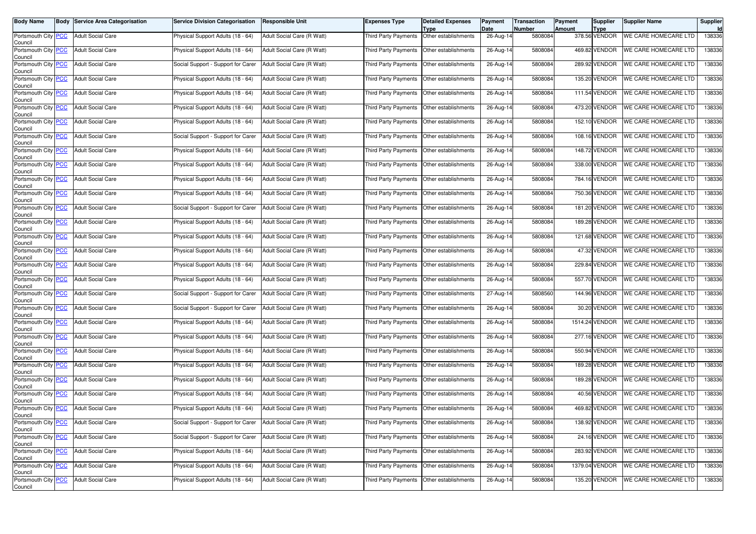| <b>Body Name</b>                              | <b>Body Service Area Categorisation</b> | <b>Service Division Categorisation</b> | <b>Responsible Unit</b>    | Expenses Type                               | <b>Detailed Expenses</b><br>Type | Payment<br>Date | <b>Transaction</b><br><b>Number</b> | Payment<br>Amount | <b>Supplier</b><br><b>Type</b> | <b>Supplier Name</b>        | Supplier |
|-----------------------------------------------|-----------------------------------------|----------------------------------------|----------------------------|---------------------------------------------|----------------------------------|-----------------|-------------------------------------|-------------------|--------------------------------|-----------------------------|----------|
| Portsmouth City PCC<br>Council                | <b>Adult Social Care</b>                | Physical Support Adults (18 - 64)      | Adult Social Care (R Watt) | Third Party Payments                        | Other establishments             | $26$ -Aug-14    | 5808084                             |                   | 378.56 VENDOR                  | <b>WE CARE HOMECARE LTD</b> | 138336   |
| Portsmouth City PCC<br>Council                | <b>Adult Social Care</b>                | Physical Support Adults (18 - 64)      | Adult Social Care (R Watt) | Third Party Payments                        | Other establishments             | 26-Aug-14       | 5808084                             |                   | 469.82 VENDOR                  | <b>WE CARE HOMECARE LTD</b> | 138336   |
| Portsmouth City <b>PCC</b><br>Council         | <b>Adult Social Care</b>                | Social Support - Support for Carer     | Adult Social Care (R Watt) | Third Party Payments                        | Other establishments             | 26-Aug-14       | 5808084                             |                   | 289.92 VENDOR                  | WE CARE HOMECARE LTD        | 138336   |
| Portsmouth City PCC<br>Council                | <b>Adult Social Care</b>                | Physical Support Adults (18 - 64)      | Adult Social Care (R Watt) | Third Party Payments                        | Other establishments             | 26-Aug-14       | 5808084                             |                   | 135.20 VENDOR                  | WE CARE HOMECARE LTD        | 138336   |
| Portsmouth City PCC<br>Council                | <b>Adult Social Care</b>                | Physical Support Adults (18 - 64)      | Adult Social Care (R Watt) | Third Party Payments                        | Other establishments             | 26-Aug-14       | 5808084                             |                   | 111.54 VENDOR                  | WE CARE HOMECARE LTD        | 138336   |
| Portsmouth City PCC<br>Council                | <b>Adult Social Care</b>                | Physical Support Adults (18 - 64)      | Adult Social Care (R Watt) | Third Party Payments                        | Other establishments             | 26-Aug-14       | 5808084                             |                   | 473.20 VENDOR                  | WE CARE HOMECARE LTD        | 138336   |
| Portsmouth City PCC<br>Council                | <b>Adult Social Care</b>                | Physical Support Adults (18 - 64)      | Adult Social Care (R Watt) | Third Party Payments                        | Other establishments             | 26-Aug-14       | 5808084                             |                   | 152.10 VENDOR                  | WE CARE HOMECARE LTD        | 138336   |
| Portsmouth City PCC<br>Council                | <b>Adult Social Care</b>                | Social Support - Support for Carer     | Adult Social Care (R Watt) | Third Party Payments                        | Other establishments             | $26$ -Aug-14    | 5808084                             |                   | 108.16 VENDOR                  | <b>WE CARE HOMECARE LTD</b> | 138336   |
| Portsmouth City PCC<br>Council                | <b>Adult Social Care</b>                | Physical Support Adults (18 - 64)      | Adult Social Care (R Watt) | <b>Third Party Payments</b>                 | Other establishments             | 26-Aug-14       | 5808084                             |                   | 148.72 VENDOR                  | WE CARE HOMECARE LTD        | 138336   |
| Portsmouth City PCC<br>Council                | <b>Adult Social Care</b>                | Physical Support Adults (18 - 64)      | Adult Social Care (R Watt) | Third Party Payments                        | Other establishments             | 26-Aug-14       | 5808084                             |                   | 338.00 VENDOR                  | WE CARE HOMECARE LTD        | 138336   |
| Portsmouth City PCC<br>Council                | <b>Adult Social Care</b>                | Physical Support Adults (18 - 64)      | Adult Social Care (R Watt) | Third Party Payments                        | Other establishments             | 26-Aug-14       | 5808084                             |                   | 784.16 VENDOR                  | <b>WE CARE HOMECARE LTD</b> | 138336   |
| Portsmouth City PCC<br>Council                | <b>Adult Social Care</b>                | Physical Support Adults (18 - 64)      | Adult Social Care (R Watt) | Third Party Payments                        | Other establishments             | 26-Aug-14       | 5808084                             |                   | 750.36 VENDOR                  | WE CARE HOMECARE LTD        | 138336   |
| Portsmouth City PCC<br>Council                | <b>Adult Social Care</b>                | Social Support - Support for Carer     | Adult Social Care (R Watt) | Third Party Payments                        | Other establishments             | 26-Aug-14       | 5808084                             |                   | 181.20 VENDOR                  | WE CARE HOMECARE LTD        | 138336   |
| Portsmouth City PCC<br>Council                | <b>Adult Social Care</b>                | Physical Support Adults (18 - 64)      | Adult Social Care (R Watt) | Third Party Payments                        | Other establishments             | 26-Aug-14       | 5808084                             |                   | 189.28 VENDOR                  | WE CARE HOMECARE LTD        | 138336   |
| Portsmouth City PCC<br>Council                | <b>Adult Social Care</b>                | Physical Support Adults (18 - 64)      | Adult Social Care (R Watt) | Third Party Payments                        | Other establishments             | 26-Aug-14       | 5808084                             |                   | 121.68 VENDOR                  | WE CARE HOMECARE LTD        | 138336   |
| Portsmouth City PCC<br>Council                | <b>Adult Social Care</b>                | Physical Support Adults (18 - 64)      | Adult Social Care (R Watt) | Third Party Payments                        | Other establishments             | 26-Aug-14       | 5808084                             |                   | 47.32 VENDOR                   | WE CARE HOMECARE LTD        | 138336   |
| Portsmouth City PCC<br>Council                | <b>Adult Social Care</b>                | Physical Support Adults (18 - 64)      | Adult Social Care (R Watt) | Third Party Payments                        | Other establishments             | 26-Aug-14       | 5808084                             |                   | 229.84 VENDOR                  | <b>WE CARE HOMECARE LTD</b> | 138336   |
| Portsmouth City PCC<br>Council                | <b>Adult Social Care</b>                | Physical Support Adults (18 - 64)      | Adult Social Care (R Watt) | Third Party Payments                        | Other establishments             | 26-Aug-14       | 5808084                             |                   | 557.70 VENDOR                  | <b>WE CARE HOMECARE LTD</b> | 138336   |
| Portsmouth City PCC<br>Council                | <b>Adult Social Care</b>                | Social Support - Support for Carer     | Adult Social Care (R Watt) | Third Party Payments                        | Other establishments             | 27-Aug-14       | 5808560                             |                   | 144.96 VENDOR                  | WE CARE HOMECARE LTD        | 138336   |
| Portsmouth City PCC<br>Council                | <b>Adult Social Care</b>                | Social Support - Support for Carer     | Adult Social Care (R Watt) | Third Party Payments                        | Other establishments             | 26-Aug-14       | 5808084                             |                   | 30.20 VENDOR                   | WE CARE HOMECARE LTD        | 138336   |
| Portsmouth City PCC<br>Council                | <b>Adult Social Care</b>                | Physical Support Adults (18 - 64)      | Adult Social Care (R Watt) | Third Party Payments                        | Other establishments             | 26-Aug-14       | 5808084                             |                   | 1514.24 VENDOR                 | WE CARE HOMECARE LTD        | 138336   |
| Portsmouth City PCC<br>Council                | <b>Adult Social Care</b>                | Physical Support Adults (18 - 64)      | Adult Social Care (R Watt) | Third Party Payments                        | Other establishments             | 26-Aug-14       | 5808084                             |                   | 277.16 VENDOR                  | WE CARE HOMECARE LTD        | 138336   |
| Portsmouth City PCC<br>Council                | <b>Adult Social Care</b>                | Physical Support Adults (18 - 64)      | Adult Social Care (R Watt) | Third Party Payments                        | Other establishments             | 26-Aug-14       | 5808084                             |                   | 550.94 VENDOR                  | <b>WE CARE HOMECARE LTD</b> | 138336   |
| Portsmouth City PCC<br>Council                | <b>Adult Social Care</b>                | Physical Support Adults (18 - 64)      | Adult Social Care (R Watt) | Third Party Payments                        | Other establishments             | 26-Aug-14       | 5808084                             |                   | 189.28 VENDOR                  | WE CARE HOMECARE LTD        | 138336   |
| Portsmouth City PCC<br>Council                | <b>Adult Social Care</b>                | Physical Support Adults (18 - 64)      | Adult Social Care (R Watt) | Third Party Payments                        | Other establishments             | 26-Aug-14       | 5808084                             |                   | 189.28 VENDOR                  | WE CARE HOMECARE LTD        | 138336   |
| Portsmouth City PCC<br>Council                | <b>Adult Social Care</b>                | Physical Support Adults (18 - 64)      | Adult Social Care (R Watt) | Third Party Payments                        | Other establishments             | 26-Aug-14       | 5808084                             |                   | 40.56 VENDOR                   | WE CARE HOMECARE LTD        | 138336   |
| Portsmouth City PCC<br>Council                | <b>Adult Social Care</b>                | Physical Support Adults (18 - 64)      | Adult Social Care (R Watt) | Third Party Payments                        | Other establishments             | 26-Aug-14       | 5808084                             |                   | 469.82 VENDOR                  | WE CARE HOMECARE LTD        | 138336   |
| Portsmouth City <mark>  PCC</mark><br>Council | Adult Social Care                       | Social Support - Support for Carer     | Adult Social Care (R Watt) | Third Party Payments   Other establishments |                                  | 26-Aug-14       | 5808084                             |                   | 138.92 VENDOR                  | WE CARE HOMECARE LTD        | 138336   |
| Portsmouth City PCC<br>Council                | <b>Adult Social Care</b>                | Social Support - Support for Carer     | Adult Social Care (R Watt) | Third Party Payments                        | Other establishments             | 26-Aug-14       | 5808084                             |                   | 24.16 VENDOR                   | WE CARE HOMECARE LTD        | 138336   |
| Portsmouth City PCC<br>Council                | Adult Social Care                       | Physical Support Adults (18 - 64)      | Adult Social Care (R Watt) | Third Party Payments                        | Other establishments             | 26-Aug-14       | 5808084                             |                   | 283.92 VENDOR                  | WE CARE HOMECARE LTD        | 138336   |
| Portsmouth City PCC<br>Council                | <b>Adult Social Care</b>                | Physical Support Adults (18 - 64)      | Adult Social Care (R Watt) | Third Party Payments                        | Other establishments             | 26-Aug-14       | 5808084                             |                   | 1379.04 VENDOR                 | WE CARE HOMECARE LTD        | 138336   |
| Portsmouth City PCC<br>Council                | <b>Adult Social Care</b>                | Physical Support Adults (18 - 64)      | Adult Social Care (R Watt) | Third Party Payments                        | Other establishments             | 26-Aug-14       | 5808084                             |                   | 135.20 VENDOR                  | <b>WE CARE HOMECARE LTD</b> | 138336   |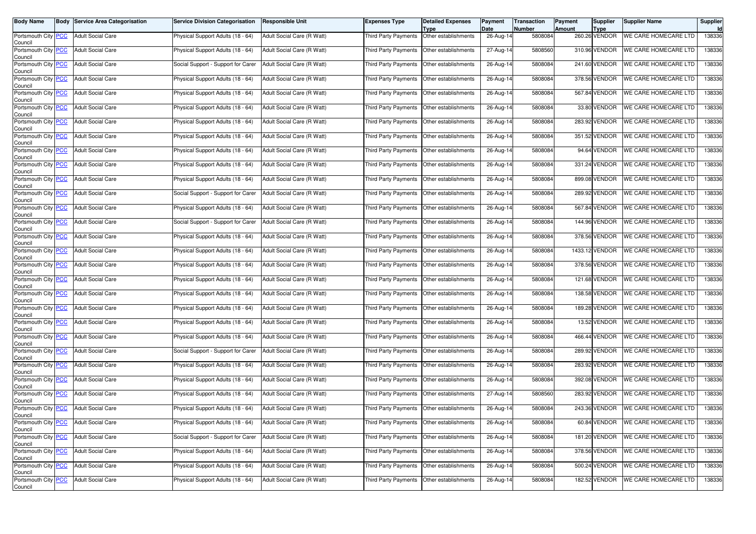| <b>Body Name</b>                              | <b>Body Service Area Categorisation</b> | <b>Service Division Categorisation</b> | <b>Responsible Unit</b>    | Expenses Type                               | <b>Detailed Expenses</b><br>Type | Payment<br>Date | <b>Transaction</b><br><b>Number</b> | <b>Payment</b><br>Amount | <b>Supplier</b><br><b>Type</b> | <b>Supplier Name</b>        | Supplier |
|-----------------------------------------------|-----------------------------------------|----------------------------------------|----------------------------|---------------------------------------------|----------------------------------|-----------------|-------------------------------------|--------------------------|--------------------------------|-----------------------------|----------|
| Portsmouth City PCC<br>Council                | <b>Adult Social Care</b>                | Physical Support Adults (18 - 64)      | Adult Social Care (R Watt) | Third Party Payments                        | Other establishments             | $26$ -Aug-14    | 5808084                             |                          | 260.26 VENDOR                  | <b>WE CARE HOMECARE LTD</b> | 138336   |
| Portsmouth City PCC<br>Council                | <b>Adult Social Care</b>                | Physical Support Adults (18 - 64)      | Adult Social Care (R Watt) | Third Party Payments                        | Other establishments             | 27-Aug-14       | 5808560                             |                          | 310.96 VENDOR                  | <b>WE CARE HOMECARE LTD</b> | 138336   |
| Portsmouth City PCC<br>Council                | <b>Adult Social Care</b>                | Social Support - Support for Carer     | Adult Social Care (R Watt) | Third Party Payments                        | Other establishments             | 26-Aug-14       | 5808084                             |                          | 241.60 VENDOR                  | WE CARE HOMECARE LTD        | 138336   |
| Portsmouth City PCC<br>Council                | <b>Adult Social Care</b>                | Physical Support Adults (18 - 64)      | Adult Social Care (R Watt) | Third Party Payments                        | Other establishments             | 26-Aug-14       | 5808084                             |                          | 378.56 VENDOR                  | WE CARE HOMECARE LTD        | 138336   |
| Portsmouth City PCC<br>Council                | <b>Adult Social Care</b>                | Physical Support Adults (18 - 64)      | Adult Social Care (R Watt) | Third Party Payments                        | Other establishments             | 26-Aug-14       | 5808084                             |                          | 567.84 VENDOR                  | WE CARE HOMECARE LTD        | 138336   |
| Portsmouth City PCC<br>Council                | <b>Adult Social Care</b>                | Physical Support Adults (18 - 64)      | Adult Social Care (R Watt) | Third Party Payments                        | Other establishments             | 26-Aug-14       | 5808084                             |                          | 33.80 VENDOR                   | WE CARE HOMECARE LTD        | 138336   |
| Portsmouth City PCC<br>Council                | <b>Adult Social Care</b>                | Physical Support Adults (18 - 64)      | Adult Social Care (R Watt) | Third Party Payments                        | Other establishments             | 26-Aug-14       | 5808084                             |                          | 283.92 VENDOR                  | WE CARE HOMECARE LTD        | 138336   |
| Portsmouth City PCC<br>Council                | <b>Adult Social Care</b>                | Physical Support Adults (18 - 64)      | Adult Social Care (R Watt) | Third Party Payments                        | Other establishments             | $26$ -Aug-14    | 5808084                             |                          | 351.52 VENDOR                  | <b>WE CARE HOMECARE LTD</b> | 138336   |
| Portsmouth City PCC<br>Council                | <b>Adult Social Care</b>                | Physical Support Adults (18 - 64)      | Adult Social Care (R Watt) | <b>Third Party Payments</b>                 | Other establishments             | 26-Aug-14       | 5808084                             |                          | 94.64 VENDOR                   | WE CARE HOMECARE LTD        | 138336   |
| Portsmouth City PCC<br>Council                | <b>Adult Social Care</b>                | Physical Support Adults (18 - 64)      | Adult Social Care (R Watt) | Third Party Payments                        | Other establishments             | 26-Aug-14       | 5808084                             |                          | 331.24 VENDOR                  | WE CARE HOMECARE LTD        | 138336   |
| Portsmouth City PCC<br>Council                | <b>Adult Social Care</b>                | Physical Support Adults (18 - 64)      | Adult Social Care (R Watt) | Third Party Payments                        | Other establishments             | 26-Aug-14       | 5808084                             |                          | 899.08 VENDOR                  | <b>WE CARE HOMECARE LTD</b> | 138336   |
| Portsmouth City PCC<br>Council                | <b>Adult Social Care</b>                | Social Support - Support for Carer     | Adult Social Care (R Watt) | Third Party Payments                        | Other establishments             | 26-Aug-14       | 5808084                             |                          | 289.92 VENDOR                  | WE CARE HOMECARE LTD        | 138336   |
| Portsmouth City PCC<br>Council                | <b>Adult Social Care</b>                | Physical Support Adults (18 - 64)      | Adult Social Care (R Watt) | Third Party Payments                        | Other establishments             | 26-Aug-14       | 5808084                             |                          | 567.84 VENDOR                  | WE CARE HOMECARE LTD        | 138336   |
| Portsmouth City PCC<br>Council                | <b>Adult Social Care</b>                | Social Support - Support for Carer     | Adult Social Care (R Watt) | Third Party Payments                        | Other establishments             | 26-Aug-14       | 5808084                             |                          | 144.96 VENDOR                  | WE CARE HOMECARE LTD        | 138336   |
| Portsmouth City PCC<br>Council                | <b>Adult Social Care</b>                | Physical Support Adults (18 - 64)      | Adult Social Care (R Watt) | Third Party Payments                        | Other establishments             | 26-Aug-14       | 5808084                             |                          | 378.56 VENDOR                  | WE CARE HOMECARE LTD        | 138336   |
| Portsmouth City PCC<br>Council                | <b>Adult Social Care</b>                | Physical Support Adults (18 - 64)      | Adult Social Care (R Watt) | Third Party Payments                        | Other establishments             | 26-Aug-14       | 5808084                             |                          | 1433.12 VENDOR                 | WE CARE HOMECARE LTD        | 138336   |
| Portsmouth City PCC<br>Council                | <b>Adult Social Care</b>                | Physical Support Adults (18 - 64)      | Adult Social Care (R Watt) | Third Party Payments                        | Other establishments             | 26-Aug-14       | 5808084                             |                          | 378.56 VENDOR                  | <b>WE CARE HOMECARE LTD</b> | 138336   |
| Portsmouth City PCC<br>Council                | <b>Adult Social Care</b>                | Physical Support Adults (18 - 64)      | Adult Social Care (R Watt) | Third Party Payments                        | Other establishments             | 26-Aug-14       | 5808084                             |                          | 121.68 VENDOR                  | <b>WE CARE HOMECARE LTD</b> | 138336   |
| Portsmouth City PCC<br>Council                | <b>Adult Social Care</b>                | Physical Support Adults (18 - 64)      | Adult Social Care (R Watt) | Third Party Payments                        | Other establishments             | 26-Aug-14       | 5808084                             |                          | 138.58 VENDOR                  | WE CARE HOMECARE LTD        | 138336   |
| Portsmouth City PCC<br>Council                | <b>Adult Social Care</b>                | Physical Support Adults (18 - 64)      | Adult Social Care (R Watt) | Third Party Payments                        | Other establishments             | 26-Aug-14       | 5808084                             |                          | 189.28 VENDOR                  | WE CARE HOMECARE LTD        | 138336   |
| Portsmouth City PCC<br>Council                | <b>Adult Social Care</b>                | Physical Support Adults (18 - 64)      | Adult Social Care (R Watt) | Third Party Payments                        | Other establishments             | 26-Aug-14       | 5808084                             |                          | 13.52 VENDOR                   | WE CARE HOMECARE LTD        | 138336   |
| Portsmouth City PCC<br>Council                | <b>Adult Social Care</b>                | Physical Support Adults (18 - 64)      | Adult Social Care (R Watt) | Third Party Payments                        | Other establishments             | 26-Aug-14       | 5808084                             |                          | 466.44 VENDOR                  | WE CARE HOMECARE LTD        | 138336   |
| Portsmouth City PCC<br>Council                | <b>Adult Social Care</b>                | Social Support - Support for Carer     | Adult Social Care (R Watt) | Third Party Payments                        | Other establishments             | 26-Aug-14       | 5808084                             |                          | 289.92 VENDOR                  | WE CARE HOMECARE LTD        | 138336   |
| Portsmouth City PCC<br>Council                | <b>Adult Social Care</b>                | Physical Support Adults (18 - 64)      | Adult Social Care (R Watt) | Third Party Payments                        | Other establishments             | 26-Aug-14       | 5808084                             |                          | 283.92 VENDOR                  | WE CARE HOMECARE LTD        | 138336   |
| Portsmouth City PCC<br>Council                | <b>Adult Social Care</b>                | Physical Support Adults (18 - 64)      | Adult Social Care (R Watt) | Third Party Payments                        | Other establishments             | 26-Aug-14       | 5808084                             |                          | 392.08 VENDOR                  | WE CARE HOMECARE LTD        | 138336   |
| Portsmouth City PCC<br>Council                | <b>Adult Social Care</b>                | Physical Support Adults (18 - 64)      | Adult Social Care (R Watt) | Third Party Payments                        | Other establishments             | 27-Aug-14       | 5808560                             |                          | 283.92 VENDOR                  | WE CARE HOMECARE LTD        | 138336   |
| Portsmouth City PCC<br>Council                | <b>Adult Social Care</b>                | Physical Support Adults (18 - 64)      | Adult Social Care (R Watt) | Third Party Payments                        | Other establishments             | 26-Aug-14       | 5808084                             |                          | 243.36 VENDOR                  | WE CARE HOMECARE LTD        | 138336   |
| Portsmouth City <mark>  PCC</mark><br>Council | Adult Social Care                       | Physical Support Adults (18 - 64)      | Adult Social Care (R Watt) | Third Party Payments   Other establishments |                                  | 26-Aug-14       | 5808084                             |                          | 60.84 VENDOR                   | WE CARE HOMECARE LTD        | 138336   |
| Portsmouth City PCC<br>Council                | <b>Adult Social Care</b>                | Social Support - Support for Carer     | Adult Social Care (R Watt) | Third Party Payments                        | Other establishments             | 26-Aug-14       | 5808084                             |                          | 181.20 VENDOR                  | WE CARE HOMECARE LTD        | 138336   |
| Portsmouth City PCC<br>Council                | Adult Social Care                       | Physical Support Adults (18 - 64)      | Adult Social Care (R Watt) | Third Party Payments                        | Other establishments             | 26-Aug-14       | 5808084                             |                          | 378.56 VENDOR                  | WE CARE HOMECARE LTD        | 138336   |
| Portsmouth City PCC<br>Council                | <b>Adult Social Care</b>                | Physical Support Adults (18 - 64)      | Adult Social Care (R Watt) | Third Party Payments                        | Other establishments             | 26-Aug-14       | 5808084                             |                          | 500.24 VENDOR                  | WE CARE HOMECARE LTD        | 138336   |
| Portsmouth City PCC<br>Council                | <b>Adult Social Care</b>                | Physical Support Adults (18 - 64)      | Adult Social Care (R Watt) | Third Party Payments                        | Other establishments             | 26-Aug-14       | 5808084                             |                          | 182.52 VENDOR                  | <b>WE CARE HOMECARE LTD</b> | 138336   |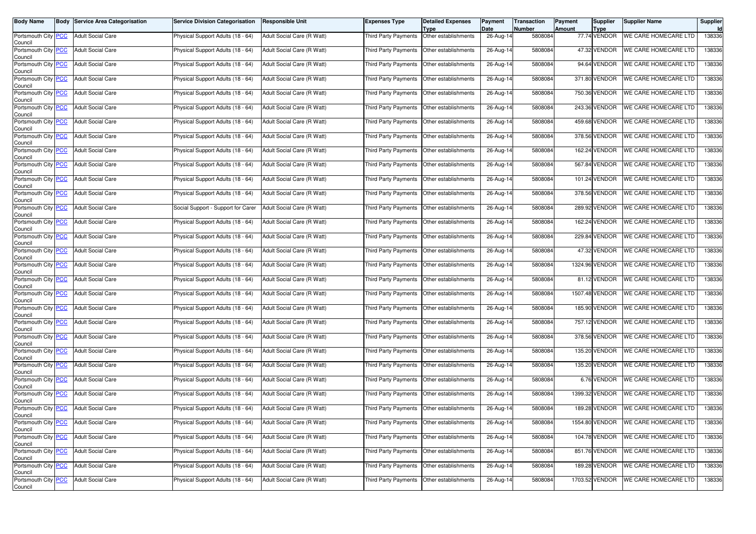| <b>Body Name</b>                              | <b>Body Service Area Categorisation</b> | <b>Service Division Categorisation</b> | <b>Responsible Unit</b>    | Expenses Type                               | <b>Detailed Expenses</b><br>Type | Payment<br>Date | <b>Transaction</b><br><b>Number</b> | Payment<br>Amount | <b>Supplier</b><br><b>Type</b> | <b>Supplier Name</b>        | Supplier |
|-----------------------------------------------|-----------------------------------------|----------------------------------------|----------------------------|---------------------------------------------|----------------------------------|-----------------|-------------------------------------|-------------------|--------------------------------|-----------------------------|----------|
| Portsmouth City PCC<br>Council                | <b>Adult Social Care</b>                | Physical Support Adults (18 - 64)      | Adult Social Care (R Watt) | Third Party Payments                        | Other establishments             | $26$ -Aug-14    | 5808084                             |                   | 77.74 VENDOR                   | <b>WE CARE HOMECARE LTD</b> | 138336   |
| Portsmouth City PCC<br>Council                | <b>Adult Social Care</b>                | Physical Support Adults (18 - 64)      | Adult Social Care (R Watt) | Third Party Payments                        | Other establishments             | 26-Aug-14       | 5808084                             |                   | 47.32 VENDOR                   | <b>WE CARE HOMECARE LTD</b> | 138336   |
| Portsmouth City PCC<br>Council                | <b>Adult Social Care</b>                | Physical Support Adults (18 - 64)      | Adult Social Care (R Watt) | Third Party Payments                        | Other establishments             | 26-Aug-14       | 5808084                             |                   | 94.64 VENDOR                   | WE CARE HOMECARE LTD        | 138336   |
| Portsmouth City PCC<br>Council                | <b>Adult Social Care</b>                | Physical Support Adults (18 - 64)      | Adult Social Care (R Watt) | Third Party Payments                        | Other establishments             | 26-Aug-14       | 5808084                             |                   | 371.80 VENDOR                  | WE CARE HOMECARE LTD        | 138336   |
| Portsmouth City PCC<br>Council                | <b>Adult Social Care</b>                | Physical Support Adults (18 - 64)      | Adult Social Care (R Watt) | Third Party Payments                        | Other establishments             | 26-Aug-14       | 5808084                             |                   | 750.36 VENDOR                  | WE CARE HOMECARE LTD        | 138336   |
| Portsmouth City PCC<br>Council                | <b>Adult Social Care</b>                | Physical Support Adults (18 - 64)      | Adult Social Care (R Watt) | Third Party Payments                        | Other establishments             | 26-Aug-14       | 5808084                             |                   | 243.36 VENDOR                  | WE CARE HOMECARE LTD        | 138336   |
| Portsmouth City PCC<br>Council                | <b>Adult Social Care</b>                | Physical Support Adults (18 - 64)      | Adult Social Care (R Watt) | Third Party Payments                        | Other establishments             | 26-Aug-14       | 5808084                             |                   | 459.68 VENDOR                  | WE CARE HOMECARE LTD        | 138336   |
| Portsmouth City PCC<br>Council                | <b>Adult Social Care</b>                | Physical Support Adults (18 - 64)      | Adult Social Care (R Watt) | Third Party Payments                        | Other establishments             | $26$ -Aug-14    | 5808084                             |                   | 378.56 VENDOR                  | <b>WE CARE HOMECARE LTD</b> | 138336   |
| Portsmouth City PCC<br>Council                | <b>Adult Social Care</b>                | Physical Support Adults (18 - 64)      | Adult Social Care (R Watt) | <b>Third Party Payments</b>                 | Other establishments             | 26-Aug-14       | 5808084                             |                   | 162.24 VENDOR                  | WE CARE HOMECARE LTD        | 138336   |
| Portsmouth City PCC<br>Council                | <b>Adult Social Care</b>                | Physical Support Adults (18 - 64)      | Adult Social Care (R Watt) | Third Party Payments                        | Other establishments             | 26-Aug-14       | 5808084                             |                   | 567.84 VENDOR                  | WE CARE HOMECARE LTD        | 138336   |
| Portsmouth City PCC<br>Council                | <b>Adult Social Care</b>                | Physical Support Adults (18 - 64)      | Adult Social Care (R Watt) | Third Party Payments                        | Other establishments             | 26-Aug-14       | 5808084                             |                   | 101.24 VENDOR                  | <b>WE CARE HOMECARE LTD</b> | 138336   |
| Portsmouth City PCC<br>Council                | <b>Adult Social Care</b>                | Physical Support Adults (18 - 64)      | Adult Social Care (R Watt) | Third Party Payments                        | Other establishments             | 26-Aug-14       | 5808084                             |                   | 378.56 VENDOR                  | WE CARE HOMECARE LTD        | 138336   |
| Portsmouth City PCC<br>Council                | <b>Adult Social Care</b>                | Social Support - Support for Carer     | Adult Social Care (R Watt) | Third Party Payments                        | Other establishments             | 26-Aug-14       | 5808084                             |                   | 289.92 VENDOR                  | WE CARE HOMECARE LTD        | 138336   |
| Portsmouth City PCC<br>Council                | <b>Adult Social Care</b>                | Physical Support Adults (18 - 64)      | Adult Social Care (R Watt) | Third Party Payments                        | Other establishments             | 26-Aug-14       | 5808084                             |                   | 162.24 VENDOR                  | WE CARE HOMECARE LTD        | 138336   |
| Portsmouth City PCC<br>Council                | <b>Adult Social Care</b>                | Physical Support Adults (18 - 64)      | Adult Social Care (R Watt) | Third Party Payments                        | Other establishments             | 26-Aug-14       | 5808084                             |                   | 229.84 VENDOR                  | WE CARE HOMECARE LTD        | 138336   |
| Portsmouth City PCC<br>Council                | <b>Adult Social Care</b>                | Physical Support Adults (18 - 64)      | Adult Social Care (R Watt) | Third Party Payments                        | Other establishments             | 26-Aug-14       | 5808084                             |                   | 47.32 VENDOR                   | WE CARE HOMECARE LTD        | 138336   |
| Portsmouth City <b>PCC</b><br>Council         | <b>Adult Social Care</b>                | Physical Support Adults (18 - 64)      | Adult Social Care (R Watt) | Third Party Payments                        | Other establishments             | 26-Aug-14       | 5808084                             |                   | 1324.96 VENDOR                 | <b>WE CARE HOMECARE LTD</b> | 138336   |
| Portsmouth City PCC<br>Council                | <b>Adult Social Care</b>                | Physical Support Adults (18 - 64)      | Adult Social Care (R Watt) | Third Party Payments                        | Other establishments             | 26-Aug-14       | 5808084                             |                   | 81.12 VENDOR                   | <b>WE CARE HOMECARE LTD</b> | 138336   |
| Portsmouth City PCC<br>Council                | <b>Adult Social Care</b>                | Physical Support Adults (18 - 64)      | Adult Social Care (R Watt) | Third Party Payments                        | Other establishments             | 26-Aug-14       | 5808084                             |                   | 1507.48 VENDOR                 | WE CARE HOMECARE LTD        | 138336   |
| Portsmouth City PCC<br>Council                | <b>Adult Social Care</b>                | Physical Support Adults (18 - 64)      | Adult Social Care (R Watt) | Third Party Payments                        | Other establishments             | 26-Aug-14       | 5808084                             |                   | 185.90 VENDOR                  | WE CARE HOMECARE LTD        | 138336   |
| Portsmouth City PCC<br>Council                | <b>Adult Social Care</b>                | Physical Support Adults (18 - 64)      | Adult Social Care (R Watt) | Third Party Payments                        | Other establishments             | 26-Aug-14       | 5808084                             |                   | 757.12 VENDOR                  | WE CARE HOMECARE LTD        | 138336   |
| Portsmouth City PCC<br>Council                | <b>Adult Social Care</b>                | Physical Support Adults (18 - 64)      | Adult Social Care (R Watt) | Third Party Payments                        | Other establishments             | 26-Aug-14       | 5808084                             |                   | 378.56 VENDOR                  | WE CARE HOMECARE LTD        | 138336   |
| Portsmouth City PCC<br>Council                | <b>Adult Social Care</b>                | Physical Support Adults (18 - 64)      | Adult Social Care (R Watt) | <b>Third Party Payments</b>                 | Other establishments             | 26-Aug-14       | 5808084                             |                   | 135.20 VENDOR                  | WE CARE HOMECARE LTD        | 138336   |
| Portsmouth City PCC<br>Council                | <b>Adult Social Care</b>                | Physical Support Adults (18 - 64)      | Adult Social Care (R Watt) | Third Party Payments                        | Other establishments             | 26-Aug-14       | 5808084                             |                   | 135.20 VENDOR                  | WE CARE HOMECARE LTD        | 138336   |
| Portsmouth City PCC<br>Council                | <b>Adult Social Care</b>                | Physical Support Adults (18 - 64)      | Adult Social Care (R Watt) | Third Party Payments                        | Other establishments             | 26-Aug-14       | 5808084                             |                   | 6.76 VENDOR                    | WE CARE HOMECARE LTD        | 138336   |
| Portsmouth City PCC<br>Council                | <b>Adult Social Care</b>                | Physical Support Adults (18 - 64)      | Adult Social Care (R Watt) | Third Party Payments                        | Other establishments             | 26-Aug-14       | 5808084                             |                   | 1399.32 VENDOR                 | WE CARE HOMECARE LTD        | 138336   |
| Portsmouth City PCC<br>Council                | <b>Adult Social Care</b>                | Physical Support Adults (18 - 64)      | Adult Social Care (R Watt) | Third Party Payments                        | Other establishments             | 26-Aug-14       | 5808084                             |                   | <b>189.28 VENDOR</b>           | WE CARE HOMECARE LTD        | 138336   |
| Portsmouth City <mark>  PCC</mark><br>Council | Adult Social Care                       | Physical Support Adults (18 - 64)      | Adult Social Care (R Watt) | Third Party Payments   Other establishments |                                  | 26-Aug-14       | 5808084                             |                   | 1554.80 VENDOR                 | WE CARE HOMECARE LTD        | 138336   |
| Portsmouth City PCC<br>Council                | <b>Adult Social Care</b>                | Physical Support Adults (18 - 64)      | Adult Social Care (R Watt) | Third Party Payments                        | Other establishments             | 26-Aug-14       | 5808084                             |                   | 104.78 VENDOR                  | WE CARE HOMECARE LTD        | 138336   |
| Portsmouth City PCC<br>Council                | Adult Social Care                       | Physical Support Adults (18 - 64)      | Adult Social Care (R Watt) | Third Party Payments                        | Other establishments             | 26-Aug-14       | 5808084                             |                   | 851.76 VENDOR                  | WE CARE HOMECARE LTD        | 138336   |
| Portsmouth City PCC<br>Council                | <b>Adult Social Care</b>                | Physical Support Adults (18 - 64)      | Adult Social Care (R Watt) | Third Party Payments                        | Other establishments             | 26-Aug-14       | 5808084                             |                   | 189.28 VENDOR                  | WE CARE HOMECARE LTD        | 138336   |
| Portsmouth City PCC<br>Council                | <b>Adult Social Care</b>                | Physical Support Adults (18 - 64)      | Adult Social Care (R Watt) | Third Party Payments                        | Other establishments             | 26-Aug-14       | 5808084                             |                   | 1703.52 VENDOR                 | <b>WE CARE HOMECARE LTD</b> | 138336   |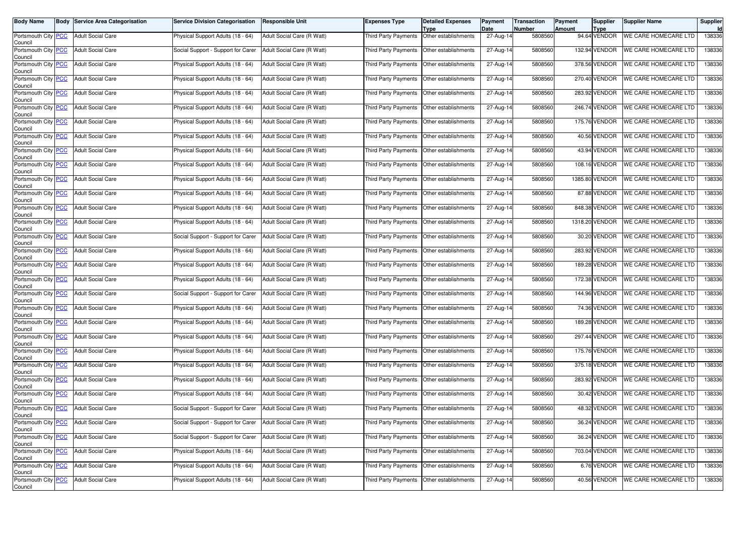| <b>Body Name</b>                              | <b>Body Service Area Categorisation</b> | <b>Service Division Categorisation</b> | <b>Responsible Unit</b>    | Expenses Type                               | <b>Detailed Expenses</b><br>Type | Payment<br>Date | <b>Transaction</b><br><b>Number</b> | Payment<br>Amount | <b>Supplier</b><br><b>Type</b> | <b>Supplier Name</b>        | Supplier |
|-----------------------------------------------|-----------------------------------------|----------------------------------------|----------------------------|---------------------------------------------|----------------------------------|-----------------|-------------------------------------|-------------------|--------------------------------|-----------------------------|----------|
| Portsmouth City PCC<br>Council                | <b>Adult Social Care</b>                | Physical Support Adults (18 - 64)      | Adult Social Care (R Watt) | Third Party Payments                        | Other establishments             | 27-Aug-14       | 5808560                             |                   | 94.64 VENDOR                   | <b>WE CARE HOMECARE LTD</b> | 138336   |
| Portsmouth City PCC<br>Council                | <b>Adult Social Care</b>                | Social Support - Support for Carer     | Adult Social Care (R Watt) | Third Party Payments                        | Other establishments             | 27-Aug-14       | 5808560                             |                   | 132.94 VENDOR                  | <b>WE CARE HOMECARE LTD</b> | 138336   |
| Portsmouth City PCC<br>Council                | <b>Adult Social Care</b>                | Physical Support Adults (18 - 64)      | Adult Social Care (R Watt) | Third Party Payments                        | Other establishments             | $27$ -Aug-14    | 5808560                             |                   | 378.56 VENDOR                  | WE CARE HOMECARE LTD        | 138336   |
| Portsmouth City PCC<br>Council                | <b>Adult Social Care</b>                | Physical Support Adults (18 - 64)      | Adult Social Care (R Watt) | Third Party Payments                        | Other establishments             | 27-Aug-14       | 5808560                             |                   | 270.40 VENDOR                  | WE CARE HOMECARE LTD        | 138336   |
| Portsmouth City PCC<br>Council                | <b>Adult Social Care</b>                | Physical Support Adults (18 - 64)      | Adult Social Care (R Watt) | Third Party Payments                        | Other establishments             | 27-Aug-14       | 5808560                             |                   | 283.92 VENDOR                  | WE CARE HOMECARE LTD        | 138336   |
| Portsmouth City PCC<br>Council                | <b>Adult Social Care</b>                | Physical Support Adults (18 - 64)      | Adult Social Care (R Watt) | Third Party Payments                        | Other establishments             | $27$ -Aug-14    | 5808560                             |                   | 246.74 VENDOR                  | WE CARE HOMECARE LTD        | 138336   |
| Portsmouth City PCC<br>Council                | <b>Adult Social Care</b>                | Physical Support Adults (18 - 64)      | Adult Social Care (R Watt) | Third Party Payments                        | Other establishments             | 27-Aug-14       | 5808560                             |                   | 175.76 VENDOR                  | WE CARE HOMECARE LTD        | 138336   |
| Portsmouth City PCC<br>Council                | <b>Adult Social Care</b>                | Physical Support Adults (18 - 64)      | Adult Social Care (R Watt) | Third Party Payments                        | Other establishments             | $27$ -Aug-14    | 5808560                             |                   | 40.56 VENDOR                   | <b>WE CARE HOMECARE LTD</b> | 138336   |
| Portsmouth City PCC<br>Council                | <b>Adult Social Care</b>                | Physical Support Adults (18 - 64)      | Adult Social Care (R Watt) | <b>Third Party Payments</b>                 | Other establishments             | 27-Aug-14       | 5808560                             |                   | 43.94 VENDOR                   | WE CARE HOMECARE LTD        | 138336   |
| Portsmouth City PCC<br>Council                | <b>Adult Social Care</b>                | Physical Support Adults (18 - 64)      | Adult Social Care (R Watt) | Third Party Payments                        | Other establishments             | 27-Aug-14       | 5808560                             |                   | 108.16 VENDOR                  | WE CARE HOMECARE LTD        | 138336   |
| Portsmouth City PCC<br>Council                | <b>Adult Social Care</b>                | Physical Support Adults (18 - 64)      | Adult Social Care (R Watt) | Third Party Payments                        | Other establishments             | 27-Aug-14       | 5808560                             |                   | 1385.80 VENDOR                 | <b>WE CARE HOMECARE LTD</b> | 138336   |
| Portsmouth City PCC<br>Council                | <b>Adult Social Care</b>                | Physical Support Adults (18 - 64)      | Adult Social Care (R Watt) | Third Party Payments                        | Other establishments             | 27-Aug-14       | 5808560                             |                   | 87.88 VENDOR                   | WE CARE HOMECARE LTD        | 138336   |
| Portsmouth City PCC<br>Council                | <b>Adult Social Care</b>                | Physical Support Adults (18 - 64)      | Adult Social Care (R Watt) | Third Party Payments                        | Other establishments             | 27-Aug-14       | 5808560                             |                   | 848.38 VENDOR                  | WE CARE HOMECARE LTD        | 138336   |
| Portsmouth City PCC<br>Council                | <b>Adult Social Care</b>                | Physical Support Adults (18 - 64)      | Adult Social Care (R Watt) | Third Party Payments                        | Other establishments             | 27-Aug-14       | 5808560                             | 1318.20           | VENDOR                         | WE CARE HOMECARE LTD        | 138336   |
| Portsmouth City PCC<br>Council                | <b>Adult Social Care</b>                | Social Support - Support for Carer     | Adult Social Care (R Watt) | Third Party Payments                        | Other establishments             | 27-Aug-14       | 5808560                             |                   | 30.20 VENDOR                   | WE CARE HOMECARE LTD        | 138336   |
| Portsmouth City PCC<br>Council                | <b>Adult Social Care</b>                | Physical Support Adults (18 - 64)      | Adult Social Care (R Watt) | Third Party Payments                        | Other establishments             | 27-Aug-14       | 5808560                             |                   | 283.92 VENDOR                  | WE CARE HOMECARE LTD        | 138336   |
| Portsmouth City PCC<br>Council                | <b>Adult Social Care</b>                | Physical Support Adults (18 - 64)      | Adult Social Care (R Watt) | Third Party Payments                        | Other establishments             | 27-Aug-14       | 5808560                             |                   | 189.28 VENDOR                  | <b>WE CARE HOMECARE LTD</b> | 138336   |
| Portsmouth City PCC<br>Council                | <b>Adult Social Care</b>                | Physical Support Adults (18 - 64)      | Adult Social Care (R Watt) | Third Party Payments                        | Other establishments             | 27-Aug-14       | 5808560                             |                   | 172.38 VENDOR                  | <b>WE CARE HOMECARE LTD</b> | 138336   |
| Portsmouth City PCC<br>Council                | <b>Adult Social Care</b>                | Social Support - Support for Carer     | Adult Social Care (R Watt) | Third Party Payments                        | Other establishments             | 27-Aug-14       | 5808560                             |                   | 144.96 VENDOR                  | WE CARE HOMECARE LTD        | 138336   |
| Portsmouth City PCC<br>Council                | <b>Adult Social Care</b>                | Physical Support Adults (18 - 64)      | Adult Social Care (R Watt) | Third Party Payments                        | Other establishments             | 27-Aug-14       | 5808560                             |                   | 74.36 VENDOR                   | WE CARE HOMECARE LTD        | 138336   |
| Portsmouth City PCC<br>Council                | <b>Adult Social Care</b>                | Physical Support Adults (18 - 64)      | Adult Social Care (R Watt) | Third Party Payments                        | Other establishments             | 27-Aug-14       | 5808560                             |                   | 189.28 VENDOR                  | WE CARE HOMECARE LTD        | 138336   |
| Portsmouth City PCC<br>Council                | <b>Adult Social Care</b>                | Physical Support Adults (18 - 64)      | Adult Social Care (R Watt) | Third Party Payments                        | Other establishments             | 27-Aug-14       | 5808560                             |                   | 297.44 VENDOR                  | WE CARE HOMECARE LTD        | 138336   |
| Portsmouth City PCC<br>Council                | <b>Adult Social Care</b>                | Physical Support Adults (18 - 64)      | Adult Social Care (R Watt) | Third Party Payments                        | Other establishments             | 27-Aug-14       | 5808560                             |                   | 175.76 VENDOR                  | <b>WE CARE HOMECARE LTD</b> | 138336   |
| Portsmouth City PCC<br>Council                | <b>Adult Social Care</b>                | Physical Support Adults (18 - 64)      | Adult Social Care (R Watt) | Third Party Payments                        | Other establishments             | 27-Aug-14       | 5808560                             |                   | 375.18 VENDOR                  | WE CARE HOMECARE LTD        | 138336   |
| Portsmouth City PCC<br>Council                | <b>Adult Social Care</b>                | Physical Support Adults (18 - 64)      | Adult Social Care (R Watt) | Third Party Payments                        | Other establishments             | 27-Aug-14       | 5808560                             |                   | 283.92 VENDOR                  | WE CARE HOMECARE LTD        | 138336   |
| Portsmouth City PCC<br>Council                | <b>Adult Social Care</b>                | Physical Support Adults (18 - 64)      | Adult Social Care (R Watt) | Third Party Payments                        | Other establishments             | 27-Aug-14       | 5808560                             |                   | 30.42 VENDOR                   | WE CARE HOMECARE LTD        | 138336   |
| Portsmouth City PCC<br>Council                | <b>Adult Social Care</b>                | Social Support - Support for Carer     | Adult Social Care (R Watt) | Third Party Payments                        | Other establishments             | 27-Aug-14       | 5808560                             |                   | 48.32 VENDOR                   | WE CARE HOMECARE LTD        | 138336   |
| Portsmouth City <mark>  PCC</mark><br>Council | Adult Social Care                       | Social Support - Support for Carer     | Adult Social Care (R Watt) | Third Party Payments   Other establishments |                                  | 27-Aug-14       | 5808560                             |                   | 36.24 VENDOR                   | WE CARE HOMECARE LTD        | 138336   |
| Portsmouth City PCC<br>Council                | <b>Adult Social Care</b>                | Social Support - Support for Carer     | Adult Social Care (R Watt) | Third Party Payments                        | Other establishments             | 27-Aug-14       | 5808560                             |                   | 36.24 VENDOR                   | WE CARE HOMECARE LTD        | 138336   |
| Portsmouth City PCC<br>Council                | Adult Social Care                       | Physical Support Adults (18 - 64)      | Adult Social Care (R Watt) | Third Party Payments                        | Other establishments             | 27-Aug-14       | 5808560                             |                   | 703.04 VENDOR                  | WE CARE HOMECARE LTD        | 138336   |
| Portsmouth City PCC<br>Council                | <b>Adult Social Care</b>                | Physical Support Adults (18 - 64)      | Adult Social Care (R Watt) | Third Party Payments                        | Other establishments             | 27-Aug-14       | 5808560                             |                   | 6.76 VENDOR                    | WE CARE HOMECARE LTD        | 138336   |
| Portsmouth City PCC<br>Council                | <b>Adult Social Care</b>                | Physical Support Adults (18 - 64)      | Adult Social Care (R Watt) | Third Party Payments                        | Other establishments             | 27-Aug-14       | 5808560                             |                   | 40.56 VENDOR                   | WE CARE HOMECARE LTD        | 138336   |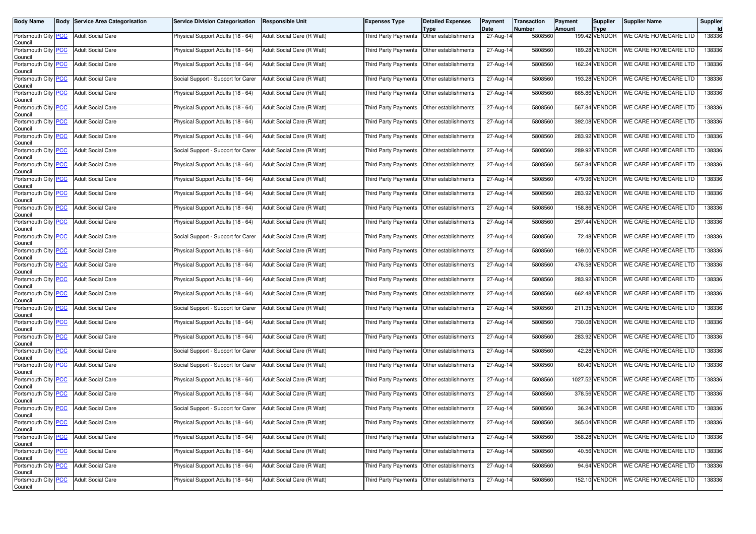| <b>Body Name</b>                              | <b>Body Service Area Categorisation</b> | <b>Service Division Categorisation</b> | <b>Responsible Unit</b>    | Expenses Type                               | <b>Detailed Expenses</b><br>Type | Payment<br>Date | <b>Transaction</b><br><b>Number</b> | <b>Payment</b><br>Amount | <b>Supplier</b><br><b>Type</b> | <b>Supplier Name</b>        | Supplier |
|-----------------------------------------------|-----------------------------------------|----------------------------------------|----------------------------|---------------------------------------------|----------------------------------|-----------------|-------------------------------------|--------------------------|--------------------------------|-----------------------------|----------|
| Portsmouth City PCC<br>Council                | <b>Adult Social Care</b>                | Physical Support Adults (18 - 64)      | Adult Social Care (R Watt) | Third Party Payments                        | Other establishments             | $27$ -Aug-14    | 5808560                             |                          | 199.42 VENDOR                  | <b>WE CARE HOMECARE LTD</b> | 138336   |
| Portsmouth City PCC<br>Council                | <b>Adult Social Care</b>                | Physical Support Adults (18 - 64)      | Adult Social Care (R Watt) | Third Party Payments                        | Other establishments             | 27-Aug-14       | 5808560                             |                          | 189.28 VENDOR                  | <b>WE CARE HOMECARE LTD</b> | 138336   |
| Portsmouth City PCC<br>Council                | <b>Adult Social Care</b>                | Physical Support Adults (18 - 64)      | Adult Social Care (R Watt) | Third Party Payments                        | Other establishments             | $27$ -Aug-14    | 5808560                             |                          | 162.24 VENDOR                  | WE CARE HOMECARE LTD        | 138336   |
| Portsmouth City PCC<br>Council                | <b>Adult Social Care</b>                | Social Support - Support for Carer     | Adult Social Care (R Watt) | Third Party Payments                        | Other establishments             | 27-Aug-14       | 5808560                             |                          | 193.28 VENDOR                  | WE CARE HOMECARE LTD        | 138336   |
| Portsmouth City PCC<br>Council                | <b>Adult Social Care</b>                | Physical Support Adults (18 - 64)      | Adult Social Care (R Watt) | Third Party Payments                        | Other establishments             | 27-Aug-14       | 5808560                             |                          | 665.86 VENDOR                  | WE CARE HOMECARE LTD        | 138336   |
| Portsmouth City PCC<br>Council                | <b>Adult Social Care</b>                | Physical Support Adults (18 - 64)      | Adult Social Care (R Watt) | Third Party Payments                        | Other establishments             | $27$ -Aug-14    | 5808560                             |                          | 567.84 VENDOR                  | WE CARE HOMECARE LTD        | 138336   |
| Portsmouth City PCC<br>Council                | <b>Adult Social Care</b>                | Physical Support Adults (18 - 64)      | Adult Social Care (R Watt) | Third Party Payments                        | Other establishments             | 27-Aug-14       | 5808560                             |                          | 392.08 VENDOR                  | WE CARE HOMECARE LTD        | 138336   |
| Portsmouth City PCC<br>Council                | <b>Adult Social Care</b>                | Physical Support Adults (18 - 64)      | Adult Social Care (R Watt) | Third Party Payments                        | Other establishments             | 27-Aug-14       | 5808560                             |                          | 283.92 VENDOR                  | <b>WE CARE HOMECARE LTD</b> | 138336   |
| Portsmouth City PCC<br>Council                | <b>Adult Social Care</b>                | Social Support - Support for Carer     | Adult Social Care (R Watt) | <b>Third Party Payments</b>                 | Other establishments             | 27-Aug-14       | 5808560                             |                          | 289.92 VENDOR                  | WE CARE HOMECARE LTD        | 138336   |
| Portsmouth City PCC<br>Council                | <b>Adult Social Care</b>                | Physical Support Adults (18 - 64)      | Adult Social Care (R Watt) | Third Party Payments                        | Other establishments             | 27-Aug-14       | 5808560                             |                          | 567.84 VENDOR                  | WE CARE HOMECARE LTD        | 138336   |
| Portsmouth City PCC<br>Council                | <b>Adult Social Care</b>                | Physical Support Adults (18 - 64)      | Adult Social Care (R Watt) | Third Party Payments                        | Other establishments             | 27-Aug-14       | 5808560                             |                          | 479.96 VENDOR                  | <b>WE CARE HOMECARE LTD</b> | 138336   |
| Portsmouth City PCC<br>Council                | <b>Adult Social Care</b>                | Physical Support Adults (18 - 64)      | Adult Social Care (R Watt) | Third Party Payments                        | Other establishments             | 27-Aug-14       | 5808560                             |                          | 283.92 VENDOR                  | WE CARE HOMECARE LTD        | 138336   |
| Portsmouth City PCC<br>Council                | <b>Adult Social Care</b>                | Physical Support Adults (18 - 64)      | Adult Social Care (R Watt) | Third Party Payments                        | Other establishments             | 27-Aug-14       | 5808560                             |                          | 158.86 VENDOR                  | WE CARE HOMECARE LTD        | 138336   |
| Portsmouth City PCC<br>Council                | <b>Adult Social Care</b>                | Physical Support Adults (18 - 64)      | Adult Social Care (R Watt) | Third Party Payments                        | Other establishments             | 27-Aug-14       | 5808560                             |                          | 297.44 VENDOR                  | WE CARE HOMECARE LTD        | 138336   |
| Portsmouth City PCC<br>Council                | <b>Adult Social Care</b>                | Social Support - Support for Carer     | Adult Social Care (R Watt) | Third Party Payments                        | Other establishments             | 27-Aug-14       | 5808560                             |                          | 72.48 VENDOR                   | WE CARE HOMECARE LTD        | 138336   |
| Portsmouth City PCC<br>Council                | <b>Adult Social Care</b>                | Physical Support Adults (18 - 64)      | Adult Social Care (R Watt) | Third Party Payments                        | Other establishments             | 27-Aug-14       | 5808560                             |                          | 169.00 VENDOR                  | WE CARE HOMECARE LTD        | 138336   |
| Portsmouth City PCC<br>Council                | <b>Adult Social Care</b>                | Physical Support Adults (18 - 64)      | Adult Social Care (R Watt) | Third Party Payments                        | Other establishments             | 27-Aug-14       | 5808560                             |                          | 476.58 VENDOR                  | <b>WE CARE HOMECARE LTD</b> | 138336   |
| Portsmouth City PCC<br>Council                | <b>Adult Social Care</b>                | Physical Support Adults (18 - 64)      | Adult Social Care (R Watt) | Third Party Payments                        | Other establishments             | 27-Aug-14       | 5808560                             |                          | 283.92 VENDOR                  | <b>WE CARE HOMECARE LTD</b> | 138336   |
| Portsmouth City PCC<br>Council                | <b>Adult Social Care</b>                | Physical Support Adults (18 - 64)      | Adult Social Care (R Watt) | Third Party Payments                        | Other establishments             | 27-Aug-14       | 5808560                             |                          | 662.48 VENDOR                  | WE CARE HOMECARE LTD        | 138336   |
| Portsmouth City PCC<br>Council                | <b>Adult Social Care</b>                | Social Support - Support for Carer     | Adult Social Care (R Watt) | Third Party Payments                        | Other establishments             | 27-Aug-14       | 5808560                             |                          | 211.35 VENDOR                  | WE CARE HOMECARE LTD        | 138336   |
| Portsmouth City PCC<br>Council                | <b>Adult Social Care</b>                | Physical Support Adults (18 - 64)      | Adult Social Care (R Watt) | Third Party Payments                        | Other establishments             | 27-Aug-14       | 5808560                             |                          | 730.08 VENDOR                  | WE CARE HOMECARE LTD        | 138336   |
| Portsmouth City PCC<br>Council                | <b>Adult Social Care</b>                | Physical Support Adults (18 - 64)      | Adult Social Care (R Watt) | Third Party Payments                        | Other establishments             | 27-Aug-14       | 5808560                             |                          | 283.92 VENDOR                  | WE CARE HOMECARE LTD        | 138336   |
| Portsmouth City PCC<br>Council                | <b>Adult Social Care</b>                | Social Support - Support for Carer     | Adult Social Care (R Watt) | Third Party Payments                        | Other establishments             | 27-Aug-14       | 5808560                             |                          | 42.28 VENDOR                   | <b>WE CARE HOMECARE LTD</b> | 138336   |
| Portsmouth City PCC<br>Council                | <b>Adult Social Care</b>                | Social Support - Support for Carer     | Adult Social Care (R Watt) | Third Party Payments                        | Other establishments             | 27-Aug-14       | 5808560                             |                          | 60.40 VENDOR                   | WE CARE HOMECARE LTD        | 138336   |
| Portsmouth City PCC<br>Council                | <b>Adult Social Care</b>                | Physical Support Adults (18 - 64)      | Adult Social Care (R Watt) | Third Party Payments                        | Other establishments             | 27-Aug-14       | 5808560                             |                          | 1027.52 VENDOR                 | WE CARE HOMECARE LTD        | 138336   |
| Portsmouth City PCC<br>Council                | <b>Adult Social Care</b>                | Physical Support Adults (18 - 64)      | Adult Social Care (R Watt) | Third Party Payments                        | Other establishments             | 27-Aug-14       | 5808560                             |                          | 378.56 VENDOR                  | WE CARE HOMECARE LTD        | 138336   |
| Portsmouth City PCC<br>Council                | <b>Adult Social Care</b>                | Social Support - Support for Carer     | Adult Social Care (R Watt) | Third Party Payments                        | Other establishments             | 27-Aug-14       | 5808560                             |                          | 36.24 VENDOR                   | WE CARE HOMECARE LTD        | 138336   |
| Portsmouth City <mark>  PCC</mark><br>Council | Adult Social Care                       | Physical Support Adults (18 - 64)      | Adult Social Care (R Watt) | Third Party Payments   Other establishments |                                  | 27-Aug-14       | 5808560                             |                          | 365.04 VENDOR                  | WE CARE HOMECARE LTD        | 138336   |
| Portsmouth City PCC<br>Council                | <b>Adult Social Care</b>                | Physical Support Adults (18 - 64)      | Adult Social Care (R Watt) | Third Party Payments                        | Other establishments             | 27-Aug-14       | 5808560                             |                          | 358.28 VENDOR                  | WE CARE HOMECARE LTD        | 138336   |
| Portsmouth City PCC<br>Council                | Adult Social Care                       | Physical Support Adults (18 - 64)      | Adult Social Care (R Watt) | Third Party Payments                        | Other establishments             | 27-Aug-14       | 5808560                             |                          | 40.56 VENDOR                   | WE CARE HOMECARE LTD        | 138336   |
| Portsmouth City PCC<br>Council                | <b>Adult Social Care</b>                | Physical Support Adults (18 - 64)      | Adult Social Care (R Watt) | Third Party Payments                        | Other establishments             | 27-Aug-14       | 5808560                             |                          | 94.64 VENDOR                   | WE CARE HOMECARE LTD        | 138336   |
| Portsmouth City PCC<br>Council                | <b>Adult Social Care</b>                | Physical Support Adults (18 - 64)      | Adult Social Care (R Watt) | Third Party Payments                        | Other establishments             | 27-Aug-14       | 5808560                             |                          | 152.10 VENDOR                  | WE CARE HOMECARE LTD        | 138336   |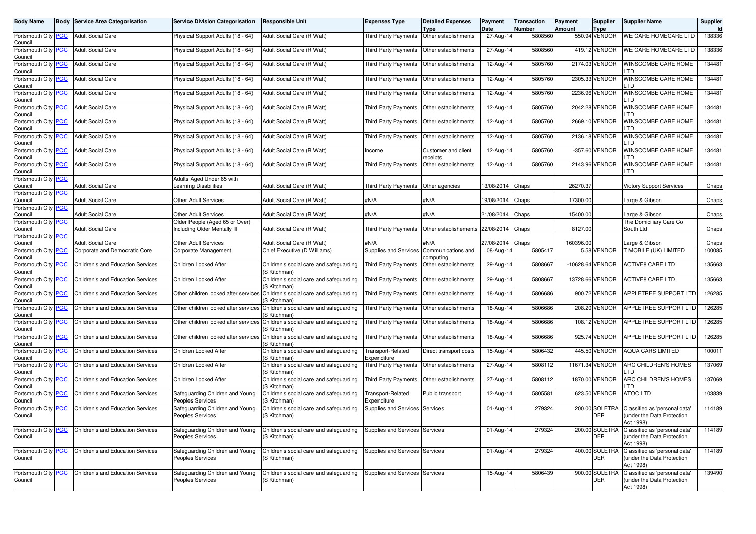| <b>Body Name</b>                      | <b>Body</b> | Service Area Categorisation              | <b>Service Division Categorisation</b>                        | <b>Responsible Unit</b>                                                                      | <b>Expenses Type</b>                | <b>Detailed Expenses</b><br><b>Type</b>    | Payment<br>Date         | <b>Transaction</b><br><b>Number</b> | Payment<br><b>Amount</b> | Supplier<br>Type             | <b>Supplier Name</b>                                                     | Supplier<br>Id |
|---------------------------------------|-------------|------------------------------------------|---------------------------------------------------------------|----------------------------------------------------------------------------------------------|-------------------------------------|--------------------------------------------|-------------------------|-------------------------------------|--------------------------|------------------------------|--------------------------------------------------------------------------|----------------|
| Portsmouth City PCC<br>Council        |             | <b>Adult Social Care</b>                 | Physical Support Adults (18 - 64)                             | Adult Social Care (R Watt)                                                                   | <b>Third Party Payments</b>         | Other establishments                       | 27-Aug-14               | 5808560                             |                          | 550.94 VENDOR                | WE CARE HOMECARE LTD                                                     | 138336         |
| Portsmouth City PCC<br>Council        |             | <b>Adult Social Care</b>                 | Physical Support Adults (18 - 64)                             | Adult Social Care (R Watt)                                                                   | Third Party Payments                | Other establishments                       | 27-Aug-14               | 5808560                             |                          | 419.12 VENDOR                | WE CARE HOMECARE LTD                                                     | 138336         |
| Portsmouth City PCC<br>Council        |             | <b>Adult Social Care</b>                 | Physical Support Adults (18 - 64)                             | Adult Social Care (R Watt)                                                                   | Third Party Payments                | Other establishments                       | 12-Aug-14               | 5805760                             |                          | 2174.03 VENDOR               | WINSCOMBE CARE HOME<br>.TD                                               | 134481         |
| Portsmouth City PCC<br>Council        |             | <b>Adult Social Care</b>                 | Physical Support Adults (18 - 64)                             | Adult Social Care (R Watt)                                                                   | Third Party Payments                | Other establishments                       | 12-Aug-14               | 5805760                             |                          | 2305.33 VENDOR               | WINSCOMBE CARE HOME<br>.TD                                               | 134481         |
| Portsmouth City PCC<br>Council        |             | <b>Adult Social Care</b>                 | Physical Support Adults (18 - 64)                             | Adult Social Care (R Watt)                                                                   | Third Party Payments                | Other establishments                       | 12-Aug-14               | 5805760                             |                          | 2236.96 VENDOR               | WINSCOMBE CARE HOME<br>.TD                                               | 134481         |
| Portsmouth City PCC<br>Council        |             | <b>Adult Social Care</b>                 | Physical Support Adults (18 - 64)                             | Adult Social Care (R Watt)                                                                   | Third Party Payments                | Other establishments                       | 12-Aug-14               | 5805760                             |                          | 2042.28 VENDOR               | WINSCOMBE CARE HOME<br>.TD                                               | 134481         |
| Portsmouth City PCC<br>Council        |             | <b>Adult Social Care</b>                 | Physical Support Adults (18 - 64)                             | Adult Social Care (R Watt)                                                                   | Third Party Payments                | Other establishments                       | 12-Aug-14               | 5805760                             |                          | 2669.10 VENDOR               | WINSCOMBE CARE HOME<br>.TD                                               | 134481         |
| Portsmouth City PCC<br>Council        |             | <b>Adult Social Care</b>                 | Physical Support Adults (18 - 64)                             | Adult Social Care (R Watt)                                                                   | Third Party Payments                | Other establishments                       | 12-Aug-14               | 5805760                             |                          | 2136.18 VENDOR               | WINSCOMBE CARE HOME<br>TD                                                | 134481         |
| Portsmouth City PCC<br>Council        |             | <b>Adult Social Care</b>                 | Physical Support Adults (18 - 64)                             | Adult Social Care (R Watt)                                                                   | Income                              | Customer and client<br>receipts            | $\overline{12}$ -Aug-14 | 5805760                             |                          | -357.60 VENDOR               | WINSCOMBE CARE HOME<br>.TD                                               | 134481         |
| Portsmouth City PCC<br>Council        |             | <b>Adult Social Care</b>                 | Physical Support Adults (18 - 64)                             | Adult Social Care (R Watt)                                                                   | Third Party Payments                | Other establishments                       | 12-Aug-14               | 5805760                             |                          | 2143.96 VENDOR               | WINSCOMBE CARE HOME<br>LTD                                               | 134481         |
| Portsmouth City PCC<br>Council        |             | <b>Adult Social Care</b>                 | Adults Aged Under 65 with<br>earning Disabilities             | Adult Social Care (R Watt)                                                                   | Third Party Payments Other agencies |                                            | 13/08/2014 Chaps        |                                     | 26270.37                 |                              | <b>Victory Support Services</b>                                          | Chaps          |
| Portsmouth City PCC<br>Council        |             | <b>Adult Social Care</b>                 | Other Adult Services                                          | Adult Social Care (R Watt)                                                                   | #N/A                                | #N/A                                       | 19/08/2014              | Chaps                               | 17300.00                 |                              | Large & Gibson                                                           | Chaps          |
| Portsmouth City PCC<br>Council        |             | <b>Adult Social Care</b>                 | Other Adult Services                                          | Adult Social Care (R Watt)                                                                   | #N/A                                | #N/A                                       | 21/08/2014              | Chaps                               | 15400.00                 |                              | arge & Gibson                                                            | Chaps          |
| Portsmouth City PCC<br>Council        |             | <b>Adult Social Care</b>                 | Older People (Aged 65 or Over)<br>ncluding Older Mentally III | Adult Social Care (R Watt)                                                                   |                                     | Third Party Payments Other establishements | 22/08/2014              | Chaps                               | 8127.00                  |                              | The Domiciliary Care Co<br>South Ltd                                     | Chaps          |
| Portsmouth City PCC<br>Council        |             | <b>Adult Social Care</b>                 | Other Adult Services                                          | Adult Social Care (R Watt)                                                                   | #N/A                                | #N/A                                       | 27/08/2014              | Chaps                               | 160396.00                |                              | Large & Gibson                                                           | Chaps          |
| Portsmouth City PCC<br>Council        |             | Corporate and Democratic Core            | Corporate Management                                          | Chief Executive (D Williams)                                                                 | Supplies and Services               | Communications and<br>computing            | 08-Aug-14               | 5805417                             |                          | 5.58 VENDOR                  | T MOBILE (UK) LIMITED                                                    | 100085         |
| Portsmouth City <b>PCC</b><br>Council |             | Children's and Education Services        | Children Looked After                                         | Children's social care and safeguarding<br>(S Kitchman)                                      | <b>Third Party Payments</b>         | Other establishments                       | 29-Aug-14               | 5808667                             |                          | -10628.64 VENDOR             | <b>ACTIVE8 CARE LTD</b>                                                  | 135663         |
| Portsmouth City PCC<br>Council        |             | Children's and Education Services        | Children Looked After                                         | Children's social care and safeguarding<br>(S Kitchman)                                      | Third Party Payments                | Other establishments                       | 29-Aug-14               | 5808667                             |                          | 13728.66 VENDOR              | <b>ACTIVE8 CARE LTD</b>                                                  | 135663         |
| Portsmouth City PCC<br>Council        |             | Children's and Education Services        | Other children looked after services                          | Children's social care and safeguarding<br>(S Kitchman)                                      | Third Party Payments                | Other establishments                       | 18-Aug-14               | 5806686                             |                          | 900.72 VENDOR                | APPLETREE SUPPORT LTD                                                    | 126285         |
| Portsmouth City PCC<br>Council        |             | Children's and Education Services        | Other children looked after services                          | Children's social care and safeguarding<br>'S Kitchman)                                      | Third Party Payments                | Other establishments                       | 18-Aug-14               | 5806686                             |                          | 208.20 VENDOR                | <b>APPLETREE SUPPORT LTD</b>                                             | 126285         |
| Portsmouth City PCC<br>Council        |             | Children's and Education Services        |                                                               | Other children looked after services Children's social care and safeguarding<br>(S Kitchman) | Third Party Payments                | Other establishments                       | 18-Aug-14               | 5806686                             |                          | 108.12 VENDOR                | <b>APPLETREE SUPPORT LTD</b>                                             | 126285         |
| Portsmouth City PCC<br>Council        |             | Children's and Education Services        | Other children looked after services                          | Children's social care and safeguarding<br>(S Kitchman)                                      | Third Party Payments                | Other establishments                       | 18-Aug-14               | 5806686                             |                          | 925.74 VENDOR                | APPLETREE SUPPORT LTD                                                    | 126285         |
| Portsmouth City PCC<br>Council        |             | Children's and Education Services        | Children Looked After                                         | Children's social care and safeguarding<br>(S Kitchman)                                      | Transport-Related<br>Expenditure    | Direct transport costs                     | 15-Aug-14               | 5806432                             |                          | 445.50 VENDOR                | <b>AQUA CARS LIMITED</b>                                                 | 100011         |
| Portsmouth City PCC<br>Council        |             | Children's and Education Services        | Children Looked After                                         | Children's social care and safeguarding<br>(S Kitchman)                                      | <b>Third Party Payments</b>         | Other establishments                       | 27-Aug-14               | 5808112                             |                          | 11671.34 VENDOR              | ARC CHILDREN'S HOMES<br>.TD                                              | 137069         |
| Portsmouth City PCC<br>Council        |             | <b>Children's and Education Services</b> | Children Looked After                                         | Children's social care and safeguarding<br>(S Kitchman)                                      | Third Party Payments                | Other establishments                       | 27-Aug-14               | 5808112                             |                          | 1870.00 VENDOR               | ARC CHILDREN'S HOMES<br>.TD                                              | 137069         |
| Portsmouth City PCC<br>Council        |             | Children's and Education Services        | Safequarding Children and Young<br>Peoples Services           | Children's social care and safeguarding<br>(S Kitchman)                                      | Transport-Related<br>Expenditure    | Public transport                           | 12-Aug-14               | 5805581                             |                          | 623.50 VENDOR                | <b>ATOC LTD</b>                                                          | 103839         |
| Portsmouth City PCC<br>Council        |             | Children's and Education Services        | Safeguarding Children and Young<br>Peoples Services           | Children's social care and safeguarding<br>(S Kitchman)                                      | Supplies and Services               | Services                                   | 01-Aug-14               | 279324                              |                          | 200.00 SOLETRA<br><b>DER</b> | Classified as 'personal data'<br>(under the Data Protection<br>Act 1998) | 114189         |
| Portsmouth City PCC<br>Council        |             | Children's and Education Services        | Safeguarding Children and Young<br>Peoples Services           | Children's social care and safeguarding<br>(S Kitchman)                                      | Supplies and Services Services      |                                            | 01-Aug-14               | 279324                              |                          | 200.00 SOLETRA<br><b>DER</b> | Classified as 'personal data'<br>(under the Data Protection<br>Act 1998) | 114189         |
| Portsmouth City PCC<br>Council        |             | Children's and Education Services        | Safeguarding Children and Young<br>Peoples Services           | Children's social care and safeguarding<br>(S Kitchman)                                      | Supplies and Services Services      |                                            | 01-Aug-14               | 279324                              |                          | 400.00 SOLETRA<br><b>DER</b> | Classified as 'personal data'<br>under the Data Protection<br>Act 1998)  | 114189         |
| Portsmouth City PCC<br>Council        |             | Children's and Education Services        | Safeguarding Children and Young<br>Peoples Services           | Children's social care and safeguarding<br>(S Kitchman)                                      | Supplies and Services Services      |                                            | 15-Aug-14               | 5806439                             |                          | 900.00 SOLETRA<br>DER        | Classified as 'personal data'<br>under the Data Protection<br>Act 1998)  | 139490         |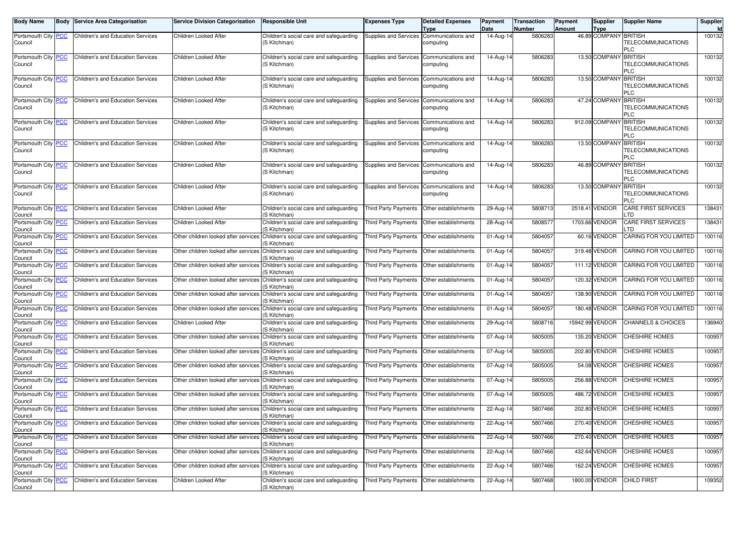| <b>Body Name</b>                      | <b>Body Service Area Categorisation</b>  | <b>Service Division Categorisation</b> | <b>Responsible Unit</b>                                                                       | <b>Expenses Type</b>                        | <b>Detailed Expenses</b><br><b>Type</b> | Payment<br>Date | <b>Transaction</b><br><b>Number</b> | Payment<br><b>Amount</b> | Supplier<br><b>Type</b> | <b>Supplier Name</b>                        | Supplier<br>Id |
|---------------------------------------|------------------------------------------|----------------------------------------|-----------------------------------------------------------------------------------------------|---------------------------------------------|-----------------------------------------|-----------------|-------------------------------------|--------------------------|-------------------------|---------------------------------------------|----------------|
| Portsmouth City <b>PCC</b><br>Council | <b>Children's and Education Services</b> | Children Looked After                  | Children's social care and safeguarding<br>(S Kitchman)                                       | Supplies and Services Communications and    | computing                               | $14$ -Aug-14    | 5806283                             |                          | 46.89 COMPANY BRITISH   | TELECOMMUNICATIONS<br>PLC                   | 100132         |
| Portsmouth City <b>PCC</b><br>Council | <b>Children's and Education Services</b> | Children Looked After                  | Children's social care and safeguarding<br>(S Kitchman)                                       | Supplies and Services Communications and    | computing                               | 14-Aug-14       | 5806283                             |                          | 13.50 COMPANY           | <b>BRITISH</b><br>TELECOMMUNICATIONS<br>PLC | 100132         |
| Portsmouth City PCC<br>Council        | Children's and Education Services        | Children Looked After                  | Children's social care and safeguarding<br>(S Kitchman)                                       | Supplies and Services Communications and    | computing                               | 14-Aug-14       | 5806283                             |                          | 13.50 COMPANY           | <b>BRITISH</b><br>TELECOMMUNICATIONS<br>PLC | 100132         |
| Portsmouth City <b>PCC</b><br>Council | <b>Children's and Education Services</b> | Children Looked After                  | Children's social care and safeguarding<br>(S Kitchman)                                       | Supplies and Services Communications and    | computing                               | 14-Aug-14       | 5806283                             |                          | 47.24 COMPANY           | <b>BRITISH</b><br>TELECOMMUNICATIONS<br>PLC | 100132         |
| Portsmouth City PCC<br>Council        | <b>Children's and Education Services</b> | Children Looked After                  | Children's social care and safeguarding<br>(S Kitchman)                                       | Supplies and Services Communications and    | computing                               | 14-Aug-14       | 5806283                             |                          | 912.09 COMPANY          | <b>BRITISH</b><br>TELECOMMUNICATIONS<br>PLC | 100132         |
| Portsmouth City <b>PCC</b><br>Council | <b>Children's and Education Services</b> | Children Looked After                  | Children's social care and safeguarding<br>(S Kitchman)                                       | Supplies and Services Communications and    | computing                               | 14-Aug-14       | 5806283                             |                          | 13.50 COMPANY           | <b>BRITISH</b><br>TELECOMMUNICATIONS<br>PLC | 100132         |
| Portsmouth City <b>PCC</b><br>Council | <b>Children's and Education Services</b> | Children Looked After                  | Children's social care and safeguarding<br>(S Kitchman)                                       | Supplies and Services Communications and    | computing                               | 14-Aug-14       | 5806283                             |                          | 46.89 COMPANY           | <b>BRITISH</b><br>TELECOMMUNICATIONS<br>PLC | 100132         |
| Portsmouth City PCC<br>Council        | <b>Children's and Education Services</b> | Children Looked After                  | Children's social care and safeguarding<br>(S Kitchman)                                       | Supplies and Services Communications and    | computing                               | 14-Aug-14       | 5806283                             |                          | 13.50 COMPANY           | <b>BRITISH</b><br>TELECOMMUNICATIONS<br>PLC | 100132         |
| Portsmouth City <b>PCC</b><br>Council | Children's and Education Services        | Children Looked After                  | Children's social care and safeguarding<br>(S Kitchman)                                       | <b>Third Party Payments</b>                 | Other establishments                    | 29-Aug-14       | 5808713                             |                          | 2518.41 VENDOR          | CARE FIRST SERVICES<br>.TD                  | 138431         |
| Portsmouth City PCC<br>Council        | Children's and Education Services        | Children Looked After                  | Children's social care and safeguarding<br>(S Kitchman)                                       | Third Party Payments                        | Other establishments                    | 28-Aug-14       | 5808577                             |                          | 1703.66 VENDOR          | CARE FIRST SERVICES<br>.TD                  | 138431         |
| Portsmouth City PCC<br>Council        | Children's and Education Services        |                                        | Other children looked after services Children's social care and safequarding<br>(S Kitchman)  | Third Party Payments                        | Other establishments                    | 01-Aug-14       | 5804057                             |                          | 60.16 VENDOR            | CARING FOR YOU LIMITED                      | 100116         |
| Portsmouth City PCC<br>Council        | <b>Children's and Education Services</b> | Other children looked after services   | Children's social care and safeguarding<br>(S Kitchman)                                       | <b>Third Party Payments</b>                 | Other establishments                    | 01-Aug-14       | 5804057                             |                          | 319.48 VENDOR           | CARING FOR YOU LIMITED                      | 100116         |
| Portsmouth City PCC<br>Council        | Children's and Education Services        | Other children looked after services   | Children's social care and safeguarding<br>(S Kitchman)                                       | Third Party Payments                        | Other establishments                    | 01-Aug-14       | 5804057                             |                          | 111.12 VENDOR           | CARING FOR YOU LIMITED                      | 100116         |
| Portsmouth City PCC<br>Council        | <b>Children's and Education Services</b> |                                        | Other children looked after services Children's social care and safeguarding<br>(S Kitchman)  | Third Party Payments                        | Other establishments                    | 01-Aug-14       | 5804057                             |                          | 120.32 VENDOR           | CARING FOR YOU LIMITED                      | 100116         |
| Portsmouth City PCC<br>Council        | <b>Children's and Education Services</b> |                                        | Other children looked after services Children's social care and safeguarding<br>(S Kitchman)  | Third Party Payments                        | Other establishments                    | 01-Aug-14       | 5804057                             |                          | 138.90 VENDOR           | CARING FOR YOU LIMITED                      | 100116         |
| Portsmouth City PCC<br>Council        | Children's and Education Services        | Other children looked after services   | Children's social care and safeguarding<br>(S Kitchman)                                       | Third Party Payments                        | Other establishments                    | 01-Aug-14       | 5804057                             |                          | 180.48 VENDOR           | CARING FOR YOU LIMITED                      | 100116         |
| Portsmouth City PCC<br>Council        | Children's and Education Services        | Children Looked After                  | Children's social care and safeguarding<br>(S Kitchman)                                       | Third Party Payments                        | Other establishments                    | 29-Aug-14       | 5808716                             |                          | 15942.99 VENDOR         | CHANNELS & CHOICES                          | 136940         |
| Portsmouth City PCC<br>Council        | Children's and Education Services        | Other children looked after services   | Children's social care and safeguarding<br>(S Kitchman)                                       | Third Party Payments                        | Other establishments                    | 07-Aug-14       | 5805005                             |                          | 135.20 VENDOR           | CHESHIRE HOMES                              | 100957         |
| Portsmouth City PCC<br>Council        | Children's and Education Services        | Other children looked after services   | Children's social care and safeguarding<br>(S Kitchman)                                       | Third Party Payments                        | Other establishments                    | 07-Aug-14       | 5805005                             |                          | 202.80 VENDOR           | CHESHIRE HOMES                              | 100957         |
| Portsmouth City PCC<br>Council        | Children's and Education Services        |                                        | Other children looked after services Children's social care and safequarding<br>(S Kitchman)  | Third Party Payments                        | Other establishments                    | 07-Aug-14       | 5805005                             |                          | 54.08 VENDOR            | CHESHIRE HOMES                              | 100957         |
| Portsmouth City PCC<br>Council        | <b>Children's and Education Services</b> | Other children looked after services   | Children's social care and safeguarding<br>(S Kitchman)                                       | Third Party Payments                        | Other establishments                    | 07-Aug-14       | 5805005                             |                          | 256.88 VENDOR           | <b>CHESHIRE HOMES</b>                       | 100957         |
| Portsmouth City PCC<br>Council        | Children's and Education Services        | Other children looked after services   | Children's social care and safeguarding<br>(S Kitchman)                                       | Third Party Payments                        | Other establishments                    | 07-Aug-14       | 5805005                             |                          | 486.72 VENDOR           | <b>CHESHIRE HOMES</b>                       | 100957         |
| Portsmouth City PCC<br>Council        | Children's and Education Services        |                                        | Other children looked after services Children's social care and safeguarding<br>(S Kitchman)  | Third Party Payments                        | Other establishments                    | 22-Aug-14       | 5807466                             |                          | 202.80 VENDOR           | CHESHIRE HOMES                              | 100957         |
| Portsmouth City <b>PCC</b><br>Council | Children's and Education Services        |                                        | Other children looked after services [Children's social care and safeguarding<br>(S Kitchman) | Third Party Payments   Other establishments |                                         | 22-Aug-14       | 5807466                             |                          | 270.40 VENDOR           | <b>CHESHIRE HOMES</b>                       | 100957         |
| Portsmouth City PCC<br>Council        | Children's and Education Services        |                                        | Other children looked after services Children's social care and safequarding<br>(S Kitchman)  | Third Party Payments Other establishments   |                                         | 22-Aug-14       | 5807466                             |                          | 270.40 VENDOR           | <b>CHESHIRE HOMES</b>                       | 100957         |
| Portsmouth City PCC<br>Council        | Children's and Education Services        |                                        | Other children looked after services Children's social care and safeguarding<br>(S Kitchman)  | Third Party Payments                        | Other establishments                    | 22-Aug-14       | 5807466                             |                          | 432.64 VENDOR           | <b>CHESHIRE HOMES</b>                       | 100957         |
| Portsmouth City PCC<br>Council        | Children's and Education Services        |                                        | Other children looked after services Children's social care and safeguarding<br>(S Kitchman)  | Third Party Payments                        | Other establishments                    | 22-Aug-14       | 5807466                             |                          | 162.24 VENDOR           | <b>CHESHIRE HOMES</b>                       | 100957         |
| Portsmouth City PCC<br>Council        | Children's and Education Services        | Children Looked After                  | Children's social care and safeguarding<br>(S Kitchman)                                       | Third Party Payments                        | Other establishments                    | 22-Aug-14       | 5807468                             |                          | 1800.00 VENDOR          | <b>CHILD FIRST</b>                          | 109352         |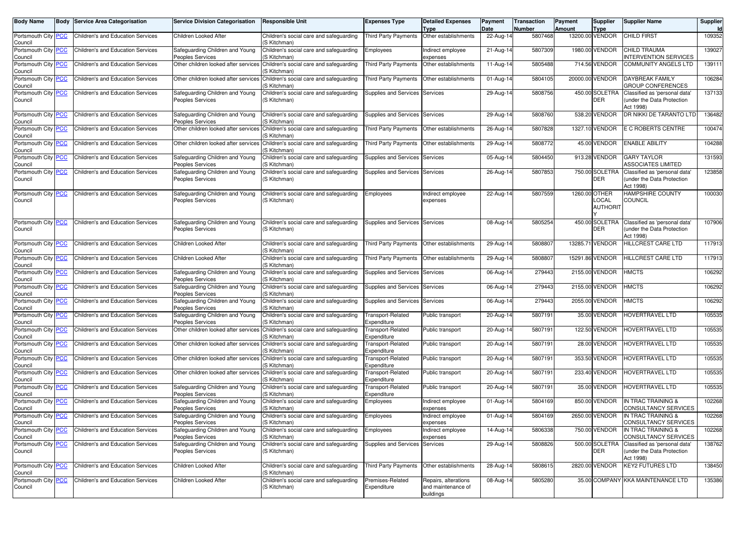| Body Name                      |            | <b>Body Service Area Categorisation</b>  | <b>Service Division Categorisation</b>                     | <b>Responsible Unit</b>                                                                      | <b>Expenses Type</b>                    | <b>Detailed Expenses</b><br><b>Type</b>                 | Payment<br>Date | <b>Transaction</b><br><b>Number</b> | Payment<br><b>Amount</b> | <b>Supplier</b><br><b>Type</b>            | <b>Supplier Name</b>                                                                    | Supplier |
|--------------------------------|------------|------------------------------------------|------------------------------------------------------------|----------------------------------------------------------------------------------------------|-----------------------------------------|---------------------------------------------------------|-----------------|-------------------------------------|--------------------------|-------------------------------------------|-----------------------------------------------------------------------------------------|----------|
| Portsmouth City<br>Council     | <b>PCC</b> | Children's and Education Services        | Children Looked After                                      | Children's social care and safeguarding<br>(S Kitchman)                                      | <b>Third Party Payments</b>             | Other establishments                                    | 22-Aug-14       | 5807468                             |                          | 13200.00 VENDOR                           | <b>CHILD FIRST</b>                                                                      | 109352   |
| Portsmouth City<br>Council     | <b>PCC</b> | Children's and Education Services        | Safeguarding Children and Young<br>Peoples Services        | Children's social care and safeguarding<br>(S Kitchman)                                      | Employees                               | Indirect employee<br>expenses                           | $21 - Aug-1$    | 5807309                             |                          | 1980.00 VENDOR                            | <b>CHILD TRAUMA</b><br><b>INTERVENTION SERVICES</b>                                     | 139027   |
| Portsmouth City PCC<br>Council |            | Children's and Education Services        |                                                            | Other children looked after services Children's social care and safequarding<br>(S Kitchman) | <b>Third Party Payments</b>             | Other establishments                                    | 11-Aug-14       | 5805488                             |                          | 714.56 VENDOR                             | <b>COMMUNITY ANGELS LTD</b>                                                             | 139111   |
| Portsmouth City<br>Council     | <b>PCC</b> | <b>Children's and Education Services</b> |                                                            | Other children looked after services Children's social care and safeguarding<br>(S Kitchman) | <b>Third Party Payments</b>             | Other establishments                                    | 01-Aug-14       | 5804105                             |                          | 20000.00 VENDOR                           | <b>DAYBREAK FAMILY</b><br><b>GROUP CONFERENCES</b>                                      | 106284   |
| Portsmouth City<br>Council     | <b>PCC</b> | Children's and Education Services        | Safeguarding Children and Young<br>Peoples Services        | Children's social care and safeguarding<br>(S Kitchman)                                      | Supplies and Services Services          |                                                         | 29-Aug-1        | 5808756                             |                          | 450.00 SOLETRA<br>DER                     | Classified as 'personal data'<br>under the Data Protection<br>Act 1998)                 | 137133   |
| Portsmouth City<br>Council     | <b>PCC</b> | Children's and Education Services        | Safeguarding Children and Young<br>Peoples Services        | Children's social care and safeguarding<br>(S Kitchman)                                      | Supplies and Services Services          |                                                         | 29-Aug-14       | 5808760                             |                          | 538.20 VENDOR                             | DR NIKKI DE TARANTO LTD                                                                 | 136482   |
| Portsmouth City PCC<br>Council |            | Children's and Education Services        |                                                            | Other children looked after services Children's social care and safeguarding<br>(S Kitchman) | Third Party Payments                    | Other establishments                                    | 26-Aug-14       | 5807828                             |                          | 1327.10 VENDOR                            | E C ROBERTS CENTRE                                                                      | 100474   |
| Portsmouth City<br>Council     | <b>PCC</b> | Children's and Education Services        |                                                            | Other children looked after services Children's social care and safequarding<br>(S Kitchman) | <b>Third Party Payments</b>             | Other establishments                                    | 29-Aug-14       | 5808772                             |                          | 45.00 VENDOR                              | <b>ENABLE ABILITY</b>                                                                   | 104288   |
| Portsmouth City<br>Council     | PCC        | Children's and Education Services        | Safeguarding Children and Young<br>Peoples Services        | Children's social care and safeguarding<br>(S Kitchman)                                      | Supplies and Services Services          |                                                         | 05-Aug-1        | 5804450                             |                          | 913.28 VENDOR                             | <b>GARY TAYLOR</b><br><b>ASSOCIATES LIMITED</b>                                         | 131593   |
| Portsmouth City<br>Council     | <b>PCC</b> | Children's and Education Services        | Safeguarding Children and Young<br>Peoples Services        | Children's social care and safeguarding<br>(S Kitchman)                                      | Supplies and Services Services          |                                                         | 26-Aug-14       | 5807853                             |                          | 750.00 SOLETRA<br><b>DER</b>              | Classified as 'personal data'<br>under the Data Protection<br>Act 1998)                 | 123858   |
| Portsmouth City<br>Council     | <b>PCC</b> | Children's and Education Services        | Safeguarding Children and Young<br>Peoples Services        | Children's social care and safeguarding<br>(S Kitchman)                                      | Employees                               | Indirect employee<br>expenses                           | 22-Aug-14       | 5807559                             |                          | 1260.00 OTHER<br>LOCAL<br><b>AUTHORIT</b> | <b>HAMPSHIRE COUNTY</b><br><b>COUNCIL</b>                                               | 100030   |
| Portsmouth City<br>Council     | <b>PCC</b> | Children's and Education Services        | Safeguarding Children and Young<br>Peoples Services        | Children's social care and safeguarding<br>(S Kitchman)                                      | Supplies and Services Services          |                                                         | 08-Aug-1        | 5805254                             |                          | 450.00 SOLETRA<br><b>DER</b>              | Classified as 'personal data'<br>under the Data Protection<br>Act 1998)                 | 107906   |
| Portsmouth City<br>Council     | PCC        | Children's and Education Services        | Children Looked After                                      | Children's social care and safeguarding<br>(S Kitchman)                                      | <b>Third Party Payments</b>             | Other establishments                                    | 29-Aug-1        | 5808807                             | 13285.71                 | <b>VENDOR</b>                             | HILLCREST CARE LTD                                                                      | 117913   |
| Portsmouth City PCC<br>Council |            | Children's and Education Services        | Children Looked After                                      | Children's social care and safeguarding<br>(S Kitchman)                                      | <b>Third Party Payments</b>             | Other establishments                                    | 29-Aug-14       | 5808807                             |                          | 15291.86 VENDOR                           | HILLCREST CARE LTD                                                                      | 117913   |
| Portsmouth City<br>Council     | <b>PCC</b> | Children's and Education Services        | Safeguarding Children and Young<br><b>Peoples Services</b> | Children's social care and safeguarding<br>(S Kitchman)                                      | Supplies and Services Services          |                                                         | 06-Aug-14       | 279443                              |                          | 2155.00 VENDOR                            | <b>HMCTS</b>                                                                            | 106292   |
| Portsmouth City<br>Council     | <b>PCC</b> | Children's and Education Services        | Safeguarding Children and Young<br>Peoples Services        | Children's social care and safeguarding<br>(S Kitchman)                                      | Supplies and Services Services          |                                                         | 06-Aug-1        | 279443                              |                          | 2155.00 VENDOR                            | <b>HMCTS</b>                                                                            | 106292   |
| Portsmouth City<br>Council     | <b>PCC</b> | Children's and Education Services        | Safeguarding Children and Young<br>Peoples Services        | Children's social care and safeguarding<br>(S Kitchman)                                      | Supplies and Services Services          |                                                         | 06-Aug-14       | 279443                              |                          | 2055.00 VENDOR                            | <b>HMCTS</b>                                                                            | 106292   |
| Portsmouth City PCC<br>Council |            | Children's and Education Services        | Safeguarding Children and Young<br><b>Peoples Services</b> | Children's social care and safeguarding<br>(S Kitchman)                                      | <b>Transport-Related</b><br>Expenditure | Public transport                                        | 20-Aug-14       | 5807191                             |                          | 35.00 VENDOR                              | HOVERTRAVEL LTD                                                                         | 105535   |
| Portsmouth City<br>Council     | <b>PCC</b> | Children's and Education Services        |                                                            | Other children looked after services Children's social care and safeguarding<br>(S Kitchman) | Transport-Related<br>Expenditure        | Public transport                                        | $20 - Aug - 1$  | 5807191                             |                          | 122.50 VENDOR                             | HOVERTRAVEL LTD                                                                         | 105535   |
| Portsmouth City<br>Council     | <b>PCC</b> | Children's and Education Services        |                                                            | Other children looked after services Children's social care and safeguarding<br>(S Kitchman) | Transport-Related<br>Expenditure        | Public transport                                        | 20-Aug-14       | 5807191                             |                          | 28.00 VENDOR                              | HOVERTRAVEL LTD                                                                         | 105535   |
| Portsmouth City PCC<br>Council |            | Children's and Education Services        |                                                            | Other children looked after services Children's social care and safeguarding<br>(S Kitchman) | Transport-Related<br>Expenditure        | Public transport                                        | 20-Aug-14       | 5807191                             |                          | 353.50 VENDOR                             | HOVERTRAVEL LTD                                                                         | 105535   |
| Portsmouth City<br>Council     | <b>PCC</b> | Children's and Education Services        |                                                            | Other children looked after services Children's social care and safequarding<br>(S Kitchman) | Transport-Related<br>Expenditure        | Public transport                                        | 20-Aug-1        | 5807191                             |                          | 233.40 VENDOR                             | <b>HOVERTRAVEL LTD</b>                                                                  | 105535   |
| Portsmouth City<br>Council     | <u>PCC</u> | Children's and Education Services        | Safeguarding Children and Young<br>Peoples Services        | Children's social care and safeguarding<br>(S Kitchman)                                      | Transport-Related<br>Expenditure        | Public transport                                        | 20-Aug-14       | 5807191                             |                          | 35.00 VENDOR                              | HOVERTRAVEL LTD                                                                         | 105535   |
| Portsmouth City PCC<br>Council |            | Children's and Education Services        | Safeguarding Children and Young<br>Peoples Services        | Children's social care and safequarding<br>(S Kitchman)                                      | Employees                               | Indirect employee<br>expenses                           | 01-Aug-14       | 5804169                             |                          | 850.00 VENDOR                             | IN TRAC TRAINING &<br><b>CONSULTANCY SERVICES</b>                                       | 102268   |
| Portsmouth City PCC<br>Council |            | Children's and Education Services        | Safeguarding Children and Young<br>eoples Services         | Children's social care and safeguarding<br>(S Kitchman)                                      | Employees                               | Indirect employee<br>expenses                           | 01-Aug-14       | 5804169                             |                          | 2650.00 VENDOR                            | IN TRAC TRAINING &<br>CONSULTANCY SERVICES                                              | 102268   |
| Portsmouth City PCC<br>Council |            | Children's and Education Services        | Safeguarding Children and Young<br>Peoples Services        | Children's social care and safeguarding<br>(S Kitchman)                                      | Employees                               | Indirect employee<br>expenses                           | 14-Aug-14       | 5806338                             |                          | 750.00 VENDOR                             | IN TRAC TRAINING &<br><b>CONSULTANCY SERVICES</b>                                       | 102268   |
| Portsmouth City PCC<br>Council |            | Children's and Education Services        | Safeguarding Children and Young<br>Peoples Services        | Children's social care and safeguarding<br>(S Kitchman)                                      | Supplies and Services Services          |                                                         | 29-Aug-14       | 5808826                             |                          | DER                                       | 500.00 SOLETRA Classified as 'personal data'<br>(under the Data Protection<br>Act 1998) | 138762   |
| Portsmouth City PCC<br>Council |            | Children's and Education Services        | Children Looked After                                      | Children's social care and safeguarding<br>(S Kitchman)                                      | <b>Third Party Payments</b>             | Other establishments                                    | 28-Aug-14       | 5808615                             |                          | 2820.00 VENDOR                            | <b>KEY2 FUTURES LTD</b>                                                                 | 138450   |
| Portsmouth City<br>Council     | <b>PCC</b> | Children's and Education Services        | Children Looked After                                      | Children's social care and safeguarding<br>(S Kitchman)                                      | Premises-Related<br>Expenditure         | Repairs, alterations<br>and maintenance of<br>buildings | 08-Aug-14       | 5805280                             |                          |                                           | 35.00 COMPANY KKA MAINTENANCE LTD                                                       | 135386   |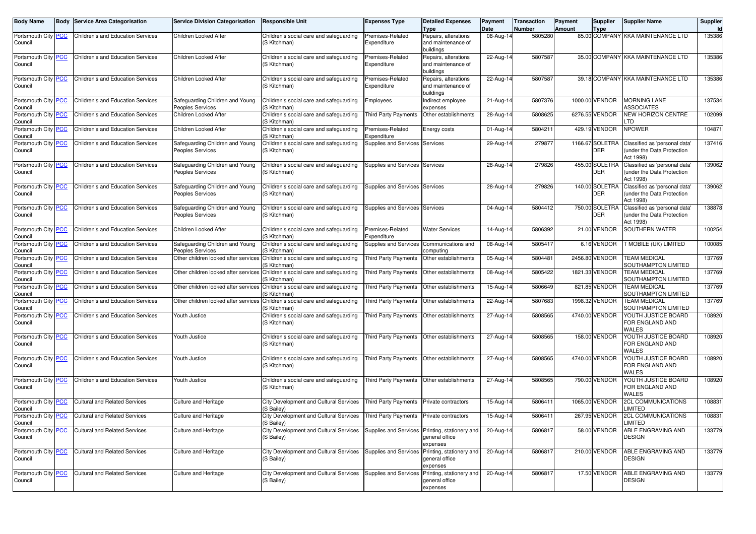| <b>Body Name</b>               | Body | <b>Service Area Categorisation</b>   | <b>Service Division Categorisation</b>                     | <b>Responsible Unit</b>                                                                           | <b>Expenses Type</b>            | <b>Detailed Expenses</b><br>Type                                             | Payment<br>Date | <b>Transaction</b><br>Number | Payment<br><b>Amount</b> | Supplier<br>Type              | <b>Supplier Name</b>                                                    | Supplier<br>Id |
|--------------------------------|------|--------------------------------------|------------------------------------------------------------|---------------------------------------------------------------------------------------------------|---------------------------------|------------------------------------------------------------------------------|-----------------|------------------------------|--------------------------|-------------------------------|-------------------------------------------------------------------------|----------------|
| Portsmouth City PCC<br>Council |      | Children's and Education Services    | Children Looked After                                      | Children's social care and safeguarding<br>(S Kitchman)                                           | Premises-Related<br>Expenditure | Repairs, alterations<br>and maintenance of<br>buildings                      | 08-Aug-14       | 5805280                      |                          |                               | 85.00 COMPANY KKA MAINTENANCE LTD                                       | 135386         |
| Portsmouth City PCC<br>Council |      | Children's and Education Services    | Children Looked After                                      | Children's social care and safeguarding<br>(S Kitchman)                                           | Premises-Related<br>Expenditure | Repairs, alterations<br>and maintenance of<br>buildings                      | 22-Aug-14       | 5807587                      |                          |                               | 35.00 COMPANY KKA MAINTENANCE LTD                                       | 135386         |
| Portsmouth City PCC<br>Council |      | Children's and Education Services    | Children Looked After                                      | Children's social care and safeguarding<br>(S Kitchman)                                           | Premises-Related<br>Expenditure | Repairs, alterations<br>and maintenance of<br>buildings                      | 22-Aug-14       | 5807587                      |                          |                               | 39.18 COMPANY KKA MAINTENANCE LTD                                       | 135386         |
| Portsmouth City PCC<br>Council |      | Children's and Education Services    | Safeguarding Children and Young<br>Peoples Services        | Children's social care and safeguarding<br>(S Kitchman)                                           | Employees                       | Indirect employee<br>expenses                                                | 21-Aug-14       | 5807376                      |                          | 1000.00 VENDOR                | <b>MORNING LANE</b><br><b>ASSOCIATES</b>                                | 137534         |
| Portsmouth City PCC<br>Council |      | Children's and Education Services    | Children Looked After                                      | Children's social care and safeguarding<br>(S Kitchman)                                           | Third Party Payments            | Other establishments                                                         | 28-Aug-14       | 5808625                      |                          | 6276.55 VENDOR                | <b>VEW HORIZON CENTRE</b><br>.TD                                        | 102099         |
| Portsmouth City PCC<br>Council |      | Children's and Education Services    | Children Looked After                                      | Children's social care and safeguarding<br>(S Kitchman)                                           | Premises-Related<br>Expenditure | Energy costs                                                                 | 01-Aug-14       | 5804211                      |                          | 429.19 VENDOR                 | <b>NPOWER</b>                                                           | 104871         |
| Portsmouth City PCC<br>Council |      | Children's and Education Services    | Safeguarding Children and Young<br><b>Peoples Services</b> | Children's social care and safeguarding<br>(S Kitchman)                                           | Supplies and Services Services  |                                                                              | 29-Aug-14       | 279877                       |                          | 1166.67 SOLETRA<br><b>DER</b> | Classified as 'personal data'<br>under the Data Protection<br>Act 1998) | 137416         |
| Portsmouth City PCC<br>Council |      | Children's and Education Services    | Safeguarding Children and Young<br><b>Peoples Services</b> | Children's social care and safeguarding<br>(S Kitchman)                                           | Supplies and Services Services  |                                                                              | 28-Aug-14       | 279826                       |                          | 455.00 SOLETRA<br><b>DER</b>  | Classified as 'personal data'<br>under the Data Protection<br>Act 1998) | 139062         |
| Portsmouth City PCC<br>Council |      | Children's and Education Services    | Safeguarding Children and Young<br><b>Peoples Services</b> | Children's social care and safeguarding<br>(S Kitchman)                                           | Supplies and Services Services  |                                                                              | 28-Aug-14       | 279826                       |                          | 140.00 SOLETRA<br><b>DER</b>  | Classified as 'personal data'<br>under the Data Protection<br>Act 1998) | 139062         |
| Portsmouth City PCC<br>Council |      | Children's and Education Services    | Safeguarding Children and Young<br>Peoples Services        | Children's social care and safeguarding<br>(S Kitchman)                                           | Supplies and Services Services  |                                                                              | 04-Aug-14       | 5804412                      |                          | 750.00 SOLETRA<br><b>DER</b>  | Classified as 'personal data'<br>under the Data Protection<br>Act 1998) | 138878         |
| Portsmouth City PCC<br>Council |      | Children's and Education Services    | Children Looked After                                      | Children's social care and safeguarding<br>(S Kitchman)                                           | Premises-Related<br>Expenditure | <b>Water Services</b>                                                        | 14-Aug-14       | 5806392                      |                          | 21.00 VENDOR                  | SOUTHERN WATER                                                          | 100254         |
| Portsmouth City PCC<br>Council |      | Children's and Education Services    | Safeguarding Children and Young<br><b>Peoples Services</b> | Children's social care and safeguarding<br>(S Kitchman)                                           | Supplies and Services           | Communications and<br>computing                                              | 08-Aug-14       | 5805417                      |                          | 6.16 VENDOR                   | T MOBILE (UK) LIMITED                                                   | 100085         |
| Portsmouth City PCC<br>Council |      | Children's and Education Services    | Other children looked after services                       | Children's social care and safeguarding<br>S Kitchman)                                            | Third Party Payments            | Other establishments                                                         | 05-Aug-14       | 5804481                      |                          | 2456.80 VENDOR                | <b>TEAM MEDICAL</b><br>SOUTHAMPTON LIMITED                              | 137769         |
| Portsmouth City PCC<br>Council |      | Children's and Education Services    |                                                            | Other children looked after services Children's social care and safequarding<br>(S Kitchman)      | <b>Third Party Payments</b>     | Other establishments                                                         | 08-Aug-14       | 5805422                      |                          | 1821.33 VENDOR                | <b>TEAM MEDICAL</b><br>SOUTHAMPTON LIMITED                              | 137769         |
| Portsmouth City PCC<br>Council |      | Children's and Education Services    | Other children looked after services                       | Children's social care and safeguarding<br>(S Kitchman)                                           | Third Party Payments            | Other establishments                                                         | 15-Aug-14       | 5806649                      |                          | 821.85 VENDOR                 | <b>TEAM MEDICAL</b><br>SOUTHAMPTON LIMITED                              | 137769         |
| Portsmouth City PCC<br>Council |      | Children's and Education Services    | Other children looked after services                       | Children's social care and safeguarding<br>(S Kitchman)                                           | Third Party Payments            | Other establishments                                                         | 22-Aug-14       | 5807683                      |                          | 1998.32 VENDOR                | <b>TEAM MEDICAL</b><br>SOUTHAMPTON LIMITED                              | 137769         |
| Portsmouth City PCC<br>Council |      | Children's and Education Services    | Youth Justice                                              | Children's social care and safeguarding<br>(S Kitchman)                                           | Third Party Payments            | Other establishments                                                         | 27-Aug-14       | 5808565                      |                          | 4740.00 VENDOR                | YOUTH JUSTICE BOARD<br>FOR ENGLAND AND<br>WALES                         | 108920         |
| Portsmouth City PCC<br>Council |      | Children's and Education Services    | Youth Justice                                              | Children's social care and safeguarding<br>(S Kitchman)                                           | Third Party Payments            | Other establishments                                                         | 27-Aug-14       | 5808565                      |                          | 158.00 VENDOR                 | YOUTH JUSTICE BOARD<br>FOR ENGLAND AND<br>WALES                         | 108920         |
| Portsmouth City PCC<br>Council |      | Children's and Education Services    | Youth Justice                                              | Children's social care and safeguarding<br>(S Kitchman)                                           | Third Party Payments            | Other establishments                                                         | 27-Aug-14       | 5808565                      |                          | 4740.00 VENDOR                | YOUTH JUSTICE BOARD<br>FOR ENGLAND AND<br>WALES                         | 108920         |
| Portsmouth City PCC<br>Council |      | Children's and Education Services    | Youth Justice                                              | Children's social care and safeguarding<br>(S Kitchman)                                           | Third Party Payments            | Other establishments                                                         | 27-Aug-14       | 5808565                      |                          | 790.00 VENDOR                 | YOUTH JUSTICE BOARD<br>FOR ENGLAND AND<br>WALES                         | 108920         |
| Portsmouth City PCC<br>Council |      | <b>Cultural and Related Services</b> | Culture and Heritage                                       | City Development and Cultural Services<br>(S Bailey)                                              | Third Party Payments            | Private contractors                                                          | 15-Aug-14       | 5806411                      |                          | 1065.00 VENDOR                | <b>2CL COMMUNICATIONS</b><br>LIMITED                                    | 108831         |
| Portsmouth City PCC<br>Council |      | Cultural and Related Services        | Culture and Heritage                                       | City Development and Cultural Services   Third Party Payments   Private contractors<br>(S Bailey) |                                 |                                                                              | 15-Aug-14       | 5806411                      |                          | 267.95 VENDOR                 | <b>2CL COMMUNICATIONS</b><br>LIMITED                                    | 108831         |
| Portsmouth City PCC<br>Council |      | <b>Cultural and Related Services</b> | Culture and Heritage                                       | City Development and Cultural Services<br>(S Bailey)                                              |                                 | Supplies and Services Printing, stationery and<br>general office<br>expenses | 20-Aug-14       | 5806817                      |                          | 58.00 VENDOR                  | ABLE ENGRAVING AND<br><b>DESIGN</b>                                     | 133779         |
| Portsmouth City PCC<br>Council |      | <b>Cultural and Related Services</b> | Culture and Heritage                                       | City Development and Cultural Services<br>(S Bailey)                                              |                                 | Supplies and Services Printing, stationery and<br>general office<br>expenses | 20-Aug-14       | 5806817                      |                          | 210.00 VENDOR                 | ABLE ENGRAVING AND<br>DESIGN                                            | 133779         |
| Portsmouth City PCC<br>Council |      | <b>Cultural and Related Services</b> | Culture and Heritage                                       | City Development and Cultural Services<br>(S Bailey)                                              |                                 | Supplies and Services Printing, stationery and<br>general office<br>expenses | 20-Aug-14       | 5806817                      |                          | 17.50 VENDOR                  | ABLE ENGRAVING AND<br>DESIGN                                            | 133779         |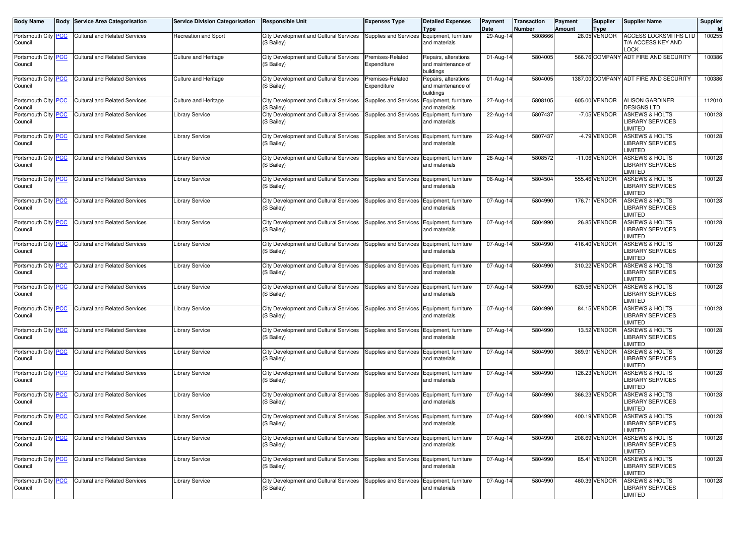| <b>Body Name</b>                      |            | <b>Body Service Area Categorisation</b> | <b>Service Division Categorisation</b> | <b>Responsible Unit</b>                              | <b>Expenses Type</b>                       | <b>Detailed Expenses</b><br><b>Type</b>                 | Payment<br>Date | <b>Transaction</b><br><b>Number</b> | Payment<br>Amount | <b>Supplier</b><br><b>Type</b> | <b>Supplier Name</b>                                                   | Supplier |
|---------------------------------------|------------|-----------------------------------------|----------------------------------------|------------------------------------------------------|--------------------------------------------|---------------------------------------------------------|-----------------|-------------------------------------|-------------------|--------------------------------|------------------------------------------------------------------------|----------|
| Portsmouth City<br>Council            | <b>PCC</b> | <b>Cultural and Related Services</b>    | Recreation and Sport                   | City Development and Cultural Services<br>(S Bailey) | Supplies and Services Equipment, furniture | and materials                                           | 29-Aug-14       | 5808666                             |                   | 28.05 VENDOR                   | <b>ACCESS LOCKSMITHS LTD</b><br>T/A ACCESS KEY AND<br>LOCK             | 100255   |
| Portsmouth City <b>PCC</b><br>Council |            | <b>Cultural and Related Services</b>    | Culture and Heritage                   | City Development and Cultural Services<br>(S Bailey) | Premises-Related<br>Expenditure            | Repairs, alterations<br>and maintenance of<br>buildings | 01-Aug-14       | 5804005                             |                   |                                | 566.76 COMPANY ADT FIRE AND SECURITY                                   | 100386   |
| Portsmouth City<br>Council            | <b>PCC</b> | <b>Cultural and Related Services</b>    | Culture and Heritage                   | City Development and Cultural Services<br>(S Bailey) | Premises-Related<br>Expenditure            | Repairs, alterations<br>and maintenance of<br>buildings | 01-Aug-14       | 5804005                             |                   |                                | 1387.00 COMPANY ADT FIRE AND SECURITY                                  | 100386   |
| Portsmouth City<br>Council            | <b>PCC</b> | <b>Cultural and Related Services</b>    | Culture and Heritage                   | City Development and Cultural Services<br>(S Bailey) | Supplies and Services                      | Equipment, furniture<br>and materials                   | 27-Aug-14       | 5808105                             |                   | 605.00 VENDOR                  | <b>ALISON GARDINER</b><br><b>DESIGNS LTD</b>                           | 112010   |
| Portsmouth City PCC<br>Council        |            | <b>Cultural and Related Services</b>    | Library Service                        | City Development and Cultural Services<br>(S Bailey) | Supplies and Services                      | Equipment, furniture<br>and materials                   | 22-Aug-14       | 5807437                             |                   | -7.05 VENDOR                   | <b>ASKEWS &amp; HOLTS</b><br><b>LIBRARY SERVICES</b><br>LIMITED        | 100128   |
| Portsmouth City<br>Council            | <b>PCC</b> | <b>Cultural and Related Services</b>    | ibrary Service                         | City Development and Cultural Services<br>(S Bailey) | Supplies and Services                      | Equipment, furniture<br>and materials                   | 22-Aug-14       | 5807437                             |                   | -4.79 VENDOR                   | <b>ASKEWS &amp; HOLTS</b><br><b>LIBRARY SERVICES</b><br>LIMITED        | 100128   |
| Portsmouth City<br>Council            | <b>PCC</b> | <b>Cultural and Related Services</b>    | Library Service                        | City Development and Cultural Services<br>(S Bailey) | Supplies and Services                      | Equipment, furniture<br>and materials                   | 28-Aug-14       | 5808572                             |                   | -11.06 VENDOR                  | <b>ASKEWS &amp; HOLTS</b><br><b>LIBRARY SERVICES</b><br>LIMITED        | 100128   |
| Portsmouth City<br>Council            | <b>PCC</b> | <b>Cultural and Related Services</b>    | ibrary Service                         | City Development and Cultural Services<br>(S Bailey) | Supplies and Services                      | Equipment, furniture<br>and materials                   | 06-Aug-14       | 5804504                             |                   | 555.46 VENDOR                  | <b>ASKEWS &amp; HOLTS</b><br><b>LIBRARY SERVICES</b><br>LIMITED        | 100128   |
| Portsmouth City<br>Council            | <b>PCC</b> | <b>Cultural and Related Services</b>    | Library Service                        | City Development and Cultural Services<br>(S Bailey) | Supplies and Services Equipment, furniture | and materials                                           | 07-Aug-14       | 5804990                             |                   | 176.71 VENDOR                  | <b>ASKEWS &amp; HOLTS</b><br><b>LIBRARY SERVICES</b><br>LIMITED        | 100128   |
| Portsmouth City PCC<br>Council        |            | <b>Cultural and Related Services</b>    | Library Service                        | City Development and Cultural Services<br>(S Bailey) | Supplies and Services Equipment, furniture | and materials                                           | 07-Aug-14       | 5804990                             |                   | 26.85 VENDOR                   | <b>ASKEWS &amp; HOLTS</b><br><b>LIBRARY SERVICES</b><br>LIMITED        | 100128   |
| Portsmouth City<br>Council            | <b>PCC</b> | <b>Cultural and Related Services</b>    | Library Service                        | City Development and Cultural Services<br>(S Bailey) | Supplies and Services                      | Equipment, furniture<br>and materials                   | 07-Aug-14       | 5804990                             |                   | 416.40 VENDOR                  | <b>ASKEWS &amp; HOLTS</b><br><b>LIBRARY SERVICES</b><br>LIMITED        | 100128   |
| Portsmouth City<br>Council            | <b>PCC</b> | <b>Cultural and Related Services</b>    | ibrary Service                         | City Development and Cultural Services<br>(S Bailey) | Supplies and Services                      | Equipment, furniture<br>and materials                   | 07-Aug-14       | 5804990                             |                   | 310.22 VENDOR                  | <b>ASKEWS &amp; HOLTS</b><br><b>LIBRARY SERVICES</b><br>LIMITED        | 100128   |
| Portsmouth City<br>Council            | <b>PCC</b> | <b>Cultural and Related Services</b>    | ibrary Service                         | City Development and Cultural Services<br>(S Bailey) | Supplies and Services                      | Equipment, furniture<br>and materials                   | 07-Aug-14       | 5804990                             |                   | 620.56 VENDOR                  | <b>ASKEWS &amp; HOLTS</b><br><b>LIBRARY SERVICES</b><br>LIMITED        | 100128   |
| Portsmouth City<br>Council            | <b>PCC</b> | <b>Cultural and Related Services</b>    | Library Service                        | City Development and Cultural Services<br>(S Bailey) | Supplies and Services Equipment, furniture | and materials                                           | 07-Aug-14       | 5804990                             |                   | 84.15 VENDOR                   | <b>ASKEWS &amp; HOLTS</b><br><b>LIBRARY SERVICES</b><br>LIMITED        | 100128   |
| Portsmouth City PCC<br>Council        |            | <b>Cultural and Related Services</b>    | Library Service                        | City Development and Cultural Services<br>(S Bailey) | Supplies and Services Equipment, furniture | and materials                                           | 07-Aug-14       | 5804990                             |                   | 13.52 VENDOR                   | <b>ASKEWS &amp; HOLTS</b><br><b>LIBRARY SERVICES</b><br>LIMITED        | 100128   |
| Portsmouth City<br>Council            | <b>PCC</b> | <b>Cultural and Related Services</b>    | ibrary Service                         | City Development and Cultural Services<br>(S Bailey) | Supplies and Services                      | Equipment, furniture<br>and materials                   | 07-Aug-14       | 5804990                             |                   | 369.91 VENDOR                  | <b>ASKEWS &amp; HOLTS</b><br><b>LIBRARY SERVICES</b><br><b>LIMITED</b> | 100128   |
| Portsmouth City<br>Council            | <b>PCC</b> | <b>Cultural and Related Services</b>    | ibrary Service                         | City Development and Cultural Services<br>(S Bailey) | Supplies and Services                      | Equipment, furniture<br>and materials                   | 07-Aug-14       | 5804990                             |                   | 126.23 VENDOR                  | <b>ASKEWS &amp; HOLTS</b><br><b>LIBRARY SERVICES</b><br><b>LIMITED</b> | 100128   |
| Portsmouth City<br>Council            | <b>PCC</b> | <b>Cultural and Related Services</b>    | Library Service                        | City Development and Cultural Services<br>(S Bailey) | Supplies and Services                      | Equipment, furniture<br>and materials                   | 07-Aug-14       | 5804990                             |                   | 366.23 VENDOR                  | <b>ASKEWS &amp; HOLTS</b><br><b>LIBRARY SERVICES</b><br>LIMITED        | 100128   |
| Portsmouth City PCC<br>Council        |            | <b>Cultural and Related Services</b>    | Library Service                        | City Development and Cultural Services<br>(S Bailey) | Supplies and Services Equipment, furniture | and materials                                           | 07-Aug-14       | 5804990                             |                   | 400.19 VENDOR                  | <b>ASKEWS &amp; HOLTS</b><br><b>LIBRARY SERVICES</b><br>LIMITED        | 100128   |
| Portsmouth City<br>Council            | <b>PCC</b> | <b>Cultural and Related Services</b>    | Library Service                        | City Development and Cultural Services<br>(S Bailey) | Supplies and Services Equipment, furniture | and materials                                           | 07-Aug-14       | 5804990                             |                   | 208.69 VENDOR                  | <b>ASKEWS &amp; HOLTS</b><br><b>LIBRARY SERVICES</b><br><b>LIMITED</b> | 100128   |
| Portsmouth City<br>Council            | <u>PCC</u> | <b>Cultural and Related Services</b>    | Library Service                        | City Development and Cultural Services<br>(S Bailey) | Supplies and Services Equipment, furniture | and materials                                           | 07-Aug-14       | 5804990                             |                   | 85.41 VENDOR                   | <b>ASKEWS &amp; HOLTS</b><br><b>LIBRARY SERVICES</b><br><b>LIMITED</b> | 100128   |
| Portsmouth City<br>Council            | <u>PCC</u> | <b>Cultural and Related Services</b>    | Library Service                        | City Development and Cultural Services<br>(S Bailey) | Supplies and Services Equipment, furniture | and materials                                           | 07-Aug-14       | 5804990                             |                   | 460.39 VENDOR                  | <b>ASKEWS &amp; HOLTS</b><br><b>LIBRARY SERVICES</b><br><b>LIMITED</b> | 100128   |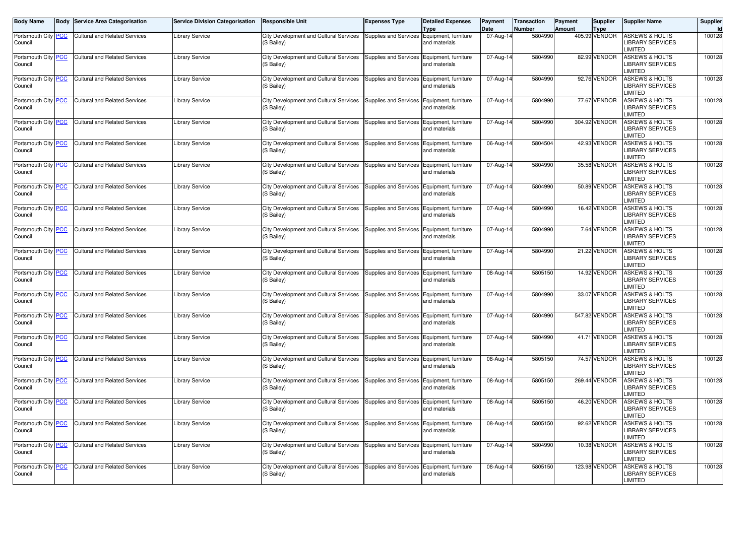| <b>Body Name</b>               | <b>Body</b> | <b>Service Area Categorisation</b>   | <b>Service Division Categorisation</b> | <b>Responsible Unit</b>                                     | <b>Expenses Type</b>                       | <b>Detailed Expenses</b><br><b>Type</b> | Payment<br>Date | <b>Transaction</b><br>Number | Payment<br><b>Amount</b> | Supplier<br><b>Type</b> | <b>Supplier Name</b>                                                  | Supplier<br>Id |
|--------------------------------|-------------|--------------------------------------|----------------------------------------|-------------------------------------------------------------|--------------------------------------------|-----------------------------------------|-----------------|------------------------------|--------------------------|-------------------------|-----------------------------------------------------------------------|----------------|
| Portsmouth City PCC<br>Council |             | <b>Cultural and Related Services</b> | <b>Library Service</b>                 | City Development and Cultural Services<br>(S Bailey)        | <b>Supplies and Services</b>               | Equipment, furniture<br>and materials   | 07-Aug-14       | 5804990                      |                          | 405.99 VENDOR           | <b>ASKEWS &amp; HOLTS</b><br>LIBRARY SERVICES<br><b>IMITED</b>        | 100128         |
| Portsmouth City PCC<br>Council |             | <b>Cultural and Related Services</b> | <b>Library Service</b>                 | City Development and Cultural Services<br>(S Bailey)        | Supplies and Services Equipment, furniture | and materials                           | 07-Aug-14       | 5804990                      |                          | 82.99 VENDOR            | <b>ASKEWS &amp; HOLTS</b><br>LIBRARY SERVICES<br><b>IMITED</b>        | 100128         |
| Portsmouth City PCC<br>Council |             | <b>Cultural and Related Services</b> | <b>Library Service</b>                 | <b>City Development and Cultural Services</b><br>(S Bailey) | <b>Supplies and Services</b>               | Equipment, furniture<br>and materials   | 07-Aug-14       | 5804990                      |                          | 92.76 VENDOR            | <b>ASKEWS &amp; HOLTS</b><br><b>IBRARY SERVICES</b><br><b>IMITED</b>  | 100128         |
| Portsmouth City PCC<br>Council |             | <b>Cultural and Related Services</b> | <b>Library Service</b>                 | City Development and Cultural Services<br>(S Bailey)        | Supplies and Services                      | Equipment, furniture<br>and materials   | 07-Aug-14       | 5804990                      |                          | 77.67 VENDOR            | <b>ASKEWS &amp; HOLTS</b><br><b>IBRARY SERVICES</b><br><b>IMITED</b>  | 100128         |
| Portsmouth City PCC<br>Council |             | <b>Cultural and Related Services</b> | <b>Library Service</b>                 | City Development and Cultural Services<br>(S Bailey)        | Supplies and Services                      | Equipment, furniture<br>and materials   | 07-Aug-14       | 5804990                      |                          | 304.92 VENDOR           | <b>ASKEWS &amp; HOLTS</b><br><b>IBRARY SERVICES</b><br><b>IMITED</b>  | 100128         |
| Portsmouth City PCC<br>Council |             | <b>Cultural and Related Services</b> | <b>Library Service</b>                 | City Development and Cultural Services<br>(S Bailey)        | <b>Supplies and Services</b>               | Equipment, furniture<br>and materials   | 06-Aug-14       | 5804504                      |                          | 42.93 VENDOR            | <b>ASKEWS &amp; HOLTS</b><br><b>IBRARY SERVICES</b><br><b>IMITED</b>  | 100128         |
| Portsmouth City PCC<br>Council |             | <b>Cultural and Related Services</b> | <b>Library Service</b>                 | City Development and Cultural Services<br>(S Bailey)        | Supplies and Services                      | Equipment, furniture<br>and materials   | 07-Aug-14       | 5804990                      |                          | 35.58 VENDOR            | <b>ASKEWS &amp; HOLTS</b><br><b>LIBRARY SERVICES</b><br><b>IMITED</b> | 100128         |
| Portsmouth City PCC<br>Council |             | <b>Cultural and Related Services</b> | <b>Library Service</b>                 | City Development and Cultural Services<br>(S Bailey)        | <b>Supplies and Services</b>               | Equipment, furniture<br>and materials   | 07-Aug-14       | 5804990                      |                          | 50.89 VENDOR            | <b>ASKEWS &amp; HOLTS</b><br><b>IBRARY SERVICES</b><br><b>IMITED</b>  | 100128         |
| Portsmouth City PCC<br>Council |             | <b>Cultural and Related Services</b> | <b>Library Service</b>                 | City Development and Cultural Services<br>(S Bailey)        | Supplies and Services Equipment, furniture | and materials                           | 07-Aug-14       | 5804990                      |                          | 16.42 VENDOR            | <b>ASKEWS &amp; HOLTS</b><br><b>LIBRARY SERVICES</b><br><b>IMITED</b> | 100128         |
| Portsmouth City PCC<br>Council |             | <b>Cultural and Related Services</b> | <b>Library Service</b>                 | City Development and Cultural Services<br>(S Bailey)        | Supplies and Services                      | Equipment, furniture<br>and materials   | 07-Aug-14       | 5804990                      |                          | 7.64 VENDOR             | <b>ASKEWS &amp; HOLTS</b><br>LIBRARY SERVICES<br><b>IMITED</b>        | 100128         |
| Portsmouth City PCC<br>Council |             | <b>Cultural and Related Services</b> | <b>Library Service</b>                 | City Development and Cultural Services<br>(S Bailey)        | Supplies and Services Equipment, furniture | and materials                           | 07-Aug-14       | 5804990                      |                          | 21.22 VENDOR            | <b>ASKEWS &amp; HOLTS</b><br>LIBRARY SERVICES<br><b>IMITED</b>        | 100128         |
| Portsmouth City PCC<br>Council |             | <b>Cultural and Related Services</b> | <b>Library Service</b>                 | City Development and Cultural Services<br>(S Bailey)        | Supplies and Services                      | Equipment, furniture<br>and materials   | 08-Aug-14       | 5805150                      |                          | 14.92 VENDOR            | <b>ASKEWS &amp; HOLTS</b><br>LIBRARY SERVICES<br><b>IMITED</b>        | 100128         |
| Portsmouth City PCC<br>Council |             | <b>Cultural and Related Services</b> | <b>Library Service</b>                 | City Development and Cultural Services<br>(S Bailey)        | Supplies and Services                      | Equipment, furniture<br>and materials   | 07-Aug-14       | 5804990                      |                          | 33.07 VENDOR            | <b>ASKEWS &amp; HOLTS</b><br>LIBRARY SERVICES<br><b>IMITED</b>        | 100128         |
| Portsmouth City PCC<br>Council |             | <b>Cultural and Related Services</b> | <b>Library Service</b>                 | City Development and Cultural Services<br>(S Bailey)        | Supplies and Services                      | Equipment, furniture<br>and materials   | 07-Aug-14       | 5804990                      |                          | 547.82 VENDOR           | <b>ASKEWS &amp; HOLTS</b><br>LIBRARY SERVICES<br><b>IMITED</b>        | 100128         |
| Portsmouth City PCC<br>Council |             | <b>Cultural and Related Services</b> | <b>Library Service</b>                 | City Development and Cultural Services<br>(S Bailey)        | Supplies and Services Equipment, furniture | and materials                           | 07-Aug-14       | 5804990                      |                          | 41.71 VENDOR            | <b>ASKEWS &amp; HOLTS</b><br>LIBRARY SERVICES<br><b>IMITED</b>        | 100128         |
| Portsmouth City PCC<br>Council |             | <b>Cultural and Related Services</b> | <b>Library Service</b>                 | City Development and Cultural Services<br>(S Bailey)        | Supplies and Services                      | Equipment, furniture<br>and materials   | 08-Aug-14       | 5805150                      |                          | 74.57 VENDOR            | <b>ASKEWS &amp; HOLTS</b><br>LIBRARY SERVICES<br><b>IMITED</b>        | 100128         |
| Portsmouth City PCC<br>Council |             | <b>Cultural and Related Services</b> | <b>Library Service</b>                 | City Development and Cultural Services<br>(S Bailey)        | <b>Supplies and Services</b>               | Equipment, furniture<br>and materials   | 08-Aug-14       | 5805150                      |                          | 269.44 VENDOR           | <b>ASKEWS &amp; HOLTS</b><br>LIBRARY SERVICES<br><b>IMITED</b>        | 100128         |
| Portsmouth City PCC<br>Council |             | <b>Cultural and Related Services</b> | <b>Library Service</b>                 | City Development and Cultural Services<br>(S Bailev)        | <b>Supplies and Services</b>               | Equipment, furniture<br>and materials   | 08-Aug-14       | 5805150                      |                          | 46.20 VENDOR            | <b>ASKEWS &amp; HOLTS</b><br><b>IBRARY SERVICES</b><br><b>IMITED</b>  | 100128         |
| Portsmouth City PCC<br>Council |             | <b>Cultural and Related Services</b> | <b>Library Service</b>                 | City Development and Cultural Services<br>(S Bailey)        | Supplies and Services Equipment, furniture | and materials                           | 08-Aug-14       | 5805150                      |                          | 92.62 VENDOR            | <b>ASKEWS &amp; HOLTS</b><br><b>IBRARY SERVICES</b><br><b>IMITED</b>  | 100128         |
| Portsmouth City PCC<br>Council |             | <b>Cultural and Related Services</b> | <b>Library Service</b>                 | City Development and Cultural Services<br>(S Bailey)        | <b>Supplies and Services</b>               | Equipment, furniture<br>and materials   | 07-Aug-14       | 5804990                      |                          | 10.38 VENDOR            | <b>ASKEWS &amp; HOLTS</b><br><b>IBRARY SERVICES</b><br><b>IMITED</b>  | 100128         |
| Portsmouth City PCC<br>Council |             | <b>Cultural and Related Services</b> | <b>Library Service</b>                 | City Development and Cultural Services<br>(S Bailey)        | <b>Supplies and Services</b>               | Equipment, furniture<br>and materials   | 08-Aug-14       | 5805150                      |                          | 123.98 VENDOR           | <b>ASKEWS &amp; HOLTS</b><br><b>IBRARY SERVICES</b><br>LIMITED        | 100128         |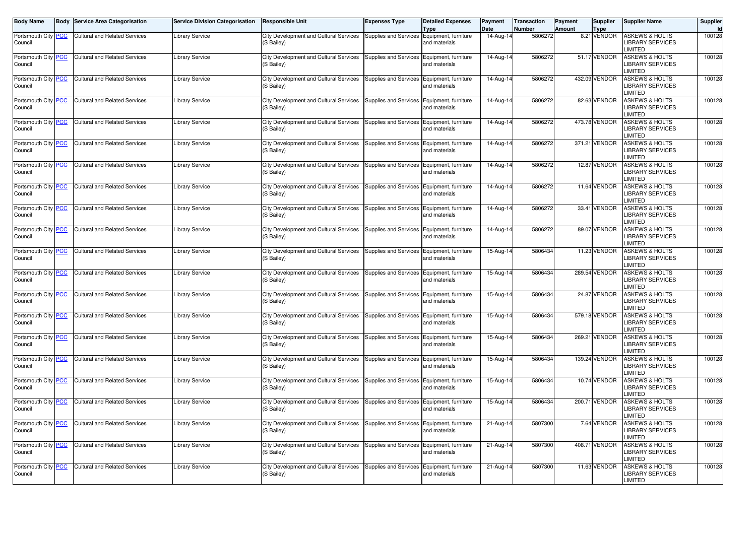| <b>Body Name</b>                      | <b>Body</b> | <b>Service Area Categorisation</b>   | <b>Service Division Categorisation</b> | <b>Responsible Unit</b>                              | <b>Expenses Type</b>                       | <b>Detailed Expenses</b><br><b>Type</b> | Payment<br>Date         | Transaction<br>Number | Payment<br><b>Amount</b> | Supplier<br><b>Type</b> | <b>Supplier Name</b>                                                  | Supplier<br>Id |
|---------------------------------------|-------------|--------------------------------------|----------------------------------------|------------------------------------------------------|--------------------------------------------|-----------------------------------------|-------------------------|-----------------------|--------------------------|-------------------------|-----------------------------------------------------------------------|----------------|
| Portsmouth City PCC<br>Council        |             | <b>Cultural and Related Services</b> | <b>Library Service</b>                 | City Development and Cultural Services<br>(S Bailey) | <b>Supplies and Services</b>               | Equipment, furniture<br>and materials   | 14-Aug-14               | 5806272               |                          | 8.21 VENDOR             | <b>ASKEWS &amp; HOLTS</b><br>LIBRARY SERVICES<br><b>IMITED</b>        | 100128         |
| Portsmouth City PCC<br>Council        |             | <b>Cultural and Related Services</b> | <b>Library Service</b>                 | City Development and Cultural Services<br>(S Bailey) | Supplies and Services Equipment, furniture | and materials                           | 14-Aug-14               | 5806272               |                          | 51.17 VENDOR            | <b>ASKEWS &amp; HOLTS</b><br>LIBRARY SERVICES<br><b>IMITED</b>        | 100128         |
| Portsmouth City <b>PCC</b><br>Council |             | <b>Cultural and Related Services</b> | <b>Library Service</b>                 | City Development and Cultural Services<br>(S Bailey) | Supplies and Services                      | Equipment, furniture<br>and materials   | 14-Aug-14               | 5806272               |                          | 432.09 VENDOR           | <b>ASKEWS &amp; HOLTS</b><br><b>IBRARY SERVICES</b><br><b>IMITED</b>  | 100128         |
| Portsmouth City PCC<br>Council        |             | <b>Cultural and Related Services</b> | <b>Library Service</b>                 | City Development and Cultural Services<br>(S Bailey) | Supplies and Services                      | Equipment, furniture<br>and materials   | 14-Aug-14               | 5806272               |                          | 82.63 VENDOR            | <b>ASKEWS &amp; HOLTS</b><br><b>IBRARY SERVICES</b><br><b>IMITED</b>  | 100128         |
| Portsmouth City PCC<br>Council        |             | <b>Cultural and Related Services</b> | <b>Library Service</b>                 | City Development and Cultural Services<br>(S Bailey) | <b>Supplies and Services</b>               | Equipment, furniture<br>and materials   | 14-Aug-14               | 5806272               |                          | 473.78 VENDOR           | <b>ASKEWS &amp; HOLTS</b><br><b>IBRARY SERVICES</b><br><b>IMITED</b>  | 100128         |
| Portsmouth City PCC<br>Council        |             | <b>Cultural and Related Services</b> | <b>Library Service</b>                 | City Development and Cultural Services<br>(S Bailey) | <b>Supplies and Services</b>               | Equipment, furniture<br>and materials   | 14-Aug-14               | 5806272               |                          | 371.21 VENDOR           | <b>ASKEWS &amp; HOLTS</b><br><b>IBRARY SERVICES</b><br><b>IMITED</b>  | 100128         |
| Portsmouth City PCC<br>Council        |             | <b>Cultural and Related Services</b> | <b>Library Service</b>                 | City Development and Cultural Services<br>(S Bailey) | Supplies and Services                      | Equipment, furniture<br>and materials   | 14-Aug-14               | 5806272               |                          | 12.87 VENDOR            | <b>ASKEWS &amp; HOLTS</b><br>LIBRARY SERVICES<br><b>IMITED</b>        | 100128         |
| Portsmouth City PCC<br>Council        |             | <b>Cultural and Related Services</b> | <b>Library Service</b>                 | City Development and Cultural Services<br>(S Bailey) | Supplies and Services                      | Equipment, furniture<br>and materials   | 14-Aug-14               | 5806272               |                          | 11.64 VENDOR            | <b>ASKEWS &amp; HOLTS</b><br>LIBRARY SERVICES<br><b>IMITED</b>        | 100128         |
| Portsmouth City PCC<br>Council        |             | <b>Cultural and Related Services</b> | <b>Library Service</b>                 | City Development and Cultural Services<br>(S Bailey) | Supplies and Services Equipment, furniture | and materials                           | 14-Aug-14               | 5806272               |                          | 33.41 VENDOR            | <b>ASKEWS &amp; HOLTS</b><br>LIBRARY SERVICES<br><b>IMITED</b>        | 100128         |
| Portsmouth City PCC<br>Council        |             | <b>Cultural and Related Services</b> | <b>Library Service</b>                 | City Development and Cultural Services<br>(S Bailey) | Supplies and Services                      | Equipment, furniture<br>and materials   | 14-Aug-14               | 5806272               |                          | 89.07 VENDOR            | <b>ASKEWS &amp; HOLTS</b><br><b>LIBRARY SERVICES</b><br><b>IMITED</b> | 100128         |
| Portsmouth City PCC<br>Council        |             | <b>Cultural and Related Services</b> | <b>Library Service</b>                 | City Development and Cultural Services<br>(S Bailey) | Supplies and Services Equipment, furniture | and materials                           | 15-Aug-14               | 5806434               |                          | 11.23 VENDOR            | <b>ASKEWS &amp; HOLTS</b><br><b>LIBRARY SERVICES</b><br><b>IMITED</b> | 100128         |
| Portsmouth City PCC<br>Council        |             | <b>Cultural and Related Services</b> | <b>Library Service</b>                 | City Development and Cultural Services<br>(S Bailey) | Supplies and Services                      | Equipment, furniture<br>and materials   | 15-Aug-14               | 5806434               |                          | 289.54 VENDOR           | <b>ASKEWS &amp; HOLTS</b><br>LIBRARY SERVICES<br><b>IMITED</b>        | 100128         |
| Portsmouth City PCC<br>Council        |             | <b>Cultural and Related Services</b> | <b>Library Service</b>                 | City Development and Cultural Services<br>(S Bailey) | Supplies and Services                      | Equipment, furniture<br>and materials   | 15-Aug-14               | 5806434               |                          | 24.87 VENDOR            | <b>ASKEWS &amp; HOLTS</b><br>LIBRARY SERVICES<br><b>IMITED</b>        | 100128         |
| Portsmouth City PCC<br>Council        |             | <b>Cultural and Related Services</b> | <b>Library Service</b>                 | City Development and Cultural Services<br>(S Bailey) | <b>Supplies and Services</b>               | Equipment, furniture<br>and materials   | 15-Aug-14               | 5806434               |                          | 579.18 VENDOR           | <b>ASKEWS &amp; HOLTS</b><br>LIBRARY SERVICES<br><b>IMITED</b>        | 100128         |
| Portsmouth City PCC<br>Council        |             | <b>Cultural and Related Services</b> | <b>Library Service</b>                 | City Development and Cultural Services<br>(S Bailey) | Supplies and Services Equipment, furniture | and materials                           | 15-Aug-14               | 5806434               |                          | 269.21 VENDOR           | <b>ASKEWS &amp; HOLTS</b><br>LIBRARY SERVICES<br><b>IMITED</b>        | 100128         |
| Portsmouth City PCC<br>Council        |             | <b>Cultural and Related Services</b> | <b>Library Service</b>                 | City Development and Cultural Services<br>(S Bailey) | <b>Supplies and Services</b>               | Equipment, furniture<br>and materials   | 15-Aug-14               | 5806434               |                          | 139.24 VENDOR           | <b>ASKEWS &amp; HOLTS</b><br><b>IBRARY SERVICES</b><br><b>IMITED</b>  | 100128         |
| Portsmouth City PCC<br>Council        |             | <b>Cultural and Related Services</b> | <b>Library Service</b>                 | City Development and Cultural Services<br>(S Bailey) | <b>Supplies and Services</b>               | Equipment, furniture<br>and materials   | 15-Aug-14               | 5806434               |                          | 10.74 VENDOR            | <b>ASKEWS &amp; HOLTS</b><br><b>IBRARY SERVICES</b><br><b>IMITED</b>  | 100128         |
| Portsmouth City PCC<br>Council        |             | <b>Cultural and Related Services</b> | <b>Library Service</b>                 | City Development and Cultural Services<br>(S Bailey) | Supplies and Services                      | Equipment, furniture<br>and materials   | 15-Aug-14               | 5806434               |                          | 200.71 VENDOR           | <b>ASKEWS &amp; HOLTS</b><br><b>IBRARY SERVICES</b><br><b>IMITED</b>  | 100128         |
| Portsmouth City PCC<br>Council        |             | <b>Cultural and Related Services</b> | <b>Library Service</b>                 | City Development and Cultural Services<br>(S Bailey) | <b>Supplies and Services</b>               | Equipment, furniture<br>and materials   | 21-Aug-14               | 5807300               |                          | 7.64 VENDOR             | <b>ASKEWS &amp; HOLTS</b><br><b>IBRARY SERVICES</b><br><b>IMITED</b>  | 100128         |
| Portsmouth City PCC<br>Council        |             | <b>Cultural and Related Services</b> | <b>Library Service</b>                 | City Development and Cultural Services<br>(S Bailey) | <b>Supplies and Services</b>               | Equipment, furniture<br>and materials   | $\overline{2}$ 1-Aug-14 | 5807300               |                          | 408.71 VENDOR           | <b>ASKEWS &amp; HOLTS</b><br><b>IBRARY SERVICES</b><br><b>IMITED</b>  | 100128         |
| Portsmouth City PCC<br>Council        |             | <b>Cultural and Related Services</b> | <b>Library Service</b>                 | City Development and Cultural Services<br>(S Bailey) | <b>Supplies and Services</b>               | Equipment, furniture<br>and materials   | 21-Aug-14               | 5807300               |                          | 11.63 VENDOR            | <b>ASKEWS &amp; HOLTS</b><br><b>IBRARY SERVICES</b><br>LIMITED        | 100128         |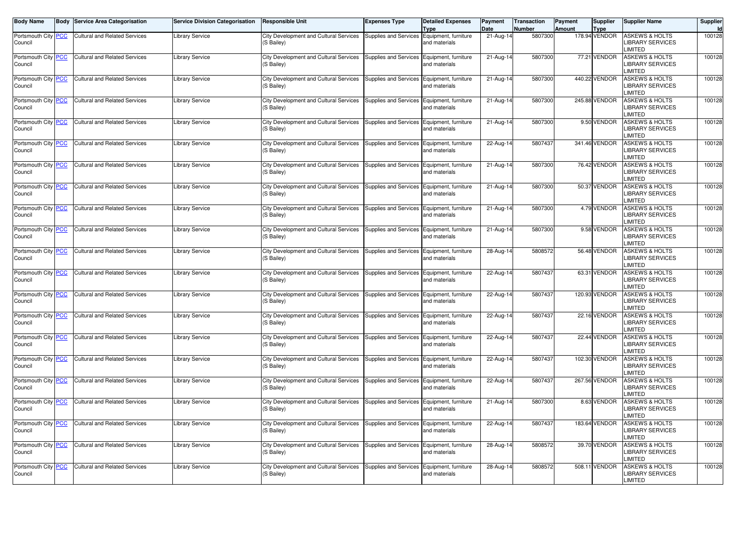| <b>Body Name</b>                      | <b>Body</b> | <b>Service Area Categorisation</b>   | <b>Service Division Categorisation</b> | <b>Responsible Unit</b>                              | <b>Expenses Type</b>                       | <b>Detailed Expenses</b><br><b>Type</b> | Payment<br>Date | Transaction<br>Number | Payment<br><b>Amount</b> | Supplier<br><b>Type</b> | <b>Supplier Name</b>                                                  | Supplier<br>Id |
|---------------------------------------|-------------|--------------------------------------|----------------------------------------|------------------------------------------------------|--------------------------------------------|-----------------------------------------|-----------------|-----------------------|--------------------------|-------------------------|-----------------------------------------------------------------------|----------------|
| Portsmouth City PCC<br>Council        |             | <b>Cultural and Related Services</b> | <b>Library Service</b>                 | City Development and Cultural Services<br>(S Bailey) | <b>Supplies and Services</b>               | Equipment, furniture<br>and materials   | $21$ -Aug-14    | 5807300               |                          | 178.94 VENDOR           | <b>ASKEWS &amp; HOLTS</b><br>LIBRARY SERVICES<br><b>IMITED</b>        | 100128         |
| Portsmouth City PCC<br>Council        |             | <b>Cultural and Related Services</b> | <b>Library Service</b>                 | City Development and Cultural Services<br>(S Bailey) | Supplies and Services Equipment, furniture | and materials                           | 21-Aug-14       | 5807300               |                          | 77.21 VENDOR            | <b>ASKEWS &amp; HOLTS</b><br>LIBRARY SERVICES<br><b>IMITED</b>        | 100128         |
| Portsmouth City <b>PCC</b><br>Council |             | <b>Cultural and Related Services</b> | <b>Library Service</b>                 | City Development and Cultural Services<br>(S Bailey) | Supplies and Services                      | Equipment, furniture<br>and materials   | 21-Aug-14       | 5807300               |                          | 440.22 VENDOR           | <b>ASKEWS &amp; HOLTS</b><br><b>IBRARY SERVICES</b><br><b>IMITED</b>  | 100128         |
| Portsmouth City PCC<br>Council        |             | <b>Cultural and Related Services</b> | <b>Library Service</b>                 | City Development and Cultural Services<br>(S Bailey) | Supplies and Services                      | Equipment, furniture<br>and materials   | 21-Aug-14       | 5807300               |                          | 245.88 VENDOR           | <b>ASKEWS &amp; HOLTS</b><br><b>IBRARY SERVICES</b><br><b>IMITED</b>  | 100128         |
| Portsmouth City PCC<br>Council        |             | <b>Cultural and Related Services</b> | <b>Library Service</b>                 | City Development and Cultural Services<br>(S Bailey) | <b>Supplies and Services</b>               | Equipment, furniture<br>and materials   | 21-Aug-14       | 5807300               |                          | 9.50 VENDOR             | <b>ASKEWS &amp; HOLTS</b><br><b>IBRARY SERVICES</b><br><b>IMITED</b>  | 100128         |
| Portsmouth City PCC<br>Council        |             | <b>Cultural and Related Services</b> | <b>Library Service</b>                 | City Development and Cultural Services<br>(S Bailey) | Supplies and Services                      | Equipment, furniture<br>and materials   | 22-Aug-14       | 5807437               |                          | 341.46 VENDOR           | <b>ASKEWS &amp; HOLTS</b><br><b>IBRARY SERVICES</b><br><b>IMITED</b>  | 100128         |
| Portsmouth City PCC<br>Council        |             | <b>Cultural and Related Services</b> | <b>Library Service</b>                 | City Development and Cultural Services<br>(S Bailey) | Supplies and Services                      | Equipment, furniture<br>and materials   | 21-Aug-14       | 5807300               |                          | 76.42 VENDOR            | <b>ASKEWS &amp; HOLTS</b><br>LIBRARY SERVICES<br><b>IMITED</b>        | 100128         |
| Portsmouth City PCC<br>Council        |             | <b>Cultural and Related Services</b> | <b>Library Service</b>                 | City Development and Cultural Services<br>(S Bailey) | Supplies and Services                      | Equipment, furniture<br>and materials   | 21-Aug-14       | 5807300               |                          | 50.37 VENDOR            | <b>ASKEWS &amp; HOLTS</b><br>LIBRARY SERVICES<br><b>IMITED</b>        | 100128         |
| Portsmouth City PCC<br>Council        |             | <b>Cultural and Related Services</b> | <b>Library Service</b>                 | City Development and Cultural Services<br>(S Bailey) | Supplies and Services Equipment, furniture | and materials                           | 21-Aug-14       | 5807300               |                          | 4.79 VENDOR             | <b>ASKEWS &amp; HOLTS</b><br>LIBRARY SERVICES<br><b>IMITED</b>        | 100128         |
| Portsmouth City PCC<br>Council        |             | <b>Cultural and Related Services</b> | <b>Library Service</b>                 | City Development and Cultural Services<br>(S Bailey) | Supplies and Services                      | Equipment, furniture<br>and materials   | 21-Aug-14       | 5807300               |                          | 9.58 VENDOR             | <b>ASKEWS &amp; HOLTS</b><br><b>LIBRARY SERVICES</b><br><b>IMITED</b> | 100128         |
| Portsmouth City PCC<br>Council        |             | <b>Cultural and Related Services</b> | <b>Library Service</b>                 | City Development and Cultural Services<br>(S Bailey) | Supplies and Services Equipment, furniture | and materials                           | 28-Aug-14       | 5808572               |                          | 56.48 VENDOR            | <b>ASKEWS &amp; HOLTS</b><br><b>LIBRARY SERVICES</b><br><b>IMITED</b> | 100128         |
| Portsmouth City PCC<br>Council        |             | <b>Cultural and Related Services</b> | <b>Library Service</b>                 | City Development and Cultural Services<br>(S Bailey) | Supplies and Services                      | Equipment, furniture<br>and materials   | 22-Aug-14       | 5807437               |                          | 63.31 VENDOR            | <b>ASKEWS &amp; HOLTS</b><br>LIBRARY SERVICES<br><b>IMITED</b>        | 100128         |
| Portsmouth City PCC<br>Council        |             | <b>Cultural and Related Services</b> | <b>Library Service</b>                 | City Development and Cultural Services<br>(S Bailey) | Supplies and Services                      | Equipment, furniture<br>and materials   | 22-Aug-14       | 5807437               |                          | 120.93 VENDOR           | <b>ASKEWS &amp; HOLTS</b><br>LIBRARY SERVICES<br><b>IMITED</b>        | 100128         |
| Portsmouth City PCC<br>Council        |             | <b>Cultural and Related Services</b> | <b>Library Service</b>                 | City Development and Cultural Services<br>(S Bailey) | <b>Supplies and Services</b>               | Equipment, furniture<br>and materials   | 22-Aug-14       | 5807437               |                          | 22.16 VENDOR            | <b>ASKEWS &amp; HOLTS</b><br>LIBRARY SERVICES<br><b>IMITED</b>        | 100128         |
| Portsmouth City PCC<br>Council        |             | <b>Cultural and Related Services</b> | <b>Library Service</b>                 | City Development and Cultural Services<br>(S Bailey) | Supplies and Services Equipment, furniture | and materials                           | 22-Aug-14       | 5807437               |                          | 22.44 VENDOR            | <b>ASKEWS &amp; HOLTS</b><br>LIBRARY SERVICES<br><b>IMITED</b>        | 100128         |
| Portsmouth City PCC<br>Council        |             | <b>Cultural and Related Services</b> | <b>Library Service</b>                 | City Development and Cultural Services<br>(S Bailey) | <b>Supplies and Services</b>               | Equipment, furniture<br>and materials   | 22-Aug-14       | 5807437               |                          | 102.30 VENDOR           | <b>ASKEWS &amp; HOLTS</b><br><b>IBRARY SERVICES</b><br><b>IMITED</b>  | 100128         |
| Portsmouth City PCC<br>Council        |             | <b>Cultural and Related Services</b> | <b>Library Service</b>                 | City Development and Cultural Services<br>(S Bailey) | <b>Supplies and Services</b>               | Equipment, furniture<br>and materials   | 22-Aug-14       | 5807437               |                          | 267.56 VENDOR           | <b>ASKEWS &amp; HOLTS</b><br><b>IBRARY SERVICES</b><br><b>IMITED</b>  | 100128         |
| Portsmouth City PCC<br>Council        |             | <b>Cultural and Related Services</b> | <b>Library Service</b>                 | City Development and Cultural Services<br>(S Bailey) | Supplies and Services                      | Equipment, furniture<br>and materials   | 21-Aug-14       | 5807300               |                          | 8.63 VENDOR             | <b>ASKEWS &amp; HOLTS</b><br><b>IBRARY SERVICES</b><br><b>IMITED</b>  | 100128         |
| Portsmouth City PCC<br>Council        |             | <b>Cultural and Related Services</b> | <b>Library Service</b>                 | City Development and Cultural Services<br>(S Bailey) | <b>Supplies and Services</b>               | Equipment, furniture<br>and materials   | 22-Aug-14       | 5807437               |                          | 183.64 VENDOR           | <b>ASKEWS &amp; HOLTS</b><br><b>IBRARY SERVICES</b><br><b>IMITED</b>  | 100128         |
| Portsmouth City PCC<br>Council        |             | <b>Cultural and Related Services</b> | <b>Library Service</b>                 | City Development and Cultural Services<br>(S Bailey) | <b>Supplies and Services</b>               | Equipment, furniture<br>and materials   | 28-Aug-14       | 5808572               |                          | 39.70 VENDOR            | <b>ASKEWS &amp; HOLTS</b><br><b>IBRARY SERVICES</b><br><b>IMITED</b>  | 100128         |
| Portsmouth City PCC<br>Council        |             | <b>Cultural and Related Services</b> | <b>Library Service</b>                 | City Development and Cultural Services<br>(S Bailey) | <b>Supplies and Services</b>               | Equipment, furniture<br>and materials   | 28-Aug-14       | 5808572               |                          | 508.11 VENDOR           | <b>ASKEWS &amp; HOLTS</b><br><b>IBRARY SERVICES</b><br>LIMITED        | 100128         |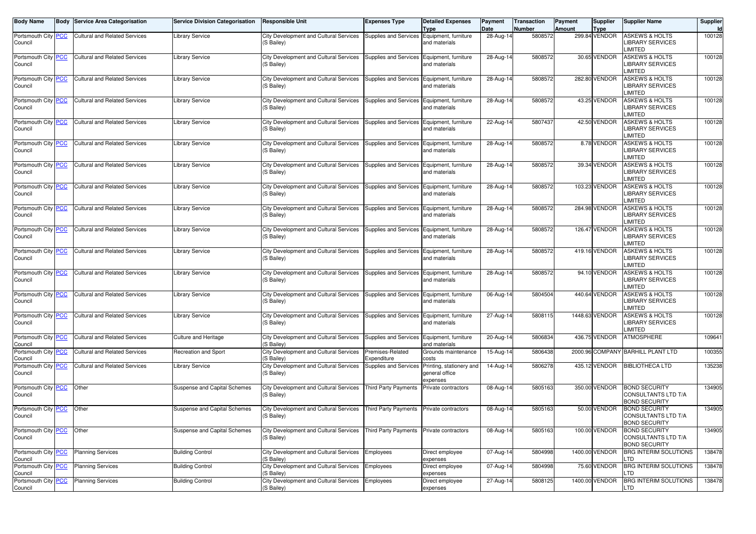| Body Name                      | <b>Body Service Area Categorisation</b> | <b>Service Division Categorisation</b> | <b>Responsible Unit</b>                                     | <b>Expenses Type</b>                       | <b>Detailed Expenses</b><br>Type                       | Payment<br>Date | <b>Transaction</b><br><b>Number</b> | Payment<br><b>Amount</b> | <b>Supplier</b><br><b>Type</b> | <b>Supplier Name</b>                                                   | Supplier<br>Id |
|--------------------------------|-----------------------------------------|----------------------------------------|-------------------------------------------------------------|--------------------------------------------|--------------------------------------------------------|-----------------|-------------------------------------|--------------------------|--------------------------------|------------------------------------------------------------------------|----------------|
| Portsmouth City PCC<br>Council | <b>Cultural and Related Services</b>    | <b>Library Service</b>                 | City Development and Cultural Services<br>(S Bailey)        | <b>Supplies and Services</b>               | Equipment, furniture<br>and materials                  | 28-Aug-14       | 5808572                             |                          | 299.84 VENDOR                  | <b>ASKEWS &amp; HOLTS</b><br>LIBRARY SERVICES<br><b>IMITED</b>         | 100128         |
| Portsmouth City PCC<br>Council | <b>Cultural and Related Services</b>    | <b>Library Service</b>                 | City Development and Cultural Services<br>(S Bailey)        | Supplies and Services                      | Equipment, furniture<br>and materials                  | 28-Aug-14       | 5808572                             |                          | 30.65 VENDOR                   | <b>ASKEWS &amp; HOLTS</b><br><b>LIBRARY SERVICES</b><br><b>LIMITED</b> | 100128         |
| Portsmouth City PCC<br>Council | <b>Cultural and Related Services</b>    | <b>Library Service</b>                 | City Development and Cultural Services<br>(S Bailey)        | Supplies and Services                      | Equipment, furniture<br>and materials                  | 28-Aug-14       | 5808572                             |                          | 282.80 VENDOR                  | <b>ASKEWS &amp; HOLTS</b><br><b>LIBRARY SERVICES</b><br>LIMITED        | 100128         |
| Portsmouth City PCC<br>Council | <b>Cultural and Related Services</b>    | <b>Library Service</b>                 | City Development and Cultural Services<br>(S Bailey)        | Supplies and Services                      | Equipment, furniture<br>and materials                  | 28-Aug-14       | 5808572                             |                          | 43.25 VENDOR                   | <b>ASKEWS &amp; HOLTS</b><br><b>LIBRARY SERVICES</b><br>LIMITED        | 100128         |
| Portsmouth City PCC<br>Council | <b>Cultural and Related Services</b>    | <b>Library Service</b>                 | City Development and Cultural Services<br>(S Bailey)        | Supplies and Services                      | Equipment, furniture<br>and materials                  | 22-Aug-14       | 5807437                             |                          | 42.50 VENDOR                   | <b>ASKEWS &amp; HOLTS</b><br><b>LIBRARY SERVICES</b><br><b>LIMITED</b> | 100128         |
| Portsmouth City PCC<br>Council | <b>Cultural and Related Services</b>    | <b>Library Service</b>                 | City Development and Cultural Services<br>(S Bailey)        | Supplies and Services                      | Equipment, furniture<br>and materials                  | 28-Aug-14       | 5808572                             |                          | 8.78 VENDOR                    | <b>ASKEWS &amp; HOLTS</b><br><b>LIBRARY SERVICES</b><br>LIMITED        | 100128         |
| Portsmouth City PCC<br>Council | <b>Cultural and Related Services</b>    | <b>Library Service</b>                 | City Development and Cultural Services<br>(S Bailey)        | Supplies and Services                      | Equipment, furniture<br>and materials                  | 28-Aug-14       | 5808572                             |                          | 39.34 VENDOR                   | <b>ASKEWS &amp; HOLTS</b><br><b>LIBRARY SERVICES</b><br><b>IMITED</b>  | 100128         |
| Portsmouth City PCC<br>Council | <b>Cultural and Related Services</b>    | <b>Library Service</b>                 | City Development and Cultural Services<br>(S Bailey)        | Supplies and Services                      | Equipment, furniture<br>and materials                  | 28-Aug-14       | 5808572                             |                          | 103.23 VENDOR                  | <b>ASKEWS &amp; HOLTS</b><br><b>LIBRARY SERVICES</b><br>LIMITED        | 100128         |
| Portsmouth City PCC<br>Council | <b>Cultural and Related Services</b>    | <b>Library Service</b>                 | City Development and Cultural Services<br>(S Bailey)        | <b>Supplies and Services</b>               | Equipment, furniture<br>and materials                  | 28-Aug-14       | 5808572                             |                          | 284.98 VENDOR                  | <b>ASKEWS &amp; HOLTS</b><br><b>LIBRARY SERVICES</b><br><b>IMITED</b>  | 100128         |
| Portsmouth City PCC<br>Council | <b>Cultural and Related Services</b>    | <b>Library Service</b>                 | City Development and Cultural Services<br>(S Bailey)        | Supplies and Services                      | Equipment, furniture<br>and materials                  | 28-Aug-14       | 5808572                             |                          | 126.47 VENDOR                  | <b>ASKEWS &amp; HOLTS</b><br><b>LIBRARY SERVICES</b><br>LIMITED        | 100128         |
| Portsmouth City PCC<br>Council | <b>Cultural and Related Services</b>    | <b>Library Service</b>                 | <b>City Development and Cultural Services</b><br>(S Bailey) | Supplies and Services                      | Equipment, furniture<br>and materials                  | 28-Aug-14       | 5808572                             |                          | 419.16 VENDOR                  | <b>ASKEWS &amp; HOLTS</b><br><b>LIBRARY SERVICES</b><br>LIMITED        | 100128         |
| Portsmouth City PCC<br>Council | <b>Cultural and Related Services</b>    | <b>Library Service</b>                 | City Development and Cultural Services<br>(S Bailey)        | <b>Supplies and Services</b>               | Equipment, furniture<br>and materials                  | 28-Aug-14       | 5808572                             |                          | 94.10 VENDOR                   | <b>ASKEWS &amp; HOLTS</b><br><b>LIBRARY SERVICES</b><br><b>IMITED</b>  | 100128         |
| Portsmouth City PCC<br>Council | <b>Cultural and Related Services</b>    | <b>Library Service</b>                 | City Development and Cultural Services<br>(S Bailey)        | Supplies and Services Equipment, furniture | and materials                                          | 06-Aug-14       | 5804504                             |                          | 440.64 VENDOR                  | <b>ASKEWS &amp; HOLTS</b><br><b>LIBRARY SERVICES</b><br><b>IMITED</b>  | 100128         |
| Portsmouth City PCC<br>Council | <b>Cultural and Related Services</b>    | <b>Library Service</b>                 | City Development and Cultural Services<br>(S Bailey)        | Supplies and Services Equipment, furniture | and materials                                          | 27-Aug-14       | 5808115                             |                          | 1448.63 VENDOR                 | <b>ASKEWS &amp; HOLTS</b><br>LIBRARY SERVICES<br>LIMITED               | 100128         |
| Portsmouth City PCC<br>Council | <b>Cultural and Related Services</b>    | Culture and Heritage                   | City Development and Cultural Services<br>(S Bailey)        | Supplies and Services                      | Equipment, furniture<br>and materials                  | 20-Aug-14       | 5806834                             |                          | 436.75 VENDOR                  | <b>ATMOSPHERE</b>                                                      | 109641         |
| Portsmouth City PCC<br>Council | <b>Cultural and Related Services</b>    | Recreation and Sport                   | City Development and Cultural Services<br>S Bailey)         | Premises-Related<br>Expenditure            | Grounds maintenance<br>costs                           | 15-Aug-14       | 5806438                             |                          |                                | 2000.96 COMPANY BARHILL PLANT LTD                                      | 100355         |
| Portsmouth City PCC<br>Council | <b>Cultural and Related Services</b>    | <b>Library Service</b>                 | City Development and Cultural Services<br>(S Bailey)        | <b>Supplies and Services</b>               | Printing, stationery and<br>general office<br>expenses | 14-Aug-14       | 5806278                             |                          | 435.12 VENDOR                  | <b>BIBLIOTHECA LTD</b>                                                 | 135238         |
| Portsmouth City PCC<br>Council | Other                                   | Suspense and Capital Schemes           | City Development and Cultural Services<br>(S Bailey)        | Third Party Payments                       | Private contractors                                    | 08-Aug-14       | 5805163                             |                          | 350.00 VENDOR                  | <b>BOND SECURITY</b><br>CONSULTANTS LTD T/A<br><b>BOND SECURITY</b>    | 134905         |
| Portsmouth City PCC<br>Council | Other                                   | Suspense and Capital Schemes           | City Development and Cultural Services<br>(S Bailey)        | Third Party Payments                       | Private contractors                                    | 08-Aug-14       | 5805163                             |                          | 50.00 VENDOR                   | <b>BOND SECURITY</b><br>CONSULTANTS LTD T/A<br><b>BOND SECURITY</b>    | 134905         |
| Portsmouth City PCC<br>Council | Other                                   | Suspense and Capital Schemes           | City Development and Cultural Services<br>(S Bailey)        | Third Party Payments                       | Private contractors                                    | 08-Aug-14       | 5805163                             |                          | 100.00 VENDOR                  | <b>BOND SECURITY</b><br>CONSULTANTS LTD T/A<br><b>BOND SECURITY</b>    | 134905         |
| Portsmouth City PCC<br>Council | <b>Planning Services</b>                | <b>Building Control</b>                | City Development and Cultural Services<br>(S Bailey)        | Employees                                  | Direct employee<br>expenses                            | 07-Aug-14       | 5804998                             |                          | 1400.00 VENDOR                 | BRG INTERIM SOLUTIONS<br>.TD                                           | 138478         |
| Portsmouth City PCC<br>Council | <b>Planning Services</b>                | <b>Building Control</b>                | City Development and Cultural Services<br>(S Bailey)        | Employees                                  | Direct employee<br>expenses                            | 07-Aug-14       | 5804998                             |                          | 75.60 VENDOR                   | <b>BRG INTERIM SOLUTIONS</b><br>TD.                                    | 138478         |
| Portsmouth City PCC<br>Council | <b>Planning Services</b>                | <b>Building Control</b>                | City Development and Cultural Services<br>(S Bailey)        | Employees                                  | Direct employee<br>expenses                            | 27-Aug-14       | 5808125                             |                          | 1400.00 VENDOR                 | BRG INTERIM SOLUTIONS<br>TD.                                           | 138478         |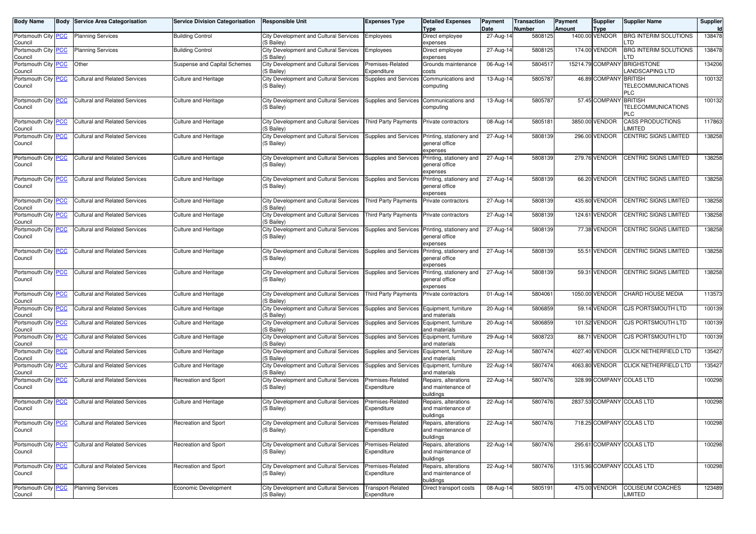| <b>Body Name</b>                               |            | <b>Body Service Area Categorisation</b> | <b>Service Division Categorisation</b> | <b>Responsible Unit</b>                              | <b>Expenses Type</b>                       | <b>Detailed Expenses</b>                                | Payment                 | <b>Transaction</b><br>Number | Payment<br>Amount | Supplier                      | <b>Supplier Name</b>                           | Supplier<br>Id |
|------------------------------------------------|------------|-----------------------------------------|----------------------------------------|------------------------------------------------------|--------------------------------------------|---------------------------------------------------------|-------------------------|------------------------------|-------------------|-------------------------------|------------------------------------------------|----------------|
| Portsmouth City PCC<br>Council                 |            | <b>Planning Services</b>                | <b>Building Control</b>                | City Development and Cultural Services<br>(S Bailey) | Employees                                  | <b>Type</b><br>Direct employee<br>expenses              | Date<br>27-Aug-14       | 5808125                      |                   | <b>Type</b><br>1400.00 VENDOR | <b>BRG INTERIM SOLUTIONS</b><br>.TD            | 138478         |
| Portsmouth City<br>Council                     | <b>PCC</b> | <b>Planning Services</b>                | <b>Building Control</b>                | City Development and Cultural Services<br>(S Bailey) | Employees                                  | Direct employee<br>expenses                             | 27-Aug-14               | 5808125                      |                   | 174.00 VENDOR                 | <b>BRG INTERIM SOLUTIONS</b><br>.TD            | 138478         |
| Portsmouth City PCC<br>Council                 |            | Other                                   | Suspense and Capital Schemes           | City Development and Cultural Services<br>(S Bailey) | Premises-Related<br>Expenditure            | Grounds maintenance<br>costs                            | 06-Aug-14               | 5804517                      |                   |                               | 15214.79 COMPANY BRIGHSTONE<br>LANDSCAPING LTD | 134206         |
| Portsmouth City<br>Council                     | <b>PCC</b> | <b>Cultural and Related Services</b>    | <b>Culture and Heritage</b>            | City Development and Cultural Services<br>(S Bailey) | Supplies and Services                      | Communications and<br>computing                         | 13-Aug-14               | 5805787                      |                   | 46.89 COMPANY BRITISH         | TELECOMMUNICATIONS<br>PLC                      | 100132         |
| Portsmouth City PCC<br>Council                 |            | <b>Cultural and Related Services</b>    | <b>Culture and Heritage</b>            | City Development and Cultural Services<br>(S Bailey) | Supplies and Services                      | Communications and<br>computing                         | 13-Aug-14               | 5805787                      |                   | 57.45 COMPANY BRITISH         | TELECOMMUNICATIONS<br>PLC                      | 100132         |
| Portsmouth City PCC<br>Council                 |            | <b>Cultural and Related Services</b>    | Culture and Heritage                   | City Development and Cultural Services<br>(S Bailey) | <b>Third Party Payments</b>                | Private contractors                                     | 08-Aug-14               | 5805181                      |                   | 3850.00 VENDOR                | <b>CASS PRODUCTIONS</b><br>LIMITED             | 117863         |
| Portsmouth City PCC<br>Council                 |            | <b>Cultural and Related Services</b>    | <b>Culture and Heritage</b>            | City Development and Cultural Services<br>(S Bailey) | Supplies and Services                      | Printing, stationery and<br>general office<br>expenses  | 27-Aug-14               | 5808139                      |                   | 296.00 VENDOR                 | CENTRIC SIGNS LIMITED                          | 138258         |
| Portsmouth City<br>Council                     | <b>PCC</b> | <b>Cultural and Related Services</b>    | <b>Culture and Heritage</b>            | City Development and Cultural Services<br>(S Bailey) | Supplies and Services                      | Printing, stationery and<br>general office<br>expenses  | 27-Aug-14               | 5808139                      |                   | 279.76 VENDOR                 | CENTRIC SIGNS LIMITED                          | 138258         |
| Portsmouth City<br>Council                     | <b>PCC</b> | <b>Cultural and Related Services</b>    | Culture and Heritage                   | City Development and Cultural Services<br>(S Bailey) | Supplies and Services                      | Printing, stationery and<br>general office<br>expenses  | 27-Aug-14               | 5808139                      |                   | 66.20 VENDOR                  | CENTRIC SIGNS LIMITED                          | 138258         |
| Portsmouth City<br>Council                     | <b>PCC</b> | <b>Cultural and Related Services</b>    | <b>Culture and Heritage</b>            | City Development and Cultural Services<br>(S Bailey) | <b>Third Party Payments</b>                | Private contractors                                     | 27-Aug-14               | 5808139                      |                   | 435.60 VENDOR                 | CENTRIC SIGNS LIMITED                          | 138258         |
| Portsmouth City PCC<br>Council                 |            | <b>Cultural and Related Services</b>    | Culture and Heritage                   | City Development and Cultural Services<br>(S Bailey) | Third Party Payments                       | Private contractors                                     | 27-Aug-14               | 5808139                      |                   | 124.61 VENDOR                 | CENTRIC SIGNS LIMITED                          | 138258         |
| Portsmouth City PCC<br>Council                 |            | <b>Cultural and Related Services</b>    | Culture and Heritage                   | City Development and Cultural Services<br>(S Bailey) | Supplies and Services                      | Printing, stationery and<br>general office<br>expenses  | $\overline{27}$ -Aug-14 | 5808139                      |                   | 77.38 VENDOR                  | CENTRIC SIGNS LIMITED                          | 138258         |
| Portsmouth City PCC<br>Council                 |            | <b>Cultural and Related Services</b>    | Culture and Heritage                   | City Development and Cultural Services<br>(S Bailey) | Supplies and Services                      | Printing, stationery and<br>general office<br>expenses  | $27$ -Aug-14            | 5808139                      |                   | 55.51 VENDOR                  | <b>CENTRIC SIGNS LIMITED</b>                   | 138258         |
| Portsmouth City <b>PCC</b><br>Council          |            | <b>Cultural and Related Services</b>    | Culture and Heritage                   | City Development and Cultural Services<br>(S Bailey) | Supplies and Services                      | Printing, stationery and<br>general office<br>expenses  | 27-Aug-14               | 5808139                      |                   | 59.31 VENDOR                  | CENTRIC SIGNS LIMITED                          | 138258         |
| Portsmouth City PCC<br>Council                 |            | <b>Cultural and Related Services</b>    | <b>Culture and Heritage</b>            | City Development and Cultural Services<br>(S Bailey) | <b>Third Party Payments</b>                | Private contractors                                     | 01-Aug-14               | 5804061                      |                   | 1050.00 VENDOR                | CHARD HOUSE MEDIA                              | 113573         |
| Portsmouth City<br>Council                     | <b>PCC</b> | <b>Cultural and Related Services</b>    | <b>Culture and Heritage</b>            | City Development and Cultural Services<br>(S Bailey) | Supplies and Services                      | Equipment, furniture<br>and materials                   | 20-Aug-14               | 5806859                      |                   | 59.14 VENDOR                  | <b>CJS PORTSMOUTH LTD</b>                      | 100139         |
| Portsmouth City PCC<br>Council                 |            | <b>Cultural and Related Services</b>    | Culture and Heritage                   | City Development and Cultural Services<br>(S Bailey) | Supplies and Services Equipment, furniture | and materials                                           | 20-Aug-14               | 5806859                      |                   | 101.52 VENDOR                 | CJS PORTSMOUTH LTD                             | 100139         |
| Portsmouth City PCC<br>Council                 |            | <b>Cultural and Related Services</b>    | Culture and Heritage                   | City Development and Cultural Services<br>(S Bailey) | Supplies and Services                      | Equipment, furniture<br>and materials                   | 29-Aug-14               | 5808723                      |                   | 88.71 VENDOR                  | CJS PORTSMOUTH LTD                             | 100139         |
| Portsmouth City<br>Council                     | <b>PCC</b> | <b>Cultural and Related Services</b>    | <b>Culture and Heritage</b>            | City Development and Cultural Services<br>(S Bailey) | Supplies and Services                      | Equipment, furniture<br>and materials                   | 22-Aug-14               | 5807474                      |                   | 4027.40 VENDOR                | <b>CLICK NETHERFIELD LTD</b>                   | 135427         |
| Portsmouth City PCC<br>Council                 |            | Cultural and Related Services           | Culture and Heritage                   | City Development and Cultural Services<br>(S Bailey) | Supplies and Services Equipment, furniture | and materials                                           | 22-Aug-14               | 5807474                      |                   | 4063.80 VENDOR                | <b>CLICK NETHERFIELD LTD</b>                   | 135427         |
| Portsmouth City PCC<br>Council                 |            | <b>Cultural and Related Services</b>    | Recreation and Sport                   | City Development and Cultural Services<br>(S Bailey) | Premises-Related<br>Expenditure            | Repairs, alterations<br>and maintenance of<br>buildings | 22-Aug-14               | 5807476                      |                   |                               | 328.99 COMPANY COLAS LTD                       | 100298         |
| Portsmouth City <b>PCC</b><br>Council          |            | <b>Cultural and Related Services</b>    | <b>Culture and Heritage</b>            | City Development and Cultural Services<br>(S Bailey) | Premises-Related<br>Expenditure            | Repairs, alterations<br>and maintenance of<br>buildings | 22-Aug-14               | 5807476                      |                   |                               | 2837.53 COMPANY COLAS LTD                      | 100298         |
| Portsmouth City <mark> PCC</mark> _<br>Council |            | Cultural and Related Services           | Recreation and Sport                   | City Development and Cultural Services<br>(S Bailey) | Premises-Related<br>Expenditure            | Repairs, alterations<br>and maintenance of<br>buildings | 22-Aug-14               | 5807476                      |                   |                               | 718.25 COMPANY COLAS LTD                       | 100298         |
| Portsmouth City PCC<br>Council                 |            | <b>Cultural and Related Services</b>    | Recreation and Sport                   | City Development and Cultural Services<br>(S Bailey) | Premises-Related<br>Expenditure            | Repairs, alterations<br>and maintenance of<br>buildings | 22-Aug-14               | 5807476                      |                   |                               | 295.61 COMPANY COLAS LTD                       | 100298         |
| Portsmouth City PCC<br>Council                 |            | <b>Cultural and Related Services</b>    | Recreation and Sport                   | City Development and Cultural Services<br>(S Bailey) | Premises-Related<br>Expenditure            | Repairs, alterations<br>and maintenance of<br>buildings | 22-Aug-14               | 5807476                      |                   |                               | 1315.96 COMPANY COLAS LTD                      | 100298         |
| Portsmouth City PCC<br>Council                 |            | <b>Planning Services</b>                | Economic Development                   | City Development and Cultural Services<br>(S Bailey) | Transport-Related<br>Expenditure           | Direct transport costs                                  | 08-Aug-14               | 5805191                      |                   | 475.00 VENDOR                 | <b>COLISEUM COACHES</b><br><b>LIMITED</b>      | 123489         |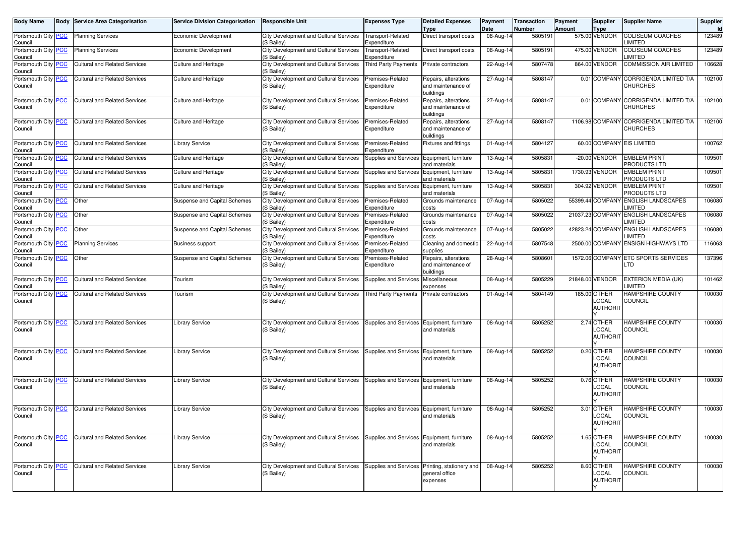| <b>Body Name</b>               | <b>Body</b> | <b>Service Area Categorisation</b>   | <b>Service Division Categorisation</b> | <b>Responsible Unit</b>                              | <b>Expenses Type</b>                           | <b>Detailed Expenses</b><br>Type                        | Payment<br>Date         | <b>Transaction</b><br><b>Number</b> | Payment<br><b>Amount</b> | <b>Supplier</b><br>Type                  | <b>Supplier Name</b>                                      | Supplier<br>Id |
|--------------------------------|-------------|--------------------------------------|----------------------------------------|------------------------------------------------------|------------------------------------------------|---------------------------------------------------------|-------------------------|-------------------------------------|--------------------------|------------------------------------------|-----------------------------------------------------------|----------------|
| Portsmouth City PCC<br>Council |             | <b>Planning Services</b>             | Economic Development                   | City Development and Cultural Services<br>(S Bailey) | <b>Transport-Related</b><br>Expenditure        | Direct transport costs                                  | 08-Aug-14               | 5805191                             |                          | 575.00 VENDOR                            | <b>COLISEUM COACHES</b><br><b>IMITED</b>                  | 123489         |
| Portsmouth City PCC<br>Council |             | <b>Planning Services</b>             | Economic Development                   | City Development and Cultural Services<br>(S Bailey) | Transport-Related<br>Expenditure               | Direct transport costs                                  | 08-Aug-14               | 580519                              |                          | 475.00 VENDOR                            | COLISEUM COACHES<br><b>IMITED</b>                         | 123489         |
| Portsmouth City PCC<br>Council |             | <b>Cultural and Related Services</b> | <b>Culture and Heritage</b>            | City Development and Cultural Services<br>(S Bailey) | <b>Third Party Payments</b>                    | Private contractors                                     | 22-Aug-14               | 5807478                             |                          | 864.00 VENDOR                            | <b>COMMISSION AIR LIMITED</b>                             | 106628         |
| Portsmouth City PCC<br>Council |             | <b>Cultural and Related Services</b> | Culture and Heritage                   | City Development and Cultural Services<br>(S Bailey) | Premises-Related<br>Expenditure                | Repairs, alterations<br>and maintenance of<br>buildings | 27-Aug-14               | 5808147                             |                          |                                          | 0.01 COMPANY CORRIGENDA LIMITED T/A<br><b>CHURCHES</b>    | 102100         |
| Portsmouth City PCC<br>Council |             | <b>Cultural and Related Services</b> | <b>Culture and Heritage</b>            | City Development and Cultural Services<br>(S Bailey) | Premises-Related<br>Expenditure                | Repairs, alterations<br>and maintenance of<br>buildings | $27$ -Aug-14            | 5808147                             |                          |                                          | 0.01 COMPANY CORRIGENDA LIMITED T/A<br><b>CHURCHES</b>    | 102100         |
| Portsmouth City PCC<br>Council |             | <b>Cultural and Related Services</b> | <b>Culture and Heritage</b>            | City Development and Cultural Services<br>(S Bailey) | Premises-Related<br>Expenditure                | Repairs, alterations<br>and maintenance of<br>buildings | 27-Aug-14               | 5808147                             |                          |                                          | 1106.98 COMPANY CORRIGENDA LIMITED T/A<br><b>CHURCHES</b> | 102100         |
| Portsmouth City PCC<br>Council |             | <b>Cultural and Related Services</b> | <b>Library Service</b>                 | City Development and Cultural Services<br>(S Bailey) | Premises-Related<br>Expenditure                | Fixtures and fittings                                   | $\overline{0}$ 1-Aug-14 | 5804127                             |                          |                                          | 60.00 COMPANY EIS LIMITED                                 | 100762         |
| Portsmouth City PCC<br>Council |             | <b>Cultural and Related Services</b> | <b>Culture and Heritage</b>            | City Development and Cultural Services<br>(S Bailey) | Supplies and Services                          | Equipment, furniture<br>and materials                   | 13-Aug-14               | 580583                              |                          | -20.00 VENDOR                            | <b>EMBLEM PRINT</b><br>PRODUCTS LTD                       | 10950          |
| Portsmouth City PCC<br>Council |             | <b>Cultural and Related Services</b> | <b>Culture and Heritage</b>            | City Development and Cultural Services<br>(S Bailey) | Supplies and Services                          | Equipment, furniture<br>and materials                   | 13-Aug-14               | 5805831                             |                          | 1730.93 VENDOR                           | <b>EMBLEM PRINT</b><br>PRODUCTS LTD                       | 109501         |
| Portsmouth City PCC<br>Council |             | <b>Cultural and Related Services</b> | Culture and Heritage                   | City Development and Cultural Services<br>(S Bailey) | Supplies and Services                          | Equipment, furniture<br>and materials                   | 13-Aug-14               | 5805831                             |                          | 304.92 VENDOR                            | <b>EMBLEM PRINT</b><br>PRODUCTS LTD                       | 109501         |
| Portsmouth City PCC<br>Council |             | Other                                | Suspense and Capital Schemes           | City Development and Cultural Services<br>(S Bailey) | Premises-Related<br>Expenditure                | Grounds maintenance<br>costs                            | 07-Aug-14               | 5805022                             |                          |                                          | 55399.44 COMPANY ENGLISH LANDSCAPES<br>LIMITED            | 106080         |
| Portsmouth City PCC<br>Council |             | Other                                | Suspense and Capital Schemes           | City Development and Cultural Services<br>(S Bailey) | Premises-Related<br>Expenditure                | Grounds maintenance<br>costs                            | 07-Aug-14               | 5805022                             |                          |                                          | 21037.23 COMPANY ENGLISH LANDSCAPES<br>LIMITED            | 106080         |
| Portsmouth City PCC<br>Council |             | Other                                | Suspense and Capital Schemes           | City Development and Cultural Services<br>(S Bailey) | Premises-Related<br>Expenditure                | Grounds maintenance<br>costs                            | 07-Aug-14               | 5805022                             |                          |                                          | 42823.24 COMPANY ENGLISH LANDSCAPES<br>LIMITED            | 106080         |
| Portsmouth City PCC<br>Council |             | <b>Planning Services</b>             | <b>Business support</b>                | City Development and Cultural Services<br>(S Bailey) | Premises-Related<br>Expenditure                | Cleaning and domestic<br>supplies                       | 22-Aug-14               | 5807548                             |                          |                                          | 2500.00 COMPANY ENSIGN HIGHWAYS LTD                       | 116063         |
| Portsmouth City PCC<br>Council |             | Other                                | Suspense and Capital Schemes           | City Development and Cultural Services<br>(S Bailey) | Premises-Related<br>Expenditure                | Repairs, alterations<br>and maintenance of<br>buildings | 28-Aug-14               | 580860                              |                          |                                          | 1572.06 COMPANY ETC SPORTS SERVICES<br>LTD                | 137396         |
| Portsmouth City PCC<br>Council |             | <b>Cultural and Related Services</b> | Tourism                                | City Development and Cultural Services<br>(S Bailey) | Supplies and Services                          | Miscellaneous<br>expenses                               | 08-Aug-14               | 5805229                             |                          | 21848.00 VENDOR                          | EXTERION MEDIA (UK)<br>LIMITED                            | 101462         |
| Portsmouth City PCC<br>Council |             | <b>Cultural and Related Services</b> | Tourism                                | City Development and Cultural Services<br>(S Bailey) | <b>Third Party Payments</b>                    | Private contractors                                     | 01-Aug-14               | 5804149                             |                          | 185.00 OTHER<br>LOCAL<br><b>AUTHORIT</b> | HAMPSHIRE COUNTY<br><b>COUNCIL</b>                        | 100030         |
| Portsmouth City PCC<br>Council |             | <b>Cultural and Related Services</b> | <b>Library Service</b>                 | City Development and Cultural Services<br>(S Bailey) | Supplies and Services Equipment, furniture     | and materials                                           | 08-Aug-14               | 5805252                             |                          | 2.74 OTHER<br>LOCAL<br>AUTHORIT          | <b>HAMPSHIRE COUNTY</b><br>COUNCIL                        | 100030         |
| Portsmouth City PCC<br>Council |             | <b>Cultural and Related Services</b> | <b>Library Service</b>                 | City Development and Cultural Services<br>(S Bailey) | Supplies and Services                          | Equipment, furniture<br>and materials                   | 08-Aug-14               | 5805252                             |                          | 0.20 OTHER<br>LOCAL<br><b>AUTHORIT</b>   | <b>HAMPSHIRE COUNTY</b><br>COUNCIL                        | 100030         |
| Portsmouth City PCC<br>Council |             | <b>Cultural and Related Services</b> | <b>Library Service</b>                 | City Development and Cultural Services<br>(S Bailey) | Supplies and Services Equipment, furniture     | and materials                                           | 08-Aug-14               | 5805252                             |                          | 0.76 OTHER<br>LOCAL<br><b>AUTHORIT</b>   | <b>HAMPSHIRE COUNTY</b><br><b>COUNCIL</b>                 | 100030         |
| Portsmouth City PCC<br>Council |             | <b>Cultural and Related Services</b> | <b>Library Service</b>                 | City Development and Cultural Services<br>(S Bailey) | Supplies and Services Equipment, furniture     | and materials                                           | 08-Aug-14               | 5805252                             |                          | 3.01 OTHER<br>LOCAL<br><b>AUTHORIT</b>   | <b>HAMPSHIRE COUNTY</b><br><b>COUNCIL</b>                 | 100030         |
| Portsmouth City PCC<br>Council |             | Cultural and Related Services        | <b>Library Service</b>                 | City Development and Cultural Services<br>(S Bailey) | Supplies and Services Equipment, furniture     | and materials                                           | 08-Aug-14               | 5805252                             |                          | 1.65 OTHER<br>LOCAL<br><b>AUTHORIT</b>   | <b>HAMPSHIRE COUNTY</b><br><b>COUNCIL</b>                 | 100030         |
| Portsmouth City PCC<br>Council |             | Cultural and Related Services        | <b>Library Service</b>                 | City Development and Cultural Services<br>(S Bailey) | Supplies and Services Printing, stationery and | general office<br>expenses                              | $\overline{0}$ 8-Aug-14 | 5805252                             |                          | 8.60 OTHER<br>LOCAL<br><b>AUTHORIT</b>   | <b>HAMPSHIRE COUNTY</b><br><b>COUNCIL</b>                 | 100030         |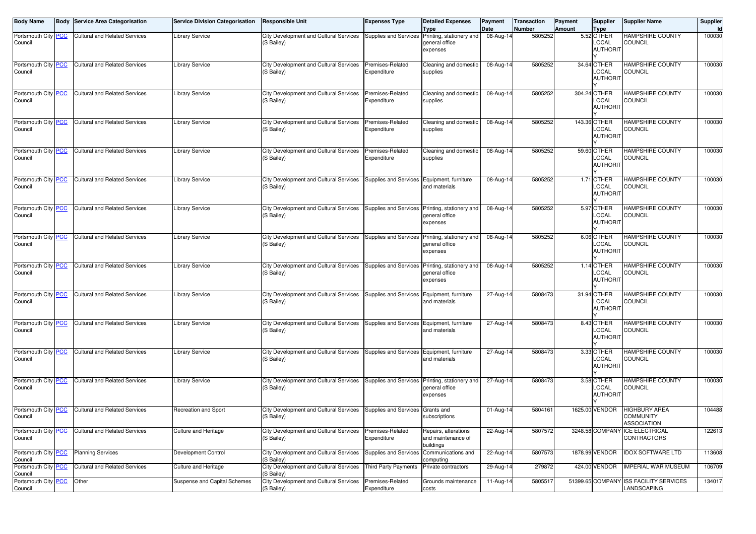| <b>Body Name</b>               |            | <b>Body Service Area Categorisation</b> | <b>Service Division Categorisation</b> | <b>Responsible Unit</b>                                     | <b>Expenses Type</b>            | <b>Detailed Expenses</b><br><b>Type</b>                 | Payment<br>Date | Transaction<br><b>Number</b> | Payment<br><b>Amount</b> | <b>Supplier</b><br>Type                  | <b>Supplier Name</b>                                 | Supplier<br>Id |
|--------------------------------|------------|-----------------------------------------|----------------------------------------|-------------------------------------------------------------|---------------------------------|---------------------------------------------------------|-----------------|------------------------------|--------------------------|------------------------------------------|------------------------------------------------------|----------------|
| Portsmouth City<br>Council     | <b>PCC</b> | <b>Cultural and Related Services</b>    | <b>Library Service</b>                 | City Development and Cultural Services<br>(S Bailey)        | Supplies and Services           | Printing, stationery and<br>general office<br>expenses  | 08-Aug-14       | 5805252                      |                          | 5.52 OTHER<br>LOCAL<br><b>AUTHORIT</b>   | <b>HAMPSHIRE COUNTY</b><br>COUNCIL                   | 100030         |
| Portsmouth City PCC<br>Council |            | Cultural and Related Services           | <b>Library Service</b>                 | <b>City Development and Cultural Services</b><br>(S Bailey) | Premises-Related<br>Expenditure | Cleaning and domestic<br>supplies                       | 08-Aug-14       | 5805252                      |                          | 34.64 OTHER<br>LOCAL<br><b>AUTHORIT</b>  | HAMPSHIRE COUNTY<br><b>COUNCIL</b>                   | 100030         |
| Portsmouth City PCC<br>Council |            | <b>Cultural and Related Services</b>    | <b>Library Service</b>                 | <b>City Development and Cultural Services</b><br>(S Bailey) | Premises-Related<br>Expenditure | Cleaning and domestic<br>supplies                       | 08-Aug-14       | 5805252                      |                          | 304.24 OTHER<br>LOCAL<br><b>AUTHORIT</b> | <b>HAMPSHIRE COUNTY</b><br><b>COUNCIL</b>            | 100030         |
| Portsmouth City PCC<br>Council |            | <b>Cultural and Related Services</b>    | <b>Library Service</b>                 | City Development and Cultural Services<br>(S Bailey)        | Premises-Related<br>Expenditure | Cleaning and domestic<br>supplies                       | 08-Aug-14       | 5805252                      |                          | 143.36 OTHER<br>LOCAL<br><b>AUTHORIT</b> | <b>HAMPSHIRE COUNTY</b><br>COUNCIL                   | 100030         |
| Portsmouth City PCC<br>Council |            | <b>Cultural and Related Services</b>    | <b>Library Service</b>                 | City Development and Cultural Services<br>(S Bailey)        | Premises-Related<br>Expenditure | Cleaning and domestic<br>supplies                       | 08-Aug-14       | 5805252                      |                          | 59.60 OTHER<br>LOCAL<br><b>AUTHORIT</b>  | HAMPSHIRE COUNTY<br><b>COUNCIL</b>                   | 100030         |
| Portsmouth City PCC<br>Council |            | <b>Cultural and Related Services</b>    | <b>Library Service</b>                 | City Development and Cultural Services<br>(S Bailey)        | Supplies and Services           | Equipment, furniture<br>and materials                   | 08-Aug-14       | 5805252                      |                          | 1.71 OTHER<br>LOCAL<br><b>AUTHORIT</b>   | <b>HAMPSHIRE COUNTY</b><br><b>COUNCIL</b>            | 100030         |
| Portsmouth City PCC<br>Council |            | <b>Cultural and Related Services</b>    | <b>Library Service</b>                 | City Development and Cultural Services<br>(S Bailey)        | Supplies and Services           | Printing, stationery and<br>general office<br>expenses  | 08-Aug-14       | 5805252                      |                          | 5.97 OTHER<br>LOCAL<br><b>AUTHORIT</b>   | <b>HAMPSHIRE COUNTY</b><br>COUNCIL                   | 100030         |
| Portsmouth City PCC<br>Council |            | <b>Cultural and Related Services</b>    | <b>Library Service</b>                 | City Development and Cultural Services<br>(S Bailey)        | Supplies and Services           | Printing, stationery and<br>general office<br>expenses  | 08-Aug-14       | 5805252                      |                          | 6.06 OTHER<br>LOCAL<br><b>AUTHORIT</b>   | <b>HAMPSHIRE COUNTY</b><br><b>COUNCIL</b>            | 100030         |
| Portsmouth City PCC<br>Council |            | <b>Cultural and Related Services</b>    | <b>Library Service</b>                 | City Development and Cultural Services<br>(S Bailey)        | Supplies and Services           | Printing, stationery and<br>general office<br>expenses  | 08-Aug-14       | 5805252                      |                          | 1.14 OTHER<br>LOCAL<br><b>AUTHORIT</b>   | <b>HAMPSHIRE COUNTY</b><br>COUNCIL                   | 100030         |
| Portsmouth City<br>Council     | <b>PCC</b> | <b>Cultural and Related Services</b>    | Library Service                        | City Development and Cultural Services<br>(S Bailey)        | Supplies and Services           | Equipment, furniture<br>and materials                   | 27-Aug-14       | 5808473                      |                          | 31.94 OTHER<br>LOCAL<br><b>AUTHORIT</b>  | <b>HAMPSHIRE COUNTY</b><br>COUNCIL                   | 100030         |
| Portsmouth City PCC<br>Council |            | <b>Cultural and Related Services</b>    | <b>Library Service</b>                 | City Development and Cultural Services<br>(S Bailey)        | Supplies and Services           | Equipment, furniture<br>and materials                   | 27-Aug-14       | 5808473                      |                          | 8.43 OTHER<br>LOCAL<br><b>AUTHORIT</b>   | <b>HAMPSHIRE COUNTY</b><br><b>COUNCIL</b>            | 100030         |
| Portsmouth City PCC<br>Council |            | <b>Cultural and Related Services</b>    | <b>Library Service</b>                 | City Development and Cultural Services<br>(S Bailey)        | Supplies and Services           | Equipment, furniture<br>and materials                   | 27-Aug-14       | 5808473                      |                          | 3.33 OTHER<br>LOCAL<br><b>AUTHORIT</b>   | <b>HAMPSHIRE COUNTY</b><br>COUNCIL                   | 100030         |
| Portsmouth City PCC<br>Council |            | <b>Cultural and Related Services</b>    | <b>Library Service</b>                 | City Development and Cultural Services<br>(S Bailey)        | Supplies and Services           | Printing, stationery and<br>general office<br>expenses  | 27-Aug-14       | 5808473                      |                          | 3.58 OTHER<br>LOCAL<br><b>AUTHORIT</b>   | <b>HAMPSHIRE COUNTY</b><br><b>COUNCIL</b>            | 100030         |
| Portsmouth City PCC<br>Council |            | <b>Cultural and Related Services</b>    | Recreation and Sport                   | City Development and Cultural Services<br>(S Bailey)        | Supplies and Services           | Grants and<br>subscriptions                             | 01-Aug-14       | 5804161                      |                          | 1625.00 VENDOR                           | HIGHBURY AREA<br><b>COMMUNITY</b><br>ASSOCIATION     | 104488         |
| Portsmouth City PCC<br>Council |            | <b>Cultural and Related Services</b>    | Culture and Heritage                   | City Development and Cultural Services<br>(S Bailey)        | Premises-Related<br>Expenditure | Repairs, alterations<br>and maintenance of<br>buildings | $22-Aug-14$     | 5807572                      |                          |                                          | 3248.58 COMPANY ICE ELECTRICAL<br><b>CONTRACTORS</b> | 122613         |
| Portsmouth City PCC<br>Council |            | <b>Planning Services</b>                | Development Control                    | City Development and Cultural Services<br>(S Bailey)        | Supplies and Services           | Communications and<br>computing                         | 22-Aug-14       | 5807573                      |                          | 1878.99 VENDOR                           | <b>IDOX SOFTWARE LTD</b>                             | 113608         |
| Portsmouth City PCC<br>Council |            | <b>Cultural and Related Services</b>    | Culture and Heritage                   | City Development and Cultural Services<br>(S Bailey)        | <b>Third Party Payments</b>     | Private contractors                                     | 29-Aug-14       | 279872                       |                          | 424.00 VENDOR                            | <b>IMPERIAL WAR MUSEUM</b>                           | 106709         |
| Portsmouth City<br>Council     | <b>PCC</b> | Other                                   | Suspense and Capital Schemes           | City Development and Cultural Services<br>(S Bailey)        | Premises-Related<br>Expenditure | Grounds maintenance<br>costs                            | 11-Aug-14       | 5805517                      |                          | 51399.65 COMPANY                         | <b>ISS FACILITY SERVICES</b><br>LANDSCAPING          | 134017         |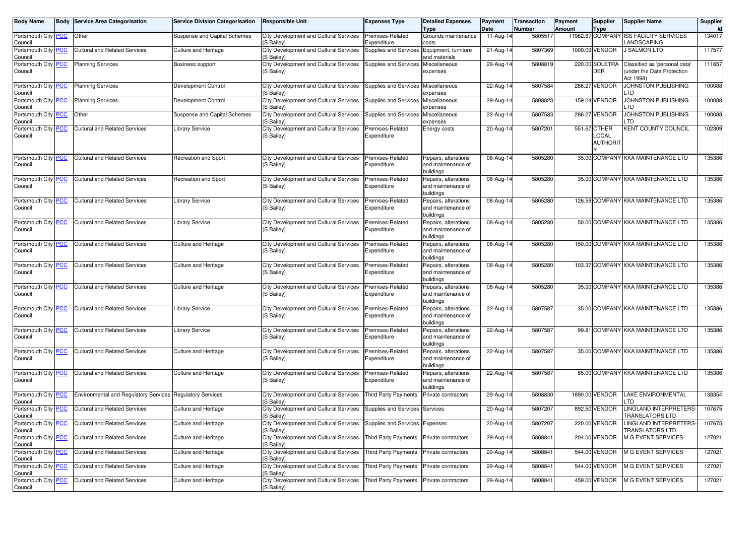| <b>Body Name</b>               | <b>Body Service Area Categorisation</b>                   | <b>Service Division Categorisation</b> | <b>Responsible Unit</b>                                                             | <b>Expenses Type</b>                | <b>Detailed Expenses</b><br><b>Type</b>                 | Payment<br>Date | <b>Transaction</b><br>Number | Payment<br><b>Amount</b> | Supplier<br><b>Type</b>                  | <b>Supplier Name</b>                                                    | Supplier<br>Id |
|--------------------------------|-----------------------------------------------------------|----------------------------------------|-------------------------------------------------------------------------------------|-------------------------------------|---------------------------------------------------------|-----------------|------------------------------|--------------------------|------------------------------------------|-------------------------------------------------------------------------|----------------|
| Portsmouth City PCC<br>Council | Other                                                     | Suspense and Capital Schemes           | City Development and Cultural Services<br>(S Bailey)                                | Premises-Related<br>Expenditure     | Grounds maintenance<br>costs                            | 11-Aug-14       | 5805517                      |                          |                                          | 11962.67 COMPANY ISS FACILITY SERVICES<br>LANDSCAPING                   | 134017         |
| Portsmouth City PCC<br>Council | <b>Cultural and Related Services</b>                      | <b>Culture and Heritage</b>            | City Development and Cultural Services<br>(S Bailey)                                | Supplies and Services               | Equipment, furniture<br>and materials                   | 21-Aug-14       | 5807369                      |                          | 1009.09 VENDOR                           | <b>J SALMON LTD</b>                                                     | 117577         |
| Portsmouth City PCC<br>Council | <b>Planning Services</b>                                  | <b>Business support</b>                | City Development and Cultural Services<br>(S Bailey)                                | Supplies and Services Miscellaneous | expenses                                                | $29-Aug-14$     | 5808819                      |                          | 220.00 SOLETRA<br><b>DER</b>             | Classified as 'personal data'<br>under the Data Protection<br>Act 1998) | 111657         |
| Portsmouth City PCC<br>Council | <b>Planning Services</b>                                  | Development Control                    | City Development and Cultural Services<br>(S Bailey)                                | Supplies and Services Miscellaneous | expenses                                                | 22-Aug-14       | 5807584                      |                          | 286.27 VENDOR                            | JOHNSTON PUBLISHING<br>.TD                                              | 100088         |
| Portsmouth City PCC<br>Council | <b>Planning Services</b>                                  | Development Control                    | City Development and Cultural Services<br>(S Bailey)                                | Supplies and Services               | Miscellaneous<br>expenses                               | 29-Aug-14       | 5808823                      |                          | 159.04 VENDOR                            | JOHNSTON PUBLISHING<br>.TD                                              | 100088         |
| Portsmouth City PCC<br>Council | Other                                                     | Suspense and Capital Schemes           | City Development and Cultural Services<br>(S Bailey)                                | Supplies and Services               | Miscellaneous<br>expenses                               | 22-Aug-14       | 5807583                      |                          | 286.27 VENDOR                            | JOHNSTON PUBLISHING<br>.TD                                              | 100088         |
| Portsmouth City PCC<br>Council | <b>Cultural and Related Services</b>                      | <b>Library Service</b>                 | City Development and Cultural Services<br>(S Bailey)                                | Premises-Related<br>Expenditure     | Energy costs                                            | 20-Aug-14       | 5807201                      |                          | 551.67 OTHER<br>LOCAL<br><b>AUTHORIT</b> | KENT COUNTY COUNCIL                                                     | 102309         |
| Portsmouth City PCC<br>Council | <b>Cultural and Related Services</b>                      | Recreation and Sport                   | City Development and Cultural Services<br>(S Bailey)                                | Premises-Related<br>Expenditure     | Repairs, alterations<br>and maintenance of<br>buildings | 08-Aug-14       | 5805280                      |                          |                                          | 35.00 COMPANY KKA MAINTENANCE LTD                                       | 135386         |
| Portsmouth City PCC<br>Council | <b>Cultural and Related Services</b>                      | Recreation and Sport                   | City Development and Cultural Services<br>(S Bailey)                                | Premises-Related<br>Expenditure     | Repairs, alterations<br>and maintenance of<br>buildings | 08-Aug-14       | 5805280                      |                          |                                          | 35.00 COMPANY KKA MAINTENANCE LTD                                       | 135386         |
| Portsmouth City PCC<br>Council | <b>Cultural and Related Services</b>                      | <b>Library Service</b>                 | City Development and Cultural Services<br>(S Bailey)                                | Premises-Related<br>Expenditure     | Repairs, alterations<br>and maintenance of<br>buildings | 08-Aug-14       | 5805280                      |                          |                                          | 126.59 COMPANY KKA MAINTENANCE LTD                                      | 135386         |
| Portsmouth City PCC<br>Council | <b>Cultural and Related Services</b>                      | <b>Library Service</b>                 | City Development and Cultural Services<br>(S Bailey)                                | Premises-Related<br>Expenditure     | Repairs, alterations<br>and maintenance of<br>buildings | 08-Aug-14       | 5805280                      |                          |                                          | 50.00 COMPANY KKA MAINTENANCE LTD                                       | 135386         |
| Portsmouth City PCC<br>Council | <b>Cultural and Related Services</b>                      | <b>Culture and Heritage</b>            | City Development and Cultural Services<br>(S Bailey)                                | Premises-Related<br>Expenditure     | Repairs, alterations<br>and maintenance of<br>buildings | 08-Aug-14       | 5805280                      |                          |                                          | 150.00 COMPANY KKA MAINTENANCE LTD                                      | 135386         |
| Portsmouth City PCC<br>Council | Cultural and Related Services                             | <b>Culture and Heritage</b>            | City Development and Cultural Services<br>(S Bailey)                                | Premises-Related<br>Expenditure     | Repairs, alterations<br>and maintenance of<br>buildings | 08-Aug-14       | 5805280                      |                          |                                          | 103.37 COMPANY KKA MAINTENANCE LTD                                      | 135386         |
| Portsmouth City PCC<br>Council | <b>Cultural and Related Services</b>                      | <b>Culture and Heritage</b>            | City Development and Cultural Services<br>(S Bailey)                                | Premises-Related<br>Expenditure     | Repairs, alterations<br>and maintenance of<br>buildings | 08-Aug-14       | 5805280                      |                          |                                          | 35.00 COMPANY KKA MAINTENANCE LTD                                       | 135386         |
| Portsmouth City PCC<br>Council | <b>Cultural and Related Services</b>                      | <b>Library Service</b>                 | City Development and Cultural Services<br>(S Bailey)                                | Premises-Related<br>Expenditure     | Repairs, alterations<br>and maintenance of<br>buildings | 22-Aug-14       | 5807587                      |                          |                                          | 35.00 COMPANY KKA MAINTENANCE LTD                                       | 135386         |
| Portsmouth City PCC<br>Council | <b>Cultural and Related Services</b>                      | <b>Library Service</b>                 | City Development and Cultural Services<br>(S Bailey)                                | Premises-Related<br>Expenditure     | Repairs, alterations<br>and maintenance of<br>buildings | 22-Aug-14       | 5807587                      |                          |                                          | 99.81 COMPANY KKA MAINTENANCE LTD                                       | 135386         |
| Portsmouth City PCC<br>Council | <b>Cultural and Related Services</b>                      | Culture and Heritage                   | City Development and Cultural Services<br>(S Bailey)                                | Premises-Related<br>Expenditure     | Repairs, alterations<br>and maintenance of<br>buildings | 22-Aug-14       | 5807587                      |                          |                                          | 35.00 COMPANY KKA MAINTENANCE LTD                                       | 135386         |
| Portsmouth City PCC<br>Council | <b>Cultural and Related Services</b>                      | Culture and Heritage                   | City Development and Cultural Services<br>(S Bailey)                                | Premises-Related<br>Expenditure     | Repairs, alterations<br>and maintenance of<br>buildings | 22-Aug-14       | 5807587                      |                          |                                          | 85.00 COMPANY KKA MAINTENANCE LTD                                       | 135386         |
| Portsmouth City PCC<br>Council | Environmental and Regulatory Services Regulatory Services |                                        | City Development and Cultural Services<br>(S Bailey)                                | <b>Third Party Payments</b>         | Private contractors                                     | 29-Aug-14       | 5808830                      |                          | 1890.00 VENDOR                           | <b>LAKE ENVIRONMENTAL</b><br>TD.                                        | 138354         |
| Portsmouth City PCC<br>Council | <b>Cultural and Related Services</b>                      | <b>Culture and Heritage</b>            | City Development and Cultural Services<br>(S Bailey)                                | Supplies and Services Services      |                                                         | 20-Aug-14       | 5807207                      |                          | 892.50 VENDOR                            | LINGLAND INTERPRETERS-<br><b>TRANSLATORS LTD</b>                        | 107675         |
| Portsmouth City PCC<br>Council | <b>Cultural and Related Services</b>                      | Culture and Heritage                   | City Development and Cultural Services Supplies and Services Expenses<br>(S Bailey) |                                     |                                                         | 20-Aug-14       | 5807207                      |                          | 220.00 VENDOR                            | LINGLAND INTERPRETERS-<br><b>TRANSLATORS LTD</b>                        | 107675         |
| Portsmouth City PCC<br>Council | Cultural and Related Services                             | Culture and Heritage                   | City Development and Cultural Services<br>(S Bailey)                                | Third Party Payments                | Private contractors                                     | 29-Aug-14       | 5808841                      |                          | 204.00 VENDOR                            | M G EVENT SERVICES                                                      | 127021         |
| Portsmouth City PCC<br>Council | Cultural and Related Services                             | Culture and Heritage                   | City Development and Cultural Services<br>(S Bailey)                                | <b>Third Party Payments</b>         | Private contractors                                     | 29-Aug-14       | 5808841                      |                          | 544.00 VENDOR                            | <b>M G EVENT SERVICES</b>                                               | 127021         |
| Portsmouth City PCC<br>Council | Cultural and Related Services                             | Culture and Heritage                   | City Development and Cultural Services<br>(S Bailey)                                | <b>Third Party Payments</b>         | Private contractors                                     | 29-Aug-14       | 5808841                      |                          | 544.00 VENDOR                            | <b>M G EVENT SERVICES</b>                                               | 127021         |
| Portsmouth City PCC<br>Council | <b>Cultural and Related Services</b>                      | Culture and Heritage                   | City Development and Cultural Services<br>(S Bailey)                                | <b>Third Party Payments</b>         | Private contractors                                     | 29-Aug-14       | 5808841                      |                          | 459.00 VENDOR                            | M G EVENT SERVICES                                                      | 127021         |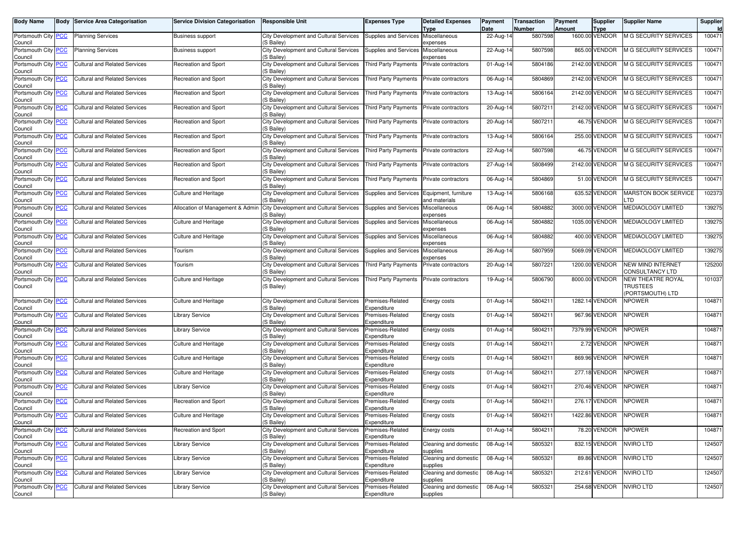| Body Name                             | Body       | <b>Service Area Categorisation</b>   | <b>Service Division Categorisation</b> | Responsible Unit                                            | <b>Expenses Type</b>                | <b>Detailed Expenses</b>              | Payment                 | <b>Transaction</b> | Payment | <b>Supplier</b>               | <b>Supplier Name</b>                                    | Supplier            |
|---------------------------------------|------------|--------------------------------------|----------------------------------------|-------------------------------------------------------------|-------------------------------------|---------------------------------------|-------------------------|--------------------|---------|-------------------------------|---------------------------------------------------------|---------------------|
| Portsmouth City PCC                   |            | <b>Planning Services</b>             | <b>Business support</b>                | City Development and Cultural Services                      | Supplies and Services               | <b>Type</b><br>Miscellaneous          | Date<br>22-Aug-14       | Number<br>5807598  | Amount  | <b>Type</b><br>1600.00 VENDOR | <b>M G SECURITY SERVICES</b>                            | <b>Id</b><br>100471 |
| Council                               |            |                                      |                                        | (S Bailey)                                                  |                                     | expenses                              |                         |                    |         |                               |                                                         |                     |
| Portsmouth City PCC<br>Council        |            | <b>Planning Services</b>             | Business support                       | City Development and Cultural Services<br>'S Bailey)        | Supplies and Services               | Miscellaneous<br>expenses             | 22-Aug-14               | 5807598            |         | 865.00 VENDOR                 | <b>M G SECURITY SERVICES</b>                            | 100471              |
| Portsmouth City<br>Council            | <b>PCC</b> | <b>Cultural and Related Services</b> | <b>Recreation and Sport</b>            | <b>City Development and Cultural Services</b><br>(S Bailey) | <b>Third Party Payments</b>         | Private contractors                   | 01-Aug-14               | 5804186            |         | 2142.00 VENDOR                | M G SECURITY SERVICES                                   | 100471              |
| Portsmouth City <b>PCC</b><br>Council |            | <b>Cultural and Related Services</b> | Recreation and Sport                   | City Development and Cultural Services<br>(S Bailey)        | <b>Third Party Payments</b>         | Private contractors                   | 06-Aug-14               | 5804869            |         | 2142.00 VENDOR                | <b>M G SECURITY SERVICES</b>                            | 100471              |
| Portsmouth City PCC<br>Council        |            | <b>Cultural and Related Services</b> | Recreation and Sport                   | City Development and Cultural Services<br>(S Bailey)        | <b>Third Party Payments</b>         | Private contractors                   | 13-Aug-14               | 5806164            |         | 2142.00 VENDOR                | <b>M G SECURITY SERVICES</b>                            | 100471              |
| Portsmouth City<br>Council            | <b>PCC</b> | <b>Cultural and Related Services</b> | <b>Recreation and Sport</b>            | City Development and Cultural Services<br>(S Bailey)        | <b>Third Party Payments</b>         | Private contractors                   | 20-Aug-14               | 5807211            |         | 2142.00 VENDOR                | <b>M G SECURITY SERVICES</b>                            | 100471              |
| Portsmouth City PCC<br>Council        |            | Cultural and Related Services        | Recreation and Sport                   | City Development and Cultural Services<br>(S Bailey)        | Third Party Payments                | Private contractors                   | 20-Aug-14               | 5807211            |         | 46.75 VENDOR                  | <b>M G SECURITY SERVICES</b>                            | 100471              |
| Portsmouth City<br>Council            | PСC        | <b>Cultural and Related Services</b> | Recreation and Sport                   | <b>City Development and Cultural Services</b><br>(S Bailey) | Third Party Payments                | Private contractors                   | 13-Aug-14               | 5806164            |         | 255.00 VENDOR                 | <b>M G SECURITY SERVICES</b>                            | 100471              |
| Portsmouth City PCC<br>Council        |            | <b>Cultural and Related Services</b> | Recreation and Sport                   | City Development and Cultural Services<br>(S Bailey)        | <b>Third Party Payments</b>         | Private contractors                   | 22-Aug-14               | 5807598            |         | 46.75 VENDOR                  | M G SECURITY SERVICES                                   | 100471              |
| Portsmouth City <b>PCC</b><br>Council |            | <b>Cultural and Related Services</b> | Recreation and Sport                   | City Development and Cultural Services<br>(S Bailey)        | <b>Third Party Payments</b>         | Private contractors                   | 27-Aug-14               | 5808499            |         | 2142.00 VENDOR                | <b>M G SECURITY SERVICES</b>                            | 100471              |
| Portsmouth City<br>Council            | <u>PCC</u> | <b>Cultural and Related Services</b> | <b>Recreation and Sport</b>            | City Development and Cultural Services<br>(S Bailey)        | Third Party Payments                | Private contractors                   | 06-Aug-14               | 5804869            |         | 51.00 VENDOR                  | <b>M G SECURITY SERVICES</b>                            | 100471              |
| Portsmouth City PCC<br>Council        |            | <b>Cultural and Related Services</b> | <b>Culture and Heritage</b>            | City Development and Cultural Services<br>(S Bailey)        | Supplies and Services               | Equipment, furniture<br>and materials | 13-Aug-14               | 5806168            |         | 635.52 VENDOR                 | <b>MARSTON BOOK SERVICE</b><br>TD                       | 102373              |
| Portsmouth City<br>Council            | <b>PCC</b> | <b>Cultural and Related Services</b> | Allocation of Management & Admin       | <b>City Development and Cultural Services</b><br>(S Bailey) | Supplies and Services               | Miscellaneous<br>expenses             | 06-Aug-14               | 5804882            |         | 3000.00 VENDOR                | <b>MEDIAOLOGY LIMITED</b>                               | 139275              |
| Portsmouth City<br>Council            | <b>PCC</b> | <b>Cultural and Related Services</b> | <b>Culture and Heritage</b>            | <b>City Development and Cultural Services</b><br>'S Bailey) | Supplies and Services               | Miscellaneous<br>expenses             | 06-Aug-14               | 5804882            |         | 1035.00 VENDOR                | MEDIAOLOGY LIMITED                                      | 139275              |
| Portsmouth City PCC<br>Council        |            | <b>Cultural and Related Services</b> | <b>Culture and Heritage</b>            | City Development and Cultural Services<br>(S Bailey)        | Supplies and Services Miscellaneous | expenses                              | 06-Aug-14               | 5804882            |         | 400.00 VENDOR                 | MEDIAOLOGY LIMITED                                      | 139275              |
| Portsmouth City PCC<br>Council        |            | <b>Cultural and Related Services</b> | Tourism                                | <b>City Development and Cultural Services</b><br>(S Bailey) | Supplies and Services               | Miscellaneous<br>expenses             | 26-Aug-14               | 5807959            |         | 5069.09 VENDOR                | <b>MEDIAOLOGY LIMITED</b>                               | 139275              |
| Portsmouth City PCC<br>Council        |            | <b>Cultural and Related Services</b> | Tourism                                | City Development and Cultural Services<br>(S Bailey)        | <b>Third Party Payments</b>         | Private contractors                   | 20-Aug-14               | 5807221            |         | 1200.00 VENDOR                | NEW MIND INTERNET<br>CONSULTANCY LTD                    | 125200              |
| Portsmouth City PCC<br>Council        |            | <b>Cultural and Related Services</b> | <b>Culture and Heritage</b>            | City Development and Cultural Services<br>(S Bailey)        | Third Party Payments                | Private contractors                   | 19-Aug-14               | 5806790            |         | 8000.00 VENDOR                | NEW THEATRE ROYAL<br><b>TRUSTEES</b><br>PORTSMOUTH) LTD | 101037              |
| Portsmouth City PCC<br>Council        |            | <b>Cultural and Related Services</b> | <b>Culture and Heritage</b>            | City Development and Cultural Services<br>(S Bailey)        | Premises-Related<br>Expenditure     | Energy costs                          | 01-Aug-14               | 5804211            |         | 1282.14 VENDOR                | NPOWER                                                  | 104871              |
| Portsmouth City PCC<br>Council        |            | <b>Cultural and Related Services</b> | <b>Library Service</b>                 | <b>City Development and Cultural Services</b><br>(S Bailey) | Premises-Related<br>Expenditure     | Energy costs                          | 01-Aug-14               | 5804211            |         | 967.96 VENDOR                 | <b>NPOWER</b>                                           | 104871              |
| Portsmouth City<br>Council            | <b>PCC</b> | <b>Cultural and Related Services</b> | Library Service                        | City Development and Cultural Services<br>S Bailey)         | Premises-Related<br>Expenditure     | Energy costs                          | 01-Aug-14               | 5804211            |         | 7379.99 VENDOR                | NPOWER                                                  | 104871              |
| Portsmouth City PCC<br>Council        |            | <b>Cultural and Related Services</b> | <b>Culture and Heritage</b>            | City Development and Cultural Services<br>S Bailey)         | Premises-Related<br>Expenditure     | Energy costs                          | 01-Aug-14               | 5804211            |         | 2.72 VENDOR                   | NPOWER                                                  | 104871              |
| Portsmouth City PCC<br>Council        |            | <b>Cultural and Related Services</b> | <b>Culture and Heritage</b>            | City Development and Cultural Services<br>(S Bailey)        | Premises-Related<br>Expenditure     | Energy costs                          | 01-Aug-14               | 5804211            |         | 869.96 VENDOR                 | <b>NPOWER</b>                                           | 104871              |
| Portsmouth City<br>Council            | <b>PCC</b> | <b>Cultural and Related Services</b> | <b>Culture and Heritage</b>            | City Development and Cultural Services<br>(S Bailey)        | Premises-Related<br>Expenditure     | Energy costs                          | 01-Aug-14               | 5804211            |         | 277.18 VENDOR                 | NPOWER                                                  | 104871              |
| Portsmouth City<br>Council            | <b>PCC</b> | <b>Cultural and Related Services</b> | <b>Library Service</b>                 | City Development and Cultural Services<br>(S Bailey)        | Premises-Related<br>Expenditure     | Energy costs                          | $\overline{0}$ 1-Aug-14 | 5804211            |         | 270.46 VENDOR                 | NPOWER                                                  | 104871              |
| Portsmouth City PCC<br>Council        |            | Cultural and Related Services        | Recreation and Sport                   | <b>City Development and Cultural Services</b><br>'S Bailey) | Premises-Related<br>Expenditure     | Energy costs                          | 01-Aug-14               | 5804211            |         | 276.17 VENDOR                 | <b>NPOWER</b>                                           | 104871              |
| Portsmouth City PCC<br>Council        |            | <b>Cultural and Related Services</b> | <b>Culture and Heritage</b>            | City Development and Cultural Services<br>(S Bailey)        | Premises-Related<br>Expenditure     | Energy costs                          | 01-Aug-14               | 5804211            |         | 1422.86 VENDOR                | <b>NPOWER</b>                                           | 104871              |
| Portsmouth City PCC<br>Council        |            | <b>Cultural and Related Services</b> | Recreation and Sport                   | City Development and Cultural Services<br>(S Bailey)        | Premises-Related<br>Expenditure     | Energy costs                          | 01-Aug-14               | 5804211            |         | 78.20 VENDOR                  | <b>NPOWER</b>                                           | 104871              |
| Portsmouth City PCC<br>Council        |            | <b>Cultural and Related Services</b> | <b>Library Service</b>                 | City Development and Cultural Services<br>(S Bailey)        | Premises-Related<br>Expenditure     | Cleaning and domestic<br>supplies     | 08-Aug-14               | 5805321            |         | 832.15 VENDOR                 | <b>NVIRO LTD</b>                                        | 124507              |
| Portsmouth City PCC<br>Council        |            | <b>Cultural and Related Services</b> | <b>Library Service</b>                 | City Development and Cultural Services<br>S Bailey)         | Premises-Related<br>Expenditure     | Cleaning and domestic<br>supplies     | 08-Aug-14               | 5805321            |         | 89.86 VENDOR                  | <b>NVIRO LTD</b>                                        | 124507              |
| Portsmouth City PCC<br>Council        |            | <b>Cultural and Related Services</b> | <b>Library Service</b>                 | City Development and Cultural Services<br>(S Bailey)        | Premises-Related<br>Expenditure     | Cleaning and domestic<br>supplies     | 08-Aug-14               | 5805321            |         | 212.61 VENDOR                 | NVIRO LTD                                               | 124507              |
| Portsmouth City PCC                   |            | <b>Cultural and Related Services</b> | <b>Library Service</b>                 | City Development and Cultural Services                      | Premises-Related                    | Cleaning and domestic                 | 08-Aug-14               | 5805321            |         | 254.68 VENDOR                 | <b>NVIRO LTD</b>                                        | 124507              |
| Council                               |            |                                      |                                        | (S Bailey)                                                  | Expenditure                         | supplies                              |                         |                    |         |                               |                                                         |                     |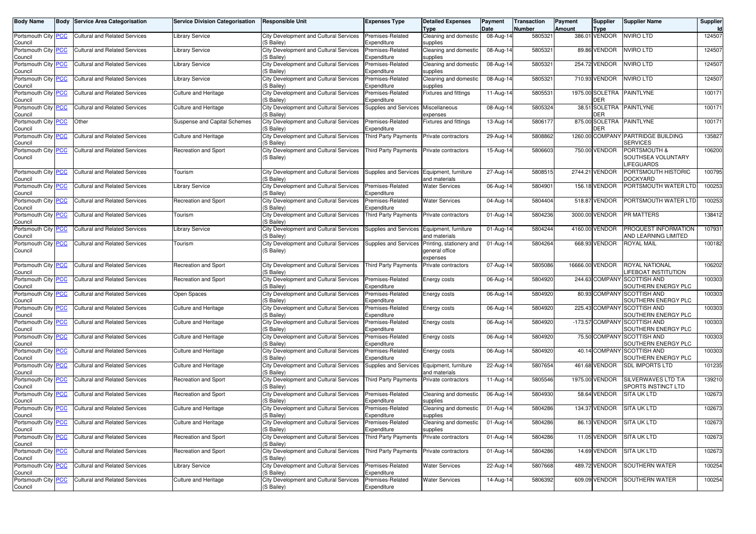| <b>Body Name</b>                      | <b>Body Service Area Categorisation</b> | <b>Service Division Categorisation</b> | <b>Responsible Unit</b>                                                 | Expenses Type                              | <b>Detailed Expenses</b><br>Type                       | Payment<br>Date | Transaction<br>Number | <b>Payment</b><br><b>Amount</b> | <b>Supplier</b><br><b>Type</b> | <b>Supplier Name</b>                                               | Supplier<br>Id |
|---------------------------------------|-----------------------------------------|----------------------------------------|-------------------------------------------------------------------------|--------------------------------------------|--------------------------------------------------------|-----------------|-----------------------|---------------------------------|--------------------------------|--------------------------------------------------------------------|----------------|
| Portsmouth City PCC<br>Council        | Cultural and Related Services           | <b>Library Service</b>                 | <b>City Development and Cultural Services</b><br>(S Bailey)             | Premises-Related<br>Expenditure            | Cleaning and domestic<br>supplies                      | 08-Aug-14       | 5805321               |                                 | 386.01 VENDOR                  | <b>NVIRO LTD</b>                                                   | 124507         |
| Portsmouth City PCC<br>Council        | <b>Cultural and Related Services</b>    | <b>Library Service</b>                 | City Development and Cultural Services<br>S Bailev)                     | Premises-Related<br>Expenditure            | Cleaning and domestic<br>supplies                      | 08-Aug-14       | 5805321               |                                 | 89.86 VENDOR                   | NVIRO LTD                                                          | 124507         |
| Portsmouth City <b>PCC</b><br>Council | <b>Cultural and Related Services</b>    | <b>Library Service</b>                 | City Development and Cultural Services<br>(S Bailey)                    | Premises-Related<br>Expenditure            | Cleaning and domestic<br>supplies                      | 08-Aug-14       | 5805321               |                                 | 254.72 VENDOR                  | <b>VVIRO LTD</b>                                                   | 124507         |
| Portsmouth City PCC<br>Council        | <b>Cultural and Related Services</b>    | <b>Library Service</b>                 | <b>City Development and Cultural Services</b><br>(S Bailey)             | Premises-Related<br>Expenditure            | Cleaning and domestic<br>supplies                      | 08-Aug-14       | 5805321               |                                 | 710.93 VENDOR                  | <b>NVIRO LTD</b>                                                   | 124507         |
| Portsmouth City PCC<br>Council        | <b>Cultural and Related Services</b>    | <b>Culture and Heritage</b>            | <b>City Development and Cultural Services</b><br>(S Bailey)             | Premises-Related<br>Expenditure            | Fixtures and fittings                                  | 11-Aug-14       | 5805531               |                                 | 1975.00 SOLETRA<br><b>DER</b>  | <b>PAINTLYNE</b>                                                   | 100171         |
| Portsmouth City PCC<br>Council        | <b>Cultural and Related Services</b>    | <b>Culture and Heritage</b>            | City Development and Cultural Services<br>(S Bailey)                    | <b>Supplies and Services</b>               | Miscellaneous<br>expenses                              | 08-Aug-14       | 5805324               |                                 | DER                            | 38.51 SOLETRA PAINTLYNE                                            | 100171         |
| Portsmouth City PCC<br>Council        | Other                                   | Suspense and Capital Schemes           | City Development and Cultural Services<br>(S Bailey)                    | Premises-Related<br>Expenditure            | Fixtures and fittings                                  | 13-Aug-14       | 5806177               |                                 | 875.00 SOLETRA<br>DER          | <b>PAINTLYNE</b>                                                   | 100171         |
| Portsmouth City PCC<br>Council        | Cultural and Related Services           | <b>Culture and Heritage</b>            | City Development and Cultural Services<br>(S Bailey)                    | Third Party Payments                       | Private contractors                                    | 29-Aug-14       | 5808862               |                                 |                                | 1260.00 COMPANY PARTRIDGE BUILDING<br>SERVICES                     | 135827         |
| Portsmouth City PCC<br>Council        | <b>Cultural and Related Services</b>    | Recreation and Sport                   | City Development and Cultural Services<br>(S Bailey)                    | <b>Third Party Payments</b>                | Private contractors                                    | 15-Aug-14       | 5806603               |                                 | 750.00 VENDOR                  | <b>PORTSMOUTH &amp;</b><br>SOUTHSEA VOLUNTARY<br><b>LIFEGUARDS</b> | 106200         |
| Portsmouth City PCC<br>Council        | <b>Cultural and Related Services</b>    | Tourism                                | <b>City Development and Cultural Services</b><br>(S Bailev)             | Supplies and Services Equipment, furniture | and materials                                          | 27-Aug-14       | 5808515               |                                 | 2744.21 VENDOR                 | PORTSMOUTH HISTORIC<br>DOCKYARD                                    | 100795         |
| Portsmouth City PCC<br>Council        | <b>Cultural and Related Services</b>    | Library Service                        | <b>City Development and Cultural Services</b><br>(S Bailey)             | Premises-Related<br>Expenditure            | <b>Water Services</b>                                  | 06-Aug-14       | 5804901               |                                 | 156.18 VENDOR                  | PORTSMOUTH WATER LTD                                               | 100253         |
| Portsmouth City PCC<br>Council        | <b>Cultural and Related Services</b>    | Recreation and Sport                   | City Development and Cultural Services<br>(S Bailey)                    | Premises-Related<br>Expenditure            | <b>Water Services</b>                                  | 04-Aug-14       | 5804404               |                                 | 518.87 VENDOR                  | PORTSMOUTH WATER LTD                                               | 100253         |
| Portsmouth City PCC<br>Council        | <b>Cultural and Related Services</b>    | Tourism                                | City Development and Cultural Services<br>(S Bailey)                    | Third Party Payments                       | Private contractors                                    | 01-Aug-14       | 5804236               |                                 | 3000.00 VENDOR                 | PR MATTERS                                                         | 138412         |
| Portsmouth City PCC<br>Council        | <b>Cultural and Related Services</b>    | <b>Library Service</b>                 | <b>City Development and Cultural Services</b><br>(S Bailey)             | Supplies and Services                      | Equipment, furniture<br>and materials                  | 01-Aug-14       | 5804244               |                                 | 4160.00 VENDOR                 | PROQUEST INFORMATION<br>AND LEARNING LIMITED                       | 107931         |
| Portsmouth City PCC<br>Council        | <b>Cultural and Related Services</b>    | Tourism                                | City Development and Cultural Services<br>(S Bailey)                    | Supplies and Services                      | Printing, stationery and<br>deneral office<br>expenses | 01-Aug-14       | 5804264               |                                 | 668.93 VENDOR                  | ROYAL MAIL                                                         | 100182         |
| Portsmouth City PCC<br>Council        | <b>Cultural and Related Services</b>    | Recreation and Sport                   | City Development and Cultural Services<br>(S Bailev)                    | <b>Third Party Payments</b>                | Private contractors                                    | 07-Aug-14       | 5805086               |                                 | 16666.00 VENDOR                | ROYAL NATIONAL<br><b>LIFEBOAT INSTITUTION</b>                      | 106202         |
| Portsmouth City <b>PCC</b><br>Council | <b>Cultural and Related Services</b>    | Recreation and Sport                   | City Development and Cultural Services<br>(S Bailey)                    | Premises-Related<br>Expenditure            | Energy costs                                           | 06-Aug-14       | 5804920               |                                 |                                | 244.63 COMPANY SCOTTISH AND<br>SOUTHERN ENERGY PLC                 | 100303         |
| Portsmouth City PCC<br>Council        | <b>Cultural and Related Services</b>    | Open Spaces                            | <b>City Development and Cultural Services</b><br>(S Bailey)             | Premises-Related<br>Expenditure            | Energy costs                                           | 06-Aug-14       | 5804920               |                                 |                                | 80.93 COMPANY SCOTTISH AND<br>SOUTHERN ENERGY PLC                  | 100303         |
| Portsmouth City <b>PCC</b><br>Council | <b>Cultural and Related Services</b>    | <b>Culture and Heritage</b>            | City Development and Cultural Services<br>(S Bailey)                    | Premises-Related<br>Expenditure            | Energy costs                                           | 06-Aug-14       | 5804920               |                                 | 225.43 COMPANY                 | <b>SCOTTISH AND</b><br>SOUTHERN ENERGY PLC                         | 100303         |
| Portsmouth City PCC<br>Council        | <b>Cultural and Related Services</b>    | <b>Culture and Heritage</b>            | City Development and Cultural Services<br>(S Bailey)                    | Premises-Related<br>Expenditure            | Energy costs                                           | 06-Aug-14       | 5804920               |                                 |                                | -173.57 COMPANY SCOTTISH AND<br>SOUTHERN ENERGY PLC                | 100303         |
| Portsmouth City PCC<br>Council        | <b>Cultural and Related Services</b>    | <b>Culture and Heritage</b>            | City Development and Cultural Services<br>(S Bailey)                    | Premises-Related<br>Expenditure            | Energy costs                                           | 06-Aug-14       | 5804920               |                                 | 75.50 COMPANY                  | <b>SCOTTISH AND</b><br>SOUTHERN ENERGY PLC                         | 100303         |
| Portsmouth City PCC<br>Council        | <b>Cultural and Related Services</b>    | <b>Culture and Heritage</b>            | City Development and Cultural Services<br>(S Bailey)                    | Premises-Related<br>Expenditure            | Energy costs                                           | 06-Aug-14       | 5804920               |                                 | 40.14 COMPANY                  | <b>SCOTTISH AND</b><br>SOUTHERN ENERGY PLC                         | 100303         |
| Portsmouth City PCC<br>Council        | <b>Cultural and Related Services</b>    | <b>Culture and Heritage</b>            | City Development and Cultural Services<br>(S Bailey)                    | <b>Supplies and Services</b>               | Equipment, furniture<br>and materials                  | 22-Aug-14       | 5807654               |                                 | 461.68 VENDOR                  | <b>SDL IMPORTS LTD</b>                                             | 101235         |
| Portsmouth City PCC<br>Council        | <b>Cultural and Related Services</b>    | Recreation and Sport                   | City Development and Cultural Services<br>(S Bailey)                    | Third Party Payments                       | Private contractors                                    | 11-Aug-14       | 5805546               |                                 | 1975.00 VENDOR                 | SILVERWAVES LTD T/A<br>SPORTS INSTINCT LTD                         | 139210         |
| Portsmouth City PCC<br>Council        | <b>Cultural and Related Services</b>    | Recreation and Sport                   | City Development and Cultural Services<br>S Bailey)                     | Premises-Related<br>Expenditure            | Cleaning and domestic<br>supplies                      | 06-Aug-14       | 5804930               |                                 | 58.64 VENDOR                   | <b>SITA UK LTD</b>                                                 | 102673         |
| Portsmouth City PCC<br>Council        | <b>Cultural and Related Services</b>    | <b>Culture and Heritage</b>            | City Development and Cultural Services<br>(S Bailey)                    | Premises-Related<br>Expenditure            | Cleaning and domestic<br>supplies                      | 01-Aug-14       | 5804286               |                                 | 134.37 VENDOR                  | SITA UK LTD                                                        | 102673         |
| Portsmouth City PCC<br>Council        | Cultural and Related Services           | Culture and Heritage                   | City Development and Cultural Services   Premises-Related<br>(S Bailey) | Expenditure                                | Cleaning and domestic<br>supplies                      | 01-Aug-14       | 5804286               |                                 |                                | 86.13 VENDOR SITA UK LTD                                           | 102673         |
| Portsmouth City PCC<br>Council        | <b>Cultural and Related Services</b>    | Recreation and Sport                   | City Development and Cultural Services<br>(S Bailey)                    | Third Party Payments                       | Private contractors                                    | 01-Aug-14       | 5804286               |                                 | 11.05 VENDOR                   | <b>SITA UK LTD</b>                                                 | 102673         |
| Portsmouth City PCC<br>Council        | Cultural and Related Services           | Recreation and Sport                   | City Development and Cultural Services<br>(S Bailey)                    | Third Party Payments                       | Private contractors                                    | 01-Aug-14       | 5804286               |                                 | 14.69 VENDOR                   | <b>SITA UK LTD</b>                                                 | 102673         |
| Portsmouth City PCC<br>Council        | Cultural and Related Services           | <b>Library Service</b>                 | City Development and Cultural Services<br>(S Bailey)                    | Premises-Related<br>Expenditure            | <b>Water Services</b>                                  | 22-Aug-14       | 5807668               |                                 | 489.72 VENDOR                  | SOUTHERN WATER                                                     | 100254         |
| Portsmouth City PCC<br>Council        | <b>Cultural and Related Services</b>    | Culture and Heritage                   | City Development and Cultural Services<br>(S Bailey)                    | Premises-Related<br>Expenditure            | <b>Water Services</b>                                  | 14-Aug-14       | 5806392               |                                 | 609.09 VENDOR                  | SOUTHERN WATER                                                     | 100254         |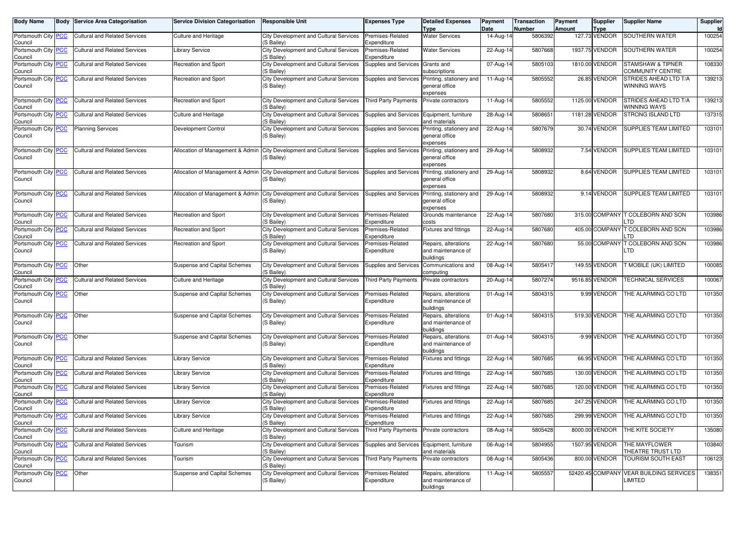| <b>Body Name</b>               | <b>Body Service Area Categorisation</b> | <b>Service Division Categorisation</b> | <b>Responsible Unit</b>                                     | Expenses Type                   | <b>Detailed Expenses</b><br><b>Type</b>                 | Payment<br>Date         | <b>Transaction</b><br>Number | Payment<br><b>Amount</b> | Supplier<br><b>Type</b> | Supplier Name                            | Supplier<br>Id |
|--------------------------------|-----------------------------------------|----------------------------------------|-------------------------------------------------------------|---------------------------------|---------------------------------------------------------|-------------------------|------------------------------|--------------------------|-------------------------|------------------------------------------|----------------|
| Portsmouth City PCC<br>Council | <b>Cultural and Related Services</b>    | <b>Culture and Heritage</b>            | City Development and Cultural Services<br>(S Bailey)        | Premises-Related<br>Expenditure | <b>Water Services</b>                                   | 14-Aug-14               | 5806392                      |                          | 127.73 VENDOR           | SOUTHERN WATER                           | 100254         |
| Portsmouth City PCC<br>Council | <b>Cultural and Related Services</b>    | <b>Library Service</b>                 | City Development and Cultural Services<br>(S Bailey)        | Premises-Related<br>Expenditure | <b>Water Services</b>                                   | 22-Aug-14               | 5807668                      |                          | 1937.75 VENDOR          | SOUTHERN WATER                           | 100254         |
| Portsmouth City PCC<br>Council | <b>Cultural and Related Services</b>    | Recreation and Sport                   | City Development and Cultural Services<br>(S Bailey)        | Supplies and Services           | Grants and<br>subscriptions                             | 07-Aug-14               | 5805103                      |                          | 1810.00 VENDOR          | STAMSHAW & TIPNER<br>COMMUNITY CENTRE    | 108330         |
| Portsmouth City PCC<br>Council | <b>Cultural and Related Services</b>    | Recreation and Sport                   | City Development and Cultural Services<br>(S Bailey)        | Supplies and Services           | Printing, stationery and<br>general office<br>expenses  | 11-Aug-14               | 5805552                      |                          | 26.85 VENDOR            | STRIDES AHEAD LTD T/A<br>WINNING WAYS    | 139213         |
| Portsmouth City PCC<br>Council | <b>Cultural and Related Services</b>    | Recreation and Sport                   | <b>City Development and Cultural Services</b><br>(S Bailey) | <b>Third Party Payments</b>     | Private contractors                                     | $\overline{1}$ 1-Aug-14 | 5805552                      |                          | 1125.00 VENDOR          | STRIDES AHEAD LTD T/A<br>WINNING WAYS    | 139213         |
| Portsmouth City PCC<br>Council | <b>Cultural and Related Services</b>    | <b>Culture and Heritage</b>            | City Development and Cultural Services<br>(S Bailey)        | <b>Supplies and Services</b>    | Equipment, furniture<br>and materials                   | 28-Aug-14               | 5808651                      |                          | 1181.28 VENDOR          | STRONG ISLAND LTD                        | 137315         |
| Portsmouth City PCC<br>Council | <b>Planning Services</b>                | Development Control                    | City Development and Cultural Services<br>(S Bailey)        | Supplies and Services           | Printing, stationery and<br>general office<br>expenses  | 22-Aug-14               | 5807679                      |                          | 30.74 VENDOR            | <b>SUPPLIES TEAM LIMITED</b>             | 103101         |
| Portsmouth City PCC<br>Council | <b>Cultural and Related Services</b>    | Allocation of Management & Admin       | City Development and Cultural Services<br>(S Bailey)        | Supplies and Services           | Printing, stationery and<br>general office<br>expenses  | 29-Aug-14               | 5808932                      |                          | 7.54 VENDOR             | SUPPLIES TEAM LIMITED                    | 103101         |
| Portsmouth City PCC<br>Council | <b>Cultural and Related Services</b>    | Allocation of Management & Admin       | City Development and Cultural Services<br>(S Bailey)        | Supplies and Services           | Printing, stationery and<br>general office<br>expenses  | 29-Aug-14               | 5808932                      |                          | 8.64 VENDOR             | SUPPLIES TEAM LIMITED                    | 103101         |
| Portsmouth City PCC<br>Council | <b>Cultural and Related Services</b>    | Allocation of Management & Admin       | City Development and Cultural Services<br>(S Bailey)        | <b>Supplies and Services</b>    | Printing, stationery and<br>general office<br>expenses  | 29-Aug-14               | 5808932                      |                          | 9.14 VENDOR             | SUPPLIES TEAM LIMITED                    | 103101         |
| Portsmouth City PCC<br>Council | <b>Cultural and Related Services</b>    | Recreation and Sport                   | City Development and Cultural Services<br>(S Bailey)        | Premises-Related<br>Expenditure | Grounds maintenance<br>costs                            | 22-Aug-14               | 5807680                      |                          |                         | 315.00 COMPANY T COLEBORN AND SON<br>TD  | 103986         |
| Portsmouth City PCC<br>Council | <b>Cultural and Related Services</b>    | Recreation and Sport                   | City Development and Cultural Services<br>(S Bailey)        | Premises-Related<br>Expenditure | Fixtures and fittings                                   | 22-Aug-14               | 5807680                      |                          |                         | 405.00 COMPANY T COLEBORN AND SON<br>.TD | 103986         |
| Portsmouth City PCC<br>Council | <b>Cultural and Related Services</b>    | Recreation and Sport                   | City Development and Cultural Services<br>(S Bailey)        | Premises-Related<br>Expenditure | Repairs, alterations<br>and maintenance of<br>buildings | 22-Aug-14               | 5807680                      |                          | 55.00 COMPANY           | <b><i>COLEBORN AND SON</i></b><br>TD.    | 103986         |
| Portsmouth City PCC<br>Council | Other                                   | Suspense and Capital Schemes           | City Development and Cultural Services<br>(S Bailey)        | Supplies and Services           | Communications and<br>computing                         | 08-Aug-14               | 5805417                      |                          | 149.55 VENDOR           | T MOBILE (UK) LIMITED                    | 100085         |
| Portsmouth City PCC<br>Council | <b>Cultural and Related Services</b>    | <b>Culture and Heritage</b>            | City Development and Cultural Services<br>(S Bailey)        | <b>Third Party Payments</b>     | Private contractors                                     | 20-Aug-14               | 5807274                      |                          | 9516.85 VENDOR          | <b>TECHNICAL SERVICES</b>                | 100067         |
| Portsmouth City PCC<br>Council | Other                                   | Suspense and Capital Schemes           | City Development and Cultural Services<br>(S Bailey)        | Premises-Related<br>Expenditure | Repairs, alterations<br>and maintenance of<br>buildings | 01-Aug-14               | 5804315                      |                          | 9.99 VENDOR             | THE ALARMING CO LTD                      | 101350         |
| Portsmouth City PCC<br>Council | Other                                   | Suspense and Capital Schemes           | City Development and Cultural Services<br>(S Bailey)        | Premises-Related<br>Expenditure | Repairs, alterations<br>and maintenance of<br>buildings | 01-Aug-14               | 5804315                      |                          | 519.30 VENDOR           | THE ALARMING CO LTD                      | 101350         |
| Portsmouth City PCC<br>Council | Other                                   | Suspense and Capital Schemes           | City Development and Cultural Services<br>(S Bailey)        | Premises-Related<br>Expenditure | Repairs, alterations<br>and maintenance of<br>buildings | 01-Aug-14               | 5804315                      |                          | -9.99 VENDOR            | THE ALARMING CO LTD                      | 101350         |
| Portsmouth City PCC<br>Council | <b>Cultural and Related Services</b>    | <b>Library Service</b>                 | City Development and Cultural Services<br>(S Bailey)        | Premises-Related<br>Expenditure | Fixtures and fittings                                   | 22-Aug-14               | 5807685                      |                          | 66.95 VENDOR            | THE ALARMING CO LTD                      | 101350         |
| Portsmouth City PCC<br>Council | <b>Cultural and Related Services</b>    | <b>Library Service</b>                 | City Development and Cultural Services<br>(S Bailey)        | Premises-Related<br>Expenditure | Fixtures and fittings                                   | 22-Aug-14               | 5807685                      |                          | 130.00 VENDOR           | THE ALARMING CO LTD                      | 101350         |
| Portsmouth City PCC<br>Council | <b>Cultural and Related Services</b>    | <b>Library Service</b>                 | City Development and Cultural Services<br>(S Bailey)        | Premises-Related<br>Expenditure | Fixtures and fittings                                   | 22-Aug-14               | 5807685                      |                          | 120.00 VENDOR           | THE ALARMING CO LTD                      | 101350         |
| Portsmouth City PCC<br>Council | <b>Cultural and Related Services</b>    | <b>Library Service</b>                 | City Development and Cultural Services<br>(S Bailey)        | Premises-Related<br>Expenditure | Fixtures and fittings                                   | 22-Aug-14               | 5807685                      |                          | 247.25 VENDOR           | THE ALARMING CO LTD                      | 101350         |
| Portsmouth City PCC<br>Council | <b>Cultural and Related Services</b>    | <b>Library Service</b>                 | City Development and Cultural Services<br>(S Bailey)        | Premises-Related<br>Expenditure | Fixtures and fittings                                   | 22-Aug-14               | 5807685                      |                          | 299.99 VENDOR           | THE ALARMING CO LTD                      | 101350         |
| Portsmouth City PCC<br>Council | <b>Cultural and Related Services</b>    | Culture and Heritage                   | City Development and Cultural Services<br>(S Bailey)        | Third Party Payments            | Private contractors                                     | 08-Aug-14               | 5805428                      |                          | 8000.00 VENDOR          | THE KITE SOCIETY                         | 135080         |
| Portsmouth City PCC<br>Council | Cultural and Related Services           | Tourism                                | <b>City Development and Cultural Services</b><br>(S Bailey) | <b>Supplies and Services</b>    | Equipment, furniture<br>and materials                   | 06-Aug-14               | 5804955                      |                          | 1507.95 VENDOR          | THE MAYFLOWER<br>THEATRE TRUST LTD       | 103840         |
| Portsmouth City PCC<br>Council | Cultural and Related Services           | Tourism                                | City Development and Cultural Services<br>(S Bailey)        | Third Party Payments            | Private contractors                                     | 08-Aug-14               | 5805436                      |                          | 800.00 VENDOR           | TOURISM SOUTH EAST                       | 106123         |
| Portsmouth City PCC<br>Council | Other                                   | Suspense and Capital Schemes           | City Development and Cultural Services<br>(S Bailey)        | Premises-Related<br>Expenditure | Repairs, alterations<br>and maintenance of<br>buildings | 11-Aug-14               | 5805557                      |                          | 52420.45 COMPANY        | <b>VEAR BUILDING SERVICES</b><br>LIMITED | 138351         |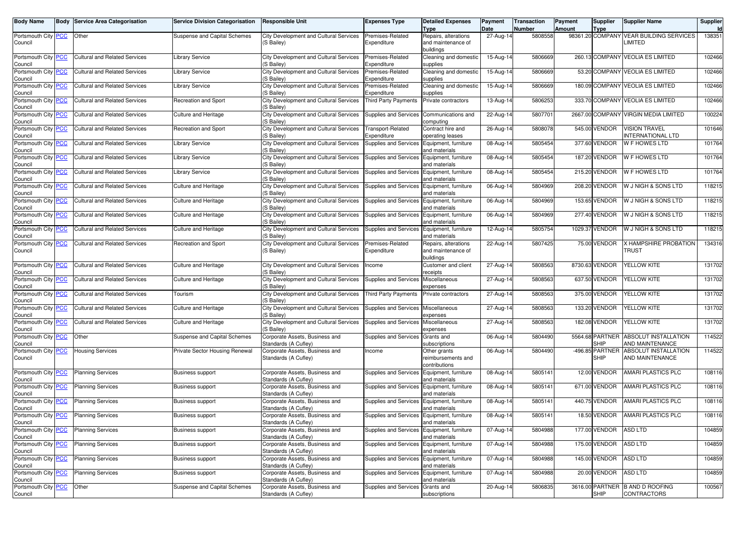| <b>Body Name</b>                      | <b>Body Service Area Categorisation</b> | <b>Service Division Categorisation</b> | <b>Responsible Unit</b>                                | <b>Expenses Type</b>                       | <b>Detailed Expenses</b>                   | Payment                 | <b>Transaction</b> | Payment | <b>Supplier</b>       | <b>Supplier Name</b>                           | Supplier |
|---------------------------------------|-----------------------------------------|----------------------------------------|--------------------------------------------------------|--------------------------------------------|--------------------------------------------|-------------------------|--------------------|---------|-----------------------|------------------------------------------------|----------|
|                                       |                                         |                                        |                                                        |                                            | <b>Type</b>                                | Date                    | Number             | Amount  | <b>Type</b>           | <b>VEAR BUILDING SERVICES</b>                  | 138351   |
| Portsmouth City PCC<br>Council        | Other                                   | Suspense and Capital Schemes           | City Development and Cultural Services<br>(S Bailey)   | Premises-Related<br>Expenditure            | Repairs, alterations<br>and maintenance of | 27-Aug-14               | 5808558            |         | 98361.20 COMPANY      | <b>IMITED</b>                                  |          |
|                                       |                                         |                                        |                                                        |                                            | buildings                                  |                         |                    |         |                       |                                                |          |
| Portsmouth City PCC                   | <b>Cultural and Related Services</b>    | Library Service                        | City Development and Cultural Services                 | Premises-Related                           | Cleaning and domestic                      | 15-Aug-14               | 5806669            |         |                       | 260.13 COMPANY VEOLIA ES LIMITED               | 102466   |
| Council                               |                                         |                                        | (S Bailey)                                             | Expenditure                                | supplies                                   |                         |                    |         |                       |                                                |          |
| Portsmouth City PCC                   | <b>Cultural and Related Services</b>    | <b>Library Service</b>                 | City Development and Cultural Services                 | Premises-Related                           | Cleaning and domestic                      | 15-Aug-14               | 5806669            |         |                       | 53.20 COMPANY VEOLIA ES LIMITED                | 102466   |
| Council                               |                                         |                                        | (S Bailey)                                             | Expenditure                                | supplies                                   |                         | 5806669            |         |                       | 180.09 COMPANY VEOLIA ES LIMITED               | 102466   |
| Portsmouth City <b>PCC</b><br>Council | <b>Cultural and Related Services</b>    | Library Service                        | City Development and Cultural Services<br>(S Bailey)   | Premises-Related<br>Expenditure            | Cleaning and domestic<br>supplies          | 15-Aug-14               |                    |         |                       |                                                |          |
| Portsmouth City PCC                   | <b>Cultural and Related Services</b>    | Recreation and Sport                   | City Development and Cultural Services                 | <b>Third Party Payments</b>                | Private contractors                        | 13-Aug-14               | 5806253            |         | 333.70 COMPANY        | <b>VEOLIA ES LIMITED</b>                       | 102466   |
| Council                               |                                         |                                        | (S Bailey)                                             |                                            |                                            |                         |                    |         |                       |                                                |          |
| Portsmouth City PCC                   | <b>Cultural and Related Services</b>    | <b>Culture and Heritage</b>            | City Development and Cultural Services                 | Supplies and Services                      | Communications and                         | 22-Aug-14               | 5807701            |         |                       | 2667.00 COMPANY VIRGIN MEDIA LIMITED           | 100224   |
| Council<br>Portsmouth City <b>PCC</b> | <b>Cultural and Related Services</b>    | Recreation and Sport                   | (S Bailey)<br>City Development and Cultural Services   | <b>Transport-Related</b>                   | computing<br>Contract hire and             | 26-Aug-14               | 5808078            |         | 545.00 VENDOR         | <b>VISION TRAVEL</b>                           | 101646   |
| Council                               |                                         |                                        | (S Bailey)                                             | Expenditure                                | operating leases                           |                         |                    |         |                       | NTERNATIONAL LTD                               |          |
| Portsmouth City PCC                   | <b>Cultural and Related Services</b>    | <b>Library Service</b>                 | City Development and Cultural Services                 | Supplies and Services                      | Equipment, furniture                       | 08-Aug-14               | 5805454            |         | 377.60 VENDOR         | W F HOWES LTD                                  | 101764   |
| Council                               |                                         |                                        | (S Bailey)                                             |                                            | and materials                              |                         |                    |         |                       |                                                |          |
| Portsmouth City PCC                   | <b>Cultural and Related Services</b>    | Library Service                        | City Development and Cultural Services                 | Supplies and Services                      | Equipment, furniture                       | 08-Aug-14               | 5805454            |         | 187.20 VENDOR         | W F HOWES LTD                                  | 101764   |
| Council<br>Portsmouth City PCC        | <b>Cultural and Related Services</b>    | <b>Library Service</b>                 | (S Bailey)<br>City Development and Cultural Services   | Supplies and Services Equipment, furniture | and materials                              | 08-Aug-14               | 5805454            |         | 215.20 VENDOR         | W F HOWES LTD                                  | 101764   |
| Council                               |                                         |                                        | (S Bailev)                                             |                                            | and materials                              |                         |                    |         |                       |                                                |          |
| Portsmouth City <b>PCC</b>            | <b>Cultural and Related Services</b>    | <b>Culture and Heritage</b>            | City Development and Cultural Services                 | Supplies and Services                      | Equipment, furniture                       | 06-Aug-14               | 5804969            |         | 208.20 VENDOR         | W J NIGH & SONS LTD                            | 118215   |
| Council                               |                                         |                                        | (S Bailey)                                             |                                            | and materials                              |                         |                    |         |                       |                                                |          |
| Portsmouth City PCC                   | <b>Cultural and Related Services</b>    | <b>Culture and Heritage</b>            | City Development and Cultural Services                 | Supplies and Services                      | Equipment, furniture                       | 06-Aug-14               | 5804969            |         | 153.65 VENDOR         | W J NIGH & SONS LTD                            | 118215   |
| Council<br>Portsmouth City PCC        | <b>Cultural and Related Services</b>    | <b>Culture and Heritage</b>            | (S Bailey)<br>City Development and Cultural Services   | Supplies and Services Equipment, furniture | and materials                              | 06-Aug-14               | 5804969            |         | 277.40 VENDOR         | W J NIGH & SONS LTD                            | 118215   |
| Council                               |                                         |                                        | (S Bailey)                                             |                                            | and materials                              |                         |                    |         |                       |                                                |          |
| Portsmouth City PCC                   | <b>Cultural and Related Services</b>    | <b>Culture and Heritage</b>            | City Development and Cultural Services                 | Supplies and Services                      | Equipment, furniture                       | 12-Aug-14               | 5805754            |         | 1029.37 VENDOR        | W J NIGH & SONS LTD                            | 118215   |
| Council                               |                                         |                                        | (S Bailey)                                             |                                            | and materials                              |                         |                    |         |                       |                                                |          |
| Portsmouth City PCC                   | <b>Cultural and Related Services</b>    | Recreation and Sport                   | City Development and Cultural Services                 | Premises-Related                           | Repairs, alterations                       | 22-Aug-14               | 5807425            |         | 75.00 VENDOR          | <b>X HAMPSHIRE PROBATION</b>                   | 134316   |
| Council                               |                                         |                                        | (S Bailey)                                             | Expenditure                                | and maintenance of<br>buildings            |                         |                    |         |                       | TRUST                                          |          |
| Portsmouth City PCC                   | <b>Cultural and Related Services</b>    | <b>Culture and Heritage</b>            | City Development and Cultural Services                 | Income                                     | Customer and client                        | 27-Aug-14               | 5808563            |         | 8730.63 VENDOR        | YELLOW KITE                                    | 131702   |
| Council                               |                                         |                                        | (S Bailev)                                             |                                            | eceipts                                    |                         |                    |         |                       |                                                |          |
| Portsmouth City <b>PCC</b>            | <b>Cultural and Related Services</b>    | <b>Culture and Heritage</b>            | City Development and Cultural Services                 | Supplies and Services Miscellaneous        |                                            | 27-Aug-14               | 5808563            |         | 637.50 VENDOR         | YELLOW KITE                                    | 131702   |
| Council<br>Portsmouth City PCC        | <b>Cultural and Related Services</b>    | Tourism                                | (S Bailey)<br>City Development and Cultural Services   | <b>Third Party Payments</b>                | expenses<br>Private contractors            | 27-Aug-14               | 5808563            |         | 375.00 VENDOR         | YELLOW KITE                                    | 131702   |
| Council                               |                                         |                                        | (S Bailey)                                             |                                            |                                            |                         |                    |         |                       |                                                |          |
| Portsmouth City PCC                   | <b>Cultural and Related Services</b>    | <b>Culture and Heritage</b>            | City Development and Cultural Services                 | Supplies and Services                      | Miscellaneous                              | 27-Aug-14               | 5808563            |         | 133.20 VENDOR         | YELLOW KITE                                    | 131702   |
| Council                               |                                         |                                        | (S Bailey)                                             |                                            | expenses                                   |                         |                    |         |                       |                                                |          |
| Portsmouth City PCC<br>Council        | <b>Cultural and Related Services</b>    | <b>Culture and Heritage</b>            | City Development and Cultural Services<br>(S Bailey)   | Supplies and Services Miscellaneous        | expenses                                   | 27-Aug-14               | 5808563            |         | 182.08 VENDOR         | YELLOW KITE                                    | 131702   |
| Portsmouth City PCC                   | Other                                   | Suspense and Capital Schemes           | Corporate Assets, Business and                         | Supplies and Services                      | Grants and                                 | 06-Aug-14               | 5804490            |         | 5564.68 PARTNER       | ABSOLUT INSTALLATION                           | 114522   |
| Council                               |                                         |                                        | Standards (A Cufley)                                   |                                            | subscriptions                              |                         |                    |         | <b>SHIP</b>           | AND MAINTENANCE                                |          |
| Portsmouth City PCC                   | <b>Housing Services</b>                 | Private Sector Housing Renewal         | Corporate Assets, Business and                         | Income                                     | Other grants                               | 06-Aug-14               | 5804490            |         | -496.85 PARTNER       | <b>ABSOLUT INSTALLATION</b>                    | 114522   |
| Council                               |                                         |                                        | Standards (A Cufley)                                   |                                            | reimbursements and                         |                         |                    |         | <b>SHIP</b>           | AND MAINTENANCE                                |          |
| Portsmouth City PCC                   | <b>Planning Services</b>                | <b>Business support</b>                | Corporate Assets, Business and                         | Supplies and Services                      | contributions<br>Equipment, furniture      | 08-Aug-14               | 5805141            |         | 12.00 VENDOR          | AMARI PLASTICS PLC                             | 108116   |
| Council                               |                                         |                                        | Standards (A Cufley)                                   |                                            | and materials                              |                         |                    |         |                       |                                                |          |
| Portsmouth City PCC                   | <b>Planning Services</b>                | <b>Business support</b>                | Corporate Assets, Business and                         | Supplies and Services                      | Equipment, furniture                       | 08-Aug-14               | 5805141            |         | 671.00 VENDOR         | AMARI PLASTICS PLC                             | 108116   |
| Council                               |                                         |                                        | Standards (A Cufley)                                   |                                            | and materials                              |                         |                    |         |                       |                                                |          |
| Portsmouth City PCC                   | <b>Planning Services</b>                | <b>Business support</b>                | Corporate Assets, Business and<br>Standards (A Cuflev) | Supplies and Services                      | Equipment, furniture                       | 08-Aug-14               | 5805141            |         | 440.75 VENDOR         | AMARI PLASTICS PLC                             | 108116   |
| Council<br>Portsmouth City PCC        | <b>Planning Services</b>                | <b>Business support</b>                | Corporate Assets, Business and                         | Supplies and Services Equipment, furniture | and materials                              | 08-Aug-14               | 5805141            |         | 18.50 VENDOR          | AMARI PLASTICS PLC                             | 108116   |
| Council                               |                                         |                                        | Standards (A Cufley)                                   |                                            | and materials                              |                         |                    |         |                       |                                                |          |
| Portsmouth City PCC                   | <b>Planning Services</b>                | <b>Business support</b>                | Corporate Assets, Business and                         | Supplies and Services Equipment, furniture |                                            | 07-Aug-14               | 5804988            |         | 177.00 VENDOR         | <b>ASD LTD</b>                                 | 104859   |
| Council                               |                                         |                                        | Standards (A Cufley)                                   |                                            | and materials                              |                         |                    |         |                       |                                                |          |
| Portsmouth City PCC                   | <b>Planning Services</b>                | <b>Business support</b>                | Corporate Assets, Business and<br>Standards (A Cufley) | Supplies and Services Equipment, furniture | and materials                              | 07-Aug-14               | 5804988            |         | 175.00 VENDOR ASD LTD |                                                | 104859   |
| Council<br>Portsmouth City PCC        | <b>Planning Services</b>                | <b>Business support</b>                | Corporate Assets, Business and                         | Supplies and Services Equipment, furniture |                                            | $\overline{0}$ 7-Aug-14 | 5804988            |         | 145.00 VENDOR         | <b>ASD LTD</b>                                 | 104859   |
| Council                               |                                         |                                        | Standards (A Cufley)                                   |                                            | and materials                              |                         |                    |         |                       |                                                |          |
| Portsmouth City PCC                   | <b>Planning Services</b>                | <b>Business support</b>                | Corporate Assets, Business and                         | Supplies and Services Equipment, furniture |                                            | 07-Aug-14               | 5804988            |         | 20.00 VENDOR          | <b>ASD LTD</b>                                 | 104859   |
| Council                               |                                         |                                        | Standards (A Cufley)                                   |                                            | and materials                              |                         |                    |         |                       |                                                |          |
| Portsmouth City PCC<br>Council        | Other                                   | Suspense and Capital Schemes           | Corporate Assets, Business and<br>Standards (A Cufley) | Supplies and Services Grants and           | subscriptions                              | 20-Aug-14               | 5806835            |         | <b>SHIP</b>           | 3616.00 PARTNER B AND D ROOFING<br>CONTRACTORS | 100567   |
|                                       |                                         |                                        |                                                        |                                            |                                            |                         |                    |         |                       |                                                |          |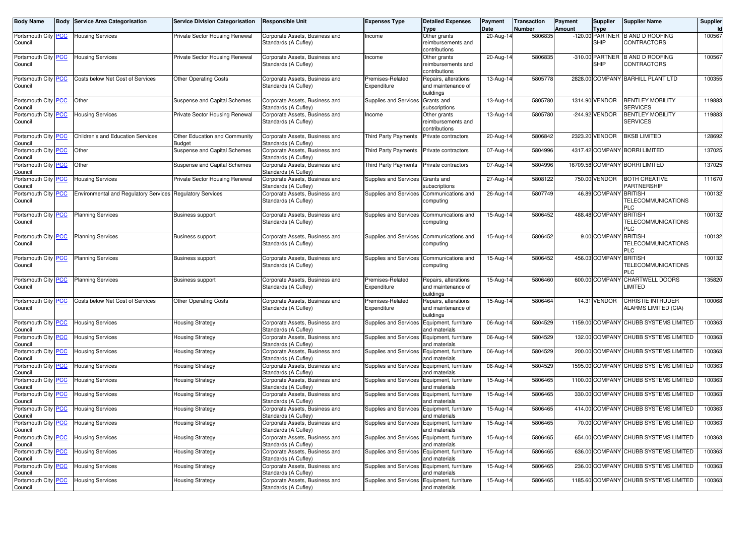| <b>Body Name</b>                      | <b>Body Service Area Categorisation</b>                   | <b>Service Division Categorisation</b>         | <b>Responsible Unit</b>                                | <b>Expenses Type</b>                         | <b>Detailed Expenses</b>                                | Payment           | <b>Transaction</b> | Payment       | Supplier                   | <b>Supplier Name</b>                                  | Supplier     |
|---------------------------------------|-----------------------------------------------------------|------------------------------------------------|--------------------------------------------------------|----------------------------------------------|---------------------------------------------------------|-------------------|--------------------|---------------|----------------------------|-------------------------------------------------------|--------------|
| Portsmouth City PCC<br>Council        | <b>Housing Services</b>                                   | Private Sector Housing Renewal                 | Corporate Assets, Business and<br>Standards (A Cufley) | ncome                                        | <b>Type</b><br>Other grants<br>reimbursements and       | Date<br>20-Aug-14 | Number<br>5806835  | <b>Amount</b> | <b>Type</b><br><b>SHIP</b> | -120.00 PARTNER B AND D ROOFING<br><b>CONTRACTORS</b> | Id<br>100567 |
|                                       |                                                           |                                                |                                                        |                                              | contributions                                           |                   |                    |               |                            |                                                       |              |
| Portsmouth City PCC<br>Council        | <b>Housing Services</b>                                   | Private Sector Housing Renewal                 | Corporate Assets, Business and<br>Standards (A Cufley) | Income                                       | Other grants<br>reimbursements and<br>contributions     | 20-Aug-14         | 5806835            |               | <b>SHIP</b>                | -310.00 PARTNER B AND D ROOFING<br>CONTRACTORS        | 100567       |
| Portsmouth City PCC<br>Council        | Costs below Net Cost of Services                          | <b>Other Operating Costs</b>                   | Corporate Assets, Business and<br>Standards (A Cufley) | Premises-Related<br>Expenditure              | Repairs, alterations<br>and maintenance of<br>buildings | 13-Aug-14         | 5805778            |               |                            | 2828.00 COMPANY BARHILL PLANT LTD                     | 100355       |
| Portsmouth City PCC<br>Council        | Other                                                     | Suspense and Capital Schemes                   | Corporate Assets, Business and<br>Standards (A Cufley) | <b>Supplies and Services</b>                 | Grants and<br>subscriptions                             | 13-Aug-14         | 5805780            |               | 1314.90 VENDOR             | <b>BENTLEY MOBILITY</b><br><b>SERVICES</b>            | 119883       |
| Portsmouth City PCC<br>Council        | <b>Housing Services</b>                                   | Private Sector Housing Renewal                 | Corporate Assets, Business and<br>Standards (A Cufley) | Income                                       | Other grants<br>reimbursements and<br>contributions     | 13-Aug-14         | 5805780            |               | -244.92 VENDOR             | <b>BENTLEY MOBILITY</b><br><b>SERVICES</b>            | 119883       |
| Portsmouth City PCC<br>Council        | Children's and Education Services                         | Other Education and Community<br><b>Budget</b> | Corporate Assets, Business and<br>Standards (A Cufley) | <b>Third Party Payments</b>                  | Private contractors                                     | 20-Aug-14         | 5806842            |               | 2323.20 VENDOR             | <b>BKSB LIMITED</b>                                   | 128692       |
| Portsmouth City PCC<br>Council        | Other                                                     | Suspense and Capital Schemes                   | Corporate Assets, Business and<br>Standards (A Cufley) | Third Party Payments                         | Private contractors                                     | 07-Aug-14         | 5804996            |               |                            | 4317.42 COMPANY BORRI LIMITED                         | 137025       |
| Portsmouth City PCC<br>Council        | Other                                                     | Suspense and Capital Schemes                   | Corporate Assets, Business and<br>Standards (A Cufley) | Third Party Payments                         | Private contractors                                     | 07-Aug-14         | 5804996            |               |                            | 16709.58 COMPANY BORRI LIMITED                        | 137025       |
| Portsmouth City PCC<br>Council        | <b>Housing Services</b>                                   | Private Sector Housing Renewal                 | Corporate Assets, Business and<br>Standards (A Cufley) | Supplies and Services                        | Grants and<br>subscriptions                             | 27-Aug-14         | 5808122            |               | 750.00 VENDOR              | <b>BOTH CREATIVE</b><br>PARTNERSHIP                   | 111670       |
| Portsmouth City PCC<br>Council        | Environmental and Regulatory Services Regulatory Services |                                                | Corporate Assets, Business and<br>Standards (A Cufley) | <b>Supplies and Services</b>                 | Communications and<br>computing                         | 26-Aug-14         | 5807749            |               | 46.89 COMPANY BRITISH      | <b>TELECOMMUNICATIONS</b><br>PLC                      | 100132       |
| Portsmouth City PCC<br>Council        | <b>Planning Services</b>                                  | <b>Business support</b>                        | Corporate Assets, Business and<br>Standards (A Cufley) | Supplies and Services                        | Communications and<br>computing                         | 15-Aug-14         | 5806452            |               | 488.48 COMPANY BRITISH     | <b>TELECOMMUNICATIONS</b><br><b>PLC</b>               | 100132       |
| Portsmouth City PCC<br>Council        | <b>Planning Services</b>                                  | <b>Business support</b>                        | Corporate Assets, Business and<br>Standards (A Cufley) | Supplies and Services                        | Communications and<br>computing                         | 15-Aug-14         | 5806452            |               | 9.00 COMPANY BRITISH       | <b>TELECOMMUNICATIONS</b><br>PLC                      | 100132       |
| Portsmouth City PCC<br>Council        | <b>Planning Services</b>                                  | <b>Business support</b>                        | Corporate Assets, Business and<br>Standards (A Cufley) | Supplies and Services                        | Communications and<br>computing                         | 15-Aug-14         | 5806452            |               | 456.03 COMPANY BRITISH     | <b>TELECOMMUNICATIONS</b><br>PLC                      | 100132       |
| Portsmouth City PCC<br>Council        | <b>Planning Services</b>                                  | <b>Business support</b>                        | Corporate Assets, Business and<br>Standards (A Cufley) | Premises-Related<br>Expenditure              | Repairs, alterations<br>and maintenance of<br>buildings | 15-Aug-14         | 5806460            |               |                            | 600.00 COMPANY CHARTWELL DOORS<br>LIMITED             | 135820       |
| Portsmouth City PCC<br>Council        | Costs below Net Cost of Services                          | <b>Other Operating Costs</b>                   | Corporate Assets, Business and<br>Standards (A Cufley) | Premises-Related<br>Expenditure              | Repairs, alterations<br>and maintenance of<br>buildings | 15-Aug-14         | 5806464            |               | 14.31 VENDOR               | CHRISTIE INTRUDER<br>ALARMS LIMITED (CIA)             | 100068       |
| Portsmouth City PCC<br>Council        | <b>Housing Services</b>                                   | <b>Housing Strategy</b>                        | Corporate Assets, Business and<br>Standards (A Cufley) | Supplies and Services                        | Equipment, furniture<br>and materials                   | 06-Aug-14         | 5804529            |               |                            | 1159.00 COMPANY CHUBB SYSTEMS LIMITED                 | 100363       |
| Portsmouth City PCC<br>Council        | <b>Housing Services</b>                                   | <b>Housing Strategy</b>                        | Corporate Assets, Business and<br>Standards (A Cufley) | <b>Supplies and Services</b>                 | Equipment, furniture<br>and materials                   | 06-Aug-14         | 5804529            |               | 132.00 COMPANY             | CHUBB SYSTEMS LIMITED                                 | 100363       |
| Portsmouth City PCC<br>Council        | <b>Housing Services</b>                                   | <b>Housing Strategy</b>                        | Corporate Assets, Business and<br>Standards (A Cufley) | <b>Supplies and Services</b>                 | Equipment, furniture<br>and materials                   | 06-Aug-14         | 5804529            |               |                            | 200.00 COMPANY CHUBB SYSTEMS LIMITED                  | 100363       |
| Portsmouth City PCC<br>Council        | <b>Housing Services</b>                                   | <b>Housing Strategy</b>                        | Corporate Assets, Business and<br>Standards (A Cufley) | Supplies and Services Equipment, furniture   | and materials                                           | 06-Aug-14         | 5804529            |               |                            | 1595.00 COMPANY CHUBB SYSTEMS LIMITED                 | 100363       |
| Portsmouth City PCC<br>Council        | <b>Housing Services</b>                                   | <b>Housing Strategy</b>                        | Corporate Assets, Business and<br>Standards (A Cufley) | <b>Supplies and Services</b>                 | Equipment, furniture<br>and materials                   | 15-Aug-14         | 5806465            |               |                            | 1100.00 COMPANY CHUBB SYSTEMS LIMITED                 | 100363       |
| Portsmouth City PCC<br>Council        | <b>Housing Services</b>                                   | <b>Housing Strategy</b>                        | Corporate Assets, Business and<br>Standards (A Cufley) | <b>Supplies and Services</b>                 | Equipment, furniture<br>and materials                   | 15-Aug-14         | 5806465            |               |                            | 330.00 COMPANY CHUBB SYSTEMS LIMITED                  | 100363       |
| Portsmouth City PCC<br>Council        | <b>Housing Services</b>                                   | <b>Housing Strategy</b>                        | Corporate Assets, Business and<br>Standards (A Cufley) | Supplies and Services                        | Equipment, furniture<br>and materials                   | 15-Aug-14         | 5806465            |               |                            | 414.00 COMPANY CHUBB SYSTEMS LIMITED                  | 100363       |
| Portsmouth City <b>PCC</b><br>Council | <b>Housing Services</b>                                   | <b>Housing Strategy</b>                        | Corporate Assets, Business and<br>Standards (A Cufley) | Supplies and Services   Equipment, furniture | and materials                                           | 15-Aug-14         | 5806465            |               |                            | 70.00 COMPANY CHUBB SYSTEMS LIMITED                   | 100363       |
| Portsmouth City PCC<br>Council        | <b>Housing Services</b>                                   | <b>Housing Strategy</b>                        | Corporate Assets, Business and<br>Standards (A Cufley) | Supplies and Services                        | Equipment, furniture<br>and materials                   | 15-Aug-14         | 5806465            |               |                            | 654.00 COMPANY CHUBB SYSTEMS LIMITED                  | 100363       |
| Portsmouth City PCC<br>Council        | <b>Housing Services</b>                                   | <b>Housing Strategy</b>                        | Corporate Assets, Business and<br>Standards (A Cufley) | Supplies and Services Equipment, furniture   | and materials                                           | 15-Aug-14         | 5806465            |               |                            | 636.00 COMPANY CHUBB SYSTEMS LIMITED                  | 100363       |
| Portsmouth City PCC<br>Council        | <b>Housing Services</b>                                   | <b>Housing Strategy</b>                        | Corporate Assets, Business and<br>Standards (A Cufley) | Supplies and Services Equipment, furniture   | and materials                                           | 15-Aug-14         | 5806465            |               |                            | 236.00 COMPANY CHUBB SYSTEMS LIMITED                  | 100363       |
| Portsmouth City PCC<br>Council        | <b>Housing Services</b>                                   | <b>Housing Strategy</b>                        | Corporate Assets, Business and<br>Standards (A Cufley) | Supplies and Services                        | Equipment, furniture<br>and materials                   | 15-Aug-14         | 5806465            |               |                            | 1185.60 COMPANY CHUBB SYSTEMS LIMITED                 | 100363       |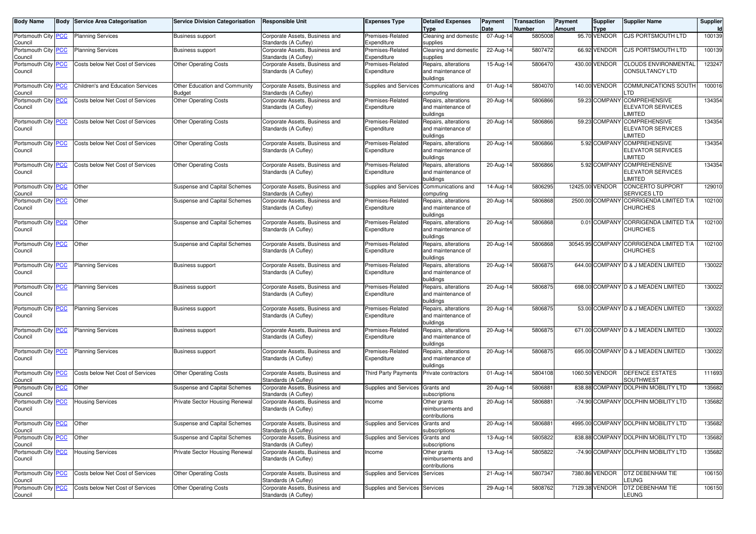| <b>Body Name</b>               |            | <b>Body Service Area Categorisation</b> | <b>Service Division Categorisation</b>  | <b>Responsible Unit</b>                                | <b>Expenses Type</b>             | <b>Detailed Expenses</b><br><b>Type</b>                 | Payment<br>Date | <b>Transaction</b><br>Number | Payment<br>Amount | <b>Supplier</b><br><b>Type</b> | <b>Supplier Name</b>                                               | Supplier |
|--------------------------------|------------|-----------------------------------------|-----------------------------------------|--------------------------------------------------------|----------------------------------|---------------------------------------------------------|-----------------|------------------------------|-------------------|--------------------------------|--------------------------------------------------------------------|----------|
| Portsmouth City<br>Council     | <b>PCC</b> | <b>Planning Services</b>                | <b>Business support</b>                 | Corporate Assets, Business and<br>Standards (A Cufley) | Premises-Related<br>Expenditure  | Cleaning and domestic<br>supplies                       | 07-Aug-14       | 5805008                      |                   | 95.70 VENDOR                   | <b>CJS PORTSMOUTH LTD</b>                                          | 100139   |
| Portsmouth City<br>Council     | <b>PCC</b> | <b>Planning Services</b>                | <b>Business support</b>                 | Corporate Assets, Business and<br>Standards (A Cufley) | Premises-Related<br>Expenditure  | Cleaning and domestic<br>supplies                       | 22-Aug-1        | 5807472                      |                   | 66.92 VENDOR                   | <b>CJS PORTSMOUTH LTD</b>                                          | 100139   |
| Portsmouth City<br>Council     | <u>PCC</u> | Costs below Net Cost of Services        | <b>Other Operating Costs</b>            | Corporate Assets, Business and<br>Standards (A Cufley) | Premises-Related<br>Expenditure  | Repairs, alterations<br>and maintenance of<br>buildings | 15-Aug-14       | 5806470                      |                   | 430.00 VENDOR                  | <b>CLOUDS ENVIRONMENTAL</b><br><b>CONSULTANCY LTD</b>              | 123247   |
| Portsmouth City<br>Council     | <b>PCC</b> | Children's and Education Services       | Other Education and Community<br>Budget | Corporate Assets, Business and<br>Standards (A Cufley) | Supplies and Services            | Communications and<br>computing                         | 01-Aug-14       | 5804070                      |                   | 140.00 VENDOR                  | <b>COMMUNICATIONS SOUTH</b><br>.TD                                 | 100016   |
| Portsmouth City PCC<br>Council |            | Costs below Net Cost of Services        | <b>Other Operating Costs</b>            | Corporate Assets, Business and<br>Standards (A Cufley) | Premises-Related<br>Expenditure  | Repairs, alterations<br>and maintenance of<br>buildings | 20-Aug-14       | 5806866                      |                   |                                | 59.23 COMPANY COMPREHENSIVE<br><b>ELEVATOR SERVICES</b><br>LIMITED | 134354   |
| Portsmouth City PCC<br>Council |            | Costs below Net Cost of Services        | <b>Other Operating Costs</b>            | Corporate Assets, Business and<br>Standards (A Cufley) | Premises-Related<br>Expenditure  | Repairs, alterations<br>and maintenance of<br>buildings | 20-Aug-14       | 5806866                      |                   |                                | 59.23 COMPANY COMPREHENSIVE<br><b>ELEVATOR SERVICES</b><br>LIMITED | 134354   |
| Portsmouth City PCC<br>Council |            | Costs below Net Cost of Services        | <b>Other Operating Costs</b>            | Corporate Assets, Business and<br>Standards (A Cufley) | Premises-Related<br>Expenditure  | Repairs, alterations<br>and maintenance of<br>buildings | 20-Aug-14       | 5806866                      |                   |                                | 5.92 COMPANY COMPREHENSIVE<br><b>ELEVATOR SERVICES</b><br>LIMITED  | 134354   |
| Portsmouth City PCC<br>Council |            | Costs below Net Cost of Services        | <b>Other Operating Costs</b>            | Corporate Assets, Business and<br>Standards (A Cufley) | Premises-Related<br>Expenditure  | Repairs, alterations<br>and maintenance of<br>buildings | 20-Aug-14       | 5806866                      |                   |                                | 5.92 COMPANY COMPREHENSIVE<br><b>ELEVATOR SERVICES</b><br>LIMITED  | 134354   |
| Portsmouth City PCC<br>Council |            | Other                                   | Suspense and Capital Schemes            | Corporate Assets, Business and<br>Standards (A Cufley) | <b>Supplies and Services</b>     | Communications and<br>computing                         | 14-Aug-14       | 5806295                      |                   | 12425.00 VENDOR                | <b>CONCERTO SUPPORT</b><br>SERVICES LTD                            | 129010   |
| Portsmouth City PCC<br>Council |            | Other                                   | Suspense and Capital Schemes            | Corporate Assets, Business and<br>Standards (A Cufley) | Premises-Related<br>Expenditure  | Repairs, alterations<br>and maintenance of<br>buildings | 20-Aug-14       | 5806868                      |                   | 2500.00 COMPANY                | <b>CORRIGENDA LIMITED T/A</b><br><b>CHURCHES</b>                   | 102100   |
| Portsmouth City PCC<br>Council |            | Other                                   | Suspense and Capital Schemes            | Corporate Assets, Business and<br>Standards (A Cufley) | Premises-Related<br>Expenditure  | Repairs, alterations<br>and maintenance of<br>buildings | 20-Aug-14       | 5806868                      |                   |                                | 0.01 COMPANY CORRIGENDA LIMITED T/A<br><b>CHURCHES</b>             | 102100   |
| Portsmouth City<br>Council     | <b>PCC</b> | Other                                   | Suspense and Capital Schemes            | Corporate Assets, Business and<br>Standards (A Cufley) | Premises-Related<br>Expenditure  | Repairs, alterations<br>and maintenance of<br>buildings | 20-Aug-14       | 5806868                      |                   |                                | 30545.95 COMPANY CORRIGENDA LIMITED T/A<br><b>CHURCHES</b>         | 102100   |
| Portsmouth City<br>Council     | <b>PCC</b> | <b>Planning Services</b>                | <b>Business support</b>                 | Corporate Assets, Business and<br>Standards (A Cufley) | Premises-Related<br>Expenditure  | Repairs, alterations<br>and maintenance of<br>buildings | 20-Aug-14       | 5806875                      |                   |                                | 644.00 COMPANY D & J MEADEN LIMITED                                | 130022   |
| Portsmouth City<br>Council     | <b>PCC</b> | <b>Planning Services</b>                | <b>Business support</b>                 | Corporate Assets, Business and<br>Standards (A Cufley) | Premises-Related<br>Expenditure  | Repairs, alterations<br>and maintenance of<br>buildings | 20-Aug-14       | 5806875                      |                   |                                | 698.00 COMPANY D & J MEADEN LIMITED                                | 130022   |
| Portsmouth City<br>Council     | <b>PCC</b> | <b>Planning Services</b>                | <b>Business support</b>                 | Corporate Assets, Business and<br>Standards (A Cufley) | Premises-Related<br>Expenditure  | Repairs, alterations<br>and maintenance of<br>buildings | 20-Aug-14       | 5806875                      |                   |                                | 53.00 COMPANY D & J MEADEN LIMITED                                 | 130022   |
| Portsmouth City PCC<br>Council |            | <b>Planning Services</b>                | <b>Business support</b>                 | Corporate Assets, Business and<br>Standards (A Cufley) | Premises-Related<br>Expenditure  | Repairs, alterations<br>and maintenance of<br>buildings | 20-Aug-14       | 5806875                      |                   |                                | 671.00 COMPANY D & J MEADEN LIMITED                                | 130022   |
| Portsmouth City<br>Council     | <b>PCC</b> | <b>Planning Services</b>                | <b>Business support</b>                 | Corporate Assets, Business and<br>Standards (A Cufley) | Premises-Related<br>Expenditure  | Repairs, alterations<br>and maintenance of<br>buildings | 20-Aug-14       | 5806875                      |                   |                                | 695.00 COMPANY D & J MEADEN LIMITED                                | 130022   |
| Portsmouth City<br>Council     | <b>PCC</b> | Costs below Net Cost of Services        | <b>Other Operating Costs</b>            | Corporate Assets, Business and<br>Standards (A Cufley) | <b>Third Party Payments</b>      | Private contractors                                     | 01-Aug-14       | 5804108                      |                   | 1060.50 VENDOR                 | <b>DEFENCE ESTATES</b><br>SOUTHWEST                                | 111693   |
| Portsmouth City PCC<br>Council |            | Other                                   | Suspense and Capital Schemes            | Corporate Assets, Business and<br>Standards (A Cufley) | Supplies and Services            | Grants and<br>subscriptions                             | 20-Aug-14       | 5806881                      |                   |                                | 838.88 COMPANY DOLPHIN MOBILITY LTD                                | 135682   |
| Portsmouth City<br>Council     | <b>PCC</b> | <b>Housing Services</b>                 | Private Sector Housing Renewal          | Corporate Assets, Business and<br>Standards (A Cufley) | Income                           | Other grants<br>reimbursements and<br>contributions     | 20-Aug-14       | 5806881                      |                   |                                | -74.90 COMPANY DOLPHIN MOBILITY LTD                                | 135682   |
| Portsmouth City PCC<br>Council |            | Other                                   | Suspense and Capital Schemes            | Corporate Assets, Business and<br>Standards (A Cufley) | Supplies and Services Grants and | subscriptions                                           | 20-Aug-14       | 5806881                      |                   |                                | 4995.00 COMPANY DOLPHIN MOBILITY LTD                               | 135682   |
| Portsmouth City PCC<br>Council |            | Other                                   | Suspense and Capital Schemes            | Corporate Assets, Business and<br>Standards (A Cufley) | Supplies and Services            | Grants and<br>subscriptions                             | 13-Aug-14       | 5805822                      |                   |                                | 838.88 COMPANY DOLPHIN MOBILITY LTD                                | 135682   |
| Portsmouth City PCC<br>Council |            | <b>Housing Services</b>                 | Private Sector Housing Renewal          | Corporate Assets, Business and<br>Standards (A Cufley) | Income                           | Other grants<br>reimbursements and<br>contributions     | 13-Aug-14       | 5805822                      |                   |                                | -74.90 COMPANY DOLPHIN MOBILITY LTD                                | 135682   |
| Portsmouth City PCC<br>Council |            | Costs below Net Cost of Services        | <b>Other Operating Costs</b>            | Corporate Assets, Business and<br>Standards (A Cufley) | Supplies and Services Services   |                                                         | 21-Aug-14       | 5807347                      |                   | 7380.86 VENDOR                 | DTZ DEBENHAM TIE<br><b>LEUNG</b>                                   | 106150   |
| Portsmouth City PCC<br>Council |            | Costs below Net Cost of Services        | Other Operating Costs                   | Corporate Assets, Business and<br>Standards (A Cufley) | Supplies and Services Services   |                                                         | 29-Aug-14       | 5808762                      |                   | 7129.38 VENDOR                 | DTZ DEBENHAM TIE<br><b>LEUNG</b>                                   | 106150   |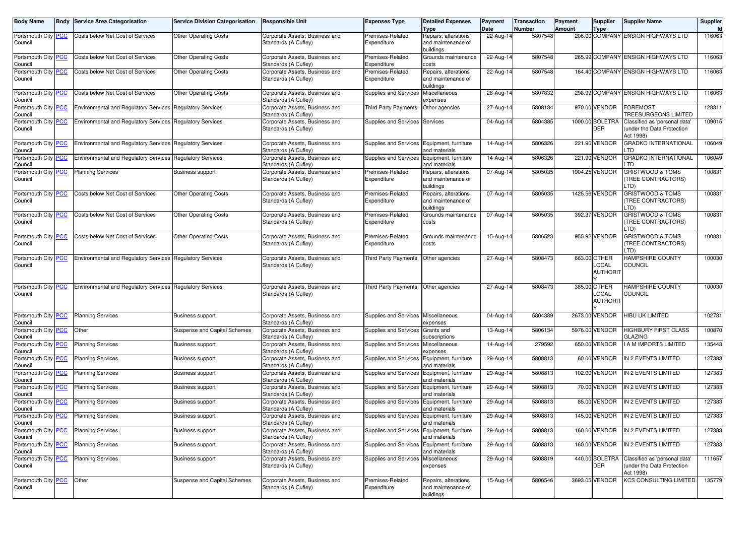| <b>Body Name</b>               | Body | <b>Service Area Categorisation</b>                        | <b>Service Division Categorisation</b> | <b>Responsible Unit</b>                                | <b>Expenses Type</b>                       | <b>Detailed Expenses</b><br>Type                        | Payment<br>Date | <b>Transaction</b><br>Number | Payment<br><b>Amount</b> | Supplier<br><b>Type</b>                         | <b>Supplier Name</b>                                                    | Supplier<br>ld. |
|--------------------------------|------|-----------------------------------------------------------|----------------------------------------|--------------------------------------------------------|--------------------------------------------|---------------------------------------------------------|-----------------|------------------------------|--------------------------|-------------------------------------------------|-------------------------------------------------------------------------|-----------------|
| Portsmouth City PCC<br>Council |      | Costs below Net Cost of Services                          | <b>Other Operating Costs</b>           | Corporate Assets, Business and<br>Standards (A Cufley) | Premises-Related<br>Expenditure            | Repairs, alterations<br>and maintenance of              | 22-Aug-14       | 5807548                      |                          |                                                 | 206.00 COMPANY ENSIGN HIGHWAYS LTD                                      | 116063          |
| Portsmouth City PCC<br>Council |      | Costs below Net Cost of Services                          | <b>Other Operating Costs</b>           | Corporate Assets, Business and<br>Standards (A Cufley) | Premises-Related<br>Expenditure            | buildings<br>Grounds maintenance<br>costs               | 22-Aug-14       | 5807548                      |                          | 265.99 COMPANY                                  | <b>ENSIGN HIGHWAYS LTD</b>                                              | 116063          |
| Portsmouth City PCC<br>Council |      | Costs below Net Cost of Services                          | <b>Other Operating Costs</b>           | Corporate Assets, Business and<br>Standards (A Cufley) | Premises-Related<br>Expenditure            | Repairs, alterations<br>and maintenance of              | 22-Aug-14       | 5807548                      |                          |                                                 | 164.40 COMPANY ENSIGN HIGHWAYS LTD                                      | 116063          |
| Portsmouth City PCC<br>Council |      | Costs below Net Cost of Services                          | <b>Other Operating Costs</b>           | Corporate Assets, Business and<br>Standards (A Cufley) | <b>Supplies and Services</b>               | buildings<br>Miscellaneous<br>expenses                  | 26-Aug-14       | 5807832                      |                          |                                                 | 298.99 COMPANY ENSIGN HIGHWAYS LTD                                      | 116063          |
| Portsmouth City PCC<br>Council |      | <b>Environmental and Regulatory Services</b>              | <b>Regulatory Services</b>             | Corporate Assets, Business and<br>Standards (A Cufley) | Third Party Payments                       | Other agencies                                          | 27-Aug-14       | 5808184                      |                          | 970.00 VENDOR                                   | <b>FOREMOST</b><br><b>TREESURGEONS LIMITED</b>                          | 128311          |
| Portsmouth City PCC<br>Council |      | <b>Environmental and Regulatory Services</b>              | <b>Regulatory Services</b>             | Corporate Assets, Business and<br>Standards (A Cufley) | Supplies and Services Services             |                                                         | 04-Aug-14       | 5804385                      |                          | 1000.00 SOLETRA<br><b>DER</b>                   | Classified as 'personal data'<br>under the Data Protection<br>Act 1998) | 109015          |
| Portsmouth City PCC<br>Council |      | <b>Environmental and Requlatory Services</b>              | <b>Regulatory Services</b>             | Corporate Assets, Business and<br>Standards (A Cufley) | Supplies and Services Equipment, furniture | and materials                                           | 14-Aug-14       | 5806326                      |                          | 221.90 VENDOR                                   | <b>GRADKO INTERNATIONAL</b><br>.TD                                      | 106049          |
| Portsmouth City PCC<br>Council |      | Environmental and Regulatory Services                     | <b>Regulatory Services</b>             | Corporate Assets, Business and<br>Standards (A Cufley) | <b>Supplies and Services</b>               | Equipment, furniture<br>and materials                   | 14-Aug-14       | 5806326                      |                          | 221.90 VENDOR                                   | <b>GRADKO INTERNATIONAL</b><br>.TD                                      | 106049          |
| Portsmouth City PCC<br>Council |      | <b>Planning Services</b>                                  | <b>Business support</b>                | Corporate Assets, Business and<br>Standards (A Cufley) | Premises-Related<br>Expenditure            | Repairs, alterations<br>and maintenance of<br>buildings | 07-Aug-14       | 5805035                      |                          | 1904.25 VENDOR                                  | <b>GRISTWOOD &amp; TOMS</b><br>TREE CONTRACTORS)<br>.TD)                | 100831          |
| Portsmouth City PCC<br>Council |      | Costs below Net Cost of Services                          | <b>Other Operating Costs</b>           | Corporate Assets, Business and<br>Standards (A Cufley) | Premises-Related<br>Expenditure            | Repairs, alterations<br>and maintenance of<br>buildings | 07-Aug-14       | 5805035                      |                          | 1425.56 VENDOR                                  | <b>GRISTWOOD &amp; TOMS</b><br>TREE CONTRACTORS)<br>TD).                | 100831          |
| Portsmouth City PCC<br>Council |      | Costs below Net Cost of Services                          | <b>Other Operating Costs</b>           | Corporate Assets, Business and<br>Standards (A Cufley) | Premises-Related<br>Expenditure            | Grounds maintenance<br>costs                            | 07-Aug-14       | 5805035                      |                          | 392.37 VENDOR                                   | <b>GRISTWOOD &amp; TOMS</b><br>TREE CONTRACTORS)<br>TD).                | 100831          |
| Portsmouth City PCC<br>Council |      | Costs below Net Cost of Services                          | <b>Other Operating Costs</b>           | Corporate Assets, Business and<br>Standards (A Cufley) | Premises-Related<br>Expenditure            | Grounds maintenance<br>costs                            | 15-Aug-14       | 5806523                      |                          | 955.92 VENDOR                                   | <b>GRISTWOOD &amp; TOMS</b><br>TREE CONTRACTORS)<br>.TD)                | 100831          |
| Portsmouth City PCC<br>Council |      | <b>Environmental and Regulatory Services</b>              | <b>Regulatory Services</b>             | Corporate Assets, Business and<br>Standards (A Cufley) | Third Party Payments                       | Other agencies                                          | 27-Aug-14       | 5808473                      |                          | 663.00 OTHER<br><b>OCAL</b><br><b>AUTHORIT</b>  | HAMPSHIRE COUNTY<br>COUNCIL                                             | 100030          |
| Portsmouth City PCC<br>Council |      | Environmental and Regulatory Services Regulatory Services |                                        | Corporate Assets, Business and<br>Standards (A Cufley) | Third Party Payments                       | Other agencies                                          | 27-Aug-14       | 5808473                      |                          | 385.00 OTHER<br><b>LOCAL</b><br><b>AUTHORIT</b> | HAMPSHIRE COUNTY<br>COUNCIL                                             | 100030          |
| Portsmouth City PCC<br>Council |      | <b>Planning Services</b>                                  | <b>Business support</b>                | Corporate Assets, Business and<br>Standards (A Cufley) | Supplies and Services Miscellaneous        | expenses                                                | 04-Aug-14       | 5804389                      |                          | 2673.00 VENDOR                                  | HIBU UK LIMITED                                                         | 102781          |
| Portsmouth City PCC<br>Council |      | Other                                                     | Suspense and Capital Schemes           | Corporate Assets, Business and<br>Standards (A Cufley) | <b>Supplies and Services</b>               | Grants and<br>subscriptions                             | 13-Aug-14       | 5806134                      |                          | 5976.00 VENDOR                                  | HIGHBURY FIRST CLASS<br>GLAZING                                         | 100870          |
| Portsmouth City PCC<br>Council |      | <b>Planning Services</b>                                  | <b>Business support</b>                | Corporate Assets, Business and<br>Standards (A Cufley) | Supplies and Services                      | Miscellaneous<br>expenses                               | 14-Aug-14       | 279592                       |                          | 650.00 VENDOR                                   | A M IMPORTS LIMITED                                                     | 135443          |
| Portsmouth City PCC<br>Council |      | <b>Planning Services</b>                                  | <b>Business support</b>                | Corporate Assets, Business and<br>Standards (A Cufley) | Supplies and Services Equipment, furniture | and materials                                           | 29-Aug-14       | 5808813                      |                          | 60.00 VENDOR                                    | IN 2 EVENTS LIMITED                                                     | 127383          |
| Portsmouth City PCC<br>Council |      | <b>Planning Services</b>                                  | <b>Business support</b>                | Corporate Assets, Business and<br>Standards (A Cufley) | <b>Supplies and Services</b>               | Equipment, furniture<br>and materials                   | 29-Aug-14       | 5808813                      |                          | 102.00 VENDOR                                   | IN 2 EVENTS LIMITED                                                     | 127383          |
| Portsmouth City PCC<br>Council |      | <b>Planning Services</b>                                  | <b>Business support</b>                | Corporate Assets, Business and<br>Standards (A Cufley) | Supplies and Services                      | Equipment, furniture<br>and materials                   | 29-Aug-14       | 5808813                      |                          | 70.00 VENDOR                                    | IN 2 EVENTS LIMITED                                                     | 127383          |
| Portsmouth City PCC<br>Council |      | <b>Planning Services</b>                                  | <b>Business support</b>                | Corporate Assets, Business and<br>Standards (A Cufley) | Supplies and Services Equipment, furniture | and materials                                           | 29-Aug-14       | 5808813                      |                          | 85.00 VENDOR                                    | IN 2 EVENTS LIMITED                                                     | 127383          |
| Portsmouth City PCC<br>Council |      | <b>Planning Services</b>                                  | <b>Business support</b>                | Corporate Assets, Business and<br>Standards (A Cufley) | Supplies and Services Equipment, furniture | and materials                                           | 29-Aug-14       | 5808813                      |                          | 145.00 VENDOR                                   | IN 2 EVENTS LIMITED                                                     | 127383          |
| Portsmouth City PCC<br>Council |      | <b>Planning Services</b>                                  | <b>Business support</b>                | Corporate Assets, Business and<br>Standards (A Cufley) | Supplies and Services                      | Equipment, furniture<br>and materials                   | 29-Aug-14       | 5808813                      |                          | 160.00 VENDOR                                   | IN 2 EVENTS LIMITED                                                     | 127383          |
| Portsmouth City PCC<br>Council |      | <b>Planning Services</b>                                  | <b>Business support</b>                | Corporate Assets, Business and<br>Standards (A Cufley) | Supplies and Services Equipment, furniture | and materials                                           | 29-Aug-14       | 5808813                      |                          | 160.00 VENDOR                                   | IN 2 EVENTS LIMITED                                                     | 127383          |
| Portsmouth City PCC<br>Council |      | <b>Planning Services</b>                                  | <b>Business support</b>                | Corporate Assets, Business and<br>Standards (A Cufley) | Supplies and Services Miscellaneous        | expenses                                                | 29-Aug-14       | 5808819                      |                          | 440.00 SOLETRA<br>DER                           | Classified as 'personal data'<br>under the Data Protection<br>Act 1998) | 111657          |
| Portsmouth City PCC<br>Council |      | Other                                                     | Suspense and Capital Schemes           | Corporate Assets, Business and<br>Standards (A Cufley) | Premises-Related<br>Expenditure            | Repairs, alterations<br>and maintenance of<br>buildings | 15-Aug-14       | 5806546                      |                          | 3693.05 VENDOR                                  | <b>KCS CONSULTING LIMITED</b>                                           | 135779          |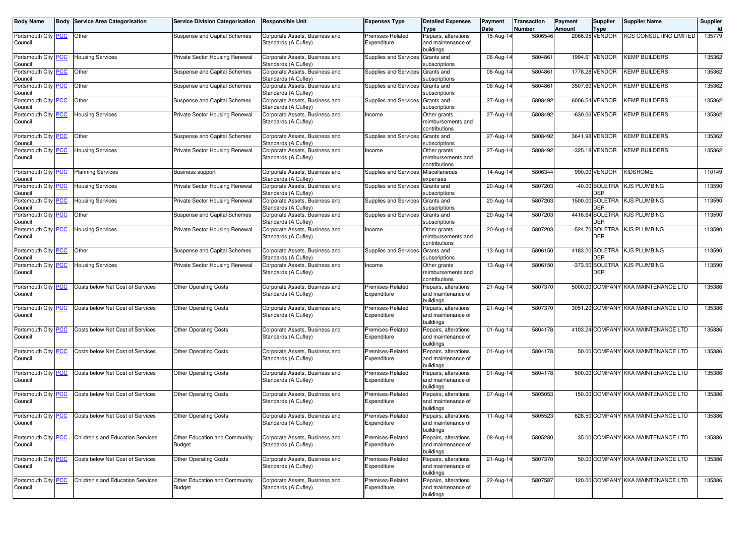| <b>KCS CONSULTING LIMITED</b><br>135779<br>Portsmouth City PCC<br>Other<br>Corporate Assets, Business and<br>Premises-Related<br>15-Aug-14<br>5806546<br>2066.95 VENDOR<br>Suspense and Capital Schemes<br>Repairs, alterations<br>Standards (A Cufley)<br>Expenditure<br>and maintenance of<br>Council<br>buildings<br><b>KEMP BUILDERS</b><br>Private Sector Housing Renewal<br>Supplies and Services<br>Grants and<br>06-Aug-14<br>580486<br>1994.61 VENDOR<br>135362<br>Portsmouth City PCC<br><b>Housing Services</b><br>Corporate Assets, Business and<br>Standards (A Cufley)<br>subscriptions<br>Council<br>Portsmouth City PCC<br>Other<br>5804861<br>1778.28 VENDOR<br><b>KEMP BUILDERS</b><br>135362<br>Suspense and Capital Schemes<br>Corporate Assets, Business and<br>06-Aug-14<br>Supplies and Services<br>Grants and<br>Standards (A Cufley)<br>subscriptions<br>Council<br>Portsmouth City PCC<br>5804861<br>3507.60 VENDOR<br>KEMP BUILDERS<br>135362<br>Other<br>Suspense and Capital Schemes<br>Corporate Assets, Business and<br>Supplies and Services<br>06-Aug-14<br>Grants and<br>Standards (A Cufley)<br>subscriptions<br>Council<br>5808492<br>Portsmouth City PCC<br>Other<br>Corporate Assets, Business and<br>27-Aug-14<br>6006.54 VENDOR<br><b>KEMP BUILDERS</b><br>135362<br>Suspense and Capital Schemes<br>Supplies and Services<br>Grants and<br>Standards (A Cufley)<br>subscriptions<br>Council<br>Portsmouth City PCC<br>5808492<br><b>KEMP BUILDERS</b><br>135362<br><b>Housing Services</b><br>Corporate Assets, Business and<br>-630.06 VENDOR<br>Private Sector Housing Renewal<br>ncome<br>Other grants<br>27-Aug-14<br>Council<br>Standards (A Cufley)<br>reimbursements and<br>contributions<br>Portsmouth City PCC<br>5808492<br>3641.98 VENDOR<br><b>KEMP BUILDERS</b><br>135362<br>Other<br>Suspense and Capital Schemes<br>Corporate Assets, Business and<br><b>Supplies and Services</b><br>27-Aug-14<br>Grants and<br>Council<br>Standards (A Cufley)<br>subscriptions<br>5808492<br>-325.18 VENDOR<br>KEMP BUILDERS<br>135362<br>Portsmouth City PCC<br>Private Sector Housing Renewal<br>Corporate Assets, Business and<br>27-Aug-14<br><b>Housing Services</b><br>ncome<br>Other grants<br>Council<br>Standards (A Cufley)<br>reimbursements and<br>contributions<br>5806344<br>990.00 VENDOR<br><b>KIDSROME</b><br>Portsmouth City<br><b>PCC</b><br><b>Planning Services</b><br>Corporate Assets, Business and<br>Supplies and Services<br>Miscellaneous<br>14-Aug-14<br>110149<br><b>Business support</b><br>Standards (A Cufley)<br>Council<br>expenses<br>5807203<br>113590<br>Portsmouth City PCC<br>Private Sector Housing Renewal<br>Corporate Assets, Business and<br>Grants and<br>20-Aug-14<br>-40.00 SOLETRA<br><b>KJS PLUMBING</b><br><b>Housing Services</b><br>Supplies and Services<br>Standards (A Cufley)<br>DER<br>subscriptions<br>Council<br>5807203<br>1500.00 SOLETRA<br><b>KJS PLUMBING</b><br>113590<br><u>PCC</u><br><b>Housing Services</b><br>Corporate Assets, Business and<br>Portsmouth City<br>Private Sector Housing Renewal<br>Supplies and Services<br>Grants and<br>20-Aug-14<br>DER<br>Council<br>Standards (A Cufley)<br>subscriptions<br>Portsmouth City PCC<br>5807203<br>4416.64 SOLETRA<br><b>KJS PLUMBING</b><br>113590<br>Other<br>Suspense and Capital Schemes<br>Corporate Assets, Business and<br>Grants and<br>20-Aug-14<br>Supplies and Services<br>DER<br>Standards (A Cufley)<br>subscriptions<br>Council<br>5807203<br>-524.70 SOLETRA<br><b>KJS PLUMBING</b><br>113590<br>Portsmouth City PCC<br><b>Housing Services</b><br>Private Sector Housing Renewal<br>Corporate Assets, Business and<br>20-Aug-14<br>Other grants<br>ncome<br>DER<br>Council<br>Standards (A Cufley)<br>reimbursements and<br>contributions<br>5806150<br><b>KJS PLUMBING</b><br>Portsmouth City PCC<br>Other<br>Suspense and Capital Schemes<br>Supplies and Services<br>13-Aug-14<br>4183.20 SOLETRA<br>113590<br>Corporate Assets, Business and<br>Grants and<br>DER<br>Standards (A Cufley)<br>Council<br>subscriptions<br>5806150<br>-373.50 SOLETRA KJS PLUMBING<br>113590<br>Portsmouth City PCC<br><b>Housing Services</b><br>Corporate Assets, Business and<br>13-Aug-14<br>Private Sector Housing Renewal<br>Other grants<br>Income<br>DER<br>Council<br>Standards (A Cufley)<br>reimbursements and<br>contributions<br>5000.00 COMPANY KKA MAINTENANCE LTD<br>135386<br>Portsmouth City PCC<br>Premises-Related<br>5807370<br>Costs below Net Cost of Services<br><b>Other Operating Costs</b><br>Corporate Assets, Business and<br>Repairs, alterations<br>21-Aug-14<br>Council<br>Standards (A Cufley)<br>Expenditure<br>and maintenance of<br>buildings<br><b>PCC</b><br>5807370<br>3051.20 COMPANY KKA MAINTENANCE LTD<br>135386<br>Portsmouth City<br>Costs below Net Cost of Services<br><b>Other Operating Costs</b><br>Corporate Assets, Business and<br>Premises-Related<br>Repairs, alterations<br>21-Aug-14<br>Council<br>Standards (A Cufley)<br>Expenditure<br>and maintenance of<br>buildings<br>4103.24 COMPANY KKA MAINTENANCE LTD<br><b>PCC</b><br>Costs below Net Cost of Services<br>5804178<br>135386<br>Portsmouth City<br><b>Other Operating Costs</b><br>Corporate Assets, Business and<br>Premises-Related<br>Repairs, alterations<br>01-Aug-14<br>Council<br>Standards (A Cufley)<br>Expenditure<br>and maintenance of<br>buildings<br>50.00 COMPANY KKA MAINTENANCE LTD<br>135386<br>Portsmouth City PCC<br>5804178<br>Costs below Net Cost of Services<br><b>Other Operating Costs</b><br>Corporate Assets, Business and<br>Premises-Related<br>Repairs, alterations<br>01-Aug-14<br>Council<br>Standards (A Cufley)<br>Expenditure<br>and maintenance of<br>buildings<br><b>PCC</b><br>5804178<br>500.00 COMPANY KKA MAINTENANCE LTD<br>135386<br>Portsmouth City<br>Costs below Net Cost of Services<br><b>Other Operating Costs</b><br>Corporate Assets, Business and<br>Premises-Related<br>Repairs, alterations<br>01-Aug-14<br>Council<br>Standards (A Cufley)<br>Expenditure<br>and maintenance of<br>buildings<br>150.00 COMPANY KKA MAINTENANCE LTD<br><b>PCC</b><br>5805053<br>135386<br>Portsmouth City<br>Costs below Net Cost of Services<br><b>Other Operating Costs</b><br>Corporate Assets, Business and<br>Premises-Related<br>07-Aug-14<br>Repairs, alterations<br>Council<br>Standards (A Cufley)<br>Expenditure<br>and maintenance of<br>buildings<br>Portsmouth City PCC<br>5805523<br>628.50 COMPANY KKA MAINTENANCE LTD<br>135386<br>Costs below Net Cost of Services<br><b>Other Operating Costs</b><br>Corporate Assets, Business and<br>Premises-Related<br>Repairs, alterations<br>11-Aug-14<br>Council<br>Standards (A Cufley)<br>Expenditure<br>and maintenance of<br>buildings<br>5805280<br>35.00 COMPANY KKA MAINTENANCE LTD<br>135386<br><u>PCC</u><br>Children's and Education Services<br>Other Education and Community<br>Corporate Assets, Business and<br>Premises-Related<br>Repairs, alterations<br>08-Aug-14<br>Standards (A Cufley)<br>Expenditure<br>and maintenance of<br>Council<br><b>Budget</b><br>buildings<br>5807370<br>50.00 COMPANY KKA MAINTENANCE LTD<br><u>PCC</u><br>Costs below Net Cost of Services<br><b>Other Operating Costs</b><br>Corporate Assets, Business and<br>Premises-Related<br>Repairs, alterations<br>21-Aug-14<br>135386<br>Portsmouth City<br>Standards (A Cufley)<br>Expenditure<br>and maintenance of<br>Council<br>buildings<br>Other Education and Community<br>5807587<br>120.00 COMPANY KKA MAINTENANCE LTD<br><u>PCC</u><br>Children's and Education Services<br>Corporate Assets, Business and<br>Premises-Related<br>Repairs, alterations<br>22-Aug-14<br>135386<br>Standards (A Cufley)<br>Expenditure<br>and maintenance of<br>Council<br><b>Budget</b><br>buildings | <b>Body Name</b> | <b>Body Service Area Categorisation</b> | <b>Service Division Categorisation</b> | <b>Responsible Unit</b> | Expenses Type | <b>Detailed Expenses</b> | Payment | <b>Transaction</b> | Payment | <b>Supplier</b> | <b>Supplier Name</b> | Supplier |
|------------------------------------------------------------------------------------------------------------------------------------------------------------------------------------------------------------------------------------------------------------------------------------------------------------------------------------------------------------------------------------------------------------------------------------------------------------------------------------------------------------------------------------------------------------------------------------------------------------------------------------------------------------------------------------------------------------------------------------------------------------------------------------------------------------------------------------------------------------------------------------------------------------------------------------------------------------------------------------------------------------------------------------------------------------------------------------------------------------------------------------------------------------------------------------------------------------------------------------------------------------------------------------------------------------------------------------------------------------------------------------------------------------------------------------------------------------------------------------------------------------------------------------------------------------------------------------------------------------------------------------------------------------------------------------------------------------------------------------------------------------------------------------------------------------------------------------------------------------------------------------------------------------------------------------------------------------------------------------------------------------------------------------------------------------------------------------------------------------------------------------------------------------------------------------------------------------------------------------------------------------------------------------------------------------------------------------------------------------------------------------------------------------------------------------------------------------------------------------------------------------------------------------------------------------------------------------------------------------------------------------------------------------------------------------------------------------------------------------------------------------------------------------------------------------------------------------------------------------------------------------------------------------------------------------------------------------------------------------------------------------------------------------------------------------------------------------------------------------------------------------------------------------------------------------------------------------------------------------------------------------------------------------------------------------------------------------------------------------------------------------------------------------------------------------------------------------------------------------------------------------------------------------------------------------------------------------------------------------------------------------------------------------------------------------------------------------------------------------------------------------------------------------------------------------------------------------------------------------------------------------------------------------------------------------------------------------------------------------------------------------------------------------------------------------------------------------------------------------------------------------------------------------------------------------------------------------------------------------------------------------------------------------------------------------------------------------------------------------------------------------------------------------------------------------------------------------------------------------------------------------------------------------------------------------------------------------------------------------------------------------------------------------------------------------------------------------------------------------------------------------------------------------------------------------------------------------------------------------------------------------------------------------------------------------------------------------------------------------------------------------------------------------------------------------------------------------------------------------------------------------------------------------------------------------------------------------------------------------------------------------------------------------------------------------------------------------------------------------------------------------------------------------------------------------------------------------------------------------------------------------------------------------------------------------------------------------------------------------------------------------------------------------------------------------------------------------------------------------------------------------------------------------------------------------------------------------------------------------------------------------------------------------------------------------------------------------------------------------------------------------------------------------------------------------------------------------------------------------------------------------------------------------------------------------------------------------------------------------------------------------------------------------------------------------------------------------------------------------------------------------------------------------------------------------------------------------------------------------------------------------------------------------------------------------------------------------------------------------------------------------------------------------------------------------------------------------------------------------------------------------------------------------------------------------------------------------------------------------------------------------------------------------------------------------------------------------------------------------------------------------------------------------------------------------------------------------------------------------------------------------------------------------------------------------------------------------------------------------------------------------------------------------------------------------------------------------------------------------------------------------------------------------------------------------------------------------------------------------------------------------------------------------------------------------------------------------------------------------------------------------------------------------------------------------------------------------------------------------------------------------------------------------------------------------------------------------------------------------------------------------|------------------|-----------------------------------------|----------------------------------------|-------------------------|---------------|--------------------------|---------|--------------------|---------|-----------------|----------------------|----------|
|                                                                                                                                                                                                                                                                                                                                                                                                                                                                                                                                                                                                                                                                                                                                                                                                                                                                                                                                                                                                                                                                                                                                                                                                                                                                                                                                                                                                                                                                                                                                                                                                                                                                                                                                                                                                                                                                                                                                                                                                                                                                                                                                                                                                                                                                                                                                                                                                                                                                                                                                                                                                                                                                                                                                                                                                                                                                                                                                                                                                                                                                                                                                                                                                                                                                                                                                                                                                                                                                                                                                                                                                                                                                                                                                                                                                                                                                                                                                                                                                                                                                                                                                                                                                                                                                                                                                                                                                                                                                                                                                                                                                                                                                                                                                                                                                                                                                                                                                                                                                                                                                                                                                                                                                                                                                                                                                                                                                                                                                                                                                                                                                                                                                                                                                                                                                                                                                                                                                                                                                                                                                                                                                                                                                                                                                                                                                                                                                                                                                                                                                                                                                                                                                                                                                                                                                                                                                                                                                                                                                                                                                                                                                                                                                                                                                                                                                                                                                                                                                                                                                                                                                                                                                                                                                                                                                                                                                                    |                  |                                         |                                        |                         |               | Type                     | Date    | Number             | Amount  | <b>Type</b>     |                      |          |
|                                                                                                                                                                                                                                                                                                                                                                                                                                                                                                                                                                                                                                                                                                                                                                                                                                                                                                                                                                                                                                                                                                                                                                                                                                                                                                                                                                                                                                                                                                                                                                                                                                                                                                                                                                                                                                                                                                                                                                                                                                                                                                                                                                                                                                                                                                                                                                                                                                                                                                                                                                                                                                                                                                                                                                                                                                                                                                                                                                                                                                                                                                                                                                                                                                                                                                                                                                                                                                                                                                                                                                                                                                                                                                                                                                                                                                                                                                                                                                                                                                                                                                                                                                                                                                                                                                                                                                                                                                                                                                                                                                                                                                                                                                                                                                                                                                                                                                                                                                                                                                                                                                                                                                                                                                                                                                                                                                                                                                                                                                                                                                                                                                                                                                                                                                                                                                                                                                                                                                                                                                                                                                                                                                                                                                                                                                                                                                                                                                                                                                                                                                                                                                                                                                                                                                                                                                                                                                                                                                                                                                                                                                                                                                                                                                                                                                                                                                                                                                                                                                                                                                                                                                                                                                                                                                                                                                                                                    |                  |                                         |                                        |                         |               |                          |         |                    |         |                 |                      |          |
|                                                                                                                                                                                                                                                                                                                                                                                                                                                                                                                                                                                                                                                                                                                                                                                                                                                                                                                                                                                                                                                                                                                                                                                                                                                                                                                                                                                                                                                                                                                                                                                                                                                                                                                                                                                                                                                                                                                                                                                                                                                                                                                                                                                                                                                                                                                                                                                                                                                                                                                                                                                                                                                                                                                                                                                                                                                                                                                                                                                                                                                                                                                                                                                                                                                                                                                                                                                                                                                                                                                                                                                                                                                                                                                                                                                                                                                                                                                                                                                                                                                                                                                                                                                                                                                                                                                                                                                                                                                                                                                                                                                                                                                                                                                                                                                                                                                                                                                                                                                                                                                                                                                                                                                                                                                                                                                                                                                                                                                                                                                                                                                                                                                                                                                                                                                                                                                                                                                                                                                                                                                                                                                                                                                                                                                                                                                                                                                                                                                                                                                                                                                                                                                                                                                                                                                                                                                                                                                                                                                                                                                                                                                                                                                                                                                                                                                                                                                                                                                                                                                                                                                                                                                                                                                                                                                                                                                                                    |                  |                                         |                                        |                         |               |                          |         |                    |         |                 |                      |          |
|                                                                                                                                                                                                                                                                                                                                                                                                                                                                                                                                                                                                                                                                                                                                                                                                                                                                                                                                                                                                                                                                                                                                                                                                                                                                                                                                                                                                                                                                                                                                                                                                                                                                                                                                                                                                                                                                                                                                                                                                                                                                                                                                                                                                                                                                                                                                                                                                                                                                                                                                                                                                                                                                                                                                                                                                                                                                                                                                                                                                                                                                                                                                                                                                                                                                                                                                                                                                                                                                                                                                                                                                                                                                                                                                                                                                                                                                                                                                                                                                                                                                                                                                                                                                                                                                                                                                                                                                                                                                                                                                                                                                                                                                                                                                                                                                                                                                                                                                                                                                                                                                                                                                                                                                                                                                                                                                                                                                                                                                                                                                                                                                                                                                                                                                                                                                                                                                                                                                                                                                                                                                                                                                                                                                                                                                                                                                                                                                                                                                                                                                                                                                                                                                                                                                                                                                                                                                                                                                                                                                                                                                                                                                                                                                                                                                                                                                                                                                                                                                                                                                                                                                                                                                                                                                                                                                                                                                                    |                  |                                         |                                        |                         |               |                          |         |                    |         |                 |                      |          |
|                                                                                                                                                                                                                                                                                                                                                                                                                                                                                                                                                                                                                                                                                                                                                                                                                                                                                                                                                                                                                                                                                                                                                                                                                                                                                                                                                                                                                                                                                                                                                                                                                                                                                                                                                                                                                                                                                                                                                                                                                                                                                                                                                                                                                                                                                                                                                                                                                                                                                                                                                                                                                                                                                                                                                                                                                                                                                                                                                                                                                                                                                                                                                                                                                                                                                                                                                                                                                                                                                                                                                                                                                                                                                                                                                                                                                                                                                                                                                                                                                                                                                                                                                                                                                                                                                                                                                                                                                                                                                                                                                                                                                                                                                                                                                                                                                                                                                                                                                                                                                                                                                                                                                                                                                                                                                                                                                                                                                                                                                                                                                                                                                                                                                                                                                                                                                                                                                                                                                                                                                                                                                                                                                                                                                                                                                                                                                                                                                                                                                                                                                                                                                                                                                                                                                                                                                                                                                                                                                                                                                                                                                                                                                                                                                                                                                                                                                                                                                                                                                                                                                                                                                                                                                                                                                                                                                                                                                    |                  |                                         |                                        |                         |               |                          |         |                    |         |                 |                      |          |
|                                                                                                                                                                                                                                                                                                                                                                                                                                                                                                                                                                                                                                                                                                                                                                                                                                                                                                                                                                                                                                                                                                                                                                                                                                                                                                                                                                                                                                                                                                                                                                                                                                                                                                                                                                                                                                                                                                                                                                                                                                                                                                                                                                                                                                                                                                                                                                                                                                                                                                                                                                                                                                                                                                                                                                                                                                                                                                                                                                                                                                                                                                                                                                                                                                                                                                                                                                                                                                                                                                                                                                                                                                                                                                                                                                                                                                                                                                                                                                                                                                                                                                                                                                                                                                                                                                                                                                                                                                                                                                                                                                                                                                                                                                                                                                                                                                                                                                                                                                                                                                                                                                                                                                                                                                                                                                                                                                                                                                                                                                                                                                                                                                                                                                                                                                                                                                                                                                                                                                                                                                                                                                                                                                                                                                                                                                                                                                                                                                                                                                                                                                                                                                                                                                                                                                                                                                                                                                                                                                                                                                                                                                                                                                                                                                                                                                                                                                                                                                                                                                                                                                                                                                                                                                                                                                                                                                                                                    |                  |                                         |                                        |                         |               |                          |         |                    |         |                 |                      |          |
|                                                                                                                                                                                                                                                                                                                                                                                                                                                                                                                                                                                                                                                                                                                                                                                                                                                                                                                                                                                                                                                                                                                                                                                                                                                                                                                                                                                                                                                                                                                                                                                                                                                                                                                                                                                                                                                                                                                                                                                                                                                                                                                                                                                                                                                                                                                                                                                                                                                                                                                                                                                                                                                                                                                                                                                                                                                                                                                                                                                                                                                                                                                                                                                                                                                                                                                                                                                                                                                                                                                                                                                                                                                                                                                                                                                                                                                                                                                                                                                                                                                                                                                                                                                                                                                                                                                                                                                                                                                                                                                                                                                                                                                                                                                                                                                                                                                                                                                                                                                                                                                                                                                                                                                                                                                                                                                                                                                                                                                                                                                                                                                                                                                                                                                                                                                                                                                                                                                                                                                                                                                                                                                                                                                                                                                                                                                                                                                                                                                                                                                                                                                                                                                                                                                                                                                                                                                                                                                                                                                                                                                                                                                                                                                                                                                                                                                                                                                                                                                                                                                                                                                                                                                                                                                                                                                                                                                                                    |                  |                                         |                                        |                         |               |                          |         |                    |         |                 |                      |          |
|                                                                                                                                                                                                                                                                                                                                                                                                                                                                                                                                                                                                                                                                                                                                                                                                                                                                                                                                                                                                                                                                                                                                                                                                                                                                                                                                                                                                                                                                                                                                                                                                                                                                                                                                                                                                                                                                                                                                                                                                                                                                                                                                                                                                                                                                                                                                                                                                                                                                                                                                                                                                                                                                                                                                                                                                                                                                                                                                                                                                                                                                                                                                                                                                                                                                                                                                                                                                                                                                                                                                                                                                                                                                                                                                                                                                                                                                                                                                                                                                                                                                                                                                                                                                                                                                                                                                                                                                                                                                                                                                                                                                                                                                                                                                                                                                                                                                                                                                                                                                                                                                                                                                                                                                                                                                                                                                                                                                                                                                                                                                                                                                                                                                                                                                                                                                                                                                                                                                                                                                                                                                                                                                                                                                                                                                                                                                                                                                                                                                                                                                                                                                                                                                                                                                                                                                                                                                                                                                                                                                                                                                                                                                                                                                                                                                                                                                                                                                                                                                                                                                                                                                                                                                                                                                                                                                                                                                                    |                  |                                         |                                        |                         |               |                          |         |                    |         |                 |                      |          |
|                                                                                                                                                                                                                                                                                                                                                                                                                                                                                                                                                                                                                                                                                                                                                                                                                                                                                                                                                                                                                                                                                                                                                                                                                                                                                                                                                                                                                                                                                                                                                                                                                                                                                                                                                                                                                                                                                                                                                                                                                                                                                                                                                                                                                                                                                                                                                                                                                                                                                                                                                                                                                                                                                                                                                                                                                                                                                                                                                                                                                                                                                                                                                                                                                                                                                                                                                                                                                                                                                                                                                                                                                                                                                                                                                                                                                                                                                                                                                                                                                                                                                                                                                                                                                                                                                                                                                                                                                                                                                                                                                                                                                                                                                                                                                                                                                                                                                                                                                                                                                                                                                                                                                                                                                                                                                                                                                                                                                                                                                                                                                                                                                                                                                                                                                                                                                                                                                                                                                                                                                                                                                                                                                                                                                                                                                                                                                                                                                                                                                                                                                                                                                                                                                                                                                                                                                                                                                                                                                                                                                                                                                                                                                                                                                                                                                                                                                                                                                                                                                                                                                                                                                                                                                                                                                                                                                                                                                    |                  |                                         |                                        |                         |               |                          |         |                    |         |                 |                      |          |
|                                                                                                                                                                                                                                                                                                                                                                                                                                                                                                                                                                                                                                                                                                                                                                                                                                                                                                                                                                                                                                                                                                                                                                                                                                                                                                                                                                                                                                                                                                                                                                                                                                                                                                                                                                                                                                                                                                                                                                                                                                                                                                                                                                                                                                                                                                                                                                                                                                                                                                                                                                                                                                                                                                                                                                                                                                                                                                                                                                                                                                                                                                                                                                                                                                                                                                                                                                                                                                                                                                                                                                                                                                                                                                                                                                                                                                                                                                                                                                                                                                                                                                                                                                                                                                                                                                                                                                                                                                                                                                                                                                                                                                                                                                                                                                                                                                                                                                                                                                                                                                                                                                                                                                                                                                                                                                                                                                                                                                                                                                                                                                                                                                                                                                                                                                                                                                                                                                                                                                                                                                                                                                                                                                                                                                                                                                                                                                                                                                                                                                                                                                                                                                                                                                                                                                                                                                                                                                                                                                                                                                                                                                                                                                                                                                                                                                                                                                                                                                                                                                                                                                                                                                                                                                                                                                                                                                                                                    |                  |                                         |                                        |                         |               |                          |         |                    |         |                 |                      |          |
|                                                                                                                                                                                                                                                                                                                                                                                                                                                                                                                                                                                                                                                                                                                                                                                                                                                                                                                                                                                                                                                                                                                                                                                                                                                                                                                                                                                                                                                                                                                                                                                                                                                                                                                                                                                                                                                                                                                                                                                                                                                                                                                                                                                                                                                                                                                                                                                                                                                                                                                                                                                                                                                                                                                                                                                                                                                                                                                                                                                                                                                                                                                                                                                                                                                                                                                                                                                                                                                                                                                                                                                                                                                                                                                                                                                                                                                                                                                                                                                                                                                                                                                                                                                                                                                                                                                                                                                                                                                                                                                                                                                                                                                                                                                                                                                                                                                                                                                                                                                                                                                                                                                                                                                                                                                                                                                                                                                                                                                                                                                                                                                                                                                                                                                                                                                                                                                                                                                                                                                                                                                                                                                                                                                                                                                                                                                                                                                                                                                                                                                                                                                                                                                                                                                                                                                                                                                                                                                                                                                                                                                                                                                                                                                                                                                                                                                                                                                                                                                                                                                                                                                                                                                                                                                                                                                                                                                                                    |                  |                                         |                                        |                         |               |                          |         |                    |         |                 |                      |          |
|                                                                                                                                                                                                                                                                                                                                                                                                                                                                                                                                                                                                                                                                                                                                                                                                                                                                                                                                                                                                                                                                                                                                                                                                                                                                                                                                                                                                                                                                                                                                                                                                                                                                                                                                                                                                                                                                                                                                                                                                                                                                                                                                                                                                                                                                                                                                                                                                                                                                                                                                                                                                                                                                                                                                                                                                                                                                                                                                                                                                                                                                                                                                                                                                                                                                                                                                                                                                                                                                                                                                                                                                                                                                                                                                                                                                                                                                                                                                                                                                                                                                                                                                                                                                                                                                                                                                                                                                                                                                                                                                                                                                                                                                                                                                                                                                                                                                                                                                                                                                                                                                                                                                                                                                                                                                                                                                                                                                                                                                                                                                                                                                                                                                                                                                                                                                                                                                                                                                                                                                                                                                                                                                                                                                                                                                                                                                                                                                                                                                                                                                                                                                                                                                                                                                                                                                                                                                                                                                                                                                                                                                                                                                                                                                                                                                                                                                                                                                                                                                                                                                                                                                                                                                                                                                                                                                                                                                                    |                  |                                         |                                        |                         |               |                          |         |                    |         |                 |                      |          |
|                                                                                                                                                                                                                                                                                                                                                                                                                                                                                                                                                                                                                                                                                                                                                                                                                                                                                                                                                                                                                                                                                                                                                                                                                                                                                                                                                                                                                                                                                                                                                                                                                                                                                                                                                                                                                                                                                                                                                                                                                                                                                                                                                                                                                                                                                                                                                                                                                                                                                                                                                                                                                                                                                                                                                                                                                                                                                                                                                                                                                                                                                                                                                                                                                                                                                                                                                                                                                                                                                                                                                                                                                                                                                                                                                                                                                                                                                                                                                                                                                                                                                                                                                                                                                                                                                                                                                                                                                                                                                                                                                                                                                                                                                                                                                                                                                                                                                                                                                                                                                                                                                                                                                                                                                                                                                                                                                                                                                                                                                                                                                                                                                                                                                                                                                                                                                                                                                                                                                                                                                                                                                                                                                                                                                                                                                                                                                                                                                                                                                                                                                                                                                                                                                                                                                                                                                                                                                                                                                                                                                                                                                                                                                                                                                                                                                                                                                                                                                                                                                                                                                                                                                                                                                                                                                                                                                                                                                    |                  |                                         |                                        |                         |               |                          |         |                    |         |                 |                      |          |
|                                                                                                                                                                                                                                                                                                                                                                                                                                                                                                                                                                                                                                                                                                                                                                                                                                                                                                                                                                                                                                                                                                                                                                                                                                                                                                                                                                                                                                                                                                                                                                                                                                                                                                                                                                                                                                                                                                                                                                                                                                                                                                                                                                                                                                                                                                                                                                                                                                                                                                                                                                                                                                                                                                                                                                                                                                                                                                                                                                                                                                                                                                                                                                                                                                                                                                                                                                                                                                                                                                                                                                                                                                                                                                                                                                                                                                                                                                                                                                                                                                                                                                                                                                                                                                                                                                                                                                                                                                                                                                                                                                                                                                                                                                                                                                                                                                                                                                                                                                                                                                                                                                                                                                                                                                                                                                                                                                                                                                                                                                                                                                                                                                                                                                                                                                                                                                                                                                                                                                                                                                                                                                                                                                                                                                                                                                                                                                                                                                                                                                                                                                                                                                                                                                                                                                                                                                                                                                                                                                                                                                                                                                                                                                                                                                                                                                                                                                                                                                                                                                                                                                                                                                                                                                                                                                                                                                                                                    |                  |                                         |                                        |                         |               |                          |         |                    |         |                 |                      |          |
|                                                                                                                                                                                                                                                                                                                                                                                                                                                                                                                                                                                                                                                                                                                                                                                                                                                                                                                                                                                                                                                                                                                                                                                                                                                                                                                                                                                                                                                                                                                                                                                                                                                                                                                                                                                                                                                                                                                                                                                                                                                                                                                                                                                                                                                                                                                                                                                                                                                                                                                                                                                                                                                                                                                                                                                                                                                                                                                                                                                                                                                                                                                                                                                                                                                                                                                                                                                                                                                                                                                                                                                                                                                                                                                                                                                                                                                                                                                                                                                                                                                                                                                                                                                                                                                                                                                                                                                                                                                                                                                                                                                                                                                                                                                                                                                                                                                                                                                                                                                                                                                                                                                                                                                                                                                                                                                                                                                                                                                                                                                                                                                                                                                                                                                                                                                                                                                                                                                                                                                                                                                                                                                                                                                                                                                                                                                                                                                                                                                                                                                                                                                                                                                                                                                                                                                                                                                                                                                                                                                                                                                                                                                                                                                                                                                                                                                                                                                                                                                                                                                                                                                                                                                                                                                                                                                                                                                                                    |                  |                                         |                                        |                         |               |                          |         |                    |         |                 |                      |          |
|                                                                                                                                                                                                                                                                                                                                                                                                                                                                                                                                                                                                                                                                                                                                                                                                                                                                                                                                                                                                                                                                                                                                                                                                                                                                                                                                                                                                                                                                                                                                                                                                                                                                                                                                                                                                                                                                                                                                                                                                                                                                                                                                                                                                                                                                                                                                                                                                                                                                                                                                                                                                                                                                                                                                                                                                                                                                                                                                                                                                                                                                                                                                                                                                                                                                                                                                                                                                                                                                                                                                                                                                                                                                                                                                                                                                                                                                                                                                                                                                                                                                                                                                                                                                                                                                                                                                                                                                                                                                                                                                                                                                                                                                                                                                                                                                                                                                                                                                                                                                                                                                                                                                                                                                                                                                                                                                                                                                                                                                                                                                                                                                                                                                                                                                                                                                                                                                                                                                                                                                                                                                                                                                                                                                                                                                                                                                                                                                                                                                                                                                                                                                                                                                                                                                                                                                                                                                                                                                                                                                                                                                                                                                                                                                                                                                                                                                                                                                                                                                                                                                                                                                                                                                                                                                                                                                                                                                                    |                  |                                         |                                        |                         |               |                          |         |                    |         |                 |                      |          |
|                                                                                                                                                                                                                                                                                                                                                                                                                                                                                                                                                                                                                                                                                                                                                                                                                                                                                                                                                                                                                                                                                                                                                                                                                                                                                                                                                                                                                                                                                                                                                                                                                                                                                                                                                                                                                                                                                                                                                                                                                                                                                                                                                                                                                                                                                                                                                                                                                                                                                                                                                                                                                                                                                                                                                                                                                                                                                                                                                                                                                                                                                                                                                                                                                                                                                                                                                                                                                                                                                                                                                                                                                                                                                                                                                                                                                                                                                                                                                                                                                                                                                                                                                                                                                                                                                                                                                                                                                                                                                                                                                                                                                                                                                                                                                                                                                                                                                                                                                                                                                                                                                                                                                                                                                                                                                                                                                                                                                                                                                                                                                                                                                                                                                                                                                                                                                                                                                                                                                                                                                                                                                                                                                                                                                                                                                                                                                                                                                                                                                                                                                                                                                                                                                                                                                                                                                                                                                                                                                                                                                                                                                                                                                                                                                                                                                                                                                                                                                                                                                                                                                                                                                                                                                                                                                                                                                                                                                    |                  |                                         |                                        |                         |               |                          |         |                    |         |                 |                      |          |
|                                                                                                                                                                                                                                                                                                                                                                                                                                                                                                                                                                                                                                                                                                                                                                                                                                                                                                                                                                                                                                                                                                                                                                                                                                                                                                                                                                                                                                                                                                                                                                                                                                                                                                                                                                                                                                                                                                                                                                                                                                                                                                                                                                                                                                                                                                                                                                                                                                                                                                                                                                                                                                                                                                                                                                                                                                                                                                                                                                                                                                                                                                                                                                                                                                                                                                                                                                                                                                                                                                                                                                                                                                                                                                                                                                                                                                                                                                                                                                                                                                                                                                                                                                                                                                                                                                                                                                                                                                                                                                                                                                                                                                                                                                                                                                                                                                                                                                                                                                                                                                                                                                                                                                                                                                                                                                                                                                                                                                                                                                                                                                                                                                                                                                                                                                                                                                                                                                                                                                                                                                                                                                                                                                                                                                                                                                                                                                                                                                                                                                                                                                                                                                                                                                                                                                                                                                                                                                                                                                                                                                                                                                                                                                                                                                                                                                                                                                                                                                                                                                                                                                                                                                                                                                                                                                                                                                                                                    |                  |                                         |                                        |                         |               |                          |         |                    |         |                 |                      |          |
|                                                                                                                                                                                                                                                                                                                                                                                                                                                                                                                                                                                                                                                                                                                                                                                                                                                                                                                                                                                                                                                                                                                                                                                                                                                                                                                                                                                                                                                                                                                                                                                                                                                                                                                                                                                                                                                                                                                                                                                                                                                                                                                                                                                                                                                                                                                                                                                                                                                                                                                                                                                                                                                                                                                                                                                                                                                                                                                                                                                                                                                                                                                                                                                                                                                                                                                                                                                                                                                                                                                                                                                                                                                                                                                                                                                                                                                                                                                                                                                                                                                                                                                                                                                                                                                                                                                                                                                                                                                                                                                                                                                                                                                                                                                                                                                                                                                                                                                                                                                                                                                                                                                                                                                                                                                                                                                                                                                                                                                                                                                                                                                                                                                                                                                                                                                                                                                                                                                                                                                                                                                                                                                                                                                                                                                                                                                                                                                                                                                                                                                                                                                                                                                                                                                                                                                                                                                                                                                                                                                                                                                                                                                                                                                                                                                                                                                                                                                                                                                                                                                                                                                                                                                                                                                                                                                                                                                                                    |                  |                                         |                                        |                         |               |                          |         |                    |         |                 |                      |          |
|                                                                                                                                                                                                                                                                                                                                                                                                                                                                                                                                                                                                                                                                                                                                                                                                                                                                                                                                                                                                                                                                                                                                                                                                                                                                                                                                                                                                                                                                                                                                                                                                                                                                                                                                                                                                                                                                                                                                                                                                                                                                                                                                                                                                                                                                                                                                                                                                                                                                                                                                                                                                                                                                                                                                                                                                                                                                                                                                                                                                                                                                                                                                                                                                                                                                                                                                                                                                                                                                                                                                                                                                                                                                                                                                                                                                                                                                                                                                                                                                                                                                                                                                                                                                                                                                                                                                                                                                                                                                                                                                                                                                                                                                                                                                                                                                                                                                                                                                                                                                                                                                                                                                                                                                                                                                                                                                                                                                                                                                                                                                                                                                                                                                                                                                                                                                                                                                                                                                                                                                                                                                                                                                                                                                                                                                                                                                                                                                                                                                                                                                                                                                                                                                                                                                                                                                                                                                                                                                                                                                                                                                                                                                                                                                                                                                                                                                                                                                                                                                                                                                                                                                                                                                                                                                                                                                                                                                                    |                  |                                         |                                        |                         |               |                          |         |                    |         |                 |                      |          |
|                                                                                                                                                                                                                                                                                                                                                                                                                                                                                                                                                                                                                                                                                                                                                                                                                                                                                                                                                                                                                                                                                                                                                                                                                                                                                                                                                                                                                                                                                                                                                                                                                                                                                                                                                                                                                                                                                                                                                                                                                                                                                                                                                                                                                                                                                                                                                                                                                                                                                                                                                                                                                                                                                                                                                                                                                                                                                                                                                                                                                                                                                                                                                                                                                                                                                                                                                                                                                                                                                                                                                                                                                                                                                                                                                                                                                                                                                                                                                                                                                                                                                                                                                                                                                                                                                                                                                                                                                                                                                                                                                                                                                                                                                                                                                                                                                                                                                                                                                                                                                                                                                                                                                                                                                                                                                                                                                                                                                                                                                                                                                                                                                                                                                                                                                                                                                                                                                                                                                                                                                                                                                                                                                                                                                                                                                                                                                                                                                                                                                                                                                                                                                                                                                                                                                                                                                                                                                                                                                                                                                                                                                                                                                                                                                                                                                                                                                                                                                                                                                                                                                                                                                                                                                                                                                                                                                                                                                    |                  |                                         |                                        |                         |               |                          |         |                    |         |                 |                      |          |
|                                                                                                                                                                                                                                                                                                                                                                                                                                                                                                                                                                                                                                                                                                                                                                                                                                                                                                                                                                                                                                                                                                                                                                                                                                                                                                                                                                                                                                                                                                                                                                                                                                                                                                                                                                                                                                                                                                                                                                                                                                                                                                                                                                                                                                                                                                                                                                                                                                                                                                                                                                                                                                                                                                                                                                                                                                                                                                                                                                                                                                                                                                                                                                                                                                                                                                                                                                                                                                                                                                                                                                                                                                                                                                                                                                                                                                                                                                                                                                                                                                                                                                                                                                                                                                                                                                                                                                                                                                                                                                                                                                                                                                                                                                                                                                                                                                                                                                                                                                                                                                                                                                                                                                                                                                                                                                                                                                                                                                                                                                                                                                                                                                                                                                                                                                                                                                                                                                                                                                                                                                                                                                                                                                                                                                                                                                                                                                                                                                                                                                                                                                                                                                                                                                                                                                                                                                                                                                                                                                                                                                                                                                                                                                                                                                                                                                                                                                                                                                                                                                                                                                                                                                                                                                                                                                                                                                                                                    |                  |                                         |                                        |                         |               |                          |         |                    |         |                 |                      |          |
|                                                                                                                                                                                                                                                                                                                                                                                                                                                                                                                                                                                                                                                                                                                                                                                                                                                                                                                                                                                                                                                                                                                                                                                                                                                                                                                                                                                                                                                                                                                                                                                                                                                                                                                                                                                                                                                                                                                                                                                                                                                                                                                                                                                                                                                                                                                                                                                                                                                                                                                                                                                                                                                                                                                                                                                                                                                                                                                                                                                                                                                                                                                                                                                                                                                                                                                                                                                                                                                                                                                                                                                                                                                                                                                                                                                                                                                                                                                                                                                                                                                                                                                                                                                                                                                                                                                                                                                                                                                                                                                                                                                                                                                                                                                                                                                                                                                                                                                                                                                                                                                                                                                                                                                                                                                                                                                                                                                                                                                                                                                                                                                                                                                                                                                                                                                                                                                                                                                                                                                                                                                                                                                                                                                                                                                                                                                                                                                                                                                                                                                                                                                                                                                                                                                                                                                                                                                                                                                                                                                                                                                                                                                                                                                                                                                                                                                                                                                                                                                                                                                                                                                                                                                                                                                                                                                                                                                                                    |                  |                                         |                                        |                         |               |                          |         |                    |         |                 |                      |          |
|                                                                                                                                                                                                                                                                                                                                                                                                                                                                                                                                                                                                                                                                                                                                                                                                                                                                                                                                                                                                                                                                                                                                                                                                                                                                                                                                                                                                                                                                                                                                                                                                                                                                                                                                                                                                                                                                                                                                                                                                                                                                                                                                                                                                                                                                                                                                                                                                                                                                                                                                                                                                                                                                                                                                                                                                                                                                                                                                                                                                                                                                                                                                                                                                                                                                                                                                                                                                                                                                                                                                                                                                                                                                                                                                                                                                                                                                                                                                                                                                                                                                                                                                                                                                                                                                                                                                                                                                                                                                                                                                                                                                                                                                                                                                                                                                                                                                                                                                                                                                                                                                                                                                                                                                                                                                                                                                                                                                                                                                                                                                                                                                                                                                                                                                                                                                                                                                                                                                                                                                                                                                                                                                                                                                                                                                                                                                                                                                                                                                                                                                                                                                                                                                                                                                                                                                                                                                                                                                                                                                                                                                                                                                                                                                                                                                                                                                                                                                                                                                                                                                                                                                                                                                                                                                                                                                                                                                                    |                  |                                         |                                        |                         |               |                          |         |                    |         |                 |                      |          |
|                                                                                                                                                                                                                                                                                                                                                                                                                                                                                                                                                                                                                                                                                                                                                                                                                                                                                                                                                                                                                                                                                                                                                                                                                                                                                                                                                                                                                                                                                                                                                                                                                                                                                                                                                                                                                                                                                                                                                                                                                                                                                                                                                                                                                                                                                                                                                                                                                                                                                                                                                                                                                                                                                                                                                                                                                                                                                                                                                                                                                                                                                                                                                                                                                                                                                                                                                                                                                                                                                                                                                                                                                                                                                                                                                                                                                                                                                                                                                                                                                                                                                                                                                                                                                                                                                                                                                                                                                                                                                                                                                                                                                                                                                                                                                                                                                                                                                                                                                                                                                                                                                                                                                                                                                                                                                                                                                                                                                                                                                                                                                                                                                                                                                                                                                                                                                                                                                                                                                                                                                                                                                                                                                                                                                                                                                                                                                                                                                                                                                                                                                                                                                                                                                                                                                                                                                                                                                                                                                                                                                                                                                                                                                                                                                                                                                                                                                                                                                                                                                                                                                                                                                                                                                                                                                                                                                                                                                    |                  |                                         |                                        |                         |               |                          |         |                    |         |                 |                      |          |
|                                                                                                                                                                                                                                                                                                                                                                                                                                                                                                                                                                                                                                                                                                                                                                                                                                                                                                                                                                                                                                                                                                                                                                                                                                                                                                                                                                                                                                                                                                                                                                                                                                                                                                                                                                                                                                                                                                                                                                                                                                                                                                                                                                                                                                                                                                                                                                                                                                                                                                                                                                                                                                                                                                                                                                                                                                                                                                                                                                                                                                                                                                                                                                                                                                                                                                                                                                                                                                                                                                                                                                                                                                                                                                                                                                                                                                                                                                                                                                                                                                                                                                                                                                                                                                                                                                                                                                                                                                                                                                                                                                                                                                                                                                                                                                                                                                                                                                                                                                                                                                                                                                                                                                                                                                                                                                                                                                                                                                                                                                                                                                                                                                                                                                                                                                                                                                                                                                                                                                                                                                                                                                                                                                                                                                                                                                                                                                                                                                                                                                                                                                                                                                                                                                                                                                                                                                                                                                                                                                                                                                                                                                                                                                                                                                                                                                                                                                                                                                                                                                                                                                                                                                                                                                                                                                                                                                                                                    |                  |                                         |                                        |                         |               |                          |         |                    |         |                 |                      |          |
|                                                                                                                                                                                                                                                                                                                                                                                                                                                                                                                                                                                                                                                                                                                                                                                                                                                                                                                                                                                                                                                                                                                                                                                                                                                                                                                                                                                                                                                                                                                                                                                                                                                                                                                                                                                                                                                                                                                                                                                                                                                                                                                                                                                                                                                                                                                                                                                                                                                                                                                                                                                                                                                                                                                                                                                                                                                                                                                                                                                                                                                                                                                                                                                                                                                                                                                                                                                                                                                                                                                                                                                                                                                                                                                                                                                                                                                                                                                                                                                                                                                                                                                                                                                                                                                                                                                                                                                                                                                                                                                                                                                                                                                                                                                                                                                                                                                                                                                                                                                                                                                                                                                                                                                                                                                                                                                                                                                                                                                                                                                                                                                                                                                                                                                                                                                                                                                                                                                                                                                                                                                                                                                                                                                                                                                                                                                                                                                                                                                                                                                                                                                                                                                                                                                                                                                                                                                                                                                                                                                                                                                                                                                                                                                                                                                                                                                                                                                                                                                                                                                                                                                                                                                                                                                                                                                                                                                                                    |                  |                                         |                                        |                         |               |                          |         |                    |         |                 |                      |          |
|                                                                                                                                                                                                                                                                                                                                                                                                                                                                                                                                                                                                                                                                                                                                                                                                                                                                                                                                                                                                                                                                                                                                                                                                                                                                                                                                                                                                                                                                                                                                                                                                                                                                                                                                                                                                                                                                                                                                                                                                                                                                                                                                                                                                                                                                                                                                                                                                                                                                                                                                                                                                                                                                                                                                                                                                                                                                                                                                                                                                                                                                                                                                                                                                                                                                                                                                                                                                                                                                                                                                                                                                                                                                                                                                                                                                                                                                                                                                                                                                                                                                                                                                                                                                                                                                                                                                                                                                                                                                                                                                                                                                                                                                                                                                                                                                                                                                                                                                                                                                                                                                                                                                                                                                                                                                                                                                                                                                                                                                                                                                                                                                                                                                                                                                                                                                                                                                                                                                                                                                                                                                                                                                                                                                                                                                                                                                                                                                                                                                                                                                                                                                                                                                                                                                                                                                                                                                                                                                                                                                                                                                                                                                                                                                                                                                                                                                                                                                                                                                                                                                                                                                                                                                                                                                                                                                                                                                                    |                  |                                         |                                        |                         |               |                          |         |                    |         |                 |                      |          |
|                                                                                                                                                                                                                                                                                                                                                                                                                                                                                                                                                                                                                                                                                                                                                                                                                                                                                                                                                                                                                                                                                                                                                                                                                                                                                                                                                                                                                                                                                                                                                                                                                                                                                                                                                                                                                                                                                                                                                                                                                                                                                                                                                                                                                                                                                                                                                                                                                                                                                                                                                                                                                                                                                                                                                                                                                                                                                                                                                                                                                                                                                                                                                                                                                                                                                                                                                                                                                                                                                                                                                                                                                                                                                                                                                                                                                                                                                                                                                                                                                                                                                                                                                                                                                                                                                                                                                                                                                                                                                                                                                                                                                                                                                                                                                                                                                                                                                                                                                                                                                                                                                                                                                                                                                                                                                                                                                                                                                                                                                                                                                                                                                                                                                                                                                                                                                                                                                                                                                                                                                                                                                                                                                                                                                                                                                                                                                                                                                                                                                                                                                                                                                                                                                                                                                                                                                                                                                                                                                                                                                                                                                                                                                                                                                                                                                                                                                                                                                                                                                                                                                                                                                                                                                                                                                                                                                                                                                    |                  |                                         |                                        |                         |               |                          |         |                    |         |                 |                      |          |
|                                                                                                                                                                                                                                                                                                                                                                                                                                                                                                                                                                                                                                                                                                                                                                                                                                                                                                                                                                                                                                                                                                                                                                                                                                                                                                                                                                                                                                                                                                                                                                                                                                                                                                                                                                                                                                                                                                                                                                                                                                                                                                                                                                                                                                                                                                                                                                                                                                                                                                                                                                                                                                                                                                                                                                                                                                                                                                                                                                                                                                                                                                                                                                                                                                                                                                                                                                                                                                                                                                                                                                                                                                                                                                                                                                                                                                                                                                                                                                                                                                                                                                                                                                                                                                                                                                                                                                                                                                                                                                                                                                                                                                                                                                                                                                                                                                                                                                                                                                                                                                                                                                                                                                                                                                                                                                                                                                                                                                                                                                                                                                                                                                                                                                                                                                                                                                                                                                                                                                                                                                                                                                                                                                                                                                                                                                                                                                                                                                                                                                                                                                                                                                                                                                                                                                                                                                                                                                                                                                                                                                                                                                                                                                                                                                                                                                                                                                                                                                                                                                                                                                                                                                                                                                                                                                                                                                                                                    |                  |                                         |                                        |                         |               |                          |         |                    |         |                 |                      |          |
|                                                                                                                                                                                                                                                                                                                                                                                                                                                                                                                                                                                                                                                                                                                                                                                                                                                                                                                                                                                                                                                                                                                                                                                                                                                                                                                                                                                                                                                                                                                                                                                                                                                                                                                                                                                                                                                                                                                                                                                                                                                                                                                                                                                                                                                                                                                                                                                                                                                                                                                                                                                                                                                                                                                                                                                                                                                                                                                                                                                                                                                                                                                                                                                                                                                                                                                                                                                                                                                                                                                                                                                                                                                                                                                                                                                                                                                                                                                                                                                                                                                                                                                                                                                                                                                                                                                                                                                                                                                                                                                                                                                                                                                                                                                                                                                                                                                                                                                                                                                                                                                                                                                                                                                                                                                                                                                                                                                                                                                                                                                                                                                                                                                                                                                                                                                                                                                                                                                                                                                                                                                                                                                                                                                                                                                                                                                                                                                                                                                                                                                                                                                                                                                                                                                                                                                                                                                                                                                                                                                                                                                                                                                                                                                                                                                                                                                                                                                                                                                                                                                                                                                                                                                                                                                                                                                                                                                                                    |                  |                                         |                                        |                         |               |                          |         |                    |         |                 |                      |          |
|                                                                                                                                                                                                                                                                                                                                                                                                                                                                                                                                                                                                                                                                                                                                                                                                                                                                                                                                                                                                                                                                                                                                                                                                                                                                                                                                                                                                                                                                                                                                                                                                                                                                                                                                                                                                                                                                                                                                                                                                                                                                                                                                                                                                                                                                                                                                                                                                                                                                                                                                                                                                                                                                                                                                                                                                                                                                                                                                                                                                                                                                                                                                                                                                                                                                                                                                                                                                                                                                                                                                                                                                                                                                                                                                                                                                                                                                                                                                                                                                                                                                                                                                                                                                                                                                                                                                                                                                                                                                                                                                                                                                                                                                                                                                                                                                                                                                                                                                                                                                                                                                                                                                                                                                                                                                                                                                                                                                                                                                                                                                                                                                                                                                                                                                                                                                                                                                                                                                                                                                                                                                                                                                                                                                                                                                                                                                                                                                                                                                                                                                                                                                                                                                                                                                                                                                                                                                                                                                                                                                                                                                                                                                                                                                                                                                                                                                                                                                                                                                                                                                                                                                                                                                                                                                                                                                                                                                                    |                  |                                         |                                        |                         |               |                          |         |                    |         |                 |                      |          |
|                                                                                                                                                                                                                                                                                                                                                                                                                                                                                                                                                                                                                                                                                                                                                                                                                                                                                                                                                                                                                                                                                                                                                                                                                                                                                                                                                                                                                                                                                                                                                                                                                                                                                                                                                                                                                                                                                                                                                                                                                                                                                                                                                                                                                                                                                                                                                                                                                                                                                                                                                                                                                                                                                                                                                                                                                                                                                                                                                                                                                                                                                                                                                                                                                                                                                                                                                                                                                                                                                                                                                                                                                                                                                                                                                                                                                                                                                                                                                                                                                                                                                                                                                                                                                                                                                                                                                                                                                                                                                                                                                                                                                                                                                                                                                                                                                                                                                                                                                                                                                                                                                                                                                                                                                                                                                                                                                                                                                                                                                                                                                                                                                                                                                                                                                                                                                                                                                                                                                                                                                                                                                                                                                                                                                                                                                                                                                                                                                                                                                                                                                                                                                                                                                                                                                                                                                                                                                                                                                                                                                                                                                                                                                                                                                                                                                                                                                                                                                                                                                                                                                                                                                                                                                                                                                                                                                                                                                    |                  |                                         |                                        |                         |               |                          |         |                    |         |                 |                      |          |
|                                                                                                                                                                                                                                                                                                                                                                                                                                                                                                                                                                                                                                                                                                                                                                                                                                                                                                                                                                                                                                                                                                                                                                                                                                                                                                                                                                                                                                                                                                                                                                                                                                                                                                                                                                                                                                                                                                                                                                                                                                                                                                                                                                                                                                                                                                                                                                                                                                                                                                                                                                                                                                                                                                                                                                                                                                                                                                                                                                                                                                                                                                                                                                                                                                                                                                                                                                                                                                                                                                                                                                                                                                                                                                                                                                                                                                                                                                                                                                                                                                                                                                                                                                                                                                                                                                                                                                                                                                                                                                                                                                                                                                                                                                                                                                                                                                                                                                                                                                                                                                                                                                                                                                                                                                                                                                                                                                                                                                                                                                                                                                                                                                                                                                                                                                                                                                                                                                                                                                                                                                                                                                                                                                                                                                                                                                                                                                                                                                                                                                                                                                                                                                                                                                                                                                                                                                                                                                                                                                                                                                                                                                                                                                                                                                                                                                                                                                                                                                                                                                                                                                                                                                                                                                                                                                                                                                                                                    |                  |                                         |                                        |                         |               |                          |         |                    |         |                 |                      |          |
|                                                                                                                                                                                                                                                                                                                                                                                                                                                                                                                                                                                                                                                                                                                                                                                                                                                                                                                                                                                                                                                                                                                                                                                                                                                                                                                                                                                                                                                                                                                                                                                                                                                                                                                                                                                                                                                                                                                                                                                                                                                                                                                                                                                                                                                                                                                                                                                                                                                                                                                                                                                                                                                                                                                                                                                                                                                                                                                                                                                                                                                                                                                                                                                                                                                                                                                                                                                                                                                                                                                                                                                                                                                                                                                                                                                                                                                                                                                                                                                                                                                                                                                                                                                                                                                                                                                                                                                                                                                                                                                                                                                                                                                                                                                                                                                                                                                                                                                                                                                                                                                                                                                                                                                                                                                                                                                                                                                                                                                                                                                                                                                                                                                                                                                                                                                                                                                                                                                                                                                                                                                                                                                                                                                                                                                                                                                                                                                                                                                                                                                                                                                                                                                                                                                                                                                                                                                                                                                                                                                                                                                                                                                                                                                                                                                                                                                                                                                                                                                                                                                                                                                                                                                                                                                                                                                                                                                                                    |                  |                                         |                                        |                         |               |                          |         |                    |         |                 |                      |          |
|                                                                                                                                                                                                                                                                                                                                                                                                                                                                                                                                                                                                                                                                                                                                                                                                                                                                                                                                                                                                                                                                                                                                                                                                                                                                                                                                                                                                                                                                                                                                                                                                                                                                                                                                                                                                                                                                                                                                                                                                                                                                                                                                                                                                                                                                                                                                                                                                                                                                                                                                                                                                                                                                                                                                                                                                                                                                                                                                                                                                                                                                                                                                                                                                                                                                                                                                                                                                                                                                                                                                                                                                                                                                                                                                                                                                                                                                                                                                                                                                                                                                                                                                                                                                                                                                                                                                                                                                                                                                                                                                                                                                                                                                                                                                                                                                                                                                                                                                                                                                                                                                                                                                                                                                                                                                                                                                                                                                                                                                                                                                                                                                                                                                                                                                                                                                                                                                                                                                                                                                                                                                                                                                                                                                                                                                                                                                                                                                                                                                                                                                                                                                                                                                                                                                                                                                                                                                                                                                                                                                                                                                                                                                                                                                                                                                                                                                                                                                                                                                                                                                                                                                                                                                                                                                                                                                                                                                                    |                  |                                         |                                        |                         |               |                          |         |                    |         |                 |                      |          |
|                                                                                                                                                                                                                                                                                                                                                                                                                                                                                                                                                                                                                                                                                                                                                                                                                                                                                                                                                                                                                                                                                                                                                                                                                                                                                                                                                                                                                                                                                                                                                                                                                                                                                                                                                                                                                                                                                                                                                                                                                                                                                                                                                                                                                                                                                                                                                                                                                                                                                                                                                                                                                                                                                                                                                                                                                                                                                                                                                                                                                                                                                                                                                                                                                                                                                                                                                                                                                                                                                                                                                                                                                                                                                                                                                                                                                                                                                                                                                                                                                                                                                                                                                                                                                                                                                                                                                                                                                                                                                                                                                                                                                                                                                                                                                                                                                                                                                                                                                                                                                                                                                                                                                                                                                                                                                                                                                                                                                                                                                                                                                                                                                                                                                                                                                                                                                                                                                                                                                                                                                                                                                                                                                                                                                                                                                                                                                                                                                                                                                                                                                                                                                                                                                                                                                                                                                                                                                                                                                                                                                                                                                                                                                                                                                                                                                                                                                                                                                                                                                                                                                                                                                                                                                                                                                                                                                                                                                    |                  |                                         |                                        |                         |               |                          |         |                    |         |                 |                      |          |
|                                                                                                                                                                                                                                                                                                                                                                                                                                                                                                                                                                                                                                                                                                                                                                                                                                                                                                                                                                                                                                                                                                                                                                                                                                                                                                                                                                                                                                                                                                                                                                                                                                                                                                                                                                                                                                                                                                                                                                                                                                                                                                                                                                                                                                                                                                                                                                                                                                                                                                                                                                                                                                                                                                                                                                                                                                                                                                                                                                                                                                                                                                                                                                                                                                                                                                                                                                                                                                                                                                                                                                                                                                                                                                                                                                                                                                                                                                                                                                                                                                                                                                                                                                                                                                                                                                                                                                                                                                                                                                                                                                                                                                                                                                                                                                                                                                                                                                                                                                                                                                                                                                                                                                                                                                                                                                                                                                                                                                                                                                                                                                                                                                                                                                                                                                                                                                                                                                                                                                                                                                                                                                                                                                                                                                                                                                                                                                                                                                                                                                                                                                                                                                                                                                                                                                                                                                                                                                                                                                                                                                                                                                                                                                                                                                                                                                                                                                                                                                                                                                                                                                                                                                                                                                                                                                                                                                                                                    |                  |                                         |                                        |                         |               |                          |         |                    |         |                 |                      |          |
|                                                                                                                                                                                                                                                                                                                                                                                                                                                                                                                                                                                                                                                                                                                                                                                                                                                                                                                                                                                                                                                                                                                                                                                                                                                                                                                                                                                                                                                                                                                                                                                                                                                                                                                                                                                                                                                                                                                                                                                                                                                                                                                                                                                                                                                                                                                                                                                                                                                                                                                                                                                                                                                                                                                                                                                                                                                                                                                                                                                                                                                                                                                                                                                                                                                                                                                                                                                                                                                                                                                                                                                                                                                                                                                                                                                                                                                                                                                                                                                                                                                                                                                                                                                                                                                                                                                                                                                                                                                                                                                                                                                                                                                                                                                                                                                                                                                                                                                                                                                                                                                                                                                                                                                                                                                                                                                                                                                                                                                                                                                                                                                                                                                                                                                                                                                                                                                                                                                                                                                                                                                                                                                                                                                                                                                                                                                                                                                                                                                                                                                                                                                                                                                                                                                                                                                                                                                                                                                                                                                                                                                                                                                                                                                                                                                                                                                                                                                                                                                                                                                                                                                                                                                                                                                                                                                                                                                                                    |                  |                                         |                                        |                         |               |                          |         |                    |         |                 |                      |          |
|                                                                                                                                                                                                                                                                                                                                                                                                                                                                                                                                                                                                                                                                                                                                                                                                                                                                                                                                                                                                                                                                                                                                                                                                                                                                                                                                                                                                                                                                                                                                                                                                                                                                                                                                                                                                                                                                                                                                                                                                                                                                                                                                                                                                                                                                                                                                                                                                                                                                                                                                                                                                                                                                                                                                                                                                                                                                                                                                                                                                                                                                                                                                                                                                                                                                                                                                                                                                                                                                                                                                                                                                                                                                                                                                                                                                                                                                                                                                                                                                                                                                                                                                                                                                                                                                                                                                                                                                                                                                                                                                                                                                                                                                                                                                                                                                                                                                                                                                                                                                                                                                                                                                                                                                                                                                                                                                                                                                                                                                                                                                                                                                                                                                                                                                                                                                                                                                                                                                                                                                                                                                                                                                                                                                                                                                                                                                                                                                                                                                                                                                                                                                                                                                                                                                                                                                                                                                                                                                                                                                                                                                                                                                                                                                                                                                                                                                                                                                                                                                                                                                                                                                                                                                                                                                                                                                                                                                                    |                  |                                         |                                        |                         |               |                          |         |                    |         |                 |                      |          |
|                                                                                                                                                                                                                                                                                                                                                                                                                                                                                                                                                                                                                                                                                                                                                                                                                                                                                                                                                                                                                                                                                                                                                                                                                                                                                                                                                                                                                                                                                                                                                                                                                                                                                                                                                                                                                                                                                                                                                                                                                                                                                                                                                                                                                                                                                                                                                                                                                                                                                                                                                                                                                                                                                                                                                                                                                                                                                                                                                                                                                                                                                                                                                                                                                                                                                                                                                                                                                                                                                                                                                                                                                                                                                                                                                                                                                                                                                                                                                                                                                                                                                                                                                                                                                                                                                                                                                                                                                                                                                                                                                                                                                                                                                                                                                                                                                                                                                                                                                                                                                                                                                                                                                                                                                                                                                                                                                                                                                                                                                                                                                                                                                                                                                                                                                                                                                                                                                                                                                                                                                                                                                                                                                                                                                                                                                                                                                                                                                                                                                                                                                                                                                                                                                                                                                                                                                                                                                                                                                                                                                                                                                                                                                                                                                                                                                                                                                                                                                                                                                                                                                                                                                                                                                                                                                                                                                                                                                    |                  |                                         |                                        |                         |               |                          |         |                    |         |                 |                      |          |
|                                                                                                                                                                                                                                                                                                                                                                                                                                                                                                                                                                                                                                                                                                                                                                                                                                                                                                                                                                                                                                                                                                                                                                                                                                                                                                                                                                                                                                                                                                                                                                                                                                                                                                                                                                                                                                                                                                                                                                                                                                                                                                                                                                                                                                                                                                                                                                                                                                                                                                                                                                                                                                                                                                                                                                                                                                                                                                                                                                                                                                                                                                                                                                                                                                                                                                                                                                                                                                                                                                                                                                                                                                                                                                                                                                                                                                                                                                                                                                                                                                                                                                                                                                                                                                                                                                                                                                                                                                                                                                                                                                                                                                                                                                                                                                                                                                                                                                                                                                                                                                                                                                                                                                                                                                                                                                                                                                                                                                                                                                                                                                                                                                                                                                                                                                                                                                                                                                                                                                                                                                                                                                                                                                                                                                                                                                                                                                                                                                                                                                                                                                                                                                                                                                                                                                                                                                                                                                                                                                                                                                                                                                                                                                                                                                                                                                                                                                                                                                                                                                                                                                                                                                                                                                                                                                                                                                                                                    |                  |                                         |                                        |                         |               |                          |         |                    |         |                 |                      |          |
|                                                                                                                                                                                                                                                                                                                                                                                                                                                                                                                                                                                                                                                                                                                                                                                                                                                                                                                                                                                                                                                                                                                                                                                                                                                                                                                                                                                                                                                                                                                                                                                                                                                                                                                                                                                                                                                                                                                                                                                                                                                                                                                                                                                                                                                                                                                                                                                                                                                                                                                                                                                                                                                                                                                                                                                                                                                                                                                                                                                                                                                                                                                                                                                                                                                                                                                                                                                                                                                                                                                                                                                                                                                                                                                                                                                                                                                                                                                                                                                                                                                                                                                                                                                                                                                                                                                                                                                                                                                                                                                                                                                                                                                                                                                                                                                                                                                                                                                                                                                                                                                                                                                                                                                                                                                                                                                                                                                                                                                                                                                                                                                                                                                                                                                                                                                                                                                                                                                                                                                                                                                                                                                                                                                                                                                                                                                                                                                                                                                                                                                                                                                                                                                                                                                                                                                                                                                                                                                                                                                                                                                                                                                                                                                                                                                                                                                                                                                                                                                                                                                                                                                                                                                                                                                                                                                                                                                                                    |                  |                                         |                                        |                         |               |                          |         |                    |         |                 |                      |          |
|                                                                                                                                                                                                                                                                                                                                                                                                                                                                                                                                                                                                                                                                                                                                                                                                                                                                                                                                                                                                                                                                                                                                                                                                                                                                                                                                                                                                                                                                                                                                                                                                                                                                                                                                                                                                                                                                                                                                                                                                                                                                                                                                                                                                                                                                                                                                                                                                                                                                                                                                                                                                                                                                                                                                                                                                                                                                                                                                                                                                                                                                                                                                                                                                                                                                                                                                                                                                                                                                                                                                                                                                                                                                                                                                                                                                                                                                                                                                                                                                                                                                                                                                                                                                                                                                                                                                                                                                                                                                                                                                                                                                                                                                                                                                                                                                                                                                                                                                                                                                                                                                                                                                                                                                                                                                                                                                                                                                                                                                                                                                                                                                                                                                                                                                                                                                                                                                                                                                                                                                                                                                                                                                                                                                                                                                                                                                                                                                                                                                                                                                                                                                                                                                                                                                                                                                                                                                                                                                                                                                                                                                                                                                                                                                                                                                                                                                                                                                                                                                                                                                                                                                                                                                                                                                                                                                                                                                                    |                  |                                         |                                        |                         |               |                          |         |                    |         |                 |                      |          |
|                                                                                                                                                                                                                                                                                                                                                                                                                                                                                                                                                                                                                                                                                                                                                                                                                                                                                                                                                                                                                                                                                                                                                                                                                                                                                                                                                                                                                                                                                                                                                                                                                                                                                                                                                                                                                                                                                                                                                                                                                                                                                                                                                                                                                                                                                                                                                                                                                                                                                                                                                                                                                                                                                                                                                                                                                                                                                                                                                                                                                                                                                                                                                                                                                                                                                                                                                                                                                                                                                                                                                                                                                                                                                                                                                                                                                                                                                                                                                                                                                                                                                                                                                                                                                                                                                                                                                                                                                                                                                                                                                                                                                                                                                                                                                                                                                                                                                                                                                                                                                                                                                                                                                                                                                                                                                                                                                                                                                                                                                                                                                                                                                                                                                                                                                                                                                                                                                                                                                                                                                                                                                                                                                                                                                                                                                                                                                                                                                                                                                                                                                                                                                                                                                                                                                                                                                                                                                                                                                                                                                                                                                                                                                                                                                                                                                                                                                                                                                                                                                                                                                                                                                                                                                                                                                                                                                                                                                    |                  |                                         |                                        |                         |               |                          |         |                    |         |                 |                      |          |
|                                                                                                                                                                                                                                                                                                                                                                                                                                                                                                                                                                                                                                                                                                                                                                                                                                                                                                                                                                                                                                                                                                                                                                                                                                                                                                                                                                                                                                                                                                                                                                                                                                                                                                                                                                                                                                                                                                                                                                                                                                                                                                                                                                                                                                                                                                                                                                                                                                                                                                                                                                                                                                                                                                                                                                                                                                                                                                                                                                                                                                                                                                                                                                                                                                                                                                                                                                                                                                                                                                                                                                                                                                                                                                                                                                                                                                                                                                                                                                                                                                                                                                                                                                                                                                                                                                                                                                                                                                                                                                                                                                                                                                                                                                                                                                                                                                                                                                                                                                                                                                                                                                                                                                                                                                                                                                                                                                                                                                                                                                                                                                                                                                                                                                                                                                                                                                                                                                                                                                                                                                                                                                                                                                                                                                                                                                                                                                                                                                                                                                                                                                                                                                                                                                                                                                                                                                                                                                                                                                                                                                                                                                                                                                                                                                                                                                                                                                                                                                                                                                                                                                                                                                                                                                                                                                                                                                                                                    | Portsmouth City  |                                         |                                        |                         |               |                          |         |                    |         |                 |                      |          |
|                                                                                                                                                                                                                                                                                                                                                                                                                                                                                                                                                                                                                                                                                                                                                                                                                                                                                                                                                                                                                                                                                                                                                                                                                                                                                                                                                                                                                                                                                                                                                                                                                                                                                                                                                                                                                                                                                                                                                                                                                                                                                                                                                                                                                                                                                                                                                                                                                                                                                                                                                                                                                                                                                                                                                                                                                                                                                                                                                                                                                                                                                                                                                                                                                                                                                                                                                                                                                                                                                                                                                                                                                                                                                                                                                                                                                                                                                                                                                                                                                                                                                                                                                                                                                                                                                                                                                                                                                                                                                                                                                                                                                                                                                                                                                                                                                                                                                                                                                                                                                                                                                                                                                                                                                                                                                                                                                                                                                                                                                                                                                                                                                                                                                                                                                                                                                                                                                                                                                                                                                                                                                                                                                                                                                                                                                                                                                                                                                                                                                                                                                                                                                                                                                                                                                                                                                                                                                                                                                                                                                                                                                                                                                                                                                                                                                                                                                                                                                                                                                                                                                                                                                                                                                                                                                                                                                                                                                    |                  |                                         |                                        |                         |               |                          |         |                    |         |                 |                      |          |
|                                                                                                                                                                                                                                                                                                                                                                                                                                                                                                                                                                                                                                                                                                                                                                                                                                                                                                                                                                                                                                                                                                                                                                                                                                                                                                                                                                                                                                                                                                                                                                                                                                                                                                                                                                                                                                                                                                                                                                                                                                                                                                                                                                                                                                                                                                                                                                                                                                                                                                                                                                                                                                                                                                                                                                                                                                                                                                                                                                                                                                                                                                                                                                                                                                                                                                                                                                                                                                                                                                                                                                                                                                                                                                                                                                                                                                                                                                                                                                                                                                                                                                                                                                                                                                                                                                                                                                                                                                                                                                                                                                                                                                                                                                                                                                                                                                                                                                                                                                                                                                                                                                                                                                                                                                                                                                                                                                                                                                                                                                                                                                                                                                                                                                                                                                                                                                                                                                                                                                                                                                                                                                                                                                                                                                                                                                                                                                                                                                                                                                                                                                                                                                                                                                                                                                                                                                                                                                                                                                                                                                                                                                                                                                                                                                                                                                                                                                                                                                                                                                                                                                                                                                                                                                                                                                                                                                                                                    |                  |                                         |                                        |                         |               |                          |         |                    |         |                 |                      |          |
|                                                                                                                                                                                                                                                                                                                                                                                                                                                                                                                                                                                                                                                                                                                                                                                                                                                                                                                                                                                                                                                                                                                                                                                                                                                                                                                                                                                                                                                                                                                                                                                                                                                                                                                                                                                                                                                                                                                                                                                                                                                                                                                                                                                                                                                                                                                                                                                                                                                                                                                                                                                                                                                                                                                                                                                                                                                                                                                                                                                                                                                                                                                                                                                                                                                                                                                                                                                                                                                                                                                                                                                                                                                                                                                                                                                                                                                                                                                                                                                                                                                                                                                                                                                                                                                                                                                                                                                                                                                                                                                                                                                                                                                                                                                                                                                                                                                                                                                                                                                                                                                                                                                                                                                                                                                                                                                                                                                                                                                                                                                                                                                                                                                                                                                                                                                                                                                                                                                                                                                                                                                                                                                                                                                                                                                                                                                                                                                                                                                                                                                                                                                                                                                                                                                                                                                                                                                                                                                                                                                                                                                                                                                                                                                                                                                                                                                                                                                                                                                                                                                                                                                                                                                                                                                                                                                                                                                                                    |                  |                                         |                                        |                         |               |                          |         |                    |         |                 |                      |          |
|                                                                                                                                                                                                                                                                                                                                                                                                                                                                                                                                                                                                                                                                                                                                                                                                                                                                                                                                                                                                                                                                                                                                                                                                                                                                                                                                                                                                                                                                                                                                                                                                                                                                                                                                                                                                                                                                                                                                                                                                                                                                                                                                                                                                                                                                                                                                                                                                                                                                                                                                                                                                                                                                                                                                                                                                                                                                                                                                                                                                                                                                                                                                                                                                                                                                                                                                                                                                                                                                                                                                                                                                                                                                                                                                                                                                                                                                                                                                                                                                                                                                                                                                                                                                                                                                                                                                                                                                                                                                                                                                                                                                                                                                                                                                                                                                                                                                                                                                                                                                                                                                                                                                                                                                                                                                                                                                                                                                                                                                                                                                                                                                                                                                                                                                                                                                                                                                                                                                                                                                                                                                                                                                                                                                                                                                                                                                                                                                                                                                                                                                                                                                                                                                                                                                                                                                                                                                                                                                                                                                                                                                                                                                                                                                                                                                                                                                                                                                                                                                                                                                                                                                                                                                                                                                                                                                                                                                                    |                  |                                         |                                        |                         |               |                          |         |                    |         |                 |                      |          |
|                                                                                                                                                                                                                                                                                                                                                                                                                                                                                                                                                                                                                                                                                                                                                                                                                                                                                                                                                                                                                                                                                                                                                                                                                                                                                                                                                                                                                                                                                                                                                                                                                                                                                                                                                                                                                                                                                                                                                                                                                                                                                                                                                                                                                                                                                                                                                                                                                                                                                                                                                                                                                                                                                                                                                                                                                                                                                                                                                                                                                                                                                                                                                                                                                                                                                                                                                                                                                                                                                                                                                                                                                                                                                                                                                                                                                                                                                                                                                                                                                                                                                                                                                                                                                                                                                                                                                                                                                                                                                                                                                                                                                                                                                                                                                                                                                                                                                                                                                                                                                                                                                                                                                                                                                                                                                                                                                                                                                                                                                                                                                                                                                                                                                                                                                                                                                                                                                                                                                                                                                                                                                                                                                                                                                                                                                                                                                                                                                                                                                                                                                                                                                                                                                                                                                                                                                                                                                                                                                                                                                                                                                                                                                                                                                                                                                                                                                                                                                                                                                                                                                                                                                                                                                                                                                                                                                                                                                    | Portsmouth City  |                                         |                                        |                         |               |                          |         |                    |         |                 |                      |          |
|                                                                                                                                                                                                                                                                                                                                                                                                                                                                                                                                                                                                                                                                                                                                                                                                                                                                                                                                                                                                                                                                                                                                                                                                                                                                                                                                                                                                                                                                                                                                                                                                                                                                                                                                                                                                                                                                                                                                                                                                                                                                                                                                                                                                                                                                                                                                                                                                                                                                                                                                                                                                                                                                                                                                                                                                                                                                                                                                                                                                                                                                                                                                                                                                                                                                                                                                                                                                                                                                                                                                                                                                                                                                                                                                                                                                                                                                                                                                                                                                                                                                                                                                                                                                                                                                                                                                                                                                                                                                                                                                                                                                                                                                                                                                                                                                                                                                                                                                                                                                                                                                                                                                                                                                                                                                                                                                                                                                                                                                                                                                                                                                                                                                                                                                                                                                                                                                                                                                                                                                                                                                                                                                                                                                                                                                                                                                                                                                                                                                                                                                                                                                                                                                                                                                                                                                                                                                                                                                                                                                                                                                                                                                                                                                                                                                                                                                                                                                                                                                                                                                                                                                                                                                                                                                                                                                                                                                                    |                  |                                         |                                        |                         |               |                          |         |                    |         |                 |                      |          |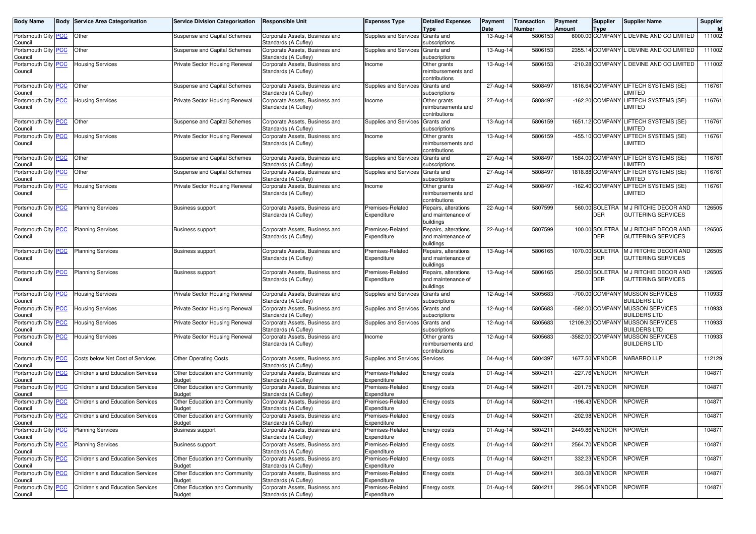| <b>Body Name</b>               |            | <b>Body Service Area Categorisation</b> | <b>Service Division Categorisation</b>         | <b>Responsible Unit</b>                                | <b>Expenses Type</b>             | <b>Detailed Expenses</b>                                | Payment           | <b>Transaction</b> | Payment       | Supplier                      | <b>Supplier Name</b>                                    | Supplier     |
|--------------------------------|------------|-----------------------------------------|------------------------------------------------|--------------------------------------------------------|----------------------------------|---------------------------------------------------------|-------------------|--------------------|---------------|-------------------------------|---------------------------------------------------------|--------------|
| Portsmouth City <b>PCC</b>     |            | Other                                   | Suspense and Capital Schemes                   | Corporate Assets, Business and                         | Supplies and Services            | <b>Type</b><br>Grants and                               | Date<br>13-Aug-14 | Number<br>5806153  | <b>Amount</b> | <b>Type</b>                   | 6000.00 COMPANY L DEVINE AND CO LIMITED                 | Id<br>111002 |
| Council                        |            |                                         |                                                | Standards (A Cufley)                                   |                                  | subscriptions                                           |                   |                    |               |                               |                                                         |              |
| Portsmouth City<br>Council     | <b>PCC</b> | Other                                   | Suspense and Capital Schemes                   | Corporate Assets, Business and<br>Standards (A Cufley) | Supplies and Services            | Grants and<br>subscriptions                             | 13-Aug-14         | 5806153            |               | 2355.14 COMPANY               | L DEVINE AND CO LIMITED                                 | 111002       |
| Portsmouth City PCC<br>Council |            | <b>Housing Services</b>                 | Private Sector Housing Renewal                 | Corporate Assets, Business and<br>Standards (A Cufley) | Income                           | Other grants<br>reimbursements and<br>contributions     | 13-Aug-14         | 5806153            |               |                               | -210.28 COMPANY L DEVINE AND CO LIMITED                 | 111002       |
| Portsmouth City PCC<br>Council |            | Other                                   | Suspense and Capital Schemes                   | Corporate Assets, Business and<br>Standards (A Cufley) | Supplies and Services            | Grants and<br>subscriptions                             | 27-Aug-14         | 5808497            |               |                               | 1816.64 COMPANY LIFTECH SYSTEMS (SE)<br>LIMITED         | 116761       |
| Portsmouth City PCC<br>Council |            | <b>Housing Services</b>                 | Private Sector Housing Renewal                 | Corporate Assets, Business and<br>Standards (A Cufley) | Income                           | Other grants<br>reimbursements and<br>contributions     | 27-Aug-14         | 5808497            |               |                               | -162.20 COMPANY LIFTECH SYSTEMS (SE)<br>LIMITED         | 116761       |
| Portsmouth City PCC<br>Council |            | Other                                   | Suspense and Capital Schemes                   | Corporate Assets, Business and<br>Standards (A Cufley) | Supplies and Services            | Grants and<br>subscriptions                             | 13-Aug-14         | 5806159            |               |                               | 1651.12 COMPANY LIFTECH SYSTEMS (SE)<br>LIMITED         | 116761       |
| Portsmouth City PCC<br>Council |            | <b>Housing Services</b>                 | Private Sector Housing Renewal                 | Corporate Assets, Business and<br>Standards (A Cufley) | Income                           | Other grants<br>reimbursements and<br>contributions     | 13-Aug-14         | 5806159            |               | -455.10 COMPANY               | LIFTECH SYSTEMS (SE)<br>LIMITED                         | 116761       |
| Portsmouth City<br>Council     | <b>PCC</b> | Other                                   | Suspense and Capital Schemes                   | Corporate Assets, Business and<br>Standards (A Cufley) | Supplies and Services            | Grants and<br>subscriptions                             | 27-Aug-14         | 5808497            |               |                               | 1584.00 COMPANY LIFTECH SYSTEMS (SE)<br>LIMITED         | 116761       |
| Portsmouth City PCC<br>Council |            | Other                                   | Suspense and Capital Schemes                   | Corporate Assets, Business and<br>Standards (A Cufley) | Supplies and Services Grants and | subscriptions                                           | 27-Aug-14         | 5808497            |               |                               | 1818.88 COMPANY LIFTECH SYSTEMS (SE)<br><b>IMITED</b>   | 116761       |
| Portsmouth City PCC<br>Council |            | <b>Housing Services</b>                 | Private Sector Housing Renewal                 | Corporate Assets, Business and<br>Standards (A Cufley) | Income                           | Other grants<br>reimbursements and<br>contributions     | 27-Aug-14         | 5808497            |               |                               | -162.40 COMPANY LIFTECH SYSTEMS (SE)<br>LIMITED         | 116761       |
| Portsmouth City PCC<br>Council |            | <b>Planning Services</b>                | <b>Business support</b>                        | Corporate Assets, Business and<br>Standards (A Cufley) | Premises-Related<br>Expenditure  | Repairs, alterations<br>and maintenance of<br>buildings | 22-Aug-14         | 5807599            |               | 560.00 SOLETRA<br><b>DER</b>  | M J RITCHIE DECOR AND<br><b>GUTTERING SERVICES</b>      | 126505       |
| Portsmouth City<br>Council     | <b>PCC</b> | <b>Planning Services</b>                | <b>Business support</b>                        | Corporate Assets, Business and<br>Standards (A Cufley) | Premises-Related<br>Expenditure  | Repairs, alterations<br>and maintenance of<br>buildings | 22-Aug-14         | 5807599            |               | 100.00 SOLETRA<br><b>DER</b>  | M J RITCHIE DECOR AND<br><b>GUTTERING SERVICES</b>      | 126505       |
| Portsmouth City PCC<br>Council |            | <b>Planning Services</b>                | <b>Business support</b>                        | Corporate Assets, Business and<br>Standards (A Cufley) | Premises-Related<br>Expenditure  | Repairs, alterations<br>and maintenance of<br>buildings | 13-Aug-14         | 5806165            |               | 1070.00 SOLETRA<br><b>DER</b> | M J RITCHIE DECOR AND<br><b>GUTTERING SERVICES</b>      | 126505       |
| Portsmouth City PCC<br>Council |            | <b>Planning Services</b>                | <b>Business support</b>                        | Corporate Assets, Business and<br>Standards (A Cufley) | Premises-Related<br>Expenditure  | Repairs, alterations<br>and maintenance of<br>buildings | 13-Aug-14         | 5806165            |               | 250.00 SOLETRA<br><b>DER</b>  | M J RITCHIE DECOR AND<br><b>GUTTERING SERVICES</b>      | 126505       |
| Portsmouth City PCC<br>Council |            | <b>Housing Services</b>                 | Private Sector Housing Renewal                 | Corporate Assets, Business and<br>Standards (A Cufley) | Supplies and Services            | Grants and<br>subscriptions                             | 12-Aug-14         | 5805683            |               |                               | -700.00 COMPANY MUSSON SERVICES<br><b>BUILDERS LTD</b>  | 110933       |
| Portsmouth City<br>Council     | <u>PCC</u> | <b>Housing Services</b>                 | Private Sector Housing Renewal                 | Corporate Assets, Business and<br>Standards (A Cufley) | Supplies and Services            | Grants and<br>subscriptions                             | 12-Aug-14         | 5805683            |               |                               | -592.00 COMPANY MUSSON SERVICES<br><b>BUILDERS LTD</b>  | 110933       |
| Portsmouth City PCC<br>Council |            | <b>Housing Services</b>                 | Private Sector Housing Renewal                 | Corporate Assets, Business and<br>Standards (A Cufley) | Supplies and Services Grants and | subscriptions                                           | 12-Aug-14         | 5805683            |               |                               | 12109.20 COMPANY MUSSON SERVICES<br><b>BUILDERS LTD</b> | 110933       |
| Portsmouth City PCC<br>Council |            | <b>Housing Services</b>                 | Private Sector Housing Renewal                 | Corporate Assets, Business and<br>Standards (A Cufley) | Income                           | Other grants<br>reimbursements and<br>contributions     | 12-Aug-14         | 5805683            |               |                               | -3582.00 COMPANY MUSSON SERVICES<br><b>BUILDERS LTD</b> | 110933       |
| Portsmouth City PCC<br>Council |            | Costs below Net Cost of Services        | <b>Other Operating Costs</b>                   | Corporate Assets, Business and<br>Standards (A Cufley) | Supplies and Services            | Services                                                | 04-Aug-14         | 5804397            |               | 1677.50 VENDOR                | NABARRO LLP                                             | 112129       |
| Portsmouth City<br>Council     | <b>PCC</b> | Children's and Education Services       | Other Education and Community<br><b>Budget</b> | Corporate Assets, Business and<br>Standards (A Cufley) | Premises-Related<br>Expenditure  | Energy costs                                            | 01-Aug-14         | 5804211            |               | -227.76 VENDOR                | NPOWER                                                  | 104871       |
| Portsmouth City PCC<br>Council |            | Children's and Education Services       | Other Education and Community<br><b>Budget</b> | Corporate Assets, Business and<br>Standards (A Cufley) | Premises-Related<br>Expenditure  | Energy costs                                            | 01-Aug-14         | 5804211            |               | -201.75 VENDOR                | <b>NPOWER</b>                                           | 104871       |
| Portsmouth City PCC<br>Council |            | Children's and Education Services       | Other Education and Community<br><b>Budget</b> | Corporate Assets, Business and<br>Standards (A Cufley) | Premises-Related<br>Expenditure  | Energy costs                                            | 01-Aug-14         | 5804211            |               | -196.43 VENDOR                | <b>NPOWER</b>                                           | 104871       |
| Portsmouth City PCC<br>Council |            | Children's and Education Services       | Other Education and Community<br>Budget        | Corporate Assets, Business and<br>Standards (A Cufley) | Premises-Related<br>Expenditure  | Energy costs                                            | 01-Aug-14         | 5804211            |               | -202.98 VENDOR                | <b>NPOWER</b>                                           | 104871       |
| Portsmouth City PCC<br>Council |            | <b>Planning Services</b>                | Business support                               | Corporate Assets, Business and<br>Standards (A Cufley) | Premises-Related<br>Expenditure  | Energy costs                                            | 01-Aug-14         | 5804211            |               | 2449.86 VENDOR                | <b>NPOWER</b>                                           | 104871       |
| Portsmouth City PCC<br>Council |            | <b>Planning Services</b>                | <b>Business support</b>                        | Corporate Assets, Business and<br>Standards (A Cufley) | Premises-Related<br>Expenditure  | Energy costs                                            | 01-Aug-14         | 5804211            |               | 2564.70 VENDOR                | <b>NPOWER</b>                                           | 104871       |
| Portsmouth City PCC<br>Council |            | Children's and Education Services       | Other Education and Community<br><b>Budget</b> | Corporate Assets, Business and<br>Standards (A Cufley) | Premises-Related<br>Expenditure  | Energy costs                                            | 01-Aug-14         | 5804211            |               | 332.23 VENDOR                 | <b>NPOWER</b>                                           | 104871       |
| Portsmouth City PCC<br>Council |            | Children's and Education Services       | Other Education and Community<br><b>Budget</b> | Corporate Assets, Business and<br>Standards (A Cufley) | Premises-Related<br>Expenditure  | Energy costs                                            | 01-Aug-14         | 5804211            |               | 303.08 VENDOR                 | <b>NPOWER</b>                                           | 104871       |
| Portsmouth City PCC            |            | Children's and Education Services       | Other Education and Community                  | Corporate Assets, Business and<br>Standards (A Cufley) | Premises-Related                 | Energy costs                                            | 01-Aug-14         | 5804211            |               | 295.04 VENDOR                 | <b>NPOWER</b>                                           | 104871       |
| Council                        |            |                                         | <b>Budget</b>                                  |                                                        | Expenditure                      |                                                         |                   |                    |               |                               |                                                         |              |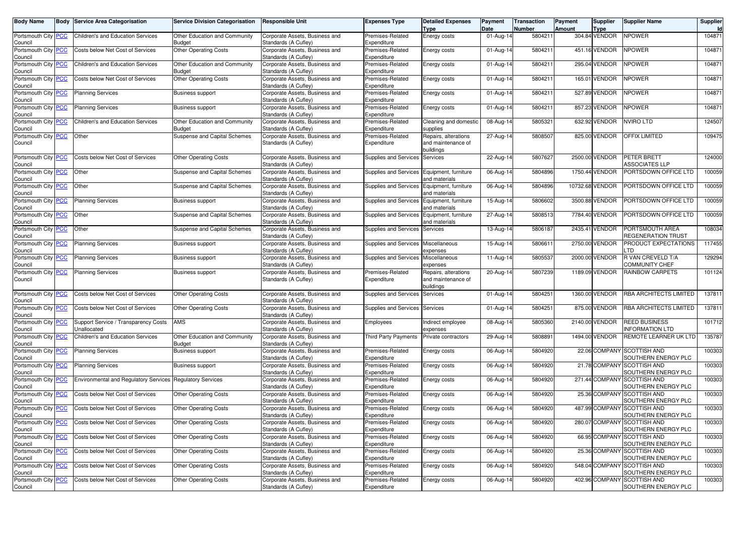| <b>Body Name</b>                             |            | <b>Body Service Area Categorisation</b>                   | <b>Service Division Categorisation</b>         | <b>Responsible Unit</b>                                | <b>Expenses Type</b>                   | <b>Detailed Expenses</b><br><b>Type</b>                 | Payment<br>Date         | <b>Transaction</b><br>Number | Payment<br>Amount | <b>Supplier</b><br><b>Type</b> | <b>Supplier Name</b>                               | Supplier<br><b>Id</b> |
|----------------------------------------------|------------|-----------------------------------------------------------|------------------------------------------------|--------------------------------------------------------|----------------------------------------|---------------------------------------------------------|-------------------------|------------------------------|-------------------|--------------------------------|----------------------------------------------------|-----------------------|
| Portsmouth City PCC<br>Council               |            | Children's and Education Services                         | Other Education and Community<br><b>Budget</b> | Corporate Assets, Business and<br>Standards (A Cufley) | Premises-Related<br>Expenditure        | Energy costs                                            | 01-Aug-14               | 5804211                      |                   | 304.84 VENDOR                  | <b>NPOWER</b>                                      | 104871                |
| Portsmouth City PCC<br>Council               |            | Costs below Net Cost of Services                          | <b>Other Operating Costs</b>                   | Corporate Assets, Business and<br>Standards (A Cufley) | Premises-Related<br>Expenditure        | Energy costs                                            | 01-Aug-14               | 5804211                      |                   | 451.16 VENDOR                  | <b>NPOWER</b>                                      | 104871                |
| Portsmouth City<br>Council                   | <b>PCC</b> | <b>Children's and Education Services</b>                  | Other Education and Community<br>Budget        | Corporate Assets, Business and<br>Standards (A Cufley) | Premises-Related<br>Expenditure        | Energy costs                                            | 01-Aug-14               | 5804211                      |                   | 295.04 VENDOR                  | <b>NPOWER</b>                                      | 104871                |
| Portsmouth City PCC<br>Council               |            | Costs below Net Cost of Services                          | <b>Other Operating Costs</b>                   | Corporate Assets, Business and<br>Standards (A Cufley) | Premises-Related<br>Expenditure        | Energy costs                                            | $\overline{0}$ 1-Aug-14 | 5804211                      |                   | 165.01 VENDOR                  | <b>NPOWER</b>                                      | 104871                |
| Portsmouth City PCC<br>Council               |            | <b>Planning Services</b>                                  | <b>Business support</b>                        | Corporate Assets, Business and<br>Standards (A Cufley) | Premises-Related<br>Expenditure        | Energy costs                                            | 01-Aug-14               | 5804211                      |                   | 527.89 VENDOR                  | <b>NPOWER</b>                                      | 104871                |
| Portsmouth City<br>Council                   | <b>PCC</b> | <b>Planning Services</b>                                  | <b>Business support</b>                        | Corporate Assets, Business and<br>Standards (A Cufley) | Premises-Related<br>Expenditure        | Energy costs                                            | 01-Aug-14               | 5804211                      |                   | 857.23 VENDOR                  | <b>NPOWER</b>                                      | 104871                |
| Portsmouth City PCC<br>Council               |            | Children's and Education Services                         | Other Education and Community<br><b>Budget</b> | Corporate Assets, Business and<br>Standards (A Cufley) | Premises-Related<br>Expenditure        | Cleaning and domestic<br>supplies                       | 08-Aug-14               | 5805321                      |                   | 632.92 VENDOR                  | <b>NVIRO LTD</b>                                   | 124507                |
| Portsmouth City PCC<br>Council               |            | Other                                                     | Suspense and Capital Schemes                   | Corporate Assets, Business and<br>Standards (A Cufley) | Premises-Related<br>Expenditure        | Repairs, alterations<br>and maintenance of<br>buildings | 27-Aug-14               | 5808507                      |                   | 825.00 VENDOR                  | OFFIX LIMITED                                      | 109475                |
| Portsmouth City<br>Council                   | <b>PCC</b> | Costs below Net Cost of Services                          | <b>Other Operating Costs</b>                   | Corporate Assets, Business and<br>Standards (A Cufley) | Supplies and Services                  | Services                                                | $22$ -Aug-14            | 5807627                      |                   | 2500.00 VENDOR                 | PETER BRETT<br><b>ASSOCIATES LLP</b>               | 124000                |
| Portsmouth City PCC<br>Council               |            | Other                                                     | Suspense and Capital Schemes                   | Corporate Assets, Business and<br>Standards (A Cufley) | Supplies and Services                  | Equipment, furniture<br>and materials                   | 06-Aug-14               | 5804896                      |                   | 1750.44 VENDOR                 | PORTSDOWN OFFICE LTD                               | 100059                |
| Portsmouth City PCC<br>Council               |            | Other                                                     | Suspense and Capital Schemes                   | Corporate Assets, Business and<br>Standards (A Cufley) | Supplies and Services                  | Equipment, furniture<br>and materials                   | 06-Aug-14               | 5804896                      |                   | 10732.68 VENDOR                | PORTSDOWN OFFICE LTD                               | 100059                |
| Portsmouth City<br>Council                   | <b>PCC</b> | <b>Planning Services</b>                                  | <b>Business support</b>                        | Corporate Assets, Business and<br>Standards (A Cufley) | <b>Supplies and Services</b>           | Equipment, furniture<br>and materials                   | 15-Aug-14               | 5806602                      |                   | 3500.88 VENDOR                 | PORTSDOWN OFFICE LTD                               | 100059                |
| Portsmouth City PCC<br>Council               |            | Other                                                     | Suspense and Capital Schemes                   | Corporate Assets, Business and<br>Standards (A Cufley) | Supplies and Services                  | Equipment, furniture<br>and materials                   | 27-Aug-14               | 5808513                      |                   | 7784.40 VENDOR                 | PORTSDOWN OFFICE LTD                               | 100059                |
| Portsmouth City PCC<br>Council               |            | Other                                                     | Suspense and Capital Schemes                   | Corporate Assets, Business and<br>Standards (A Cufley) | Supplies and Services                  | Services                                                | 13-Aug-14               | 5806187                      |                   | 2435.41 VENDOR                 | PORTSMOUTH AREA<br>REGENERATION TRUST              | 108034                |
| Portsmouth City<br>Council                   | <b>PCC</b> | <b>Planning Services</b>                                  | <b>Business support</b>                        | Corporate Assets, Business and<br>Standards (A Cufley) | Supplies and Services                  | Miscellaneous<br>expenses                               | 15-Aug-14               | 580661                       |                   | 2750.00 VENDOR                 | PRODUCT EXPECTATIONS<br>.TD                        | 117455                |
| Portsmouth City PCC<br>Council               |            | <b>Planning Services</b>                                  | <b>Business support</b>                        | Corporate Assets, Business and<br>Standards (A Cufley) | Supplies and Services Miscellaneous    | expenses                                                | 11-Aug-14               | 5805537                      |                   | 2000.00 VENDOR                 | R VAN CREVELD T/A<br>COMMUNITY CHEF                | 129294                |
| Portsmouth City PCC<br>Council               |            | <b>Planning Services</b>                                  | <b>Business support</b>                        | Corporate Assets, Business and<br>Standards (A Cufley) | Premises-Related<br>Expenditure        | Repairs, alterations<br>and maintenance of<br>buildings | 20-Aug-14               | 5807239                      |                   | 1189.09 VENDOR                 | <b>RAINBOW CARPETS</b>                             | 101124                |
| Portsmouth City PCC<br>Council               |            | Costs below Net Cost of Services                          | <b>Other Operating Costs</b>                   | Corporate Assets, Business and<br>Standards (A Cufley) | Supplies and Services                  | Services                                                | 01-Aug-14               | 5804251                      |                   | 1360.00 VENDOR                 | RBA ARCHITECTS LIMITED                             | 137811                |
| Portsmouth City<br>Council                   | <b>PCC</b> | Costs below Net Cost of Services                          | <b>Other Operating Costs</b>                   | Corporate Assets, Business and<br>Standards (A Cufley) | Supplies and Services                  | Services                                                | 01-Aug-14               | 5804251                      |                   | 875.00 VENDOR                  | RBA ARCHITECTS LIMITED                             | 137811                |
| Portsmouth City PCC<br>Council               |            | Support Service / Transparency Costs<br>Unallocated       | AMS                                            | Corporate Assets, Business and<br>Standards (A Cufley) | Employees                              | Indirect employee<br>expenses                           | 08-Aug-14               | 5805360                      |                   | 2140.00 VENDOR                 | REED BUSINESS<br><b>INFORMATION LTD</b>            | 101712                |
| Portsmouth City PCC<br>Council               |            | Children's and Education Services                         | Other Education and Community<br><b>Budget</b> | Corporate Assets, Business and<br>Standards (A Cufley) | <b>Third Party Payments</b>            | Private contractors                                     | 29-Aug-14               | 5808891                      |                   | 1494.00 VENDOR                 | REMOTE LEARNER UK LTD                              | 135787                |
| Portsmouth City<br>Council                   | <u>PCC</u> | <b>Planning Services</b>                                  | <b>Business support</b>                        | Corporate Assets, Business and<br>Standards (A Cufley) | Premises-Related<br>Expenditure        | Energy costs                                            | 06-Aug-14               | 5804920                      |                   | 22.06 COMPANY                  | <b>SCOTTISH AND</b><br>SOUTHERN ENERGY PLC         | 100303                |
| Portsmouth City PCC<br>Council               |            | <b>Planning Services</b>                                  | <b>Business support</b>                        | Corporate Assets, Business and<br>Standards (A Cufley) | Premises-Related<br>Expenditure        | Energy costs                                            | 06-Aug-14               | 5804920                      |                   |                                | 21.78 COMPANY SCOTTISH AND<br>SOUTHERN ENERGY PLC  | 100303                |
| Portsmouth City PCC<br>Council               |            | Environmental and Regulatory Services Regulatory Services |                                                | Corporate Assets, Business and<br>Standards (A Cufley) | <b>Premises-Related</b><br>Expenditure | Energy costs                                            | 06-Aug-14               | 5804920                      |                   |                                | 271.44 COMPANY SCOTTISH AND<br>SOUTHERN ENERGY PLC | 100303                |
| Portsmouth City<br>Council                   | <b>PCC</b> | Costs below Net Cost of Services                          | <b>Other Operating Costs</b>                   | Corporate Assets, Business and<br>Standards (A Cufley) | Premises-Related<br>Expenditure        | Energy costs                                            | 06-Aug-14               | 5804920                      |                   |                                | 25.36 COMPANY SCOTTISH AND<br>SOUTHERN ENERGY PLC  | 100303                |
| Portsmouth City PCC<br>Council               |            | Costs below Net Cost of Services                          | <b>Other Operating Costs</b>                   | Corporate Assets, Business and<br>Standards (A Cufley) | Premises-Related<br>Expenditure        | Energy costs                                            | 06-Aug-14               | 5804920                      |                   | 487.99 COMPANY                 | <b>SCOTTISH AND</b><br>SOUTHERN ENERGY PLC         | 100303                |
| Portsmouth City <mark> PCC</mark><br>Council |            | Costs below Net Cost of Services                          | <b>Other Operating Costs</b>                   | Corporate Assets, Business and<br>Standards (A Cufley) | Premises-Related<br>Expenditure        | Energy costs                                            | 06-Aug-14               | 5804920                      |                   |                                | 280.07 COMPANY SCOTTISH AND<br>SOUTHERN ENERGY PLC | 100303                |
| Portsmouth City PCC<br>Council               |            | Costs below Net Cost of Services                          | <b>Other Operating Costs</b>                   | Corporate Assets, Business and<br>Standards (A Cufley) | Premises-Related<br>Expenditure        | Energy costs                                            | 06-Aug-14               | 5804920                      |                   |                                | 66.95 COMPANY SCOTTISH AND<br>SOUTHERN ENERGY PLC  | 100303                |
| Portsmouth City PCC<br>Council               |            | Costs below Net Cost of Services                          | <b>Other Operating Costs</b>                   | Corporate Assets, Business and<br>Standards (A Cufley) | Premises-Related<br>Expenditure        | Energy costs                                            | 06-Aug-14               | 5804920                      |                   |                                | 25.36 COMPANY SCOTTISH AND<br>SOUTHERN ENERGY PLC  | 100303                |
| Portsmouth City PCC<br>Council               |            | Costs below Net Cost of Services                          | <b>Other Operating Costs</b>                   | Corporate Assets, Business and<br>Standards (A Cufley) | Premises-Related<br>Expenditure        | Energy costs                                            | 06-Aug-14               | 5804920                      |                   |                                | 548.04 COMPANY SCOTTISH AND<br>SOUTHERN ENERGY PLC | 100303                |
| Portsmouth City PCC<br>Council               |            | Costs below Net Cost of Services                          | <b>Other Operating Costs</b>                   | Corporate Assets, Business and<br>Standards (A Cufley) | Premises-Related<br>Expenditure        | Energy costs                                            | 06-Aug-14               | 5804920                      |                   |                                | 402.96 COMPANY SCOTTISH AND<br>SOUTHERN ENERGY PLC | 100303                |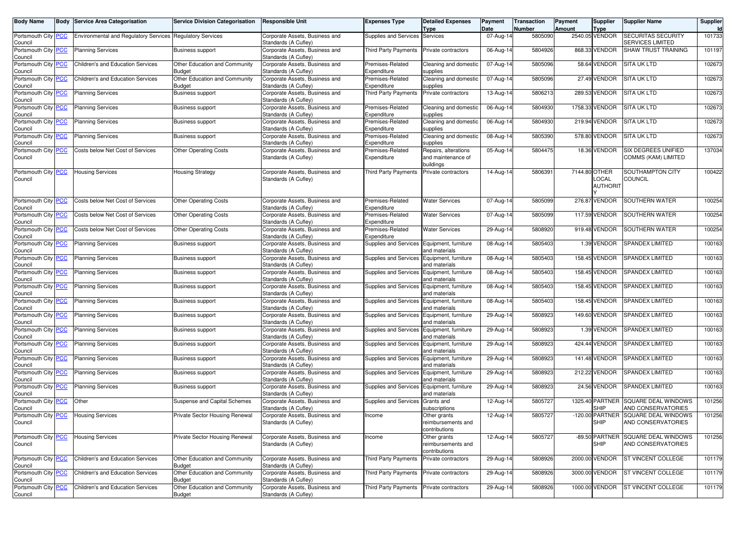| <b>Body Name</b>                      |            | <b>Body Service Area Categorisation</b>                   | <b>Service Division Categorisation</b>         | <b>Responsible Unit</b>                                | <b>Expenses Type</b>                       | <b>Detailed Expenses</b><br><b>Type</b>                 | Payment<br>Date         | Transaction<br>Number | Payment<br>Amount | <b>Supplier</b><br><b>Type</b>                  | <b>Supplier Name</b>                                      | Supplier<br>Id |
|---------------------------------------|------------|-----------------------------------------------------------|------------------------------------------------|--------------------------------------------------------|--------------------------------------------|---------------------------------------------------------|-------------------------|-----------------------|-------------------|-------------------------------------------------|-----------------------------------------------------------|----------------|
| Portsmouth City PCC<br>Council        |            | Environmental and Regulatory Services Regulatory Services |                                                | Corporate Assets, Business and<br>Standards (A Cufley) | Supplies and Services                      | Services                                                | 07-Aug-14               | 5805090               |                   | 2540.05 VENDOR                                  | <b>SECURITAS SECURITY</b><br><b>SERVICES LIMITED</b>      | 101733         |
| Portsmouth City PCC<br>Council        |            | <b>Planning Services</b>                                  | <b>Business support</b>                        | Corporate Assets, Business and<br>Standards (A Cufley) | Third Party Payments                       | Private contractors                                     | 06-Aug-14               | 5804926               |                   | 868.33 VENDOR                                   | SHAW TRUST TRAINING                                       | 101197         |
| Portsmouth City<br>Council            | <b>PCC</b> | <b>Children's and Education Services</b>                  | Other Education and Community<br>Budget        | Corporate Assets, Business and<br>Standards (A Cufley) | Premises-Related<br>Expenditure            | Cleaning and domestic<br>supplies                       | 07-Aug-14               | 5805096               |                   | 58.64 VENDOR                                    | SITA UK LTD                                               | 102673         |
| Portsmouth City PCC<br>Council        |            | Children's and Education Services                         | Other Education and Community<br><b>Budget</b> | Corporate Assets, Business and<br>Standards (A Cufley) | Premises-Related<br>Expenditure            | Cleaning and domestic<br>supplies                       | 07-Aug-14               | 5805096               |                   | 27.49 VENDOR                                    | <b>SITA UK LTD</b>                                        | 102673         |
| Portsmouth City PCC<br>Council        |            | <b>Planning Services</b>                                  | Business support                               | Corporate Assets, Business and<br>Standards (A Cufley) | Third Party Payments                       | Private contractors                                     | 13-Aug-14               | 5806213               |                   | 289.53 VENDOR                                   | <b>SITA UK LTD</b>                                        | 102673         |
| Portsmouth City<br>Council            | <b>PCC</b> | <b>Planning Services</b>                                  | <b>Business support</b>                        | Corporate Assets, Business and<br>Standards (A Cufley) | Premises-Related<br>Expenditure            | Cleaning and domestic<br>supplies                       | 06-Aug-14               | 5804930               |                   | 1758.33 VENDOR                                  | SITA UK LTD                                               | 102673         |
| Portsmouth City PCC<br>Council        |            | <b>Planning Services</b>                                  | <b>Business support</b>                        | Corporate Assets, Business and<br>Standards (A Cufley) | Premises-Related<br>Expenditure            | Cleaning and domestic<br>supplies                       | 06-Aug-14               | 5804930               |                   | 219.94 VENDOR                                   | <b>SITA UK LTD</b>                                        | 102673         |
| Portsmouth City<br>Council            | <u>PCC</u> | <b>Planning Services</b>                                  | <b>Business support</b>                        | Corporate Assets, Business and<br>Standards (A Cufley) | Premises-Related<br>Expenditure            | Cleaning and domestic<br>supplies                       | 08-Aug-14               | 5805390               |                   | 578.80 VENDOR                                   | <b>SITA UK LTD</b>                                        | 102673         |
| Portsmouth City PCC<br>Council        |            | Costs below Net Cost of Services                          | <b>Other Operating Costs</b>                   | Corporate Assets, Business and<br>Standards (A Cufley) | Premises-Related<br>Expenditure            | Repairs, alterations<br>and maintenance of<br>buildings | 05-Aug-14               | 5804475               |                   | 18.36 VENDOR                                    | SIX DEGREES UNIFIED<br>COMMS (KAM) LIMITED                | 137034         |
| Portsmouth City <b>PCC</b><br>Council |            | <b>Housing Services</b>                                   | <b>Housing Strategy</b>                        | Corporate Assets, Business and<br>Standards (A Cufley) | Third Party Payments                       | Private contractors                                     | 14-Aug-14               | 5806391               |                   | 7144.80 OTHER<br><b>OCAL</b><br><b>AUTHORIT</b> | SOUTHAMPTON CITY<br>COUNCIL                               | 100422         |
| Portsmouth City<br>Council            | PСC        | Costs below Net Cost of Services                          | <b>Other Operating Costs</b>                   | Corporate Assets, Business and<br>Standards (A Cufley) | Premises-Related<br>Expenditure            | <b>Water Services</b>                                   | 07-Aug-14               | 5805099               |                   | 276.87 VENDOR                                   | SOUTHERN WATER                                            | 100254         |
| Portsmouth City PCC<br>Council        |            | Costs below Net Cost of Services                          | <b>Other Operating Costs</b>                   | Corporate Assets, Business and<br>Standards (A Cuflev) | Premises-Related<br>Expenditure            | <b>Water Services</b>                                   | 07-Aug-14               | 5805099               |                   | 117.59 VENDOR                                   | SOUTHERN WATER                                            | 100254         |
| Portsmouth City PCC<br>Council        |            | Costs below Net Cost of Services                          | <b>Other Operating Costs</b>                   | Corporate Assets, Business and<br>Standards (A Cufley) | Premises-Related<br>Expenditure            | <b>Water Services</b>                                   | 29-Aug-14               | 5808920               |                   | 919.48 VENDOR                                   | SOUTHERN WATER                                            | 100254         |
| Portsmouth City<br>Council            | <b>PCC</b> | <b>Planning Services</b>                                  | <b>Business support</b>                        | Corporate Assets, Business and<br>Standards (A Cufley) | Supplies and Services                      | Equipment, furniture<br>and materials                   | 08-Aug-14               | 5805403               |                   | 1.39 VENDOR                                     | SPANDEX LIMITED                                           | 100163         |
| Portsmouth City PCC<br>Council        |            | <b>Planning Services</b>                                  | <b>Business support</b>                        | Corporate Assets, Business and<br>Standards (A Cufley) | Supplies and Services Equipment, furniture | and materials                                           | 08-Aug-14               | 5805403               |                   | 158.45 VENDOR                                   | SPANDEX LIMITED                                           | 100163         |
| Portsmouth City PCC<br>Council        |            | <b>Planning Services</b>                                  | <b>Business support</b>                        | Corporate Assets, Business and<br>Standards (A Cufley) | Supplies and Services                      | Equipment, furniture<br>and materials                   | 08-Aug-14               | 5805403               |                   | 158.45 VENDOR                                   | <b>SPANDEX LIMITED</b>                                    | 100163         |
| Portsmouth City<br>Council            | <b>PCC</b> | <b>Planning Services</b>                                  | <b>Business support</b>                        | Corporate Assets, Business and<br>Standards (A Cufley) | Supplies and Services                      | Equipment, furniture<br>and materials                   | 08-Aug-14               | 5805403               |                   | 158.45 VENDOR                                   | <b>SPANDEX LIMITED</b>                                    | 100163         |
| Portsmouth City PCC<br>Council        |            | Planning Services                                         | <b>Business support</b>                        | Corporate Assets, Business and<br>Standards (A Cufley) | Supplies and Services Equipment, furniture | and materials                                           | 08-Aug-14               | 5805403               |                   | 158.45 VENDOR                                   | SPANDEX LIMITED                                           | 100163         |
| Portsmouth City PCC<br>Council        |            | <b>Planning Services</b>                                  | <b>Business support</b>                        | Corporate Assets, Business and<br>Standards (A Cufley) | Supplies and Services                      | Equipment, furniture<br>and materials                   | 29-Aug-14               | 5808923               |                   | 149.60 VENDOR                                   | <b>SPANDEX LIMITED</b>                                    | 100163         |
| Portsmouth City<br>Council            | <b>PCC</b> | <b>Planning Services</b>                                  | <b>Business support</b>                        | Corporate Assets, Business and<br>Standards (A Cufley) | Supplies and Services                      | Equipment, furniture<br>and materials                   | 29-Aug-14               | 5808923               |                   | 1.39 VENDOR                                     | <b>SPANDEX LIMITED</b>                                    | 100163         |
| Portsmouth City PCC<br>Council        |            | <b>Planning Services</b>                                  | <b>Business support</b>                        | Corporate Assets, Business and<br>Standards (A Cufley) | Supplies and Services                      | Equipment, furniture<br>and materials                   | 29-Aug-14               | 5808923               |                   | 424.44 VENDOR                                   | SPANDEX LIMITED                                           | 100163         |
| Portsmouth City PCC<br>Council        |            | <b>Planning Services</b>                                  | <b>Business support</b>                        | Corporate Assets, Business and<br>Standards (A Cufley) | Supplies and Services                      | Equipment, furniture<br>and materials                   | 29-Aug-14               | 5808923               |                   | 141.48 VENDOR                                   | SPANDEX LIMITED                                           | 100163         |
| Portsmouth City<br>Council            | <u>PCC</u> | <b>Planning Services</b>                                  | <b>Business support</b>                        | Corporate Assets, Business and<br>Standards (A Cufley) | <b>Supplies and Services</b>               | Equipment, furniture<br>and materials                   | 29-Aug-14               | 5808923               |                   | 212.22 VENDOR                                   | <b>SPANDEX LIMITED</b>                                    | 100163         |
| Portsmouth City PCC<br>Council        |            | <b>Planning Services</b>                                  | <b>Business support</b>                        | Corporate Assets, Business and<br>Standards (A Cufley) | Supplies and Services Equipment, furniture | and materials                                           | $\overline{29}$ -Aug-14 | 5808923               |                   | 24.56 VENDOR                                    | SPANDEX LIMITED                                           | 100163         |
| Portsmouth City <b>PCC</b><br>Council |            | Other                                                     | Suspense and Capital Schemes                   | Corporate Assets, Business and<br>Standards (A Cufley) | Supplies and Services                      | Grants and<br>subscriptions                             | 12-Aug-14               | 5805727               |                   | <b>SHIP</b>                                     | 1325.40 PARTNER SQUARE DEAL WINDOWS<br>AND CONSERVATORIES | 101256         |
| Portsmouth City PCC<br>Council        |            | <b>Housing Services</b>                                   | Private Sector Housing Renewal                 | Corporate Assets, Business and<br>Standards (A Cufley) | Income                                     | Other grants<br>reimbursements and<br>contributions     | 12-Aug-14               | 5805727               |                   | <b>SHIP</b>                                     | -120.00 PARTNER SQUARE DEAL WINDOWS<br>AND CONSERVATORIES | 101256         |
| Portsmouth City PCC<br>Council        |            | <b>Housing Services</b>                                   | Private Sector Housing Renewal                 | Corporate Assets, Business and<br>Standards (A Cufley) | Income                                     | Other grants<br>reimbursements and<br>contributions     | 12-Aug-14               | 5805727               |                   | <b>SHIP</b>                                     | -89.50 PARTNER SQUARE DEAL WINDOWS<br>AND CONSERVATORIES  | 101256         |
| Portsmouth City PCC<br>Council        |            | Children's and Education Services                         | Other Education and Community<br><b>Budget</b> | Corporate Assets, Business and<br>Standards (A Cufley) | Third Party Payments                       | Private contractors                                     | 29-Aug-14               | 5808926               |                   | 2000.00 VENDOR                                  | <b>ST VINCENT COLLEGE</b>                                 | 101179         |
| Portsmouth City PCC<br>Council        |            | Children's and Education Services                         | Other Education and Community<br><b>Budget</b> | Corporate Assets, Business and<br>Standards (A Cufley) | Third Party Payments                       | Private contractors                                     | 29-Aug-14               | 5808926               |                   | 3000.00 VENDOR                                  | ST VINCENT COLLEGE                                        | 101179         |
| Portsmouth City PCC<br>Council        |            | Children's and Education Services                         | Other Education and Community<br><b>Budget</b> | Corporate Assets, Business and<br>Standards (A Cufley) | Third Party Payments                       | Private contractors                                     | 29-Aug-14               | 5808926               |                   | 1000.00 VENDOR                                  | <b>ST VINCENT COLLEGE</b>                                 | 101179         |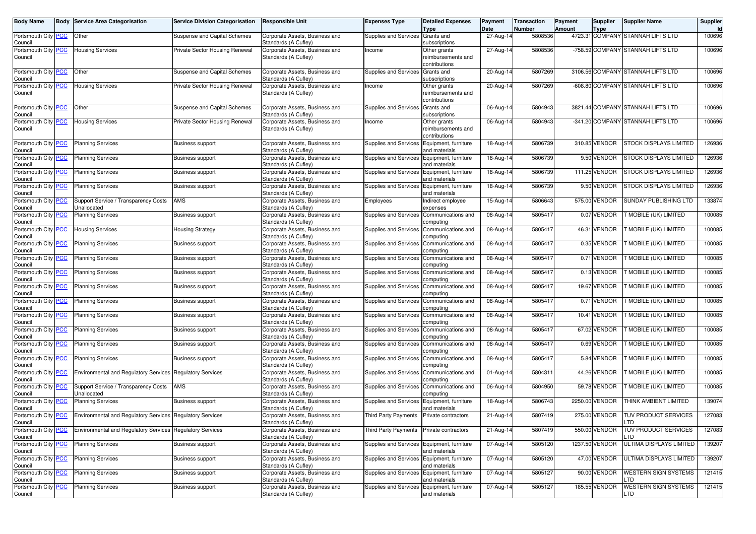| Body Name                      | Body           | <b>Service Area Categorisation</b>                        | <b>Service Division Categorisation</b> | Responsible Unit                                       | Expenses Type                              | <b>Detailed Expenses</b>              | Payment     | <b>Transaction</b> | Payment | <b>Supplier</b> | <b>Supplier Name</b>              | Supplier |
|--------------------------------|----------------|-----------------------------------------------------------|----------------------------------------|--------------------------------------------------------|--------------------------------------------|---------------------------------------|-------------|--------------------|---------|-----------------|-----------------------------------|----------|
|                                |                | Other                                                     | Suspense and Capital Schemes           |                                                        |                                            | <b>Type</b>                           | Date        | Number             | Amount  | Type            |                                   | 100696   |
| Portsmouth City PCC<br>Council |                |                                                           |                                        | Corporate Assets, Business and<br>Standards (A Cufley) | Supplies and Services Grants and           | subscriptions                         | 27-Aug-14   | 5808536            |         |                 | 4723.31 COMPANY STANNAH LIFTS LTD |          |
| Portsmouth City                | <b>PCC</b>     | <b>Housing Services</b>                                   | Private Sector Housing Renewal         | Corporate Assets, Business and                         | Income                                     | Other grants                          | 27-Aug-14   | 5808536            |         |                 | -758.59 COMPANY STANNAH LIFTS LTD | 100696   |
| Council                        |                |                                                           |                                        | Standards (A Cufley)                                   |                                            | reimbursements and                    |             |                    |         |                 |                                   |          |
|                                |                |                                                           |                                        |                                                        |                                            | contributions                         |             |                    |         |                 |                                   |          |
| Portsmouth City                | <b>PCC</b>     | Other                                                     | Suspense and Capital Schemes           | Corporate Assets, Business and                         | <b>Supplies and Services</b>               | Grants and                            | 20-Aug-14   | 5807269            |         |                 | 3106.56 COMPANY STANNAH LIFTS LTD | 100696   |
| Council<br>Portsmouth City PCC |                | <b>Housing Services</b>                                   | Private Sector Housing Renewal         | Standards (A Cufley)<br>Corporate Assets, Business and | Income                                     | subscriptions<br>Other grants         | $20-Aug-14$ | 5807269            |         |                 | -608.80 COMPANY STANNAH LIFTS LTD | 100696   |
| Council                        |                |                                                           |                                        | Standards (A Cufley)                                   |                                            | reimbursements and                    |             |                    |         |                 |                                   |          |
|                                |                |                                                           |                                        |                                                        |                                            | contributions                         |             |                    |         |                 |                                   |          |
| Portsmouth City PCC            |                | Other                                                     | Suspense and Capital Schemes           | Corporate Assets, Business and                         | Supplies and Services Grants and           |                                       | 06-Aug-14   | 5804943            |         |                 | 3821.44 COMPANY STANNAH LIFTS LTD | 100696   |
| Council                        |                |                                                           |                                        | Standards (A Cufley)                                   |                                            | subscriptions                         |             |                    |         |                 |                                   |          |
| Portsmouth City PCC            |                | <b>Housing Services</b>                                   | Private Sector Housing Renewal         | Corporate Assets, Business and                         | Income                                     | Other grants                          | 06-Aug-14   | 5804943            |         |                 | -341.20 COMPANY STANNAH LIFTS LTD | 100696   |
| Council                        |                |                                                           |                                        | Standards (A Cufley)                                   |                                            | reimbursements and<br>contributions   |             |                    |         |                 |                                   |          |
| Portsmouth City PCC            |                | <b>Planning Services</b>                                  | <b>Business support</b>                | Corporate Assets, Business and                         | Supplies and Services Equipment, furniture |                                       | 18-Aug-14   | 5806739            |         | 310.85 VENDOR   | <b>STOCK DISPLAYS LIMITED</b>     | 126936   |
| Council                        |                |                                                           |                                        | Standards (A Cufley)                                   |                                            | and materials                         |             |                    |         |                 |                                   |          |
| Portsmouth City PCC            |                | <b>Planning Services</b>                                  | <b>Business support</b>                | Corporate Assets, Business and                         | Supplies and Services                      | Equipment, furniture                  | 18-Aug-14   | 5806739            |         | 9.50 VENDOR     | STOCK DISPLAYS LIMITED            | 126936   |
| Council                        |                |                                                           |                                        | Standards (A Cufley)                                   |                                            | and materials                         |             | 5806739            |         | 111.25 VENDOR   | <b>STOCK DISPLAYS LIMITED</b>     |          |
| Portsmouth City<br>Council     | <u>PCC</u>     | <b>Planning Services</b>                                  | <b>Business support</b>                | Corporate Assets, Business and<br>Standards (A Cufley) | Supplies and Services                      | Equipment, furniture<br>and materials | 18-Aug-14   |                    |         |                 |                                   | 126936   |
| Portsmouth City PCC            |                | <b>Planning Services</b>                                  | <b>Business support</b>                | Corporate Assets, Business and                         | Supplies and Services                      | Equipment, furniture                  | 18-Aug-14   | 5806739            |         | 9.50 VENDOR     | STOCK DISPLAYS LIMITED            | 126936   |
| Council                        |                |                                                           |                                        | Standards (A Cufley)                                   |                                            | and materials                         |             |                    |         |                 |                                   |          |
| Portsmouth City                | <u>PCC</u>     | Support Service / Transparency Costs                      | <b>AMS</b>                             | Corporate Assets, Business and                         | Employees                                  | Indirect employee                     | 15-Aug-14   | 5806643            |         | 575.00 VENDOR   | <b>SUNDAY PUBLISHING LTD</b>      | 133874   |
| Council                        |                | Unallocated                                               |                                        | Standards (A Cufley)                                   |                                            | expenses                              |             |                    |         |                 |                                   |          |
| Portsmouth City PCC<br>Council |                | <b>Planning Services</b>                                  | <b>Business support</b>                | Corporate Assets, Business and<br>Standards (A Cufley) | Supplies and Services                      | Communications and<br>computing       | 08-Aug-14   | 5805417            |         | 0.07 VENDOR     | <b>T MOBILE (UK) LIMITED</b>      | 100085   |
| Portsmouth City                | <b>PCC</b>     | <b>Housing Services</b>                                   | <b>Housing Strategy</b>                | Corporate Assets, Business and                         | <b>Supplies and Services</b>               | Communications and                    | 08-Aug-14   | 5805417            |         | 46.31 VENDOR    | <b>F MOBILE (UK) LIMITED</b>      | 100085   |
| Council                        |                |                                                           |                                        | Standards (A Cufley)                                   |                                            | computing                             |             |                    |         |                 |                                   |          |
| Portsmouth City                | <u>PCC</u>     | <b>Planning Services</b>                                  | <b>Business support</b>                | Corporate Assets, Business and                         | <b>Supplies and Services</b>               | Communications and                    | 08-Aug-14   | 580541             |         | 0.35 VENDOR     | T MOBILE (UK) LIMITED             | 100085   |
| Council                        |                |                                                           |                                        | Standards (A Cufley)                                   |                                            | computing                             |             |                    |         |                 |                                   |          |
| Portsmouth City PCC<br>Council |                | <b>Planning Services</b>                                  | <b>Business support</b>                | Corporate Assets, Business and<br>Standards (A Cufley) | Supplies and Services                      | Communications and                    | 08-Aug-14   | 5805417            |         | 0.71 VENDOR     | <b>F MOBILE (UK) LIMITED</b>      | 100085   |
| Portsmouth City                | <b>PCC</b>     | <b>Planning Services</b>                                  | <b>Business support</b>                | Corporate Assets, Business and                         | Supplies and Services                      | computing<br>Communications and       | 08-Aug-14   | 5805417            |         | 0.13 VENDOR     | <b>F MOBILE (UK) LIMITED</b>      | 100085   |
| Council                        |                |                                                           |                                        | Standards (A Cufley)                                   |                                            | computing                             |             |                    |         |                 |                                   |          |
| Portsmouth City                | <b>PCC</b>     | <b>Planning Services</b>                                  | <b>Business support</b>                | Corporate Assets, Business and                         | Supplies and Services                      | Communications and                    | 08-Aug-14   | 580541             |         | 19.67 VENDOR    | <b>FMOBILE (UK) LIMITED</b>       | 100085   |
| Council                        |                |                                                           |                                        | Standards (A Cufley)                                   |                                            | computing                             |             |                    |         |                 |                                   |          |
| Portsmouth City PCC            |                | <b>Planning Services</b>                                  | <b>Business support</b>                | Corporate Assets, Business and                         | Supplies and Services                      | Communications and                    | 08-Aug-14   | 580541             |         | 0.71 VENDOR     | MOBILE (UK) LIMITED               | 100085   |
| Council<br>Portsmouth City     | <b>PCC</b>     | <b>Planning Services</b>                                  | <b>Business support</b>                | Standards (A Cufley)<br>Corporate Assets, Business and | Supplies and Services                      | computing<br>Communications and       | 08-Aug-14   | 5805417            |         | 10.41 VENDOR    | <b>T MOBILE (UK) LIMITED</b>      | 100085   |
| Council                        |                |                                                           |                                        | Standards (A Cufley)                                   |                                            | computing                             |             |                    |         |                 |                                   |          |
| Portsmouth City                | PСC            | <b>Planning Services</b>                                  | <b>Business support</b>                | Corporate Assets, Business and                         | <b>Supplies and Services</b>               | Communications and                    | 08-Aug-14   | 5805417            |         | 67.02 VENDOR    | T MOBILE (UK) LIMITED             | 100085   |
| Council                        |                |                                                           |                                        | Standards (A Cufley)                                   |                                            | computing                             |             |                    |         |                 |                                   |          |
| Portsmouth City PCC            |                | <b>Planning Services</b>                                  | <b>Business support</b>                | Corporate Assets, Business and                         | Supplies and Services                      | Communications and                    | 08-Aug-14   | 5805417            |         | 0.69 VENDOR     | <b>T MOBILE (UK) LIMITED</b>      | 100085   |
| Council<br>Portsmouth City     | <b>PCC</b>     | <b>Planning Services</b>                                  | Business support                       | Standards (A Cufley)<br>Corporate Assets, Business and | Supplies and Services                      | computing<br>Communications and       | 08-Aug-14   | 5805417            |         | 5.84 VENDOR     | <b>T MOBILE (UK) LIMITED</b>      | 100085   |
| Council                        |                |                                                           |                                        | Standards (A Cufley)                                   |                                            | computing                             |             |                    |         |                 |                                   |          |
| Portsmouth City                | <b>CC</b>      | <b>Environmental and Regulatory Services</b>              | <b>Regulatory Services</b>             | Corporate Assets, Business and                         | <b>Supplies and Services</b>               | Communications and                    | 01-Aug-14   | 5804311            |         | 44.26 VENDOR    | <b>F MOBILE (UK) LIMITED</b>      | 100085   |
| Council                        |                |                                                           |                                        | Standards (A Cufley)                                   |                                            | computing                             |             |                    |         |                 |                                   |          |
| Portsmouth City                | <b>PCC</b>     | Support Service / Transparency Costs                      | <b>AMS</b>                             | Corporate Assets, Business and                         | Supplies and Services                      | Communications and                    | 06-Aug-14   | 5804950            |         | 59.78 VENDOR    | MOBILE (UK) LIMITED               | 100085   |
| Council<br>Portsmouth City PCC |                | Unallocated<br><b>Planning Services</b>                   | <b>Business support</b>                | Standards (A Cufley)<br>Corporate Assets, Business and | Supplies and Services                      | computing<br>Equipment, furniture     | 18-Aug-14   | 5806743            |         | 2250.00 VENDOR  | THINK AMBIENT LIMITED             | 139074   |
| Council                        |                |                                                           |                                        | Standards (A Cufley)                                   |                                            | and materials                         |             |                    |         |                 |                                   |          |
| Portsmouth City PCC            |                | Environmental and Regulatory Services Regulatory Services |                                        | Corporate Assets, Business and                         | Third Party Payments                       | Private contractors                   | 21-Aug-14   | 5807419            |         | 275.00 VENDOR   | TUV PRODUCT SERVICES              | 127083   |
| Council                        |                |                                                           |                                        | Standards (A Cufley)                                   |                                            |                                       |             |                    |         |                 | LTD                               |          |
| Portsmouth City PCC            |                | Environmental and Regulatory Services Regulatory Services |                                        | Corporate Assets, Business and                         | Third Party Payments                       | Private contractors                   | 21-Aug-14   | 5807419            |         | 550.00 VENDOR   | TUV PRODUCT SERVICES              | 127083   |
| Council                        |                |                                                           |                                        | Standards (A Cufley)<br>Corporate Assets, Business and |                                            |                                       |             |                    |         | 1237.50 VENDOR  | LTD<br>ULTIMA DISPLAYS LIMITED    |          |
| Portsmouth City PCC<br>Council |                | <b>Planning Services</b>                                  | <b>Business support</b>                | Standards (A Cufley)                                   | Supplies and Services Equipment, furniture | and materials                         | 07-Aug-14   | 5805120            |         |                 |                                   | 139207   |
| Portsmouth City PCC            |                | <b>Planning Services</b>                                  | <b>Business support</b>                | Corporate Assets, Business and                         | Supplies and Services Equipment, furniture |                                       | 07-Aug-14   | 5805120            |         | 47.00 VENDOR    | ULTIMA DISPLAYS LIMITED           | 139207   |
| Council                        |                |                                                           |                                        | Standards (A Cufley)                                   |                                            | and materials                         |             |                    |         |                 |                                   |          |
| Portsmouth City                | <b>PCC</b>     | <b>Planning Services</b>                                  | Business support                       | Corporate Assets, Business and                         | Supplies and Services Equipment, furniture |                                       | 07-Aug-14   | 5805127            |         | 90.00 VENDOR    | WESTERN SIGN SYSTEMS              | 121415   |
| Council                        |                |                                                           |                                        | Standards (A Cufley)                                   |                                            | and materials                         |             |                    |         |                 | TD.                               |          |
| Portsmouth City<br>Council     | $\overline{C}$ | <b>Planning Services</b>                                  | Business support                       | Corporate Assets, Business and<br>Standards (A Cufley) | Supplies and Services Equipment, furniture | and materials                         | 07-Aug-14   | 5805127            |         | 185.55 VENDOR   | WESTERN SIGN SYSTEMS<br>LTD       | 121415   |
|                                |                |                                                           |                                        |                                                        |                                            |                                       |             |                    |         |                 |                                   |          |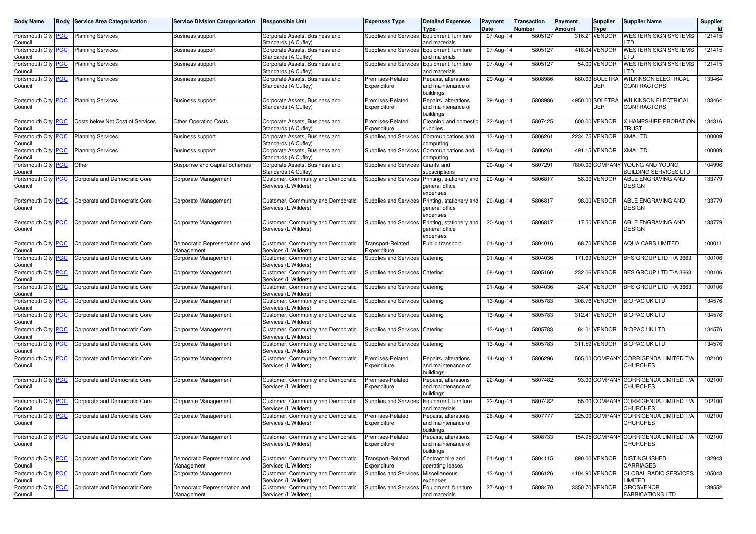| <b>Body Name</b>               | Body | <b>Service Area Categorisation</b> | <b>Service Division Categorisation</b>      | <b>Responsible Unit</b>                                    | Expenses Type                              | <b>Detailed Expenses</b><br>Type                        | Payment<br>Date | <b>Transaction</b><br>Number | <b>Payment</b><br>Amount | Supplier<br><b>Type</b>       | <b>Supplier Name</b>                                            | Supplier<br>Id |
|--------------------------------|------|------------------------------------|---------------------------------------------|------------------------------------------------------------|--------------------------------------------|---------------------------------------------------------|-----------------|------------------------------|--------------------------|-------------------------------|-----------------------------------------------------------------|----------------|
| Portsmouth City PCC<br>Council |      | <b>Planning Services</b>           | <b>Business support</b>                     | Corporate Assets, Business and<br>Standards (A Cufley)     | Supplies and Services Equipment, furniture | and materials                                           | 07-Aug-14       | 5805127                      |                          | 316.21 VENDOR                 | <b>WESTERN SIGN SYSTEMS</b><br>.TD                              | 121415         |
| Portsmouth City PCC<br>Council |      | <b>Planning Services</b>           | <b>Business support</b>                     | Corporate Assets, Business and<br>Standards (A Cufley)     | <b>Supplies and Services</b>               | Equipment, furniture<br>and materials                   | 07-Aug-14       | 5805127                      |                          | 418.04 VENDOR                 | <b>WESTERN SIGN SYSTEMS</b><br>TD                               | 121415         |
| Portsmouth City PCC<br>Council |      | <b>Planning Services</b>           | <b>Business support</b>                     | Corporate Assets, Business and<br>Standards (A Cufley)     | Supplies and Services                      | Equipment, furniture<br>and materials                   | 07-Aug-14       | 5805127                      |                          | 54.00 VENDOR                  | <b>WESTERN SIGN SYSTEMS</b><br>.TD                              | 121415         |
| Portsmouth City PCC<br>Council |      | <b>Planning Services</b>           | <b>Business support</b>                     | Corporate Assets, Business and<br>Standards (A Cufley)     | Premises-Related<br>Expenditure            | Repairs, alterations<br>and maintenance of<br>buildings | 29-Aug-14       | 5808986                      |                          | 680.00 SOLETRA<br><b>DER</b>  | <b>WILKINSON ELECTRICAL</b><br><b>CONTRACTORS</b>               | 133464         |
| Portsmouth City PCC<br>Council |      | <b>Planning Services</b>           | <b>Business support</b>                     | Corporate Assets, Business and<br>Standards (A Cufley)     | Premises-Related<br>Expenditure            | Repairs, alterations<br>and maintenance of<br>buildings | 29-Aug-14       | 5808986                      |                          | 4950.00 SOLETRA<br><b>DER</b> | <b>WILKINSON ELECTRICAL</b><br><b>CONTRACTORS</b>               | 133464         |
| Portsmouth City PCC<br>Council |      | Costs below Net Cost of Services   | <b>Other Operating Costs</b>                | Corporate Assets, Business and<br>Standards (A Cufley)     | Premises-Related<br>Expenditure            | Cleaning and domestic<br>supplies                       | 22-Aug-14       | 5807425                      |                          | 600.00 VENDOR                 | X HAMPSHIRE PROBATION<br>TRUST                                  | 134316         |
| Portsmouth City PCC<br>Council |      | <b>Planning Services</b>           | <b>Business support</b>                     | Corporate Assets, Business and<br>Standards (A Cufley)     | <b>Supplies and Services</b>               | Communications and<br>computing                         | 13-Aug-14       | 5806261                      |                          | 2234.75 VENDOR                | <b>XMA LTD</b>                                                  | 100009         |
| Portsmouth City PCC<br>Council |      | <b>Planning Services</b>           | <b>Business support</b>                     | Corporate Assets, Business and<br>Standards (A Cufley)     | <b>Supplies and Services</b>               | Communications and<br>computing                         | 13-Aug-14       | 5806261                      |                          | 491.15 VENDOR                 | XMA LTD                                                         | 100009         |
| Portsmouth City PCC<br>Council |      | Other                              | Suspense and Capital Schemes                | Corporate Assets, Business and<br>Standards (A Cufley)     | Supplies and Services                      | Grants and<br>subscriptions                             | 20-Aug-14       | 5807291                      |                          |                               | 7800.00 COMPANY YOUNG AND YOUNG<br><b>BUILDING SERVICES LTD</b> | 104996         |
| Portsmouth City PCC<br>Council |      | Corporate and Democratic Core      | Corporate Management                        | Customer, Community and Democratic<br>Services (L Wilders) | Supplies and Services                      | Printing, stationery and<br>general office<br>expenses  | 20-Aug-14       | 5806817                      |                          | 58.00 VENDOR                  | ABLE ENGRAVING AND<br>DESIGN                                    | 133779         |
| Portsmouth City PCC<br>Council |      | Corporate and Democratic Core      | Corporate Management                        | Customer, Community and Democratic<br>Services (L Wilders) | Supplies and Services                      | Printing, stationery and<br>general office<br>expenses  | 20-Aug-14       | 5806817                      |                          | 98.00 VENDOR                  | ABLE ENGRAVING AND<br>DESIGN                                    | 133779         |
| Portsmouth City PCC<br>Council |      | Corporate and Democratic Core      | Corporate Management                        | Customer, Community and Democratic<br>Services (L Wilders) | <b>Supplies and Services</b>               | Printing, stationery and<br>general office<br>expenses  | 20-Aug-14       | 5806817                      |                          | 17.50 VENDOR                  | ABLE ENGRAVING AND<br>DESIGN                                    | 133779         |
| Portsmouth City PCC<br>Council |      | Corporate and Democratic Core      | Democratic Representation and<br>Management | Customer, Community and Democratic<br>Services (L Wilders) | <b>Transport-Related</b><br>Expenditure    | Public transport                                        | 01-Aug-14       | 5804016                      |                          | 68.70 VENDOR                  | <b>AQUA CARS LIMITED</b>                                        | 100011         |
| Portsmouth City PCC<br>Council |      | Corporate and Democratic Core      | Corporate Management                        | Customer, Community and Democratic<br>Services (L Wilders) | Supplies and Services                      | Catering                                                | 01-Aug-14       | 5804036                      |                          | 171.69 VENDOR                 | BFS GROUP LTD T/A 3663                                          | 100106         |
| Portsmouth City PCC<br>Council |      | Corporate and Democratic Core      | Corporate Management                        | Customer, Community and Democratic<br>Services (L Wilders) | Supplies and Services Catering             |                                                         | 08-Aug-14       | 5805160                      |                          | 232.06 VENDOR                 | BFS GROUP LTD T/A 3663                                          | 100106         |
| Portsmouth City PCC<br>Council |      | Corporate and Democratic Core      | Corporate Management                        | Customer, Community and Democratic<br>Services (L Wilders) | Supplies and Services                      | Catering                                                | 01-Aug-14       | 5804036                      |                          | $-24.41$ VENDOR               | BFS GROUP LTD T/A 3663                                          | 100106         |
| Portsmouth City PCC<br>Council |      | Corporate and Democratic Core      | Corporate Management                        | Customer, Community and Democratic<br>Services (L Wilders) | Supplies and Services Catering             |                                                         | 13-Aug-14       | 5805783                      |                          | 308.76 VENDOR                 | <b>BIOPAC UK LTD</b>                                            | 134576         |
| Portsmouth City PCC<br>Council |      | Corporate and Democratic Core      | Corporate Management                        | Customer, Community and Democratic<br>Services (L Wilders) | Supplies and Services Catering             |                                                         | 13-Aug-14       | 5805783                      |                          | 312.41 VENDOR                 | <b>BIOPAC UK LTD</b>                                            | 134576         |
| Portsmouth City PCC<br>Council |      | Corporate and Democratic Core      | Corporate Management                        | Customer, Community and Democratic<br>Services (L Wilders) | Supplies and Services                      | Catering                                                | 13-Aug-14       | 5805783                      |                          | 84.01 VENDOR                  | <b>BIOPAC UK LTD</b>                                            | 134576         |
| Portsmouth City PCC<br>Council |      | Corporate and Democratic Core      | Corporate Management                        | Customer, Community and Democratic<br>Services (L Wilders) | Supplies and Services                      | Catering                                                | 13-Aug-14       | 5805783                      |                          | 311.59 VENDOR                 | <b>BIOPAC UK LTD</b>                                            | 134576         |
| Portsmouth City PCC<br>Council |      | Corporate and Democratic Core      | Corporate Management                        | Customer, Community and Democratic<br>Services (L Wilders) | Premises-Related<br>Expenditure            | Repairs, alterations<br>and maintenance of<br>buildings | 14-Aug-14       | 5806296                      |                          |                               | 565.00 COMPANY CORRIGENDA LIMITED T/A<br><b>CHURCHES</b>        | 102100         |
| Portsmouth City PCC<br>Council |      | Corporate and Democratic Core      | Corporate Management                        | Customer, Community and Democratic<br>Services (L Wilders) | Premises-Related<br>Expenditure            | Repairs, alterations<br>and maintenance of<br>buildings | 22-Aug-14       | 5807482                      |                          |                               | 93.00 COMPANY CORRIGENDA LIMITED T/A<br><b>CHURCHES</b>         | 102100         |
| Portsmouth City PCC<br>Council |      | Corporate and Democratic Core      | Corporate Management                        | Customer, Community and Democratic<br>Services (L Wilders) | Supplies and Services                      | Equipment, furniture<br>and materials                   | 22-Aug-14       | 5807482                      |                          |                               | 55.00 COMPANY CORRIGENDA LIMITED T/A<br>CHURCHES                | 102100         |
| Portsmouth City PCC<br>Council |      | Corporate and Democratic Core      | Corporate Management                        | Customer, Community and Democratic<br>Services (L Wilders) | Premises-Related<br>Expenditure            | Repairs, alterations<br>and maintenance of<br>buildings | 26-Aug-14       | 5807777                      |                          |                               | 225.00 COMPANY CORRIGENDA LIMITED T/A<br><b>CHURCHES</b>        | 102100         |
| Portsmouth City PCC<br>Council |      | Corporate and Democratic Core      | Corporate Management                        | Customer, Community and Democratic<br>Services (L Wilders) | Premises-Related<br>Expenditure            | Repairs, alterations<br>and maintenance of<br>buildings | 29-Aug-14       | 5808733                      |                          | 154.95 COMPANY                | CORRIGENDA LIMITED T/A<br><b>CHURCHES</b>                       | 102100         |
| Portsmouth City PCC<br>Council |      | Corporate and Democratic Core      | Democratic Representation and<br>Management | Customer, Community and Democratic<br>Services (L Wilders) | <b>Transport-Related</b><br>Expenditure    | Contract hire and<br>operating leases                   | 01-Aug-14       | 5804115                      |                          | 890.00 VENDOR                 | <b>DISTINGUISHED</b><br><b>CARRIAGES</b>                        | 132943         |
| Portsmouth City PCC<br>Council |      | Corporate and Democratic Core      | Corporate Management                        | Customer, Community and Democratic<br>Services (L Wilders) | Supplies and Services Miscellaneous        | expenses                                                | 13-Aug-14       | 5806126                      |                          | 4104.90 VENDOR                | <b>GLOBAL RADIO SERVICES</b><br><b>LIMITED</b>                  | 105043         |
| Portsmouth City PCC<br>Council |      | Corporate and Democratic Core      | Democratic Representation and<br>Management | Customer, Community and Democratic<br>Services (L Wilders) | Supplies and Services Equipment, furniture | and materials                                           | 27-Aug-14       | 5808470                      |                          | 3350.70 VENDOR                | <b>GROSVENOR</b><br><b>FABRICATIONS LTD</b>                     | 139552         |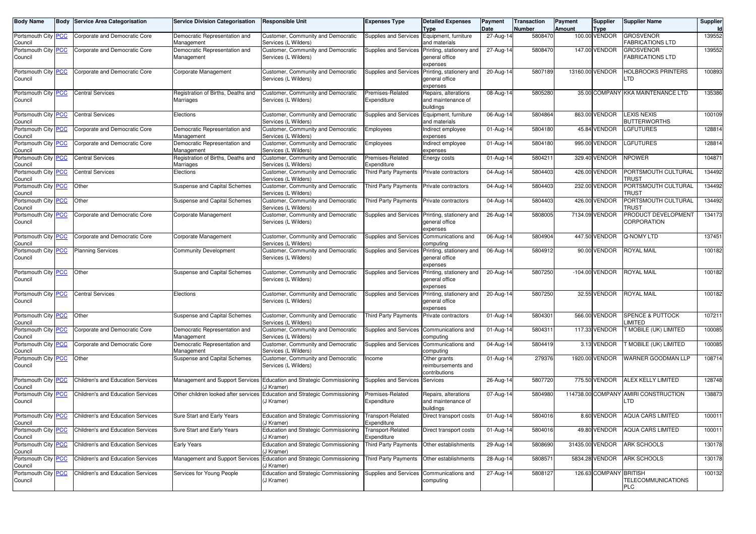| <b>Body Name</b>               | <b>Body Service Area Categorisation</b>  | <b>Service Division Categorisation</b>          | <b>Responsible Unit</b>                                    | Expenses Type                           | <b>Detailed Expenses</b><br>Type                        | Payment<br>Date | Transaction<br>Number | <b>Payment</b><br><b>Amount</b> | <b>Supplier</b><br><b>Type</b> | <b>Supplier Name</b>                        | Supplier<br>Id |
|--------------------------------|------------------------------------------|-------------------------------------------------|------------------------------------------------------------|-----------------------------------------|---------------------------------------------------------|-----------------|-----------------------|---------------------------------|--------------------------------|---------------------------------------------|----------------|
| Portsmouth City PCC<br>Council | Corporate and Democratic Core            | Democratic Representation and<br>Management     | Customer, Community and Democratic<br>Services (L Wilders) | <b>Supplies and Services</b>            | Equipment, furniture<br>and materials                   | 27-Aug-14       | 5808470               |                                 | 100.00 VENDOR                  | <b>GROSVENOR</b><br><b>FABRICATIONS LTD</b> | 139552         |
| Portsmouth City PCC<br>Council | Corporate and Democratic Core            | Democratic Representation and<br>Management     | Customer, Community and Democratic<br>Services (L Wilders) | <b>Supplies and Services</b>            | Printing, stationery and<br>general office<br>expenses  | 27-Aug-14       | 5808470               |                                 | 147.00 VENDOR                  | <b>GROSVENOR</b><br>FABRICATIONS LTD        | 139552         |
| Portsmouth City PCC<br>Council | Corporate and Democratic Core            | Corporate Management                            | Customer, Community and Democratic<br>Services (L Wilders) | <b>Supplies and Services</b>            | Printing, stationery and<br>general office<br>expenses  | 20-Aug-14       | 5807189               |                                 | 13160.00 VENDOR                | HOLBROOKS PRINTERS<br>TD.                   | 100893         |
| Portsmouth City PCC<br>Council | <b>Central Services</b>                  | Registration of Births, Deaths and<br>Marriages | Customer, Community and Democratic<br>Services (L Wilders) | Premises-Related<br>Expenditure         | Repairs, alterations<br>and maintenance of<br>buildings | 08-Aug-14       | 5805280               |                                 |                                | 35.00 COMPANY KKA MAINTENANCE LTD           | 135386         |
| Portsmouth City PCC<br>Council | <b>Central Services</b>                  | Elections                                       | Customer, Community and Democratic<br>Services (L Wilders) | <b>Supplies and Services</b>            | Equipment, furniture<br>and materials                   | 06-Aug-14       | 5804864               |                                 | 863.00 VENDOR                  | <b>LEXIS NEXIS</b><br><b>BUTTERWORTHS</b>   | 100109         |
| Portsmouth City PCC<br>Council | Corporate and Democratic Core            | Democratic Representation and<br>Management     | Customer, Community and Democratic<br>Services (L Wilders) | <b>Employees</b>                        | Indirect employee<br>expenses                           | 01-Aug-14       | 5804180               |                                 | 45.84 VENDOR                   | <b>GFUTURES</b>                             | 128814         |
| Portsmouth City PCC<br>Council | Corporate and Democratic Core            | Democratic Representation and<br>Management     | Customer, Community and Democratic<br>Services (L Wilders) | Employees                               | Indirect employee<br>expenses                           | 01-Aug-14       | 5804180               |                                 | 995.00 VENDOR                  | <b>GFUTURES</b>                             | 128814         |
| Portsmouth City PCC<br>Council | <b>Central Services</b>                  | Registration of Births, Deaths and<br>Marriages | Customer, Community and Democratic<br>Services (L Wilders) | Premises-Related<br>Expenditure         | Energy costs                                            | 01-Aug-14       | 5804211               |                                 | 329.40 VENDOR                  | <b>NPOWER</b>                               | 104871         |
| Portsmouth City PCC<br>Council | <b>Central Services</b>                  | Elections                                       | Customer, Community and Democratic<br>Services (L Wilders) | Third Party Payments                    | Private contractors                                     | 04-Aug-14       | 5804403               |                                 | 426.00 VENDOR                  | PORTSMOUTH CULTURAL<br>TRUST                | 134492         |
| Portsmouth City PCC<br>Council | Other                                    | Suspense and Capital Schemes                    | Customer, Community and Democratic<br>Services (L Wilders) | <b>Third Party Payments</b>             | Private contractors                                     | 04-Aug-14       | 5804403               |                                 | 232.00 VENDOR                  | PORTSMOUTH CULTURAL<br>Trust                | 134492         |
| Portsmouth City PCC<br>Council | Other                                    | Suspense and Capital Schemes                    | Customer, Community and Democratic<br>Services (L Wilders) | <b>Third Party Payments</b>             | Private contractors                                     | 04-Aug-14       | 5804403               |                                 | 426.00 VENDOR                  | PORTSMOUTH CULTURAL<br>TRUST                | 134492         |
| Portsmouth City PCC<br>Council | Corporate and Democratic Core            | Corporate Management                            | Customer, Community and Democratic<br>Services (L Wilders) | Supplies and Services                   | Printing, stationery and<br>general office<br>expenses  | 26-Aug-14       | 5808005               |                                 | 7134.09 VENDOR                 | PRODUCT DEVELOPMENT<br>CORPORATION          | 134173         |
| Portsmouth City PCC<br>Council | Corporate and Democratic Core            | Corporate Management                            | Customer, Community and Democratic<br>Services (L Wilders) | <b>Supplies and Services</b>            | Communications and<br>computing                         | 06-Aug-14       | 5804904               |                                 | 447.50 VENDOR                  | Q-NOMY LTD                                  | 137451         |
| Portsmouth City PCC<br>Council | <b>Planning Services</b>                 | <b>Community Development</b>                    | Customer, Community and Democratic<br>Services (L Wilders) | Supplies and Services                   | Printing, stationery and<br>general office<br>expenses  | 06-Aug-14       | 5804912               |                                 | 90.00 VENDOR                   | ROYAL MAIL                                  | 100182         |
| Portsmouth City PCC<br>Council | Other                                    | Suspense and Capital Schemes                    | Customer, Community and Democratic<br>Services (L Wilders) | Supplies and Services                   | Printing, stationery and<br>general office<br>expenses  | 20-Aug-14       | 5807250               |                                 | -104.00 VENDOR                 | <b>ROYAL MAIL</b>                           | 100182         |
| Portsmouth City PCC<br>Council | <b>Central Services</b>                  | Elections                                       | Customer, Community and Democratic<br>Services (L Wilders) | Supplies and Services                   | Printing, stationery and<br>general office<br>expenses  | 20-Aug-14       | 5807250               |                                 | 32.55 VENDOR                   | <b>ROYAL MAIL</b>                           | 100182         |
| Portsmouth City PCC<br>Council | Other                                    | Suspense and Capital Schemes                    | Customer, Community and Democratic<br>Services (L Wilders) | <b>Third Party Payments</b>             | Private contractors                                     | 01-Aug-14       | 5804301               |                                 | 566.00 VENDOR                  | <b>SPENCE &amp; PUTTOCK</b><br>LIMITED      | 107211         |
| Portsmouth City PCC<br>Council | Corporate and Democratic Core            | Democratic Representation and<br>Management     | Customer, Community and Democratic<br>Services (L Wilders) | Supplies and Services                   | Communications and<br>computing                         | 01-Aug-14       | 5804311               |                                 | 117.33 VENDOR                  | T MOBILE (UK) LIMITED                       | 100085         |
| Portsmouth City PCC<br>Council | Corporate and Democratic Core            | Democratic Representation and<br>Management     | Customer, Community and Democratic<br>Services (L Wilders) | Supplies and Services                   | Communications and<br>computing                         | 04-Aug-14       | 5804419               |                                 | 3.13 VENDOR                    | <b>T MOBILE (UK) LIMITED</b>                | 100085         |
| Portsmouth City PCC<br>Council | Other                                    | Suspense and Capital Schemes                    | Customer, Community and Democratic<br>Services (L Wilders) | ncome                                   | Other grants<br>reimbursements and<br>contributions     | 01-Aug-14       | 279376                |                                 | 1920.00 VENDOR                 | WARNER GOODMAN LLP                          | 108714         |
| Portsmouth City PCC<br>Council | Children's and Education Services        | Management and Support Services                 | Education and Strategic Commissioning<br>J Kramer)         | Supplies and Services                   | Services                                                | 26-Aug-14       | 5807720               |                                 | 775.50 VENDOR                  | <b>ALEX KELLY LIMITED</b>                   | 128748         |
| Portsmouth City PCC<br>Council | Children's and Education Services        | Other children looked after services            | Education and Strategic Commissioning<br>(J Kramer)        | Premises-Related<br>Expenditure         | Repairs, alterations<br>and maintenance of<br>buildings | 07-Aug-14       | 5804980               |                                 | 114738.00 COMPANY              | AMIRI CONSTRUCTION<br>_TD                   | 138873         |
| Portsmouth City PCC<br>Council | Children's and Education Services        | Sure Start and Early Years                      | Education and Strategic Commissioning<br>(J Kramer)        | <b>Transport-Related</b><br>Expenditure | Direct transport costs                                  | 01-Aug-14       | 5804016               |                                 | 8.60 VENDOR                    | <b>AQUA CARS LIMITED</b>                    | 100011         |
| Portsmouth City PCC<br>Council | Children's and Education Services        | Sure Start and Early Years                      | Education and Strategic Commissioning<br>(J Kramer)        | Transport-Related<br>Expenditure        | Direct transport costs                                  | 01-Aug-14       | 5804016               |                                 | 49.80 VENDOR                   | <b>AQUA CARS LIMITED</b>                    | 100011         |
| Portsmouth City PCC<br>Council | Children's and Education Services        | Early Years                                     | Education and Strategic Commissioning<br>(J Kramer)        | Third Party Payments                    | Other establishments                                    | 29-Aug-14       | 5808690               |                                 | 31435.00 VENDOR                | <b>ARK SCHOOLS</b>                          | 130178         |
| Portsmouth City PCC<br>Council | <b>Children's and Education Services</b> | Management and Support Services                 | Education and Strategic Commissioning<br>J Kramer)         | Third Party Payments                    | Other establishments                                    | 28-Aug-14       | 5808571               |                                 | 5834.28 VENDOR                 | <b>ARK SCHOOLS</b>                          | 130178         |
| Portsmouth City PCC<br>Council | Children's and Education Services        | Services for Young People                       | Education and Strategic Commissioning<br>(J Kramer)        | Supplies and Services                   | Communications and<br>computing                         | 27-Aug-14       | 5808127               |                                 | 126.63 COMPANY BRITISH         | <b>TELECOMMUNICATIONS</b><br>PLC            | 100132         |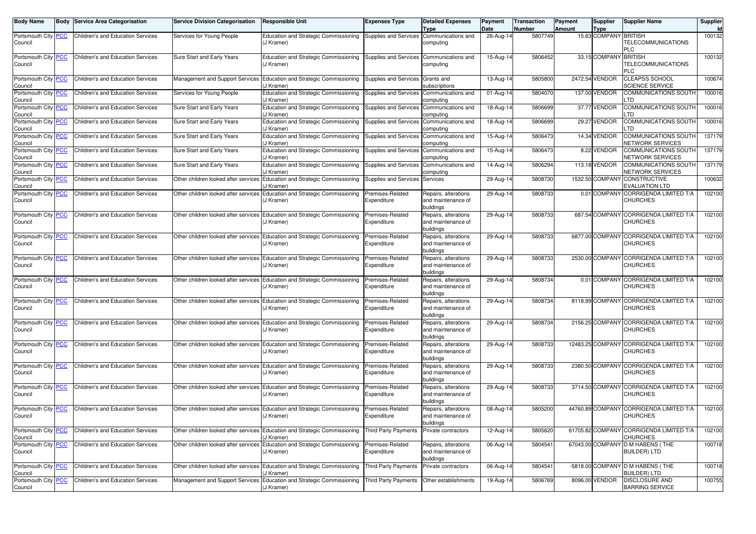| <b>Body Name</b>                      | Body | <b>Service Area Categorisation</b>       | <b>Service Division Categorisation</b> | <b>Responsible Unit</b>                                                                  | <b>Expenses Type</b>            | <b>Detailed Expenses</b><br>Type                        | Payment<br>Date | <b>Transaction</b><br>Number | Payment<br>Amount | <b>Supplier</b><br><b>Type</b> | <b>Supplier Name</b>                                       | Supplier |
|---------------------------------------|------|------------------------------------------|----------------------------------------|------------------------------------------------------------------------------------------|---------------------------------|---------------------------------------------------------|-----------------|------------------------------|-------------------|--------------------------------|------------------------------------------------------------|----------|
| Portsmouth City PCC<br>Council        |      | <b>Children's and Education Services</b> | Services for Young People              | Education and Strategic Commissioning<br>(J Kramer)                                      | Supplies and Services           | Communications and<br>computing                         | 26-Aug-14       | 5807749                      |                   | 15.63 COMPANY                  | <b>BRITISH</b><br>TELECOMMUNICATIONS<br><b>PLC</b>         | 100132   |
| Portsmouth City PCC<br>Council        |      | Children's and Education Services        | Sure Start and Early Years             | Education and Strategic Commissioning<br>(J Kramer)                                      | Supplies and Services           | Communications and<br>computing                         | 15-Aug-14       | 5806452                      |                   | 33.15 COMPANY                  | <b>BRITISH</b><br>TELECOMMUNICATIONS<br>PLC.               | 100132   |
| Portsmouth City <b>PCC</b><br>Council |      | <b>Children's and Education Services</b> | Management and Support Services        | Education and Strategic Commissioning<br>(J Kramer                                       | Supplies and Services           | Grants and<br>subscriptions                             | 13-Aug-14       | 5805800                      |                   | 2472.54 VENDOR                 | <b>CLEAPSS SCHOOL</b><br><b>SCIENCE SERVICE</b>            | 100674   |
| Portsmouth City PCC<br>Council        |      | Children's and Education Services        | Services for Young People              | Education and Strategic Commissioning<br>(J Kramer)                                      | Supplies and Services           | Communications and<br>computing                         | 01-Aug-14       | 5804070                      |                   | 137.00 VENDOR                  | COMMUNICATIONS SOUTH<br>.TD                                | 100016   |
| Portsmouth City PCC<br>Council        |      | <b>Children's and Education Services</b> | Sure Start and Early Years             | Education and Strategic Commissioning<br>(J Kramer)                                      | Supplies and Services           | Communications and<br>computing                         | 18-Aug-14       | 5806699                      |                   | 37.77 VENDOR                   | <b>COMMUNICATIONS SOUTH</b><br>TD.                         | 100016   |
| Portsmouth City PCC<br>Council        |      | <b>Children's and Education Services</b> | Sure Start and Early Years             | Education and Strategic Commissioning<br>(J Kramer                                       | Supplies and Services           | Communications and<br>computing                         | 18-Aug-14       | 5806699                      |                   | 29.27 VENDOR                   | COMMUNICATIONS SOUTH<br>_TD                                | 100016   |
| Portsmouth City PCC<br>Council        |      | Children's and Education Services        | Sure Start and Early Years             | Education and Strategic Commissioning<br>(J Kramer)                                      | Supplies and Services           | Communications and<br>computing                         | 15-Aug-14       | 5806473                      |                   | 14.34 VENDOR                   | COMMUNICATIONS SOUTH<br>NETWORK SERVICES                   | 137179   |
| Portsmouth City PCC<br>Council        |      | Children's and Education Services        | Sure Start and Early Years             | Education and Strategic Commissioning<br>(J Kramer                                       | Supplies and Services           | Communications and<br>computing                         | 15-Aug-14       | 5806473                      |                   | 8.22 VENDOR                    | <b>COMMUNICATIONS SOUTH</b><br>NETWORK SERVICES            | 137179   |
| Portsmouth City PCC<br>Council        |      | Children's and Education Services        | Sure Start and Early Years             | Education and Strategic Commissioning<br>(J Kramer                                       | Supplies and Services           | Communications and<br>computing                         | 14-Aug-14       | 5806294                      |                   | 113.18 VENDOR                  | COMMUNICATIONS SOUTH<br>NETWORK SERVICES                   | 137179   |
| Portsmouth City PCC<br>Council        |      | <b>Children's and Education Services</b> | Other children looked after services   | Education and Strategic Commissioning<br>'J Kramer)                                      | Supplies and Services           | Services                                                | 29-Aug-14       | 5808730                      |                   | 1532.50 COMPANY                | <b>CONSTRUCTIVE</b><br><b>EVALUATION LTD</b>               | 100632   |
| Portsmouth City PCC<br>Council        |      | Children's and Education Services        | Other children looked after services   | Education and Strategic Commissioning<br>(J Kramer)                                      | Premises-Related<br>Expenditure | Repairs, alterations<br>and maintenance of<br>buildings | 29-Aug-14       | 5808733                      |                   | 0.01 COMPANY                   | <b>CORRIGENDA LIMITED T/A</b><br><b>CHURCHES</b>           | 102100   |
| Portsmouth City PCC<br>Council        |      | Children's and Education Services        | Other children looked after services   | Education and Strategic Commissioning<br>(J Kramer)                                      | Premises-Related<br>Expenditure | Repairs, alterations<br>and maintenance of<br>buildings | 29-Aug-14       | 5808733                      |                   |                                | 687.54 COMPANY CORRIGENDA LIMITED T/A<br><b>CHURCHES</b>   | 102100   |
| Portsmouth City PCC<br>Council        |      | Children's and Education Services        | Other children looked after services   | Education and Strategic Commissioning<br>(J Kramer)                                      | Premises-Related<br>Expenditure | Repairs, alterations<br>and maintenance of<br>buildings | 29-Aug-14       | 5808733                      |                   |                                | 6877.00 COMPANY CORRIGENDA LIMITED T/A<br><b>CHURCHES</b>  | 102100   |
| Portsmouth City PCC<br>Council        |      | Children's and Education Services        | Other children looked after services   | Education and Strategic Commissioning<br>(J Kramer)                                      | Premises-Related<br>Expenditure | Repairs, alterations<br>and maintenance of<br>buildings | 29-Aug-14       | 5808733                      |                   |                                | 2530.00 COMPANY CORRIGENDA LIMITED T/A<br><b>CHURCHES</b>  | 102100   |
| Portsmouth City PCC<br>Council        |      | Children's and Education Services        | Other children looked after services   | Education and Strategic Commissioning<br>(J Kramer)                                      | Premises-Related<br>Expenditure | Repairs, alterations<br>and maintenance of<br>buildings | 29-Aug-14       | 5808734                      |                   |                                | 0.01 COMPANY CORRIGENDA LIMITED T/A<br><b>CHURCHES</b>     | 102100   |
| Portsmouth City PCC<br>Council        |      | <b>Children's and Education Services</b> |                                        | Other children looked after services Education and Strategic Commissioning<br>(J Kramer) | Premises-Related<br>Expenditure | Repairs, alterations<br>and maintenance of<br>buildings | 29-Aug-14       | 5808734                      |                   |                                | 8118.99 COMPANY CORRIGENDA LIMITED T/A<br><b>CHURCHES</b>  | 102100   |
| Portsmouth City PCC<br>Council        |      | <b>Children's and Education Services</b> |                                        | Other children looked after services Education and Strategic Commissioning<br>(J Kramer) | Premises-Related<br>Expenditure | Repairs, alterations<br>and maintenance of<br>buildings | 29-Aug-14       | 5808734                      |                   |                                | 2156.25 COMPANY CORRIGENDA LIMITED T/A<br><b>CHURCHES</b>  | 102100   |
| Portsmouth City PCC<br>Council        |      | <b>Children's and Education Services</b> |                                        | Other children looked after services Education and Strategic Commissioning<br>(J Kramer) | Premises-Related<br>Expenditure | Repairs, alterations<br>and maintenance of<br>buildings | 29-Aug-14       | 5808733                      |                   |                                | 12483.25 COMPANY CORRIGENDA LIMITED T/A<br><b>CHURCHES</b> | 102100   |
| Portsmouth City PCC<br>Council        |      | <b>Children's and Education Services</b> |                                        | Other children looked after services Education and Strategic Commissioning<br>(J Kramer) | Premises-Related<br>Expenditure | Repairs, alterations<br>and maintenance of<br>buildings | 29-Aug-14       | 5808733                      |                   |                                | 2380.50 COMPANY CORRIGENDA LIMITED T/A<br><b>CHURCHES</b>  | 102100   |
| Portsmouth City PCC<br>Council        |      | <b>Children's and Education Services</b> |                                        | Other children looked after services Education and Strategic Commissioning<br>(J Kramer) | Premises-Related<br>Expenditure | Repairs, alterations<br>and maintenance of<br>buildings | 29-Aug-14       | 5808733                      |                   |                                | 3714.50 COMPANY CORRIGENDA LIMITED T/A<br><b>CHURCHES</b>  | 102100   |
| Portsmouth City PCC<br>Council        |      | Children's and Education Services        |                                        | Other children looked after services Education and Strategic Commissioning<br>(J Kramer) | Premises-Related<br>Expenditure | Repairs, alterations<br>and maintenance of<br>buildings | 08-Aug-14       | 5805200                      |                   |                                | 44760.89 COMPANY CORRIGENDA LIMITED T/A<br><b>CHURCHES</b> | 102100   |
| Portsmouth City PCC<br>Council        |      | Children's and Education Services        |                                        | Other children looked after services Education and Strategic Commissioning<br>(J Kramer) | <b>Third Party Payments</b>     | Private contractors                                     | $12-Aug-14$     | 5805620                      |                   |                                | 61705.82 COMPANY CORRIGENDA LIMITED T/A<br>CHURCHES        | 102100   |
| Portsmouth City PCC<br>Council        |      | Children's and Education Services        | Other children looked after services   | Education and Strategic Commissioning<br>(J Kramer)                                      | Premises-Related<br>Expenditure | Repairs, alterations<br>and maintenance of<br>buildings | 06-Aug-14       | 5804541                      |                   |                                | 67043.00 COMPANY D M HABENS (THE<br><b>BUILDER) LTD</b>    | 100718   |
| Portsmouth City PCC<br>Council        |      | <b>Children's and Education Services</b> | Other children looked after services   | Education and Strategic Commissioning<br>(J Kramer)                                      | <b>Third Party Payments</b>     | Private contractors                                     | 06-Aug-14       | 5804541                      |                   |                                | -5818.00 COMPANY D M HABENS (THE<br><b>BUILDER) LTD</b>    | 100718   |
| Portsmouth City PCC<br>Council        |      | <b>Children's and Education Services</b> | Management and Support Services        | Education and Strategic Commissioning<br>(J Kramer)                                      | <b>Third Party Payments</b>     | Other establishments                                    | 19-Aug-14       | 5806769                      |                   | 8096.00 VENDOR                 | <b>DISCLOSURE AND</b><br><b>BARRING SERVICE</b>            | 100755   |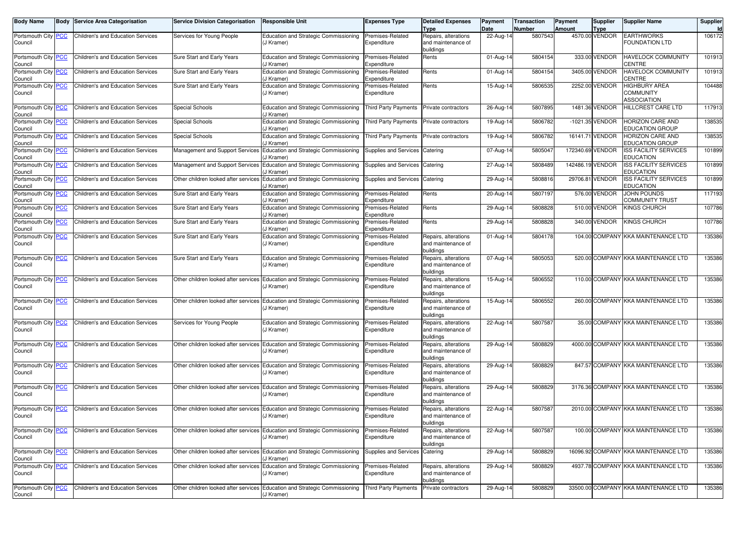| <b>Body Name</b>                      | Body | Service Area Categorisation              | <b>Service Division Categorisation</b> | <b>Responsible Unit</b>                                                                  | <b>Expenses Type</b>            | <b>Detailed Expenses</b><br>Type                        | Payment<br>Date | <b>Transaction</b><br>Number | Payment<br>Amount | Supplier<br>Type | <b>Supplier Name</b>                                    | Supplier |
|---------------------------------------|------|------------------------------------------|----------------------------------------|------------------------------------------------------------------------------------------|---------------------------------|---------------------------------------------------------|-----------------|------------------------------|-------------------|------------------|---------------------------------------------------------|----------|
| Portsmouth City PCC<br>Council        |      | Children's and Education Services        | Services for Young People              | Education and Strategic Commissioning<br>(J Kramer)                                      | Premises-Related<br>Expenditure | Repairs, alterations<br>and maintenance of<br>buildings | 22-Aug-14       | 5807543                      |                   | 4570.00 VENDOR   | <b>EARTHWORKS</b><br><b>FOUNDATION LTD</b>              | 106172   |
| Portsmouth City PCC<br>Council        |      | <b>Children's and Education Services</b> | Sure Start and Early Years             | Education and Strategic Commissioning<br>(J Kramer)                                      | Premises-Related<br>Expenditure | Rents                                                   | 01-Aug-14       | 5804154                      |                   | 333.00 VENDOR    | HAVELOCK COMMUNITY<br>CENTRE                            | 101913   |
| Portsmouth City PCC<br>Council        |      | <b>Children's and Education Services</b> | Sure Start and Early Years             | Education and Strategic Commissioning<br>(J Kramer)                                      | Premises-Related<br>Expenditure | Rents                                                   | 01-Aug-14       | 5804154                      |                   | 3405.00 VENDOR   | <b>HAVELOCK COMMUNITY</b><br>CENTRE                     | 101913   |
| Portsmouth City PCC<br>Council        |      | <b>Children's and Education Services</b> | Sure Start and Early Years             | Education and Strategic Commissioning<br>(J Kramer)                                      | Premises-Related<br>Expenditure | Rents                                                   | 15-Aug-14       | 5806535                      |                   | 2252.00 VENDOR   | <b>HIGHBURY AREA</b><br><b>COMMUNITY</b><br>ASSOCIATION | 104488   |
| Portsmouth City PCC<br>Council        |      | <b>Children's and Education Services</b> | <b>Special Schools</b>                 | Education and Strategic Commissioning<br>'J Kramer)                                      | Third Party Payments            | Private contractors                                     | 26-Aug-14       | 5807895                      |                   | 1481.36 VENDOR   | HILLCREST CARE LTD                                      | 117913   |
| Portsmouth City PCC<br>Council        |      | <b>Children's and Education Services</b> | <b>Special Schools</b>                 | Education and Strategic Commissioning<br>'J Kramer)                                      | <b>Third Party Payments</b>     | Private contractors                                     | 19-Aug-14       | 5806782                      |                   | -1021.35 VENDOR  | HORIZON CARE AND<br>EDUCATION GROUP                     | 138535   |
| Portsmouth City PCC<br>Council        |      | Children's and Education Services        | <b>Special Schools</b>                 | Education and Strategic Commissioning<br>(J Kramer)                                      | Third Party Payments            | Private contractors                                     | 19-Aug-14       | 5806782                      |                   | 16141.71 VENDOR  | HORIZON CARE AND<br>EDUCATION GROUP                     | 138535   |
| Portsmouth City PCC<br>Council        |      | <b>Children's and Education Services</b> | Management and Support Services        | Education and Strategic Commissioning<br>'J Kramer)                                      | Supplies and Services           | Catering                                                | 07-Aug-14       | 5805047                      |                   | 172340.69 VENDOR | <b>SS FACILITY SERVICES</b><br>EDUCATION                | 101899   |
| Portsmouth City PCC<br>Council        |      | <b>Children's and Education Services</b> | <b>Management and Support Services</b> | Education and Strategic Commissioning<br>(J Kramer)                                      | Supplies and Services           | Catering                                                | 27-Aug-14       | 5808489                      |                   | 142486.19 VENDOR | <b>ISS FACILITY SERVICES</b><br><b>EDUCATION</b>        | 101899   |
| Portsmouth City <b>PCC</b><br>Council |      | <b>Children's and Education Services</b> | Other children looked after services   | Education and Strategic Commissioning<br>(J Kramer)                                      | Supplies and Services           | Catering                                                | 29-Aug-14       | 5808816                      |                   | 29706.81 VENDOR  | <b>ISS FACILITY SERVICES</b><br>EDUCATION               | 101899   |
| Portsmouth City PCC<br>Council        |      | <b>Children's and Education Services</b> | Sure Start and Early Years             | Education and Strategic Commissioning<br>'J Kramer)                                      | Premises-Related<br>Expenditure | Rents                                                   | 20-Aug-14       | 5807197                      |                   | 576.00 VENDOR    | JOHN POUNDS<br>COMMUNITY TRUST                          | 117193   |
| Portsmouth City PCC<br>Council        |      | <b>Children's and Education Services</b> | Sure Start and Early Years             | Education and Strategic Commissioning<br>(J Kramer)                                      | Premises-Related<br>Expenditure | Rents                                                   | 29-Aug-14       | 5808828                      |                   | 510.00 VENDOR    | KINGS CHURCH                                            | 107786   |
| Portsmouth City PCC<br>Council        |      | Children's and Education Services        | Sure Start and Early Years             | Education and Strategic Commissioning<br>(J Kramer)                                      | Premises-Related<br>Expenditure | Rents                                                   | 29-Aug-14       | 5808828                      |                   | 340.00 VENDOR    | KINGS CHURCH                                            | 107786   |
| Portsmouth City PCC<br>Council        |      | <b>Children's and Education Services</b> | Sure Start and Early Years             | Education and Strategic Commissioning<br>(J Kramer)                                      | Premises-Related<br>Expenditure | Repairs, alterations<br>and maintenance of<br>buildings | 01-Aug-14       | 5804178                      |                   | 104.00 COMPANY   | <b>KKA MAINTENANCE LTD</b>                              | 135386   |
| Portsmouth City PCC<br>Council        |      | Children's and Education Services        | Sure Start and Early Years             | Education and Strategic Commissioning<br>(J Kramer)                                      | Premises-Related<br>Expenditure | Repairs, alterations<br>and maintenance of<br>buildings | 07-Aug-14       | 5805053                      |                   | 520.00 COMPANY   | KKA MAINTENANCE LTD                                     | 135386   |
| Portsmouth City PCC<br>Council        |      | <b>Children's and Education Services</b> | Other children looked after services   | Education and Strategic Commissioning<br>(J Kramer)                                      | Premises-Related<br>Expenditure | Repairs, alterations<br>and maintenance of<br>buildings | 15-Aug-14       | 5806552                      |                   |                  | 110.00 COMPANY KKA MAINTENANCE LTD                      | 135386   |
| Portsmouth City PCC<br>Council        |      | Children's and Education Services        | Other children looked after services   | Education and Strategic Commissioning<br>(J Kramer)                                      | Premises-Related<br>Expenditure | Repairs, alterations<br>and maintenance of<br>buildings | 15-Aug-14       | 5806552                      |                   |                  | 260.00 COMPANY KKA MAINTENANCE LTD                      | 135386   |
| Portsmouth City PCC<br>Council        |      | Children's and Education Services        | Services for Young People              | Education and Strategic Commissioning<br>(J Kramer)                                      | Premises-Related<br>Expenditure | Repairs, alterations<br>and maintenance of<br>buildings | 22-Aug-14       | 5807587                      |                   |                  | 35.00 COMPANY KKA MAINTENANCE LTD                       | 135386   |
| Portsmouth City PCC<br>Council        |      | <b>Children's and Education Services</b> | Other children looked after services   | Education and Strategic Commissioning<br>(J Kramer)                                      | Premises-Related<br>Expenditure | Repairs, alterations<br>and maintenance of<br>buildings | 29-Aug-14       | 5808829                      |                   |                  | 4000.00 COMPANY KKA MAINTENANCE LTD                     | 135386   |
| Portsmouth City PCC<br>Council        |      | Children's and Education Services        | Other children looked after services   | Education and Strategic Commissioning<br>(J Kramer)                                      | Premises-Related<br>Expenditure | Repairs, alterations<br>and maintenance of<br>buildings | 29-Aug-14       | 5808829                      |                   |                  | 847.57 COMPANY KKA MAINTENANCE LTD                      | 135386   |
| Portsmouth City PCC<br>Council        |      | Children's and Education Services        | Other children looked after services   | Education and Strategic Commissioning<br>(J Kramer)                                      | Premises-Related<br>Expenditure | Repairs, alterations<br>and maintenance of<br>buildings | 29-Aug-14       | 5808829                      |                   |                  | 3176.36 COMPANY KKA MAINTENANCE LTD                     | 135386   |
| Portsmouth City PCC<br>Council        |      | Children's and Education Services        | Other children looked after services   | Education and Strategic Commissioning<br>(J Kramer)                                      | Premises-Related<br>Expenditure | Repairs, alterations<br>and maintenance of<br>buildings | 22-Aug-14       | 5807587                      |                   |                  | 2010.00 COMPANY KKA MAINTENANCE LTD                     | 135386   |
| Portsmouth City PCC<br>Council        |      | <b>Children's and Education Services</b> |                                        | Other children looked after services Education and Strategic Commissioning<br>(J Kramer) | Premises-Related<br>Expenditure | Repairs, alterations<br>and maintenance of<br>buildings | 22-Aug-14       | 5807587                      |                   |                  | 100.00 COMPANY KKA MAINTENANCE LTD                      | 135386   |
| Portsmouth City PCC<br>Council        |      | Children's and Education Services        |                                        | Other children looked after services Education and Strategic Commissioning<br>J Kramer)  | Supplies and Services           | Catering                                                | 29-Aug-14       | 5808829                      |                   |                  | 16096.92 COMPANY KKA MAINTENANCE LTD                    | 135386   |
| Portsmouth City <b>PCC</b><br>Council |      | Children's and Education Services        |                                        | Other children looked after services Education and Strategic Commissioning<br>(J Kramer) | Premises-Related<br>Expenditure | Repairs, alterations<br>and maintenance of<br>buildings | 29-Aug-14       | 5808829                      |                   |                  | 4937.78 COMPANY KKA MAINTENANCE LTD                     | 135386   |
| Portsmouth City PCC<br>Council        |      | Children's and Education Services        |                                        | Other children looked after services Education and Strategic Commissioning<br>(J Kramer) | Third Party Payments            | Private contractors                                     | 29-Aug-14       | 5808829                      |                   |                  | 33500.00 COMPANY KKA MAINTENANCE LTD                    | 135386   |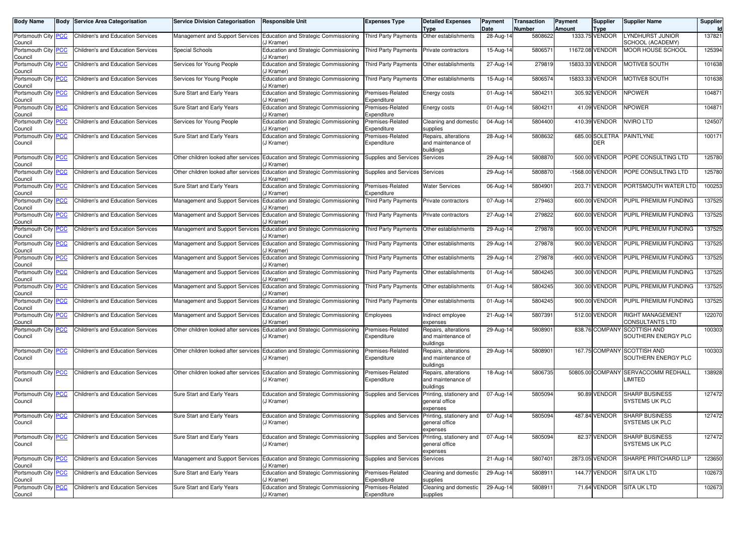| Body Name                      | Body       | <b>Service Area Categorisation</b>       | <b>Service Division Categorisation</b> | <b>Responsible Unit</b>                                                                            | <b>Expenses Type</b>            | <b>Detailed Expenses</b><br>Type                        | Payment<br>Date | Transaction<br>Number | Payment<br>Amount | <b>Supplier</b><br>Type | <b>Supplier Name</b>                               | Supplier |
|--------------------------------|------------|------------------------------------------|----------------------------------------|----------------------------------------------------------------------------------------------------|---------------------------------|---------------------------------------------------------|-----------------|-----------------------|-------------------|-------------------------|----------------------------------------------------|----------|
| Portsmouth City<br>Council     | <b>PCC</b> | Children's and Education Services        |                                        | Management and Support Services   Education and Strategic Commissioning<br>(J Kramer)              | <b>Third Party Payments</b>     | Other establishments                                    | 28-Aug-14       | 5808622               |                   | 1333.75 VENDOR          | <b>LYNDHURST JUNIOR</b><br>SCHOOL (ACADEMY)        | 137821   |
| Portsmouth City<br>Council     | <b>PCC</b> | <b>Children's and Education Services</b> | Special Schools                        | Education and Strategic Commissioning<br>(J Kramer)                                                | <b>Third Party Payments</b>     | Private contractors                                     | $15$ -Aug-1     | 580657                |                   | 11672.08 VENDOR         | <b>MOOR HOUSE SCHOOL</b>                           | 125394   |
| Portsmouth City<br>Council     | <b>PCC</b> | Children's and Education Services        | Services for Young People              | Education and Strategic Commissioning<br>(J Kramer)                                                | <b>Third Party Payments</b>     | Other establishments                                    | 27-Aug-1        | 279819                |                   | 15833.33 VENDOR         | MOTIVE8 SOUTH                                      | 101638   |
| Portsmouth City PCC<br>Council |            | <b>Children's and Education Services</b> | Services for Young People              | Education and Strategic Commissioning<br>(J Kramer)                                                | <b>Third Party Payments</b>     | Other establishments                                    | 15-Aug-14       | 5806574               |                   | 15833.33 VENDOR         | <b>MOTIVE8 SOUTH</b>                               | 101638   |
| Portsmouth City<br>Council     | <b>PCC</b> | Children's and Education Services        | Sure Start and Early Years             | Education and Strategic Commissioning<br>(J Kramer)                                                | Premises-Related<br>Expenditure | Energy costs                                            | 01-Aug-14       | 5804211               |                   | 305.92 VENDOR           | <b>NPOWER</b>                                      | 104871   |
| Portsmouth City<br>Council     | <b>PCC</b> | <b>Children's and Education Services</b> | Sure Start and Early Years             | Education and Strategic Commissioning<br>(J Kramer)                                                | Premises-Related<br>Expenditure | Energy costs                                            | 01-Aug-14       | 5804211               |                   | 41.09 VENDOR            | <b>NPOWER</b>                                      | 104871   |
| Portsmouth City<br>Council     | <b>PCC</b> | Children's and Education Services        | Services for Young People              | Education and Strategic Commissioning<br>(J Kramer)                                                | Premises-Related<br>Expenditure | Cleaning and domestic<br>supplies                       | 04-Aug-14       | 5804400               |                   | 410.39 VENDOR           | <b>NVIRO LTD</b>                                   | 124507   |
| Portsmouth City<br>Council     | <b>PCC</b> | Children's and Education Services        | Sure Start and Early Years             | <b>Education and Strategic Commissioning</b><br>(J Kramer)                                         | Premises-Related<br>Expenditure | Repairs, alterations<br>and maintenance of<br>buildings | 28-Aug-1        | 5808632               |                   | DER                     | 685.00 SOLETRA PAINTLYNE                           | 100171   |
| Portsmouth City<br>Council     | <b>PCC</b> | <b>Children's and Education Services</b> |                                        | Other children looked after services Education and Strategic Commissioning<br>(J Kramer)           | Supplies and Services           | Services                                                | 29-Aug-1        | 5808870               |                   | 500.00 VENDOR           | POPE CONSULTING LTD                                | 125780   |
| Portsmouth City PCC<br>Council |            | Children's and Education Services        |                                        | Other children looked after services Education and Strategic Commissioning<br>(J Kramer)           | Supplies and Services Services  |                                                         | 29-Aug-14       | 5808870               |                   | -1568.00 VENDOR         | POPE CONSULTING LTD                                | 125780   |
| Portsmouth City<br>Council     | <b>PCC</b> | <b>Children's and Education Services</b> | Sure Start and Early Years             | Education and Strategic Commissioning<br>(J Kramer)                                                | Premises-Related<br>Expenditure | <b>Water Services</b>                                   | 06-Aug-14       | 5804901               |                   | 203.71 VENDOR           | PORTSMOUTH WATER LTD                               | 100253   |
| Portsmouth City<br>Council     | <b>PCC</b> | Children's and Education Services        | Management and Support Services        | Education and Strategic Commissioning<br>J Kramer)                                                 | <b>Third Party Payments</b>     | <b>Private contractors</b>                              | 07-Aug-1        | 279463                |                   | 600.00 VENDOR           | PUPIL PREMIUM FUNDING                              | 137525   |
| Portsmouth City<br>Council     | <b>PCC</b> | <b>Children's and Education Services</b> |                                        | Management and Support Services Education and Strategic Commissioning<br>J Kramer)                 | <b>Third Party Payments</b>     | Private contractors                                     | 27-Aug-14       | 279822                |                   | 600.00 VENDOR           | PUPIL PREMIUM FUNDING                              | 137525   |
| Portsmouth City<br>Council     | <b>PCC</b> | <b>Children's and Education Services</b> |                                        | Management and Support Services   Education and Strategic Commissioning<br>J Kramer)               | <b>Third Party Payments</b>     | Other establishments                                    | 29-Aug-1        | 279878                |                   | 900.00 VENDOR           | PUPIL PREMIUM FUNDING                              | 137525   |
| Portsmouth City<br>Council     | PCC        | Children's and Education Services        | <b>Management and Support Services</b> | Education and Strategic Commissioning<br>J Kramer)                                                 | <b>Third Party Payments</b>     | Other establishments                                    | 29-Aug-1        | 279878                |                   | 900.00 VENDOR           | PUPIL PREMIUM FUNDING                              | 137525   |
| Portsmouth City PCC<br>Council |            | <b>Children's and Education Services</b> |                                        | Management and Support Services Education and Strategic Commissioning<br>J Kramer)                 | <b>Third Party Payments</b>     | Other establishments                                    | 29-Aug-14       | 279878                |                   | -900.00 VENDOR          | PUPIL PREMIUM FUNDING                              | 137525   |
| Portsmouth City<br>Council     | <b>PCC</b> | <b>Children's and Education Services</b> |                                        | Management and Support Services Education and Strategic Commissioning<br>J Kramer)                 | <b>Third Party Payments</b>     | Other establishments                                    | 01-Aug-14       | 5804245               |                   | 300.00 VENDOR           | PUPIL PREMIUM FUNDING                              | 137525   |
| Portsmouth City<br>Council     | <b>PCC</b> | Children's and Education Services        |                                        | Management and Support Services Education and Strategic Commissioning<br>(J Kramer)                | <b>Third Party Payments</b>     | Other establishments                                    | $01$ -Aug-1     | 5804245               |                   | 300.00 VENDOR           | PUPIL PREMIUM FUNDING                              | 137525   |
| Portsmouth City PCC<br>Council |            | Children's and Education Services        |                                        | Management and Support Services   Education and Strategic Commissioning<br>J Kramer)               | <b>Third Party Payments</b>     | Other establishments                                    | 01-Aug-14       | 5804245               |                   | 900.00 VENDOR           | PUPIL PREMIUM FUNDING                              | 137525   |
| Portsmouth City<br>Council     | <b>PCC</b> | <b>Children's and Education Services</b> |                                        | Management and Support Services Education and Strategic Commissioning<br>(J Kramer)                | Employees                       | Indirect employee<br>expenses                           | 21-Aug-14       | 5807391               |                   | 512.00 VENDOR           | <b>RIGHT MANAGEMENT</b><br>CONSULTANTS LTD         | 122070   |
| Portsmouth City<br>Council     | <u>PCC</u> | Children's and Education Services        |                                        | Other children looked after services Education and Strategic Commissioning<br>(J Kramer)           | Premises-Related<br>Expenditure | Repairs, alterations<br>and maintenance of<br>buildings | 29-Aug-1        | 580890                |                   |                         | 838.76 COMPANY SCOTTISH AND<br>SOUTHERN ENERGY PLC | 100303   |
| Portsmouth City<br>Council     | <u>PCC</u> | Children's and Education Services        |                                        | Other children looked after services Education and Strategic Commissioning<br>(J Kramer)           | Premises-Related<br>Expenditure | Repairs, alterations<br>and maintenance of<br>buildings | 29-Aug-1        | 580890                |                   |                         | 167.75 COMPANY SCOTTISH AND<br>SOUTHERN ENERGY PLC | 100303   |
| Portsmouth City<br>Council     | <b>PCC</b> | Children's and Education Services        |                                        | Other children looked after services Education and Strategic Commissioning<br>(J Kramer)           | Premises-Related<br>Expenditure | Repairs, alterations<br>and maintenance of<br>buildings | $18$ -Aug-1     | 5806735               |                   |                         | 50805.00 COMPANY SERVACCOMM REDHALL<br>LIMITED     | 138928   |
| Portsmouth City<br>Council     | <b>PCC</b> | Children's and Education Services        | Sure Start and Early Years             | Education and Strategic Commissioning<br>(J Kramer)                                                | Supplies and Services           | Printing, stationery and<br>general office<br>expenses  | 07-Aug-1        | 5805094               |                   | 90.89 VENDOR            | <b>SHARP BUSINESS</b><br><b>SYSTEMS UK PLC</b>     | 127472   |
| Portsmouth City PCC<br>Council |            | Children's and Education Services        | Sure Start and Early Years             | Education and Strategic Commissioning Supplies and Services Printing, stationery and<br>(J Kramer) |                                 | general office<br>expenses                              | 07-Aug-14       | 5805094               |                   | 487.84 VENDOR           | <b>SHARP BUSINESS</b><br>SYSTEMS UK PLC            | 127472   |
| Portsmouth City<br>Council     | <u>PCC</u> | Children's and Education Services        | Sure Start and Early Years             | Education and Strategic Commissioning<br>(J Kramer)                                                | Supplies and Services           | Printing, stationery and<br>general office<br>expenses  | 07-Aug-14       | 5805094               |                   | 82.37 VENDOR            | <b>SHARP BUSINESS</b><br><b>SYSTEMS UK PLC</b>     | 127472   |
| Portsmouth City<br>Council     | <b>PCC</b> | Children's and Education Services        |                                        | Management and Support Services Education and Strategic Commissioning<br>(J Kramer)                | Supplies and Services Services  |                                                         | 21-Aug-14       | 5807401               |                   | 2873.05 VENDOR          | SHARPE PRITCHARD LLP                               | 123650   |
| Portsmouth City PCC<br>Council |            | Children's and Education Services        | Sure Start and Early Years             | Education and Strategic Commissioning<br>(J Kramer)                                                | Premises-Related<br>Expenditure | Cleaning and domestic<br>supplies                       | 29-Aug-14       | 5808911               |                   | 144.77 VENDOR           | <b>SITA UK LTD</b>                                 | 102673   |
| Portsmouth City PCC            |            | Children's and Education Services        | Sure Start and Early Years             | Education and Strategic Commissioning                                                              | Premises-Related                | Cleaning and domestic                                   | 29-Aug-14       | 5808911               |                   | 71.64 VENDOR            | <b>SITA UK LTD</b>                                 | 102673   |
| Council                        |            |                                          |                                        | (J Kramer)                                                                                         | Expenditure                     | supplies                                                |                 |                       |                   |                         |                                                    |          |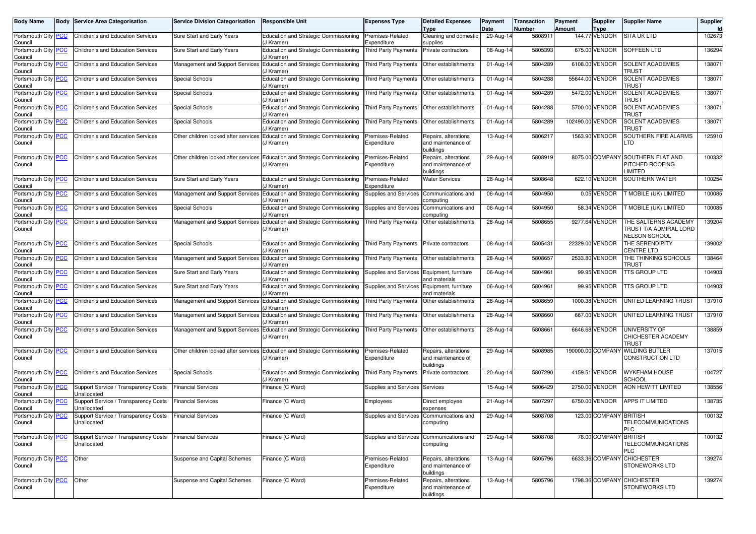| <b>Body Name</b>                      | <b>Body Service Area Categorisation</b>             | <b>Service Division Categorisation</b> | <b>Responsible Unit</b>                                                            | Expenses Type                              | <b>Detailed Expenses</b><br>Type                        | Payment<br>Date         | Transaction<br>Number | Payment<br><b>Amount</b> | <b>Supplier</b><br><b>Type</b> | <b>Supplier Name</b>                                                   | Supplier<br><b>Id</b> |
|---------------------------------------|-----------------------------------------------------|----------------------------------------|------------------------------------------------------------------------------------|--------------------------------------------|---------------------------------------------------------|-------------------------|-----------------------|--------------------------|--------------------------------|------------------------------------------------------------------------|-----------------------|
| Portsmouth City PCC<br>Council        | Children's and Education Services                   | Sure Start and Early Years             | <b>Education and Strategic Commissioning</b><br>J Kramer)                          | Premises-Related<br>Expenditure            | Cleaning and domestic<br>supplies                       | 29-Aug-14               | 5808911               |                          | 144.77 VENDOR                  | <b>SITA UK LTD</b>                                                     | 102673                |
| Portsmouth City PCC<br>Council        | Children's and Education Services                   | Sure Start and Early Years             | <b>Education and Strategic Commissioning</b><br>J Kramer)                          | Third Party Payments                       | Private contractors                                     | 08-Aug-14               | 5805393               |                          | 675.00 VENDOR                  | <b>SOFFEEN LTD</b>                                                     | 136294                |
| Portsmouth City <b>PCC</b><br>Council | <b>Children's and Education Services</b>            | Management and Support Services        | Education and Strategic Commissioning<br>J Kramer)                                 | <b>Third Party Payments</b>                | Other establishments                                    | 01-Aug-14               | 5804289               |                          | 6108.00 VENDOR                 | <b>SOLENT ACADEMIES</b><br>TRUST                                       | 138071                |
| Portsmouth City PCC<br>Council        | Children's and Education Services                   | <b>Special Schools</b>                 | Education and Strategic Commissioning<br>J Kramer)                                 | Third Party Payments                       | Other establishments                                    | $\overline{0}$ 1-Aug-14 | 5804288               |                          | 55644.00 VENDOR                | SOLENT ACADEMIES<br>Trust                                              | 138071                |
| Portsmouth City PCC<br>Council        | Children's and Education Services                   | <b>Special Schools</b>                 | Education and Strategic Commissioning<br>J Kramer)                                 | Third Party Payments                       | Other establishments                                    | 01-Aug-14               | 5804289               |                          | 5472.00 VENDOR                 | SOLENT ACADEMIES<br>TRUST                                              | 138071                |
| Portsmouth City PCC<br>Council        | <b>Children's and Education Services</b>            | Special Schools                        | <b>Education and Strategic Commissioning</b><br>J Kramer)                          | <b>Third Party Payments</b>                | Other establishments                                    | 01-Aug-14               | 5804288               |                          | 5700.00 VENDOR                 | SOLENT ACADEMIES<br>TRUST                                              | 138071                |
| Portsmouth City PCC<br>Council        | Children's and Education Services                   | Special Schools                        | Education and Strategic Commissioning<br>J Kramer)                                 | Third Party Payments                       | Other establishments                                    | 01-Aug-14               | 5804289               |                          | 102490.00 VENDOR               | SOLENT ACADEMIES<br>Trust                                              | 138071                |
| Portsmouth City PCC<br>Council        | Children's and Education Services                   | Other children looked after services   | Education and Strategic Commissioning<br>(J Kramer)                                | Premises-Related<br>Expenditure            | Repairs, alterations<br>and maintenance of<br>buildings | 13-Aug-14               | 5806217               |                          | 1563.90 VENDOR                 | SOUTHERN FIRE ALARMS<br>TD.                                            | 125910                |
| Portsmouth City PCC<br>Council        | Children's and Education Services                   | Other children looked after services   | <b>Education and Strategic Commissioning</b><br>(J Kramer)                         | Premises-Related<br>Expenditure            | Repairs, alterations<br>and maintenance of<br>buildings | 29-Aug-14               | 5808919               |                          | 8075.00 COMPANY                | SOUTHERN FLAT AND<br>PITCHED ROOFING<br>LIMITED                        | 100332                |
| Portsmouth City PCC<br>Council        | Children's and Education Services                   | Sure Start and Early Years             | <b>Education and Strategic Commissioning</b><br>J Kramer)                          | Premises-Related<br>Expenditure            | <b>Water Services</b>                                   | 28-Aug-14               | 5808648               |                          | 622.10 VENDOR                  | SOUTHERN WATER                                                         | 100254                |
| Portsmouth City PCC<br>Council        | <b>Children's and Education Services</b>            |                                        | Management and Support Services Education and Strategic Commissioning<br>J Kramer) | Supplies and Services                      | Communications and<br>computing                         | 06-Aug-14               | 5804950               |                          | 0.05 VENDOR                    | <b>T MOBILE (UK) LIMITED</b>                                           | 100085                |
| Portsmouth City <b>PCC</b><br>Council | Children's and Education Services                   | Special Schools                        | <b>Education and Strategic Commissioning</b><br>J Kramer)                          | Supplies and Services                      | Communications and<br>computing                         | 06-Aug-14               | 5804950               |                          | 58.34 VENDOR                   | T MOBILE (UK) LIMITED                                                  | 100085                |
| Portsmouth City PCC<br>Council        | Children's and Education Services                   | Management and Support Services        | Education and Strategic Commissioning<br>(J Kramer)                                | Third Party Payments                       | Other establishments                                    | 28-Aug-14               | 5808655               |                          | 9277.64 VENDOR                 | THE SALTERNS ACADEMY<br><b>FRUST T/A ADMIRAL LORD</b><br>NELSON SCHOOL | 139204                |
| Portsmouth City PCC<br>Council        | Children's and Education Services                   | Special Schools                        | <b>Education and Strategic Commissioning</b><br>J Kramer)                          | Third Party Payments                       | Private contractors                                     | 08-Aug-14               | 5805431               |                          | 22329.00 VENDOR                | THE SERENDIPITY<br>CENTRE LTD                                          | 139002                |
| Portsmouth City PCC<br>Council        | <b>Children's and Education Services</b>            | Management and Support Services        | Education and Strategic Commissioning<br>J Kramer)                                 | Third Party Payments                       | Other establishments                                    | 28-Aug-14               | 5808657               |                          | 2533.80 VENDOR                 | THE THINKING SCHOOLS<br>TRUST                                          | 138464                |
| Portsmouth City PCC<br>Council        | Children's and Education Services                   | Sure Start and Early Years             | <b>Education and Strategic Commissioning</b><br>J Kramer)                          | Supplies and Services Equipment, furniture | and materials                                           | 06-Aug-14               | 5804961               |                          | 99.95 VENDOR                   | TTS GROUP LTD                                                          | 104903                |
| Portsmouth City PCC<br>Council        | <b>Children's and Education Services</b>            | Sure Start and Early Years             | Education and Strategic Commissioning<br>J Kramer)                                 | Supplies and Services                      | Equipment, furniture<br>and materials                   | 06-Aug-14               | 5804961               |                          | 99.95 VENDOR                   | TTS GROUP LTD                                                          | 104903                |
| Portsmouth City PCC<br>Council        | Children's and Education Services                   | Management and Support Services        | Education and Strategic Commissioning<br>J Kramer)                                 | Third Party Payments                       | Other establishments                                    | 28-Aug-14               | 5808659               |                          | 1000.38 VENDOR                 | JNITED LEARNING TRUST                                                  | 137910                |
| Portsmouth City PCC<br>Council        | Children's and Education Services                   | Management and Support Services        | Education and Strategic Commissioning<br>J Kramer)                                 | Third Party Payments                       | Other establishments                                    | 28-Aug-14               | 5808660               |                          | 667.00 VENDOR                  | <b>JNITED LEARNING TRUST</b>                                           | 137910                |
| Portsmouth City PCC<br>Council        | Children's and Education Services                   | Management and Support Services        | <b>Education and Strategic Commissioning</b><br>J Kramer)                          | Third Party Payments                       | Other establishments                                    | 28-Aug-14               | 5808661               |                          | 6646.68 VENDOR                 | JNIVERSITY OF<br>CHICHESTER ACADEMY<br><b>TRUST</b>                    | 138859                |
| Portsmouth City PCC<br>Council        | Children's and Education Services                   | Other children looked after services   | Education and Strategic Commissioning<br>(J Kramer)                                | Premises-Related<br>Expenditure            | Repairs, alterations<br>and maintenance of<br>buildings | 29-Aug-14               | 5808985               |                          | 190000.00 COMPANY              | <b>WILDING BUTLER</b><br>CONSTRUCTION LTD                              | 137015                |
| Portsmouth City PCC<br>Council        | Children's and Education Services                   | Special Schools                        | <b>Education and Strategic Commissioning</b><br>J Kramer)                          | <b>Third Party Payments</b>                | Private contractors                                     | 20-Aug-14               | 5807290               |                          | 4159.51 VENDOR                 | <b>WYKEHAM HOUSE</b><br>SCHOOL                                         | 104727                |
| Portsmouth City PCC<br>Council        | Support Service / Transparency Costs<br>Unallocated | <b>Financial Services</b>              | Finance (C Ward)                                                                   | Supplies and Services                      | Services                                                | 15-Aug-14               | 5806429               |                          | 2750.00 VENDOR                 | <b>AON HEWITT LIMITED</b>                                              | 138556                |
| Portsmouth City PCC<br>Council        | Support Service / Transparency Costs<br>Unallocated | <b>Financial Services</b>              | Finance (C Ward)                                                                   | Employees                                  | Direct employee<br>expenses                             | 21-Aug-14               | 5807297               |                          | 6750.00 VENDOR                 | APPS IT LIMITED                                                        | 138735                |
| Portsmouth City PCC<br>Council        | Support Service / Transparency Costs<br>Unallocated | <b>Financial Services</b>              | Finance (C Ward)                                                                   | Supplies and Services                      | Communications and<br>computing                         | 29-Aug-14               | 5808708               |                          | 123.00 COMPANY BRITISH         | TELECOMMUNICATIONS<br>PLC                                              | 100132                |
| Portsmouth City PCC<br>Council        | Support Service / Transparency Costs<br>Unallocated | <b>Financial Services</b>              | Finance (C Ward)                                                                   | Supplies and Services                      | Communications and<br>computing                         | 29-Aug-14               | 5808708               |                          | 78.00 COMPANY BRITISH          | TELECOMMUNICATIONS<br><b>PLC</b>                                       | 100132                |
| Portsmouth City PCC<br>Council        | Other                                               | Suspense and Capital Schemes           | Finance (C Ward)                                                                   | Premises-Related<br>Expenditure            | Repairs, alterations<br>and maintenance of<br>buildings | 13-Aug-14               | 5805796               |                          |                                | 6633.36 COMPANY CHICHESTER<br><b>STONEWORKS LTD</b>                    | 139274                |
| Portsmouth City PCC<br>Council        | Other                                               | Suspense and Capital Schemes           | Finance (C Ward)                                                                   | Premises-Related<br>Expenditure            | Repairs, alterations<br>and maintenance of<br>buildings | 13-Aug-14               | 5805796               |                          |                                | 1798.36 COMPANY CHICHESTER<br><b>STONEWORKS LTD</b>                    | 139274                |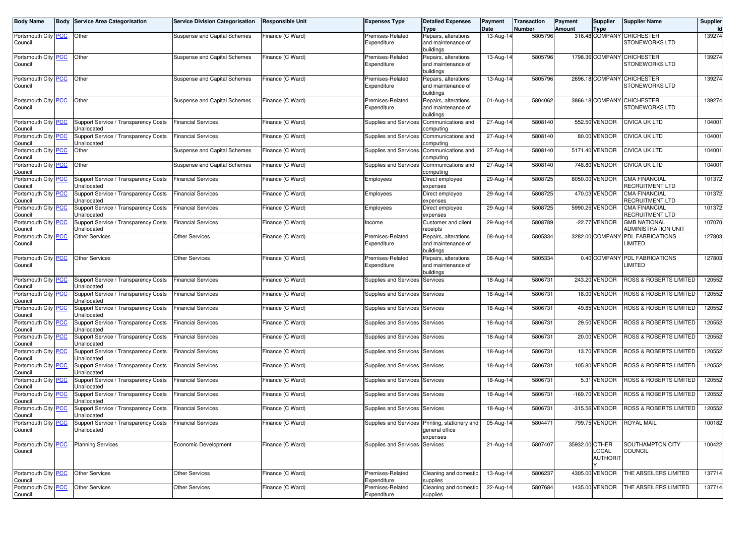| <b>Body Name</b>               | <b>Body Service Area Categorisation</b> | <b>Service Division Categorisation</b> | <b>Responsible Unit</b> | <b>Expenses Type</b>           | <b>Detailed Expenses</b><br><b>Type</b>          | Payment<br>Date | <b>Transaction</b><br><b>Number</b> | Payment<br><b>Amount</b> | Supplier<br>Type | <b>Supplier Name</b>                    | Supplier<br>Id |
|--------------------------------|-----------------------------------------|----------------------------------------|-------------------------|--------------------------------|--------------------------------------------------|-----------------|-------------------------------------|--------------------------|------------------|-----------------------------------------|----------------|
| Portsmouth City PCC            | Other                                   | <b>Suspense and Capital Schemes</b>    | Finance (C Ward)        | Premises-Related               | Repairs, alterations                             | 13-Aug-14       | 5805796                             |                          |                  | 316.48 COMPANY CHICHESTER               | 139274         |
| Council                        |                                         |                                        |                         | Expenditure                    | and maintenance of                               |                 |                                     |                          |                  | <b>STONEWORKS LTD</b>                   |                |
|                                |                                         |                                        |                         |                                | buildings                                        |                 |                                     |                          |                  |                                         |                |
| Portsmouth City   PCC          | Other                                   | <b>Suspense and Capital Schemes</b>    | Finance (C Ward)        | Premises-Related               | Repairs, alterations                             | 13-Aug-14       | 5805796                             |                          |                  | 1798.36 COMPANY CHICHESTER              | 139274         |
| Council                        |                                         |                                        |                         | Expenditure                    | and maintenance of                               |                 |                                     |                          |                  | <b>STONEWORKS LTD</b>                   |                |
|                                |                                         |                                        |                         |                                | buildings                                        |                 |                                     |                          |                  |                                         |                |
| Portsmouth City   PCC          | Other                                   | <b>Suspense and Capital Schemes</b>    | Finance (C Ward)        | Premises-Related               | Repairs, alterations                             | 13-Aug-14       | 5805796                             |                          |                  | 2696.18 COMPANY CHICHESTER              | 139274         |
| Council                        |                                         |                                        |                         | Expenditure                    | and maintenance of                               |                 |                                     |                          |                  | <b>STONEWORKS LTD</b>                   |                |
|                                |                                         |                                        |                         |                                | buildings                                        |                 |                                     |                          |                  |                                         |                |
| Portsmouth City PCC            | Other                                   | <b>Suspense and Capital Schemes</b>    | Finance (C Ward)        | Premises-Related               | Repairs, alterations                             | 01-Aug-14       | 5804062                             |                          |                  | 3866.18 COMPANY CHICHESTER              | 139274         |
| Council                        |                                         |                                        |                         | Expenditure                    | and maintenance of                               |                 |                                     |                          |                  | <b>STONEWORKS LTD</b>                   |                |
|                                |                                         |                                        |                         |                                | buildings                                        |                 |                                     |                          |                  |                                         |                |
| Portsmouth City   PCC          | Support Service / Transparency Costs    | <b>Financial Services</b>              | Finance (C Ward)        | Supplies and Services          | Communications and                               | 27-Aug-14       | 5808140                             |                          | 552.50 VENDOR    | <b>CIVICA UK LTD</b>                    | 104001         |
| Council                        | Unallocated                             |                                        |                         |                                | computing                                        |                 |                                     |                          |                  |                                         |                |
| Portsmouth City PCC            | Support Service / Transparency Costs    | <b>Financial Services</b>              | Finance (C Ward)        | <b>Supplies and Services</b>   | Communications and                               | 27-Aug-14       | 5808140                             |                          | 80.00 VENDOR     | <b>CIVICA UK LTD</b>                    | 104001         |
| Council                        | Unallocated                             |                                        |                         |                                | computing                                        |                 |                                     |                          |                  |                                         |                |
| Portsmouth City PCC            | Other                                   | Suspense and Capital Schemes           | Finance (C Ward)        | Supplies and Services          |                                                  |                 | 5808140                             |                          | 5171.40 VENDOR   | <b>CIVICA UK LTD</b>                    | 104001         |
| Council                        |                                         |                                        |                         |                                | Communications and<br>computing                  | 27-Aug-14       |                                     |                          |                  |                                         |                |
| Portsmouth City PCC            | Other                                   | <b>Suspense and Capital Schemes</b>    | Finance (C Ward)        | Supplies and Services          | Communications and                               | 27-Aug-14       | 5808140                             |                          | 748.80 VENDOR    | <b>CIVICA UK LTD</b>                    | 104001         |
| Council                        |                                         |                                        |                         |                                | computing                                        |                 |                                     |                          |                  |                                         |                |
|                                | Support Service / Transparency Costs    | <b>Financial Services</b>              | Finance (C Ward)        |                                |                                                  | 29-Aug-14       | 5808725                             |                          | 8050.00 VENDOR   | <b>CMA FINANCIAL</b>                    | 101372         |
| Portsmouth City PCC<br>Council | Unallocated                             |                                        |                         | Employees                      | Direct employee<br>expenses                      |                 |                                     |                          |                  | RECRUITMENT LTD                         |                |
| Portsmouth City PCC            | Support Service / Transparency Costs    | <b>Financial Services</b>              | Finance (C Ward)        |                                |                                                  | 29-Aug-14       | 5808725                             |                          | 470.03 VENDOR    | <b>CMA FINANCIAL</b>                    | 101372         |
| Council                        | Jnallocated                             |                                        |                         | Employees                      | Direct employee                                  |                 |                                     |                          |                  | <b>RECRUITMENT LTD</b>                  |                |
|                                |                                         |                                        | Finance (C Ward)        |                                | expenses                                         |                 |                                     |                          | 5990.25 VENDOR   | <b>CMA FINANCIAL</b>                    | 101372         |
| Portsmouth City PCC            | Support Service / Transparency Costs    | <b>Financial Services</b>              |                         | Employees                      | Direct employee                                  | 29-Aug-14       | 5808725                             |                          |                  |                                         |                |
| Council                        | Unallocated                             |                                        |                         |                                | expenses                                         |                 |                                     |                          |                  | RECRUITMENT LTD                         |                |
| Portsmouth City PCC            | Support Service / Transparency Costs    | <b>Financial Services</b>              | Finance (C Ward)        | Income                         | Customer and client                              | 29-Aug-14       | 5808789                             |                          | -22.77 VENDOR    | <b>GMB NATIONAL</b>                     | 107070         |
| Council                        | Jnallocated                             |                                        |                         |                                | receipts                                         |                 |                                     |                          |                  | ADMINISTRATION UNIT<br>PDL FABRICATIONS |                |
| Portsmouth City PCC            | <b>Other Services</b>                   | <b>Other Services</b>                  | Finance (C Ward)        | Premises-Related               | Repairs, alterations                             | 08-Aug-14       | 5805334                             |                          | 3282.00 COMPANY  |                                         | 127803         |
| Council                        |                                         |                                        |                         | Expenditure                    | and maintenance of                               |                 |                                     |                          |                  | <b>LIMITED</b>                          |                |
|                                |                                         |                                        |                         |                                | buildings                                        |                 |                                     |                          |                  |                                         |                |
| Portsmouth City PCC            | <b>Other Services</b>                   | <b>Other Services</b>                  | Finance (C Ward)        | Premises-Related               | Repairs, alterations                             | 08-Aug-14       | 5805334                             |                          | 0.40 COMPANY     | PDL FABRICATIONS                        | 127803         |
| Council                        |                                         |                                        |                         | Expenditure                    | and maintenance of                               |                 |                                     |                          |                  | <b>LIMITED</b>                          |                |
|                                |                                         |                                        |                         |                                | buildings                                        |                 |                                     |                          |                  |                                         |                |
| Portsmouth City PCC            | Support Service / Transparency Costs    | <b>Financial Services</b>              | Finance (C Ward)        | Supplies and Services          | Services                                         | 18-Aug-14       | 5806731                             |                          | 243.20 VENDOR    | ROSS & ROBERTS LIMITED                  | 120552         |
| Council                        | Jnallocated                             |                                        |                         |                                |                                                  |                 |                                     |                          |                  |                                         |                |
| Portsmouth City PCC            | Support Service / Transparency Costs    | <b>Financial Services</b>              | Finance (C Ward)        | Supplies and Services Services |                                                  | 18-Aug-14       | 5806731                             |                          | 18.00 VENDOR     | ROSS & ROBERTS LIMITED                  | 120552         |
| Council                        | Unallocated                             |                                        |                         |                                |                                                  |                 |                                     |                          |                  |                                         |                |
| Portsmouth City PCC            | Support Service / Transparency Costs    | <b>Financial Services</b>              | Finance (C Ward)        | Supplies and Services          | Services                                         | 18-Aug-14       | 5806731                             |                          | 49.85 VENDOR     | ROSS & ROBERTS LIMITED                  | 120552         |
| Council                        | Jnallocated                             |                                        |                         |                                |                                                  |                 |                                     |                          |                  |                                         |                |
| Portsmouth City PCC            | Support Service / Transparency Costs    | <b>Financial Services</b>              | Finance (C Ward)        | Supplies and Services          | Services                                         | 18-Aug-14       | 5806731                             |                          | 29.50 VENDOR     | ROSS & ROBERTS LIMITED                  | 120552         |
| Council                        | Jnallocated                             |                                        |                         |                                |                                                  |                 |                                     |                          |                  |                                         |                |
| Portsmouth City PCC            | Support Service / Transparency Costs    | <b>Financial Services</b>              | Finance (C Ward)        | Supplies and Services Services |                                                  | 18-Aug-14       | 5806731                             |                          | 20.00 VENDOR     | ROSS & ROBERTS LIMITED                  | 120552         |
| Council                        | Unallocated                             |                                        |                         |                                |                                                  |                 |                                     |                          |                  |                                         |                |
| Portsmouth City PCC            | Support Service / Transparency Costs    | <b>Financial Services</b>              | Finance (C Ward)        | Supplies and Services          | Services                                         | 18-Aug-14       | 5806731                             |                          | 13.70 VENDOR     | ROSS & ROBERTS LIMITED                  | 120552         |
| Council                        | Jnallocated                             |                                        |                         |                                |                                                  |                 |                                     |                          |                  |                                         |                |
| Portsmouth City PCC            | Support Service / Transparency Costs    | <b>Financial Services</b>              | Finance (C Ward)        | Supplies and Services          | Services                                         | 18-Aug-14       | 5806731                             |                          | 105.80 VENDOR    | ROSS & ROBERTS LIMITED                  | 120552         |
| Council                        | Unallocated                             |                                        |                         |                                |                                                  |                 |                                     |                          |                  |                                         |                |
| Portsmouth City PCC            | Support Service / Transparency Costs    | <b>Financial Services</b>              | Finance (C Ward)        | Supplies and Services Services |                                                  | 18-Aug-14       | 5806731                             |                          | 5.31 VENDOR      | <b>ROSS &amp; ROBERTS LIMITED</b>       | 120552         |
| Council                        | Unallocated                             |                                        |                         |                                |                                                  |                 |                                     |                          |                  |                                         |                |
| Portsmouth City PCC            | Support Service / Transparency Costs    | <b>Financial Services</b>              | Finance (C Ward)        | Supplies and Services          | Services                                         | 18-Aug-14       | 5806731                             |                          | -169.70 VENDOR   | <b>ROSS &amp; ROBERTS LIMITED</b>       | 120552         |
| Council                        | Jnallocated                             |                                        |                         |                                |                                                  |                 |                                     |                          |                  |                                         |                |
| Portsmouth City PCC            | Support Service / Transparency Costs    | <b>Financial Services</b>              | Finance (C Ward)        | Supplies and Services          | Services                                         | 18-Aug-14       | 5806731                             |                          | -315.56 VENDOR   | ROSS & ROBERTS LIMITED                  | 120552         |
| Council                        | Unallocated                             |                                        |                         |                                |                                                  |                 |                                     |                          |                  |                                         |                |
| Portsmouth City <b>PCC</b>     | Support Service / Transparency Costs    | <b>Financial Services</b>              | Finance (C Ward)        |                                | Supplies and Services Printing, stationery and I | 05-Aug-14       | 5804471                             |                          | 799.75 VENDOR    | <b>ROYAL MAIL</b>                       | 100182         |
| Council                        | Unallocated                             |                                        |                         |                                | general office                                   |                 |                                     |                          |                  |                                         |                |
|                                |                                         |                                        |                         |                                | expenses                                         |                 |                                     |                          |                  |                                         |                |
| Portsmouth City PCC            | <b>Planning Services</b>                | Economic Development                   | Finance (C Ward)        | Supplies and Services Services |                                                  | 21-Aug-14       | 5807407                             | 35932.00 OTHER           |                  | SOUTHAMPTON CITY                        | 100422         |
| Council                        |                                         |                                        |                         |                                |                                                  |                 |                                     |                          | LOCAL            | <b>COUNCIL</b>                          |                |
|                                |                                         |                                        |                         |                                |                                                  |                 |                                     |                          | <b>AUTHORIT</b>  |                                         |                |
|                                |                                         |                                        |                         |                                |                                                  |                 |                                     |                          |                  |                                         |                |
| Portsmouth City PCC            | <b>Other Services</b>                   | Other Services                         | Finance (C Ward)        | Premises-Related               | Cleaning and domestic                            | 13-Aug-14       | 5806237                             |                          | 4305.00 VENDOR   | THE ABSEILERS LIMITED                   | 137714         |
| Council                        |                                         |                                        |                         | Expenditure                    | supplies                                         |                 |                                     |                          |                  |                                         |                |
| Portsmouth City PCC            | <b>Other Services</b>                   | <b>Other Services</b>                  | Finance (C Ward)        | Premises-Related               | Cleaning and domestic                            | 22-Aug-14       | 5807684                             |                          | 1435.00 VENDOR   | THE ABSEILERS LIMITED                   | 137714         |
| Council                        |                                         |                                        |                         | Expenditure                    | supplies                                         |                 |                                     |                          |                  |                                         |                |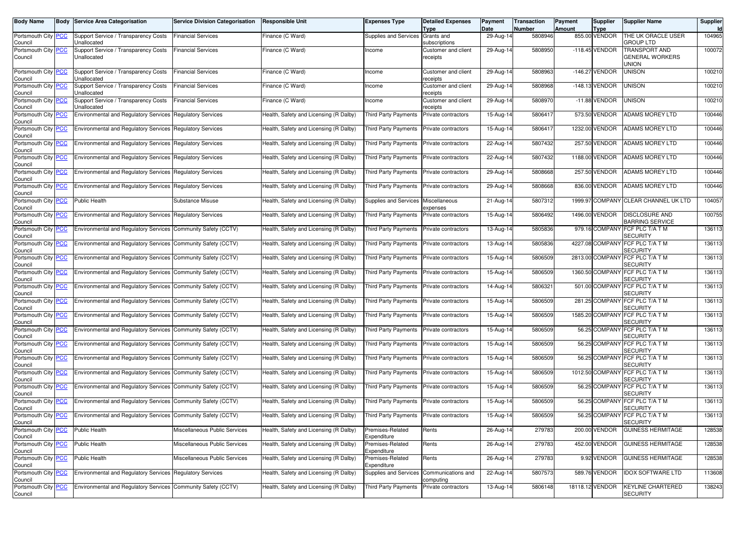| <b>Body Name</b>                      | <b>Body Service Area Categorisation</b>                          | <b>Service Division Categorisation</b> | Responsible Unit                       | Expenses Type                            | <b>Detailed Expenses</b><br>Type       | Payment<br>Date | <b>Transaction</b><br><b>Number</b> | Payment<br>Amount | Supplier<br><b>Type</b> | <b>Supplier Name</b>                              | Supplier |
|---------------------------------------|------------------------------------------------------------------|----------------------------------------|----------------------------------------|------------------------------------------|----------------------------------------|-----------------|-------------------------------------|-------------------|-------------------------|---------------------------------------------------|----------|
| Portsmouth City   PCC<br>Council      | Support Service / Transparency Costs<br>Unallocated              | <b>Financial Services</b>              | Finance (C Ward)                       | Supplies and Services                    | Grants and<br>subscriptions            | 29-Aug-14       | 5808946                             |                   | 855.00 VENDOR           | THE UK ORACLE USER<br><b>GROUP LTD</b>            | 104965   |
| Portsmouth City PCC<br>Council        | Support Service / Transparency Costs<br>Unallocated              | <b>Financial Services</b>              | Finance (C Ward)                       | ncome                                    | Customer and client<br>receipts        | 29-Aug-14       | 5808950                             |                   | -118.45 VENDOR          | TRANSPORT AND<br>GENERAL WORKERS<br>UNION         | 100072   |
| Portsmouth City PCC<br>Council        | Support Service / Transparency Costs<br>Unallocated              | <b>Financial Services</b>              | Finance (C Ward)                       | ncome                                    | <b>Customer and client</b><br>receipts | 29-Aug-14       | 5808963                             |                   | -146.27 VENDOR          | <b>UNISON</b>                                     | 100210   |
| Portsmouth City PCC<br>Council        | Support Service / Transparency Costs<br>Jnallocated              | <b>Financial Services</b>              | Finance (C Ward)                       | ncome                                    | Customer and client<br>receipts        | 29-Aug-14       | 5808968                             |                   | -148.13 VENDOR          | <b>UNISON</b>                                     | 100210   |
| Portsmouth City PCC<br>Council        | Support Service / Transparency Costs<br>Unallocated              | <b>Financial Services</b>              | Finance (C Ward)                       | ncome                                    | Customer and client<br>receipts        | 29-Aug-14       | 5808970                             |                   | $-11.88$ VENDOR         | <b>UNISON</b>                                     | 100210   |
| Portsmouth City PCC<br>Council        | Environmental and Regulatory Services Regulatory Services        |                                        | Health, Safety and Licensing (R Dalby) | <b>Third Party Payments</b>              | Private contractors                    | 15-Aug-14       | 5806417                             |                   | 573.50 VENDOR           | <b>ADAMS MOREY LTD</b>                            | 100446   |
| Portsmouth City PCC<br>Council        | <b>Environmental and Regulatory Services Regulatory Services</b> |                                        | Health, Safety and Licensing (R Dalby) | <b>Third Party Payments</b>              | Private contractors                    | 15-Aug-14       | 5806417                             |                   | 1232.00 VENDOR          | ADAMS MOREY LTD                                   | 100446   |
| Portsmouth City PCC<br>Council        | <b>Environmental and Regulatory Services Regulatory Services</b> |                                        | Health, Safety and Licensing (R Dalby) | <b>Third Party Payments</b>              | Private contractors                    | 22-Aug-14       | 5807432                             |                   | 257.50 VENDOR           | ADAMS MOREY LTD                                   | 100446   |
| Portsmouth City <b>PCC</b><br>Council | <b>Environmental and Regulatory Services Regulatory Services</b> |                                        | Health, Safety and Licensing (R Dalby) | <b>Third Party Payments</b>              | Private contractors                    | 22-Aug-14       | 5807432                             |                   | 1188.00 VENDOR          | ADAMS MOREY LTD                                   | 100446   |
| Portsmouth City PCC<br>Council        | <b>Environmental and Regulatory Services Regulatory Services</b> |                                        | Health, Safety and Licensing (R Dalby) | Third Party Payments                     | Private contractors                    | 29-Aug-14       | 5808668                             |                   | 257.50 VENDOR           | <b>ADAMS MOREY LTD</b>                            | 100446   |
| Portsmouth City PCC<br>Council        | <b>Environmental and Regulatory Services Regulatory Services</b> |                                        | Health, Safety and Licensing (R Dalby) | <b>Third Party Payments</b>              | Private contractors                    | 29-Aug-14       | 5808668                             |                   | 836.00 VENDOR           | <b>ADAMS MOREY LTD</b>                            | 100446   |
| Portsmouth City PCC<br>Council        | <b>Public Health</b>                                             | Substance Misuse                       | Health, Safety and Licensing (R Dalby) | Supplies and Services                    | Miscellaneous<br>expenses              | 21-Aug-14       | 5807312                             |                   |                         | 1999.97 COMPANY CLEAR CHANNEL UK LTD              | 104057   |
| Portsmouth City PCC<br>Council        | <b>Environmental and Regulatory Services Regulatory Services</b> |                                        | Health, Safety and Licensing (R Dalby) | <b>Third Party Payments</b>              | Private contractors                    | 15-Aug-14       | 5806492                             |                   | 1496.00 VENDOR          | DISCLOSURE AND<br><b>BARRING SERVICE</b>          | 100755   |
| Portsmouth City PCC<br>Council        | Environmental and Regulatory Services Community Safety (CCTV)    |                                        | Health, Safety and Licensing (R Dalby) | <b>Third Party Payments</b>              | Private contractors                    | 13-Aug-14       | 5805836                             |                   |                         | 979.16 COMPANY FCF PLC T/A T M<br><b>SECURITY</b> | 136113   |
| Portsmouth City PCC<br>Council        | Environmental and Regulatory Services Community Safety (CCTV)    |                                        | Health, Safety and Licensing (R Dalby) | Third Party Payments                     | Private contractors                    | 13-Aug-14       | 5805836                             |                   |                         | 4227.08 COMPANY FCF PLC T/A T M<br>SECURITY       | 136113   |
| Portsmouth City PCC<br>Council        | Environmental and Regulatory Services Community Safety (CCTV)    |                                        | Health, Safety and Licensing (R Dalby) | <b>Third Party Payments</b>              | Private contractors                    | 15-Aug-14       | 5806509                             |                   |                         | 2813.00 COMPANY FCF PLC T/A T M<br>SECURITY       | 136113   |
| Portsmouth City PCC<br>Council        | Environmental and Regulatory Services Community Safety (CCTV)    |                                        | Health, Safety and Licensing (R Dalby) | Third Party Payments                     | Private contractors                    | 15-Aug-14       | 5806509                             |                   |                         | 1360.50 COMPANY FCF PLC T/A T M<br>SECURITY       | 136113   |
| Portsmouth City   PCC<br>Council      | Environmental and Regulatory Services Community Safety (CCTV)    |                                        | Health, Safety and Licensing (R Dalby) | Third Party Payments                     | Private contractors                    | 14-Aug-14       | 580632                              |                   |                         | 501.00 COMPANY FCF PLC T/A T M<br>SECURITY        | 136113   |
| Portsmouth City PCC<br>Council        | Environmental and Regulatory Services Community Safety (CCTV)    |                                        | Health, Safety and Licensing (R Dalby) | Third Party Payments                     | Private contractors                    | 15-Aug-14       | 5806509                             |                   |                         | 281.25 COMPANY FCF PLC T/A T M<br>SECURITY        | 136113   |
| Portsmouth City PCC<br>Council        | Environmental and Regulatory Services Community Safety (CCTV)    |                                        | Health, Safety and Licensing (R Dalby) | <b>Third Party Payments</b>              | Private contractors                    | 15-Aug-14       | 5806509                             |                   |                         | 1585.20 COMPANY FCF PLC T/A T M<br>SECURITY       | 136113   |
| Portsmouth City PCC<br>Council        | Environmental and Regulatory Services Community Safety (CCTV)    |                                        | Health, Safety and Licensing (R Dalby) | Third Party Payments                     | Private contractors                    | 15-Aug-14       | 5806509                             |                   |                         | 56.25 COMPANY FCF PLC T/A T M<br>SECURITY         | 136113   |
| Portsmouth City PCC<br>Council        | Environmental and Regulatory Services Community Safety (CCTV)    |                                        | Health, Safety and Licensing (R Dalby) | Third Party Payments                     | Private contractors                    | 15-Aug-14       | 5806509                             |                   |                         | 56.25 COMPANY FCF PLC T/A T M<br>SECURITY         | 136113   |
| Portsmouth City PCC<br>Council        | Environmental and Regulatory Services Community Safety (CCTV)    |                                        | Health, Safety and Licensing (R Dalby) | <b>Third Party Payments</b>              | Private contractors                    | 15-Aug-14       | 5806509                             |                   |                         | 56.25 COMPANY FCF PLC T/A T M<br><b>SECURITY</b>  | 136113   |
| Portsmouth City PCC<br>Council        | Environmental and Regulatory Services Community Safety (CCTV)    |                                        | Health, Safety and Licensing (R Dalby) | Third Party Payments                     | Private contractors                    | 15-Aug-14       | 5806509                             |                   |                         | 1012.50 COMPANY FCF PLC T/A T M<br>SECURITY       | 136113   |
| Portsmouth City PCC<br>Council        | Environmental and Regulatory Services Community Safety (CCTV)    |                                        | Health, Safety and Licensing (R Dalby) | <b>Third Party Payments</b>              | Private contractors                    | 15-Aug-14       | 5806509                             |                   |                         | 56.25 COMPANY FCF PLC T/A T M<br><b>SECURITY</b>  | 136113   |
| Portsmouth City PCC<br>Council        | Environmental and Regulatory Services Community Safety (CCTV)    |                                        | Health, Safety and Licensing (R Dalby) | <b>Third Party Payments</b>              | Private contractors                    | 15-Aug-14       | 5806509                             |                   |                         | 56.25 COMPANY FCF PLC T/A T M<br>SECURITY         | 136113   |
| Portsmouth City PCC<br>Council        | Environmental and Regulatory Services Community Safety (CCTV)    |                                        | Health, Safety and Licensing (R Dalby) | Third Party Payments Private contractors |                                        | 15-Aug-14       | 5806509                             |                   |                         | 56.25 COMPANY FCF PLC T/A T M<br>SECURITY         | 136113   |
| Portsmouth City PCC<br>Council        | Public Health                                                    | Miscellaneous Public Services          | Health, Safety and Licensing (R Dalby) | Premises-Related<br>Expenditure          | Rents                                  | 26-Aug-14       | 279783                              |                   | 200.00 VENDOR           | <b>GUINESS HERMITAGE</b>                          | 128538   |
| Portsmouth City PCC<br>Council        | Public Health                                                    | Miscellaneous Public Services          | Health, Safety and Licensing (R Dalby) | Premises-Related<br>Expenditure          | Rents                                  | 26-Aug-14       | 279783                              |                   | 452.00 VENDOR           | <b>GUINESS HERMITAGE</b>                          | 128538   |
| Portsmouth City PCC<br>Council        | Public Health                                                    | Miscellaneous Public Services          | Health, Safety and Licensing (R Dalby) | Premises-Related<br>Expenditure          | Rents                                  | 26-Aug-14       | 279783                              |                   | 9.92 VENDOR             | <b>GUINESS HERMITAGE</b>                          | 128538   |
| Portsmouth City PCC<br>Council        | Environmental and Regulatory Services Regulatory Services        |                                        | Health, Safety and Licensing (R Dalby) | <b>Supplies and Services</b>             | Communications and<br>computing        | 22-Aug-14       | 5807573                             |                   | 589.76 VENDOR           | <b>DOX SOFTWARE LTD</b>                           | 113608   |
| Portsmouth City PCC<br>Council        | Environmental and Regulatory Services Community Safety (CCTV)    |                                        | Health, Safety and Licensing (R Dalby) | <b>Third Party Payments</b>              | Private contractors                    | 13-Aug-14       | 5806148                             |                   | 18118.12 VENDOR         | <b>KEYLINE CHARTERED</b><br><b>SECURITY</b>       | 138243   |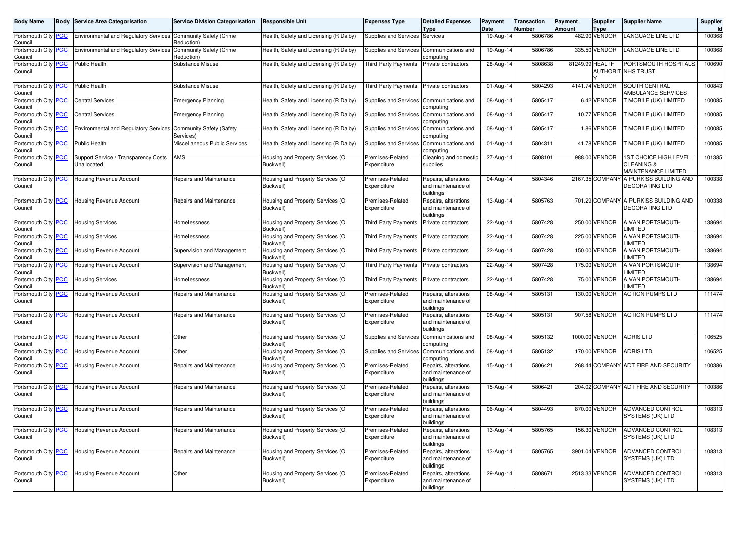| Body Name                             |            | <b>Body Service Area Categorisation</b>             | <b>Service Division Categorisation</b> | Responsible Unit                              | <b>Expenses Type</b>            | <b>Detailed Expenses</b><br>Type                        | Payment<br>Date | Transaction<br>Number | <b>Payment</b><br>Amount | <b>Supplier</b><br><b>Type</b> | <b>Supplier Name</b>                                       | Supplier<br><b>Id</b> |
|---------------------------------------|------------|-----------------------------------------------------|----------------------------------------|-----------------------------------------------|---------------------------------|---------------------------------------------------------|-----------------|-----------------------|--------------------------|--------------------------------|------------------------------------------------------------|-----------------------|
| Portsmouth City<br>Council            | <b>PCC</b> | <b>Environmental and Regulatory Services</b>        | Community Safety (Crime<br>Reduction)  | Health, Safety and Licensing (R Dalby)        | Supplies and Services           | Services                                                | 19-Aug-14       | 5806786               |                          | 482.90 VENDOR                  | LANGUAGE LINE LTD                                          | 100368                |
| Portsmouth City<br>Council            | <b>PCC</b> | <b>Environmental and Regulatory Services</b>        | Community Safety (Crime<br>Reduction)  | Health, Safety and Licensing (R Dalby)        | Supplies and Services           | Communications and<br>computing                         | 19-Aug-14       | 5806786               |                          | 335.50 VENDOR                  | LANGUAGE LINE LTD                                          | 100368                |
| Portsmouth City<br>Council            | <b>PCC</b> | Public Health                                       | Substance Misuse                       | Health, Safety and Licensing (R Dalby)        | Third Party Payments            | Private contractors                                     | 28-Aug-14       | 5808638               | 81249.99 HEALTH          |                                | PORTSMOUTH HOSPITALS<br><b>AUTHORIT NHS TRUST</b>          | 100690                |
| Portsmouth City PCC<br>Council        |            | Public Health                                       | Substance Misuse                       | Health, Safety and Licensing (R Dalby)        | Third Party Payments            | Private contractors                                     | 01-Aug-14       | 5804293               |                          | 4141.74 VENDOR                 | SOUTH CENTRAL<br><b>AMBULANCE SERVICES</b>                 | 100843                |
| Portsmouth City PCC<br>Council        |            | <b>Central Services</b>                             | <b>Emergency Planning</b>              | Health, Safety and Licensing (R Dalby)        | Supplies and Services           | Communications and<br>computing                         | 08-Aug-14       | 5805417               |                          | 6.42 VENDOR                    | T MOBILE (UK) LIMITED                                      | 100085                |
| Portsmouth City PCC<br>Council        |            | <b>Central Services</b>                             | <b>Emergency Planning</b>              | Health, Safety and Licensing (R Dalby)        | Supplies and Services           | Communications and<br>computing                         | 08-Aug-14       | 5805417               |                          | 10.77 VENDOR                   | T MOBILE (UK) LIMITED                                      | 100085                |
| Portsmouth City<br>Council            | <b>PCC</b> | <b>Environmental and Regulatory Services</b>        | Community Safety (Safety<br>Services)  | Health, Safety and Licensing (R Dalby)        | Supplies and Services           | Communications and<br>computing                         | 08-Aug-14       | 5805417               |                          | 1.86 VENDOR                    | <b>T MOBILE (UK) LIMITED</b>                               | 100085                |
| Portsmouth City PCC<br>Council        |            | <b>Public Health</b>                                | Miscellaneous Public Services          | Health, Safety and Licensing (R Dalby)        | Supplies and Services           | Communications and<br>computing                         | 01-Aug-14       | 5804311               |                          | 41.78 VENDOR                   | T MOBILE (UK) LIMITED                                      | 100085                |
| Portsmouth City PCC<br>Council        |            | Support Service / Transparency Costs<br>Unallocated | AMS                                    | Housing and Property Services (O<br>Buckwell) | Premises-Related<br>Expenditure | Cleaning and domestic<br>supplies                       | 27-Aug-14       | 5808101               |                          | 988.00 VENDOR                  | 1ST CHOICE HIGH LEVEL<br>CLEANING &<br>MAINTENANCE LIMITED | 101385                |
| Portsmouth City<br>Council            | <b>PCC</b> | Housing Revenue Account                             | Repairs and Maintenance                | Housing and Property Services (O<br>Buckwell) | Premises-Related<br>Expenditure | Repairs, alterations<br>and maintenance of<br>buildings | 04-Aug-14       | 5804346               |                          | 2167.35 COMPANY                | A PURKISS BUILDING AND<br>DECORATING LTD                   | 100338                |
| Portsmouth City PCC<br>Council        |            | Housing Revenue Account                             | Repairs and Maintenance                | Housing and Property Services (O<br>Buckwell) | Premises-Related<br>Expenditure | Repairs, alterations<br>and maintenance of<br>buildings | 13-Aug-14       | 5805763               |                          | 701.29 COMPANY                 | A PURKISS BUILDING AND<br>DECORATING LTD                   | 100338                |
| Portsmouth City PCC<br>Council        |            | <b>Housing Services</b>                             | Homelessness                           | Housing and Property Services (O<br>Buckwell) | <b>Third Party Payments</b>     | Private contractors                                     | 22-Aug-14       | 5807428               |                          | 250.00 VENDOR                  | A VAN PORTSMOUTH<br>_IMITED                                | 138694                |
| Portsmouth City PCC<br>Council        |            | <b>Housing Services</b>                             | Homelessness                           | Housing and Property Services (O<br>Buckwell) | Third Party Payments            | Private contractors                                     | 22-Aug-14       | 5807428               |                          | 225.00 VENDOR                  | A VAN PORTSMOUTH<br><b>IMITED</b>                          | 138694                |
| Portsmouth City PCC<br>Council        |            | Housing Revenue Account                             | Supervision and Management             | Housing and Property Services (O<br>Buckwell) | <b>Third Party Payments</b>     | Private contractors                                     | 22-Aug-14       | 5807428               |                          | 150.00 VENDOR                  | A VAN PORTSMOUTH<br>LIMITED                                | 138694                |
| Portsmouth City<br>Council            | <u>PCC</u> | Housing Revenue Account                             | Supervision and Management             | Housing and Property Services (O<br>Buckwell) | <b>Third Party Payments</b>     | Private contractors                                     | 22-Aug-14       | 5807428               |                          | 175.00 VENDOR                  | A VAN PORTSMOUTH<br><b>IMITED</b>                          | 138694                |
| Portsmouth City PCC<br>Council        |            | <b>Housing Services</b>                             | Homelessness                           | Housing and Property Services (O<br>Buckwell) | Third Party Payments            | Private contractors                                     | 22-Aug-14       | 5807428               |                          | 75.00 VENDOR                   | A VAN PORTSMOUTH<br><b>IMITED</b>                          | 138694                |
| Portsmouth City<br>Council            | <b>PCC</b> | Housing Revenue Account                             | Repairs and Maintenance                | Housing and Property Services (O<br>Buckwell) | Premises-Related<br>Expenditure | Repairs, alterations<br>and maintenance of<br>buildings | 08-Aug-14       | 5805131               |                          | 130.00 VENDOR                  | <b>ACTION PUMPS LTD</b>                                    | 111474                |
| Portsmouth City PCC<br>Council        |            | Housing Revenue Account                             | Repairs and Maintenance                | Housing and Property Services (O<br>Buckwell) | Premises-Related<br>Expenditure | Repairs, alterations<br>and maintenance of<br>buildings | 08-Aug-14       | 5805131               |                          | 907.58 VENDOR                  | <b>ACTION PUMPS LTD</b>                                    | 111474                |
| Portsmouth City PCC<br>Council        |            | <b>Housing Revenue Account</b>                      | Other                                  | Housing and Property Services (O<br>Buckwell) | Supplies and Services           | Communications and<br>computing                         | 08-Aug-14       | 5805132               |                          | 1000.00 VENDOR                 | <b>ADRIS LTD</b>                                           | 106525                |
| Portsmouth City<br>Council            | <b>PCC</b> | Housing Revenue Account                             | Other                                  | Housing and Property Services (O<br>Buckwell) | Supplies and Services           | Communications and<br>computing                         | 08-Aug-14       | 5805132               |                          | 170.00 VENDOR                  | <b>ADRIS LTD</b>                                           | 106525                |
| Portsmouth City PCC<br>Council        |            | <b>Housing Revenue Account</b>                      | Repairs and Maintenance                | Housing and Property Services (O<br>Buckwell) | Premises-Related<br>Expenditure | Repairs, alterations<br>and maintenance of<br>buildings | 15-Aug-14       | 5806421               |                          |                                | 268.44 COMPANY ADT FIRE AND SECURITY                       | 100386                |
| Portsmouth City PCC<br>Council        |            | <b>Housing Revenue Account</b>                      | Repairs and Maintenance                | Housing and Property Services (O<br>Buckwell) | Premises-Related<br>Expenditure | Repairs, alterations<br>and maintenance of<br>buildings | 15-Aug-14       | 5806421               |                          |                                | 204.02 COMPANY ADT FIRE AND SECURITY                       | 100386                |
| Portsmouth City PCC<br>Council        |            | <b>Housing Revenue Account</b>                      | Repairs and Maintenance                | Housing and Property Services (O<br>Buckwell) | Premises-Related<br>Expenditure | Repairs, alterations<br>and maintenance of<br>buildings | 06-Aug-14       | 5804493               |                          | 870.00 VENDOR                  | ADVANCED CONTROL<br>SYSTEMS (UK) LTD                       | 108313                |
| Portsmouth City PCC<br>Council        |            | <b>Housing Revenue Account</b>                      | Repairs and Maintenance                | Housing and Property Services (O<br>Buckwell) | Premises-Related<br>Expenditure | Repairs, alterations<br>and maintenance of<br>buildings | 13-Aug-14       | 5805765               |                          | 156.30 VENDOR                  | ADVANCED CONTROL<br>SYSTEMS (UK) LTD                       | 108313                |
| Portsmouth City <b>PCC</b><br>Council |            | Housing Revenue Account                             | Repairs and Maintenance                | Housing and Property Services (O<br>Buckwell) | Premises-Related<br>Expenditure | Repairs, alterations<br>and maintenance of<br>buildings | 13-Aug-14       | 5805765               |                          | 3901.04 VENDOR                 | ADVANCED CONTROL<br>SYSTEMS (UK) LTD                       | 108313                |
| Portsmouth City <b>PCC</b><br>Council |            | Housing Revenue Account                             | Other                                  | Housing and Property Services (O<br>Buckwell) | Premises-Related<br>Expenditure | Repairs, alterations<br>and maintenance of<br>buildings | 29-Aug-14       | 5808671               |                          | 2513.33 VENDOR                 | ADVANCED CONTROL<br>SYSTEMS (UK) LTD                       | 108313                |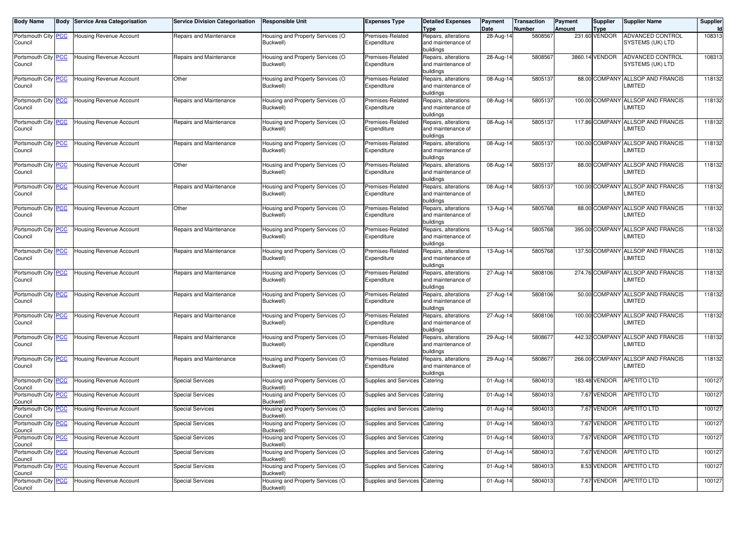| <b>Body Name</b>                 | <b>Body Service Area Categorisation</b> | <b>Service Division Categorisation</b> | <b>Responsible Unit</b>                       | Expenses Type                   | <b>Detailed Expenses</b><br><b>Type</b>                 | Payment<br>Date | <b>Transaction</b><br>Number | Payment<br><b>Amount</b> | Supplier<br><b>Type</b> | <b>Supplier Name</b>                         | Supplier<br>Id |
|----------------------------------|-----------------------------------------|----------------------------------------|-----------------------------------------------|---------------------------------|---------------------------------------------------------|-----------------|------------------------------|--------------------------|-------------------------|----------------------------------------------|----------------|
| Portsmouth City PCC<br>Council   | Housing Revenue Account                 | Repairs and Maintenance                | lousing and Property Services (O<br>Buckwell) | Premises-Related<br>Expenditure | Repairs, alterations<br>and maintenance of<br>buildings | 28-Aug-14       | 5808567                      |                          | 231.60 VENDOR           | ADVANCED CONTROL<br>SYSTEMS (UK) LTD         | 108313         |
| Portsmouth City PCC<br>Council   | Housing Revenue Account                 | Repairs and Maintenance                | lousing and Property Services (O<br>Buckwell) | Premises-Related<br>Expenditure | Repairs, alterations<br>and maintenance of<br>buildings | 28-Aug-14       | 5808567                      |                          | 3860.14 VENDOR          | ADVANCED CONTROL<br>SYSTEMS (UK) LTD         | 108313         |
| Portsmouth City PCC<br>Council   | Housing Revenue Account                 | Other                                  | Housing and Property Services (O<br>Buckwell) | Premises-Related<br>Expenditure | Repairs, alterations<br>and maintenance of<br>buildings | 08-Aug-14       | 5805137                      |                          |                         | 88.00 COMPANY ALLSOP AND FRANCIS<br>LIMITED  | 118132         |
| Portsmouth City PCC<br>Council   | Housing Revenue Account                 | Repairs and Maintenance                | Housing and Property Services (O<br>Buckwell) | Premises-Related<br>Expenditure | Repairs, alterations<br>and maintenance of<br>buildings | 08-Aug-14       | 5805137                      |                          |                         | 100.00 COMPANY ALLSOP AND FRANCIS<br>LIMITED | 118132         |
| Portsmouth City PCC<br>Council   | Housing Revenue Account                 | Repairs and Maintenance                | Housing and Property Services (O<br>Buckwell) | Premises-Related<br>Expenditure | Repairs, alterations<br>and maintenance of<br>buildings | 08-Aug-14       | 5805137                      |                          |                         | 117.86 COMPANY ALLSOP AND FRANCIS<br>LIMITED | 118132         |
| Portsmouth City PCC<br>Council   | <b>Housing Revenue Account</b>          | Repairs and Maintenance                | Housing and Property Services (O<br>Buckwell) | Premises-Related<br>Expenditure | Repairs, alterations<br>and maintenance of<br>buildings | 08-Aug-14       | 5805137                      |                          |                         | 100.00 COMPANY ALLSOP AND FRANCIS<br>LIMITED | 118132         |
| Portsmouth City PCC<br>Council   | Housing Revenue Account                 | Other                                  | Housing and Property Services (O<br>Buckwell) | Premises-Related<br>Expenditure | Repairs, alterations<br>and maintenance of<br>buildings | 08-Aug-14       | 5805137                      |                          |                         | 88.00 COMPANY ALLSOP AND FRANCIS<br>LIMITED  | 118132         |
| Portsmouth City PCC<br>Council   | <b>Housing Revenue Account</b>          | Repairs and Maintenance                | Housing and Property Services (O<br>Buckwell) | Premises-Related<br>Expenditure | Repairs, alterations<br>and maintenance of<br>buildings | 08-Aug-14       | 5805137                      |                          |                         | 100.00 COMPANY ALLSOP AND FRANCIS<br>LIMITED | 118132         |
| Portsmouth City PCC<br>Council   | <b>Housing Revenue Account</b>          | Other                                  | Housing and Property Services (O<br>Buckwell) | Premises-Related<br>Expenditure | Repairs, alterations<br>and maintenance of<br>buildings | 13-Aug-14       | 5805768                      |                          |                         | 88.00 COMPANY ALLSOP AND FRANCIS<br>LIMITED  | 118132         |
| Portsmouth City PCC<br>Council   | Housing Revenue Account                 | Repairs and Maintenance                | Housing and Property Services (O<br>Buckwell) | Premises-Related<br>Expenditure | Repairs, alterations<br>and maintenance of<br>buildings | 13-Aug-14       | 5805768                      |                          |                         | 395.00 COMPANY ALLSOP AND FRANCIS<br>LIMITED | 118132         |
| Portsmouth City PCC<br>Council   | <b>Housing Revenue Account</b>          | Repairs and Maintenance                | Housing and Property Services (O<br>Buckwell) | Premises-Related<br>Expenditure | Repairs, alterations<br>and maintenance of<br>buildings | 13-Aug-14       | 5805768                      |                          |                         | 137.50 COMPANY ALLSOP AND FRANCIS<br>LIMITED | 118132         |
| Portsmouth City PCC<br>Council   | <b>Housing Revenue Account</b>          | Repairs and Maintenance                | Housing and Property Services (O<br>Buckwell) | Premises-Related<br>Expenditure | Repairs, alterations<br>and maintenance of<br>buildings | 27-Aug-14       | 5808106                      |                          |                         | 274.76 COMPANY ALLSOP AND FRANCIS<br>LIMITED | 118132         |
| Portsmouth City PCC<br>Council   | <b>Housing Revenue Account</b>          | Repairs and Maintenance                | Housing and Property Services (O<br>Buckwell) | Premises-Related<br>Expenditure | Repairs, alterations<br>and maintenance of<br>buildings | 27-Aug-14       | 5808106                      |                          |                         | 50.00 COMPANY ALLSOP AND FRANCIS<br>LIMITED  | 118132         |
| Portsmouth City PCC<br>Council   | Housing Revenue Account                 | Repairs and Maintenance                | Housing and Property Services (O<br>Buckwell) | Premises-Related<br>Expenditure | Repairs, alterations<br>and maintenance of<br>buildings | 27-Aug-14       | 5808106                      |                          |                         | 100.00 COMPANY ALLSOP AND FRANCIS<br>LIMITED | 118132         |
| Portsmouth City PCC<br>Council   | Housing Revenue Account                 | Repairs and Maintenance                | Housing and Property Services (O<br>Buckwell) | Premises-Related<br>Expenditure | Repairs, alterations<br>and maintenance of<br>buildings | 29-Aug-14       | 5808677                      |                          |                         | 442.32 COMPANY ALLSOP AND FRANCIS<br>LIMITED | 118132         |
| Portsmouth City PCC<br>Council   | <b>Housing Revenue Account</b>          | Repairs and Maintenance                | Housing and Property Services (O<br>Buckwell) | Premises-Related<br>Expenditure | Repairs, alterations<br>and maintenance of<br>buildings | 29-Aug-14       | 5808677                      |                          |                         | 266.00 COMPANY ALLSOP AND FRANCIS<br>LIMITED | 118132         |
| Portsmouth City PCC<br>Council   | Housing Revenue Account                 | <b>Special Services</b>                | Housing and Property Services (O<br>Buckwell) | <b>Supplies and Services</b>    | Catering                                                | 01-Aug-14       | 5804013                      |                          | 183.48 VENDOR           | <b>APETITO LTD</b>                           | 100127         |
| Portsmouth City PCC<br>Council   | Housing Revenue Account                 | <b>Special Services</b>                | Housing and Property Services (O<br>Buckwell) | Supplies and Services           | Catering                                                | 01-Aug-14       | 5804013                      |                          | 7.67 VENDOR             | <b>APETITO LTD</b>                           | 100127         |
| Portsmouth City PCC<br>Council   | Housing Revenue Account                 | <b>Special Services</b>                | Housing and Property Services (O<br>Buckwell) | Supplies and Services Catering  |                                                         | 01-Aug-14       | 5804013                      |                          | 7.67 VENDOR             | <b>APETITO LTD</b>                           | 100127         |
| Portsmouth City   PCC<br>Council | Housing Revenue Account                 | <b>Special Services</b>                | Housing and Property Services (O<br>Buckwell) | Supplies and Services Catering  |                                                         | 01-Aug-14       | 5804013                      |                          |                         | 7.67 VENDOR APETITO LTD                      | 100127         |
| Portsmouth City PCC<br>Council   | Housing Revenue Account                 | <b>Special Services</b>                | Housing and Property Services (O<br>Buckwell) | Supplies and Services Catering  |                                                         | $01-Aug-14$     | 5804013                      |                          | 7.67 VENDOR             | <b>APETITO LTD</b>                           | 100127         |
| Portsmouth City PCC<br>Council   | Housing Revenue Account                 | <b>Special Services</b>                | Housing and Property Services (O<br>Buckwell) | Supplies and Services Catering  |                                                         | 01-Aug-14       | 5804013                      |                          | 7.67 VENDOR             | <b>APETITO LTD</b>                           | 100127         |
| Portsmouth City PCC<br>Council   | Housing Revenue Account                 | <b>Special Services</b>                | Housing and Property Services (O<br>Buckwell) | Supplies and Services Catering  |                                                         | 01-Aug-14       | 5804013                      |                          | 8.53 VENDOR             | APETITO LTD                                  | 100127         |
| Portsmouth City PCC<br>Council   | Housing Revenue Account                 | <b>Special Services</b>                | Housing and Property Services (O<br>Buckwell) | Supplies and Services Catering  |                                                         | 01-Aug-14       | 5804013                      |                          | 7.67 VENDOR             | APETITO LTD                                  | 100127         |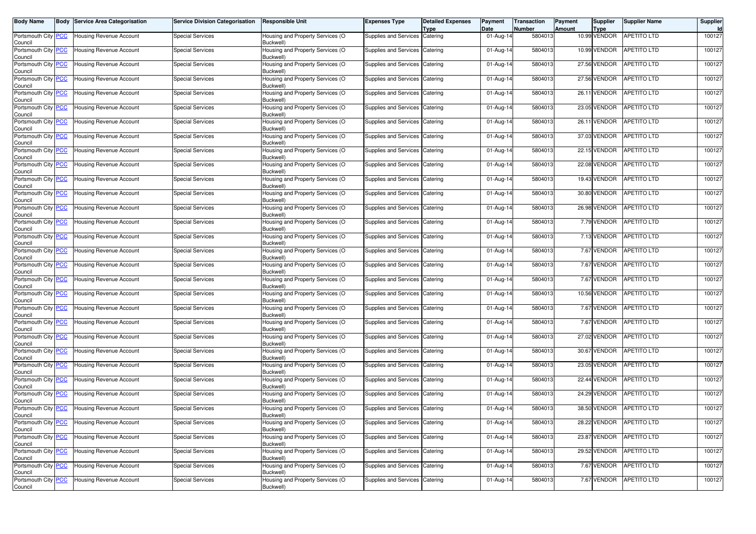| <b>Body Name</b>                      | <b>Body Service Area Categorisation</b> | <b>Service Division Categorisation</b> | <b>Responsible Unit</b>                       | <b>Expenses Type</b>           | <b>Detailed Expenses</b><br><b>Type</b> | Payment<br>Date | <b>Transaction</b><br><b>Number</b> | Payment<br>Amount | Supplier<br><b>Type</b> | <b>Supplier Name</b>     | Supplier<br>Id |
|---------------------------------------|-----------------------------------------|----------------------------------------|-----------------------------------------------|--------------------------------|-----------------------------------------|-----------------|-------------------------------------|-------------------|-------------------------|--------------------------|----------------|
| Portsmouth City PCC<br>Council        | <b>Housing Revenue Account</b>          | <b>Special Services</b>                | Housing and Property Services (O<br>Buckwell) | Supplies and Services Catering |                                         | 01-Aug-14       | 5804013                             |                   | 10.99 VENDOR            | <b>APETITO LTD</b>       | 100127         |
| Portsmouth City PCC<br>Council        | <b>Housing Revenue Account</b>          | <b>Special Services</b>                | Housing and Property Services (O<br>Buckwell) | Supplies and Services          | Catering                                | 01-Aug-14       | 5804013                             |                   | 10.99 VENDOR            | APETITO LTD              | 100127         |
| Portsmouth City PCC<br>Council        | Housing Revenue Account                 | <b>Special Services</b>                | Housing and Property Services (O<br>Buckwell) | Supplies and Services Catering |                                         | 01-Aug-14       | 5804013                             |                   | 27.56 VENDOR            | APETITO LTD              | 100127         |
| Portsmouth City PCC<br>Council        | Housing Revenue Account                 | <b>Special Services</b>                | Housing and Property Services (O<br>Buckwell) | Supplies and Services Catering |                                         | 01-Aug-14       | 5804013                             |                   | 27.56 VENDOR            | APETITO LTD              | 100127         |
| Portsmouth City PCC<br>Council        | <b>Housing Revenue Account</b>          | <b>Special Services</b>                | Housing and Property Services (O<br>Buckwell) | Supplies and Services          | Catering                                | 01-Aug-14       | 5804013                             |                   | 26.11 VENDOR            | APETITO LTD              | 100127         |
| Portsmouth City PCC<br>Council        | <b>Housing Revenue Account</b>          | <b>Special Services</b>                | Housing and Property Services (O<br>Buckwell) | Supplies and Services          | Catering                                | 01-Aug-14       | 5804013                             |                   | 23.05 VENDOR            | APETITO LTD              | 100127         |
| Portsmouth City PCC<br>Council        | Housing Revenue Account                 | Special Services                       | Housing and Property Services (O<br>Buckwell) | Supplies and Services Catering |                                         | 01-Aug-14       | 5804013                             |                   | 26.11 VENDOR            | APETITO LTD              | 100127         |
| Portsmouth City PCC<br>Council        | <b>Housing Revenue Account</b>          | <b>Special Services</b>                | Housing and Property Services (O<br>Buckwell) | Supplies and Services          | Catering                                | 01-Aug-14       | 5804013                             |                   | 37.03 VENDOR            | APETITO LTD              | 100127         |
| Portsmouth City PCC<br>Council        | Housing Revenue Account                 | <b>Special Services</b>                | Housing and Property Services (O<br>Buckwell) | Supplies and Services Catering |                                         | 01-Aug-14       | 5804013                             |                   | 22.15 VENDOR            | APETITO LTD              | 100127         |
| Portsmouth City PCC<br>Council        | Housing Revenue Account                 | <b>Special Services</b>                | Housing and Property Services (O<br>Buckwell) | Supplies and Services Catering |                                         | 01-Aug-14       | 5804013                             |                   | 22.08 VENDOR            | <b>APETITO LTD</b>       | 100127         |
| Portsmouth City PCC<br>Council        | <b>Housing Revenue Account</b>          | <b>Special Services</b>                | Housing and Property Services (O<br>Buckwell) | Supplies and Services          | Catering                                | 01-Aug-14       | 5804013                             |                   | 19.43 VENDOR            | APETITO LTD              | 100127         |
| Portsmouth City PCC<br>Council        | Housing Revenue Account                 | <b>Special Services</b>                | Housing and Property Services (O<br>Buckwell) | Supplies and Services          | Catering                                | 01-Aug-14       | 5804013                             |                   | 30.80 VENDOR            | APETITO LTD              | 100127         |
| Portsmouth City PCC<br>Council        | <b>Housing Revenue Account</b>          | <b>Special Services</b>                | Housing and Property Services (O<br>Buckwell) | Supplies and Services Catering |                                         | 01-Aug-14       | 5804013                             |                   | 26.98 VENDOR            | <b>APETITO LTD</b>       | 100127         |
| Portsmouth City PCC<br>Council        | Housing Revenue Account                 | <b>Special Services</b>                | Housing and Property Services (O<br>Buckwell) | Supplies and Services Catering |                                         | 01-Aug-14       | 5804013                             |                   | 7.79 VENDOR             | <b>APETITO LTD</b>       | 100127         |
| Portsmouth City PCC<br>Council        | <b>Housing Revenue Account</b>          | <b>Special Services</b>                | Housing and Property Services (O<br>Buckwell) | Supplies and Services          | Catering                                | 01-Aug-14       | 5804013                             |                   | 7.13 VENDOR             | <b>APETITO LTD</b>       | 100127         |
| Portsmouth City PCC<br>Council        | <b>Housing Revenue Account</b>          | <b>Special Services</b>                | Housing and Property Services (O<br>Buckwell) | Supplies and Services Catering |                                         | 01-Aug-14       | 5804013                             |                   | 7.67 VENDOR             | APETITO LTD              | 100127         |
| Portsmouth City PCC<br>Council        | <b>Housing Revenue Account</b>          | <b>Special Services</b>                | Housing and Property Services (O<br>Buckwell) | Supplies and Services Catering |                                         | 01-Aug-14       | 5804013                             |                   | 7.67 VENDOR             | APETITO LTD              | 100127         |
| Portsmouth City PCC<br>Council        | <b>Housing Revenue Account</b>          | <b>Special Services</b>                | Housing and Property Services (O<br>Buckwell) | Supplies and Services Catering |                                         | 01-Aug-14       | 5804013                             |                   | 7.67 VENDOR             | <b>APETITO LTD</b>       | 100127         |
| Portsmouth City PCC<br>Council        | Housing Revenue Account                 | <b>Special Services</b>                | Housing and Property Services (O<br>Buckwell) | Supplies and Services Catering |                                         | 01-Aug-14       | 5804013                             |                   | 10.56 VENDOR            | APETITO LTD              | 100127         |
| Portsmouth City PCC<br>Council        | <b>Housing Revenue Account</b>          | <b>Special Services</b>                | Housing and Property Services (O<br>Buckwell) | Supplies and Services Catering |                                         | 01-Aug-14       | 5804013                             |                   | 7.67 VENDOR             | APETITO LTD              | 100127         |
| Portsmouth City PCC<br>Council        | <b>Housing Revenue Account</b>          | <b>Special Services</b>                | Housing and Property Services (O<br>Buckwell) | Supplies and Services          | Catering                                | 01-Aug-14       | 5804013                             |                   | 7.67 VENDOR             | <b>APETITO LTD</b>       | 100127         |
| Portsmouth City PCC<br>Council        | <b>Housing Revenue Account</b>          | <b>Special Services</b>                | Housing and Property Services (O<br>Buckwell) | Supplies and Services Catering |                                         | 01-Aug-14       | 5804013                             |                   | 27.02 VENDOR            | <b>APETITO LTD</b>       | 100127         |
| Portsmouth City PCC<br>Council        | <b>Housing Revenue Account</b>          | <b>Special Services</b>                | Housing and Property Services (O<br>Buckwell) | Supplies and Services          | Catering                                | 01-Aug-14       | 5804013                             |                   | 30.67 VENDOR            | <b>APETITO LTD</b>       | 100127         |
| Portsmouth City PCC<br>Council        | Housing Revenue Account                 | <b>Special Services</b>                | Housing and Property Services (O<br>Buckwell) | Supplies and Services          | Catering                                | 01-Aug-14       | 5804013                             |                   | 23.05 VENDOR            | APETITO LTD              | 100127         |
| Portsmouth City PCC<br>Council        | <b>Housing Revenue Account</b>          | <b>Special Services</b>                | Housing and Property Services (O<br>Buckwell) | Supplies and Services Catering |                                         | 01-Aug-14       | 5804013                             |                   | 22.44 VENDOR            | <b>APETITO LTD</b>       | 100127         |
| Portsmouth City PCC<br>Council        | <b>Housing Revenue Account</b>          | <b>Special Services</b>                | Housing and Property Services (O<br>Buckwell) | Supplies and Services          | Catering                                | 01-Aug-14       | 5804013                             |                   | 24.29 VENDOR            | <b>APETITO LTD</b>       | 100127         |
| Portsmouth City PCC<br>Council        | <b>Housing Revenue Account</b>          | <b>Special Services</b>                | Housing and Property Services (O<br>Buckwell) | Supplies and Services          | Catering                                | 01-Aug-14       | 5804013                             |                   | 38.50 VENDOR            | <b>APETITO LTD</b>       | 100127         |
| Portsmouth City <b>PCC</b><br>Council | <b>Housing Revenue Account</b>          | Special Services                       | Housing and Property Services (O<br>Buckwell) | Supplies and Services Catering |                                         | 01-Aug-14       | 5804013                             |                   |                         | 28.22 VENDOR APETITO LTD | 100127         |
| Portsmouth City PCC<br>Council        | <b>Housing Revenue Account</b>          | <b>Special Services</b>                | Housing and Property Services (O<br>Buckwell) | Supplies and Services Catering |                                         | 01-Aug-14       | 5804013                             |                   | 23.87 VENDOR            | <b>APETITO LTD</b>       | 100127         |
| Portsmouth City PCC<br>Council        | Housing Revenue Account                 | <b>Special Services</b>                | Housing and Property Services (O<br>Buckwell) | Supplies and Services Catering |                                         | 01-Aug-14       | 5804013                             |                   | 29.52 VENDOR            | APETITO LTD              | 100127         |
| Portsmouth City PCC<br>Council        | Housing Revenue Account                 | <b>Special Services</b>                | Housing and Property Services (O<br>Buckwell) | Supplies and Services Catering |                                         | 01-Aug-14       | 5804013                             |                   | 7.67 VENDOR             | APETITO LTD              | 100127         |
| Portsmouth City PCC<br>Council        | Housing Revenue Account                 | <b>Special Services</b>                | Housing and Property Services (O<br>Buckwell) | Supplies and Services Catering |                                         | 01-Aug-14       | 5804013                             |                   | 7.67 VENDOR             | APETITO LTD              | 100127         |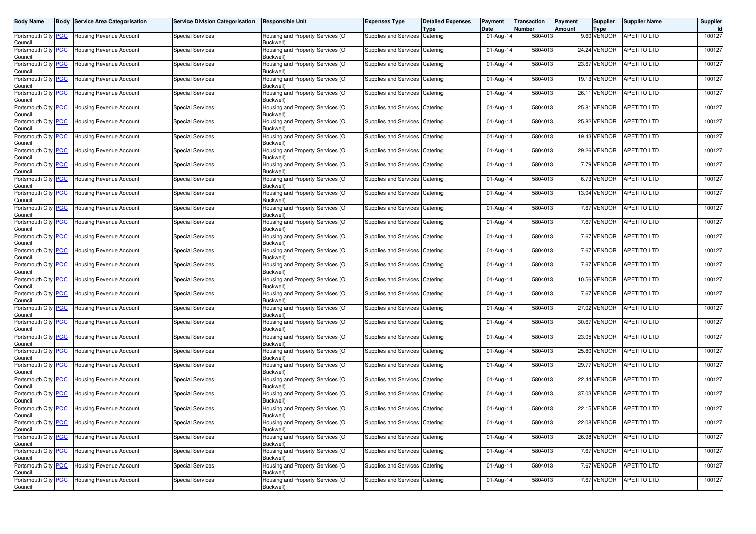| <b>Body Name</b>                      | <b>Body Service Area Categorisation</b> | <b>Service Division Categorisation</b> | <b>Responsible Unit</b>                       | Expenses Type                  | <b>Detailed Expenses</b><br>Type | Payment<br>Date         | <b>Transaction</b><br><b>Number</b> | Payment<br>Amount | Supplier<br><b>Type</b> | <b>Supplier Name</b>     | Supplier<br>Id |
|---------------------------------------|-----------------------------------------|----------------------------------------|-----------------------------------------------|--------------------------------|----------------------------------|-------------------------|-------------------------------------|-------------------|-------------------------|--------------------------|----------------|
| Portsmouth City PCC<br>Council        | Housing Revenue Account                 | <b>Special Services</b>                | Housing and Property Services (O<br>Buckwell) | Supplies and Services          | Catering                         | 01-Aug-14               | 5804013                             |                   | 9.60 VENDOR             | <b>APETITO LTD</b>       | 100127         |
| Portsmouth City PCC<br>Council        | Housing Revenue Account                 | <b>Special Services</b>                | Housing and Property Services (O<br>Buckwell) | Supplies and Services          | Catering                         | 01-Aug-14               | 5804013                             |                   | 24.24 VENDOR            | APETITO LTD              | 100127         |
| Portsmouth City PCC<br>Council        | Housing Revenue Account                 | <b>Special Services</b>                | Housing and Property Services (O<br>Buckwell) | Supplies and Services          | Catering                         | 01-Aug-14               | 5804013                             |                   | 23.67 VENDOR            | APETITO LTD              | 100127         |
| Portsmouth City PCC<br>Council        | Housing Revenue Account                 | <b>Special Services</b>                | Housing and Property Services (O<br>Buckwell) | Supplies and Services Catering |                                  | 01-Aug-14               | 5804013                             |                   | 19.13 VENDOR            | <b>APETITO LTD</b>       | 100127         |
| Portsmouth City PCC<br>Council        | Housing Revenue Account                 | <b>Special Services</b>                | Housing and Property Services (O<br>Buckwell) | Supplies and Services Catering |                                  | 01-Aug-14               | 5804013                             |                   | 26.11 VENDOR            | <b>APETITO LTD</b>       | 100127         |
| Portsmouth City PCC<br>Council        | Housing Revenue Account                 | <b>Special Services</b>                | Housing and Property Services (O<br>Buckwell) | Supplies and Services          | Catering                         | 01-Aug-14               | 5804013                             |                   | 25.81 VENDOR            | <b>APETITO LTD</b>       | 100127         |
| Portsmouth City PCC<br>Council        | Housing Revenue Account                 | <b>Special Services</b>                | Housing and Property Services (O<br>Buckwell) | Supplies and Services Catering |                                  | 01-Aug-14               | 5804013                             |                   | 25.82 VENDOR            | <b>APETITO LTD</b>       | 100127         |
| Portsmouth City PCC<br>Council        | Housing Revenue Account                 | <b>Special Services</b>                | Housing and Property Services (O<br>Buckwell) | Supplies and Services          | Catering                         | 01-Aug-14               | 5804013                             |                   | 19.43 VENDOR            | <b>APETITO LTD</b>       | 100127         |
| Portsmouth City PCC<br>Council        | Housing Revenue Account                 | <b>Special Services</b>                | Housing and Property Services (O<br>Buckwell) | Supplies and Services          | Catering                         | 01-Aug-14               | 5804013                             |                   | 29.26 VENDOR            | APETITO LTD              | 100127         |
| Portsmouth City PCC<br>Council        | Housing Revenue Account                 | <b>Special Services</b>                | Housing and Property Services (O<br>Buckwell) | Supplies and Services Catering |                                  | 01-Aug-14               | 5804013                             |                   | 7.79 VENDOR             | <b>APETITO LTD</b>       | 100127         |
| Portsmouth City PCC<br>Council        | Housing Revenue Account                 | <b>Special Services</b>                | Housing and Property Services (O<br>Buckwell) | Supplies and Services          | Catering                         | 01-Aug-14               | 5804013                             |                   | 6.73 VENDOR             | <b>APETITO LTD</b>       | 100127         |
| Portsmouth City PCC<br>Council        | <b>Housing Revenue Account</b>          | <b>Special Services</b>                | Housing and Property Services (O<br>Buckwell) | Supplies and Services Catering |                                  | 01-Aug-14               | 5804013                             |                   | 13.04 VENDOR            | APETITO LTD              | 100127         |
| Portsmouth City PCC<br>Council        | Housing Revenue Account                 | <b>Special Services</b>                | Housing and Property Services (O<br>Buckwell) | Supplies and Services Catering |                                  | $01-Aug-14$             | 5804013                             |                   | 7.67 VENDOR             | <b>APETITO LTD</b>       | 100127         |
| Portsmouth City PCC<br>Council        | <b>Housing Revenue Account</b>          | <b>Special Services</b>                | Housing and Property Services (O<br>Buckwell) | Supplies and Services          | Catering                         | 01-Aug-14               | 5804013                             |                   | 7.67 VENDOR             | <b>APETITO LTD</b>       | 100127         |
| Portsmouth City PCC<br>Council        | Housing Revenue Account                 | <b>Special Services</b>                | Housing and Property Services (O<br>Buckwell) | Supplies and Services Catering |                                  | 01-Aug-14               | 5804013                             |                   | 7.67 VENDOR             | APETITO LTD              | 100127         |
| Portsmouth City PCC<br>Council        | Housing Revenue Account                 | <b>Special Services</b>                | Housing and Property Services (O<br>Buckwell) | Supplies and Services Catering |                                  | 01-Aug-14               | 5804013                             |                   | 7.67 VENDOR             | <b>APETITO LTD</b>       | 100127         |
| Portsmouth City PCC<br>Council        | <b>Housing Revenue Account</b>          | <b>Special Services</b>                | Housing and Property Services (O<br>Buckwell) | Supplies and Services          | Catering                         | 01-Aug-14               | 5804013                             |                   | 7.67 VENDOR             | <b>APETITO LTD</b>       | 100127         |
| Portsmouth City PCC<br>Council        | Housing Revenue Account                 | <b>Special Services</b>                | Housing and Property Services (O<br>Buckwell) | Supplies and Services Catering |                                  | 01-Aug-14               | 5804013                             |                   | 10.56 VENDOR            | APETITO LTD              | 100127         |
| Portsmouth City PCC<br>Council        | Housing Revenue Account                 | <b>Special Services</b>                | Housing and Property Services (O<br>Buckwell) | Supplies and Services Catering |                                  | 01-Aug-14               | 5804013                             |                   | 7.67 VENDOR             | <b>APETITO LTD</b>       | 100127         |
| Portsmouth City PCC<br>Council        | Housing Revenue Account                 | <b>Special Services</b>                | Housing and Property Services (O<br>Buckwell) | Supplies and Services          | Catering                         | 01-Aug-14               | 5804013                             |                   | 27.02 VENDOR            | <b>APETITO LTD</b>       | 100127         |
| Portsmouth City PCC<br>Council        | Housing Revenue Account                 | <b>Special Services</b>                | Housing and Property Services (O<br>Buckwell) | Supplies and Services Catering |                                  | 01-Aug-14               | 5804013                             |                   | 30.67 VENDOR            | APETITO LTD              | 100127         |
| Portsmouth City PCC<br>Council        | Housing Revenue Account                 | <b>Special Services</b>                | Housing and Property Services (O<br>Buckwell) | Supplies and Services Catering |                                  | $\overline{0}$ 1-Aug-14 | 5804013                             |                   | 23.05 VENDOR            | <b>APETITO LTD</b>       | 100127         |
| Portsmouth City PCC<br>Council        | Housing Revenue Account                 | <b>Special Services</b>                | Housing and Property Services (O<br>Buckwell) | Supplies and Services          | Catering                         | 01-Aug-14               | 5804013                             |                   | 25.80 VENDOR            | <b>APETITO LTD</b>       | 100127         |
| Portsmouth City PCC<br>Council        | Housing Revenue Account                 | <b>Special Services</b>                | Housing and Property Services (O<br>Buckwell) | Supplies and Services          | Catering                         | 01-Aug-14               | 5804013                             |                   | 29.77 VENDOR            | <b>APETITO LTD</b>       | 100127         |
| Portsmouth City PCC<br>Council        | Housing Revenue Account                 | <b>Special Services</b>                | Housing and Property Services (O<br>Buckwell) | Supplies and Services          | Catering                         | 01-Aug-14               | 5804013                             |                   | 22.44 VENDOR            | APETITO LTD              | 100127         |
| Portsmouth City PCC<br>Council        | Housing Revenue Account                 | <b>Special Services</b>                | Housing and Property Services (O<br>Buckwell) | Supplies and Services          | Catering                         | 01-Aug-14               | 5804013                             |                   | 37.03 VENDOR            | <b>APETITO LTD</b>       | 100127         |
| Portsmouth City PCC<br>Council        | Housing Revenue Account                 | <b>Special Services</b>                | Housing and Property Services (O<br>Buckwell) | Supplies and Services Catering |                                  | 01-Aug-14               | 5804013                             |                   | 22.15 VENDOR            | <b>APETITO LTD</b>       | 100127         |
| Portsmouth City <b>PCC</b><br>Council | Housing Revenue Account                 | <b>Special Services</b>                | Housing and Property Services (O<br>Buckwell) | Supplies and Services Catering |                                  | 01-Aug-14               | 5804013                             |                   |                         | 22.08 VENDOR APETITO LTD | 100127         |
| Portsmouth City PCC<br>Council        | <b>Housing Revenue Account</b>          | <b>Special Services</b>                | Housing and Property Services (O<br>Buckwell) | Supplies and Services Catering |                                  | 01-Aug-14               | 5804013                             |                   | 26.98 VENDOR            | <b>APETITO LTD</b>       | 100127         |
| Portsmouth City PCC<br>Council        | Housing Revenue Account                 | <b>Special Services</b>                | Housing and Property Services (O<br>Buckwell) | Supplies and Services Catering |                                  | 01-Aug-14               | 5804013                             |                   | 7.67 VENDOR             | APETITO LTD              | 100127         |
| Portsmouth City PCC<br>Council        | Housing Revenue Account                 | <b>Special Services</b>                | Housing and Property Services (O<br>Buckwell) | Supplies and Services Catering |                                  | 01-Aug-14               | 5804013                             |                   | 7.67 VENDOR             | <b>APETITO LTD</b>       | 100127         |
| Portsmouth City PCC<br>Council        | Housing Revenue Account                 | <b>Special Services</b>                | Housing and Property Services (O<br>Buckwell) | Supplies and Services Catering |                                  | 01-Aug-14               | 5804013                             |                   | 7.67 VENDOR             | APETITO LTD              | 100127         |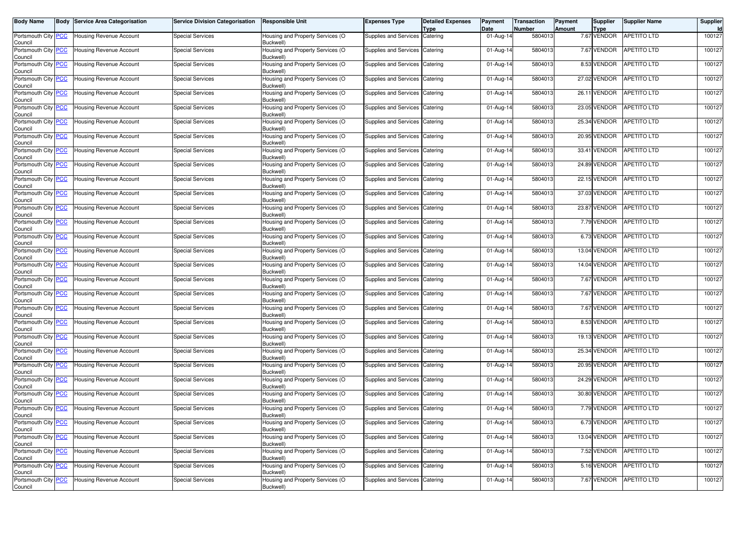| <b>Body Name</b>                      | <b>Body Service Area Categorisation</b> | <b>Service Division Categorisation</b> | <b>Responsible Unit</b>                       | Expenses Type                    | <b>Detailed Expenses</b><br>Type | Payment<br>Date | <b>Transaction</b><br>Number | <b>Payment</b><br>Amount | Supplier<br><b>Type</b> | <b>Supplier Name</b>    | Supplier<br>Id |
|---------------------------------------|-----------------------------------------|----------------------------------------|-----------------------------------------------|----------------------------------|----------------------------------|-----------------|------------------------------|--------------------------|-------------------------|-------------------------|----------------|
| Portsmouth City PCC<br>Council        | <b>Housing Revenue Account</b>          | <b>Special Services</b>                | Housing and Property Services (O<br>Buckwell) | Supplies and Services Catering   |                                  | 01-Aug-14       | 5804013                      |                          | 7.67 VENDOR             | <b>APETITO LTD</b>      | 100127         |
| Portsmouth City PCC<br>Council        | <b>Housing Revenue Account</b>          | <b>Special Services</b>                | Housing and Property Services (O<br>Buckwell) | Supplies and Services            | Catering                         | 01-Aug-14       | 5804013                      |                          | 7.67 VENDOR             | APETITO LTD             | 100127         |
| Portsmouth City PCC<br>Council        | <b>Housing Revenue Account</b>          | <b>Special Services</b>                | Housing and Property Services (O<br>Buckwell) | Supplies and Services            | Catering                         | 01-Aug-14       | 5804013                      |                          | 8.53 VENDOR             | <b>APETITO LTD</b>      | 100127         |
| Portsmouth City PCC<br>Council        | Housing Revenue Account                 | <b>Special Services</b>                | Housing and Property Services (O<br>Buckwell) | Supplies and Services Catering   |                                  | 01-Aug-14       | 5804013                      |                          | 27.02 VENDOR            | <b>APETITO LTD</b>      | 100127         |
| Portsmouth City PCC<br>Council        | Housing Revenue Account                 | <b>Special Services</b>                | Housing and Property Services (O<br>Buckwell) | Supplies and Services Catering   |                                  | 01-Aug-14       | 5804013                      |                          | 26.11 VENDOR            | APETITO LTD             | 100127         |
| Portsmouth City PCC<br>Council        | <b>Housing Revenue Account</b>          | <b>Special Services</b>                | Housing and Property Services (O<br>Buckwell) | Supplies and Services            | Catering                         | 01-Aug-14       | 5804013                      |                          | 23.05 VENDOR            | <b>APETITO LTD</b>      | 100127         |
| Portsmouth City PCC<br>Council        | <b>Housing Revenue Account</b>          | <b>Special Services</b>                | Housing and Property Services (O<br>Buckwell) | Supplies and Services Catering   |                                  | 01-Aug-14       | 5804013                      |                          | 25.34 VENDOR            | APETITO LTD             | 100127         |
| Portsmouth City PCC<br>Council        | <b>Housing Revenue Account</b>          | Special Services                       | Housing and Property Services (O<br>Buckwell) | Supplies and Services            | Catering                         | 01-Aug-14       | 5804013                      |                          | 20.95 VENDOR            | APETITO LTD             | 100127         |
| Portsmouth City PCC<br>Council        | <b>Housing Revenue Account</b>          | <b>Special Services</b>                | Housing and Property Services (O<br>Buckwell) | Supplies and Services            | Catering                         | 01-Aug-14       | 5804013                      |                          | 33.41 VENDOR            | APETITO LTD             | 100127         |
| Portsmouth City PCC<br>Council        | Housing Revenue Account                 | Special Services                       | Housing and Property Services (O<br>Buckwell) | Supplies and Services Catering   |                                  | 01-Aug-14       | 5804013                      |                          | 24.89 VENDOR            | APETITO LTD             | 100127         |
| Portsmouth City PCC<br>Council        | <b>Housing Revenue Account</b>          | <b>Special Services</b>                | Housing and Property Services (O<br>Buckwell) | Supplies and Services            | Catering                         | 01-Aug-14       | 5804013                      |                          | 22.15 VENDOR            | APETITO LTD             | 100127         |
| Portsmouth City PCC<br>Council        | <b>Housing Revenue Account</b>          | <b>Special Services</b>                | Housing and Property Services (O<br>Buckwell) | Supplies and Services Catering   |                                  | 01-Aug-14       | 5804013                      |                          | 37.03 VENDOR            | APETITO LTD             | 100127         |
| Portsmouth City PCC<br>Council        | Housing Revenue Account                 | <b>Special Services</b>                | Housing and Property Services (O<br>Buckwell) | Supplies and Services Catering   |                                  | 01-Aug-14       | 5804013                      |                          | 23.87 VENDOR            | APETITO LTD             | 100127         |
| Portsmouth City PCC<br>Council        | <b>Housing Revenue Account</b>          | <b>Special Services</b>                | Housing and Property Services (O<br>Buckwell) | Supplies and Services            | Catering                         | 01-Aug-14       | 5804013                      |                          | 7.79 VENDOR             | APETITO LTD             | 100127         |
| Portsmouth City PCC<br>Council        | <b>Housing Revenue Account</b>          | <b>Special Services</b>                | Housing and Property Services (O<br>Buckwell) | Supplies and Services Catering   |                                  | 01-Aug-14       | 5804013                      |                          | 6.73 VENDOR             | APETITO LTD             | 100127         |
| Portsmouth City PCC<br>Council        | Housing Revenue Account                 | Special Services                       | Housing and Property Services (O<br>Buckwell) | Supplies and Services Catering   |                                  | 01-Aug-14       | 5804013                      |                          | 13.04 VENDOR            | APETITO LTD             | 100127         |
| Portsmouth City PCC<br>Council        | <b>Housing Revenue Account</b>          | <b>Special Services</b>                | Housing and Property Services (O<br>Buckwell) | Supplies and Services            | Catering                         | 01-Aug-14       | 5804013                      |                          | 14.04 VENDOR            | <b>APETITO LTD</b>      | 100127         |
| Portsmouth City PCC<br>Council        | <b>Housing Revenue Account</b>          | <b>Special Services</b>                | Housing and Property Services (O<br>Buckwell) | Supplies and Services Catering   |                                  | 01-Aug-14       | 5804013                      |                          | 7.67 VENDOR             | APETITO LTD             | 100127         |
| Portsmouth City PCC<br>Council        | Housing Revenue Account                 | Special Services                       | Housing and Property Services (O<br>Buckwell) | Supplies and Services Catering   |                                  | 01-Aug-14       | 5804013                      |                          | 7.67 VENDOR             | APETITO LTD             | 100127         |
| Portsmouth City PCC<br>Council        | <b>Housing Revenue Account</b>          | <b>Special Services</b>                | Housing and Property Services (O<br>Buckwell) | Supplies and Services            | Catering                         | 01-Aug-14       | 5804013                      |                          | 7.67 VENDOR             | APETITO LTD             | 100127         |
| Portsmouth City PCC<br>Council        | Housing Revenue Account                 | <b>Special Services</b>                | Housing and Property Services (O<br>Buckwell) | Supplies and Services Catering   |                                  | 01-Aug-14       | 5804013                      |                          | 8.53 VENDOR             | APETITO LTD             | 100127         |
| Portsmouth City PCC<br>Council        | Housing Revenue Account                 | <b>Special Services</b>                | Housing and Property Services (O<br>Buckwell) | Supplies and Services Catering   |                                  | 01-Aug-14       | 5804013                      |                          | 19.13 VENDOR            | <b>APETITO LTD</b>      | 100127         |
| Portsmouth City PCC<br>Council        | <b>Housing Revenue Account</b>          | <b>Special Services</b>                | Housing and Property Services (O<br>Buckwell) | Supplies and Services            | Catering                         | 01-Aug-14       | 5804013                      |                          | 25.34 VENDOR            | <b>APETITO LTD</b>      | 100127         |
| Portsmouth City PCC<br>Council        | <b>Housing Revenue Account</b>          | <b>Special Services</b>                | Housing and Property Services (O<br>Buckwell) | Supplies and Services            | Catering                         | 01-Aug-14       | 5804013                      |                          | 20.95 VENDOR            | <b>APETITO LTD</b>      | 100127         |
| Portsmouth City PCC<br>Council        | <b>Housing Revenue Account</b>          | <b>Special Services</b>                | Housing and Property Services (O<br>Buckwell) | Supplies and Services Catering   |                                  | 01-Aug-14       | 5804013                      |                          | 24.29 VENDOR            | <b>APETITO LTD</b>      | 100127         |
| Portsmouth City PCC<br>Council        | <b>Housing Revenue Account</b>          | <b>Special Services</b>                | Housing and Property Services (O<br>Buckwell) | Supplies and Services Catering   |                                  | 01-Aug-14       | 5804013                      |                          | 30.80 VENDOR            | <b>APETITO LTD</b>      | 100127         |
| Portsmouth City PCC<br>Council        | <b>Housing Revenue Account</b>          | <b>Special Services</b>                | Housing and Property Services (O<br>Buckwell) | Supplies and Services Catering   |                                  | 01-Aug-14       | 5804013                      |                          | 7.79 VENDOR             | <b>APETITO LTD</b>      | 100127         |
| Portsmouth City <b>PCC</b><br>Council | <b>Housing Revenue Account</b>          | Special Services                       | Housing and Property Services (O<br>Buckwell) | Supplies and Services   Catering |                                  | 01-Aug-14       | 5804013                      |                          |                         | 6.73 VENDOR APETITO LTD | 100127         |
| Portsmouth City PCC<br>Council        | <b>Housing Revenue Account</b>          | <b>Special Services</b>                | Housing and Property Services (O<br>Buckwell) | Supplies and Services Catering   |                                  | 01-Aug-14       | 5804013                      |                          | 13.04 VENDOR            | <b>APETITO LTD</b>      | 100127         |
| Portsmouth City PCC<br>Council        | <b>Housing Revenue Account</b>          | <b>Special Services</b>                | Housing and Property Services (O<br>Buckwell) | Supplies and Services Catering   |                                  | 01-Aug-14       | 5804013                      |                          | 7.52 VENDOR             | APETITO LTD             | 100127         |
| Portsmouth City PCC<br>Council        | Housing Revenue Account                 | <b>Special Services</b>                | Housing and Property Services (O<br>Buckwell) | Supplies and Services Catering   |                                  | 01-Aug-14       | 5804013                      |                          | 5.16 VENDOR             | <b>APETITO LTD</b>      | 100127         |
| Portsmouth City PCC<br>Council        | <b>Housing Revenue Account</b>          | <b>Special Services</b>                | Housing and Property Services (O<br>Buckwell) | Supplies and Services Catering   |                                  | 01-Aug-14       | 5804013                      |                          | 7.67 VENDOR             | APETITO LTD             | 100127         |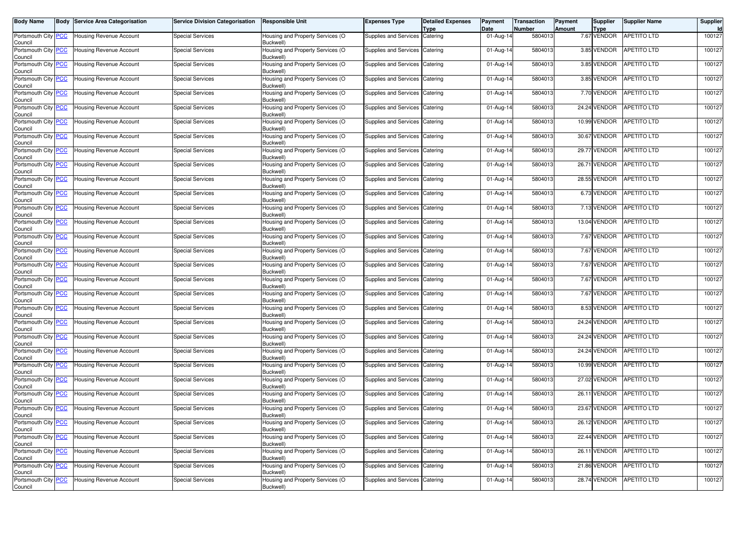| <b>Body Name</b>                      | <b>Body Service Area Categorisation</b> | <b>Service Division Categorisation</b> | <b>Responsible Unit</b>                       | Expenses Type                  | <b>Detailed Expenses</b><br>Type | Payment<br>Date         | <b>Transaction</b><br><b>Number</b> | Payment<br>Amount | Supplier<br><b>Type</b> | <b>Supplier Name</b>     | Supplier<br>Id |
|---------------------------------------|-----------------------------------------|----------------------------------------|-----------------------------------------------|--------------------------------|----------------------------------|-------------------------|-------------------------------------|-------------------|-------------------------|--------------------------|----------------|
| Portsmouth City PCC<br>Council        | Housing Revenue Account                 | <b>Special Services</b>                | Housing and Property Services (O<br>Buckwell) | Supplies and Services          | Catering                         | 01-Aug-14               | 5804013                             |                   | 7.67 VENDOR             | <b>APETITO LTD</b>       | 100127         |
| Portsmouth City PCC<br>Council        | Housing Revenue Account                 | <b>Special Services</b>                | Housing and Property Services (O<br>Buckwell) | Supplies and Services          | Catering                         | 01-Aug-14               | 5804013                             |                   | 3.85 VENDOR             | APETITO LTD              | 100127         |
| Portsmouth City PCC<br>Council        | Housing Revenue Account                 | <b>Special Services</b>                | Housing and Property Services (O<br>Buckwell) | Supplies and Services          | Catering                         | 01-Aug-14               | 5804013                             |                   | 3.85 VENDOR             | APETITO LTD              | 100127         |
| Portsmouth City PCC<br>Council        | Housing Revenue Account                 | <b>Special Services</b>                | Housing and Property Services (O<br>Buckwell) | Supplies and Services Catering |                                  | 01-Aug-14               | 5804013                             |                   | 3.85 VENDOR             | <b>APETITO LTD</b>       | 100127         |
| Portsmouth City PCC<br>Council        | Housing Revenue Account                 | <b>Special Services</b>                | Housing and Property Services (O<br>Buckwell) | Supplies and Services Catering |                                  | 01-Aug-14               | 5804013                             |                   | 7.70 VENDOR             | <b>APETITO LTD</b>       | 100127         |
| Portsmouth City PCC<br>Council        | Housing Revenue Account                 | <b>Special Services</b>                | Housing and Property Services (O<br>Buckwell) | Supplies and Services          | Catering                         | 01-Aug-14               | 5804013                             |                   | 24.24 VENDOR            | <b>APETITO LTD</b>       | 100127         |
| Portsmouth City PCC<br>Council        | Housing Revenue Account                 | <b>Special Services</b>                | Housing and Property Services (O<br>Buckwell) | Supplies and Services Catering |                                  | 01-Aug-14               | 5804013                             |                   | 10.99 VENDOR            | <b>APETITO LTD</b>       | 100127         |
| Portsmouth City PCC<br>Council        | Housing Revenue Account                 | <b>Special Services</b>                | Housing and Property Services (O<br>Buckwell) | Supplies and Services          | Catering                         | 01-Aug-14               | 5804013                             |                   | 30.67 VENDOR            | <b>APETITO LTD</b>       | 100127         |
| Portsmouth City PCC<br>Council        | Housing Revenue Account                 | <b>Special Services</b>                | Housing and Property Services (O<br>Buckwell) | Supplies and Services          | Catering                         | 01-Aug-14               | 5804013                             |                   | 29.77 VENDOR            | APETITO LTD              | 100127         |
| Portsmouth City PCC<br>Council        | Housing Revenue Account                 | <b>Special Services</b>                | Housing and Property Services (O<br>Buckwell) | Supplies and Services Catering |                                  | $01-Aug-14$             | 5804013                             |                   | 26.71 VENDOR            | <b>APETITO LTD</b>       | 100127         |
| Portsmouth City PCC<br>Council        | Housing Revenue Account                 | <b>Special Services</b>                | Housing and Property Services (O<br>Buckwell) | Supplies and Services          | Catering                         | 01-Aug-14               | 5804013                             |                   | 28.55 VENDOR            | <b>APETITO LTD</b>       | 100127         |
| Portsmouth City PCC<br>Council        | <b>Housing Revenue Account</b>          | <b>Special Services</b>                | Housing and Property Services (O<br>Buckwell) | Supplies and Services Catering |                                  | 01-Aug-14               | 5804013                             |                   | 6.73 VENDOR             | <b>APETITO LTD</b>       | 100127         |
| Portsmouth City PCC<br>Council        | Housing Revenue Account                 | <b>Special Services</b>                | Housing and Property Services (O<br>Buckwell) | Supplies and Services Catering |                                  | $01-Aug-14$             | 5804013                             |                   | 7.13 VENDOR             | <b>APETITO LTD</b>       | 100127         |
| Portsmouth City PCC<br>Council        | <b>Housing Revenue Account</b>          | <b>Special Services</b>                | Housing and Property Services (O<br>Buckwell) | Supplies and Services          | Catering                         | 01-Aug-14               | 5804013                             |                   | 13.04 VENDOR            | <b>APETITO LTD</b>       | 100127         |
| Portsmouth City PCC<br>Council        | Housing Revenue Account                 | <b>Special Services</b>                | Housing and Property Services (O<br>Buckwell) | Supplies and Services Catering |                                  | 01-Aug-14               | 5804013                             |                   | 7.67 VENDOR             | APETITO LTD              | 100127         |
| Portsmouth City PCC<br>Council        | Housing Revenue Account                 | <b>Special Services</b>                | Housing and Property Services (O<br>Buckwell) | Supplies and Services Catering |                                  | 01-Aug-14               | 5804013                             |                   | 7.67 VENDOR             | <b>APETITO LTD</b>       | 100127         |
| Portsmouth City PCC<br>Council        | <b>Housing Revenue Account</b>          | <b>Special Services</b>                | Housing and Property Services (O<br>Buckwell) | Supplies and Services          | Catering                         | 01-Aug-14               | 5804013                             |                   | 7.67 VENDOR             | <b>APETITO LTD</b>       | 100127         |
| Portsmouth City PCC<br>Council        | Housing Revenue Account                 | <b>Special Services</b>                | Housing and Property Services (O<br>Buckwell) | Supplies and Services Catering |                                  | 01-Aug-14               | 5804013                             |                   | 7.67 VENDOR             | APETITO LTD              | 100127         |
| Portsmouth City PCC<br>Council        | Housing Revenue Account                 | <b>Special Services</b>                | Housing and Property Services (O<br>Buckwell) | Supplies and Services Catering |                                  | 01-Aug-14               | 5804013                             |                   | 7.67 VENDOR             | <b>APETITO LTD</b>       | 100127         |
| Portsmouth City PCC<br>Council        | Housing Revenue Account                 | <b>Special Services</b>                | Housing and Property Services (O<br>Buckwell) | Supplies and Services          | Catering                         | 01-Aug-14               | 5804013                             |                   | 8.53 VENDOR             | <b>APETITO LTD</b>       | 100127         |
| Portsmouth City PCC<br>Council        | Housing Revenue Account                 | <b>Special Services</b>                | Housing and Property Services (O<br>Buckwell) | Supplies and Services Catering |                                  | 01-Aug-14               | 5804013                             |                   | 24.24 VENDOR            | APETITO LTD              | 100127         |
| Portsmouth City PCC<br>Council        | Housing Revenue Account                 | <b>Special Services</b>                | Housing and Property Services (O<br>Buckwell) | Supplies and Services Catering |                                  | $\overline{0}$ 1-Aug-14 | 5804013                             |                   | 24.24 VENDOR            | <b>APETITO LTD</b>       | 100127         |
| Portsmouth City PCC<br>Council        | Housing Revenue Account                 | <b>Special Services</b>                | Housing and Property Services (O<br>Buckwell) | Supplies and Services          | Catering                         | 01-Aug-14               | 5804013                             |                   | 24.24 VENDOR            | <b>APETITO LTD</b>       | 100127         |
| Portsmouth City PCC<br>Council        | Housing Revenue Account                 | <b>Special Services</b>                | Housing and Property Services (O<br>Buckwell) | Supplies and Services          | Catering                         | 01-Aug-14               | 5804013                             |                   | 10.99 VENDOR            | <b>APETITO LTD</b>       | 100127         |
| Portsmouth City PCC<br>Council        | Housing Revenue Account                 | <b>Special Services</b>                | Housing and Property Services (O<br>Buckwell) | Supplies and Services          | Catering                         | 01-Aug-14               | 5804013                             |                   | 27.02 VENDOR            | APETITO LTD              | 100127         |
| Portsmouth City PCC<br>Council        | Housing Revenue Account                 | <b>Special Services</b>                | Housing and Property Services (O<br>Buckwell) | Supplies and Services          | Catering                         | 01-Aug-14               | 5804013                             |                   | 26.11 VENDOR            | <b>APETITO LTD</b>       | 100127         |
| Portsmouth City PCC<br>Council        | Housing Revenue Account                 | <b>Special Services</b>                | Housing and Property Services (O<br>Buckwell) | Supplies and Services Catering |                                  | 01-Aug-14               | 5804013                             |                   | 23.67 VENDOR            | <b>APETITO LTD</b>       | 100127         |
| Portsmouth City <b>PCC</b><br>Council | Housing Revenue Account                 | <b>Special Services</b>                | Housing and Property Services (O<br>Buckwell) | Supplies and Services Catering |                                  | 01-Aug-14               | 5804013                             |                   |                         | 26.12 VENDOR APETITO LTD | 100127         |
| Portsmouth City PCC<br>Council        | <b>Housing Revenue Account</b>          | <b>Special Services</b>                | Housing and Property Services (O<br>Buckwell) | Supplies and Services Catering |                                  | 01-Aug-14               | 5804013                             |                   | 22.44 VENDOR            | <b>APETITO LTD</b>       | 100127         |
| Portsmouth City PCC<br>Council        | Housing Revenue Account                 | <b>Special Services</b>                | Housing and Property Services (O<br>Buckwell) | Supplies and Services Catering |                                  | 01-Aug-14               | 5804013                             |                   | 26.11 VENDOR            | <b>APETITO LTD</b>       | 100127         |
| Portsmouth City PCC<br>Council        | Housing Revenue Account                 | <b>Special Services</b>                | Housing and Property Services (O<br>Buckwell) | Supplies and Services Catering |                                  | 01-Aug-14               | 5804013                             |                   | 21.86 VENDOR            | <b>APETITO LTD</b>       | 100127         |
| Portsmouth City PCC<br>Council        | Housing Revenue Account                 | <b>Special Services</b>                | Housing and Property Services (O<br>Buckwell) | Supplies and Services Catering |                                  | 01-Aug-14               | 5804013                             |                   | 28.74 VENDOR            | APETITO LTD              | 100127         |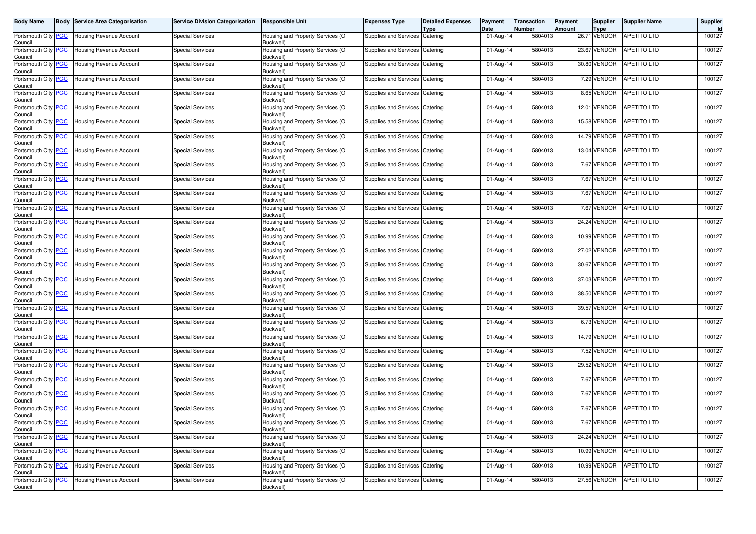| <b>Body Name</b>                      | <b>Body Service Area Categorisation</b> | <b>Service Division Categorisation</b> | <b>Responsible Unit</b>                       | <b>Expenses Type</b>           | <b>Detailed Expenses</b><br><b>Type</b> | Payment<br>Date | <b>Transaction</b><br><b>Number</b> | Payment<br>Amount | Supplier<br><b>Type</b> | <b>Supplier Name</b>    | Supplier<br>Id |
|---------------------------------------|-----------------------------------------|----------------------------------------|-----------------------------------------------|--------------------------------|-----------------------------------------|-----------------|-------------------------------------|-------------------|-------------------------|-------------------------|----------------|
| Portsmouth City PCC<br>Council        | <b>Housing Revenue Account</b>          | <b>Special Services</b>                | Housing and Property Services (O<br>Buckwell) | Supplies and Services Catering |                                         | 01-Aug-14       | 5804013                             |                   | 26.71 VENDOR            | <b>APETITO LTD</b>      | 100127         |
| Portsmouth City PCC<br>Council        | <b>Housing Revenue Account</b>          | <b>Special Services</b>                | Housing and Property Services (O<br>Buckwell) | Supplies and Services          | Catering                                | 01-Aug-14       | 5804013                             |                   | 23.67 VENDOR            | <b>APETITO LTD</b>      | 100127         |
| Portsmouth City PCC<br>Council        | <b>Housing Revenue Account</b>          | <b>Special Services</b>                | Housing and Property Services (O<br>Buckwell) | Supplies and Services Catering |                                         | 01-Aug-14       | 5804013                             |                   | 30.80 VENDOR            | APETITO LTD             | 100127         |
| Portsmouth City PCC<br>Council        | Housing Revenue Account                 | <b>Special Services</b>                | Housing and Property Services (O<br>Buckwell) | Supplies and Services Catering |                                         | 01-Aug-14       | 5804013                             |                   | 7.29 VENDOR             | <b>APETITO LTD</b>      | 100127         |
| Portsmouth City PCC<br>Council        | <b>Housing Revenue Account</b>          | <b>Special Services</b>                | Housing and Property Services (O<br>Buckwell) | Supplies and Services          | Catering                                | 01-Aug-14       | 5804013                             |                   | 8.65 VENDOR             | APETITO LTD             | 100127         |
| Portsmouth City PCC<br>Council        | <b>Housing Revenue Account</b>          | <b>Special Services</b>                | Housing and Property Services (O<br>Buckwell) | Supplies and Services          | Catering                                | 01-Aug-14       | 5804013                             |                   | 12.01 VENDOR            | APETITO LTD             | 100127         |
| Portsmouth City PCC<br>Council        | Housing Revenue Account                 | Special Services                       | Housing and Property Services (O<br>Buckwell) | Supplies and Services Catering |                                         | 01-Aug-14       | 5804013                             |                   | 15.58 VENDOR            | <b>APETITO LTD</b>      | 100127         |
| Portsmouth City PCC<br>Council        | <b>Housing Revenue Account</b>          | <b>Special Services</b>                | Housing and Property Services (O<br>Buckwell) | Supplies and Services          | Catering                                | 01-Aug-14       | 5804013                             |                   | 14.79 VENDOR            | <b>APETITO LTD</b>      | 100127         |
| Portsmouth City PCC<br>Council        | <b>Housing Revenue Account</b>          | <b>Special Services</b>                | Housing and Property Services (O<br>Buckwell) | Supplies and Services Catering |                                         | 01-Aug-14       | 5804013                             |                   | 13.04 VENDOR            | APETITO LTD             | 100127         |
| Portsmouth City PCC<br>Council        | Housing Revenue Account                 | <b>Special Services</b>                | Housing and Property Services (O<br>Buckwell) | Supplies and Services Catering |                                         | 01-Aug-14       | 5804013                             |                   | 7.67 VENDOR             | <b>APETITO LTD</b>      | 100127         |
| Portsmouth City PCC<br>Council        | <b>Housing Revenue Account</b>          | <b>Special Services</b>                | Housing and Property Services (O<br>Buckwell) | Supplies and Services          | Catering                                | 01-Aug-14       | 5804013                             |                   | 7.67 VENDOR             | <b>APETITO LTD</b>      | 100127         |
| Portsmouth City PCC<br>Council        | <b>Housing Revenue Account</b>          | <b>Special Services</b>                | Housing and Property Services (O<br>Buckwell) | <b>Supplies and Services</b>   | Catering                                | 01-Aug-14       | 5804013                             |                   | 7.67 VENDOR             | APETITO LTD             | 100127         |
| Portsmouth City PCC<br>Council        | <b>Housing Revenue Account</b>          | <b>Special Services</b>                | Housing and Property Services (O<br>Buckwell) | Supplies and Services Catering |                                         | 01-Aug-14       | 5804013                             |                   | 7.67 VENDOR             | <b>APETITO LTD</b>      | 100127         |
| Portsmouth City PCC<br>Council        | Housing Revenue Account                 | <b>Special Services</b>                | Housing and Property Services (O<br>Buckwell) | Supplies and Services Catering |                                         | 01-Aug-14       | 5804013                             |                   | 24.24 VENDOR            | <b>APETITO LTD</b>      | 100127         |
| Portsmouth City PCC<br>Council        | <b>Housing Revenue Account</b>          | <b>Special Services</b>                | Housing and Property Services (O<br>Buckwell) | Supplies and Services          | Catering                                | 01-Aug-14       | 5804013                             |                   | 10.99 VENDOR            | <b>APETITO LTD</b>      | 100127         |
| Portsmouth City PCC<br>Council        | <b>Housing Revenue Account</b>          | <b>Special Services</b>                | Housing and Property Services (O<br>Buckwell) | Supplies and Services Catering |                                         | 01-Aug-14       | 5804013                             |                   | 27.02 VENDOR            | <b>APETITO LTD</b>      | 100127         |
| Portsmouth City PCC<br>Council        | <b>Housing Revenue Account</b>          | <b>Special Services</b>                | Housing and Property Services (O<br>Buckwell) | Supplies and Services Catering |                                         | 01-Aug-14       | 5804013                             |                   | 30.67 VENDOR            | <b>APETITO LTD</b>      | 100127         |
| Portsmouth City PCC<br>Council        | <b>Housing Revenue Account</b>          | <b>Special Services</b>                | Housing and Property Services (O<br>Buckwell) | Supplies and Services Catering |                                         | 01-Aug-14       | 5804013                             |                   | 37.03 VENDOR            | <b>APETITO LTD</b>      | 100127         |
| Portsmouth City PCC<br>Council        | Housing Revenue Account                 | <b>Special Services</b>                | Housing and Property Services (O<br>Buckwell) | Supplies and Services Catering |                                         | 01-Aug-14       | 5804013                             |                   | 38.50 VENDOR            | <b>APETITO LTD</b>      | 100127         |
| Portsmouth City PCC<br>Council        | <b>Housing Revenue Account</b>          | <b>Special Services</b>                | Housing and Property Services (O<br>Buckwell) | Supplies and Services Catering |                                         | 01-Aug-14       | 5804013                             |                   | 39.57 VENDOR            | <b>APETITO LTD</b>      | 100127         |
| Portsmouth City PCC<br>Council        | <b>Housing Revenue Account</b>          | <b>Special Services</b>                | Housing and Property Services (O<br>Buckwell) | Supplies and Services          | Catering                                | 01-Aug-14       | 5804013                             |                   | 6.73 VENDOR             | <b>APETITO LTD</b>      | 100127         |
| Portsmouth City PCC<br>Council        | <b>Housing Revenue Account</b>          | <b>Special Services</b>                | Housing and Property Services (O<br>Buckwell) | Supplies and Services Catering |                                         | 01-Aug-14       | 5804013                             |                   | 14.79 VENDOR            | <b>APETITO LTD</b>      | 100127         |
| Portsmouth City PCC<br>Council        | <b>Housing Revenue Account</b>          | <b>Special Services</b>                | Housing and Property Services (O<br>Buckwell) | Supplies and Services          | Catering                                | 01-Aug-14       | 5804013                             |                   | 7.52 VENDOR             | <b>APETITO LTD</b>      | 100127         |
| Portsmouth City PCC<br>Council        | Housing Revenue Account                 | <b>Special Services</b>                | Housing and Property Services (O<br>Buckwell) | Supplies and Services          | Catering                                | 01-Aug-14       | 5804013                             |                   | 29.52 VENDOR            | APETITO LTD             | 100127         |
| Portsmouth City PCC<br>Council        | Housing Revenue Account                 | <b>Special Services</b>                | Housing and Property Services (O<br>Buckwell) | Supplies and Services Catering |                                         | 01-Aug-14       | 5804013                             |                   | 7.67 VENDOR             | <b>APETITO LTD</b>      | 100127         |
| Portsmouth City PCC<br>Council        | <b>Housing Revenue Account</b>          | <b>Special Services</b>                | Housing and Property Services (O<br>Buckwell) | Supplies and Services          | Catering                                | 01-Aug-14       | 5804013                             |                   | 7.67 VENDOR             | <b>APETITO LTD</b>      | 100127         |
| Portsmouth City PCC<br>Council        | <b>Housing Revenue Account</b>          | <b>Special Services</b>                | Housing and Property Services (O<br>Buckwell) | Supplies and Services          | Catering                                | 01-Aug-14       | 5804013                             |                   | 7.67 VENDOR             | <b>APETITO LTD</b>      | 100127         |
| Portsmouth City <b>PCC</b><br>Council | <b>Housing Revenue Account</b>          | Special Services                       | Housing and Property Services (O<br>Buckwell) | Supplies and Services Catering |                                         | 01-Aug-14       | 5804013                             |                   |                         | 7.67 VENDOR APETITO LTD | 100127         |
| Portsmouth City PCC<br>Council        | <b>Housing Revenue Account</b>          | <b>Special Services</b>                | Housing and Property Services (O<br>Buckwell) | Supplies and Services Catering |                                         | 01-Aug-14       | 5804013                             |                   | 24.24 VENDOR            | <b>APETITO LTD</b>      | 100127         |
| Portsmouth City PCC<br>Council        | Housing Revenue Account                 | <b>Special Services</b>                | Housing and Property Services (O<br>Buckwell) | Supplies and Services Catering |                                         | 01-Aug-14       | 5804013                             |                   | 10.99 VENDOR            | APETITO LTD             | 100127         |
| Portsmouth City PCC<br>Council        | Housing Revenue Account                 | <b>Special Services</b>                | Housing and Property Services (O<br>Buckwell) | Supplies and Services Catering |                                         | 01-Aug-14       | 5804013                             |                   | 10.99 VENDOR            | <b>APETITO LTD</b>      | 100127         |
| Portsmouth City PCC<br>Council        | Housing Revenue Account                 | <b>Special Services</b>                | Housing and Property Services (O<br>Buckwell) | Supplies and Services Catering |                                         | 01-Aug-14       | 5804013                             |                   | 27.56 VENDOR            | APETITO LTD             | 100127         |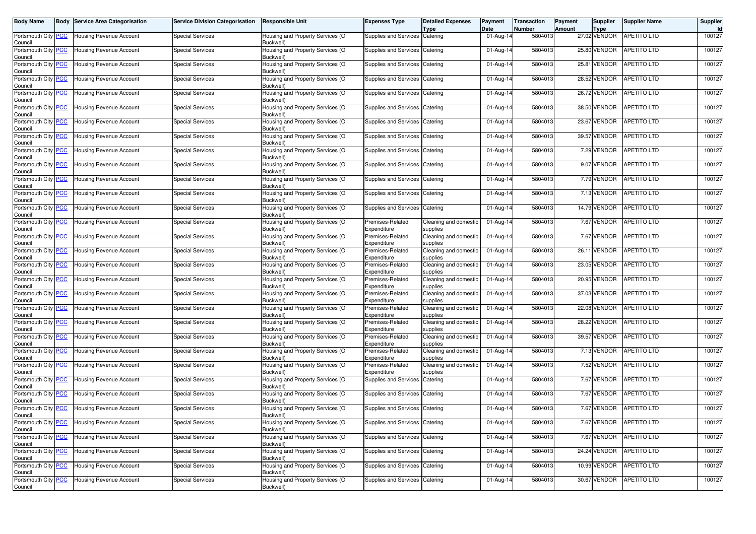| <b>Body Name</b>                      | <b>Body Service Area Categorisation</b> | <b>Service Division Categorisation</b> | <b>Responsible Unit</b>                       | <b>Expenses Type</b>             | <b>Detailed Expenses</b><br><b>Type</b> | Payment<br>Date | <b>Transaction</b><br><b>Number</b> | Payment<br>Amount | Supplier<br><b>Type</b> | <b>Supplier Name</b>    | Supplier<br>Id |
|---------------------------------------|-----------------------------------------|----------------------------------------|-----------------------------------------------|----------------------------------|-----------------------------------------|-----------------|-------------------------------------|-------------------|-------------------------|-------------------------|----------------|
| Portsmouth City PCC<br>Council        | Housing Revenue Account                 | <b>Special Services</b>                | Housing and Property Services (O<br>Buckwell) | Supplies and Services Catering   |                                         | 01-Aug-14       | 5804013                             |                   | 27.02 VENDOR            | <b>APETITO LTD</b>      | 100127         |
| Portsmouth City PCC<br>Council        | <b>Housing Revenue Account</b>          | <b>Special Services</b>                | Housing and Property Services (O<br>Buckwell) | Supplies and Services            | Catering                                | 01-Aug-14       | 5804013                             |                   | 25.80 VENDOR            | APETITO LTD             | 100127         |
| Portsmouth City PCC<br>Council        | Housing Revenue Account                 | <b>Special Services</b>                | Housing and Property Services (O<br>Buckwell) | Supplies and Services            | Catering                                | 01-Aug-14       | 5804013                             |                   | 25.81 VENDOR            | <b>APETITO LTD</b>      | 100127         |
| Portsmouth City PCC<br>Council        | Housing Revenue Account                 | <b>Special Services</b>                | Housing and Property Services (O<br>Buckwell) | Supplies and Services            | Catering                                | 01-Aug-14       | 5804013                             |                   | 28.52 VENDOR            | APETITO LTD             | 100127         |
| Portsmouth City PCC<br>Council        | Housing Revenue Account                 | <b>Special Services</b>                | Housing and Property Services (O<br>Buckwell) | Supplies and Services            | Catering                                | 01-Aug-14       | 5804013                             |                   | 26.72 VENDOR            | APETITO LTD             | 100127         |
| Portsmouth City PCC<br>Council        | Housing Revenue Account                 | <b>Special Services</b>                | Housing and Property Services (O<br>Buckwell) | Supplies and Services            | Catering                                | 01-Aug-14       | 5804013                             |                   | 38.50 VENDOR            | <b>APETITO LTD</b>      | 100127         |
| Portsmouth City PCC<br>Council        | Housing Revenue Account                 | <b>Special Services</b>                | Housing and Property Services (O<br>Buckwell) | Supplies and Services Catering   |                                         | 01-Aug-14       | 5804013                             |                   | 23.67 VENDOR            | APETITO LTD             | 100127         |
| Portsmouth City PCC<br>Council        | <b>Housing Revenue Account</b>          | <b>Special Services</b>                | Housing and Property Services (O<br>Buckwell) | Supplies and Services            | Catering                                | 01-Aug-14       | 5804013                             |                   | 39.57 VENDOR            | <b>APETITO LTD</b>      | 100127         |
| Portsmouth City PCC<br>Council        | Housing Revenue Account                 | <b>Special Services</b>                | Housing and Property Services (O<br>Buckwell) | Supplies and Services            | Catering                                | 01-Aug-14       | 5804013                             |                   | 7.29 VENDOR             | APETITO LTD             | 100127         |
| Portsmouth City PCC<br>Council        | Housing Revenue Account                 | <b>Special Services</b>                | Housing and Property Services (O<br>Buckwell) | Supplies and Services            | Catering                                | 01-Aug-14       | 5804013                             |                   | 9.07 VENDOR             | <b>APETITO LTD</b>      | 100127         |
| Portsmouth City PCC<br>Council        | <b>Housing Revenue Account</b>          | <b>Special Services</b>                | Housing and Property Services (O<br>Buckwell) | Supplies and Services            | Catering                                | 01-Aug-14       | 5804013                             |                   | 7.79 VENDOR             | <b>APETITO LTD</b>      | 100127         |
| Portsmouth City PCC<br>Council        | Housing Revenue Account                 | <b>Special Services</b>                | Housing and Property Services (O<br>Buckwell) | Supplies and Services            | Catering                                | 01-Aug-14       | 5804013                             |                   | 7.13 VENDOR             | <b>APETITO LTD</b>      | 100127         |
| Portsmouth City PCC<br>Council        | Housing Revenue Account                 | <b>Special Services</b>                | Housing and Property Services (O<br>Buckwell) | Supplies and Services Catering   |                                         | 01-Aug-14       | 5804013                             |                   | 14.79 VENDOR            | <b>APETITO LTD</b>      | 100127         |
| Portsmouth City PCC<br>Council        | <b>Housing Revenue Account</b>          | <b>Special Services</b>                | Housing and Property Services (O<br>Buckwell) | Premises-Related<br>Expenditure  | Cleaning and domestic<br>supplies       | 01-Aug-14       | 5804013                             |                   | 7.67 VENDOR             | <b>APETITO LTD</b>      | 100127         |
| Portsmouth City PCC<br>Council        | Housing Revenue Account                 | <b>Special Services</b>                | Housing and Property Services (O<br>Buckwell) | Premises-Related<br>Expenditure  | Cleaning and domestic<br>supplies       | 01-Aug-14       | 5804013                             |                   | 7.67 VENDOR             | APETITO LTD             | 100127         |
| Portsmouth City PCC<br>Council        | Housing Revenue Account                 | <b>Special Services</b>                | Housing and Property Services (O<br>Buckwell) | Premises-Related<br>Expenditure  | Cleaning and domestic<br>supplies       | 01-Aug-14       | 5804013                             |                   | 26.11 VENDOR            | <b>APETITO LTD</b>      | 100127         |
| Portsmouth City PCC<br>Council        | <b>Housing Revenue Account</b>          | <b>Special Services</b>                | Housing and Property Services (O<br>Buckwell) | Premises-Related<br>Expenditure  | Cleaning and domestic<br>supplies       | 01-Aug-14       | 5804013                             |                   | 23.05 VENDOR            | <b>APETITO LTD</b>      | 100127         |
| Portsmouth City PCC<br>Council        | Housing Revenue Account                 | <b>Special Services</b>                | Housing and Property Services (O<br>Buckwell) | Premises-Related<br>Expenditure  | Cleaning and domestic<br>supplies       | 01-Aug-14       | 5804013                             |                   | 20.95 VENDOR            | APETITO LTD             | 100127         |
| Portsmouth City PCC<br>Council        | Housing Revenue Account                 | <b>Special Services</b>                | Housing and Property Services (O<br>Buckwell) | Premises-Related<br>Expenditure  | Cleaning and domestic<br>supplies       | 01-Aug-14       | 5804013                             |                   | 37.03 VENDOR            | APETITO LTD             | 100127         |
| Portsmouth City PCC<br>Council        | <b>Housing Revenue Account</b>          | <b>Special Services</b>                | Housing and Property Services (O<br>Buckwell) | Premises-Related<br>Expenditure  | Cleaning and domestic<br>supplies       | 01-Aug-14       | 5804013                             |                   | 22.08 VENDOR            | <b>APETITO LTD</b>      | 100127         |
| Portsmouth City PCC<br>Council        | Housing Revenue Account                 | <b>Special Services</b>                | Housing and Property Services (O<br>Buckwell) | Premises-Related<br>Expenditure  | Cleaning and domestic<br>supplies       | 01-Aug-14       | 5804013                             |                   | 28.22 VENDOR            | APETITO LTD             | 100127         |
| Portsmouth City <b>PCC</b><br>Council | Housing Revenue Account                 | <b>Special Services</b>                | Housing and Property Services (O<br>Buckwell) | Premises-Related<br>Expenditure  | Cleaning and domestic<br>supplies       | 01-Aug-14       | 5804013                             |                   | 39.57 VENDOR            | <b>APETITO LTD</b>      | 100127         |
| Portsmouth City PCC<br>Council        | <b>Housing Revenue Account</b>          | <b>Special Services</b>                | Housing and Property Services (O<br>Buckwell) | Premises-Related<br>Expenditure  | Cleaning and domestic<br>supplies       | 01-Aug-14       | 5804013                             |                   | 7.13 VENDOR             | APETITO LTD             | 100127         |
| Portsmouth City PCC<br>Council        | Housing Revenue Account                 | <b>Special Services</b>                | Housing and Property Services (O<br>Buckwell) | Premises-Related<br>Expenditure  | Cleaning and domestic<br>supplies       | 01-Aug-14       | 5804013                             |                   | 7.52 VENDOR             | APETITO LTD             | 100127         |
| Portsmouth City PCC<br>Council        | Housing Revenue Account                 | <b>Special Services</b>                | Housing and Property Services (O<br>Buckwell) | Supplies and Services            | Catering                                | 01-Aug-14       | 5804013                             |                   | 7.67 VENDOR             | <b>APETITO LTD</b>      | 100127         |
| Portsmouth City PCC<br>Council        | <b>Housing Revenue Account</b>          | <b>Special Services</b>                | Housing and Property Services (O<br>Buckwell) | Supplies and Services            | Catering                                | 01-Aug-14       | 5804013                             |                   | 7.67 VENDOR             | <b>APETITO LTD</b>      | 100127         |
| Portsmouth City PCC<br>Council        | <b>Housing Revenue Account</b>          | <b>Special Services</b>                | Housing and Property Services (O<br>Buckwell) | Supplies and Services            | Catering                                | 01-Aug-14       | 5804013                             |                   | 7.67 VENDOR             | <b>APETITO LTD</b>      | 100127         |
| Portsmouth City RCC<br>Council        | Housing Revenue Account                 | Special Services                       | Housing and Property Services (O<br>Buckwell) | Supplies and Services   Catering |                                         | 01-Aug-14       | 5804013                             |                   |                         | 7.67 VENDOR APETITO LTD | 100127         |
| Portsmouth City PCC<br>Council        | Housing Revenue Account                 | <b>Special Services</b>                | Housing and Property Services (O<br>Buckwell) | Supplies and Services Catering   |                                         | 01-Aug-14       | 5804013                             |                   | 7.67 VENDOR             | <b>APETITO LTD</b>      | 100127         |
| Portsmouth City PCC<br>Council        | Housing Revenue Account                 | <b>Special Services</b>                | Housing and Property Services (O<br>Buckwell) | Supplies and Services Catering   |                                         | 01-Aug-14       | 5804013                             |                   | 24.24 VENDOR            | APETITO LTD             | 100127         |
| Portsmouth City PCC<br>Council        | Housing Revenue Account                 | <b>Special Services</b>                | Housing and Property Services (O<br>Buckwell) | Supplies and Services Catering   |                                         | 01-Aug-14       | 5804013                             |                   | 10.99 VENDOR            | <b>APETITO LTD</b>      | 100127         |
| Portsmouth City PCC<br>Council        | Housing Revenue Account                 | <b>Special Services</b>                | Housing and Property Services (O<br>Buckwell) | Supplies and Services Catering   |                                         | 01-Aug-14       | 5804013                             |                   | 30.67 VENDOR            | APETITO LTD             | 100127         |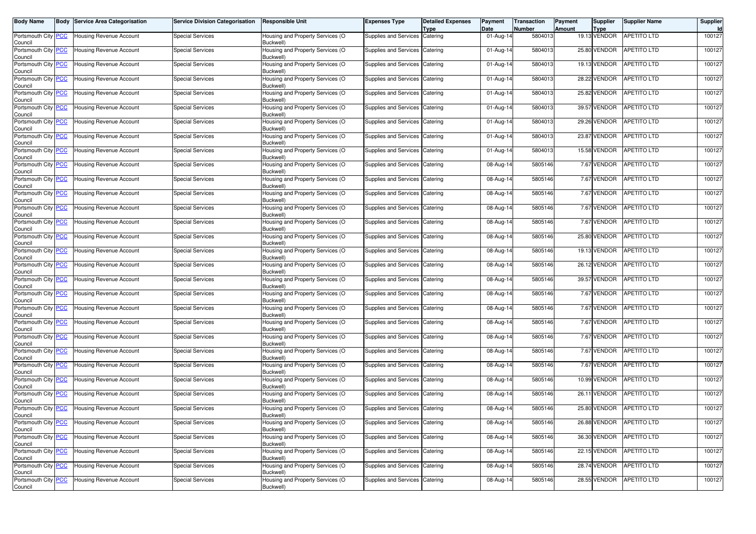| <b>Body Name</b>                      | <b>Body Service Area Categorisation</b> | <b>Service Division Categorisation</b> | <b>Responsible Unit</b>                       | Expenses Type                    | <b>Detailed Expenses</b><br>Type | Payment<br>Date | <b>Transaction</b><br>Number | Payment<br>Amount | Supplier<br><b>Type</b> | <b>Supplier Name</b>     | Supplier<br>Id |
|---------------------------------------|-----------------------------------------|----------------------------------------|-----------------------------------------------|----------------------------------|----------------------------------|-----------------|------------------------------|-------------------|-------------------------|--------------------------|----------------|
| Portsmouth City PCC<br>Council        | <b>Housing Revenue Account</b>          | <b>Special Services</b>                | Housing and Property Services (O<br>Buckwell) | Supplies and Services Catering   |                                  | 01-Aug-14       | 5804013                      |                   | 19.13 VENDOR            | <b>APETITO LTD</b>       | 100127         |
| Portsmouth City PCC<br>Council        | <b>Housing Revenue Account</b>          | <b>Special Services</b>                | Housing and Property Services (O<br>Buckwell) | Supplies and Services            | Catering                         | 01-Aug-14       | 5804013                      |                   | 25.80 VENDOR            | <b>APETITO LTD</b>       | 100127         |
| Portsmouth City PCC<br>Council        | <b>Housing Revenue Account</b>          | <b>Special Services</b>                | Housing and Property Services (O<br>Buckwell) | Supplies and Services            | Catering                         | 01-Aug-14       | 5804013                      |                   | 19.13 VENDOR            | <b>APETITO LTD</b>       | 100127         |
| Portsmouth City PCC<br>Council        | Housing Revenue Account                 | Special Services                       | Housing and Property Services (O<br>Buckwell) | Supplies and Services Catering   |                                  | 01-Aug-14       | 5804013                      |                   | 28.22 VENDOR            | <b>APETITO LTD</b>       | 100127         |
| Portsmouth City PCC<br>Council        | <b>Housing Revenue Account</b>          | <b>Special Services</b>                | Housing and Property Services (O<br>Buckwell) | Supplies and Services Catering   |                                  | 01-Aug-14       | 5804013                      |                   | 25.82 VENDOR            | <b>APETITO LTD</b>       | 100127         |
| Portsmouth City PCC<br>Council        | <b>Housing Revenue Account</b>          | <b>Special Services</b>                | Housing and Property Services (O<br>Buckwell) | Supplies and Services            | Catering                         | 01-Aug-14       | 5804013                      |                   | 39.57 VENDOR            | <b>APETITO LTD</b>       | 100127         |
| Portsmouth City PCC<br>Council        | <b>Housing Revenue Account</b>          | <b>Special Services</b>                | Housing and Property Services (O<br>Buckwell) | Supplies and Services Catering   |                                  | 01-Aug-14       | 5804013                      |                   | 29.26 VENDOR            | <b>APETITO LTD</b>       | 100127         |
| Portsmouth City PCC<br>Council        | <b>Housing Revenue Account</b>          | Special Services                       | Housing and Property Services (O<br>Buckwell) | Supplies and Services            | Catering                         | 01-Aug-14       | 5804013                      |                   | 23.87 VENDOR            | <b>APETITO LTD</b>       | 100127         |
| Portsmouth City PCC<br>Council        | <b>Housing Revenue Account</b>          | <b>Special Services</b>                | Housing and Property Services (O<br>Buckwell) | Supplies and Services            | Catering                         | 01-Aug-14       | 5804013                      |                   | 15.58 VENDOR            | APETITO LTD              | 100127         |
| Portsmouth City PCC<br>Council        | Housing Revenue Account                 | Special Services                       | Housing and Property Services (O<br>Buckwell) | Supplies and Services Catering   |                                  | 08-Aug-14       | 5805146                      |                   | 7.67 VENDOR             | <b>APETITO LTD</b>       | 100127         |
| Portsmouth City PCC<br>Council        | <b>Housing Revenue Account</b>          | <b>Special Services</b>                | Housing and Property Services (O<br>Buckwell) | Supplies and Services            | Catering                         | 08-Aug-14       | 5805146                      |                   | 7.67 VENDOR             | <b>APETITO LTD</b>       | 100127         |
| Portsmouth City PCC<br>Council        | <b>Housing Revenue Account</b>          | <b>Special Services</b>                | Housing and Property Services (O<br>Buckwell) | Supplies and Services Catering   |                                  | 08-Aug-14       | 5805146                      |                   | 7.67 VENDOR             | APETITO LTD              | 100127         |
| Portsmouth City PCC<br>Council        | <b>Housing Revenue Account</b>          | <b>Special Services</b>                | Housing and Property Services (O<br>Buckwell) | Supplies and Services Catering   |                                  | 08-Aug-14       | 5805146                      |                   | 7.67 VENDOR             | APETITO LTD              | 100127         |
| Portsmouth City PCC<br>Council        | <b>Housing Revenue Account</b>          | <b>Special Services</b>                | Housing and Property Services (O<br>Buckwell) | Supplies and Services            | Catering                         | 08-Aug-14       | 5805146                      |                   | 7.67 VENDOR             | APETITO LTD              | 100127         |
| Portsmouth City PCC<br>Council        | <b>Housing Revenue Account</b>          | <b>Special Services</b>                | Housing and Property Services (O<br>Buckwell) | Supplies and Services Catering   |                                  | 08-Aug-14       | 5805146                      |                   | 25.80 VENDOR            | APETITO LTD              | 100127         |
| Portsmouth City PCC<br>Council        | <b>Housing Revenue Account</b>          | Special Services                       | Housing and Property Services (O<br>Buckwell) | Supplies and Services Catering   |                                  | 08-Aug-14       | 5805146                      |                   | 19.13 VENDOR            | APETITO LTD              | 100127         |
| Portsmouth City PCC<br>Council        | <b>Housing Revenue Account</b>          | <b>Special Services</b>                | Housing and Property Services (O<br>Buckwell) | Supplies and Services            | Catering                         | 08-Aug-14       | 5805146                      |                   | 26.12 VENDOR            | <b>APETITO LTD</b>       | 100127         |
| Portsmouth City PCC<br>Council        | <b>Housing Revenue Account</b>          | <b>Special Services</b>                | Housing and Property Services (O<br>Buckwell) | Supplies and Services Catering   |                                  | 08-Aug-14       | 5805146                      |                   | 39.57 VENDOR            | APETITO LTD              | 100127         |
| Portsmouth City PCC<br>Council        | <b>Housing Revenue Account</b>          | Special Services                       | Housing and Property Services (O<br>Buckwell) | Supplies and Services Catering   |                                  | 08-Aug-14       | 5805146                      |                   | 7.67 VENDOR             | APETITO LTD              | 100127         |
| Portsmouth City PCC<br>Council        | <b>Housing Revenue Account</b>          | <b>Special Services</b>                | Housing and Property Services (O<br>Buckwell) | Supplies and Services            | Catering                         | 08-Aug-14       | 5805146                      |                   | 7.67 VENDOR             | APETITO LTD              | 100127         |
| Portsmouth City PCC<br>Council        | <b>Housing Revenue Account</b>          | <b>Special Services</b>                | Housing and Property Services (O<br>Buckwell) | Supplies and Services Catering   |                                  | 08-Aug-14       | 5805146                      |                   | 7.67 VENDOR             | APETITO LTD              | 100127         |
| Portsmouth City PCC<br>Council        | Housing Revenue Account                 | <b>Special Services</b>                | Housing and Property Services (O<br>Buckwell) | Supplies and Services Catering   |                                  | 08-Aug-14       | 5805146                      |                   | 7.67 VENDOR             | <b>APETITO LTD</b>       | 100127         |
| Portsmouth City PCC<br>Council        | <b>Housing Revenue Account</b>          | <b>Special Services</b>                | Housing and Property Services (O<br>Buckwell) | Supplies and Services            | Catering                         | 08-Aug-14       | 5805146                      |                   | 7.67 VENDOR             | <b>APETITO LTD</b>       | 100127         |
| Portsmouth City PCC<br>Council        | <b>Housing Revenue Account</b>          | <b>Special Services</b>                | Housing and Property Services (O<br>Buckwell) | Supplies and Services            | Catering                         | 08-Aug-14       | 5805146                      |                   | 7.67 VENDOR             | <b>APETITO LTD</b>       | 100127         |
| Portsmouth City PCC<br>Council        | <b>Housing Revenue Account</b>          | <b>Special Services</b>                | Housing and Property Services (O<br>Buckwell) | Supplies and Services Catering   |                                  | 08-Aug-14       | 5805146                      |                   | 10.99 VENDOR            | <b>APETITO LTD</b>       | 100127         |
| Portsmouth City PCC<br>Council        | <b>Housing Revenue Account</b>          | <b>Special Services</b>                | Housing and Property Services (O<br>Buckwell) | Supplies and Services Catering   |                                  | 08-Aug-14       | 5805146                      |                   | 26.11 VENDOR            | APETITO LTD              | 100127         |
| Portsmouth City PCC<br>Council        | <b>Housing Revenue Account</b>          | <b>Special Services</b>                | Housing and Property Services (O<br>Buckwell) | Supplies and Services Catering   |                                  | 08-Aug-14       | 5805146                      |                   | 25.80 VENDOR            | APETITO LTD              | 100127         |
| Portsmouth City <b>PCC</b><br>Council | <b>Housing Revenue Account</b>          | Special Services                       | Housing and Property Services (O<br>Buckwell) | Supplies and Services   Catering |                                  | 08-Aug-14       | 5805146                      |                   |                         | 26.88 VENDOR APETITO LTD | 100127         |
| Portsmouth City PCC<br>Council        | <b>Housing Revenue Account</b>          | <b>Special Services</b>                | Housing and Property Services (O<br>Buckwell) | Supplies and Services Catering   |                                  | 08-Aug-14       | 5805146                      |                   | 36.30 VENDOR            | <b>APETITO LTD</b>       | 100127         |
| Portsmouth City PCC<br>Council        | <b>Housing Revenue Account</b>          | <b>Special Services</b>                | Housing and Property Services (O<br>Buckwell) | Supplies and Services Catering   |                                  | 08-Aug-14       | 5805146                      |                   | 22.15 VENDOR            | APETITO LTD              | 100127         |
| Portsmouth City PCC<br>Council        | Housing Revenue Account                 | <b>Special Services</b>                | Housing and Property Services (O<br>Buckwell) | Supplies and Services Catering   |                                  | 08-Aug-14       | 5805146                      |                   | 28.74 VENDOR            | APETITO LTD              | 100127         |
| Portsmouth City PCC<br>Council        | <b>Housing Revenue Account</b>          | <b>Special Services</b>                | Housing and Property Services (O<br>Buckwell) | Supplies and Services Catering   |                                  | 08-Aug-14       | 5805146                      |                   | 28.55 VENDOR            | APETITO LTD              | 100127         |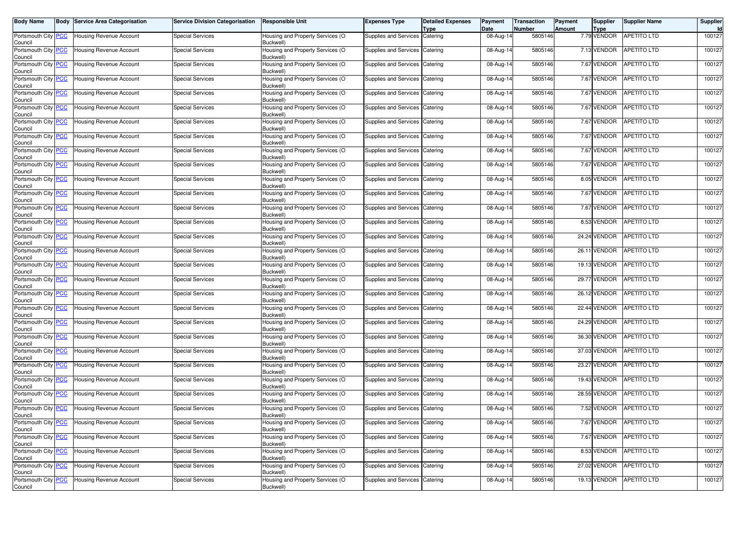| <b>Body Name</b>                      | <b>Body Service Area Categorisation</b> | <b>Service Division Categorisation</b> | <b>Responsible Unit</b>                       | Expenses Type                  | <b>Detailed Expenses</b><br>Type | Payment<br>Date | <b>Transaction</b><br><b>Number</b> | Payment<br>Amount | <b>Supplier</b><br><b>Type</b> | <b>Supplier Name</b>    | Supplier<br>Id |
|---------------------------------------|-----------------------------------------|----------------------------------------|-----------------------------------------------|--------------------------------|----------------------------------|-----------------|-------------------------------------|-------------------|--------------------------------|-------------------------|----------------|
| Portsmouth City PCC<br>Council        | Housing Revenue Account                 | <b>Special Services</b>                | Housing and Property Services (O<br>Buckwell) | Supplies and Services          | Catering                         | 08-Aug-14       | 5805146                             |                   | 7.79 VENDOR                    | <b>APETITO LTD</b>      | 100127         |
| Portsmouth City PCC<br>Council        | Housing Revenue Account                 | <b>Special Services</b>                | Housing and Property Services (O<br>Buckwell) | Supplies and Services          | Catering                         | 08-Aug-14       | 5805146                             |                   | 7.13 VENDOR                    | APETITO LTD             | 100127         |
| Portsmouth City PCC<br>Council        | Housing Revenue Account                 | <b>Special Services</b>                | Housing and Property Services (O<br>Buckwell) | Supplies and Services          | Catering                         | 08-Aug-14       | 5805146                             |                   | 7.67 VENDOR                    | APETITO LTD             | 100127         |
| Portsmouth City PCC<br>Council        | Housing Revenue Account                 | <b>Special Services</b>                | Housing and Property Services (O<br>Buckwell) | Supplies and Services Catering |                                  | 08-Aug-14       | 5805146                             |                   | 7.67 VENDOR                    | <b>APETITO LTD</b>      | 100127         |
| Portsmouth City PCC<br>Council        | Housing Revenue Account                 | <b>Special Services</b>                | Housing and Property Services (O<br>Buckwell) | Supplies and Services Catering |                                  | 08-Aug-14       | 5805146                             |                   | 7.67 VENDOR                    | <b>APETITO LTD</b>      | 100127         |
| Portsmouth City PCC<br>Council        | Housing Revenue Account                 | <b>Special Services</b>                | Housing and Property Services (O<br>Buckwell) | Supplies and Services          | Catering                         | 08-Aug-14       | 5805146                             |                   | 7.67 VENDOR                    | <b>APETITO LTD</b>      | 100127         |
| Portsmouth City PCC<br>Council        | Housing Revenue Account                 | <b>Special Services</b>                | Housing and Property Services (O<br>Buckwell) | Supplies and Services Catering |                                  | 08-Aug-14       | 5805146                             |                   | 7.67 VENDOR                    | <b>APETITO LTD</b>      | 100127         |
| Portsmouth City PCC<br>Council        | Housing Revenue Account                 | <b>Special Services</b>                | Housing and Property Services (O<br>Buckwell) | Supplies and Services          | Catering                         | 08-Aug-14       | 5805146                             |                   | 7.67 VENDOR                    | <b>APETITO LTD</b>      | 100127         |
| Portsmouth City PCC<br>Council        | Housing Revenue Account                 | <b>Special Services</b>                | Housing and Property Services (O<br>Buckwell) | Supplies and Services          | Catering                         | 08-Aug-14       | 5805146                             |                   | 7.67 VENDOR                    | APETITO LTD             | 100127         |
| Portsmouth City PCC<br>Council        | Housing Revenue Account                 | <b>Special Services</b>                | Housing and Property Services (O<br>Buckwell) | Supplies and Services Catering |                                  | 08-Aug-14       | 5805146                             |                   | 7.67 VENDOR                    | <b>APETITO LTD</b>      | 100127         |
| Portsmouth City PCC<br>Council        | Housing Revenue Account                 | <b>Special Services</b>                | Housing and Property Services (O<br>Buckwell) | Supplies and Services          | Catering                         | 08-Aug-14       | 5805146                             |                   | 8.05 VENDOR                    | <b>APETITO LTD</b>      | 100127         |
| Portsmouth City PCC<br>Council        | <b>Housing Revenue Account</b>          | <b>Special Services</b>                | Housing and Property Services (O<br>Buckwell) | Supplies and Services Catering |                                  | 08-Aug-14       | 5805146                             |                   | 7.67 VENDOR                    | <b>APETITO LTD</b>      | 100127         |
| Portsmouth City PCC<br>Council        | Housing Revenue Account                 | <b>Special Services</b>                | Housing and Property Services (O<br>Buckwell) | Supplies and Services Catering |                                  | 08-Aug-14       | 5805146                             |                   | 7.67 VENDOR                    | <b>APETITO LTD</b>      | 100127         |
| Portsmouth City PCC<br>Council        | <b>Housing Revenue Account</b>          | <b>Special Services</b>                | Housing and Property Services (O<br>Buckwell) | Supplies and Services          | Catering                         | 08-Aug-14       | 5805146                             |                   | 8.53 VENDOR                    | <b>APETITO LTD</b>      | 100127         |
| Portsmouth City PCC<br>Council        | Housing Revenue Account                 | <b>Special Services</b>                | Housing and Property Services (O<br>Buckwell) | Supplies and Services Catering |                                  | 08-Aug-14       | 5805146                             |                   | 24.24 VENDOR                   | APETITO LTD             | 100127         |
| Portsmouth City PCC<br>Council        | Housing Revenue Account                 | <b>Special Services</b>                | Housing and Property Services (O<br>Buckwell) | Supplies and Services Catering |                                  | 08-Aug-14       | 5805146                             |                   | 26.11 VENDOR                   | <b>APETITO LTD</b>      | 100127         |
| Portsmouth City PCC<br>Council        | <b>Housing Revenue Account</b>          | <b>Special Services</b>                | Housing and Property Services (O<br>Buckwell) | Supplies and Services          | Catering                         | 08-Aug-14       | 5805146                             |                   | 19.13 VENDOR                   | <b>APETITO LTD</b>      | 100127         |
| Portsmouth City PCC<br>Council        | Housing Revenue Account                 | <b>Special Services</b>                | Housing and Property Services (O<br>Buckwell) | Supplies and Services Catering |                                  | 08-Aug-14       | 5805146                             |                   | 29.77 VENDOR                   | APETITO LTD             | 100127         |
| Portsmouth City PCC<br>Council        | Housing Revenue Account                 | <b>Special Services</b>                | Housing and Property Services (O<br>Buckwell) | Supplies and Services Catering |                                  | 08-Aug-14       | 5805146                             |                   | 26.12 VENDOR                   | <b>APETITO LTD</b>      | 100127         |
| Portsmouth City PCC<br>Council        | Housing Revenue Account                 | <b>Special Services</b>                | Housing and Property Services (O<br>Buckwell) | Supplies and Services          | Catering                         | 08-Aug-14       | 5805146                             |                   | 22.44 VENDOR                   | <b>APETITO LTD</b>      | 100127         |
| Portsmouth City PCC<br>Council        | Housing Revenue Account                 | <b>Special Services</b>                | Housing and Property Services (O<br>Buckwell) | Supplies and Services Catering |                                  | 08-Aug-14       | 5805146                             |                   | 24.29 VENDOR                   | APETITO LTD             | 100127         |
| Portsmouth City PCC<br>Council        | Housing Revenue Account                 | <b>Special Services</b>                | Housing and Property Services (O<br>Buckwell) | Supplies and Services Catering |                                  | 08-Aug-14       | 5805146                             |                   | 36.30 VENDOR                   | <b>APETITO LTD</b>      | 100127         |
| Portsmouth City PCC<br>Council        | Housing Revenue Account                 | <b>Special Services</b>                | Housing and Property Services (O<br>Buckwell) | Supplies and Services          | Catering                         | 08-Aug-14       | 5805146                             |                   | 37.03 VENDOR                   | <b>APETITO LTD</b>      | 100127         |
| Portsmouth City PCC<br>Council        | Housing Revenue Account                 | <b>Special Services</b>                | Housing and Property Services (O<br>Buckwell) | Supplies and Services          | Catering                         | 08-Aug-14       | 5805146                             |                   | 23.27 VENDOR                   | <b>APETITO LTD</b>      | 100127         |
| Portsmouth City PCC<br>Council        | Housing Revenue Account                 | <b>Special Services</b>                | Housing and Property Services (O<br>Buckwell) | Supplies and Services          | Catering                         | 08-Aug-14       | 5805146                             |                   | 19.43 VENDOR                   | APETITO LTD             | 100127         |
| Portsmouth City PCC<br>Council        | Housing Revenue Account                 | <b>Special Services</b>                | Housing and Property Services (O<br>Buckwell) | Supplies and Services          | Catering                         | 08-Aug-14       | 5805146                             |                   | 28.55 VENDOR                   | <b>APETITO LTD</b>      | 100127         |
| Portsmouth City PCC<br>Council        | Housing Revenue Account                 | <b>Special Services</b>                | Housing and Property Services (O<br>Buckwell) | Supplies and Services Catering |                                  | 08-Aug-14       | 5805146                             |                   | 7.52 VENDOR                    | <b>APETITO LTD</b>      | 100127         |
| Portsmouth City <b>PCC</b><br>Council | Housing Revenue Account                 | <b>Special Services</b>                | Housing and Property Services (O<br>Buckwell) | Supplies and Services Catering |                                  | 08-Aug-14       | 5805146                             |                   |                                | 7.67 VENDOR APETITO LTD | 100127         |
| Portsmouth City PCC<br>Council        | <b>Housing Revenue Account</b>          | <b>Special Services</b>                | Housing and Property Services (O<br>Buckwell) | Supplies and Services Catering |                                  | 08-Aug-14       | 5805146                             |                   | 7.67 VENDOR                    | <b>APETITO LTD</b>      | 100127         |
| Portsmouth City PCC<br>Council        | Housing Revenue Account                 | <b>Special Services</b>                | Housing and Property Services (O<br>Buckwell) | Supplies and Services Catering |                                  | 08-Aug-14       | 5805146                             |                   | 8.53 VENDOR                    | <b>APETITO LTD</b>      | 100127         |
| Portsmouth City PCC<br>Council        | Housing Revenue Account                 | <b>Special Services</b>                | Housing and Property Services (O<br>Buckwell) | Supplies and Services Catering |                                  | 08-Aug-14       | 5805146                             |                   | 27.02 VENDOR                   | <b>APETITO LTD</b>      | 100127         |
| Portsmouth City PCC<br>Council        | Housing Revenue Account                 | <b>Special Services</b>                | Housing and Property Services (O<br>Buckwell) | Supplies and Services Catering |                                  | 08-Aug-14       | 5805146                             |                   | 19.13 VENDOR                   | APETITO LTD             | 100127         |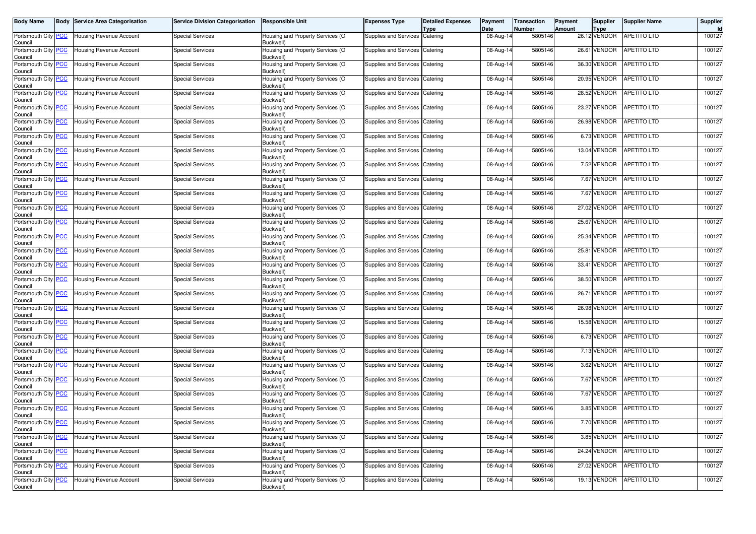| <b>Body Name</b>                      | <b>Body Service Area Categorisation</b> | <b>Service Division Categorisation</b> | <b>Responsible Unit</b>                       | <b>Expenses Type</b>             | <b>Detailed Expenses</b><br><b>Type</b> | Payment<br>Date | <b>Transaction</b><br><b>Number</b> | Payment<br>Amount | Supplier<br><b>Type</b> | <b>Supplier Name</b>    | Supplier<br>Id |
|---------------------------------------|-----------------------------------------|----------------------------------------|-----------------------------------------------|----------------------------------|-----------------------------------------|-----------------|-------------------------------------|-------------------|-------------------------|-------------------------|----------------|
| Portsmouth City PCC<br>Council        | Housing Revenue Account                 | <b>Special Services</b>                | Housing and Property Services (O<br>Buckwell) | Supplies and Services Catering   |                                         | 08-Aug-14       | 5805146                             |                   | 26.12 VENDOR            | <b>APETITO LTD</b>      | 100127         |
| Portsmouth City PCC<br>Council        | Housing Revenue Account                 | <b>Special Services</b>                | Housing and Property Services (O<br>Buckwell) | Supplies and Services            | Catering                                | 08-Aug-14       | 5805146                             |                   | 26.61 VENDOR            | <b>APETITO LTD</b>      | 100127         |
| Portsmouth City PCC<br>Council        | Housing Revenue Account                 | <b>Special Services</b>                | Housing and Property Services (O<br>Buckwell) | Supplies and Services Catering   |                                         | 08-Aug-14       | 5805146                             |                   | 36.30 VENDOR            | <b>APETITO LTD</b>      | 100127         |
| Portsmouth City PCC<br>Council        | Housing Revenue Account                 | <b>Special Services</b>                | Housing and Property Services (O<br>Buckwell) | Supplies and Services Catering   |                                         | 08-Aug-14       | 5805146                             |                   | 20.95 VENDOR            | APETITO LTD             | 100127         |
| Portsmouth City PCC<br>Council        | Housing Revenue Account                 | <b>Special Services</b>                | Housing and Property Services (O<br>Buckwell) | Supplies and Services            | Catering                                | 08-Aug-14       | 5805146                             |                   | 28.52 VENDOR            | APETITO LTD             | 100127         |
| Portsmouth City PCC<br>Council        | <b>Housing Revenue Account</b>          | <b>Special Services</b>                | Housing and Property Services (O<br>Buckwell) | Supplies and Services Catering   |                                         | 08-Aug-14       | 5805146                             |                   | 23.27 VENDOR            | <b>APETITO LTD</b>      | 100127         |
| Portsmouth City PCC<br>Council        | Housing Revenue Account                 | <b>Special Services</b>                | Housing and Property Services (O<br>Buckwell) | Supplies and Services Catering   |                                         | 08-Aug-14       | 5805146                             |                   | 26.98 VENDOR            | <b>APETITO LTD</b>      | 100127         |
| Portsmouth City PCC<br>Council        | Housing Revenue Account                 | <b>Special Services</b>                | Housing and Property Services (O<br>Buckwell) | Supplies and Services Catering   |                                         | 08-Aug-14       | 5805146                             |                   | 6.73 VENDOR             | <b>APETITO LTD</b>      | 100127         |
| Portsmouth City PCC<br>Council        | Housing Revenue Account                 | <b>Special Services</b>                | Housing and Property Services (O<br>Buckwell) | Supplies and Services Catering   |                                         | 08-Aug-14       | 5805146                             |                   | 13.04 VENDOR            | APETITO LTD             | 100127         |
| Portsmouth City PCC<br>Council        | Housing Revenue Account                 | <b>Special Services</b>                | Housing and Property Services (O<br>Buckwell) | Supplies and Services Catering   |                                         | 08-Aug-14       | 5805146                             |                   | 7.52 VENDOR             | <b>APETITO LTD</b>      | 100127         |
| Portsmouth City PCC<br>Council        | Housing Revenue Account                 | <b>Special Services</b>                | Housing and Property Services (O<br>Buckwell) | Supplies and Services            | Catering                                | 08-Aug-14       | 5805146                             |                   | 7.67 VENDOR             | <b>APETITO LTD</b>      | 100127         |
| Portsmouth City PCC<br>Council        | Housing Revenue Account                 | <b>Special Services</b>                | Housing and Property Services (O<br>Buckwell) | Supplies and Services            | Catering                                | 08-Aug-14       | 5805146                             |                   | 7.67 VENDOR             | APETITO LTD             | 100127         |
| Portsmouth City PCC<br>Council        | Housing Revenue Account                 | <b>Special Services</b>                | Housing and Property Services (O<br>Buckwell) | Supplies and Services Catering   |                                         | 08-Aug-14       | 5805146                             |                   | 27.02 VENDOR            | <b>APETITO LTD</b>      | 100127         |
| Portsmouth City PCC<br>Council        | Housing Revenue Account                 | <b>Special Services</b>                | Housing and Property Services (O<br>Buckwell) | Supplies and Services Catering   |                                         | 08-Aug-14       | 5805146                             |                   | 25.67 VENDOR            | <b>APETITO LTD</b>      | 100127         |
| Portsmouth City PCC<br>Council        | <b>Housing Revenue Account</b>          | <b>Special Services</b>                | Housing and Property Services (O<br>Buckwell) | Supplies and Services Catering   |                                         | 08-Aug-14       | 5805146                             |                   | 25.34 VENDOR            | <b>APETITO LTD</b>      | 100127         |
| Portsmouth City PCC<br>Council        | Housing Revenue Account                 | <b>Special Services</b>                | Housing and Property Services (O<br>Buckwell) | Supplies and Services Catering   |                                         | 08-Aug-14       | 5805146                             |                   | 25.81 VENDOR            | <b>APETITO LTD</b>      | 100127         |
| Portsmouth City PCC<br>Council        | Housing Revenue Account                 | <b>Special Services</b>                | Housing and Property Services (O<br>Buckwell) | Supplies and Services Catering   |                                         | 08-Aug-14       | 5805146                             |                   | 33.41 VENDOR            | <b>APETITO LTD</b>      | 100127         |
| Portsmouth City PCC<br>Council        | Housing Revenue Account                 | <b>Special Services</b>                | Housing and Property Services (O<br>Buckwell) | Supplies and Services Catering   |                                         | 08-Aug-14       | 5805146                             |                   | 38.50 VENDOR            | <b>APETITO LTD</b>      | 100127         |
| Portsmouth City PCC<br>Council        | Housing Revenue Account                 | <b>Special Services</b>                | Housing and Property Services (O<br>Buckwell) | Supplies and Services Catering   |                                         | 08-Aug-14       | 5805146                             |                   | 26.71 VENDOR            | <b>APETITO LTD</b>      | 100127         |
| Portsmouth City PCC<br>Council        | Housing Revenue Account                 | <b>Special Services</b>                | Housing and Property Services (O<br>Buckwell) | Supplies and Services Catering   |                                         | 08-Aug-14       | 5805146                             |                   | 26.98 VENDOR            | <b>APETITO LTD</b>      | 100127         |
| Portsmouth City PCC<br>Council        | Housing Revenue Account                 | <b>Special Services</b>                | Housing and Property Services (O<br>Buckwell) | Supplies and Services Catering   |                                         | 08-Aug-14       | 5805146                             |                   | 15.58 VENDOR            | APETITO LTD             | 100127         |
| Portsmouth City <b>PCC</b><br>Council | Housing Revenue Account                 | <b>Special Services</b>                | Housing and Property Services (O<br>Buckwell) | Supplies and Services Catering   |                                         | $08-Aug-14$     | 5805146                             |                   | 6.73 VENDOR             | <b>APETITO LTD</b>      | 100127         |
| Portsmouth City PCC<br>Council        | Housing Revenue Account                 | <b>Special Services</b>                | Housing and Property Services (O<br>Buckwell) | Supplies and Services Catering   |                                         | 08-Aug-14       | 5805146                             |                   | 7.13 VENDOR             | APETITO LTD             | 100127         |
| Portsmouth City PCC<br>Council        | Housing Revenue Account                 | <b>Special Services</b>                | Housing and Property Services (O<br>Buckwell) | Supplies and Services            | Catering                                | 08-Aug-14       | 5805146                             |                   | 3.62 VENDOR             | APETITO LTD             | 100127         |
| Portsmouth City PCC<br>Council        | Housing Revenue Account                 | <b>Special Services</b>                | Housing and Property Services (O<br>Buckwell) | Supplies and Services Catering   |                                         | 08-Aug-14       | 5805146                             |                   | 7.67 VENDOR             | <b>APETITO LTD</b>      | 100127         |
| Portsmouth City PCC<br>Council        | Housing Revenue Account                 | <b>Special Services</b>                | Housing and Property Services (O<br>Buckwell) | Supplies and Services            | Catering                                | 08-Aug-14       | 5805146                             |                   | 7.67 VENDOR             | <b>APETITO LTD</b>      | 100127         |
| Portsmouth City PCC<br>Council        | Housing Revenue Account                 | <b>Special Services</b>                | Housing and Property Services (O<br>Buckwell) | Supplies and Services Catering   |                                         | 08-Aug-14       | 5805146                             |                   | 3.85 VENDOR             | <b>APETITO LTD</b>      | 100127         |
| Portsmouth City RCC<br>Council        | <b>Housing Revenue Account</b>          | Special Services                       | Housing and Property Services (O<br>Buckwell) | Supplies and Services   Catering |                                         | 08-Aug-14       | 5805146                             |                   |                         | 7.70 VENDOR APETITO LTD | 100127         |
| Portsmouth City PCC<br>Council        | Housing Revenue Account                 | <b>Special Services</b>                | Housing and Property Services (O<br>Buckwell) | Supplies and Services Catering   |                                         | 08-Aug-14       | 5805146                             |                   | 3.85 VENDOR             | <b>APETITO LTD</b>      | 100127         |
| Portsmouth City PCC<br>Council        | Housing Revenue Account                 | <b>Special Services</b>                | Housing and Property Services (O<br>Buckwell) | Supplies and Services Catering   |                                         | 08-Aug-14       | 5805146                             |                   | 24.24 VENDOR            | APETITO LTD             | 100127         |
| Portsmouth City PCC<br>Council        | Housing Revenue Account                 | <b>Special Services</b>                | Housing and Property Services (O<br>Buckwell) | Supplies and Services Catering   |                                         | 08-Aug-14       | 5805146                             |                   | 27.02 VENDOR            | <b>APETITO LTD</b>      | 100127         |
| Portsmouth City PCC<br>Council        | <b>Housing Revenue Account</b>          | <b>Special Services</b>                | Housing and Property Services (O<br>Buckwell) | Supplies and Services Catering   |                                         | 08-Aug-14       | 5805146                             |                   | 19.13 VENDOR            | APETITO LTD             | 100127         |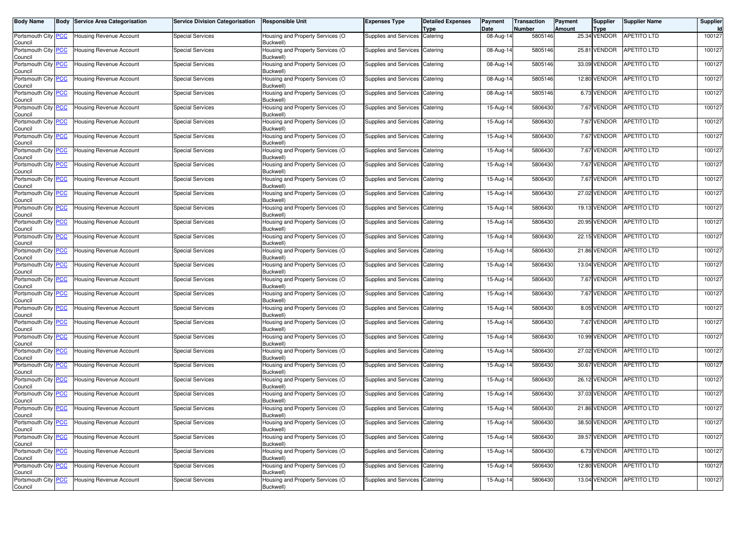| <b>Body Name</b>                      | <b>Body Service Area Categorisation</b> | <b>Service Division Categorisation</b> | <b>Responsible Unit</b>                       | <b>Expenses Type</b>           | <b>Detailed Expenses</b><br><b>Type</b> | Payment<br>Date | <b>Transaction</b><br><b>Number</b> | Payment<br>Amount | Supplier<br><b>Type</b> | <b>Supplier Name</b>     | Supplier<br>Id |
|---------------------------------------|-----------------------------------------|----------------------------------------|-----------------------------------------------|--------------------------------|-----------------------------------------|-----------------|-------------------------------------|-------------------|-------------------------|--------------------------|----------------|
| Portsmouth City PCC<br>Council        | Housing Revenue Account                 | <b>Special Services</b>                | Housing and Property Services (O<br>Buckwell) | Supplies and Services Catering |                                         | 08-Aug-14       | 5805146                             |                   | 25.34 VENDOR            | <b>APETITO LTD</b>       | 100127         |
| Portsmouth City PCC<br>Council        | Housing Revenue Account                 | <b>Special Services</b>                | Housing and Property Services (O<br>Buckwell) | Supplies and Services          | Catering                                | 08-Aug-14       | 5805146                             |                   | 25.81 VENDOR            | <b>APETITO LTD</b>       | 100127         |
| Portsmouth City PCC<br>Council        | Housing Revenue Account                 | <b>Special Services</b>                | Housing and Property Services (O<br>Buckwell) | Supplies and Services Catering |                                         | 08-Aug-14       | 5805146                             |                   | 33.09 VENDOR            | <b>APETITO LTD</b>       | 100127         |
| Portsmouth City PCC<br>Council        | Housing Revenue Account                 | <b>Special Services</b>                | Housing and Property Services (O<br>Buckwell) | Supplies and Services Catering |                                         | 08-Aug-14       | 5805146                             |                   | 12.80 VENDOR            | <b>APETITO LTD</b>       | 100127         |
| Portsmouth City PCC<br>Council        | Housing Revenue Account                 | <b>Special Services</b>                | Housing and Property Services (O<br>Buckwell) | Supplies and Services          | Catering                                | 08-Aug-14       | 5805146                             |                   | 6.73 VENDOR             | APETITO LTD              | 100127         |
| Portsmouth City PCC<br>Council        | Housing Revenue Account                 | <b>Special Services</b>                | Housing and Property Services (O<br>Buckwell) | Supplies and Services Catering |                                         | 15-Aug-14       | 5806430                             |                   | 7.67 VENDOR             | <b>APETITO LTD</b>       | 100127         |
| Portsmouth City PCC<br>Council        | Housing Revenue Account                 | <b>Special Services</b>                | Housing and Property Services (O<br>Buckwell) | Supplies and Services Catering |                                         | 15-Aug-14       | 5806430                             |                   | 7.67 VENDOR             | <b>APETITO LTD</b>       | 100127         |
| Portsmouth City PCC<br>Council        | Housing Revenue Account                 | <b>Special Services</b>                | Housing and Property Services (O<br>Buckwell) | Supplies and Services Catering |                                         | 15-Aug-14       | 5806430                             |                   | 7.67 VENDOR             | <b>APETITO LTD</b>       | 100127         |
| Portsmouth City PCC<br>Council        | Housing Revenue Account                 | <b>Special Services</b>                | Housing and Property Services (O<br>Buckwell) | Supplies and Services Catering |                                         | 15-Aug-14       | 5806430                             |                   | 7.67 VENDOR             | APETITO LTD              | 100127         |
| Portsmouth City PCC<br>Council        | Housing Revenue Account                 | <b>Special Services</b>                | Housing and Property Services (O<br>Buckwell) | Supplies and Services Catering |                                         | 15-Aug-14       | 5806430                             |                   | 7.67 VENDOR             | <b>APETITO LTD</b>       | 100127         |
| Portsmouth City PCC<br>Council        | Housing Revenue Account                 | <b>Special Services</b>                | Housing and Property Services (O<br>Buckwell) | Supplies and Services          | Catering                                | 15-Aug-14       | 5806430                             |                   | 7.67 VENDOR             | <b>APETITO LTD</b>       | 100127         |
| Portsmouth City PCC<br>Council        | Housing Revenue Account                 | <b>Special Services</b>                | Housing and Property Services (O<br>Buckwell) | Supplies and Services          | Catering                                | 15-Aug-14       | 5806430                             |                   | 27.02 VENDOR            | APETITO LTD              | 100127         |
| Portsmouth City PCC<br>Council        | Housing Revenue Account                 | <b>Special Services</b>                | Housing and Property Services (O<br>Buckwell) | Supplies and Services Catering |                                         | 15-Aug-14       | 5806430                             |                   | 19.13 VENDOR            | <b>APETITO LTD</b>       | 100127         |
| Portsmouth City PCC<br>Council        | Housing Revenue Account                 | <b>Special Services</b>                | Housing and Property Services (O<br>Buckwell) | Supplies and Services Catering |                                         | 15-Aug-14       | 5806430                             |                   | 20.95 VENDOR            | <b>APETITO LTD</b>       | 100127         |
| Portsmouth City PCC<br>Council        | <b>Housing Revenue Account</b>          | <b>Special Services</b>                | Housing and Property Services (O<br>Buckwell) | Supplies and Services Catering |                                         | 15-Aug-14       | 5806430                             |                   | 22.15 VENDOR            | <b>APETITO LTD</b>       | 100127         |
| Portsmouth City PCC<br>Council        | Housing Revenue Account                 | <b>Special Services</b>                | Housing and Property Services (O<br>Buckwell) | Supplies and Services Catering |                                         | 15-Aug-14       | 5806430                             |                   | 21.86 VENDOR            | <b>APETITO LTD</b>       | 100127         |
| Portsmouth City PCC<br>Council        | Housing Revenue Account                 | <b>Special Services</b>                | Housing and Property Services (O<br>Buckwell) | Supplies and Services Catering |                                         | 15-Aug-14       | 5806430                             |                   | 13.04 VENDOR            | <b>APETITO LTD</b>       | 100127         |
| Portsmouth City PCC<br>Council        | Housing Revenue Account                 | <b>Special Services</b>                | Housing and Property Services (O<br>Buckwell) | Supplies and Services Catering |                                         | 15-Aug-14       | 5806430                             |                   | 7.67 VENDOR             | <b>APETITO LTD</b>       | 100127         |
| Portsmouth City PCC<br>Council        | Housing Revenue Account                 | <b>Special Services</b>                | Housing and Property Services (O<br>Buckwell) | Supplies and Services Catering |                                         | 15-Aug-14       | 5806430                             |                   | 7.67 VENDOR             | <b>APETITO LTD</b>       | 100127         |
| Portsmouth City PCC<br>Council        | Housing Revenue Account                 | <b>Special Services</b>                | Housing and Property Services (O<br>Buckwell) | Supplies and Services Catering |                                         | 15-Aug-14       | 5806430                             |                   | 8.05 VENDOR             | <b>APETITO LTD</b>       | 100127         |
| Portsmouth City PCC<br>Council        | Housing Revenue Account                 | <b>Special Services</b>                | Housing and Property Services (O<br>Buckwell) | Supplies and Services Catering |                                         | 15-Aug-14       | 5806430                             |                   | 7.67 VENDOR             | APETITO LTD              | 100127         |
| Portsmouth City <b>PCC</b><br>Council | Housing Revenue Account                 | <b>Special Services</b>                | Housing and Property Services (O<br>Buckwell) | Supplies and Services Catering |                                         | 15-Aug-14       | 5806430                             |                   | 10.99 VENDOR            | <b>APETITO LTD</b>       | 100127         |
| Portsmouth City PCC<br>Council        | Housing Revenue Account                 | <b>Special Services</b>                | Housing and Property Services (O<br>Buckwell) | Supplies and Services Catering |                                         | 15-Aug-14       | 5806430                             |                   | 27.02 VENDOR            | APETITO LTD              | 100127         |
| Portsmouth City PCC<br>Council        | Housing Revenue Account                 | <b>Special Services</b>                | Housing and Property Services (O<br>Buckwell) | Supplies and Services          | Catering                                | 15-Aug-14       | 5806430                             |                   | 30.67 VENDOR            | APETITO LTD              | 100127         |
| Portsmouth City <b>PCC</b><br>Council | Housing Revenue Account                 | <b>Special Services</b>                | Housing and Property Services (O<br>Buckwell) | Supplies and Services Catering |                                         | 15-Aug-14       | 5806430                             |                   | 26.12 VENDOR            | <b>APETITO LTD</b>       | 100127         |
| Portsmouth City PCC<br>Council        | Housing Revenue Account                 | <b>Special Services</b>                | Housing and Property Services (O<br>Buckwell) | Supplies and Services          | Catering                                | 15-Aug-14       | 5806430                             |                   | 37.03 VENDOR            | APETITO LTD              | 100127         |
| Portsmouth City PCC<br>Council        | Housing Revenue Account                 | <b>Special Services</b>                | Housing and Property Services (O<br>Buckwell) | Supplies and Services Catering |                                         | 15-Aug-14       | 5806430                             |                   | 21.86 VENDOR            | <b>APETITO LTD</b>       | 100127         |
| Portsmouth City RCC<br>Council        | <b>Housing Revenue Account</b>          | Special Services                       | Housing and Property Services (O<br>Buckwell) | Supplies and Services Catering |                                         | 15-Aug-14       | 5806430                             |                   |                         | 38.50 VENDOR APETITO LTD | 100127         |
| Portsmouth City PCC<br>Council        | Housing Revenue Account                 | <b>Special Services</b>                | Housing and Property Services (O<br>Buckwell) | Supplies and Services Catering |                                         | 15-Aug-14       | 5806430                             |                   | 39.57 VENDOR            | <b>APETITO LTD</b>       | 100127         |
| Portsmouth City PCC<br>Council        | Housing Revenue Account                 | <b>Special Services</b>                | Housing and Property Services (O<br>Buckwell) | Supplies and Services Catering |                                         | 15-Aug-14       | 5806430                             |                   | 6.73 VENDOR             | APETITO LTD              | 100127         |
| Portsmouth City PCC<br>Council        | Housing Revenue Account                 | <b>Special Services</b>                | Housing and Property Services (O<br>Buckwell) | Supplies and Services Catering |                                         | 15-Aug-14       | 5806430                             |                   | 12.80 VENDOR            | <b>APETITO LTD</b>       | 100127         |
| Portsmouth City PCC<br>Council        | <b>Housing Revenue Account</b>          | <b>Special Services</b>                | Housing and Property Services (O<br>Buckwell) | Supplies and Services Catering |                                         | 15-Aug-14       | 5806430                             |                   | 13.04 VENDOR            | APETITO LTD              | 100127         |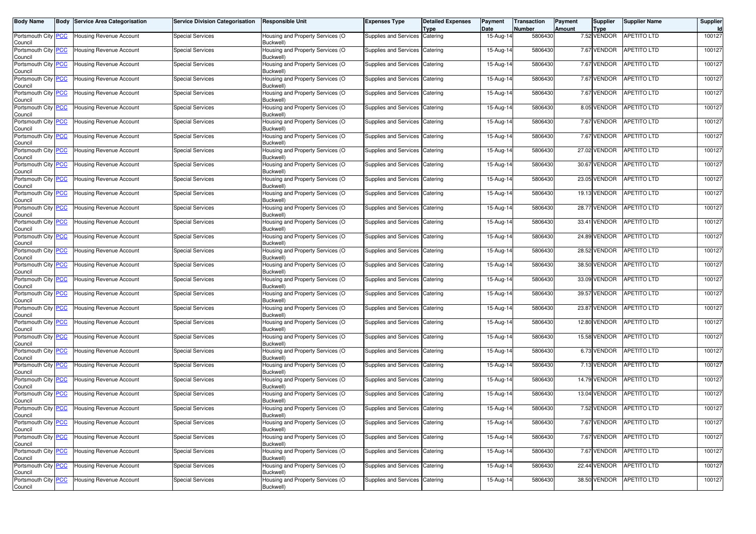| <b>Body Name</b>                      | <b>Body Service Area Categorisation</b> | <b>Service Division Categorisation</b> | <b>Responsible Unit</b>                       | <b>Expenses Type</b>           | <b>Detailed Expenses</b><br><b>Type</b> | Payment<br>Date | <b>Transaction</b><br><b>Number</b> | Payment<br>Amount | Supplier<br><b>Type</b> | <b>Supplier Name</b>    | Supplier<br>Id |
|---------------------------------------|-----------------------------------------|----------------------------------------|-----------------------------------------------|--------------------------------|-----------------------------------------|-----------------|-------------------------------------|-------------------|-------------------------|-------------------------|----------------|
| Portsmouth City PCC<br>Council        | <b>Housing Revenue Account</b>          | <b>Special Services</b>                | Housing and Property Services (O<br>Buckwell) | Supplies and Services Catering |                                         | 15-Aug-14       | 5806430                             |                   | 7.52 VENDOR             | <b>APETITO LTD</b>      | 100127         |
| Portsmouth City PCC<br>Council        | <b>Housing Revenue Account</b>          | <b>Special Services</b>                | Housing and Property Services (O<br>Buckwell) | Supplies and Services          | Catering                                | 15-Aug-14       | 5806430                             |                   | 7.67 VENDOR             | APETITO LTD             | 100127         |
| Portsmouth City PCC<br>Council        | <b>Housing Revenue Account</b>          | <b>Special Services</b>                | Housing and Property Services (O<br>Buckwell) | Supplies and Services Catering |                                         | 15-Aug-14       | 5806430                             |                   | 7.67 VENDOR             | APETITO LTD             | 100127         |
| Portsmouth City PCC<br>Council        | Housing Revenue Account                 | <b>Special Services</b>                | Housing and Property Services (O<br>Buckwell) | Supplies and Services Catering |                                         | 15-Aug-14       | 5806430                             |                   | 7.67 VENDOR             | <b>APETITO LTD</b>      | 100127         |
| Portsmouth City PCC<br>Council        | <b>Housing Revenue Account</b>          | <b>Special Services</b>                | Housing and Property Services (O<br>Buckwell) | Supplies and Services          | Catering                                | 15-Aug-14       | 5806430                             |                   | 7.67 VENDOR             | APETITO LTD             | 100127         |
| Portsmouth City PCC<br>Council        | <b>Housing Revenue Account</b>          | <b>Special Services</b>                | Housing and Property Services (O<br>Buckwell) | Supplies and Services          | Catering                                | 15-Aug-14       | 5806430                             |                   | 8.05 VENDOR             | APETITO LTD             | 100127         |
| Portsmouth City PCC<br>Council        | Housing Revenue Account                 | Special Services                       | Housing and Property Services (O<br>Buckwell) | Supplies and Services Catering |                                         | 15-Aug-14       | 5806430                             |                   | 7.67 VENDOR             | APETITO LTD             | 100127         |
| Portsmouth City PCC<br>Council        | <b>Housing Revenue Account</b>          | <b>Special Services</b>                | Housing and Property Services (O<br>Buckwell) | Supplies and Services          | Catering                                | 15-Aug-14       | 5806430                             |                   | 7.67 VENDOR             | APETITO LTD             | 100127         |
| Portsmouth City PCC<br>Council        | <b>Housing Revenue Account</b>          | <b>Special Services</b>                | Housing and Property Services (O<br>Buckwell) | Supplies and Services Catering |                                         | 15-Aug-14       | 5806430                             |                   | 27.02 VENDOR            | APETITO LTD             | 100127         |
| Portsmouth City PCC<br>Council        | Housing Revenue Account                 | <b>Special Services</b>                | Housing and Property Services (O<br>Buckwell) | Supplies and Services Catering |                                         | 15-Aug-14       | 5806430                             |                   | 30.67 VENDOR            | <b>APETITO LTD</b>      | 100127         |
| Portsmouth City PCC<br>Council        | <b>Housing Revenue Account</b>          | <b>Special Services</b>                | Housing and Property Services (O<br>Buckwell) | Supplies and Services          | Catering                                | 15-Aug-14       | 5806430                             |                   | 23.05 VENDOR            | APETITO LTD             | 100127         |
| Portsmouth City PCC<br>Council        | <b>Housing Revenue Account</b>          | <b>Special Services</b>                | Housing and Property Services (O<br>Buckwell) | <b>Supplies and Services</b>   | Catering                                | 15-Aug-14       | 5806430                             |                   | 19.13 VENDOR            | APETITO LTD             | 100127         |
| Portsmouth City PCC<br>Council        | <b>Housing Revenue Account</b>          | <b>Special Services</b>                | Housing and Property Services (O<br>Buckwell) | Supplies and Services Catering |                                         | 15-Aug-14       | 5806430                             |                   | 28.77 VENDOR            | <b>APETITO LTD</b>      | 100127         |
| Portsmouth City PCC<br>Council        | Housing Revenue Account                 | <b>Special Services</b>                | Housing and Property Services (O<br>Buckwell) | Supplies and Services Catering |                                         | 15-Aug-14       | 5806430                             |                   | 33.41 VENDOR            | <b>APETITO LTD</b>      | 100127         |
| Portsmouth City PCC<br>Council        | <b>Housing Revenue Account</b>          | <b>Special Services</b>                | Housing and Property Services (O<br>Buckwell) | Supplies and Services          | Catering                                | 15-Aug-14       | 5806430                             |                   | 24.89 VENDOR            | <b>APETITO LTD</b>      | 100127         |
| Portsmouth City PCC<br>Council        | <b>Housing Revenue Account</b>          | <b>Special Services</b>                | Housing and Property Services (O<br>Buckwell) | Supplies and Services Catering |                                         | 15-Aug-14       | 5806430                             |                   | 28.52 VENDOR            | APETITO LTD             | 100127         |
| Portsmouth City PCC<br>Council        | <b>Housing Revenue Account</b>          | <b>Special Services</b>                | Housing and Property Services (O<br>Buckwell) | Supplies and Services Catering |                                         | 15-Aug-14       | 5806430                             |                   | 38.50 VENDOR            | <b>APETITO LTD</b>      | 100127         |
| Portsmouth City PCC<br>Council        | <b>Housing Revenue Account</b>          | <b>Special Services</b>                | Housing and Property Services (O<br>Buckwell) | Supplies and Services Catering |                                         | 15-Aug-14       | 5806430                             |                   | 33.09 VENDOR            | <b>APETITO LTD</b>      | 100127         |
| Portsmouth City PCC<br>Council        | <b>Housing Revenue Account</b>          | <b>Special Services</b>                | Housing and Property Services (O<br>Buckwell) | Supplies and Services Catering |                                         | 15-Aug-14       | 5806430                             |                   | 39.57 VENDOR            | APETITO LTD             | 100127         |
| Portsmouth City PCC<br>Council        | <b>Housing Revenue Account</b>          | <b>Special Services</b>                | Housing and Property Services (O<br>Buckwell) | Supplies and Services Catering |                                         | 15-Aug-14       | 5806430                             |                   | 23.87 VENDOR            | <b>APETITO LTD</b>      | 100127         |
| Portsmouth City PCC<br>Council        | <b>Housing Revenue Account</b>          | <b>Special Services</b>                | Housing and Property Services (O<br>Buckwell) | Supplies and Services          | Catering                                | 15-Aug-14       | 5806430                             |                   | 12.80 VENDOR            | <b>APETITO LTD</b>      | 100127         |
| Portsmouth City PCC<br>Council        | <b>Housing Revenue Account</b>          | <b>Special Services</b>                | Housing and Property Services (O<br>Buckwell) | Supplies and Services Catering |                                         | 15-Aug-14       | 5806430                             |                   | 15.58 VENDOR            | <b>APETITO LTD</b>      | 100127         |
| Portsmouth City PCC<br>Council        | <b>Housing Revenue Account</b>          | <b>Special Services</b>                | Housing and Property Services (O<br>Buckwell) | Supplies and Services          | Catering                                | 15-Aug-14       | 5806430                             |                   | 6.73 VENDOR             | <b>APETITO LTD</b>      | 100127         |
| Portsmouth City PCC<br>Council        | Housing Revenue Account                 | <b>Special Services</b>                | Housing and Property Services (O<br>Buckwell) | Supplies and Services          | Catering                                | 15-Aug-14       | 5806430                             |                   | 7.13 VENDOR             | APETITO LTD             | 100127         |
| Portsmouth City PCC<br>Council        | <b>Housing Revenue Account</b>          | <b>Special Services</b>                | Housing and Property Services (O<br>Buckwell) | Supplies and Services Catering |                                         | 15-Aug-14       | 5806430                             |                   | 14.79 VENDOR            | <b>APETITO LTD</b>      | 100127         |
| Portsmouth City PCC<br>Council        | <b>Housing Revenue Account</b>          | <b>Special Services</b>                | Housing and Property Services (O<br>Buckwell) | Supplies and Services          | Catering                                | 15-Aug-14       | 5806430                             |                   | 13.04 VENDOR            | <b>APETITO LTD</b>      | 100127         |
| Portsmouth City PCC<br>Council        | <b>Housing Revenue Account</b>          | <b>Special Services</b>                | Housing and Property Services (O<br>Buckwell) | Supplies and Services          | Catering                                | 15-Aug-14       | 5806430                             |                   | 7.52 VENDOR             | <b>APETITO LTD</b>      | 100127         |
| Portsmouth City <b>PCC</b><br>Council | <b>Housing Revenue Account</b>          | Special Services                       | Housing and Property Services (O<br>Buckwell) | Supplies and Services Catering |                                         | 15-Aug-14       | 5806430                             |                   |                         | 7.67 VENDOR APETITO LTD | 100127         |
| Portsmouth City PCC<br>Council        | <b>Housing Revenue Account</b>          | <b>Special Services</b>                | Housing and Property Services (O<br>Buckwell) | Supplies and Services Catering |                                         | 15-Aug-14       | 5806430                             |                   | 7.67 VENDOR             | <b>APETITO LTD</b>      | 100127         |
| Portsmouth City PCC<br>Council        | <b>Housing Revenue Account</b>          | <b>Special Services</b>                | Housing and Property Services (O<br>Buckwell) | Supplies and Services Catering |                                         | 15-Aug-14       | 5806430                             |                   | 7.67 VENDOR             | APETITO LTD             | 100127         |
| Portsmouth City PCC<br>Council        | Housing Revenue Account                 | <b>Special Services</b>                | Housing and Property Services (O<br>Buckwell) | Supplies and Services Catering |                                         | 15-Aug-14       | 5806430                             |                   | 22.44 VENDOR            | APETITO LTD             | 100127         |
| Portsmouth City PCC<br>Council        | <b>Housing Revenue Account</b>          | <b>Special Services</b>                | Housing and Property Services (O<br>Buckwell) | Supplies and Services Catering |                                         | 15-Aug-14       | 5806430                             |                   | 38.50 VENDOR            | APETITO LTD             | 100127         |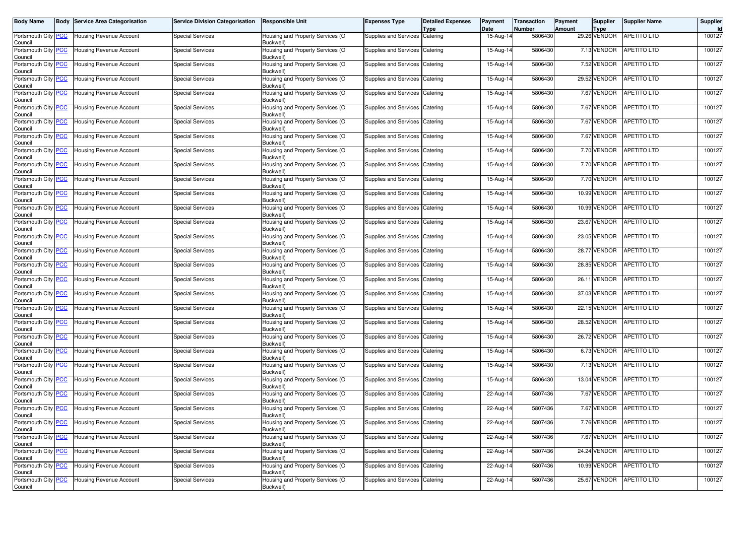| <b>Body Name</b>                      | <b>Body Service Area Categorisation</b> | <b>Service Division Categorisation</b> | <b>Responsible Unit</b>                       | <b>Expenses Type</b>           | <b>Detailed Expenses</b><br><b>Type</b> | Payment<br>Date | <b>Transaction</b><br><b>Number</b> | Payment<br>Amount | Supplier<br><b>Type</b> | <b>Supplier Name</b>    | Supplier<br>Id |
|---------------------------------------|-----------------------------------------|----------------------------------------|-----------------------------------------------|--------------------------------|-----------------------------------------|-----------------|-------------------------------------|-------------------|-------------------------|-------------------------|----------------|
| Portsmouth City PCC<br>Council        | <b>Housing Revenue Account</b>          | <b>Special Services</b>                | Housing and Property Services (O<br>Buckwell) | Supplies and Services Catering |                                         | 15-Aug-14       | 5806430                             |                   | 29.26 VENDOR            | <b>APETITO LTD</b>      | 100127         |
| Portsmouth City PCC<br>Council        | <b>Housing Revenue Account</b>          | <b>Special Services</b>                | Housing and Property Services (O<br>Buckwell) | Supplies and Services          | Catering                                | 15-Aug-14       | 5806430                             |                   | 7.13 VENDOR             | APETITO LTD             | 100127         |
| Portsmouth City PCC<br>Council        | <b>Housing Revenue Account</b>          | <b>Special Services</b>                | Housing and Property Services (O<br>Buckwell) | Supplies and Services Catering |                                         | 15-Aug-14       | 5806430                             |                   | 7.52 VENDOR             | APETITO LTD             | 100127         |
| Portsmouth City PCC<br>Council        | <b>Housing Revenue Account</b>          | <b>Special Services</b>                | Housing and Property Services (O<br>Buckwell) | Supplies and Services Catering |                                         | 15-Aug-14       | 5806430                             |                   | 29.52 VENDOR            | <b>APETITO LTD</b>      | 100127         |
| Portsmouth City PCC<br>Council        | <b>Housing Revenue Account</b>          | <b>Special Services</b>                | Housing and Property Services (O<br>Buckwell) | Supplies and Services          | Catering                                | 15-Aug-14       | 5806430                             |                   | 7.67 VENDOR             | APETITO LTD             | 100127         |
| Portsmouth City PCC<br>Council        | <b>Housing Revenue Account</b>          | <b>Special Services</b>                | Housing and Property Services (O<br>Buckwell) | Supplies and Services          | Catering                                | 15-Aug-14       | 5806430                             |                   | 7.67 VENDOR             | APETITO LTD             | 100127         |
| Portsmouth City PCC<br>Council        | <b>Housing Revenue Account</b>          | Special Services                       | Housing and Property Services (O<br>Buckwell) | Supplies and Services Catering |                                         | 15-Aug-14       | 5806430                             |                   | 7.67 VENDOR             | APETITO LTD             | 100127         |
| Portsmouth City PCC<br>Council        | <b>Housing Revenue Account</b>          | <b>Special Services</b>                | Housing and Property Services (O<br>Buckwell) | Supplies and Services          | Catering                                | 15-Aug-14       | 5806430                             |                   | 7.67 VENDOR             | APETITO LTD             | 100127         |
| Portsmouth City PCC<br>Council        | <b>Housing Revenue Account</b>          | <b>Special Services</b>                | Housing and Property Services (O<br>Buckwell) | Supplies and Services Catering |                                         | 15-Aug-14       | 5806430                             |                   | 7.70 VENDOR             | APETITO LTD             | 100127         |
| Portsmouth City PCC<br>Council        | <b>Housing Revenue Account</b>          | <b>Special Services</b>                | Housing and Property Services (O<br>Buckwell) | Supplies and Services Catering |                                         | 15-Aug-14       | 5806430                             |                   | 7.70 VENDOR             | <b>APETITO LTD</b>      | 100127         |
| Portsmouth City PCC<br>Council        | <b>Housing Revenue Account</b>          | <b>Special Services</b>                | Housing and Property Services (O<br>Buckwell) | Supplies and Services          | Catering                                | 15-Aug-14       | 5806430                             |                   | 7.70 VENDOR             | APETITO LTD             | 100127         |
| Portsmouth City PCC<br>Council        | <b>Housing Revenue Account</b>          | <b>Special Services</b>                | Housing and Property Services (O<br>Buckwell) | <b>Supplies and Services</b>   | Catering                                | 15-Aug-14       | 5806430                             |                   | 10.99 VENDOR            | APETITO LTD             | 100127         |
| Portsmouth City PCC<br>Council        | <b>Housing Revenue Account</b>          | <b>Special Services</b>                | Housing and Property Services (O<br>Buckwell) | Supplies and Services Catering |                                         | 15-Aug-14       | 5806430                             |                   | 10.99 VENDOR            | <b>APETITO LTD</b>      | 100127         |
| Portsmouth City PCC<br>Council        | <b>Housing Revenue Account</b>          | <b>Special Services</b>                | Housing and Property Services (O<br>Buckwell) | Supplies and Services Catering |                                         | 15-Aug-14       | 5806430                             |                   | 23.67 VENDOR            | <b>APETITO LTD</b>      | 100127         |
| Portsmouth City PCC<br>Council        | <b>Housing Revenue Account</b>          | <b>Special Services</b>                | Housing and Property Services (O<br>Buckwell) | Supplies and Services          | Catering                                | 15-Aug-14       | 5806430                             |                   | 23.05 VENDOR            | <b>APETITO LTD</b>      | 100127         |
| Portsmouth City PCC<br>Council        | <b>Housing Revenue Account</b>          | <b>Special Services</b>                | Housing and Property Services (O<br>Buckwell) | Supplies and Services Catering |                                         | 15-Aug-14       | 5806430                             |                   | 28.77 VENDOR            | <b>APETITO LTD</b>      | 100127         |
| Portsmouth City PCC<br>Council        | <b>Housing Revenue Account</b>          | <b>Special Services</b>                | Housing and Property Services (O<br>Buckwell) | Supplies and Services Catering |                                         | 15-Aug-14       | 5806430                             |                   | 28.85 VENDOR            | <b>APETITO LTD</b>      | 100127         |
| Portsmouth City PCC<br>Council        | <b>Housing Revenue Account</b>          | <b>Special Services</b>                | Housing and Property Services (O<br>Buckwell) | Supplies and Services Catering |                                         | 15-Aug-14       | 5806430                             |                   | 26.11 VENDOR            | <b>APETITO LTD</b>      | 100127         |
| Portsmouth City PCC<br>Council        | <b>Housing Revenue Account</b>          | <b>Special Services</b>                | Housing and Property Services (O<br>Buckwell) | Supplies and Services Catering |                                         | 15-Aug-14       | 5806430                             |                   | 37.03 VENDOR            | APETITO LTD             | 100127         |
| Portsmouth City PCC<br>Council        | <b>Housing Revenue Account</b>          | <b>Special Services</b>                | Housing and Property Services (O<br>Buckwell) | Supplies and Services Catering |                                         | 15-Aug-14       | 5806430                             |                   | 22.15 VENDOR            | APETITO LTD             | 100127         |
| Portsmouth City PCC<br>Council        | <b>Housing Revenue Account</b>          | <b>Special Services</b>                | Housing and Property Services (O<br>Buckwell) | Supplies and Services          | Catering                                | 15-Aug-14       | 5806430                             |                   | 28.52 VENDOR            | <b>APETITO LTD</b>      | 100127         |
| Portsmouth City PCC<br>Council        | <b>Housing Revenue Account</b>          | <b>Special Services</b>                | Housing and Property Services (O<br>Buckwell) | Supplies and Services Catering |                                         | 15-Aug-14       | 5806430                             |                   | 26.72 VENDOR            | <b>APETITO LTD</b>      | 100127         |
| Portsmouth City PCC<br>Council        | <b>Housing Revenue Account</b>          | <b>Special Services</b>                | Housing and Property Services (O<br>Buckwell) | Supplies and Services          | Catering                                | 15-Aug-14       | 5806430                             |                   | 6.73 VENDOR             | <b>APETITO LTD</b>      | 100127         |
| Portsmouth City PCC<br>Council        | Housing Revenue Account                 | <b>Special Services</b>                | Housing and Property Services (O<br>Buckwell) | Supplies and Services          | Catering                                | 15-Aug-14       | 5806430                             |                   | 7.13 VENDOR             | APETITO LTD             | 100127         |
| Portsmouth City PCC<br>Council        | <b>Housing Revenue Account</b>          | <b>Special Services</b>                | Housing and Property Services (O<br>Buckwell) | Supplies and Services Catering |                                         | 15-Aug-14       | 5806430                             |                   | 13.04 VENDOR            | <b>APETITO LTD</b>      | 100127         |
| Portsmouth City PCC<br>Council        | <b>Housing Revenue Account</b>          | <b>Special Services</b>                | Housing and Property Services (O<br>Buckwell) | Supplies and Services          | Catering                                | 22-Aug-14       | 5807436                             |                   | 7.67 VENDOR             | <b>APETITO LTD</b>      | 100127         |
| Portsmouth City PCC<br>Council        | <b>Housing Revenue Account</b>          | <b>Special Services</b>                | Housing and Property Services (O<br>Buckwell) | Supplies and Services          | Catering                                | 22-Aug-14       | 5807436                             |                   | 7.67 VENDOR             | <b>APETITO LTD</b>      | 100127         |
| Portsmouth City <b>PCC</b><br>Council | <b>Housing Revenue Account</b>          | Special Services                       | Housing and Property Services (O<br>Buckwell) | Supplies and Services Catering |                                         | 22-Aug-14       | 5807436                             |                   |                         | 7.76 VENDOR APETITO LTD | 100127         |
| Portsmouth City PCC<br>Council        | <b>Housing Revenue Account</b>          | <b>Special Services</b>                | Housing and Property Services (O<br>Buckwell) | Supplies and Services Catering |                                         | 22-Aug-14       | 5807436                             |                   | 7.67 VENDOR             | <b>APETITO LTD</b>      | 100127         |
| Portsmouth City PCC<br>Council        | <b>Housing Revenue Account</b>          | <b>Special Services</b>                | Housing and Property Services (O<br>Buckwell) | Supplies and Services Catering |                                         | 22-Aug-14       | 5807436                             |                   | 24.24 VENDOR            | APETITO LTD             | 100127         |
| Portsmouth City PCC<br>Council        | Housing Revenue Account                 | <b>Special Services</b>                | Housing and Property Services (O<br>Buckwell) | Supplies and Services Catering |                                         | 22-Aug-14       | 5807436                             |                   | 10.99 VENDOR            | APETITO LTD             | 100127         |
| Portsmouth City PCC<br>Council        | <b>Housing Revenue Account</b>          | <b>Special Services</b>                | Housing and Property Services (O<br>Buckwell) | Supplies and Services Catering |                                         | 22-Aug-14       | 5807436                             |                   | 25.67 VENDOR            | APETITO LTD             | 100127         |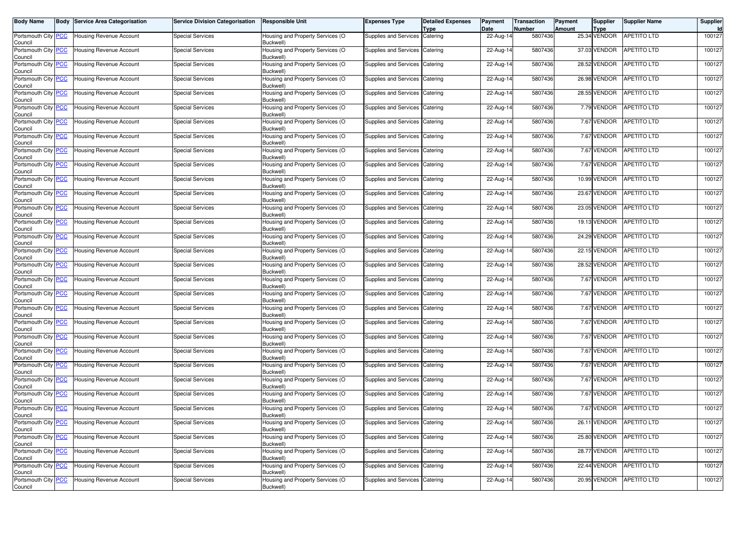| <b>Body Name</b>                      | <b>Body Service Area Categorisation</b> | Service Division Categorisation | <b>Responsible Unit</b>                       | <b>Expenses Type</b>           | <b>Detailed Expenses</b><br><b>Type</b> | Payment<br>Date | <b>Transaction</b><br><b>Number</b> | Payment<br>Amount | Supplier<br><b>Type</b> | <b>Supplier Name</b>     | Supplier<br>Id |
|---------------------------------------|-----------------------------------------|---------------------------------|-----------------------------------------------|--------------------------------|-----------------------------------------|-----------------|-------------------------------------|-------------------|-------------------------|--------------------------|----------------|
| Portsmouth City PCC<br>Council        | <b>Housing Revenue Account</b>          | <b>Special Services</b>         | Housing and Property Services (O<br>Buckwell) | Supplies and Services Catering |                                         | 22-Aug-14       | 5807436                             |                   | 25.34 VENDOR            | <b>APETITO LTD</b>       | 100127         |
| Portsmouth City PCC<br>Council        | <b>Housing Revenue Account</b>          | <b>Special Services</b>         | Housing and Property Services (O<br>Buckwell) | Supplies and Services          | Catering                                | 22-Aug-14       | 5807436                             |                   | 37.03 VENDOR            | APETITO LTD              | 100127         |
| Portsmouth City PCC<br>Council        | <b>Housing Revenue Account</b>          | <b>Special Services</b>         | Housing and Property Services (O<br>Buckwell) | Supplies and Services Catering |                                         | 22-Aug-14       | 5807436                             |                   | 28.52 VENDOR            | APETITO LTD              | 100127         |
| Portsmouth City PCC<br>Council        | <b>Housing Revenue Account</b>          | <b>Special Services</b>         | Housing and Property Services (O<br>Buckwell) | Supplies and Services Catering |                                         | 22-Aug-14       | 5807436                             |                   | 26.98 VENDOR            | <b>APETITO LTD</b>       | 100127         |
| Portsmouth City PCC<br>Council        | <b>Housing Revenue Account</b>          | <b>Special Services</b>         | Housing and Property Services (O<br>Buckwell) | Supplies and Services          | Catering                                | 22-Aug-14       | 5807436                             |                   | 28.55 VENDOR            | APETITO LTD              | 100127         |
| Portsmouth City PCC<br>Council        | <b>Housing Revenue Account</b>          | <b>Special Services</b>         | Housing and Property Services (O<br>Buckwell) | Supplies and Services          | Catering                                | 22-Aug-14       | 5807436                             |                   | 7.79 VENDOR             | APETITO LTD              | 100127         |
| Portsmouth City PCC<br>Council        | <b>Housing Revenue Account</b>          | Special Services                | Housing and Property Services (O<br>Buckwell) | Supplies and Services Catering |                                         | 22-Aug-14       | 5807436                             |                   | 7.67 VENDOR             | APETITO LTD              | 100127         |
| Portsmouth City PCC<br>Council        | <b>Housing Revenue Account</b>          | <b>Special Services</b>         | Housing and Property Services (O<br>Buckwell) | Supplies and Services          | Catering                                | 22-Aug-14       | 5807436                             |                   | 7.67 VENDOR             | APETITO LTD              | 100127         |
| Portsmouth City PCC<br>Council        | <b>Housing Revenue Account</b>          | <b>Special Services</b>         | Housing and Property Services (O<br>Buckwell) | Supplies and Services Catering |                                         | 22-Aug-14       | 5807436                             |                   | 7.67 VENDOR             | APETITO LTD              | 100127         |
| Portsmouth City PCC<br>Council        | Housing Revenue Account                 | <b>Special Services</b>         | Housing and Property Services (O<br>Buckwell) | Supplies and Services Catering |                                         | 22-Aug-14       | 5807436                             |                   | 7.67 VENDOR             | <b>APETITO LTD</b>       | 100127         |
| Portsmouth City PCC<br>Council        | <b>Housing Revenue Account</b>          | <b>Special Services</b>         | Housing and Property Services (O<br>Buckwell) | Supplies and Services          | Catering                                | 22-Aug-14       | 5807436                             |                   | 10.99 VENDOR            | APETITO LTD              | 100127         |
| Portsmouth City PCC<br>Council        | <b>Housing Revenue Account</b>          | <b>Special Services</b>         | Housing and Property Services (O<br>Buckwell) | Supplies and Services          | Catering                                | 22-Aug-14       | 5807436                             |                   | 23.67 VENDOR            | APETITO LTD              | 100127         |
| Portsmouth City PCC<br>Council        | <b>Housing Revenue Account</b>          | <b>Special Services</b>         | Housing and Property Services (O<br>Buckwell) | Supplies and Services Catering |                                         | 22-Aug-14       | 5807436                             |                   | 23.05 VENDOR            | <b>APETITO LTD</b>       | 100127         |
| Portsmouth City PCC<br>Council        | Housing Revenue Account                 | <b>Special Services</b>         | Housing and Property Services (O<br>Buckwell) | Supplies and Services Catering |                                         | 22-Aug-14       | 5807436                             |                   | 19.13 VENDOR            | <b>APETITO LTD</b>       | 100127         |
| Portsmouth City PCC<br>Council        | <b>Housing Revenue Account</b>          | <b>Special Services</b>         | Housing and Property Services (O<br>Buckwell) | Supplies and Services          | Catering                                | 22-Aug-14       | 5807436                             |                   | 24.29 VENDOR            | <b>APETITO LTD</b>       | 100127         |
| Portsmouth City PCC<br>Council        | <b>Housing Revenue Account</b>          | <b>Special Services</b>         | Housing and Property Services (O<br>Buckwell) | Supplies and Services Catering |                                         | 22-Aug-14       | 5807436                             |                   | 22.15 VENDOR            | <b>APETITO LTD</b>       | 100127         |
| Portsmouth City PCC<br>Council        | <b>Housing Revenue Account</b>          | <b>Special Services</b>         | Housing and Property Services (O<br>Buckwell) | Supplies and Services Catering |                                         | 22-Aug-14       | 5807436                             |                   | 28.52 VENDOR            | <b>APETITO LTD</b>       | 100127         |
| Portsmouth City PCC<br>Council        | <b>Housing Revenue Account</b>          | <b>Special Services</b>         | Housing and Property Services (O<br>Buckwell) | Supplies and Services Catering |                                         | 22-Aug-14       | 5807436                             |                   | 7.67 VENDOR             | <b>APETITO LTD</b>       | 100127         |
| Portsmouth City PCC<br>Council        | Housing Revenue Account                 | <b>Special Services</b>         | Housing and Property Services (O<br>Buckwell) | Supplies and Services Catering |                                         | 22-Aug-14       | 5807436                             |                   | 7.67 VENDOR             | APETITO LTD              | 100127         |
| Portsmouth City PCC<br>Council        | Housing Revenue Account                 | <b>Special Services</b>         | Housing and Property Services (O<br>Buckwell) | Supplies and Services Catering |                                         | 22-Aug-14       | 5807436                             |                   | 7.67 VENDOR             | APETITO LTD              | 100127         |
| Portsmouth City PCC<br>Council        | <b>Housing Revenue Account</b>          | <b>Special Services</b>         | Housing and Property Services (O<br>Buckwell) | Supplies and Services          | Catering                                | 22-Aug-14       | 5807436                             |                   | 7.67 VENDOR             | <b>APETITO LTD</b>       | 100127         |
| Portsmouth City PCC<br>Council        | <b>Housing Revenue Account</b>          | <b>Special Services</b>         | Housing and Property Services (O<br>Buckwell) | Supplies and Services Catering |                                         | 22-Aug-14       | 5807436                             |                   | 7.67 VENDOR             | <b>APETITO LTD</b>       | 100127         |
| Portsmouth City PCC<br>Council        | <b>Housing Revenue Account</b>          | <b>Special Services</b>         | Housing and Property Services (O<br>Buckwell) | Supplies and Services          | Catering                                | 22-Aug-14       | 5807436                             |                   | 7.67 VENDOR             | <b>APETITO LTD</b>       | 100127         |
| Portsmouth City PCC<br>Council        | Housing Revenue Account                 | <b>Special Services</b>         | Housing and Property Services (O<br>Buckwell) | Supplies and Services          | Catering                                | 22-Aug-14       | 5807436                             |                   | 7.67 VENDOR             | APETITO LTD              | 100127         |
| Portsmouth City PCC<br>Council        | <b>Housing Revenue Account</b>          | <b>Special Services</b>         | Housing and Property Services (O<br>Buckwell) | Supplies and Services Catering |                                         | 22-Aug-14       | 5807436                             |                   | 7.67 VENDOR             | <b>APETITO LTD</b>       | 100127         |
| Portsmouth City PCC<br>Council        | <b>Housing Revenue Account</b>          | <b>Special Services</b>         | Housing and Property Services (O<br>Buckwell) | Supplies and Services          | Catering                                | 22-Aug-14       | 5807436                             |                   | 7.67 VENDOR             | <b>APETITO LTD</b>       | 100127         |
| Portsmouth City PCC<br>Council        | <b>Housing Revenue Account</b>          | <b>Special Services</b>         | Housing and Property Services (O<br>Buckwell) | Supplies and Services          | Catering                                | 22-Aug-14       | 5807436                             |                   | 7.67 VENDOR             | <b>APETITO LTD</b>       | 100127         |
| Portsmouth City <b>PCC</b><br>Council | <b>Housing Revenue Account</b>          | Special Services                | Housing and Property Services (O<br>Buckwell) | Supplies and Services Catering |                                         | 22-Aug-14       | 5807436                             |                   |                         | 26.11 VENDOR APETITO LTD | 100127         |
| Portsmouth City PCC<br>Council        | <b>Housing Revenue Account</b>          | <b>Special Services</b>         | Housing and Property Services (O<br>Buckwell) | Supplies and Services Catering |                                         | 22-Aug-14       | 5807436                             |                   | 25.80 VENDOR            | <b>APETITO LTD</b>       | 100127         |
| Portsmouth City PCC<br>Council        | Housing Revenue Account                 | <b>Special Services</b>         | Housing and Property Services (O<br>Buckwell) | Supplies and Services Catering |                                         | 22-Aug-14       | 5807436                             |                   | 28.77 VENDOR            | APETITO LTD              | 100127         |
| Portsmouth City PCC<br>Council        | Housing Revenue Account                 | <b>Special Services</b>         | Housing and Property Services (O<br>Buckwell) | Supplies and Services Catering |                                         | 22-Aug-14       | 5807436                             |                   | 22.44 VENDOR            | APETITO LTD              | 100127         |
| Portsmouth City PCC<br>Council        | Housing Revenue Account                 | <b>Special Services</b>         | Housing and Property Services (O<br>Buckwell) | Supplies and Services Catering |                                         | 22-Aug-14       | 5807436                             |                   | 20.95 VENDOR            | APETITO LTD              | 100127         |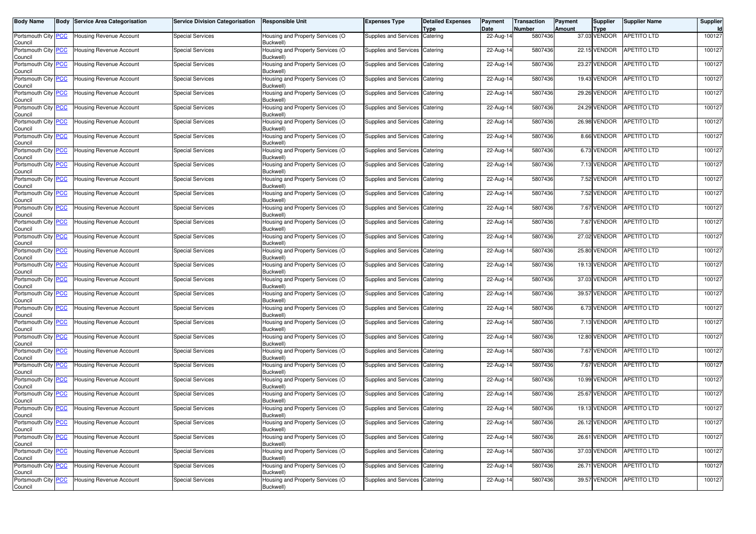| <b>Body Name</b>                      | <b>Body Service Area Categorisation</b> | <b>Service Division Categorisation</b> | <b>Responsible Unit</b>                       | <b>Expenses Type</b>           | <b>Detailed Expenses</b><br><b>Type</b> | Payment<br>Date | <b>Transaction</b><br><b>Number</b> | Payment<br>Amount | Supplier<br><b>Type</b> | <b>Supplier Name</b>     | Supplier<br>Id |
|---------------------------------------|-----------------------------------------|----------------------------------------|-----------------------------------------------|--------------------------------|-----------------------------------------|-----------------|-------------------------------------|-------------------|-------------------------|--------------------------|----------------|
| Portsmouth City PCC<br>Council        | Housing Revenue Account                 | <b>Special Services</b>                | Housing and Property Services (O<br>Buckwell) | Supplies and Services Catering |                                         | 22-Aug-14       | 5807436                             |                   | 37.03 VENDOR            | <b>APETITO LTD</b>       | 100127         |
| Portsmouth City PCC<br>Council        | Housing Revenue Account                 | <b>Special Services</b>                | Housing and Property Services (O<br>Buckwell) | Supplies and Services          | Catering                                | 22-Aug-14       | 5807436                             |                   | 22.15 VENDOR            | <b>APETITO LTD</b>       | 100127         |
| Portsmouth City PCC<br>Council        | Housing Revenue Account                 | <b>Special Services</b>                | Housing and Property Services (O<br>Buckwell) | Supplies and Services Catering |                                         | 22-Aug-14       | 5807436                             |                   | 23.27 VENDOR            | <b>APETITO LTD</b>       | 100127         |
| Portsmouth City PCC<br>Council        | Housing Revenue Account                 | <b>Special Services</b>                | Housing and Property Services (O<br>Buckwell) | Supplies and Services Catering |                                         | 22-Aug-14       | 5807436                             |                   | 19.43 VENDOR            | <b>APETITO LTD</b>       | 100127         |
| Portsmouth City PCC<br>Council        | Housing Revenue Account                 | <b>Special Services</b>                | Housing and Property Services (O<br>Buckwell) | Supplies and Services          | Catering                                | 22-Aug-14       | 5807436                             |                   | 29.26 VENDOR            | <b>APETITO LTD</b>       | 100127         |
| Portsmouth City PCC<br>Council        | Housing Revenue Account                 | <b>Special Services</b>                | Housing and Property Services (O<br>Buckwell) | Supplies and Services Catering |                                         | 22-Aug-14       | 5807436                             |                   | 24.29 VENDOR            | <b>APETITO LTD</b>       | 100127         |
| Portsmouth City PCC<br>Council        | Housing Revenue Account                 | <b>Special Services</b>                | Housing and Property Services (O<br>Buckwell) | Supplies and Services Catering |                                         | 22-Aug-14       | 5807436                             |                   | 26.98 VENDOR            | <b>APETITO LTD</b>       | 100127         |
| Portsmouth City PCC<br>Council        | Housing Revenue Account                 | <b>Special Services</b>                | Housing and Property Services (O<br>Buckwell) | Supplies and Services Catering |                                         | 22-Aug-14       | 5807436                             |                   | 8.66 VENDOR             | <b>APETITO LTD</b>       | 100127         |
| Portsmouth City PCC<br>Council        | Housing Revenue Account                 | <b>Special Services</b>                | Housing and Property Services (O<br>Buckwell) | Supplies and Services Catering |                                         | 22-Aug-14       | 5807436                             |                   | 6.73 VENDOR             | APETITO LTD              | 100127         |
| Portsmouth City PCC<br>Council        | Housing Revenue Account                 | <b>Special Services</b>                | Housing and Property Services (O<br>Buckwell) | Supplies and Services Catering |                                         | 22-Aug-14       | 5807436                             |                   | 7.13 VENDOR             | <b>APETITO LTD</b>       | 100127         |
| Portsmouth City PCC<br>Council        | Housing Revenue Account                 | <b>Special Services</b>                | Housing and Property Services (O<br>Buckwell) | Supplies and Services          | Catering                                | 22-Aug-14       | 5807436                             |                   | 7.52 VENDOR             | <b>APETITO LTD</b>       | 100127         |
| Portsmouth City PCC<br>Council        | Housing Revenue Account                 | <b>Special Services</b>                | Housing and Property Services (O<br>Buckwell) | Supplies and Services          | Catering                                | 22-Aug-14       | 5807436                             |                   | 7.52 VENDOR             | APETITO LTD              | 100127         |
| Portsmouth City PCC<br>Council        | Housing Revenue Account                 | <b>Special Services</b>                | Housing and Property Services (O<br>Buckwell) | Supplies and Services Catering |                                         | 22-Aug-14       | 5807436                             |                   | 7.67 VENDOR             | <b>APETITO LTD</b>       | 100127         |
| Portsmouth City PCC<br>Council        | Housing Revenue Account                 | <b>Special Services</b>                | Housing and Property Services (O<br>Buckwell) | Supplies and Services Catering |                                         | 22-Aug-14       | 5807436                             |                   | 7.67 VENDOR             | <b>APETITO LTD</b>       | 100127         |
| Portsmouth City PCC<br>Council        | <b>Housing Revenue Account</b>          | <b>Special Services</b>                | Housing and Property Services (O<br>Buckwell) | Supplies and Services Catering |                                         | 22-Aug-14       | 5807436                             |                   | 27.02 VENDOR            | <b>APETITO LTD</b>       | 100127         |
| Portsmouth City PCC<br>Council        | Housing Revenue Account                 | <b>Special Services</b>                | Housing and Property Services (O<br>Buckwell) | Supplies and Services Catering |                                         | 22-Aug-14       | 5807436                             |                   | 25.80 VENDOR            | <b>APETITO LTD</b>       | 100127         |
| Portsmouth City PCC<br>Council        | Housing Revenue Account                 | <b>Special Services</b>                | Housing and Property Services (O<br>Buckwell) | Supplies and Services Catering |                                         | 22-Aug-14       | 5807436                             |                   | 19.13 VENDOR            | <b>APETITO LTD</b>       | 100127         |
| Portsmouth City PCC<br>Council        | Housing Revenue Account                 | <b>Special Services</b>                | Housing and Property Services (O<br>Buckwell) | Supplies and Services Catering |                                         | 22-Aug-14       | 5807436                             |                   | 37.03 VENDOR            | <b>APETITO LTD</b>       | 100127         |
| Portsmouth City PCC<br>Council        | Housing Revenue Account                 | <b>Special Services</b>                | Housing and Property Services (O<br>Buckwell) | Supplies and Services Catering |                                         | 22-Aug-14       | 5807436                             |                   | 39.57 VENDOR            | <b>APETITO LTD</b>       | 100127         |
| Portsmouth City PCC<br>Council        | Housing Revenue Account                 | <b>Special Services</b>                | Housing and Property Services (O<br>Buckwell) | Supplies and Services Catering |                                         | 22-Aug-14       | 5807436                             |                   | 6.73 VENDOR             | <b>APETITO LTD</b>       | 100127         |
| Portsmouth City PCC<br>Council        | Housing Revenue Account                 | <b>Special Services</b>                | Housing and Property Services (O<br>Buckwell) | Supplies and Services Catering |                                         | 22-Aug-14       | 5807436                             |                   | 7.13 VENDOR             | APETITO LTD              | 100127         |
| Portsmouth City <b>PCC</b><br>Council | Housing Revenue Account                 | <b>Special Services</b>                | Housing and Property Services (O<br>Buckwell) | Supplies and Services Catering |                                         | 22-Aug-14       | 5807436                             |                   | 12.80 VENDOR            | <b>APETITO LTD</b>       | 100127         |
| Portsmouth City PCC<br>Council        | Housing Revenue Account                 | <b>Special Services</b>                | Housing and Property Services (O<br>Buckwell) | Supplies and Services Catering |                                         | 22-Aug-14       | 5807436                             |                   | 7.67 VENDOR             | APETITO LTD              | 100127         |
| Portsmouth City PCC<br>Council        | Housing Revenue Account                 | <b>Special Services</b>                | Housing and Property Services (O<br>Buckwell) | Supplies and Services          | Catering                                | 22-Aug-14       | 5807436                             |                   | 7.67 VENDOR             | APETITO LTD              | 100127         |
| Portsmouth City PCC<br>Council        | Housing Revenue Account                 | <b>Special Services</b>                | Housing and Property Services (O<br>Buckwell) | Supplies and Services Catering |                                         | 22-Aug-14       | 5807436                             |                   | 10.99 VENDOR            | <b>APETITO LTD</b>       | 100127         |
| Portsmouth City PCC<br>Council        | Housing Revenue Account                 | <b>Special Services</b>                | Housing and Property Services (O<br>Buckwell) | Supplies and Services          | Catering                                | 22-Aug-14       | 5807436                             |                   | 25.67 VENDOR            | <b>APETITO LTD</b>       | 100127         |
| Portsmouth City PCC<br>Council        | Housing Revenue Account                 | <b>Special Services</b>                | Housing and Property Services (O<br>Buckwell) | Supplies and Services Catering |                                         | 22-Aug-14       | 5807436                             |                   | 19.13 VENDOR            | <b>APETITO LTD</b>       | 100127         |
| Portsmouth City RCC<br>Council        | <b>Housing Revenue Account</b>          | Special Services                       | Housing and Property Services (O<br>Buckwell) | Supplies and Services Catering |                                         | 22-Aug-14       | 5807436                             |                   |                         | 26.12 VENDOR APETITO LTD | 100127         |
| Portsmouth City PCC<br>Council        | Housing Revenue Account                 | <b>Special Services</b>                | Housing and Property Services (O<br>Buckwell) | Supplies and Services Catering |                                         | 22-Aug-14       | 5807436                             |                   | 26.61 VENDOR            | <b>APETITO LTD</b>       | 100127         |
| Portsmouth City PCC<br>Council        | Housing Revenue Account                 | <b>Special Services</b>                | Housing and Property Services (O<br>Buckwell) | Supplies and Services Catering |                                         | 22-Aug-14       | 5807436                             |                   | 37.03 VENDOR            | APETITO LTD              | 100127         |
| Portsmouth City PCC<br>Council        | Housing Revenue Account                 | <b>Special Services</b>                | Housing and Property Services (O<br>Buckwell) | Supplies and Services Catering |                                         | 22-Aug-14       | 5807436                             |                   | 26.71 VENDOR            | <b>APETITO LTD</b>       | 100127         |
| Portsmouth City PCC<br>Council        | <b>Housing Revenue Account</b>          | <b>Special Services</b>                | Housing and Property Services (O<br>Buckwell) | Supplies and Services Catering |                                         | 22-Aug-14       | 5807436                             |                   | 39.57 VENDOR            | APETITO LTD              | 100127         |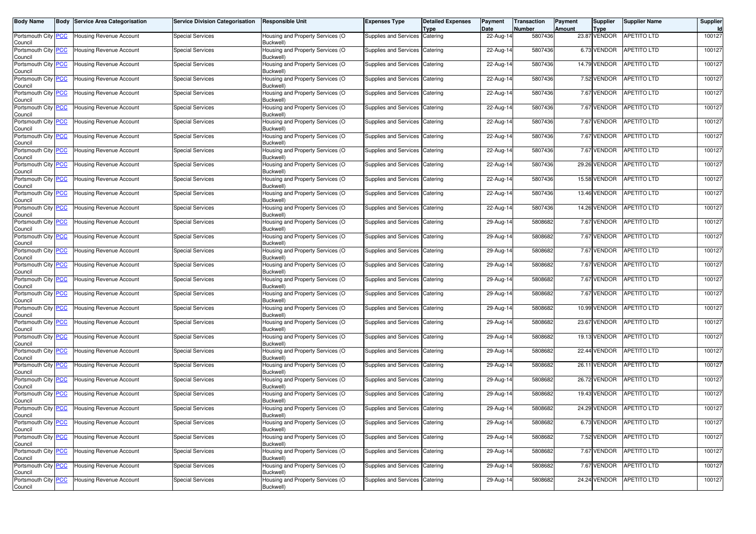| <b>Body Name</b>                      | <b>Body Service Area Categorisation</b> | Service Division Categorisation | <b>Responsible Unit</b>                       | <b>Expenses Type</b>           | <b>Detailed Expenses</b><br><b>Type</b> | Payment<br>Date | <b>Transaction</b><br><b>Number</b> | Payment<br>Amount | Supplier<br><b>Type</b> | <b>Supplier Name</b>    | Supplier<br>Id |
|---------------------------------------|-----------------------------------------|---------------------------------|-----------------------------------------------|--------------------------------|-----------------------------------------|-----------------|-------------------------------------|-------------------|-------------------------|-------------------------|----------------|
| Portsmouth City PCC<br>Council        | <b>Housing Revenue Account</b>          | <b>Special Services</b>         | Housing and Property Services (O<br>Buckwell) | Supplies and Services Catering |                                         | 22-Aug-14       | 5807436                             |                   | 23.87 VENDOR            | <b>APETITO LTD</b>      | 100127         |
| Portsmouth City PCC<br>Council        | <b>Housing Revenue Account</b>          | <b>Special Services</b>         | Housing and Property Services (O<br>Buckwell) | Supplies and Services          | Catering                                | 22-Aug-14       | 5807436                             |                   | 6.73 VENDOR             | APETITO LTD             | 100127         |
| Portsmouth City PCC<br>Council        | <b>Housing Revenue Account</b>          | <b>Special Services</b>         | Housing and Property Services (O<br>Buckwell) | Supplies and Services Catering |                                         | 22-Aug-14       | 5807436                             |                   | 14.79 VENDOR            | APETITO LTD             | 100127         |
| Portsmouth City PCC<br>Council        | Housing Revenue Account                 | <b>Special Services</b>         | Housing and Property Services (O<br>Buckwell) | Supplies and Services Catering |                                         | 22-Aug-14       | 5807436                             |                   | 7.52 VENDOR             | <b>APETITO LTD</b>      | 100127         |
| Portsmouth City PCC<br>Council        | <b>Housing Revenue Account</b>          | <b>Special Services</b>         | Housing and Property Services (O<br>Buckwell) | Supplies and Services          | Catering                                | 22-Aug-14       | 5807436                             |                   | 7.67 VENDOR             | APETITO LTD             | 100127         |
| Portsmouth City PCC<br>Council        | <b>Housing Revenue Account</b>          | <b>Special Services</b>         | Housing and Property Services (O<br>Buckwell) | Supplies and Services          | Catering                                | 22-Aug-14       | 5807436                             |                   | 7.67 VENDOR             | APETITO LTD             | 100127         |
| Portsmouth City PCC<br>Council        | Housing Revenue Account                 | Special Services                | Housing and Property Services (O<br>Buckwell) | Supplies and Services Catering |                                         | 22-Aug-14       | 5807436                             |                   | 7.67 VENDOR             | APETITO LTD             | 100127         |
| Portsmouth City PCC<br>Council        | <b>Housing Revenue Account</b>          | <b>Special Services</b>         | Housing and Property Services (O<br>Buckwell) | Supplies and Services          | Catering                                | 22-Aug-14       | 5807436                             |                   | 7.67 VENDOR             | APETITO LTD             | 100127         |
| Portsmouth City PCC<br>Council        | <b>Housing Revenue Account</b>          | <b>Special Services</b>         | Housing and Property Services (O<br>Buckwell) | Supplies and Services Catering |                                         | 22-Aug-14       | 5807436                             |                   | 7.67 VENDOR             | APETITO LTD             | 100127         |
| Portsmouth City PCC<br>Council        | Housing Revenue Account                 | <b>Special Services</b>         | Housing and Property Services (O<br>Buckwell) | Supplies and Services Catering |                                         | 22-Aug-14       | 5807436                             |                   | 29.26 VENDOR            | <b>APETITO LTD</b>      | 100127         |
| Portsmouth City PCC<br>Council        | <b>Housing Revenue Account</b>          | <b>Special Services</b>         | Housing and Property Services (O<br>Buckwell) | Supplies and Services          | Catering                                | 22-Aug-14       | 5807436                             |                   | 15.58 VENDOR            | APETITO LTD             | 100127         |
| Portsmouth City PCC<br>Council        | <b>Housing Revenue Account</b>          | <b>Special Services</b>         | Housing and Property Services (O<br>Buckwell) | Supplies and Services          | Catering                                | 22-Aug-14       | 5807436                             |                   | 13.46 VENDOR            | APETITO LTD             | 100127         |
| Portsmouth City PCC<br>Council        | <b>Housing Revenue Account</b>          | <b>Special Services</b>         | Housing and Property Services (O<br>Buckwell) | Supplies and Services Catering |                                         | 22-Aug-14       | 5807436                             |                   | 14.26 VENDOR            | <b>APETITO LTD</b>      | 100127         |
| Portsmouth City PCC<br>Council        | Housing Revenue Account                 | <b>Special Services</b>         | Housing and Property Services (O<br>Buckwell) | Supplies and Services Catering |                                         | 29-Aug-14       | 5808682                             |                   | 7.67 VENDOR             | <b>APETITO LTD</b>      | 100127         |
| Portsmouth City PCC<br>Council        | <b>Housing Revenue Account</b>          | <b>Special Services</b>         | Housing and Property Services (O<br>Buckwell) | Supplies and Services          | Catering                                | 29-Aug-14       | 5808682                             |                   | 7.67 VENDOR             | <b>APETITO LTD</b>      | 100127         |
| Portsmouth City PCC<br>Council        | <b>Housing Revenue Account</b>          | <b>Special Services</b>         | Housing and Property Services (O<br>Buckwell) | Supplies and Services Catering |                                         | 29-Aug-14       | 5808682                             |                   | 7.67 VENDOR             | APETITO LTD             | 100127         |
| Portsmouth City PCC<br>Council        | <b>Housing Revenue Account</b>          | <b>Special Services</b>         | Housing and Property Services (O<br>Buckwell) | Supplies and Services Catering |                                         | 29-Aug-14       | 5808682                             |                   | 7.67 VENDOR             | APETITO LTD             | 100127         |
| Portsmouth City PCC<br>Council        | <b>Housing Revenue Account</b>          | <b>Special Services</b>         | Housing and Property Services (O<br>Buckwell) | Supplies and Services Catering |                                         | 29-Aug-14       | 5808682                             |                   | 7.67 VENDOR             | <b>APETITO LTD</b>      | 100127         |
| Portsmouth City PCC<br>Council        | Housing Revenue Account                 | <b>Special Services</b>         | Housing and Property Services (O<br>Buckwell) | Supplies and Services Catering |                                         | 29-Aug-14       | 5808682                             |                   | 7.67 VENDOR             | APETITO LTD             | 100127         |
| Portsmouth City PCC<br>Council        | <b>Housing Revenue Account</b>          | <b>Special Services</b>         | Housing and Property Services (O<br>Buckwell) | Supplies and Services Catering |                                         | 29-Aug-14       | 5808682                             |                   | 10.99 VENDOR            | <b>APETITO LTD</b>      | 100127         |
| Portsmouth City PCC<br>Council        | <b>Housing Revenue Account</b>          | <b>Special Services</b>         | Housing and Property Services (O<br>Buckwell) | Supplies and Services          | Catering                                | 29-Aug-14       | 5808682                             |                   | 23.67 VENDOR            | <b>APETITO LTD</b>      | 100127         |
| Portsmouth City PCC<br>Council        | <b>Housing Revenue Account</b>          | <b>Special Services</b>         | Housing and Property Services (O<br>Buckwell) | Supplies and Services Catering |                                         | 29-Aug-14       | 5808682                             |                   | 19.13 VENDOR            | <b>APETITO LTD</b>      | 100127         |
| Portsmouth City PCC<br>Council        | <b>Housing Revenue Account</b>          | <b>Special Services</b>         | Housing and Property Services (O<br>Buckwell) | Supplies and Services          | Catering                                | 29-Aug-14       | 5808682                             |                   | 22.44 VENDOR            | <b>APETITO LTD</b>      | 100127         |
| Portsmouth City PCC<br>Council        | Housing Revenue Account                 | <b>Special Services</b>         | Housing and Property Services (O<br>Buckwell) | Supplies and Services          | Catering                                | 29-Aug-14       | 5808682                             |                   | 26.11 VENDOR            | APETITO LTD             | 100127         |
| Portsmouth City PCC<br>Council        | Housing Revenue Account                 | <b>Special Services</b>         | Housing and Property Services (O<br>Buckwell) | Supplies and Services Catering |                                         | 29-Aug-14       | 5808682                             |                   | 26.72 VENDOR            | APETITO LTD             | 100127         |
| Portsmouth City PCC<br>Council        | <b>Housing Revenue Account</b>          | <b>Special Services</b>         | Housing and Property Services (O<br>Buckwell) | Supplies and Services          | Catering                                | 29-Aug-14       | 5808682                             |                   | 19.43 VENDOR            | <b>APETITO LTD</b>      | 100127         |
| Portsmouth City PCC<br>Council        | <b>Housing Revenue Account</b>          | <b>Special Services</b>         | Housing and Property Services (O<br>Buckwell) | Supplies and Services          | Catering                                | 29-Aug-14       | 5808682                             |                   | 24.29 VENDOR            | <b>APETITO LTD</b>      | 100127         |
| Portsmouth City <b>PCC</b><br>Council | <b>Housing Revenue Account</b>          | Special Services                | Housing and Property Services (O<br>Buckwell) | Supplies and Services Catering |                                         | 29-Aug-14       | 5808682                             |                   |                         | 6.73 VENDOR APETITO LTD | 100127         |
| Portsmouth City PCC<br>Council        | <b>Housing Revenue Account</b>          | <b>Special Services</b>         | Housing and Property Services (O<br>Buckwell) | Supplies and Services Catering |                                         | 29-Aug-14       | 5808682                             |                   | 7.52 VENDOR             | <b>APETITO LTD</b>      | 100127         |
| Portsmouth City PCC<br>Council        | Housing Revenue Account                 | <b>Special Services</b>         | Housing and Property Services (O<br>Buckwell) | Supplies and Services Catering |                                         | 29-Aug-14       | 5808682                             |                   | 7.67 VENDOR             | APETITO LTD             | 100127         |
| Portsmouth City PCC<br>Council        | Housing Revenue Account                 | <b>Special Services</b>         | Housing and Property Services (O<br>Buckwell) | Supplies and Services Catering |                                         | 29-Aug-14       | 5808682                             |                   | 7.67 VENDOR             | <b>APETITO LTD</b>      | 100127         |
| Portsmouth City PCC<br>Council        | Housing Revenue Account                 | <b>Special Services</b>         | Housing and Property Services (O<br>Buckwell) | Supplies and Services Catering |                                         | 29-Aug-14       | 5808682                             |                   | 24.24 VENDOR            | APETITO LTD             | 100127         |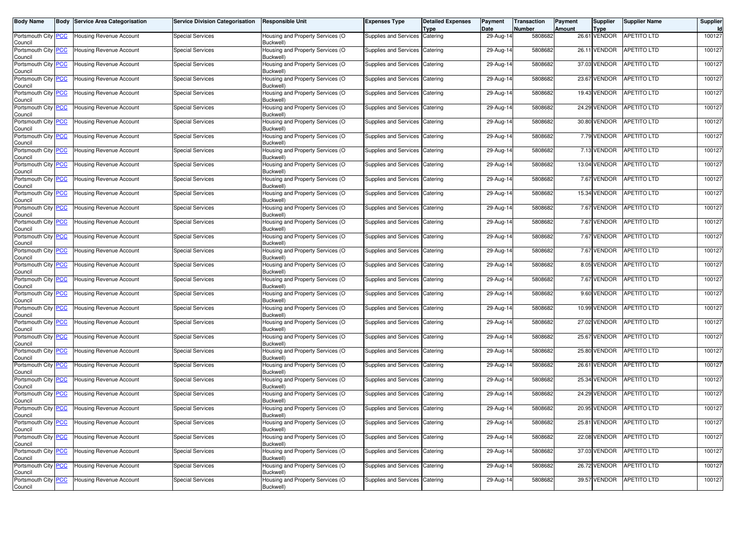| <b>Body Name</b>                      | <b>Body Service Area Categorisation</b> | Service Division Categorisation | <b>Responsible Unit</b>                       | <b>Expenses Type</b>           | <b>Detailed Expenses</b><br><b>Type</b> | Payment<br>Date | <b>Transaction</b><br><b>Number</b> | Payment<br><b>Amount</b> | Supplier<br><b>Type</b> | <b>Supplier Name</b>     | Supplier<br>Id |
|---------------------------------------|-----------------------------------------|---------------------------------|-----------------------------------------------|--------------------------------|-----------------------------------------|-----------------|-------------------------------------|--------------------------|-------------------------|--------------------------|----------------|
| Portsmouth City PCC<br>Council        | <b>Housing Revenue Account</b>          | <b>Special Services</b>         | Housing and Property Services (O<br>Buckwell) | Supplies and Services Catering |                                         | 29-Aug-14       | 5808682                             |                          | 26.61 VENDOR            | <b>APETITO LTD</b>       | 100127         |
| Portsmouth City PCC<br>Council        | <b>Housing Revenue Account</b>          | <b>Special Services</b>         | Housing and Property Services (O<br>Buckwell) | Supplies and Services          | Catering                                | 29-Aug-14       | 5808682                             |                          | 26.11 VENDOR            | APETITO LTD              | 100127         |
| Portsmouth City PCC<br>Council        | <b>Housing Revenue Account</b>          | <b>Special Services</b>         | Housing and Property Services (O<br>Buckwell) | Supplies and Services Catering |                                         | 29-Aug-14       | 5808682                             |                          | 37.03 VENDOR            | APETITO LTD              | 100127         |
| Portsmouth City PCC<br>Council        | Housing Revenue Account                 | <b>Special Services</b>         | Housing and Property Services (O<br>Buckwell) | Supplies and Services Catering |                                         | 29-Aug-14       | 5808682                             |                          | 23.67 VENDOR            | <b>APETITO LTD</b>       | 100127         |
| Portsmouth City PCC<br>Council        | <b>Housing Revenue Account</b>          | <b>Special Services</b>         | Housing and Property Services (O<br>Buckwell) | Supplies and Services          | Catering                                | 29-Aug-14       | 5808682                             |                          | 19.43 VENDOR            | APETITO LTD              | 100127         |
| Portsmouth City PCC<br>Council        | <b>Housing Revenue Account</b>          | <b>Special Services</b>         | Housing and Property Services (O<br>Buckwell) | Supplies and Services Catering |                                         | 29-Aug-14       | 5808682                             |                          | 24.29 VENDOR            | <b>APETITO LTD</b>       | 100127         |
| Portsmouth City PCC<br>Council        | Housing Revenue Account                 | Special Services                | Housing and Property Services (O<br>Buckwell) | Supplies and Services Catering |                                         | 29-Aug-14       | 5808682                             |                          | 30.80 VENDOR            | APETITO LTD              | 100127         |
| Portsmouth City PCC<br>Council        | <b>Housing Revenue Account</b>          | <b>Special Services</b>         | Housing and Property Services (O<br>Buckwell) | Supplies and Services          | Catering                                | 29-Aug-14       | 5808682                             |                          | 7.79 VENDOR             | APETITO LTD              | 100127         |
| Portsmouth City PCC<br>Council        | Housing Revenue Account                 | <b>Special Services</b>         | Housing and Property Services (O<br>Buckwell) | Supplies and Services Catering |                                         | 29-Aug-14       | 5808682                             |                          | 7.13 VENDOR             | APETITO LTD              | 100127         |
| Portsmouth City PCC<br>Council        | Housing Revenue Account                 | <b>Special Services</b>         | Housing and Property Services (O<br>Buckwell) | Supplies and Services Catering |                                         | 29-Aug-14       | 5808682                             |                          | 13.04 VENDOR            | <b>APETITO LTD</b>       | 100127         |
| Portsmouth City PCC<br>Council        | <b>Housing Revenue Account</b>          | <b>Special Services</b>         | Housing and Property Services (O<br>Buckwell) | Supplies and Services          | Catering                                | 29-Aug-14       | 5808682                             |                          | 7.67 VENDOR             | APETITO LTD              | 100127         |
| Portsmouth City PCC<br>Council        | Housing Revenue Account                 | <b>Special Services</b>         | Housing and Property Services (O<br>Buckwell) | Supplies and Services Catering |                                         | 29-Aug-14       | 5808682                             |                          | 15.34 VENDOR            | APETITO LTD              | 100127         |
| Portsmouth City PCC<br>Council        | <b>Housing Revenue Account</b>          | <b>Special Services</b>         | Housing and Property Services (O<br>Buckwell) | Supplies and Services Catering |                                         | 29-Aug-14       | 5808682                             |                          | 7.67 VENDOR             | <b>APETITO LTD</b>       | 100127         |
| Portsmouth City PCC<br>Council        | Housing Revenue Account                 | <b>Special Services</b>         | Housing and Property Services (O<br>Buckwell) | Supplies and Services Catering |                                         | 29-Aug-14       | 5808682                             |                          | 7.67 VENDOR             | <b>APETITO LTD</b>       | 100127         |
| Portsmouth City PCC<br>Council        | <b>Housing Revenue Account</b>          | <b>Special Services</b>         | Housing and Property Services (O<br>Buckwell) | Supplies and Services          | Catering                                | 29-Aug-14       | 5808682                             |                          | 7.67 VENDOR             | <b>APETITO LTD</b>       | 100127         |
| Portsmouth City PCC<br>Council        | <b>Housing Revenue Account</b>          | <b>Special Services</b>         | Housing and Property Services (O<br>Buckwell) | Supplies and Services Catering |                                         | 29-Aug-14       | 5808682                             |                          | 7.67 VENDOR             | APETITO LTD              | 100127         |
| Portsmouth City PCC<br>Council        | <b>Housing Revenue Account</b>          | <b>Special Services</b>         | Housing and Property Services (O<br>Buckwell) | Supplies and Services Catering |                                         | 29-Aug-14       | 5808682                             |                          | 8.05 VENDOR             | APETITO LTD              | 100127         |
| Portsmouth City PCC<br>Council        | <b>Housing Revenue Account</b>          | <b>Special Services</b>         | Housing and Property Services (O<br>Buckwell) | Supplies and Services Catering |                                         | 29-Aug-14       | 5808682                             |                          | 7.67 VENDOR             | <b>APETITO LTD</b>       | 100127         |
| Portsmouth City PCC<br>Council        | Housing Revenue Account                 | <b>Special Services</b>         | Housing and Property Services (O<br>Buckwell) | Supplies and Services Catering |                                         | 29-Aug-14       | 5808682                             |                          | 9.60 VENDOR             | APETITO LTD              | 100127         |
| Portsmouth City PCC<br>Council        | <b>Housing Revenue Account</b>          | <b>Special Services</b>         | Housing and Property Services (O<br>Buckwell) | Supplies and Services Catering |                                         | 29-Aug-14       | 5808682                             |                          | 10.99 VENDOR            | <b>APETITO LTD</b>       | 100127         |
| Portsmouth City PCC<br>Council        | <b>Housing Revenue Account</b>          | <b>Special Services</b>         | Housing and Property Services (O<br>Buckwell) | Supplies and Services          | Catering                                | 29-Aug-14       | 5808682                             |                          | 27.02 VENDOR            | <b>APETITO LTD</b>       | 100127         |
| Portsmouth City PCC<br>Council        | <b>Housing Revenue Account</b>          | <b>Special Services</b>         | Housing and Property Services (O<br>Buckwell) | Supplies and Services Catering |                                         | 29-Aug-14       | 5808682                             |                          | 25.67 VENDOR            | <b>APETITO LTD</b>       | 100127         |
| Portsmouth City PCC<br>Council        | <b>Housing Revenue Account</b>          | <b>Special Services</b>         | Housing and Property Services (O<br>Buckwell) | Supplies and Services          | Catering                                | 29-Aug-14       | 5808682                             |                          | 25.80 VENDOR            | <b>APETITO LTD</b>       | 100127         |
| Portsmouth City PCC<br>Council        | Housing Revenue Account                 | <b>Special Services</b>         | Housing and Property Services (O<br>Buckwell) | Supplies and Services          | Catering                                | 29-Aug-14       | 5808682                             |                          | 26.61 VENDOR            | APETITO LTD              | 100127         |
| Portsmouth City PCC<br>Council        | Housing Revenue Account                 | <b>Special Services</b>         | Housing and Property Services (O<br>Buckwell) | Supplies and Services Catering |                                         | 29-Aug-14       | 5808682                             |                          | 25.34 VENDOR            | <b>APETITO LTD</b>       | 100127         |
| Portsmouth City PCC<br>Council        | <b>Housing Revenue Account</b>          | <b>Special Services</b>         | Housing and Property Services (O<br>Buckwell) | Supplies and Services          | Catering                                | 29-Aug-14       | 5808682                             |                          | 24.29 VENDOR            | <b>APETITO LTD</b>       | 100127         |
| Portsmouth City PCC<br>Council        | <b>Housing Revenue Account</b>          | <b>Special Services</b>         | Housing and Property Services (O<br>Buckwell) | Supplies and Services          | Catering                                | 29-Aug-14       | 5808682                             |                          | 20.95 VENDOR            | <b>APETITO LTD</b>       | 100127         |
| Portsmouth City <b>PCC</b><br>Council | <b>Housing Revenue Account</b>          | Special Services                | Housing and Property Services (O<br>Buckwell) | Supplies and Services Catering |                                         | 29-Aug-14       | 5808682                             |                          |                         | 25.81 VENDOR APETITO LTD | 100127         |
| Portsmouth City PCC<br>Council        | <b>Housing Revenue Account</b>          | <b>Special Services</b>         | Housing and Property Services (O<br>Buckwell) | Supplies and Services Catering |                                         | 29-Aug-14       | 5808682                             |                          | 22.08 VENDOR            | <b>APETITO LTD</b>       | 100127         |
| Portsmouth City PCC<br>Council        | Housing Revenue Account                 | <b>Special Services</b>         | Housing and Property Services (O<br>Buckwell) | Supplies and Services Catering |                                         | 29-Aug-14       | 5808682                             |                          | 37.03 VENDOR            | APETITO LTD              | 100127         |
| Portsmouth City PCC<br>Council        | Housing Revenue Account                 | <b>Special Services</b>         | Housing and Property Services (O<br>Buckwell) | Supplies and Services Catering |                                         | 29-Aug-14       | 5808682                             |                          | 26.72 VENDOR            | <b>APETITO LTD</b>       | 100127         |
| Portsmouth City PCC<br>Council        | Housing Revenue Account                 | <b>Special Services</b>         | Housing and Property Services (O<br>Buckwell) | Supplies and Services Catering |                                         | 29-Aug-14       | 5808682                             |                          | 39.57 VENDOR            | APETITO LTD              | 100127         |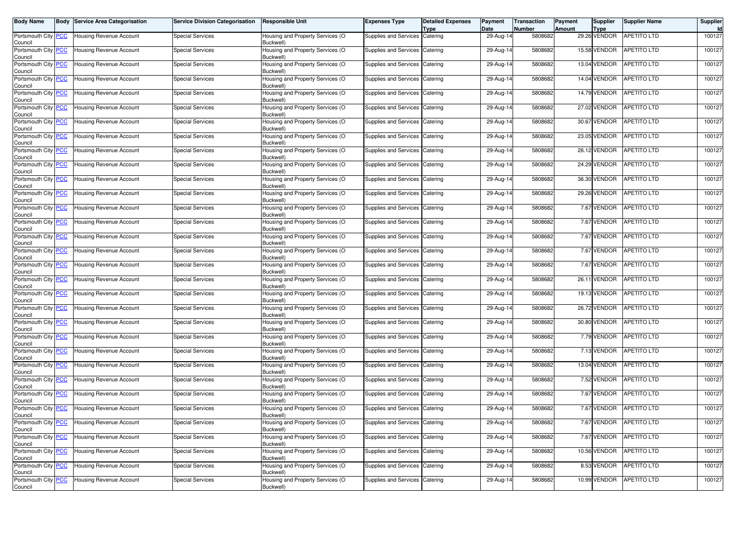| <b>Body Name</b>                      | <b>Body Service Area Categorisation</b> | <b>Service Division Categorisation</b> | <b>Responsible Unit</b>                       | <b>Expenses Type</b>           | <b>Detailed Expenses</b><br><b>Type</b> | Payment<br>Date | <b>Transaction</b><br><b>Number</b> | Payment<br>Amount | Supplier<br><b>Type</b> | <b>Supplier Name</b>    | Supplier<br>Id |
|---------------------------------------|-----------------------------------------|----------------------------------------|-----------------------------------------------|--------------------------------|-----------------------------------------|-----------------|-------------------------------------|-------------------|-------------------------|-------------------------|----------------|
| Portsmouth City PCC<br>Council        | Housing Revenue Account                 | <b>Special Services</b>                | Housing and Property Services (O<br>Buckwell) | Supplies and Services Catering |                                         | 29-Aug-14       | 5808682                             |                   | 29.26 VENDOR            | <b>APETITO LTD</b>      | 100127         |
| Portsmouth City PCC<br>Council        | Housing Revenue Account                 | <b>Special Services</b>                | Housing and Property Services (O<br>Buckwell) | Supplies and Services          | Catering                                | 29-Aug-14       | 5808682                             |                   | 15.58 VENDOR            | <b>APETITO LTD</b>      | 100127         |
| Portsmouth City PCC<br>Council        | Housing Revenue Account                 | <b>Special Services</b>                | Housing and Property Services (O<br>Buckwell) | Supplies and Services Catering |                                         | 29-Aug-14       | 5808682                             |                   | 13.04 VENDOR            | <b>APETITO LTD</b>      | 100127         |
| Portsmouth City PCC<br>Council        | Housing Revenue Account                 | <b>Special Services</b>                | Housing and Property Services (O<br>Buckwell) | Supplies and Services Catering |                                         | 29-Aug-14       | 5808682                             |                   | <b>14.04 VENDOR</b>     | <b>APETITO LTD</b>      | 100127         |
| Portsmouth City PCC<br>Council        | Housing Revenue Account                 | <b>Special Services</b>                | Housing and Property Services (O<br>Buckwell) | Supplies and Services          | Catering                                | 29-Aug-14       | 5808682                             |                   | 14.79 VENDOR            | APETITO LTD             | 100127         |
| Portsmouth City PCC<br>Council        | Housing Revenue Account                 | <b>Special Services</b>                | Housing and Property Services (O<br>Buckwell) | Supplies and Services Catering |                                         | 29-Aug-14       | 5808682                             |                   | 27.02 VENDOR            | <b>APETITO LTD</b>      | 100127         |
| Portsmouth City PCC<br>Council        | Housing Revenue Account                 | <b>Special Services</b>                | Housing and Property Services (O<br>Buckwell) | Supplies and Services Catering |                                         | 29-Aug-14       | 5808682                             |                   | 30.67 VENDOR            | <b>APETITO LTD</b>      | 100127         |
| Portsmouth City PCC<br>Council        | <b>Housing Revenue Account</b>          | <b>Special Services</b>                | Housing and Property Services (O<br>Buckwell) | Supplies and Services Catering |                                         | 29-Aug-14       | 5808682                             |                   | 23.05 VENDOR            | <b>APETITO LTD</b>      | 100127         |
| Portsmouth City PCC<br>Council        | Housing Revenue Account                 | <b>Special Services</b>                | Housing and Property Services (O<br>Buckwell) | Supplies and Services Catering |                                         | 29-Aug-14       | 5808682                             |                   | 26.12 VENDOR            | APETITO LTD             | 100127         |
| Portsmouth City PCC<br>Council        | Housing Revenue Account                 | <b>Special Services</b>                | Housing and Property Services (O<br>Buckwell) | Supplies and Services Catering |                                         | 29-Aug-14       | 5808682                             |                   | 24.29 VENDOR            | <b>APETITO LTD</b>      | 100127         |
| Portsmouth City PCC<br>Council        | Housing Revenue Account                 | <b>Special Services</b>                | Housing and Property Services (O<br>Buckwell) | Supplies and Services          | Catering                                | 29-Aug-14       | 5808682                             |                   | 36.30 VENDOR            | <b>APETITO LTD</b>      | 100127         |
| Portsmouth City PCC<br>Council        | Housing Revenue Account                 | <b>Special Services</b>                | Housing and Property Services (O<br>Buckwell) | Supplies and Services          | Catering                                | 29-Aug-14       | 5808682                             |                   | 29.26 VENDOR            | APETITO LTD             | 100127         |
| Portsmouth City PCC<br>Council        | Housing Revenue Account                 | <b>Special Services</b>                | Housing and Property Services (O<br>Buckwell) | Supplies and Services Catering |                                         | 29-Aug-14       | 5808682                             |                   | 7.67 VENDOR             | <b>APETITO LTD</b>      | 100127         |
| Portsmouth City PCC<br>Council        | Housing Revenue Account                 | <b>Special Services</b>                | Housing and Property Services (O<br>Buckwell) | Supplies and Services Catering |                                         | 29-Aug-14       | 5808682                             |                   | 7.67 VENDOR             | <b>APETITO LTD</b>      | 100127         |
| Portsmouth City PCC<br>Council        | <b>Housing Revenue Account</b>          | <b>Special Services</b>                | Housing and Property Services (O<br>Buckwell) | Supplies and Services Catering |                                         | 29-Aug-14       | 5808682                             |                   | 7.67 VENDOR             | <b>APETITO LTD</b>      | 100127         |
| Portsmouth City PCC<br>Council        | Housing Revenue Account                 | <b>Special Services</b>                | Housing and Property Services (O<br>Buckwell) | Supplies and Services Catering |                                         | 29-Aug-14       | 5808682                             |                   | 7.67 VENDOR             | <b>APETITO LTD</b>      | 100127         |
| Portsmouth City PCC<br>Council        | Housing Revenue Account                 | <b>Special Services</b>                | Housing and Property Services (O<br>Buckwell) | Supplies and Services Catering |                                         | 29-Aug-14       | 5808682                             |                   | 7.67 VENDOR             | <b>APETITO LTD</b>      | 100127         |
| Portsmouth City PCC<br>Council        | Housing Revenue Account                 | <b>Special Services</b>                | Housing and Property Services (O<br>Buckwell) | Supplies and Services Catering |                                         | 29-Aug-14       | 5808682                             |                   | 26.11 VENDOR            | <b>APETITO LTD</b>      | 100127         |
| Portsmouth City PCC<br>Council        | Housing Revenue Account                 | <b>Special Services</b>                | Housing and Property Services (O<br>Buckwell) | Supplies and Services Catering |                                         | 29-Aug-14       | 5808682                             |                   | 19.13 VENDOR            | <b>APETITO LTD</b>      | 100127         |
| Portsmouth City PCC<br>Council        | Housing Revenue Account                 | <b>Special Services</b>                | Housing and Property Services (O<br>Buckwell) | Supplies and Services Catering |                                         | 29-Aug-14       | 5808682                             |                   | 26.72 VENDOR            | <b>APETITO LTD</b>      | 100127         |
| Portsmouth City PCC<br>Council        | Housing Revenue Account                 | <b>Special Services</b>                | Housing and Property Services (O<br>Buckwell) | Supplies and Services Catering |                                         | 29-Aug-14       | 5808682                             |                   | 30.80 VENDOR            | APETITO LTD             | 100127         |
| Portsmouth City <b>PCC</b><br>Council | Housing Revenue Account                 | <b>Special Services</b>                | Housing and Property Services (O<br>Buckwell) | Supplies and Services Catering |                                         | $29$ -Aug-14    | 5808682                             |                   | 7.79 VENDOR             | <b>APETITO LTD</b>      | 100127         |
| Portsmouth City PCC<br>Council        | Housing Revenue Account                 | <b>Special Services</b>                | Housing and Property Services (O<br>Buckwell) | Supplies and Services Catering |                                         | 29-Aug-14       | 5808682                             |                   | 7.13 VENDOR             | APETITO LTD             | 100127         |
| Portsmouth City PCC<br>Council        | Housing Revenue Account                 | <b>Special Services</b>                | Housing and Property Services (O<br>Buckwell) | Supplies and Services          | Catering                                | 29-Aug-14       | 5808682                             |                   | 13.04 VENDOR            | APETITO LTD             | 100127         |
| Portsmouth City PCC<br>Council        | Housing Revenue Account                 | <b>Special Services</b>                | Housing and Property Services (O<br>Buckwell) | Supplies and Services Catering |                                         | 29-Aug-14       | 5808682                             |                   | 7.52 VENDOR             | <b>APETITO LTD</b>      | 100127         |
| Portsmouth City PCC<br>Council        | Housing Revenue Account                 | <b>Special Services</b>                | Housing and Property Services (O<br>Buckwell) | Supplies and Services          | Catering                                | 29-Aug-14       | 5808682                             |                   | 7.67 VENDOR             | <b>APETITO LTD</b>      | 100127         |
| Portsmouth City PCC<br>Council        | Housing Revenue Account                 | <b>Special Services</b>                | Housing and Property Services (O<br>Buckwell) | Supplies and Services Catering |                                         | 29-Aug-14       | 5808682                             |                   | 7.67 VENDOR             | <b>APETITO LTD</b>      | 100127         |
| Portsmouth City RCC<br>Council        | <b>Housing Revenue Account</b>          | Special Services                       | Housing and Property Services (O<br>Buckwell) | Supplies and Services Catering |                                         | 29-Aug-14       | 5808682                             |                   |                         | 7.67 VENDOR APETITO LTD | 100127         |
| Portsmouth City PCC<br>Council        | Housing Revenue Account                 | <b>Special Services</b>                | Housing and Property Services (O<br>Buckwell) | Supplies and Services Catering |                                         | 29-Aug-14       | 5808682                             |                   | 7.67 VENDOR             | <b>APETITO LTD</b>      | 100127         |
| Portsmouth City PCC<br>Council        | Housing Revenue Account                 | <b>Special Services</b>                | Housing and Property Services (O<br>Buckwell) | Supplies and Services Catering |                                         | 29-Aug-14       | 5808682                             |                   | 10.56 VENDOR            | APETITO LTD             | 100127         |
| Portsmouth City PCC<br>Council        | Housing Revenue Account                 | <b>Special Services</b>                | Housing and Property Services (O<br>Buckwell) | Supplies and Services Catering |                                         | 29-Aug-14       | 5808682                             |                   | 8.53 VENDOR             | <b>APETITO LTD</b>      | 100127         |
| Portsmouth City PCC<br>Council        | <b>Housing Revenue Account</b>          | <b>Special Services</b>                | Housing and Property Services (O<br>Buckwell) | Supplies and Services Catering |                                         | 29-Aug-14       | 5808682                             |                   | 10.99 VENDOR            | APETITO LTD             | 100127         |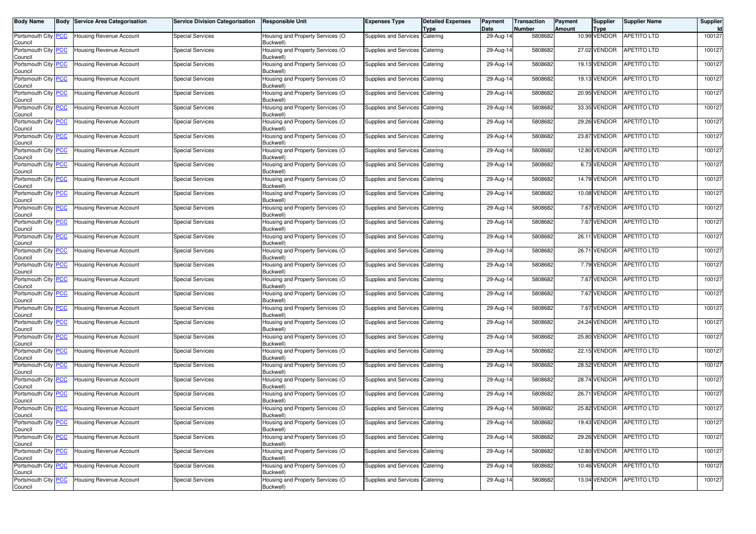| <b>Body Name</b>                      | <b>Body Service Area Categorisation</b> | Service Division Categorisation | <b>Responsible Unit</b>                       | <b>Expenses Type</b>           | <b>Detailed Expenses</b><br><b>Type</b> | Payment<br>Date | <b>Transaction</b><br><b>Number</b> | Payment<br><b>Amount</b> | Supplier<br><b>Type</b> | <b>Supplier Name</b>     | Supplier<br>Id |
|---------------------------------------|-----------------------------------------|---------------------------------|-----------------------------------------------|--------------------------------|-----------------------------------------|-----------------|-------------------------------------|--------------------------|-------------------------|--------------------------|----------------|
| Portsmouth City PCC<br>Council        | <b>Housing Revenue Account</b>          | <b>Special Services</b>         | Housing and Property Services (O<br>Buckwell) | Supplies and Services Catering |                                         | 29-Aug-14       | 5808682                             |                          | 10.99 VENDOR            | <b>APETITO LTD</b>       | 100127         |
| Portsmouth City PCC<br>Council        | <b>Housing Revenue Account</b>          | <b>Special Services</b>         | Housing and Property Services (O<br>Buckwell) | Supplies and Services          | Catering                                | 29-Aug-14       | 5808682                             |                          | 27.02 VENDOR            | APETITO LTD              | 100127         |
| Portsmouth City PCC<br>Council        | <b>Housing Revenue Account</b>          | <b>Special Services</b>         | Housing and Property Services (O<br>Buckwell) | Supplies and Services Catering |                                         | 29-Aug-14       | 5808682                             |                          | 19.13 VENDOR            | APETITO LTD              | 100127         |
| Portsmouth City PCC<br>Council        | Housing Revenue Account                 | <b>Special Services</b>         | Housing and Property Services (O<br>Buckwell) | Supplies and Services Catering |                                         | 29-Aug-14       | 5808682                             |                          | 19.13 VENDOR            | <b>APETITO LTD</b>       | 100127         |
| Portsmouth City PCC<br>Council        | <b>Housing Revenue Account</b>          | <b>Special Services</b>         | Housing and Property Services (O<br>Buckwell) | Supplies and Services          | Catering                                | 29-Aug-14       | 5808682                             |                          | 20.95 VENDOR            | APETITO LTD              | 100127         |
| Portsmouth City PCC<br>Council        | <b>Housing Revenue Account</b>          | <b>Special Services</b>         | Housing and Property Services (O<br>Buckwell) | Supplies and Services          | Catering                                | 29-Aug-14       | 5808682                             |                          | 33.35 VENDOR            | APETITO LTD              | 100127         |
| Portsmouth City PCC<br>Council        | Housing Revenue Account                 | Special Services                | Housing and Property Services (O<br>Buckwell) | Supplies and Services Catering |                                         | 29-Aug-14       | 5808682                             |                          | 29.26 VENDOR            | APETITO LTD              | 100127         |
| Portsmouth City PCC<br>Council        | <b>Housing Revenue Account</b>          | <b>Special Services</b>         | Housing and Property Services (O<br>Buckwell) | Supplies and Services          | Catering                                | 29-Aug-14       | 5808682                             |                          | 23.87 VENDOR            | APETITO LTD              | 100127         |
| Portsmouth City PCC<br>Council        | <b>Housing Revenue Account</b>          | <b>Special Services</b>         | Housing and Property Services (O<br>Buckwell) | Supplies and Services Catering |                                         | 29-Aug-14       | 5808682                             |                          | 12.80 VENDOR            | APETITO LTD              | 100127         |
| Portsmouth City PCC<br>Council        | Housing Revenue Account                 | <b>Special Services</b>         | Housing and Property Services (O<br>Buckwell) | Supplies and Services Catering |                                         | 29-Aug-14       | 5808682                             |                          | 6.73 VENDOR             | <b>APETITO LTD</b>       | 100127         |
| Portsmouth City PCC<br>Council        | <b>Housing Revenue Account</b>          | <b>Special Services</b>         | Housing and Property Services (O<br>Buckwell) | Supplies and Services          | Catering                                | 29-Aug-14       | 5808682                             |                          | 14.79 VENDOR            | APETITO LTD              | 100127         |
| Portsmouth City PCC<br>Council        | <b>Housing Revenue Account</b>          | <b>Special Services</b>         | Housing and Property Services (O<br>Buckwell) | Supplies and Services          | Catering                                | 29-Aug-14       | 5808682                             |                          | 10.08 VENDOR            | APETITO LTD              | 100127         |
| Portsmouth City PCC<br>Council        | <b>Housing Revenue Account</b>          | <b>Special Services</b>         | Housing and Property Services (O<br>Buckwell) | Supplies and Services Catering |                                         | 29-Aug-14       | 5808682                             |                          | 7.67 VENDOR             | <b>APETITO LTD</b>       | 100127         |
| Portsmouth City PCC<br>Council        | Housing Revenue Account                 | <b>Special Services</b>         | Housing and Property Services (O<br>Buckwell) | Supplies and Services Catering |                                         | 29-Aug-14       | 5808682                             |                          | 7.67 VENDOR             | <b>APETITO LTD</b>       | 100127         |
| Portsmouth City PCC<br>Council        | <b>Housing Revenue Account</b>          | <b>Special Services</b>         | Housing and Property Services (O<br>Buckwell) | Supplies and Services          | Catering                                | 29-Aug-14       | 5808682                             |                          | 26.11 VENDOR            | <b>APETITO LTD</b>       | 100127         |
| Portsmouth City PCC<br>Council        | <b>Housing Revenue Account</b>          | <b>Special Services</b>         | Housing and Property Services (O<br>Buckwell) | Supplies and Services Catering |                                         | 29-Aug-14       | 5808682                             |                          | 26.71 VENDOR            | <b>APETITO LTD</b>       | 100127         |
| Portsmouth City PCC<br>Council        | <b>Housing Revenue Account</b>          | <b>Special Services</b>         | Housing and Property Services (O<br>Buckwell) | Supplies and Services Catering |                                         | 29-Aug-14       | 5808682                             |                          | 7.79 VENDOR             | <b>APETITO LTD</b>       | 100127         |
| Portsmouth City PCC<br>Council        | <b>Housing Revenue Account</b>          | <b>Special Services</b>         | Housing and Property Services (O<br>Buckwell) | Supplies and Services Catering |                                         | 29-Aug-14       | 5808682                             |                          | 7.67 VENDOR             | <b>APETITO LTD</b>       | 100127         |
| Portsmouth City PCC<br>Council        | Housing Revenue Account                 | <b>Special Services</b>         | Housing and Property Services (O<br>Buckwell) | Supplies and Services Catering |                                         | 29-Aug-14       | 5808682                             |                          | 7.67 VENDOR             | APETITO LTD              | 100127         |
| Portsmouth City PCC<br>Council        | <b>Housing Revenue Account</b>          | <b>Special Services</b>         | Housing and Property Services (O<br>Buckwell) | Supplies and Services Catering |                                         | 29-Aug-14       | 5808682                             |                          | 7.67 VENDOR             | APETITO LTD              | 100127         |
| Portsmouth City PCC<br>Council        | <b>Housing Revenue Account</b>          | <b>Special Services</b>         | Housing and Property Services (O<br>Buckwell) | Supplies and Services          | Catering                                | 29-Aug-14       | 5808682                             |                          | 24.24 VENDOR            | <b>APETITO LTD</b>       | 100127         |
| Portsmouth City PCC<br>Council        | <b>Housing Revenue Account</b>          | <b>Special Services</b>         | Housing and Property Services (O<br>Buckwell) | Supplies and Services Catering |                                         | 29-Aug-14       | 5808682                             |                          | 25.80 VENDOR            | <b>APETITO LTD</b>       | 100127         |
| Portsmouth City PCC<br>Council        | <b>Housing Revenue Account</b>          | <b>Special Services</b>         | Housing and Property Services (O<br>Buckwell) | Supplies and Services          | Catering                                | 29-Aug-14       | 5808682                             |                          | 22.15 VENDOR            | <b>APETITO LTD</b>       | 100127         |
| Portsmouth City PCC<br>Council        | Housing Revenue Account                 | <b>Special Services</b>         | Housing and Property Services (O<br>Buckwell) | Supplies and Services          | Catering                                | 29-Aug-14       | 5808682                             |                          | 28.52 VENDOR            | APETITO LTD              | 100127         |
| Portsmouth City PCC<br>Council        | Housing Revenue Account                 | <b>Special Services</b>         | Housing and Property Services (O<br>Buckwell) | Supplies and Services Catering |                                         | 29-Aug-14       | 5808682                             |                          | 28.74 VENDOR            | <b>APETITO LTD</b>       | 100127         |
| Portsmouth City PCC<br>Council        | <b>Housing Revenue Account</b>          | <b>Special Services</b>         | Housing and Property Services (O<br>Buckwell) | Supplies and Services          | Catering                                | 29-Aug-14       | 5808682                             |                          | 26.71 VENDOR            | <b>APETITO LTD</b>       | 100127         |
| Portsmouth City PCC<br>Council        | <b>Housing Revenue Account</b>          | <b>Special Services</b>         | Housing and Property Services (O<br>Buckwell) | Supplies and Services          | Catering                                | 29-Aug-14       | 5808682                             |                          | 25.82 VENDOR            | <b>APETITO LTD</b>       | 100127         |
| Portsmouth City <b>PCC</b><br>Council | <b>Housing Revenue Account</b>          | Special Services                | Housing and Property Services (O<br>Buckwell) | Supplies and Services Catering |                                         | 29-Aug-14       | 5808682                             |                          |                         | 19.43 VENDOR APETITO LTD | 100127         |
| Portsmouth City PCC<br>Council        | <b>Housing Revenue Account</b>          | <b>Special Services</b>         | Housing and Property Services (O<br>Buckwell) | Supplies and Services Catering |                                         | 29-Aug-14       | 5808682                             |                          | 29.26 VENDOR            | <b>APETITO LTD</b>       | 100127         |
| Portsmouth City PCC<br>Council        | Housing Revenue Account                 | <b>Special Services</b>         | Housing and Property Services (O<br>Buckwell) | Supplies and Services Catering |                                         | 29-Aug-14       | 5808682                             |                          | 12.80 VENDOR            | APETITO LTD              | 100127         |
| Portsmouth City PCC<br>Council        | Housing Revenue Account                 | <b>Special Services</b>         | Housing and Property Services (O<br>Buckwell) | Supplies and Services Catering |                                         | 29-Aug-14       | 5808682                             |                          | 10.46 VENDOR            | <b>APETITO LTD</b>       | 100127         |
| Portsmouth City PCC<br>Council        | Housing Revenue Account                 | <b>Special Services</b>         | Housing and Property Services (O<br>Buckwell) | Supplies and Services Catering |                                         | 29-Aug-14       | 5808682                             |                          | 13.04 VENDOR            | APETITO LTD              | 100127         |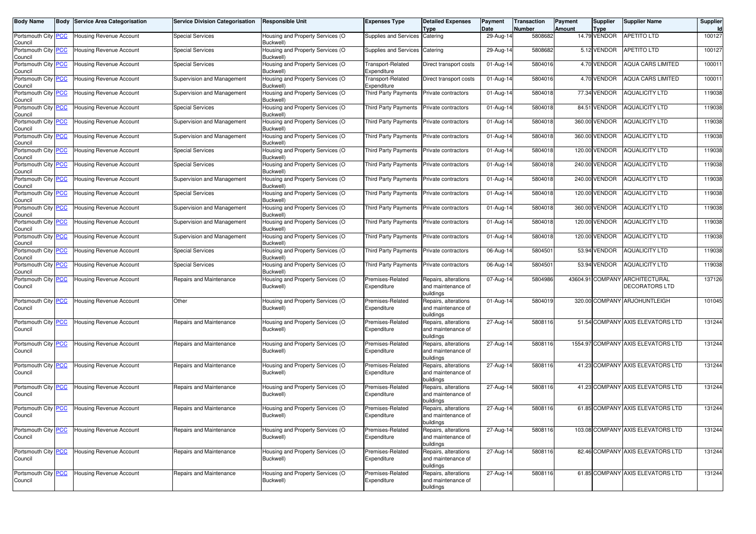| <b>Body Name</b>               | <b>Body Service Area Categorisation</b> | <b>Service Division Categorisation</b> | <b>Responsible Unit</b>                       | <b>Expenses Type</b>             | <b>Detailed Expenses</b><br>Type                        | Payment<br>Date | <b>Transaction</b><br><b>Number</b> | Payment<br>Amount | <b>Supplier</b><br><b>Type</b> | <b>Supplier Name</b>                                    | Supplier |
|--------------------------------|-----------------------------------------|----------------------------------------|-----------------------------------------------|----------------------------------|---------------------------------------------------------|-----------------|-------------------------------------|-------------------|--------------------------------|---------------------------------------------------------|----------|
| Portsmouth City PCC<br>Council | Housing Revenue Account                 | Special Services                       | Housing and Property Services (O<br>Buckwell) | Supplies and Services Catering   |                                                         | 29-Aug-14       | 5808682                             |                   | 14.79 VENDOR                   | <b>APETITO LTD</b>                                      | 100127   |
| Portsmouth City PCC<br>Council | <b>Housing Revenue Account</b>          | <b>Special Services</b>                | Housing and Property Services (O<br>Buckwell) | Supplies and Services            | Catering                                                | 29-Aug-14       | 5808682                             |                   | 5.12 VENDOR                    | APETITO LTD                                             | 100127   |
| Portsmouth City PCC<br>Council | Housing Revenue Account                 | <b>Special Services</b>                | Housing and Property Services (O<br>Buckwell) | Transport-Related<br>Expenditure | Direct transport costs                                  | 01-Aug-14       | 5804016                             |                   | 4.70 VENDOR                    | <b>AQUA CARS LIMITED</b>                                | 100011   |
| Portsmouth City PCC<br>Council | Housing Revenue Account                 | Supervision and Management             | Housing and Property Services (O<br>Buckwell) | Fransport-Related<br>Expenditure | Direct transport costs                                  | 01-Aug-14       | 5804016                             |                   | 4.70 VENDOR                    | <b>AQUA CARS LIMITED</b>                                | 100011   |
| Portsmouth City PCC<br>Council | Housing Revenue Account                 | Supervision and Management             | Housing and Property Services (O<br>Buckwell) | Third Party Payments             | Private contractors                                     | 01-Aug-14       | 5804018                             |                   | 77.34 VENDOR                   | <b>AQUALICITY LTD</b>                                   | 119038   |
| Portsmouth City PCC<br>Council | <b>Housing Revenue Account</b>          | <b>Special Services</b>                | Housing and Property Services (O<br>Buckwell) | Third Party Payments             | Private contractors                                     | 01-Aug-14       | 5804018                             |                   | 84.51 VENDOR                   | <b>AQUALICITY LTD</b>                                   | 119038   |
| Portsmouth City PCC<br>Council | Housing Revenue Account                 | Supervision and Management             | Housing and Property Services (O<br>Buckwell) | <b>Third Party Payments</b>      | Private contractors                                     | 01-Aug-14       | 5804018                             |                   | 360.00 VENDOR                  | <b>AQUALICITY LTD</b>                                   | 119038   |
| Portsmouth City PCC<br>Council | Housing Revenue Account                 | Supervision and Management             | Housing and Property Services (O<br>Buckwell) | Third Party Payments             | <b>Private contractors</b>                              | 01-Aug-14       | 5804018                             |                   | 360.00 VENDOR                  | <b>AQUALICITY LTD</b>                                   | 119038   |
| Portsmouth City PCC<br>Council | Housing Revenue Account                 | <b>Special Services</b>                | Housing and Property Services (O<br>Buckwell) | Third Party Payments             | Private contractors                                     | 01-Aug-14       | 5804018                             |                   | 120.00 VENDOR                  | <b>AQUALICITY LTD</b>                                   | 119038   |
| Portsmouth City PCC<br>Council | Housing Revenue Account                 | <b>Special Services</b>                | Housing and Property Services (O<br>Buckwell) | Third Party Payments             | Private contractors                                     | 01-Aug-14       | 5804018                             |                   | 240.00 VENDOR                  | <b>AQUALICITY LTD</b>                                   | 119038   |
| Portsmouth City PCC<br>Council | Housing Revenue Account                 | Supervision and Management             | Housing and Property Services (O<br>Buckwell) | <b>Third Party Payments</b>      | Private contractors                                     | 01-Aug-14       | 5804018                             |                   | 240.00 VENDOR                  | <b>AQUALICITY LTD</b>                                   | 119038   |
| Portsmouth City PCC<br>Council | Housing Revenue Account                 | <b>Special Services</b>                | Housing and Property Services (O<br>Buckwell) | Third Party Payments             | Private contractors                                     | 01-Aug-14       | 5804018                             |                   | 120.00 VENDOR                  | <b>AQUALICITY LTD</b>                                   | 119038   |
| Portsmouth City PCC<br>Council | Housing Revenue Account                 | Supervision and Management             | Housing and Property Services (O<br>Buckwell) | Third Party Payments             | Private contractors                                     | 01-Aug-14       | 5804018                             |                   | 360.00 VENDOR                  | <b>AQUALICITY LTD</b>                                   | 119038   |
| Portsmouth City PCC<br>Council | Housing Revenue Account                 | Supervision and Management             | Housing and Property Services (O<br>Buckwell) | Third Party Payments             | Private contractors                                     | 01-Aug-14       | 5804018                             |                   | 120.00 VENDOR                  | <b>AQUALICITY LTD</b>                                   | 119038   |
| Portsmouth City PCC<br>Council | Housing Revenue Account                 | Supervision and Management             | Housing and Property Services (O<br>Buckwell) | Third Party Payments             | Private contractors                                     | 01-Aug-14       | 5804018                             |                   | 120.00 VENDOR                  | <b>AQUALICITY LTD</b>                                   | 119038   |
| Portsmouth City PCC<br>Council | Housing Revenue Account                 | <b>Special Services</b>                | Housing and Property Services (O<br>Buckwell) | Third Party Payments             | <b>Private contractors</b>                              | 06-Aug-14       | 5804501                             |                   | 53.94 VENDOR                   | <b>AQUALICITY LTD</b>                                   | 119038   |
| Portsmouth City PCC<br>Council | <b>Housing Revenue Account</b>          | <b>Special Services</b>                | Housing and Property Services (O<br>Buckwell) | Third Party Payments             | Private contractors                                     | 06-Aug-14       | 5804501                             |                   | 53.94 VENDOR                   | <b>AQUALICITY LTD</b>                                   | 119038   |
| Portsmouth City PCC<br>Council | Housing Revenue Account                 | Repairs and Maintenance                | Housing and Property Services (O<br>Buckwell) | Premises-Related<br>Expenditure  | Repairs, alterations<br>and maintenance of<br>buildings | $07$ -Aug-14    | 5804986                             |                   |                                | 43604.91 COMPANY ARCHITECTURAL<br><b>DECORATORS LTD</b> | 137126   |
| Portsmouth City PCC<br>Council | Housing Revenue Account                 | Other                                  | Housing and Property Services (O<br>Buckwell) | Premises-Related<br>Expenditure  | Repairs, alterations<br>and maintenance of<br>buildings | 01-Aug-14       | 5804019                             |                   |                                | 320.00 COMPANY ARJOHUNTLEIGH                            | 101045   |
| Portsmouth City PCC<br>Council | <b>Housing Revenue Account</b>          | Repairs and Maintenance                | Housing and Property Services (O<br>Buckwell) | Premises-Related<br>Expenditure  | Repairs, alterations<br>and maintenance of<br>buildings | 27-Aug-14       | 5808116                             |                   |                                | 51.54 COMPANY AXIS ELEVATORS LTD                        | 131244   |
| Portsmouth City PCC<br>Council | <b>Housing Revenue Account</b>          | Repairs and Maintenance                | Housing and Property Services (O<br>Buckwell) | Premises-Related<br>Expenditure  | Repairs, alterations<br>and maintenance of<br>buildings | $27 - Aug-14$   | 5808116                             |                   |                                | 1554.97 COMPANY AXIS ELEVATORS LTD                      | 131244   |
| Portsmouth City PCC<br>Council | <b>Housing Revenue Account</b>          | Repairs and Maintenance                | Housing and Property Services (O<br>Buckwell) | Premises-Related<br>Expenditure  | Repairs, alterations<br>and maintenance of<br>buildings | 27-Aug-14       | 5808116                             |                   |                                | 41.23 COMPANY AXIS ELEVATORS LTD                        | 131244   |
| Portsmouth City PCC<br>Council | Housing Revenue Account                 | Repairs and Maintenance                | Housing and Property Services (O<br>Buckwell) | Premises-Related<br>Expenditure  | Repairs, alterations<br>and maintenance of<br>buildings | $27$ -Aug-14    | 5808116                             |                   |                                | 41.23 COMPANY AXIS ELEVATORS LTD                        | 131244   |
| Portsmouth City PCC<br>Council | <b>Housing Revenue Account</b>          | Repairs and Maintenance                | Housing and Property Services (O<br>Buckwell) | Premises-Related<br>Expenditure  | Repairs, alterations<br>and maintenance of<br>buildings | 27-Aug-14       | 5808116                             |                   |                                | 61.85 COMPANY AXIS ELEVATORS LTD                        | 131244   |
| Portsmouth City PCC<br>Council | Housing Revenue Account                 | Repairs and Maintenance                | Housing and Property Services (O<br>Buckwell) | Premises-Related<br>Expenditure  | Repairs, alterations<br>and maintenance of<br>buildings | $27 - Aug-14$   | 5808116                             |                   |                                | 103.08 COMPANY AXIS ELEVATORS LTD                       | 131244   |
| Portsmouth City PCC<br>Council | <b>Housing Revenue Account</b>          | Repairs and Maintenance                | Housing and Property Services (O<br>Buckwell) | Premises-Related<br>Expenditure  | Repairs, alterations<br>and maintenance of<br>buildings | 27-Aug-14       | 5808116                             |                   |                                | 82.46 COMPANY AXIS ELEVATORS LTD                        | 131244   |
| Portsmouth City PCC<br>Council | Housing Revenue Account                 | Repairs and Maintenance                | Housing and Property Services (O<br>Buckwell) | Premises-Related<br>Expenditure  | Repairs, alterations<br>and maintenance of<br>buildings | 27-Aug-14       | 5808116                             |                   |                                | 61.85 COMPANY AXIS ELEVATORS LTD                        | 131244   |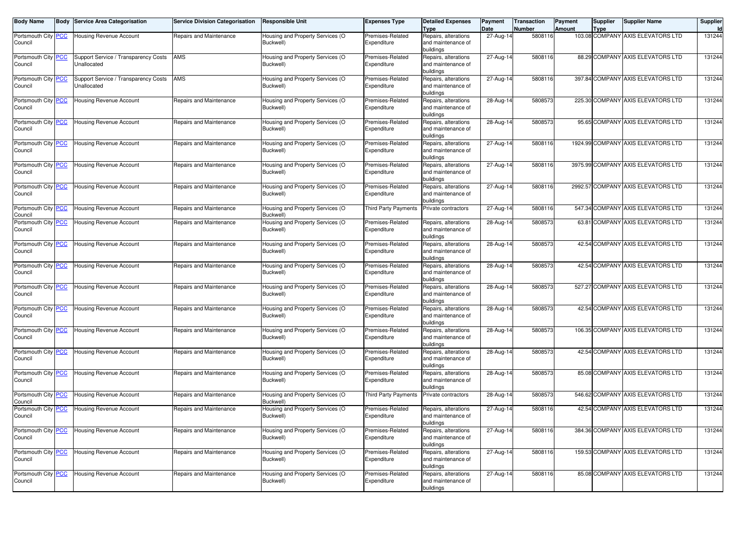| <b>Body Name</b>                      |                           | <b>Body Service Area Categorisation</b>             | <b>Service Division Categorisation</b> | <b>Responsible Unit</b>                       | <b>Expenses Type</b>            | <b>Detailed Expenses</b><br><b>Type</b>                              | Payment<br>Date | <b>Transaction</b><br>Number | Payment<br>Amount | Supplier<br>Type | <b>Supplier Name</b>               | Supplier |
|---------------------------------------|---------------------------|-----------------------------------------------------|----------------------------------------|-----------------------------------------------|---------------------------------|----------------------------------------------------------------------|-----------------|------------------------------|-------------------|------------------|------------------------------------|----------|
| Portsmouth City<br>Council            | <b>PCC</b>                | <b>Housing Revenue Account</b>                      | Repairs and Maintenance                | Housing and Property Services (O<br>Buckwell) | Premises-Related<br>Expenditure | Repairs, alterations<br>and maintenance of                           | 27-Aug-14       | 5808116                      |                   |                  | 103.08 COMPANY AXIS ELEVATORS LTD  | 131244   |
|                                       |                           |                                                     |                                        |                                               |                                 | buildings                                                            |                 |                              |                   |                  |                                    |          |
| Portsmouth City<br>Council            | <b>PCC</b>                | Support Service / Transparency Costs<br>Unallocated | <b>AMS</b>                             | Housing and Property Services (O<br>Buckwell) | Premises-Related<br>Expenditure | Repairs, alterations<br>and maintenance of<br>buildings              | 27-Aug-14       | 5808116                      |                   |                  | 88.29 COMPANY AXIS ELEVATORS LTD   | 131244   |
| Portsmouth City<br>Council            | <b>PCC</b>                | Support Service / Transparency Costs<br>Unallocated | AMS                                    | Housing and Property Services (O<br>Buckwell) | Premises-Related<br>Expenditure | Repairs, alterations<br>and maintenance of                           | 27-Aug-14       | 5808116                      |                   |                  | 397.84 COMPANY AXIS ELEVATORS LTD  | 131244   |
| Portsmouth City <b>PCC</b><br>Council |                           | Housing Revenue Account                             | Repairs and Maintenance                | Housing and Property Services (O<br>Buckwell) | Premises-Related<br>Expenditure | buildings<br>Repairs, alterations<br>and maintenance of              | 28-Aug-14       | 5808573                      |                   |                  | 225.30 COMPANY AXIS ELEVATORS LTD  | 131244   |
| Portsmouth City<br>Council            | <b>PCC</b>                | <b>Housing Revenue Account</b>                      | Repairs and Maintenance                | Housing and Property Services (O<br>Buckwell) | Premises-Related<br>Expenditure | buildings<br>Repairs, alterations<br>and maintenance of<br>buildings | 28-Aug-14       | 5808573                      |                   |                  | 95.65 COMPANY AXIS ELEVATORS LTD   | 131244   |
| Portsmouth City<br>Council            | <u>PCC</u>                | <b>Housing Revenue Account</b>                      | Repairs and Maintenance                | Housing and Property Services (O<br>Buckwell) | Premises-Related<br>Expenditure | Repairs, alterations<br>and maintenance of<br>buildings              | 27-Aug-14       | 5808116                      |                   |                  | 1924.99 COMPANY AXIS ELEVATORS LTD | 131244   |
| Portsmouth City<br>Council            | <b>PCC</b>                | <b>Housing Revenue Account</b>                      | Repairs and Maintenance                | Housing and Property Services (O<br>Buckwell) | Premises-Related<br>Expenditure | Repairs, alterations<br>and maintenance of<br>buildings              | 27-Aug-14       | 5808116                      |                   |                  | 3975.99 COMPANY AXIS ELEVATORS LTD | 131244   |
| Portsmouth City<br>Council            | <b>PCC</b>                | Housing Revenue Account                             | Repairs and Maintenance                | Housing and Property Services (O<br>Buckwell) | Premises-Related<br>Expenditure | Repairs, alterations<br>and maintenance of<br>buildings              | 27-Aug-14       | 5808116                      |                   |                  | 2992.57 COMPANY AXIS ELEVATORS LTD | 131244   |
| Portsmouth City<br>Council            | <b>PCC</b>                | <b>Housing Revenue Account</b>                      | Repairs and Maintenance                | Housing and Property Services (O<br>Buckwell) | <b>Third Party Payments</b>     | Private contractors                                                  | 27-Aug-14       | 5808116                      |                   |                  | 547.34 COMPANY AXIS ELEVATORS LTD  | 131244   |
| Portsmouth City PCC<br>Council        |                           | Housing Revenue Account                             | Repairs and Maintenance                | Housing and Property Services (O<br>Buckwell) | Premises-Related<br>Expenditure | Repairs, alterations<br>and maintenance of<br>buildings              | 28-Aug-14       | 5808573                      |                   |                  | 63.81 COMPANY AXIS ELEVATORS LTD   | 131244   |
| Portsmouth City<br>Council            | $\overline{\mathsf{PCC}}$ | Housing Revenue Account                             | Repairs and Maintenance                | Housing and Property Services (O<br>Buckwell) | Premises-Related<br>Expenditure | Repairs, alterations<br>and maintenance of<br>buildings              | 28-Aug-14       | 5808573                      |                   |                  | 42.54 COMPANY AXIS ELEVATORS LTD   | 131244   |
| Portsmouth City<br>Council            | <b>PCC</b>                | Housing Revenue Account                             | Repairs and Maintenance                | Housing and Property Services (O<br>Buckwell) | Premises-Related<br>Expenditure | Repairs, alterations<br>and maintenance of<br>buildings              | 28-Aug-14       | 5808573                      |                   |                  | 42.54 COMPANY AXIS ELEVATORS LTD   | 131244   |
| Portsmouth City<br>Council            | <b>PCC</b>                | Housing Revenue Account                             | Repairs and Maintenance                | Housing and Property Services (O<br>Buckwell) | Premises-Related<br>Expenditure | Repairs, alterations<br>and maintenance of<br>buildings              | 28-Aug-14       | 5808573                      |                   |                  | 527.27 COMPANY AXIS ELEVATORS LTD  | 131244   |
| Portsmouth City<br>Council            | $\overline{\mathsf{PCC}}$ | Housing Revenue Account                             | Repairs and Maintenance                | Housing and Property Services (O<br>Buckwell) | Premises-Related<br>Expenditure | Repairs, alterations<br>and maintenance of<br>buildings              | 28-Aug-14       | 5808573                      |                   |                  | 42.54 COMPANY AXIS ELEVATORS LTD   | 131244   |
| Portsmouth City<br>Council            | <b>PCC</b>                | Housing Revenue Account                             | Repairs and Maintenance                | Housing and Property Services (O<br>Buckwell) | Premises-Related<br>Expenditure | Repairs, alterations<br>and maintenance of<br>buildings              | 28-Aug-14       | 5808573                      |                   |                  | 106.35 COMPANY AXIS ELEVATORS LTD  | 131244   |
| Portsmouth City<br>Council            | $\overline{\mathsf{PCC}}$ | Housing Revenue Account                             | Repairs and Maintenance                | Housing and Property Services (O<br>Buckwell) | Premises-Related<br>Expenditure | Repairs, alterations<br>and maintenance of<br>buildings              | 28-Aug-14       | 5808573                      |                   |                  | 42.54 COMPANY AXIS ELEVATORS LTD   | 131244   |
| Portsmouth City<br>Council            | $\overline{\mathsf{PCC}}$ | Housing Revenue Account                             | Repairs and Maintenance                | Housing and Property Services (O<br>Buckwell) | Premises-Related<br>Expenditure | Repairs, alterations<br>and maintenance of<br>buildings              | 28-Aug-14       | 5808573                      |                   |                  | 85.08 COMPANY AXIS ELEVATORS LTD   | 131244   |
| Portsmouth City<br>Council            | <u>PCC</u>                | <b>Housing Revenue Account</b>                      | Repairs and Maintenance                | Housing and Property Services (O<br>Buckwell) | Third Party Payments            | Private contractors                                                  | 28-Aug-14       | 5808573                      |                   |                  | 546.62 COMPANY AXIS ELEVATORS LTD  | 131244   |
| Portsmouth City <b>PCC</b><br>Council |                           | Housing Revenue Account                             | Repairs and Maintenance                | Housing and Property Services (O<br>Buckwell) | Premises-Related<br>Expenditure | Repairs, alterations<br>and maintenance of<br>buildings              | 27-Aug-14       | 5808116                      |                   |                  | 42.54 COMPANY AXIS ELEVATORS LTD   | 131244   |
| Portsmouth City PCC<br>Council        |                           | Housing Revenue Account                             | Repairs and Maintenance                | Housing and Property Services (O<br>Buckwell) | Premises-Related<br>Expenditure | Repairs, alterations<br>and maintenance of<br>buildings              | 27-Aug-14       | 5808116                      |                   |                  | 384.36 COMPANY AXIS ELEVATORS LTD  | 131244   |
| Portsmouth City PCC<br>Council        |                           | <b>Housing Revenue Account</b>                      | Repairs and Maintenance                | Housing and Property Services (O<br>Buckwell) | Premises-Related<br>Expenditure | Repairs, alterations<br>and maintenance of<br>buildings              | 27-Aug-14       | 5808116                      |                   |                  | 159.53 COMPANY AXIS ELEVATORS LTD  | 131244   |
| Portsmouth City PCC<br>Council        |                           | Housing Revenue Account                             | Repairs and Maintenance                | Housing and Property Services (O<br>Buckwell) | Premises-Related<br>Expenditure | Repairs, alterations<br>and maintenance of<br>buildings              | 27-Aug-14       | 5808116                      |                   |                  | 85.08 COMPANY AXIS ELEVATORS LTD   | 131244   |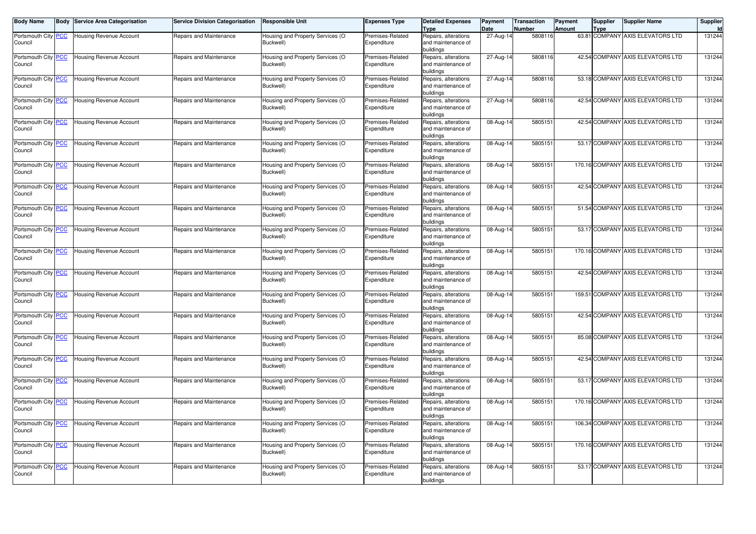| <b>Body Name</b>               | Body | Service Area Categorisation    | <b>Service Division Categorisation</b> | <b>Responsible Unit</b>                       | <b>Expenses Type</b>            | <b>Detailed Expenses</b><br><b>Type</b>    | Payment<br>Date         | <b>Transaction</b><br>Number | Payment<br>Amount | <b>Supplier</b><br>Type | <b>Supplier Name</b>              | Supplier |
|--------------------------------|------|--------------------------------|----------------------------------------|-----------------------------------------------|---------------------------------|--------------------------------------------|-------------------------|------------------------------|-------------------|-------------------------|-----------------------------------|----------|
| Portsmouth City PCC<br>Council |      | <b>Housing Revenue Account</b> | Repairs and Maintenance                | Housing and Property Services (O<br>Buckwell) | Premises-Related<br>Expenditure | Repairs, alterations<br>and maintenance of | 27-Aug-14               | 5808116                      |                   |                         | 63.81 COMPANY AXIS ELEVATORS LTD  | 131244   |
|                                |      |                                |                                        |                                               |                                 | buildings                                  |                         |                              |                   |                         |                                   |          |
| Portsmouth City PCC            |      | <b>Housing Revenue Account</b> | Repairs and Maintenance                | Housing and Property Services (O              | Premises-Related                | Repairs, alterations                       | 27-Aug-14               | 5808116                      |                   |                         | 42.54 COMPANY AXIS ELEVATORS LTD  | 131244   |
| Council                        |      |                                |                                        | Buckwell)                                     | Expenditure                     | and maintenance of<br>buildings            |                         |                              |                   |                         |                                   |          |
| Portsmouth City PCC            |      | <b>Housing Revenue Account</b> | Repairs and Maintenance                | Housing and Property Services (O              | Premises-Related                | Repairs, alterations                       | 27-Aug-14               | 5808116                      |                   |                         | 53.18 COMPANY AXIS ELEVATORS LTD  | 131244   |
| Council                        |      |                                |                                        | Buckwell)                                     | Expenditure                     | and maintenance of<br>puildings            |                         |                              |                   |                         |                                   |          |
| Portsmouth City PCC            |      | Housing Revenue Account        | Repairs and Maintenance                | Housing and Property Services (O              | Premises-Related                | Repairs, alterations                       | 27-Aug-14               | 5808116                      |                   |                         | 42.54 COMPANY AXIS ELEVATORS LTD  | 131244   |
| Council                        |      |                                |                                        | Buckwell)                                     | Expenditure                     | and maintenance of<br>buildings            |                         |                              |                   |                         |                                   |          |
| Portsmouth City PCC            |      | Housing Revenue Account        | Repairs and Maintenance                | Housing and Property Services (O              | Premises-Related                | Repairs, alterations                       | 08-Aug-14               | 5805151                      |                   |                         | 42.54 COMPANY AXIS ELEVATORS LTD  | 131244   |
| Council                        |      |                                |                                        | Buckwell)                                     | Expenditure                     | and maintenance of<br>buildings            |                         |                              |                   |                         |                                   |          |
| Portsmouth City PCC            |      | <b>Housing Revenue Account</b> | Repairs and Maintenance                | Housing and Property Services (O              | Premises-Related                | Repairs, alterations                       | 08-Aug-14               | 5805151                      |                   |                         | 53.17 COMPANY AXIS ELEVATORS LTD  | 131244   |
| Council                        |      |                                |                                        | Buckwell)                                     | Expenditure                     | and maintenance of<br>buildings            |                         |                              |                   |                         |                                   |          |
| Portsmouth City PCC            |      | Housing Revenue Account        | Repairs and Maintenance                | Housing and Property Services (O              | Premises-Related                | Repairs, alterations                       | 08-Aug-14               | 5805151                      |                   |                         | 170.16 COMPANY AXIS ELEVATORS LTD | 131244   |
| Council                        |      |                                |                                        | Buckwell)                                     | Expenditure                     | and maintenance of<br>buildings            |                         |                              |                   |                         |                                   |          |
| Portsmouth City PCC            |      | <b>Housing Revenue Account</b> | Repairs and Maintenance                | Housing and Property Services (O              | Premises-Related                | Repairs, alterations                       | $\overline{0}$ 8-Aug-14 | 5805151                      |                   |                         | 42.54 COMPANY AXIS ELEVATORS LTD  | 131244   |
| Council                        |      |                                |                                        | Buckwell)                                     | Expenditure                     | and maintenance of<br>buildings            |                         |                              |                   |                         |                                   |          |
| Portsmouth City PCC            |      | <b>Housing Revenue Account</b> | Repairs and Maintenance                | Housing and Property Services (O              | Premises-Related                | Repairs, alterations                       | 08-Aug-14               | 5805151                      |                   |                         | 51.54 COMPANY AXIS ELEVATORS LTD  | 131244   |
| Council                        |      |                                |                                        | Buckwell)                                     | Expenditure                     | and maintenance of<br>buildings            |                         |                              |                   |                         |                                   |          |
| Portsmouth City PCC            |      | <b>Housing Revenue Account</b> | Repairs and Maintenance                | Housing and Property Services (O              | Premises-Related                | Repairs, alterations                       | 08-Aug-14               | 5805151                      |                   |                         | 53.17 COMPANY AXIS ELEVATORS LTD  | 131244   |
| Council                        |      |                                |                                        | Buckwell)                                     | Expenditure                     | and maintenance of<br>buildings            |                         |                              |                   |                         |                                   |          |
| Portsmouth City PCC            |      | Housing Revenue Account        | Repairs and Maintenance                | Housing and Property Services (O              | Premises-Related                | Repairs, alterations                       | 08-Aug-14               | 5805151                      |                   |                         | 170.16 COMPANY AXIS ELEVATORS LTD | 131244   |
| Council                        |      |                                |                                        | Buckwell)                                     | Expenditure                     | and maintenance of<br>buildings            |                         |                              |                   |                         |                                   |          |
| Portsmouth City PCC            |      | Housing Revenue Account        | Repairs and Maintenance                | Housing and Property Services (O              | Premises-Related                | Repairs, alterations                       | 08-Aug-14               | 5805151                      |                   |                         | 42.54 COMPANY AXIS ELEVATORS LTD  | 131244   |
| Council                        |      |                                |                                        | Buckwell)                                     | Expenditure                     | and maintenance of<br>buildings            |                         |                              |                   |                         |                                   |          |
| Portsmouth City PCC            |      | Housing Revenue Account        | Repairs and Maintenance                | lousing and Property Services (O              | Premises-Related                | Repairs, alterations                       | 08-Aug-14               | 5805151                      |                   |                         | 159.51 COMPANY AXIS ELEVATORS LTD | 131244   |
| Council                        |      |                                |                                        | Buckwell)                                     | Expenditure                     | and maintenance of<br>buildings            |                         |                              |                   |                         |                                   |          |
| Portsmouth City PCC            |      | <b>Housing Revenue Account</b> | Repairs and Maintenance                | Housing and Property Services (O              | Premises-Related                | Repairs, alterations                       | 08-Aug-14               | 5805151                      |                   |                         | 42.54 COMPANY AXIS ELEVATORS LTD  | 131244   |
| Council                        |      |                                |                                        | Buckwell)                                     | Expenditure                     | and maintenance of<br>buildings            |                         |                              |                   |                         |                                   |          |
| Portsmouth City PCC            |      | <b>Housing Revenue Account</b> | Repairs and Maintenance                | Housing and Property Services (O              | Premises-Related                | Repairs, alterations                       | 08-Aug-14               | 5805151                      |                   |                         | 85.08 COMPANY AXIS ELEVATORS LTD  | 131244   |
| Council                        |      |                                |                                        | Buckwell)                                     | Expenditure                     | and maintenance of<br>buildings            |                         |                              |                   |                         |                                   |          |
| Portsmouth City PCC            |      | <b>Housing Revenue Account</b> | Repairs and Maintenance                | Housing and Property Services (O              | Premises-Related                | Repairs, alterations                       | 08-Aug-14               | 5805151                      |                   |                         | 42.54 COMPANY AXIS ELEVATORS LTD  | 131244   |
| Council                        |      |                                |                                        | Buckwell)                                     | Expenditure                     | and maintenance of<br>puildings            |                         |                              |                   |                         |                                   |          |
| Portsmouth City PCC            |      | <b>Housing Revenue Account</b> | Repairs and Maintenance                | Housing and Property Services (O              | Premises-Related                | Repairs, alterations                       | 08-Aug-14               | 5805151                      |                   |                         | 53.17 COMPANY AXIS ELEVATORS LTD  | 131244   |
| Council                        |      |                                |                                        | Buckwell)                                     | Expenditure                     | and maintenance of<br>buildings            |                         |                              |                   |                         |                                   |          |
| Portsmouth City PCC            |      | <b>Housing Revenue Account</b> | Repairs and Maintenance                | Housing and Property Services (O              | Premises-Related                | Repairs, alterations                       | 08-Aug-14               | 5805151                      |                   |                         | 170.16 COMPANY AXIS ELEVATORS LTD | 131244   |
| Council                        |      |                                |                                        | Buckwell)                                     | Expenditure                     | and maintenance of<br>buildings            |                         |                              |                   |                         |                                   |          |
| Portsmouth City PCC            |      | <b>Housing Revenue Account</b> | Repairs and Maintenance                | Housing and Property Services (O              | Premises-Related                | Repairs, alterations                       | 08-Aug-14               | 5805151                      |                   |                         | 106.34 COMPANY AXIS ELEVATORS LTD | 131244   |
| Council                        |      |                                |                                        | Buckwell)                                     | Expenditure                     | and maintenance of<br>buildings            |                         |                              |                   |                         |                                   |          |
| Portsmouth City PCC            |      | Housing Revenue Account        | Repairs and Maintenance                | Housing and Property Services (O              | Premises-Related                | Repairs, alterations                       | 08-Aug-14               | 5805151                      |                   |                         | 170.16 COMPANY AXIS ELEVATORS LTD | 131244   |
| Council                        |      |                                |                                        | Buckwell)                                     | Expenditure                     | and maintenance of<br>buildings            |                         |                              |                   |                         |                                   |          |
| Portsmouth City PCC            |      | <b>Housing Revenue Account</b> | Repairs and Maintenance                | Housing and Property Services (O              | Premises-Related                | Repairs, alterations                       | 08-Aug-14               | 5805151                      |                   |                         | 53.17 COMPANY AXIS ELEVATORS LTD  | 131244   |
| Council                        |      |                                |                                        | Buckwell)                                     | Expenditure                     | and maintenance of<br>buildings            |                         |                              |                   |                         |                                   |          |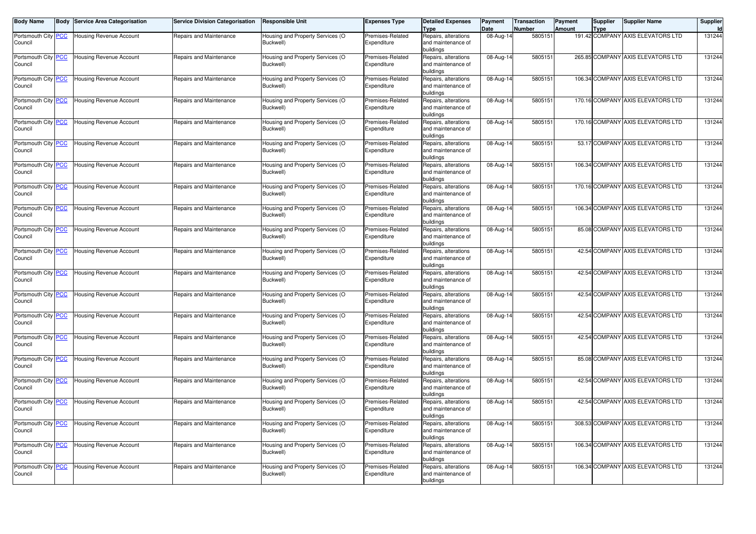| <b>Body Name</b>               | <b>Body</b> | <b>Service Area Categorisation</b> | <b>Service Division Categorisation</b> | <b>Responsible Unit</b>                       | <b>Expenses Type</b>            | <b>Detailed Expenses</b><br><b>Type</b>                 | Payment<br>Date         | <b>Transaction</b><br><b>Number</b> | Payment<br>Amount | <b>Supplier</b><br>Type | <b>Supplier Name</b>              | Supplier |
|--------------------------------|-------------|------------------------------------|----------------------------------------|-----------------------------------------------|---------------------------------|---------------------------------------------------------|-------------------------|-------------------------------------|-------------------|-------------------------|-----------------------------------|----------|
| Portsmouth City PCC<br>Council |             | Housing Revenue Account            | Repairs and Maintenance                | Housing and Property Services (O<br>Buckwell) | Premises-Related<br>Expenditure | Repairs, alterations<br>and maintenance of<br>buildings | 08-Aug-14               | 5805151                             |                   |                         | 191.42 COMPANY AXIS ELEVATORS LTD | 131244   |
| Portsmouth City PCC<br>Council |             | <b>Housing Revenue Account</b>     | Repairs and Maintenance                | Housing and Property Services (O<br>Buckwell) | Premises-Related<br>Expenditure | Repairs, alterations<br>and maintenance of<br>buildings | 08-Aug-14               | 5805151                             |                   |                         | 265.85 COMPANY AXIS ELEVATORS LTD | 131244   |
| Portsmouth City PCC<br>Council |             | <b>Housing Revenue Account</b>     | Repairs and Maintenance                | Housing and Property Services (O<br>Buckwell) | Premises-Related<br>Expenditure | Repairs, alterations<br>and maintenance of<br>puildings | 08-Aug-14               | 5805151                             |                   |                         | 106.34 COMPANY AXIS ELEVATORS LTD | 131244   |
| Portsmouth City PCC<br>Council |             | <b>Housing Revenue Account</b>     | Repairs and Maintenance                | Housing and Property Services (O<br>Buckwell) | Premises-Related<br>Expenditure | Repairs, alterations<br>and maintenance of<br>buildings | 08-Aug-14               | 5805151                             |                   |                         | 170.16 COMPANY AXIS ELEVATORS LTD | 131244   |
| Portsmouth City PCC<br>Council |             | <b>Housing Revenue Account</b>     | Repairs and Maintenance                | Housing and Property Services (O<br>Buckwell) | Premises-Related<br>Expenditure | Repairs, alterations<br>and maintenance of<br>buildings | 08-Aug-14               | 5805151                             |                   |                         | 170.16 COMPANY AXIS ELEVATORS LTD | 131244   |
| Portsmouth City PCC<br>Council |             | <b>Housing Revenue Account</b>     | Repairs and Maintenance                | Housing and Property Services (O<br>Buckwell) | Premises-Related<br>Expenditure | Repairs, alterations<br>and maintenance of<br>buildings | 08-Aug-14               | 5805151                             |                   |                         | 53.17 COMPANY AXIS ELEVATORS LTD  | 131244   |
| Portsmouth City PCC<br>Council |             | <b>Housing Revenue Account</b>     | Repairs and Maintenance                | Housing and Property Services (O<br>Buckwell) | Premises-Related<br>Expenditure | Repairs, alterations<br>and maintenance of<br>buildings | 08-Aug-14               | 5805151                             |                   |                         | 106.34 COMPANY AXIS ELEVATORS LTD | 131244   |
| Portsmouth City PCC<br>Council |             | Housing Revenue Account            | Repairs and Maintenance                | Housing and Property Services (O<br>Buckwell) | Premises-Related<br>Expenditure | Repairs, alterations<br>and maintenance of<br>buildings | 08-Aug-14               | 5805151                             |                   |                         | 170.16 COMPANY AXIS ELEVATORS LTD | 131244   |
| Portsmouth City PCC<br>Council |             | Housing Revenue Account            | Repairs and Maintenance                | Housing and Property Services (O<br>Buckwell) | Premises-Related<br>Expenditure | Repairs, alterations<br>and maintenance of<br>buildings | 08-Aug-14               | 5805151                             |                   |                         | 106.34 COMPANY AXIS ELEVATORS LTD | 131244   |
| Portsmouth City PCC<br>Council |             | Housing Revenue Account            | Repairs and Maintenance                | Housing and Property Services (O<br>Buckwell) | Premises-Related<br>Expenditure | Repairs, alterations<br>and maintenance of<br>buildings | 08-Aug-14               | 5805151                             |                   |                         | 85.08 COMPANY AXIS ELEVATORS LTD  | 131244   |
| Portsmouth City PCC<br>Council |             | <b>Housing Revenue Account</b>     | Repairs and Maintenance                | Housing and Property Services (O<br>Buckwell) | Premises-Related<br>Expenditure | Repairs, alterations<br>and maintenance of<br>buildings | 08-Aug-14               | 5805151                             |                   |                         | 42.54 COMPANY AXIS ELEVATORS LTD  | 131244   |
| Portsmouth City PCC<br>Council |             | Housing Revenue Account            | Repairs and Maintenance                | Housing and Property Services (O<br>Buckwell) | Premises-Related<br>Expenditure | Repairs, alterations<br>and maintenance of<br>buildings | 08-Aug-14               | 5805151                             |                   |                         | 42.54 COMPANY AXIS ELEVATORS LTD  | 131244   |
| Portsmouth City PCC<br>Council |             | Housing Revenue Account            | Repairs and Maintenance                | Housing and Property Services (O<br>Buckwell) | Premises-Related<br>Expenditure | Repairs, alterations<br>and maintenance of<br>buildings | 08-Aug-14               | 5805151                             |                   |                         | 42.54 COMPANY AXIS ELEVATORS LTD  | 131244   |
| Portsmouth City PCC<br>Council |             | <b>Housing Revenue Account</b>     | Repairs and Maintenance                | Housing and Property Services (O<br>Buckwell) | Premises-Related<br>Expenditure | Repairs, alterations<br>and maintenance of<br>buildings | 08-Aug-14               | 5805151                             |                   |                         | 42.54 COMPANY AXIS ELEVATORS LTD  | 131244   |
| Portsmouth City PCC<br>Council |             | <b>Housing Revenue Account</b>     | Repairs and Maintenance                | Housing and Property Services (O<br>Buckwell) | Premises-Related<br>Expenditure | Repairs, alterations<br>and maintenance of<br>buildings | 08-Aug-14               | 5805151                             |                   |                         | 42.54 COMPANY AXIS ELEVATORS LTD  | 131244   |
| Portsmouth City PCC<br>Council |             | Housing Revenue Account            | Repairs and Maintenance                | Housing and Property Services (O<br>Buckwell) | Premises-Related<br>Expenditure | Repairs, alterations<br>and maintenance of<br>buildings | 08-Aug-14               | 5805151                             |                   |                         | 85.08 COMPANY AXIS ELEVATORS LTD  | 131244   |
| Portsmouth City PCC<br>Council |             | Housing Revenue Account            | Repairs and Maintenance                | Housing and Property Services (O<br>Buckwell) | Premises-Related<br>Expenditure | Repairs, alterations<br>and maintenance of<br>buildings | 08-Aug-14               | 5805151                             |                   |                         | 42.54 COMPANY AXIS ELEVATORS LTD  | 131244   |
| Portsmouth City PCC<br>Council |             | <b>Housing Revenue Account</b>     | Repairs and Maintenance                | Housing and Property Services (O<br>Buckwell) | Premises-Related<br>Expenditure | Repairs, alterations<br>and maintenance of<br>buildings | 08-Aug-14               | 5805151                             |                   |                         | 42.54 COMPANY AXIS ELEVATORS LTD  | 131244   |
| Portsmouth City PCC<br>Council |             | Housing Revenue Account            | Repairs and Maintenance                | Housing and Property Services (O<br>Buckwell) | Premises-Related<br>Expenditure | Repairs, alterations<br>and maintenance of<br>buildings | 08-Aug-14               | 5805151                             |                   |                         | 308.53 COMPANY AXIS ELEVATORS LTD | 131244   |
| Portsmouth City PCC<br>Council |             | <b>Housing Revenue Account</b>     | Repairs and Maintenance                | Housing and Property Services (O<br>Buckwell) | Premises-Related<br>Expenditure | Repairs, alterations<br>and maintenance of<br>buildings | $\overline{0}$ 8-Aug-14 | 5805151                             |                   |                         | 106.34 COMPANY AXIS ELEVATORS LTD | 131244   |
| Portsmouth City PCC<br>Council |             | <b>Housing Revenue Account</b>     | Repairs and Maintenance                | Housing and Property Services (O<br>Buckwell) | Premises-Related<br>Expenditure | Repairs, alterations<br>and maintenance of<br>buildings | 08-Aug-14               | 5805151                             |                   |                         | 106.34 COMPANY AXIS ELEVATORS LTD | 131244   |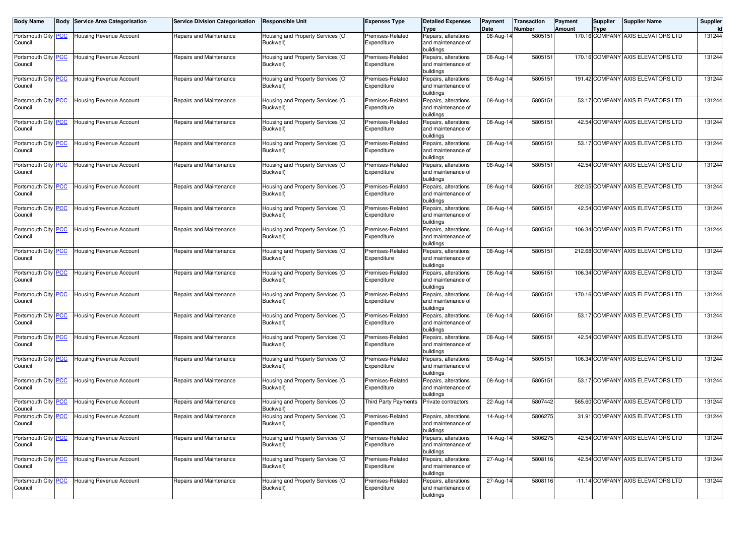| <b>Body Name</b>                      | <b>Body Service Area Categorisation</b> | <b>Service Division Categorisation</b> | <b>Responsible Unit</b>                       | <b>Expenses Type</b>            | <b>Detailed Expenses</b><br><b>Type</b>                              | Payment<br>Date | <b>Transaction</b><br>Number | Payment<br>Amount | <b>Supplier</b><br><b>Type</b> | <b>Supplier Name</b>              | Supplier |
|---------------------------------------|-----------------------------------------|----------------------------------------|-----------------------------------------------|---------------------------------|----------------------------------------------------------------------|-----------------|------------------------------|-------------------|--------------------------------|-----------------------------------|----------|
| Portsmouth City <b>PCC</b><br>Council | Housing Revenue Account                 | Repairs and Maintenance                | Housing and Property Services (O<br>Buckwell) | Premises-Related<br>Expenditure | Repairs, alterations<br>and maintenance of                           | 08-Aug-14       | 5805151                      |                   |                                | 170.16 COMPANY AXIS ELEVATORS LTD | 131244   |
| Portsmouth City <b>PCC</b><br>Council | Housing Revenue Account                 | Repairs and Maintenance                | Housing and Property Services (O<br>Buckwell) | Premises-Related<br>Expenditure | buildings<br>Repairs, alterations<br>and maintenance of<br>buildings | 08-Aug-14       | 5805151                      |                   |                                | 170.16 COMPANY AXIS ELEVATORS LTD | 131244   |
| Portsmouth City PCC<br>Council        | Housing Revenue Account                 | Repairs and Maintenance                | Housing and Property Services (O<br>Buckwell) | Premises-Related<br>Expenditure | Repairs, alterations<br>and maintenance of<br>buildings              | 08-Aug-14       | 5805151                      |                   |                                | 191.42 COMPANY AXIS ELEVATORS LTD | 131244   |
| Portsmouth City PCC<br>Council        | <b>Housing Revenue Account</b>          | Repairs and Maintenance                | Housing and Property Services (O<br>Buckwell) | Premises-Related<br>Expenditure | Repairs, alterations<br>and maintenance of<br>buildings              | 08-Aug-14       | 5805151                      |                   |                                | 53.17 COMPANY AXIS ELEVATORS LTD  | 131244   |
| Portsmouth City PCC<br>Council        | Housing Revenue Account                 | Repairs and Maintenance                | Housing and Property Services (O<br>Buckwell) | Premises-Related<br>Expenditure | Repairs, alterations<br>and maintenance of<br>buildings              | 08-Aug-14       | 5805151                      |                   |                                | 42.54 COMPANY AXIS ELEVATORS LTD  | 131244   |
| Portsmouth City PCC<br>Council        | Housing Revenue Account                 | Repairs and Maintenance                | Housing and Property Services (O<br>Buckwell) | Premises-Related<br>Expenditure | Repairs, alterations<br>and maintenance of<br>buildings              | 08-Aug-14       | 5805151                      |                   |                                | 53.17 COMPANY AXIS ELEVATORS LTD  | 131244   |
| Portsmouth City PCC<br>Council        | Housing Revenue Account                 | Repairs and Maintenance                | Housing and Property Services (O<br>Buckwell) | Premises-Related<br>Expenditure | Repairs, alterations<br>and maintenance of<br>buildings              | 08-Aug-14       | 5805151                      |                   |                                | 42.54 COMPANY AXIS ELEVATORS LTD  | 131244   |
| Portsmouth City PCC<br>Council        | Housing Revenue Account                 | Repairs and Maintenance                | Housing and Property Services (O<br>Buckwell) | Premises-Related<br>Expenditure | Repairs, alterations<br>and maintenance of<br>buildings              | 08-Aug-14       | 5805151                      |                   |                                | 202.05 COMPANY AXIS ELEVATORS LTD | 131244   |
| Portsmouth City PCC<br>Council        | Housing Revenue Account                 | Repairs and Maintenance                | Housing and Property Services (O<br>Buckwell) | Premises-Related<br>Expenditure | Repairs, alterations<br>and maintenance of<br>buildings              | 08-Aug-14       | 5805151                      |                   |                                | 42.54 COMPANY AXIS ELEVATORS LTD  | 131244   |
| Portsmouth City PCC<br>Council        | <b>Housing Revenue Account</b>          | Repairs and Maintenance                | Housing and Property Services (O<br>Buckwell) | Premises-Related<br>Expenditure | Repairs, alterations<br>and maintenance of<br>buildings              | 08-Aug-14       | 5805151                      |                   |                                | 106.34 COMPANY AXIS ELEVATORS LTD | 131244   |
| Portsmouth City PCC<br>Council        | <b>Housing Revenue Account</b>          | Repairs and Maintenance                | Housing and Property Services (O<br>Buckwell) | Premises-Related<br>Expenditure | Repairs, alterations<br>and maintenance of<br>buildings              | 08-Aug-14       | 5805151                      |                   |                                | 212.68 COMPANY AXIS ELEVATORS LTD | 131244   |
| Portsmouth City PCC<br>Council        | <b>Housing Revenue Account</b>          | Repairs and Maintenance                | Housing and Property Services (O<br>Buckwell) | Premises-Related<br>Expenditure | Repairs, alterations<br>and maintenance of<br>buildings              | 08-Aug-14       | 5805151                      |                   |                                | 106.34 COMPANY AXIS ELEVATORS LTD | 131244   |
| Portsmouth City PCC<br>Council        | Housing Revenue Account                 | Repairs and Maintenance                | Housing and Property Services (O<br>Buckwell) | Premises-Related<br>Expenditure | Repairs, alterations<br>and maintenance of<br>buildings              | 08-Aug-14       | 5805151                      |                   |                                | 170.16 COMPANY AXIS ELEVATORS LTD | 131244   |
| Portsmouth City PCC<br>Council        | Housing Revenue Account                 | Repairs and Maintenance                | Housing and Property Services (O<br>Buckwell) | Premises-Related<br>Expenditure | Repairs, alterations<br>and maintenance of<br>buildings              | 08-Aug-14       | 5805151                      |                   |                                | 53.17 COMPANY AXIS ELEVATORS LTD  | 131244   |
| Portsmouth City PCC<br>Council        | Housing Revenue Account                 | Repairs and Maintenance                | Housing and Property Services (O<br>Buckwell) | Premises-Related<br>Expenditure | Repairs, alterations<br>and maintenance of<br>buildings              | 08-Aug-14       | 5805151                      |                   |                                | 42.54 COMPANY AXIS ELEVATORS LTD  | 131244   |
| Portsmouth City PCC<br>Council        | Housing Revenue Account                 | Repairs and Maintenance                | Housing and Property Services (O<br>Buckwell) | Premises-Related<br>Expenditure | Repairs, alterations<br>and maintenance of<br>buildings              | 08-Aug-14       | 5805151                      |                   |                                | 106.34 COMPANY AXIS ELEVATORS LTD | 131244   |
| Portsmouth City PCC<br>Council        | <b>Housing Revenue Account</b>          | Repairs and Maintenance                | Housing and Property Services (O<br>Buckwell) | Premises-Related<br>Expenditure | Repairs, alterations<br>and maintenance of<br>buildings              | 08-Aug-14       | 5805151                      |                   |                                | 53.17 COMPANY AXIS ELEVATORS LTD  | 131244   |
| Portsmouth City PCC<br>Council        | Housing Revenue Account                 | Repairs and Maintenance                | Housing and Property Services (O<br>Buckwell) | <b>Third Party Payments</b>     | Private contractors                                                  | 22-Aug-14       | 5807442                      |                   |                                | 565.60 COMPANY AXIS ELEVATORS LTD | 131244   |
| Portsmouth City PCC<br>Council        | <b>Housing Revenue Account</b>          | Repairs and Maintenance                | Housing and Property Services (O<br>Buckwell) | Premises-Related<br>Expenditure | Repairs, alterations<br>and maintenance of<br>buildings              | 14-Aug-14       | 5806275                      |                   |                                | 31.91 COMPANY AXIS ELEVATORS LTD  | 131244   |
| Portsmouth City PCC<br>Council        | <b>Housing Revenue Account</b>          | Repairs and Maintenance                | Housing and Property Services (O<br>Buckwell) | Premises-Related<br>Expenditure | Repairs, alterations<br>and maintenance of<br>buildings              | 14-Aug-14       | 5806275                      |                   |                                | 42.54 COMPANY AXIS ELEVATORS LTD  | 131244   |
| Portsmouth City PCC<br>Council        | <b>Housing Revenue Account</b>          | Repairs and Maintenance                | Housing and Property Services (O<br>Buckwell) | Premises-Related<br>Expenditure | Repairs, alterations<br>and maintenance of<br>buildings              | $27$ -Aug-14    | 5808116                      |                   |                                | 42.54 COMPANY AXIS ELEVATORS LTD  | 131244   |
| Portsmouth City PCC<br>Council        | <b>Housing Revenue Account</b>          | Repairs and Maintenance                | Housing and Property Services (O<br>Buckwell) | Premises-Related<br>Expenditure | Repairs, alterations<br>and maintenance of<br>buildings              | $27$ -Aug-14    | 5808116                      |                   |                                | -11.14 COMPANY AXIS ELEVATORS LTD | 131244   |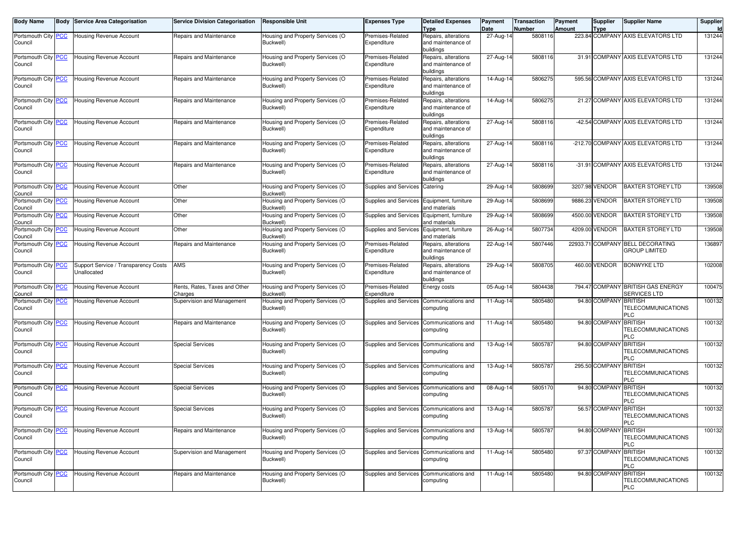| <b>Body Name</b>               | <b>Body Service Area Categorisation</b>             | <b>Service Division Categorisation</b>   | <b>Responsible Unit</b>                       | <b>Expenses Type</b>            | <b>Detailed Expenses</b><br>Type                        | Payment<br>Date         | <b>Transaction</b><br>Number | Payment<br>Amount | <b>Supplier</b><br>Type | <b>Supplier Name</b>                                     | Supplier<br>ld |
|--------------------------------|-----------------------------------------------------|------------------------------------------|-----------------------------------------------|---------------------------------|---------------------------------------------------------|-------------------------|------------------------------|-------------------|-------------------------|----------------------------------------------------------|----------------|
| Portsmouth City PCC<br>Council | <b>Housing Revenue Account</b>                      | Repairs and Maintenance                  | Housing and Property Services (O<br>Buckwell) | Premises-Related<br>Expenditure | Repairs, alterations<br>and maintenance of              | 27-Aug-14               | 5808116                      |                   |                         | 223.84 COMPANY AXIS ELEVATORS LTD                        | 131244         |
|                                |                                                     |                                          |                                               |                                 | buildings                                               |                         |                              |                   |                         |                                                          |                |
| Portsmouth City PCC<br>Council | Housing Revenue Account                             | Repairs and Maintenance                  | Housing and Property Services (O<br>Buckwell) | Premises-Related<br>Expenditure | Repairs, alterations<br>and maintenance of<br>buildings | 27-Aug-14               | 5808116                      |                   |                         | 31.91 COMPANY AXIS ELEVATORS LTD                         | 131244         |
| Portsmouth City PCC<br>Council | Housing Revenue Account                             | Repairs and Maintenance                  | Housing and Property Services (O<br>Buckwell) | Premises-Related<br>Expenditure | Repairs, alterations<br>and maintenance of<br>buildings | 14-Aug-14               | 5806275                      |                   |                         | 595.56 COMPANY AXIS ELEVATORS LTD                        | 131244         |
| Portsmouth City PCC<br>Council | Housing Revenue Account                             | Repairs and Maintenance                  | Housing and Property Services (O<br>Buckwell) | Premises-Related<br>Expenditure | Repairs, alterations<br>and maintenance of<br>buildings | 14-Aug-14               | 5806275                      |                   |                         | 21.27 COMPANY AXIS ELEVATORS LTD                         | 131244         |
| Portsmouth City PCC<br>Council | Housing Revenue Account                             | Repairs and Maintenance                  | Housing and Property Services (O<br>Buckwell) | Premises-Related<br>Expenditure | Repairs, alterations<br>and maintenance of<br>buildings | 27-Aug-14               | 5808116                      |                   |                         | -42.54 COMPANY AXIS ELEVATORS LTD                        | 131244         |
| Portsmouth City PCC<br>Council | Housing Revenue Account                             | Repairs and Maintenance                  | Housing and Property Services (O<br>Buckwell) | Premises-Related<br>Expenditure | Repairs, alterations<br>and maintenance of<br>buildings | 27-Aug-14               | 5808116                      |                   |                         | -212.70 COMPANY AXIS ELEVATORS LTD                       | 131244         |
| Portsmouth City PCC<br>Council | Housing Revenue Account                             | Repairs and Maintenance                  | Housing and Property Services (O<br>Buckwell) | Premises-Related<br>Expenditure | Repairs, alterations<br>and maintenance of<br>buildings | 27-Aug-14               | 5808116                      |                   |                         | -31.91 COMPANY AXIS ELEVATORS LTD                        | 131244         |
| Portsmouth City PCC<br>Council | Housing Revenue Account                             | Other                                    | Housing and Property Services (O<br>Buckwell) | Supplies and Services           | Catering                                                | 29-Aug-14               | 5808699                      |                   | 3207.98 VENDOR          | <b>BAXTER STOREY LTD</b>                                 | 139508         |
| Portsmouth City PCC<br>Council | Housing Revenue Account                             | Other                                    | Housing and Property Services (O<br>Buckwell) | Supplies and Services           | Equipment, furniture<br>and materials                   | 29-Aug-14               | 5808699                      |                   | 9886.23 VENDOR          | <b>BAXTER STOREY LTD</b>                                 | 139508         |
| Portsmouth City PCC<br>Council | <b>Housing Revenue Account</b>                      | Other                                    | Housing and Property Services (O<br>Buckwell) | Supplies and Services           | Equipment, furniture<br>and materials                   | 29-Aug-14               | 5808699                      |                   | 4500.00 VENDOR          | BAXTER STOREY LTD                                        | 139508         |
| Portsmouth City PCC<br>Council | Housing Revenue Account                             | Other                                    | Housing and Property Services (O<br>Buckwell) | Supplies and Services           | Equipment, furniture<br>and materials                   | 26-Aug-14               | 5807734                      |                   | 4209.00 VENDOR          | <b>BAXTER STOREY LTD</b>                                 | 139508         |
| Portsmouth City PCC<br>Council | <b>Housing Revenue Account</b>                      | Repairs and Maintenance                  | Housing and Property Services (O<br>Buckwell) | Premises-Related<br>Expenditure | Repairs, alterations<br>and maintenance of<br>buildings | 22-Aug-14               | 5807446                      |                   |                         | 22933.71 COMPANY BELL DECORATING<br><b>GROUP LIMITED</b> | 136897         |
| Portsmouth City PCC<br>Council | Support Service / Transparency Costs<br>Unallocated | <b>AMS</b>                               | Housing and Property Services (O<br>Buckwell) | Premises-Related<br>Expenditure | Repairs, alterations<br>and maintenance of<br>buildings | 29-Aug-14               | 5808705                      |                   | 460.00 VENDOR           | <b>BONWYKE LTD</b>                                       | 102008         |
| Portsmouth City PCC<br>Council | Housing Revenue Account                             | Rents, Rates, Taxes and Other<br>Charges | Housing and Property Services (O<br>Buckwell) | Premises-Related<br>Expenditure | Energy costs                                            | 05-Aug-14               | 5804438                      |                   |                         | 794.47 COMPANY BRITISH GAS ENERGY<br>SERVICES LTD        | 100475         |
| Portsmouth City PCC<br>Council | <b>Housing Revenue Account</b>                      | Supervision and Management               | Housing and Property Services (O<br>Buckwell) | Supplies and Services           | Communications and<br>computing                         | 11-Aug-14               | 5805480                      |                   | 94.80 COMPANY BRITISH   | TELECOMMUNICATIONS<br>PLC                                | 100132         |
| Portsmouth City PCC<br>Council | Housing Revenue Account                             | Repairs and Maintenance                  | Housing and Property Services (O<br>Buckwell) | Supplies and Services           | Communications and<br>computing                         | 11-Aug-14               | 5805480                      |                   | 94.80 COMPANY BRITISH   | TELECOMMUNICATIONS<br>PLC                                | 100132         |
| Portsmouth City PCC<br>Council | <b>Housing Revenue Account</b>                      | <b>Special Services</b>                  | Housing and Property Services (O<br>Buckwell) | Supplies and Services           | Communications and<br>computing                         | 13-Aug-14               | 5805787                      |                   | 94.80 COMPANY BRITISH   | TELECOMMUNICATIONS<br>PLC                                | 100132         |
| Portsmouth City PCC<br>Council | Housing Revenue Account                             | <b>Special Services</b>                  | Housing and Property Services (O<br>Buckwell) | Supplies and Services           | Communications and<br>computing                         | 13-Aug-14               | 5805787                      |                   | 295.50 COMPANY BRITISH  | TELECOMMUNICATIONS<br>PLC                                | 100132         |
| Portsmouth City PCC<br>Council | <b>Housing Revenue Account</b>                      | <b>Special Services</b>                  | Housing and Property Services (O<br>Buckwell) | Supplies and Services           | Communications and<br>computing                         | 08-Aug-14               | 5805170                      |                   | 94.80 COMPANY BRITISH   | TELECOMMUNICATIONS<br>PLC                                | 100132         |
| Portsmouth City PCC<br>Council | <b>Housing Revenue Account</b>                      | <b>Special Services</b>                  | Housing and Property Services (O<br>Buckwell) | Supplies and Services           | Communications and<br>computing                         | 13-Aug-14               | 5805787                      |                   | 56.57 COMPANY           | <b>BRITISH</b><br>TELECOMMUNICATIONS<br>PLC              | 100132         |
| Portsmouth City PCC<br>Council | Housing Revenue Account                             | Repairs and Maintenance                  | Housing and Property Services (O<br>Buckwell) | Supplies and Services           | Communications and<br>computing                         | $\overline{13}$ -Aug-14 | 5805787                      |                   | 94.80 COMPANY BRITISH   | TELECOMMUNICATIONS<br><b>PLC</b>                         | 100132         |
| Portsmouth City PCC<br>Council | <b>Housing Revenue Account</b>                      | Supervision and Management               | Housing and Property Services (O<br>Buckwell) | Supplies and Services           | Communications and<br>computing                         | 11-Aug-14               | 5805480                      |                   | 97.37 COMPANY BRITISH   | TELECOMMUNICATIONS<br><b>PLC</b>                         | 100132         |
| Portsmouth City PCC<br>Council | <b>Housing Revenue Account</b>                      | Repairs and Maintenance                  | Housing and Property Services (O<br>Buckwell) | Supplies and Services           | Communications and<br>computing                         | 11-Aug-14               | 5805480                      |                   | 94.80 COMPANY BRITISH   | TELECOMMUNICATIONS<br><b>PLC</b>                         | 100132         |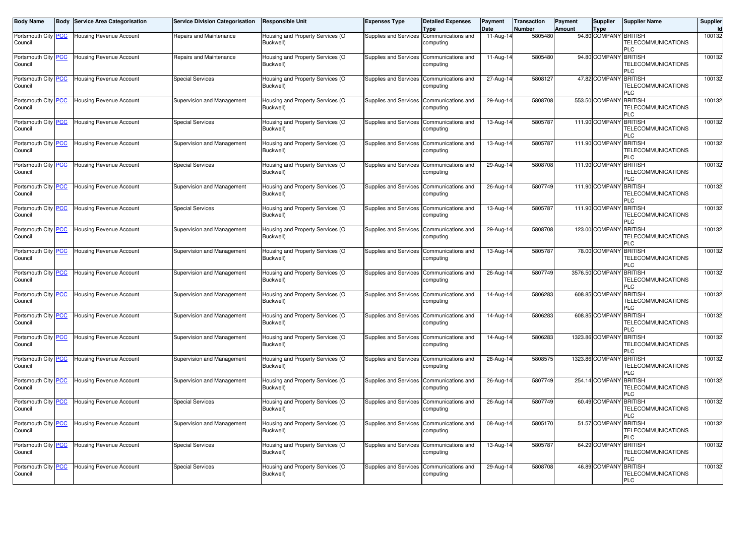| <b>Body Name</b>                      | <b>Body</b> | <b>Service Area Categorisation</b> | <b>Service Division Categorisation</b> | <b>Responsible Unit</b>                       | <b>Expenses Type</b>                     | <b>Detailed Expenses</b><br>Type | Payment<br>Date | Transaction<br>Number | Payment<br><b>Amount</b> | <b>Supplier</b><br><b>Type</b> | <b>Supplier Name</b>                                      | Supplier<br>Id |
|---------------------------------------|-------------|------------------------------------|----------------------------------------|-----------------------------------------------|------------------------------------------|----------------------------------|-----------------|-----------------------|--------------------------|--------------------------------|-----------------------------------------------------------|----------------|
| Portsmouth City PCC<br>Council        |             | <b>Housing Revenue Account</b>     | Repairs and Maintenance                | Housing and Property Services (O<br>Buckwell) | Supplies and Services                    | Communications and<br>computing  | 11-Aug-14       | 5805480               |                          | 94.80 COMPANY BRITISH          | TELECOMMUNICATIONS<br>PLC                                 | 100132         |
| Portsmouth City PCC<br>Council        |             | <b>Housing Revenue Account</b>     | Repairs and Maintenance                | Housing and Property Services (O<br>Buckwell) | Supplies and Services Communications and | computing                        | 11-Aug-14       | 5805480               |                          | 94.80 COMPANY BRITISH          | TELECOMMUNICATIONS<br>PLC                                 | 100132         |
| Portsmouth City PCC<br>Council        |             | <b>Housing Revenue Account</b>     | <b>Special Services</b>                | Housing and Property Services (O<br>Buckwell) | Supplies and Services                    | Communications and<br>computing  | 27-Aug-14       | 5808127               |                          | 47.82 COMPANY BRITISH          | TELECOMMUNICATIONS<br>PLC                                 | 100132         |
| Portsmouth City <b>PCC</b><br>Council |             | <b>Housing Revenue Account</b>     | Supervision and Management             | Housing and Property Services (O<br>Buckwell) | Supplies and Services                    | Communications and<br>computing  | 29-Aug-14       | 5808708               |                          | 553.50 COMPANY                 | <b>BRITISH</b><br>TELECOMMUNICATIONS<br>PLC               | 100132         |
| Portsmouth City PCC<br>Council        |             | Housing Revenue Account            | <b>Special Services</b>                | Housing and Property Services (O<br>Buckwell) | <b>Supplies and Services</b>             | Communications and<br>computing  | 13-Aug-14       | 5805787               |                          | 111.90 COMPANY                 | <b>BRITISH</b><br><b>TELECOMMUNICATIONS</b><br>PLC        | 100132         |
| Portsmouth City PCC<br>Council        |             | <b>Housing Revenue Account</b>     | Supervision and Management             | Housing and Property Services (O<br>Buckwell) | <b>Supplies and Services</b>             | Communications and<br>computing  | 13-Aug-14       | 5805787               |                          | 111.90 COMPANY                 | <b>BRITISH</b><br>TELECOMMUNICATIONS<br>PLC               | 100132         |
| Portsmouth City PCC<br>Council        |             | Housing Revenue Account            | <b>Special Services</b>                | Housing and Property Services (O<br>Buckwell) | Supplies and Services                    | Communications and<br>computing  | 29-Aug-14       | 5808708               |                          | 111.90 COMPANY BRITISH         | TELECOMMUNICATIONS<br>PLC                                 | 100132         |
| Portsmouth City PCC<br>Council        |             | <b>Housing Revenue Account</b>     | Supervision and Management             | Housing and Property Services (O<br>Buckwell) | <b>Supplies and Services</b>             | Communications and<br>computing  | $26$ -Aug-14    | 5807749               |                          | 111.90 COMPANY                 | <b>BRITISH</b><br><b>TELECOMMUNICATIONS</b><br>PLC        | 100132         |
| Portsmouth City PCC<br>Council        |             | <b>Housing Revenue Account</b>     | <b>Special Services</b>                | Housing and Property Services (O<br>Buckwell) | Supplies and Services Communications and | computing                        | 13-Aug-14       | 5805787               |                          | 111.90 COMPANY BRITISH         | TELECOMMUNICATIONS<br>PLC                                 | 100132         |
| Portsmouth City PCC<br>Council        |             | <b>Housing Revenue Account</b>     | Supervision and Management             | Housing and Property Services (O<br>Buckwell) | <b>Supplies and Services</b>             | Communications and<br>computing  | 29-Aug-14       | 5808708               |                          | 123.00 COMPANY                 | <b>BRITISH</b><br>TELECOMMUNICATIONS<br>PLC               | 100132         |
| Portsmouth City PCC<br>Council        |             | Housing Revenue Account            | Supervision and Management             | Housing and Property Services (O<br>Buckwell) | Supplies and Services                    | Communications and<br>computing  | 13-Aug-14       | 5805787               |                          | 78.00 COMPANY BRITISH          | TELECOMMUNICATIONS<br>PLC                                 | 100132         |
| Portsmouth City PCC<br>Council        |             | <b>Housing Revenue Account</b>     | Supervision and Management             | Housing and Property Services (O<br>Buckwell) | Supplies and Services                    | Communications and<br>computing  | 26-Aug-14       | 5807749               |                          | 3576.50 COMPANY                | <b>BRITISH</b><br><b>TELECOMMUNICATIONS</b><br>PLC        | 100132         |
| Portsmouth City PCC<br>Council        |             | Housing Revenue Account            | Supervision and Management             | Housing and Property Services (O<br>Buckwell) | Supplies and Services                    | Communications and<br>computing  | 14-Aug-14       | 5806283               |                          | 608.85 COMPANY                 | <b>BRITISH</b><br>TELECOMMUNICATIONS<br>PLC               | 100132         |
| Portsmouth City PCC<br>Council        |             | <b>Housing Revenue Account</b>     | Supervision and Management             | Housing and Property Services (O<br>Buckwell) | Supplies and Services                    | Communications and<br>computing  | 14-Aug-14       | 5806283               |                          | 608.85 COMPANY                 | <b>BRITISH</b><br>TELECOMMUNICATIONS<br>PLC.              | 100132         |
| Portsmouth City PCC<br>Council        |             | <b>Housing Revenue Account</b>     | Supervision and Management             | Housing and Property Services (O<br>Buckwell) | Supplies and Services Communications and | computing                        | 14-Aug-14       | 5806283               |                          | 1323.86 COMPANY                | <b>BRITISH</b><br>TELECOMMUNICATIONS<br>PLC               | 100132         |
| Portsmouth City PCC<br>Council        |             | <b>Housing Revenue Account</b>     | Supervision and Management             | Housing and Property Services (O<br>Buckwell) | Supplies and Services                    | Communications and<br>computing  | 28-Aug-14       | 5808575               |                          | 1323.86 COMPANY BRITISH        | <b>TELECOMMUNICATIONS</b><br>PLC                          | 100132         |
| Portsmouth City PCC<br>Council        |             | <b>Housing Revenue Account</b>     | Supervision and Management             | Housing and Property Services (O<br>Buckwell) | Supplies and Services                    | Communications and<br>computing  | 26-Aug-14       | 5807749               |                          | 254.14 COMPANY                 | <b>BRITISH</b><br>TELECOMMUNICATIONS<br>PLC               | 100132         |
| Portsmouth City PCC<br>Council        |             | <b>Housing Revenue Account</b>     | <b>Special Services</b>                | Housing and Property Services (O<br>Buckwell) | Supplies and Services                    | Communications and<br>computing  | 26-Aug-14       | 5807749               |                          | 60.49 COMPANY                  | <b>BRITISH</b><br>TELECOMMUNICATIONS<br>PLC               | 100132         |
| Portsmouth City PCC<br>Council        |             | <b>Housing Revenue Account</b>     | Supervision and Management             | Housing and Property Services (O<br>Buckwell) | Supplies and Services Communications and | computing                        | 08-Aug-14       | 5805170               |                          | 51.57 COMPANY                  | BRITISH<br>TELECOMMUNICATIONS<br>PLC                      | 100132         |
| Portsmouth City PCC<br>Council        |             | <b>Housing Revenue Account</b>     | <b>Special Services</b>                | Housing and Property Services (O<br>Buckwell) | <b>Supplies and Services</b>             | Communications and<br>computing  | 13-Aug-14       | 5805787               |                          | 64.29 COMPANY                  | <b>BRITISH</b><br>TELECOMMUNICATIONS<br>PLC               | 100132         |
| Portsmouth City PCC<br>Council        |             | <b>Housing Revenue Account</b>     | Special Services                       | Housing and Property Services (O<br>Buckwell) | Supplies and Services                    | Communications and<br>computing  | 29-Aug-14       | 5808708               |                          | 46.89 COMPANY                  | <b>BRITISH</b><br><b>TELECOMMUNICATIONS</b><br><b>PLC</b> | 100132         |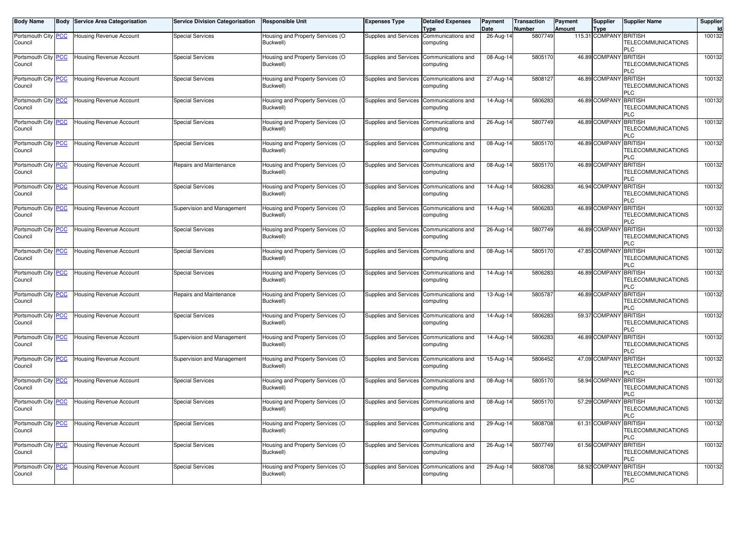| <b>Body Name</b>               | <b>Body</b> | <b>Service Area Categorisation</b> | <b>Service Division Categorisation</b> | <b>Responsible Unit</b>                       | <b>Expenses Type</b>                     | <b>Detailed Expenses</b><br>Type | Payment<br>Date | Transaction<br>Number | Payment<br><b>Amount</b> | <b>Supplier</b><br><b>Type</b> | <b>Supplier Name</b>                                      | Supplier<br>Id |
|--------------------------------|-------------|------------------------------------|----------------------------------------|-----------------------------------------------|------------------------------------------|----------------------------------|-----------------|-----------------------|--------------------------|--------------------------------|-----------------------------------------------------------|----------------|
| Portsmouth City PCC<br>Council |             | <b>Housing Revenue Account</b>     | <b>Special Services</b>                | Housing and Property Services (O<br>Buckwell) | Supplies and Services                    | Communications and<br>computing  | 26-Aug-14       | 5807749               |                          | 115.31 COMPANY BRITISH         | TELECOMMUNICATIONS<br>PLC                                 | 100132         |
| Portsmouth City PCC<br>Council |             | <b>Housing Revenue Account</b>     | <b>Special Services</b>                | Housing and Property Services (O<br>Buckwell) | Supplies and Services Communications and | computing                        | 08-Aug-14       | 5805170               |                          | 46.89 COMPANY BRITISH          | TELECOMMUNICATIONS<br>PLC                                 | 100132         |
| Portsmouth City PCC<br>Council |             | <b>Housing Revenue Account</b>     | Special Services                       | Housing and Property Services (O<br>Buckwell) | Supplies and Services                    | Communications and<br>computing  | 27-Aug-14       | 5808127               |                          | 46.89 COMPANY BRITISH          | TELECOMMUNICATIONS<br>PLC                                 | 100132         |
| Portsmouth City PCC<br>Council |             | <b>Housing Revenue Account</b>     | Special Services                       | Housing and Property Services (O<br>Buckwell) | Supplies and Services                    | Communications and<br>computing  | 14-Aug-14       | 5806283               |                          | 46.89 COMPANY BRITISH          | <b>TELECOMMUNICATIONS</b><br>PLC                          | 100132         |
| Portsmouth City PCC<br>Council |             | Housing Revenue Account            | <b>Special Services</b>                | Housing and Property Services (O<br>Buckwell) | <b>Supplies and Services</b>             | Communications and<br>computing  | 26-Aug-14       | 5807749               |                          | 46.89 COMPANY                  | <b>BRITISH</b><br><b>TELECOMMUNICATIONS</b><br>PLC        | 100132         |
| Portsmouth City PCC<br>Council |             | <b>Housing Revenue Account</b>     | <b>Special Services</b>                | Housing and Property Services (O<br>Buckwell) | Supplies and Services                    | Communications and<br>computing  | 08-Aug-14       | 5805170               |                          | 46.89 COMPANY                  | <b>BRITISH</b><br>TELECOMMUNICATIONS<br>PLC               | 100132         |
| Portsmouth City PCC<br>Council |             | Housing Revenue Account            | Repairs and Maintenance                | Housing and Property Services (O<br>Buckwell) | Supplies and Services                    | Communications and<br>computing  | 08-Aug-14       | 5805170               |                          | 46.89 COMPANY BRITISH          | TELECOMMUNICATIONS<br>PLC                                 | 100132         |
| Portsmouth City PCC<br>Council |             | <b>Housing Revenue Account</b>     | <b>Special Services</b>                | Housing and Property Services (O<br>Buckwell) | <b>Supplies and Services</b>             | Communications and<br>computing  | 14-Aug-14       | 5806283               |                          | 46.94 COMPANY                  | <b>BRITISH</b><br><b>TELECOMMUNICATIONS</b><br>PLC        | 100132         |
| Portsmouth City PCC<br>Council |             | <b>Housing Revenue Account</b>     | Supervision and Management             | Housing and Property Services (O<br>Buckwell) | Supplies and Services Communications and | computing                        | 14-Aug-14       | 5806283               |                          | 46.89 COMPANY BRITISH          | TELECOMMUNICATIONS<br>PLC                                 | 100132         |
| Portsmouth City PCC<br>Council |             | <b>Housing Revenue Account</b>     | <b>Special Services</b>                | Housing and Property Services (O<br>Buckwell) | <b>Supplies and Services</b>             | Communications and<br>computing  | 26-Aug-14       | 5807749               |                          | 46.89 COMPANY                  | <b>BRITISH</b><br>TELECOMMUNICATIONS<br>PLC               | 100132         |
| Portsmouth City PCC<br>Council |             | <b>Housing Revenue Account</b>     | <b>Special Services</b>                | Housing and Property Services (O<br>Buckwell) | Supplies and Services                    | Communications and<br>computing  | 08-Aug-14       | 5805170               |                          | 47.85 COMPANY BRITISH          | TELECOMMUNICATIONS<br>PLC                                 | 100132         |
| Portsmouth City PCC<br>Council |             | <b>Housing Revenue Account</b>     | <b>Special Services</b>                | Housing and Property Services (O<br>Buckwell) | Supplies and Services                    | Communications and<br>computing  | 14-Aug-14       | 5806283               |                          | 46.89 COMPANY                  | <b>BRITISH</b><br>TELECOMMUNICATIONS<br>PLC               | 100132         |
| Portsmouth City PCC<br>Council |             | Housing Revenue Account            | Repairs and Maintenance                | Housing and Property Services (O<br>Buckwell) | Supplies and Services                    | Communications and<br>computing  | 13-Aug-14       | 5805787               |                          | 46.89 COMPANY                  | <b>BRITISH</b><br>TELECOMMUNICATIONS<br>PLC               | 100132         |
| Portsmouth City PCC<br>Council |             | <b>Housing Revenue Account</b>     | <b>Special Services</b>                | Housing and Property Services (O<br>Buckwell) | Supplies and Services                    | Communications and<br>computing  | 14-Aug-14       | 5806283               |                          | 59.37 COMPANY                  | <b>BRITISH</b><br>TELECOMMUNICATIONS<br>PLC               | 100132         |
| Portsmouth City PCC<br>Council |             | <b>Housing Revenue Account</b>     | Supervision and Management             | Housing and Property Services (O<br>Buckwell) | Supplies and Services Communications and | computing                        | 14-Aug-14       | 5806283               |                          | 46.89 COMPANY BRITISH          | <b>TELECOMMUNICATIONS</b><br>PLC                          | 100132         |
| Portsmouth City PCC<br>Council |             | <b>Housing Revenue Account</b>     | Supervision and Management             | Housing and Property Services (O<br>Buckwell) | Supplies and Services                    | Communications and<br>computing  | 15-Aug-14       | 5806452               |                          | 47.09 COMPANY BRITISH          | <b>TELECOMMUNICATIONS</b><br>PLC                          | 100132         |
| Portsmouth City PCC<br>Council |             | <b>Housing Revenue Account</b>     | <b>Special Services</b>                | Housing and Property Services (O<br>Buckwell) | Supplies and Services                    | Communications and<br>computing  | 08-Aug-14       | 5805170               |                          | 58.94 COMPANY                  | <b>BRITISH</b><br>TELECOMMUNICATIONS<br>PLC               | 100132         |
| Portsmouth City PCC<br>Council |             | Housing Revenue Account            | <b>Special Services</b>                | Housing and Property Services (O<br>Buckwell) | Supplies and Services                    | Communications and<br>computing  | 08-Aug-14       | 5805170               |                          | 57.29 COMPANY BRITISH          | TELECOMMUNICATIONS<br>PLC                                 | 100132         |
| Portsmouth City PCC<br>Council |             | <b>Housing Revenue Account</b>     | Special Services                       | Housing and Property Services (O<br>Buckwell) | Supplies and Services Communications and | computing                        | 29-Aug-14       | 5808708               |                          | 61.31 COMPANY BRITISH          | TELECOMMUNICATIONS<br>PLC                                 | 100132         |
| Portsmouth City PCC<br>Council |             | <b>Housing Revenue Account</b>     | <b>Special Services</b>                | Housing and Property Services (O<br>Buckwell) | <b>Supplies and Services</b>             | Communications and<br>computing  | 26-Aug-14       | 5807749               |                          | 61.56 COMPANY                  | <b>BRITISH</b><br>TELECOMMUNICATIONS<br>PLC               | 100132         |
| Portsmouth City PCC<br>Council |             | <b>Housing Revenue Account</b>     | Special Services                       | Housing and Property Services (O<br>Buckwell) | Supplies and Services                    | Communications and<br>computing  | 29-Aug-14       | 5808708               |                          | 58.92 COMPANY                  | <b>BRITISH</b><br><b>TELECOMMUNICATIONS</b><br><b>PLC</b> | 100132         |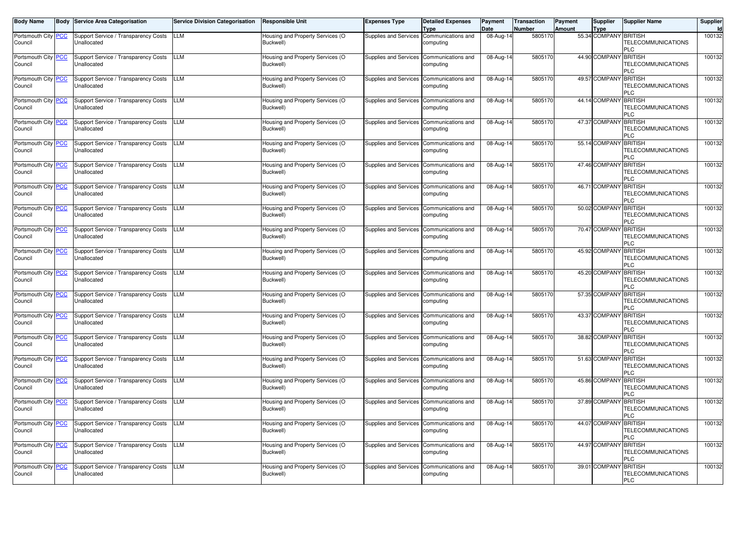| <b>Body Name</b>               | <b>Body Service Area Categorisation</b>             | <b>Service Division Categorisation</b> | <b>Responsible Unit</b>                       | <b>Expenses Type</b>         | <b>Detailed Expenses</b><br>Type | Payment<br>Date         | <b>Transaction</b><br>Number | <b>Payment</b><br><b>Amount</b> | <b>Supplier</b><br><b>Type</b> | <b>Supplier Name</b>                                      | Supplier<br>Id |
|--------------------------------|-----------------------------------------------------|----------------------------------------|-----------------------------------------------|------------------------------|----------------------------------|-------------------------|------------------------------|---------------------------------|--------------------------------|-----------------------------------------------------------|----------------|
| Portsmouth City PCC<br>Council | Support Service / Transparency Costs<br>Unallocated | <b>LLM</b>                             | Housing and Property Services (O<br>Buckwell) | <b>Supplies and Services</b> | Communications and<br>computing  | 08-Aug-14               | 5805170                      |                                 | 55.34 COMPANY                  | <b>BRITISH</b><br>TELECOMMUNICATIONS<br>PLC               | 100132         |
| Portsmouth City PCC<br>Council | Support Service / Transparency Costs<br>Unallocated | <b>LLM</b>                             | Housing and Property Services (O<br>Buckwell) | <b>Supplies and Services</b> | Communications and<br>computing  | 08-Aug-14               | 5805170                      |                                 | 44.90 COMPANY                  | <b>BRITISH</b><br>TELECOMMUNICATIONS<br>PLC               | 100132         |
| Portsmouth City PCC<br>Council | Support Service / Transparency Costs<br>Unallocated | <b>LLM</b>                             | Housing and Property Services (O<br>Buckwell) | <b>Supplies and Services</b> | Communications and<br>computing  | 08-Aug-14               | 5805170                      |                                 | 49.57 COMPANY BRITISH          | <b>TELECOMMUNICATIONS</b><br>ገር                           | 100132         |
| Portsmouth City PCC<br>Council | Support Service / Transparency Costs<br>Unallocated | <b>LLM</b>                             | Housing and Property Services (O<br>Buckwell) | Supplies and Services        | Communications and<br>computing  | 08-Aug-14               | 5805170                      |                                 | 44.14 COMPANY BRITISH          | <b>TELECOMMUNICATIONS</b><br>PLC                          | 100132         |
| Portsmouth City PCC<br>Council | Support Service / Transparency Costs<br>Unallocated | <b>LLM</b>                             | Housing and Property Services (O<br>Buckwell) | <b>Supplies and Services</b> | Communications and<br>computing  | 08-Aug-14               | 5805170                      |                                 | 47.37 COMPANY BRITISH          | <b>TELECOMMUNICATIONS</b><br>PLC                          | 100132         |
| Portsmouth City PCC<br>Council | Support Service / Transparency Costs<br>Unallocated | <b>LLM</b>                             | Housing and Property Services (O<br>Buckwell) | <b>Supplies and Services</b> | Communications and<br>computing  | 08-Aug-14               | 5805170                      |                                 | 55.14 COMPANY BRITISH          | <b>TELECOMMUNICATIONS</b><br>PLC                          | 100132         |
| Portsmouth City PCC<br>Council | Support Service / Transparency Costs<br>Unallocated | <b>LLM</b>                             | Housing and Property Services (O<br>Buckwell) | <b>Supplies and Services</b> | Communications and<br>computing  | 08-Aug-14               | 5805170                      |                                 | 47.46 COMPANY BRITISH          | <b>TELECOMMUNICATIONS</b><br>PLC                          | 100132         |
| Portsmouth City PCC<br>Council | Support Service / Transparency Costs<br>Unallocated | <b>LLM</b>                             | Housing and Property Services (O<br>Buckwell) | <b>Supplies and Services</b> | Communications and<br>computing  | 08-Aug-14               | 5805170                      |                                 | 46.71 COMPANY                  | <b>BRITISH</b><br>TELECOMMUNICATIONS<br>PLC               | 100132         |
| Portsmouth City PCC<br>Council | Support Service / Transparency Costs<br>Unallocated | <b>LLM</b>                             | Housing and Property Services (O<br>Buckwell) | Supplies and Services        | Communications and<br>computing  | 08-Aug-14               | 5805170                      |                                 | 50.02 COMPANY                  | <b>BRITISH</b><br>TELECOMMUNICATIONS<br>PLC               | 100132         |
| Portsmouth City PCC<br>Council | Support Service / Transparency Costs<br>Unallocated | <b>LLM</b>                             | Housing and Property Services (O<br>Buckwell) | <b>Supplies and Services</b> | Communications and<br>computing  | 08-Aug-14               | 5805170                      |                                 | 70.47 COMPANY                  | <b>BRITISH</b><br>TELECOMMUNICATIONS<br>PLC               | 100132         |
| Portsmouth City PCC<br>Council | Support Service / Transparency Costs<br>Unallocated | LLM                                    | Housing and Property Services (O<br>Buckwell) | Supplies and Services        | Communications and<br>computing  | 08-Aug-14               | 5805170                      |                                 | 45.92 COMPANY BRITISH          | TELECOMMUNICATIONS<br>PLC                                 | 100132         |
| Portsmouth City PCC<br>Council | Support Service / Transparency Costs<br>Unallocated | <b>LLM</b>                             | Housing and Property Services (O<br>Buckwell) | <b>Supplies and Services</b> | Communications and<br>computing  | 08-Aug-14               | 580517                       |                                 | 45.20 COMPANY                  | <b>BRITISH</b><br><b>TELECOMMUNICATIONS</b><br>PLC        | 100132         |
| Portsmouth City PCC<br>Council | Support Service / Transparency Costs<br>Unallocated | <b>LLM</b>                             | Housing and Property Services (O<br>Buckwell) | <b>Supplies and Services</b> | Communications and<br>computing  | 08-Aug-14               | 5805170                      |                                 | 57.35 COMPANY                  | <b>BRITISH</b><br>TELECOMMUNICATIONS<br>PLC               | 100132         |
| Portsmouth City PCC<br>Council | Support Service / Transparency Costs<br>Jnallocated | <b>LLM</b>                             | Housing and Property Services (O<br>Buckwell) | <b>Supplies and Services</b> | Communications and<br>computing  | 08-Aug-14               | 5805170                      |                                 | 43.37 COMPANY                  | <b>BRITISH</b><br>TELECOMMUNICATIONS<br>PLC               | 100132         |
| Portsmouth City PCC<br>Council | Support Service / Transparency Costs<br>Unallocated | <b>LLM</b>                             | Housing and Property Services (O<br>Buckwell) | Supplies and Services        | Communications and<br>computing  | $\overline{0}$ 8-Aug-14 | 5805170                      |                                 | 38.82 COMPANY BRITISH          | TELECOMMUNICATIONS<br>PLC                                 | 100132         |
| Portsmouth City PCC<br>Council | Support Service / Transparency Costs<br>Unallocated | <b>LLM</b>                             | Housing and Property Services (O<br>Buckwell) | <b>Supplies and Services</b> | Communications and<br>computing  | 08-Aug-14               | 5805170                      |                                 | 51.63 COMPANY BRITISH          | <b>TELECOMMUNICATIONS</b><br>PLC                          | 100132         |
| Portsmouth City PCC<br>Council | Support Service / Transparency Costs<br>Unallocated | <b>LLM</b>                             | Housing and Property Services (O<br>Buckwell) | <b>Supplies and Services</b> | Communications and<br>computing  | 08-Aug-14               | 5805170                      |                                 | 45.86 COMPANY BRITISH          | TELECOMMUNICATIONS<br>PLC                                 | 100132         |
| Portsmouth City PCC<br>Council | Support Service / Transparency Costs<br>Jnallocated | <b>LLM</b>                             | Housing and Property Services (O<br>Buckwell) | <b>Supplies and Services</b> | Communications and<br>computing  | 08-Aug-14               | 5805170                      |                                 | 37.89 COMPANY BRITISH          | TELECOMMUNICATIONS<br>PLC                                 | 100132         |
| Portsmouth City PCC<br>Council | Support Service / Transparency Costs<br>Unallocated | LLM                                    | Housing and Property Services (O<br>Buckwell) | <b>Supplies and Services</b> | Communications and<br>computing  | 08-Aug-14               | 5805170                      |                                 | 44.07 COMPANY BRITISH          | <b>TELECOMMUNICATIONS</b><br>PLC                          | 100132         |
| Portsmouth City PCC<br>Council | Support Service / Transparency Costs<br>Unallocated | <b>LLM</b>                             | Housing and Property Services (O<br>Buckwell) | <b>Supplies and Services</b> | Communications and<br>computing  | 08-Aug-14               | 5805170                      |                                 | 44.97 COMPANY BRITISH          | <b>TELECOMMUNICATIONS</b><br>PLC                          | 100132         |
| Portsmouth City PCC<br>Council | Support Service / Transparency Costs<br>Unallocated | LLM                                    | Housing and Property Services (O<br>Buckwell) | Supplies and Services        | Communications and<br>computing  | 08-Aug-14               | 5805170                      |                                 | 39.01 COMPANY                  | <b>BRITISH</b><br><b>TELECOMMUNICATIONS</b><br><b>PLC</b> | 100132         |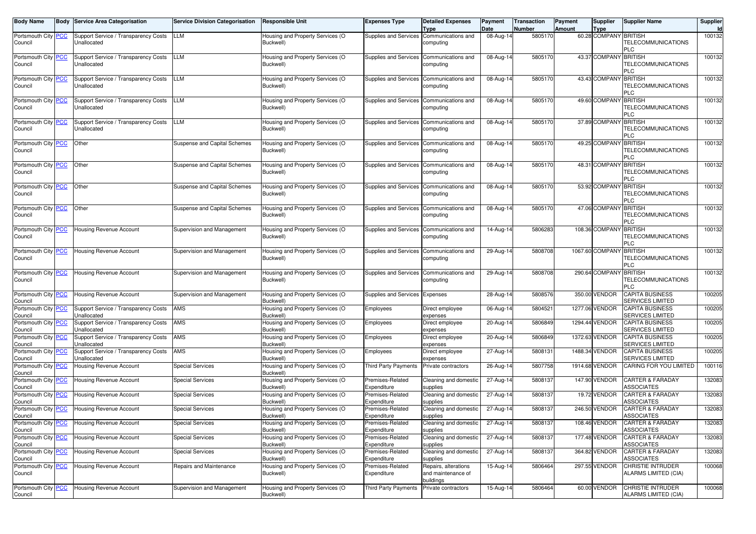| <b>Body Name</b>                      | <b>Body Service Area Categorisation</b>             | <b>Service Division Categorisation</b> | <b>Responsible Unit</b>                       | Expenses Type                   | <b>Detailed Expenses</b><br><b>Type</b>    | Payment<br>Date         | <b>Transaction</b><br>Number | Payment<br><b>Amount</b> | Supplier<br><b>Type</b> | <b>Supplier Name</b>                             | Supplier<br>Id |
|---------------------------------------|-----------------------------------------------------|----------------------------------------|-----------------------------------------------|---------------------------------|--------------------------------------------|-------------------------|------------------------------|--------------------------|-------------------------|--------------------------------------------------|----------------|
| Portsmouth City PCC                   | Support Service / Transparency Costs                | LLM                                    | Housing and Property Services (O              | Supplies and Services           | Communications and                         | 08-Aug-14               | 5805170                      |                          | 60.28 COMPANY BRITISH   |                                                  | 100132         |
| Council                               | Unallocated                                         |                                        | Buckwell)                                     |                                 | computing                                  |                         |                              |                          |                         | <b>TELECOMMUNICATIONS</b><br>PLC                 |                |
| Portsmouth City PCC                   | Support Service / Transparency Costs                | LLM                                    | Housing and Property Services (O              | Supplies and Services           | Communications and                         | 08-Aug-14               | 5805170                      |                          | 43.37 COMPANY BRITISH   |                                                  | 100132         |
| Council                               | Unallocated                                         |                                        | Buckwell)                                     |                                 | computing                                  |                         |                              |                          |                         | TELECOMMUNICATIONS<br>PLC                        |                |
| Portsmouth City PCC                   | Support Service / Transparency Costs                | LLM                                    | Housing and Property Services (O              | <b>Supplies and Services</b>    | Communications and                         | $\overline{08}$ -Aug-14 | 5805170                      |                          | 43.43 COMPANY           | <b>BRITISH</b>                                   | 100132         |
| Council                               | Unallocated                                         |                                        | Buckwell)                                     |                                 | computing                                  |                         |                              |                          |                         | TELECOMMUNICATIONS<br>PLC                        |                |
| Portsmouth City PCC                   | Support Service / Transparency Costs                | LLM                                    | Housing and Property Services (O              | Supplies and Services           | Communications and                         | 08-Aug-14               | 5805170                      |                          | 49.60 COMPANY BRITISH   |                                                  | 100132         |
| Council                               | Unallocated                                         |                                        | Buckwell)                                     |                                 | computing                                  |                         |                              |                          |                         | <b>TELECOMMUNICATIONS</b><br>PLC                 |                |
| Portsmouth City PCC                   | Support Service / Transparency Costs                | LLM                                    | Housing and Property Services (O              | Supplies and Services           | Communications and                         | 08-Aug-14               | 5805170                      |                          | 37.89 COMPANY           | <b>BRITISH</b>                                   | 100132         |
| Council                               | Unallocated                                         |                                        | Buckwell)                                     |                                 | computing                                  |                         |                              |                          |                         | TELECOMMUNICATIONS<br>PLC                        |                |
| Portsmouth City PCC                   | Other                                               | Suspense and Capital Schemes           | Housing and Property Services (O              | Supplies and Services           | Communications and                         | $\overline{08}$ -Aug-14 | 5805170                      |                          | 49.25 COMPANY           | <b>BRITISH</b>                                   | 100132         |
| Council                               |                                                     |                                        | Buckwell)                                     |                                 | computing                                  |                         |                              |                          |                         | TELECOMMUNICATIONS<br>PLC                        |                |
| Portsmouth City PCC                   | Other                                               | Suspense and Capital Schemes           | Housing and Property Services (O              | Supplies and Services           | Communications and                         | 08-Aug-14               | 5805170                      |                          | 48.31 COMPANY BRITISH   |                                                  | 100132         |
| Council                               |                                                     |                                        | Buckwell)                                     |                                 | computing                                  |                         |                              |                          |                         | <b>TELECOMMUNICATIONS</b><br>PLC                 |                |
| Portsmouth City PCC                   | Other                                               | Suspense and Capital Schemes           | Housing and Property Services (O              | <b>Supplies and Services</b>    | Communications and                         | 08-Aug-14               | 5805170                      |                          | 53.92 COMPANY           | <b>BRITISH</b>                                   | 100132         |
| Council                               |                                                     |                                        | Buckwell)                                     |                                 | computing                                  |                         |                              |                          |                         | <b>TELECOMMUNICATIONS</b><br>PLC                 |                |
| Portsmouth City PCC                   | Other                                               | Suspense and Capital Schemes           | Housing and Property Services (O              | Supplies and Services           | Communications and                         | $\overline{08}$ -Aug-14 | 5805170                      |                          | 47.06 COMPANY           | <b>BRITISH</b>                                   | 100132         |
| Council                               |                                                     |                                        | Buckwell)                                     |                                 | computing                                  |                         |                              |                          |                         | <b>TELECOMMUNICATIONS</b><br>PLC                 |                |
| Portsmouth City PCC                   | Housing Revenue Account                             | Supervision and Management             | Housing and Property Services (O              | Supplies and Services           | Communications and                         | 14-Aug-14               | 5806283                      |                          | 108.36 COMPANY BRITISH  |                                                  | 100132         |
| Council                               |                                                     |                                        | Buckwell)                                     |                                 | computing                                  |                         |                              |                          |                         | TELECOMMUNICATIONS<br>PLC                        |                |
| Portsmouth City PCC                   | <b>Housing Revenue Account</b>                      | Supervision and Management             | Housing and Property Services (O              | <b>Supplies and Services</b>    | Communications and                         | $29$ -Aug-14            | 5808708                      |                          | 1067.60 COMPANY         | <b>BRITISH</b>                                   | 100132         |
| Council                               |                                                     |                                        | Buckwell)                                     |                                 | computing                                  |                         |                              |                          |                         | TELECOMMUNICATIONS<br>PLC                        |                |
| Portsmouth City PCC                   | Housing Revenue Account                             | Supervision and Management             | Housing and Property Services (O              | Supplies and Services           | Communications and                         | 29-Aug-14               | 5808708                      |                          | 290.64 COMPANY          | <b>BRITISH</b>                                   | 100132         |
| Council                               |                                                     |                                        | Buckwell)                                     |                                 | computing                                  |                         |                              |                          |                         | <b>TELECOMMUNICATIONS</b><br>PLC                 |                |
| Portsmouth City PCC                   | Housing Revenue Account                             | Supervision and Management             | Housing and Property Services (O              | Supplies and Services           | Expenses                                   | 28-Aug-14               | 5808576                      |                          | 350.00 VENDOR           | <b>CAPITA BUSINESS</b>                           | 100205         |
| Council                               |                                                     |                                        | Buckwell)                                     |                                 |                                            |                         |                              |                          |                         | <b>SERVICES LIMITED</b>                          |                |
| Portsmouth City PCC                   | Support Service / Transparency Costs                | AMS                                    | Housing and Property Services (O              | Employees                       | Direct employee                            | 06-Aug-14               | 5804521                      |                          | 1277.06 VENDOR          | <b>CAPITA BUSINESS</b>                           | 100205         |
| Council                               | Unallocated                                         |                                        | Buckwell)                                     |                                 | expenses                                   |                         |                              |                          |                         | <b>SERVICES LIMITED</b>                          |                |
| Portsmouth City <b>PCC</b><br>Council | Support Service / Transparency Costs<br>Unallocated | AMS                                    | Housing and Property Services (O<br>Buckwell) | Employees                       | Direct employee<br>expenses                | 20-Aug-14               | 5806849                      |                          | 1294.44 VENDOR          | <b>CAPITA BUSINESS</b><br>SERVICES LIMITED       | 100205         |
| Portsmouth City PCC                   | Support Service / Transparency Costs                | AMS                                    | Housing and Property Services (O              | Employees                       | Direct employee                            | 20-Aug-14               | 5806849                      |                          | 1372.63 VENDOR          | <b>CAPITA BUSINESS</b>                           | 100205         |
| Council                               | Unallocated                                         |                                        | Buckwell)                                     |                                 | expenses                                   |                         |                              |                          |                         | <b>SERVICES LIMITED</b>                          |                |
| Portsmouth City PCC<br>Council        | Support Service / Transparency Costs<br>Unallocated | AMS                                    | Housing and Property Services (O<br>Buckwell) | Employees                       | Direct employee<br>expenses                | 27-Aug-14               | 5808131                      |                          | 1488.34 VENDOR          | CAPITA BUSINESS<br><b>SERVICES LIMITED</b>       | 100205         |
| Portsmouth City PCC<br>Council        | Housing Revenue Account                             | <b>Special Services</b>                | Housing and Property Services (O<br>Buckwell) | Third Party Payments            | Private contractors                        | 26-Aug-14               | 5807758                      |                          | 1914.68 VENDOR          | CARING FOR YOU LIMITED                           | 100116         |
| Portsmouth City PCC<br>Council        | Housing Revenue Account                             | <b>Special Services</b>                | Housing and Property Services (O<br>Buckwell) | Premises-Related<br>Expenditure | Cleaning and domestic<br>supplies          | 27-Aug-14               | 5808137                      |                          | 147.90 VENDOR           | <b>CARTER &amp; FARADAY</b><br><b>ASSOCIATES</b> | 132083         |
| Portsmouth City PCC<br>Council        | Housing Revenue Account                             | <b>Special Services</b>                | Housing and Property Services (O<br>Buckwell) | Premises-Related<br>Expenditure | Cleaning and domestic<br>supplies          | 27-Aug-14               | 5808137                      |                          | 19.72 VENDOR            | <b>CARTER &amp; FARADAY</b><br><b>ASSOCIATES</b> | 132083         |
| Portsmouth City PCC<br>Council        | Housing Revenue Account                             | <b>Special Services</b>                | Housing and Property Services (O<br>Buckwell) | Premises-Related<br>Expenditure | Cleaning and domestic<br>supplies          | 27-Aug-14               | 5808137                      |                          | 246.50 VENDOR           | <b>CARTER &amp; FARADAY</b><br><b>ASSOCIATES</b> | 132083         |
| Portsmouth City <b>PCC</b><br>Council | Housing Revenue Account                             | <b>Special Services</b>                | Housing and Property Services (O<br>Buckwell) | Premises-Related<br>Expenditure | Cleaning and domestic<br>supplies          | 27-Aug-14               | 5808137                      |                          | 108.46 VENDOR           | CARTER & FARADAY<br><b>ASSOCIATES</b>            | 132083         |
| Portsmouth City PCC                   | Housing Revenue Account                             | <b>Special Services</b>                | Housing and Property Services (O              | Premises-Related                | Cleaning and domestic                      | $27$ -Aug-14            | 5808137                      |                          | 177.48 VENDOR           | <b>CARTER &amp; FARADAY</b>                      | 132083         |
| Council<br>Portsmouth City PCC        | Housing Revenue Account                             | <b>Special Services</b>                | Buckwell)<br>Housing and Property Services (O | Expenditure<br>Premises-Related | supplies<br>Cleaning and domestic          | 27-Aug-14               | 5808137                      |                          | 364.82 VENDOR           | <b>ASSOCIATES</b><br>CARTER & FARADAY            | 132083         |
| Council                               |                                                     |                                        | Buckwell)                                     | Expenditure                     | supplies                                   |                         |                              |                          |                         | <b>ASSOCIATES</b>                                |                |
| Portsmouth City PCC<br>Council        | Housing Revenue Account                             | Repairs and Maintenance                | Housing and Property Services (O<br>Buckwell) | Premises-Related<br>Expenditure | Repairs, alterations<br>and maintenance of | 15-Aug-14               | 5806464                      |                          | 297.55 VENDOR           | <b>CHRISTIE INTRUDER</b><br>ALARMS LIMITED (CIA) | 100068         |
| Portsmouth City PCC                   | Housing Revenue Account                             | Supervision and Management             | Housing and Property Services (O              | <b>Third Party Payments</b>     | buildings<br>Private contractors           | 15-Aug-14               | 5806464                      |                          | 60.00 VENDOR            | <b>CHRISTIE INTRUDER</b>                         | 100068         |
| Council                               |                                                     |                                        | Buckwell)                                     |                                 |                                            |                         |                              |                          |                         | ALARMS LIMITED (CIA)                             |                |
|                                       |                                                     |                                        |                                               |                                 |                                            |                         |                              |                          |                         |                                                  |                |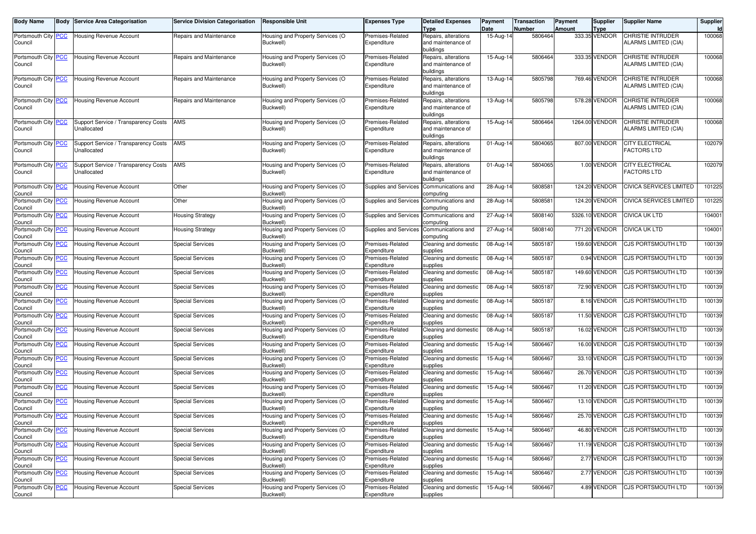| <b>Body Name</b>               | <b>Body Service Area Categorisation</b>             | <b>Service Division Categorisation</b> | <b>Responsible Unit</b>                       | <b>Expenses Type</b>            | <b>Detailed Expenses</b>                   | Payment                 | <b>Transaction</b> | Payment       | Supplier              | <b>Supplier Name</b>      | Supplier     |
|--------------------------------|-----------------------------------------------------|----------------------------------------|-----------------------------------------------|---------------------------------|--------------------------------------------|-------------------------|--------------------|---------------|-----------------------|---------------------------|--------------|
|                                | Housing Revenue Account                             | Repairs and Maintenance                | Housing and Property Services (O              | Premises-Related                | Type                                       | Date                    | Number<br>5806464  | <b>Amount</b> | Type<br>333.35 VENDOR | CHRISTIE INTRUDER         | Id<br>100068 |
| Portsmouth City PCC<br>Council |                                                     |                                        | Buckwell)                                     | Expenditure                     | Repairs, alterations<br>and maintenance of | 15-Aug-14               |                    |               |                       | ALARMS LIMITED (CIA)      |              |
|                                |                                                     |                                        |                                               |                                 | buildings                                  |                         |                    |               |                       |                           |              |
| Portsmouth City PCC            | <b>Housing Revenue Account</b>                      | Repairs and Maintenance                | Housing and Property Services (O              | Premises-Related                | Repairs, alterations                       | 15-Aug-14               | 5806464            |               | 333.35 VENDOR         | <b>CHRISTIE INTRUDER</b>  | 100068       |
| Council                        |                                                     |                                        | Buckwell)                                     | Expenditure                     | and maintenance of                         |                         |                    |               |                       | ALARMS LIMITED (CIA)      |              |
|                                |                                                     |                                        |                                               |                                 | buildings                                  |                         |                    |               |                       |                           |              |
| Portsmouth City PCC            | Housing Revenue Account                             | Repairs and Maintenance                | Housing and Property Services (O              | Premises-Related                | Repairs, alterations                       | 13-Aug-14               | 5805798            |               | 769.46 VENDOR         | <b>CHRISTIE INTRUDER</b>  | 100068       |
| Council                        |                                                     |                                        | Buckwell)                                     | Expenditure                     | and maintenance of                         |                         |                    |               |                       | ALARMS LIMITED (CIA)      |              |
|                                |                                                     |                                        |                                               |                                 | buildings                                  |                         |                    |               |                       |                           |              |
| Portsmouth City PCC            | Housing Revenue Account                             | Repairs and Maintenance                | Housing and Property Services (O              | Premises-Related                | Repairs, alterations                       | 13-Aug-14               | 5805798            |               | 578.28 VENDOR         | <b>CHRISTIE INTRUDER</b>  | 100068       |
| Council                        |                                                     |                                        | Buckwell)                                     | Expenditure                     | and maintenance of                         |                         |                    |               |                       | ALARMS LIMITED (CIA)      |              |
|                                |                                                     |                                        |                                               |                                 | buildings                                  |                         |                    |               |                       |                           |              |
| Portsmouth City PCC            | Support Service / Transparency Costs                | AMS                                    | Housing and Property Services (O              | Premises-Related                | Repairs, alterations                       | 15-Aug-14               | 5806464            |               | 1264.00 VENDOR        | <b>CHRISTIE INTRUDER</b>  | 100068       |
| Council                        | Unallocated                                         |                                        | Buckwell)                                     | Expenditure                     | and maintenance of                         |                         |                    |               |                       | ALARMS LIMITED (CIA)      |              |
| Portsmouth City   PCC          |                                                     | AMS                                    | Housing and Property Services (O              | Premises-Related                | buildings<br>Repairs, alterations          |                         | 5804065            |               | 807.00 VENDOR         | <b>CITY ELECTRICAL</b>    | 102079       |
| Council                        | Support Service / Transparency Costs<br>Unallocated |                                        | Buckwell)                                     | Expenditure                     | and maintenance of                         | 01-Aug-14               |                    |               |                       | <b>FACTORS LTD</b>        |              |
|                                |                                                     |                                        |                                               |                                 | buildings                                  |                         |                    |               |                       |                           |              |
| Portsmouth City PCC            | Support Service / Transparency Costs                | AMS                                    | Housing and Property Services (O              | Premises-Related                | Repairs, alterations                       | 01-Aug-14               | 5804065            |               | 1.00 VENDOR           | <b>CITY ELECTRICAL</b>    | 102079       |
| Council                        | Unallocated                                         |                                        | Buckwell)                                     | Expenditure                     | and maintenance of                         |                         |                    |               |                       | <b>FACTORS LTD</b>        |              |
|                                |                                                     |                                        |                                               |                                 | buildings                                  |                         |                    |               |                       |                           |              |
| Portsmouth City PCC            | Housing Revenue Account                             | Other                                  | Housing and Property Services (O              | Supplies and Services           | Communications and                         | 28-Aug-14               | 5808581            |               | 124.20 VENDOR         | CIVICA SERVICES LIMITED   | 101225       |
| Council                        |                                                     |                                        | Buckwell)                                     |                                 | computing                                  |                         |                    |               |                       |                           |              |
| Portsmouth City PCC            | Housing Revenue Account                             | Other                                  | Housing and Property Services (O              | Supplies and Services           | Communications and                         | 28-Aug-14               | 5808581            |               | 124.20 VENDOR         | CIVICA SERVICES LIMITED   | 101225       |
| Council                        |                                                     |                                        | Buckwell)                                     |                                 | computing                                  |                         |                    |               |                       |                           |              |
| Portsmouth City PCC            | <b>Housing Revenue Account</b>                      | <b>Housing Strategy</b>                | Housing and Property Services (O              | Supplies and Services           | Communications and                         | 27-Aug-14               | 5808140            |               | 5326.10 VENDOR        | CIVICA UK LTD             | 104001       |
| Council                        |                                                     |                                        | Buckwell)                                     |                                 | computing                                  |                         |                    |               |                       |                           |              |
| Portsmouth City PCC            | Housing Revenue Account                             | <b>Housing Strategy</b>                | Housing and Property Services (O              | Supplies and Services           | Communications and                         | 27-Aug-14               | 5808140            |               | 771.20 VENDOR         | <b>CIVICA UK LTD</b>      | 104001       |
| Council                        |                                                     |                                        | Buckwell)                                     |                                 | computing<br>Cleaning and domestic         |                         | 5805187            |               | 159.60 VENDOR         | <b>CJS PORTSMOUTH LTD</b> | 100139       |
| Portsmouth City PCC<br>Council | <b>Housing Revenue Account</b>                      | <b>Special Services</b>                | Housing and Property Services (O<br>Buckwell) | Premises-Related<br>Expenditure | supplies                                   | 08-Aug-14               |                    |               |                       |                           |              |
| Portsmouth City PCC            | <b>Housing Revenue Account</b>                      | <b>Special Services</b>                | Housing and Property Services (O              | Premises-Related                | Cleaning and domestic                      | $\overline{08}$ -Aug-14 | 5805187            |               | 0.94 VENDOR           | CJS PORTSMOUTH LTD        | 100139       |
| Council                        |                                                     |                                        | Buckwell)                                     | Expenditure                     | supplies                                   |                         |                    |               |                       |                           |              |
| Portsmouth City PCC            | <b>Housing Revenue Account</b>                      | Special Services                       | Housing and Property Services (O              | Premises-Related                | Cleaning and domestic                      | 08-Aug-14               | 5805187            |               | 149.60 VENDOR         | CJS PORTSMOUTH LTD        | 100139       |
| Council                        |                                                     |                                        | Buckwell)                                     | Expenditure                     | supplies                                   |                         |                    |               |                       |                           |              |
| Portsmouth City PCC            | Housing Revenue Account                             | <b>Special Services</b>                | Housing and Property Services (O              | Premises-Related                | Cleaning and domestic                      | 08-Aug-14               | 5805187            |               | 72.90 VENDOR          | CJS PORTSMOUTH LTD        | 100139       |
| Council                        |                                                     |                                        | Buckwell)                                     | Expenditure                     | supplies                                   |                         |                    |               |                       |                           |              |
| Portsmouth City PCC            | Housing Revenue Account                             | <b>Special Services</b>                | Housing and Property Services (O              | Premises-Related                | Cleaning and domestic                      | 08-Aug-14               | 5805187            |               | 8.16 VENDOR           | CJS PORTSMOUTH LTD        | 100139       |
| Council                        |                                                     |                                        | Buckwell)                                     | Expenditure                     | supplies                                   |                         |                    |               |                       |                           |              |
| Portsmouth City PCC            | Housing Revenue Account                             | Special Services                       | Housing and Property Services (O              | Premises-Related                | Cleaning and domestic                      | 08-Aug-14               | 5805187            |               | 11.50 VENDOR          | CJS PORTSMOUTH LTD        | 100139       |
| Council                        |                                                     |                                        | Buckwell)                                     | Expenditure                     | supplies                                   |                         |                    |               |                       |                           |              |
| Portsmouth City PCC            | <b>Housing Revenue Account</b>                      | <b>Special Services</b>                | Housing and Property Services (O              | Premises-Related                | Cleaning and domestic                      | 08-Aug-14               | 5805187            |               | 16.02 VENDOR          | CJS PORTSMOUTH LTD        | 100139       |
| Council<br>Portsmouth City PCC | Housing Revenue Account                             | <b>Special Services</b>                | Buckwell)<br>Housing and Property Services (O | Expenditure<br>Premises-Related | supplies<br>Cleaning and domestic          | 15-Aug-14               | 5806467            |               | 16.00 VENDOR          | CJS PORTSMOUTH LTD        | 100139       |
| Council                        |                                                     |                                        | Buckwell)                                     | Expenditure                     | supplies                                   |                         |                    |               |                       |                           |              |
| Portsmouth City PCC            | <b>Housing Revenue Account</b>                      | <b>Special Services</b>                | Housing and Property Services (O              | Premises-Related                | Cleaning and domestic                      | 15-Aug-14               | 5806467            |               | 33.10 VENDOR          | <b>CJS PORTSMOUTH LTD</b> | 100139       |
| Council                        |                                                     |                                        | Buckwell)                                     | Expenditure                     | supplies                                   |                         |                    |               |                       |                           |              |
| Portsmouth City PCC            | <b>Housing Revenue Account</b>                      | <b>Special Services</b>                | Housing and Property Services (O              | Premises-Related                | Cleaning and domestic                      | 15-Aug-14               | 5806467            |               | 26.70 VENDOR          | CJS PORTSMOUTH LTD        | 100139       |
| Council                        |                                                     |                                        | Buckwell)                                     | Expenditure                     | supplies                                   |                         |                    |               |                       |                           |              |
| Portsmouth City PCC            | Housing Revenue Account                             | <b>Special Services</b>                | Housing and Property Services (O              | Premises-Related                | Cleaning and domestic                      | 15-Aug-14               | 5806467            |               | 11.20 VENDOR          | CJS PORTSMOUTH LTD        | 100139       |
| Council                        |                                                     |                                        | Buckwell)                                     | Expenditure                     | supplies                                   |                         |                    |               |                       |                           |              |
| Portsmouth City PCC            | <b>Housing Revenue Account</b>                      | <b>Special Services</b>                | Housing and Property Services (O              | Premises-Related                | Cleaning and domestic                      | 15-Aug-14               | 5806467            |               | 13.10 VENDOR          | <b>CJS PORTSMOUTH LTD</b> | 100139       |
| Council                        |                                                     |                                        | Buckwell)                                     | Expenditure                     | supplies                                   |                         |                    |               |                       |                           |              |
| Portsmouth City PCC            | Housing Revenue Account                             | <b>Special Services</b>                | Housing and Property Services (O              | Premises-Related                | Cleaning and domestic                      | 15-Aug-14               | 5806467            |               | 25.70 VENDOR          | <b>CJS PORTSMOUTH LTD</b> | 100139       |
| Council                        |                                                     |                                        | Buckwell)                                     | Expenaiture                     | supplies                                   |                         |                    |               |                       |                           |              |
| Portsmouth City PCC            | Housing Revenue Account                             | <b>Special Services</b>                | Housing and Property Services (O              | Premises-Related                | Cleaning and domestic                      | $15$ -Aug-14            | 5806467            |               | 46.80 VENDOR          | CJS PORTSMOUTH LTD        | 100139       |
| Council<br>Portsmouth City PCC | Housing Revenue Account                             | <b>Special Services</b>                | Buckwell)<br>Housing and Property Services (O | Expenditure<br>Premises-Related | supplies<br>Cleaning and domestic          | 15-Aug-14               | 5806467            |               | 11.19 VENDOR          | <b>CJS PORTSMOUTH LTD</b> | 100139       |
| Council                        |                                                     |                                        | Buckwell)                                     | Expenditure                     | supplies                                   |                         |                    |               |                       |                           |              |
| Portsmouth City PCC            | <b>Housing Revenue Account</b>                      | <b>Special Services</b>                | Housing and Property Services (O              | Premises-Related                | Cleaning and domestic                      | 15-Aug-14               | 5806467            |               | 2.77 VENDOR           | CJS PORTSMOUTH LTD        | 100139       |
| Council                        |                                                     |                                        | Buckwell)                                     | Expenditure                     | supplies                                   |                         |                    |               |                       |                           |              |
| Portsmouth City PCC            | Housing Revenue Account                             | <b>Special Services</b>                | Housing and Property Services (O              | Premises-Related                | Cleaning and domestic                      | 15-Aug-14               | 5806467            |               | 2.77 VENDOR           | CJS PORTSMOUTH LTD        | 100139       |
| Council                        |                                                     |                                        | Buckwell)                                     | Expenditure                     | supplies                                   |                         |                    |               |                       |                           |              |
| Portsmouth City PCC            | Housing Revenue Account                             | <b>Special Services</b>                | Housing and Property Services (O              | Premises-Related                | Cleaning and domestic                      | 15-Aug-14               | 5806467            |               | 4.89 VENDOR           | <b>CJS PORTSMOUTH LTD</b> | 100139       |
| Council                        |                                                     |                                        | Buckwell)                                     | Expenditure                     | supplies                                   |                         |                    |               |                       |                           |              |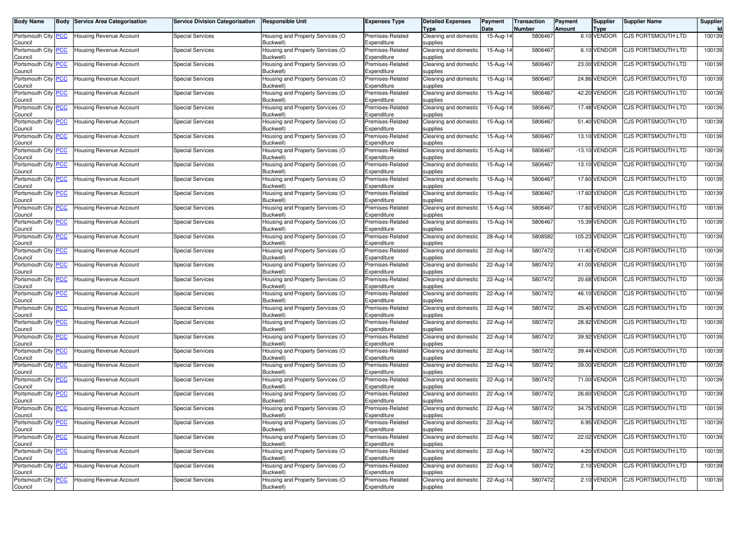| <b>Body Name</b>                      | Body | <b>Service Area Categorisation</b> | <b>Service Division Categorisation</b> | <b>Responsible Unit</b>                       | Expenses Type                   | <b>Detailed Expenses</b><br>Type  | Payment<br>Date | <b>Transaction</b><br>Number | Payment<br>Amount | <b>Supplier</b><br>Type | <b>Supplier Name</b>      | <b>Supplier</b><br><b>Id</b> |
|---------------------------------------|------|------------------------------------|----------------------------------------|-----------------------------------------------|---------------------------------|-----------------------------------|-----------------|------------------------------|-------------------|-------------------------|---------------------------|------------------------------|
| Portsmouth City PCC<br>Council        |      | Housing Revenue Account            | <b>Special Services</b>                | Housing and Property Services (O<br>Buckwell) | Premises-Related<br>Expenditure | Cleaning and domestic<br>supplies | 15-Aug-14       | 5806467                      |                   | 6.10 VENDOR             | CJS PORTSMOUTH LTD        | 100139                       |
| Portsmouth City PCC<br>Council        |      | Housing Revenue Account            | <b>Special Services</b>                | Housing and Property Services (O<br>Buckwell) | Premises-Related<br>Expenditure | Cleaning and domestic<br>supplies | 15-Aug-14       | 5806467                      |                   | 6.10 VENDOR             | CJS PORTSMOUTH LTD        | 100139                       |
| Portsmouth City <b>PCC</b><br>Council |      | <b>Housing Revenue Account</b>     | <b>Special Services</b>                | Housing and Property Services (O<br>Buckwell) | Premises-Related<br>Expenditure | Cleaning and domestic<br>supplies | 15-Aug-14       | 5806467                      | 23.00             | /ENDOR                  | CJS PORTSMOUTH LTD        | 100139                       |
| Portsmouth City PCC<br>Council        |      | <b>Housing Revenue Account</b>     | <b>Special Services</b>                | Housing and Property Services (O<br>Buckwell) | Premises-Related<br>Expenditure | Cleaning and domestic<br>supplies | 15-Aug-14       | 5806467                      |                   | 24.86 VENDOR            | CJS PORTSMOUTH LTD        | 100139                       |
| Portsmouth City PCC<br>Council        |      | Housing Revenue Account            | <b>Special Services</b>                | Housing and Property Services (O<br>Buckwell) | Premises-Related<br>Expenditure | Cleaning and domestic<br>supplies | 15-Aug-14       | 5806467                      |                   | 42.20 VENDOR            | <b>CJS PORTSMOUTH LTD</b> | 100139                       |
| Portsmouth City PCC<br>Council        |      | Housing Revenue Account            | <b>Special Services</b>                | Housing and Property Services (O<br>Buckwell) | Premises-Related<br>Expenditure | Cleaning and domestic<br>supplies | 15-Aug-14       | 5806467                      |                   | 17.48 VENDOR            | <b>CJS PORTSMOUTH LTD</b> | 100139                       |
| Portsmouth City PCC<br>Council        |      | <b>Housing Revenue Account</b>     | <b>Special Services</b>                | Housing and Property Services (O<br>Buckwell) | Premises-Related<br>Expenditure | Cleaning and domestic<br>supplies | 15-Aug-14       | 5806467                      |                   | 51.40 VENDOR            | CJS PORTSMOUTH LTD        | 100139                       |
| Portsmouth City PCC<br>Council        |      | <b>Housing Revenue Account</b>     | <b>Special Services</b>                | Housing and Property Services (O<br>Buckwell) | Premises-Related<br>Expenditure | Cleaning and domestic<br>supplies | 15-Aug-14       | 5806467                      |                   | 13.10 VENDOR            | <b>CJS PORTSMOUTH LTD</b> | 100139                       |
| Portsmouth City PCC<br>Council        |      | Housing Revenue Account            | <b>Special Services</b>                | Housing and Property Services (O<br>Buckwell) | Premises-Related<br>Expenditure | Cleaning and domestic<br>supplies | 15-Aug-14       | 5806467                      |                   | $-13.10$ VENDOR         | CJS PORTSMOUTH LTD        | 100139                       |
| Portsmouth City PCC<br>Council        |      | <b>Housing Revenue Account</b>     | <b>Special Services</b>                | Housing and Property Services (O<br>Buckwell) | Premises-Related<br>Expenditure | Cleaning and domestic<br>supplies | 15-Aug-14       | 5806467                      |                   | 13.10 VENDOR            | CJS PORTSMOUTH LTD        | 100139                       |
| Portsmouth City PCC<br>Council        |      | Housing Revenue Account            | <b>Special Services</b>                | Housing and Property Services (O<br>Buckwell) | Premises-Related<br>Expenditure | Cleaning and domestic<br>supplies | 15-Aug-14       | 5806467                      | 17.60             | VENDOR                  | CJS PORTSMOUTH LTD        | 100139                       |
| Portsmouth City PCC<br>Council        |      | <b>Housing Revenue Account</b>     | <b>Special Services</b>                | Housing and Property Services (O<br>Buckwell) | Premises-Related<br>Expenditure | Cleaning and domestic<br>supplies | 15-Aug-14       | 5806467                      | $-17.60$          | VENDOR                  | <b>CJS PORTSMOUTH LTD</b> | 100139                       |
| Portsmouth City PCC<br>Council        |      | <b>Housing Revenue Account</b>     | <b>Special Services</b>                | Housing and Property Services (O<br>Buckwell) | Premises-Related<br>Expenditure | Cleaning and domestic<br>supplies | 15-Aug-14       | 5806467                      | 17.60             | VENDOR                  | CJS PORTSMOUTH LTD        | 100139                       |
| Portsmouth City PCC<br>Council        |      | <b>Housing Revenue Account</b>     | <b>Special Services</b>                | Housing and Property Services (O<br>Buckwell) | Premises-Related<br>Expenditure | Cleaning and domestic<br>supplies | 15-Aug-14       | 5806467                      | 15.39             | VENDOR                  | <b>CJS PORTSMOUTH LTD</b> | 100139                       |
| Portsmouth City PCC<br>Council        |      | Housing Revenue Account            | <b>Special Services</b>                | Housing and Property Services (O<br>Buckwell) | Premises-Related<br>Expenditure | Cleaning and domestic<br>supplies | 28-Aug-14       | 5808582                      |                   | 105.23 VENDOR           | CJS PORTSMOUTH LTD        | 100139                       |
| Portsmouth City PCC<br>Council        |      | Housing Revenue Account            | <b>Special Services</b>                | Housing and Property Services (O<br>Buckwell) | Premises-Related<br>Expenditure | Cleaning and domestic<br>supplies | 22-Aug-14       | 5807472                      |                   | 11.40 VENDOR            | CJS PORTSMOUTH LTD        | 100139                       |
| Portsmouth City <b>PCC</b><br>Council |      | Housing Revenue Account            | <b>Special Services</b>                | Housing and Property Services (O<br>Buckwell) | Premises-Related<br>Expenditure | Cleaning and domestic<br>supplies | 22-Aug-14       | 5807472                      |                   | 41.00 VENDOR            | <b>CJS PORTSMOUTH LTD</b> | 100139                       |
| Portsmouth City PCC<br>Council        |      | Housing Revenue Account            | <b>Special Services</b>                | Housing and Property Services (O<br>Buckwell) | Premises-Related<br>Expenditure | Cleaning and domestic<br>supplies | 22-Aug-14       | 5807472                      |                   | 20.68 VENDOR            | CJS PORTSMOUTH LTD        | 100139                       |
| Portsmouth City PCC<br>Council        |      | Housing Revenue Account            | <b>Special Services</b>                | Housing and Property Services (O<br>Buckwell) | Premises-Related<br>Expenditure | Cleaning and domestic<br>supplies | 22-Aug-14       | 5807472                      |                   | 46.10 VENDOR            | CJS PORTSMOUTH LTD        | 100139                       |
| Portsmouth City PCC<br>Council        |      | Housing Revenue Account            | <b>Special Services</b>                | Housing and Property Services (O<br>Buckwell) | Premises-Related<br>Expenditure | Cleaning and domestic<br>supplies | 22-Aug-14       | 5807472                      | 29.40             | /ENDOR                  | <b>CJS PORTSMOUTH LTD</b> | 100139                       |
| Portsmouth City PCC<br>Council        |      | Housing Revenue Account            | <b>Special Services</b>                | Housing and Property Services (O<br>Buckwell) | Premises-Related<br>Expenditure | Cleaning and domestic<br>supplies | 22-Aug-14       | 5807472                      |                   | 28.92 VENDOR            | CJS PORTSMOUTH LTD        | 100139                       |
| Portsmouth City PCC<br>Council        |      | Housing Revenue Account            | <b>Special Services</b>                | Housing and Property Services (O<br>Buckwell) | Premises-Related<br>Expenditure | Cleaning and domestic<br>supplies | 22-Aug-14       | 5807472                      |                   | 39.92 VENDOR            | <b>CJS PORTSMOUTH LTD</b> | 100139                       |
| Portsmouth City PCC<br>Council        |      | Housing Revenue Account            | <b>Special Services</b>                | Housing and Property Services (O<br>Buckwell) | Premises-Related<br>Expenditure | Cleaning and domestic<br>supplies | 22-Aug-14       | 5807472                      |                   | 39.44 VENDOR            | CJS PORTSMOUTH LTD        | 100139                       |
| Portsmouth City PCC<br>Council        |      | Housing Revenue Account            | <b>Special Services</b>                | Housing and Property Services (O<br>Buckwell) | Premises-Related<br>Expenditure | Cleaning and domestic<br>supplies | 22-Aug-14       | 5807472                      |                   | 39.00 VENDOR            | CJS PORTSMOUTH LTD        | 100139                       |
| Portsmouth City PCC<br>Council        |      | <b>Housing Revenue Account</b>     | <b>Special Services</b>                | Housing and Property Services (O<br>Buckwell) | Premises-Related<br>Expenditure | Cleaning and domestic<br>supplies | 22-Aug-14       | 5807472                      |                   | 71.00 VENDOR            | CJS PORTSMOUTH LTD        | 100139                       |
| Portsmouth City PCC<br>Council        |      | <b>Housing Revenue Account</b>     | <b>Special Services</b>                | Housing and Property Services (O<br>Buckwell) | Premises-Related<br>Expenditure | Cleaning and domestic<br>supplies | 22-Aug-14       | 5807472                      |                   | 26.60 VENDOR            | CJS PORTSMOUTH LTD        | 100139                       |
| Portsmouth City PCC<br>Council        |      | <b>Housing Revenue Account</b>     | <b>Special Services</b>                | Housing and Property Services (O<br>Buckwell) | Premises-Related<br>Expenditure | Cleaning and domestic<br>supplies | 22-Aug-14       | 5807472                      |                   | 34.75 VENDOR            | CJS PORTSMOUTH LTD        | 100139                       |
| Portsmouth City PCC<br>Council        |      | Housing Revenue Account            | Special Services                       | Housing and Property Services (O<br>Buckwell) | Premises-Related<br>Expenditure | Cleaning and domestic<br>supplies | 22-Aug-14       | 5807472                      |                   | 6.95 VENDOR             | <b>CJS PORTSMOUTH LTD</b> | 100139                       |
| Portsmouth City PCC<br>Council        |      | <b>Housing Revenue Account</b>     | <b>Special Services</b>                | Housing and Property Services (O<br>Buckwell) | Premises-Related<br>Expenditure | Cleaning and domestic<br>supplies | 22-Aug-14       | 5807472                      |                   | 22.02 VENDOR            | <b>CJS PORTSMOUTH LTD</b> | 100139                       |
| Portsmouth City PCC<br>Council        |      | Housing Revenue Account            | <b>Special Services</b>                | Housing and Property Services (O<br>Buckwell) | Premises-Related<br>Expenditure | Cleaning and domestic<br>supplies | 22-Aug-14       | 5807472                      |                   | 4.20 VENDOR             | CJS PORTSMOUTH LTD        | 100139                       |
| Portsmouth City PCC<br>Council        |      | Housing Revenue Account            | <b>Special Services</b>                | Housing and Property Services (O<br>Buckwell) | Premises-Related<br>Expenditure | Cleaning and domestic<br>supplies | 22-Aug-14       | 5807472                      |                   | 2.10 VENDOR             | <b>CJS PORTSMOUTH LTD</b> | 100139                       |
| Portsmouth City PCC<br>Council        |      | Housing Revenue Account            | <b>Special Services</b>                | Housing and Property Services (O<br>Buckwell) | Premises-Related<br>Expenditure | Cleaning and domestic<br>supplies | 22-Aug-14       | 5807472                      |                   | 2.10 VENDOR             | CJS PORTSMOUTH LTD        | 100139                       |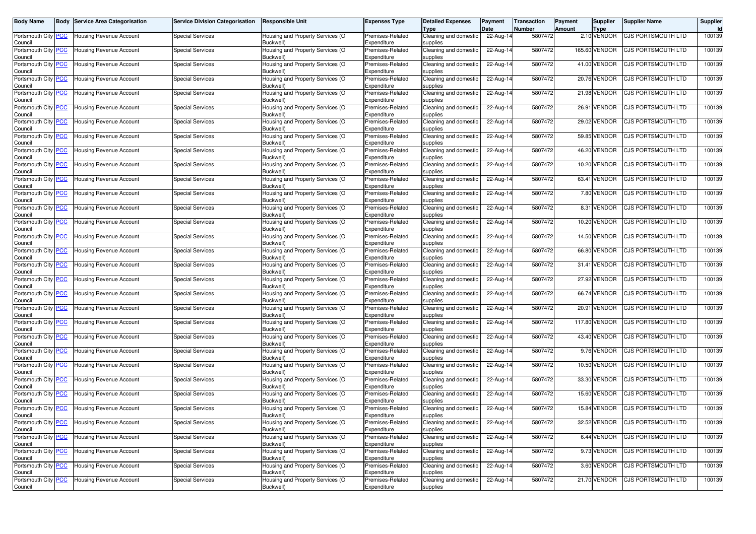| <b>Body Name</b>                      | Body | Service Area Categorisation    | <b>Service Division Categorisation</b> | <b>Responsible Unit</b>                       | Expenses Type                   | <b>Detailed Expenses</b><br>Type  | Payment<br>Date | Transaction<br>Number | Payment<br>Amount | <b>Supplier</b><br><b>Type</b> | <b>Supplier Name</b>      | Supplier<br>ld. |
|---------------------------------------|------|--------------------------------|----------------------------------------|-----------------------------------------------|---------------------------------|-----------------------------------|-----------------|-----------------------|-------------------|--------------------------------|---------------------------|-----------------|
| Portsmouth City PCC<br>Council        |      | <b>Housing Revenue Account</b> | Special Services                       | Housing and Property Services (O<br>Buckwell) | Premises-Related<br>Expenditure | Cleaning and domestic<br>supplies | 22-Aug-14       | 5807472               |                   | 2.10 VENDOR                    | CJS PORTSMOUTH LTD        | 100139          |
| Portsmouth City PCC<br>Council        |      | <b>Housing Revenue Account</b> | Special Services                       | Housing and Property Services (O<br>Buckwell) | Premises-Related<br>Expenditure | Cleaning and domestic<br>supplies | 22-Aug-14       | 5807472               |                   | 165.60 VENDOR                  | CJS PORTSMOUTH LTD        | 100139          |
| Portsmouth City PCC<br>Council        |      | Housing Revenue Account        | <b>Special Services</b>                | Housing and Property Services (O<br>Buckwell) | Premises-Related<br>Expenditure | Cleaning and domestic<br>supplies | 22-Aug-14       | 5807472               |                   | 41.00 VENDOR                   | CJS PORTSMOUTH LTD        | 100139          |
| Portsmouth City PCC<br>Council        |      | <b>Housing Revenue Account</b> | <b>Special Services</b>                | Housing and Property Services (O<br>Buckwell) | Premises-Related<br>Expenditure | Cleaning and domestic<br>supplies | 22-Aug-14       | 5807472               |                   | <b>20.76 VENDOR</b>            | CJS PORTSMOUTH LTD        | 100139          |
| Portsmouth City PCC<br>Council        |      | <b>Housing Revenue Account</b> | <b>Special Services</b>                | Housing and Property Services (O<br>Buckwell) | Premises-Related<br>Expenditure | Cleaning and domestic<br>supplies | 22-Aug-14       | 5807472               |                   | 21.98 VENDOR                   | <b>CJS PORTSMOUTH LTD</b> | 100139          |
| Portsmouth City PCC<br>Council        |      | Jousing Revenue Account        | <b>Special Services</b>                | Housing and Property Services (O<br>Buckwell) | Premises-Related<br>Expenditure | Cleaning and domestic<br>supplies | 22-Aug-14       | 5807472               |                   | 26.91 VENDOR                   | CJS PORTSMOUTH LTD        | 100139          |
| Portsmouth City PCC<br>Council        |      | Housing Revenue Account        | Special Services                       | Housing and Property Services (O<br>Buckwell) | Premises-Related<br>Expenditure | Cleaning and domestic<br>supplies | 22-Aug-14       | 5807472               |                   | 29.02 VENDOR                   | CJS PORTSMOUTH LTD        | 100139          |
| Portsmouth City PCC<br>Council        |      | Housing Revenue Account        | Special Services                       | Housing and Property Services (O<br>Buckwell) | Premises-Related<br>Expenditure | Cleaning and domestic<br>supplies | 22-Aug-14       | 5807472               |                   | 59.85 VENDOR                   | CJS PORTSMOUTH LTD        | 100139          |
| Portsmouth City PCC<br>Council        |      | Housing Revenue Account        | <b>Special Services</b>                | Housing and Property Services (O<br>Buckwell) | Premises-Related<br>Expenditure | Cleaning and domestic<br>supplies | 22-Aug-14       | 5807472               |                   | 46.20 VENDOR                   | CJS PORTSMOUTH LTD        | 100139          |
| Portsmouth City <b>PCC</b><br>Council |      | <b>Housing Revenue Account</b> | Special Services                       | Housing and Property Services (O<br>Buckwell) | Premises-Related<br>Expenditure | Cleaning and domestic<br>supplies | 22-Aug-14       | 5807472               |                   | 10.20 VENDOR                   | CJS PORTSMOUTH LTD        | 100139          |
| Portsmouth City PCC<br>Council        |      | Housing Revenue Account        | <b>Special Services</b>                | Housing and Property Services (O<br>Buckwell) | Premises-Related<br>Expenditure | Cleaning and domestic<br>supplies | 22-Aug-14       | 5807472               |                   | 63.41 VENDOR                   | CJS PORTSMOUTH LTD        | 100139          |
| Portsmouth City PCC<br>Council        |      | Housing Revenue Account        | <b>Special Services</b>                | Housing and Property Services (O<br>Buckwell) | Premises-Related<br>Expenditure | Cleaning and domestic<br>supplies | 22-Aug-14       | 5807472               |                   | 7.80 VENDOR                    | CJS PORTSMOUTH LTD        | 100139          |
| Portsmouth City PCC<br>Council        |      | <b>Housing Revenue Account</b> | Special Services                       | Housing and Property Services (O<br>Buckwell) | Premises-Related<br>Expenditure | Cleaning and domestic<br>supplies | 22-Aug-14       | 5807472               |                   | 8.31 VENDOR                    | CJS PORTSMOUTH LTD        | 100139          |
| Portsmouth City PCC<br>Council        |      | Housing Revenue Account        | <b>Special Services</b>                | Housing and Property Services (O<br>Buckwell) | Premises-Related<br>Expenditure | Cleaning and domestic<br>supplies | 22-Aug-14       | 5807472               |                   | 10.20 VENDOR                   | CJS PORTSMOUTH LTD        | 100139          |
| Portsmouth City PCC<br>Council        |      | Housing Revenue Account        | Special Services                       | Housing and Property Services (O<br>Buckwell) | Premises-Related<br>Expenditure | Cleaning and domestic<br>supplies | 22-Aug-14       | 5807472               |                   | 14.50 VENDOR                   | CJS PORTSMOUTH LTD        | 100139          |
| Portsmouth City PCC<br>Council        |      | <b>Housing Revenue Account</b> | <b>Special Services</b>                | Housing and Property Services (O<br>Buckwell) | Premises-Related<br>Expenditure | Cleaning and domestic<br>supplies | 22-Aug-14       | 5807472               |                   | 66.80 VENDOR                   | CJS PORTSMOUTH LTD        | 100139          |
| Portsmouth City PCC<br>Council        |      | Housing Revenue Account        | <b>Special Services</b>                | Housing and Property Services (O<br>Buckwell) | Premises-Related<br>Expenditure | Cleaning and domestic<br>supplies | 22-Aug-14       | 5807472               |                   | 31.41 VENDOR                   | CJS PORTSMOUTH LTD        | 100139          |
| Portsmouth City PCC<br>Council        |      | Housing Revenue Account        | Special Services                       | Housing and Property Services (O<br>Buckwell) | Premises-Related<br>Expenditure | Cleaning and domestic<br>supplies | 22-Aug-14       | 5807472               |                   | 27.92 VENDOR                   | CJS PORTSMOUTH LTD        | 100139          |
| Portsmouth City PCC<br>Council        |      | <b>Housing Revenue Account</b> | Special Services                       | Housing and Property Services (O<br>Buckwell) | Premises-Related<br>Expenditure | Cleaning and domestic<br>supplies | 22-Aug-14       | 5807472               |                   | 66.74 VENDOR                   | CJS PORTSMOUTH LTD        | 100139          |
| Portsmouth City PCC<br>Council        |      | Housing Revenue Account        | <b>Special Services</b>                | Housing and Property Services (O<br>Buckwell) | Premises-Related<br>Expenditure | Cleaning and domestic<br>supplies | 22-Aug-14       | 5807472               |                   | 20.91 VENDOR                   | CJS PORTSMOUTH LTD        | 100139          |
| Portsmouth City PCC<br>Council        |      | Housing Revenue Account        | <b>Special Services</b>                | Housing and Property Services (O<br>Buckwell) | Premises-Related<br>Expenditure | Cleaning and domestic<br>supplies | 22-Aug-14       | 5807472               |                   | 117.80 VENDOR                  | CJS PORTSMOUTH LTD        | 100139          |
| Portsmouth City PCC<br>Council        |      | <b>Housing Revenue Account</b> | <b>Special Services</b>                | Housing and Property Services (O<br>Buckwell) | Premises-Related<br>Expenditure | Cleaning and domestic<br>supplies | 22-Aug-14       | 5807472               |                   | 43.40 VENDOR                   | CJS PORTSMOUTH LTD        | 100139          |
| Portsmouth City PCC<br>Council        |      | Housing Revenue Account        | <b>Special Services</b>                | Housing and Property Services (O<br>Buckwell) | Premises-Related<br>Expenditure | Cleaning and domestic<br>supplies | 22-Aug-14       | 5807472               |                   | 9.76 VENDOR                    | CJS PORTSMOUTH LTD        | 100139          |
| Portsmouth City PCC<br>Council        |      | Housing Revenue Account        | <b>Special Services</b>                | Housing and Property Services (O<br>Buckwell) | Premises-Related<br>Expenditure | Cleaning and domestic<br>supplies | 22-Aug-14       | 5807472               |                   | 10.50 VENDOR                   | CJS PORTSMOUTH LTD        | 100139          |
| Portsmouth City PCC<br>Council        |      | Housing Revenue Account        | <b>Special Services</b>                | Housing and Property Services (O<br>Buckwell) | Premises-Related<br>Expenditure | Cleaning and domestic<br>supplies | 22-Aug-14       | 5807472               |                   | 33.30 VENDOR                   | CJS PORTSMOUTH LTD        | 100139          |
| Portsmouth City PCC<br>Council        |      | <b>Housing Revenue Account</b> | <b>Special Services</b>                | Housing and Property Services (O<br>Buckwell) | Premises-Related<br>Expenditure | Cleaning and domestic<br>supplies | 22-Aug-14       | 5807472               |                   | 15.60 VENDOR                   | <b>CJS PORTSMOUTH LTD</b> | 100139          |
| Portsmouth City PCC<br>Council        |      | <b>Housing Revenue Account</b> | Special Services                       | Housing and Property Services (O<br>Buckwell) | Premises-Related<br>Expenditure | Cleaning and domestic<br>supplies | $22$ -Aug-14    | 5807472               |                   | 15.84 VENDOR                   | CJS PORTSMOUTH LTD        | 100139          |
| Portsmouth City <b>PCC</b><br>Council |      | Housing Revenue Account        | Special Services                       | Housing and Property Services (O<br>Buckwell) | Premises-Related<br>Expenditure | Cleaning and domestic<br>supplies | 22-Aug-14       | 5807472               |                   | 32.52 VENDOR                   | <b>CJS PORTSMOUTH LTD</b> | 100139          |
| Portsmouth City PCC<br>Council        |      | <b>Housing Revenue Account</b> | <b>Special Services</b>                | Housing and Property Services (O<br>Buckwell) | Premises-Related<br>Expenditure | Cleaning and domestic<br>supplies | 22-Aug-14       | 5807472               |                   | 6.44 VENDOR                    | CJS PORTSMOUTH LTD        | 100139          |
| Portsmouth City PCC<br>Council        |      | <b>Housing Revenue Account</b> | <b>Special Services</b>                | Housing and Property Services (O<br>Buckwell) | Premises-Related<br>Expenditure | Cleaning and domestic<br>supplies | 22-Aug-14       | 5807472               |                   | 9.73 VENDOR                    | CJS PORTSMOUTH LTD        | 100139          |
| Portsmouth City PCC<br>Council        |      | Housing Revenue Account        | <b>Special Services</b>                | Housing and Property Services (O<br>Buckwell) | Premises-Related<br>Expenditure | Cleaning and domestic<br>supplies | 22-Aug-14       | 5807472               |                   | 3.60 VENDOR                    | CJS PORTSMOUTH LTD        | 100139          |
| Portsmouth City PCC<br>Council        |      | <b>Housing Revenue Account</b> | <b>Special Services</b>                | Housing and Property Services (O<br>Buckwell) | Premises-Related<br>Expenditure | Cleaning and domestic<br>supplies | 22-Aug-14       | 5807472               |                   | 21.70 VENDOR                   | <b>CJS PORTSMOUTH LTD</b> | 100139          |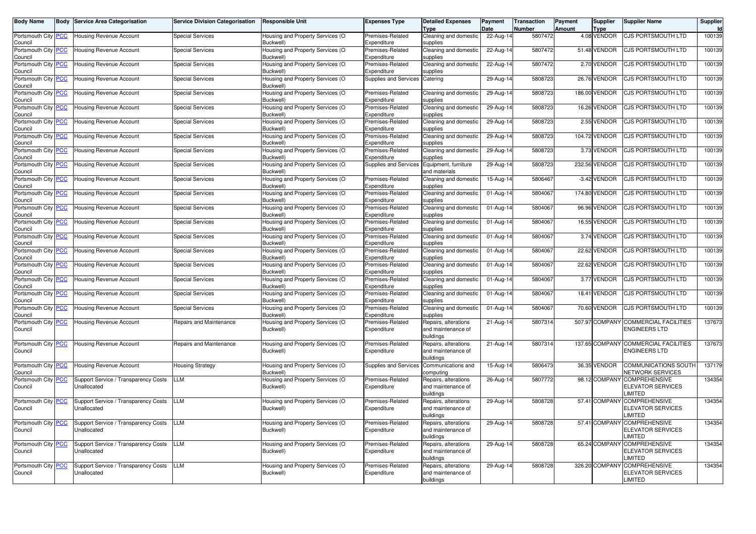| <b>Body Name</b>                      | <b>Body</b> | <b>Service Area Categorisation</b>                  | <b>Service Division Categorisation</b> | <b>Responsible Unit</b>                       | <b>Expenses Type</b>            | <b>Detailed Expenses</b><br><b>Type</b>                 | Payment<br>Date         | <b>Transaction</b><br>Number | Payment<br><b>Amount</b> | <b>Supplier</b><br><b>Type</b> | <b>Supplier Name</b>                                              | Supplier<br>Id |
|---------------------------------------|-------------|-----------------------------------------------------|----------------------------------------|-----------------------------------------------|---------------------------------|---------------------------------------------------------|-------------------------|------------------------------|--------------------------|--------------------------------|-------------------------------------------------------------------|----------------|
| Portsmouth City <b>PCC</b><br>Council |             | Housing Revenue Account                             | <b>Special Services</b>                | Housing and Property Services (O<br>Buckwell) | Premises-Related<br>Expenditure | Cleaning and domestic<br>supplies                       | 22-Aug-14               | 5807472                      |                          | 4.08 VENDOR                    | CJS PORTSMOUTH LTD                                                | 100139         |
| Portsmouth City PCC<br>Council        |             | Housing Revenue Account                             | Special Services                       | Housing and Property Services (O<br>Buckwell) | Premises-Related<br>Expenditure | Cleaning and domestic<br>supplies                       | 22-Aug-14               | 5807472                      |                          | 51.48 VENDOR                   | <b>CJS PORTSMOUTH LTD</b>                                         | 100139         |
| Portsmouth City PCC<br>Council        |             | Housing Revenue Account                             | <b>Special Services</b>                | Housing and Property Services (O<br>Buckwell) | Premises-Related<br>Expenditure | Cleaning and domestic<br>supplies                       | $22-Aug-14$             | 5807472                      |                          | 2.70 VENDOR                    | CJS PORTSMOUTH LTD                                                | 100139         |
| Portsmouth City PCC<br>Council        |             | <b>Housing Revenue Account</b>                      | <b>Special Services</b>                | Housing and Property Services (O<br>Buckwell) | Supplies and Services           | Catering                                                | 29-Aug-14               | 5808723                      |                          | 26.76 VENDOR                   | CJS PORTSMOUTH LTD                                                | 100139         |
| Portsmouth City PCC<br>Council        |             | Housing Revenue Account                             | <b>Special Services</b>                | Housing and Property Services (O<br>Buckwell) | Premises-Related<br>Expenditure | Cleaning and domestic<br>supplies                       | 29-Aug-14               | 5808723                      |                          | 186.00 VENDOR                  | CJS PORTSMOUTH LTD                                                | 100139         |
| Portsmouth City PCC<br>Council        |             | Jousing Revenue Account                             | <b>Special Services</b>                | Housing and Property Services (O<br>Buckwell) | Premises-Related<br>Expenditure | Cleaning and domestic<br>supplies                       | 29-Aug-14               | 5808723                      |                          | 16.26 VENDOR                   | CJS PORTSMOUTH LTD                                                | 100139         |
| Portsmouth City PCC<br>Council        |             | <b>Housing Revenue Account</b>                      | <b>Special Services</b>                | Housing and Property Services (O<br>Buckwell) | Premises-Related<br>Expenditure | Cleaning and domestic<br>supplies                       | 29-Aug-14               | 5808723                      |                          | 2.55 VENDOR                    | CJS PORTSMOUTH LTD                                                | 100139         |
| Portsmouth City PCC<br>Council        |             | <b>Housing Revenue Account</b>                      | <b>Special Services</b>                | Housing and Property Services (O<br>Buckwell) | Premises-Related<br>Expenditure | Cleaning and domestic<br>supplies                       | 29-Aug-14               | 5808723                      |                          | 104.72 VENDOR                  | <b>CJS PORTSMOUTH LTD</b>                                         | 100139         |
| Portsmouth City PCC<br>Council        |             | Jousing Revenue Account                             | <b>Special Services</b>                | Housing and Property Services (O<br>Buckwell) | Premises-Related<br>Expenditure | Cleaning and domestic<br>supplies                       | 29-Aug-14               | 5808723                      |                          | 3.73 VENDOR                    | CJS PORTSMOUTH LTD                                                | 100139         |
| Portsmouth City PCC<br>Council        |             | <b>Housing Revenue Account</b>                      | <b>Special Services</b>                | Housing and Property Services (O<br>Buckwell) | <b>Supplies and Services</b>    | Equipment, furniture<br>and materials                   | 29-Aug-14               | 5808723                      |                          | 232.56 VENDOR                  | CJS PORTSMOUTH LTD                                                | 100139         |
| Portsmouth City PCC<br>Council        |             | <b>Housing Revenue Account</b>                      | <b>Special Services</b>                | Housing and Property Services (O<br>Buckwell) | Premises-Related<br>Expenditure | Cleaning and domestic<br>supplies                       | 15-Aug-14               | 5806467                      |                          | -3.42 VENDOR                   | <b>CJS PORTSMOUTH LTD</b>                                         | 100139         |
| Portsmouth City PCC<br>Council        |             | Housing Revenue Account                             | <b>Special Services</b>                | Housing and Property Services (O<br>Buckwell) | Premises-Related<br>Expenditure | Cleaning and domestic<br>supplies                       | 01-Aug-14               | 5804067                      |                          | 174.80 VENDOR                  | CJS PORTSMOUTH LTD                                                | 100139         |
| Portsmouth City PCC<br>Council        |             | <b>Housing Revenue Account</b>                      | <b>Special Services</b>                | Housing and Property Services (O<br>Buckwell) | Premises-Related<br>Expenditure | Cleaning and domestic<br>supplies                       | 01-Aug-14               | 5804067                      |                          | 96.96 VENDOR                   | CJS PORTSMOUTH LTD                                                | 100139         |
| Portsmouth City<br>Council            | <b>PCC</b>  | <b>Housing Revenue Account</b>                      | <b>Special Services</b>                | Housing and Property Services (O<br>Buckwell) | Premises-Related<br>Expenditure | Cleaning and domestic<br>supplies                       | 01-Aug-14               | 5804067                      |                          | 16.55 VENDOR                   | CJS PORTSMOUTH LTD                                                | 100139         |
| Portsmouth City PCC<br>Council        |             | <b>Housing Revenue Account</b>                      | <b>Special Services</b>                | Housing and Property Services (O<br>Buckwell) | Premises-Related<br>Expenditure | Cleaning and domestic<br>supplies                       | 01-Aug-14               | 5804067                      |                          | 3.74 VENDOR                    | CJS PORTSMOUTH LTD                                                | 100139         |
| Portsmouth City<br>Council            | <b>PCC</b>  | Housing Revenue Account                             | <b>Special Services</b>                | Housing and Property Services (O<br>Buckwell) | Premises-Related<br>Expenditure | Cleaning and domestic<br>supplies                       | 01-Aug-14               | 5804067                      |                          | 22.62 VENDOR                   | CJS PORTSMOUTH LTD                                                | 100139         |
| Portsmouth City PCC<br>Council        |             | <b>Housing Revenue Account</b>                      | <b>Special Services</b>                | Housing and Property Services (O<br>Buckwell) | Premises-Related<br>Expenditure | Cleaning and domestic<br>supplies                       | 01-Aug-14               | 5804067                      |                          | 22.62 VENDOR                   | CJS PORTSMOUTH LTD                                                | 100139         |
| Portsmouth City PCC<br>Council        |             | <b>Housing Revenue Account</b>                      | <b>Special Services</b>                | Housing and Property Services (O<br>Buckwell) | Premises-Related<br>Expenditure | Cleaning and domestic<br>supplies                       | $\overline{01}$ -Aug-14 | 5804067                      |                          | 3.77 VENDOR                    | <b>CJS PORTSMOUTH LTD</b>                                         | 100139         |
| Portsmouth City PCC<br>Council        |             | Jousing Revenue Account                             | <b>Special Services</b>                | Housing and Property Services (O<br>Buckwell) | Premises-Related<br>Expenditure | Cleaning and domestic<br>supplies                       | 01-Aug-14               | 5804067                      |                          | 18.41 VENDOR                   | CJS PORTSMOUTH LTD                                                | 100139         |
| Portsmouth City PCC<br>Council        |             | Housing Revenue Account                             | <b>Special Services</b>                | Housing and Property Services (O<br>Buckwell) | Premises-Related<br>Expenditure | Cleaning and domestic<br>supplies                       | 01-Aug-14               | 5804067                      |                          | 70.60 VENDOR                   | CJS PORTSMOUTH LTD                                                | 100139         |
| Portsmouth City PCC<br>Council        |             | <b>Housing Revenue Account</b>                      | Repairs and Maintenance                | Housing and Property Services (O<br>Buckwell) | Premises-Related<br>Expenditure | Repairs, alterations<br>and maintenance of<br>buildings | 21-Aug-14               | 5807314                      |                          |                                | 507.97 COMPANY COMMERCIAL FACILITIES<br><b>ENGINEERS LTD</b>      | 137673         |
| Portsmouth City PCC<br>Council        |             | <b>Housing Revenue Account</b>                      | Repairs and Maintenance                | Housing and Property Services (O<br>Buckwell) | Premises-Related<br>Expenditure | Repairs, alterations<br>and maintenance of<br>buildings | 21-Aug-14               | 580731                       |                          | 137.65 COMPANY                 | <b>COMMERCIAL FACILITIES</b><br><b>ENGINEERS LTD</b>              | 137673         |
| Portsmouth City PCC<br>Council        |             | Housing Revenue Account                             | Housing Strategy                       | Housing and Property Services (O<br>Buckwell) | <b>Supplies and Services</b>    | Communications and<br>computing                         | 15-Aug-14               | 5806473                      |                          | 36.35 VENDOR                   | COMMUNICATIONS SOUTH<br><b>JETWORK SERVICES</b>                   | 137179         |
| Portsmouth City PCC<br>Council        |             | Support Service / Transparency Costs<br>Unallocated | LLM                                    | Housing and Property Services (O<br>Buckwell) | Premises-Related<br>Expenditure | Repairs, alterations<br>and maintenance of<br>buildings | 26-Aug-14               | 5807772                      |                          | 98.12 COMPANY                  | <b>COMPREHENSIVE</b><br>ELEVATOR SERVICES<br><b>IMITED</b>        | 134354         |
| Portsmouth City PCC<br>Council        |             | Support Service / Transparency Costs<br>Unallocated | <b>LLM</b>                             | Housing and Property Services (O<br>Buckwell) | Premises-Related<br>Expenditure | Repairs, alterations<br>and maintenance of<br>buildings | 29-Aug-14               | 5808728                      |                          | 57.41 COMPANY                  | <b>COMPREHENSIVE</b><br>ELEVATOR SERVICES<br><b>IMITED</b>        | 134354         |
| Portsmouth City PCC<br>Council        |             | Support Service / Transparency Costs<br>Unallocated | <b>LLM</b>                             | Housing and Property Services (O<br>Buckwell) | Premises-Related<br>Expenditure | Repairs, alterations<br>and maintenance of<br>buildings | 29-Aug-14               | 5808728                      |                          | 57.41 COMPANY                  | <b>COMPREHENSIVE</b><br><b>ELEVATOR SERVICES</b><br><b>IMITED</b> | 134354         |
| Portsmouth City PCC<br>Council        |             | Support Service / Transparency Costs<br>Unallocated | LLM                                    | Housing and Property Services (O<br>Buckwell) | Premises-Related<br>Expenditure | Repairs, alterations<br>and maintenance of<br>buildings | 29-Aug-14               | 5808728                      |                          | 65.24 COMPANY                  | <b>COMPREHENSIVE</b><br><b>ELEVATOR SERVICES</b><br><b>IMITED</b> | 134354         |
| Portsmouth City PCC<br>Council        |             | Support Service / Transparency Costs<br>Unallocated | LLM                                    | Housing and Property Services (O<br>Buckwell) | Premises-Related<br>Expenditure | Repairs, alterations<br>and maintenance of<br>buildings | 29-Aug-14               | 5808728                      |                          | 326.20 COMPANY                 | <b>COMPREHENSIVE</b><br><b>ELEVATOR SERVICES</b><br>LIMITED       | 134354         |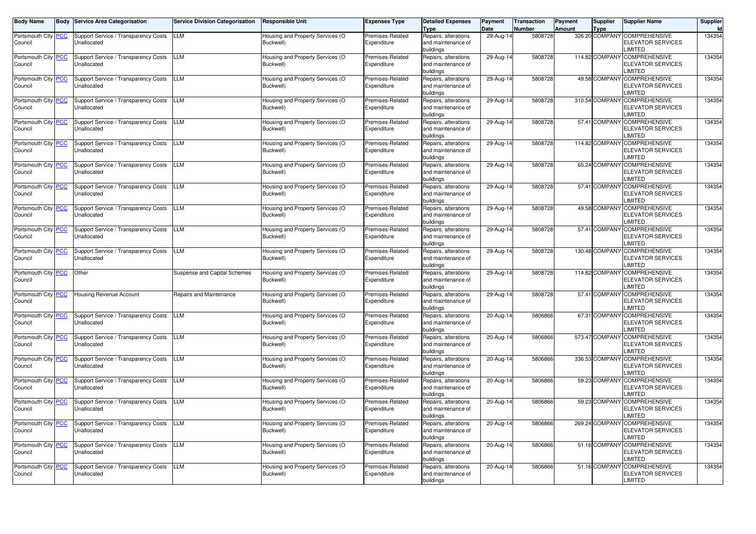| <b>Body Name</b>               | <b>Body</b> | <b>Service Area Categorisation</b>                  | <b>Service Division Categorisation</b> | <b>Responsible Unit</b>                       | <b>Expenses Type</b>            | <b>Detailed Expenses</b><br>Type                        | Payment<br>Date | Transaction<br><b>Number</b> | Payment<br><b>Amount</b> | <b>Supplier</b><br><b>Type</b> | <b>Supplier Name</b>                                                | Supplier |
|--------------------------------|-------------|-----------------------------------------------------|----------------------------------------|-----------------------------------------------|---------------------------------|---------------------------------------------------------|-----------------|------------------------------|--------------------------|--------------------------------|---------------------------------------------------------------------|----------|
| Portsmouth City PCC<br>Council |             | Support Service / Transparency Costs<br>Unallocated | LLM                                    | Housing and Property Services (O<br>Buckwell) | Premises-Related<br>Expenditure | Repairs, alterations<br>and maintenance of<br>buildings | 29-Aug-14       | 5808728                      |                          | 326.20 COMPANY                 | <b>COMPREHENSIVE</b><br><b>ELEVATOR SERVICES</b><br>LIMITED         | 134354   |
| Portsmouth City PCC<br>Council |             | Support Service / Transparency Costs<br>Jnallocated | LLM                                    | Housing and Property Services (O<br>Buckwell) | Premises-Related<br>Expenditure | Repairs, alterations<br>and maintenance of<br>buildings | 29-Aug-14       | 5808728                      |                          | 114.82 COMPANY                 | <b>COMPREHENSIVE</b><br><b>ELEVATOR SERVICES</b><br>LIMITED         | 134354   |
| Portsmouth City PCC<br>Council |             | Support Service / Transparency Costs<br>Jnallocated | LLM                                    | Housing and Property Services (O<br>Buckwell) | Premises-Related<br>Expenditure | Repairs, alterations<br>and maintenance of<br>buildings | 29-Aug-14       | 5808728                      |                          | 49.58 COMPANY                  | <b>COMPREHENSIVE</b><br><b>ELEVATOR SERVICES</b><br>LIMITED         | 134354   |
| Portsmouth City PCC<br>Council |             | Support Service / Transparency Costs<br>Jnallocated | LLM                                    | Housing and Property Services (O<br>Buckwell) | Premises-Related<br>Expenditure | Repairs, alterations<br>and maintenance of<br>buildings | 29-Aug-14       | 5808728                      |                          | 310.54 COMPANY                 | <b>COMPREHENSIVE</b><br><b>ELEVATOR SERVICES</b><br>LIMITED         | 134354   |
| Portsmouth City PCC<br>Council |             | Support Service / Transparency Costs<br>Jnallocated | LLM                                    | Housing and Property Services (O<br>Buckwell) | Premises-Related<br>Expenditure | Repairs, alterations<br>and maintenance of<br>buildings | 29-Aug-14       | 5808728                      |                          | 57.41 COMPANY                  | <b>COMPREHENSIVE</b><br><b>ELEVATOR SERVICES</b><br>LIMITED         | 134354   |
| Portsmouth City PCC<br>Council |             | Support Service / Transparency Costs<br>Jnallocated | LLM                                    | Housing and Property Services (O<br>Buckwell) | Premises-Related<br>Expenditure | Repairs, alterations<br>and maintenance of<br>buildinas | 29-Aug-14       | 5808728                      |                          | 114.82 COMPANY                 | <b>COMPREHENSIVE</b><br><b>ELEVATOR SERVICES</b><br>LIMITED         | 134354   |
| Portsmouth City PCC<br>Council |             | Support Service / Transparency Costs<br>Jnallocated | LLM                                    | Housing and Property Services (O<br>Buckwell) | Premises-Related<br>Expenditure | Repairs, alterations<br>and maintenance of<br>buildinas | 29-Aug-14       | 5808728                      |                          | 65.24 COMPANY                  | <b>COMPREHENSIVE</b><br><b>ELEVATOR SERVICES</b><br>LIMITED         | 134354   |
| Portsmouth City PCC<br>Council |             | Support Service / Transparency Costs<br>Jnallocated | LLM                                    | Housing and Property Services (O<br>Buckwell) | Premises-Related<br>Expenditure | Repairs, alterations<br>and maintenance of<br>buildinas | 29-Aug-14       | 5808728                      |                          | 57.41 COMPANY                  | <b>COMPREHENSIVE</b><br><b>ELEVATOR SERVICES</b><br>LIMITED         | 134354   |
| Portsmouth City PCC<br>Council |             | Support Service / Transparency Costs<br>Jnallocated | LLM                                    | Housing and Property Services (O<br>Buckwell) | Premises-Related<br>Expenditure | Repairs, alterations<br>and maintenance of<br>buildinas | 29-Aug-14       | 5808728                      |                          | 49.58 COMPANY                  | <b>COMPREHENSIVE</b><br><b>ELEVATOR SERVICES</b><br>LIMITED         | 134354   |
| Portsmouth City PCC<br>Council |             | Support Service / Transparency Costs<br>Jnallocated | LLM                                    | Housing and Property Services (O<br>Buckwell) | Premises-Related<br>Expenditure | Repairs, alterations<br>and maintenance of<br>buildings | 29-Aug-14       | 5808728                      |                          | 57.41 COMPANY                  | <b>COMPREHENSIVE</b><br><b>ELEVATOR SERVICES</b><br>LIMITED         | 134354   |
| Portsmouth City PCC<br>Council |             | Support Service / Transparency Costs<br>Unallocated | LLM                                    | Housing and Property Services (O<br>Buckwell) | Premises-Related<br>Expenditure | Repairs, alterations<br>and maintenance of<br>buildings | 29-Aug-14       | 5808728                      |                          | 130.48 COMPANY                 | <b>COMPREHENSIVE</b><br><b>ELEVATOR SERVICES</b><br>LIMITED         | 134354   |
| Portsmouth City PCC<br>Council |             | Other                                               | Suspense and Capital Schemes           | Housing and Property Services (O<br>Buckwell) | Premises-Related<br>Expenditure | Repairs, alterations<br>and maintenance of<br>buildings | 29-Aug-14       | 5808728                      |                          | 114.82 COMPANY                 | <b>COMPREHENSIVE</b><br><b>ELEVATOR SERVICES</b><br>LIMITED         | 134354   |
| Portsmouth City PCC<br>Council |             | <b>Housing Revenue Account</b>                      | Repairs and Maintenance                | Housing and Property Services (O<br>Buckwell) | Premises-Related<br>Expenditure | Repairs, alterations<br>and maintenance of<br>buildinas | 29-Aug-14       | 5808728                      |                          | 57.41 COMPANY                  | <b>COMPREHENSIVE</b><br><b>ELEVATOR SERVICES</b><br>LIMITED         | 134354   |
| Portsmouth City PCC<br>Council |             | Support Service / Transparency Costs<br>Jnallocated | LM.                                    | Housing and Property Services (O<br>Buckwell) | Premises-Related<br>Expenditure | Repairs, alterations<br>and maintenance of<br>buildinas | 20-Aug-14       | 5806866                      |                          | 67.31 COMPANY                  | <b>COMPREHENSIVE</b><br><b>ELEVATOR SERVICES</b><br>LIMITED         | 134354   |
| Portsmouth City PCC<br>Council |             | Support Service / Transparency Costs<br>Jnallocated | LM.                                    | Housing and Property Services (O<br>Buckwell) | Premises-Related<br>Expenditure | Repairs, alterations<br>and maintenance of<br>buildinas | 20-Aug-14       | 5806866                      |                          | 573.47 COMPANY                 | <b>COMPREHENSIVE</b><br><b>ELEVATOR SERVICES</b><br>LIMITED         | 134354   |
| Portsmouth City PCC<br>Council |             | Support Service / Transparency Costs<br>Jnallocated | LM.                                    | Housing and Property Services (O<br>Buckwell) | Premises-Related<br>Expenditure | Repairs, alterations<br>and maintenance of<br>buildinas | 20-Aug-14       | 5806866                      |                          | 336.53 COMPANY                 | <b>COMPREHENSIVE</b><br><b>ELEVATOR SERVICES</b><br>LIMITED         | 134354   |
| Portsmouth City PCC<br>Council |             | Support Service / Transparency Costs<br>Jnallocated | LM.                                    | Housing and Property Services (O<br>Buckwell) | Premises-Related<br>Expenditure | Repairs, alterations<br>and maintenance of<br>buildinas | 20-Aug-14       | 5806866                      |                          | 59.23 COMPANY                  | <b>COMPREHENSIVE</b><br>ELEVATOR SERVICES<br>LIMITED                | 134354   |
| Portsmouth City PCC<br>Council |             | Support Service / Transparency Costs<br>Unallocated | LM.                                    | Housing and Property Services (O<br>Buckwell) | Premises-Related<br>Expenditure | Repairs, alterations<br>and maintenance of<br>buildings | $20 - Aug-1$    | 5806866                      |                          | 59.23 COMPANY                  | <b>COMPREHENSIVE</b><br><b>ELEVATOR SERVICES</b><br>LIMITED         | 134354   |
| Portsmouth City PCC<br>Council |             | Support Service / Transparency Costs<br>Unallocated | <b>LLM</b>                             | Housing and Property Services (O<br>Buckwell) | Premises-Related<br>Expenditure | Repairs, alterations<br>and maintenance of<br>buildings | 20-Aug-14       | 5806866                      |                          |                                | 269.24 COMPANY COMPREHENSIVE<br><b>ELEVATOR SERVICES</b><br>LIMITED | 134354   |
| Portsmouth City PCC<br>Council |             | Support Service / Transparency Costs<br>Unallocated | LLM                                    | Housing and Property Services (O<br>Buckwell) | Premises-Related<br>Expenditure | Repairs, alterations<br>and maintenance of<br>buildings | 20-Aug-14       | 5806866                      |                          | 51.16 COMPANY                  | <b>COMPREHENSIVE</b><br><b>ELEVATOR SERVICES</b><br>LIMITED         | 134354   |
| Portsmouth City PCC<br>Council |             | Support Service / Transparency Costs<br>Unallocated | LLM                                    | Housing and Property Services (O<br>Buckwell) | Premises-Related<br>Expenditure | Repairs, alterations<br>and maintenance of<br>buildings | 20-Aug-14       | 5806866                      |                          | 51.16 COMPANY                  | <b>COMPREHENSIVE</b><br><b>ELEVATOR SERVICES</b><br>LIMITED         | 134354   |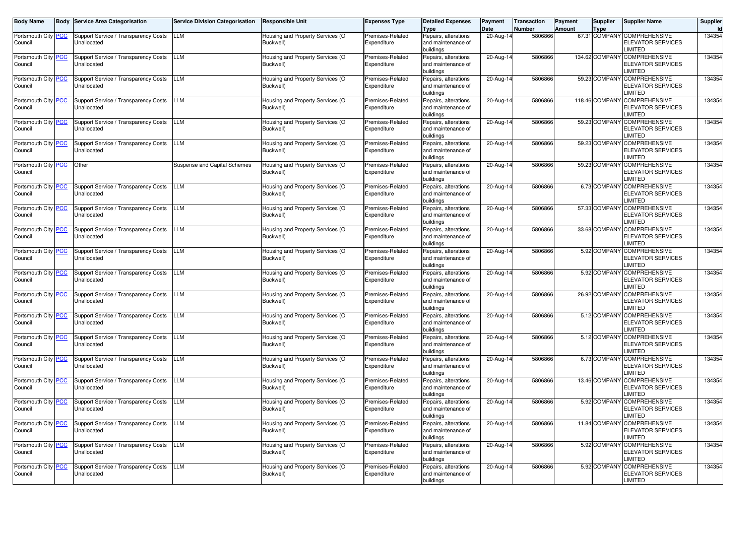| <b>Body Name</b>               | <b>Body</b> | <b>Service Area Categorisation</b>                  | <b>Service Division Categorisation</b> | <b>Responsible Unit</b>                       | <b>Expenses Type</b>            | <b>Detailed Expenses</b><br>Type                        | Payment<br>Date | Transaction<br><b>Number</b> | Payment<br>Amount | <b>Supplier</b><br><b>Type</b> | <b>Supplier Name</b>                                               | Supplier |
|--------------------------------|-------------|-----------------------------------------------------|----------------------------------------|-----------------------------------------------|---------------------------------|---------------------------------------------------------|-----------------|------------------------------|-------------------|--------------------------------|--------------------------------------------------------------------|----------|
| Portsmouth City PCC<br>Council |             | Support Service / Transparency Costs<br>Unallocated | LLM                                    | Housing and Property Services (O<br>Buckwell) | Premises-Related<br>Expenditure | Repairs, alterations<br>and maintenance of<br>buildings | 20-Aug-14       | 5806866                      |                   | 67.31 COMPANY                  | <b>COMPREHENSIVE</b><br><b>ELEVATOR SERVICES</b><br>LIMITED        | 134354   |
| Portsmouth City PCC<br>Council |             | Support Service / Transparency Costs<br>Jnallocated | LLM                                    | Housing and Property Services (O<br>Buckwell) | Premises-Related<br>Expenditure | Repairs, alterations<br>and maintenance of<br>buildings | 20-Aug-14       | 5806866                      |                   | 134.62 COMPANY                 | <b>COMPREHENSIVE</b><br><b>ELEVATOR SERVICES</b><br>LIMITED        | 134354   |
| Portsmouth City PCC<br>Council |             | Support Service / Transparency Costs<br>Jnallocated | LLM                                    | Housing and Property Services (O<br>Buckwell) | Premises-Related<br>Expenditure | Repairs, alterations<br>and maintenance of<br>buildings | 20-Aug-14       | 5806866                      |                   | 59.23 COMPANY                  | <b>COMPREHENSIVE</b><br><b>ELEVATOR SERVICES</b><br>LIMITED        | 134354   |
| Portsmouth City PCC<br>Council |             | Support Service / Transparency Costs<br>Jnallocated | LLM                                    | Housing and Property Services (O<br>Buckwell) | Premises-Related<br>Expenditure | Repairs, alterations<br>and maintenance of<br>buildings | 20-Aug-14       | 5806866                      |                   | 118.46 COMPANY                 | <b>COMPREHENSIVE</b><br><b>ELEVATOR SERVICES</b><br>LIMITED        | 134354   |
| Portsmouth City PCC<br>Council |             | Support Service / Transparency Costs<br>Unallocated | LLM                                    | Housing and Property Services (O<br>Buckwell) | Premises-Related<br>Expenditure | Repairs, alterations<br>and maintenance of<br>buildings | 20-Aug-14       | 5806866                      |                   | 59.23 COMPANY                  | <b>COMPREHENSIVE</b><br><b>ELEVATOR SERVICES</b><br>LIMITED        | 134354   |
| Portsmouth City PCC<br>Council |             | Support Service / Transparency Costs<br>Unallocated | LLM                                    | Housing and Property Services (O<br>Buckwell) | Premises-Related<br>Expenditure | Repairs, alterations<br>and maintenance of<br>buildinas | 20-Aug-14       | 5806866                      |                   | 59.23 COMPANY                  | <b>COMPREHENSIVE</b><br><b>ELEVATOR SERVICES</b><br>LIMITED        | 134354   |
| Portsmouth City PCC<br>Council |             | Other                                               | Suspense and Capital Schemes           | Housing and Property Services (O<br>Buckwell) | Premises-Related<br>Expenditure | Repairs, alterations<br>and maintenance of<br>buildinas | 20-Aug-14       | 5806866                      |                   | 59.23 COMPANY                  | <b>COMPREHENSIVE</b><br><b>ELEVATOR SERVICES</b><br>LIMITED        | 134354   |
| Portsmouth City PCC<br>Council |             | Support Service / Transparency Costs<br>Jnallocated | LLM                                    | Housing and Property Services (O<br>Buckwell) | Premises-Related<br>Expenditure | Repairs, alterations<br>and maintenance of<br>buildinas | 20-Aug-14       | 5806866                      |                   | 6.73 COMPANY                   | <b>COMPREHENSIVE</b><br><b>ELEVATOR SERVICES</b><br>LIMITED        | 134354   |
| Portsmouth City PCC<br>Council |             | Support Service / Transparency Costs<br>Jnallocated | LLM                                    | Housing and Property Services (O<br>Buckwell) | Premises-Related<br>Expenditure | Repairs, alterations<br>and maintenance of<br>buildinas | 20-Aug-14       | 5806866                      |                   | 57.33 COMPANY                  | <b>COMPREHENSIVE</b><br><b>ELEVATOR SERVICES</b><br>LIMITED        | 134354   |
| Portsmouth City PCC<br>Council |             | Support Service / Transparency Costs<br>Jnallocated | LLM                                    | Housing and Property Services (O<br>Buckwell) | Premises-Related<br>Expenditure | Repairs, alterations<br>and maintenance of<br>buildinas | 20-Aug-14       | 5806866                      |                   | 33.68 COMPANY                  | <b>COMPREHENSIVE</b><br><b>ELEVATOR SERVICES</b><br>LIMITED        | 134354   |
| Portsmouth City PCC<br>Council |             | Support Service / Transparency Costs<br>Jnallocated | LLM                                    | Housing and Property Services (O<br>Buckwell) | Premises-Related<br>Expenditure | Repairs, alterations<br>and maintenance of<br>buildinas | 20-Aug-14       | 5806866                      |                   | 5.92 COMPANY                   | <b>COMPREHENSIVE</b><br><b>ELEVATOR SERVICES</b><br>LIMITED        | 134354   |
| Portsmouth City PCC<br>Council |             | Support Service / Transparency Costs<br>Jnallocated | LLM                                    | Housing and Property Services (O<br>Buckwell) | Premises-Related<br>Expenditure | Repairs, alterations<br>and maintenance of<br>buildinas | 20-Aug-14       | 5806866                      |                   | 5.92 COMPANY                   | <b>COMPREHENSIVE</b><br><b>ELEVATOR SERVICES</b><br>LIMITED        | 134354   |
| Portsmouth City PCC<br>Council |             | Support Service / Transparency Costs<br>Jnallocated | LM.                                    | Housing and Property Services (O<br>Buckwell) | Premises-Related<br>Expenditure | Repairs, alterations<br>and maintenance of<br>buildinas | 20-Aug-14       | 5806866                      |                   | 26.92 COMPANY                  | <b>COMPREHENSIVE</b><br><b>ELEVATOR SERVICES</b><br>LIMITED        | 134354   |
| Portsmouth City PCC<br>Council |             | Support Service / Transparency Costs<br>Jnallocated | LM.                                    | Housing and Property Services (O<br>Buckwell) | Premises-Related<br>Expenditure | Repairs, alterations<br>and maintenance of<br>buildinas | 20-Aug-14       | 5806866                      |                   | 5.12 COMPANY                   | <b>COMPREHENSIVE</b><br><b>ELEVATOR SERVICES</b><br>LIMITED        | 134354   |
| Portsmouth City PCC<br>Council |             | Support Service / Transparency Costs<br>Jnallocated | LM.                                    | Housing and Property Services (O<br>Buckwell) | Premises-Related<br>Expenditure | Repairs, alterations<br>and maintenance of<br>buildinas | 20-Aug-14       | 5806866                      |                   | 5.12 COMPANY                   | <b>COMPREHENSIVE</b><br><b>ELEVATOR SERVICES</b><br>LIMITED        | 134354   |
| Portsmouth City PCC<br>Council |             | Support Service / Transparency Costs<br>Jnallocated | LM.                                    | Housing and Property Services (O<br>Buckwell) | Premises-Related<br>Expenditure | Repairs, alterations<br>and maintenance of<br>buildinas | 20-Aug-14       | 5806866                      |                   | 6.73 COMPANY                   | <b>COMPREHENSIVE</b><br><b>ELEVATOR SERVICES</b><br>LIMITED        | 134354   |
| Portsmouth City PCC<br>Council |             | Support Service / Transparency Costs<br>Jnallocated | LM.                                    | Housing and Property Services (O<br>Buckwell) | Premises-Related<br>Expenditure | Repairs, alterations<br>and maintenance of<br>buildinas | 20-Aug-14       | 5806866                      |                   | 13.46 COMPANY                  | <b>COMPREHENSIVE</b><br><b>ELEVATOR SERVICES</b><br>LIMITED        | 134354   |
| Portsmouth City PCC<br>Council |             | Support Service / Transparency Costs<br>Unallocated | LM.                                    | Housing and Property Services (O<br>Buckwell) | Premises-Related<br>Expenditure | Repairs, alterations<br>and maintenance of<br>buildings | $20 - Aug-1$    | 5806866                      |                   | 5.92 COMPANY                   | <b>COMPREHENSIVE</b><br><b>ELEVATOR SERVICES</b><br>LIMITED        | 134354   |
| Portsmouth City PCC<br>Council |             | Support Service / Transparency Costs<br>Unallocated | <b>LLM</b>                             | Housing and Property Services (O<br>Buckwell) | Premises-Related<br>Expenditure | Repairs, alterations<br>and maintenance of<br>buildings | 20-Aug-14       | 5806866                      |                   |                                | 11.84 COMPANY COMPREHENSIVE<br><b>ELEVATOR SERVICES</b><br>LIMITED | 134354   |
| Portsmouth City PCC<br>Council |             | Support Service / Transparency Costs<br>Unallocated | LLM                                    | Housing and Property Services (O<br>Buckwell) | Premises-Related<br>Expenditure | Repairs, alterations<br>and maintenance of<br>buildings | 20-Aug-14       | 5806866                      |                   |                                | 5.92 COMPANY COMPREHENSIVE<br><b>ELEVATOR SERVICES</b><br>LIMITED  | 134354   |
| Portsmouth City PCC<br>Council |             | Support Service / Transparency Costs<br>Unallocated | LLM                                    | Housing and Property Services (O<br>Buckwell) | Premises-Related<br>Expenditure | Repairs, alterations<br>and maintenance of<br>buildings | 20-Aug-14       | 5806866                      |                   | 5.92 COMPANY                   | <b>COMPREHENSIVE</b><br><b>ELEVATOR SERVICES</b><br>LIMITED        | 134354   |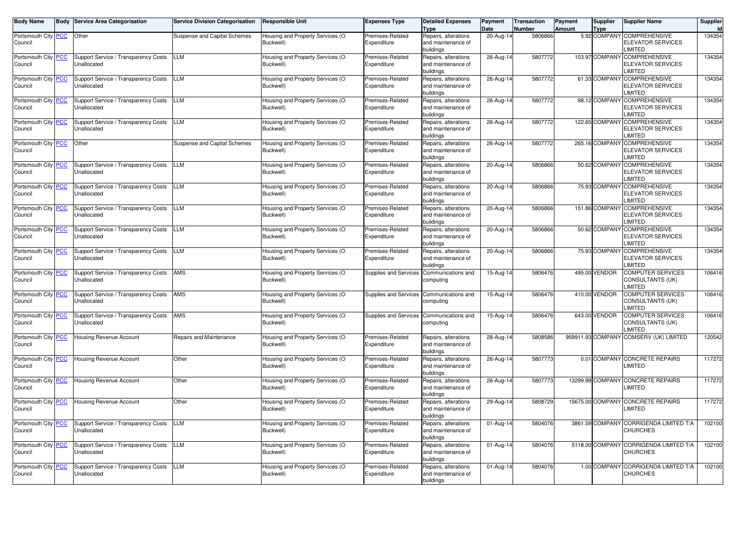| <b>Body Name</b>               | <b>Body Service Area Categorisation</b>             | <b>Service Division Categorisation</b> | <b>Responsible Unit</b>                       | <b>Expenses Type</b>            | <b>Detailed Expenses</b><br><b>Type</b>                 | Payment<br>Date | <b>Transaction</b><br>Number | Payment<br><b>Amount</b> | Supplier<br><b>Type</b> | <b>Supplier Name</b>                                                      | Supplier<br>$\mathsf{Id}$ |
|--------------------------------|-----------------------------------------------------|----------------------------------------|-----------------------------------------------|---------------------------------|---------------------------------------------------------|-----------------|------------------------------|--------------------------|-------------------------|---------------------------------------------------------------------------|---------------------------|
| Portsmouth City PCC<br>Council | Other                                               | Suspense and Capital Schemes           | Housing and Property Services (O<br>Buckwell) | Premises-Related<br>Expenditure | Repairs, alterations<br>and maintenance of<br>buildings | 20-Aug-14       | 5806866                      |                          | 5.92 COMPANY            | <b>COMPREHENSIVE</b><br><b>ELEVATOR SERVICES</b><br><b>IMITED</b>         | 134354                    |
| Portsmouth City PCC<br>Council | Support Service / Transparency Costs<br>Unallocated | LLM                                    | lousing and Property Services (O<br>Buckwell) | Premises-Related<br>Expenditure | Repairs, alterations<br>and maintenance of<br>buildings | 26-Aug-14       | 5807772                      |                          |                         | 103.97 COMPANY COMPREHENSIVE<br><b>ELEVATOR SERVICES</b><br><b>IMITED</b> | 134354                    |
| Portsmouth City PCC<br>Council | Support Service / Transparency Costs<br>Unallocated | LLM                                    | Housing and Property Services (O<br>Buckwell) | Premises-Related<br>Expenditure | Repairs, alterations<br>and maintenance of<br>buildinas | 26-Aug-14       | 5807772                      |                          |                         | 61.33 COMPANY COMPREHENSIVE<br><b>ELEVATOR SERVICES</b><br><b>IMITED</b>  | 134354                    |
| Portsmouth City PCC<br>Council | Support Service / Transparency Costs<br>Unallocated | <b>LLM</b>                             | Housing and Property Services (O<br>Buckwell) | Premises-Related<br>Expenditure | Repairs, alterations<br>and maintenance of<br>buildings | 26-Aug-14       | 5807772                      |                          |                         | 98.12 COMPANY COMPREHENSIVE<br><b>ELEVATOR SERVICES</b><br><b>IMITED</b>  | 134354                    |
| Portsmouth City PCC<br>Council | Support Service / Transparency Costs<br>Unallocated | <b>LLM</b>                             | Housing and Property Services (O<br>Buckwell) | Premises-Related<br>Expenditure | Repairs, alterations<br>and maintenance of<br>buildings | 26-Aug-14       | 5807772                      |                          | 122.65 COMPANY          | <b>COMPREHENSIVE</b><br>ELEVATOR SERVICES<br>LIMITED                      | 134354                    |
| Portsmouth City PCC<br>Council | Other                                               | Suspense and Capital Schemes           | Housing and Property Services (O<br>Buckwell) | Premises-Related<br>Expenditure | Repairs, alterations<br>and maintenance of<br>buildings | 26-Aug-14       | 5807772                      |                          | 265.16 COMPANY          | <b>COMPREHENSIVE</b><br>ELEVATOR SERVICES<br><b>IMITED</b>                | 134354                    |
| Portsmouth City PCC<br>Council | Support Service / Transparency Costs<br>Unallocated | <b>LLM</b>                             | Housing and Property Services (O<br>Buckwell) | Premises-Related<br>Expenditure | Repairs, alterations<br>and maintenance of<br>buildings | 20-Aug-14       | 5806866                      |                          | 50.62 COMPANY           | <b>COMPREHENSIVE</b><br><b>ELEVATOR SERVICES</b><br><b>IMITED</b>         | 134354                    |
| Portsmouth City PCC<br>Council | Support Service / Transparency Costs<br>Unallocated | <b>LLM</b>                             | Housing and Property Services (O<br>Buckwell) | Premises-Related<br>Expenditure | Repairs, alterations<br>and maintenance of<br>buildings | 20-Aug-14       | 5806866                      |                          | 75.93 COMPANY           | <b>COMPREHENSIVE</b><br>ELEVATOR SERVICES<br><b>IMITED</b>                | 134354                    |
| Portsmouth City PCC<br>Council | Support Service / Transparency Costs<br>Unallocated | <b>LLM</b>                             | Housing and Property Services (O<br>Buckwell) | Premises-Related<br>Expenditure | Repairs, alterations<br>and maintenance of<br>buildings | 20-Aug-14       | 5806866                      |                          |                         | 151.86 COMPANY COMPREHENSIVE<br><b>ELEVATOR SERVICES</b><br><b>IMITED</b> | 134354                    |
| Portsmouth City PCC<br>Council | Support Service / Transparency Costs<br>Unallocated | <b>LLM</b>                             | Housing and Property Services (O<br>Buckwell) | Premises-Related<br>Expenditure | Repairs, alterations<br>and maintenance of<br>buildings | $20 - Aug-14$   | 5806866                      |                          | 50.62 COMPANY           | <b>COMPREHENSIVE</b><br>ELEVATOR SERVICES<br><b>IMITED</b>                | 134354                    |
| Portsmouth City PCC<br>Council | Support Service / Transparency Costs<br>Unallocated | LLM                                    | Housing and Property Services (O<br>Buckwell) | Premises-Related<br>Expenditure | Repairs, alterations<br>and maintenance of<br>buildings | 20-Aug-14       | 5806866                      |                          | 75.93 COMPANY           | <b>COMPREHENSIVE</b><br>ELEVATOR SERVICES<br><b>IMITED</b>                | 134354                    |
| Portsmouth City PCC<br>Council | Support Service / Transparency Costs<br>Unallocated | AMS                                    | Housing and Property Services (O<br>Buckwell) | Supplies and Services           | Communications and<br>computing                         | $15-Aug-14$     | 5806476                      |                          | 495.00 VENDOR           | <b>COMPUTER SERVICES</b><br>CONSULTANTS (UK)<br><b>IMITED</b>             | 106416                    |
| Portsmouth City PCC<br>Council | Support Service / Transparency Costs<br>Unallocated | AMS                                    | Housing and Property Services (O<br>Buckwell) | Supplies and Services           | Communications and<br>computing                         | 15-Aug-14       | 5806476                      |                          | 410.00 VENDOR           | COMPUTER SERVICES<br>CONSULTANTS (UK)<br><b>IMITED</b>                    | 106416                    |
| Portsmouth City PCC<br>Council | Support Service / Transparency Costs<br>Unallocated | AMS                                    | Housing and Property Services (O<br>Buckwell) | <b>Supplies and Services</b>    | Communications and<br>computing                         | 15-Aug-14       | 5806476                      |                          | 643.00 VENDOR           | <b>COMPUTER SERVICES</b><br>CONSULTANTS (UK)<br><b>IMITED</b>             | 106416                    |
| Portsmouth City PCC<br>Council | <b>Housing Revenue Account</b>                      | Repairs and Maintenance                | Housing and Property Services (O<br>Buckwell) | Premises-Related<br>Expenditure | Repairs, alterations<br>and maintenance of<br>buildings | 28-Aug-14       | 5808586                      |                          |                         | 959911.93 COMPANY COMSERV (UK) LIMITED                                    | 120542                    |
| Portsmouth City PCC<br>Council | Housing Revenue Account                             | Other                                  | Housing and Property Services (O<br>Buckwell) | Premises-Related<br>Expenditure | Repairs, alterations<br>and maintenance of<br>buildings | 26-Aug-14       | 5807773                      |                          |                         | 0.01 COMPANY CONCRETE REPAIRS<br><b>IMITED</b>                            | 117272                    |
| Portsmouth City PCC<br>Council | Housing Revenue Account                             | Other                                  | Housing and Property Services (O<br>Buckwell) | Premises-Related<br>Expenditure | Repairs, alterations<br>and maintenance of<br>buildings | 26-Aug-14       | 5807773                      |                          |                         | 13299.99 COMPANY CONCRETE REPAIRS<br><b>IMITED</b>                        | 117272                    |
| Portsmouth City PCC<br>Council | <b>Housing Revenue Account</b>                      | Other                                  | Housing and Property Services (O<br>Buckwell) | Premises-Related<br>Expenditure | Repairs, alterations<br>and maintenance of<br>buildings | 29-Aug-14       | 5808729                      |                          |                         | 15675.00 COMPANY CONCRETE REPAIRS<br><b>IMITED</b>                        | 117272                    |
| Portsmouth City PCC<br>Council | Support Service / Transparency Costs<br>Unallocated | <b>LLM</b>                             | Housing and Property Services (O<br>Buckwell) | Premises-Related<br>Expenditure | Repairs, alterations<br>and maintenance of<br>buildings | 01-Aug-14       | 5804076                      |                          |                         | 3861.59 COMPANY CORRIGENDA LIMITED T/A<br>CHURCHES                        | 102100                    |
| Portsmouth City PCC<br>Council | Support Service / Transparency Costs<br>Unallocated | <b>LLM</b>                             | Housing and Property Services (O<br>Buckwell) | Premises-Related<br>Expenditure | Repairs, alterations<br>and maintenance of<br>buildings | 01-Aug-14       | 5804076                      |                          | 5118.00 COMPANY         | CORRIGENDA LIMITED T/A<br><b>CHURCHES</b>                                 | 102100                    |
| Portsmouth City PCC<br>Council | Support Service / Transparency Costs<br>Unallocated | <b>LLM</b>                             | Housing and Property Services (O<br>Buckwell) | Premises-Related<br>Expenditure | Repairs, alterations<br>and maintenance of<br>buildings | 01-Aug-14       | 5804076                      |                          | 1.00 COMPANY            | CORRIGENDA LIMITED T/A<br><b>CHURCHES</b>                                 | 102100                    |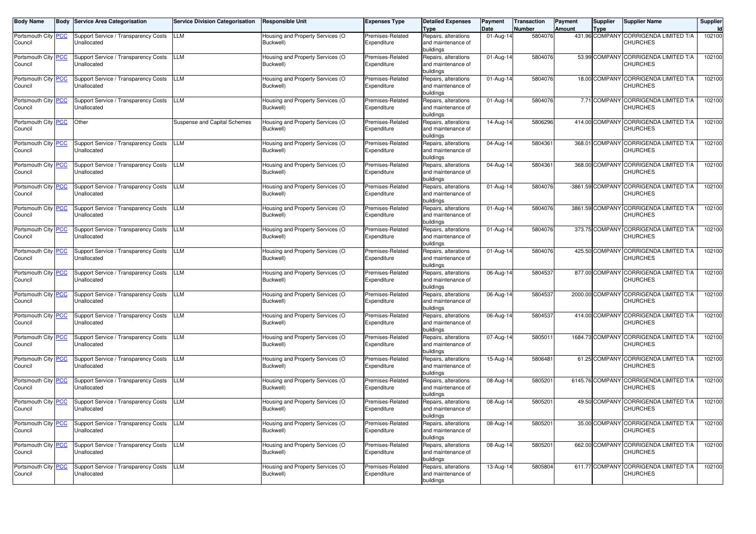| <b>Body Name</b>               | <b>Body</b> | <b>Service Area Categorisation</b>                  | <b>Service Division Categorisation</b> | <b>Responsible Unit</b>                       | <b>Expenses Type</b>            | <b>Detailed Expenses</b><br>Type                        | Payment<br>Date | Transaction<br><b>Number</b> | Payment<br>Amount | <b>Supplier</b><br><b>Type</b> | <b>Supplier Name</b>                                       | Supplier |
|--------------------------------|-------------|-----------------------------------------------------|----------------------------------------|-----------------------------------------------|---------------------------------|---------------------------------------------------------|-----------------|------------------------------|-------------------|--------------------------------|------------------------------------------------------------|----------|
| Portsmouth City PCC<br>Council |             | Support Service / Transparency Costs<br>Unallocated | LLM                                    | Housing and Property Services (O<br>Buckwell) | Premises-Related<br>Expenditure | Repairs, alterations<br>and maintenance of<br>buildings | 01-Aug-14       | 5804076                      |                   | 431.96 COMPANY                 | <b>CORRIGENDA LIMITED T/A</b><br><b>CHURCHES</b>           | 102100   |
| Portsmouth City PCC<br>Council |             | Support Service / Transparency Costs<br>Unallocated | LLM                                    | Housing and Property Services (O<br>Buckwell) | Premises-Related<br>Expenditure | Repairs, alterations<br>and maintenance of<br>buildings | 01-Aug-14       | 5804076                      |                   |                                | 53.99 COMPANY CORRIGENDA LIMITED T/A<br><b>CHURCHES</b>    | 102100   |
| Portsmouth City PCC<br>Council |             | Support Service / Transparency Costs<br>Unallocated | LLM                                    | Housing and Property Services (O<br>Buckwell) | Premises-Related<br>Expenditure | Repairs, alterations<br>and maintenance of<br>buildings | 01-Aug-14       | 5804076                      |                   |                                | 18.00 COMPANY CORRIGENDA LIMITED T/A<br><b>CHURCHES</b>    | 102100   |
| Portsmouth City PCC<br>Council |             | Support Service / Transparency Costs<br>Unallocated | LLM                                    | Housing and Property Services (O<br>Buckwell) | Premises-Related<br>Expenditure | Repairs, alterations<br>and maintenance of<br>buildings | 01-Aug-14       | 5804076                      |                   |                                | 7.71 COMPANY CORRIGENDA LIMITED T/A<br><b>CHURCHES</b>     | 102100   |
| Portsmouth City PCC<br>Council |             | Other                                               | Suspense and Capital Schemes           | Housing and Property Services (O<br>Buckwell) | Premises-Related<br>Expenditure | Repairs, alterations<br>and maintenance of<br>buildings | 14-Aug-14       | 5806296                      |                   |                                | 414.00 COMPANY CORRIGENDA LIMITED T/A<br><b>CHURCHES</b>   | 102100   |
| Portsmouth City PCC<br>Council |             | Support Service / Transparency Costs<br>Unallocated | LLM                                    | Housing and Property Services (O<br>Buckwell) | Premises-Related<br>Expenditure | Repairs, alterations<br>and maintenance of<br>buildings | 04-Aug-14       | 5804361                      |                   |                                | 368.01 COMPANY CORRIGENDA LIMITED T/A<br><b>CHURCHES</b>   | 102100   |
| Portsmouth City PCC<br>Council |             | Support Service / Transparency Costs<br>Unallocated | LLM                                    | Housing and Property Services (O<br>Buckwell) | Premises-Related<br>Expenditure | Repairs, alterations<br>and maintenance of<br>buildings | 04-Aug-14       | 5804361                      |                   |                                | 368.00 COMPANY CORRIGENDA LIMITED T/A<br><b>CHURCHES</b>   | 102100   |
| Portsmouth City PCC<br>Council |             | Support Service / Transparency Costs<br>Jnallocated | LLM                                    | Housing and Property Services (O<br>Buckwell) | Premises-Related<br>Expenditure | Repairs, alterations<br>and maintenance of<br>buildings | 01-Aug-14       | 5804076                      |                   |                                | -3861.59 COMPANY CORRIGENDA LIMITED T/A<br><b>CHURCHES</b> | 102100   |
| Portsmouth City PCC<br>Council |             | Support Service / Transparency Costs<br>Jnallocated | LLM                                    | Housing and Property Services (O<br>Buckwell) | Premises-Related<br>Expenditure | Repairs, alterations<br>and maintenance of<br>buildings | 01-Aug-14       | 5804076                      |                   |                                | 3861.59 COMPANY CORRIGENDA LIMITED T/A<br><b>CHURCHES</b>  | 102100   |
| Portsmouth City PCC<br>Council |             | Support Service / Transparency Costs<br>Jnallocated | LLM                                    | Housing and Property Services (O<br>Buckwell) | Premises-Related<br>Expenditure | Repairs, alterations<br>and maintenance of<br>buildings | 01-Aug-14       | 5804076                      |                   |                                | 373.75 COMPANY CORRIGENDA LIMITED T/A<br><b>CHURCHES</b>   | 102100   |
| Portsmouth City PCC<br>Council |             | Support Service / Transparency Costs<br>Jnallocated | LLM                                    | Housing and Property Services (O<br>Buckwell) | Premises-Related<br>Expenditure | Repairs, alterations<br>and maintenance of<br>buildings | 01-Aug-14       | 5804076                      |                   |                                | 425.50 COMPANY CORRIGENDA LIMITED T/A<br><b>CHURCHES</b>   | 102100   |
| Portsmouth City PCC<br>Council |             | Support Service / Transparency Costs<br>Jnallocated | LLM                                    | Housing and Property Services (O<br>Buckwell) | Premises-Related<br>Expenditure | Repairs, alterations<br>and maintenance of<br>buildings | 06-Aug-14       | 5804537                      |                   |                                | 877.00 COMPANY CORRIGENDA LIMITED T/A<br><b>CHURCHES</b>   | 102100   |
| Portsmouth City PCC<br>Council |             | Support Service / Transparency Costs<br>Jnallocated | LM.                                    | Housing and Property Services (O<br>Buckwell) | Premises-Related<br>Expenditure | Repairs, alterations<br>and maintenance of<br>buildings | 06-Aug-14       | 5804537                      |                   | 2000.00 COMPANY                | CORRIGENDA LIMITED T/A<br><b>CHURCHES</b>                  | 102100   |
| Portsmouth City PCC<br>Council |             | Support Service / Transparency Costs<br>Jnallocated | LM.                                    | Housing and Property Services (O<br>Buckwell) | Premises-Related<br>Expenditure | Repairs, alterations<br>and maintenance of<br>buildings | 06-Aug-14       | 5804537                      |                   | 414.00 COMPANY                 | CORRIGENDA LIMITED T/A<br><b>CHURCHES</b>                  | 102100   |
| Portsmouth City PCC<br>Council |             | Support Service / Transparency Costs<br>Jnallocated | LM.                                    | Housing and Property Services (O<br>Buckwell) | Premises-Related<br>Expenditure | Repairs, alterations<br>and maintenance of<br>buildings | 07-Aug-14       | 5805011                      |                   | 1684.73 COMPANY                | <b>CORRIGENDA LIMITED T/A</b><br><b>CHURCHES</b>           | 102100   |
| Portsmouth City PCC<br>Council |             | Support Service / Transparency Costs<br>Jnallocated | LM.                                    | Housing and Property Services (O<br>Buckwell) | Premises-Related<br>Expenditure | Repairs, alterations<br>and maintenance of<br>buildings | 15-Aug-14       | 5806481                      |                   | 61.25 COMPANY                  | <b>CORRIGENDA LIMITED T/A</b><br><b>CHURCHES</b>           | 102100   |
| Portsmouth City PCC<br>Council |             | Support Service / Transparency Costs<br>Jnallocated | LM.                                    | Housing and Property Services (O<br>Buckwell) | Premises-Related<br>Expenditure | Repairs, alterations<br>and maintenance of<br>buildings | 08-Aug-14       | 5805201                      |                   | 6145.76 COMPANY                | <b>CORRIGENDA LIMITED T/A</b><br><b>CHURCHES</b>           | 102100   |
| Portsmouth City PCC<br>Council |             | Support Service / Transparency Costs<br>Unallocated | LM.                                    | Housing and Property Services (O<br>Buckwell) | Premises-Related<br>Expenditure | Repairs, alterations<br>and maintenance of<br>buildings | $08$ -Aug-1     | 5805201                      |                   | 49.50 COMPANY                  | <b>CORRIGENDA LIMITED T/A</b><br><b>CHURCHES</b>           | 102100   |
| Portsmouth City PCC<br>Council |             | Support Service / Transparency Costs<br>Unallocated | <b>LLM</b>                             | Housing and Property Services (O<br>Buckwell) | Premises-Related<br>Expenditure | Repairs, alterations<br>and maintenance of<br>buildings | 08-Aug-14       | 5805201                      |                   |                                | 35.00 COMPANY CORRIGENDA LIMITED T/A<br><b>CHURCHES</b>    | 102100   |
| Portsmouth City PCC<br>Council |             | Support Service / Transparency Costs<br>Unallocated | LLM                                    | Housing and Property Services (O<br>Buckwell) | Premises-Related<br>Expenditure | Repairs, alterations<br>and maintenance of<br>buildings | 08-Aug-14       | 5805201                      |                   |                                | 662.00 COMPANY CORRIGENDA LIMITED T/A<br><b>CHURCHES</b>   | 102100   |
| Portsmouth City PCC<br>Council |             | Support Service / Transparency Costs<br>Unallocated | LLM                                    | Housing and Property Services (O<br>Buckwell) | Premises-Related<br>Expenditure | Repairs, alterations<br>and maintenance of<br>buildings | 13-Aug-14       | 5805804                      |                   |                                | 611.77 COMPANY CORRIGENDA LIMITED T/A<br><b>CHURCHES</b>   | 102100   |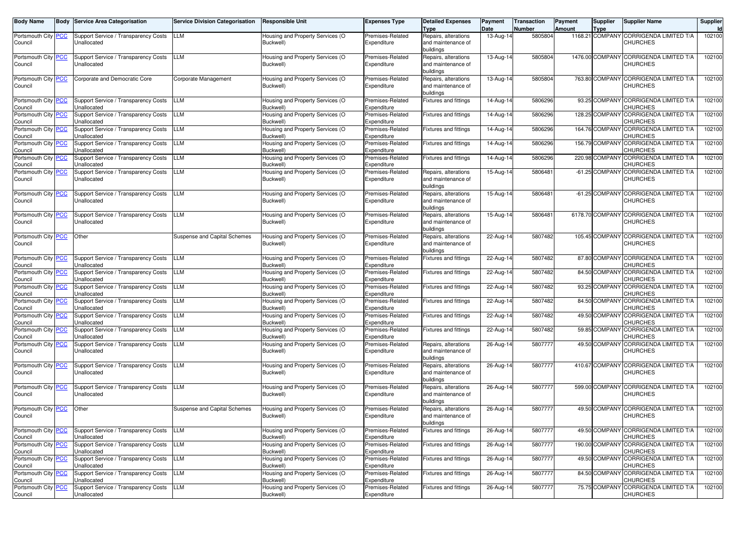| <b>Body Name</b>               | Body | <b>Service Area Categorisation</b>                         | <b>Service Division Categorisation</b> | <b>Responsible Unit</b>                       | <b>Expenses Type</b>            | <b>Detailed Expenses</b>                   | Payment           | Transaction       | Payment | <b>Supplier</b> | <b>Supplier Name</b>                                    | Supplier |
|--------------------------------|------|------------------------------------------------------------|----------------------------------------|-----------------------------------------------|---------------------------------|--------------------------------------------|-------------------|-------------------|---------|-----------------|---------------------------------------------------------|----------|
| Portsmouth City PCC            |      | Support Service / Transparency Costs                       | LLM                                    | Housing and Property Services (O              | Premises-Related                | <b>Type</b><br>Repairs, alterations        | Date<br>13-Aug-14 | Number<br>5805804 | Amount  | <b>Type</b>     | 1168.21 COMPANY CORRIGENDA LIMITED T/A                  | 102100   |
| Council                        |      | Unallocated                                                |                                        | Buckwell)                                     | Expenditure                     | and maintenance of                         |                   |                   |         |                 | <b>CHURCHES</b>                                         |          |
|                                |      |                                                            |                                        |                                               |                                 | buildings                                  |                   |                   |         |                 |                                                         |          |
| Portsmouth City PCC            |      | Support Service / Transparency Costs                       | LLM                                    | Housing and Property Services (O              | Premises-Related                | Repairs, alterations                       | 13-Aug-14         | 5805804           |         |                 | 1476.00 COMPANY CORRIGENDA LIMITED T/A                  | 102100   |
| Council                        |      | Unallocated                                                |                                        | Buckwell)                                     | Expenditure                     | and maintenance of<br>buildings            |                   |                   |         |                 | <b>CHURCHES</b>                                         |          |
| Portsmouth City PCC            |      | Corporate and Democratic Core                              | Corporate Management                   | Housing and Property Services (O              | Premises-Related                | Repairs, alterations                       | 13-Aug-14         | 5805804           |         |                 | 763.80 COMPANY CORRIGENDA LIMITED T/A                   | 102100   |
| Council                        |      |                                                            |                                        | Buckwell)                                     | Expenditure                     | and maintenance of                         |                   |                   |         |                 | <b>CHURCHES</b>                                         |          |
|                                |      |                                                            |                                        |                                               |                                 | buildings                                  |                   |                   |         |                 |                                                         |          |
| Portsmouth City <b>PCC</b>     |      | Support Service / Transparency Costs<br>Unallocated        | LLM                                    | Housing and Property Services (O<br>Buckwell) | Premises-Related<br>Expenditure | Fixtures and fittings                      | 14-Aug-14         | 5806296           |         |                 | 93.25 COMPANY CORRIGENDA LIMITED T/A<br><b>CHURCHES</b> | 102100   |
| Council<br>Portsmouth City PCC |      | Support Service / Transparency Costs                       | LLM                                    | Housing and Property Services (O              | Premises-Related                | <b>Fixtures and fittings</b>               | 14-Aug-14         | 5806296           |         | 128.25 COMPANY  | <b>CORRIGENDA LIMITED T/A</b>                           | 102100   |
| Council                        |      | Unallocated                                                |                                        | Buckwell)                                     | Expenditure                     |                                            |                   |                   |         |                 | CHURCHES                                                |          |
| Portsmouth City PCC            |      | Support Service / Transparency Costs                       | LLM                                    | Housing and Property Services (O              | Premises-Related                | <b>Fixtures and fittings</b>               | 14-Aug-14         | 5806296           |         |                 | 164.76 COMPANY CORRIGENDA LIMITED T/A                   | 102100   |
| Council                        |      | Jnallocated                                                |                                        | Buckwell)                                     | Expenditure                     |                                            |                   |                   |         |                 | <b>CHURCHES</b>                                         |          |
| Portsmouth City PCC<br>Council |      | Support Service / Transparency Costs<br>Unallocated        | LLM                                    | Housing and Property Services (O<br>Buckwell) | Premises-Related<br>Expenditure | <b>Fixtures and fittings</b>               | 14-Aug-14         | 5806296           |         |                 | 156.79 COMPANY CORRIGENDA LIMITED T/A<br>CHURCHES       | 102100   |
| Portsmouth City PCC            |      | Support Service / Transparency Costs                       | LLM                                    | Housing and Property Services (O              | Premises-Related                | <b>Fixtures and fittings</b>               | 14-Aug-14         | 5806296           |         | 220.98 COMPANY  | <b>CORRIGENDA LIMITED T/A</b>                           | 102100   |
| Council                        |      | Unallocated                                                |                                        | Buckwell)                                     | Expenditure                     |                                            |                   |                   |         |                 | CHURCHES                                                |          |
| Portsmouth City PCC            |      | Support Service / Transparency Costs                       | LLM                                    | Housing and Property Services (O              | Premises-Related                | Repairs, alterations                       | 15-Aug-14         | 5806481           |         | -61.25 COMPANY  | <b>CORRIGENDA LIMITED T/A</b>                           | 102100   |
| Council                        |      | Unallocated                                                |                                        | Buckwell)                                     | Expenditure                     | and maintenance of<br>buildings            |                   |                   |         |                 | <b>CHURCHES</b>                                         |          |
| Portsmouth City PCC            |      | Support Service / Transparency Costs                       | LLM                                    | Housing and Property Services (O              | Premises-Related                | Repairs, alterations                       | 15-Aug-14         | 5806481           |         | -61.25 COMPANY  | <b>CORRIGENDA LIMITED T/A</b>                           | 102100   |
| Council                        |      | Unallocated                                                |                                        | Buckwell)                                     | Expenditure                     | and maintenance of                         |                   |                   |         |                 | <b>CHURCHES</b>                                         |          |
|                                |      |                                                            |                                        |                                               |                                 | buildings                                  |                   |                   |         |                 |                                                         |          |
| Portsmouth City PCC<br>Council |      | Support Service / Transparency Costs<br>Unallocated        | LLM                                    | Housing and Property Services (O<br>Buckwell) | Premises-Related<br>Expenditure | Repairs, alterations<br>and maintenance of | 15-Aug-14         | 5806481           |         | 6178.70 COMPANY | <b>CORRIGENDA LIMITED T/A</b><br><b>CHURCHES</b>        | 102100   |
|                                |      |                                                            |                                        |                                               |                                 | buildings                                  |                   |                   |         |                 |                                                         |          |
| Portsmouth City PCC            |      | Other                                                      | <b>Suspense and Capital Schemes</b>    | Housing and Property Services (O              | Premises-Related                | Repairs, alterations                       | 22-Aug-14         | 5807482           |         | 105.45 COMPANY  | <b>CORRIGENDA LIMITED T/A</b>                           | 102100   |
| Council                        |      |                                                            |                                        | Buckwell)                                     | Expenditure                     | and maintenance of                         |                   |                   |         |                 | <b>CHURCHES</b>                                         |          |
| Portsmouth City PCC            |      | Support Service / Transparency Costs                       | LLM                                    | Housing and Property Services (O              | Premises-Related                | buildings<br><b>Fixtures and fittings</b>  | 22-Aug-14         | 5807482           |         |                 | 87.80 COMPANY CORRIGENDA LIMITED T/A                    | 102100   |
| Council                        |      | Jnallocated                                                |                                        | Buckwell)                                     | Expenditure                     |                                            |                   |                   |         |                 | CHURCHES                                                |          |
| Portsmouth City PCC            |      | Support Service / Transparency Costs                       | LLM                                    | Housing and Property Services (O              | Premises-Related                | <b>Fixtures and fittings</b>               | 22-Aug-14         | 5807482           |         |                 | 84.50 COMPANY CORRIGENDA LIMITED T/A                    | 102100   |
| Council                        |      | Unallocated                                                |                                        | Buckwell)                                     | Expenditure                     |                                            |                   |                   |         |                 | CHURCHES                                                |          |
| Portsmouth City PCC<br>Council |      | Support Service / Transparency Costs<br>Unallocated        | LLM                                    | Housing and Property Services (O<br>Buckwell) | Premises-Related<br>Expenditure | <b>Fixtures and fittings</b>               | 22-Aug-1          | 5807482           |         | 93.25 COMPAN    | CORRIGENDA LIMITED T/A<br>CHURCHES                      | 102100   |
| Portsmouth City PCC            |      | Support Service / Transparency Costs                       | LLM                                    | Housing and Property Services (O              | Premises-Related                | <b>Fixtures and fittings</b>               | 22-Aug-14         | 5807482           |         |                 | 84.50 COMPANY CORRIGENDA LIMITED T/A                    | 102100   |
| Council                        |      | Jnallocated                                                |                                        | Buckwell)                                     | Expenditure                     |                                            |                   |                   |         |                 | CHURCHES                                                |          |
| Portsmouth City PCC            |      | Support Service / Transparency Costs                       | LLM                                    | Housing and Property Services (O              | Premises-Related                | <b>Fixtures and fittings</b>               | 22-Aug-14         | 5807482           |         |                 | 49.50 COMPANY CORRIGENDA LIMITED T/A                    | 102100   |
| Council<br>Portsmouth City PCC |      | Unallocated<br>Support Service / Transparency Costs        | LLM                                    | Buckwell)<br>Housing and Property Services (O | Expenditure<br>Premises-Related | <b>Fixtures and fittings</b>               | $22$ -Aug-1       | 5807482           |         | 59.85 COMPANY   | CHURCHES<br><b>CORRIGENDA LIMITED T/A</b>               | 102100   |
| Council                        |      | Unallocated                                                |                                        | Buckwell)                                     | Expenditure                     |                                            |                   |                   |         |                 | CHURCHES                                                |          |
| Portsmouth City PCC            |      | Support Service / Transparency Costs                       | LLM                                    | Housing and Property Services (O              | Premises-Related                | Repairs, alterations                       | 26-Aug-14         | 5807777           |         |                 | 49.50 COMPANY CORRIGENDA LIMITED T/A                    | 102100   |
| Council                        |      | Unallocated                                                |                                        | Buckwell)                                     | Expenditure                     | and maintenance of                         |                   |                   |         |                 | <b>CHURCHES</b>                                         |          |
| Portsmouth City PCC            |      | Support Service / Transparency Costs                       | LLM                                    | Housing and Property Services (O              | Premises-Related                | buildings<br>Repairs, alterations          | 26-Aug-14         | 5807777           |         | 410.67 COMPANY  | <b>CORRIGENDA LIMITED T/A</b>                           | 102100   |
| Council                        |      | Unallocated                                                |                                        | Buckwell)                                     | Expenditure                     | and maintenance of                         |                   |                   |         |                 | <b>CHURCHES</b>                                         |          |
|                                |      |                                                            |                                        |                                               |                                 | buildings                                  |                   |                   |         |                 |                                                         |          |
| Portsmouth City PCC            |      | Support Service / Transparency Costs                       | LLM                                    | Housing and Property Services (O              | Premises-Related                | Repairs, alterations                       | 26-Aug-14         | 5807777           |         | 599.00 COMPANY  | <b>CORRIGENDA LIMITED T/A</b>                           | 102100   |
| Council                        |      | Unallocated                                                |                                        | Buckwell)                                     | Expenditure                     | and maintenance of<br>buildings            |                   |                   |         |                 | <b>CHURCHES</b>                                         |          |
| Portsmouth City PCC            |      | Other                                                      | Suspense and Capital Schemes           | Housing and Property Services (O              | Premises-Related                | Repairs, alterations                       | 26-Aug-14         | 5807777           |         |                 | 49.50 COMPANY CORRIGENDA LIMITED T/A                    | 102100   |
| Council                        |      |                                                            |                                        | Buckwell)                                     | Expenditure                     | and maintenance of                         |                   |                   |         |                 | <b>CHURCHES</b>                                         |          |
|                                |      |                                                            |                                        |                                               |                                 | buildings                                  |                   |                   |         |                 |                                                         |          |
| Portsmouth City PCC<br>Council |      | Support Service / Transparency Costs<br><b>Unallocated</b> | LLM                                    | Housing and Property Services (O<br>Buckwell) | Premises-Related<br>Expenditure | <b>Fixtures and fittings</b>               | 26-Aug-14         | 5807777           |         |                 | 49.50 COMPANY CORRIGENDA LIMITED T/A<br>CHURCHES        | 102100   |
| Portsmouth City PCC            |      | Support Service / Transparency Costs                       | LLM                                    | Housing and Property Services (O              | Premises-Related                | Fixtures and fittings                      | 26-Aug-14         | 5807777           |         |                 | 190.00 COMPANY CORRIGENDA LIMITED T/A                   | 102100   |
| Council                        |      | Unallocated                                                |                                        | Buckwell)                                     | Expenditure                     |                                            |                   |                   |         |                 | CHURCHES                                                |          |
| Portsmouth City PCC            |      | Support Service / Transparency Costs                       | LLM                                    | Housing and Property Services (O              | Premises-Related                | Fixtures and fittings                      | 26-Aug-14         | 5807777           |         |                 | 49.50 COMPANY CORRIGENDA LIMITED T/A                    | 102100   |
| Council<br>Portsmouth City PCC |      | Unallocated<br>Support Service / Transparency Costs        | <b>LLM</b>                             | Buckwell)<br>Housing and Property Services (O | Expenditure<br>Premises-Related | <b>Fixtures and fittings</b>               | 26-Aug-14         | 5807777           |         |                 | <b>CHURCHES</b><br>84.50 COMPANY CORRIGENDA LIMITED T/A | 102100   |
| Council                        |      | Unallocated                                                |                                        | Buckwell)                                     | Expenditure                     |                                            |                   |                   |         |                 | <b>CHURCHES</b>                                         |          |
| Portsmouth City   PCC          |      | Support Service / Transparency Costs                       | LLM                                    | Housing and Property Services (O              | Premises-Related                | Fixtures and fittings                      | 26-Aug-14         | 5807777           |         |                 | 75.75 COMPANY CORRIGENDA LIMITED T/A                    | 102100   |
| Council                        |      | Unallocated                                                |                                        | Buckwell)                                     | Expenditure                     |                                            |                   |                   |         |                 | <b>CHURCHES</b>                                         |          |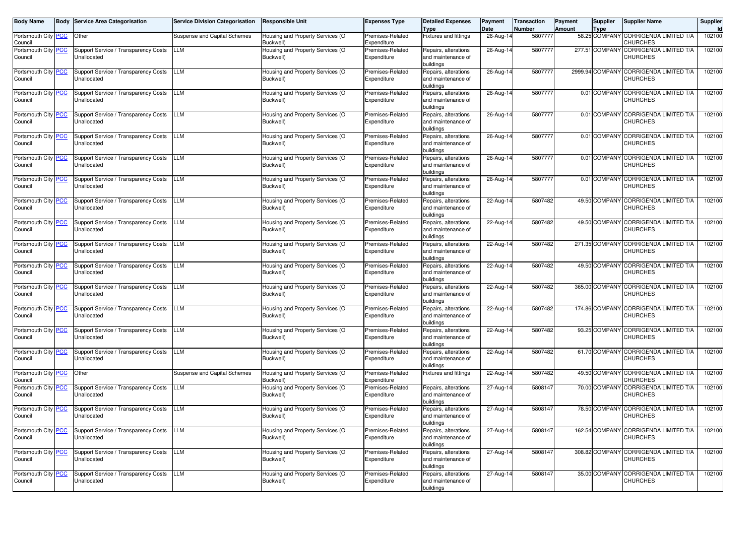| <b>Body Name</b>               | <b>Body Service Area Categorisation</b>             | <b>Service Division Categorisation</b> | <b>Responsible Unit</b>                       | <b>Expenses Type</b>            | <b>Detailed Expenses</b><br><b>Type</b>                 | Payment<br>Date | <b>Transaction</b><br><b>Number</b> | Payment<br><b>Amount</b> | <b>Supplier</b><br><b>Type</b> | <b>Supplier Name</b>                                      | Supplier |
|--------------------------------|-----------------------------------------------------|----------------------------------------|-----------------------------------------------|---------------------------------|---------------------------------------------------------|-----------------|-------------------------------------|--------------------------|--------------------------------|-----------------------------------------------------------|----------|
| Portsmouth City PCC<br>Council | Other                                               | Suspense and Capital Schemes           | Housing and Property Services (O<br>Buckwell) | Premises-Related<br>Expenditure | Fixtures and fittings                                   | 26-Aug-14       | 5807777                             |                          |                                | 58.25 COMPANY CORRIGENDA LIMITED T/A<br>CHURCHES          | 102100   |
| Portsmouth City PCC<br>Council | Support Service / Transparency Costs<br>Unallocated | <b>LLM</b>                             | Housing and Property Services (O<br>Buckwell) | Premises-Related<br>Expenditure | Repairs, alterations<br>and maintenance of<br>buildings | 26-Aug-1        | 5807777                             |                          |                                | 277.51 COMPANY CORRIGENDA LIMITED T/A<br><b>CHURCHES</b>  | 102100   |
| Portsmouth City PCC<br>Council | Support Service / Transparency Costs<br>Unallocated | <b>LLM</b>                             | Housing and Property Services (O<br>Buckwell) | Premises-Related<br>Expenditure | Repairs, alterations<br>and maintenance of<br>buildings | 26-Aug-14       | 5807777                             |                          |                                | 2999.94 COMPANY CORRIGENDA LIMITED T/A<br><b>CHURCHES</b> | 102100   |
| Portsmouth City PCC<br>Council | Support Service / Transparency Costs<br>Unallocated | <b>LLM</b>                             | Housing and Property Services (O<br>Buckwell) | Premises-Related<br>Expenditure | Repairs, alterations<br>and maintenance of<br>buildings | 26-Aug-14       | 5807777                             |                          |                                | 0.01 COMPANY CORRIGENDA LIMITED T/A<br><b>CHURCHES</b>    | 102100   |
| Portsmouth City PCC<br>Council | Support Service / Transparency Costs<br>Unallocated | <b>LLM</b>                             | Housing and Property Services (O<br>Buckwell) | Premises-Related<br>Expenditure | Repairs, alterations<br>and maintenance of<br>buildings | 26-Aug-14       | 5807777                             |                          |                                | 0.01 COMPANY CORRIGENDA LIMITED T/A<br><b>CHURCHES</b>    | 102100   |
| Portsmouth City PCC<br>Council | Support Service / Transparency Costs<br>Unallocated | <b>LLM</b>                             | Housing and Property Services (O<br>Buckwell) | Premises-Related<br>Expenditure | Repairs, alterations<br>and maintenance of<br>buildings | 26-Aug-14       | 5807777                             |                          |                                | 0.01 COMPANY CORRIGENDA LIMITED T/A<br><b>CHURCHES</b>    | 102100   |
| Portsmouth City PCC<br>Council | Support Service / Transparency Costs<br>Unallocated | <b>LLM</b>                             | Housing and Property Services (O<br>Buckwell) | Premises-Related<br>Expenditure | Repairs, alterations<br>and maintenance of<br>buildings | 26-Aug-14       | 5807777                             |                          |                                | 0.01 COMPANY CORRIGENDA LIMITED T/A<br><b>CHURCHES</b>    | 102100   |
| Portsmouth City PCC<br>Council | Support Service / Transparency Costs<br>Unallocated | <b>LLM</b>                             | Housing and Property Services (O<br>Buckwell) | Premises-Related<br>Expenditure | Repairs, alterations<br>and maintenance of<br>buildings | 26-Aug-14       | 5807777                             |                          |                                | 0.01 COMPANY CORRIGENDA LIMITED T/A<br><b>CHURCHES</b>    | 102100   |
| Portsmouth City PCC<br>Council | Support Service / Transparency Costs<br>Unallocated | <b>LLM</b>                             | Housing and Property Services (O<br>Buckwell) | Premises-Related<br>Expenditure | Repairs, alterations<br>and maintenance of<br>buildings | 22-Aug-14       | 5807482                             |                          |                                | 49.50 COMPANY CORRIGENDA LIMITED T/A<br><b>CHURCHES</b>   | 102100   |
| Portsmouth City PCC<br>Council | Support Service / Transparency Costs<br>Unallocated | <b>LLM</b>                             | Housing and Property Services (O<br>Buckwell) | Premises-Related<br>Expenditure | Repairs, alterations<br>and maintenance of<br>buildings | 22-Aug-14       | 5807482                             |                          |                                | 49.50 COMPANY CORRIGENDA LIMITED T/A<br><b>CHURCHES</b>   | 102100   |
| Portsmouth City PCC<br>Council | Support Service / Transparency Costs<br>Unallocated | <b>LLM</b>                             | Housing and Property Services (O<br>Buckwell) | Premises-Related<br>Expenditure | Repairs, alterations<br>and maintenance of<br>buildings | 22-Aug-14       | 5807482                             |                          |                                | 271.35 COMPANY CORRIGENDA LIMITED T/A<br><b>CHURCHES</b>  | 102100   |
| Portsmouth City PCC<br>Council | Support Service / Transparency Costs<br>Unallocated | <b>LLM</b>                             | Housing and Property Services (O<br>Buckwell) | Premises-Related<br>Expenditure | Repairs, alterations<br>and maintenance of<br>buildings | 22-Aug-14       | 5807482                             |                          |                                | 49.50 COMPANY CORRIGENDA LIMITED T/A<br><b>CHURCHES</b>   | 102100   |
| Portsmouth City PCC<br>Council | Support Service / Transparency Costs<br>Unallocated | <b>LLM</b>                             | Housing and Property Services (O<br>Buckwell) | Premises-Related<br>Expenditure | Repairs, alterations<br>and maintenance of<br>buildings | 22-Aug-14       | 5807482                             |                          |                                | 365.00 COMPANY CORRIGENDA LIMITED T/A<br><b>CHURCHES</b>  | 102100   |
| Portsmouth City PCC<br>Council | Support Service / Transparency Costs<br>Unallocated | <b>LLM</b>                             | Housing and Property Services (O<br>Buckwell) | Premises-Related<br>Expenditure | Repairs, alterations<br>and maintenance of<br>buildings | 22-Aug-14       | 5807482                             |                          |                                | 174.86 COMPANY CORRIGENDA LIMITED T/A<br><b>CHURCHES</b>  | 102100   |
| Portsmouth City PCC<br>Council | Support Service / Transparency Costs<br>Unallocated | <b>LLM</b>                             | Housing and Property Services (O<br>Buckwell) | Premises-Related<br>Expenditure | Repairs, alterations<br>and maintenance of<br>buildings | 22-Aug-14       | 5807482                             |                          |                                | 93.25 COMPANY CORRIGENDA LIMITED T/A<br><b>CHURCHES</b>   | 102100   |
| Portsmouth City PCC<br>Council | Support Service / Transparency Costs<br>Unallocated | <b>LLM</b>                             | Housing and Property Services (O<br>Buckwell) | Premises-Related<br>Expenditure | Repairs, alterations<br>and maintenance of<br>buildings | 22-Aug-14       | 5807482                             |                          |                                | 61.70 COMPANY CORRIGENDA LIMITED T/A<br><b>CHURCHES</b>   | 102100   |
| Portsmouth City PCC<br>Council | Other                                               | Suspense and Capital Schemes           | Housing and Property Services (O<br>Buckwell) | Premises-Related<br>Expenditure | Fixtures and fittings                                   | 22-Aug-14       | 5807482                             |                          |                                | 49.50 COMPANY CORRIGENDA LIMITED T/A<br>CHURCHES          | 102100   |
| Portsmouth City PCC<br>Council | Support Service / Transparency Costs<br>Unallocated | <b>LLM</b>                             | Housing and Property Services (O<br>Buckwell) | Premises-Related<br>Expenditure | Repairs, alterations<br>and maintenance of<br>buildings | 27-Aug-14       | 5808147                             |                          |                                | 70.00 COMPANY CORRIGENDA LIMITED T/A<br><b>CHURCHES</b>   | 102100   |
| Portsmouth City PCC<br>Council | Support Service / Transparency Costs<br>Unallocated | <b>LLM</b>                             | Housing and Property Services (O<br>Buckwell) | Premises-Related<br>Expenditure | Repairs, alterations<br>and maintenance of<br>buildings | 27-Aug-14       | 5808147                             |                          |                                | 78.50 COMPANY CORRIGENDA LIMITED T/A<br><b>CHURCHES</b>   | 102100   |
| Portsmouth City PCC<br>Council | Support Service / Transparency Costs<br>Unallocated | <b>LLM</b>                             | Housing and Property Services (O<br>Buckwell) | Premises-Related<br>Expenditure | Repairs, alterations<br>and maintenance of<br>buildings | 27-Aug-14       | 5808147                             |                          |                                | 162.54 COMPANY CORRIGENDA LIMITED T/A<br><b>CHURCHES</b>  | 102100   |
| Portsmouth City PCC<br>Council | Support Service / Transparency Costs<br>Unallocated | LLM                                    | Housing and Property Services (O<br>Buckwell) | Premises-Related<br>Expenditure | Repairs, alterations<br>and maintenance of<br>buildings | 27-Aug-14       | 5808147                             |                          |                                | 308.82 COMPANY CORRIGENDA LIMITED T/A<br><b>CHURCHES</b>  | 102100   |
| Portsmouth City PCC<br>Council | Support Service / Transparency Costs<br>Unallocated | LLM                                    | Housing and Property Services (O<br>Buckwell) | Premises-Related<br>Expenditure | Repairs, alterations<br>and maintenance of<br>buildings | 27-Aug-14       | 5808147                             |                          |                                | 35.00 COMPANY CORRIGENDA LIMITED T/A<br><b>CHURCHES</b>   | 102100   |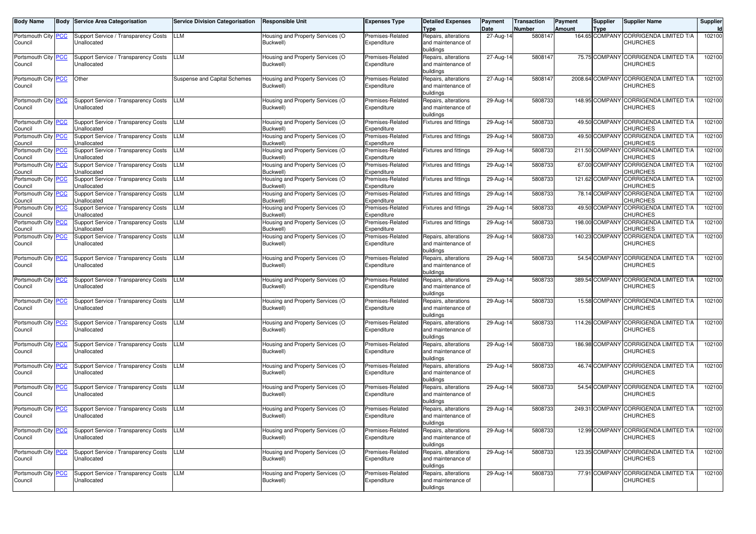| <b>Body Name</b>                            | Body | <b>Service Area Categorisation</b>                                                          | <b>Service Division Categorisation</b> | <b>Responsible Unit</b>                       | <b>Expenses Type</b>            | <b>Detailed Expenses</b><br>Type                        | Payment<br>Date | <b>Transaction</b><br>Number | Payment<br>Amount | <b>Supplier</b><br><b>Type</b> | <b>Supplier Name</b>                                                       | Supplier |
|---------------------------------------------|------|---------------------------------------------------------------------------------------------|----------------------------------------|-----------------------------------------------|---------------------------------|---------------------------------------------------------|-----------------|------------------------------|-------------------|--------------------------------|----------------------------------------------------------------------------|----------|
| Portsmouth City PCC<br>Council              |      | Support Service / Transparency Costs<br>Unallocated                                         | LLM                                    | Housing and Property Services (O<br>Buckwell) | Premises-Related<br>Expenditure | Repairs, alterations<br>and maintenance of<br>buildings | 27-Aug-14       | 5808147                      |                   |                                | 164.65 COMPANY CORRIGENDA LIMITED T/A<br><b>CHURCHES</b>                   | 102100   |
| Portsmouth City PCC<br>Council              |      | Support Service / Transparency Costs<br>Unallocated                                         | LLM                                    | Housing and Property Services (O<br>Buckwell) | Premises-Related<br>Expenditure | Repairs, alterations<br>and maintenance of<br>buildings | $27$ -Aug-14    | 5808147                      |                   |                                | 75.75 COMPANY CORRIGENDA LIMITED T/A<br><b>CHURCHES</b>                    | 102100   |
| Portsmouth City PCC<br>Council              |      | Other                                                                                       | Suspense and Capital Schemes           | Housing and Property Services (O<br>Buckwell) | Premises-Related<br>Expenditure | Repairs, alterations<br>and maintenance of<br>buildings | 27-Aug-14       | 5808147                      |                   |                                | 2008.64 COMPANY CORRIGENDA LIMITED T/A<br><b>CHURCHES</b>                  | 102100   |
| Portsmouth City PCC<br>Council              |      | Support Service / Transparency Costs<br>Unallocated                                         | LLM                                    | Housing and Property Services (O<br>Buckwell) | Premises-Related<br>Expenditure | Repairs, alterations<br>and maintenance of<br>buildings | 29-Aug-14       | 5808733                      |                   |                                | 148.95 COMPANY CORRIGENDA LIMITED T/A<br><b>CHURCHES</b>                   | 102100   |
| Portsmouth City PCC<br>Council              |      | Support Service / Transparency Costs<br>Jnallocated                                         | LLM                                    | Housing and Property Services (O<br>Buckwell) | Premises-Related<br>Expenditure | Fixtures and fittings                                   | 29-Aug-14       | 5808733                      |                   |                                | 49.50 COMPANY CORRIGENDA LIMITED T/A<br>CHURCHES                           | 102100   |
| Portsmouth City PCC<br>Council              |      | Support Service / Transparency Costs<br>Jnallocated                                         | LLM                                    | Housing and Property Services (O<br>Buckwell) | Premises-Related<br>Expenditure | <b>Fixtures and fittings</b>                            | 29-Aug-14       | 5808733                      |                   | 49.50 COMPANY                  | <b>CORRIGENDA LIMITED T/A</b><br>CHURCHES                                  | 102100   |
| Portsmouth City PCC<br>Council              |      | Support Service / Transparency Costs<br>Jnallocated                                         | LLM                                    | Housing and Property Services (O<br>Buckwell) | Premises-Related<br>Expenditure | Fixtures and fittings                                   | 29-Aug-14       | 5808733                      |                   | 211.50 COMPANY                 | CORRIGENDA LIMITED T/A<br>CHURCHES                                         | 102100   |
| Portsmouth City PCC<br>Council              |      | Support Service / Transparency Costs<br>Jnallocated                                         | LLM                                    | Housing and Property Services (O<br>Buckwell) | Premises-Related<br>Expenditure | Fixtures and fittings                                   | 29-Aug-14       | 5808733                      |                   |                                | 67.00 COMPANY CORRIGENDA LIMITED T/A<br>CHURCHES                           | 102100   |
| Portsmouth City <mark>PCC</mark><br>Council |      | Support Service / Transparency Costs<br>Jnallocated                                         | LLM                                    | Housing and Property Services (O<br>Buckwell) | Premises-Related<br>Expenditure | <b>Fixtures and fittings</b>                            | 29-Aug-14       | 5808733                      |                   | 121.62 COMPANY                 | <b>CORRIGENDA LIMITED T/A</b><br>CHURCHES                                  | 102100   |
| Portsmouth City PCC<br>Council              |      | Support Service / Transparency Costs<br>Jnallocated                                         | LLM                                    | Housing and Property Services (O<br>Buckwell) | Premises-Related<br>Expenditure | <b>Fixtures and fittings</b>                            | 29-Aug-14       | 5808733                      |                   | 78.14 COMPANY                  | CORRIGENDA LIMITED T/A<br>CHURCHES<br>49.50 COMPANY CORRIGENDA LIMITED T/A | 102100   |
| Portsmouth City PCC<br>Council              |      | Support Service / Transparency Costs<br>Jnallocated<br>Support Service / Transparency Costs | LLM                                    | Housing and Property Services (O<br>Buckwell) | Premises-Related<br>Expenditure | Fixtures and fittings                                   | 29-Aug-14       | 5808733                      |                   | 198.00 COMPANY                 | CHURCHES<br>CORRIGENDA LIMITED T/A                                         | 102100   |
| Portsmouth City <b>PCC</b><br>Council       |      | Jnallocated                                                                                 | LLM                                    | Housing and Property Services (O<br>Buckwell) | Premises-Related<br>Expenditure | <b>Fixtures and fittings</b>                            | 29-Aug-14       | 5808733                      |                   |                                | CHURCHES<br><b>CORRIGENDA LIMITED T/A</b>                                  | 102100   |
| Portsmouth City PCC<br>Council              |      | <b>Support Service / Transparency Costs</b><br>Unallocated                                  | LLM                                    | Housing and Property Services (O<br>Buckwell) | Premises-Related<br>Expenditure | Repairs, alterations<br>and maintenance of<br>buildings | 29-Aug-14       | 5808733                      |                   | 140.23 COMPANY                 | <b>CHURCHES</b>                                                            | 102100   |
| Portsmouth City PCC<br>Council              |      | <b>Support Service / Transparency Costs</b><br>Unallocated                                  | LLM                                    | Housing and Property Services (O<br>Buckwell) | Premises-Related<br>Expenditure | Repairs, alterations<br>and maintenance of<br>buildings | 29-Aug-14       | 5808733                      |                   | 54.54 COMPANY                  | <b>CORRIGENDA LIMITED T/A</b><br><b>CHURCHES</b>                           | 102100   |
| Portsmouth City PCC<br>Council              |      | Support Service / Transparency Costs<br>Unallocated                                         | LLM                                    | Housing and Property Services (O<br>Buckwell) | Premises-Related<br>Expenditure | Repairs, alterations<br>and maintenance of<br>buildings | 29-Aug-14       | 5808733                      |                   | 389.54 COMPANY                 | <b>CORRIGENDA LIMITED T/A</b><br><b>CHURCHES</b>                           | 102100   |
| Portsmouth City PCC<br>Council              |      | Support Service / Transparency Costs<br>Unallocated                                         | LLM                                    | Housing and Property Services (O<br>Buckwell) | Premises-Related<br>Expenditure | Repairs, alterations<br>and maintenance of<br>buildings | 29-Aug-14       | 5808733                      |                   | 15.58 COMPANY                  | <b>CORRIGENDA LIMITED T/A</b><br><b>CHURCHES</b>                           | 102100   |
| Portsmouth City PCC<br>Council              |      | Support Service / Transparency Costs<br>Unallocated                                         | LLM                                    | Housing and Property Services (O<br>Buckwell) | Premises-Related<br>Expenditure | Repairs, alterations<br>and maintenance of<br>buildings | 29-Aug-14       | 5808733                      |                   | 114.26 COMPANY                 | <b>CORRIGENDA LIMITED T/A</b><br><b>CHURCHES</b>                           | 102100   |
| Portsmouth City PCC<br>Council              |      | Support Service / Transparency Costs<br>Unallocated                                         | LLM                                    | Housing and Property Services (O<br>Buckwell) | Premises-Related<br>Expenditure | Repairs, alterations<br>and maintenance of<br>buildings | 29-Aug-14       | 5808733                      |                   | 186.98 COMPANY                 | <b>CORRIGENDA LIMITED T/A</b><br><b>CHURCHES</b>                           | 102100   |
| Portsmouth City PCC<br>Council              |      | Support Service / Transparency Costs<br>Unallocated                                         | LLM                                    | Housing and Property Services (O<br>Buckwell) | Premises-Related<br>Expenditure | Repairs, alterations<br>and maintenance of<br>buildings | 29-Aug-14       | 5808733                      |                   | 46.74 COMPANY                  | <b>CORRIGENDA LIMITED T/A</b><br><b>CHURCHES</b>                           | 102100   |
| Portsmouth City PCC<br>Council              |      | Support Service / Transparency Costs<br>Unallocated                                         | LLM                                    | Housing and Property Services (O<br>Buckwell) | Premises-Related<br>Expenditure | Repairs, alterations<br>and maintenance of<br>buildings | 29-Aug-14       | 5808733                      |                   |                                | 54.54 COMPANY CORRIGENDA LIMITED T/A<br><b>CHURCHES</b>                    | 102100   |
| Portsmouth City PCC<br>Council              |      | Support Service / Transparency Costs<br>Unallocated                                         | LLM                                    | Housing and Property Services (O<br>Buckwell) | Premises-Related<br>Expenditure | Repairs, alterations<br>and maintenance of<br>buildings | 29-Aug-14       | 5808733                      |                   |                                | 249.31 COMPANY CORRIGENDA LIMITED T/A<br><b>CHURCHES</b>                   | 102100   |
| Portsmouth City PCC<br>Council              |      | Support Service / Transparency Costs<br>Unallocated                                         | LLM                                    | Housing and Property Services (O<br>Buckwell) | Premises-Related<br>Expenditure | Repairs, alterations<br>and maintenance of<br>buildings | 29-Aug-14       | 5808733                      |                   |                                | 12.99 COMPANY CORRIGENDA LIMITED T/A<br><b>CHURCHES</b>                    | 102100   |
| Portsmouth City PCC<br>Council              |      | Support Service / Transparency Costs<br>Unallocated                                         | LLM                                    | Housing and Property Services (O<br>Buckwell) | Premises-Related<br>Expenditure | Repairs, alterations<br>and maintenance of<br>buildings | $29-Aug-14$     | 5808733                      |                   |                                | 123.35 COMPANY CORRIGENDA LIMITED T/A<br><b>CHURCHES</b>                   | 102100   |
| Portsmouth City PCC<br>Council              |      | Support Service / Transparency Costs<br>Unallocated                                         | LLM                                    | Housing and Property Services (O<br>Buckwell) | Premises-Related<br>Expenditure | Repairs, alterations<br>and maintenance of<br>buildings | 29-Aug-14       | 5808733                      |                   |                                | 77.91 COMPANY CORRIGENDA LIMITED T/A<br><b>CHURCHES</b>                    | 102100   |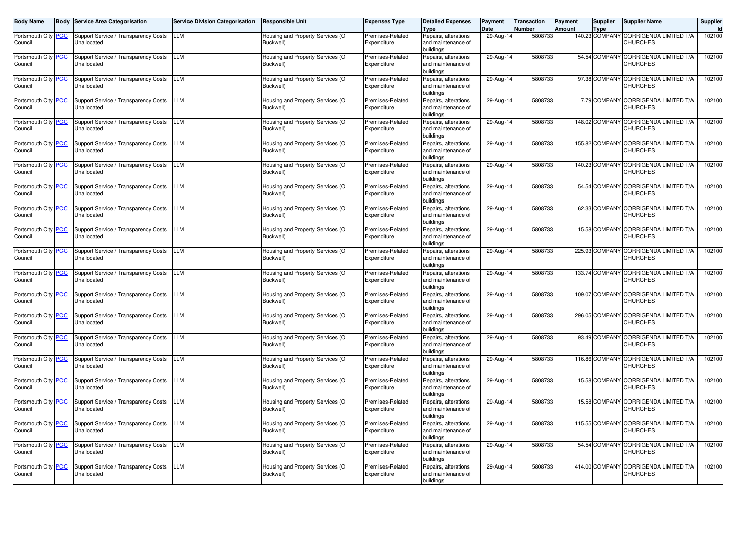| <b>Body Name</b>               | <b>Body</b> | <b>Service Area Categorisation</b>                  | <b>Service Division Categorisation</b> | <b>Responsible Unit</b>                       | <b>Expenses Type</b>            | <b>Detailed Expenses</b><br>Type                        | Payment<br>Date | Transaction<br><b>Number</b> | Payment<br>Amount | <b>Supplier</b><br><b>Type</b> | <b>Supplier Name</b>                                     | Supplier |
|--------------------------------|-------------|-----------------------------------------------------|----------------------------------------|-----------------------------------------------|---------------------------------|---------------------------------------------------------|-----------------|------------------------------|-------------------|--------------------------------|----------------------------------------------------------|----------|
| Portsmouth City PCC<br>Council |             | Support Service / Transparency Costs<br>Unallocated | LLM                                    | Housing and Property Services (O<br>Buckwell) | Premises-Related<br>Expenditure | Repairs, alterations<br>and maintenance of<br>buildings | 29-Aug-14       | 5808733                      |                   | 140.23 COMPANY                 | <b>CORRIGENDA LIMITED T/A</b><br><b>CHURCHES</b>         | 102100   |
| Portsmouth City PCC<br>Council |             | Support Service / Transparency Costs<br>Unallocated | LLM                                    | Housing and Property Services (O<br>Buckwell) | Premises-Related<br>Expenditure | Repairs, alterations<br>and maintenance of<br>buildings | 29-Aug-14       | 5808733                      |                   |                                | 54.54 COMPANY CORRIGENDA LIMITED T/A<br><b>CHURCHES</b>  | 102100   |
| Portsmouth City PCC<br>Council |             | Support Service / Transparency Costs<br>Unallocated | LLM                                    | Housing and Property Services (O<br>Buckwell) | Premises-Related<br>Expenditure | Repairs, alterations<br>and maintenance of<br>buildings | 29-Aug-14       | 5808733                      |                   | 97.38 COMPANY                  | <b>CORRIGENDA LIMITED T/A</b><br><b>CHURCHES</b>         | 102100   |
| Portsmouth City PCC<br>Council |             | Support Service / Transparency Costs<br>Unallocated | LLM                                    | Housing and Property Services (O<br>Buckwell) | Premises-Related<br>Expenditure | Repairs, alterations<br>and maintenance of<br>buildings | 29-Aug-14       | 5808733                      |                   |                                | 7.79 COMPANY CORRIGENDA LIMITED T/A<br><b>CHURCHES</b>   | 102100   |
| Portsmouth City PCC<br>Council |             | Support Service / Transparency Costs<br>Unallocated | LLM                                    | Housing and Property Services (O<br>Buckwell) | Premises-Related<br>Expenditure | Repairs, alterations<br>and maintenance of<br>buildings | 29-Aug-14       | 5808733                      |                   |                                | 148.02 COMPANY CORRIGENDA LIMITED T/A<br><b>CHURCHES</b> | 102100   |
| Portsmouth City PCC<br>Council |             | Support Service / Transparency Costs<br>Unallocated | LLM                                    | Housing and Property Services (O<br>Buckwell) | Premises-Related<br>Expenditure | Repairs, alterations<br>and maintenance of<br>buildings | 29-Aug-14       | 5808733                      |                   |                                | 155.82 COMPANY CORRIGENDA LIMITED T/A<br><b>CHURCHES</b> | 102100   |
| Portsmouth City PCC<br>Council |             | Support Service / Transparency Costs<br>Unallocated | LLM                                    | Housing and Property Services (O<br>Buckwell) | Premises-Related<br>Expenditure | Repairs, alterations<br>and maintenance of<br>buildinas | 29-Aug-14       | 5808733                      |                   |                                | 140.23 COMPANY CORRIGENDA LIMITED T/A<br><b>CHURCHES</b> | 102100   |
| Portsmouth City PCC<br>Council |             | Support Service / Transparency Costs<br>Jnallocated | LLM                                    | Housing and Property Services (O<br>Buckwell) | Premises-Related<br>Expenditure | Repairs, alterations<br>and maintenance of<br>buildinas | 29-Aug-14       | 5808733                      |                   |                                | 54.54 COMPANY CORRIGENDA LIMITED T/A<br><b>CHURCHES</b>  | 102100   |
| Portsmouth City PCC<br>Council |             | Support Service / Transparency Costs<br>Jnallocated | LLM                                    | Housing and Property Services (O<br>Buckwell) | Premises-Related<br>Expenditure | Repairs, alterations<br>and maintenance of<br>buildinas | 29-Aug-14       | 5808733                      |                   |                                | 62.33 COMPANY CORRIGENDA LIMITED T/A<br><b>CHURCHES</b>  | 102100   |
| Portsmouth City PCC<br>Council |             | Support Service / Transparency Costs<br>Jnallocated | LLM                                    | Housing and Property Services (O<br>Buckwell) | Premises-Related<br>Expenditure | Repairs, alterations<br>and maintenance of<br>buildings | 29-Aug-14       | 5808733                      |                   |                                | 15.58 COMPANY CORRIGENDA LIMITED T/A<br><b>CHURCHES</b>  | 102100   |
| Portsmouth City PCC<br>Council |             | Support Service / Transparency Costs<br>Jnallocated | LLM                                    | Housing and Property Services (O<br>Buckwell) | Premises-Related<br>Expenditure | Repairs, alterations<br>and maintenance of<br>buildings | 29-Aug-14       | 5808733                      |                   | 225.93 COMPANY                 | CORRIGENDA LIMITED T/A<br><b>CHURCHES</b>                | 102100   |
| Portsmouth City PCC<br>Council |             | Support Service / Transparency Costs<br>Jnallocated | LLM                                    | Housing and Property Services (O<br>Buckwell) | Premises-Related<br>Expenditure | Repairs, alterations<br>and maintenance of<br>buildings | 29-Aug-14       | 5808733                      |                   | 133.74 COMPANY                 | CORRIGENDA LIMITED T/A<br><b>CHURCHES</b>                | 102100   |
| Portsmouth City PCC<br>Council |             | Support Service / Transparency Costs<br>Jnallocated | LM.                                    | Housing and Property Services (O<br>Buckwell) | Premises-Related<br>Expenditure | Repairs, alterations<br>and maintenance of<br>buildinas | 29-Aug-14       | 5808733                      |                   | 109.07 COMPANY                 | <b>CORRIGENDA LIMITED T/A</b><br><b>CHURCHES</b>         | 102100   |
| Portsmouth City PCC<br>Council |             | Support Service / Transparency Costs<br>Jnallocated | LM.                                    | Housing and Property Services (O<br>Buckwell) | Premises-Related<br>Expenditure | Repairs, alterations<br>and maintenance of<br>buildinas | 29-Aug-14       | 5808733                      |                   | 296.05 COMPANY                 | <b>CORRIGENDA LIMITED T/A</b><br><b>CHURCHES</b>         | 102100   |
| Portsmouth City PCC<br>Council |             | Support Service / Transparency Costs<br>Jnallocated | LM.                                    | Housing and Property Services (O<br>Buckwell) | Premises-Related<br>Expenditure | Repairs, alterations<br>and maintenance of<br>buildings | 29-Aug-14       | 5808733                      |                   | 93.49 COMPANY                  | <b>CORRIGENDA LIMITED T/A</b><br><b>CHURCHES</b>         | 102100   |
| Portsmouth City PCC<br>Council |             | Support Service / Transparency Costs<br>Jnallocated | LM.                                    | Housing and Property Services (O<br>Buckwell) | Premises-Related<br>Expenditure | Repairs, alterations<br>and maintenance of<br>buildings | 29-Aug-14       | 5808733                      |                   | 116.86 COMPANY                 | <b>CORRIGENDA LIMITED T/A</b><br><b>CHURCHES</b>         | 102100   |
| Portsmouth City PCC<br>Council |             | Support Service / Transparency Costs<br>Jnallocated | LM.                                    | Housing and Property Services (O<br>Buckwell) | Premises-Related<br>Expenditure | Repairs, alterations<br>and maintenance of<br>buildings | 29-Aug-14       | 5808733                      |                   | 15.58 COMPANY                  | <b>CORRIGENDA LIMITED T/A</b><br><b>CHURCHES</b>         | 102100   |
| Portsmouth City PCC<br>Council |             | Support Service / Transparency Costs<br>Unallocated | LM.                                    | Housing and Property Services (O<br>Buckwell) | Premises-Related<br>Expenditure | Repairs, alterations<br>and maintenance of<br>buildings | 29-Aug-1        | 5808733                      |                   | 15.58 COMPANY                  | <b>CORRIGENDA LIMITED T/A</b><br><b>CHURCHES</b>         | 102100   |
| Portsmouth City PCC<br>Council |             | Support Service / Transparency Costs<br>Unallocated | <b>LLM</b>                             | Housing and Property Services (O<br>Buckwell) | Premises-Related<br>Expenditure | Repairs, alterations<br>and maintenance of<br>buildings | 29-Aug-14       | 5808733                      |                   |                                | 115.55 COMPANY CORRIGENDA LIMITED T/A<br><b>CHURCHES</b> | 102100   |
| Portsmouth City PCC<br>Council |             | Support Service / Transparency Costs<br>Unallocated | LLM                                    | Housing and Property Services (O<br>Buckwell) | Premises-Related<br>Expenditure | Repairs, alterations<br>and maintenance of<br>buildings | 29-Aug-14       | 5808733                      |                   |                                | 54.54 COMPANY CORRIGENDA LIMITED T/A<br><b>CHURCHES</b>  | 102100   |
| Portsmouth City PCC<br>Council |             | Support Service / Transparency Costs<br>Unallocated | LLM                                    | Housing and Property Services (O<br>Buckwell) | Premises-Related<br>Expenditure | Repairs, alterations<br>and maintenance of<br>buildings | 29-Aug-14       | 5808733                      |                   |                                | 414.00 COMPANY CORRIGENDA LIMITED T/A<br><b>CHURCHES</b> | 102100   |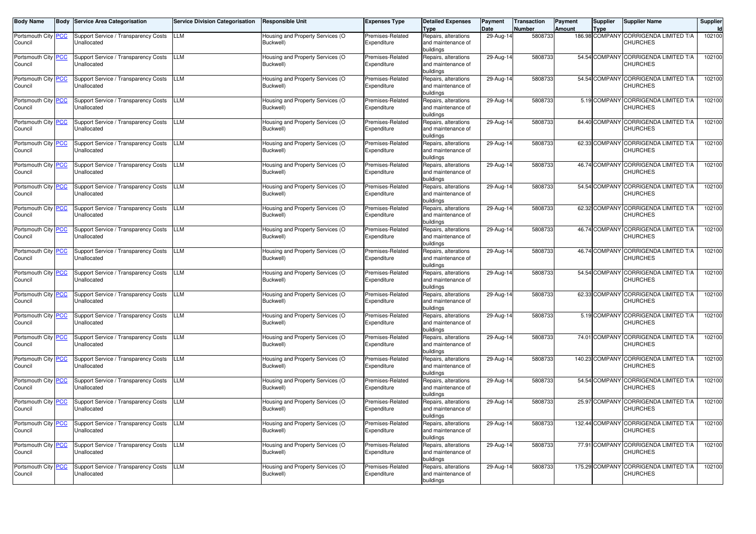| <b>Body Name</b>               | <b>Body</b> | <b>Service Area Categorisation</b>                  | <b>Service Division Categorisation</b> | <b>Responsible Unit</b>                       | <b>Expenses Type</b>            | <b>Detailed Expenses</b><br>Type                        | Payment<br>Date | Transaction<br><b>Number</b> | Payment<br>Amount | <b>Supplier</b><br><b>Type</b> | <b>Supplier Name</b>                                     | Supplier |
|--------------------------------|-------------|-----------------------------------------------------|----------------------------------------|-----------------------------------------------|---------------------------------|---------------------------------------------------------|-----------------|------------------------------|-------------------|--------------------------------|----------------------------------------------------------|----------|
| Portsmouth City PCC<br>Council |             | Support Service / Transparency Costs<br>Unallocated | LLM                                    | Housing and Property Services (O<br>Buckwell) | Premises-Related<br>Expenditure | Repairs, alterations<br>and maintenance of<br>buildings | 29-Aug-14       | 5808733                      |                   | 186.98 COMPANY                 | <b>CORRIGENDA LIMITED T/A</b><br><b>CHURCHES</b>         | 102100   |
| Portsmouth City PCC<br>Council |             | Support Service / Transparency Costs<br>Unallocated | LLM                                    | Housing and Property Services (O<br>Buckwell) | Premises-Related<br>Expenditure | Repairs, alterations<br>and maintenance of<br>buildings | 29-Aug-14       | 5808733                      |                   |                                | 54.54 COMPANY CORRIGENDA LIMITED T/A<br><b>CHURCHES</b>  | 102100   |
| Portsmouth City PCC<br>Council |             | Support Service / Transparency Costs<br>Unallocated | LLM                                    | Housing and Property Services (O<br>Buckwell) | Premises-Related<br>Expenditure | Repairs, alterations<br>and maintenance of<br>buildings | 29-Aug-14       | 5808733                      |                   | 54.54 COMPANY                  | <b>CORRIGENDA LIMITED T/A</b><br><b>CHURCHES</b>         | 102100   |
| Portsmouth City PCC<br>Council |             | Support Service / Transparency Costs<br>Unallocated | LLM                                    | Housing and Property Services (O<br>Buckwell) | Premises-Related<br>Expenditure | Repairs, alterations<br>and maintenance of<br>buildings | 29-Aug-14       | 5808733                      |                   |                                | 5.19 COMPANY CORRIGENDA LIMITED T/A<br><b>CHURCHES</b>   | 102100   |
| Portsmouth City PCC<br>Council |             | Support Service / Transparency Costs<br>Unallocated | LLM                                    | Housing and Property Services (O<br>Buckwell) | Premises-Related<br>Expenditure | Repairs, alterations<br>and maintenance of<br>buildings | 29-Aug-14       | 5808733                      |                   |                                | 84.40 COMPANY CORRIGENDA LIMITED T/A<br><b>CHURCHES</b>  | 102100   |
| Portsmouth City PCC<br>Council |             | Support Service / Transparency Costs<br>Unallocated | LLM                                    | Housing and Property Services (O<br>Buckwell) | Premises-Related<br>Expenditure | Repairs, alterations<br>and maintenance of<br>buildings | 29-Aug-14       | 5808733                      |                   |                                | 62.33 COMPANY CORRIGENDA LIMITED T/A<br><b>CHURCHES</b>  | 102100   |
| Portsmouth City PCC<br>Council |             | Support Service / Transparency Costs<br>Unallocated | LLM                                    | Housing and Property Services (O<br>Buckwell) | Premises-Related<br>Expenditure | Repairs, alterations<br>and maintenance of<br>buildinas | 29-Aug-14       | 5808733                      |                   |                                | 46.74 COMPANY CORRIGENDA LIMITED T/A<br><b>CHURCHES</b>  | 102100   |
| Portsmouth City PCC<br>Council |             | Support Service / Transparency Costs<br>Jnallocated | LLM                                    | Housing and Property Services (O<br>Buckwell) | Premises-Related<br>Expenditure | Repairs, alterations<br>and maintenance of<br>buildinas | 29-Aug-14       | 5808733                      |                   |                                | 54.54 COMPANY CORRIGENDA LIMITED T/A<br><b>CHURCHES</b>  | 102100   |
| Portsmouth City PCC<br>Council |             | Support Service / Transparency Costs<br>Jnallocated | LLM                                    | Housing and Property Services (O<br>Buckwell) | Premises-Related<br>Expenditure | Repairs, alterations<br>and maintenance of<br>buildinas | 29-Aug-14       | 5808733                      |                   |                                | 62.32 COMPANY CORRIGENDA LIMITED T/A<br><b>CHURCHES</b>  | 102100   |
| Portsmouth City PCC<br>Council |             | Support Service / Transparency Costs<br>Jnallocated | LLM                                    | Housing and Property Services (O<br>Buckwell) | Premises-Related<br>Expenditure | Repairs, alterations<br>and maintenance of<br>buildings | 29-Aug-14       | 5808733                      |                   |                                | 46.74 COMPANY CORRIGENDA LIMITED T/A<br><b>CHURCHES</b>  | 102100   |
| Portsmouth City PCC<br>Council |             | Support Service / Transparency Costs<br>Jnallocated | LLM                                    | Housing and Property Services (O<br>Buckwell) | Premises-Related<br>Expenditure | Repairs, alterations<br>and maintenance of<br>buildings | 29-Aug-14       | 5808733                      |                   | 46.74 COMPANY                  | CORRIGENDA LIMITED T/A<br><b>CHURCHES</b>                | 102100   |
| Portsmouth City PCC<br>Council |             | Support Service / Transparency Costs<br>Jnallocated | LLM                                    | Housing and Property Services (O<br>Buckwell) | Premises-Related<br>Expenditure | Repairs, alterations<br>and maintenance of<br>buildinas | 29-Aug-14       | 5808733                      |                   | 54.54 COMPANY                  | CORRIGENDA LIMITED T/A<br><b>CHURCHES</b>                | 102100   |
| Portsmouth City PCC<br>Council |             | Support Service / Transparency Costs<br>Jnallocated | LM.                                    | Housing and Property Services (O<br>Buckwell) | Premises-Related<br>Expenditure | Repairs, alterations<br>and maintenance of<br>buildinas | 29-Aug-14       | 5808733                      |                   | 62.33 COMPANY                  | <b>CORRIGENDA LIMITED T/A</b><br><b>CHURCHES</b>         | 102100   |
| Portsmouth City PCC<br>Council |             | Support Service / Transparency Costs<br>Jnallocated | LM.                                    | Housing and Property Services (O<br>Buckwell) | Premises-Related<br>Expenditure | Repairs, alterations<br>and maintenance of<br>buildinas | 29-Aug-14       | 5808733                      |                   | 5.19 COMPANY                   | CORRIGENDA LIMITED T/A<br><b>CHURCHES</b>                | 102100   |
| Portsmouth City PCC<br>Council |             | Support Service / Transparency Costs<br>Jnallocated | LM.                                    | Housing and Property Services (O<br>Buckwell) | Premises-Related<br>Expenditure | Repairs, alterations<br>and maintenance of<br>buildinas | 29-Aug-14       | 5808733                      |                   | 74.01 COMPANY                  | <b>CORRIGENDA LIMITED T/A</b><br><b>CHURCHES</b>         | 102100   |
| Portsmouth City PCC<br>Council |             | Support Service / Transparency Costs<br>Jnallocated | LM.                                    | Housing and Property Services (O<br>Buckwell) | Premises-Related<br>Expenditure | Repairs, alterations<br>and maintenance of<br>buildings | 29-Aug-14       | 5808733                      |                   | 140.23 COMPANY                 | <b>CORRIGENDA LIMITED T/A</b><br><b>CHURCHES</b>         | 102100   |
| Portsmouth City PCC<br>Council |             | Support Service / Transparency Costs<br>Jnallocated | LM.                                    | Housing and Property Services (O<br>Buckwell) | Premises-Related<br>Expenditure | Repairs, alterations<br>and maintenance of<br>buildings | 29-Aug-14       | 5808733                      |                   | 54.54 COMPANY                  | <b>CORRIGENDA LIMITED T/A</b><br><b>CHURCHES</b>         | 102100   |
| Portsmouth City PCC<br>Council |             | Support Service / Transparency Costs<br>Unallocated | LM.                                    | Housing and Property Services (O<br>Buckwell) | Premises-Related<br>Expenditure | Repairs, alterations<br>and maintenance of<br>buildings | 29-Aug-1        | 5808733                      |                   | 25.97 COMPANY                  | CORRIGENDA LIMITED T/A<br><b>CHURCHES</b>                | 102100   |
| Portsmouth City PCC<br>Council |             | Support Service / Transparency Costs<br>Unallocated | <b>LLM</b>                             | Housing and Property Services (O<br>Buckwell) | Premises-Related<br>Expenditure | Repairs, alterations<br>and maintenance of<br>buildings | 29-Aug-14       | 5808733                      |                   |                                | 132.44 COMPANY CORRIGENDA LIMITED T/A<br><b>CHURCHES</b> | 102100   |
| Portsmouth City PCC<br>Council |             | Support Service / Transparency Costs<br>Unallocated | LLM                                    | Housing and Property Services (O<br>Buckwell) | Premises-Related<br>Expenditure | Repairs, alterations<br>and maintenance of<br>buildings | 29-Aug-14       | 5808733                      |                   |                                | 77.91 COMPANY CORRIGENDA LIMITED T/A<br><b>CHURCHES</b>  | 102100   |
| Portsmouth City PCC<br>Council |             | Support Service / Transparency Costs<br>Unallocated | LLM                                    | Housing and Property Services (O<br>Buckwell) | Premises-Related<br>Expenditure | Repairs, alterations<br>and maintenance of<br>buildings | 29-Aug-14       | 5808733                      |                   |                                | 175.29 COMPANY CORRIGENDA LIMITED T/A<br><b>CHURCHES</b> | 102100   |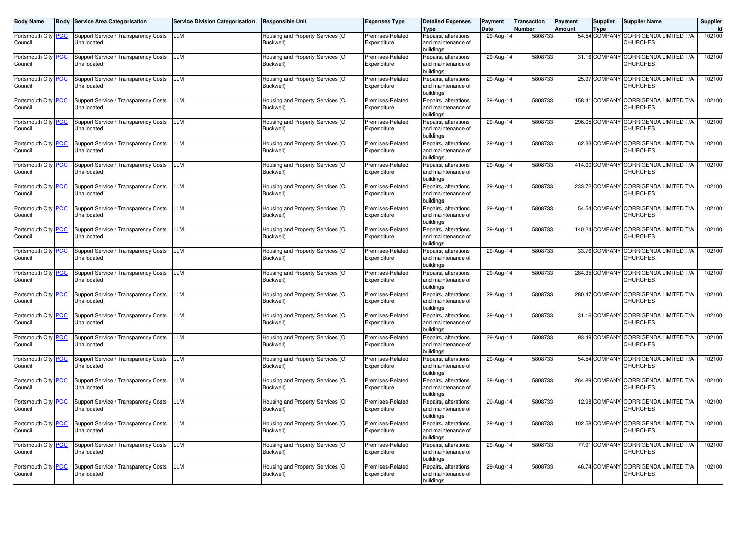| <b>Body Name</b>               | <b>Body</b> | <b>Service Area Categorisation</b>                  | <b>Service Division Categorisation</b> | <b>Responsible Unit</b>                       | <b>Expenses Type</b>            | <b>Detailed Expenses</b><br>Type                        | Payment<br>Date | Transaction<br><b>Number</b> | Payment<br>Amount | <b>Supplier</b><br><b>Type</b> | <b>Supplier Name</b>                                     | Supplier |
|--------------------------------|-------------|-----------------------------------------------------|----------------------------------------|-----------------------------------------------|---------------------------------|---------------------------------------------------------|-----------------|------------------------------|-------------------|--------------------------------|----------------------------------------------------------|----------|
| Portsmouth City PCC<br>Council |             | Support Service / Transparency Costs<br>Unallocated | LLM                                    | Housing and Property Services (O<br>Buckwell) | Premises-Related<br>Expenditure | Repairs, alterations<br>and maintenance of<br>buildings | 29-Aug-14       | 5808733                      |                   | 54.54 COMPANY                  | <b>CORRIGENDA LIMITED T/A</b><br><b>CHURCHES</b>         | 102100   |
| Portsmouth City PCC<br>Council |             | Support Service / Transparency Costs<br>Unallocated | LLM                                    | Housing and Property Services (O<br>Buckwell) | Premises-Related<br>Expenditure | Repairs, alterations<br>and maintenance of<br>buildings | 29-Aug-14       | 5808733                      |                   |                                | 31.16 COMPANY CORRIGENDA LIMITED T/A<br><b>CHURCHES</b>  | 102100   |
| Portsmouth City PCC<br>Council |             | Support Service / Transparency Costs<br>Unallocated | LLM                                    | Housing and Property Services (O<br>Buckwell) | Premises-Related<br>Expenditure | Repairs, alterations<br>and maintenance of<br>buildings | 29-Aug-14       | 5808733                      |                   | 25.97 COMPANY                  | <b>CORRIGENDA LIMITED T/A</b><br><b>CHURCHES</b>         | 102100   |
| Portsmouth City PCC<br>Council |             | Support Service / Transparency Costs<br>Unallocated | LLM                                    | Housing and Property Services (O<br>Buckwell) | Premises-Related<br>Expenditure | Repairs, alterations<br>and maintenance of<br>buildings | 29-Aug-14       | 5808733                      |                   |                                | 158.41 COMPANY CORRIGENDA LIMITED T/A<br><b>CHURCHES</b> | 102100   |
| Portsmouth City PCC<br>Council |             | Support Service / Transparency Costs<br>Unallocated | LLM                                    | Housing and Property Services (O<br>Buckwell) | Premises-Related<br>Expenditure | Repairs, alterations<br>and maintenance of<br>buildings | 29-Aug-14       | 5808733                      |                   | 296.05 COMPANY                 | CORRIGENDA LIMITED T/A<br><b>CHURCHES</b>                | 102100   |
| Portsmouth City PCC<br>Council |             | Support Service / Transparency Costs<br>Unallocated | LLM                                    | Housing and Property Services (O<br>Buckwell) | Premises-Related<br>Expenditure | Repairs, alterations<br>and maintenance of<br>buildings | 29-Aug-14       | 5808733                      |                   |                                | 62.33 COMPANY CORRIGENDA LIMITED T/A<br><b>CHURCHES</b>  | 102100   |
| Portsmouth City PCC<br>Council |             | Support Service / Transparency Costs<br>Unallocated | LLM                                    | Housing and Property Services (O<br>Buckwell) | Premises-Related<br>Expenditure | Repairs, alterations<br>and maintenance of<br>buildinas | 29-Aug-14       | 5808733                      |                   |                                | 414.00 COMPANY CORRIGENDA LIMITED T/A<br><b>CHURCHES</b> | 102100   |
| Portsmouth City PCC<br>Council |             | Support Service / Transparency Costs<br>Jnallocated | LLM                                    | Housing and Property Services (O<br>Buckwell) | Premises-Related<br>Expenditure | Repairs, alterations<br>and maintenance of<br>buildinas | 29-Aug-14       | 5808733                      |                   |                                | 233.72 COMPANY CORRIGENDA LIMITED T/A<br><b>CHURCHES</b> | 102100   |
| Portsmouth City PCC<br>Council |             | Support Service / Transparency Costs<br>Jnallocated | LLM                                    | Housing and Property Services (O<br>Buckwell) | Premises-Related<br>Expenditure | Repairs, alterations<br>and maintenance of<br>buildinas | 29-Aug-14       | 5808733                      |                   |                                | 54.54 COMPANY CORRIGENDA LIMITED T/A<br><b>CHURCHES</b>  | 102100   |
| Portsmouth City PCC<br>Council |             | Support Service / Transparency Costs<br>Jnallocated | LLM                                    | Housing and Property Services (O<br>Buckwell) | Premises-Related<br>Expenditure | Repairs, alterations<br>and maintenance of<br>buildings | 29-Aug-14       | 5808733                      |                   | 140.24 COMPANY                 | CORRIGENDA LIMITED T/A<br><b>CHURCHES</b>                | 102100   |
| Portsmouth City PCC<br>Council |             | Support Service / Transparency Costs<br>Jnallocated | LLM                                    | Housing and Property Services (O<br>Buckwell) | Premises-Related<br>Expenditure | Repairs, alterations<br>and maintenance of<br>buildings | 29-Aug-14       | 5808733                      |                   | 33.76 COMPANY                  | CORRIGENDA LIMITED T/A<br><b>CHURCHES</b>                | 102100   |
| Portsmouth City PCC<br>Council |             | Support Service / Transparency Costs<br>Jnallocated | LLM                                    | Housing and Property Services (O<br>Buckwell) | Premises-Related<br>Expenditure | Repairs, alterations<br>and maintenance of<br>buildings | 29-Aug-14       | 5808733                      |                   | 284.35 COMPANY                 | CORRIGENDA LIMITED T/A<br><b>CHURCHES</b>                | 102100   |
| Portsmouth City PCC<br>Council |             | Support Service / Transparency Costs<br>Jnallocated | LM.                                    | Housing and Property Services (O<br>Buckwell) | Premises-Related<br>Expenditure | Repairs, alterations<br>and maintenance of<br>buildinas | 29-Aug-14       | 5808733                      |                   | 280.47 COMPANY                 | <b>CORRIGENDA LIMITED T/A</b><br><b>CHURCHES</b>         | 102100   |
| Portsmouth City PCC<br>Council |             | Support Service / Transparency Costs<br>Jnallocated | LM.                                    | Housing and Property Services (O<br>Buckwell) | Premises-Related<br>Expenditure | Repairs, alterations<br>and maintenance of<br>buildinas | 29-Aug-14       | 5808733                      |                   | 31.16 COMPANY                  | <b>CORRIGENDA LIMITED T/A</b><br><b>CHURCHES</b>         | 102100   |
| Portsmouth City PCC<br>Council |             | Support Service / Transparency Costs<br>Jnallocated | LM.                                    | Housing and Property Services (O<br>Buckwell) | Premises-Related<br>Expenditure | Repairs, alterations<br>and maintenance of<br>buildings | 29-Aug-14       | 5808733                      |                   | 93.49 COMPANY                  | <b>CORRIGENDA LIMITED T/A</b><br><b>CHURCHES</b>         | 102100   |
| Portsmouth City PCC<br>Council |             | Support Service / Transparency Costs<br>Jnallocated | LM.                                    | Housing and Property Services (O<br>Buckwell) | Premises-Related<br>Expenditure | Repairs, alterations<br>and maintenance of<br>buildings | 29-Aug-14       | 5808733                      |                   | 54.54 COMPANY                  | <b>CORRIGENDA LIMITED T/A</b><br><b>CHURCHES</b>         | 102100   |
| Portsmouth City PCC<br>Council |             | Support Service / Transparency Costs<br>Jnallocated | LM.                                    | Housing and Property Services (O<br>Buckwell) | Premises-Related<br>Expenditure | Repairs, alterations<br>and maintenance of<br>buildings | 29-Aug-14       | 5808733                      |                   | 264.89 COMPANY                 | <b>CORRIGENDA LIMITED T/A</b><br><b>CHURCHES</b>         | 102100   |
| Portsmouth City PCC<br>Council |             | Support Service / Transparency Costs<br>Unallocated | LM.                                    | Housing and Property Services (O<br>Buckwell) | Premises-Related<br>Expenditure | Repairs, alterations<br>and maintenance of<br>buildings | 29-Aug-1        | 5808733                      |                   | 12.98 COMPANY                  | <b>CORRIGENDA LIMITED T/A</b><br><b>CHURCHES</b>         | 102100   |
| Portsmouth City PCC<br>Council |             | Support Service / Transparency Costs<br>Unallocated | <b>LLM</b>                             | Housing and Property Services (O<br>Buckwell) | Premises-Related<br>Expenditure | Repairs, alterations<br>and maintenance of<br>buildings | 29-Aug-14       | 5808733                      |                   |                                | 102.58 COMPANY CORRIGENDA LIMITED T/A<br><b>CHURCHES</b> | 102100   |
| Portsmouth City PCC<br>Council |             | Support Service / Transparency Costs<br>Unallocated | LLM                                    | Housing and Property Services (O<br>Buckwell) | Premises-Related<br>Expenditure | Repairs, alterations<br>and maintenance of<br>buildings | 29-Aug-14       | 5808733                      |                   |                                | 77.91 COMPANY CORRIGENDA LIMITED T/A<br><b>CHURCHES</b>  | 102100   |
| Portsmouth City PCC<br>Council |             | Support Service / Transparency Costs<br>Unallocated | LLM                                    | Housing and Property Services (O<br>Buckwell) | Premises-Related<br>Expenditure | Repairs, alterations<br>and maintenance of<br>buildings | 29-Aug-14       | 5808733                      |                   |                                | 46.74 COMPANY CORRIGENDA LIMITED T/A<br><b>CHURCHES</b>  | 102100   |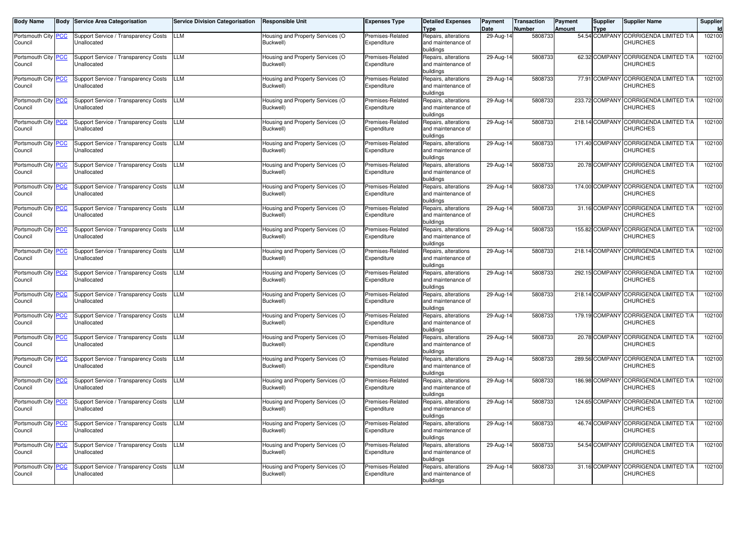| <b>Body Name</b>               | <b>Body</b> | <b>Service Area Categorisation</b>                  | <b>Service Division Categorisation</b> | <b>Responsible Unit</b>                       | <b>Expenses Type</b>            | <b>Detailed Expenses</b><br>Type                        | Payment<br>Date | Transaction<br><b>Number</b> | Payment<br>Amount | <b>Supplier</b><br><b>Type</b> | <b>Supplier Name</b>                                     | Supplier |
|--------------------------------|-------------|-----------------------------------------------------|----------------------------------------|-----------------------------------------------|---------------------------------|---------------------------------------------------------|-----------------|------------------------------|-------------------|--------------------------------|----------------------------------------------------------|----------|
| Portsmouth City PCC<br>Council |             | Support Service / Transparency Costs<br>Unallocated | LLM                                    | Housing and Property Services (O<br>Buckwell) | Premises-Related<br>Expenditure | Repairs, alterations<br>and maintenance of<br>buildings | 29-Aug-14       | 5808733                      |                   | 54.54 COMPANY                  | <b>CORRIGENDA LIMITED T/A</b><br><b>CHURCHES</b>         | 102100   |
| Portsmouth City PCC<br>Council |             | Support Service / Transparency Costs<br>Unallocated | LLM                                    | Housing and Property Services (O<br>Buckwell) | Premises-Related<br>Expenditure | Repairs, alterations<br>and maintenance of<br>buildings | 29-Aug-14       | 5808733                      |                   |                                | 62.32 COMPANY CORRIGENDA LIMITED T/A<br><b>CHURCHES</b>  | 102100   |
| Portsmouth City PCC<br>Council |             | Support Service / Transparency Costs<br>Unallocated | LLM                                    | Housing and Property Services (O<br>Buckwell) | Premises-Related<br>Expenditure | Repairs, alterations<br>and maintenance of<br>buildings | 29-Aug-14       | 5808733                      |                   |                                | 77.91 COMPANY CORRIGENDA LIMITED T/A<br><b>CHURCHES</b>  | 102100   |
| Portsmouth City PCC<br>Council |             | Support Service / Transparency Costs<br>Unallocated | LLM                                    | Housing and Property Services (O<br>Buckwell) | Premises-Related<br>Expenditure | Repairs, alterations<br>and maintenance of<br>buildings | 29-Aug-14       | 5808733                      |                   | 233.72 COMPANY                 | CORRIGENDA LIMITED T/A<br><b>CHURCHES</b>                | 102100   |
| Portsmouth City PCC<br>Council |             | Support Service / Transparency Costs<br>Unallocated | LLM                                    | Housing and Property Services (O<br>Buckwell) | Premises-Related<br>Expenditure | Repairs, alterations<br>and maintenance of<br>buildings | 29-Aug-14       | 5808733                      |                   |                                | 218.14 COMPANY CORRIGENDA LIMITED T/A<br><b>CHURCHES</b> | 102100   |
| Portsmouth City PCC<br>Council |             | Support Service / Transparency Costs<br>Unallocated | LLM                                    | Housing and Property Services (O<br>Buckwell) | Premises-Related<br>Expenditure | Repairs, alterations<br>and maintenance of<br>buildings | 29-Aug-14       | 5808733                      |                   |                                | 171.40 COMPANY CORRIGENDA LIMITED T/A<br><b>CHURCHES</b> | 102100   |
| Portsmouth City PCC<br>Council |             | Support Service / Transparency Costs<br>Unallocated | LLM                                    | Housing and Property Services (O<br>Buckwell) | Premises-Related<br>Expenditure | Repairs, alterations<br>and maintenance of<br>buildings | 29-Aug-14       | 5808733                      |                   |                                | 20.78 COMPANY CORRIGENDA LIMITED T/A<br><b>CHURCHES</b>  | 102100   |
| Portsmouth City PCC<br>Council |             | Support Service / Transparency Costs<br>Jnallocated | LLM                                    | Housing and Property Services (O<br>Buckwell) | Premises-Related<br>Expenditure | Repairs, alterations<br>and maintenance of<br>buildings | 29-Aug-14       | 5808733                      |                   |                                | 174.00 COMPANY CORRIGENDA LIMITED T/A<br><b>CHURCHES</b> | 102100   |
| Portsmouth City PCC<br>Council |             | Support Service / Transparency Costs<br>Jnallocated | LLM                                    | Housing and Property Services (O<br>Buckwell) | Premises-Related<br>Expenditure | Repairs, alterations<br>and maintenance of<br>buildings | 29-Aug-14       | 5808733                      |                   |                                | 31.16 COMPANY CORRIGENDA LIMITED T/A<br><b>CHURCHES</b>  | 102100   |
| Portsmouth City PCC<br>Council |             | Support Service / Transparency Costs<br>Jnallocated | LLM                                    | Housing and Property Services (O<br>Buckwell) | Premises-Related<br>Expenditure | Repairs, alterations<br>and maintenance of<br>buildings | 29-Aug-14       | 5808733                      |                   |                                | 155.82 COMPANY CORRIGENDA LIMITED T/A<br><b>CHURCHES</b> | 102100   |
| Portsmouth City PCC<br>Council |             | Support Service / Transparency Costs<br>Jnallocated | LLM                                    | Housing and Property Services (O<br>Buckwell) | Premises-Related<br>Expenditure | Repairs, alterations<br>and maintenance of<br>buildings | 29-Aug-14       | 5808733                      |                   |                                | 218.14 COMPANY CORRIGENDA LIMITED T/A<br><b>CHURCHES</b> | 102100   |
| Portsmouth City PCC<br>Council |             | Support Service / Transparency Costs<br>Jnallocated | LLM                                    | Housing and Property Services (O<br>Buckwell) | Premises-Related<br>Expenditure | Repairs, alterations<br>and maintenance of<br>buildings | 29-Aug-14       | 5808733                      |                   | 292.15 COMPANY                 | CORRIGENDA LIMITED T/A<br><b>CHURCHES</b>                | 102100   |
| Portsmouth City PCC<br>Council |             | Support Service / Transparency Costs<br>Jnallocated | LM.                                    | Housing and Property Services (O<br>Buckwell) | Premises-Related<br>Expenditure | Repairs, alterations<br>and maintenance of<br>buildinas | 29-Aug-14       | 5808733                      |                   | 218.14 COMPANY                 | CORRIGENDA LIMITED T/A<br><b>CHURCHES</b>                | 102100   |
| Portsmouth City PCC<br>Council |             | Support Service / Transparency Costs<br>Jnallocated | LM.                                    | Housing and Property Services (O<br>Buckwell) | Premises-Related<br>Expenditure | Repairs, alterations<br>and maintenance of<br>buildings | 29-Aug-14       | 5808733                      |                   | 179.19 COMPANY                 | <b>CORRIGENDA LIMITED T/A</b><br><b>CHURCHES</b>         | 102100   |
| Portsmouth City PCC<br>Council |             | Support Service / Transparency Costs<br>Jnallocated | LM.                                    | Housing and Property Services (O<br>Buckwell) | Premises-Related<br>Expenditure | Repairs, alterations<br>and maintenance of<br>buildings | 29-Aug-14       | 5808733                      |                   | 20.78 COMPANY                  | <b>CORRIGENDA LIMITED T/A</b><br><b>CHURCHES</b>         | 102100   |
| Portsmouth City PCC<br>Council |             | Support Service / Transparency Costs<br>Jnallocated | LM.                                    | Housing and Property Services (O<br>Buckwell) | Premises-Related<br>Expenditure | Repairs, alterations<br>and maintenance of<br>buildings | 29-Aug-14       | 5808733                      |                   | 289.56 COMPANY                 | <b>CORRIGENDA LIMITED T/A</b><br><b>CHURCHES</b>         | 102100   |
| Portsmouth City PCC<br>Council |             | Support Service / Transparency Costs<br>Jnallocated | LM.                                    | Housing and Property Services (O<br>Buckwell) | Premises-Related<br>Expenditure | Repairs, alterations<br>and maintenance of<br>buildings | 29-Aug-14       | 5808733                      |                   | 186.98 COMPANY                 | <b>CORRIGENDA LIMITED T/A</b><br><b>CHURCHES</b>         | 102100   |
| Portsmouth City PCC<br>Council |             | Support Service / Transparency Costs<br>Unallocated | LM.                                    | Housing and Property Services (O<br>Buckwell) | Premises-Related<br>Expenditure | Repairs, alterations<br>and maintenance of<br>buildings | 29-Aug-1        | 5808733                      |                   | 124.65 COMPANY                 | <b>CORRIGENDA LIMITED T/A</b><br><b>CHURCHES</b>         | 102100   |
| Portsmouth City PCC<br>Council |             | Support Service / Transparency Costs<br>Unallocated | <b>LLM</b>                             | Housing and Property Services (O<br>Buckwell) | Premises-Related<br>Expenditure | Repairs, alterations<br>and maintenance of<br>buildings | 29-Aug-14       | 5808733                      |                   |                                | 46.74 COMPANY CORRIGENDA LIMITED T/A<br><b>CHURCHES</b>  | 102100   |
| Portsmouth City PCC<br>Council |             | Support Service / Transparency Costs<br>Unallocated | LLM                                    | Housing and Property Services (O<br>Buckwell) | Premises-Related<br>Expenditure | Repairs, alterations<br>and maintenance of<br>buildings | 29-Aug-14       | 5808733                      |                   |                                | 54.54 COMPANY CORRIGENDA LIMITED T/A<br><b>CHURCHES</b>  | 102100   |
| Portsmouth City PCC<br>Council |             | Support Service / Transparency Costs<br>Unallocated | LLM                                    | Housing and Property Services (O<br>Buckwell) | Premises-Related<br>Expenditure | Repairs, alterations<br>and maintenance of<br>buildings | 29-Aug-14       | 5808733                      |                   |                                | 31.16 COMPANY CORRIGENDA LIMITED T/A<br><b>CHURCHES</b>  | 102100   |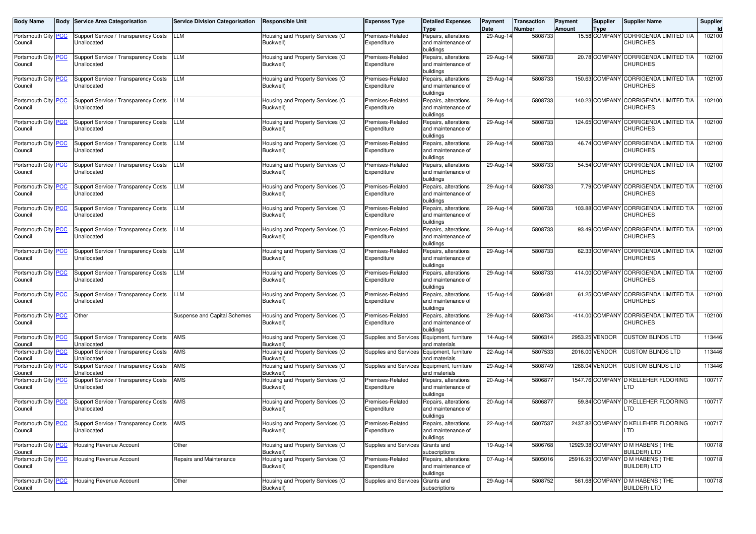| <b>Body Name</b>               | <b>Body Service Area Categorisation</b>             | <b>Service Division Categorisation</b> | <b>Responsible Unit</b>                       | <b>Expenses Type</b>            | <b>Detailed Expenses</b><br><b>Type</b>                 | Payment<br>Date | <b>Transaction</b><br>Number | Payment<br>Amount | <b>Supplier</b><br><b>Type</b> | <b>Supplier Name</b>                                      | Supplier<br>Id |
|--------------------------------|-----------------------------------------------------|----------------------------------------|-----------------------------------------------|---------------------------------|---------------------------------------------------------|-----------------|------------------------------|-------------------|--------------------------------|-----------------------------------------------------------|----------------|
| Portsmouth City PCC<br>Council | Support Service / Transparency Costs<br>Unallocated | LLM                                    | Housing and Property Services (O<br>Buckwell) | Premises-Related<br>Expenditure | Repairs, alterations<br>and maintenance of              | 29-Aug-14       | 5808733                      |                   |                                | 15.58 COMPANY CORRIGENDA LIMITED T/A<br><b>CHURCHES</b>   | 102100         |
|                                |                                                     |                                        |                                               |                                 | buildings                                               |                 |                              |                   |                                | 20.78 COMPANY CORRIGENDA LIMITED T/A                      |                |
| Portsmouth City PCC<br>Council | Support Service / Transparency Costs<br>Unallocated | LLM                                    | Housing and Property Services (O<br>Buckwell) | Premises-Related<br>Expenditure | Repairs, alterations<br>and maintenance of<br>buildings | 29-Aug-14       | 5808733                      |                   |                                | <b>CHURCHES</b>                                           | 102100         |
| Portsmouth City PCC<br>Council | Support Service / Transparency Costs<br>Unallocated | LLM                                    | Housing and Property Services (O<br>Buckwell) | Premises-Related<br>Expenditure | Repairs, alterations<br>and maintenance of<br>buildings | 29-Aug-14       | 5808733                      |                   |                                | 150.63 COMPANY CORRIGENDA LIMITED T/A<br><b>CHURCHES</b>  | 102100         |
| Portsmouth City PCC<br>Council | Support Service / Transparency Costs<br>Unallocated | LLM                                    | Housing and Property Services (O<br>Buckwell) | Premises-Related<br>Expenditure | Repairs, alterations<br>and maintenance of<br>buildings | 29-Aug-14       | 5808733                      |                   |                                | 140.23 COMPANY CORRIGENDA LIMITED T/A<br><b>CHURCHES</b>  | 102100         |
| Portsmouth City PCC<br>Council | Support Service / Transparency Costs<br>Unallocated | LLM                                    | Housing and Property Services (O<br>Buckwell) | Premises-Related<br>Expenditure | Repairs, alterations<br>and maintenance of<br>buildings | 29-Aug-14       | 5808733                      |                   |                                | 124.65 COMPANY CORRIGENDA LIMITED T/A<br><b>CHURCHES</b>  | 102100         |
| Portsmouth City PCC<br>Council | Support Service / Transparency Costs<br>Unallocated | LLM                                    | Housing and Property Services (O<br>Buckwell) | Premises-Related<br>Expenditure | Repairs, alterations<br>and maintenance of<br>buildings | 29-Aug-14       | 5808733                      |                   |                                | 46.74 COMPANY CORRIGENDA LIMITED T/A<br><b>CHURCHES</b>   | 102100         |
| Portsmouth City PCC<br>Council | Support Service / Transparency Costs<br>Unallocated | LLM                                    | Housing and Property Services (O<br>Buckwell) | Premises-Related<br>Expenditure | Repairs, alterations<br>and maintenance of<br>buildings | 29-Aug-14       | 5808733                      |                   |                                | 54.54 COMPANY CORRIGENDA LIMITED T/A<br><b>CHURCHES</b>   | 102100         |
| Portsmouth City PCC<br>Council | Support Service / Transparency Costs<br>Unallocated | LLM                                    | Housing and Property Services (O<br>Buckwell) | Premises-Related<br>Expenditure | Repairs, alterations<br>and maintenance of<br>buildings | 29-Aug-14       | 5808733                      |                   |                                | 7.79 COMPANY CORRIGENDA LIMITED T/A<br><b>CHURCHES</b>    | 102100         |
| Portsmouth City PCC<br>Council | Support Service / Transparency Costs<br>Unallocated | LLM                                    | Housing and Property Services (O<br>Buckwell) | Premises-Related<br>Expenditure | Repairs, alterations<br>and maintenance of<br>buildings | 29-Aug-14       | 5808733                      |                   |                                | 103.88 COMPANY CORRIGENDA LIMITED T/A<br><b>CHURCHES</b>  | 102100         |
| Portsmouth City PCC<br>Council | Support Service / Transparency Costs<br>Unallocated | LLM                                    | Housing and Property Services (O<br>Buckwell) | Premises-Related<br>Expenditure | Repairs, alterations<br>and maintenance of<br>buildings | 29-Aug-14       | 5808733                      |                   |                                | 93.49 COMPANY CORRIGENDA LIMITED T/A<br><b>CHURCHES</b>   | 102100         |
| Portsmouth City PCC<br>Council | Support Service / Transparency Costs<br>Unallocated | LLM                                    | Housing and Property Services (O<br>Buckwell) | Premises-Related<br>Expenditure | Repairs, alterations<br>and maintenance of<br>buildings | 29-Aug-14       | 5808733                      |                   |                                | 62.33 COMPANY CORRIGENDA LIMITED T/A<br><b>CHURCHES</b>   | 102100         |
| Portsmouth City PCC<br>Council | Support Service / Transparency Costs<br>Unallocated | LLM                                    | Housing and Property Services (O<br>Buckwell) | Premises-Related<br>Expenditure | Repairs, alterations<br>and maintenance of<br>buildings | 29-Aug-14       | 5808733                      |                   |                                | 414.00 COMPANY CORRIGENDA LIMITED T/A<br><b>CHURCHES</b>  | 102100         |
| Portsmouth City PCC<br>Council | Support Service / Transparency Costs<br>Unallocated | LLM                                    | Housing and Property Services (O<br>Buckwell) | Premises-Related<br>Expenditure | Repairs, alterations<br>and maintenance of<br>buildings | 15-Aug-14       | 5806481                      |                   |                                | 61.25 COMPANY CORRIGENDA LIMITED T/A<br><b>CHURCHES</b>   | 102100         |
| Portsmouth City PCC<br>Council | Other                                               | Suspense and Capital Schemes           | Housing and Property Services (O<br>Buckwell) | Premises-Related<br>Expenditure | Repairs, alterations<br>and maintenance of<br>buildings | 29-Aug-14       | 5808734                      |                   |                                | -414.00 COMPANY CORRIGENDA LIMITED T/A<br><b>CHURCHES</b> | 102100         |
| Portsmouth City PCC<br>Council | Support Service / Transparency Costs<br>Unallocated | AMS                                    | Housing and Property Services (O<br>Buckwell) | Supplies and Services           | Equipment, furniture<br>and materials                   | 14-Aug-14       | 5806314                      |                   | 2953.25 VENDOR                 | <b>CUSTOM BLINDS LTD</b>                                  | 113446         |
| Portsmouth City PCC<br>Council | Support Service / Transparency Costs<br>Unallocated | AMS                                    | Housing and Property Services (O<br>Buckwell) | <b>Supplies and Services</b>    | Equipment, furniture<br>and materials                   | 22-Aug-14       | 5807533                      |                   | 2016.00 VENDOR                 | <b>CUSTOM BLINDS LTD</b>                                  | 113446         |
| Portsmouth City PCC<br>Council | Support Service / Transparency Costs<br>Unallocated | AMS                                    | Housing and Property Services (O<br>Buckwell) | Supplies and Services           | Equipment, furniture<br>and materials                   | 29-Aug-14       | 5808749                      |                   | 1268.04 VENDOR                 | <b>CUSTOM BLINDS LTD</b>                                  | 113446         |
| Portsmouth City PCC<br>Council | Support Service / Transparency Costs<br>Unallocated | AMS                                    | Housing and Property Services (O<br>Buckwell) | Premises-Related<br>Expenditure | Repairs, alterations<br>and maintenance of<br>buildings | 20-Aug-14       | 5806877                      |                   |                                | 1547.76 COMPANY D KELLEHER FLOORING<br>LTD                | 100717         |
| Portsmouth City PCC<br>Council | Support Service / Transparency Costs<br>Unallocated | AMS                                    | Housing and Property Services (O<br>Buckwell) | Premises-Related<br>Expenditure | Repairs, alterations<br>and maintenance of<br>buildings | 20-Aug-14       | 5806877                      |                   |                                | 59.84 COMPANY D KELLEHER FLOORING<br>LTD                  | 100717         |
| Portsmouth City PCC<br>Council | Support Service / Transparency Costs<br>Unallocated | AMS                                    | Housing and Property Services (O<br>Buckwell) | Premises-Related<br>Expenditure | Repairs, alterations<br>and maintenance of<br>buildings | 22-Aug-14       | 5807537                      |                   |                                | 2437.82 COMPANY D KELLEHER FLOORING<br><b>LTD</b>         | 100717         |
| Portsmouth City PCC<br>Council | Housing Revenue Account                             | Other                                  | Housing and Property Services (O<br>Buckwell) | Supplies and Services           | Grants and<br>subscriptions                             | 19-Aug-14       | 5806768                      |                   |                                | 12929.38 COMPANY D M HABENS (THE<br><b>BUILDER) LTD</b>   | 100718         |
| Portsmouth City PCC<br>Council | Housing Revenue Account                             | Repairs and Maintenance                | Housing and Property Services (O<br>Buckwell) | Premises-Related<br>Expenditure | Repairs, alterations<br>and maintenance of<br>buildings | 07-Aug-14       | 5805016                      |                   |                                | 25916.95 COMPANY D M HABENS (THE<br><b>BUILDER) LTD</b>   | 100718         |
| Portsmouth City PCC<br>Council | Housing Revenue Account                             | Other                                  | Housing and Property Services (O<br>Buckwell) | Supplies and Services           | Grants and<br>subscriptions                             | 29-Aug-14       | 5808752                      |                   |                                | 561.68 COMPANY D M HABENS (THE<br><b>BUILDER) LTD</b>     | 100718         |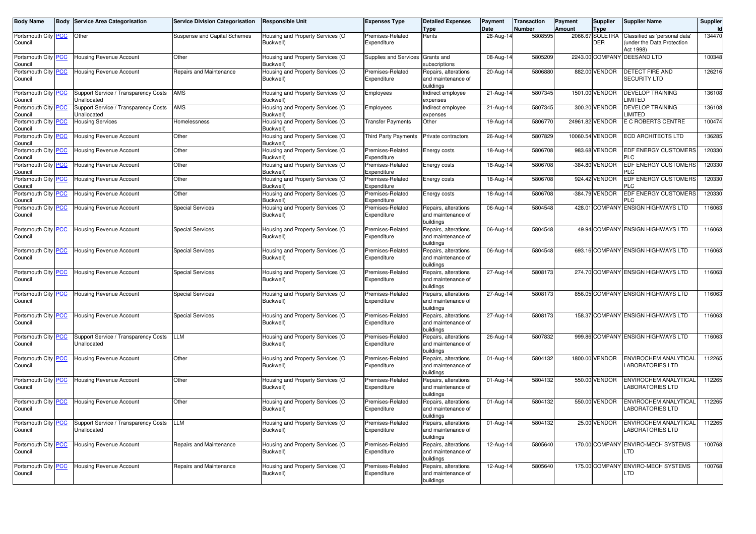| <b>Body Name</b>               |                | <b>Body Service Area Categorisation</b>             | <b>Service Division Categorisation</b> | <b>Responsible Unit</b>                       | <b>Expenses Type</b>            | <b>Detailed Expenses</b><br><b>Type</b>                 | Payment<br>Date | <b>Transaction</b><br>Number | Payment<br><b>Amount</b> | Supplier<br><b>Type</b>       | <b>Supplier Name</b>                                                    | Supplier<br>Id |
|--------------------------------|----------------|-----------------------------------------------------|----------------------------------------|-----------------------------------------------|---------------------------------|---------------------------------------------------------|-----------------|------------------------------|--------------------------|-------------------------------|-------------------------------------------------------------------------|----------------|
| Portsmouth City<br>Council     | <b>PCC</b>     | Other                                               | Suspense and Capital Schemes           | Housing and Property Services (O<br>Buckwell) | Premises-Related<br>Expenditure | Rents                                                   | 28-Aug-1        | 5808595                      |                          | 2066.67 SOLETRA<br><b>DER</b> | Classified as 'personal data'<br>under the Data Protection<br>Act 1998) | 134470         |
| Portsmouth City PCC<br>Council |                | Housing Revenue Account                             | Other                                  | Housing and Property Services (O<br>Buckwell) | Supplies and Services           | Grants and<br>subscriptions                             | 08-Aug-14       | 5805209                      |                          |                               | 2243.00 COMPANY DEESAND LTD                                             | 100348         |
| Portsmouth City PCC<br>Council |                | Housing Revenue Account                             | Repairs and Maintenance                | Housing and Property Services (O<br>Buckwell) | Premises-Related<br>Expenditure | Repairs, alterations<br>and maintenance of<br>buildings | 20-Aug-14       | 5806880                      |                          | 882.00 VENDOR                 | DETECT FIRE AND<br><b>SECURITY LTD</b>                                  | 126216         |
| Portsmouth City PCC<br>Council |                | Support Service / Transparency Costs<br>Unallocated | AMS                                    | Housing and Property Services (O<br>Buckwell) | Employees                       | Indirect employee<br>expenses                           | 21-Aug-14       | 5807345                      |                          | 1501.00 VENDOR                | <b>DEVELOP TRAINING</b><br><b>IMITED</b>                                | 136108         |
| Portsmouth City<br>Council     | <b>PCC</b>     | Support Service / Transparency Costs<br>Unallocated | AMS                                    | Housing and Property Services (O<br>Buckwell) | Employees                       | Indirect employee<br>expenses                           | 21-Aug-14       | 5807345                      |                          | 300.20 VENDOR                 | <b>DEVELOP TRAINING</b><br><b>IMITED</b>                                | 136108         |
| Portsmouth City<br>Council     | $\overline{C}$ | <b>Housing Services</b>                             | Homelessness                           | Housing and Property Services (O<br>Buckwell) | <b>Transfer Payments</b>        | Other                                                   | 19-Aug-14       | 5806770                      |                          | 24961.82 VENDOR               | E C ROBERTS CENTRE                                                      | 100474         |
| Portsmouth City PCC<br>Council |                | Housing Revenue Account                             | Other                                  | Housing and Property Services (O<br>Buckwell) | Third Party Payments            | Private contractors                                     | 26-Aug-14       | 5807829                      |                          | 10060.54 VENDOR               | <b>ECD ARCHITECTS LTD</b>                                               | 136285         |
| Portsmouth City PCC<br>Council |                | Housing Revenue Account                             | Other                                  | Housing and Property Services (O<br>Buckwell) | Premises-Related<br>Expenditure | Energy costs                                            | 18-Aug-14       | 5806708                      |                          | 983.68 VENDOR                 | <b>EDF ENERGY CUSTOMERS</b><br>PLC                                      | 120330         |
| Portsmouth City<br>Council     | <b>PCC</b>     | Housing Revenue Account                             | Other                                  | Housing and Property Services (O<br>Buckwell) | Premises-Related<br>Expenditure | Energy costs                                            | 18-Aug-14       | 5806708                      |                          | -384.80 VENDOR                | EDF ENERGY CUSTOMERS<br>PLC                                             | 120330         |
| Portsmouth City<br>Council     | <b>PCC</b>     | Housing Revenue Account                             | Other                                  | Housing and Property Services (O<br>Buckwell) | Premises-Related<br>Expenditure | Energy costs                                            | 18-Aug-14       | 5806708                      |                          | 924.42 VENDOR                 | EDF ENERGY CUSTOMERS<br>ח ו                                             | 120330         |
| Portsmouth City PCC<br>Council |                | Housing Revenue Account                             | Other                                  | Housing and Property Services (O<br>Buckwell) | Premises-Related<br>Expenditure | Energy costs                                            | 18-Aug-14       | 5806708                      |                          | -384.79 VENDOR                | EDF ENERGY CUSTOMERS<br>PLC                                             | 120330         |
| Portsmouth City PCC<br>Council |                | Housing Revenue Account                             | <b>Special Services</b>                | Housing and Property Services (O<br>Buckwell) | Premises-Related<br>Expenditure | Repairs, alterations<br>and maintenance of<br>buildings | 06-Aug-14       | 5804548                      |                          |                               | 428.01 COMPANY ENSIGN HIGHWAYS LTD                                      | 116063         |
| Portsmouth City<br>Council     | <b>PCC</b>     | Housing Revenue Account                             | <b>Special Services</b>                | Housing and Property Services (O<br>Buckwell) | Premises-Related<br>Expenditure | Repairs, alterations<br>and maintenance of<br>buildings | 06-Aug-14       | 5804548                      |                          |                               | 49.94 COMPANY ENSIGN HIGHWAYS LTD                                       | 116063         |
| Portsmouth City<br>Council     | $\overline{C}$ | Housing Revenue Account                             | <b>Special Services</b>                | Housing and Property Services (O<br>Buckwell) | Premises-Related<br>Expenditure | Repairs, alterations<br>and maintenance of<br>buildings | 06-Aug-14       | 5804548                      |                          |                               | 693.16 COMPANY ENSIGN HIGHWAYS LTD                                      | 116063         |
| Portsmouth City<br>Council     | <b>PCC</b>     | Housing Revenue Account                             | <b>Special Services</b>                | Housing and Property Services (O<br>Buckwell) | Premises-Related<br>Expenditure | Repairs, alterations<br>and maintenance of<br>buildings | 27-Aug-14       | 5808173                      |                          |                               | 274.70 COMPANY ENSIGN HIGHWAYS LTD                                      | 116063         |
| Portsmouth City PCC<br>Council |                | <b>Housing Revenue Account</b>                      | <b>Special Services</b>                | Housing and Property Services (O<br>Buckwell) | Premises-Related<br>Expenditure | Repairs, alterations<br>and maintenance of<br>buildings | 27-Aug-14       | 5808173                      |                          |                               | 856.05 COMPANY ENSIGN HIGHWAYS LTD                                      | 116063         |
| Portsmouth City PCC<br>Council |                | Housing Revenue Account                             | <b>Special Services</b>                | Housing and Property Services (O<br>Buckwell) | Premises-Related<br>Expenditure | Repairs, alterations<br>and maintenance of<br>buildings | $27$ -Aug-14    | 5808173                      |                          |                               | 158.37 COMPANY ENSIGN HIGHWAYS LTD                                      | 116063         |
| Portsmouth City PCC<br>Council |                | Support Service / Transparency Costs<br>Unallocated | LLM                                    | Housing and Property Services (O<br>Buckwell) | Premises-Related<br>Expenditure | Repairs, alterations<br>and maintenance of<br>buildings | 26-Aug-14       | 5807832                      |                          |                               | 999.86 COMPANY ENSIGN HIGHWAYS LTD                                      | 116063         |
| Portsmouth City PCC<br>Council |                | Housing Revenue Account                             | Other                                  | Housing and Property Services (O<br>Buckwell) | Premises-Related<br>Expenditure | Repairs, alterations<br>and maintenance of<br>buildings | 01-Aug-14       | 5804132                      |                          | 1800.00 VENDOR                | ENVIROCHEM ANALYTICAL<br><b>LABORATORIES LTD</b>                        | 112265         |
| Portsmouth City PCC<br>Council |                | Housing Revenue Account                             | Other                                  | Housing and Property Services (O<br>Buckwell) | Premises-Related<br>Expenditure | Repairs, alterations<br>and maintenance of<br>buildings | 01-Aug-14       | 5804132                      |                          | 550.00 VENDOR                 | ENVIROCHEM ANALYTICAL<br><b>LABORATORIES LTD</b>                        | 112265         |
| Portsmouth City PCC<br>Council |                | Housing Revenue Account                             | Other                                  | Housing and Property Services (O<br>Buckwell) | Premises-Related<br>Expenditure | Repairs, alterations<br>and maintenance of<br>buildings | 01-Aug-14       | 5804132                      |                          | 550.00 VENDOR                 | ENVIROCHEM ANALYTICAL<br>LABORATORIES LTD                               | 112265         |
| Portsmouth City<br>Council     | <b>PCC</b>     | Support Service / Transparency Costs<br>Unallocated | <b>LLM</b>                             | Housing and Property Services (O<br>Buckwell) | Premises-Related<br>Expenditure | Repairs, alterations<br>and maintenance of<br>buildings | 01-Aug-14       | 5804132                      |                          | 25.00 VENDOR                  | ENVIROCHEM ANALYTICAL<br><b>ABORATORIES LTD</b>                         | 112265         |
| Portsmouth City PCC<br>Council |                | Housing Revenue Account                             | Repairs and Maintenance                | Housing and Property Services (O<br>Buckwell) | Premises-Related<br>Expenditure | Repairs, alterations<br>and maintenance of<br>buildings | 12-Aug-14       | 5805640                      |                          | 170.00 COMPANY                | <b>ENVIRO-MECH SYSTEMS</b><br>TD <sub>-</sub>                           | 100768         |
| Portsmouth City PCC<br>Council |                | Housing Revenue Account                             | Repairs and Maintenance                | Housing and Property Services (O<br>Buckwell) | Premises-Related<br>Expenditure | Repairs, alterations<br>and maintenance of<br>buildings | 12-Aug-14       | 5805640                      |                          |                               | 175.00 COMPANY ENVIRO-MECH SYSTEMS<br>LTD                               | 100768         |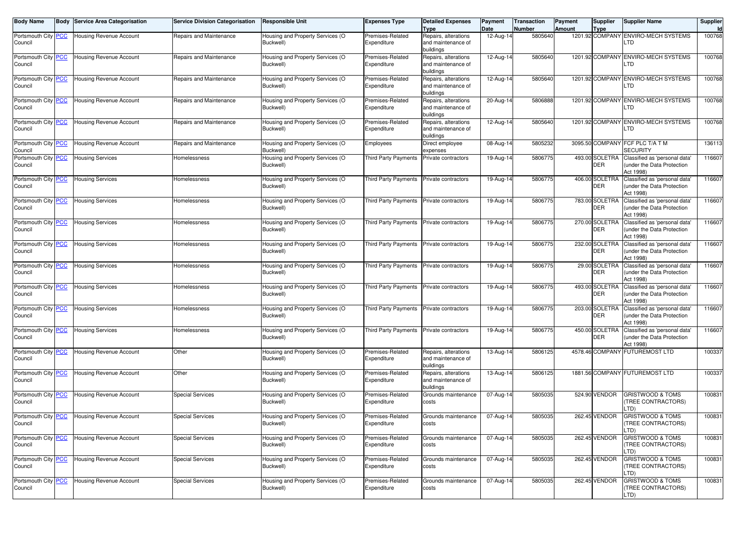| <b>Body Name</b>               | <b>Body Service Area Categorisation</b> | <b>Service Division Categorisation</b> | <b>Responsible Unit</b>                       | <b>Expenses Type</b>            | <b>Detailed Expenses</b><br><b>Type</b>                 | Payment<br>Date         | <b>Transaction</b><br><b>Number</b> | Payment<br><b>Amount</b> | Supplier<br>Type             | <b>Supplier Name</b>                                       | Supplier<br>Id |
|--------------------------------|-----------------------------------------|----------------------------------------|-----------------------------------------------|---------------------------------|---------------------------------------------------------|-------------------------|-------------------------------------|--------------------------|------------------------------|------------------------------------------------------------|----------------|
| Portsmouth City   PCC          | <b>Housing Revenue Account</b>          | Repairs and Maintenance                | Housing and Property Services (O              | Premises-Related                | Repairs, alterations                                    | 12-Aug-14               | 5805640                             |                          |                              | 1201.92 COMPANY ENVIRO-MECH SYSTEMS                        | 100768         |
| Council                        |                                         |                                        | Buckwell)                                     | Expenditure                     | and maintenance of<br>buildings                         |                         |                                     |                          |                              | LTD                                                        |                |
| Portsmouth City   PCC          | Housing Revenue Account                 | Repairs and Maintenance                | Housing and Property Services (O              | Premises-Related                | Repairs, alterations                                    | 12-Aug-14               | 5805640                             |                          |                              | 1201.92 COMPANY ENVIRO-MECH SYSTEMS                        | 100768         |
| Council                        |                                         |                                        | Buckwell)                                     | Expenditure                     | and maintenance of<br>buildings                         |                         |                                     |                          |                              | LTD                                                        |                |
| Portsmouth City   PCC          | <b>Housing Revenue Account</b>          | Repairs and Maintenance                | Housing and Property Services (O              | Premises-Related                | Repairs, alterations                                    | 12-Aug-14               | 5805640                             |                          |                              | 1201.92 COMPANY ENVIRO-MECH SYSTEMS                        | 100768         |
| Council                        |                                         |                                        | Buckwell)                                     | Expenditure                     | and maintenance of<br>buildings                         |                         |                                     |                          |                              | LTD                                                        |                |
| Portsmouth City   PCC          | Housing Revenue Account                 | Repairs and Maintenance                | Housing and Property Services (O              | Premises-Related                | Repairs, alterations                                    | 20-Aug-14               | 5806888                             |                          |                              | 1201.92 COMPANY ENVIRO-MECH SYSTEMS                        | 100768         |
| Council                        |                                         |                                        | Buckwell)                                     | Expenditure                     | and maintenance of<br>buildings                         |                         |                                     |                          |                              | LTD                                                        |                |
| Portsmouth City PCC            | Housing Revenue Account                 | Repairs and Maintenance                | Housing and Property Services (O              | Premises-Related                | Repairs, alterations                                    | 12-Aug-14               | 5805640                             |                          |                              | 1201.92 COMPANY ENVIRO-MECH SYSTEMS                        | 100768         |
| Council                        |                                         |                                        | Buckwell)                                     | Expenditure                     | and maintenance of<br>buildings                         |                         |                                     |                          |                              | LTD                                                        |                |
| Portsmouth City PCC<br>Council | Housing Revenue Account                 | Repairs and Maintenance                | Housing and Property Services (O<br>Buckwell) | Employees                       | Direct employee<br>expenses                             | 08-Aug-14               | 5805232                             |                          |                              | 3095.50 COMPANY FCF PLC T/A T M<br><b>SECURITY</b>         | 136113         |
| Portsmouth City PCC            | <b>Housing Services</b>                 | Homelessness                           | Housing and Property Services (O              | Third Party Payments            | Private contractors                                     | 19-Aug-14               | 5806775                             |                          | 493.00 SOLETRA               | Classified as 'personal data'                              | 116607         |
| Council                        |                                         |                                        | Buckwell)                                     |                                 |                                                         |                         |                                     |                          | DER                          | under the Data Protection<br>Act 1998)                     |                |
| Portsmouth City PCC            | <b>Housing Services</b>                 | Homelessness                           | Housing and Property Services (O<br>Buckwell) | Third Party Payments            | Private contractors                                     | 19-Aug-14               | 5806775                             |                          | 406.00 SOLETRA<br><b>DER</b> | Classified as 'personal data'<br>under the Data Protection | 116607         |
| Council                        |                                         |                                        |                                               |                                 | Private contractors                                     |                         |                                     |                          | 783.00 SOLETRA               | Act 1998)                                                  |                |
| Portsmouth City PCC<br>Council | <b>Housing Services</b>                 | Homelessness                           | Housing and Property Services (O<br>Buckwell) | Third Party Payments            |                                                         | 19-Aug-14               | 5806775                             |                          | DER                          | Classified as 'personal data'<br>under the Data Protection | 116607         |
|                                |                                         |                                        |                                               |                                 |                                                         |                         |                                     |                          |                              | Act 1998)                                                  |                |
| Portsmouth City PCC            | <b>Housing Services</b>                 | Homelessness                           | Housing and Property Services (O              | Third Party Payments            | Private contractors                                     | 19-Aug-14               | 5806775                             |                          | 270.00 SOLETRA               | Classified as 'personal data'                              | 116607         |
| Council                        |                                         |                                        | Buckwell)                                     |                                 |                                                         |                         |                                     |                          | <b>DER</b>                   | under the Data Protection<br>Act 1998)                     |                |
| Portsmouth City PCC            | <b>Housing Services</b>                 | Homelessness                           | Housing and Property Services (O              | Third Party Payments            | Private contractors                                     | 19-Aug-14               | 5806775                             |                          | 232.00 SOLETRA               | Classified as 'personal data'                              | 116607         |
| Council                        |                                         |                                        | Buckwell)                                     |                                 |                                                         |                         |                                     |                          | DER                          | under the Data Protection<br>Act 1998)                     |                |
| Portsmouth City PCC            | <b>Housing Services</b>                 | Homelessness                           | Housing and Property Services (O              | Third Party Payments            | Private contractors                                     | 19-Aug-14               | 5806775                             |                          | 29.00 SOLETRA                | Classified as 'personal data'                              | 116607         |
| Council                        |                                         |                                        | Buckwell)                                     |                                 |                                                         |                         |                                     |                          | <b>DER</b>                   | under the Data Protection<br>Act 1998)                     |                |
| Portsmouth City PCC            | <b>Housing Services</b>                 | Homelessness                           | Housing and Property Services (O              | Third Party Payments            | Private contractors                                     | 19-Aug-14               | 5806775                             |                          | 493.00 SOLETRA               | Classified as 'personal data'                              | 116607         |
| Council                        |                                         |                                        | Buckwell)                                     |                                 |                                                         |                         |                                     |                          | <b>DER</b>                   | under the Data Protection<br>Act 1998)                     |                |
| Portsmouth City PCC<br>Council | <b>Housing Services</b>                 | Homelessness                           | Housing and Property Services (O<br>Buckwell) | Third Party Payments            | Private contractors                                     | 19-Aug-14               | 5806775                             |                          | 203.00 SOLETRA<br><b>DER</b> | Classified as 'personal data'<br>under the Data Protection | 116607         |
|                                |                                         |                                        |                                               |                                 |                                                         |                         |                                     |                          |                              | Act 1998)                                                  |                |
| Portsmouth City PCC            | <b>Housing Services</b>                 | Homelessness                           | Housing and Property Services (O              | Third Party Payments            | Private contractors                                     | 19-Aug-14               | 5806775                             |                          | 450.00 SOLETRA               | Classified as 'personal data'                              | 116607         |
| Council                        |                                         |                                        | Buckwell)                                     |                                 |                                                         |                         |                                     |                          | <b>DER</b>                   | under the Data Protection<br>Act 1998)                     |                |
| Portsmouth City PCC            | <b>Housing Revenue Account</b>          | Other                                  | Housing and Property Services (O              | Premises-Related                | Repairs, alterations                                    | 13-Aug-14               | 5806125                             |                          | 4578.46 COMPANY              | <b>FUTUREMOST LTD</b>                                      | 100337         |
| Council                        |                                         |                                        | Buckwell)                                     | Expenditure                     | and maintenance of                                      |                         |                                     |                          |                              |                                                            |                |
|                                | <b>Housing Revenue Account</b>          |                                        |                                               |                                 | buildings                                               |                         |                                     |                          |                              | 1881.56 COMPANY FUTUREMOST LTD                             |                |
| Portsmouth City PCC<br>Council |                                         | Other                                  | Housing and Property Services (O<br>Buckwell) | Premises-Related<br>Expenditure | Repairs, alterations<br>and maintenance of<br>buildings | 13-Aug-14               | 5806125                             |                          |                              |                                                            | 100337         |
| Portsmouth City PCC            | <b>Housing Revenue Account</b>          | <b>Special Services</b>                | Housing and Property Services (O              | Premises-Related                | Grounds maintenance                                     | $\overline{07}$ -Aug-14 | 5805035                             |                          | 524.90 VENDOR                | <b>GRISTWOOD &amp; TOMS</b>                                | 100831         |
| Council                        |                                         |                                        | Buckwell)                                     | Expenditure                     | costs                                                   |                         |                                     |                          |                              | <b>TREE CONTRACTORS)</b><br>_TD)                           |                |
| Portsmouth City PCC            | <b>Housing Revenue Account</b>          | <b>Special Services</b>                | Housing and Property Services (O              | Premises-Related                | Grounds maintenance                                     | 07-Aug-14               | 5805035                             |                          | 262.45 VENDOR                | <b>GRISTWOOD &amp; TOMS</b>                                | 100831         |
| Council                        |                                         |                                        | Buckwell)                                     | Expenditure                     | costs                                                   |                         |                                     |                          |                              | TREE CONTRACTORS)<br>LTD)                                  |                |
| Portsmouth City PCC            | <b>Housing Revenue Account</b>          | <b>Special Services</b>                | Housing and Property Services (O              | Premises-Related                | Grounds maintenance                                     | 07-Aug-14               | 5805035                             |                          | 262.45 VENDOR                | <b>GRISTWOOD &amp; TOMS</b>                                | 100831         |
| Council                        |                                         |                                        | Buckwell)                                     | Expenditure                     | costs                                                   |                         |                                     |                          |                              | (TREE CONTRACTORS)<br>.TD)                                 |                |
| Portsmouth City PCC            | <b>Housing Revenue Account</b>          | <b>Special Services</b>                | Housing and Property Services (O              | Premises-Related                | Grounds maintenance                                     | 07-Aug-14               | 5805035                             |                          | 262.45 VENDOR                | <b>GRISTWOOD &amp; TOMS</b>                                | 100831         |
| Council                        |                                         |                                        | Buckwell)                                     | Expenditure                     | costs                                                   |                         |                                     |                          |                              | (TREE CONTRACTORS)<br>.TD)                                 |                |
| Portsmouth City PCC            | <b>Housing Revenue Account</b>          | <b>Special Services</b>                | Housing and Property Services (O              | Premises-Related                | Grounds maintenance                                     | 07-Aug-14               | 5805035                             |                          | 262.45 VENDOR                | <b>GRISTWOOD &amp; TOMS</b>                                | 100831         |
| Council                        |                                         |                                        | Buckwell)                                     | Expenditure                     | costs                                                   |                         |                                     |                          |                              | <b>TREE CONTRACTORS)</b><br>TD).                           |                |
|                                |                                         |                                        |                                               |                                 |                                                         |                         |                                     |                          |                              |                                                            |                |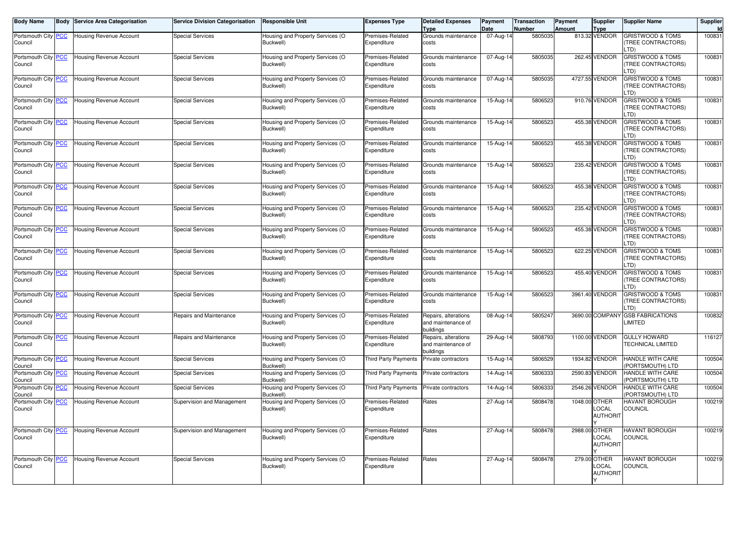| <b>Body Name</b>               | <b>Body</b> | <b>Service Area Categorisation</b> | <b>Service Division Categorisation</b> | <b>Responsible Unit</b>                       | <b>Expenses Type</b>            | <b>Detailed Expenses</b><br><b>Type</b>                 | Payment<br>Date | Transaction<br>Number | Payment<br><b>Amount</b> | <b>Supplier</b><br><b>Type</b>                 | <b>Supplier Name</b>                                            | Supplier<br>Id |
|--------------------------------|-------------|------------------------------------|----------------------------------------|-----------------------------------------------|---------------------------------|---------------------------------------------------------|-----------------|-----------------------|--------------------------|------------------------------------------------|-----------------------------------------------------------------|----------------|
| Portsmouth City PCC<br>Council |             | Housing Revenue Account            | <b>Special Services</b>                | Housing and Property Services (O<br>Buckwell) | Premises-Related<br>Expenditure | Grounds maintenance<br>costs                            | 07-Aug-14       | 5805035               |                          | 813.32 VENDOR                                  | <b>GRISTWOOD &amp; TOMS</b><br>TREE CONTRACTORS)<br>TD)         | 100831         |
| Portsmouth City PCC<br>Council |             | <b>Housing Revenue Account</b>     | <b>Special Services</b>                | Housing and Property Services (O<br>Buckwell) | Premises-Related<br>Expenditure | Grounds maintenance<br>costs                            | 07-Aug-14       | 5805035               |                          | 262.45 VENDOR                                  | <b>GRISTWOOD &amp; TOMS</b><br>TREE CONTRACTORS)<br>TD)         | 100831         |
| Portsmouth City PCC<br>Council |             | <b>Housing Revenue Account</b>     | <b>Special Services</b>                | Housing and Property Services (O<br>Buckwell) | Premises-Related<br>Expenditure | Grounds maintenance<br>costs                            | 07-Aug-14       | 5805035               |                          | 4727.55 VENDOR                                 | <b>GRISTWOOD &amp; TOMS</b><br>TREE CONTRACTORS)<br>TD)         | 100831         |
| Portsmouth City PCC<br>Council |             | <b>Housing Revenue Account</b>     | <b>Special Services</b>                | Housing and Property Services (O<br>Buckwell) | Premises-Related<br>Expenditure | Grounds maintenance<br>costs                            | 15-Aug-14       | 5806523               |                          | 910.76 VENDOR                                  | <b>GRISTWOOD &amp; TOMS</b><br>TREE CONTRACTORS)<br>TD)         | 100831         |
| Portsmouth City PCC<br>Council |             | Housing Revenue Account            | <b>Special Services</b>                | Housing and Property Services (O<br>Buckwell) | Premises-Related<br>Expenditure | Grounds maintenance<br>costs                            | 15-Aug-14       | 5806523               |                          | 455.38 VENDOR                                  | <b>GRISTWOOD &amp; TOMS</b><br>TREE CONTRACTORS)<br>.TD)        | 100831         |
| Portsmouth City PCC<br>Council |             | Housing Revenue Account            | <b>Special Services</b>                | Housing and Property Services (O<br>Buckwell) | Premises-Related<br>Expenditure | Grounds maintenance<br>costs                            | 15-Aug-14       | 5806523               |                          | 455.38 VENDOR                                  | <b>GRISTWOOD &amp; TOMS</b><br>TREE CONTRACTORS)<br>TD)         | 100831         |
| Portsmouth City PCC<br>Council |             | Housing Revenue Account            | <b>Special Services</b>                | Housing and Property Services (O<br>Buckwell) | Premises-Related<br>Expenditure | Grounds maintenance<br>costs                            | $15-Aug-14$     | 5806523               |                          | 235.42 VENDOR                                  | <b>GRISTWOOD &amp; TOMS</b><br>TREE CONTRACTORS)<br>TD)         | 100831         |
| Portsmouth City PCC<br>Council |             | <b>Housing Revenue Account</b>     | <b>Special Services</b>                | Housing and Property Services (O<br>Buckwell) | Premises-Related<br>Expenditure | Grounds maintenance<br>costs                            | 15-Aug-14       | 5806523               |                          | 455.38 VENDOR                                  | <b>GRISTWOOD &amp; TOMS</b><br>TREE CONTRACTORS)<br>TD)         | 100831         |
| Portsmouth City PCC<br>Council |             | Housing Revenue Account            | <b>Special Services</b>                | Housing and Property Services (O<br>Buckwell) | Premises-Related<br>Expenditure | Grounds maintenance<br>costs                            | $15-Aug-14$     | 5806523               |                          | 235.42 VENDOR                                  | <b>GRISTWOOD &amp; TOMS</b><br>TREE CONTRACTORS)<br>TD)         | 100831         |
| Portsmouth City PCC<br>Council |             | Housing Revenue Account            | <b>Special Services</b>                | Housing and Property Services (O<br>Buckwell) | Premises-Related<br>Expenditure | Grounds maintenance<br>costs                            | 15-Aug-14       | 5806523               |                          | 455.38 VENDOR                                  | <b>GRISTWOOD &amp; TOMS</b><br>TREE CONTRACTORS)<br>.TD)        | 100831         |
| Portsmouth City PCC<br>Council |             | Housing Revenue Account            | <b>Special Services</b>                | Housing and Property Services (O<br>Buckwell) | Premises-Related<br>Expenditure | Grounds maintenance<br>costs                            | 15-Aug-14       | 5806523               |                          | 622.25 VENDOR                                  | <b>GRISTWOOD &amp; TOMS</b><br><b>TREE CONTRACTORS)</b><br>TD). | 100831         |
| Portsmouth City PCC<br>Council |             | Housing Revenue Account            | <b>Special Services</b>                | Housing and Property Services (O<br>Buckwell) | Premises-Related<br>Expenditure | Grounds maintenance<br>costs                            | 15-Aug-14       | 5806523               |                          | 455.40 VENDOR                                  | <b>GRISTWOOD &amp; TOMS</b><br>TREE CONTRACTORS)<br>.TD)        | 100831         |
| Portsmouth City PCC<br>Council |             | Housing Revenue Account            | <b>Special Services</b>                | Housing and Property Services (O<br>Buckwell) | Premises-Related<br>Expenditure | Grounds maintenance<br>costs                            | 15-Aug-14       | 5806523               |                          | 3961.40 VENDOR                                 | GRISTWOOD & TOMS<br>TREE CONTRACTORS)<br>TD).                   | 100831         |
| Portsmouth City PCC<br>Council |             | <b>Housing Revenue Account</b>     | Repairs and Maintenance                | Housing and Property Services (O<br>Buckwell) | Premises-Related<br>Expenditure | Repairs, alterations<br>and maintenance of<br>buildings | 08-Aug-14       | 5805247               |                          | 3690.00 COMPANY                                | <b>GSB FABRICATIONS</b><br><b>IMITED</b>                        | 100832         |
| Portsmouth City PCC<br>Council |             | <b>Housing Revenue Account</b>     | Repairs and Maintenance                | Housing and Property Services (O<br>Buckwell) | Premises-Related<br>Expenditure | Repairs, alterations<br>and maintenance of<br>buildings | 29-Aug-14       | 5808793               |                          | 1100.00 VENDOR                                 | <b>GULLY HOWARD</b><br><b>TECHNICAL LIMITED</b>                 | 116127         |
| Portsmouth City PCC<br>Council |             | <b>Housing Revenue Account</b>     | <b>Special Services</b>                | Housing and Property Services (O<br>Buckwell) | Third Party Payments            | Private contractors                                     | 15-Aug-14       | 5806529               |                          | 1934.82 VENDOR                                 | HANDLE WITH CARE<br>PORTSMOUTH) LTD                             | 100504         |
| Portsmouth City PCC<br>Council |             | Housing Revenue Account            | <b>Special Services</b>                | Housing and Property Services (O<br>Buckwell) | Third Party Payments            | Private contractors                                     | 14-Aug-14       | 5806333               |                          | 2590.83 VENDOR                                 | HANDLE WITH CARE<br>PORTSMOUTH) LTD                             | 100504         |
| Portsmouth City PCC<br>Council |             | Housing Revenue Account            | <b>Special Services</b>                | Housing and Property Services (O<br>Buckwell) | <b>Third Party Payments</b>     | Private contractors                                     | 14-Aug-14       | 5806333               |                          | 2546.26 VENDOR                                 | <b>HANDLE WITH CARE</b><br>PORTSMOUTH) LTD                      | 100504         |
| Portsmouth City PCC<br>Council |             | Housing Revenue Account            | Supervision and Management             | Housing and Property Services (O<br>Buckwell) | Premises-Related<br>Expenditure | Rates                                                   | 27-Aug-14       | 5808478               |                          | 1048.00 OTHER<br>LOCAL<br><b>AUTHORIT</b>      | HAVANT BOROUGH<br>COUNCIL                                       | 100219         |
| Portsmouth City PCC<br>Council |             | Housing Revenue Account            | Supervision and Management             | Housing and Property Services (O<br>Buckwell) | Premises-Related<br>Expenditure | Rates                                                   | 27-Aug-14       | 5808478               |                          | 2988.00 OTHER<br>LOCAL<br><b>AUTHORIT</b>      | <b>HAVANT BOROUGH</b><br>COUNCIL                                | 100219         |
| Portsmouth City PCC<br>Council |             | <b>Housing Revenue Account</b>     | <b>Special Services</b>                | Housing and Property Services (O<br>Buckwell) | Premises-Related<br>Expenditure | Rates                                                   | 27-Aug-14       | 5808478               |                          | 279.00 OTHER<br>LOCAL<br><b>AUTHORIT</b><br>Iv | HAVANT BOROUGH<br>COUNCIL                                       | 100219         |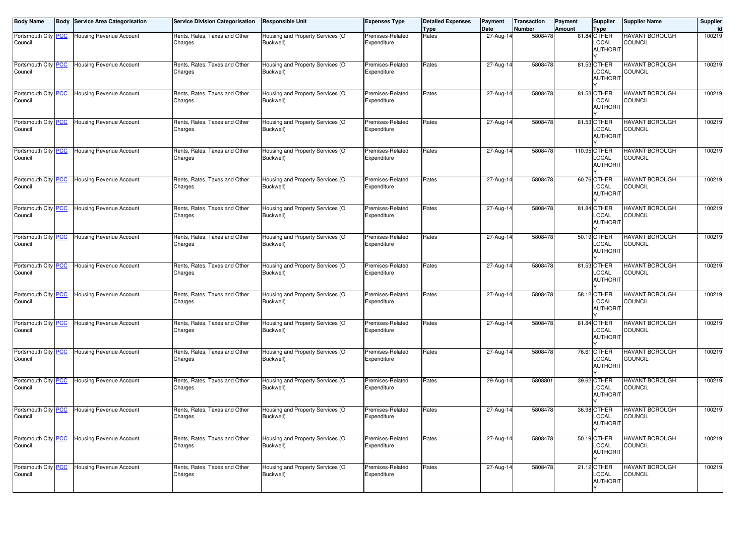| <b>Body Name</b>               | <b>Body Service Area Categorisation</b> | <b>Service Division Categorisation</b>   | <b>Responsible Unit</b>                       | <b>Expenses Type</b>            | <b>Detailed Expenses</b><br><b>Type</b> | Payment<br>Date | <b>Transaction</b><br><b>Number</b> | Payment<br>Amount | Supplier<br>Type                        | <b>Supplier Name</b>                    | Supplier<br>Id |
|--------------------------------|-----------------------------------------|------------------------------------------|-----------------------------------------------|---------------------------------|-----------------------------------------|-----------------|-------------------------------------|-------------------|-----------------------------------------|-----------------------------------------|----------------|
| Portsmouth City PCC<br>Council | Housing Revenue Account                 | Rents, Rates, Taxes and Other<br>Charges | Housing and Property Services (O<br>Buckwell) | Premises-Related<br>Expenditure | Rates                                   | 27-Aug-14       | 5808478                             |                   | 81.84 OTHER<br>LOCAL<br><b>AUTHORIT</b> | <b>HAVANT BOROUGH</b><br><b>COUNCIL</b> | 100219         |
| Portsmouth City PCC<br>Council | Housing Revenue Account                 | Rents, Rates, Taxes and Other<br>Charges | Housing and Property Services (O<br>Buckwell) | Premises-Related<br>Expenditure | Rates                                   | 27-Aug-14       | 5808478                             |                   | 81.53 OTHER<br>LOCAL<br><b>AUTHORIT</b> | <b>HAVANT BOROUGH</b><br><b>COUNCIL</b> | 100219         |
| Portsmouth City PCC<br>Council | <b>Housing Revenue Account</b>          | Rents, Rates, Taxes and Other<br>Charges | Housing and Property Services (O<br>Buckwell) | Premises-Related<br>Expenditure | Rates                                   | 27-Aug-14       | 5808478                             |                   | 81.53 OTHER<br>LOCAL<br><b>AUTHORIT</b> | <b>HAVANT BOROUGH</b><br><b>COUNCIL</b> | 100219         |
| Portsmouth City PCC<br>Council | Housing Revenue Account                 | Rents, Rates, Taxes and Other<br>Charges | Housing and Property Services (O<br>Buckwell) | Premises-Related<br>Expenditure | Rates                                   | 27-Aug-14       | 5808478                             |                   | 81.53 OTHER<br>LOCAL<br><b>AUTHORIT</b> | <b>HAVANT BOROUGH</b><br>COUNCIL        | 100219         |
| Portsmouth City PCC<br>Council | Housing Revenue Account                 | Rents, Rates, Taxes and Other<br>Charges | lousing and Property Services (O<br>Buckwell) | Premises-Related<br>Expenditure | Rates                                   | 27-Aug-14       | 5808478                             |                   | 110.95 OTHER<br>LOCAL<br>AUTHORIT       | <b>HAVANT BOROUGH</b><br><b>COUNCIL</b> | 100219         |
| Portsmouth City PCC<br>Council | <b>Housing Revenue Account</b>          | Rents, Rates, Taxes and Other<br>Charges | Housing and Property Services (O<br>Buckwell) | Premises-Related<br>Expenditure | Rates                                   | 27-Aug-14       | 5808478                             |                   | 60.76 OTHER<br>LOCAL<br><b>AUTHORIT</b> | <b>HAVANT BOROUGH</b><br><b>COUNCIL</b> | 100219         |
| Portsmouth City PCC<br>Council | Housing Revenue Account                 | Rents, Rates, Taxes and Other<br>Charges | Housing and Property Services (O<br>Buckwell) | Premises-Related<br>Expenditure | Rates                                   | 27-Aug-14       | 5808478                             |                   | 81.84 OTHER<br>LOCAL<br><b>AUTHORIT</b> | <b>HAVANT BOROUGH</b><br>COUNCIL        | 100219         |
| Portsmouth City PCC<br>Council | Housing Revenue Account                 | Rents, Rates, Taxes and Other<br>Charges | Housing and Property Services (O<br>Buckwell) | Premises-Related<br>Expenditure | Rates                                   | 27-Aug-14       | 5808478                             |                   | 50.19 OTHER<br>LOCAL<br><b>AUTHORIT</b> | <b>HAVANT BOROUGH</b><br><b>COUNCIL</b> | 100219         |
| Portsmouth City PCC<br>Council | <b>Housing Revenue Account</b>          | Rents, Rates, Taxes and Other<br>Charges | Housing and Property Services (O<br>Buckwell) | Premises-Related<br>Expenditure | Rates                                   | 27-Aug-14       | 5808478                             |                   | 81.53 OTHER<br>LOCAL<br><b>AUTHORIT</b> | <b>HAVANT BOROUGH</b><br><b>COUNCIL</b> | 100219         |
| Portsmouth City PCC<br>Council | Housing Revenue Account                 | Rents, Rates, Taxes and Other<br>Charges | Housing and Property Services (O<br>Buckwell) | Premises-Related<br>Expenditure | Rates                                   | 27-Aug-14       | 5808478                             |                   | 58.12 OTHER<br>LOCAL<br><b>AUTHORIT</b> | <b>HAVANT BOROUGH</b><br>COUNCIL        | 100219         |
| Portsmouth City PCC<br>Council | Housing Revenue Account                 | Rents, Rates, Taxes and Other<br>Charges | Housing and Property Services (O<br>Buckwell) | Premises-Related<br>Expenditure | Rates                                   | 27-Aug-14       | 5808478                             |                   | 81.84 OTHER<br>LOCAL<br><b>AUTHORIT</b> | <b>HAVANT BOROUGH</b><br><b>COUNCIL</b> | 100219         |
| Portsmouth City PCC<br>Council | <b>Housing Revenue Account</b>          | Rents, Rates, Taxes and Other<br>Charges | Housing and Property Services (O<br>Buckwell) | Premises-Related<br>Expenditure | Rates                                   | 27-Aug-14       | 5808478                             |                   | 76.61 OTHER<br>LOCAL<br><b>AUTHORIT</b> | <b>HAVANT BOROUGH</b><br>COUNCIL        | 100219         |
| Portsmouth City PCC<br>Council | Housing Revenue Account                 | Rents, Rates, Taxes and Other<br>Charges | Housing and Property Services (O<br>Buckwell) | Premises-Related<br>Expenditure | Rates                                   | 29-Aug-14       | 5808801                             |                   | 39.62 OTHER<br>LOCAL<br><b>AUTHORIT</b> | <b>HAVANT BOROUGH</b><br><b>COUNCIL</b> | 100219         |
| Portsmouth City PCC<br>Council | <b>Housing Revenue Account</b>          | Rents, Rates, Taxes and Other<br>Charges | Housing and Property Services (O<br>Buckwell) | Premises-Related<br>Expenditure | Rates                                   | 27-Aug-14       | 5808478                             |                   | 36.98 OTHER<br>LOCAL<br><b>AUTHORIT</b> | <b>HAVANT BOROUGH</b><br><b>COUNCIL</b> | 100219         |
| Portsmouth City PCC<br>Council | <b>Housing Revenue Account</b>          | Rents, Rates, Taxes and Other<br>Charges | Housing and Property Services (O<br>Buckwell) | Premises-Related<br>Expenditure | Rates                                   | 27-Aug-14       | 5808478                             |                   | 50.19 OTHER<br>LOCAL<br><b>AUTHORIT</b> | <b>HAVANT BOROUGH</b><br><b>COUNCIL</b> | 100219         |
| Portsmouth City PCC<br>Council | Housing Revenue Account                 | Rents, Rates, Taxes and Other<br>Charges | Housing and Property Services (O<br>Buckwell) | Premises-Related<br>Expenditure | Rates                                   | 27-Aug-14       | 5808478                             |                   | 21.12 OTHER<br>LOCAL<br><b>AUTHORIT</b> | <b>HAVANT BOROUGH</b><br>COUNCIL        | 100219         |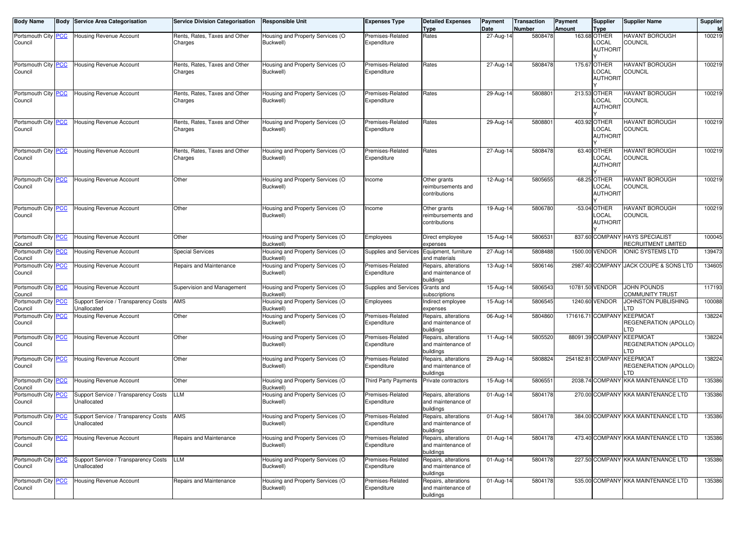| <b>Body Name</b>               | <b>Body Service Area Categorisation</b>             | <b>Service Division Categorisation</b>   | <b>Responsible Unit</b>                       | <b>Expenses Type</b>            | <b>Detailed Expenses</b><br><b>Type</b>                 | Payment<br>Date | Transaction<br><b>Number</b> | Payment<br><b>Amount</b> | <b>Supplier</b><br><b>Type</b>           | <b>Supplier Name</b>                            | Supplier<br>Id |
|--------------------------------|-----------------------------------------------------|------------------------------------------|-----------------------------------------------|---------------------------------|---------------------------------------------------------|-----------------|------------------------------|--------------------------|------------------------------------------|-------------------------------------------------|----------------|
| Portsmouth City PCC<br>Council | <b>Housing Revenue Account</b>                      | Rents, Rates, Taxes and Other<br>Charges | Housing and Property Services (O<br>Buckwell) | Premises-Related<br>Expenditure | Rates                                                   | 27-Aug-14       | 5808478                      |                          | 163.68 OTHER<br>LOCAL<br><b>AUTHORIT</b> | HAVANT BOROUGH<br><b>COUNCIL</b>                | 100219         |
| Portsmouth City PCC<br>Council | <b>Housing Revenue Account</b>                      | Rents, Rates, Taxes and Other<br>Charges | Housing and Property Services (O<br>Buckwell) | Premises-Related<br>Expenditure | Rates                                                   | 27-Aug-14       | 5808478                      |                          | 175.67 OTHER<br>LOCAL<br><b>AUTHORIT</b> | <b>HAVANT BOROUGH</b><br><b>COUNCIL</b>         | 100219         |
| Portsmouth City PCC<br>Council | Housing Revenue Account                             | Rents, Rates, Taxes and Other<br>Charges | Housing and Property Services (O<br>Buckwell) | Premises-Related<br>Expenditure | Rates                                                   | 29-Aug-14       | 5808801                      |                          | 213.53 OTHER<br>LOCAL<br><b>AUTHORIT</b> | <b>HAVANT BOROUGH</b><br><b>COUNCIL</b>         | 100219         |
| Portsmouth City PCC<br>Council | <b>Housing Revenue Account</b>                      | Rents, Rates, Taxes and Other<br>Charges | Housing and Property Services (O<br>Buckwell) | Premises-Related<br>Expenditure | Rates                                                   | 29-Aug-14       | 5808801                      |                          | 403.92 OTHER<br>LOCAL<br><b>AUTHORIT</b> | HAVANT BOROUGH<br>COUNCIL                       | 100219         |
| Portsmouth City PCC<br>Council | <b>Housing Revenue Account</b>                      | Rents, Rates, Taxes and Other<br>Charges | Housing and Property Services (O<br>Buckwell) | Premises-Related<br>Expenditure | Rates                                                   | $27 - Aug-14$   | 5808478                      |                          | 63.40 OTHER<br>LOCAL<br><b>AUTHORIT</b>  | <b>HAVANT BOROUGH</b><br><b>COUNCIL</b>         | 100219         |
| Portsmouth City PCC<br>Council | Housing Revenue Account                             | Other                                    | Housing and Property Services (O<br>Buckwell) | Income                          | Other grants<br>reimbursements and<br>contributions     | 12-Aug-14       | 5805655                      |                          | -68.25 OTHER<br>LOCAL<br><b>AUTHORIT</b> | HAVANT BOROUGH<br><b>COUNCIL</b>                | 100219         |
| Portsmouth City PCC<br>Council | <b>Housing Revenue Account</b>                      | Other                                    | Housing and Property Services (O<br>Buckwell) | Income                          | Other grants<br>reimbursements and<br>contributions     | 19-Aug-14       | 5806780                      |                          | -53.04 OTHER<br>LOCAL<br><b>AUTHORIT</b> | HAVANT BOROUGH<br><b>COUNCIL</b>                | 100219         |
| Portsmouth City PCC<br>Council | Housing Revenue Account                             | Other                                    | Housing and Property Services (O<br>Buckwell) | Employees                       | Direct employee<br>expenses                             | 15-Aug-14       | 5806531                      |                          | 837.60 COMPANY                           | <b>HAYS SPECIALIST</b><br>RECRUITMENT LIMITED   | 100045         |
| Portsmouth City PCC<br>Council | <b>Housing Revenue Account</b>                      | <b>Special Services</b>                  | Housing and Property Services (O<br>Buckwell) | Supplies and Services           | Equipment, furniture<br>and materials                   | 27-Aug-14       | 5808488                      |                          | 1500.00 VENDOR                           | <b>IONIC SYSTEMS LTD</b>                        | 139473         |
| Portsmouth City PCC<br>Council | <b>Housing Revenue Account</b>                      | Repairs and Maintenance                  | Housing and Property Services (O<br>Buckwell) | Premises-Related<br>Expenditure | Repairs, alterations<br>and maintenance of<br>buildings | 13-Aug-14       | 5806146                      |                          |                                          | 2987.40 COMPANY JACK COUPE & SONS LTD           | 134605         |
| Portsmouth City PCC<br>Council | <b>Housing Revenue Account</b>                      | Supervision and Management               | Housing and Property Services (O<br>Buckwell) | Supplies and Services           | Grants and<br>subscriptions                             | 15-Aug-14       | 5806543                      |                          | 10781.50 VENDOR                          | JOHN POUNDS<br>COMMUNITY TRUST                  | 117193         |
| Portsmouth City PCC<br>Council | Support Service / Transparency Costs<br>Jnallocated | AMS                                      | Housing and Property Services (O<br>Buckwell) | Employees                       | Indirect employee<br>expenses                           | 15-Aug-14       | 5806545                      |                          | 1240.60 VENDOR                           | JOHNSTON PUBLISHING<br>.TD                      | 100088         |
| Portsmouth City PCC<br>Council | Housing Revenue Account                             | Other                                    | Housing and Property Services (O<br>Buckwell) | Premises-Related<br>Expenditure | Repairs, alterations<br>and maintenance of<br>buildings | 06-Aug-14       | 5804860                      |                          | 171616.71 COMPANY                        | KEEPMOAT<br>REGENERATION (APOLLO)<br>LTD        | 138224         |
| Portsmouth City PCC<br>Council | <b>Housing Revenue Account</b>                      | Other                                    | Housing and Property Services (O<br>Buckwell) | Premises-Related<br>Expenditure | Repairs, alterations<br>and maintenance of<br>buildings | 11-Aug-14       | 5805520                      |                          | 88091.39 COMPANY                         | <b>KEEPMOAT</b><br>REGENERATION (APOLLO)<br>LTD | 138224         |
| Portsmouth City PCC<br>Council | <b>Housing Revenue Account</b>                      | Other                                    | Housing and Property Services (O<br>Buckwell) | Premises-Related<br>Expenditure | Repairs, alterations<br>and maintenance of<br>buildings | 29-Aug-14       | 5808824                      |                          | 254182.81 COMPANY                        | <b>KEEPMOAT</b><br>REGENERATION (APOLLO)<br>TD. | 138224         |
| Portsmouth City PCC<br>Council | Housing Revenue Account                             | Other                                    | Housing and Property Services (O<br>Buckwell) | <b>Third Party Payments</b>     | Private contractors                                     | 15-Aug-14       | 5806551                      |                          | 2038.74 COMPANY                          | <b>KKA MAINTENANCE LTD</b>                      | 135386         |
| Portsmouth City PCC<br>Council | Support Service / Transparency Costs<br>Unallocated | LLM                                      | Housing and Property Services (O<br>Buckwell) | Premises-Related<br>Expenditure | Repairs, alterations<br>and maintenance of<br>buildings | 01-Aug-14       | 5804178                      |                          |                                          | 270.00 COMPANY KKA MAINTENANCE LTD              | 135386         |
| Portsmouth City PCC<br>Council | Support Service / Transparency Costs<br>Unallocated | AMS                                      | Housing and Property Services (O<br>Buckwell) | Premises-Related<br>Expenditure | Repairs, alterations<br>and maintenance of<br>buildings | 01-Aug-14       | 5804178                      |                          |                                          | 384.00 COMPANY KKA MAINTENANCE LTD              | 135386         |
| Portsmouth City PCC<br>Council | Housing Revenue Account                             | Repairs and Maintenance                  | Housing and Property Services (O<br>Buckwell) | Premises-Related<br>Expenditure | Repairs, alterations<br>and maintenance of<br>buildings | 01-Aug-14       | 5804178                      |                          |                                          | 473.40 COMPANY KKA MAINTENANCE LTD              | 135386         |
| Portsmouth City PCC<br>Council | Support Service / Transparency Costs<br>Unallocated | LLM                                      | Housing and Property Services (O<br>Buckwell) | Premises-Related<br>Expenditure | Repairs, alterations<br>and maintenance of<br>buildings | 01-Aug-14       | 5804178                      |                          |                                          | 227.50 COMPANY KKA MAINTENANCE LTD              | 135386         |
| Portsmouth City PCC<br>Council | Housing Revenue Account                             | Repairs and Maintenance                  | Housing and Property Services (O<br>Buckwell) | Premises-Related<br>Expenditure | Repairs, alterations<br>and maintenance of<br>buildings | 01-Aug-14       | 5804178                      |                          |                                          | 535.00 COMPANY KKA MAINTENANCE LTD              | 135386         |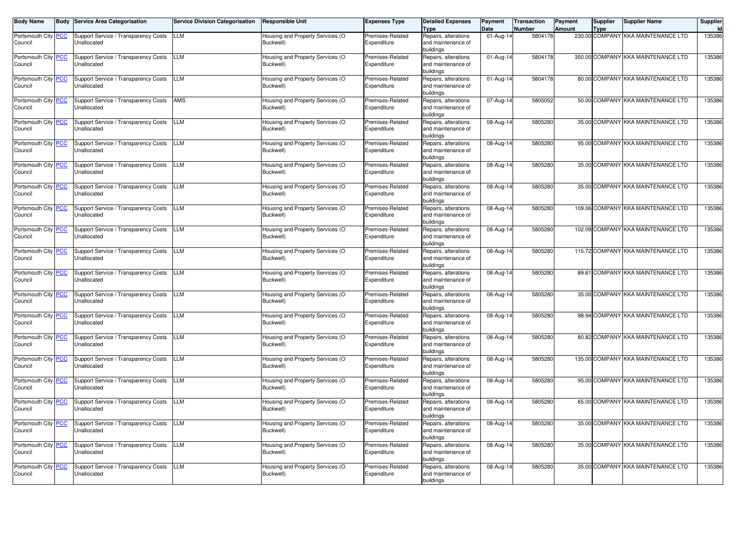| <b>Body Name</b>               | <b>Body Service Area Categorisation</b>                    | <b>Service Division Categorisation</b> | <b>Responsible Unit</b>                       | <b>Expenses Type</b>            | <b>Detailed Expenses</b><br><b>Type</b>                 | Payment<br>Date | <b>Transaction</b><br><b>Number</b> | <b>Payment</b><br>Amount | <b>Supplier</b><br><b>Type</b> | <b>Supplier Name</b>               | Supplier |
|--------------------------------|------------------------------------------------------------|----------------------------------------|-----------------------------------------------|---------------------------------|---------------------------------------------------------|-----------------|-------------------------------------|--------------------------|--------------------------------|------------------------------------|----------|
| Portsmouth City PCC<br>Council | Support Service / Transparency Costs<br>Jnallocated        | LLM                                    | Housing and Property Services (O<br>Buckwell) | Premises-Related<br>Expenditure | Repairs, alterations<br>and maintenance of<br>buildings | $01$ -Aug-1     | 5804178                             |                          | 230.00 COMPANY                 | <b>KKA MAINTENANCE LTD</b>         | 135386   |
| Portsmouth City PCC<br>Council | Support Service / Transparency Costs<br>Unallocated        | LLM                                    | Housing and Property Services (O<br>Buckwell) | Premises-Related<br>Expenditure | Repairs, alterations<br>and maintenance of<br>buildings | 01-Aug-1        | 5804178                             |                          | 350.00 COMPANY                 | <b>KKA MAINTENANCE LTD</b>         | 135386   |
| Portsmouth City PCC<br>Council | Support Service / Transparency Costs<br>Jnallocated        | <b>LLM</b>                             | Housing and Property Services (O<br>Buckwell) | Premises-Related<br>Expenditure | Repairs, alterations<br>and maintenance of<br>buildings | 01-Aug-14       | 5804178                             |                          |                                | 80.00 COMPANY KKA MAINTENANCE LTD  | 135386   |
| Portsmouth City PCC<br>Council | Support Service / Transparency Costs<br>Unallocated        | AMS                                    | Housing and Property Services (O<br>Buckwell) | Premises-Related<br>Expenditure | Repairs, alterations<br>and maintenance of<br>buildings | 07-Aug-14       | 5805052                             |                          |                                | 50.00 COMPANY KKA MAINTENANCE LTD  | 135386   |
| Portsmouth City PCC<br>Council | Support Service / Transparency Costs<br>Unallocated        | <b>LLM</b>                             | Housing and Property Services (O<br>Buckwell) | Premises-Related<br>Expenditure | Repairs, alterations<br>and maintenance of<br>buildings | 08-Aug-1        | 5805280                             |                          |                                | 35.00 COMPANY KKA MAINTENANCE LTD  | 135386   |
| Portsmouth City PCC<br>Council | Support Service / Transparency Costs<br>Unallocated        | <b>LLM</b>                             | Housing and Property Services (O<br>Buckwell) | Premises-Related<br>Expenditure | Repairs, alterations<br>and maintenance of<br>buildings | 08-Aug-1        | 5805280                             |                          |                                | 95.00 COMPANY KKA MAINTENANCE LTD  | 135386   |
| Portsmouth City PCC<br>Council | Support Service / Transparency Costs<br>Unallocated        | <b>LLM</b>                             | Housing and Property Services (O<br>Buckwell) | Premises-Related<br>Expenditure | Repairs, alterations<br>and maintenance of<br>buildings | 08-Aug-1        | 5805280                             |                          |                                | 35.00 COMPANY KKA MAINTENANCE LTD  | 135386   |
| Portsmouth City PCC<br>Council | Support Service / Transparency Costs<br>Unallocated        | LLM                                    | Housing and Property Services (O<br>Buckwell) | Premises-Related<br>Expenditure | Repairs, alterations<br>and maintenance of<br>buildings | 08-Aug-1        | 5805280                             |                          |                                | 35.00 COMPANY KKA MAINTENANCE LTD  | 135386   |
| Portsmouth City PCC<br>Council | Support Service / Transparency Costs<br>Unallocated        | LLM                                    | Housing and Property Services (O<br>Buckwell) | Premises-Related<br>Expenditure | Repairs, alterations<br>and maintenance of<br>buildings | 08-Aug-1        | 5805280                             |                          |                                | 109.06 COMPANY KKA MAINTENANCE LTD | 135386   |
| Portsmouth City PCC<br>Council | Support Service / Transparency Costs<br>Unallocated        | LLM                                    | Housing and Property Services (O<br>Buckwell) | Premises-Related<br>Expenditure | Repairs, alterations<br>and maintenance of<br>buildings | 08-Aug-14       | 5805280                             |                          |                                | 102.09 COMPANY KKA MAINTENANCE LTD | 135386   |
| Portsmouth City PCC<br>Council | Support Service / Transparency Costs<br>Unallocated        | <b>LLM</b>                             | Housing and Property Services (O<br>Buckwell) | Premises-Related<br>Expenditure | Repairs, alterations<br>and maintenance of<br>buildings | 08-Aug-1        | 5805280                             |                          |                                | 115.72 COMPANY KKA MAINTENANCE LTD | 135386   |
| Portsmouth City PCC<br>Council | Support Service / Transparency Costs<br>Unallocated        | <b>LLM</b>                             | Housing and Property Services (O<br>Buckwell) | Premises-Related<br>Expenditure | Repairs, alterations<br>and maintenance of<br>buildings | $08-Aug-1$      | 5805280                             |                          |                                | 89.61 COMPANY KKA MAINTENANCE LTD  | 135386   |
| Portsmouth City PCC<br>Council | Support Service / Transparency Costs<br>Unallocated        | LLM                                    | Housing and Property Services (O<br>Buckwell) | Premises-Related<br>Expenditure | Repairs, alterations<br>and maintenance of<br>buildings | 08-Aug-1        | 5805280                             |                          | 35.00 COMPANY                  | <b>KKA MAINTENANCE LTD</b>         | 135386   |
| Portsmouth City PCC<br>Council | Support Service / Transparency Costs<br>Jnallocated        | LLM                                    | Housing and Property Services (O<br>Buckwell) | Premises-Related<br>Expenditure | Repairs, alterations<br>and maintenance of<br>buildings | 08-Aug-14       | 5805280                             |                          |                                | 98.94 COMPANY KKA MAINTENANCE LTD  | 135386   |
| Portsmouth City PCC<br>Council | Support Service / Transparency Costs<br>Unallocated        | LLM                                    | Housing and Property Services (O<br>Buckwell) | Premises-Related<br>Expenditure | Repairs, alterations<br>and maintenance of<br>buildings | 08-Aug-1        | 5805280                             |                          |                                | 80.82 COMPANY KKA MAINTENANCE LTD  | 135386   |
| Portsmouth City PCC<br>Council | Support Service / Transparency Costs<br><b>Jnallocated</b> | <b>LLM</b>                             | Housing and Property Services (O<br>Buckwell) | Premises-Related<br>Expenditure | Repairs, alterations<br>and maintenance of<br>buildings | 08-Aug-14       | 5805280                             |                          |                                | 135.00 COMPANY KKA MAINTENANCE LTD | 135386   |
| Portsmouth City PCC<br>Council | Support Service / Transparency Costs<br>Unallocated        | LLM                                    | Housing and Property Services (O<br>Buckwell) | Premises-Related<br>Expenditure | Repairs, alterations<br>and maintenance of<br>buildings | 08-Aug-14       | 5805280                             |                          | 95.00 COMPANY                  | <b>KKA MAINTENANCE LTD</b>         | 135386   |
| Portsmouth City PCC<br>Council | Support Service / Transparency Costs<br>Unallocated        | LLM                                    | Housing and Property Services (O<br>Buckwell) | Premises-Related<br>Expenditure | Repairs, alterations<br>and maintenance of<br>buildings | 08-Aug-1        | 5805280                             |                          |                                | 65.00 COMPANY KKA MAINTENANCE LTD  | 135386   |
| Portsmouth City PCC<br>Council | Support Service / Transparency Costs<br>Unallocated        | <b>LLM</b>                             | Housing and Property Services (O<br>Buckwell) | Premises-Related<br>Expenditure | Repairs, alterations<br>and maintenance of<br>buildings | 08-Aug-14       | 5805280                             |                          |                                | 35.00 COMPANY KKA MAINTENANCE LTD  | 135386   |
| Portsmouth City PCC<br>Council | Support Service / Transparency Costs<br>Unallocated        | LLM                                    | Housing and Property Services (O<br>Buckwell) | Premises-Related<br>Expenditure | Repairs, alterations<br>and maintenance of<br>buildings | 08-Aug-14       | 5805280                             |                          |                                | 35.00 COMPANY KKA MAINTENANCE LTD  | 135386   |
| Portsmouth City PCC<br>Council | Support Service / Transparency Costs<br>Unallocated        | LLM                                    | Housing and Property Services (O<br>Buckwell) | Premises-Related<br>Expenditure | Repairs, alterations<br>and maintenance of<br>buildings | 08-Aug-1        | 5805280                             |                          |                                | 35.00 COMPANY KKA MAINTENANCE LTD  | 135386   |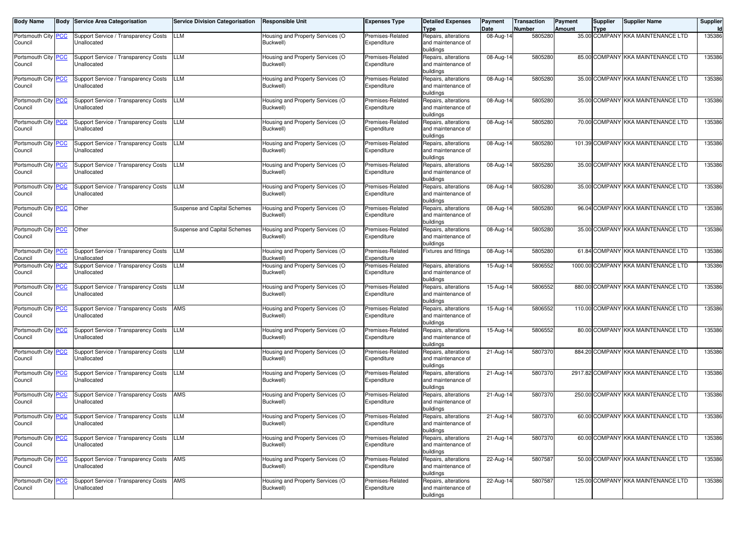| <b>Body Name</b>               | Body       | <b>Service Area Categorisation</b>                  | <b>Service Division Categorisation</b> | <b>Responsible Unit</b>                       | <b>Expenses Type</b>            | <b>Detailed Expenses</b>                   | Payment                         | Transaction       | Payment | Supplier | <b>Supplier Name</b>                | Supplier |
|--------------------------------|------------|-----------------------------------------------------|----------------------------------------|-----------------------------------------------|---------------------------------|--------------------------------------------|---------------------------------|-------------------|---------|----------|-------------------------------------|----------|
| Portsmouth City                | <b>PCC</b> | Support Service / Transparency Costs                | LLM                                    | Housing and Property Services (O              | Premises-Related                | <b>Type</b><br>Repairs, alterations        | Date<br>$\overline{0}$ 8-Aug-14 | Number<br>5805280 | Amount  | Type     | 35.00 COMPANY KKA MAINTENANCE LTD   | 135386   |
| Council                        |            | Unallocated                                         |                                        | Buckwell)                                     | Expenditure                     | and maintenance of                         |                                 |                   |         |          |                                     |          |
|                                |            |                                                     |                                        |                                               |                                 | buildings                                  |                                 |                   |         |          |                                     |          |
| Portsmouth City <b>PCC</b>     |            | Support Service / Transparency Costs                | <b>LLM</b>                             | Housing and Property Services (O              | Premises-Related                | Repairs, alterations                       | 08-Aug-14                       | 5805280           |         |          | 85.00 COMPANY KKA MAINTENANCE LTD   | 135386   |
| Council                        |            | Unallocated                                         |                                        | Buckwell)                                     | Expenditure                     | and maintenance of                         |                                 |                   |         |          |                                     |          |
| Portsmouth City PCC            |            | Support Service / Transparency Costs                | <b>LLM</b>                             | Housing and Property Services (O              | Premises-Related                | buildings<br>Repairs, alterations          | 08-Aug-14                       | 5805280           |         |          | 35.00 COMPANY KKA MAINTENANCE LTD   | 135386   |
| Council                        |            | Unallocated                                         |                                        | Buckwell)                                     | Expenditure                     | and maintenance of                         |                                 |                   |         |          |                                     |          |
|                                |            |                                                     |                                        |                                               |                                 | buildings                                  |                                 |                   |         |          |                                     |          |
| Portsmouth City PCC            |            | Support Service / Transparency Costs                | <b>LLM</b>                             | Housing and Property Services (O              | Premises-Related                | Repairs, alterations                       | 08-Aug-14                       | 5805280           |         |          | 35.00 COMPANY KKA MAINTENANCE LTD   | 135386   |
| Council                        |            | Unallocated                                         |                                        | Buckwell)                                     | Expenditure                     | and maintenance of                         |                                 |                   |         |          |                                     |          |
| Portsmouth City PCC            |            | Support Service / Transparency Costs                | <b>LLM</b>                             | Housing and Property Services (O              | Premises-Related                | buildings<br>Repairs, alterations          | 08-Aug-14                       | 5805280           |         |          | 70.00 COMPANY KKA MAINTENANCE LTD   | 135386   |
| Council                        |            | Unallocated                                         |                                        | Buckwell)                                     | Expenditure                     | and maintenance of                         |                                 |                   |         |          |                                     |          |
|                                |            |                                                     |                                        |                                               |                                 | buildings                                  |                                 |                   |         |          |                                     |          |
| Portsmouth City PCC            |            | Support Service / Transparency Costs                | <b>LLM</b>                             | Housing and Property Services (O              | Premises-Related                | Repairs, alterations                       | 08-Aug-14                       | 5805280           |         |          | 101.39 COMPANY KKA MAINTENANCE LTD  | 135386   |
| Council                        |            | Unallocated                                         |                                        | Buckwell)                                     | Expenditure                     | and maintenance of                         |                                 |                   |         |          |                                     |          |
| Portsmouth City PCC            |            | Support Service / Transparency Costs                | <b>LLM</b>                             | Housing and Property Services (O              | Premises-Related                | buildings<br>Repairs, alterations          | 08-Aug-14                       | 5805280           |         |          | 35.00 COMPANY KKA MAINTENANCE LTD   | 135386   |
| Council                        |            | Unallocated                                         |                                        | Buckwell)                                     | Expenditure                     | and maintenance of                         |                                 |                   |         |          |                                     |          |
|                                |            |                                                     |                                        |                                               |                                 | buildings                                  |                                 |                   |         |          |                                     |          |
| Portsmouth City PCC            |            | Support Service / Transparency Costs                | <b>LLM</b>                             | Housing and Property Services (O              | Premises-Related                | Repairs, alterations                       | 08-Aug-14                       | 5805280           |         |          | 35.00 COMPANY KKA MAINTENANCE LTD   | 135386   |
| Council                        |            | Unallocated                                         |                                        | Buckwell)                                     | Expenditure                     | and maintenance of                         |                                 |                   |         |          |                                     |          |
| Portsmouth City PCC            |            | Other                                               | Suspense and Capital Schemes           | Housing and Property Services (O              | Premises-Related                | buildings<br>Repairs, alterations          | 08-Aug-14                       | 5805280           |         |          | 96.04 COMPANY KKA MAINTENANCE LTD   | 135386   |
| Council                        |            |                                                     |                                        | Buckwell)                                     | Expenditure                     | and maintenance of                         |                                 |                   |         |          |                                     |          |
|                                |            |                                                     |                                        |                                               |                                 | buildings                                  |                                 |                   |         |          |                                     |          |
| Portsmouth City PCC            |            | Other                                               | Suspense and Capital Schemes           | Housing and Property Services (O              | Premises-Related                | Repairs, alterations                       | 08-Aug-14                       | 5805280           |         |          | 35.00 COMPANY KKA MAINTENANCE LTD   | 135386   |
| Council                        |            |                                                     |                                        | Buckwell)                                     | Expenditure                     | and maintenance of                         |                                 |                   |         |          |                                     |          |
| Portsmouth City PCC            |            | Support Service / Transparency Costs                | LLM                                    | Housing and Property Services (O              | Premises-Related                | buildings<br><b>Fixtures and fittings</b>  | 08-Aug-14                       | 5805280           |         |          | 61.84 COMPANY KKA MAINTENANCE LTD   | 135386   |
| Council                        |            | Unallocated                                         |                                        | Buckwell)                                     | Expenditure                     |                                            |                                 |                   |         |          |                                     |          |
| Portsmouth City PCC            |            | Support Service / Transparency Costs                | <b>LLM</b>                             | Housing and Property Services (O              | Premises-Related                | Repairs, alterations                       | 15-Aug-14                       | 5806552           |         |          | 1000.00 COMPANY KKA MAINTENANCE LTD | 135386   |
| Council                        |            | Unallocated                                         |                                        | Buckwell)                                     | Expenditure                     | and maintenance of                         |                                 |                   |         |          |                                     |          |
|                                |            |                                                     |                                        |                                               |                                 | buildings                                  |                                 |                   |         |          |                                     |          |
| Portsmouth City PCC<br>Council |            | Support Service / Transparency Costs<br>Unallocated | <b>LLM</b>                             | Housing and Property Services (O<br>Buckwell) | Premises-Related<br>Expenditure | Repairs, alterations<br>and maintenance of | 15-Aug-14                       | 5806552           |         |          | 880.00 COMPANY KKA MAINTENANCE LTD  | 135386   |
|                                |            |                                                     |                                        |                                               |                                 | buildings                                  |                                 |                   |         |          |                                     |          |
| Portsmouth City                | <b>PCC</b> | Support Service / Transparency Costs                | AMS                                    | Housing and Property Services (O              | Premises-Related                | Repairs, alterations                       | 15-Aug-14                       | 5806552           |         |          | 110.00 COMPANY KKA MAINTENANCE LTD  | 135386   |
| Council                        |            | Unallocated                                         |                                        | Buckwell)                                     | Expenditure                     | and maintenance of                         |                                 |                   |         |          |                                     |          |
|                                |            |                                                     |                                        |                                               |                                 | buildings                                  |                                 |                   |         |          |                                     |          |
| Portsmouth City PCC<br>Council |            | Support Service / Transparency Costs<br>Unallocated | <b>LLM</b>                             | Housing and Property Services (O<br>Buckwell) | Premises-Related<br>Expenditure | Repairs, alterations<br>and maintenance of | 15-Aug-14                       | 5806552           |         |          | 80.00 COMPANY KKA MAINTENANCE LTD   | 135386   |
|                                |            |                                                     |                                        |                                               |                                 | buildings                                  |                                 |                   |         |          |                                     |          |
| Portsmouth City PCC            |            | Support Service / Transparency Costs                | <b>LLM</b>                             | Housing and Property Services (O              | Premises-Related                | Repairs, alterations                       | 21-Aug-14                       | 5807370           |         |          | 884.20 COMPANY KKA MAINTENANCE LTD  | 135386   |
| Council                        |            | Unallocated                                         |                                        | Buckwell)                                     | Expenditure                     | and maintenance of                         |                                 |                   |         |          |                                     |          |
|                                |            |                                                     | <b>LLM</b>                             |                                               |                                 | buildings                                  |                                 | 5807370           |         |          | 2917.82 COMPANY KKA MAINTENANCE LTD |          |
| Portsmouth City<br>Council     | <b>PCC</b> | Support Service / Transparency Costs<br>Unallocated |                                        | Housing and Property Services (O<br>Buckwell) | Premises-Related<br>Expenditure | Repairs, alterations<br>and maintenance of | 21-Aug-14                       |                   |         |          |                                     | 135386   |
|                                |            |                                                     |                                        |                                               |                                 | buildings                                  |                                 |                   |         |          |                                     |          |
| Portsmouth City PCC            |            | Support Service / Transparency Costs                | AMS                                    | Housing and Property Services (O              | Premises-Related                | Repairs, alterations                       | 21-Aug-14                       | 5807370           |         |          | 250.00 COMPANY KKA MAINTENANCE LTD  | 135386   |
| Council                        |            | Unallocated                                         |                                        | Buckwell)                                     | Expenditure                     | and maintenance of                         |                                 |                   |         |          |                                     |          |
|                                |            |                                                     | <b>LLM</b>                             |                                               |                                 | buildings                                  |                                 |                   |         |          |                                     |          |
| Portsmouth City PCC<br>Council |            | Support Service / Transparency Costs<br>Unallocated |                                        | Housing and Property Services (O<br>Buckwell) | Premises-Related<br>Expenditure | Repairs, alterations<br>and maintenance of | 21-Aug-14                       | 5807370           |         |          | 60.00 COMPANY KKA MAINTENANCE LTD   | 135386   |
|                                |            |                                                     |                                        |                                               |                                 | buildings                                  |                                 |                   |         |          |                                     |          |
| Portsmouth City                | <b>PCC</b> | Support Service / Transparency Costs                | <b>LLM</b>                             | Housing and Property Services (O              | Premises-Related                | Repairs, alterations                       | 21-Aug-14                       | 5807370           |         |          | 60.00 COMPANY KKA MAINTENANCE LTD   | 135386   |
| Council                        |            | Unallocated                                         |                                        | Buckwell)                                     | Expenditure                     | and maintenance of                         |                                 |                   |         |          |                                     |          |
|                                |            | Support Service / Transparency Costs                | AMS                                    | Housing and Property Services (O              | Premises-Related                | buildings                                  |                                 | 5807587           |         |          | 50.00 COMPANY KKA MAINTENANCE LTD   | 135386   |
| Portsmouth City PCC<br>Council |            | Unallocated                                         |                                        | Buckwell)                                     | Expenditure                     | Repairs, alterations<br>and maintenance of | $22$ -Aug-14                    |                   |         |          |                                     |          |
|                                |            |                                                     |                                        |                                               |                                 | buildings                                  |                                 |                   |         |          |                                     |          |
| Portsmouth City                | <b>PCC</b> | Support Service / Transparency Costs                | AMS                                    | Housing and Property Services (O              | Premises-Related                | Repairs, alterations                       | $22$ -Aug-14                    | 5807587           |         |          | 125.00 COMPANY KKA MAINTENANCE LTD  | 135386   |
| Council                        |            | Unallocated                                         |                                        | Buckwell)                                     | Expenditure                     | and maintenance of                         |                                 |                   |         |          |                                     |          |
|                                |            |                                                     |                                        |                                               |                                 | buildings                                  |                                 |                   |         |          |                                     |          |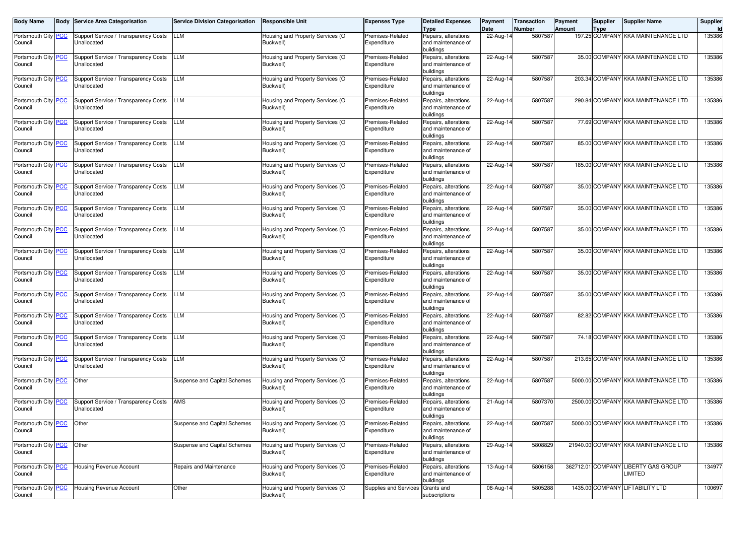| <b>Body Name</b>                            | Body       | <b>Service Area Categorisation</b>                  | <b>Service Division Categorisation</b> | <b>Responsible Unit</b>                       | <b>Expenses Type</b>             | <b>Detailed Expenses</b><br>Type                        | Payment<br>Date | <b>Transaction</b><br>Number | <b>Payment</b><br><b>Amount</b> | <b>Supplier</b><br><b>Type</b> | <b>Supplier Name</b>                           | Supplier |
|---------------------------------------------|------------|-----------------------------------------------------|----------------------------------------|-----------------------------------------------|----------------------------------|---------------------------------------------------------|-----------------|------------------------------|---------------------------------|--------------------------------|------------------------------------------------|----------|
| Portsmouth City<br>Council                  | <b>PCC</b> | Support Service / Transparency Costs<br>Unallocated | LLM                                    | Housing and Property Services (O<br>Buckwell) | Premises-Related<br>Expenditure  | Repairs, alterations<br>and maintenance of<br>buildings | 22-Aug-14       | 5807587                      |                                 |                                | 197.25 COMPANY KKA MAINTENANCE LTD             | 135386   |
| Portsmouth City PCC<br>Council              |            | Support Service / Transparency Costs<br>Unallocated | <b>LLM</b>                             | Housing and Property Services (O<br>Buckwell) | Premises-Related<br>Expenditure  | Repairs, alterations<br>and maintenance of<br>buildings | 22-Aug-14       | 5807587                      |                                 |                                | 35.00 COMPANY KKA MAINTENANCE LTD              | 135386   |
| Portsmouth City PCC<br>Council              |            | Support Service / Transparency Costs<br>Unallocated | <b>LLM</b>                             | Housing and Property Services (O<br>Buckwell) | Premises-Related<br>Expenditure  | Repairs, alterations<br>and maintenance of<br>buildings | 22-Aug-14       | 5807587                      |                                 |                                | 203.34 COMPANY KKA MAINTENANCE LTD             | 135386   |
| Portsmouth City PCC<br>Council              |            | Support Service / Transparency Costs<br>Unallocated | LLM                                    | Housing and Property Services (O<br>Buckwell) | Premises-Related<br>Expenditure  | Repairs, alterations<br>and maintenance of<br>buildings | 22-Aug-14       | 5807587                      |                                 |                                | 290.84 COMPANY KKA MAINTENANCE LTD             | 135386   |
| Portsmouth City<br>Council                  | <b>PCC</b> | Support Service / Transparency Costs<br>Unallocated | <b>LLM</b>                             | Housing and Property Services (O<br>Buckwell) | Premises-Related<br>Expenditure  | Repairs, alterations<br>and maintenance of<br>buildings | 22-Aug-14       | 5807587                      |                                 |                                | 77.69 COMPANY KKA MAINTENANCE LTD              | 135386   |
| Portsmouth City PCC<br>Council              |            | Support Service / Transparency Costs<br>Unallocated | <b>LLM</b>                             | Housing and Property Services (O<br>Buckwell) | Premises-Related<br>Expenditure  | Repairs, alterations<br>and maintenance of<br>buildings | 22-Aug-14       | 5807587                      |                                 |                                | 85.00 COMPANY KKA MAINTENANCE LTD              | 135386   |
| Portsmouth City PCC<br>Council              |            | Support Service / Transparency Costs<br>Unallocated | LLM                                    | Housing and Property Services (O<br>Buckwell) | Premises-Related<br>Expenditure  | Repairs, alterations<br>and maintenance of<br>buildings | 22-Aug-14       | 5807587                      |                                 |                                | 185.00 COMPANY KKA MAINTENANCE LTD             | 135386   |
| Portsmouth City PCC<br>Council              |            | Support Service / Transparency Costs<br>Unallocated | LLM                                    | Housing and Property Services (O<br>Buckwell) | Premises-Related<br>Expenditure  | Repairs, alterations<br>and maintenance of<br>buildings | 22-Aug-14       | 5807587                      |                                 |                                | 35.00 COMPANY KKA MAINTENANCE LTD              | 135386   |
| Portsmouth City PCC<br>Council              |            | Support Service / Transparency Costs<br>Unallocated | <b>LLM</b>                             | Housing and Property Services (O<br>Buckwell) | Premises-Related<br>Expenditure  | Repairs, alterations<br>and maintenance of<br>buildings | 22-Aug-14       | 5807587                      |                                 |                                | 35.00 COMPANY KKA MAINTENANCE LTD              | 135386   |
| Portsmouth City PCC<br>Council              |            | Support Service / Transparency Costs<br>Unallocated | <b>LLM</b>                             | Housing and Property Services (O<br>Buckwell) | Premises-Related<br>Expenditure  | Repairs, alterations<br>and maintenance of<br>buildings | 22-Aug-14       | 5807587                      |                                 |                                | 35.00 COMPANY KKA MAINTENANCE LTD              | 135386   |
| Portsmouth City PCC<br>Council              |            | Support Service / Transparency Costs<br>Unallocated | LLM                                    | Housing and Property Services (O<br>Buckwell) | Premises-Related<br>Expenditure  | Repairs, alterations<br>and maintenance of<br>buildings | 22-Aug-14       | 5807587                      |                                 |                                | 35.00 COMPANY KKA MAINTENANCE LTD              | 135386   |
| Portsmouth City PCC<br>Council              |            | Support Service / Transparency Costs<br>Unallocated | LLM                                    | Housing and Property Services (O<br>Buckwell) | Premises-Related<br>Expenditure  | Repairs, alterations<br>and maintenance of<br>buildings | 22-Aug-14       | 5807587                      |                                 |                                | 35.00 COMPANY KKA MAINTENANCE LTD              | 135386   |
| Portsmouth City<br>Council                  | <b>PCC</b> | Support Service / Transparency Costs<br>Unallocated | <b>LLM</b>                             | Housing and Property Services (O<br>Buckwell) | Premises-Related<br>Expenditure  | Repairs, alterations<br>and maintenance of<br>buildings | 22-Aug-14       | 5807587                      |                                 |                                | 35.00 COMPANY KKA MAINTENANCE LTD              | 135386   |
| Portsmouth City PCC<br>Council              |            | Support Service / Transparency Costs<br>Unallocated | <b>LLM</b>                             | Housing and Property Services (O<br>Buckwell) | Premises-Related<br>Expenditure  | Repairs, alterations<br>and maintenance of<br>buildings | 22-Aug-14       | 5807587                      |                                 |                                | 82.82 COMPANY KKA MAINTENANCE LTD              | 135386   |
| Portsmouth City PCC<br>Council              |            | Support Service / Transparency Costs<br>Unallocated | LLM                                    | Housing and Property Services (O<br>Buckwell) | Premises-Related<br>Expenditure  | Repairs, alterations<br>and maintenance of<br>buildings | 22-Aug-14       | 5807587                      |                                 |                                | 74.18 COMPANY KKA MAINTENANCE LTD              | 135386   |
| Portsmouth City<br>Council                  | <b>PCC</b> | Support Service / Transparency Costs<br>Unallocated | <b>LLM</b>                             | Housing and Property Services (O<br>Buckwell) | Premises-Related<br>Expenditure  | Repairs, alterations<br>and maintenance of<br>buildings | 22-Aug-14       | 5807587                      |                                 |                                | 213.65 COMPANY KKA MAINTENANCE LTD             | 135386   |
| Portsmouth City PCC<br>Council              |            | Other                                               | Suspense and Capital Schemes           | Housing and Property Services (O<br>Buckwell) | Premises-Related<br>Expenditure  | Repairs, alterations<br>and maintenance of<br>buildings | 22-Aug-14       | 5807587                      |                                 |                                | 5000.00 COMPANY KKA MAINTENANCE LTD            | 135386   |
| Portsmouth City<br>Council                  | <b>PCC</b> | Support Service / Transparency Costs<br>Unallocated | AMS                                    | Housing and Property Services (O<br>Buckwell) | Premises-Related<br>Expenditure  | Repairs, alterations<br>and maintenance of<br>buildings | 21-Aug-14       | 5807370                      |                                 |                                | 2500.00 COMPANY KKA MAINTENANCE LTD            | 135386   |
| Portsmouth City <mark>PCC</mark><br>Council |            | Other                                               | Suspense and Capital Schemes           | Housing and Property Services (O<br>Buckwell) | Premises-Related<br>Expenditure  | Repairs, alterations<br>and maintenance of<br>buildings | 22-Aug-14       | 5807587                      |                                 |                                | 5000.00 COMPANY KKA MAINTENANCE LTD            | 135386   |
| Portsmouth City PCC<br>Council              |            | Other                                               | Suspense and Capital Schemes           | Housing and Property Services (O<br>Buckwell) | Premises-Related<br>Expenditure  | Repairs, alterations<br>and maintenance of<br>buildings | 29-Aug-14       | 5808829                      |                                 |                                | 21940.00 COMPANY KKA MAINTENANCE LTD           | 135386   |
| Portsmouth City PCC<br>Council              |            | Housing Revenue Account                             | Repairs and Maintenance                | Housing and Property Services (O<br>Buckwell) | Premises-Related<br>Expenditure  | Repairs, alterations<br>and maintenance of<br>buildings | 13-Aug-14       | 5806158                      |                                 |                                | 362712.01 COMPANY LIBERTY GAS GROUP<br>LIMITED | 134977   |
| Portsmouth City PCC<br>Council              |            | Housing Revenue Account                             | Other                                  | Housing and Property Services (O<br>Buckwell) | Supplies and Services Grants and | subscriptions                                           | 08-Aug-14       | 5805288                      |                                 |                                | 1435.00 COMPANY LIFTABILITY LTD                | 100697   |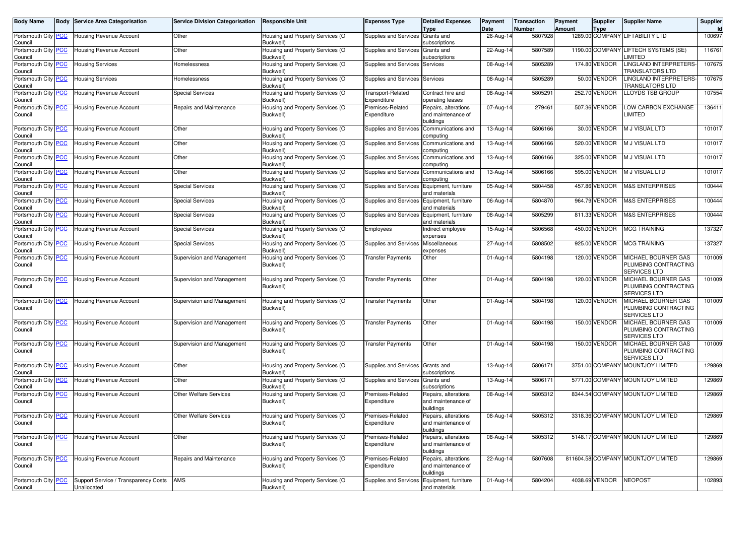| <b>Body Name</b>               | <b>Body Service Area Categorisation</b>             | <b>Service Division Categorisation</b> | <b>Responsible Unit</b>                       | Expenses Type                           | <b>Detailed Expenses</b><br>Type                        | Payment<br>Date | <b>Transaction</b><br>Number | Payment<br><b>Amount</b> | Supplier<br><b>Type</b> | <b>Supplier Name</b>                                               | Supplier<br>Id |
|--------------------------------|-----------------------------------------------------|----------------------------------------|-----------------------------------------------|-----------------------------------------|---------------------------------------------------------|-----------------|------------------------------|--------------------------|-------------------------|--------------------------------------------------------------------|----------------|
| Portsmouth City PCC<br>Council | Housing Revenue Account                             | Other                                  | lousing and Property Services (O<br>Buckwell) | Supplies and Services                   | Grants and<br>subscriptions                             | 26-Aug-14       | 5807928                      |                          |                         | 1289.00 COMPANY LIFTABILITY LTD                                    | 100697         |
| Portsmouth City PCC<br>Council | Housing Revenue Account                             | Other                                  | lousing and Property Services (O<br>Buckwell) | Supplies and Services                   | Grants and<br>subscriptions                             | 22-Aug-14       | 5807589                      |                          | 1190.00 COMPANY         | LIFTECH SYSTEMS (SE)<br>_IMITED                                    | 116761         |
| Portsmouth City PCC<br>Council | Housing Services                                    | Homelessness                           | Housing and Property Services (O<br>Buckwell) | Supplies and Services Services          |                                                         | 08-Aug-14       | 5805289                      |                          | 174.80 VENDOR           | LINGLAND INTERPRETERS-<br>TRANSLATORS LTD                          | 107675         |
| Portsmouth City PCC<br>Council | <b>Housing Services</b>                             | Homelessness                           | Housing and Property Services (O<br>Buckwell' | Supplies and Services                   | Services                                                | 08-Aug-14       | 5805289                      |                          | 50.00 VENDOR            | LINGLAND INTERPRETERS-<br>TRANSLATORS LTD                          | 107675         |
| Portsmouth City PCC<br>Council | Housing Revenue Account                             | <b>Special Services</b>                | Housing and Property Services (O<br>Buckwell) | <b>Transport-Related</b><br>Expenditure | Contract hire and<br>operating leases                   | 08-Aug-14       | 5805291                      |                          | 252.70 VENDOR           | <b>LOYDS TSB GROUP</b>                                             | 107554         |
| Portsmouth City PCC<br>Council | <b>Housing Revenue Account</b>                      | Repairs and Maintenance                | Housing and Property Services (O<br>Buckwell) | Premises-Related<br>Expenditure         | Repairs, alterations<br>and maintenance of<br>buildings | 07-Aug-14       | 279461                       |                          | 507.36 VENDOR           | OW CARBON EXCHANGE<br><b>LIMITED</b>                               | 136411         |
| Portsmouth City PCC<br>Council | Housing Revenue Account                             | Other                                  | Housing and Property Services (O<br>Buckwell) | Supplies and Services                   | Communications and<br>computing                         | 13-Aug-14       | 5806166                      |                          | 30.00 VENDOR            | M J VISUAL LTD                                                     | 101017         |
| Portsmouth City PCC<br>Council | Housing Revenue Account                             | Other                                  | Housing and Property Services (O<br>Buckwell' | <b>Supplies and Services</b>            | Communications and<br>computing                         | 13-Aug-14       | 5806166                      |                          | 520.00 VENDOR           | M J VISUAL LTD                                                     | 101017         |
| Portsmouth City PCC<br>Council | Housing Revenue Account                             | Other                                  | lousing and Property Services (O<br>Buckwell) | Supplies and Services                   | Communications and<br>computing                         | 13-Aug-14       | 5806166                      |                          | 325.00 VENDOR           | M J VISUAL LTD                                                     | 101017         |
| Portsmouth City PCC<br>Council | Housing Revenue Account                             | Other                                  | Housing and Property Services (O<br>Buckwell) | Supplies and Services                   | Communications and<br>computing                         | 13-Aug-14       | 5806166                      |                          | 595.00 VENDOR           | M J VISUAL LTD                                                     | 101017         |
| Portsmouth City PCC<br>Council | Housing Revenue Account                             | <b>Special Services</b>                | Housing and Property Services (O<br>Buckwell  | <b>Supplies and Services</b>            | Equipment, furniture<br>and materials                   | 05-Aug-14       | 5804458                      |                          | 457.86 VENDOR           | <b>M&amp;S ENTERPRISES</b>                                         | 100444         |
| Portsmouth City PCC<br>Council | <b>Housing Revenue Account</b>                      | <b>Special Services</b>                | Housing and Property Services (O<br>Buckwell) | Supplies and Services                   | Equipment, furniture<br>and materials                   | 06-Aug-14       | 5804870                      |                          | 964.79 VENDOR           | <b>M&amp;S ENTERPRISES</b>                                         | 100444         |
| Portsmouth City PCC<br>Council | <b>Housing Revenue Account</b>                      | <b>Special Services</b>                | Housing and Property Services (O<br>Buckwell) | Supplies and Services                   | Equipment, furniture<br>and materials                   | 08-Aug-14       | 5805299                      |                          | 811.33 VENDOR           | <b>M&amp;S ENTERPRISES</b>                                         | 100444         |
| Portsmouth City PCC<br>Council | Housing Revenue Account                             | <b>Special Services</b>                | Housing and Property Services (O<br>Buckwell' | Employees                               | Indirect employee<br>expenses                           | 15-Aug-14       | 5806568                      |                          | 450.00 VENDOR           | <b>MCG TRAINING</b>                                                | 137327         |
| Portsmouth City PCC<br>Council | Housing Revenue Account                             | <b>Special Services</b>                | Housing and Property Services (O<br>Buckwell) | Supplies and Services                   | Miscellaneous<br>expenses                               | 27-Aug-14       | 5808502                      |                          | 925.00 VENDOR           | <b>MCG TRAINING</b>                                                | 137327         |
| Portsmouth City PCC<br>Council | Housing Revenue Account                             | Supervision and Management             | Housing and Property Services (O<br>Buckwell) | Transfer Payments                       | Other                                                   | 01-Aug-14       | 5804198                      |                          | 120.00 VENDOR           | MICHAEL BOURNER GAS<br>PLUMBING CONTRACTING<br>SERVICES LTD        | 101009         |
| Portsmouth City PCC<br>Council | <b>Housing Revenue Account</b>                      | Supervision and Management             | lousing and Property Services (O<br>Buckwell) | Transfer Payments                       | Other                                                   | 01-Aug-14       | 5804198                      |                          | 120.00 VENDOR           | MICHAEL BOURNER GAS<br>PLUMBING CONTRACTING<br><b>SERVICES LTD</b> | 101009         |
| Portsmouth City PCC<br>Council | <b>Housing Revenue Account</b>                      | Supervision and Management             | Housing and Property Services (O<br>Buckwell) | Transfer Payments                       | Other                                                   | 01-Aug-14       | 5804198                      |                          | 120.00 VENDOR           | MICHAEL BOURNER GAS<br>PLUMBING CONTRACTING<br>SERVICES LTD        | 101009         |
| Portsmouth City PCC<br>Council | Housing Revenue Account                             | Supervision and Management             | Housing and Property Services (O<br>Buckwell) | Transfer Payments                       | Other                                                   | 01-Aug-14       | 5804198                      |                          | 150.00 VENDOR           | MICHAEL BOURNER GAS<br>PLUMBING CONTRACTING<br>SERVICES LTD        | 101009         |
| Portsmouth City PCC<br>Council | <b>Housing Revenue Account</b>                      | Supervision and Management             | lousing and Property Services (O<br>Buckwell) | Transfer Payments                       | Other                                                   | 01-Aug-14       | 5804198                      |                          | 150.00 VENDOR           | MICHAEL BOURNER GAS<br>PLUMBING CONTRACTING<br>SERVICES LTD        | 101009         |
| Portsmouth City PCC<br>Council | Housing Revenue Account                             | Other                                  | Housing and Property Services (O<br>Buckwell) | <b>Supplies and Services</b>            | Grants and<br>subscriptions                             | 13-Aug-14       | 5806171                      |                          |                         | 3751.00 COMPANY MOUNTJOY LIMITED                                   | 129869         |
| Portsmouth City PCC<br>Council | Housing Revenue Account                             | Other                                  | Housing and Property Services (O<br>Buckwell) | <b>Supplies and Services</b>            | Grants and<br>subscriptions                             | 13-Aug-14       | 5806171                      |                          |                         | 5771.00 COMPANY MOUNTJOY LIMITED                                   | 129869         |
| Portsmouth City PCC<br>Council | Housing Revenue Account                             | Other Welfare Services                 | Housing and Property Services (O<br>Buckwell) | Premises-Related<br>Expenditure         | Repairs, alterations<br>and maintenance of<br>buildings | 08-Aug-14       | 5805312                      |                          |                         | 8344.54 COMPANY MOUNTJOY LIMITED                                   | 129869         |
| Portsmouth City PCC<br>Council | <b>Housing Revenue Account</b>                      | Other Welfare Services                 | Housing and Property Services (O<br>Buckwell) | Premises-Related<br>Expenditure         | Repairs, alterations<br>and maintenance of<br>buildings | 08-Aug-14       | 5805312                      |                          |                         | 3318.36 COMPANY MOUNTJOY LIMITED                                   | 129869         |
| Portsmouth City PCC<br>Council | <b>Housing Revenue Account</b>                      | Other                                  | Housing and Property Services (O<br>Buckwell) | Premises-Related<br>Expenditure         | Repairs, alterations<br>and maintenance of<br>buildings | 08-Aug-14       | 5805312                      |                          |                         | 5148.17 COMPANY MOUNTJOY LIMITED                                   | 129869         |
| Portsmouth City PCC<br>Council | <b>Housing Revenue Account</b>                      | Repairs and Maintenance                | Housing and Property Services (O<br>Buckwell) | Premises-Related<br>Expenditure         | Repairs, alterations<br>and maintenance of<br>buildings | 22-Aug-14       | 5807608                      |                          |                         | 811604.58 COMPANY MOUNTJOY LIMITED                                 | 129869         |
| Portsmouth City PCC<br>Council | Support Service / Transparency Costs<br>Unallocated | AMS                                    | Housing and Property Services (O<br>Buckwell) | Supplies and Services                   | Equipment, furniture<br>and materials                   | 01-Aug-14       | 5804204                      |                          | 4038.69 VENDOR          | <b>NEOPOST</b>                                                     | 102893         |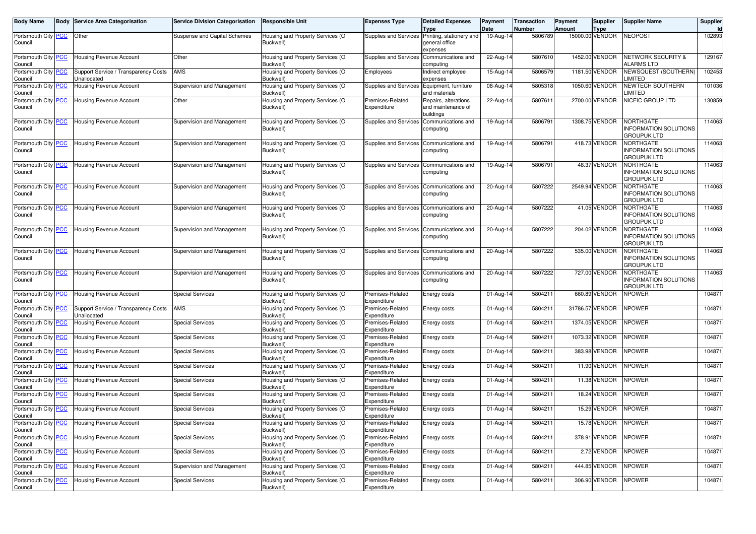| <b>Body Name</b>                      | <b>Body Service Area Categorisation</b> | <b>Service Division Categorisation</b> | <b>Responsible Unit</b>                       | <b>Expenses Type</b>            | <b>Detailed Expenses</b>                 | Payment                 | <b>Transaction</b> | Payment       | Supplier                       | <b>Supplier Name</b>                               | Supplier<br>Id |
|---------------------------------------|-----------------------------------------|----------------------------------------|-----------------------------------------------|---------------------------------|------------------------------------------|-------------------------|--------------------|---------------|--------------------------------|----------------------------------------------------|----------------|
| Portsmouth City PCC                   | Other                                   | Suspense and Capital Schemes           | lousing and Property Services (O              | Supplies and Services           | Type<br>Printing, stationery and         | Date<br>19-Aug-14       | Number<br>5806789  | <b>Amount</b> | <b>Type</b><br>15000.00 VENDOR | <b>NEOPOST</b>                                     | 102893         |
| Council                               |                                         |                                        | Buckwell)                                     |                                 | deneral office                           |                         |                    |               |                                |                                                    |                |
|                                       |                                         |                                        |                                               |                                 | expenses                                 |                         |                    |               |                                |                                                    |                |
| Portsmouth City PCC                   | Housing Revenue Account                 | Other                                  | Housing and Property Services (O<br>Buckwell) | <b>Supplies and Services</b>    | Communications and<br>computing          | 22-Aug-14               | 5807610            |               | 1452.00 VENDOR                 | <b>NETWORK SECURITY &amp;</b><br><b>ALARMS LTD</b> | 129167         |
| Council<br>Portsmouth City PCC        | Support Service / Transparency Costs    | AMS                                    | Housing and Property Services (O              | Employees                       | Indirect employee                        | 15-Aug-14               | 5806579            |               | 1181.50 VENDOR                 | <b>VEWSQUEST (SOUTHERN)</b>                        | 102453         |
| Council                               | Unallocated                             |                                        | Buckwell)                                     |                                 | expenses                                 |                         |                    |               |                                | <b>IMITED</b>                                      |                |
| Portsmouth City PCC<br>Council        | Housing Revenue Account                 | Supervision and Management             | Housing and Property Services (O<br>Buckwell) | Supplies and Services           | Equipment, furniture<br>and materials    | 08-Aug-14               | 5805318            |               | 1050.60 VENDOR                 | NEWTECH SOUTHERN<br><b>IMITED</b>                  | 101036         |
| Portsmouth City PCC                   | Housing Revenue Account                 | Other                                  | Housing and Property Services (O              | Premises-Related                | Repairs, alterations                     | 22-Aug-14               | 5807611            |               | 2700.00 VENDOR                 | NICEIC GROUP LTD                                   | 130859         |
| Council                               |                                         |                                        | Buckwell)                                     | Expenditure                     | and maintenance of<br>buildings          |                         |                    |               |                                |                                                    |                |
| Portsmouth City PCC                   | Housing Revenue Account                 | Supervision and Management             | Housing and Property Services (O              | <b>Supplies and Services</b>    | Communications and                       | 19-Aug-14               | 5806791            |               | 1308.75 VENDOR                 | NORTHGATE                                          | 114063         |
| Council                               |                                         |                                        | Buckwell)                                     |                                 | computing                                |                         |                    |               |                                | <b>INFORMATION SOLUTIONS</b><br><b>GROUPUK LTD</b> |                |
| Portsmouth City PCC                   | Housing Revenue Account                 | Supervision and Management             | Housing and Property Services (O              | Supplies and Services           | Communications and                       | $19-Aug-14$             | 5806791            |               | 418.73 VENDOR                  | NORTHGATE                                          | 114063         |
| Council                               |                                         |                                        | Buckwell)                                     |                                 | computing                                |                         |                    |               |                                | <b>INFORMATION SOLUTIONS</b><br>GROUPUK LTD        |                |
| Portsmouth City PCC                   | Housing Revenue Account                 | Supervision and Management             | Housing and Property Services (O              | Supplies and Services           | Communications and                       | 19-Aug-14               | 5806791            |               | 48.37 VENDOR                   | <b>NORTHGATE</b>                                   | 114063         |
| Council                               |                                         |                                        | Buckwell)                                     |                                 | computing                                |                         |                    |               |                                | <b>INFORMATION SOLUTIONS</b><br><b>GROUPUK LTD</b> |                |
| Portsmouth City PCC                   | Housing Revenue Account                 | Supervision and Management             | Housing and Property Services (O              | Supplies and Services           | Communications and                       | 20-Aug-14               | 5807222            |               | 2549.94 VENDOR                 | NORTHGATE                                          | 114063         |
| Council                               |                                         |                                        | Buckwell)                                     |                                 | computing                                |                         |                    |               |                                | <b>INFORMATION SOLUTIONS</b><br><b>GROUPUK LTD</b> |                |
| Portsmouth City PCC                   | Housing Revenue Account                 | Supervision and Management             | lousing and Property Services (O              |                                 | Supplies and Services Communications and | $20-Aug-14$             | 5807222            |               | 41.05 VENDOR                   | NORTHGATE                                          | 114063         |
| Council                               |                                         |                                        | Buckwell)                                     |                                 | computing                                |                         |                    |               |                                | <b>INFORMATION SOLUTIONS</b><br><b>GROUPUK LTD</b> |                |
| Portsmouth City PCC                   | Housing Revenue Account                 | Supervision and Management             | Housing and Property Services (O              | Supplies and Services           | Communications and                       | 20-Aug-14               | 5807222            |               | 204.02 VENDOR                  | <b>NORTHGATE</b>                                   | 114063         |
| Council                               |                                         |                                        | Buckwell)                                     |                                 | computing                                |                         |                    |               |                                | <b>INFORMATION SOLUTIONS</b>                       |                |
|                                       |                                         |                                        |                                               |                                 |                                          |                         |                    |               |                                | <b>GROUPUK LTD</b>                                 |                |
| Portsmouth City PCC                   | Housing Revenue Account                 | Supervision and Management             | Housing and Property Services (O              | Supplies and Services           | Communications and                       | 20-Aug-14               | 5807222            |               | 535.00 VENDOR                  | NORTHGATE                                          | 114063         |
| Council                               |                                         |                                        | Buckwell)                                     |                                 | computing                                |                         |                    |               |                                | <b>INFORMATION SOLUTIONS</b><br>GROUPUK LTD        |                |
| Portsmouth City PCC                   | Housing Revenue Account                 | Supervision and Management             | Housing and Property Services (O              |                                 | Supplies and Services Communications and | 20-Aug-14               | 5807222            |               | 727.00 VENDOR                  | NORTHGATE                                          | 114063         |
| Council                               |                                         |                                        | Buckwell)                                     |                                 | computing                                |                         |                    |               |                                | <b>INFORMATION SOLUTIONS</b>                       |                |
|                                       |                                         |                                        |                                               |                                 |                                          |                         |                    |               |                                | GROUPUK LTD                                        |                |
| Portsmouth City PCC<br>Council        | Housing Revenue Account                 | <b>Special Services</b>                | Housing and Property Services (O<br>Buckwell) | Premises-Related<br>Expenditure | Energy costs                             | $\overline{0}$ 1-Aug-14 | 580421             |               | 660.89 VENDOR                  | <b>NPOWER</b>                                      | 104871         |
| Portsmouth City PCC                   | Support Service / Transparency Costs    | AMS                                    | Housing and Property Services (O              | Premises-Related                | Energy costs                             | 01-Aug-14               | 580421             |               | 31786.57 VENDOR                | <b>NPOWER</b>                                      | 104871         |
| Council                               | Unallocated                             |                                        | Buckwell)                                     | Expenditure                     |                                          |                         |                    |               |                                |                                                    |                |
| Portsmouth City PCC<br>Council        | Housing Revenue Account                 | <b>Special Services</b>                | Housing and Property Services (O<br>Buckwell) | Premises-Related<br>Expenditure | Energy costs                             | 01-Aug-14               | 580421             |               | 1374.05 VENDOR                 | <b>NPOWER</b>                                      | 104871         |
| Portsmouth City PCC                   | Housing Revenue Account                 | <b>Special Services</b>                | Housing and Property Services (O              | Premises-Related                | Energy costs                             | 01-Aug-14               | 5804211            |               | 1073.32 VENDOR                 | <b>NPOWER</b>                                      | 104871         |
| Council                               |                                         |                                        | Buckwell)                                     | Expenditure                     |                                          |                         |                    |               |                                |                                                    |                |
| Portsmouth City PCC<br>Council        | Housing Revenue Account                 | <b>Special Services</b>                | Housing and Property Services (O<br>Buckwell) | Premises-Related<br>Expenditure | Energy costs                             | 01-Aug-14               | 5804211            |               | 383.98 VENDOR                  | <b>NPOWER</b>                                      | 104871         |
| Portsmouth City PCC                   | <b>Housing Revenue Account</b>          | <b>Special Services</b>                | Housing and Property Services (O              | Premises-Related                | Energy costs                             | 01-Aug-14               | 5804211            |               | 11.90 VENDOR                   | <b>NPOWER</b>                                      | 104871         |
| Council                               |                                         |                                        | Buckwell)                                     | Expenditure                     |                                          |                         |                    |               |                                |                                                    |                |
| Portsmouth City PCC<br>Council        | Housing Revenue Account                 | <b>Special Services</b>                | Housing and Property Services (O<br>Buckwell) | Premises-Related<br>Expenditure | Energy costs                             | 01-Aug-14               | 5804211            |               | 11.38 VENDOR                   | <b>NPOWER</b>                                      | 104871         |
| Portsmouth City PCC                   | <b>Housing Revenue Account</b>          | <b>Special Services</b>                | Housing and Property Services (O              | Premises-Related                | Energy costs                             | 01-Aug-14               | 5804211            |               | 18.24 VENDOR                   | <b>NPOWER</b>                                      | 104871         |
| Council                               |                                         |                                        | Buckwell)                                     | Expenditure                     |                                          |                         | 5804211            |               | 15.29 VENDOR                   | <b>NPOWER</b>                                      |                |
| Portsmouth City PCC<br>Council        | Housing Revenue Account                 | <b>Special Services</b>                | Housing and Property Services (O<br>Buckwell) | Premises-Related<br>Expenditure | Energy costs                             | 01-Aug-14               |                    |               |                                |                                                    | 104871         |
| Portsmouth City <b>PCC</b><br>Council | Housing Revenue Account                 | <b>Special Services</b>                | Housing and Property Services (O<br>Buckwell) | Premises-Related<br>Expenditure | Energy costs                             | 01-Aug-14               | 5804211            |               | 15.78 VENDOR                   | <b>NPOWER</b>                                      | 104871         |
| Portsmouth City PCC                   | <b>Housing Revenue Account</b>          | <b>Special Services</b>                | Housing and Property Services (O              | Premises-Related                | Energy costs                             | 01-Aug-14               | 5804211            |               | 378.91 VENDOR                  | <b>NPOWER</b>                                      | 104871         |
| Council                               |                                         |                                        | Buckwell)                                     | Expenditure                     |                                          |                         |                    |               |                                |                                                    |                |
| Portsmouth City PCC                   | Housing Revenue Account                 | <b>Special Services</b>                | Housing and Property Services (O              | Premises-Related                | Energy costs                             | 01-Aug-14               | 5804211            |               | 2.72 VENDOR                    | <b>NPOWER</b>                                      | 104871         |
| Council<br>Portsmouth City PCC        | Housing Revenue Account                 | Supervision and Management             | Buckwell)<br>Housing and Property Services (O | Expenditure<br>Premises-Related | Energy costs                             | 01-Aug-14               | 5804211            |               | 444.85 VENDOR                  | <b>NPOWER</b>                                      | 104871         |
| Council                               |                                         |                                        | Buckwell)                                     | Expenditure                     |                                          |                         |                    |               |                                |                                                    |                |
| Portsmouth City PCC                   | Housing Revenue Account                 | <b>Special Services</b>                | Housing and Property Services (O              | Premises-Related                | Energy costs                             | 01-Aug-14               | 5804211            |               | 306.90 VENDOR                  | NPOWER                                             | 104871         |
| Council                               |                                         |                                        | Buckwell)                                     | Expenditure                     |                                          |                         |                    |               |                                |                                                    |                |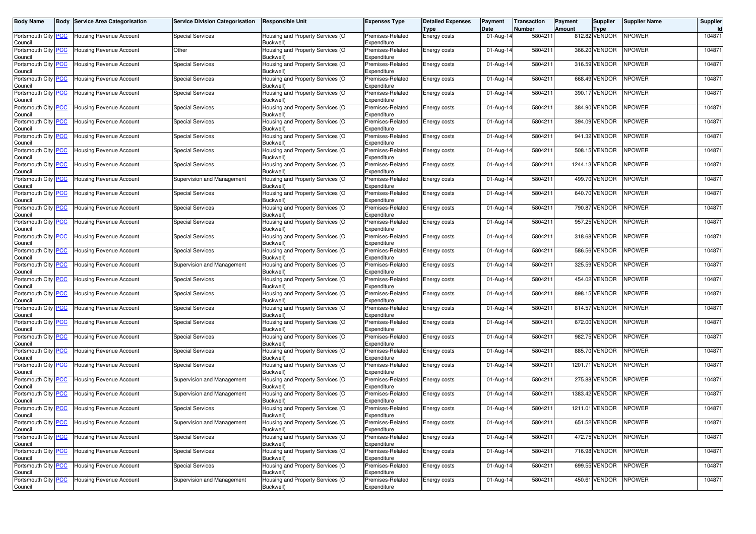| <b>Body Name</b>                      | Body | <b>Service Area Categorisation</b> | <b>Service Division Categorisation</b> | <b>Responsible Unit</b>                       | <b>Expenses Type</b>            | <b>Detailed Expenses</b><br>Type | Payment<br>Date | Transaction<br>Number | Payment<br>Amount | Supplier<br>Type | <b>Supplier Name</b> | Supplier |
|---------------------------------------|------|------------------------------------|----------------------------------------|-----------------------------------------------|---------------------------------|----------------------------------|-----------------|-----------------------|-------------------|------------------|----------------------|----------|
| Portsmouth City PCC<br>Council        |      | <b>Housing Revenue Account</b>     | <b>Special Services</b>                | Housing and Property Services (O<br>Buckwell) | Premises-Related<br>Expenditure | Energy costs                     | 01-Aug-14       | 5804211               |                   | 812.82 VENDOR    | <b>NPOWER</b>        | 104871   |
| Portsmouth City PCC<br>Council        |      | Housing Revenue Account            | Other                                  | Housing and Property Services (O<br>Buckwell) | Premises-Related<br>Expenditure | Energy costs                     | 01-Aug-14       | 5804211               |                   | 366.20 VENDOR    | <b>NPOWER</b>        | 104871   |
| Portsmouth City PCC<br>Council        |      | Jousing Revenue Account            | <b>Special Services</b>                | Housing and Property Services (O<br>Buckwell) | Premises-Related<br>Expenditure | Energy costs                     | 01-Aug-14       | 5804211               |                   | 316.59 VENDOR    | <b>NPOWER</b>        | 104871   |
| Portsmouth City PCC<br>Council        |      | Housing Revenue Account            | <b>Special Services</b>                | Housing and Property Services (O<br>Buckwell) | Premises-Related<br>Expenditure | Energy costs                     | 01-Aug-14       | 580421                |                   | 668.49 VENDOR    | <b>NPOWER</b>        | 104871   |
| Portsmouth City PCC<br>Council        |      | <b>Housing Revenue Account</b>     | <b>Special Services</b>                | Housing and Property Services (O<br>Buckwell) | Premises-Related<br>Expenditure | Energy costs                     | 01-Aug-14       | 5804211               |                   | 390.17 VENDOR    | <b>NPOWER</b>        | 104871   |
| Portsmouth City PCC<br>Council        |      | Jousing Revenue Account            | <b>Special Services</b>                | Housing and Property Services (O<br>Buckwell) | Premises-Related<br>Expenditure | Energy costs                     | 01-Aug-14       | 5804211               |                   | 384.90 VENDOR    | <b>NPOWER</b>        | 104871   |
| Portsmouth City PCC<br>Council        |      | <b>Housing Revenue Account</b>     | <b>Special Services</b>                | Housing and Property Services (O<br>Buckwell) | Premises-Related<br>Expenditure | <b>Energy costs</b>              | 01-Aug-14       | 580421                |                   | 394.09 VENDOR    | <b>NPOWER</b>        | 104871   |
| Portsmouth City PCC<br>Council        |      | <b>Housing Revenue Account</b>     | <b>Special Services</b>                | Housing and Property Services (O<br>Buckwell) | Premises-Related<br>Expenditure | Energy costs                     | 01-Aug-14       | 5804211               |                   | 941.32 VENDOR    | <b>NPOWER</b>        | 104871   |
| Portsmouth City PCC<br>Council        |      | Housing Revenue Account            | Special Services                       | Housing and Property Services (O<br>Buckwell) | Premises-Related<br>Expenditure | Energy costs                     | 01-Aug-14       | 5804211               |                   | 508.15 VENDOR    | <b>NPOWER</b>        | 104871   |
| Portsmouth City PCC<br>Council        |      | <b>Housing Revenue Account</b>     | Special Services                       | Housing and Property Services (O<br>Buckwell) | Premises-Related<br>Expenditure | Energy costs                     | 01-Aug-14       | 580421                |                   | 1244.13 VENDOR   | <b>NPOWER</b>        | 104871   |
| Portsmouth City PCC<br>Council        |      | Housing Revenue Account            | Supervision and Management             | Housing and Property Services (O<br>Buckwell) | Premises-Related<br>Expenditure | Energy costs                     | 01-Aug-14       | 5804211               |                   | 499.70 VENDOR    | <b>NPOWER</b>        | 104871   |
| Portsmouth City PCC<br>Council        |      | Housing Revenue Account            | Special Services                       | Housing and Property Services (O<br>Buckwell) | Premises-Related<br>Expenditure | Energy costs                     | 01-Aug-14       | 5804211               |                   | 640.70 VENDOR    | <b>NPOWER</b>        | 104871   |
| Portsmouth City PCC<br>Council        |      | Housing Revenue Account            | <b>Special Services</b>                | Housing and Property Services (O<br>Buckwell) | Premises-Related<br>Expenditure | Energy costs                     | 01-Aug-14       | 580421                |                   | 790.87 VENDOR    | NPOWER               | 104871   |
| Portsmouth City PCC<br>Council        |      | Housing Revenue Account            | <b>Special Services</b>                | Housing and Property Services (O<br>Buckwell) | Premises-Related<br>Expenditure | Energy costs                     | 01-Aug-14       | 5804211               |                   | 957.25 VENDOR    | <b>NPOWER</b>        | 104871   |
| Portsmouth City PCC<br>Council        |      | Housing Revenue Account            | <b>Special Services</b>                | Housing and Property Services (O<br>Buckwell) | Premises-Related<br>Expenditure | Energy costs                     | 01-Aug-14       | 5804211               |                   | 318.68 VENDOR    | <b>NPOWER</b>        | 104871   |
| Portsmouth City PCC<br>Council        |      | Housing Revenue Account            | <b>Special Services</b>                | Housing and Property Services (O<br>Buckwell) | Premises-Related<br>Expenditure | Energy costs                     | 01-Aug-14       | 580421                |                   | 586.56 VENDOR    | <b>NPOWER</b>        | 104871   |
| Portsmouth City PCC<br>Council        |      | Housing Revenue Account            | Supervision and Management             | Housing and Property Services (O<br>Buckwell) | Premises-Related<br>Expenditure | Energy costs                     | 01-Aug-14       | 580421                |                   | 325.59 VENDOR    | <b>NPOWER</b>        | 104871   |
| Portsmouth City PCC<br>Council        |      | Housing Revenue Account            | <b>Special Services</b>                | Housing and Property Services (O<br>Buckwell) | Premises-Related<br>Expenditure | Energy costs                     | 01-Aug-14       | 580421                |                   | 454.02 VENDOR    | <b>NPOWER</b>        | 104871   |
| Portsmouth City PCC<br>Council        |      | Housing Revenue Account            | Special Services                       | Housing and Property Services (O<br>Buckwell) | Premises-Related<br>Expenditure | Energy costs                     | 01-Aug-14       | 580421                |                   | 898.15 VENDOR    | NPOWER               | 104871   |
| Portsmouth City PCC<br>Council        |      | Housing Revenue Account            | <b>Special Services</b>                | Housing and Property Services (O<br>Buckwell) | Premises-Related<br>Expenditure | Energy costs                     | 01-Aug-14       | 580421                |                   | 814.57 VENDOR    | <b>NPOWER</b>        | 104871   |
| Portsmouth City PCC<br>Council        |      | Housing Revenue Account            | <b>Special Services</b>                | Housing and Property Services (O<br>Buckwell) | Premises-Related<br>Expenditure | <b>Energy costs</b>              | 01-Aug-14       | 5804211               |                   | 672.00 VENDOR    | <b>NPOWER</b>        | 104871   |
| Portsmouth City <b>PCC</b><br>Council |      | <b>Housing Revenue Account</b>     | Special Services                       | Housing and Property Services (O<br>Buckwell) | Premises-Related<br>Expenditure | Energy costs                     | 01-Aug-14       | 580421                |                   | 982.75 VENDOR    | <b>NPOWER</b>        | 104871   |
| Portsmouth City PCC<br>Council        |      | Housing Revenue Account            | <b>Special Services</b>                | Housing and Property Services (O<br>Buckwell) | Premises-Related<br>Expenditure | Energy costs                     | 01-Aug-14       | 580421                |                   | 885.70 VENDOR    | <b>NPOWER</b>        | 104871   |
| Portsmouth City PCC<br>Council        |      | Housing Revenue Account            | <b>Special Services</b>                | Housing and Property Services (O<br>Buckwell) | Premises-Related<br>Expenditure | Energy costs                     | 01-Aug-14       | 580421                |                   | 1201.71 VENDOR   | <b>NPOWER</b>        | 104871   |
| Portsmouth City PCC<br>Council        |      | <b>Housing Revenue Account</b>     | Supervision and Management             | Housing and Property Services (O<br>Buckwell) | Premises-Related<br>Expenditure | Energy costs                     | 01-Aug-14       | 580421                |                   | 275.88 VENDOR    | <b>NPOWER</b>        | 104871   |
| Portsmouth City PCC<br>Council        |      | Housing Revenue Account            | Supervision and Management             | Housing and Property Services (O<br>Buckwell) | Premises-Related<br>Expenditure | Energy costs                     | 01-Aug-14       | 580421                |                   | 1383.42 VENDOR   | <b>NPOWER</b>        | 104871   |
| Portsmouth City PCC<br>Council        |      | <b>Housing Revenue Account</b>     | <b>Special Services</b>                | Housing and Property Services (O<br>Buckwell) | Premises-Related<br>Expenditure | Energy costs                     | 01-Aug-14       | 5804211               |                   | 1211.01 VENDOR   | <b>NPOWER</b>        | 104871   |
| Portsmouth City PCC<br>Council        |      | <b>Housing Revenue Account</b>     | Supervision and Management             | Housing and Property Services (O<br>Buckwell) | Premises-Related<br>Expenditure | Energy costs                     | 01-Aug-14       | 5804211               |                   | 651.52 VENDOR    | <b>NPOWER</b>        | 104871   |
| Portsmouth City PCC<br>Council        |      | Housing Revenue Account            | <b>Special Services</b>                | Housing and Property Services (O<br>Buckwell) | Premises-Related<br>Expenditure | Energy costs                     | 01-Aug-14       | 5804211               |                   | 472.75 VENDOR    | <b>NPOWER</b>        | 104871   |
| Portsmouth City PCC<br>Council        |      | <b>Housing Revenue Account</b>     | <b>Special Services</b>                | Housing and Property Services (O<br>Buckwell) | Premises-Related<br>Expenditure | Energy costs                     | 01-Aug-14       | 5804211               |                   | 716.98 VENDOR    | NPOWER               | 104871   |
| Portsmouth City PCC<br>Council        |      | Housing Revenue Account            | <b>Special Services</b>                | Housing and Property Services (O<br>Buckwell) | Premises-Related<br>Expenditure | Energy costs                     | 01-Aug-14       | 5804211               |                   | 699.55 VENDOR    | <b>NPOWER</b>        | 104871   |
| Portsmouth City PCC<br>Council        |      | Housing Revenue Account            | Supervision and Management             | Housing and Property Services (O<br>Buckwell) | Premises-Related<br>Expenditure | Energy costs                     | 01-Aug-14       | 5804211               |                   | 450.61 VENDOR    | NPOWER               | 104871   |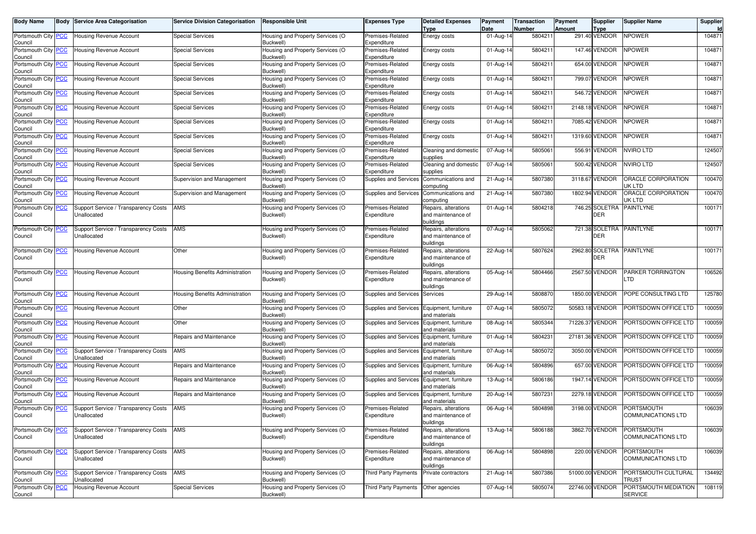| <b>Body Name</b>                      | <b>Body Service Area Categorisation</b>             | <b>Service Division Categorisation</b> | <b>Responsible Unit</b>                             | <b>Expenses Type</b>                       | <b>Detailed Expenses</b><br>Type                        | Payment<br>Date | Transaction<br>Number | <b>Payment</b><br><b>Amount</b> | <b>Supplier</b><br><b>Type</b> | <b>Supplier Name</b>                           | Supplier<br>ld. |
|---------------------------------------|-----------------------------------------------------|----------------------------------------|-----------------------------------------------------|--------------------------------------------|---------------------------------------------------------|-----------------|-----------------------|---------------------------------|--------------------------------|------------------------------------------------|-----------------|
| Portsmouth City PCC<br>Council        | Housing Revenue Account                             | <b>Special Services</b>                | Housing and Property Services (O<br>Buckwell)       | Premises-Related<br>Expenditure            | Energy costs                                            | 01-Aug-14       | 5804211               |                                 | 291.40 VENDOR                  | <b>NPOWER</b>                                  | 104871          |
| Portsmouth City PCC<br>Council        | <b>Housing Revenue Account</b>                      | <b>Special Services</b>                | Housing and Property Services (O<br>Buckwell)       | Premises-Related<br>Expenditure            | Energy costs                                            | 01-Aug-14       | 5804211               |                                 | 147.46 VENDOR                  | <b>NPOWER</b>                                  | 104871          |
| Portsmouth City <b>PCC</b><br>Council | Housing Revenue Account                             | <b>Special Services</b>                | Housing and Property Services (O<br>Buckwell)       | Premises-Related<br>Expenditure            | Energy costs                                            | 01-Aug-14       | 5804211               |                                 | 654.00 VENDOR                  | <b>NPOWER</b>                                  | 104871          |
| Portsmouth City PCC<br>Council        | <b>Housing Revenue Account</b>                      | <b>Special Services</b>                | Housing and Property Services (O<br>Buckwell)       | Premises-Related<br>Expenditure            | Energy costs                                            | 01-Aug-14       | 580421                |                                 | 799.07 VENDOR                  | <b>NPOWER</b>                                  | 104871          |
| Portsmouth City PCC<br>Council        | Housing Revenue Account                             | <b>Special Services</b>                | Housing and Property Services (O<br>Buckwell)       | Premises-Related<br>Expenditure            | Energy costs                                            | 01-Aug-14       | 5804211               |                                 | 546.72 VENDOR                  | <b>NPOWER</b>                                  | 104871          |
| Portsmouth City PCC<br>Council        | Housing Revenue Account                             | <b>Special Services</b>                | Housing and Property Services (O<br>Buckwell)       | Premises-Related<br>Expenditure            | Energy costs                                            | 01-Aug-14       | 580421                |                                 | 2148.18 VENDOR                 | <b>NPOWER</b>                                  | 104871          |
| Portsmouth City PCC<br>Council        | <b>Housing Revenue Account</b>                      | <b>Special Services</b>                | Housing and Property Services (O<br>Buckwell)       | Premises-Related<br>Expenditure            | Energy costs                                            | 01-Aug-14       | 580421                |                                 | 7085.42 VENDOR                 | NPOWER                                         | 104871          |
| Portsmouth City PCC<br>Council        | Housing Revenue Account                             | <b>Special Services</b>                | Housing and Property Services (O<br>Buckwell)       | Premises-Related<br>Expenditure            | Energy costs                                            | 01-Aug-14       | 580421                |                                 | 1319.60 VENDOR                 | <b>NPOWER</b>                                  | 104871          |
| Portsmouth City PCC<br>Council        | Housing Revenue Account                             | <b>Special Services</b>                | Housing and Property Services (O<br>Buckwell)       | Premises-Related<br>Expenditure            | Cleaning and domestic<br>supplies                       | 07-Aug-14       | 5805061               |                                 | 556.91 VENDOR                  | <b>VVIRO LTD</b>                               | 124507          |
| Portsmouth City PCC<br>Council        | Housing Revenue Account                             | <b>Special Services</b>                | Housing and Property Services (O<br><b>Buckwell</b> | Premises-Related<br>Expenditure            | Cleaning and domestic<br>supplies                       | 07-Aug-14       | 5805061               |                                 | 500.42 VENDOR                  | <b>NVIRO LTD</b>                               | 124507          |
| Portsmouth City PCC<br>Council        | Housing Revenue Account                             | Supervision and Management             | Housing and Property Services (O<br>Buckwell)       | Supplies and Services                      | Communications and<br>computing                         | 21-Aug-14       | 5807380               |                                 | 3118.67 VENDOR                 | ORACLE CORPORATION<br>JK LTD                   | 100470          |
| Portsmouth City PCC<br>Council        | Housing Revenue Account                             | Supervision and Management             | Housing and Property Services (O<br>Buckwell)       | Supplies and Services                      | Communications and<br>computing                         | 21-Aug-14       | 5807380               |                                 | 1802.94 VENDOR                 | ORACLE CORPORATION<br>JK LTD                   | 100470          |
| Portsmouth City PCC<br>Council        | Support Service / Transparency Costs<br>Unallocated | AMS                                    | Housing and Property Services (O<br>Buckwell)       | Premises-Related<br>Expenditure            | Repairs, alterations<br>and maintenance of<br>buildings | 01-Aug-14       | 5804218               |                                 | 746.25 SOLETRA<br>DER          | <b>PAINTLYNE</b>                               | 100171          |
| Portsmouth City PCC<br>Council        | Support Service / Transparency Costs<br>Unallocated | AMS                                    | Housing and Property Services (O<br>Buckwell)       | Premises-Related<br>Expenditure            | Repairs, alterations<br>and maintenance of<br>buildings | 07-Aug-14       | 5805062               |                                 | 721.38 SOLETRA<br><b>DER</b>   | <b>PAINTLYNE</b>                               | 100171          |
| Portsmouth City PCC<br>Council        | <b>Housing Revenue Account</b>                      | Other                                  | Housing and Property Services (O<br>Buckwell)       | Premises-Related<br>Expenditure            | Repairs, alterations<br>and maintenance of<br>buildings | 22-Aug-14       | 5807624               |                                 | 2962.80 SOLETRA<br>DER         | <b>PAINTLYNE</b>                               | 100171          |
| Portsmouth City PCC<br>Council        | Housing Revenue Account                             | Housing Benefits Administration        | Housing and Property Services (O<br>Buckwell)       | Premises-Related<br>Expenditure            | Repairs, alterations<br>and maintenance of<br>buildings | 05-Aug-14       | 5804466               |                                 | 2567.50 VENDOR                 | PARKER TORRINGTON<br>TD.                       | 106526          |
| Portsmouth City PCC<br>Council        | Housing Revenue Account                             | Housing Benefits Administration        | Housing and Property Services (O<br>Buckwell)       | <b>Supplies and Services</b>               | Services                                                | 29-Aug-14       | 580887                |                                 | 1850.00 VENDOR                 | POPE CONSULTING LTD                            | 125780          |
| Portsmouth City PCC<br>Council        | Housing Revenue Account                             | Other                                  | Housing and Property Services (O<br>Buckwell)       | Supplies and Services                      | Equipment, furniture<br>and materials                   | 07-Aug-14       | 5805072               |                                 | 50583.18 VENDOR                | PORTSDOWN OFFICE LTD                           | 100059          |
| Portsmouth City PCC<br>Council        | Housing Revenue Account                             | Other                                  | Housing and Property Services (O<br>Buckwell)       | Supplies and Services Equipment, furniture | and materials                                           | 08-Aug-14       | 5805344               |                                 | 71226.37 VENDOR                | PORTSDOWN OFFICE LTD                           | 100059          |
| Portsmouth City PCC<br>Council        | Housing Revenue Account                             | Repairs and Maintenance                | Housing and Property Services (O<br>Buckwell)       | Supplies and Services                      | Equipment, furniture<br>and materials                   | 01-Aug-14       | 5804231               |                                 | 27181.36 VENDOR                | PORTSDOWN OFFICE LTD                           | 100059          |
| Portsmouth City PCC<br>Council        | Support Service / Transparency Costs<br>Unallocated | AMS                                    | Housing and Property Services (O<br>Buckwell)       | Supplies and Services                      | Equipment, furniture<br>and materials                   | 07-Aug-14       | 5805072               |                                 | 3050.00 VENDOR                 | PORTSDOWN OFFICE LTD                           | 100059          |
| Portsmouth City PCC<br>Council        | Housing Revenue Account                             | Repairs and Maintenance                | Housing and Property Services (O<br>Buckwell)       | Supplies and Services                      | Equipment, furniture<br>and materials                   | 06-Aug-14       | 5804896               |                                 | 657.00 VENDOR                  | PORTSDOWN OFFICE LTD                           | 100059          |
| Portsmouth City PCC<br>Council        | <b>Housing Revenue Account</b>                      | Repairs and Maintenance                | Housing and Property Services (O<br>Buckwell        | Supplies and Services                      | Equipment, furniture<br>and materials                   | 13-Aug-14       | 5806186               |                                 | 1947.14 VENDOR                 | PORTSDOWN OFFICE LTD                           | 100059          |
| Portsmouth City PCC<br>Council        | <b>Housing Revenue Account</b>                      | Repairs and Maintenance                | Housing and Property Services (O<br>Buckwell)       | Supplies and Services                      | Equipment, furniture<br>and materials                   | 20-Aug-14       | 5807231               |                                 | 2279.18 VENDOR                 | PORTSDOWN OFFICE LTD                           | 100059          |
| Portsmouth City PCC<br>Council        | Support Service / Transparency Costs<br>Unallocated | AMS                                    | Housing and Property Services (O<br>Buckwell)       | Premises-Related<br>Expenditure            | Repairs, alterations<br>and maintenance of<br>buildings | 06-Aug-14       | 5804898               |                                 | 3198.00 VENDOR                 | <b>PORTSMOUTH</b><br><b>COMMUNICATIONS LTD</b> | 106039          |
| Portsmouth City PCC<br>Council        | Support Service / Transparency Costs<br>Unallocated | AMS                                    | Housing and Property Services (O<br>Buckwell)       | Premises-Related<br>Expenditure            | Repairs, alterations<br>and maintenance of<br>buildings | 13-Aug-14       | 5806188               |                                 | 3862.70 VENDOR                 | PORTSMOUTH<br>COMMUNICATIONS LTD               | 106039          |
| Portsmouth City PCC<br>Council        | Support Service / Transparency Costs<br>Unallocated | AMS                                    | Housing and Property Services (O<br>Buckwell)       | Premises-Related<br>Expenditure            | Repairs, alterations<br>and maintenance of<br>buildings | 06-Aug-14       | 5804898               |                                 | 220.00 VENDOR                  | PORTSMOUTH<br>COMMUNICATIONS LTD               | 106039          |
| Portsmouth City PCC<br>Council        | Support Service / Transparency Costs<br>Unallocated | AMS                                    | Housing and Property Services (O<br>Buckwell)       | <b>Third Party Payments</b>                | Private contractors                                     | 21-Aug-14       | 5807386               |                                 | 51000.00 VENDOR                | PORTSMOUTH CULTURAL<br>TRUST                   | 134492          |
| Portsmouth City PCC<br>Council        | Housing Revenue Account                             | <b>Special Services</b>                | Housing and Property Services (O<br>Buckwell)       | Third Party Payments                       | Other agencies                                          | 07-Aug-14       | 5805074               |                                 | 22746.00 VENDOR                | PORTSMOUTH MEDIATION<br><b>SERVICE</b>         | 108119          |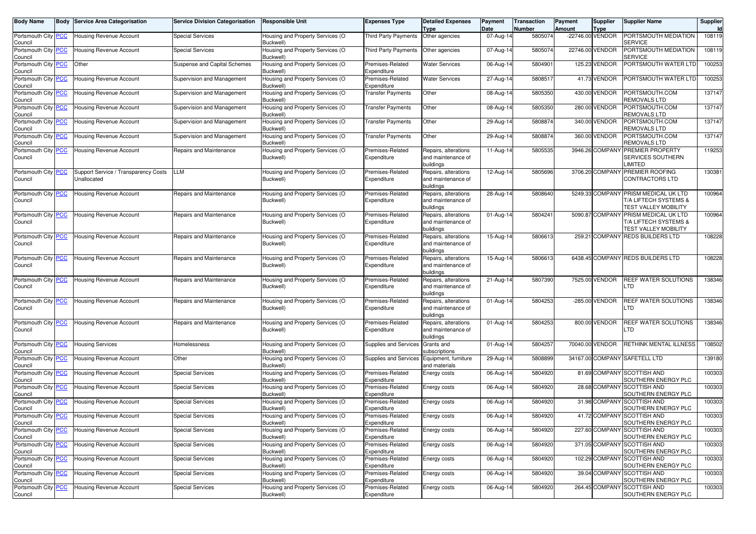| <b>Body Name</b>                            | <b>Body</b> | <b>Service Area Categorisation</b>                  | <b>Service Division Categorisation</b> | <b>Responsible Unit</b>                       | <b>Expenses Type</b>            | <b>Detailed Expenses</b><br>Type                        | Payment<br>Date | <b>Transaction</b><br>Number | Payment<br>Amount | <b>Supplier</b><br>Type | Supplier Name                                                                                | Supplier<br>ld |
|---------------------------------------------|-------------|-----------------------------------------------------|----------------------------------------|-----------------------------------------------|---------------------------------|---------------------------------------------------------|-----------------|------------------------------|-------------------|-------------------------|----------------------------------------------------------------------------------------------|----------------|
| Portsmouth City PCC<br>Council              |             | Housing Revenue Account                             | Special Services                       | Housing and Property Services (O<br>Buckwell) | <b>Third Party Payments</b>     | Other agencies                                          | 07-Aug-14       | 5805074                      |                   | -22746.00 VENDOR        | PORTSMOUTH MEDIATION<br><b>SERVICE</b>                                                       | 108119         |
| Portsmouth City PCC<br>Council              |             | <b>Housing Revenue Account</b>                      | Special Services                       | Housing and Property Services (O<br>Buckwell) | <b>Third Party Payments</b>     | Other agencies                                          | 07-Aug-14       | 5805074                      |                   | 22746.00 VENDOR         | PORTSMOUTH MEDIATION<br>SERVICE                                                              | 108119         |
| Portsmouth City PCC<br>Council              |             | Other                                               | Suspense and Capital Schemes           | Housing and Property Services (O<br>Buckwell) | Premises-Related<br>Expenditure | <b>Water Services</b>                                   | $06$ -Aug-14    | 580490                       |                   | 125.23 VENDOR           | PORTSMOUTH WATER LTD                                                                         | 100253         |
| Portsmouth City PCC<br>Council              |             | Housing Revenue Account                             | Supervision and Management             | Housing and Property Services (O<br>Buckwell) | Premises-Related<br>Expenditure | <b>Water Services</b>                                   | 27-Aug-14       | 580851                       |                   | 41.73 VENDOR            | PORTSMOUTH WATER LTD                                                                         | 100253         |
| Portsmouth City PCC<br>Council              |             | <b>Housing Revenue Account</b>                      | Supervision and Management             | Housing and Property Services (O<br>Buckwell) | <b>Transfer Payments</b>        | Other                                                   | 08-Aug-14       | 5805350                      |                   | 430.00 VENDOR           | PORTSMOUTH.COM<br>REMOVALS LTD                                                               | 137147         |
| Portsmouth City PCC<br>Council              |             | Housing Revenue Account                             | Supervision and Management             | Housing and Property Services (O<br>Buckwell) | <b>Transfer Payments</b>        | Other                                                   | 08-Aug-14       | 5805350                      |                   | 280.00 VENDOR           | PORTSMOUTH.COM<br><b>REMOVALS LTD</b>                                                        | 137147         |
| Portsmouth City PCC<br>Council              |             | Housing Revenue Account                             | Supervision and Management             | Housing and Property Services (O<br>Buckwell) | <b>Transfer Payments</b>        | Other                                                   | 29-Aug-14       | 5808874                      |                   | 340.00 VENDOR           | PORTSMOUTH.COM<br>REMOVALS LTD                                                               | 137147         |
| Portsmouth City PCC<br>Council              |             | Housing Revenue Account                             | Supervision and Management             | Housing and Property Services (O<br>Buckwell) | <b>Transfer Payments</b>        | Other                                                   | 29-Aug-1        | 5808874                      |                   | 360.00 VENDOR           | PORTSMOUTH.COM<br>REMOVALS LTD                                                               | 137147         |
| Portsmouth City PCC<br>Council              |             | Housing Revenue Account                             | Repairs and Maintenance                | Housing and Property Services (O<br>Buckwell) | Premises-Related<br>Expenditure | Repairs, alterations<br>and maintenance of<br>buildings | 11-Aug-14       | 5805535                      |                   | 3946.26 COMPANY         | <b>PREMIER PROPERTY</b><br>SERVICES SOUTHERN<br>LIMITED                                      | 119253         |
| Portsmouth City PCC<br>Council              |             | Support Service / Transparency Costs<br>Unallocated | LLM                                    | Housing and Property Services (O<br>Buckwell) | Premises-Related<br>Expenditure | Repairs, alterations<br>and maintenance of<br>buildings | 12-Aug-14       | 5805696                      |                   |                         | 3706.20 COMPANY PREMIER ROOFING<br>CONTRACTORS LTD                                           | 130381         |
| Portsmouth City PCC<br>Council              |             | Housing Revenue Account                             | Repairs and Maintenance                | Housing and Property Services (O<br>Buckwell) | Premises-Related<br>Expenditure | Repairs, alterations<br>and maintenance of<br>buildings | 28-Aug-14       | 5808640                      |                   |                         | 5249.33 COMPANY PRISM MEDICAL UK LTD<br>T/A LIFTECH SYSTEMS &<br><b>TEST VALLEY MOBILITY</b> | 100964         |
| Portsmouth City PCC<br>Council              |             | <b>Housing Revenue Account</b>                      | Repairs and Maintenance                | Housing and Property Services (O<br>Buckwell) | Premises-Related<br>Expenditure | Repairs, alterations<br>and maintenance of<br>buildings | 01-Aug-14       | 5804241                      |                   | 5090.87 COMPANY         | PRISM MEDICAL UK LTD<br>T/A LIFTECH SYSTEMS &<br>TEST VALLEY MOBILITY                        | 100964         |
| Portsmouth City PCC<br>Council              |             | <b>Housing Revenue Account</b>                      | Repairs and Maintenance                | Housing and Property Services (O<br>Buckwell) | Premises-Related<br>Expenditure | Repairs, alterations<br>and maintenance of<br>buildings | 15-Aug-14       | 5806613                      |                   |                         | 259.21 COMPANY REDS BUILDERS LTD                                                             | 108228         |
| Portsmouth City PCC<br>Council              |             | <b>Housing Revenue Account</b>                      | Repairs and Maintenance                | Housing and Property Services (O<br>Buckwell) | Premises-Related<br>Expenditure | Repairs, alterations<br>and maintenance of<br>buildings | 15-Aug-14       | 5806613                      |                   |                         | 6438.45 COMPANY REDS BUILDERS LTD                                                            | 108228         |
| Portsmouth City PCC<br>Council              |             | <b>Housing Revenue Account</b>                      | Repairs and Maintenance                | Housing and Property Services (O<br>Buckwell) | Premises-Related<br>Expenditure | Repairs, alterations<br>and maintenance of<br>buildings | 21-Aug-14       | 5807390                      |                   | 7525.00 VENDOR          | REEF WATER SOLUTIONS<br>.TD                                                                  | 138346         |
| Portsmouth City PCC<br>Council              |             | <b>Housing Revenue Account</b>                      | Repairs and Maintenance                | Housing and Property Services (O<br>Buckwell) | Premises-Related<br>Expenditure | Repairs, alterations<br>and maintenance of<br>buildings | 01-Aug-14       | 5804253                      |                   | -285.00 VENDOR          | REEF WATER SOLUTIONS<br>.TD                                                                  | 138346         |
| Portsmouth City PCC<br>Council              |             | <b>Housing Revenue Account</b>                      | Repairs and Maintenance                | Housing and Property Services (O<br>Buckwell) | Premises-Related<br>Expenditure | Repairs, alterations<br>and maintenance of<br>buildings | 01-Aug-14       | 5804253                      |                   | 800.00 VENDOR           | REEF WATER SOLUTIONS<br>.TD                                                                  | 138346         |
| Portsmouth City PCC<br>Council              |             | <b>Housing Services</b>                             | Homelessness                           | Housing and Property Services (O<br>Buckwell) | Supplies and Services           | Grants and<br>subscriptions                             | 01-Aug-14       | 5804257                      |                   | 70040.00 VENDOR         | RETHINK MENTAL ILLNESS                                                                       | 108502         |
| Portsmouth City <mark>PCC</mark><br>Council |             | Housing Revenue Account                             | Other                                  | Housing and Property Services (O<br>Buckwell) | <b>Supplies and Services</b>    | Equipment, furniture<br>and materials                   | 29-Aug-14       | 5808899                      |                   |                         | 34167.00 COMPANY SAFETELL LTD                                                                | 139180         |
| Portsmouth City PCC<br>Council              |             | Housing Revenue Account                             | Special Services                       | Housing and Property Services (O<br>Buckwell) | Premises-Related<br>Expenditure | Energy costs                                            | 06-Aug-14       | 5804920                      |                   | 81.69 COMPANY           | <b>SCOTTISH AND</b><br>SOUTHERN ENERGY PLC                                                   | 100303         |
| Portsmouth City PCC<br>Council              |             | Housing Revenue Account                             | Special Services                       | Housing and Property Services (O<br>Buckwell) | Premises-Related<br>Expenditure | Energy costs                                            | 06-Aug-14       | 5804920                      |                   |                         | 28.68 COMPANY SCOTTISH AND<br>SOUTHERN ENERGY PLC                                            | 100303         |
| Portsmouth City PCC<br>Council              |             | Housing Revenue Account                             | Special Services                       | Housing and Property Services (O<br>Buckwell) | Premises-Related<br>Expenditure | Energy costs                                            | 06-Aug-14       | 5804920                      |                   | 31.98 COMPANY           | SCOTTISH AND<br>SOUTHERN ENERGY PLC                                                          | 100303         |
| Portsmouth City PCC<br>Council              |             | <b>Housing Revenue Account</b>                      | Special Services                       | Housing and Property Services (O<br>Buckwell) | Premises-Related<br>Expenditure | Energy costs                                            | 06-Aug-14       | 5804920                      |                   |                         | 41.72 COMPANY SCOTTISH AND<br>SOUTHERN ENERGY PLC                                            | 100303         |
| Portsmouth City PCC<br>Council              |             | <b>Housing Revenue Account</b>                      | <b>Special Services</b>                | Housing and Property Services (O<br>Buckwell) | Premises-Related<br>Expenditure | Energy costs                                            | 06-Aug-14       | 5804920                      |                   |                         | 227.60 COMPANY SCOTTISH AND<br>SOUTHERN ENERGY PLC                                           | 100303         |
| Portsmouth City PCC<br>Council              |             | Housing Revenue Account                             | <b>Special Services</b>                | Housing and Property Services (O<br>Buckwell) | Premises-Related<br>Expenditure | Energy costs                                            | 06-Aug-14       | 5804920                      |                   |                         | 371.05 COMPANY SCOTTISH AND<br>SOUTHERN ENERGY PLC                                           | 100303         |
| Portsmouth City PCC<br>Council              |             | Housing Revenue Account                             | <b>Special Services</b>                | Housing and Property Services (O<br>Buckwell) | Premises-Related<br>Expenditure | Energy costs                                            | 06-Aug-14       | 5804920                      |                   | 102.29 COMPAN           | <b>SCOTTISH AND</b><br>SOUTHERN ENERGY PLC                                                   | 100303         |
| Portsmouth City PCC<br>Council              |             | <b>Housing Revenue Account</b>                      | <b>Special Services</b>                | Housing and Property Services (O<br>Buckwell) | Premises-Related<br>Expenditure | Energy costs                                            | 06-Aug-14       | 5804920                      |                   |                         | 39.04 COMPANY SCOTTISH AND<br>SOUTHERN ENERGY PLC                                            | 100303         |
| Portsmouth City PCC<br>Council              |             | <b>Housing Revenue Account</b>                      | <b>Special Services</b>                | Housing and Property Services (O<br>Buckwell) | Premises-Related<br>Expenditure | Energy costs                                            | 06-Aug-14       | 5804920                      |                   | 264.45 COMPANY          | <b>SCOTTISH AND</b><br>SOUTHERN ENERGY PLC                                                   | 100303         |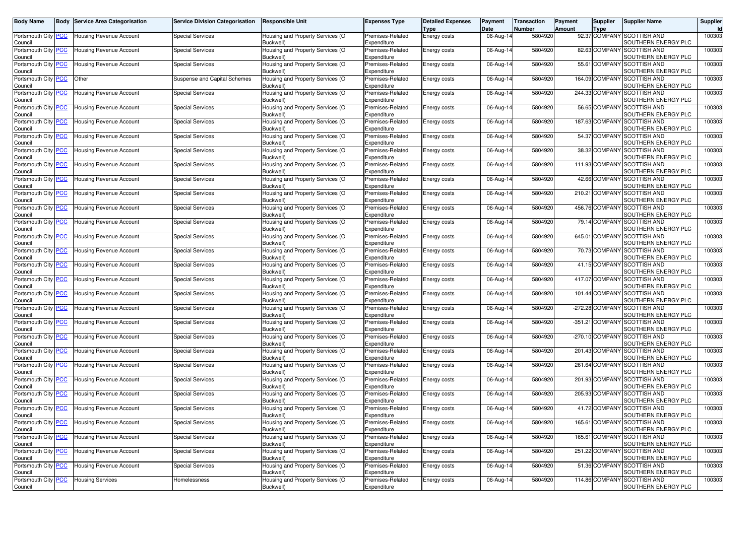| <b>Body Name</b>                      |            | <b>Body Service Area Categorisation</b> | <b>Service Division Categorisation</b> | <b>Responsible Unit</b>                             | <b>Expenses Type</b>            | <b>Detailed Expenses</b><br>Type | Payment<br>Date | Transaction<br><b>Number</b> | Payment<br>Amount | <b>Supplier</b><br>Type | Supplier Name                                      | Supplier |
|---------------------------------------|------------|-----------------------------------------|----------------------------------------|-----------------------------------------------------|---------------------------------|----------------------------------|-----------------|------------------------------|-------------------|-------------------------|----------------------------------------------------|----------|
| Portsmouth City<br>Council            |            | Housing Revenue Account                 | <b>Special Services</b>                | Housing and Property Services (O<br>Buckwell)       | Premises-Related<br>Expenditure | Energy costs                     | 06-Aug-14       | 5804920                      |                   |                         | 92.37 COMPANY SCOTTISH AND<br>SOUTHERN ENERGY PLC  | 100303   |
| Portsmouth City                       |            | Housing Revenue Account                 | <b>Special Services</b>                | Housing and Property Services (O                    | Premises-Related                | Energy costs                     | 06-Aug-14       | 5804920                      |                   | 82.63 COMPAN            | <b>SCOTTISH AND</b>                                | 100303   |
| Council<br>Portsmouth City            | <b>PCC</b> | Housing Revenue Account                 | <b>Special Services</b>                | Buckwell)<br>Housing and Property Services (O       | Expenditure<br>Premises-Related | Energy costs                     | 06-Aug-14       | 5804920                      |                   | 55.61 COMPANY           | SOUTHERN ENERGY PLC<br><b>SCOTTISH AND</b>         | 100303   |
| Council<br>Portsmouth City PCC        |            | Other                                   | Suspense and Capital Schemes           | Buckwell)<br>Housing and Property Services (O       | Expenditure<br>Premises-Related | Energy costs                     | 06-Aug-14       | 5804920                      |                   | 164.09 COMPANY          | SOUTHERN ENERGY PLC<br><b>SCOTTISH AND</b>         | 100303   |
| Council                               |            |                                         |                                        | <b>Buckwell</b>                                     | Expenditure                     |                                  |                 |                              |                   |                         | SOUTHERN ENERGY PLC                                |          |
| Portsmouth City<br>Council            |            | Housing Revenue Account                 | <b>Special Services</b>                | Housing and Property Services (O<br><b>Buckwell</b> | Premises-Related<br>Expenditure | Energy costs                     | 06-Aug-14       | 5804920                      |                   | 244.33 COMPAN           | <b>SCOTTISH AND</b><br>SOUTHERN ENERGY PLC         | 100303   |
| Portsmouth City<br>Council            | <u>PCC</u> | <b>Housing Revenue Account</b>          | <b>Special Services</b>                | Housing and Property Services (O<br>Buckwell)       | Premises-Related<br>Expenditure | Energy costs                     | 06-Aug-14       | 5804920                      |                   | 56.65 COMPANY           | <b>SCOTTISH AND</b><br>SOUTHERN ENERGY PLC         | 100303   |
| Portsmouth City<br>Council            | <u>PCC</u> | <b>Housing Revenue Account</b>          | <b>Special Services</b>                | Housing and Property Services (O<br>Buckwell)       | Premises-Related<br>Expenditure | Energy costs                     | 06-Aug-14       | 5804920                      |                   | 187.63 COMPAN           | <b>SCOTTISH AND</b><br>SOUTHERN ENERGY PLC         | 100303   |
| Portsmouth City                       |            | Housing Revenue Account                 | <b>Special Services</b>                | Housing and Property Services (O                    | Premises-Related                | Energy costs                     | 06-Aug-14       | 5804920                      |                   | 54.37 COMPAN            | <b>SCOTTISH AND</b>                                | 100303   |
| Council<br>Portsmouth City PCC        |            | <b>Housing Revenue Account</b>          | <b>Special Services</b>                | <b>Buckwell</b><br>Housing and Property Services (O | Expenditure<br>Premises-Related | <b>Energy costs</b>              | 06-Aug-14       | 5804920                      |                   | 38.32 COMPANY           | SOUTHERN ENERGY PLC<br><b>SCOTTISH AND</b>         | 100303   |
| Council                               |            |                                         |                                        | Buckwell)                                           | Expenditure                     |                                  |                 |                              |                   |                         | SOUTHERN ENERGY PLC                                |          |
| Portsmouth City <b>PCC</b><br>Council |            | Housing Revenue Account                 | <b>Special Services</b>                | Housing and Property Services (O<br>Buckwell)       | Premises-Related<br>Expenditure | <b>Energy costs</b>              | 06-Aug-14       | 5804920                      |                   | 111.93 COMPANY          | <b>SCOTTISH AND</b><br>SOUTHERN ENERGY PLC         | 100303   |
| Portsmouth City<br>Council            | <u>PCC</u> | Housing Revenue Account                 | <b>Special Services</b>                | Housing and Property Services (O<br><b>Buckwell</b> | Premises-Related<br>Expenditure | Energy costs                     | 06-Aug-14       | 5804920                      |                   | 42.66 COMPAN            | <b>SCOTTISH AND</b><br>SOUTHERN ENERGY PLC         | 100303   |
| Portsmouth City PCC<br>Council        |            | <b>Housing Revenue Account</b>          | <b>Special Services</b>                | Housing and Property Services (O<br>Buckwell)       | Premises-Related<br>Expenditure | <b>Energy costs</b>              | 06-Aug-14       | 5804920                      |                   | 210.21 COMPANY          | <b>SCOTTISH AND</b><br>SOUTHERN ENERGY PLC         | 100303   |
| Portsmouth City<br>Council            |            | Housing Revenue Account                 | <b>Special Services</b>                | Housing and Property Services (O<br>Buckwell)       | Premises-Related<br>Expenditure | Energy costs                     | 06-Aug-14       | 5804920                      |                   | 456.76 COMPANY          | <b>SCOTTISH AND</b><br>SOUTHERN ENERGY PLC         | 100303   |
| Portsmouth City                       |            | Housing Revenue Account                 | <b>Special Services</b>                | Housing and Property Services (O<br><b>Buckwell</b> | Premises-Related<br>Expenditure | Energy costs                     | 06-Aug-14       | 5804920                      |                   | 79.14 COMPAN            | <b>SCOTTISH AND</b><br>SOUTHERN ENERGY PLC         | 100303   |
| Council<br>Portsmouth City PCC        |            | <b>Housing Revenue Account</b>          | <b>Special Services</b>                | Housing and Property Services (O                    | Premises-Related                | Energy costs                     | 06-Aug-14       | 5804920                      |                   | 645.01 COMPANY          | <b>SCOTTISH AND</b>                                | 100303   |
| Council<br>Portsmouth City            | <u>PCC</u> | Housing Revenue Account                 | <b>Special Services</b>                | Buckwell)<br>Housing and Property Services (O       | Expenditure<br>Premises-Related | Energy costs                     | 06-Aug-14       | 5804920                      |                   | 70.73 COMPANY           | SOUTHERN ENERGY PLC<br><b>SCOTTISH AND</b>         | 100303   |
| Council                               |            |                                         |                                        | Buckwell)                                           | Expenditure                     |                                  |                 |                              |                   |                         | SOUTHERN ENERGY PLC                                |          |
| Portsmouth City<br>Council            | PCC        | <b>Housing Revenue Account</b>          | <b>Special Services</b>                | Housing and Property Services (O<br>Buckwell)       | Premises-Related<br>Expenditure | Energy costs                     | 06-Aug-14       | 5804920                      |                   | 41.15 COMPAN            | <b>SCOTTISH AND</b><br>SOUTHERN ENERGY PLC         | 100303   |
| Portsmouth City PCC<br>Council        |            | <b>Housing Revenue Account</b>          | <b>Special Services</b>                | Housing and Property Services (O<br>Buckwell)       | Premises-Related<br>Expenditure | Energy costs                     | 06-Aug-14       | 5804920                      |                   | 417.07 COMPANY          | <b>SCOTTISH AND</b><br>SOUTHERN ENERGY PLC         | 100303   |
| Portsmouth City<br>Council            | <u>PCC</u> | Housing Revenue Account                 | <b>Special Services</b>                | Housing and Property Services (O<br><b>Buckwell</b> | Premises-Related<br>Expenditure | Energy costs                     | 06-Aug-14       | 5804920                      |                   | 101.44 COMPANY          | <b>SCOTTISH AND</b><br>SOUTHERN ENERGY PLC         | 100303   |
| Portsmouth City<br>Council            |            | Housing Revenue Account                 | <b>Special Services</b>                | Housing and Property Services (O<br>Buckwell)       | Premises-Related<br>Expenditure | <b>Energy costs</b>              | 06-Aug-14       | 5804920                      |                   | -272.28 COMPAN          | <b>SCOTTISH AND</b><br>SOUTHERN ENERGY PLC         | 100303   |
| Portsmouth City PCC<br>Council        |            | Housing Revenue Account                 | <b>Special Services</b>                | Housing and Property Services (O<br>Buckwell)       | Premises-Related<br>Expenditure | <b>Energy costs</b>              | 06-Aug-14       | 5804920                      |                   | -351.21 COMPANY         | <b>SCOTTISH AND</b><br>SOUTHERN ENERGY PLC         | 100303   |
| Portsmouth City<br>Council            | PCC        | Housing Revenue Account                 | <b>Special Services</b>                | Housing and Property Services (O<br>Buckwell)       | Premises-Related<br>Expenditure | Energy costs                     | 06-Aug-14       | 5804920                      |                   | -270.10 COMPAN          | <b>SCOTTISH AND</b><br>SOUTHERN ENERGY PLC         | 100303   |
| Portsmouth City                       | <u>PCC</u> | <b>Housing Revenue Account</b>          | <b>Special Services</b>                | Housing and Property Services (O                    | Premises-Related                | Energy costs                     | 06-Aug-14       | 5804920                      |                   | 201.43 COMPAN           | <b>SCOTTISH AND</b>                                | 100303   |
| Council<br>Portsmouth City PCC        |            | <b>Housing Revenue Account</b>          | <b>Special Services</b>                | Buckwell)<br>Housing and Property Services (O       | Expenditure<br>Premises-Related | Energy costs                     | 06-Aug-14       | 5804920                      |                   | 261.64 COMPANY          | SOUTHERN ENERGY PLC<br><b>SCOTTISH AND</b>         | 100303   |
| Council                               |            |                                         |                                        | Buckwell)                                           | Expenditure<br>Premises-Related |                                  |                 |                              |                   |                         | SOUTHERN ENERGY PLC<br><b>SCOTTISH AND</b>         |          |
| Portsmouth City<br>Council            | <u>PCC</u> | <b>Housing Revenue Account</b>          | <b>Special Services</b>                | Housing and Property Services (O<br><b>Buckwell</b> | Expenditure                     | Energy costs                     | 06-Aug-14       | 5804920                      |                   | 201.93 COMPAN           | SOUTHERN ENERGY PLC                                | 100303   |
| Portsmouth City<br>Council            | <u>PCC</u> | <b>Housing Revenue Account</b>          | <b>Special Services</b>                | Housing and Property Services (O<br>Buckwell)       | Premises-Related<br>Expenditure | Energy costs                     | 06-Aug-14       | 5804920                      |                   | 205.93 COMPAN           | <b>SCOTTISH AND</b><br>SOUTHERN ENERGY PLC         | 100303   |
| Portsmouth City PCC<br>Council        |            | <b>Housing Revenue Account</b>          | <b>Special Services</b>                | Housing and Property Services (O<br>Buckwell)       | Premises-Related<br>Expenditure | <b>Energy costs</b>              | 06-Aug-14       | 5804920                      |                   | 41.72 COMPANY           | <b>SCOTTISH AND</b><br>SOUTHERN ENERGY PLC         | 100303   |
| Portsmouth City PCC<br>Council        |            | Housing Revenue Account                 | <b>Special Services</b>                | Housing and Property Services (O<br>Buckwell)       | Premises-Related<br>Expenditure | <b>Energy costs</b>              | 06-Aug-14       | 5804920                      |                   |                         | 165.61 COMPANY SCOTTISH AND<br>SOUTHERN ENERGY PLC | 100303   |
| Portsmouth City PCC<br>Council        |            | <b>Housing Revenue Account</b>          | <b>Special Services</b>                | Housing and Property Services (O<br>Buckwell)       | Premises-Related<br>Expenditure | Energy costs                     | 06-Aug-14       | 5804920                      |                   | 165.61 COMPANY          | <b>SCOTTISH AND</b><br>SOUTHERN ENERGY PLC         | 100303   |
| Portsmouth City PCC                   |            | <b>Housing Revenue Account</b>          | <b>Special Services</b>                | Housing and Property Services (O                    | Premises-Related                | Energy costs                     | 06-Aug-14       | 5804920                      |                   |                         | 251.22 COMPANY SCOTTISH AND                        | 100303   |
| Council<br>Portsmouth City PCC        |            | <b>Housing Revenue Account</b>          | <b>Special Services</b>                | Buckwell)<br>Housing and Property Services (O       | Expenditure<br>Premises-Related | Energy costs                     | 06-Aug-14       | 5804920                      |                   | 51.36 COMPANY           | SOUTHERN ENERGY PLC<br>SCOTTISH AND                | 100303   |
| Council<br>Portsmouth City PCC        |            | <b>Housing Services</b>                 | Homelessness                           | Buckwell)<br>Housing and Property Services (O       | Expenditure<br>Premises-Related | Energy costs                     | 06-Aug-14       | 5804920                      |                   | 114.86 COMPANY          | SOUTHERN ENERGY PLC<br><b>SCOTTISH AND</b>         | 100303   |
| Council                               |            |                                         |                                        | Buckwell)                                           | Expenditure                     |                                  |                 |                              |                   |                         | SOUTHERN ENERGY PLC                                |          |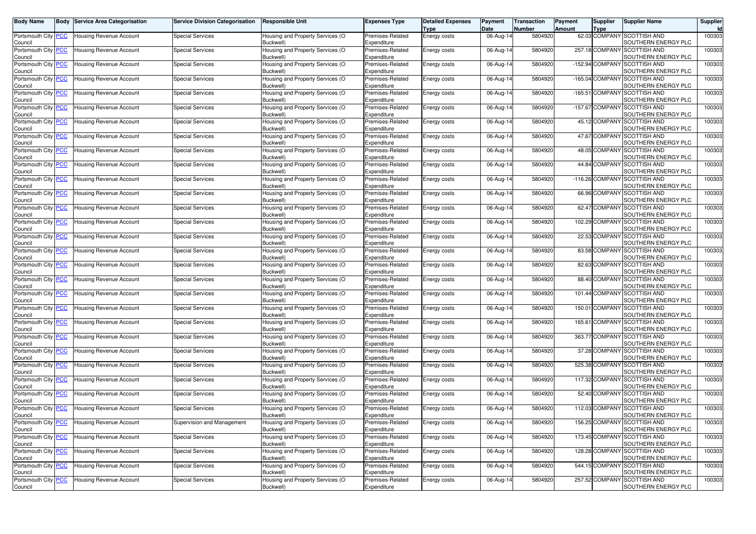| <b>Body Name</b>               |            | <b>Body Service Area Categorisation</b> | Service Division Categorisation | <b>Responsible Unit</b>                             | Expenses Type                   | <b>Detailed Expenses</b><br>Type | Payment<br>Date | Transaction<br><b>Number</b> | Payment<br>Amount | <b>Supplier</b><br>Type | Supplier Name                                      | Supplier |
|--------------------------------|------------|-----------------------------------------|---------------------------------|-----------------------------------------------------|---------------------------------|----------------------------------|-----------------|------------------------------|-------------------|-------------------------|----------------------------------------------------|----------|
| Portsmouth City<br>Council     |            | Housing Revenue Account                 | <b>Special Services</b>         | Housing and Property Services (O<br>Buckwell)       | Premises-Related<br>Expenditure | Energy costs                     | 06-Aug-14       | 5804920                      |                   |                         | 62.03 COMPANY SCOTTISH AND<br>SOUTHERN ENERGY PLC  | 100303   |
| Portsmouth City<br>Council     |            | Housing Revenue Account                 | <b>Special Services</b>         | Housing and Property Services (O<br>Buckwell)       | Premises-Related<br>Expenditure | Energy costs                     | 06-Aug-14       | 5804920                      |                   | 257.18 COMPAN           | <b>SCOTTISH AND</b><br>SOUTHERN ENERGY PLC         | 100303   |
| Portsmouth City                | <b>PCC</b> | <b>Housing Revenue Account</b>          | <b>Special Services</b>         | Housing and Property Services (O                    | Premises-Related<br>Expenditure | Energy costs                     | 06-Aug-14       | 5804920                      |                   | -152.94 COMPANY         | <b>SCOTTISH AND</b><br>SOUTHERN ENERGY PLC         | 100303   |
| Council<br>Portsmouth City     | <u>PCC</u> | Housing Revenue Account                 | <b>Special Services</b>         | Buckwell)<br>Housing and Property Services (O       | Premises-Related                | Energy costs                     | 06-Aug-14       | 5804920                      |                   | $-165.04$ COMPANY       | <b>SCOTTISH AND</b>                                | 100303   |
| Council<br>Portsmouth City     |            | Housing Revenue Account                 | <b>Special Services</b>         | Buckwell)<br>Housing and Property Services (O       | Expenditure<br>Premises-Related | Energy costs                     | 06-Aug-14       | 5804920                      |                   | $-165.51$ COMPAN        | SOUTHERN ENERGY PLC<br><b>SCOTTISH AND</b>         | 100303   |
| Council<br>Portsmouth City     | <u>PCC</u> | <b>Housing Revenue Account</b>          | <b>Special Services</b>         | <b>Buckwell</b><br>Housing and Property Services (O | Expenditure<br>Premises-Related | Energy costs                     | 06-Aug-14       | 5804920                      |                   | -157.67 COMPANY         | SOUTHERN ENERGY PLC<br><b>SCOTTISH AND</b>         | 100303   |
| Council                        |            |                                         |                                 | Buckwell)                                           | Expenditure                     |                                  |                 |                              |                   |                         | SOUTHERN ENERGY PLC                                |          |
| Portsmouth City<br>Council     | <u>PCC</u> | Housing Revenue Account                 | <b>Special Services</b>         | Housing and Property Services (O<br>Buckwell)       | Premises-Related<br>Expenditure | Energy costs                     | 06-Aug-14       | 5804920                      |                   | 45.12 COMPAN            | <b>SCOTTISH AND</b><br>SOUTHERN ENERGY PLC         | 100303   |
| Portsmouth City<br>Council     |            | Housing Revenue Account                 | <b>Special Services</b>         | Housing and Property Services (O<br><b>Buckwell</b> | Premises-Related<br>Expenditure | Energy costs                     | 06-Aug-14       | 5804920                      |                   | 47.67 COMPAN            | <b>SCOTTISH AND</b><br>SOUTHERN ENERGY PLC         | 100303   |
| Portsmouth City PCC<br>Council |            | <b>Housing Revenue Account</b>          | <b>Special Services</b>         | Housing and Property Services (O<br>Buckwell)       | Premises-Related<br>Expenditure | <b>Energy costs</b>              | 06-Aug-14       | 5804920                      |                   | 48.05 COMPANY           | <b>SCOTTISH AND</b><br>SOUTHERN ENERGY PLC         | 100303   |
| Portsmouth City <b>PCC</b>     |            | Housing Revenue Account                 | <b>Special Services</b>         | Housing and Property Services (O                    | Premises-Related                | <b>Energy costs</b>              | 06-Aug-14       | 5804920                      |                   | 44.84 COMPANY           | <b>SCOTTISH AND</b>                                | 100303   |
| Council<br>Portsmouth City     | <u>PCC</u> | Housing Revenue Account                 | <b>Special Services</b>         | Buckwell)<br>Housing and Property Services (O       | Expenditure<br>Premises-Related | Energy costs                     | 06-Aug-14       | 5804920                      |                   | $-116.26$ COMPAN        | SOUTHERN ENERGY PLC<br><b>SCOTTISH AND</b>         | 100303   |
| Council<br>Portsmouth City PCC |            | <b>Housing Revenue Account</b>          | <b>Special Services</b>         | <b>Buckwell</b><br>Housing and Property Services (O | Expenditure<br>Premises-Related | <b>Energy costs</b>              | 06-Aug-14       | 5804920                      |                   | 66.96 COMPANY           | SOUTHERN ENERGY PLC<br><b>SCOTTISH AND</b>         | 100303   |
| Council                        |            |                                         |                                 | Buckwell)                                           | Expenditure<br>Premises-Related |                                  |                 |                              |                   | 62.47 COMPANY           | SOUTHERN ENERGY PLC<br><b>SCOTTISH AND</b>         |          |
| Portsmouth City<br>Council     | <u>РСС</u> | Housing Revenue Account                 | <b>Special Services</b>         | Housing and Property Services (O<br>Buckwell)       | Expenditure                     | Energy costs                     | 06-Aug-14       | 5804920                      |                   |                         | SOUTHERN ENERGY PLC                                | 100303   |
| Portsmouth City<br>Council     |            | Housing Revenue Account                 | <b>Special Services</b>         | Housing and Property Services (O<br><b>Buckwell</b> | Premises-Related<br>Expenditure | Energy costs                     | 06-Aug-14       | 5804920                      |                   | 102.29 COMPAN           | <b>SCOTTISH AND</b><br>SOUTHERN ENERGY PLC         | 100303   |
| Portsmouth City PCC<br>Council |            | Housing Revenue Account                 | <b>Special Services</b>         | Housing and Property Services (O<br>Buckwell)       | Premises-Related<br>Expenditure | Energy costs                     | 06-Aug-14       | 5804920                      |                   | 22.53 COMPANY           | <b>SCOTTISH AND</b><br>SOUTHERN ENERGY PLC         | 100303   |
| Portsmouth City                | <u>PCC</u> | Housing Revenue Account                 | <b>Special Services</b>         | Housing and Property Services (O                    | Premises-Related                | Energy costs                     | 06-Aug-14       | 5804920                      |                   | 83.58 COMPANY           | <b>SCOTTISH AND</b>                                | 100303   |
| Council<br>Portsmouth City     | PCC        | <b>Housing Revenue Account</b>          | <b>Special Services</b>         | Buckwell)<br>Housing and Property Services (O       | Expenditure<br>Premises-Related | Energy costs                     | 06-Aug-14       | 5804920                      |                   | 82.63 COMPAN            | SOUTHERN ENERGY PLC<br><b>SCOTTISH AND</b>         | 100303   |
| Council<br>Portsmouth City PCC |            | <b>Housing Revenue Account</b>          | <b>Special Services</b>         | Buckwell)<br>Housing and Property Services (O       | Expenditure<br>Premises-Related | Energy costs                     | 06-Aug-14       | 5804920                      |                   | 88.40 COMPANY           | SOUTHERN ENERGY PLC<br><b>SCOTTISH AND</b>         | 100303   |
| Council                        |            |                                         |                                 | Buckwell)                                           | Expenditure                     |                                  |                 |                              |                   | 101.44 COMPANY          | SOUTHERN ENERGY PLC                                |          |
| Portsmouth City<br>Council     | <u>PCC</u> | Housing Revenue Account                 | <b>Special Services</b>         | Housing and Property Services (O<br><b>Buckwell</b> | Premises-Related<br>Expenditure | Energy costs                     | 06-Aug-14       | 5804920                      |                   |                         | <b>SCOTTISH AND</b><br>SOUTHERN ENERGY PLC         | 100303   |
| Portsmouth City<br>Council     |            | Housing Revenue Account                 | <b>Special Services</b>         | Housing and Property Services (O<br>Buckwell)       | Premises-Related<br>Expenditure | <b>Energy costs</b>              | 06-Aug-14       | 5804920                      |                   | 150.01 COMPAN           | <b>SCOTTISH AND</b><br>SOUTHERN ENERGY PLC         | 100303   |
| Portsmouth City PCC<br>Council |            | Housing Revenue Account                 | <b>Special Services</b>         | Housing and Property Services (O<br>Buckwell)       | Premises-Related<br>Expenditure | <b>Energy costs</b>              | 06-Aug-14       | 5804920                      |                   | 165.61 COMPANY          | <b>SCOTTISH AND</b><br>SOUTHERN ENERGY PLC         | 100303   |
| Portsmouth City                | PCC        | Housing Revenue Account                 | <b>Special Services</b>         | Housing and Property Services (O                    | Premises-Related                | Energy costs                     | 06-Aug-14       | 5804920                      |                   | 363.77 COMPAN           | <b>SCOTTISH AND</b>                                | 100303   |
| Council<br>Portsmouth City     |            | <b>Housing Revenue Account</b>          | <b>Special Services</b>         | Buckwell)<br>Housing and Property Services (O       | Expenditure<br>Premises-Related | Energy costs                     | 06-Aug-14       | 5804920                      |                   | 37.28 COMPAN            | SOUTHERN ENERGY PLC<br><b>SCOTTISH AND</b>         | 100303   |
| Council<br>Portsmouth City PCC |            | <b>Housing Revenue Account</b>          | <b>Special Services</b>         | Buckwell)<br>Housing and Property Services (O       | Expenditure<br>Premises-Related | Energy costs                     | 06-Aug-14       | 5804920                      |                   | 525.38 COMPANY          | SOUTHERN ENERGY PLC<br><b>SCOTTISH AND</b>         | 100303   |
| Council<br>Portsmouth City     | <u>PCC</u> | <b>Housing Revenue Account</b>          | <b>Special Services</b>         | Buckwell)<br>Housing and Property Services (O       | Expenditure<br>Premises-Related | Energy costs                     | 06-Aug-14       | 5804920                      |                   | 117.32 COMPAN           | SOUTHERN ENERGY PLC<br><b>SCOTTISH AND</b>         | 100303   |
| Council                        |            |                                         |                                 | <b>Buckwell</b>                                     | Expenditure                     |                                  |                 |                              |                   |                         | SOUTHERN ENERGY PLC                                |          |
| Portsmouth City<br>Council     | <u>PCC</u> | <b>Housing Revenue Account</b>          | <b>Special Services</b>         | Housing and Property Services (O<br>Buckwell)       | Premises-Related<br>Expenditure | Energy costs                     | 06-Aug-14       | 5804920                      |                   | 52.40 COMPAN            | <b>SCOTTISH AND</b><br>SOUTHERN ENERGY PLC         | 100303   |
| Portsmouth City PCC<br>Council |            | <b>Housing Revenue Account</b>          | <b>Special Services</b>         | Housing and Property Services (O<br>Buckwell)       | Premises-Related<br>Expenditure | <b>Energy costs</b>              | 06-Aug-14       | 5804920                      |                   | 112.03 COMPANY          | <b>SCOTTISH AND</b><br>SOUTHERN ENERGY PLC         | 100303   |
| Portsmouth City PCC            |            | Housing Revenue Account                 | Supervision and Management      | Housing and Property Services (O<br>Buckwell)       | Premises-Related                | <b>Energy costs</b>              | 06-Aug-14       | 5804920                      |                   |                         | 156.25 COMPANY SCOTTISH AND<br>SOUTHERN ENERGY PLC | 100303   |
| Council<br>Portsmouth City PCC |            | <b>Housing Revenue Account</b>          | <b>Special Services</b>         | Housing and Property Services (O                    | Expenditure<br>Premises-Related | Energy costs                     | 06-Aug-14       | 5804920                      |                   | 173.45 COMPAN'          | <b>SCOTTISH AND</b>                                | 100303   |
| Council<br>Portsmouth City PCC |            | Housing Revenue Account                 | <b>Special Services</b>         | Buckwell)<br>Housing and Property Services (O       | Expenditure<br>Premises-Related | Energy costs                     | 06-Aug-14       | 5804920                      |                   |                         | SOUTHERN ENERGY PLC<br>128.28 COMPANY SCOTTISH AND | 100303   |
| Council<br>Portsmouth City PCC |            | <b>Housing Revenue Account</b>          | <b>Special Services</b>         | Buckwell)<br>Housing and Property Services (O       | Expenditure<br>Premises-Related | Energy costs                     | 06-Aug-14       | 5804920                      |                   | 544.15 COMPANY          | SOUTHERN ENERGY PLC<br><b>SCOTTISH AND</b>         | 100303   |
| Council                        |            |                                         |                                 | Buckwell)                                           | Expenditure                     |                                  |                 |                              |                   |                         | SOUTHERN ENERGY PLC                                |          |
| Portsmouth City PCC<br>Council |            | <b>Housing Revenue Account</b>          | <b>Special Services</b>         | Housing and Property Services (O<br>Buckwell)       | Premises-Related<br>Expenditure | Energy costs                     | 06-Aug-14       | 5804920                      |                   | 257.52 COMPANY          | <b>SCOTTISH AND</b><br>SOUTHERN ENERGY PLC         | 100303   |
|                                |            |                                         |                                 |                                                     |                                 |                                  |                 |                              |                   |                         |                                                    |          |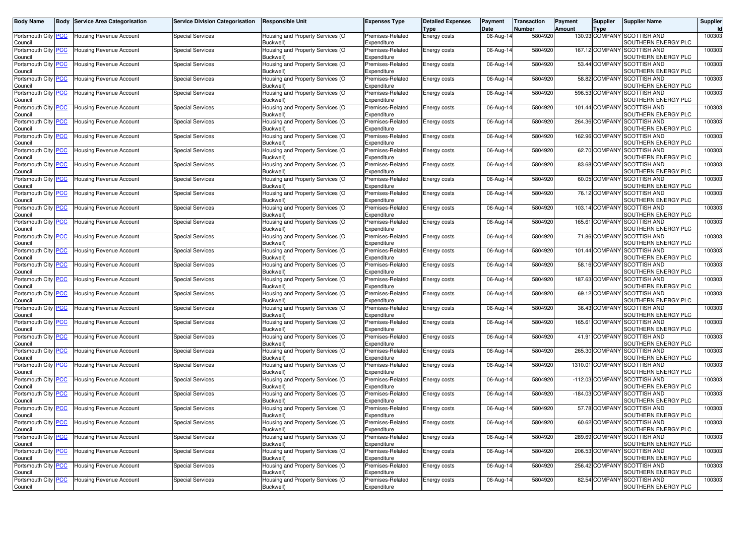| <b>Body Name</b>                      |            | <b>Body Service Area Categorisation</b> | <b>Service Division Categorisation</b> | <b>Responsible Unit</b>                             | <b>Expenses Type</b>            | <b>Detailed Expenses</b><br>Type | Payment<br>Date | Transaction<br><b>Number</b> | Payment<br>Amount | <b>Supplier</b><br>Type | Supplier Name                                      | Supplier |
|---------------------------------------|------------|-----------------------------------------|----------------------------------------|-----------------------------------------------------|---------------------------------|----------------------------------|-----------------|------------------------------|-------------------|-------------------------|----------------------------------------------------|----------|
| Portsmouth City<br>Council            |            | Housing Revenue Account                 | <b>Special Services</b>                | Housing and Property Services (O<br>Buckwell)       | Premises-Related<br>Expenditure | Energy costs                     | 06-Aug-14       | 5804920                      |                   |                         | 130.93 COMPANY SCOTTISH AND<br>SOUTHERN ENERGY PLC | 100303   |
| Portsmouth City                       |            | Housing Revenue Account                 | <b>Special Services</b>                | Housing and Property Services (O                    | Premises-Related                | Energy costs                     | 06-Aug-14       | 5804920                      |                   | 167.12 COMPAN           | <b>SCOTTISH AND</b>                                | 100303   |
| Council<br>Portsmouth City            | <b>PCC</b> | <b>Housing Revenue Account</b>          | <b>Special Services</b>                | Buckwell)<br>Housing and Property Services (O       | Expenditure<br>Premises-Related | Energy costs                     | 06-Aug-14       | 5804920                      |                   | 53.44 COMPANY           | SOUTHERN ENERGY PLC<br><b>SCOTTISH AND</b>         | 100303   |
| Council<br>Portsmouth City            | <u>PCC</u> | Housing Revenue Account                 | <b>Special Services</b>                | Buckwell)<br>Housing and Property Services (O       | Expenditure<br>Premises-Related | Energy costs                     | 06-Aug-14       | 5804920                      |                   | 58.82 COMPANY           | SOUTHERN ENERGY PLC<br><b>SCOTTISH AND</b>         | 100303   |
| Council                               |            |                                         |                                        | Buckwell)                                           | Expenditure                     |                                  |                 |                              |                   |                         | SOUTHERN ENERGY PLC                                |          |
| Portsmouth City<br>Council            |            | Housing Revenue Account                 | <b>Special Services</b>                | Housing and Property Services (O<br><b>Buckwell</b> | Premises-Related<br>Expenditure | Energy costs                     | 06-Aug-14       | 5804920                      |                   | 596.53 COMPAN           | <b>SCOTTISH AND</b><br>SOUTHERN ENERGY PLC         | 100303   |
| Portsmouth City<br>Council            | <u>PCC</u> | <b>Housing Revenue Account</b>          | <b>Special Services</b>                | Housing and Property Services (O<br>Buckwell)       | Premises-Related<br>Expenditure | Energy costs                     | 06-Aug-14       | 5804920                      |                   | 101.44 COMPANY          | <b>SCOTTISH AND</b><br>SOUTHERN ENERGY PLC         | 100303   |
| Portsmouth City<br>Council            | <u>PCC</u> | Housing Revenue Account                 | <b>Special Services</b>                | Housing and Property Services (O<br>Buckwell)       | Premises-Related<br>Expenditure | Energy costs                     | 06-Aug-14       | 5804920                      |                   | 264.36 COMPAN           | <b>SCOTTISH AND</b><br>SOUTHERN ENERGY PLC         | 100303   |
| Portsmouth City                       |            | Housing Revenue Account                 | <b>Special Services</b>                | Housing and Property Services (O                    | Premises-Related                | Energy costs                     | 06-Aug-14       | 5804920                      |                   | 162.96 COMPAN           | <b>SCOTTISH AND</b>                                | 100303   |
| Council<br>Portsmouth City PCC        |            | <b>Housing Revenue Account</b>          | <b>Special Services</b>                | <b>Buckwell</b><br>Housing and Property Services (O | Expenditure<br>Premises-Related | <b>Energy costs</b>              | 06-Aug-14       | 5804920                      |                   | 62.70 COMPANY           | SOUTHERN ENERGY PLC<br><b>SCOTTISH AND</b>         | 100303   |
| Council                               |            |                                         |                                        | Buckwell)                                           | Expenditure                     |                                  |                 |                              |                   |                         | SOUTHERN ENERGY PLC                                |          |
| Portsmouth City <b>PCC</b><br>Council |            | Housing Revenue Account                 | <b>Special Services</b>                | Housing and Property Services (O<br>Buckwell)       | Premises-Related<br>Expenditure | <b>Energy costs</b>              | 06-Aug-14       | 5804920                      |                   | 83.68 COMPANY           | <b>SCOTTISH AND</b><br>SOUTHERN ENERGY PLC         | 100303   |
| Portsmouth City                       | <u>PCC</u> | Housing Revenue Account                 | <b>Special Services</b>                | Housing and Property Services (O                    | Premises-Related                | Energy costs                     | 06-Aug-14       | 5804920                      |                   | 60.05 COMPAN            | <b>SCOTTISH AND</b>                                | 100303   |
| Council<br>Portsmouth City PCC        |            | <b>Housing Revenue Account</b>          | <b>Special Services</b>                | <b>Buckwell</b><br>Housing and Property Services (O | Expenditure<br>Premises-Related | <b>Energy costs</b>              | 06-Aug-14       | 5804920                      |                   | 76.12 COMPANY           | SOUTHERN ENERGY PLC<br><b>SCOTTISH AND</b>         | 100303   |
| Council<br>Portsmouth City            | <u>РСС</u> | Housing Revenue Account                 | <b>Special Services</b>                | Buckwell)<br>Housing and Property Services (O       | Expenditure<br>Premises-Related | Energy costs                     | 06-Aug-14       | 5804920                      |                   | 103.14 COMPANY          | SOUTHERN ENERGY PLC<br><b>SCOTTISH AND</b>         | 100303   |
| Council<br>Portsmouth City            |            | Housing Revenue Account                 | <b>Special Services</b>                | Buckwell)<br>Housing and Property Services (O       | Expenditure<br>Premises-Related | Energy costs                     | 06-Aug-14       | 5804920                      |                   | 165.61 COMPAN           | SOUTHERN ENERGY PLC<br><b>SCOTTISH AND</b>         | 100303   |
| Council                               |            |                                         |                                        | <b>Buckwell</b>                                     | Expenditure                     |                                  |                 |                              |                   |                         | SOUTHERN ENERGY PLC                                |          |
| Portsmouth City PCC<br>Council        |            | <b>Housing Revenue Account</b>          | <b>Special Services</b>                | Housing and Property Services (O<br>Buckwell)       | Premises-Related<br>Expenditure | Energy costs                     | 06-Aug-14       | 5804920                      |                   | 71.86 COMPANY           | <b>SCOTTISH AND</b><br>SOUTHERN ENERGY PLC         | 100303   |
| Portsmouth City<br>Council            | <u>PCC</u> | Housing Revenue Account                 | <b>Special Services</b>                | Housing and Property Services (O<br>Buckwell)       | Premises-Related<br>Expenditure | Energy costs                     | 06-Aug-14       | 5804920                      |                   | 101.44 COMPANY          | <b>SCOTTISH AND</b><br>SOUTHERN ENERGY PLC         | 100303   |
| Portsmouth City<br>Council            | PCC        | <b>Housing Revenue Account</b>          | <b>Special Services</b>                | Housing and Property Services (O<br>Buckwell)       | Premises-Related<br>Expenditure | Energy costs                     | 06-Aug-14       | 5804920                      |                   | 58.16 COMPAN            | <b>SCOTTISH AND</b><br>SOUTHERN ENERGY PLC         | 100303   |
| Portsmouth City PCC<br>Council        |            | <b>Housing Revenue Account</b>          | <b>Special Services</b>                | Housing and Property Services (O<br>Buckwell)       | Premises-Related<br>Expenditure | Energy costs                     | 06-Aug-14       | 5804920                      |                   | 187.63 COMPANY          | <b>SCOTTISH AND</b><br>SOUTHERN ENERGY PLC         | 100303   |
| Portsmouth City<br>Council            | <u>PCC</u> | Housing Revenue Account                 | <b>Special Services</b>                | Housing and Property Services (O<br><b>Buckwell</b> | Premises-Related<br>Expenditure | Energy costs                     | 06-Aug-14       | 5804920                      |                   | 69.12 COMPANY           | <b>SCOTTISH AND</b><br>SOUTHERN ENERGY PLC         | 100303   |
| Portsmouth City                       |            | Housing Revenue Account                 | <b>Special Services</b>                | Housing and Property Services (O                    | Premises-Related                | <b>Energy costs</b>              | 06-Aug-14       | 5804920                      |                   | 36.43 COMPAN            | <b>SCOTTISH AND</b><br>SOUTHERN ENERGY PLC         | 100303   |
| Council<br>Portsmouth City PCC        |            | Housing Revenue Account                 | <b>Special Services</b>                | Buckwell)<br>Housing and Property Services (O       | Expenditure<br>Premises-Related | <b>Energy costs</b>              | 06-Aug-14       | 5804920                      |                   | 165.61 COMPANY          | <b>SCOTTISH AND</b>                                | 100303   |
| Council<br>Portsmouth City            | PCC        | Housing Revenue Account                 | <b>Special Services</b>                | Buckwell)<br>Housing and Property Services (O       | Expenditure<br>Premises-Related | Energy costs                     | 06-Aug-14       | 5804920                      |                   | 41.91 COMPAN            | SOUTHERN ENERGY PLC<br><b>SCOTTISH AND</b>         | 100303   |
| Council<br>Portsmouth City            |            | <b>Housing Revenue Account</b>          | <b>Special Services</b>                | Buckwell)<br>Housing and Property Services (O       | Expenditure<br>Premises-Related |                                  | 06-Aug-14       | 5804920                      |                   | 265.30 COMPAN           | SOUTHERN ENERGY PLC<br><b>SCOTTISH AND</b>         | 100303   |
| Council                               |            |                                         |                                        | Buckwell)                                           | Expenditure                     | Energy costs                     |                 |                              |                   |                         | SOUTHERN ENERGY PLC                                |          |
| Portsmouth City PCC<br>Council        |            | <b>Housing Revenue Account</b>          | <b>Special Services</b>                | Housing and Property Services (O<br>Buckwell)       | Premises-Related<br>Expenditure | Energy costs                     | 06-Aug-14       | 5804920                      |                   | 1310.01 COMPANY         | <b>SCOTTISH AND</b><br>SOUTHERN ENERGY PLC         | 100303   |
| Portsmouth City<br>Council            | <u>PCC</u> | <b>Housing Revenue Account</b>          | <b>Special Services</b>                | Housing and Property Services (O<br><b>Buckwell</b> | Premises-Related<br>Expenditure | Energy costs                     | 06-Aug-14       | 5804920                      |                   | -112.03 COMPAN          | <b>SCOTTISH AND</b><br>SOUTHERN ENERGY PLC         | 100303   |
| Portsmouth City<br>Council            | <u>PCC</u> | <b>Housing Revenue Account</b>          | <b>Special Services</b>                | Housing and Property Services (O<br>Buckwell)       | Premises-Related<br>Expenditure | Energy costs                     | 06-Aug-14       | 5804920                      |                   | -184.03 COMPAN          | <b>SCOTTISH AND</b><br>SOUTHERN ENERGY PLC         | 100303   |
| Portsmouth City PCC                   |            | <b>Housing Revenue Account</b>          | <b>Special Services</b>                | Housing and Property Services (O                    | Premises-Related<br>Expenditure | <b>Energy costs</b>              | 06-Aug-14       | 5804920                      |                   | 57.78 COMPANY           | <b>SCOTTISH AND</b><br>SOUTHERN ENERGY PLC         | 100303   |
| Council<br>Portsmouth City PCC        |            | Housing Revenue Account                 | <b>Special Services</b>                | Buckwell)<br>Housing and Property Services (O       | Premises-Related                | <b>Energy costs</b>              | 06-Aug-14       | 5804920                      |                   |                         | 60.62 COMPANY SCOTTISH AND                         | 100303   |
| Council<br>Portsmouth City PCC        |            | <b>Housing Revenue Account</b>          | <b>Special Services</b>                | Buckwell)<br>Housing and Property Services (O       | Expenditure<br>Premises-Related | Energy costs                     | 06-Aug-14       | 5804920                      |                   | 289.69 COMPAN           | SOUTHERN ENERGY PLC<br><b>SCOTTISH AND</b>         | 100303   |
| Council                               |            | <b>Housing Revenue Account</b>          |                                        | Buckwell)                                           | Expenditure                     |                                  |                 |                              |                   |                         | SOUTHERN ENERGY PLC                                |          |
| Portsmouth City PCC<br>Council        |            |                                         | <b>Special Services</b>                | Housing and Property Services (O<br>Buckwell)       | Premises-Related<br>Expenditure | Energy costs                     | 06-Aug-14       | 5804920                      |                   |                         | 206.53 COMPANY SCOTTISH AND<br>SOUTHERN ENERGY PLC | 100303   |
| Portsmouth City PCC<br>Council        |            | <b>Housing Revenue Account</b>          | <b>Special Services</b>                | Housing and Property Services (O<br>Buckwell)       | Premises-Related<br>Expenditure | Energy costs                     | 06-Aug-14       | 5804920                      |                   | 256.42 COMPANY          | <b>SCOTTISH AND</b><br>SOUTHERN ENERGY PLC         | 100303   |
| Portsmouth City PCC<br>Council        |            | <b>Housing Revenue Account</b>          | <b>Special Services</b>                | Housing and Property Services (O<br>Buckwell)       | Premises-Related<br>Expenditure | Energy costs                     | 06-Aug-14       | 5804920                      |                   | 82.54 COMPANY           | <b>SCOTTISH AND</b><br>SOUTHERN ENERGY PLC         | 100303   |
|                                       |            |                                         |                                        |                                                     |                                 |                                  |                 |                              |                   |                         |                                                    |          |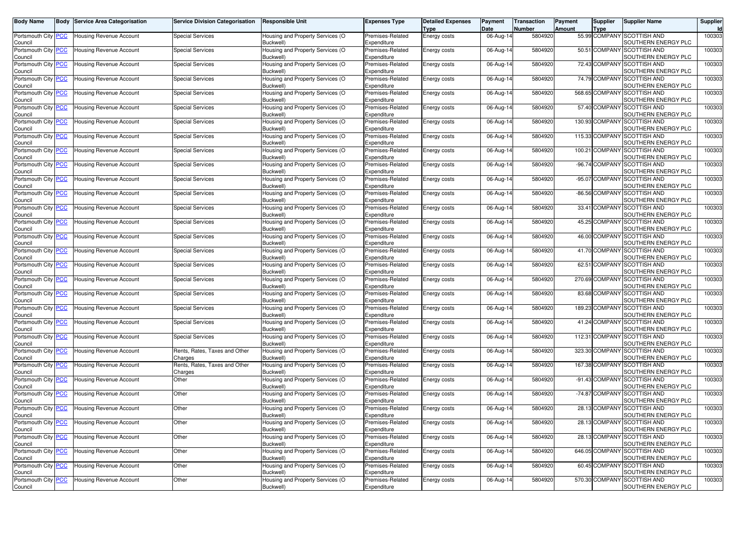| <b>Body Name</b>                      |            | <b>Body Service Area Categorisation</b> | <b>Service Division Categorisation</b>   | <b>Responsible Unit</b>                             | <b>Expenses Type</b>            | <b>Detailed Expenses</b><br>Type | Payment<br>Date | Transaction<br><b>Number</b> | Payment<br>Amount | <b>Supplier</b><br>Type | Supplier Name                                      | Supplier |
|---------------------------------------|------------|-----------------------------------------|------------------------------------------|-----------------------------------------------------|---------------------------------|----------------------------------|-----------------|------------------------------|-------------------|-------------------------|----------------------------------------------------|----------|
| Portsmouth City<br>Council            |            | Housing Revenue Account                 | <b>Special Services</b>                  | Housing and Property Services (O<br>Buckwell)       | Premises-Related<br>Expenditure | Energy costs                     | 06-Aug-14       | 5804920                      |                   |                         | 55.99 COMPANY SCOTTISH AND<br>SOUTHERN ENERGY PLC  | 100303   |
| Portsmouth City<br>Council            |            | Housing Revenue Account                 | <b>Special Services</b>                  | Housing and Property Services (O<br>Buckwell)       | Premises-Related<br>Expenditure | Energy costs                     | 06-Aug-14       | 5804920                      |                   | 50.51 COMPAN            | <b>SCOTTISH AND</b><br>SOUTHERN ENERGY PLC         | 100303   |
| Portsmouth City<br>Council            | <b>PCC</b> | <b>Housing Revenue Account</b>          | <b>Special Services</b>                  | Housing and Property Services (O<br>Buckwell)       | Premises-Related<br>Expenditure | Energy costs                     | 06-Aug-14       | 5804920                      |                   | 72.43 COMPANY           | <b>SCOTTISH AND</b><br>SOUTHERN ENERGY PLC         | 100303   |
| Portsmouth City                       | <u>PCC</u> | Housing Revenue Account                 | <b>Special Services</b>                  | Housing and Property Services (O                    | Premises-Related                | Energy costs                     | 06-Aug-14       | 5804920                      |                   | 74.79 COMPAN'           | <b>SCOTTISH AND</b>                                | 100303   |
| Council<br>Portsmouth City            |            | Housing Revenue Account                 | <b>Special Services</b>                  | Buckwell)<br>Housing and Property Services (O       | Expenditure<br>Premises-Related | Energy costs                     | 06-Aug-14       | 5804920                      |                   | 568.65 COMPAN           | SOUTHERN ENERGY PLC<br><b>SCOTTISH AND</b>         | 100303   |
| Council<br>Portsmouth City            | <u>PCC</u> | <b>Housing Revenue Account</b>          | <b>Special Services</b>                  | <b>Buckwell</b><br>Housing and Property Services (O | Expenditure<br>Premises-Related | Energy costs                     | 06-Aug-14       | 5804920                      |                   | 57.40 COMPANY           | SOUTHERN ENERGY PLC<br><b>SCOTTISH AND</b>         | 100303   |
| Council<br>Portsmouth City            | <u>PCC</u> | Housing Revenue Account                 | <b>Special Services</b>                  | Buckwell)<br>Housing and Property Services (O       | Expenditure<br>Premises-Related | Energy costs                     | 06-Aug-14       | 5804920                      |                   | 130.93 COMPANY          | SOUTHERN ENERGY PLC<br><b>SCOTTISH AND</b>         | 100303   |
| Council<br>Portsmouth City            |            | Housing Revenue Account                 | <b>Special Services</b>                  | Buckwell)<br>Housing and Property Services (O       | Expenditure<br>Premises-Related | Energy costs                     | 06-Aug-14       | 5804920                      |                   | 115.33 COMPAN           | SOUTHERN ENERGY PLC<br><b>SCOTTISH AND</b>         | 100303   |
| Council<br>Portsmouth City PCC        |            | <b>Housing Revenue Account</b>          | <b>Special Services</b>                  | <b>Buckwell</b><br>Housing and Property Services (O | Expenditure<br>Premises-Related |                                  | 06-Aug-14       | 5804920                      |                   | 100.21 COMPANY          | SOUTHERN ENERGY PLC<br><b>SCOTTISH AND</b>         | 100303   |
| Council                               |            |                                         |                                          | Buckwell)                                           | Expenditure                     | <b>Energy costs</b>              |                 |                              |                   |                         | SOUTHERN ENERGY PLC                                |          |
| Portsmouth City <b>PCC</b><br>Council |            | Housing Revenue Account                 | <b>Special Services</b>                  | Housing and Property Services (O<br>Buckwell)       | Premises-Related<br>Expenditure | <b>Energy costs</b>              | 06-Aug-14       | 5804920                      |                   | -96.74 COMPANY          | <b>SCOTTISH AND</b><br>SOUTHERN ENERGY PLC         | 100303   |
| Portsmouth City<br>Council            | <u>PCC</u> | Housing Revenue Account                 | <b>Special Services</b>                  | Housing and Property Services (O<br><b>Buckwell</b> | Premises-Related<br>Expenditure | Energy costs                     | 06-Aug-14       | 5804920                      |                   | -95.07 COMPAN           | <b>SCOTTISH AND</b><br>SOUTHERN ENERGY PLC         | 100303   |
| Portsmouth City PCC<br>Council        |            | <b>Housing Revenue Account</b>          | <b>Special Services</b>                  | Housing and Property Services (O<br>Buckwell)       | Premises-Related<br>Expenditure | <b>Energy costs</b>              | 06-Aug-14       | 5804920                      |                   | -86.56 COMPANY          | <b>SCOTTISH AND</b><br>SOUTHERN ENERGY PLC         | 100303   |
| Portsmouth City<br>Council            |            | Housing Revenue Account                 | <b>Special Services</b>                  | Housing and Property Services (O<br>Buckwell)       | Premises-Related<br>Expenditure | Energy costs                     | 06-Aug-14       | 5804920                      |                   | 33.41 COMPANY           | <b>SCOTTISH AND</b><br>SOUTHERN ENERGY PLC         | 100303   |
| Portsmouth City<br>Council            |            | Housing Revenue Account                 | <b>Special Services</b>                  | Housing and Property Services (O<br><b>Buckwell</b> | Premises-Related<br>Expenditure | Energy costs                     | 06-Aug-14       | 5804920                      |                   | 45.25 COMPAN            | <b>SCOTTISH AND</b><br>SOUTHERN ENERGY PLC         | 100303   |
| Portsmouth City PCC<br>Council        |            | <b>Housing Revenue Account</b>          | <b>Special Services</b>                  | Housing and Property Services (O<br>Buckwell)       | Premises-Related<br>Expenditure | Energy costs                     | 06-Aug-14       | 5804920                      |                   | 46.00 COMPANY           | <b>SCOTTISH AND</b><br>SOUTHERN ENERGY PLC         | 100303   |
| Portsmouth City                       | <u>PCC</u> | Housina Revenue Account                 | <b>Special Services</b>                  | Housing and Property Services (O                    | Premises-Related                | Energy costs                     | 06-Aug-14       | 5804920                      |                   | 41.70 COMPANY           | <b>SCOTTISH AND</b>                                | 100303   |
| Council<br>Portsmouth City            | PCC        | <b>Housing Revenue Account</b>          | <b>Special Services</b>                  | Buckwell)<br>Housing and Property Services (O       | Expenditure<br>Premises-Related | Energy costs                     | 06-Aug-14       | 5804920                      |                   | 62.51 COMPAN            | SOUTHERN ENERGY PLC<br><b>SCOTTISH AND</b>         | 100303   |
| Council<br>Portsmouth City PCC        |            | <b>Housing Revenue Account</b>          | <b>Special Services</b>                  | Buckwell)<br>Housing and Property Services (O       | Expenditure<br>Premises-Related | Energy costs                     | 06-Aug-14       | 5804920                      |                   | 270.69 COMPANY          | SOUTHERN ENERGY PLC<br><b>SCOTTISH AND</b>         | 100303   |
| Council<br>Portsmouth City            | <u>PCC</u> | Housing Revenue Account                 | <b>Special Services</b>                  | Buckwell)<br>Housing and Property Services (O       | Expenditure<br>Premises-Related | Energy costs                     | 06-Aug-14       | 5804920                      |                   | 83.68 COMPANY           | SOUTHERN ENERGY PLC<br><b>SCOTTISH AND</b>         | 100303   |
| Council<br>Portsmouth City            |            | Housing Revenue Account                 | <b>Special Services</b>                  | <b>Buckwell</b><br>Housing and Property Services (O | Expenditure<br>Premises-Related | <b>Energy costs</b>              | 06-Aug-14       | 5804920                      |                   | 189.23 COMPAN           | SOUTHERN ENERGY PLC<br><b>SCOTTISH AND</b>         | 100303   |
| Council<br>Portsmouth City PCC        |            | Housing Revenue Account                 | <b>Special Services</b>                  | Buckwell)<br>Housing and Property Services (O       | Expenditure<br>Premises-Related |                                  | 06-Aug-14       | 5804920                      |                   | 41.24 COMPANY           | SOUTHERN ENERGY PLC<br><b>SCOTTISH AND</b>         | 100303   |
| Council                               |            |                                         |                                          | Buckwell)                                           | Expenditure                     | <b>Energy costs</b>              |                 |                              |                   |                         | SOUTHERN ENERGY PLC                                |          |
| Portsmouth City<br>Council            | PCC        | Housing Revenue Account                 | <b>Special Services</b>                  | Housing and Property Services (O<br><b>Buckwell</b> | Premises-Related<br>Expenditure | Energy costs                     | 06-Aug-14       | 5804920                      |                   | 112.31 COMPAN           | <b>SCOTTISH AND</b><br>SOUTHERN ENERGY PLC         | 100303   |
| Portsmouth City<br>Council            |            | <b>Housing Revenue Account</b>          | Rents, Rates, Taxes and Other<br>Charges | Housing and Property Services (O<br>Buckwell)       | Premises-Related<br>Expenditure | Energy costs                     | 06-Aug-14       | 5804920                      |                   | 323.30 COMPAN           | <b>SCOTTISH AND</b><br>SOUTHERN ENERGY PLC         | 100303   |
| Portsmouth City PCC<br>Council        |            | <b>Housing Revenue Account</b>          | Rents, Rates, Taxes and Other<br>Charges | Housing and Property Services (O<br>Buckwell)       | Premises-Related<br>Expenditure | Energy costs                     | 06-Aug-14       | 5804920                      |                   | 167.38 COMPANY          | <b>SCOTTISH AND</b><br>SOUTHERN ENERGY PLC         | 100303   |
| Portsmouth City<br>Council            | <u>PCC</u> | <b>Housing Revenue Account</b>          | Other                                    | Housing and Property Services (O<br><b>Buckwell</b> | Premises-Related<br>Expenditure | Energy costs                     | 06-Aug-14       | 5804920                      |                   | -91.43 COMPAN           | <b>SCOTTISH AND</b><br>SOUTHERN ENERGY PLC         | 100303   |
| Portsmouth City<br>Council            | <u>PCC</u> | <b>Housing Revenue Account</b>          | Other                                    | Housing and Property Services (O<br>Buckwell)       | Premises-Related<br>Expenditure | Energy costs                     | 06-Aug-14       | 5804920                      |                   | -74.87 COMPAN           | <b>SCOTTISH AND</b><br>SOUTHERN ENERGY PLC         | 100303   |
| Portsmouth City PCC                   |            | <b>Housing Revenue Account</b>          | Other                                    | Housing and Property Services (O<br>Buckwell)       | Premises-Related<br>Expenditure | <b>Energy costs</b>              | 06-Aug-14       | 5804920                      |                   | 28.13 COMPANY           | <b>SCOTTISH AND</b><br>SOUTHERN ENERGY PLC         | 100303   |
| Council<br>Portsmouth City PCC        |            | Housing Revenue Account                 | Other                                    | Housing and Property Services (O                    | Premises-Related                | <b>Energy costs</b>              | 06-Aug-14       | 5804920                      |                   |                         | 28.13 COMPANY SCOTTISH AND                         | 100303   |
| Council<br>Portsmouth City PCC        |            | <b>Housing Revenue Account</b>          | Other                                    | Buckwell)<br>Housing and Property Services (O       | Expenditure<br>Premises-Related | Energy costs                     | 06-Aug-14       | 5804920                      |                   | 28.13 COMPANY           | SOUTHERN ENERGY PLC<br><b>SCOTTISH AND</b>         | 100303   |
| Council<br>Portsmouth City PCC        |            | <b>Housing Revenue Account</b>          | Other                                    | Buckwell)<br>Housing and Property Services (O       | Expenditure<br>Premises-Related | Energy costs                     | 06-Aug-14       | 5804920                      |                   |                         | SOUTHERN ENERGY PLC<br>646.05 COMPANY SCOTTISH AND | 100303   |
| Council<br>Portsmouth City PCC        |            | <b>Housing Revenue Account</b>          | Other                                    | Buckwell)<br>Housing and Property Services (O       | Expenditure<br>Premises-Related | Energy costs                     | 06-Aug-14       | 5804920                      |                   |                         | SOUTHERN ENERGY PLC<br>60.45 COMPANY SCOTTISH AND  | 100303   |
| Council<br>Portsmouth City PCC        |            | Housing Revenue Account                 | Other                                    | Buckwell)<br>Housing and Property Services (O       | Expenditure<br>Premises-Related | Energy costs                     | 06-Aug-14       | 5804920                      |                   | 570.30 COMPANY          | SOUTHERN ENERGY PLC<br><b>SCOTTISH AND</b>         | 100303   |
| Council                               |            |                                         |                                          | Buckwell)                                           | Expenditure                     |                                  |                 |                              |                   |                         | SOUTHERN ENERGY PLC                                |          |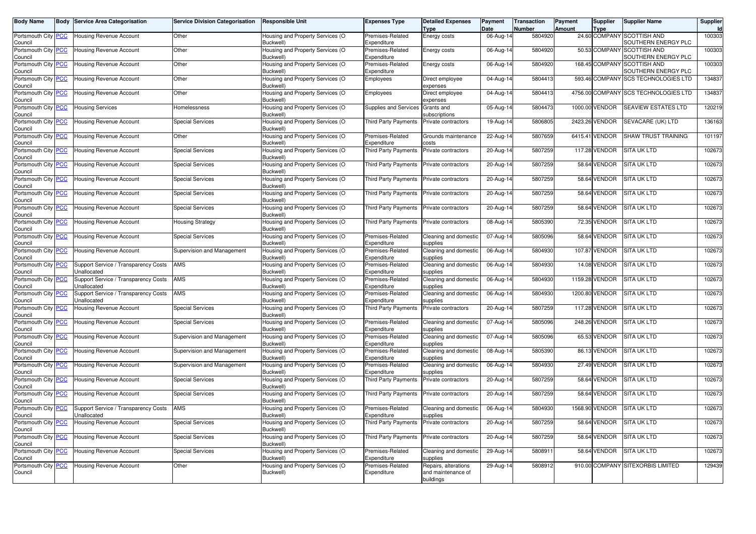|                              | Body         | <b>Service Area Categorisation</b>                  | <b>Service Division Categorisation</b> | <b>Responsible Unit</b>                       | <b>Expenses Type</b>            | <b>Detailed Expenses</b><br><b>Type</b> | Payment<br>Date         | <b>Transaction</b><br><b>Number</b> | Payment<br>Amount | <b>Supplier</b><br><b>Type</b> | <b>Supplier Name</b>                               | <b>Supplier</b> |
|------------------------------|--------------|-----------------------------------------------------|----------------------------------------|-----------------------------------------------|---------------------------------|-----------------------------------------|-------------------------|-------------------------------------|-------------------|--------------------------------|----------------------------------------------------|-----------------|
| Portsmouth City<br>Council   | <u> °СС</u>  | Housing Revenue Account                             | Other                                  | Housing and Property Services (O<br>Buckwell) | Premises-Related<br>Expenditure | Energy costs                            | 06-Aug-14               | 5804920                             |                   |                                | 24.60 COMPANY SCOTTISH AND<br>SOUTHERN ENERGY PLC  | 100303          |
| Portsmouth City<br>Council   | PCC          | Housing Revenue Account                             | Other                                  | Housing and Property Services (O<br>Buckwell) | Premises-Related<br>Expenditure | Energy costs                            | 06-Aug-14               | 5804920                             | 50.53             |                                | COMPANY SCOTTISH AND<br>SOUTHERN ENERGY PLC        | 100303          |
| Portsmouth City<br>Council   | <u> PCC </u> | Housing Revenue Account                             | Other                                  | Housing and Property Services (O<br>Buckwell) | Premises-Related<br>Expenditure | Energy costs                            | 06-Aug-14               | 5804920                             |                   |                                | 168.45 COMPANY SCOTTISH AND<br>SOUTHERN ENERGY PLC | 100303          |
| Portsmouth City<br>Council   | <u> РСС</u>  | Housing Revenue Account                             | Other                                  | Housing and Property Services (O<br>Buckwell) | Employees                       | Direct employee<br>expenses             | $\overline{0}$ 4-Aug-14 | 5804413                             |                   |                                | 593.46 COMPANY SCS TECHNOLOGIES LTD                | 134837          |
| Portsmouth City<br>Council   | <u>CC</u>    | Housing Revenue Account                             | Other                                  | Housing and Property Services (O<br>Buckwell) | Employees                       | Direct employee<br>expenses             | 04-Aug-14               | 5804413                             |                   |                                | 4756.00 COMPANY SCS TECHNOLOGIES LTD               | 134837          |
| Portsmouth City<br>Council   | <u>CC</u>    | Housing Services                                    | Homelessness                           | Housing and Property Services (O<br>Buckwell) | <b>Supplies and Services</b>    | Grants and<br>subscriptions             | 05-Aug-14               | 5804473                             | 1000.00           | /ENDOR                         | <b>SEAVIEW ESTATES LTD</b>                         | 120219          |
| Portsmouth City<br>Council   | <u>CC</u>    | Housing Revenue Account                             | <b>Special Services</b>                | Housing and Property Services (O<br>Buckwell) | <b>Third Party Payments</b>     | Private contractors                     | 19-Aug-14               | 5806805                             | 2423.26           | /ENDOR                         | SEVACARE (UK) LTD                                  | 136163          |
| Portsmouth City<br>Council   | <u>PCC </u>  | <b>Housing Revenue Account</b>                      | Other                                  | Housing and Property Services (O<br>Buckwell) | Premises-Related<br>Expenditure | Grounds maintenance<br>costs:           | 22-Aug-14               | 5807659                             |                   | 6415.41 VENDOR                 | <b>SHAW TRUST TRAINING</b>                         | 101197          |
| Portsmouth City<br>Council   | <u>PCC</u>   | Housing Revenue Account                             | <b>Special Services</b>                | Housing and Property Services (O<br>Buckwell) | <b>Third Party Payments</b>     | Private contractors                     | 20-Aug-14               | 5807259                             | 117.28            | VENDOR                         | <b>SITA UK LTD</b>                                 | 102673          |
| Portsmouth City<br>Council   | <u>CC</u>    | Housing Revenue Account                             | <b>Special Services</b>                | Housing and Property Services (O<br>Buckwell) | <b>Third Party Payments</b>     | Private contractors                     | 20-Aug-14               | 5807259                             |                   | 58.64 VENDOR                   | <b>SITA UK LTD</b>                                 | 102673          |
| Portsmouth City<br>Council   | <u>cc</u>    | Housing Revenue Account                             | <b>Special Services</b>                | Housing and Property Services (O<br>Buckwell) | Third Party Payments            | Private contractors                     | 20-Aug-1                | 5807259                             |                   | 58.64 VENDOR                   | <b>SITA UK LTD</b>                                 | 102673          |
| Portsmouth City<br>Council   | <u>PCC</u>   | <b>Housing Revenue Account</b>                      | <b>Special Services</b>                | Housing and Property Services (O<br>Buckwell) | Third Party Payments            | Private contractors                     | 20-Aug-14               | 5807259                             |                   | 58.64 VENDOR                   | <b>SITA UK LTD</b>                                 | 102673          |
| Portsmouth City<br>Council   | <u>cc</u>    | Housing Revenue Account                             | <b>Special Services</b>                | Housing and Property Services (O<br>Buckwell) | <b>Third Party Payments</b>     | Private contractors                     | $20$ -Aug-1             | 5807259                             |                   | 58.64 VENDOR                   | <b>SITA UK LTD</b>                                 | 102673          |
| Portsmouth City<br>Council   | ∘сс          | <b>Housing Revenue Account</b>                      | <b>Housing Strategy</b>                | Housing and Property Services (O<br>Buckwell) | <b>Third Party Payments</b>     | Private contractors                     | 08-Aug-14               | 5805390                             | 72.35             | <b>VENDOR</b>                  | <b>SITA UK LTD</b>                                 | 102673          |
| Portsmouth City  <br>Council | <u> PCC </u> | <b>Housing Revenue Account</b>                      | <b>Special Services</b>                | Housing and Property Services (O<br>Buckwell) | Premises-Related<br>Expenditure | Cleaning and domestic<br>supplies       | 07-Aug-14               | 5805096                             |                   | 58.64 VENDOR                   | <b>SITA UK LTD</b>                                 | 102673          |
| Portsmouth City<br>Council   | <u>CC</u>    | Housing Revenue Account                             | Supervision and Management             | Housing and Property Services (O<br>Buckwell) | Premises-Related<br>Expenditure | Cleaning and domestic<br>supplies       | 06-Aug-14               | 5804930                             |                   | 107.87 VENDOR                  | <b>SITA UK LTD</b>                                 | 102673          |
| Portsmouth City<br>Council   | PСC          | Support Service / Transparency Costs<br>Unallocated | AMS                                    | Housing and Property Services (O<br>Buckwell) | Premises-Related<br>Expenditure | Cleaning and domestic<br>supplies       | 06-Aug-14               | 5804930                             | 14.08             | VENDOR                         | <b>SITA UK LTD</b>                                 | 102673          |
| Portsmouth City<br>Council   |              | Support Service / Transparency Costs<br>Inallocated | AMS                                    | Housing and Property Services (O<br>Buckwell) | Premises-Related<br>Expenditure | Cleaning and domestic<br>supplies       | 06-Aug-1                | 5804930                             | 1159.28           | /ENDOR                         | <b>SITA UK LTD</b>                                 | 102673          |
| Portsmouth City<br>Council   | <u>CC</u>    | Support Service / Transparency Costs<br>Jnallocated | <b>AMS</b>                             | Housing and Property Services (O<br>Buckwell) | Premises-Related<br>Expenditure | Cleaning and domestic<br>supplies       | 06-Aug-14               | 5804930                             | 1200.80           | VENDOR                         | <b>SITA UK LTD</b>                                 | 102673          |
| Portsmouth City<br>Council   | <u>сс</u>    | <b>Housing Revenue Account</b>                      | <b>Special Services</b>                | Housing and Property Services (O<br>Buckwell) | <b>Third Party Payments</b>     | Private contractors                     | 20-Aug-14               | 5807259                             |                   | 117.28 VENDOR                  | <b>SITA UK LTD</b>                                 | 102673          |
| Portsmouth City<br>Council   | <u> РСС</u>  | Housing Revenue Account                             | <b>Special Services</b>                | Housing and Property Services (O<br>Buckwell) | Premises-Related<br>Expenditure | Cleaning and domestic<br>supplies       | 07-Aug-14               | 5805096                             | 248.26            | VENDOR                         | <b>SITA UK LTD</b>                                 | 102673          |
| Portsmouth City<br>Council   | PСC          | Housing Revenue Account                             | Supervision and Management             | Housing and Property Services (O<br>Buckwell) | Premises-Related<br>Expenditure | Cleaning and domestic<br>supplies       | 07-Aug-14               | 5805096                             |                   | 65.53 VENDOR                   | <b>SITA UK LTD</b>                                 | 102673          |
| Portsmouth City<br>Council   | <u>сс</u>    | Housing Revenue Account                             | Supervision and Management             | Housing and Property Services (O<br>Buckwell) | Premises-Related<br>Expenditure | Cleaning and domestic<br>supplies       | 08-Aug-1                | 5805390                             | 86.13             | /ENDOR                         | <b>SITA UK LTD</b>                                 | 102673          |
| Portsmouth City<br>Council   | °СС          | Housing Revenue Account                             | Supervision and Management             | Housing and Property Services (O<br>Buckwell) | Premises-Related<br>Expenditure | Cleaning and domestic<br>supplies       | 06-Aug-14               | 5804930                             |                   | 27.49 VENDOR                   | <b>SITA UK LTD</b>                                 | 102673          |
| Portsmouth City<br>Council   | <u>'СС</u>   | <b>Housing Revenue Account</b>                      | <b>Special Services</b>                | Housing and Property Services (O<br>Buckwell) | <b>Third Party Payments</b>     | Private contractors                     | 20-Aug-1                | 5807259                             |                   | 58.64 VENDOR                   | <b>SITA UK LTD</b>                                 | 102673          |
| Portsmouth City<br>Council   | PCC          | Housing Revenue Account                             | <b>Special Services</b>                | Housing and Property Services (O<br>Buckwell) | <b>Third Party Payments</b>     | Private contractors                     | 20-Aug-14               | 5807259                             |                   | 58.64 VENDOR                   | <b>SITA UK LTD</b>                                 | 102673          |
| Portsmouth City<br>Council   | <u>PCC</u>   | Support Service / Transparency Costs<br>Jnallocated | <b>AMS</b>                             | Housing and Property Services (O<br>Buckwell) | Premises-Related<br>Expenditure | Cleaning and domestic<br>supplies       | 06-Aug-14               | 5804930                             |                   | 1568.90 VENDOR                 | <b>SITA UK LTD</b>                                 | 102673          |
| Portsmouth City<br>Council   | <u>CC</u>    | Housing Revenue Account                             | <b>Special Services</b>                | Housing and Property Services (O<br>Buckwell) | Third Party Payments            | Private contractors                     | 20-Aug-14               | 5807259                             |                   | 58.64 VENDOR                   | <b>SITA UK LTD</b>                                 | 102673          |
| Portsmouth City<br>Council   | °СС          | Housing Revenue Account                             | <b>Special Services</b>                | Housing and Property Services (O<br>Buckwell) | Third Party Payments            | Private contractors                     | 20-Aug-14               | 5807259                             |                   | 58.64 VENDOR                   | <b>SITA UK LTD</b>                                 | 102673          |
| Portsmouth City<br>Council   | <u>cc</u>    | Housing Revenue Account                             | <b>Special Services</b>                | Housing and Property Services (O<br>Buckwell) | Premises-Related<br>Expenditure | Cleaning and domestic<br>supplies       | 29-Aug-1                | 580891                              |                   | 58.64 VENDOR                   | <b>SITA UK LTD</b>                                 | 102673          |
| Portsmouth City              | <b>PCC</b>   | <b>Housing Revenue Account</b>                      | Other                                  | Housing and Property Services (O              | Premises-Related                | Repairs, alterations                    | 29-Aug-14               | 5808912                             |                   |                                | 910.00 COMPANY SITEXORBIS LIMITED                  | 129439          |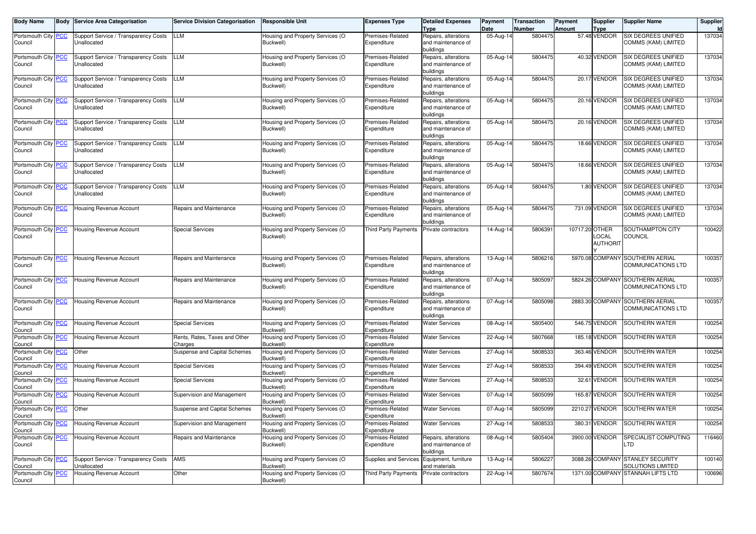| <b>Body Name</b>               |            | <b>Body Service Area Categorisation</b>             | <b>Service Division Categorisation</b>   | <b>Responsible Unit</b>                       | <b>Expenses Type</b>            | <b>Detailed Expenses</b><br><b>Type</b>                 | Payment<br>Date | <b>Transaction</b><br>Number | Payment<br><b>Amount</b> | <b>Supplier</b><br><b>Type</b> | <b>Supplier Name</b>                                  | Supplier<br>Id |
|--------------------------------|------------|-----------------------------------------------------|------------------------------------------|-----------------------------------------------|---------------------------------|---------------------------------------------------------|-----------------|------------------------------|--------------------------|--------------------------------|-------------------------------------------------------|----------------|
| Portsmouth City PCC<br>Council |            | Support Service / Transparency Costs<br>Jnallocated | <b>LLM</b>                               | Housing and Property Services (O<br>Buckwell) | Premises-Related<br>Expenditure | Repairs, alterations<br>and maintenance of<br>buildings | 05-Aug-14       | 5804475                      |                          | 57.48 VENDOR                   | SIX DEGREES UNIFIED<br>COMMS (KAM) LIMITED            | 137034         |
| Portsmouth City PCC<br>Council |            | Support Service / Transparency Costs<br>Unallocated | <b>LLM</b>                               | lousing and Property Services (O<br>Buckwell) | Premises-Related<br>Expenditure | Repairs, alterations<br>and maintenance of<br>buildings | 05-Aug-14       | 5804475                      |                          | 40.32 VENDOR                   | SIX DEGREES UNIFIED<br>COMMS (KAM) LIMITED            | 137034         |
| Portsmouth City PCC<br>Council |            | Support Service / Transparency Costs<br>Unallocated | <b>LLM</b>                               | Housing and Property Services (O<br>Buckwell) | Premises-Related<br>Expenditure | Repairs, alterations<br>and maintenance of<br>buildings | 05-Aug-14       | 5804475                      |                          | 20.17 VENDOR                   | <b>SIX DEGREES UNIFIED</b><br>COMMS (KAM) LIMITED     | 137034         |
| Portsmouth City PCC<br>Council |            | Support Service / Transparency Costs<br>Unallocated | <b>LLM</b>                               | Housing and Property Services (O<br>Buckwell) | Premises-Related<br>Expenditure | Repairs, alterations<br>and maintenance of<br>buildings | 05-Aug-14       | 5804475                      |                          | 20.16 VENDOR                   | SIX DEGREES UNIFIED<br>COMMS (KAM) LIMITED            | 137034         |
| Portsmouth City PCC<br>Council |            | Support Service / Transparency Costs<br>Unallocated | <b>LLM</b>                               | Housing and Property Services (O<br>Buckwell) | Premises-Related<br>Expenditure | Repairs, alterations<br>and maintenance of<br>buildings | 05-Aug-14       | 5804475                      |                          | 20.16 VENDOR                   | SIX DEGREES UNIFIED<br>COMMS (KAM) LIMITED            | 137034         |
| Portsmouth City PCC<br>Council |            | Support Service / Transparency Costs<br>Unallocated | <b>LLM</b>                               | Housing and Property Services (O<br>Buckwell) | Premises-Related<br>Expenditure | Repairs, alterations<br>and maintenance of<br>buildings | 05-Aug-14       | 5804475                      |                          | 18.66 VENDOR                   | SIX DEGREES UNIFIED<br>COMMS (KAM) LIMITED            | 137034         |
| Portsmouth City PCC<br>Council |            | Support Service / Transparency Costs<br>Unallocated | LLM                                      | Housing and Property Services (O<br>Buckwell) | Premises-Related<br>Expenditure | Repairs, alterations<br>and maintenance of<br>buildings | $05 - Aug-14$   | 5804475                      |                          | 18.66 VENDOR                   | <b>SIX DEGREES UNIFIED</b><br>COMMS (KAM) LIMITED     | 137034         |
| Portsmouth City PCC<br>Council |            | Support Service / Transparency Costs<br>Unallocated | <b>LLM</b>                               | Housing and Property Services (O<br>Buckwell) | Premises-Related<br>Expenditure | Repairs, alterations<br>and maintenance of<br>buildings | 05-Aug-14       | 5804475                      |                          | 1.80 VENDOR                    | <b>SIX DEGREES UNIFIED</b><br>COMMS (KAM) LIMITED     | 137034         |
| Portsmouth City PCC<br>Council |            | Housing Revenue Account                             | Repairs and Maintenance                  | Housing and Property Services (O<br>Buckwell) | Premises-Related<br>Expenditure | Repairs, alterations<br>and maintenance of<br>buildings | 05-Aug-14       | 5804475                      |                          | 731.09 VENDOR                  | SIX DEGREES UNIFIED<br>COMMS (KAM) LIMITED            | 137034         |
| Portsmouth City PCC<br>Council |            | <b>Housing Revenue Account</b>                      | <b>Special Services</b>                  | Housing and Property Services (O<br>Buckwell) | Third Party Payments            | Private contractors                                     | 14-Aug-14       | 5806391                      | 10717.20 OTHER           | _OCAL<br><b>AUTHORIT</b>       | SOUTHAMPTON CITY<br>COUNCIL                           | 100422         |
| Portsmouth City PCC<br>Council |            | <b>Housing Revenue Account</b>                      | Repairs and Maintenance                  | Housing and Property Services (O<br>Buckwell) | Premises-Related<br>Expenditure | Repairs, alterations<br>and maintenance of<br>buildings | 13-Aug-14       | 5806216                      |                          | 5970.08 COMPANY                | SOUTHERN AERIAL<br>COMMUNICATIONS LTD                 | 100357         |
| Portsmouth City PCC<br>Council |            | Housing Revenue Account                             | Repairs and Maintenance                  | Housing and Property Services (O<br>Buckwell) | Premises-Related<br>Expenditure | Repairs, alterations<br>and maintenance of<br>buildings | 07-Aug-14       | 5805097                      |                          |                                | 5824.26 COMPANY SOUTHERN AERIAL<br>COMMUNICATIONS LTD | 100357         |
| Portsmouth City PCC<br>Council |            | Housing Revenue Account                             | Repairs and Maintenance                  | Housing and Property Services (O<br>Buckwell) | Premises-Related<br>Expenditure | Repairs, alterations<br>and maintenance of<br>buildings | 07-Aug-14       | 5805098                      |                          | 2883.30 COMPANY                | SOUTHERN AERIAL<br>COMMUNICATIONS LTD                 | 100357         |
| Portsmouth City PCC<br>Council |            | Housing Revenue Account                             | <b>Special Services</b>                  | Housing and Property Services (O<br>Buckwell) | Premises-Related<br>Expenditure | <b>Water Services</b>                                   | 08-Aug-14       | 5805400                      |                          | 546.75 VENDOR                  | SOUTHERN WATER                                        | 100254         |
| Portsmouth City<br>Council     | <b>PCC</b> | Housing Revenue Account                             | Rents, Rates, Taxes and Other<br>Charges | Housing and Property Services (O<br>Buckwell) | Premises-Related<br>Expenditure | <b>Water Services</b>                                   | 22-Aug-14       | 5807668                      |                          | 185.18 VENDOR                  | SOUTHERN WATER                                        | 100254         |
| Portsmouth City PCC<br>Council |            | Other                                               | Suspense and Capital Schemes             | Housing and Property Services (O<br>Buckwell) | Premises-Related<br>Expenditure | <b>Water Services</b>                                   | 27-Aug-14       | 5808533                      |                          | 363.46 VENDOR                  | SOUTHERN WATER                                        | 100254         |
| Portsmouth City<br>Council     | <b>PCC</b> | <b>Housing Revenue Account</b>                      | <b>Special Services</b>                  | Housing and Property Services (O<br>Buckwell) | Premises-Related<br>Expenditure | <b>Water Services</b>                                   | 27-Aug-14       | 5808533                      |                          | 394.49 VENDOR                  | SOUTHERN WATER                                        | 100254         |
| Portsmouth City PCC<br>Council |            | Housing Revenue Account                             | <b>Special Services</b>                  | Housing and Property Services (O<br>Buckwell) | Premises-Related<br>Expenditure | <b>Water Services</b>                                   | 27-Aug-14       | 5808533                      |                          | 32.61 VENDOR                   | SOUTHERN WATER                                        | 100254         |
| Portsmouth City PCC<br>Council |            | <b>Housing Revenue Account</b>                      | Supervision and Management               | Housing and Property Services (O<br>Buckwell) | Premises-Related<br>Expenditure | <b>Water Services</b>                                   | 07-Aug-14       | 5805099                      |                          | 165.87 VENDOR                  | SOUTHERN WATER                                        | 100254         |
| Portsmouth City<br>Council     | PCC        | Other                                               | Suspense and Capital Schemes             | Housing and Property Services (O<br>Buckwell) | Premises-Related<br>Expenditure | <b>Water Services</b>                                   | 07-Aug-14       | 5805099                      |                          | 2210.27 VENDOR                 | SOUTHERN WATER                                        | 100254         |
| Portsmouth City PCC<br>Council |            | Housing Revenue Account                             | Supervision and Management               | Housing and Property Services (O<br>Buckwell) | Premises-Related<br>Expenditure | <b>Water Services</b>                                   | 27-Aug-14       | 5808533                      |                          | 380.31 VENDOR                  | SOUTHERN WATER                                        | 100254         |
| Portsmouth City PCC<br>Council |            | Housing Revenue Account                             | <b>Repairs and Maintenance</b>           | Housing and Property Services (O<br>Buckwell) | Premises-Related<br>Expenditure | Repairs, alterations<br>and maintenance of<br>buildings | 08-Aug-14       | 5805404                      |                          | 3900.00 VENDOR                 | SPECIALIST COMPUTING<br>TD.                           | 116460         |
| Portsmouth City PCC<br>Council |            | Support Service / Transparency Costs<br>Unallocated | AMS                                      | lousing and Property Services (O<br>Buckwell) | <b>Supplies and Services</b>    | Equipment, furniture<br>and materials                   | 13-Aug-14       | 580622                       |                          | 3088.26 COMPANY                | <b>STANLEY SECURITY</b><br><b>SOLUTIONS LIMITED</b>   | 100140         |
| Portsmouth City PCC<br>Council |            | Housing Revenue Account                             | Other                                    | Housing and Property Services (O<br>Buckwell) | Third Party Payments            | Private contractors                                     | 22-Aug-14       | 5807674                      |                          |                                | 1371.00 COMPANY STANNAH LIFTS LTD                     | 100696         |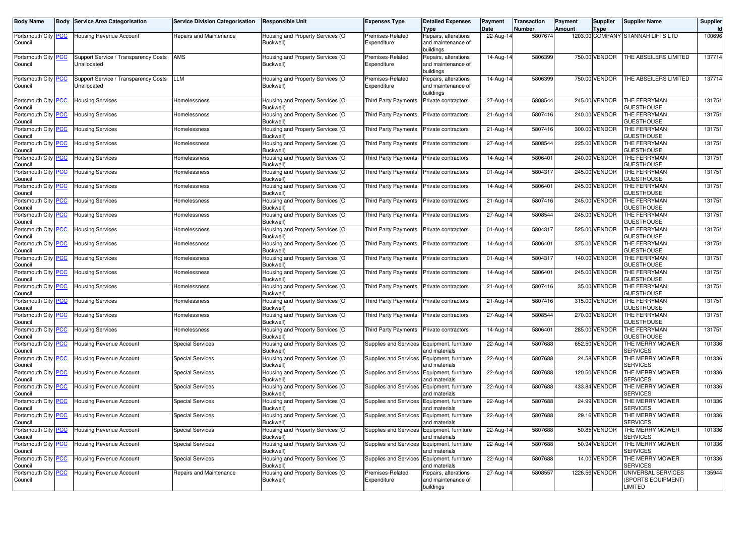| <b>Body Name</b>               | Body | <b>Service Area Categorisation</b>                  | <b>Service Division Categorisation</b> | <b>Responsible Unit</b>                       | Expenses Type                                | <b>Detailed Expenses</b><br><b>Type</b>                 | Payment<br>Date | <b>Transaction</b><br>Number | Payment<br><b>Amount</b> | <b>Supplier</b><br><b>Type</b> | <b>Supplier Name</b>                                | Supplier<br>Id |
|--------------------------------|------|-----------------------------------------------------|----------------------------------------|-----------------------------------------------|----------------------------------------------|---------------------------------------------------------|-----------------|------------------------------|--------------------------|--------------------------------|-----------------------------------------------------|----------------|
| Portsmouth City PCC<br>Council |      | <b>Housing Revenue Account</b>                      | Repairs and Maintenance                | Housing and Property Services (O<br>Buckwell) | Premises-Related<br>Expenditure              | Repairs, alterations<br>and maintenance of<br>buildings | 22-Aug-14       | 5807674                      |                          |                                | 1203.00 COMPANY STANNAH LIFTS LTD                   | 100696         |
| Portsmouth City PCC<br>Council |      | Support Service / Transparency Costs<br>Unallocated | AMS                                    | Housing and Property Services (O<br>Buckwell) | Premises-Related<br>Expenditure              | Repairs, alterations<br>and maintenance of<br>buildings | $14$ -Aug-14    | 5806399                      |                          | 750.00 VENDOR                  | THE ABSEILERS LIMITED                               | 137714         |
| Portsmouth City PCC<br>Council |      | Support Service / Transparency Costs<br>Unallocated | LLM                                    | Housing and Property Services (O<br>Buckwell) | Premises-Related<br>Expenditure              | Repairs, alterations<br>and maintenance of<br>buildings | 14-Aug-14       | 5806399                      |                          | 750.00 VENDOR                  | THE ABSEILERS LIMITED                               | 137714         |
| Portsmouth City PCC<br>Council |      | Housing Services                                    | Homelessness                           | Housing and Property Services (O<br>Buckwell) | Third Party Payments                         | Private contractors                                     | 27-Aug-14       | 5808544                      |                          | 245.00 VENDOR                  | THE FERRYMAN<br><b>GUESTHOUSE</b>                   | 131751         |
| Portsmouth City PCC<br>Council |      | <b>Housing Services</b>                             | Homelessness                           | Housing and Property Services (O<br>Buckwell) | Third Party Payments                         | Private contractors                                     | 21-Aug-14       | 5807416                      |                          | 240.00 VENDOR                  | THE FERRYMAN<br><b>GUESTHOUSE</b>                   | 131751         |
| Portsmouth City PCC<br>Council |      | Housing Services                                    | Homelessness                           | Housing and Property Services (O<br>Buckwell) | Third Party Payments                         | Private contractors                                     | 21-Aug-14       | 5807416                      |                          | 300.00 VENDOR                  | THE FERRYMAN<br><b>GUESTHOUSE</b>                   | 131751         |
| Portsmouth City PCC<br>Council |      | Housing Services                                    | Homelessness                           | Housing and Property Services (O<br>Buckwell) | Third Party Payments                         | Private contractors                                     | 27-Aug-14       | 5808544                      |                          | 225.00 VENDOR                  | THE FERRYMAN<br><b>GUESTHOUSE</b>                   | 131751         |
| Portsmouth City PCC<br>Council |      | <b>Housing Services</b>                             | Homelessness                           | Housing and Property Services (O<br>Buckwell) | Third Party Payments                         | Private contractors                                     | 14-Aug-14       | 5806401                      |                          | 240.00 VENDOR                  | THE FERRYMAN<br><b>GUESTHOUSE</b>                   | 131751         |
| Portsmouth City PCC<br>Council |      | Housing Services                                    | Homelessness                           | Housing and Property Services (O<br>Buckwell) | Third Party Payments                         | Private contractors                                     | 01-Aug-14       | 5804317                      |                          | 245.00 VENDOR                  | THE FERRYMAN<br><b>GUESTHOUSE</b>                   | 131751         |
| Portsmouth City PCC<br>Council |      | Housing Services                                    | Homelessness                           | Housing and Property Services (O<br>Buckwell) | Third Party Payments                         | Private contractors                                     | 14-Aug-14       | 5806401                      |                          | 245.00 VENDOR                  | THE FERRYMAN<br><b>GUESTHOUSE</b>                   | 131751         |
| Portsmouth City PCC<br>Council |      | Housing Services                                    | Homelessness                           | Housing and Property Services (O<br>Buckwell) | Third Party Payments                         | Private contractors                                     | 21-Aug-14       | 5807416                      |                          | 245.00 VENDOR                  | THE FERRYMAN<br><b>GUESTHOUSE</b>                   | 131751         |
| Portsmouth City PCC<br>Council |      | <b>Housing Services</b>                             | Homelessness                           | Housing and Property Services (O<br>Buckwell) | Third Party Payments                         | Private contractors                                     | 27-Aug-14       | 5808544                      |                          | 245.00 VENDOR                  | THE FERRYMAN<br><b>GUESTHOUSE</b>                   | 131751         |
| Portsmouth City PCC<br>Council |      | <b>Housing Services</b>                             | Homelessness                           | Housing and Property Services (O<br>Buckwell) | Third Party Payments                         | Private contractors                                     | 01-Aug-14       | 5804317                      |                          | 525.00 VENDOR                  | THE FERRYMAN<br><b>GUESTHOUSE</b>                   | 131751         |
| Portsmouth City PCC<br>Council |      | <b>Housing Services</b>                             | Homelessness                           | Housing and Property Services (O<br>Buckwell) | Third Party Payments                         | Private contractors                                     | 14-Aug-14       | 5806401                      |                          | 375.00 VENDOR                  | THE FERRYMAN<br><b>GUESTHOUSE</b>                   | 131751         |
| Portsmouth City PCC<br>Council |      | <b>Housing Services</b>                             | Homelessness                           | Housing and Property Services (O<br>Buckwell) | Third Party Payments                         | Private contractors                                     | 01-Aug-14       | 5804317                      |                          | 140.00 VENDOR                  | THE FERRYMAN<br><b>GUESTHOUSE</b>                   | 131751         |
| Portsmouth City PCC<br>Council |      | <b>Housing Services</b>                             | Homelessness                           | Housing and Property Services (O<br>Buckwell) | Third Party Payments                         | Private contractors                                     | 14-Aug-14       | 5806401                      |                          | 245.00 VENDOR                  | THE FERRYMAN<br><b>GUESTHOUSE</b>                   | 131751         |
| Portsmouth City PCC<br>Council |      | <b>Housing Services</b>                             | Homelessness                           | Housing and Property Services (O<br>Buckwell) | Third Party Payments                         | Private contractors                                     | 21-Aug-14       | 5807416                      |                          | 35.00 VENDOR                   | THE FERRYMAN<br><b>GUESTHOUSE</b>                   | 131751         |
| Portsmouth City PCC<br>Council |      | Housing Services                                    | Homelessness                           | Housing and Property Services (O<br>Buckwell) | Third Party Payments                         | Private contractors                                     | 21-Aug-14       | 5807416                      |                          | 315.00 VENDOR                  | THE FERRYMAN<br><b>GUESTHOUSE</b>                   | 131751         |
| Portsmouth City PCC<br>Council |      | <b>Housing Services</b>                             | Homelessness                           | Housing and Property Services (O<br>Buckwell) | Third Party Payments                         | Private contractors                                     | 27-Aug-14       | 5808544                      |                          | 270.00 VENDOR                  | THE FERRYMAN<br><b>GUESTHOUSE</b>                   | 131751         |
| Portsmouth City PCC<br>Council |      | <b>Housing Services</b>                             | Homelessness                           | Housing and Property Services (O<br>Buckwell) | Third Party Payments                         | Private contractors                                     | 14-Aug-14       | 5806401                      |                          | 285.00 VENDOR                  | THE FERRYMAN<br><b>GUESTHOUSE</b>                   | 131751         |
| Portsmouth City PCC<br>Council |      | <b>Housing Revenue Account</b>                      | Special Services                       | Housing and Property Services (O<br>Buckwell) | Supplies and Services                        | Equipment, furniture<br>and materials                   | 22-Aug-14       | 5807688                      |                          | 652.50 VENDOR                  | THE MERRY MOWER<br><b>SERVICES</b>                  | 101336         |
| Portsmouth City PCC<br>Council |      | Housing Revenue Account                             | Special Services                       | Housing and Property Services (O<br>Buckwell) | Supplies and Services                        | Equipment, furniture<br>and materials                   | 22-Aug-14       | 5807688                      |                          | 24.58 VENDOR                   | THE MERRY MOWER<br><b>SERVICES</b>                  | 101336         |
| Portsmouth City PCC<br>Council |      | <b>Housing Revenue Account</b>                      | <b>Special Services</b>                | Housing and Property Services (O<br>Buckwell) | Supplies and Services                        | Equipment, furniture<br>and materials                   | 22-Aug-14       | 5807688                      |                          | 120.50 VENDOR                  | THE MERRY MOWER<br>SERVICES                         | 101336         |
| Portsmouth City PCC<br>Council |      | <b>Housing Revenue Account</b>                      | <b>Special Services</b>                | Housing and Property Services (O<br>Buckwell) | Supplies and Services Equipment, furniture   | and materials                                           | 22-Aug-14       | 5807688                      |                          | 433.84 VENDOR                  | THE MERRY MOWER<br><b>SERVICES</b>                  | 101336         |
| Portsmouth City PCC<br>Council |      | <b>Housing Revenue Account</b>                      | Special Services                       | Housing and Property Services (O<br>Buckwell) | Supplies and Services                        | Equipment, furniture<br>and materials                   | 22-Aug-14       | 5807688                      |                          | 24.99 VENDOR                   | THE MERRY MOWER<br><b>SERVICES</b>                  | 101336         |
| Portsmouth City PCC<br>Council |      | <b>Housing Revenue Account</b>                      | <b>Special Services</b>                | Housing and Property Services (O<br>Buckwell) | Supplies and Services Equipment, furniture   | and materials                                           | 22-Aug-14       | 5807688                      |                          | 29.16 VENDOR                   | THE MERRY MOWER<br><b>SERVICES</b>                  | 101336         |
| Portsmouth City PCC<br>Council |      | <b>Housing Revenue Account</b>                      | <b>Special Services</b>                | Housing and Property Services (O<br>Buckwell) | Supplies and Services   Equipment, furniture | and materials                                           | $22$ -Aug-14    | 5807688                      |                          | 50.85 VENDOR                   | THE MERRY MOWER<br><b>SERVICES</b>                  | 101336         |
| Portsmouth City PCC<br>Council |      | <b>Housing Revenue Account</b>                      | <b>Special Services</b>                | Housing and Property Services (O<br>Buckwell) | Supplies and Services                        | Equipment, furniture<br>and materials                   | 22-Aug-14       | 5807688                      |                          | 50.94 VENDOR                   | THE MERRY MOWER<br><b>SERVICES</b>                  | 101336         |
| Portsmouth City PCC<br>Council |      | <b>Housing Revenue Account</b>                      | <b>Special Services</b>                | Housing and Property Services (O<br>Buckwell) | Supplies and Services                        | Equipment, furniture<br>and materials                   | 22-Aug-14       | 5807688                      |                          | 14.00 VENDOR                   | THE MERRY MOWER<br>SERVICES                         | 101336         |
| Portsmouth City PCC<br>Council |      | Housing Revenue Account                             | Repairs and Maintenance                | Housing and Property Services (O<br>Buckwell) | Premises-Related<br>Expenditure              | Repairs, alterations<br>and maintenance of<br>buildings | $27$ -Aug-14    | 5808557                      |                          | 1226.56 VENDOR                 | UNIVERSAL SERVICES<br>(SPORTS EQUIPMENT)<br>LIMITED | 135944         |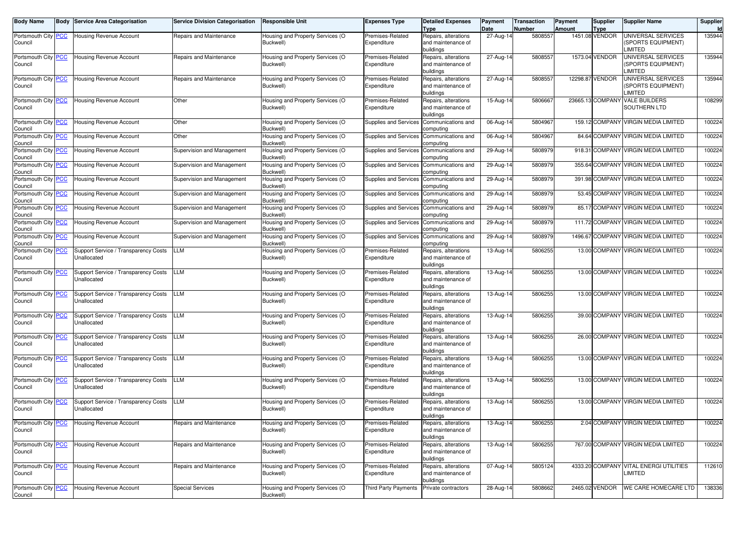| <b>Body Name</b>                      | <b>Body Service Area Categorisation</b>             | <b>Service Division Categorisation</b> | <b>Responsible Unit</b>                       | <b>Expenses Type</b>            | <b>Detailed Expenses</b><br><b>Type</b>                 | Payment<br>Date | <b>Transaction</b><br>Number | Payment<br><b>Amount</b> | Supplier<br><b>Type</b> | <b>Supplier Name</b>                                            | Supplier<br>Id |
|---------------------------------------|-----------------------------------------------------|----------------------------------------|-----------------------------------------------|---------------------------------|---------------------------------------------------------|-----------------|------------------------------|--------------------------|-------------------------|-----------------------------------------------------------------|----------------|
| Portsmouth City <b>PCC</b><br>Council | Housing Revenue Account                             | Repairs and Maintenance                | Housing and Property Services (O<br>Buckwell) | Premises-Related<br>Expenditure | Repairs, alterations<br>and maintenance of<br>buildings | 27-Aug-14       | 5808557                      |                          | 1451.08 VENDOR          | UNIVERSAL SERVICES<br><b>SPORTS EQUIPMENT)</b><br><b>IMITED</b> | 135944         |
| Portsmouth City PCC<br>Council        | Housing Revenue Account                             | Repairs and Maintenance                | Housing and Property Services (O<br>Buckwell) | Premises-Related<br>Expenditure | Repairs, alterations<br>and maintenance of<br>buildings | $27$ -Aug-14    | 5808557                      |                          | 1573.04 VENDOR          | JNIVERSAL SERVICES<br><b>SPORTS EQUIPMENT)</b><br><b>IMITED</b> | 135944         |
| Portsmouth City PCC<br>Council        | <b>Housing Revenue Account</b>                      | Repairs and Maintenance                | Housing and Property Services (O<br>Buckwell) | Premises-Related<br>Expenditure | Repairs, alterations<br>and maintenance of<br>buildings | $27$ -Aug-14    | 5808557                      |                          | 12298.87 VENDOR         | UNIVERSAL SERVICES<br><b>SPORTS EQUIPMENT)</b><br><b>IMITED</b> | 135944         |
| Portsmouth City <b>PCC</b><br>Council | Housing Revenue Account                             | Other                                  | Housing and Property Services (O<br>Buckwell) | Premises-Related<br>Expenditure | Repairs, alterations<br>and maintenance of<br>buildings | 15-Aug-14       | 5806667                      |                          |                         | 23665.13 COMPANY VALE BUILDERS<br>SOUTHERN LTD                  | 108299         |
| Portsmouth City PCC<br>Council        | <b>Housing Revenue Account</b>                      | Other                                  | Housing and Property Services (O<br>Buckwell) | Supplies and Services           | Communications and<br>computing                         | 06-Aug-14       | 5804967                      |                          |                         | 159.12 COMPANY VIRGIN MEDIA LIMITED                             | 100224         |
| Portsmouth City PCC<br>Council        | <b>Housing Revenue Account</b>                      | Other                                  | Housing and Property Services (O<br>Buckwell) | Supplies and Services           | Communications and<br>computing                         | 06-Aug-14       | 5804967                      |                          | 84.64 COMPANY           | <b>VIRGIN MEDIA LIMITED</b>                                     | 100224         |
| Portsmouth City PCC<br>Council        | <b>Housing Revenue Account</b>                      | Supervision and Management             | Housing and Property Services (O<br>Buckwell) | Supplies and Services           | Communications and<br>computing                         | 29-Aug-14       | 5808979                      |                          |                         | 918.31 COMPANY VIRGIN MEDIA LIMITED                             | 100224         |
| Portsmouth City PCC<br>Council        | Housing Revenue Account                             | Supervision and Management             | Housing and Property Services (O<br>Buckwell) | Supplies and Services           | Communications and<br>computing                         | 29-Aug-14       | 5808979                      |                          |                         | 355.64 COMPANY VIRGIN MEDIA LIMITED                             | 100224         |
| Portsmouth City PCC<br>Council        | <b>Housing Revenue Account</b>                      | Supervision and Management             | Housing and Property Services (O<br>Buckwell) | <b>Supplies and Services</b>    | Communications and<br>computing                         | 29-Aug-14       | 5808979                      |                          | 391.98 COMPANY          | <b>VIRGIN MEDIA LIMITED</b>                                     | 100224         |
| Portsmouth City PCC<br>Council        | <b>Housing Revenue Account</b>                      | Supervision and Management             | Housing and Property Services (O<br>Buckwell) | Supplies and Services           | Communications and<br>computing                         | 29-Aug-14       | 5808979                      |                          |                         | 53.45 COMPANY VIRGIN MEDIA LIMITED                              | 100224         |
| Portsmouth City PCC<br>Council        | <b>Housing Revenue Account</b>                      | Supervision and Management             | Housing and Property Services (O<br>Buckwell) | Supplies and Services           | Communications and<br>computing                         | 29-Aug-14       | 5808979                      |                          | 85.17 COMPANY           | <b>VIRGIN MEDIA LIMITED</b>                                     | 100224         |
| Portsmouth City PCC<br>Council        | <b>Housing Revenue Account</b>                      | Supervision and Management             | Housing and Property Services (O<br>Buckwell) | <b>Supplies and Services</b>    | Communications and<br>computing                         | 29-Aug-14       | 5808979                      |                          |                         | 111.72 COMPANY VIRGIN MEDIA LIMITED                             | 100224         |
| Portsmouth City PCC<br>Council        | <b>Housing Revenue Account</b>                      | Supervision and Management             | Housing and Property Services (O<br>Buckwell) | <b>Supplies and Services</b>    | Communications and<br>computing                         | 29-Aug-14       | 5808979                      |                          | 1496.67 COMPANY         | <b>VIRGIN MEDIA LIMITED</b>                                     | 100224         |
| Portsmouth City PCC<br>Council        | Support Service / Transparency Costs<br>Unallocated | LLM                                    | Housing and Property Services (O<br>Buckwell) | Premises-Related<br>Expenditure | Repairs, alterations<br>and maintenance of<br>buildings | 13-Aug-14       | 5806255                      |                          |                         | 13.00 COMPANY VIRGIN MEDIA LIMITED                              | 100224         |
| Portsmouth City PCC<br>Council        | Support Service / Transparency Costs<br>Unallocated | LLM                                    | Housing and Property Services (O<br>Buckwell) | Premises-Related<br>Expenditure | Repairs, alterations<br>and maintenance of<br>buildings | 13-Aug-14       | 5806255                      |                          |                         | 13.00 COMPANY VIRGIN MEDIA LIMITED                              | 100224         |
| Portsmouth City PCC<br>Council        | Support Service / Transparency Costs<br>Unallocated | LLM                                    | Housing and Property Services (O<br>Buckwell) | Premises-Related<br>Expenditure | Repairs, alterations<br>and maintenance of<br>buildings | 13-Aug-14       | 5806255                      |                          | 13.00 COMPANY           | <b>VIRGIN MEDIA LIMITED</b>                                     | 100224         |
| Portsmouth City PCC<br>Council        | Support Service / Transparency Costs<br>Unallocated | LLM                                    | Housing and Property Services (O<br>Buckwell) | Premises-Related<br>Expenditure | Repairs, alterations<br>and maintenance of<br>buildings | 13-Aug-14       | 5806255                      |                          |                         | 39.00 COMPANY VIRGIN MEDIA LIMITED                              | 100224         |
| Portsmouth City   PCC<br>Council      | Support Service / Transparency Costs<br>Unallocated | LLM                                    | Housing and Property Services (O<br>Buckwell) | Premises-Related<br>Expenditure | Repairs, alterations<br>and maintenance of<br>buildings | 13-Aug-14       | 5806255                      |                          |                         | 26.00 COMPANY VIRGIN MEDIA LIMITED                              | 100224         |
| Portsmouth City PCC<br>Council        | Support Service / Transparency Costs<br>Unallocated | LLM                                    | Housing and Property Services (O<br>Buckwell) | Premises-Related<br>Expenditure | Repairs, alterations<br>and maintenance of<br>buildings | 13-Aug-14       | 5806255                      |                          | 13.00 COMPANY           | <b>VIRGIN MEDIA LIMITED</b>                                     | 100224         |
| Portsmouth City PCC<br>Council        | Support Service / Transparency Costs<br>Unallocated | LLM                                    | Housing and Property Services (O<br>Buckwell) | Premises-Related<br>Expenditure | Repairs, alterations<br>and maintenance of<br>buildings | 13-Aug-14       | 5806255                      |                          |                         | 13.00 COMPANY VIRGIN MEDIA LIMITED                              | 100224         |
| Portsmouth City PCC<br>Council        | Support Service / Transparency Costs<br>Unallocated | LLM                                    | Housing and Property Services (O<br>Buckwell) | Premises-Related<br>Expenditure | Repairs, alterations<br>and maintenance of<br>buildings | 13-Aug-14       | 5806255                      |                          |                         | 13.00 COMPANY VIRGIN MEDIA LIMITED                              | 100224         |
| Portsmouth City <b>PCC</b><br>Council | <b>Housing Revenue Account</b>                      | Repairs and Maintenance                | Housing and Property Services (O<br>Buckwell) | Premises-Related<br>Expenditure | Repairs, alterations<br>and maintenance of<br>buildings | 13-Aug-14       | 5806255                      |                          |                         | 2.04 COMPANY VIRGIN MEDIA LIMITED                               | 100224         |
| Portsmouth City PCC<br>Council        | Housing Revenue Account                             | Repairs and Maintenance                | Housing and Property Services (O<br>Buckwell) | Premises-Related<br>Expenditure | Repairs, alterations<br>and maintenance of<br>buildings | 13-Aug-14       | 5806255                      |                          |                         | 767.00 COMPANY VIRGIN MEDIA LIMITED                             | 100224         |
| Portsmouth City PCC<br>Council        | Housing Revenue Account                             | Repairs and Maintenance                | Housing and Property Services (O<br>Buckwell) | Premises-Related<br>Expenditure | Repairs, alterations<br>and maintenance of<br>buildings | 07-Aug-14       | 5805124                      |                          |                         | 4333.20 COMPANY VITAL ENERGI UTILITIES<br>LIMITED               | 112610         |
| Portsmouth City PCC<br>Council        | Housing Revenue Account                             | <b>Special Services</b>                | Housing and Property Services (O<br>Buckwell) | <b>Third Party Payments</b>     | Private contractors                                     | 28-Aug-14       | 5808662                      |                          | 2465.02 VENDOR          | WE CARE HOMECARE LTD                                            | 138336         |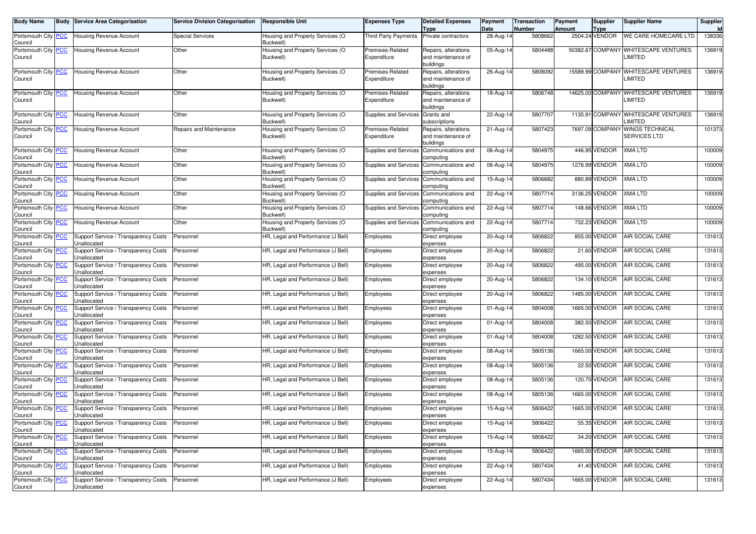| <b>Body Name</b>                            | Body | <b>Service Area Categorisation</b>                  | <b>Service Division Categorisation</b> | <b>Responsible Unit</b>                       | Expenses Type                   | <b>Detailed Expenses</b><br>Type                        | Payment<br>Date | Transaction<br>Number | Payment<br><b>Amount</b> | <b>Supplier</b><br>Type | <b>Supplier Name</b>                                 | Supplier |
|---------------------------------------------|------|-----------------------------------------------------|----------------------------------------|-----------------------------------------------|---------------------------------|---------------------------------------------------------|-----------------|-----------------------|--------------------------|-------------------------|------------------------------------------------------|----------|
| Portsmouth City PCC<br>Council              |      | <b>Housing Revenue Account</b>                      | <b>Special Services</b>                | Housing and Property Services (O<br>Buckwell) | <b>Third Party Payments</b>     | Private contractors                                     | 28-Aug-14       | 5808662               |                          | 2504.24 VENDOR          | WE CARE HOMECARE LTD                                 | 138336   |
| Portsmouth City PCC<br>Council              |      | Housing Revenue Account                             | Other                                  | Housing and Property Services (O<br>Buckwell) | Premises-Related<br>Expenditure | Repairs, alterations<br>and maintenance of<br>buildings | 05-Aug-14       | 5804488               |                          | 50382.67 COMPANY        | <b>WHITESCAPE VENTURES</b><br><b>LIMITED</b>         | 136919   |
| Portsmouth City PCC<br>Council              |      | Housing Revenue Account                             | Other                                  | Housing and Property Services (O<br>Buckwell) | Premises-Related<br>Expenditure | Repairs, alterations<br>and maintenance of<br>buildings | 26-Aug-14       | 5808092               |                          | 15589.99 COMPANY        | <b>WHITESCAPE VENTURES</b><br><b>LIMITED</b>         | 136919   |
| Portsmouth City PCC<br>Council              |      | Housing Revenue Account                             | Other                                  | Housing and Property Services (O<br>Buckwell) | Premises-Related<br>Expenditure | Repairs, alterations<br>and maintenance of<br>buildings | 18-Aug-14       | 5806748               |                          | 14625.00 COMPANY        | <b>WHITESCAPE VENTURES</b><br><b>LIMITED</b>         | 136919   |
| Portsmouth City <mark>PCC</mark><br>Council |      | Housing Revenue Account                             | Other                                  | Housing and Property Services (O<br>Buckwell) | <b>Supplies and Services</b>    | Grants and<br>subscriptions                             | 22-Aug-14       | 5807707               |                          |                         | 1135.91 COMPANY WHITESCAPE VENTURES<br><b>IMITED</b> | 136919   |
| Portsmouth City PCC<br>Council              |      | Housing Revenue Account                             | Repairs and Maintenance                | Housing and Property Services (O<br>Buckwell) | Premises-Related<br>Expenditure | Repairs, alterations<br>and maintenance of<br>buildings | 21-Aug-14       | 5807423               |                          | 7697.09 COMPANY         | <b>WINGS TECHNICAL</b><br>SERVICES LTD               | 101373   |
| Portsmouth City PCC<br>Council              |      | Housing Revenue Account                             | Other                                  | Housing and Property Services (O<br>Buckwell) | Supplies and Services           | Communications and<br>omputing:                         | 06-Aug-14       | 5804975               |                          | 446.95 VENDOR           | <b>KMA LTD</b>                                       | 100009   |
| Portsmouth City PCC<br>Council              |      | Housing Revenue Account                             | Other                                  | Housing and Property Services (O<br>Buckwell  | Supplies and Services           | Communications and<br>computing                         | 06-Aug-14       | 5804975               |                          | 1276.99 VENDOR          | XMA LTD                                              | 100009   |
| Portsmouth City PCC<br>Council              |      | Housing Revenue Account                             | Other                                  | lousing and Property Services (O<br>Buckwell) | <b>Supplies and Services</b>    | Communications and<br>computing                         | 15-Aug-14       | 5806682               |                          | 880.89 VENDOR           | <b>KMA LTD</b>                                       | 100009   |
| Portsmouth City PCC<br>Council              |      | Housing Revenue Account                             | Other                                  | Housing and Property Services (O<br>Buckwell) | Supplies and Services           | Communications and<br>computing                         | 22-Aug-14       | 5807714               |                          | 3136.25 VENDOR          | KMA LTD                                              | 100009   |
| Portsmouth City PCC<br>Council              |      | <b>Housing Revenue Account</b>                      | Other                                  | Housing and Property Services (O<br>Buckwell' | Supplies and Services           | Communications and<br>computing                         | 22-Aug-14       | 5807714               |                          | 148.66 VENDOR           | XMA LTD                                              | 100009   |
| Portsmouth City PCC<br>Council              |      | <b>Housing Revenue Account</b>                      | Other                                  | Housing and Property Services (O<br>Buckwell) | Supplies and Services           | Communications and<br>computing                         | 22-Aug-14       | 5807714               |                          | 732.23 VENDOR           | XMA LTD                                              | 100009   |
| Portsmouth City PCC<br>Council              |      | Support Service / Transparency Costs<br>Unallocated | Personnel                              | HR, Legal and Performance (J Bell)            | Employees                       | Direct employee<br>expenses                             | 20-Aug-14       | 5806822               |                          | 855.00 VENDOR           | AIR SOCIAL CARE                                      | 131613   |
| Portsmouth City <mark>PCC</mark><br>Council |      | Support Service / Transparency Costs<br>Unallocated | Personnel                              | HR, Legal and Performance (J Bell)            | Employees                       | Direct employee<br>expenses                             | 20-Aug-14       | 5806822               |                          | 21.60 VENDOR            | AIR SOCIAL CARE                                      | 131613   |
| Portsmouth City <mark>PCC</mark><br>Council |      | Support Service / Transparency Costs<br>Unallocated | Personnel                              | HR, Legal and Performance (J Bell)            | Employees                       | Direct employee<br>expenses                             | 20-Aug-14       | 5806822               |                          | 495.00 VENDOR           | AIR SOCIAL CARE                                      | 131613   |
| Portsmouth City PCC<br>Council              |      | Support Service / Transparency Costs<br>Unallocated | Personnel                              | HR, Legal and Performance (J Bell)            | Employees                       | Direct employee<br>expenses                             | 20-Aug-14       | 5806822               |                          | 134.10 VENDOR           | AIR SOCIAL CARE                                      | 131613   |
| Portsmouth City <b>PCC</b><br>Council       |      | Support Service / Transparency Costs<br>Unallocated | Personnel                              | HR, Legal and Performance (J Bell)            | Employees                       | Direct employee<br>expenses                             | 20-Aug-14       | 5806822               |                          | 1485.00 VENDOR          | AIR SOCIAL CARE                                      | 131613   |
| Portsmouth City PCC<br>Council              |      | Support Service / Transparency Costs<br>Unallocated | Personnel                              | HR, Legal and Performance (J Bell)            | Employees                       | Direct employee<br>expenses                             | 01-Aug-14       | 5804008               |                          | 1665.00 VENDOR          | AIR SOCIAL CARE                                      | 131613   |
| Portsmouth City <b>PCC</b><br>Council       |      | Support Service / Transparency Costs<br>Unallocated | Personnel                              | HR, Legal and Performance (J Bell)            | Employees                       | Direct employee<br>expenses                             | 01-Aug-14       | 5804008               |                          | 382.50 VENDOR           | AIR SOCIAL CARE                                      | 131613   |
| Portsmouth City <mark>PCC</mark><br>Council |      | Support Service / Transparency Costs<br>Unallocated | Personnel                              | HR, Legal and Performance (J Bell)            | Employees                       | Direct employee<br>expenses                             | 01-Aug-14       | 5804008               |                          | 1282.50 VENDOR          | AIR SOCIAL CARE                                      | 131613   |
| Portsmouth City <b>PCC</b><br>Council       |      | Support Service / Transparency Costs<br>Unallocated | Personnel                              | HR, Legal and Performance (J Bell)            | Employees                       | Direct employee<br>expenses                             | 08-Aug-14       | 5805136               |                          | 1665.00 VENDOR          | AIR SOCIAL CARE                                      | 131613   |
| Portsmouth City PCC<br>Council              |      | Support Service / Transparency Costs<br>Unallocated | Personnel                              | HR, Legal and Performance (J Bell)            | Employees                       | Direct employee<br>expenses                             | 08-Aug-14       | 5805136               |                          | 22.50 VENDOR            | AIR SOCIAL CARE                                      | 131613   |
| Portsmouth City PCC<br>Council              |      | Support Service / Transparency Costs<br>Unallocated | Personnel                              | HR, Legal and Performance (J Bell)            | Employees                       | Direct employee<br>expenses                             | 08-Aug-14       | 5805136               |                          | 120.70 VENDOR           | AIR SOCIAL CARE                                      | 131613   |
| Portsmouth City <mark>PCC</mark><br>Council |      | Support Service / Transparency Costs<br>Unallocated | Personnel                              | HR, Legal and Performance (J Bell)            | Employees                       | Direct employee<br>expenses                             | 08-Aug-14       | 5805136               |                          | 1665.00 VENDOR          | AIR SOCIAL CARE                                      | 131613   |
| Portsmouth City PCC<br>Council              |      | Support Service / Transparency Costs<br>Unallocated | Personnel                              | HR, Legal and Performance (J Bell)            | Employees                       | Direct employee<br>expenses                             | 15-Aug-14       | 5806422               |                          | 1665.00 VENDOR          | AIR SOCIAL CARE                                      | 131613   |
| Portsmouth City   PCC<br>Council            |      | Support Service / Transparency Costs<br>Unallocated | Personnel                              | HR, Legal and Performance (J Bell)            | Employees                       | Direct employee<br>expenses                             | 15-Aug-14       | 5806422               |                          | 55.35 VENDOR            | <b>AIR SOCIAL CARE</b>                               | 131613   |
| Portsmouth City PCC<br>Council              |      | Support Service / Transparency Costs<br>Unallocated | Personnel                              | HR, Legal and Performance (J Bell)            | Employees                       | Direct employee<br>expenses                             | 15-Aug-14       | 5806422               |                          | 34.20 VENDOR            | AIR SOCIAL CARE                                      | 131613   |
| Portsmouth City PCC<br>Council              |      | Support Service / Transparency Costs<br>Unallocated | Personnel                              | HR, Legal and Performance (J Bell)            | Employees                       | Direct employee<br>expenses                             | 15-Aug-14       | 5806422               |                          | 1665.00 VENDOR          | AIR SOCIAL CARE                                      | 131613   |
| Portsmouth City PCC<br>Council              |      | Support Service / Transparency Costs<br>Unallocated | Personnel                              | HR, Legal and Performance (J Bell)            | Employees                       | Direct employee<br>expenses                             | 22-Aug-14       | 5807434               |                          | 41.40 VENDOR            | <b>AIR SOCIAL CARE</b>                               | 131613   |
| Portsmouth City PCC<br>Council              |      | Support Service / Transparency Costs<br>Unallocated | Personnel                              | HR, Legal and Performance (J Bell)            | Employees                       | Direct employee<br>expenses                             | 22-Aug-14       | 5807434               |                          | 1665.00 VENDOR          | AIR SOCIAL CARE                                      | 131613   |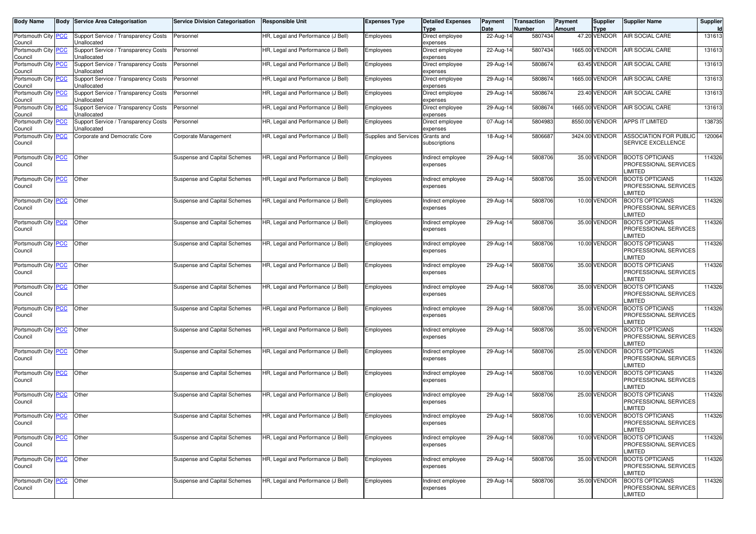| <b>Body Name</b>                      | <b>Body</b> | <b>Service Area Categorisation</b>                  | <b>Service Division Categorisation</b> | <b>Responsible Unit</b>            | <b>Expenses Type</b>  | <b>Detailed Expenses</b><br><b>Type</b> | Payment<br>Date | Transaction<br>Number | Payment<br>Supplier<br>Amount<br>Type | <b>Supplier Name</b>                                              | Supplier |
|---------------------------------------|-------------|-----------------------------------------------------|----------------------------------------|------------------------------------|-----------------------|-----------------------------------------|-----------------|-----------------------|---------------------------------------|-------------------------------------------------------------------|----------|
| Portsmouth City <b>PCC</b><br>Council |             | Support Service / Transparency Costs<br>Unallocated | Personnel                              | HR, Legal and Performance (J Bell) | Employees             | Direct employee<br>expenses             | 22-Aug-14       | 5807434               | 47.20 VENDOR                          | <b>AIR SOCIAL CARE</b>                                            | 131613   |
| Portsmouth City PCC<br>Council        |             | Support Service / Transparency Costs<br>Jnallocated | Personnel                              | HR, Legal and Performance (J Bell) | Employees             | Direct employee<br>expenses             | 22-Aug-14       | 5807434               | 1665.00 VENDOR                        | <b>AIR SOCIAL CARE</b>                                            | 13161    |
| Portsmouth City PCC<br>Council        |             | Support Service / Transparency Costs<br>Jnallocated | Personnel                              | HR, Legal and Performance (J Bell) | Employees             | Direct employee<br>expenses             | 29-Aug-1        | 580867                | 63.45 VENDOR                          | <b>AIR SOCIAL CARE</b>                                            | 13161    |
| Portsmouth City PCC<br>Council        |             | Support Service / Transparency Costs<br>Jnallocated | Personnel                              | HR, Legal and Performance (J Bell) | Employees             | Direct employee<br>expenses             | 29-Aug-14       | 580867                | 1665.00 VENDOR                        | <b>AIR SOCIAL CARE</b>                                            | 13161    |
| Portsmouth City PCC<br>Council        |             | Support Service / Transparency Costs<br>Jnallocated | Personnel                              | HR, Legal and Performance (J Bell) | Employees             | Direct employee<br>expenses             | 29-Aug-14       | 580867                | 23.40 VENDOR                          | <b>AIR SOCIAL CARE</b>                                            | 13161    |
| Portsmouth City <b>PCC</b><br>Council |             | Support Service / Transparency Costs<br>Jnallocated | Personnel                              | HR, Legal and Performance (J Bell) | Employees             | Direct employee<br>expenses             | 29-Aug-1        | 580867                | 1665.00 VENDOR                        | <b>AIR SOCIAL CARE</b>                                            | 13161    |
| Portsmouth City PCC<br>Council        |             | Support Service / Transparency Costs<br>Jnallocated | Personnel                              | HR, Legal and Performance (J Bell) | Employees             | Direct employee<br>expenses             | 07-Aug-14       | 5804983               | 8550.00 VENDOR                        | <b>APPS IT LIMITED</b>                                            | 138735   |
| Portsmouth City PCC<br>Council        |             | Corporate and Democratic Core                       | Corporate Management                   | HR, Legal and Performance (J Bell) | Supplies and Services | Grants and<br>subscriptions             | 18-Aug-14       | 5806687               | 3424.00 VENDOR                        | <b>ASSOCIATION FOR PUBLIC</b><br>SERVICE EXCELLENCE               | 120064   |
| Portsmouth City PCC<br>Council        |             | Other                                               | Suspense and Capital Schemes           | HR, Legal and Performance (J Bell) | Employees             | Indirect employee<br>expenses           | 29-Aug-1        | 5808706               | 35.00 VENDOR                          | <b>BOOTS OPTICIANS</b><br>PROFESSIONAL SERVICES<br>LIMITED        | 114326   |
| Portsmouth City PCC<br>Council        |             | Other                                               | Suspense and Capital Schemes           | HR, Legal and Performance (J Bell) | Employees             | Indirect employee<br>expenses           | 29-Aug-1        | 5808706               | 35.00 VENDOR                          | <b>BOOTS OPTICIANS</b><br>PROFESSIONAL SERVICES<br>LIMITED        | 114326   |
| Portsmouth City PCC<br>Council        |             | Other                                               | Suspense and Capital Schemes           | HR, Legal and Performance (J Bell) | Employees             | Indirect employee<br>expenses           | 29-Aug-1        | 5808706               | 10.00 VENDOR                          | <b>BOOTS OPTICIANS</b><br>PROFESSIONAL SERVICES<br>LIMITED        | 114326   |
| Portsmouth City PCC<br>Council        |             | Other                                               | Suspense and Capital Schemes           | HR, Legal and Performance (J Bell) | Employees             | Indirect employee<br>expenses           | 29-Aug-1        | 5808706               | 35.00 VENDOR                          | <b>BOOTS OPTICIANS</b><br>PROFESSIONAL SERVICES<br>LIMITED        | 114326   |
| Portsmouth City PCC<br>Council        |             | Other                                               | Suspense and Capital Schemes           | HR, Legal and Performance (J Bell) | Employees             | Indirect employee<br>expenses           | 29-Aug-1        | 5808706               | 10.00 VENDOR                          | <b>BOOTS OPTICIANS</b><br>PROFESSIONAL SERVICES<br>LIMITED        | 114326   |
| Portsmouth City PCC<br>Council        |             | Other                                               | Suspense and Capital Schemes           | HR, Legal and Performance (J Bell) | Employees             | Indirect employee<br>expenses           | 29-Aug-1        | 5808706               | 35.00 VENDOR                          | <b>BOOTS OPTICIANS</b><br>PROFESSIONAL SERVICES<br>LIMITED        | 114326   |
| Portsmouth City PCC<br>Council        |             | Other                                               | Suspense and Capital Schemes           | HR, Legal and Performance (J Bell) | Employees             | Indirect employee<br>expenses           | 29-Aug-1        | 5808706               | 35.00 VENDOR                          | <b>BOOTS OPTICIANS</b><br>PROFESSIONAL SERVICES<br>LIMITED        | 114326   |
| Portsmouth City PCC<br>Council        |             | Other                                               | Suspense and Capital Schemes           | HR, Legal and Performance (J Bell) | Employees             | Indirect employee<br>expenses           | 29-Aug-1        | 5808706               | 35.00 VENDOR                          | <b>BOOTS OPTICIANS</b><br>PROFESSIONAL SERVICES<br>LIMITED        | 114326   |
| Portsmouth City <b>PCC</b><br>Council |             | Other                                               | Suspense and Capital Schemes           | HR, Legal and Performance (J Bell) | Employees             | Indirect employee<br>expenses           | 29-Aug-14       | 5808706               | 35.00 VENDOR                          | <b>BOOTS OPTICIANS</b><br>PROFESSIONAL SERVICES<br>LIMITED        | 114326   |
| Portsmouth City <b>PCC</b><br>Council |             | Other                                               | Suspense and Capital Schemes           | HR, Legal and Performance (J Bell) | Employees             | Indirect employee<br>expenses           | 29-Aug-14       | 5808706               | 25.00 VENDOR                          | <b>BOOTS OPTICIANS</b><br>PROFESSIONAL SERVICES<br>LIMITED        | 114326   |
| Portsmouth City <b>PCC</b><br>Council |             | Other                                               | Suspense and Capital Schemes           | HR, Legal and Performance (J Bell) | Employees             | Indirect employee<br>expenses           | 29-Aug-14       | 5808706               | 10.00 VENDOR                          | <b>BOOTS OPTICIANS</b><br>PROFESSIONAL SERVICES<br>LIMITED        | 114326   |
| Portsmouth City <b>PCC</b><br>Council |             | Other                                               | Suspense and Capital Schemes           | HR, Legal and Performance (J Bell) | Employees             | Indirect employee<br>expenses           | 29-Aug-14       | 5808706               | 25.00 VENDOR                          | <b>BOOTS OPTICIANS</b><br>PROFESSIONAL SERVICES<br>LIMITED        | 114326   |
| Portsmouth City PCC Other<br>Council  |             |                                                     | Suspense and Capital Schemes           | HR, Legal and Performance (J Bell) | Employees             | Indirect employee<br>expenses           | 29-Aug-14       | 5808706               | 10.00 VENDOR                          | <b>BOOTS OPTICIANS</b><br>PROFESSIONAL SERVICES<br><b>LIMITED</b> | 114326   |
| Portsmouth City PCC Other<br>Council  |             |                                                     | Suspense and Capital Schemes           | HR, Legal and Performance (J Bell) | Employees             | Indirect employee<br>expenses           | 29-Aug-14       | 5808706               | 10.00 VENDOR                          | <b>BOOTS OPTICIANS</b><br>PROFESSIONAL SERVICES<br><b>LIMITED</b> | 114326   |
| Portsmouth City <b>PCC</b><br>Council |             | Other                                               | Suspense and Capital Schemes           | HR, Legal and Performance (J Bell) | Employees             | Indirect employee<br>expenses           | 29-Aug-14       | 5808706               | 35.00 VENDOR                          | <b>BOOTS OPTICIANS</b><br>PROFESSIONAL SERVICES<br><b>LIMITED</b> | 114326   |
| Portsmouth City PCC<br>Council        |             | Other                                               | Suspense and Capital Schemes           | HR, Legal and Performance (J Bell) | Employees             | Indirect employee<br>expenses           | 29-Aug-14       | 5808706               | 35.00 VENDOR                          | <b>BOOTS OPTICIANS</b><br>PROFESSIONAL SERVICES<br><b>LIMITED</b> | 114326   |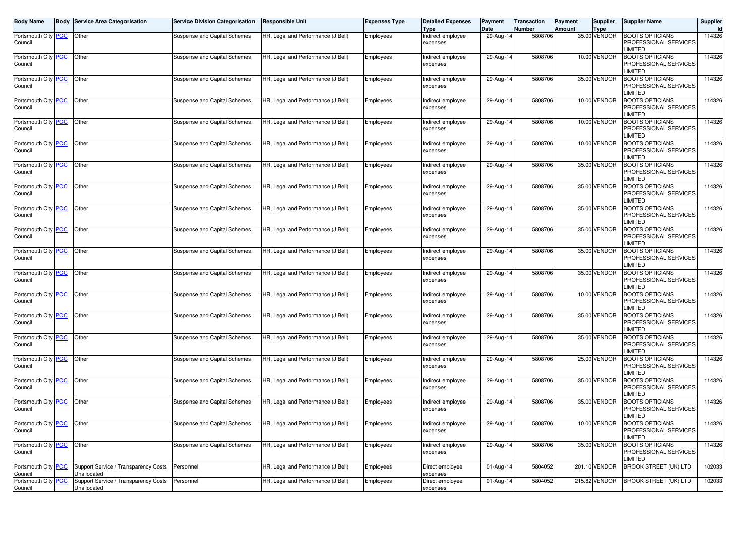| Body Name                             | <b>Body Service Area Categorisation</b>             | <b>Service Division Categorisation</b> | <b>Responsible Unit</b>            | Expenses Type | <b>Detailed Expenses</b><br>Type | Payment<br>Date | Transaction<br>Number | Payment<br><b>Amount</b> | Supplier<br><b>Type</b> | <b>Supplier Name</b>                                              | Supplier<br>Id |
|---------------------------------------|-----------------------------------------------------|----------------------------------------|------------------------------------|---------------|----------------------------------|-----------------|-----------------------|--------------------------|-------------------------|-------------------------------------------------------------------|----------------|
| Portsmouth City PCC<br>Council        | Other                                               | Suspense and Capital Schemes           | HR, Legal and Performance (J Bell) | Employees     | Indirect employee<br>expenses    | 29-Aug-14       | 5808706               |                          | 35.00 VENDOR            | <b>BOOTS OPTICIANS</b><br>PROFESSIONAL SERVICES<br><b>IMITED</b>  | 114326         |
| Portsmouth City PCC<br>Council        | Other                                               | Suspense and Capital Schemes           | HR, Legal and Performance (J Bell) | Employees     | Indirect employee<br>expenses    | 29-Aug-14       | 5808706               |                          | 10.00 VENDOR            | <b>BOOTS OPTICIANS</b><br>PROFESSIONAL SERVICES<br><b>LIMITED</b> | 114326         |
| Portsmouth City PCC<br>Council        | Other                                               | Suspense and Capital Schemes           | HR, Legal and Performance (J Bell) | Employees     | Indirect employee<br>expenses    | 29-Aug-14       | 5808706               |                          | 35.00 VENDOR            | <b>BOOTS OPTICIANS</b><br>PROFESSIONAL SERVICES<br><b>LIMITED</b> | 114326         |
| Portsmouth City PCC<br>Council        | Other                                               | Suspense and Capital Schemes           | HR, Legal and Performance (J Bell) | Employees     | Indirect employee<br>expenses    | 29-Aug-14       | 5808706               |                          | 10.00 VENDOR            | <b>BOOTS OPTICIANS</b><br>PROFESSIONAL SERVICES<br><b>LIMITED</b> | 114326         |
| Portsmouth City PCC<br>Council        | Other                                               | Suspense and Capital Schemes           | HR, Legal and Performance (J Bell) | Employees     | Indirect employee<br>expenses    | 29-Aug-14       | 5808706               |                          | 10.00 VENDOR            | <b>BOOTS OPTICIANS</b><br>PROFESSIONAL SERVICES<br><b>LIMITED</b> | 114326         |
| Portsmouth City PCC<br>Council        | Other                                               | Suspense and Capital Schemes           | HR, Legal and Performance (J Bell) | Employees     | Indirect employee<br>expenses    | 29-Aug-14       | 5808706               |                          | 10.00 VENDOR            | <b>BOOTS OPTICIANS</b><br>PROFESSIONAL SERVICES<br><b>LIMITED</b> | 114326         |
| Portsmouth City PCC<br>Council        | Other                                               | Suspense and Capital Schemes           | HR, Legal and Performance (J Bell) | Employees     | Indirect employee<br>expenses    | 29-Aug-14       | 5808706               |                          | 35.00 VENDOR            | <b>BOOTS OPTICIANS</b><br>PROFESSIONAL SERVICES<br><b>IMITED</b>  | 114326         |
| Portsmouth City PCC<br>Council        | Other                                               | Suspense and Capital Schemes           | HR, Legal and Performance (J Bell) | Employees     | Indirect employee<br>expenses    | $29$ -Aug-14    | 5808706               |                          | 35.00 VENDOR            | <b>BOOTS OPTICIANS</b><br>PROFESSIONAL SERVICES<br><b>LIMITED</b> | 114326         |
| Portsmouth City PCC<br>Council        | Other                                               | Suspense and Capital Schemes           | HR, Legal and Performance (J Bell) | Employees     | Indirect employee<br>expenses    | 29-Aug-14       | 5808706               |                          | 35.00 VENDOR            | <b>BOOTS OPTICIANS</b><br>PROFESSIONAL SERVICES<br><b>LIMITED</b> | 114326         |
| Portsmouth City PCC<br>Council        | Other                                               | Suspense and Capital Schemes           | HR, Legal and Performance (J Bell) | Employees     | Indirect employee<br>expenses    | 29-Aug-14       | 5808706               |                          | 35.00 VENDOR            | <b>BOOTS OPTICIANS</b><br>PROFESSIONAL SERVICES<br><b>LIMITED</b> | 114326         |
| Portsmouth City PCC<br>Council        | Other                                               | Suspense and Capital Schemes           | HR, Legal and Performance (J Bell) | Employees     | Indirect employee<br>expenses    | 29-Aug-14       | 5808706               |                          | 35.00 VENDOR            | <b>BOOTS OPTICIANS</b><br>PROFESSIONAL SERVICES<br><b>LIMITED</b> | 114326         |
| Portsmouth City PCC<br>Council        | Other                                               | Suspense and Capital Schemes           | HR, Legal and Performance (J Bell) | Employees     | Indirect employee<br>expenses    | 29-Aug-14       | 5808706               |                          | 35.00 VENDOR            | <b>BOOTS OPTICIANS</b><br>PROFESSIONAL SERVICES<br><b>IMITED</b>  | 114326         |
| Portsmouth City PCC<br>Council        | Other                                               | Suspense and Capital Schemes           | HR, Legal and Performance (J Bell) | Employees     | Indirect employee<br>expenses    | 29-Aug-14       | 5808706               |                          | 10.00 VENDOR            | <b>BOOTS OPTICIANS</b><br>PROFESSIONAL SERVICES<br><b>LIMITED</b> | 114326         |
| Portsmouth City PCC<br>Council        | Other                                               | Suspense and Capital Schemes           | HR, Legal and Performance (J Bell) | Employees     | Indirect employee<br>expenses    | 29-Aug-14       | 5808706               |                          | 35.00 VENDOR            | <b>BOOTS OPTICIANS</b><br>PROFESSIONAL SERVICES<br><b>IMITED</b>  | 114326         |
| Portsmouth City PCC<br>Council        | Other                                               | Suspense and Capital Schemes           | HR, Legal and Performance (J Bell) | Employees     | Indirect employee<br>expenses    | 29-Aug-14       | 5808706               |                          | 35.00 VENDOR            | <b>BOOTS OPTICIANS</b><br>PROFESSIONAL SERVICES<br><b>IMITED</b>  | 114326         |
| Portsmouth City PCC<br>Council        | Other                                               | Suspense and Capital Schemes           | HR, Legal and Performance (J Bell) | Employees     | Indirect employee<br>expenses    | 29-Aug-14       | 5808706               |                          | 25.00 VENDOR            | <b>BOOTS OPTICIANS</b><br>PROFESSIONAL SERVICES<br><b>LIMITED</b> | 114326         |
| Portsmouth City PCC<br>Council        | Other                                               | Suspense and Capital Schemes           | HR, Legal and Performance (J Bell) | Employees     | Indirect employee<br>expenses    | 29-Aug-14       | 5808706               |                          | 35.00 VENDOR            | <b>BOOTS OPTICIANS</b><br>PROFESSIONAL SERVICES<br><b>IMITED</b>  | 114326         |
| Portsmouth City PCC<br>Council        | Other                                               | Suspense and Capital Schemes           | HR, Legal and Performance (J Bell) | Employees     | Indirect employee<br>expenses    | 29-Aug-14       | 5808706               |                          | 35.00 VENDOR            | <b>BOOTS OPTICIANS</b><br>PROFESSIONAL SERVICES<br>LIMITED        | 114326         |
| Portsmouth City <b>PCC</b><br>Council | <b>Other</b>                                        | Suspense and Capital Schemes           | HR, Legal and Pertormance (J Bell) | Employees     | Indirect employee<br>expenses    | 29-Aug-14       | 5808706               |                          | 10.00 VENDOR            | <b>BOOTS OPTICIANS</b><br>PROFESSIONAL SERVICES<br><b>LIMITED</b> | 114326         |
| Portsmouth City PCC<br>Council        | Other                                               | Suspense and Capital Schemes           | HR, Legal and Performance (J Bell) | Employees     | Indirect employee<br>expenses    | 29-Aug-14       | 5808706               |                          | 35.00 VENDOR            | <b>BOOTS OPTICIANS</b><br>PROFESSIONAL SERVICES<br><b>LIMITED</b> | 114326         |
| Portsmouth City PCC<br>Council        | Support Service / Transparency Costs<br>Unallocated | Personnel                              | HR, Legal and Performance (J Bell) | Employees     | Direct employee<br>expenses      | 01-Aug-14       | 5804052               |                          | 201.10 VENDOR           | <b>BROOK STREET (UK) LTD</b>                                      | 102033         |
| Portsmouth City PCC<br>Council        | Support Service / Transparency Costs<br>Unallocated | Personnel                              | HR, Legal and Performance (J Bell) | Employees     | Direct employee<br>expenses      | 01-Aug-14       | 5804052               |                          | 215.82 VENDOR           | <b>BROOK STREET (UK) LTD</b>                                      | 102033         |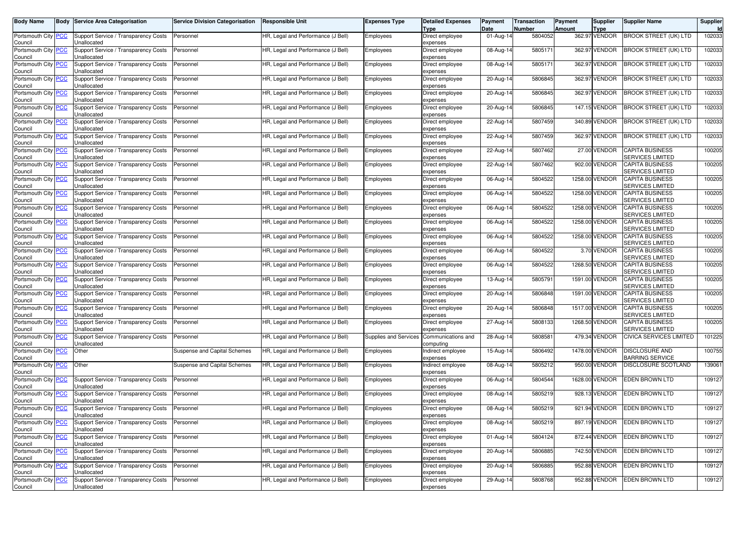| <b>Body Name</b>                      | Body Service Area Categorisation                    | <b>Service Division Categorisation</b> | Responsible Unit                   | <b>Expenses Type</b>  | <b>Detailed Expenses</b><br>Type | Payment<br>Date | Transaction<br>Number | Payment<br>Amount | <b>Supplier</b><br>Type | Supplier Name                                     | Supplier<br>ld I |
|---------------------------------------|-----------------------------------------------------|----------------------------------------|------------------------------------|-----------------------|----------------------------------|-----------------|-----------------------|-------------------|-------------------------|---------------------------------------------------|------------------|
| Portsmouth City PCC<br>Council        | Support Service / Transparency Costs<br>Unallocated | Personnel                              | HR, Legal and Performance (J Bell) | Employees             | Direct employee<br>expenses      | 01-Aug-14       | 5804052               |                   | 362.97 VENDOR           | <b>BROOK STREET (UK) LTD</b>                      | 102033           |
| Portsmouth City PCC<br>Council        | Support Service / Transparency Costs<br>Jnallocated | Personnel                              | HR, Legal and Performance (J Bell) | Employees             | Direct employee<br>expenses      | 08-Aug-14       | 5805171               |                   | 362.97 VENDOR           | <b>BROOK STREET (UK) LTD</b>                      | 102033           |
| Portsmouth City   PCC<br>Council      | Support Service / Transparency Costs<br>Jnallocated | Personnel                              | HR, Legal and Performance (J Bell) | Employees             | Direct employee<br>expenses      | 08-Aug-14       | 5805171               |                   | 362.97 VENDOR           | BROOK STREET (UK) LTD                             | 102033           |
| Portsmouth City   PCC<br>Council      | Support Service / Transparency Costs<br>Unallocated | Personnel                              | HR, Legal and Performance (J Bell) | Employees             | Direct employee<br>expenses      | 20-Aug-14       | 5806845               |                   | 362.97 VENDOR           | BROOK STREET (UK) LTD                             | 102033           |
| Portsmouth City PCC<br>Council        | Support Service / Transparency Costs<br>Jnallocated | Personnel                              | HR, Legal and Performance (J Bell) | Employees             | Direct employee<br>expenses      | 20-Aug-14       | 5806845               |                   | 362.97 VENDOR           | <b>BROOK STREET (UK) LTD</b>                      | 102033           |
| Portsmouth City PCC<br>Council        | Support Service / Transparency Costs<br>Jnallocated | Personnel                              | HR, Legal and Performance (J Bell) | Employees             | Direct employee<br>expenses      | 20-Aug-14       | 5806845               |                   | 147.15 VENDOR           | BROOK STREET (UK) LTD                             | 102033           |
| Portsmouth City   PCC<br>Council      | Support Service / Transparency Costs<br>Unallocated | Personnel                              | HR, Legal and Performance (J Bell) | Employees             | Direct employee<br>expenses      | 22-Aug-14       | 5807459               |                   | 340.89 VENDOR           | BROOK STREET (UK) LTD                             | 102033           |
| Portsmouth City PCC<br>Council        | Support Service / Transparency Costs<br>Jnallocated | Personnel                              | HR, Legal and Performance (J Bell) | Employees             | Direct employee<br>expenses      | 22-Aug-14       | 5807459               |                   | 362.97 VENDOR           | <b>BROOK STREET (UK) LTD</b>                      | 102033           |
| Portsmouth City PCC<br>Council        | Support Service / Transparency Costs<br>Jnallocated | Personnel                              | HR, Legal and Performance (J Bell) | Employees             | Direct employee<br>expenses      | 22-Aug-14       | 5807462               |                   | 27.00 VENDOR            | <b>CAPITA BUSINESS</b><br><b>SERVICES LIMITED</b> | 100205           |
| Portsmouth City   PCC<br>Council      | Support Service / Transparency Costs<br>Unallocated | Personnel                              | HR, Legal and Performance (J Bell) | Employees             | Direct employee<br>expenses      | 22-Aug-14       | 5807462               |                   | 902.00 VENDOR           | <b>CAPITA BUSINESS</b><br>SERVICES LIMITED        | 100205           |
| Portsmouth City PCC<br>Council        | Support Service / Transparency Costs<br>Jnallocated | Personnel                              | HR, Legal and Performance (J Bell) | Employees             | Direct employee<br>expenses      | 06-Aug-14       | 5804522               |                   | 1258.00 VENDOR          | <b>CAPITA BUSINESS</b><br>SERVICES LIMITED        | 100205           |
| Portsmouth City PCC<br>Council        | Support Service / Transparency Costs<br>Jnallocated | Personnel                              | HR, Legal and Performance (J Bell) | Employees             | Direct employee<br>expenses      | 06-Aug-14       | 5804522               |                   | 1258.00 VENDOR          | <b>CAPITA BUSINESS</b><br>SERVICES LIMITED        | 100205           |
| Portsmouth City PCC<br>Council        | Support Service / Transparency Costs<br>Jnallocated | Personnel                              | HR, Legal and Performance (J Bell) | Employees             | Direct employee<br>expenses      | 06-Aug-14       | 5804522               |                   | 1258.00 VENDOR          | <b>CAPITA BUSINESS</b><br>SERVICES LIMITED        | 100205           |
| Portsmouth City PCC<br>Council        | Support Service / Transparency Costs<br>Jnallocated | Personnel                              | HR, Legal and Performance (J Bell) | Employees             | Direct employee<br>expenses      | 06-Aug-14       | 5804522               |                   | 1258.00 VENDOR          | <b>CAPITA BUSINESS</b><br>SERVICES LIMITED        | 100205           |
| Portsmouth City PCC<br>Council        | Support Service / Transparency Costs<br>Jnallocated | Personnel                              | HR, Legal and Performance (J Bell) | Employees             | Direct employee<br>expenses      | 06-Aug-14       | 5804522               |                   | 1258.00 VENDOR          | <b>CAPITA BUSINESS</b><br>SERVICES LIMITED        | 100205           |
| Portsmouth City PCC<br>Council        | Support Service / Transparency Costs<br>Jnallocated | Personnel                              | HR, Legal and Performance (J Bell) | Employees             | Direct employee<br>expenses      | 06-Aug-14       | 5804522               |                   | 3.70 VENDOR             | <b>CAPITA BUSINESS</b><br>SERVICES LIMITED        | 100205           |
| Portsmouth City   PCC<br>Council      | Support Service / Transparency Costs<br>Unallocated | Personnel                              | HR, Legal and Performance (J Bell) | Employees             | Direct employee<br>expenses      | 06-Aug-14       | 5804522               |                   | 1268.50 VENDOR          | <b>CAPITA BUSINESS</b><br>SERVICES LIMITED        | 100205           |
| Portsmouth City   PCC<br>Council      | Support Service / Transparency Costs<br>Jnallocated | Personnel                              | HR, Legal and Performance (J Bell) | Employees             | Direct employee<br>expenses      | 13-Aug-14       | 5805791               |                   | 1591.00 VENDOR          | <b>CAPITA BUSINESS</b><br>SERVICES LIMITED        | 100205           |
| Portsmouth City PCC<br>Council        | Support Service / Transparency Costs<br>Unallocated | Personnel                              | HR, Legal and Performance (J Bell) | Employees             | Direct employee<br>expenses      | 20-Aug-14       | 5806848               |                   | 1591.00 VENDOR          | <b>CAPITA BUSINESS</b><br><b>SERVICES LIMITED</b> | 100205           |
| Portsmouth City PCC<br>Council        | Support Service / Transparency Costs<br>Jnallocated | Personnel                              | HR, Legal and Performance (J Bell) | Employees             | Direct employee<br>expenses      | 20-Aug-14       | 5806848               |                   | 1517.00 VENDOR          | <b>CAPITA BUSINESS</b><br>SERVICES LIMITED        | 100205           |
| Portsmouth City PCC<br>Council        | Support Service / Transparency Costs<br>Jnallocated | Personnel                              | HR, Legal and Performance (J Bell) | Employees             | Direct employee<br>expenses      | 27-Aug-14       | 5808133               |                   | 1268.50 VENDOR          | <b>CAPITA BUSINESS</b><br>SERVICES LIMITED        | 100205           |
| Portsmouth City PCC<br>Council        | Support Service / Transparency Costs<br>Unallocated | Personnel                              | HR, Legal and Performance (J Bell) | Supplies and Services | Communications and<br>computing  | 28-Aug-14       | 5808581               |                   | 479.34 VENDOR           | <b>CIVICA SERVICES LIMITED</b>                    | 101225           |
| Portsmouth City   PCC<br>Council      | Other                                               | Suspense and Capital Schemes           | HR, Legal and Performance (J Bell) | Employees             | Indirect employee<br>expenses    | 15-Aug-14       | 5806492               |                   | 1478.00 VENDOR          | <b>DISCLOSURE AND</b><br><b>BARRING SERVICE</b>   | 100755           |
| Portsmouth City PCC<br>Council        | Other                                               | Suspense and Capital Schemes           | HR, Legal and Performance (J Bell) | Employees             | Indirect employee<br>expenses    | 08-Aug-14       | 5805212               |                   | 950.00 VENDOR           | <b>DISCLOSURE SCOTLAND</b>                        | 139061           |
| Portsmouth City PCC<br>Council        | Support Service / Transparency Costs<br>Unallocated | Personnel                              | HR, Legal and Performance (J Bell) | Employees             | Direct employee<br>expenses      | 06-Aug-14       | 5804544               |                   | 1628.00 VENDOR          | <b>EDEN BROWN LTD</b>                             | 109127           |
| Portsmouth City PCC<br>Council        | Support Service / Transparency Costs<br>Jnallocated | Personnel                              | HR, Legal and Performance (J Bell) | Employees             | Direct employee<br>expenses      | 08-Aug-14       | 5805219               |                   | 928.13 VENDOR           | <b>EDEN BROWN LTD</b>                             | 109127           |
| Portsmouth City PCC<br>Council        | Support Service / Transparency Costs<br>Unallocated | Personnel                              | HR, Legal and Performance (J Bell) | Employees             | Direct employee<br>expenses      | 08-Aug-14       | 5805219               |                   | 921.94 VENDOR           | <b>EDEN BROWN LTD</b>                             | 109127           |
| Portsmouth City <b>PCC</b><br>Council | Support Service / Transparency Costs<br>Unallocated | Personnel                              | HR, Legal and Performance (J Bell) | Employees             | Direct employee<br>expenses      | 08-Aug-14       | 5805219               |                   | 897.19 VENDOR           | EDEN BROWN LTD                                    | 109127           |
| Portsmouth City PCC<br>Council        | Support Service / Transparency Costs<br>Unallocated | Personnel                              | HR, Legal and Performance (J Bell) | Employees             | Direct employee<br>expenses      | 01-Aug-14       | 5804124               |                   | 872.44 VENDOR           | <b>EDEN BROWN LTD</b>                             | 109127           |
| Portsmouth City PCC<br>Council        | Support Service / Transparency Costs<br>Unallocated | Personnel                              | HR, Legal and Performance (J Bell) | Employees             | Direct employee<br>expenses      | 20-Aug-14       | 5806885               |                   | 742.50 VENDOR           | EDEN BROWN LTD                                    | 109127           |
| Portsmouth City PCC<br>Council        | Support Service / Transparency Costs<br>Unallocated | Personnel                              | HR, Legal and Performance (J Bell) | Employees             | Direct employee<br>expenses      | 20-Aug-14       | 5806885               |                   | 952.88 VENDOR           | <b>EDEN BROWN LTD</b>                             | 109127           |
| Portsmouth City PCC<br>Council        | Support Service / Transparency Costs<br>Unallocated | Personnel                              | HR, Legal and Performance (J Bell) | Employees             | Direct employee<br>expenses      | 29-Aug-14       | 5808768               |                   | 952.88 VENDOR           | EDEN BROWN LTD                                    | 109127           |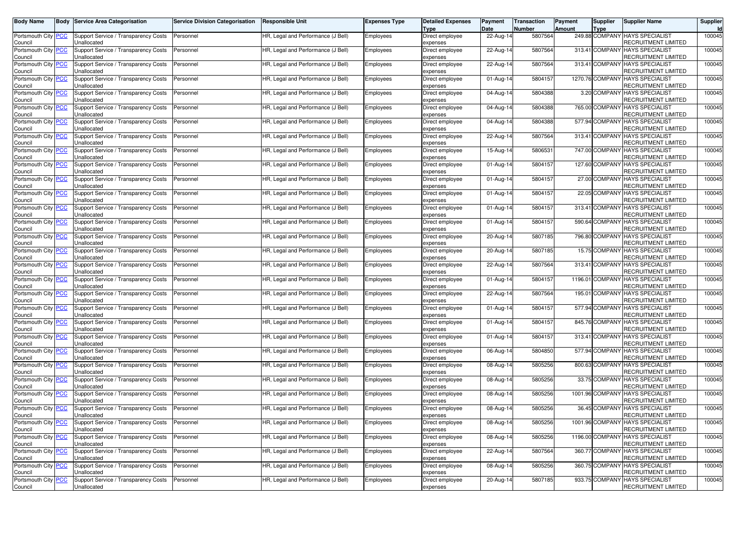| Body Name                                     | Body Service Area Categorisation                           | <b>Service Division Categorisation</b> | <b>Responsible Unit</b>            | <b>Expenses Type</b> | <b>Detailed Expenses</b><br>Гуре | Payment<br>Date | <b>Transaction</b><br>Number | Payment<br><b>Amount</b> | Supplier<br>Type | <b>Supplier Name</b>                                          | Supplier |
|-----------------------------------------------|------------------------------------------------------------|----------------------------------------|------------------------------------|----------------------|----------------------------------|-----------------|------------------------------|--------------------------|------------------|---------------------------------------------------------------|----------|
| Portsmouth City <b>PCC</b><br>Council         | Support Service / Transparency Costs<br>Unallocated        | Personnel                              | HR, Legal and Performance (J Bell) | Employees            | Direct employee<br>expenses      | 22-Aug-14       | 5807564                      |                          |                  | 249.88 COMPANY HAYS SPECIALIST<br>RECRUITMENT LIMITED         | 100045   |
| Portsmouth City PCC<br>Council                | Support Service / Transparency Costs<br>Jnallocated        | Personnel                              | HR, Legal and Performance (J Bell) | Employees            | Direct employee<br>expenses      | 22-Aug-14       | 5807564                      |                          | 313.41 COMPAN    | <b>HAYS SPECIALIST</b><br>RECRUITMENT LIMITED                 | 100045   |
| Portsmouth City <b>PCC</b><br>Council         | Support Service / Transparency Costs<br>Jnallocated        | Personnel                              | HR, Legal and Performance (J Bell) | Employees            | Direct employee<br>expenses      | 22-Aug-14       | 5807564                      |                          |                  | 313.41 COMPANY HAYS SPECIALIST<br>RECRUITMENT LIMITED         | 100045   |
| Portsmouth City <b>PCC</b><br>Council         | Support Service / Transparency Costs<br>Jnallocated        | Personnel                              | HR, Legal and Performance (J Bell) | Employees            | Direct employee<br>expenses      | 01-Aug-14       | 5804157                      |                          |                  | 1270.76 COMPANY HAYS SPECIALIST<br>RECRUITMENT LIMITED        | 100045   |
| Portsmouth City PCC<br>Council                | Support Service / Transparency Costs<br>Unallocated        | Personnel                              | HR, Legal and Performance (J Bell) | Employees            | Direct employee<br>expenses      | 04-Aug-14       | 5804388                      |                          | 3.20 COMPAN      | <b>HAYS SPECIALIST</b><br>RECRUITMENT LIMITED                 | 100045   |
| Portsmouth City <b>PCC</b><br>Council         | Support Service / Transparency Costs<br>Jnallocated        | Personnel                              | HR, Legal and Performance (J Bell) | Employees            | Direct employee<br>expenses      | 04-Aug-14       | 5804388                      |                          |                  | 765.00 COMPANY HAYS SPECIALIST<br>RECRUITMENT LIMITED         | 100045   |
| Portsmouth City PCC<br>Council                | Support Service / Transparency Costs<br>Jnallocated        | Personnel                              | HR, Legal and Performance (J Bell) | Employees            | Direct employee<br>expenses      | 04-Aug-14       | 5804388                      |                          |                  | 577.94 COMPANY HAYS SPECIALIST<br>RECRUITMENT LIMITED         | 100045   |
| Portsmouth City <b>PCC</b><br>Council         | Support Service / Transparency Costs<br>Unallocated        | Personnel                              | HR, Legal and Performance (J Bell) | Employees            | Direct employee<br>expenses      | 22-Aug-14       | 5807564                      |                          | 313.41 COMPANY   | <b>HAYS SPECIALIST</b><br>RECRUITMENT LIMITED                 | 100045   |
| Portsmouth City PCC<br>Council                | Support Service / Transparency Costs<br>Jnallocated        | Personnel                              | HR, Legal and Performance (J Bell) | Employees            | Direct employee<br>expenses      | 15-Aug-14       | 580653                       |                          |                  | 747.00 COMPANY HAYS SPECIALIST<br>RECRUITMENT LIMITED         | 10004    |
| Portsmouth City <b>PCC</b><br>Council         | Support Service / Transparency Costs<br>Unallocated        | Personnel                              | HR, Legal and Performance (J Bell) | Employees            | Direct employee<br>expenses      | 01-Aug-14       | 5804157                      |                          | 127.60 COMPANY   | <b>HAYS SPECIALIST</b><br>RECRUITMENT LIMITED                 | 100045   |
| Portsmouth City <b>PCC</b><br>Council         | Support Service / Transparency Costs<br>Unallocated        | Personnel                              | HR, Legal and Performance (J Bell) | Employees            | Direct employee<br>expenses      | 01-Aug-14       | 5804157                      |                          | 27.00 COMPANY    | <b>HAYS SPECIALIST</b><br>RECRUITMENT LIMITED                 | 100045   |
| Portsmouth City <b>PCC</b><br>Council         | Support Service / Transparency Costs<br>Jnallocated        | Personnel                              | HR, Legal and Performance (J Bell) | Employees            | Direct employee<br>expenses      | 01-Aug-14       | 5804157                      |                          |                  | 22.05 COMPANY HAYS SPECIALIST<br>RECRUITMENT LIMITED          | 10004    |
| Portsmouth City PCC<br>Council                | <b>Support Service / Transparency Costs</b><br>Jnallocated | Personnel                              | HR, Legal and Performance (J Bell) | Employees            | Direct employee<br>expenses      | 01-Aug-14       | 5804157                      |                          |                  | 313.41 COMPANY HAYS SPECIALIST<br>RECRUITMENT LIMITED         | 100045   |
| Portsmouth City PCC<br>Council                | Support Service / Transparency Costs<br>Unallocated        | Personnel                              | HR, Legal and Performance (J Bell) | Employees            | Direct employee<br>expenses      | 01-Aug-14       | 5804157                      |                          | 590.64 COMPAN    | <b>HAYS SPECIALIST</b><br>RECRUITMENT LIMITED                 | 100045   |
| Portsmouth City PCC<br>Council                | Support Service / Transparency Costs<br>Jnallocated        | Personnel                              | HR, Legal and Performance (J Bell) | Employees            | Direct employee<br>expenses      | 20-Aug-14       | 5807185                      |                          |                  | 796.80 COMPANY HAYS SPECIALIST<br>RECRUITMENT LIMITED         | 10004    |
| Portsmouth City <b>PCC</b><br>Council         | Support Service / Transparency Costs<br>Jnallocated        | Personnel                              | HR, Legal and Performance (J Bell) | Employees            | Direct employee<br>expenses      | 20-Aug-14       | 5807185                      |                          |                  | 15.75 COMPANY HAYS SPECIALIST<br>RECRUITMENT LIMITED          | 100045   |
| Portsmouth City PCC<br>Council                | Support Service / Transparency Costs<br>Unallocated        | Personnel                              | HR, Legal and Performance (J Bell) | Employees            | Direct employee<br>expenses      | 22-Aug-14       | 5807564                      |                          | 313.41 COMPANY   | <b>HAYS SPECIALIST</b><br>RECRUITMENT LIMITED                 | 100045   |
| Portsmouth City PCC<br>Council                | Support Service / Transparency Costs<br>Jnallocated        | Personnel                              | HR, Legal and Performance (J Bell) | Employees            | Direct employee<br>expenses      | 01-Aug-14       | 5804157                      |                          |                  | 1196.01 COMPANY HAYS SPECIALIST<br>RECRUITMENT LIMITED        | 10004    |
| Portsmouth City PCC<br>Council                | Support Service / Transparency Costs<br>Jnallocated        | Personnel                              | HR, Legal and Performance (J Bell) | Employees            | Direct employee<br>expenses      | 22-Aug-14       | 5807564                      |                          |                  | 195.01 COMPANY HAYS SPECIALIST<br>RECRUITMENT LIMITED         | 100045   |
| Portsmouth City PCC<br>Council                | Support Service / Transparency Costs<br>Jnallocated        | Personnel                              | HR, Legal and Performance (J Bell) | Employees            | Direct employee<br>expenses      | 01-Aug-14       | 5804157                      |                          | 577.94 COMPANY   | <b>HAYS SPECIALIST</b><br>RECRUITMENT LIMITED                 | 100045   |
| Portsmouth City PCC<br>Council                | Support Service / Transparency Costs<br>Jnallocated        | Personnel                              | HR, Legal and Performance (J Bell) | Employees            | Direct employee<br>expenses      | 01-Aug-14       | 5804157                      |                          |                  | 845.76 COMPANY HAYS SPECIALIST<br>RECRUITMENT LIMITED         | 10004    |
| Portsmouth City <b>PCC</b><br>Council         | Support Service / Transparency Costs<br>Unallocated        | Personnel                              | HR, Legal and Performance (J Bell) | Employees            | Direct employee<br>expenses      | 01-Aug-14       | 5804157                      |                          |                  | 313.41 COMPANY HAYS SPECIALIST<br>RECRUITMENT LIMITED         | 100045   |
| Portsmouth City PCC<br>Council                | Support Service / Transparency Costs<br>Jnallocated        | Personnel                              | HR, Legal and Performance (J Bell) | Employees            | Direct employee<br>expenses      | 06-Aug-14       | 5804850                      |                          | 577.94 COMPANY   | <b>HAYS SPECIALIST</b><br>RECRUITMENT LIMITED                 | 100045   |
| Portsmouth City PCC<br>Council                | Support Service / Transparency Costs<br>Unallocated        | Personnel                              | HR, Legal and Performance (J Bell) | Employees            | Direct employee<br>expenses      | 08-Aug-14       | 5805256                      |                          | 800.63 COMPANY   | <b>HAYS SPECIALIST</b><br>RECRUITMENT LIMITED                 | 100045   |
| Portsmouth City PCC<br>Council                | Support Service / Transparency Costs<br>Unallocated        | Personnel                              | HR, Legal and Performance (J Bell) | Employees            | Direct employee<br>expenses      | 08-Aug-14       | 5805256                      |                          |                  | 33.75 COMPANY HAYS SPECIALIST<br>RECRUITMENT LIMITED          | 100045   |
| Portsmouth City PCC<br>Council                | Support Service / Transparency Costs<br>Inallocated        | Personnel                              | HR, Legal and Performance (J Bell) | Employees            | Direct employee<br>expenses      | 08-Aug-14       | 5805256                      |                          | 1001.96 COMPANY  | <b>HAYS SPECIALIST</b><br>RECRUITMENT LIMITED                 | 100045   |
| Portsmouth City PCC<br>Council                | Support Service / Transparency Costs<br>Unallocated        | Personnel                              | HR, Legal and Performance (J Bell) | Employees            | Direct employee<br>expenses      | 08-Aug-14       | 5805256                      |                          | 36.45 COMPANY    | <b>HAYS SPECIALIST</b><br>RECRUITMENT LIMITED                 | 100045   |
| Portsmouth City   <mark>PCC</mark><br>Council | Support Service / Transparency Costs<br>Unallocated        | Personnel                              | HR, Legal and Performance (J Bell) | Employees            | Direct employee<br>expenses      | 08-Aug-14       | 5805256                      |                          |                  | 1001.96 COMPANY HAYS SPECIALIST<br><b>RECRUITMENT LIMITED</b> | 100045   |
| Portsmouth City PCC<br>Council                | Support Service / Transparency Costs<br>Unallocated        | Personnel                              | HR, Legal and Performance (J Bell) | Employees            | Direct employee<br>expenses      | 08-Aug-14       | 5805256                      |                          |                  | 1196.00 COMPANY HAYS SPECIALIST<br>RECRUITMENT LIMITED        | 100045   |
| Portsmouth City PCC<br>Council                | Support Service / Transparency Costs<br>Unallocated        | Personnel                              | HR, Legal and Performance (J Bell) | Employees            | Direct employee<br>expenses      | 22-Aug-14       | 5807564                      |                          |                  | 360.77 COMPANY HAYS SPECIALIST<br>RECRUITMENT LIMITED         | 100045   |
| Portsmouth City PCC<br>Council                | Support Service / Transparency Costs<br>Unallocated        | Personnel                              | HR, Legal and Performance (J Bell) | Employees            | Direct employee<br>expenses      | 08-Aug-14       | 5805256                      |                          |                  | 360.75 COMPANY HAYS SPECIALIST<br>RECRUITMENT LIMITED         | 100045   |
| Portsmouth City PCC<br>Council                | Support Service / Transparency Costs<br>Jnallocated        | Personnel                              | HR, Legal and Performance (J Bell) | Employees            | Direct employee<br>expenses      | 20-Aug-14       | 5807185                      |                          |                  | 933.75 COMPANY HAYS SPECIALIST<br>RECRUITMENT LIMITED         | 100045   |
|                                               |                                                            |                                        |                                    |                      |                                  |                 |                              |                          |                  |                                                               |          |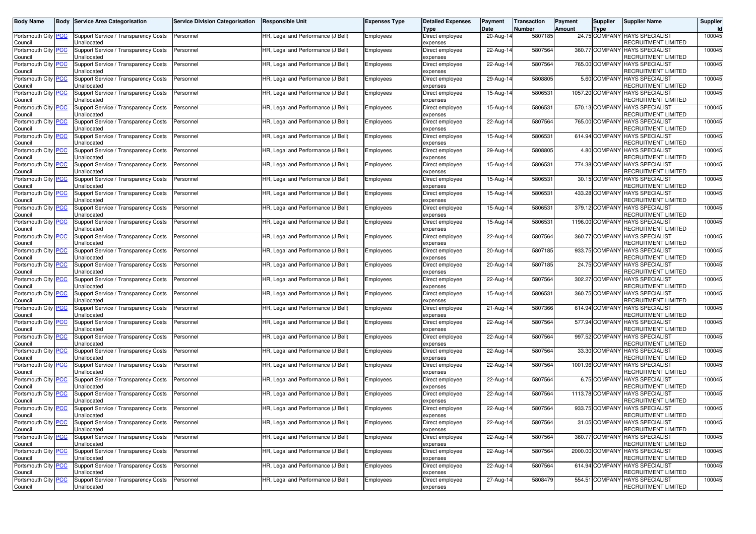| Body Name                               |            | <b>Body Service Area Categorisation</b>             | <b>Service Division Categorisation</b> | <b>Responsible Unit</b>            | <b>Expenses Type</b> | <b>Detailed Expenses</b><br>Type | Payment<br>Date | Transaction<br>Number | Payment<br><b>Amount</b> | Supplier<br><b>Type</b> | <b>Supplier Name</b>                                         | Supplier<br>Id |
|-----------------------------------------|------------|-----------------------------------------------------|----------------------------------------|------------------------------------|----------------------|----------------------------------|-----------------|-----------------------|--------------------------|-------------------------|--------------------------------------------------------------|----------------|
| Portsmouth City <b>PCC</b><br>Council   |            | Support Service / Transparency Costs<br>Unallocated | Personnel                              | HR, Legal and Performance (J Bell) | Employees            | Direct employee<br>expenses      | 20-Aug-14       | 5807185               |                          |                         | 24.75 COMPANY HAYS SPECIALIST<br>RECRUITMENT LIMITED         | 100045         |
| Portsmouth City<br>Council              | <u>'CC</u> | Support Service / Transparency Costs<br>Unallocated | Personnel                              | HR, Legal and Performance (J Bell) | Employees            | Direct employee<br>expenses      | 22-Aug-14       | 5807564               |                          | 360.77 COMPANY          | <b>HAYS SPECIALIST</b><br>RECRUITMENT LIMITED                | 100045         |
| Portsmouth City PCC<br>Council          |            | Support Service / Transparency Costs<br>Unallocated | Personnel                              | HR, Legal and Performance (J Bell) | Employees            | Direct employee<br>expenses      | 22-Aug-14       | 5807564               |                          |                         | 765.00 COMPANY HAYS SPECIALIST<br>RECRUITMENT LIMITED        | 100045         |
| Portsmouth City PCC<br>Council          |            | Support Service / Transparency Costs<br>Unallocated | Personnel                              | HR, Legal and Performance (J Bell) | Employees            | Direct employee<br>expenses      | 29-Aug-14       | 5808805               |                          |                         | 5.60 COMPANY HAYS SPECIALIST<br>RECRUITMENT LIMITED          | 100045         |
| Portsmouth City<br>Council              | <u>'CC</u> | Support Service / Transparency Costs<br>Unallocated | Personnel                              | HR, Legal and Performance (J Bell) | Employees            | Direct employee<br>expenses      | 15-Aug-14       | 5806531               |                          | 1057.20 COMPANY         | <b>HAYS SPECIALIST</b><br>RECRUITMENT LIMITED                | 100045         |
| Portsmouth City PCC<br>Council          |            | Support Service / Transparency Costs<br>Unallocated | Personnel                              | HR, Legal and Performance (J Bell) | Employees            | Direct employee<br>expenses      | 15-Aug-14       | 5806531               |                          |                         | 570.13 COMPANY HAYS SPECIALIST<br><b>RECRUITMENT LIMITED</b> | 100045         |
| Portsmouth City PCC<br>Council          |            | Support Service / Transparency Costs<br>Unallocated | Personnel                              | HR, Legal and Performance (J Bell) | Employees            | Direct employee<br>expenses      | 22-Aug-14       | 5807564               |                          |                         | 765.00 COMPANY HAYS SPECIALIST<br>RECRUITMENT LIMITED        | 100045         |
| Portsmouth City<br>Council              | <b>PCC</b> | Support Service / Transparency Costs<br>Unallocated | Personnel                              | HR, Legal and Performance (J Bell) | Employees            | Direct employee<br>expenses      | 15-Aug-14       | 5806531               |                          | 614.94 COMPANY          | <b>HAYS SPECIALIST</b><br>RECRUITMENT LIMITED                | 100045         |
| Portsmouth City<br>Council              | <b>PCC</b> | Support Service / Transparency Costs<br>Jnallocated | Personnel                              | HR, Legal and Performance (J Bell) | Employees            | Direct employee<br>expenses      | 29-Aug-14       | 5808805               |                          | 4.80 COMPANY            | <b>HAYS SPECIALIST</b><br>RECRUITMENT LIMITED                | 100045         |
| Portsmouth City PCC<br>Council          |            | Support Service / Transparency Costs<br>Unallocated | Personnel                              | HR, Legal and Performance (J Bell) | Employees            | Direct employee<br>expenses      | 15-Aug-14       | 5806531               |                          |                         | 774.38 COMPANY HAYS SPECIALIST<br>RECRUITMENT LIMITED        | 100045         |
| Portsmouth City<br>Council              | <u>'CC</u> | Support Service / Transparency Costs<br>Unallocated | Personnel                              | HR, Legal and Performance (J Bell) | Employees            | Direct employee<br>expenses      | 15-Aug-14       | 5806531               |                          |                         | 30.15 COMPANY HAYS SPECIALIST<br>RECRUITMENT LIMITED         | 100045         |
| Portsmouth City<br>Council              | <b>PCC</b> | Support Service / Transparency Costs<br>Unallocated | Personnel                              | HR, Legal and Performance (J Bell) | Employees            | Direct employee<br>expenses      | 15-Aug-14       | 5806531               |                          |                         | 433.28 COMPANY HAYS SPECIALIST<br>RECRUITMENT LIMITED        | 100045         |
| Portsmouth City PCC<br>Council          |            | Support Service / Transparency Costs<br>Unallocated | Personnel                              | HR, Legal and Performance (J Bell) | Employees            | Direct employee<br>expenses      | 15-Aug-14       | 5806531               |                          |                         | 379.12 COMPANY HAYS SPECIALIST<br>RECRUITMENT LIMITED        | 100045         |
| Portsmouth City<br>Council              | <u>PCC</u> | Support Service / Transparency Costs<br>Unallocated | Personnel                              | HR, Legal and Performance (J Bell) | Employees            | Direct employee<br>expenses      | 15-Aug-14       | 5806531               |                          | 1196.00 COMPANY         | <b>HAYS SPECIALIST</b><br>RECRUITMENT LIMITED                | 100045         |
| Portsmouth City<br>Council              | <b>PCC</b> | Support Service / Transparency Costs<br>Unallocated | Personnel                              | HR, Legal and Performance (J Bell) | Employees            | Direct employee<br>expenses      | 22-Aug-14       | 5807564               |                          |                         | 360.77 COMPANY HAYS SPECIALIST<br>RECRUITMENT LIMITED        | 100045         |
| Portsmouth City PCC<br>Council          |            | Support Service / Transparency Costs<br>Unallocated | Personnel                              | HR, Legal and Performance (J Bell) | Employees            | Direct employee<br>expenses      | 20-Aug-14       | 5807185               |                          | 933.75 COMPANY          | <b>HAYS SPECIALIST</b><br>RECRUITMENT LIMITED                | 100045         |
| Portsmouth City<br>Council              | <b>PCC</b> | Support Service / Transparency Costs<br>Unallocated | Personnel                              | HR, Legal and Performance (J Bell) | Employees            | Direct employee<br>expenses      | 20-Aug-14       | 5807185               |                          |                         | 24.75 COMPANY HAYS SPECIALIST<br>RECRUITMENT LIMITED         | 100045         |
| Portsmouth City<br>Council              | <b>PCC</b> | Support Service / Transparency Costs<br>Unallocated | Personnel                              | HR, Legal and Performance (J Bell) | Employees            | Direct employee<br>expenses      | 22-Aug-14       | 5807564               |                          |                         | 302.27 COMPANY HAYS SPECIALIST<br>RECRUITMENT LIMITED        | 100045         |
| Portsmouth City<br>Council              | <b>PCC</b> | Support Service / Transparency Costs<br>Unallocated | Personnel                              | HR, Legal and Performance (J Bell) | Employees            | Direct employee<br>expenses      | 15-Aug-14       | 5806531               |                          | 360.75 COMPANY          | <b>HAYS SPECIALIST</b><br>RECRUITMENT LIMITED                | 100045         |
| Portsmouth City PCC<br>Council          |            | Support Service / Transparency Costs<br>Jnallocated | Personnel                              | HR, Legal and Performance (J Bell) | Employees            | Direct employee<br>expenses      | 21-Aug-14       | 5807366               |                          |                         | 614.94 COMPANY HAYS SPECIALIST<br>RECRUITMENT LIMITED        | 100045         |
| Portsmouth City<br>Council              | <u>PCC</u> | Support Service / Transparency Costs<br>Unallocated | Personnel                              | HR, Legal and Performance (J Bell) | Employees            | Direct employee<br>expenses      | 22-Aug-14       | 5807564               |                          | 577.94 COMPANY          | <b>HAYS SPECIALIST</b><br>RECRUITMENT LIMITED                | 100045         |
| Portsmouth City PCC<br>Council          |            | Support Service / Transparency Costs<br>Unallocated | Personnel                              | HR, Legal and Performance (J Bell) | Employees            | Direct employee<br>expenses      | 22-Aug-14       | 5807564               |                          |                         | 997.52 COMPANY HAYS SPECIALIST<br>RECRUITMENT LIMITED        | 100045         |
| Portsmouth City   PCC<br>Council        |            | Support Service / Transparency Costs<br>Jnallocated | Personnel                              | HR, Legal and Performance (J Bell) | Employees            | Direct employee<br>expenses      | 22-Aug-14       | 5807564               |                          | 33.30 COMPANY           | <b>HAYS SPECIALIST</b><br>RECRUITMENT LIMITED                | 100045         |
| Portsmouth City<br>Council              | <u>PCC</u> | Support Service / Transparency Costs<br>Unallocated | Personnel                              | HR, Legal and Performance (J Bell) | Employees            | Direct employee<br>expenses      | 22-Aug-14       | 5807564               |                          | 1001.96 COMPANY         | <b>HAYS SPECIALIST</b><br>RECRUITMENT LIMITED                | 100045         |
| Portsmouth City PCC<br>Council          |            | Support Service / Transparency Costs<br>Unallocated | Personnel                              | HR, Legal and Performance (J Bell) | Employees            | Direct employee<br>expenses      | 22-Aug-14       | 5807564               |                          |                         | 6.75 COMPANY HAYS SPECIALIST<br>RECRUITMENT LIMITED          | 100045         |
| Portsmouth City<br>Council              | <b>PCC</b> | Support Service / Transparency Costs<br>Jnallocated | Personnel                              | HR, Legal and Performance (J Bell) | Employees            | Direct employee<br>expenses      | 22-Aug-14       | 5807564               |                          | 1113.78 COMPANY         | <b>HAYS SPECIALIST</b><br>RECRUITMENT LIMITED                | 100045         |
| Portsmouth City<br>Council              | <u>PCC</u> | Support Service / Transparency Costs<br>Unallocated | Personnel                              | HR, Legal and Performance (J Bell) | Employees            | Direct employee<br>expenses      | 22-Aug-14       | 5807564               |                          | 933.75 COMPANY          | <b>HAYS SPECIALIST</b><br>RECRUITMENT LIMITED                | 100045         |
| Portsmouth City   <u>PCC</u><br>Council |            | Support Service / Transparency Costs<br>Unallocated | Personnel                              | HR, Legal and Performance (J Bell) | Employees            | Direct employee<br>expenses      | 22-Aug-14       | 5807564               |                          |                         | 31.05 COMPANY HAYS SPECIALIST<br>RECRUITMENT LIMITED         | 100045         |
| Portsmouth City PCC<br>Council          |            | Support Service / Transparency Costs<br>Unallocated | Personnel                              | HR, Legal and Performance (J Bell) | Employees            | Direct employee<br>expenses      | $22-Aug-14$     | 5807564               |                          |                         | 360.77 COMPANY HAYS SPECIALIST<br>RECRUITMENT LIMITED        | 100045         |
| Portsmouth City PCC<br>Council          |            | Support Service / Transparency Costs<br>Unallocated | Personnel                              | HR, Legal and Performance (J Bell) | Employees            | Direct employee<br>expenses      | 22-Aug-14       | 5807564               |                          |                         | 2000.00 COMPANY HAYS SPECIALIST<br>RECRUITMENT LIMITED       | 100045         |
| Portsmouth City PCC<br>Council          |            | Support Service / Transparency Costs<br>Unallocated | Personnel                              | HR, Legal and Performance (J Bell) | Employees            | Direct employee<br>expenses      | 22-Aug-14       | 5807564               |                          |                         | 614.94 COMPANY HAYS SPECIALIST<br>RECRUITMENT LIMITED        | 100045         |
| Portsmouth City PCC<br>Council          |            | Support Service / Transparency Costs<br>Unallocated | Personnel                              | HR, Legal and Performance (J Bell) | Employees            | Direct employee<br>expenses      | 27-Aug-14       | 5808479               |                          | 554.51 COMPANY          | <b>HAYS SPECIALIST</b><br>RECRUITMENT LIMITED                | 100045         |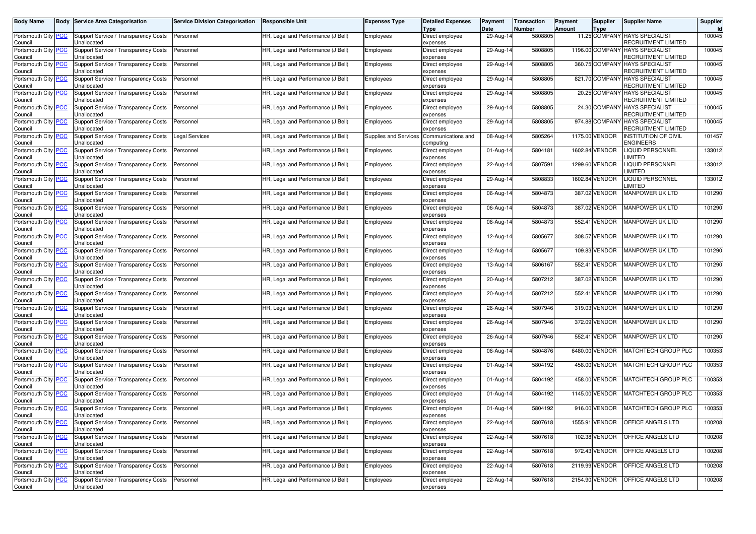| <b>Body Name</b>                      | <b>Body Service Area Categorisation</b>             | <b>Service Division Categorisation</b> | <b>Responsible Unit</b>            | <b>Expenses Type</b>  | <b>Detailed Expenses</b><br><b>Type</b> | Payment<br>Date | <b>Transaction</b><br>Number | Payment<br>Amount | Supplier<br><b>Type</b> | <b>Supplier Name</b>                                  | Supplier<br>Id |
|---------------------------------------|-----------------------------------------------------|----------------------------------------|------------------------------------|-----------------------|-----------------------------------------|-----------------|------------------------------|-------------------|-------------------------|-------------------------------------------------------|----------------|
| Portsmouth City   PCC<br>Council      | Support Service / Transparency Costs<br>Unallocated | Personnel                              | HR, Legal and Performance (J Bell) | Employees             | Direct employee<br>expenses             | 29-Aug-14       | 5808805                      |                   |                         | 11.25 COMPANY HAYS SPECIALIST<br>RECRUITMENT LIMITED  | 100045         |
| Portsmouth City PCC<br>Council        | Support Service / Transparency Costs<br>Jnallocated | Personnel                              | HR, Legal and Performance (J Bell) | Employees             | Direct employee<br>expenses             | 29-Aug-14       | 5808805                      |                   | 1196.00 COMPANY         | <b>HAYS SPECIALIST</b><br>RECRUITMENT LIMITED         | 100045         |
| Portsmouth City PCC<br>Council        | Support Service / Transparency Costs<br>Jnallocated | Personnel                              | HR, Legal and Performance (J Bell) | Employees             | Direct employee<br>expenses             | 29-Aug-14       | 5808805                      |                   |                         | 360.75 COMPANY HAYS SPECIALIST<br>RECRUITMENT LIMITED | 100045         |
| Portsmouth City   PCC<br>Council      | Support Service / Transparency Costs<br>Jnallocated | Personnel                              | HR, Legal and Performance (J Bell) | Employees             | Direct employee<br>expenses             | 29-Aug-14       | 5808805                      |                   |                         | 821.70 COMPANY HAYS SPECIALIST<br>RECRUITMENT LIMITED | 100045         |
| Portsmouth City PCC<br>Council        | Support Service / Transparency Costs<br>Unallocated | Personnel                              | HR, Legal and Performance (J Bell) | Employees             | Direct employee<br>expenses             | 29-Aug-14       | 5808805                      |                   | 20.25 COMPANY           | <b>HAYS SPECIALIST</b><br>RECRUITMENT LIMITED         | 100045         |
| Portsmouth City PCC<br>Council        | Support Service / Transparency Costs<br>Jnallocated | Personnel                              | HR, Legal and Performance (J Bell) | Employees             | Direct employee<br>expenses             | 29-Aug-14       | 5808805                      |                   |                         | 24.30 COMPANY HAYS SPECIALIST<br>RECRUITMENT LIMITED  | 100045         |
| Portsmouth City PCC<br>Council        | Support Service / Transparency Costs<br>Jnallocated | Personnel                              | HR, Legal and Performance (J Bell) | Employees             | Direct employee<br>expenses             | 29-Aug-14       | 5808805                      |                   |                         | 974.88 COMPANY HAYS SPECIALIST<br>RECRUITMENT LIMITED | 100045         |
| Portsmouth City <b>PCC</b><br>Council | Support Service / Transparency Costs<br>Unallocated | Legal Services                         | HR, Legal and Performance (J Bell) | Supplies and Services | Communications and<br>computing         | 08-Aug-14       | 5805264                      |                   | 1175.00 VENDOR          | <b>INSTITUTION OF CIVIL</b><br><b>ENGINEERS</b>       | 101457         |
| Portsmouth City PCC<br>Council        | Support Service / Transparency Costs<br>Jnallocated | Personnel                              | HR, Legal and Performance (J Bell) | Employees             | Direct employee<br>expenses             | 01-Aug-14       | 5804181                      |                   | 1602.84 VENDOR          | <b>LIQUID PERSONNEL</b><br><b>IMITED</b>              | 133012         |
| Portsmouth City PCC<br>Council        | Support Service / Transparency Costs<br>Unallocated | Personnel                              | HR, Legal and Performance (J Bell) | Employees             | Direct employee<br>expenses             | 22-Aug-14       | 5807591                      |                   | 1299.60 VENDOR          | <b>LIQUID PERSONNEL</b><br>LIMITED                    | 133012         |
| Portsmouth City   PCC<br>Council      | Support Service / Transparency Costs<br>Jnallocated | Personnel                              | HR, Legal and Performance (J Bell) | Employees             | Direct employee<br>expenses             | 29-Aug-14       | 5808833                      |                   | 1602.84 VENDOR          | <b>LIQUID PERSONNEL</b><br><b>IMITED</b>              | 133012         |
| Portsmouth City PCC<br>Council        | Support Service / Transparency Costs<br>Jnallocated | Personnel                              | HR, Legal and Performance (J Bell) | Employees             | Direct employee<br>expenses             | 06-Aug-14       | 5804873                      |                   | 387.02 VENDOR           | MANPOWER UK LTD                                       | 101290         |
| Portsmouth City   PCC<br>Council      | Support Service / Transparency Costs<br>Jnallocated | Personnel                              | HR, Legal and Performance (J Bell) | Employees             | Direct employee<br>expenses             | 06-Aug-14       | 5804873                      |                   | 387.02 VENDOR           | <b>MANPOWER UK LTD</b>                                | 101290         |
| Portsmouth City   PCC<br>Council      | Support Service / Transparency Costs<br>Jnallocated | Personnel                              | HR, Legal and Performance (J Bell) | Employees             | Direct employee<br>expenses             | 06-Aug-14       | 5804873                      |                   | 552.41 VENDOR           | <b>MANPOWER UK LTD</b>                                | 101290         |
| Portsmouth City PCC<br>Council        | Support Service / Transparency Costs<br>Jnallocated | Personnel                              | HR, Legal and Performance (J Bell) | Employees             | Direct employee<br>expenses             | 12-Aug-14       | 5805677                      |                   | 308.57 VENDOR           | <b>MANPOWER UK LTD</b>                                | 101290         |
| Portsmouth City PCC<br>Council        | Support Service / Transparency Costs<br>Unallocated | Personnel                              | HR, Legal and Performance (J Bell) | Employees             | Direct employee<br>expenses             | 12-Aug-14       | 5805677                      |                   | 109.83 VENDOR           | <b>MANPOWER UK LTD</b>                                | 101290         |
| Portsmouth City <b>PCC</b><br>Council | Support Service / Transparency Costs<br>Unallocated | Personnel                              | HR, Legal and Performance (J Bell) | Employees             | Direct employee<br>expenses             | 13-Aug-14       | 5806167                      |                   | 552.41 VENDOR           | MANPOWER UK LTD                                       | 101290         |
| Portsmouth City PCC<br>Council        | Support Service / Transparency Costs<br>Jnallocated | Personnel                              | HR, Legal and Performance (J Bell) | Employees             | Direct employee<br>expenses             | 20-Aug-14       | 5807212                      |                   | 387.02 VENDOR           | MANPOWER UK LTD                                       | 101290         |
| Portsmouth City PCC<br>Council        | Support Service / Transparency Costs<br>Unallocated | Personnel                              | HR, Legal and Performance (J Bell) | Employees             | Direct employee<br>expenses             | 20-Aug-14       | 5807212                      |                   | 552.41 VENDOR           | MANPOWER UK LTD                                       | 101290         |
| Portsmouth City PCC<br>Council        | Support Service / Transparency Costs<br>Jnallocated | Personnel                              | HR, Legal and Performance (J Bell) | Employees             | Direct employee<br>expenses             | 26-Aug-14       | 5807946                      |                   | 319.03 VENDOR           | MANPOWER UK LTD                                       | 101290         |
| Portsmouth City   PCC<br>Council      | Support Service / Transparency Costs<br>Jnallocated | Personnel                              | HR, Legal and Performance (J Bell) | Employees             | Direct employee<br>expenses             | 26-Aug-14       | 5807946                      |                   | 372.09 VENDOR           | MANPOWER UK LTD                                       | 101290         |
| Portsmouth City PCC<br>Council        | Support Service / Transparency Costs<br>Unallocated | Personnel                              | HR, Legal and Performance (J Bell) | Employees             | Direct employee<br>expenses             | 26-Aug-14       | 5807946                      |                   | 552.41 VENDOR           | <b>MANPOWER UK LTD</b>                                | 101290         |
| Portsmouth City   PCC<br>Council      | Support Service / Transparency Costs<br>Jnallocated | Personnel                              | HR, Legal and Performance (J Bell) | Employees             | Direct employee<br>expenses             | 06-Aug-14       | 5804876                      |                   | 6480.00 VENDOR          | MATCHTECH GROUP PLC                                   | 100353         |
| Portsmouth City <b>PCC</b><br>Council | Support Service / Transparency Costs<br>Unallocated | Personnel                              | HR, Legal and Performance (J Bell) | Employees             | Direct employee<br>expenses             | 01-Aug-14       | 5804192                      |                   | 458.00 VENDOR           | MATCHTECH GROUP PLC                                   | 100353         |
| Portsmouth City PCC<br>Council        | Support Service / Transparency Costs<br>Unallocated | Personnel                              | HR, Legal and Performance (J Bell) | Employees             | Direct employee<br>expenses             | 01-Aug-14       | 5804192                      |                   | 458.00 VENDOR           | <b>MATCHTECH GROUP PLC</b>                            | 100353         |
| Portsmouth City   PCC<br>Council      | Support Service / Transparency Costs<br>Jnallocated | Personnel                              | HR, Legal and Performance (J Bell) | Employees             | Direct employee<br>expenses             | 01-Aug-14       | 5804192                      |                   | 1145.00 VENDOR          | MATCHTECH GROUP PLC                                   | 100353         |
| Portsmouth City PCC<br>Council        | Support Service / Transparency Costs<br>Unallocated | Personnel                              | HR, Legal and Performance (J Bell) | Employees             | Direct employee<br>expenses             | 01-Aug-14       | 5804192                      |                   | 916.00 VENDOR           | MATCHTECH GROUP PLC                                   | 100353         |
| Portsmouth City   PCC<br>Council      | Support Service / Transparency Costs<br>Unallocated | Personnel                              | HR, Legal and Performance (J Bell) | Employees             | Direct employee<br>expenses             | 22-Aug-14       | 5807618                      |                   | 1555.91 VENDOR          | OFFICE ANGELS LTD                                     | 100208         |
| Portsmouth City PCC<br>Council        | Support Service / Transparency Costs<br>Jnallocated | Personnel                              | HR, Legal and Performance (J Bell) | Employees             | Direct employee<br>expenses             | 22-Aug-14       | 5807618                      |                   | 102.38 VENDOR           | <b>OFFICE ANGELS LTD</b>                              | 100208         |
| Portsmouth City PCC<br>Council        | Support Service / Transparency Costs<br>Unallocated | Personnel                              | HR, Legal and Performance (J Bell) | Employees             | Direct employee<br>expenses             | 22-Aug-14       | 5807618                      |                   | 972.43 VENDOR           | OFFICE ANGELS LTD                                     | 100208         |
| Portsmouth City PCC<br>Council        | Support Service / Transparency Costs<br>Unallocated | Personnel                              | HR, Legal and Performance (J Bell) | Employees             | Direct employee<br>expenses             | 22-Aug-14       | 5807618                      |                   | 2119.99 VENDOR          | <b>OFFICE ANGELS LTD</b>                              | 100208         |
| Portsmouth City PCC<br>Council        | Support Service / Transparency Costs<br>Unallocated | Personnel                              | HR, Legal and Performance (J Bell) | Employees             | Direct employee<br>expenses             | 22-Aug-14       | 5807618                      |                   | 2154.90 VENDOR          | OFFICE ANGELS LTD                                     | 100208         |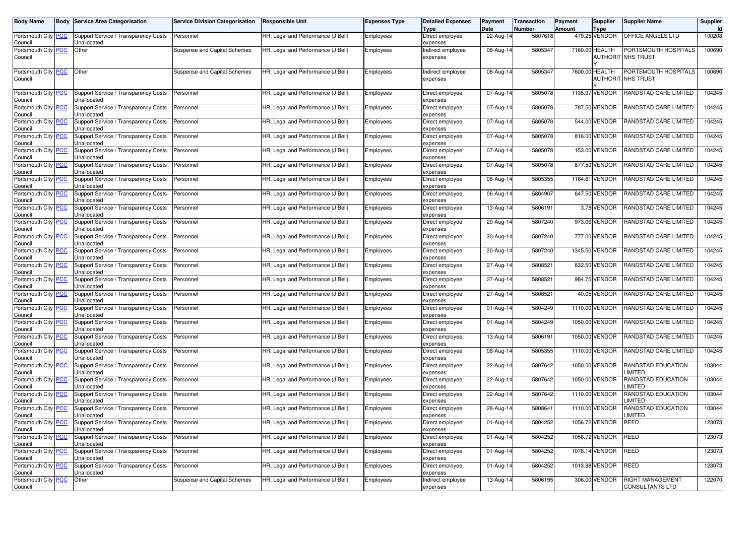| Body Name                                   | <b>Body Service Area Categorisation</b>                                                     | <b>Service Division Categorisation</b> | <b>Responsible Unit</b>            | Expenses Type | <b>Detailed Expenses</b><br>Type | Payment<br>Date | Transaction<br>Number | Payment<br>Amount | Supplier<br>Type                  | <b>Supplier Name</b>                                      | Supplier<br>Id |
|---------------------------------------------|---------------------------------------------------------------------------------------------|----------------------------------------|------------------------------------|---------------|----------------------------------|-----------------|-----------------------|-------------------|-----------------------------------|-----------------------------------------------------------|----------------|
| Portsmouth City <b>PCC</b><br>Council       | Support Service / Transparency Costs<br>Unallocated                                         | Personnel                              | HR, Legal and Performance (J Bell) | Employees     | Direct employee<br>expenses      | 22-Aug-14       | 5807618               |                   | 479.25 VENDOR                     | OFFICE ANGELS LTD                                         | 100208         |
| Portsmouth City PCC<br>Council              | Other                                                                                       | Suspense and Capital Schemes           | HR, Legal and Performance (J Bell) | Employees     | ndirect employee<br>expenses     | 08-Aug-14       | 5805347               |                   | 7160.00 HEALTH                    | PORTSMOUTH HOSPITALS<br><b>AUTHORIT NHS TRUST</b>         | 100690         |
| Portsmouth City PCC<br>Council              | Other                                                                                       | Suspense and Capital Schemes           | HR, Legal and Performance (J Bell) | Employees     | Indirect employee<br>expenses    | 08-Aug-14       | 580534                |                   | 7600.00 HEALTH<br><b>AUTHORIT</b> | PORTSMOUTH HOSPITALS<br><b>NHS TRUST</b>                  | 100690         |
| Portsmouth City PCC<br>Council              | Support Service / Transparency Costs<br>Unallocated                                         | Personnel                              | HR, Legal and Performance (J Bell) | Employees     | Direct employee<br>expenses      | 07-Aug-14       | 5805078               |                   | 1135.97 VENDOR                    | RANDSTAD CARE LIMITED                                     | 104245         |
| Portsmouth City PCC<br>Council              | Support Service / Transparency Costs<br>Unallocated                                         | Personnel                              | HR, Legal and Performance (J Bell) | Employees     | Direct employee<br>expenses      | 07-Aug-14       | 5805078               |                   | 787.50 VENDOR                     | RANDSTAD CARE LIMITED                                     | 104245         |
| Portsmouth City <b>PCC</b><br>Council       | Support Service / Transparency Costs<br>Unallocated                                         | Personnel                              | HR, Legal and Performance (J Bell) | Employees     | Direct employee<br>expenses      | 07-Aug-14       | 5805078               |                   | 544.00 VENDOR                     | RANDSTAD CARE LIMITED                                     | 104245         |
| Portsmouth City PCC<br>Council              | Support Service / Transparency Costs<br>Unallocated                                         | Personnel                              | HR, Legal and Performance (J Bell) | Employees     | Direct employee<br>expenses      | 07-Aug-14       | 5805078               |                   | 816.00 VENDOR                     | RANDSTAD CARE LIMITED                                     | 104245         |
| Portsmouth City PCC<br>Council              | Support Service / Transparency Costs<br>Unallocated                                         | Personnel                              | HR, Legal and Performance (J Bell) | Employees     | Direct employee<br>expenses      | 07-Aug-14       | 5805078               |                   | 153.00 VENDOR                     | RANDSTAD CARE LIMITED                                     | 104245         |
| Portsmouth City <b>PCC</b><br>Council       | Support Service / Transparency Costs<br>Unallocated                                         | Personnel                              | HR, Legal and Performance (J Bell) | Employees     | Direct employee<br>expenses      | 07-Aug-14       | 5805078               |                   | 877.50 VENDOR                     | RANDSTAD CARE LIMITED                                     | 104245         |
| Portsmouth City <b>PCC</b><br>Council       | Support Service / Transparency Costs<br>Unallocated                                         | Personnel                              | HR, Legal and Performance (J Bell) | Employees     | Direct employee<br>expenses      | 08-Aug-14       | 5805355               |                   | 1164.61 VENDOR                    | RANDSTAD CARE LIMITED                                     | 104245         |
| Portsmouth City <b>PCC</b><br>Council       | Support Service / Transparency Costs<br>Unallocated                                         | Personnel                              | HR, Legal and Performance (J Bell) | Employees     | Direct employee<br>expenses      | 06-Aug-14       | 5804907               |                   | 647.50 VENDOR                     | RANDSTAD CARE LIMITED                                     | 104245         |
| Portsmouth City PCC<br>Council              | Support Service / Transparency Costs<br>Unallocated                                         | Personnel                              | HR, Legal and Performance (J Bell) | Employees     | Direct employee<br>expenses      | 13-Aug-14       | 5806191               |                   | 3.78 VENDOR                       | RANDSTAD CARE LIMITED                                     | 104245         |
| Portsmouth City <mark>PCC</mark><br>Council | Support Service / Transparency Costs<br>Unallocated                                         | Personnel                              | HR, Legal and Performance (J Bell) | Employees     | Direct employee<br>expenses      | 20-Aug-14       | 5807240               |                   | 973.06 VENDOR                     | RANDSTAD CARE LIMITED                                     | 104245         |
| Portsmouth City PCC<br>Council              | Support Service / Transparency Costs<br>Jnallocated                                         | Personnel                              | HR, Legal and Performance (J Bell) | Employees     | Direct employee<br>expenses      | 20-Aug-14       | 5807240               |                   | 777.00 VENDOR                     | RANDSTAD CARE LIMITED                                     | 104245         |
| Portsmouth City PCC<br>Council              | Support Service / Transparency Costs<br>Unallocated                                         | Personnel                              | HR, Legal and Performance (J Bell) | Employees     | Direct employee<br>expenses      | 20-Aug-14       | 5807240               |                   | 1345.50 VENDOR                    | RANDSTAD CARE LIMITED                                     | 104245         |
| Portsmouth City <mark>PCC</mark><br>Council | Support Service / Transparency Costs<br>Unallocated                                         | Personnel                              | HR, Legal and Performance (J Bell) | Employees     | Direct employee<br>expenses      | 27-Aug-14       | 5808521               |                   | 832.50 VENDOR                     | RANDSTAD CARE LIMITED                                     | 104245         |
| Portsmouth City <b>PCC</b><br>Council       | Support Service / Transparency Costs<br>Jnallocated                                         | Personnel                              | HR, Legal and Performance (J Bell) | Employees     | Direct employee<br>expenses      | $27$ -Aug-14    | 580852                |                   | 984.75 VENDOR                     | RANDSTAD CARE LIMITED                                     | 104245         |
| Portsmouth City PCC<br>Council              | Support Service / Transparency Costs<br>Unallocated                                         | Personnel                              | HR, Legal and Performance (J Bell) | Employees     | Direct employee<br>expenses      | 27-Aug-14       | 5808521               |                   | 40.05 VENDOR                      | RANDSTAD CARE LIMITED                                     | 104245         |
| Portsmouth City PCC<br>Council              | Support Service / Transparency Costs<br>Unallocated                                         | Personnel                              | HR, Legal and Performance (J Bell) | Employees     | Direct employee<br>expenses      | 01-Aug-14       | 5804249               |                   | 1110.00 VENDOR                    | RANDSTAD CARE LIMITED                                     | 104245         |
| Portsmouth City <mark>PCC</mark><br>Council | Support Service / Transparency Costs<br>Jnallocated                                         | Personnel                              | HR, Legal and Performance (J Bell) | Employees     | Direct employee<br>expenses      | 01-Aug-14       | 5804249               |                   | 1050.00 VENDOR                    | RANDSTAD CARE LIMITED                                     | 104245         |
| Portsmouth City PCC<br>Council              | Support Service / Transparency Costs<br>Unallocated                                         | Personnel                              | HR, Legal and Performance (J Bell) | Employees     | Direct employee<br>expenses      | 13-Aug-14       | 5806191               |                   | 1050.00 VENDOR                    | RANDSTAD CARE LIMITED                                     | 104245         |
| Portsmouth City <mark>PCC</mark><br>Council | Support Service / Transparency Costs<br>Jnallocated                                         | Personnel                              | HR, Legal and Performance (J Bell) | Employees     | Direct employee<br>expenses      | 08-Aug-14       | 5805355               |                   | 1110.00 VENDOR                    | RANDSTAD CARE LIMITED                                     | 104245         |
| Portsmouth City PCC<br>Council              | Support Service / Transparency Costs<br>Unallocated                                         | Personnel                              | HR, Legal and Performance (J Bell) | Employees     | Direct employee<br>expenses      | 22-Aug-14       | 5807642               |                   | 1050.00 VENDOR                    | RANDSTAD EDUCATION<br><b>IMITED</b>                       | 103044         |
| Portsmouth City <b>PCC</b><br>Council       | Support Service / Transparency Costs<br>Unallocated                                         | Personnel                              | HR, Legal and Performance (J Bell) | Employees     | Direct employee<br>expenses      | 22-Aug-14       | 5807642               |                   | 1050.00 VENDOR                    | RANDSTAD EDUCATION<br><b>IMITED</b>                       | 103044         |
| Portsmouth City PCC<br>Council              | Support Service / Transparency Costs<br>Jnallocated                                         | Personnel                              | HR, Legal and Performance (J Bell) | Employees     | Direct employee<br>expenses      | 22-Aug-14       | 5807642               |                   | 1110.00 VENDOR<br>1110.00 VENDOR  | RANDSTAD EDUCATION<br><b>IMITED</b><br>RANDSTAD EDUCATION | 103044         |
| Portsmouth City <b>PCC</b><br>Council       | Support Service / Transparency Costs<br>Unallocated                                         | Personnel                              | HR, Legal and Performance (J Bell) | Employees     | Direct employee<br>expenses      | 28-Aug-14       | 580864                |                   |                                   | LIMITED                                                   | 103044         |
| Portsmouth City_ <u>PCC</u><br>Council      | Support Service / Transparency Costs<br>Unallocated                                         | Personnel                              | HR, Legal and Pertormance (J Bell) | ⊨mployees     | Direct employee<br>expenses      | 01-Aug-14       | 5804252               |                   | 1056.72 VENDOR                    | RFFD                                                      | 123073         |
| Portsmouth City PCC<br>Council              | Support Service / Transparency Costs<br>Unallocated<br>Support Service / Transparency Costs | Personnel<br>Personnel                 | HR, Legal and Performance (J Bell) | Employees     | Direct employee<br>expenses      | 01-Aug-14       | 5804252               |                   | 1056.72 VENDOR<br>1078.14 VENDOR  | REED                                                      | 123073         |
| Portsmouth City PCC<br>Council              | Unallocated                                                                                 |                                        | HR, Legal and Performance (J Bell) | Employees     | Direct employee<br>expenses      | 01-Aug-14       | 5804252               |                   |                                   | REED                                                      | 123073         |
| Portsmouth City PCC<br>Council              | Support Service / Transparency Costs<br>Unallocated                                         | Personnel                              | HR, Legal and Performance (J Bell) | Employees     | Direct employee<br>expenses      | 01-Aug-14       | 5804252               |                   | 1013.88 VENDOR                    | REED                                                      | 123073         |
| Portsmouth City PCC<br>Council              | Other                                                                                       | Suspense and Capital Schemes           | HR, Legal and Performance (J Bell) | Employees     | Indirect employee<br>expenses    | 13-Aug-14       | 5806195               |                   | 306.00 VENDOR                     | RIGHT MANAGEMENT<br><b>CONSULTANTS LTD</b>                | 122070         |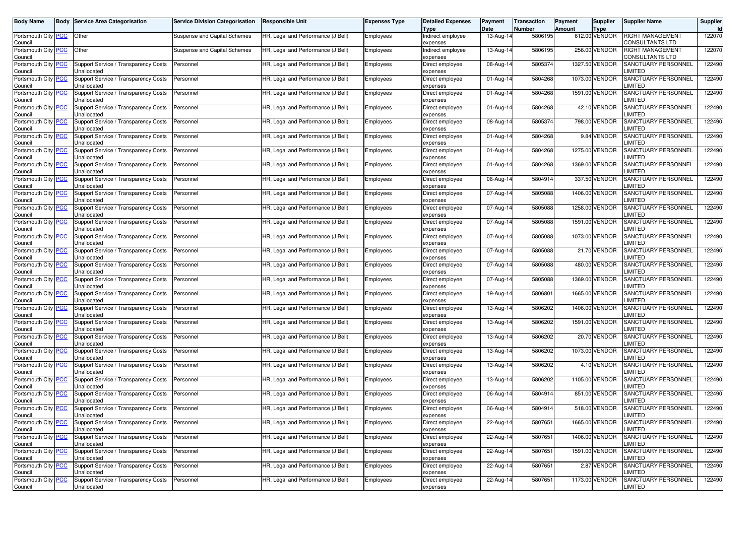| Body Name                                     | Body | <b>Service Area Categorisation</b>                         | <b>Service Division Categorisation</b> | <b>Responsible Unit</b>            | Expenses Type | <b>Detailed Expenses</b><br>Type | Payment<br>Date | <b>Transaction</b><br>Number | Payment<br><b>Amount</b> | <b>Supplier</b><br>Type | Supplier Name                         | Supplier |
|-----------------------------------------------|------|------------------------------------------------------------|----------------------------------------|------------------------------------|---------------|----------------------------------|-----------------|------------------------------|--------------------------|-------------------------|---------------------------------------|----------|
| Portsmouth City <b>PCC</b><br>Council         |      | Other                                                      | Suspense and Capital Schemes           | HR, Legal and Performance (J Bell) | Employees     | Indirect employee<br>expenses    | 13-Aug-14       | 5806195                      |                          | 612.00 VENDOR           | RIGHT MANAGEMENT<br>CONSULTANTS LTD   | 122070   |
| Portsmouth City PCC<br>Council                |      | Other                                                      | Suspense and Capital Schemes           | HR, Legal and Performance (J Bell) | Employees     | ndirect employee<br>expenses     | 13-Aug-14       | 5806195                      |                          | 256.00 VENDOR           | RIGHT MANAGEMENT<br>CONSULTANTS LTD   | 122070   |
| Portsmouth City PCC<br>Council                |      | Support Service / Transparency Costs<br>Jnallocated        | Personnel                              | HR, Legal and Performance (J Bell) | Employees     | Direct employee<br>expenses      | 08-Aug-14       | 5805374                      |                          | 1327.50 VENDOR          | SANCTUARY PERSONNEL<br><b>IMITED</b>  | 122490   |
| Portsmouth City PCC<br>Council                |      | Support Service / Transparency Costs<br>Jnallocated        | Personnel                              | HR, Legal and Performance (J Bell) | Employees     | Direct employee<br>expenses      | 01-Aug-14       | 5804268                      |                          | 1073.00 VENDOR          | SANCTUARY PERSONNEL<br><b>IMITED</b>  | 122490   |
| Portsmouth City PCC<br>Council                |      | Support Service / Transparency Costs<br>Jnallocated        | Personnel                              | HR, Legal and Performance (J Bell) | Employees     | Direct employee<br>expenses      | 01-Aug-14       | 5804268                      |                          | 1591.00 VENDOR          | SANCTUARY PERSONNEL<br><b>IMITED</b>  | 122490   |
| Portsmouth City PCC<br>Council                |      | Support Service / Transparency Costs<br>Jnallocated        | Personnel                              | HR, Legal and Performance (J Bell) | Employees     | Direct employee<br>expenses      | 01-Aug-14       | 5804268                      |                          | 42.10 VENDOR            | SANCTUARY PERSONNEL<br><b>IMITED</b>  | 122490   |
| Portsmouth City PCC<br>Council                |      | Support Service / Transparency Costs<br>Jnallocated        | Personnel                              | HR, Legal and Performance (J Bell) | Employees     | Direct employee<br>expenses      | 08-Aug-14       | 5805374                      |                          | 798.00 VENDOR           | SANCTUARY PERSONNEL<br><b>_IMITED</b> | 122490   |
| Portsmouth City PCC<br>Council                |      | Support Service / Transparency Costs<br>Jnallocated        | Personnel                              | HR, Legal and Performance (J Bell) | Employees     | Direct employee<br>expenses      | 01-Aug-14       | 5804268                      |                          | 9.84 VENDOR             | SANCTUARY PERSONNEL<br><b>IMITED</b>  | 122490   |
| Portsmouth City PCC<br>Council                |      | Support Service / Transparency Costs<br>Jnallocated        | Personnel                              | HR, Legal and Performance (J Bell) | Employees     | Direct employee<br>expenses      | 01-Aug-14       | 5804268                      |                          | 1275.00 VENDOR          | SANCTUARY PERSONNEL<br><b>IMITED</b>  | 122490   |
| Portsmouth City PCC<br>Council                |      | Support Service / Transparency Costs<br>Unallocated        | Personnel                              | HR, Legal and Performance (J Bell) | Employees     | Direct employee<br>expenses      | 01-Aug-14       | 5804268                      |                          | 1369.00 VENDOR          | SANCTUARY PERSONNEL<br><b>_IMITED</b> | 122490   |
| Portsmouth City PCC<br>Council                |      | Support Service / Transparency Costs<br>Jnallocated        | Personnel                              | HR, Legal and Performance (J Bell) | Employees     | Direct employee<br>expenses      | 06-Aug-14       | 5804914                      |                          | 337.50 VENDOR           | SANCTUARY PERSONNEL<br><b>IMITED</b>  | 122490   |
| Portsmouth City PCC<br>Council                |      | Support Service / Transparency Costs<br>Jnallocated        | Personnel                              | HR, Legal and Performance (J Bell) | Employees     | Direct employee<br>expenses      | 07-Aug-14       | 5805088                      |                          | 1406.00 VENDOR          | SANCTUARY PERSONNEL<br><b>IMITED</b>  | 122490   |
| Portsmouth City PCC<br>Council                |      | Support Service / Transparency Costs<br>Jnallocated        | Personnel                              | HR, Legal and Performance (J Bell) | Employees     | Direct employee<br>expenses      | 07-Aug-14       | 5805088                      |                          | 1258.00 VENDOR          | SANCTUARY PERSONNEL<br><b>IMITED</b>  | 122490   |
| Portsmouth City PCC<br>Council                |      | Support Service / Transparency Costs<br>Jnallocated        | Personnel                              | HR, Legal and Performance (J Bell) | Employees     | Direct employee<br>expenses      | 07-Aug-14       | 5805088                      |                          | 1591.00 VENDOR          | SANCTUARY PERSONNEL<br><b>IMITED</b>  | 122490   |
| Portsmouth City PCC<br>Council                |      | Support Service / Transparency Costs<br>Jnallocated        | Personnel                              | HR, Legal and Performance (J Bell) | Employees     | Direct employee<br>expenses      | 07-Aug-14       | 5805088                      |                          | 1073.00 VENDOR          | SANCTUARY PERSONNEL<br><b>IMITED</b>  | 122490   |
| Portsmouth City PCC<br>Council                |      | <b>Support Service / Transparency Costs</b><br>Jnallocated | Personnel                              | HR, Legal and Performance (J Bell) | Employees     | Direct employee<br>expenses      | 07-Aug-14       | 5805088                      |                          | 21.70 VENDOR            | SANCTUARY PERSONNEL<br><b>IMITED</b>  | 122490   |
| Portsmouth City PCC<br>Council                |      | Support Service / Transparency Costs<br>Jnallocated        | Personnel                              | HR, Legal and Performance (J Bell) | Employees     | Direct employee<br>expenses      | 07-Aug-14       | 5805088                      |                          | 480.00 VENDOR           | SANCTUARY PERSONNEL<br><b>IMITED</b>  | 122490   |
| Portsmouth City PCC<br>Council                |      | Support Service / Transparency Costs<br>Jnallocated        | Personnel                              | HR, Legal and Performance (J Bell) | Employees     | Direct employee<br>expenses      | 07-Aug-14       | 5805088                      |                          | 1369.00 VENDOR          | SANCTUARY PERSONNEL<br><b>IMITED</b>  | 122490   |
| Portsmouth City PCC<br>Council                |      | Support Service / Transparency Costs<br>Jnallocated        | Personnel                              | HR, Legal and Performance (J Bell) | Employees     | Direct employee<br>expenses      | 19-Aug-14       | 5806801                      |                          | 1665.00 VENDOR          | SANCTUARY PERSONNEL<br><b>LIMITED</b> | 122490   |
| Portsmouth City <mark>PCC</mark><br>Council   |      | Support Service / Transparency Costs<br>Jnallocated        | Personnel                              | HR, Legal and Performance (J Bell) | Employees     | Direct employee<br>expenses      | 13-Aug-14       | 5806202                      |                          | 1406.00 VENDOR          | SANCTUARY PERSONNEL<br><b>LIMITED</b> | 122490   |
| Portsmouth City PCC<br>Council                |      | Support Service / Transparency Costs<br>Jnallocated        | Personnel                              | HR, Legal and Performance (J Bell) | Employees     | Direct employee<br>expenses      | 13-Aug-14       | 5806202                      |                          | 1591.00 VENDOR          | SANCTUARY PERSONNEL<br><b>IMITED</b>  | 122490   |
| Portsmouth City <b>PCC</b><br>Council         |      | Support Service / Transparency Costs<br>Jnallocated        | Personnel                              | HR, Legal and Performance (J Bell) | Employees     | Direct employee<br>expenses      | 13-Aug-14       | 5806202                      |                          | 20.70 VENDOR            | SANCTUARY PERSONNEL<br><b>LIMITED</b> | 122490   |
| Portsmouth City PCC<br>Council                |      | Support Service / Transparency Costs<br>Jnallocated        | Personnel                              | HR, Legal and Performance (J Bell) | Employees     | Direct employee<br>expenses      | 13-Aug-14       | 5806202                      |                          | 1073.00 VENDOR          | SANCTUARY PERSONNEL<br><b>IMITED</b>  | 122490   |
| Portsmouth City PCC<br>Council                |      | <b>Support Service / Transparency Costs</b><br>Jnallocated | Personnel                              | HR, Legal and Performance (J Bell) | Employees     | Direct employee<br>expenses      | 13-Aug-14       | 5806202                      |                          | 4.10 VENDOR             | SANCTUARY PERSONNEL<br><b>IMITED</b>  | 122490   |
| Portsmouth City PCC<br>Council                |      | Support Service / Transparency Costs<br>Jnallocated        | Personnel                              | HR, Legal and Performance (J Bell) | Employees     | Direct employee<br>expenses      | 13-Aug-14       | 5806202                      |                          | 1105.00 VENDOR          | SANCTUARY PERSONNEL<br><b>IMITED</b>  | 122490   |
| Portsmouth City PCC<br>Council                |      | Support Service / Transparency Costs<br>Jnallocated        | Personnel                              | HR, Legal and Performance (J Bell) | Employees     | Direct employee<br>expenses      | 06-Aug-14       | 5804914                      |                          | 851.00 VENDOR           | SANCTUARY PERSONNEL<br>LIMITED        | 122490   |
| Portsmouth City PCC<br>Council                |      | Support Service / Transparency Costs<br>Unallocated        | Personnel                              | HR, Legal and Performance (J Bell) | Employees     | Direct employee<br>expenses      | 06-Aug-14       | 5804914                      |                          | 518.00 VENDOR           | SANCTUARY PERSONNEL<br>LIMITED        | 122490   |
| Portsmouth City   <mark>PCC</mark><br>Council |      | Support Service / Transparency Costs<br>Unallocated        | Personnel                              | HR, Legal and Performance (J Bell) | Employees     | Direct employee<br>expenses      | 22-Aug-14       | 5807651                      |                          | 1665.00 VENDOR          | SANCTUARY PERSONNEL<br>LIMITED        | 122490   |
| Portsmouth City PCC<br>Council                |      | Support Service / Transparency Costs<br>Unallocated        | Personnel                              | HR, Legal and Performance (J Bell) | Employees     | Direct employee<br>expenses      | 22-Aug-14       | 5807651                      |                          | 1406.00 VENDOR          | SANCTUARY PERSONNEL<br><b>LIMITED</b> | 122490   |
| Portsmouth City PCC<br>Council                |      | Support Service / Transparency Costs<br>Unallocated        | Personnel                              | HR, Legal and Performance (J Bell) | Employees     | Direct employee<br>expenses      | 22-Aug-14       | 5807651                      |                          | 1591.00 VENDOR          | SANCTUARY PERSONNEL<br><b>IMITED</b>  | 122490   |
| Portsmouth City PCC<br>Council                |      | Support Service / Transparency Costs<br>Unallocated        | Personnel                              | HR, Legal and Performance (J Bell) | Employees     | Direct employee<br>expenses      | 22-Aug-14       | 5807651                      |                          | 2.87 VENDOR             | SANCTUARY PERSONNEL<br>LIMITED        | 122490   |
| Portsmouth City PCC<br>Council                |      | Support Service / Transparency Costs<br>Unallocated        | Personnel                              | HR, Legal and Performance (J Bell) | Employees     | Direct employee<br>expenses      | 22-Aug-14       | 5807651                      |                          | 1173.00 VENDOR          | SANCTUARY PERSONNEL<br>LIMITED        | 122490   |
|                                               |      |                                                            |                                        |                                    |               |                                  |                 |                              |                          |                         |                                       |          |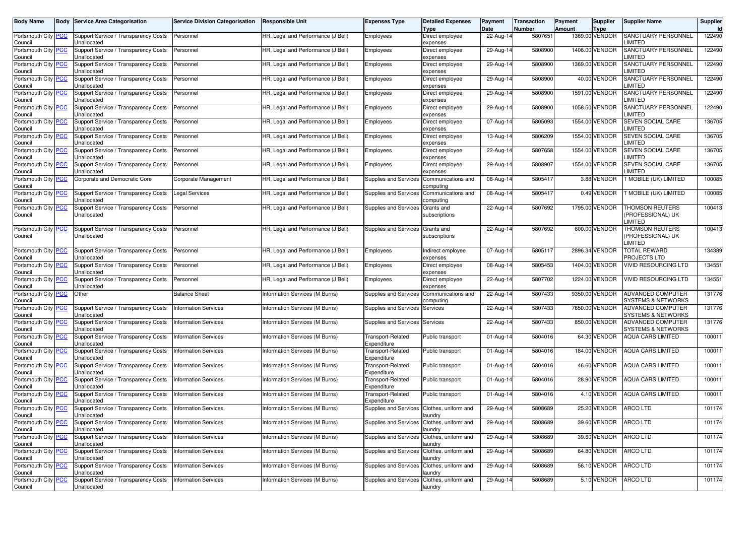| <b>Body Name</b>                      | <b>Body Service Area Categorisation</b>             | <b>Service Division Categorisation</b> | <b>Responsible Unit</b>            | <b>Expenses Type</b>                       | <b>Detailed Expenses</b><br>Type | Payment<br>Date | Transaction<br>Number | Payment<br>Amount | <b>Supplier</b><br><b>Type</b> | <b>Supplier Name</b>                                         | Supplier<br><b>Id</b> |
|---------------------------------------|-----------------------------------------------------|----------------------------------------|------------------------------------|--------------------------------------------|----------------------------------|-----------------|-----------------------|-------------------|--------------------------------|--------------------------------------------------------------|-----------------------|
| Portsmouth City <b>PCC</b><br>Council | Support Service / Transparency Costs<br>Unallocated | Personnel                              | HR, Legal and Performance (J Bell) | Employees                                  | Direct employee<br>expenses      | 22-Aug-14       | 5807651               |                   | 1369.00 VENDOR                 | SANCTUARY PERSONNEL<br><b>IMITED</b>                         | 122490                |
| Portsmouth City PCC<br>Council        | Support Service / Transparency Costs<br>Jnallocated | Personnel                              | HR, Legal and Performance (J Bell) | Employees                                  | Direct employee<br>expenses      | 29-Aug-14       | 5808900               |                   | 1406.00 VENDOR                 | SANCTUARY PERSONNEL<br><b>IMITED</b>                         | 122490                |
| Portsmouth City PCC<br>Council        | Support Service / Transparency Costs<br>Jnallocated | Personnel                              | HR, Legal and Performance (J Bell) | Employees                                  | Direct employee<br>expenses      | 29-Aug-14       | 5808900               |                   | 1369.00 VENDOR                 | SANCTUARY PERSONNEL<br><b>IMITED</b>                         | 122490                |
| Portsmouth City PCC<br>Council        | Support Service / Transparency Costs<br>Unallocated | Personnel                              | HR, Legal and Performance (J Bell) | Employees                                  | Direct employee<br>expenses      | 29-Aug-14       | 5808900               |                   | 40.00 VENDOR                   | SANCTUARY PERSONNEL<br><b>IMITED</b>                         | 122490                |
| Portsmouth City PCC<br>Council        | Support Service / Transparency Costs<br>Unallocated | Personnel                              | HR, Legal and Performance (J Bell) | Employees                                  | Direct employee<br>expenses      | 29-Aug-14       | 5808900               |                   | 1591.00 VENDOR                 | SANCTUARY PERSONNEL<br>LIMITED                               | 122490                |
| Portsmouth City PCC<br>Council        | Support Service / Transparency Costs<br>Jnallocated | Personnel                              | HR, Legal and Performance (J Bell) | Employees                                  | Direct employee<br>expenses      | 29-Aug-14       | 5808900               |                   | 1058.50 VENDOR                 | SANCTUARY PERSONNEL<br><b>IMITED</b>                         | 122490                |
| Portsmouth City PCC<br>Council        | Support Service / Transparency Costs<br>Unallocated | Personnel                              | HR, Legal and Performance (J Bell) | Employees                                  | Direct employee<br>expenses      | 07-Aug-14       | 5805093               |                   | 1554.00 VENDOR                 | SEVEN SOCIAL CARE<br><b>IMITED</b>                           | 136705                |
| Portsmouth City PCC<br>Council        | Support Service / Transparency Costs<br>Jnallocated | Personnel                              | HR, Legal and Performance (J Bell) | Employees                                  | Direct employee<br>expenses      | 13-Aug-14       | 5806209               |                   | 1554.00 VENDOR                 | <b>SEVEN SOCIAL CARE</b><br><b>IMITED</b>                    | 136705                |
| Portsmouth City PCC<br>Council        | Support Service / Transparency Costs<br>Jnallocated | Personnel                              | HR, Legal and Performance (J Bell) | Employees                                  | Direct employee<br>expenses      | 22-Aug-14       | 5807658               |                   | 1554.00 VENDOR                 | SEVEN SOCIAL CARE<br><b>IMITED</b>                           | 136705                |
| Portsmouth City   PCC<br>Council      | Support Service / Transparency Costs<br>Unallocated | Personnel                              | HR, Legal and Performance (J Bell) | Employees                                  | Direct employee<br>expenses      | 29-Aug-14       | 5808907               |                   | 1554.00 VENDOR                 | SEVEN SOCIAL CARE<br>LIMITED                                 | 136705                |
| Portsmouth City PCC<br>Council        | Corporate and Democratic Core                       | Corporate Management                   | HR, Legal and Performance (J Bell) | Supplies and Services                      | Communications and<br>computing  | 08-Aug-14       | 5805417               |                   | 3.88 VENDOR                    | T MOBILE (UK) LIMITED                                        | 100085                |
| Portsmouth City PCC<br>Council        | Support Service / Transparency Costs<br>Jnallocated | Legal Services                         | HR, Legal and Performance (J Bell) | Supplies and Services                      | Communications and<br>computing  | 08-Aug-14       | 5805417               |                   | 0.49 VENDOR                    | <b>F MOBILE (UK) LIMITED</b>                                 | 100085                |
| Portsmouth City PCC<br>Council        | Support Service / Transparency Costs<br>Unallocated | Personnel                              | HR, Legal and Performance (J Bell) | Supplies and Services                      | Grants and<br>subscriptions      | 22-Aug-14       | 5807692               |                   | 1795.00 VENDOR                 | THOMSON REUTERS<br>PROFESSIONAL) UK<br><b>IMITED</b>         | 100413                |
| Portsmouth City PCC<br>Council        | Support Service / Transparency Costs<br>Unallocated | Personnel                              | HR, Legal and Performance (J Bell) | Supplies and Services Grants and           | subscriptions                    | 22-Aug-14       | 5807692               |                   | 600.00 VENDOR                  | <b>THOMSON REUTERS</b><br>(PROFESSIONAL) UK<br><b>IMITED</b> | 100413                |
| Portsmouth City PCC<br>Council        | Support Service / Transparency Costs<br>Unallocated | Personnel                              | HR, Legal and Performance (J Bell) | Employees                                  | Indirect employee<br>expenses    | 07-Aug-14       | 5805117               |                   | 2896.34 VENDOR                 | <b>TOTAL REWARD</b><br>PROJECTS LTD                          | 134389                |
| Portsmouth City PCC<br>Council        | Support Service / Transparency Costs<br>Jnallocated | Personnel                              | HR, Legal and Performance (J Bell) | Employees                                  | Direct employee<br>expenses      | 08-Aug-14       | 5805453               |                   | 1404.00 VENDOR                 | <b>VIVID RESOURCING LTD</b>                                  | 134551                |
| Portsmouth City PCC<br>Council        | Support Service / Transparency Costs<br>Jnallocated | Personnel                              | HR, Legal and Performance (J Bell) | Employees                                  | Direct employee<br>expenses      | 22-Aug-14       | 5807702               |                   | 1224.00 VENDOR                 | VIVID RESOURCING LTD                                         | 134551                |
| Portsmouth City PCC<br>Council        | Other                                               | <b>Balance Sheet</b>                   | Information Services (M Burns)     | Supplies and Services                      | Communications and<br>computing  | 22-Aug-14       | 5807433               |                   | 9350.00 VENDOR                 | ADVANCED COMPUTER<br>SYSTEMS & NETWORKS                      | 131776                |
| Portsmouth City PCC<br>Council        | Support Service / Transparency Costs<br>Unallocated | <b>Information Services</b>            | Information Services (M Burns)     | Supplies and Services                      | Services                         | 22-Aug-14       | 5807433               |                   | 7650.00 VENDOR                 | ADVANCED COMPUTER<br>SYSTEMS & NETWORKS                      | 131776                |
| Portsmouth City PCC<br>Council        | Support Service / Transparency Costs<br>Jnallocated | <b>Information Services</b>            | Information Services (M Burns)     | Supplies and Services                      | Services                         | 22-Aug-14       | 5807433               |                   | 850.00 VENDOR                  | ADVANCED COMPUTER<br>SYSTEMS & NETWORKS                      | 131776                |
| Portsmouth City PCC<br>Council        | Support Service / Transparency Costs<br>Unallocated | <b>Information Services</b>            | Information Services (M Burns)     | Transport-Related<br>Expenditure           | Public transport                 | 01-Aug-14       | 5804016               |                   | 64.30 VENDOR                   | <b>AQUA CARS LIMITED</b>                                     | 100011                |
| Portsmouth City PCC<br>Council        | Support Service / Transparency Costs<br>Unallocated | <b>Information Services</b>            | Information Services (M Burns)     | Transport-Related<br>Expenditure           | Public transport                 | 01-Aug-14       | 5804016               |                   | 184.00 VENDOR                  | <b>AQUA CARS LIMITED</b>                                     | 100011                |
| Portsmouth City PCC<br>Council        | Support Service / Transparency Costs<br>Jnallocated | <b>Information Services</b>            | Information Services (M Burns)     | Transport-Related<br>Expenditure           | Public transport                 | 01-Aug-14       | 5804016               |                   | 46.60 VENDOR                   | <b>AQUA CARS LIMITED</b>                                     | 100011                |
| Portsmouth City PCC<br>Council        | Support Service / Transparency Costs<br>Unallocated | <b>Information Services</b>            | Information Services (M Burns)     | <b>Transport-Related</b><br>Expenditure    | Public transport                 | 01-Aug-14       | 5804016               |                   | 28.90 VENDOR                   | <b>AQUA CARS LIMITED</b>                                     | 100011                |
| Portsmouth City PCC<br>Council        | Support Service / Transparency Costs<br>Jnallocated | <b>Information Services</b>            | Information Services (M Burns)     | Transport-Related<br>Expenditure           | Public transport                 | 01-Aug-14       | 5804016               |                   | 4.10 VENDOR                    | <b>AQUA CARS LIMITED</b>                                     | 100011                |
| Portsmouth City PCC<br>Council        | Support Service / Transparency Costs<br>Unallocated | <b>Information Services</b>            | Information Services (M Burns)     | Supplies and Services                      | Clothes, uniform and<br>laundry  | 29-Aug-14       | 5808689               |                   | 25.20 VENDOR                   | <b>ARCO LTD</b>                                              | 101174                |
| Portsmouth City <b>PCC</b><br>Council | Support Service / Transparency Costs<br>Unallocated | <b>Information Services</b>            | Information Services (M Burns)     | Supplies and Services Clothes, uniform and | laundry                          | 29-Aug-14       | 5808689               |                   |                                | 39.60 VENDOR ARCO LTD                                        | 101174                |
| Portsmouth City PCC<br>Council        | Support Service / Transparency Costs<br>Unallocated | <b>Information Services</b>            | Information Services (M Burns)     | Supplies and Services Clothes, uniform and | laundry                          | 29-Aug-14       | 5808689               |                   | 39.60 VENDOR                   | ARCO LTD                                                     | 101174                |
| Portsmouth City PCC<br>Council        | Support Service / Transparency Costs<br>Unallocated | <b>Information Services</b>            | Information Services (M Burns)     | Supplies and Services Clothes, uniform and | laundry                          | 29-Aug-14       | 5808689               |                   | 64.80 VENDOR                   | ARCO LTD                                                     | 101174                |
| Portsmouth City PCC<br>Council        | Support Service / Transparency Costs<br>Unallocated | <b>Information Services</b>            | Information Services (M Burns)     | Supplies and Services Clothes, uniform and | laundry                          | 29-Aug-14       | 5808689               |                   | 56.10 VENDOR                   | ARCO LTD                                                     | 101174                |
| Portsmouth City PCC<br>Council        | Support Service / Transparency Costs<br>Unallocated | <b>Information Services</b>            | Information Services (M Burns)     | Supplies and Services                      | Clothes, uniform and<br>laundry  | 29-Aug-14       | 5808689               |                   | 5.10 VENDOR                    | ARCO LTD                                                     | 101174                |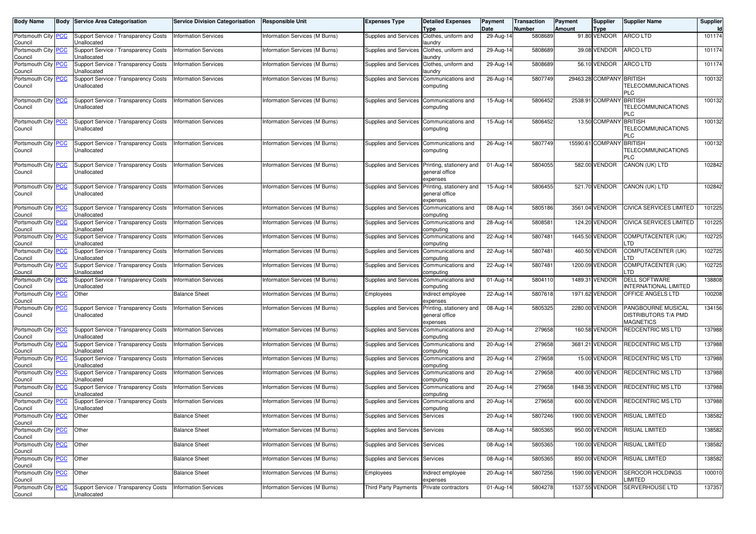| <b>Body Name</b>                          |            | <b>Body Service Area Categorisation</b>             | <b>Service Division Categorisation</b> | <b>Responsible Unit</b>        | <b>Expenses Type</b>                       | <b>Detailed Expenses</b><br><b>Type</b>                                      | Payment<br>Date | Transaction<br>Number | Payment<br><b>Amount</b> | <b>Supplier</b><br><b>Type</b> | <b>Supplier Name</b>                                           | <b>Supplier</b><br><b>Id</b> |
|-------------------------------------------|------------|-----------------------------------------------------|----------------------------------------|--------------------------------|--------------------------------------------|------------------------------------------------------------------------------|-----------------|-----------------------|--------------------------|--------------------------------|----------------------------------------------------------------|------------------------------|
| Portsmouth City PCC<br>Council            |            | Support Service / Transparency Costs<br>Unallocated | <b>Information Services</b>            | Information Services (M Burns) | Supplies and Services                      | Clothes, uniform and<br>laundry                                              | 29-Aug-14       | 5808689               |                          | 91.80 VENDOR                   | <b>ARCO LTD</b>                                                | 101174                       |
| Portsmouth City<br>Council                | <b>PCC</b> | Support Service / Transparency Costs<br>Unallocated | <b>Information Services</b>            | Information Services (M Burns) | Supplies and Services                      | Clothes, uniform and<br>laundry                                              | 29-Aug-14       | 5808689               |                          | 39.08 VENDOR                   | <b>ARCO LTD</b>                                                | 101174                       |
| Portsmouth City PCC<br>Council            |            | Support Service / Transparency Costs<br>Unallocated | <b>Information Services</b>            | Information Services (M Burns) | Supplies and Services Clothes, uniform and | aundry                                                                       | 29-Aug-14       | 5808689               |                          | 56.10 VENDOR                   | ARCO LTD                                                       | 101174                       |
| Portsmouth City PCC<br>Council            |            | Support Service / Transparency Costs<br>Unallocated | <b>Information Services</b>            | Information Services (M Burns) | Supplies and Services                      | Communications and<br>computing                                              | $26$ -Aug-14    | 5807749               |                          | 29463.28 COMPANY BRITISH       | TELECOMMUNICATIONS<br><b>PLC</b>                               | 100132                       |
| Portsmouth City PCC<br>Council            |            | Support Service / Transparency Costs<br>Unallocated | <b>Information Services</b>            | Information Services (M Burns) | Supplies and Services Communications and   | computing                                                                    | 15-Aug-14       | 5806452               |                          | 2538.91 COMPANY                | <b>BRITISH</b><br>TELECOMMUNICATIONS<br><b>PLC</b>             | 100132                       |
| Portsmouth City PCC<br>Council            |            | Support Service / Transparency Costs<br>Unallocated | <b>Information Services</b>            | Information Services (M Burns) | Supplies and Services Communications and   | computing                                                                    | 15-Aug-14       | 5806452               |                          | 13.50 COMPANY                  | <b>BRITISH</b><br>TELECOMMUNICATIONS<br>PLC                    | 100132                       |
| Portsmouth City<br>Council                | <b>PCC</b> | Support Service / Transparency Costs<br>Unallocated | <b>Information Services</b>            | Information Services (M Burns) | Supplies and Services                      | Communications and<br>computing                                              | 26-Aug-14       | 5807749               |                          | 15590.61 COMPANY               | <b>BRITISH</b><br>TELECOMMUNICATIONS<br>PLC                    | 100132                       |
| Portsmouth City PCC<br>Council            |            | Support Service / Transparency Costs<br>Unallocated | <b>Information Services</b>            | Information Services (M Burns) |                                            | Supplies and Services Printing, stationery and<br>general office<br>expenses | 01-Aug-14       | 5804055               |                          | 582.00 VENDOR                  | CANON (UK) LTD                                                 | 102842                       |
| Portsmouth City PCC<br>Council            |            | Support Service / Transparency Costs<br>Unallocated | <b>Information Services</b>            | Information Services (M Burns) | Supplies and Services                      | Printing, stationery and<br>general office<br>expenses                       | 15-Aug-14       | 5806455               |                          | 521.70 VENDOR                  | CANON (UK) LTD                                                 | 102842                       |
| Portsmouth City<br>Council                | <b>PCC</b> | Support Service / Transparency Costs<br>Unallocated | <b>Information Services</b>            | Information Services (M Burns) | Supplies and Services                      | Communications and<br>computing                                              | 08-Aug-14       | 5805186               |                          | 3561.04 VENDOR                 | CIVICA SERVICES LIMITED                                        | 101225                       |
| Portsmouth City<br>Council                | <b>PCC</b> | Support Service / Transparency Costs<br>Unallocated | <b>Information Services</b>            | Information Services (M Burns) | Supplies and Services                      | Communications and<br>computing                                              | 28-Aug-14       | 5808581               |                          | 124.20 VENDOR                  | CIVICA SERVICES LIMITED                                        | 101225                       |
| Portsmouth City<br>Council                | <b>PCC</b> | Support Service / Transparency Costs<br>Unallocated | <b>Information Services</b>            | Information Services (M Burns) | Supplies and Services Communications and   | computing                                                                    | 22-Aug-14       | 5807481               |                          | 1645.50 VENDOR                 | COMPUTACENTER (UK)<br>TD                                       | 102725                       |
| Portsmouth City PCC<br>Council            |            | Support Service / Transparency Costs<br>Unallocated | <b>Information Services</b>            | Information Services (M Burns) | Supplies and Services                      | Communications and<br>computing                                              | 22-Aug-14       | 5807481               |                          | 460.50 VENDOR                  | COMPUTACENTER (UK)<br>TD                                       | 102725                       |
| Portsmouth City<br>Council                | <b>PCC</b> | Support Service / Transparency Costs<br>Unallocated | <b>Information Services</b>            | Information Services (M Burns) | Supplies and Services                      | Communications and<br>computing                                              | 22-Aug-14       | 5807481               |                          | 1200.09 VENDOR                 | COMPUTACENTER (UK)<br>.TD                                      | 102725                       |
| Portsmouth City<br>Council                | <b>PCC</b> | Support Service / Transparency Costs<br>Unallocated | <b>Information Services</b>            | Information Services (M Burns) | Supplies and Services                      | Communications and<br>computing                                              | 01-Aug-14       | 5804110               |                          | 1489.31 VENDOR                 | <b>DELL SOFTWARE</b><br>NTERNATIONAL LIMITED                   | 138808                       |
| Portsmouth City PCC<br>Council            |            | Other                                               | <b>Balance Sheet</b>                   | Information Services (M Burns) | Employees                                  | Indirect employee<br>expenses                                                | 22-Aug-14       | 5807618               |                          | 1971.62 VENDOR                 | OFFICE ANGELS LTD                                              | 100208                       |
| Portsmouth City<br>Council                | PCC        | Support Service / Transparency Costs<br>Unallocated | <b>Information Services</b>            | Information Services (M Burns) | Supplies and Services                      | Printing, stationery and<br>general office<br>expenses                       | 08-Aug-14       | 5805325               |                          | 2280.00 VENDOR                 | PANGBOURNE MUSICAL<br>DISTRIBUTORS T/A PMD<br><b>MAGNETICS</b> | 134156                       |
| Portsmouth City<br>Council                | <b>PCC</b> | Support Service / Transparency Costs<br>Unallocated | <b>Information Services</b>            | Information Services (M Burns) | Supplies and Services                      | Communications and<br>computing                                              | 20-Aug-14       | 279658                |                          | 160.58 VENDOR                  | <b>REDCENTRIC MS LTD</b>                                       | 137988                       |
| Portsmouth City<br>Council                | <b>PCC</b> | Support Service / Transparency Costs<br>Unallocated | <b>Information Services</b>            | Information Services (M Burns) | Supplies and Services                      | Communications and<br>computing                                              | 20-Aug-14       | 279658                |                          | 3681.21 VENDOR                 | REDCENTRIC MS LTD                                              | 137988                       |
| Portsmouth City<br>Council                | <b>PCC</b> | Support Service / Transparency Costs<br>Unallocated | <b>Information Services</b>            | Information Services (M Burns) | Supplies and Services                      | Communications and<br>computing                                              | 20-Aug-14       | 279658                |                          | 15.00 VENDOR                   | REDCENTRIC MS LTD                                              | 137988                       |
| Portsmouth City<br>Council                | <b>PCC</b> | Support Service / Transparency Costs<br>Unallocated | <b>Information Services</b>            | Information Services (M Burns) | Supplies and Services                      | Communications and<br>computing                                              | 20-Aug-14       | 279658                |                          | 400.00 VENDOR                  | REDCENTRIC MS LTD                                              | 137988                       |
| Portsmouth City PCC<br>Council            |            | Support Service / Transparency Costs<br>Unallocated | <b>Information Services</b>            | Information Services (M Burns) | Supplies and Services                      | Communications and<br>computing                                              | 20-Aug-14       | 279658                |                          | 1848.35 VENDOR                 | REDCENTRIC MS LTD                                              | 137988                       |
| Portsmouth City PCC<br>Council            |            | Support Service / Transparency Costs<br>Unallocated | <b>Information Services</b>            | Information Services (M Burns) | Supplies and Services                      | Communications and<br>computing                                              | 20-Aug-14       | 279658                |                          | 600.00 VENDOR                  | REDCENTRIC MS LTD                                              | 137988                       |
| Portsmouth City PCC                       |            | Other                                               | <b>Balance Sheet</b>                   | Information Services (M Burns) | Supplies and Services                      | Services                                                                     | 20-Aug-14       | 5807246               |                          | 1900.00 VENDOR                 | <b>RISUAL LIMITED</b>                                          | 138582                       |
| Council<br>Portsmouth City PCC<br>Council |            | Other                                               | <b>Balance Sheet</b>                   | Information Services (M Burns) | Supplies and Services                      | Services                                                                     | 08-Aug-14       | 5805365               |                          | 950.00 VENDOR                  | RISUAL LIMITED                                                 | 138582                       |
| Portsmouth City PCC<br>Council            |            | Other                                               | <b>Balance Sheet</b>                   | Information Services (M Burns) | Supplies and Services Services             |                                                                              | 08-Aug-14       | 5805365               |                          | 100.00 VENDOR                  | <b>RISUAL LIMITED</b>                                          | 138582                       |
| Portsmouth City PCC<br>Council            |            | Other                                               | <b>Balance Sheet</b>                   | Information Services (M Burns) | Supplies and Services Services             |                                                                              | 08-Aug-14       | 5805365               |                          | 850.00 VENDOR                  | RISUAL LIMITED                                                 | 138582                       |
| Portsmouth City PCC<br>Council            |            | Other                                               | <b>Balance Sheet</b>                   | Information Services (M Burns) | Employees                                  | Indirect employee<br>expenses                                                | 20-Aug-14       | 5807256               |                          | 1590.00 VENDOR                 | SEROCOR HOLDINGS<br>IMITED.                                    | 100010                       |
| Portsmouth City<br>Council                | <b>PCC</b> | Support Service / Transparency Costs<br>Unallocated | <b>Information Services</b>            | Information Services (M Burns) | <b>Third Party Payments</b>                | Private contractors                                                          | 01-Aug-14       | 5804278               |                          | 1537.55 VENDOR                 | SERVERHOUSE LTD                                                | 137357                       |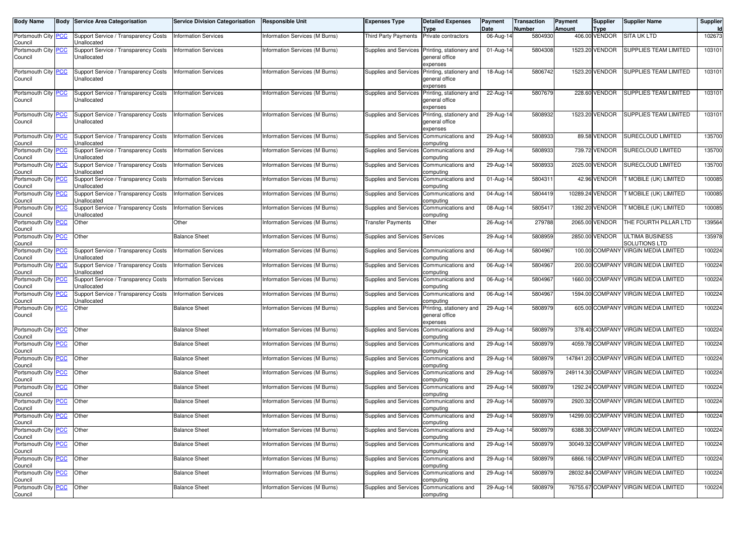| Body Name                             | <b>Body</b> | Service Area Categorisation                         | <b>Service Division Categorisation</b> | Responsible Unit               | Expenses Type                            | <b>Detailed Expenses</b>                               | Payment<br>Date | <b>Transaction</b><br>Number | Payment<br>Amount | <b>Supplier</b>       | <b>Supplier Name</b>                    | Supplier |
|---------------------------------------|-------------|-----------------------------------------------------|----------------------------------------|--------------------------------|------------------------------------------|--------------------------------------------------------|-----------------|------------------------------|-------------------|-----------------------|-----------------------------------------|----------|
| Portsmouth City PCC<br>Council        |             | Support Service / Transparency Costs<br>Unallocated | <b>Information Services</b>            | Information Services (M Burns) | <b>Third Party Payments</b>              | Type<br>Private contractors                            | 06-Aug-14       | 5804930                      |                   | Type<br>406.00 VENDOR | SITA UK LTD                             | 102673   |
| Portsmouth City<br>Council            | <b>PCC</b>  | Support Service / Transparency Costs<br>Unallocated | <b>Information Services</b>            | Information Services (M Burns) | Supplies and Services                    | Printing, stationery and<br>general office<br>expenses | 01-Aug-14       | 5804308                      |                   | 1523.20 VENDOR        | SUPPLIES TEAM LIMITED                   | 103101   |
| Portsmouth City<br>Council            | <b>PCC</b>  | Support Service / Transparency Costs<br>Unallocated | <b>Information Services</b>            | Information Services (M Burns) | <b>Supplies and Services</b>             | Printing, stationery and<br>general office<br>expenses | 18-Aug-14       | 5806742                      |                   | 1523.20 VENDOR        | SUPPLIES TEAM LIMITED                   | 103101   |
| Portsmouth City PCC<br>Council        |             | Support Service / Transparency Costs<br>Unallocated | <b>Information Services</b>            | Information Services (M Burns) | Supplies and Services                    | Printing, stationery and<br>general office<br>expenses | 22-Aug-14       | 5807679                      |                   | 228.60 VENDOR         | SUPPLIES TEAM LIMITED                   | 103101   |
| Portsmouth City<br>Council            | <b>PCC</b>  | Support Service / Transparency Costs<br>Unallocated | <b>Information Services</b>            | Information Services (M Burns) | <b>Supplies and Services</b>             | Printing, stationery and<br>general office<br>expenses | 29-Aug-14       | 5808932                      |                   | 1523.20 VENDOR        | SUPPLIES TEAM LIMITED                   | 103101   |
| Portsmouth City<br>Council            | <b>PCC</b>  | Support Service / Transparency Costs<br>Unallocated | <b>Information Services</b>            | Information Services (M Burns) | <b>Supplies and Services</b>             | Communications and<br>computing                        | 29-Aug-14       | 5808933                      |                   | 89.58 VENDOR          | SURECLOUD LIMITED                       | 135700   |
| Portsmouth City<br>Council            | <b>PCC</b>  | Support Service / Transparency Costs<br>Unallocated | <b>Information Services</b>            | Information Services (M Burns) | Supplies and Services Communications and | computing                                              | 29-Aug-14       | 5808933                      |                   | 739.72 VENDOR         | SURECLOUD LIMITED                       | 135700   |
| Portsmouth City <b>PCC</b><br>Council |             | Support Service / Transparency Costs<br>Unallocated | <b>Information Services</b>            | Information Services (M Burns) | Supplies and Services                    | Communications and<br>computing                        | 29-Aug-14       | 5808933                      |                   | 2025.00 VENDOR        | SURECLOUD LIMITED                       | 135700   |
| Portsmouth City<br>Council            | <b>PCC</b>  | Support Service / Transparency Costs<br>Unallocated | <b>Information Services</b>            | Information Services (M Burns) | Supplies and Services                    | Communications and<br>computing                        | 01-Aug-14       | 5804311                      |                   | 42.96 VENDOR          | T MOBILE (UK) LIMITED                   | 100085   |
| Portsmouth City<br>Council            | <u>PCC</u>  | Support Service / Transparency Costs<br>Unallocated | <b>Information Services</b>            | Information Services (M Burns) | <b>Supplies and Services</b>             | Communications and<br>computing                        | 04-Aug-14       | 5804419                      |                   | 10289.24 VENDOR       | <b>T MOBILE (UK) LIMITED</b>            | 100085   |
| Portsmouth City <b>PCC</b><br>Council |             | Support Service / Transparency Costs<br>Unallocated | <b>Information Services</b>            | Information Services (M Burns) | Supplies and Services                    | Communications and<br>computing                        | 08-Aug-14       | 5805417                      |                   | 1392.20 VENDOR        | <b>T MOBILE (UK) LIMITED</b>            | 100085   |
| Portsmouth City<br>Council            | <b>PCC</b>  | Other                                               | Other                                  | Information Services (M Burns) | <b>Transfer Payments</b>                 | Other                                                  | 26-Aug-14       | 279788                       |                   | 2065.00 VENDOR        | THE FOURTH PILLAR LTD                   | 139564   |
| Portsmouth City PCC<br>Council        |             | Other                                               | <b>Balance Sheet</b>                   | Information Services (M Burns) | Supplies and Services Services           |                                                        | 29-Aug-14       | 5808959                      |                   | 2850.00 VENDOR        | ULTIMA BUSINESS<br><b>SOLUTIONS LTD</b> | 135978   |
| Portsmouth City PCC<br>Council        |             | Support Service / Transparency Costs<br>Unallocated | <b>Information Services</b>            | Information Services (M Burns) | Supplies and Services Communications and | computing                                              | 06-Aug-14       | 5804967                      |                   | 100.00 COMPANY        | <b>VIRGIN MEDIA LIMITED</b>             | 100224   |
| Portsmouth City<br>Council            | <u>'СС</u>  | Support Service / Transparency Costs<br>Unallocated | <b>Information Services</b>            | Information Services (M Burns) | Supplies and Services                    | Communications and<br>computing                        | 06-Aug-14       | 5804967                      |                   | 200.00 COMPANY        | <b>VIRGIN MEDIA LIMITED</b>             | 100224   |
| Portsmouth City PCC<br>Council        |             | Support Service / Transparency Costs<br>Unallocated | <b>Information Services</b>            | Information Services (M Burns) | Supplies and Services                    | Communications and<br>computing                        | 06-Aug-14       | 5804967                      |                   |                       | 1660.00 COMPANY VIRGIN MEDIA LIMITED    | 100224   |
| Portsmouth City PCC<br>Council        |             | Support Service / Transparency Costs<br>Unallocated | <b>Information Services</b>            | Information Services (M Burns) | Supplies and Services                    | Communications and<br>computing                        | 06-Aug-14       | 5804967                      |                   |                       | 1594.00 COMPANY VIRGIN MEDIA LIMITED    | 100224   |
| Portsmouth City<br>Council            | <u>PCC</u>  | Other                                               | <b>Balance Sheet</b>                   | Information Services (M Burns) | Supplies and Services                    | Printing, stationery and<br>general office<br>expenses | 29-Aug-14       | 5808979                      |                   |                       | 605.00 COMPANY VIRGIN MEDIA LIMITED     | 100224   |
| Portsmouth City<br>Council            | <b>PCC</b>  | Other                                               | <b>Balance Sheet</b>                   | Information Services (M Burns) | <b>Supplies and Services</b>             | Communications and<br>computing                        | 29-Aug-14       | 5808979                      |                   |                       | 378.40 COMPANY VIRGIN MEDIA LIMITED     | 100224   |
| Portsmouth City PCC<br>Council        |             | Other                                               | <b>Balance Sheet</b>                   | Information Services (M Burns) | Supplies and Services                    | Communications and<br>computing                        | 29-Aug-14       | 5808979                      |                   |                       | 4059.78 COMPANY VIRGIN MEDIA LIMITED    | 100224   |
| Portsmouth City<br>Council            | <b>PCC</b>  | Other                                               | <b>Balance Sheet</b>                   | Information Services (M Burns) | Supplies and Services                    | Communications and<br>computing                        | 29-Aug-14       | 5808979                      |                   | 147841.20 COMPANY     | <b>VIRGIN MEDIA LIMITED</b>             | 100224   |
| Portsmouth City<br>Council            | <b>PCC</b>  | Other                                               | <b>Balance Sheet</b>                   | Information Services (M Burns) | <b>Supplies and Services</b>             | Communications and<br>computing                        | 29-Aug-14       | 5808979                      |                   |                       | 249114.30 COMPANY VIRGIN MEDIA LIMITED  | 100224   |
| Portsmouth City PCC<br>Council        |             | Other                                               | <b>Balance Sheet</b>                   | Information Services (M Burns) | Supplies and Services                    | Communications and<br>computing                        | 29-Aug-14       | 5808979                      |                   |                       | 1292.24 COMPANY VIRGIN MEDIA LIMITED    | 100224   |
| Portsmouth City PCC<br>Council        |             | Other                                               | <b>Balance Sheet</b>                   | Information Services (M Burns) | Supplies and Services                    | Communications and<br>computing                        | 29-Aug-14       | 5808979                      |                   |                       | 2920.32 COMPANY VIRGIN MEDIA LIMITED    | 100224   |
| Portsmouth City PCC<br>Council        |             | Other                                               | <b>Balance Sheet</b>                   | Information Services (M Burns) | Supplies and Services Communications and | computing                                              | 29-Aug-14       | 5808979                      |                   |                       | 14299.00 COMPANY VIRGIN MEDIA LIMITED   | 100224   |
| Portsmouth City PCC<br>Council        |             | Other                                               | <b>Balance Sheet</b>                   | Information Services (M Burns) | Supplies and Services                    | Communications and<br>computing                        | 29-Aug-14       | 5808979                      |                   |                       | 6388.30 COMPANY VIRGIN MEDIA LIMITED    | 100224   |
| Portsmouth City PCC<br>Council        |             | Other                                               | <b>Balance Sheet</b>                   | Information Services (M Burns) | <b>Supplies and Services</b>             | Communications and<br>computing                        | 29-Aug-14       | 5808979                      |                   |                       | 30049.32 COMPANY VIRGIN MEDIA LIMITED   | 100224   |
| Portsmouth City PCC<br>Council        |             | Other                                               | <b>Balance Sheet</b>                   | Information Services (M Burns) | Supplies and Services                    | Communications and<br>computing                        | 29-Aug-14       | 5808979                      |                   |                       | 6866.16 COMPANY VIRGIN MEDIA LIMITED    | 100224   |
| Portsmouth City PCC<br>Council        |             | Other                                               | <b>Balance Sheet</b>                   | Information Services (M Burns) | <b>Supplies and Services</b>             | Communications and<br>computing                        | 29-Aug-14       | 5808979                      |                   |                       | 28032.84 COMPANY VIRGIN MEDIA LIMITED   | 100224   |
| Portsmouth City PCC<br>Council        |             | Other                                               | <b>Balance Sheet</b>                   | Information Services (M Burns) | Supplies and Services Communications and | computing                                              | 29-Aug-14       | 5808979                      |                   |                       | 76755.67 COMPANY VIRGIN MEDIA LIMITED   | 100224   |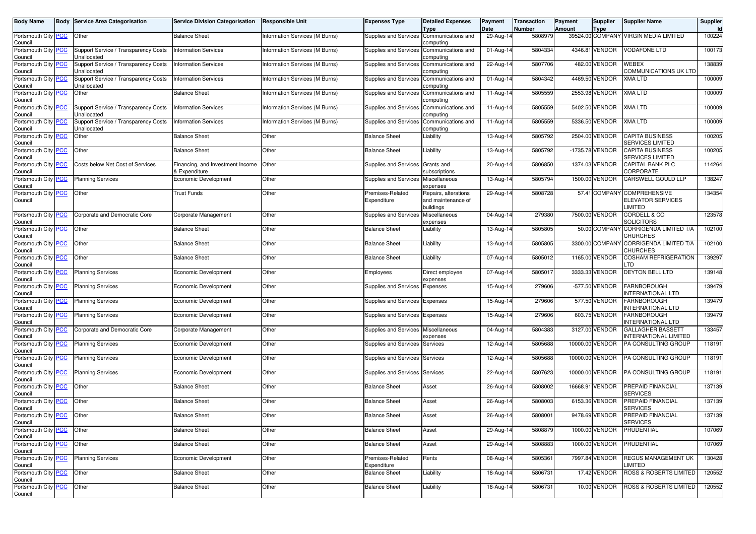| <b>Body Name</b>                      |                | <b>Body Service Area Categorisation</b>                    | <b>Service Division Categorisation</b>            | <b>Responsible Unit</b>        | Expenses Type                    | <b>Detailed Expenses</b><br>Type                        | Payment<br>Date | <b>Transaction</b><br>Number | Payment<br><b>Amount</b> | <b>Supplier</b><br><b>Type</b> | <b>Supplier Name</b>                                        | Supplier<br>Id |
|---------------------------------------|----------------|------------------------------------------------------------|---------------------------------------------------|--------------------------------|----------------------------------|---------------------------------------------------------|-----------------|------------------------------|--------------------------|--------------------------------|-------------------------------------------------------------|----------------|
| Portsmouth City<br>Council            | <b>PCC</b>     | Other                                                      | <b>Balance Sheet</b>                              | Information Services (M Burns) | Supplies and Services            | Communications and<br>computing                         | 29-Aug-14       | 5808979                      |                          |                                | 39524.00 COMPANY VIRGIN MEDIA LIMITED                       | 100224         |
| Portsmouth City PCC<br>Council        |                | Support Service / Transparency Costs<br>Unallocated        | <b>Information Services</b>                       | Information Services (M Burns) | Supplies and Services            | Communications and<br>computing                         | 01-Aug-14       | 5804334                      |                          | 4346.81 VENDOR                 | <b>VODAFONE LTD</b>                                         | 100173         |
| Portsmouth City PCC<br>Council        |                | <b>Support Service / Transparency Costs</b><br>Unallocated | <b>Information Services</b>                       | Information Services (M Burns) | <b>Supplies and Services</b>     | Communications and<br>computing                         | 22-Aug-14       | 5807706                      |                          | 482.00 VENDOR                  | <b>WEBEX</b><br>COMMUNICATIONS UK LTD                       | 138839         |
| Portsmouth City<br>Council            | <b>PCC</b>     | Support Service / Transparency Costs<br>Unallocated        | <b>Information Services</b>                       | Information Services (M Burns) | Supplies and Services            | Communications and<br>computing                         | 01-Aug-14       | 5804342                      |                          | 4469.50 VENDOR                 | <b>XMA LTD</b>                                              | 100009         |
| Portsmouth City <b>PCC</b><br>Council |                | Other                                                      | <b>Balance Sheet</b>                              | Information Services (M Burns) | <b>Supplies and Services</b>     | Communications and<br>computing                         | 11-Aug-14       | 5805559                      |                          | 2553.98 VENDOR                 | <b>XMA LTD</b>                                              | 100009         |
| Portsmouth City PCC<br>Council        |                | Support Service / Transparency Costs<br>Unallocated        | <b>Information Services</b>                       | Information Services (M Burns) | Supplies and Services            | Communications and<br>computing                         | 11-Aug-14       | 5805559                      |                          | 5402.50 VENDOR                 | <b>XMA LTD</b>                                              | 100009         |
| Portsmouth City<br>Council            | <b>PCC</b>     | Support Service / Transparency Costs<br>Unallocated        | <b>Information Services</b>                       | Information Services (M Burns) | Supplies and Services            | Communications and<br>computing                         | 11-Aug-14       | 5805559                      |                          | 5336.50 VENDOR                 | <b>XMA LTD</b>                                              | 100009         |
| Portsmouth City PCC<br>Council        |                | Other                                                      | <b>Balance Sheet</b>                              | Other                          | <b>Balance Sheet</b>             | Liability                                               | 13-Aug-14       | 5805792                      |                          | 2504.00 VENDOR                 | <b>CAPITA BUSINESS</b><br><b>SERVICES LIMITED</b>           | 100205         |
| Portsmouth City PCC<br>Council        |                | Other                                                      | <b>Balance Sheet</b>                              | Other                          | <b>Balance Sheet</b>             | Liability                                               | 13-Aug-14       | 5805792                      |                          | -1735.78 VENDOR                | <b>CAPITA BUSINESS</b><br><b>SERVICES LIMITED</b>           | 100205         |
| Portsmouth City PCC<br>Council        |                | Costs below Net Cost of Services                           | Financing, and Investment Income<br>& Expenditure | Other                          | Supplies and Services Grants and | subscriptions                                           | 20-Aug-14       | 5806850                      |                          | 1374.03 VENDOR                 | CAPITAL BANK PLC<br>CORPORATE                               | 114264         |
| Portsmouth City PCC<br>Council        |                | <b>Planning Services</b>                                   | Economic Development                              | Other                          | <b>Supplies and Services</b>     | Miscellaneous<br>expenses                               | 13-Aug-14       | 5805794                      |                          | 1500.00 VENDOR                 | CARSWELL GOULD LLP                                          | 138247         |
| Portsmouth City<br>Council            | <b>PCC</b>     | Other                                                      | <b>Trust Funds</b>                                | Other                          | Premises-Related<br>Expenditure  | Repairs, alterations<br>and maintenance of<br>buildings | 29-Aug-14       | 5808728                      |                          | 57.41 COMPANY                  | <b>COMPREHENSIVE</b><br><b>ELEVATOR SERVICES</b><br>LIMITED | 134354         |
| Portsmouth City <b>PCC</b><br>Council |                | Corporate and Democratic Core                              | Corporate Management                              | Other                          | Supplies and Services            | Miscellaneous<br>expenses                               | 04-Aug-14       | 279380                       |                          | 7500.00 VENDOR                 | CORDELL & CO<br>SOLICITORS                                  | 123578         |
| Portsmouth City PCC<br>Council        |                | Other                                                      | <b>Balance Sheet</b>                              | Other                          | <b>Balance Sheet</b>             | Liability                                               | 13-Aug-14       | 5805805                      |                          |                                | 50.00 COMPANY CORRIGENDA LIMITED T/A<br><b>CHURCHES</b>     | 102100         |
| Portsmouth City PCC<br>Council        |                | Other                                                      | <b>Balance Sheet</b>                              | Other                          | <b>Balance Sheet</b>             | Liability                                               | 13-Aug-14       | 5805805                      |                          | 3300.00 COMPANY                | CORRIGENDA LIMITED T/A<br>CHURCHES                          | 102100         |
| Portsmouth City<br>Council            | <b>PCC</b>     | Other                                                      | <b>Balance Sheet</b>                              | Other                          | <b>Balance Sheet</b>             | Liability                                               | 07-Aug-14       | 5805012                      |                          | 1165.00 VENDOR                 | COSHAM REFRIGERATION<br>.TD                                 | 139297         |
| Portsmouth City PCC<br>Council        |                | <b>Planning Services</b>                                   | Economic Development                              | Other                          | Employees                        | Direct employee<br>expenses                             | 07-Aug-14       | 580501                       |                          | 3333.33 VENDOR                 | <b>DEYTON BELL LTD</b>                                      | 139148         |
| Portsmouth City<br>Council            | $\overline{C}$ | <b>Planning Services</b>                                   | Economic Development                              | Other                          | Supplies and Services            | Expenses                                                | 15-Aug-14       | 279606                       |                          | -577.50 VENDOR                 | <b>FARNBOROUGH</b><br><b>INTERNATIONAL LTD</b>              | 139479         |
| Portsmouth City<br>Council            | <b>PCC</b>     | <b>Planning Services</b>                                   | Economic Development                              | Other                          | Supplies and Services            | Expenses                                                | 15-Aug-14       | 279606                       |                          | 577.50 VENDOR                  | <b>FARNBOROUGH</b><br><b>INTERNATIONAL LTD</b>              | 139479         |
| Portsmouth City PCC<br>Council        |                | <b>Planning Services</b>                                   | Economic Development                              | Other                          | Supplies and Services            | Expenses                                                | 15-Aug-14       | 279606                       |                          | 603.75 VENDOR                  | <b>FARNBOROUGH</b><br><b>INTERNATIONAL LTD</b>              | 139479         |
| Portsmouth City<br>Council            | <u>PCC</u>     | Corporate and Democratic Core                              | Corporate Management                              | Other                          | Supplies and Services            | Miscellaneous<br>expenses                               | 04-Aug-14       | 5804383                      |                          | 3127.00 VENDOR                 | <b>GALLAGHER BASSETT</b><br><b>INTERNATIONAL LIMITED</b>    | 133457         |
| Portsmouth City PCC<br>Council        |                | <b>Planning Services</b>                                   | Economic Development                              | Other                          | Supplies and Services            | Services                                                | 12-Aug-14       | 5805688                      |                          | 10000.00 VENDOR                | PA CONSULTING GROUP                                         | 118191         |
| Portsmouth City<br>Council            | <b>PCC</b>     | <b>Planning Services</b>                                   | Economic Development                              | Other                          | Supplies and Services            | Services                                                | $12$ -Aug-14    | 5805688                      |                          | 10000.00 VENDOR                | PA CONSULTING GROUP                                         | 118191         |
| Portsmouth City<br>Council            | <b>PCC</b>     | <b>Planning Services</b>                                   | Economic Development                              | Other                          | Supplies and Services            | Services                                                | 22-Aug-14       | 5807623                      |                          | 10000.00 VENDOR                | PA CONSULTING GROUP                                         | 118191         |
| Portsmouth City PCC<br>Council        |                | Other                                                      | <b>Balance Sheet</b>                              | Other                          | <b>Balance Sheet</b>             | Asset                                                   | 26-Aug-14       | 5808002                      |                          | 16668.91 VENDOR                | PREPAID FINANCIAL<br><b>SERVICES</b>                        | 137139         |
| Portsmouth City PCC<br>Council        |                | Other                                                      | <b>Balance Sheet</b>                              | Other                          | <b>Balance Sheet</b>             | Asset                                                   | 26-Aug-14       | 5808003                      |                          | 6153.36 VENDOR                 | PREPAID FINANCIAL<br><b>SERVICES</b>                        | 137139         |
| Portsmouth City PCC<br>Council        |                | Other                                                      | <b>Balance Sheet</b>                              | Other                          | <b>Balance Sheet</b>             | Asset                                                   | 26-Aug-14       | 5808001                      |                          | 9478.69 VENDOR                 | PREPAID FINANCIAL<br><b>SERVICES</b>                        | 137139         |
| Portsmouth City PCC<br>Council        |                | Other                                                      | <b>Balance Sheet</b>                              | Other                          | <b>Balance Sheet</b>             | Asset                                                   | $29$ -Aug-14    | 5808879                      |                          | 1000.00 VENDOR                 | PRUDENTIAL                                                  | 107069         |
| Portsmouth City PCC<br>Council        |                | Other                                                      | <b>Balance Sheet</b>                              | Other                          | <b>Balance Sheet</b>             | Asset                                                   | 29-Aug-14       | 5808883                      |                          | 1000.00 VENDOR                 | PRUDENTIAL                                                  | 107069         |
| Portsmouth City PCC<br>Council        |                | <b>Planning Services</b>                                   | Economic Development                              | Other                          | Premises-Related<br>Expenditure  | Rents                                                   | 08-Aug-14       | 5805361                      |                          | 7997.84 VENDOR                 | REGUS MANAGEMENT UK<br>LIMITED                              | 130428         |
| Portsmouth City PCC<br>Council        |                | Other                                                      | <b>Balance Sheet</b>                              | Other                          | <b>Balance Sheet</b>             | Liability                                               | 18-Aug-14       | 5806731                      |                          | 17.42 VENDOR                   | <b>ROSS &amp; ROBERTS LIMITED</b>                           | 120552         |
| Portsmouth City PCC<br>Council        |                | Other                                                      | <b>Balance Sheet</b>                              | Other                          | <b>Balance Sheet</b>             | Liability                                               | 18-Aug-14       | 5806731                      |                          | 10.00 VENDOR                   | <b>ROSS &amp; ROBERTS LIMITED</b>                           | 120552         |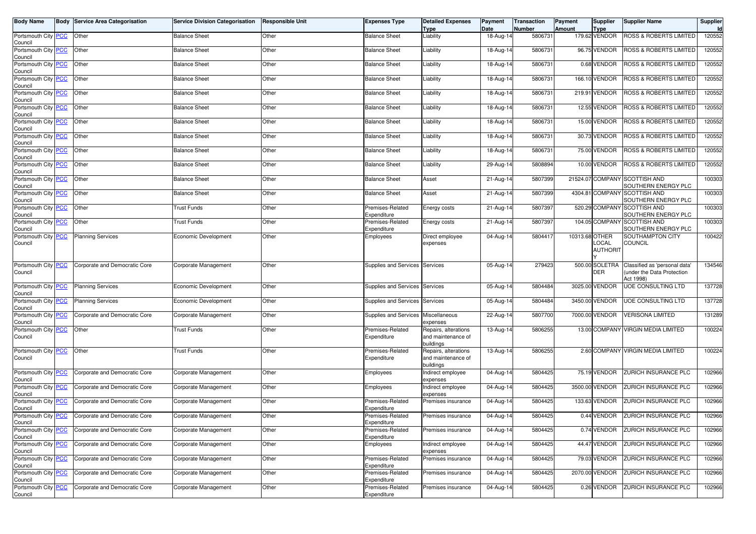| <b>Body Name</b>                      |            | <b>Body Service Area Categorisation</b> | <b>Service Division Categorisation</b> | <b>Responsible Unit</b> | <b>Expenses Type</b>                | <b>Detailed Expenses</b>                                | Payment                 | <b>Transaction</b> | Payment        | <b>Supplier</b>              | <b>Supplier Name</b>                                                    | Supplier     |
|---------------------------------------|------------|-----------------------------------------|----------------------------------------|-------------------------|-------------------------------------|---------------------------------------------------------|-------------------------|--------------------|----------------|------------------------------|-------------------------------------------------------------------------|--------------|
| Portsmouth City PCC                   |            | Other                                   | <b>Balance Sheet</b>                   | Other                   | <b>Balance Sheet</b>                | <b>Type</b><br>Liability                                | Date<br>18-Aug-14       | Number<br>5806731  | <b>Amount</b>  | <b>Type</b><br>179.62 VENDOR | <b>ROSS &amp; ROBERTS LIMITED</b>                                       | Id<br>120552 |
| Council                               |            |                                         |                                        |                         |                                     |                                                         |                         |                    |                |                              |                                                                         |              |
| Portsmouth City PCC<br>Council        |            | Other                                   | <b>Balance Sheet</b>                   | Other                   | <b>Balance Sheet</b>                | Liability                                               | 18-Aug-14               | 5806731            |                | 96.75 VENDOR                 | <b>ROSS &amp; ROBERTS LIMITED</b>                                       | 120552       |
| Portsmouth City PCC<br>Council        |            | Other                                   | <b>Balance Sheet</b>                   | Other                   | <b>Balance Sheet</b>                | Liability                                               | 18-Aug-14               | 5806731            |                | 0.68 VENDOR                  | ROSS & ROBERTS LIMITED                                                  | 120552       |
| Portsmouth City PCC<br>Council        |            | Other                                   | <b>Balance Sheet</b>                   | Other                   | <b>Balance Sheet</b>                | Liability                                               | 18-Aug-14               | 5806731            |                | 166.10 VENDOR                | <b>ROSS &amp; ROBERTS LIMITED</b>                                       | 120552       |
| Portsmouth City PCC<br>Council        |            | Other                                   | <b>Balance Sheet</b>                   | Other                   | <b>Balance Sheet</b>                | Liability                                               | 18-Aug-14               | 5806731            |                | 219.91 VENDOR                | ROSS & ROBERTS LIMITED                                                  | 120552       |
| Portsmouth City PCC<br>Council        |            | Other                                   | <b>Balance Sheet</b>                   | Other                   | <b>Balance Sheet</b>                | Liability                                               | 18-Aug-14               | 5806731            |                | 12.55 VENDOR                 | ROSS & ROBERTS LIMITED                                                  | 120552       |
| Portsmouth City PCC<br>Council        |            | Other                                   | <b>Balance Sheet</b>                   | Other                   | <b>Balance Sheet</b>                | Liability                                               | 18-Aug-14               | 5806731            |                | 15.00 VENDOR                 | <b>ROSS &amp; ROBERTS LIMITED</b>                                       | 120552       |
| Portsmouth City PCC<br>Council        |            | Other                                   | <b>Balance Sheet</b>                   | Other                   | <b>Balance Sheet</b>                | Liability                                               | 18-Aug-14               | 5806731            |                | 30.73 VENDOR                 | <b>ROSS &amp; ROBERTS LIMITED</b>                                       | 120552       |
| Portsmouth City PCC<br>Council        |            | Other                                   | <b>Balance Sheet</b>                   | Other                   | <b>Balance Sheet</b>                | Liability                                               | 18-Aug-14               | 5806731            |                | 75.00 VENDOR                 | ROSS & ROBERTS LIMITED                                                  | 120552       |
| Portsmouth City PCC<br>Council        |            | Other                                   | <b>Balance Sheet</b>                   | Other                   | <b>Balance Sheet</b>                | Liability                                               | 29-Aug-14               | 5808894            |                | 10.00 VENDOR                 | ROSS & ROBERTS LIMITED                                                  | 120552       |
| Portsmouth City PCC<br>Council        |            | Other                                   | <b>Balance Sheet</b>                   | Other                   | <b>Balance Sheet</b>                | Asset                                                   | 21-Aug-14               | 5807399            |                |                              | 21524.07 COMPANY SCOTTISH AND<br>SOUTHERN ENERGY PLC                    | 100303       |
| Portsmouth City PCC<br>Council        |            | Other                                   | <b>Balance Sheet</b>                   | Other                   | <b>Balance Sheet</b>                | Asset                                                   | 21-Aug-14               | 5807399            |                | 4304.81 COMPANY              | <b>SCOTTISH AND</b><br>SOUTHERN ENERGY PLC                              | 100303       |
| Portsmouth City PCC<br>Council        |            | Other                                   | Trust Funds                            | Other                   | Premises-Related<br>Expenditure     | Energy costs                                            | $\overline{2}$ 1-Aug-14 | 5807397            |                |                              | 520.29 COMPANY SCOTTISH AND<br>SOUTHERN ENERGY PLC                      | 100303       |
| Portsmouth City PCC<br>Council        |            | Other                                   | <b>Trust Funds</b>                     | Other                   | Premises-Related<br>Expenditure     | Energy costs                                            | 21-Aug-14               | 5807397            |                |                              | 104.05 COMPANY SCOTTISH AND<br>SOUTHERN ENERGY PLC                      | 100303       |
| Portsmouth City<br>Council            | <b>PCC</b> | <b>Planning Services</b>                | Economic Development                   | Other                   | Employees                           | Direct employee<br>expenses                             | 04-Aug-14               | 580441             | 10313.68 OTHER | LOCAL                        | SOUTHAMPTON CITY<br>COUNCIL                                             | 100422       |
|                                       |            |                                         |                                        |                         |                                     |                                                         |                         |                    |                | <b>AUTHORIT</b>              |                                                                         |              |
| Portsmouth City PCC<br>Council        |            | Corporate and Democratic Core           | Corporate Management                   | Other                   | Supplies and Services Services      |                                                         | 05-Aug-14               | 279423             |                | 500.00 SOLETRA<br>DER        | Classified as 'personal data'<br>under the Data Protection<br>Act 1998) | 134546       |
| Portsmouth City PCC<br>Council        |            | <b>Planning Services</b>                | Economic Development                   | Other                   | Supplies and Services Services      |                                                         | 05-Aug-14               | 5804484            |                | 3025.00 VENDOR               | UOE CONSULTING LTD                                                      | 137728       |
| Portsmouth City PCC<br>Council        |            | <b>Planning Services</b>                | Economic Development                   | Other                   | Supplies and Services               | Services                                                | 05-Aug-14               | 5804484            |                | 3450.00 VENDOR               | UOE CONSULTING LTD                                                      | 137728       |
| Portsmouth City PCC<br>Council        |            | Corporate and Democratic Core           | Corporate Management                   | Other                   | Supplies and Services Miscellaneous | expenses                                                | 22-Aug-14               | 5807700            |                | 7000.00 VENDOR               | <b>VERISONA LIMITED</b>                                                 | 131289       |
| Portsmouth City PCC<br>Council        |            | Other                                   | <b>Trust Funds</b>                     | Other                   | Premises-Related<br>Expenditure     | Repairs, alterations<br>and maintenance of<br>buildings | 13-Aug-14               | 5806255            |                |                              | 13.00 COMPANY VIRGIN MEDIA LIMITED                                      | 100224       |
| Portsmouth City PCC<br>Council        |            | Other                                   | Trust Funds                            | Other                   | Premises-Related<br>Expenditure     | Repairs, alterations<br>and maintenance of<br>buildings | 13-Aug-14               | 5806255            |                |                              | 2.60 COMPANY VIRGIN MEDIA LIMITED                                       | 100224       |
| Portsmouth City PCC<br>Council        |            | Corporate and Democratic Core           | Corporate Management                   | Other                   | Employees                           | Indirect employee<br>expenses                           | 04-Aug-14               | 5804425            |                | 75.19 VENDOR                 | ZURICH INSURANCE PLC                                                    | 102966       |
| Portsmouth City PCC<br>Council        |            | Corporate and Democratic Core           | Corporate Management                   | Other                   | Employees                           | Indirect employee<br>expenses                           | 04-Aug-14               | 5804425            |                | 3500.00 VENDOR               | ZURICH INSURANCE PLC                                                    | 102966       |
| Portsmouth City PCC<br>Council        |            | Corporate and Democratic Core           | Corporate Management                   | Other                   | Premises-Related<br>Expenditure     | Premises insurance                                      | 04-Aug-14               | 5804425            |                | 133.63 VENDOR                | <b>ZURICH INSURANCE PLC</b>                                             | 102966       |
| Portsmouth City PCC                   |            | Corporate and Democratic Core           | Corporate Management                   | Other                   | Premises-Related<br>Expenditure     | Premises insurance                                      | 04-Aug-14               | 5804425            |                | 0.44 VENDOR                  | ZURICH INSURANCE PLC                                                    | 102966       |
| Council<br>Portsmouth City<br>Council | <b>PCC</b> | Corporate and Democratic Core           | Corporate Management                   | Other                   | Premises-Related<br>Expenditure     | Premises insurance                                      | 04-Aug-14               | 5804425            |                | 0.74 VENDOR                  | ZURICH INSURANCE PLC                                                    | 102966       |
| Portsmouth City PCC<br>Council        |            | Corporate and Democratic Core           | Corporate Management                   | Other                   | Employees                           | Indirect employee<br>expenses                           | 04-Aug-14               | 5804425            |                | 44.47 VENDOR                 | ZURICH INSURANCE PLC                                                    | 102966       |
| Portsmouth City PCC<br>Council        |            | Corporate and Democratic Core           | Corporate Management                   | Other                   | Premises-Related<br>Expenditure     | Premises insurance                                      | 04-Aug-14               | 5804425            |                | 79.03 VENDOR                 | ZURICH INSURANCE PLC                                                    | 102966       |
| Portsmouth City<br>Council            | <b>PCC</b> | Corporate and Democratic Core           | Corporate Management                   | Other                   | Premises-Related<br>Expenditure     | Premises insurance                                      | 04-Aug-14               | 5804425            |                | 2070.00 VENDOR               | ZURICH INSURANCE PLC                                                    | 102966       |
| Portsmouth City PCC                   |            | Corporate and Democratic Core           | Corporate Management                   | Other                   | Premises-Related                    | Premises insurance                                      | 04-Aug-14               | 5804425            |                | 0.26 VENDOR                  | ZURICH INSURANCE PLC                                                    | 102966       |
| Council                               |            |                                         |                                        |                         | Expenditure                         |                                                         |                         |                    |                |                              |                                                                         |              |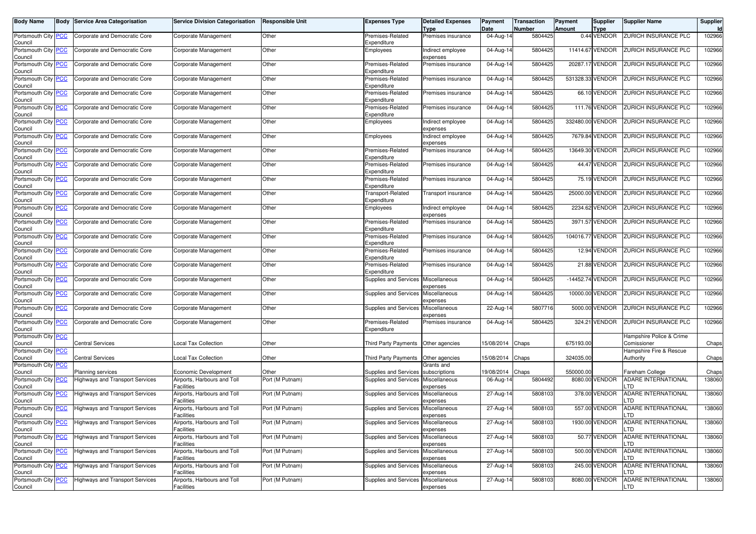| <b>Body Name</b>                      | <b>Body Service Area Categorisation</b> | <b>Service Division Categorisation</b>           | <b>Responsible Unit</b> | <b>Expenses Type</b>                  | <b>Detailed Expenses</b>          | Payment                 | <b>Transaction</b>       | Payment          | Supplier                   | <b>Supplier Name</b>                    | <b>Supplier</b><br>Id |
|---------------------------------------|-----------------------------------------|--------------------------------------------------|-------------------------|---------------------------------------|-----------------------------------|-------------------------|--------------------------|------------------|----------------------------|-----------------------------------------|-----------------------|
| Portsmouth City PCC<br>Council        | Corporate and Democratic Core           | Corporate Management                             | Other                   | Premises-Related<br>Expenditure       | <b>Type</b><br>Premises insurance | Date<br>04-Aug-14       | <b>Number</b><br>5804425 | Amount           | <b>Type</b><br>0.44 VENDOR | ZURICH INSURANCE PLC                    | 102966                |
| Portsmouth City PCC<br>Council        | Corporate and Democratic Core           | Corporate Management                             | Other                   | Employees                             | Indirect employee<br>expenses     | 04-Aug-14               | 5804425                  |                  | 11414.67 VENDOR            | ZURICH INSURANCE PLC                    | 102966                |
| Portsmouth City <b>PCC</b><br>Council | Corporate and Democratic Core           | Corporate Management                             | Other                   | Premises-Related<br>Expenditure       | Premises insurance                | 04-Aug-14               | 5804425                  |                  | 20287.17 VENDOR            | ZURICH INSURANCE PLC                    | 102966                |
| Portsmouth City PCC<br>Council        | Corporate and Democratic Core           | Corporate Management                             | Other                   | Premises-Related<br>Expenditure       | Premises insurance                | 04-Aug-14               | 5804425                  | 531328.33 VENDOR |                            | ZURICH INSURANCE PLC                    | 102966                |
| Portsmouth City PCC<br>Council        | Corporate and Democratic Core           | Corporate Management                             | Other                   | Premises-Related<br>Expenditure       | Premises insurance                | 04-Aug-14               | 5804425                  |                  | 66.10 VENDOR               | ZURICH INSURANCE PLC                    | 102966                |
| Portsmouth City PCC<br>Council        | Corporate and Democratic Core           | Corporate Management                             | Other                   | Premises-Related<br>Expenditure       | Premises insurance                | 04-Aug-14               | 5804425                  |                  | 111.76 VENDOR              | ZURICH INSURANCE PLC                    | 102966                |
| Portsmouth City PCC<br>Council        | Corporate and Democratic Core           | Corporate Management                             | Other                   | Employees                             | Indirect employee<br>expenses     | 04-Aug-14               | 5804425                  | 332480.00 VENDOR |                            | ZURICH INSURANCE PLC                    | 102966                |
| Portsmouth City <b>PCC</b><br>Council | Corporate and Democratic Core           | Corporate Management                             | Other                   | Employees                             | Indirect employee<br>expenses     | 04-Aug-14               | 5804425                  |                  | 7679.84 VENDOR             | ZURICH INSURANCE PLC                    | 102966                |
| Portsmouth City PCC<br>Council        | Corporate and Democratic Core           | Corporate Management                             | Other                   | Premises-Related<br>Expenditure       | Premises insurance                | 04-Aug-14               | 5804425                  | 13649.30         | VENDOR                     | ZURICH INSURANCE PLC                    | 102966                |
| Portsmouth City PCC<br>Council        | Corporate and Democratic Core           | Corporate Management                             | Other                   | Premises-Related<br>Expenditure       | Premises insurance                | 04-Aug-14               | 5804425                  |                  | 44.47 VENDOR               | ZURICH INSURANCE PLC                    | 102966                |
| Portsmouth City PCC<br>Council        | Corporate and Democratic Core           | Corporate Management                             | Other                   | Premises-Related<br>Expenditure       | Premises insurance                | 04-Aug-14               | 5804425                  |                  | 75.19 VENDOR               | ZURICH INSURANCE PLC                    | 102966                |
| Portsmouth City PCC<br>Council        | Corporate and Democratic Core           | Corporate Management                             | Other                   | Transport-Related<br>Expenditure      | Transport insurance               | $\overline{0}$ 4-Aug-14 | 5804425                  |                  | 25000.00 VENDOR            | ZURICH INSURANCE PLC                    | 102966                |
| Portsmouth City PCC<br>Council        | Corporate and Democratic Core           | Corporate Management                             | Other                   | Employees                             | Indirect employee<br>expenses     | 04-Aug-14               | 5804425                  |                  | 2234.62 VENDOR             | ZURICH INSURANCE PLC                    | 102966                |
| Portsmouth City PCC<br>Council        | Corporate and Democratic Core           | Corporate Management                             | Other                   | Premises-Related<br>Expenditure       | Premises insurance                | 04-Aug-14               | 5804425                  |                  | 3971.57 VENDOR             | ZURICH INSURANCE PLC                    | 102966                |
| Portsmouth City PCC<br>Council        | Corporate and Democratic Core           | Corporate Management                             | Other                   | Premises-Related<br>Expenditure       | Premises insurance                | $04 - Aug-14$           | 5804425                  | 104016.77 VENDOR |                            | ZURICH INSURANCE PLC                    | 102966                |
| Portsmouth City PCC<br>Council        | Corporate and Democratic Core           | Corporate Management                             | Other                   | Premises-Related<br>Expenditure       | Premises insurance                | 04-Aug-14               | 5804425                  |                  | 12.94 VENDOR               | ZURICH INSURANCE PLC                    | 102966                |
| Portsmouth City <b>PCC</b><br>Council | Corporate and Democratic Core           | Corporate Management                             | Other                   | Premises-Related<br>Expenditure       | Premises insurance                | 04-Aug-14               | 5804425                  |                  | 21.88 VENDOR               | ZURICH INSURANCE PLC                    | 102966                |
| Portsmouth City PCC<br>Council        | Corporate and Democratic Core           | Corporate Management                             | Other                   | Supplies and Services Miscellaneous   | expenses                          | 04-Aug-14               | 5804425                  |                  | -14452.74 VENDOR           | ZURICH INSURANCE PLC                    | 102966                |
| Portsmouth City <b>PCC</b><br>Council | Corporate and Democratic Core           | Corporate Management                             | Other                   | Supplies and Services Miscellaneous   | expenses                          | 04-Aug-14               | 5804425                  | 10000.00         | VENDOR                     | ZURICH INSURANCE PLC                    | 102966                |
| Portsmouth City PCC<br>Council        | Corporate and Democratic Core           | Corporate Management                             | Other                   | Supplies and Services                 | Miscellaneous<br>expenses         | 22-Aug-14               | 5807716                  | 5000.00          | /ENDOR                     | ZURICH INSURANCE PLC                    | 102966                |
| Portsmouth City PCC<br>Council        | Corporate and Democratic Core           | Corporate Management                             | Other                   | Premises-Related<br>Expenditure       | Premises insurance                | 04-Aug-14               | 5804425                  |                  | 324.21 VENDOR              | ZURICH INSURANCE PLC                    | 102966                |
| Portsmouth City <b>PCC</b><br>Council | <b>Central Services</b>                 | ocal Tax Collection.                             | Other                   | Third Party Payments Other agencies   |                                   | 15/08/2014              | Chaps                    | 675193.00        |                            | Hampshire Police & Crime<br>Comissioner | Chaps                 |
| Portsmouth City PCC<br>Council        | <b>Central Services</b>                 | ocal Tax Collection                              | Other                   | Third Party Payments   Other agencies |                                   | 15/08/2014              | Chaps                    | 324035.00        |                            | Hampshire Fire & Rescue<br>Authority    | Chaps                 |
| Portsmouth City PCC<br>Council        | <b>Planning services</b>                | Economic Development                             | Other                   | Supplies and Services                 | Grants and<br>subscriptions       | 19/08/2014              | Chaps                    | 550000.00        |                            | Fareham College                         | Chaps                 |
| Portsmouth City <b>PCC</b><br>Council | <b>Highways and Transport Services</b>  | Airports, Harbours and Toll<br><b>Facilities</b> | Port (M Putnam)         | Supplies and Services Miscellaneous   | expenses                          | 06-Aug-14               | 5804492                  |                  | 8080.00 VENDOR             | ADARE INTERNATIONAL<br>_TD              | 138060                |
| Portsmouth City PCC<br>Council        | <b>Highways and Transport Services</b>  | Airports, Harbours and Toll<br>Facilities        | Port (M Putnam)         | Supplies and Services                 | Miscellaneous<br>expenses         | 27-Aug-14               | 5808103                  | 378.00           | /ENDOR                     | <b>ADARE INTERNATIONAL</b><br>.TD       | 138060                |
| Portsmouth City PCC<br>Council        | Highways and Transport Services         | Airports, Harbours and Toll<br>Facilities        | Port (M Putnam)         | Supplies and Services Miscellaneous   | expenses                          | 27-Aug-14               | 5808103                  |                  | 557.00 VENDOR              | <b>ADARE INTERNATIONAL</b><br>LTD       | 138060                |
| Portsmouth City   PCC<br>Council      | <b>Highways and Transport Services</b>  | Airports, Harbours and Toll<br><b>Facilities</b> | Port (M Putnam)         | Supplies and Services Miscellaneous   | expenses                          | 2/-Aug-14               | 5808103                  |                  | 1930.00 VENDOR             | ADARE INTERNATIONAL<br>LTD              | 138060                |
| Portsmouth City PCC<br>Council        | <b>Highways and Transport Services</b>  | Airports, Harbours and Toll<br>Facilities        | Port (M Putnam)         | Supplies and Services                 | Miscellaneous<br>expenses         | 27-Aug-14               | 5808103                  |                  | 50.77 VENDOR               | <b>ADARE INTERNATIONAL</b><br>TD.       | 138060                |
| Portsmouth City PCC<br>Council        | <b>Highways and Transport Services</b>  | Airports, Harbours and Toll<br>Facilities        | Port (M Putnam)         | Supplies and Services Miscellaneous   | expenses                          | 27-Aug-14               | 5808103                  |                  | 500.00 VENDOR              | ADARE INTERNATIONAL<br>_TD              | 138060                |
| Portsmouth City PCC<br>Council        | Highways and Transport Services         | Airports, Harbours and Toll<br><b>Facilities</b> | Port (M Putnam)         | Supplies and Services Miscellaneous   | expenses                          | 27-Aug-14               | 5808103                  |                  | 245.00 VENDOR              | ADARE INTERNATIONAL<br>LTD              | 138060                |
| Portsmouth City PCC<br>Council        | <b>Highways and Transport Services</b>  | Airports, Harbours and Toll<br>Facilities        | Port (M Putnam)         | Supplies and Services Miscellaneous   | expenses                          | 27-Aug-14               | 5808103                  |                  | 8080.00 VENDOR             | <b>ADARE INTERNATIONAL</b><br>LTD       | 138060                |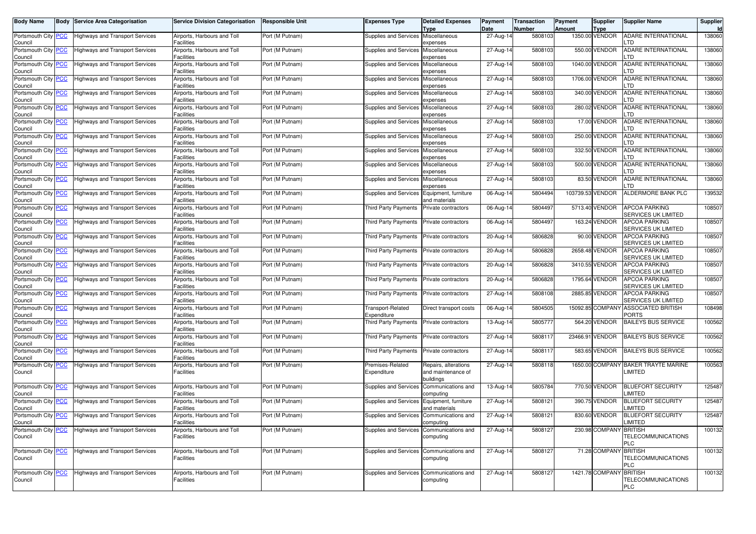| Body Name                             | Body       | <b>Service Area Categorisation</b>     | <b>Service Division Categorisation</b>           | Responsible Unit | <b>Expenses Type</b>                     | <b>Detailed Expenses</b>                                | Payment<br>Date | Transaction<br>Number | Payment<br><b>Amount</b> | <b>Supplier</b>               | <b>Supplier Name</b>                               | Supplier<br><b>Id</b> |
|---------------------------------------|------------|----------------------------------------|--------------------------------------------------|------------------|------------------------------------------|---------------------------------------------------------|-----------------|-----------------------|--------------------------|-------------------------------|----------------------------------------------------|-----------------------|
| Portsmouth City<br>Council            | <b>PCC</b> | <b>Highways and Transport Services</b> | Airports, Harbours and Toll<br>Facilities        | Port (M Putnam)  | Supplies and Services                    | Type<br>Miscellaneous<br>expenses                       | 27-Aug-14       | 5808103               |                          | <b>Type</b><br>1350.00 VENDOR | <b>ADARE INTERNATIONAL</b><br>.TD                  | 138060                |
| Portsmouth City<br>Council            | <b>PCC</b> | <b>Highways and Transport Services</b> | Airports, Harbours and Toll<br><b>Facilities</b> | Port (M Putnam)  | Supplies and Services                    | Miscellaneous<br>expenses                               | 27-Aug-14       | 5808103               |                          | 550.00 VENDOR                 | <b>ADARE INTERNATIONAL</b><br>TD                   | 138060                |
| Portsmouth City<br>Council            |            | <b>Highways and Transport Services</b> | Airports, Harbours and Toll<br>Facilities        | Port (M Putnam)  | Supplies and Services                    | Miscellaneous<br>expenses                               | 27-Aug-14       | 5808103               |                          | 1040.00 VENDOR                | ADARE INTERNATIONAL<br>.TD                         | 138060                |
| Portsmouth City PCC<br>Council        |            | <b>Highways and Transport Services</b> | Airports, Harbours and Toll<br><b>Facilities</b> | Port (M Putnam)  | Supplies and Services                    | Miscellaneous<br>expenses                               | 27-Aug-14       | 5808103               |                          | 1706.00 VENDOR                | ADARE INTERNATIONAL<br>.TD                         | 138060                |
| Portsmouth City PCC<br>Council        |            | <b>Highways and Transport Services</b> | Airports, Harbours and Toll<br>Facilities        | Port (M Putnam)  | Supplies and Services                    | Miscellaneous<br>expenses                               | 27-Aug-14       | 5808103               |                          | 340.00 VENDOR                 | ADARE INTERNATIONAL<br>.TD                         | 138060                |
| Portsmouth City<br>Council            | <u>PCC</u> | <b>Highways and Transport Services</b> | Airports, Harbours and Toll<br><b>Facilities</b> | Port (M Putnam)  | <b>Supplies and Services</b>             | Miscellaneous<br>expenses                               | 27-Aug-14       | 5808103               |                          | 280.02 VENDOR                 | <b>ADARE INTERNATIONAL</b><br>.TD                  | 138060                |
| Portsmouth City PCC<br>Council        |            | <b>Highways and Transport Services</b> | Airports, Harbours and Toll<br><b>Facilities</b> | Port (M Putnam)  | Supplies and Services                    | Miscellaneous<br>expenses                               | 27-Aug-14       | 5808103               |                          | 17.00 VENDOR                  | <b>ADARE INTERNATIONAL</b><br>.TD                  | 138060                |
| Portsmouth City<br>Council            | <u>PCC</u> | <b>Highways and Transport Services</b> | Airports, Harbours and Toll<br>Facilities        | Port (M Putnam)  | Supplies and Services                    | Miscellaneous<br>expenses                               | 27-Aug-14       | 5808103               |                          | 250.00 VENDOR                 | ADARE INTERNATIONAL<br>.TD                         | 138060                |
| Portsmouth City<br>Council            | <b>PCC</b> | <b>Highways and Transport Services</b> | Airports, Harbours and Toll<br>Facilities        | Port (M Putnam)  | Supplies and Services                    | Miscellaneous<br>expenses                               | 27-Aug-14       | 5808103               |                          | 332.50 VENDOR                 | <b>ADARE INTERNATIONAL</b><br>.TD                  | 138060                |
| Portsmouth City <b>PCC</b><br>Council |            | <b>Highways and Transport Services</b> | Airports, Harbours and Toll<br><b>Facilities</b> | Port (M Putnam)  | Supplies and Services                    | Miscellaneous<br>expenses                               | 27-Aug-14       | 5808103               |                          | 500.00 VENDOR                 | <b>ADARE INTERNATIONAL</b><br>.TD                  | 138060                |
| Portsmouth City<br>Council            | <u>PCC</u> | <b>Highways and Transport Services</b> | Airports, Harbours and Toll<br><b>Facilities</b> | Port (M Putnam)  | Supplies and Services                    | Miscellaneous<br>expenses                               | 27-Aug-14       | 5808103               |                          | 83.50 VENDOR                  | ADARE INTERNATIONAL<br>.TD                         | 138060                |
| Portsmouth City PCC<br>Council        |            | <b>Highways and Transport Services</b> | Airports, Harbours and Toll<br><b>Facilities</b> | Port (M Putnam)  | Supplies and Services                    | Equipment, furniture<br>and materials                   | 06-Aug-14       | 5804494               | 103739.53 VENDOR         |                               | ALDERMORE BANK PLC                                 | 139532                |
| Portsmouth City<br>Council            | <b>PCC</b> | <b>Highways and Transport Services</b> | Airports, Harbours and Toll<br><b>Facilities</b> | Port (M Putnam)  | Third Party Payments                     | Private contractors                                     | 06-Aug-14       | 5804497               |                          | 5713.40 VENDOR                | <b>APCOA PARKING</b><br>SERVICES UK LIMITED        | 108507                |
| Portsmouth City<br>Council            | <b>PCC</b> | <b>Highways and Transport Services</b> | Airports, Harbours and Toll<br>Facilities        | Port (M Putnam)  | Third Party Payments                     | Private contractors                                     | 06-Aug-14       | 5804497               |                          | 163.24 VENDOR                 | <b>APCOA PARKING</b><br><b>SERVICES UK LIMITED</b> | 108507                |
| Portsmouth City PCC<br>Council        |            | <b>Highways and Transport Services</b> | Airports, Harbours and Toll<br><b>Facilities</b> | Port (M Putnam)  | Third Party Payments                     | Private contractors                                     | $20 - Aug-14$   | 5806828               |                          | 90.00 VENDOR                  | <b>APCOA PARKING</b><br>SERVICES UK LIMITED        | 108507                |
| Portsmouth City PCC<br>Council        |            | <b>Highways and Transport Services</b> | Airports, Harbours and Toll<br><b>Facilities</b> | Port (M Putnam)  | <b>Third Party Payments</b>              | Private contractors                                     | 20-Aug-14       | 5806828               |                          | 2658.48 VENDOR                | <b>APCOA PARKING</b><br>SERVICES UK LIMITED        | 108507                |
| Portsmouth City<br>Council            | <b>PCC</b> | <b>Highways and Transport Services</b> | Airports, Harbours and Toll<br>Facilities        | Port (M Putnam)  | Third Party Payments                     | Private contractors                                     | 20-Aug-14       | 5806828               |                          | 3410.55 VENDOR                | <b>APCOA PARKING</b><br>SERVICES UK LIMITED        | 108507                |
| Portsmouth City PCC<br>Council        |            | <b>Highways and Transport Services</b> | Airports, Harbours and Toll<br><b>Facilities</b> | Port (M Putnam)  | Third Party Payments                     | Private contractors                                     | 20-Aug-14       | 5806828               |                          | 1795.64 VENDOR                | <b>APCOA PARKING</b><br>SERVICES UK LIMITED        | 108507                |
| Portsmouth City<br>Council            | <b>PCC</b> | <b>Highways and Transport Services</b> | Airports, Harbours and Toll<br>Facilities        | Port (M Putnam)  | Third Party Payments                     | Private contractors                                     | 27-Aug-14       | 5808108               |                          | 2885.85 VENDOR                | <b>APCOA PARKING</b><br>SERVICES UK LIMITED        | 108507                |
| Portsmouth City<br>Council            | <u>CC</u>  | <b>Highways and Transport Services</b> | Airports, Harbours and Toll<br>Facilities        | Port (M Putnam)  | <b>Transport-Related</b><br>Expenditure  | Direct transport costs                                  | 06-Aug-14       | 5804505               |                          | 15092.85 COMPANY              | <b>ASSOCIATED BRITISH</b><br>PORTS                 | 108498                |
| Portsmouth City<br>Council            | <b>PCC</b> | <b>Highways and Transport Services</b> | Airports, Harbours and Toll<br><b>Facilities</b> | Port (M Putnam)  | Third Party Payments                     | Private contractors                                     | 13-Aug-14       | 5805777               |                          | 564.20 VENDOR                 | <b>BAILEYS BUS SERVICE</b>                         | 100562                |
| Portsmouth City PCC<br>Council        |            | <b>Highways and Transport Services</b> | Airports, Harbours and Toll<br><b>Facilities</b> | Port (M Putnam)  | Third Party Payments                     | Private contractors                                     | 27-Aug-14       | 5808117               |                          | 23466.91 VENDOR               | <b>BAILEYS BUS SERVICE</b>                         | 100562                |
| Portsmouth City<br>Council            | <b>PCC</b> | <b>Highways and Transport Services</b> | Airports, Harbours and Toll<br>Facilities        | Port (M Putnam)  | Third Party Payments                     | Private contractors                                     | 27-Aug-14       | 5808117               |                          | 583.65 VENDOR                 | <b>BAILEYS BUS SERVICE</b>                         | 100562                |
| Portsmouth City PCC<br>Council        |            | <b>Highways and Transport Services</b> | Airports, Harbours and Toll<br><b>Facilities</b> | Port (M Putnam)  | Premises-Related<br>Expenditure          | Repairs, alterations<br>and maintenance of<br>buildings | 27-Aug-14       | 5808118               |                          |                               | 1650.00 COMPANY BAKER TRAYTE MARINE<br>LIMITED     | 100563                |
| Portsmouth City PCC<br>Council        |            | <b>Highways and Transport Services</b> | Airports, Harbours and Toll<br>Facilities        | Port (M Putnam)  | <b>Supplies and Services</b>             | Communications and<br>computing                         | 13-Aug-14       | 5805784               |                          | 770.50 VENDOR                 | <b>BLUEFORT SECURITY</b><br>LIMITED                | 125487                |
| Portsmouth City <b>PCC</b><br>Council |            | <b>Highways and Transport Services</b> | Airports, Harbours and Toll<br>Facilities        | Port (M Putnam)  | Supplies and Services                    | Equipment, furniture<br>and materials                   | 27-Aug-14       | 5808121               |                          | 390.75 VENDOR                 | <b>BLUEFORT SECURITY</b><br>LIMITED                | 125487                |
| Portsmouth City PCC<br>Council        |            | <b>Highways and Transport Services</b> | Airports, Harbours and Toll<br>Facilities        | Port (M Putnam)  | Supplies and Services                    | Communications and<br>computing                         | 27-Aug-14       | 5808121               |                          | 830.60 VENDOR                 | <b>BLUEFORT SECURITY</b><br>LIMITED                | 125487                |
| Portsmouth City PCC<br>Council        |            | <b>Highways and Transport Services</b> | Airports, Harbours and Toll<br>Facilities        | Port (M Putnam)  | Supplies and Services Communications and | computing                                               | 27-Aug-14       | 5808127               |                          | 230.98 COMPANY BRITISH        | TELECOMMUNICATIONS<br><b>PLC</b>                   | 100132                |
| Portsmouth City PCC<br>Council        |            | <b>Highways and Transport Services</b> | Airports, Harbours and Toll<br>Facilities        | Port (M Putnam)  | Supplies and Services Communications and | computing                                               | 27-Aug-14       | 5808127               |                          | 71.28 COMPANY BRITISH         | <b>TELECOMMUNICATIONS</b><br>PLC                   | 100132                |
| Portsmouth City PCC<br>Council        |            | <b>Highways and Transport Services</b> | Airports, Harbours and Toll<br>Facilities        | Port (M Putnam)  | Supplies and Services Communications and | computing                                               | 27-Aug-14       | 5808127               |                          | 1421.78 COMPANY BRITISH       | TELECOMMUNICATIONS<br>PLC                          | 100132                |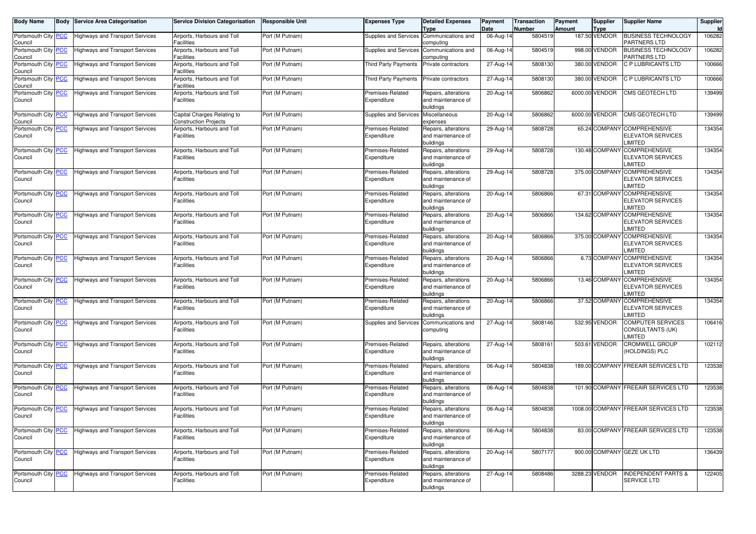| <b>Body Name</b>               | <b>Body Service Area Categorisation</b> | <b>Service Division Categorisation</b>                      | Responsible Unit | <b>Expenses Type</b>            | <b>Detailed Expenses</b><br>Type                        | Payment<br>Date | Transaction<br>Number | Payment<br>Amount | <b>Supplier</b><br><b>Type</b> | <b>Supplier Name</b>                                               | Supplier<br>Id |
|--------------------------------|-----------------------------------------|-------------------------------------------------------------|------------------|---------------------------------|---------------------------------------------------------|-----------------|-----------------------|-------------------|--------------------------------|--------------------------------------------------------------------|----------------|
| Portsmouth City PCC<br>Council | <b>Highways and Transport Services</b>  | Airports, Harbours and Toll<br><b>Facilities</b>            | Port (M Putnam)  | Supplies and Services           | Communications and<br>computing                         | $06$ -Aug-14    | 5804519               |                   | 187.50 VENDOR                  | <b>BUSINESS TECHNOLOGY</b><br>PARTNERS LTD                         | 106282         |
| Portsmouth City PCC<br>Council | <b>Highways and Transport Services</b>  | Airports, Harbours and Toll<br><b>Facilities</b>            | Port (M Putnam)  | Supplies and Services           | Communications and<br>computing                         | 06-Aug-14       | 5804519               |                   | 998.00 VENDOR                  | <b>BUSINESS TECHNOLOGY</b><br>PARTNERS LTD                         | 106282         |
| Portsmouth City PCC<br>Council | Highways and Transport Services         | Airports, Harbours and Toll<br>Facilities                   | Port (M Putnam)  | Third Party Payments            | Private contractors                                     | 27-Aug-14       | 5808130               |                   | 380.00 VENDOR                  | <b>C P LUBRICANTS LTD</b>                                          | 100666         |
| Portsmouth City PCC<br>Council | <b>Highways and Transport Services</b>  | Airports, Harbours and Toll<br><b>Facilities</b>            | Port (M Putnam)  | Third Party Payments            | Private contractors                                     | 27-Aug-14       | 5808130               |                   | 380.00 VENDOR                  | C P LUBRICANTS LTD                                                 | 100666         |
| Portsmouth City PCC<br>Council | <b>Highways and Transport Services</b>  | Airports, Harbours and Toll<br>Facilities                   | Port (M Putnam)  | Premises-Related<br>Expenditure | Repairs, alterations<br>and maintenance of<br>buildings | 20-Aug-14       | 5806862               |                   | 6000.00 VENDOR                 | CMS GEOTECH LTD                                                    | 139499         |
| Portsmouth City PCC<br>Council | <b>Highways and Transport Services</b>  | Capital Charges Relating to<br><b>Construction Projects</b> | Port (M Putnam)  | Supplies and Services           | Miscellaneous<br>expenses                               | 20-Aug-14       | 5806862               |                   | 6000.00 VENDOR                 | <b>CMS GEOTECH LTD</b>                                             | 139499         |
| Portsmouth City PCC<br>Council | Highways and Transport Services         | Airports, Harbours and Toll<br>Facilities                   | Port (M Putnam)  | Premises-Related<br>Expenditure | Repairs, alterations<br>and maintenance of<br>buildings | 29-Aug-14       | 5808728               |                   |                                | 65.24 COMPANY COMPREHENSIVE<br><b>ELEVATOR SERVICES</b><br>LIMITED | 134354         |
| Portsmouth City PCC<br>Council | <b>Highways and Transport Services</b>  | Airports, Harbours and Toll<br><b>Facilities</b>            | Port (M Putnam)  | Premises-Related<br>Expenditure | Repairs, alterations<br>and maintenance of<br>buildings | 29-Aug-14       | 5808728               |                   | 130.48 COMPANY                 | <b>COMPREHENSIVE</b><br><b>ELEVATOR SERVICES</b><br>LIMITED        | 134354         |
| Portsmouth City PCC<br>Council | <b>Highways and Transport Services</b>  | Airports, Harbours and Toll<br><b>Facilities</b>            | Port (M Putnam)  | Premises-Related<br>Expenditure | Repairs, alterations<br>and maintenance of<br>buildings | 29-Aug-14       | 5808728               |                   | 375.00 COMPANY                 | <b>COMPREHENSIVE</b><br><b>ELEVATOR SERVICES</b><br>LIMITED        | 134354         |
| Portsmouth City PCC<br>Council | <b>Highways and Transport Services</b>  | Airports, Harbours and Toll<br><b>Facilities</b>            | Port (M Putnam)  | Premises-Related<br>Expenditure | Repairs, alterations<br>and maintenance of<br>buildings | 20-Aug-14       | 5806866               |                   | 67.31 COMPANY                  | <b>COMPREHENSIVE</b><br><b>ELEVATOR SERVICES</b><br>LIMITED        | 134354         |
| Portsmouth City PCC<br>Council | <b>Highways and Transport Services</b>  | Airports, Harbours and Toll<br><b>Facilities</b>            | Port (M Putnam)  | Premises-Related<br>Expenditure | Repairs, alterations<br>and maintenance of<br>buildings | 20-Aug-14       | 5806866               |                   | 134.62 COMPANY                 | <b>COMPREHENSIVE</b><br><b>ELEVATOR SERVICES</b><br>LIMITED        | 134354         |
| Portsmouth City PCC<br>Council | <b>Highways and Transport Services</b>  | Airports, Harbours and Toll<br><b>Facilities</b>            | Port (M Putnam)  | Premises-Related<br>Expenditure | Repairs, alterations<br>and maintenance of<br>buildings | 20-Aug-14       | 5806866               |                   | 375.00 COMPANY                 | <b>COMPREHENSIVE</b><br><b>ELEVATOR SERVICES</b><br>LIMITED        | 134354         |
| Portsmouth City PCC<br>Council | <b>Highways and Transport Services</b>  | Airports, Harbours and Toll<br><b>Facilities</b>            | Port (M Putnam)  | Premises-Related<br>Expenditure | Repairs, alterations<br>and maintenance of<br>buildings | 20-Aug-14       | 5806866               |                   | 6.73 COMPANY                   | <b>COMPREHENSIVE</b><br><b>ELEVATOR SERVICES</b><br>LIMITED        | 134354         |
| Portsmouth City PCC<br>Council | <b>Highways and Transport Services</b>  | Airports, Harbours and Toll<br><b>Facilities</b>            | Port (M Putnam)  | Premises-Related<br>Expenditure | Repairs, alterations<br>and maintenance of<br>buildings | 20-Aug-14       | 5806866               |                   | 13.46 COMPANY                  | <b>COMPREHENSIVE</b><br><b>ELEVATOR SERVICES</b><br>LIMITED        | 134354         |
| Portsmouth City PCC<br>Council | <b>Highways and Transport Services</b>  | Airports, Harbours and Toll<br><b>Facilities</b>            | Port (M Putnam)  | Premises-Related<br>Expenditure | Repairs, alterations<br>and maintenance of<br>buildings | 20-Aug-14       | 5806866               |                   | 37.52 COMPANY                  | <b>COMPREHENSIVE</b><br><b>ELEVATOR SERVICES</b><br>LIMITED        | 134354         |
| Portsmouth City PCC<br>Council | <b>Highways and Transport Services</b>  | Airports, Harbours and Toll<br><b>Facilities</b>            | Port (M Putnam)  | Supplies and Services           | Communications and<br>computing                         | 27-Aug-14       | 5808146               |                   | 532.95 VENDOR                  | COMPUTER SERVICES<br>CONSULTANTS (UK)<br><b>IMITED</b>             | 106416         |
| Portsmouth City PCC<br>Council | Highways and Transport Services         | Airports, Harbours and Toll<br><b>Facilities</b>            | Port (M Putnam)  | Premises-Related<br>Expenditure | Repairs, alterations<br>and maintenance of<br>buildings | 27-Aug-14       | 5808161               |                   | 503.61 VENDOR                  | CROMWELL GROUP<br>(HOLDINGS) PLC                                   | 102112         |
| Portsmouth City PCC<br>Council | <b>Highways and Transport Services</b>  | Airports, Harbours and Toll<br><b>Facilities</b>            | Port (M Putnam)  | Premises-Related<br>Expenditure | Repairs, alterations<br>and maintenance of<br>buildings | 06-Aug-14       | 5804838               |                   |                                | 189.00 COMPANY FREEAIR SERVICES LTD                                | 123538         |
| Portsmouth City PCC<br>Council | <b>Highways and Transport Services</b>  | Airports, Harbours and Toll<br><b>Facilities</b>            | Port (M Putnam)  | Premises-Related<br>Expenditure | Repairs, alterations<br>and maintenance of<br>buildings | 06-Aug-14       | 5804838               |                   |                                | 101.90 COMPANY FREEAIR SERVICES LTD                                | 123538         |
| Portsmouth City PCC<br>Council | <b>Highways and Transport Services</b>  | Airports, Harbours and Toll<br><b>Facilities</b>            | Port (M Putnam)  | Premises-Related<br>Expenditure | Repairs, alterations<br>and maintenance of<br>buildings | 06-Aug-14       | 5804838               |                   |                                | 1008.00 COMPANY FREEAIR SERVICES LTD                               | 123538         |
| Portsmouth City PCC<br>Council | <b>Highways and Transport Services</b>  | Airports, Harbours and Toll<br>Facilities                   | Port (M Putnam)  | Premises-Related<br>Expenditure | Repairs, alterations<br>and maintenance of<br>buildings | 06-Aug-14       | 5804838               |                   |                                | 83.00 COMPANY FREEAIR SERVICES LTD                                 | 123538         |
| Portsmouth City PCC<br>Council | <b>Highways and Transport Services</b>  | Airports, Harbours and Toll<br>Facilities                   | Port (M Putnam)  | Premises-Related<br>Expenditure | Repairs, alterations<br>and maintenance of<br>buildings | $20 - Aug-14$   | 5807177               |                   |                                | 900.00 COMPANY GEZE UK LTD                                         | 136439         |
| Portsmouth City PCC<br>Council | <b>Highways and Transport Services</b>  | Airports, Harbours and Toll<br><b>Facilities</b>            | Port (M Putnam)  | Premises-Related<br>Expenditure | Repairs, alterations<br>and maintenance of<br>buildings | 27-Aug-14       | 5808486               |                   | 3288.23 VENDOR                 | <b>INDEPENDENT PARTS &amp;</b><br>SERVICE LTD                      | 122405         |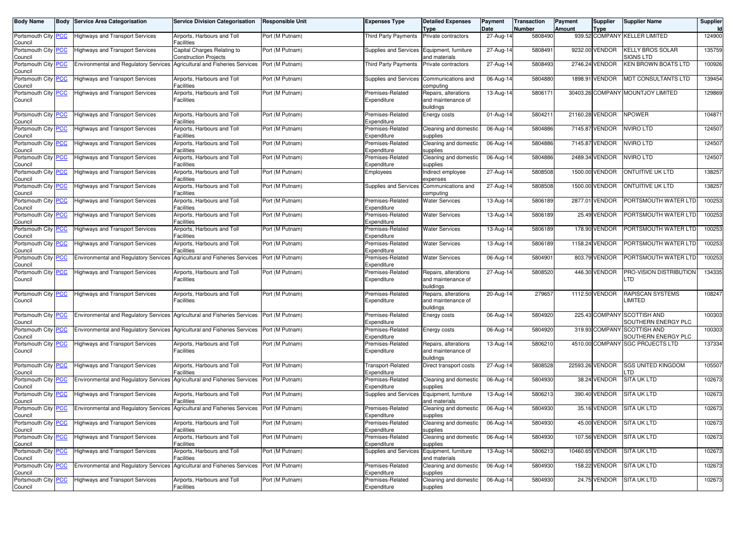| <b>Body Name</b>                      | <b>Body Service Area Categorisation</b>                                                   | <b>Service Division Categorisation</b>                      | <b>Responsible Unit</b> | Expenses Type                           | <b>Detailed Expenses</b>                                | Payment             | <b>Transaction</b><br><b>Number</b> | Payment | <b>Supplier</b> | <b>Supplier Name</b>                               | Supplier |
|---------------------------------------|-------------------------------------------------------------------------------------------|-------------------------------------------------------------|-------------------------|-----------------------------------------|---------------------------------------------------------|---------------------|-------------------------------------|---------|-----------------|----------------------------------------------------|----------|
| Portsmouth City PCC<br>Council        | <b>Highways and Transport Services</b>                                                    | Airports, Harbours and Toll<br>Facilities                   | Port (M Putnam)         | <b>Third Party Payments</b>             | <b>Type</b><br>Private contractors                      | Date<br>$27-Aug-14$ | 5808490                             | Amount  | <b>Type</b>     | 939.52 COMPANY KELLER LIMITED                      | 124900   |
| Portsmouth City PCC<br>Council        | <b>Highways and Transport Services</b>                                                    | Capital Charges Relating to<br><b>Construction Projects</b> | Port (M Putnam)         | Supplies and Services                   | Equipment, furniture<br>and materials                   | 27-Aug-14           | 580849                              |         | 9232.00 VENDOR  | KELLY BROS SOLAR<br>SIGNS LTD                      | 135759   |
| Portsmouth City PCC<br>Council        | Environmental and Regulatory Services Agricultural and Fisheries Services Port (M Putnam) |                                                             |                         | <b>Third Party Payments</b>             | Private contractors                                     | 27-Aug-14           | 5808493                             |         | 2746.24 VENDOR  | KEN BROWN BOATS LTD                                | 100926   |
| Portsmouth City PCC<br>Council        | <b>Highways and Transport Services</b>                                                    | Airports, Harbours and Toll<br>Facilities                   | Port (M Putnam)         | Supplies and Services                   | Communications and<br>computing                         | 06-Aug-14           | 5804880                             |         | 1898.91 VENDOR  | MDT CONSULTANTS LTD                                | 139454   |
| Portsmouth City PCC<br>Council        | <b>Highways and Transport Services</b>                                                    | Airports, Harbours and Toll<br>Facilities                   | Port (M Putnam)         | Premises-Related<br>Expenditure         | Repairs, alterations<br>and maintenance of<br>buildings | 13-Aug-14           | 580617                              |         |                 | 30403.26 COMPANY MOUNTJOY LIMITED                  | 129869   |
| Portsmouth City PCC<br>Council        | <b>Highways and Transport Services</b>                                                    | Airports, Harbours and Toll<br>Facilities                   | Port (M Putnam)         | Premises-Related<br>Expenditure         | Energy costs                                            | 01-Aug-14           | 580421                              |         | 21160.28 VENDOR | <b>NPOWER</b>                                      | 10487    |
| Portsmouth City PCC<br>Council        | <b>Highways and Transport Services</b>                                                    | Airports, Harbours and Toll<br><b>Facilities</b>            | Port (M Putnam)         | Premises-Related<br>Expenditure         | Cleaning and domestic<br>supplies                       | 06-Aug-14           | 5804886                             |         | 7145.87 VENDOR  | NVIRO LTD                                          | 124507   |
| Portsmouth City PCC<br>Council        | <b>Highways and Transport Services</b>                                                    | Airports, Harbours and Toll<br>Facilities                   | Port (M Putnam)         | Premises-Related<br>Expenditure         | Cleaning and domestic<br>supplies                       | 06-Aug-14           | 5804886                             |         | 7145.87 VENDOR  | NVIRO LTD                                          | 124507   |
| Portsmouth City PCC<br>Council        | <b>Highways and Transport Services</b>                                                    | Airports, Harbours and Toll<br><b>Facilities</b>            | Port (M Putnam)         | Premises-Related<br>Expenditure         | Cleaning and domestic<br>supplies                       | 06-Aug-14           | 5804886                             |         | 2489.34 VENDOR  | NVIRO LTD                                          | 124507   |
| Portsmouth City PCC<br>Council        | <b>Highways and Transport Services</b>                                                    | Airports, Harbours and Toll<br><b>Facilities</b>            | Port (M Putnam)         | Employees                               | Indirect employee<br>expenses                           | 27-Aug-14           | 5808508                             |         | 1500.00 VENDOR  | ONTUITIVE UK LTD                                   | 138257   |
| Portsmouth City PCC<br>Council        | <b>Highways and Transport Services</b>                                                    | Airports, Harbours and Toll<br>Facilities                   | Port (M Putnam)         | Supplies and Services                   | Communications and<br>computing                         | 27-Aug-14           | 5808508                             |         | 1500.00 VENDOR  | <b>ONTUITIVE UK LTD</b>                            | 138257   |
| Portsmouth City PCC<br>Council        | <b>Highways and Transport Services</b>                                                    | Airports, Harbours and Toll<br><b>Facilities</b>            | Port (M Putnam)         | Premises-Related<br>Expenditure         | <b>Water Services</b>                                   | 13-Aug-14           | 5806189                             |         | 2877.01 VENDOR  | PORTSMOUTH WATER LTD                               | 100253   |
| Portsmouth City PCC<br>Council        | <b>Highways and Transport Services</b>                                                    | Airports, Harbours and Toll<br><b>Facilities</b>            | Port (M Putnam)         | Premises-Related<br>Expenditure         | <b>Water Services</b>                                   | 13-Aug-14           | 5806189                             |         | 25.49 VENDOR    | PORTSMOUTH WATER LTD                               | 100253   |
| Portsmouth City PCC<br>Council        | <b>Highways and Transport Services</b>                                                    | Airports, Harbours and Toll<br><b>Facilities</b>            | Port (M Putnam)         | Premises-Related<br>Expenditure         | <b>Water Services</b>                                   | 13-Aug-14           | 5806189                             |         | 178.90 VENDOR   | PORTSMOUTH WATER LTD                               | 100253   |
| Portsmouth City PCC<br>Council        | <b>Highways and Transport Services</b>                                                    | Airports, Harbours and Toll<br>Facilities                   | Port (M Putnam)         | Premises-Related<br>Expenditure         | <b>Water Services</b>                                   | 13-Aug-14           | 5806189                             |         | 1158.24 VENDOR  | PORTSMOUTH WATER LTD                               | 100253   |
| Portsmouth City PCC<br>Council        | <b>Environmental and Regulatory Services</b>                                              | Agricultural and Fisheries Services                         | Port (M Putnam)         | Premises-Related<br>Expenditure         | <b>Water Services</b>                                   | 06-Aug-14           | 5804901                             |         | 803.79 VENDOR   | PORTSMOUTH WATER LTD                               | 100253   |
| Portsmouth City PCC<br>Council        | <b>Highways and Transport Services</b>                                                    | Airports, Harbours and Toll<br><b>Facilities</b>            | Port (M Putnam)         | Premises-Related<br>Expenditure         | Repairs, alterations<br>and maintenance of<br>buildings | 27-Aug-14           | 5808520                             |         | 446.30 VENDOR   | PRO-VISION DISTRIBUTION<br>LTD                     | 134335   |
| Portsmouth City PCC<br>Council        | <b>Highways and Transport Services</b>                                                    | Airports, Harbours and Toll<br><b>Facilities</b>            | Port (M Putnam)         | Premises-Related<br>Expenditure         | Repairs, alterations<br>and maintenance of<br>buildings | 20-Aug-14           | 279657                              |         | 1112.50 VENDOR  | <b>RAPISCAN SYSTEMS</b><br>LIMITED                 | 108247   |
| Portsmouth City PCC<br>Council        | <b>Environmental and Regulatory Services</b>                                              | Agricultural and Fisheries Services                         | Port (M Putnam)         | Premises-Related<br>Expenditure         | Energy costs                                            | 06-Aug-14           | 5804920                             |         |                 | 225.43 COMPANY SCOTTISH AND<br>SOUTHERN ENERGY PLC | 100303   |
| Portsmouth City PCC<br>Council        | Environmental and Regulatory Services Agricultural and Fisheries Services                 |                                                             | Port (M Putnam)         | Premises-Related<br>Expenditure         | Energy costs                                            | 06-Aug-14           | 5804920                             |         | 319.93 COMPANY  | <b>SCOTTISH AND</b><br>SOUTHERN ENERGY PLC         | 100303   |
| Portsmouth City PCC<br>Council        | <b>Highways and Transport Services</b>                                                    | Airports, Harbours and Toll<br>Facilities                   | Port (M Putnam)         | Premises-Related<br>Expenditure         | Repairs, alterations<br>and maintenance of<br>buildings | 13-Aug-14           | 5806210                             |         |                 | 4510.00 COMPANY SGC PROJECTS LTD                   | 137334   |
| Portsmouth City PCC<br>Council        | <b>Highways and Transport Services</b>                                                    | Airports, Harbours and Toll<br>Facilities                   | Port (M Putnam)         | <b>Transport-Related</b><br>Expenditure | Direct transport costs                                  | 27-Aug-14           | 5808528                             |         | 22593.26 VENDOR | <b>SGS UNITED KINGDOM</b><br>.TD                   | 105507   |
| Portsmouth City PCC<br>Council        | <b>Environmental and Regulatory Services</b>                                              | Agricultural and Fisheries Services                         | Port (M Putnam)         | Premises-Related<br>Expenditure         | Cleaning and domestic<br>supplies                       | 06-Aug-14           | 5804930                             |         | 38.24 VENDOR    | SITA UK LTD                                        | 102673   |
| Portsmouth City PCC<br>Council        | <b>Highways and Transport Services</b>                                                    | Airports, Harbours and Toll<br>Facilities                   | Port (M Putnam)         | Supplies and Services                   | Equipment, furniture<br>and materials                   | 13-Aug-14           | 5806213                             |         | 390.40 VENDOR   | <b>SITA UK LTD</b>                                 | 102673   |
| Portsmouth City PCC<br>Council        | Environmental and Regulatory Services Agricultural and Fisheries Services                 |                                                             | Port (M Putnam)         | Premises-Related<br>Expenditure         | Cleaning and domestic<br>supplies                       | 06-Aug-14           | 5804930                             |         | 35.16 VENDOR    | SITA UK LTD                                        | 102673   |
| Portsmouth City <b>PCC</b><br>Council | <b>Highways and Transport Services</b>                                                    | Airports, Harbours and Toll<br><b>Facilities</b>            | Port (M Putnam)         | Premises-Related<br>Expenditure         | Cleaning and domestic<br>supplies                       | 06-Aug-14           | 5804930                             |         |                 | 45.00 VENDOR SIIA UK LID                           | 1026731  |
| Portsmouth City PCC<br>Council        | <b>Highways and Transport Services</b>                                                    | Airports, Harbours and Toll<br><b>Facilities</b>            | Port (M Putnam)         | Premises-Related<br>Expenditure         | Cleaning and domestic<br>supplies                       | 06-Aug-14           | 5804930                             |         | 107.56 VENDOR   | SITA UK LTD                                        | 102673   |
| Portsmouth City PCC<br>Council        | <b>Highways and Transport Services</b>                                                    | Airports, Harbours and Toll<br>Facilities                   | Port (M Putnam)         | Supplies and Services                   | Equipment, furniture<br>and materials                   | 13-Aug-14           | 5806213                             |         | 10460.65 VENDOR | SITA UK LTD                                        | 102673   |
| Portsmouth City PCC<br>Council        | <b>Environmental and Regulatory Services</b>                                              | Agricultural and Fisheries Services Port (M Putnam)         |                         | Premises-Related<br>Expenditure         | Cleaning and domestic<br>supplies                       | 06-Aug-14           | 5804930                             |         | 158.22 VENDOR   | <b>SITA UK LTD</b>                                 | 102673   |
| Portsmouth City PCC<br>Council        | <b>Highways and Transport Services</b>                                                    | Airports, Harbours and Toll<br><b>Facilities</b>            | Port (M Putnam)         | Premises-Related<br>Expenditure         | Cleaning and domestic<br>supplies                       | 06-Aug-14           | 5804930                             |         | 24.75 VENDOR    | SITA UK LTD                                        | 102673   |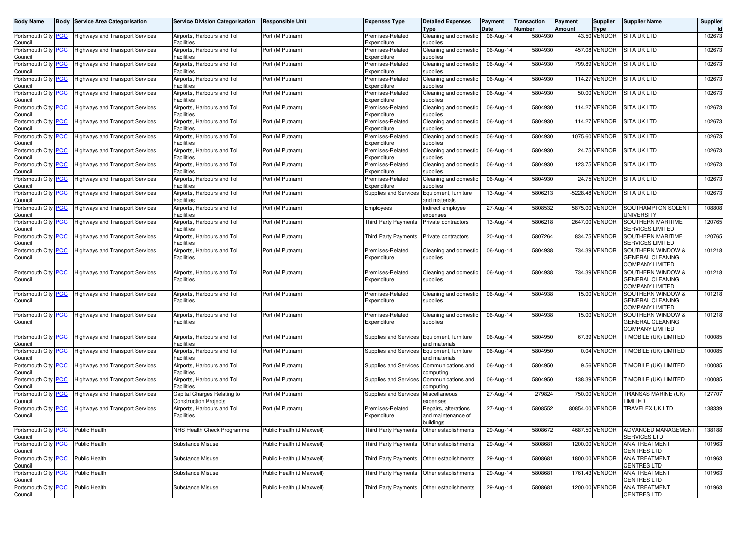| <b>Body Name</b>               | Body | <b>Service Area Categorisation</b>     | <b>Service Division Categorisation</b>                      | <b>Responsible Unit</b>   | <b>Expenses Type</b>                 | <b>Detailed Expenses</b><br>Type                        | Payment<br>Date | Transaction<br>Number | Payment<br>Amount | <b>Supplier</b><br><b>Type</b> | <b>Supplier Name</b>                                                   | Supplier<br>Id |
|--------------------------------|------|----------------------------------------|-------------------------------------------------------------|---------------------------|--------------------------------------|---------------------------------------------------------|-----------------|-----------------------|-------------------|--------------------------------|------------------------------------------------------------------------|----------------|
| Portsmouth City PCC<br>Council |      | <b>Highways and Transport Services</b> | Airports, Harbours and Toll<br>Facilities                   | Port (M Putnam)           | Premises-Related<br>Expenditure      | Cleaning and domestic<br>supplies                       | 06-Aug-14       | 5804930               |                   | 43.50 VENDOR                   | <b>SITA UK LTD</b>                                                     | 102673         |
| Portsmouth City PCC<br>Council |      | <b>Highways and Transport Services</b> | Airports, Harbours and Toll<br><b>Facilities</b>            | Port (M Putnam)           | Premises-Related<br>Expenditure      | Cleaning and domestic<br>supplies                       | 06-Aug-14       | 5804930               |                   | 457.08 VENDOR                  | <b>SITA UK LTD</b>                                                     | 102673         |
| Portsmouth City PCC<br>Council |      | <b>Highways and Transport Services</b> | Airports, Harbours and Toll<br>Facilities                   | Port (M Putnam)           | Premises-Related<br>Expenditure      | Cleaning and domestic<br>supplies                       | 06-Aug-14       | 5804930               |                   | 799.89 VENDOR                  | <b>SITA UK LTD</b>                                                     | 102673         |
| Portsmouth City PCC<br>Council |      | <b>Highways and Transport Services</b> | Airports, Harbours and Toll<br>Facilities                   | Port (M Putnam)           | Premises-Related<br>Expenditure      | Cleaning and domestic<br>supplies                       | 06-Aug-14       | 5804930               |                   | 114.27 VENDOR                  | <b>SITA UK LTD</b>                                                     | 102673         |
| Portsmouth City PCC            |      | <b>Highways and Transport Services</b> | Airports, Harbours and Toll<br><b>Facilities</b>            | Port (M Putnam)           | Premises-Related                     | Cleaning and domestic                                   | 06-Aug-14       | 5804930               |                   | 50.00 VENDOR                   | <b>SITA UK LTD</b>                                                     | 102673         |
| Council<br>Portsmouth City PCC |      | <b>Highways and Transport Services</b> | Airports, Harbours and Toll                                 | Port (M Putnam)           | Expenditure<br>Premises-Related      | supplies<br>Cleaning and domestic                       | 06-Aug-14       | 5804930               |                   | 114.27 VENDOR                  | <b>SITA UK LTD</b>                                                     | 102673         |
| Council<br>Portsmouth City PCC |      | <b>Highways and Transport Services</b> | Facilities<br>Airports, Harbours and Toll                   | Port (M Putnam)           | Expenditure<br>Premises-Related      | supplies<br>Cleaning and domestic                       | 06-Aug-14       | 5804930               |                   | 114.27 VENDOR                  | SITA UK LTD                                                            | 102673         |
| Council<br>Portsmouth City PCC |      | <b>Highways and Transport Services</b> | Facilities<br>Airports, Harbours and Toll                   | Port (M Putnam)           | Expenditure<br>Premises-Related      | supplies<br>Cleaning and domestic                       | 06-Aug-14       | 5804930               |                   | 1075.60 VENDOR                 | <b>SITA UK LTD</b>                                                     | 102673         |
| Council<br>Portsmouth City PCC |      | <b>Highways and Transport Services</b> | Facilities<br>Airports, Harbours and Toll                   | Port (M Putnam)           | Expenditure<br>Premises-Related      | supplies<br>Cleaning and domestic                       | 06-Aug-14       | 5804930               |                   | 24.75 VENDOR                   | SITA UK LTD                                                            | 102673         |
| Council<br>Portsmouth City PCC |      | <b>Highways and Transport Services</b> | Facilities<br>Airports, Harbours and Toll                   | Port (M Putnam)           | Expenditure<br>Premises-Related      | supplies<br>Cleaning and domestic                       | 06-Aug-14       | 5804930               |                   | 123.75 VENDOR                  | <b>SITA UK LTD</b>                                                     | 102673         |
| Council<br>Portsmouth City PCC |      | Highways and Transport Services        | <b>Facilities</b><br>Airports, Harbours and Toll            | Port (M Putnam)           | Expenditure<br>Premises-Related      | supplies<br>Cleaning and domestic                       | 06-Aug-14       | 5804930               |                   | 24.75 VENDOR                   | <b>SITA UK LTD</b>                                                     | 102673         |
| Council<br>Portsmouth City PCC |      | <b>Highways and Transport Services</b> | <b>Facilities</b><br>Airports, Harbours and Toll            | Port (M Putnam)           | Expenditure<br>Supplies and Services | supplies<br>Equipment, furniture                        | 13-Aug-14       | 5806213               |                   | -5228.48 VENDOR                | <b>SITA UK LTD</b>                                                     | 102673         |
| Council<br>Portsmouth City PCC |      | <b>Highways and Transport Services</b> | Facilities<br>Airports, Harbours and Toll                   | Port (M Putnam)           | Employees                            | and materials<br>Indirect employee                      | 27-Aug-14       | 5808532               |                   | 5875.00 VENDOR                 | SOUTHAMPTON SOLENT                                                     | 108808         |
| Council<br>Portsmouth City PCC |      | <b>Highways and Transport Services</b> | <b>Facilities</b><br>Airports, Harbours and Toll            | Port (M Putnam)           | <b>Third Party Payments</b>          | expenses<br>Private contractors                         | 13-Aug-14       | 5806218               |                   | 2647.00 VENDOR                 | UNIVERSITY<br>SOUTHERN MARITIME                                        | 120765         |
| Council<br>Portsmouth City PCC |      | <b>Highways and Transport Services</b> | Facilities<br>Airports, Harbours and Toll                   | Port (M Putnam)           | <b>Third Party Payments</b>          | Private contractors                                     | 20-Aug-14       | 5807264               |                   | 834.75 VENDOR                  | SERVICES LIMITED<br>SOUTHERN MARITIME                                  | 120765         |
| Council<br>Portsmouth City PCC |      | <b>Highways and Transport Services</b> | Facilities<br>Airports, Harbours and Toll                   | Port (M Putnam)           | Premises-Related                     | Cleaning and domestic                                   | 06-Aug-14       | 5804938               |                   | 734.39 VENDOR                  | <b>SERVICES LIMITED</b><br><b>SOUTHERN WINDOW &amp;</b>                | 101218         |
| Council                        |      |                                        | <b>Facilities</b>                                           |                           | Expenditure                          | supplies                                                |                 |                       |                   |                                | GENERAL CLEANING<br><b>COMPANY LIMITED</b>                             |                |
| Portsmouth City PCC            |      | <b>Highways and Transport Services</b> | Airports, Harbours and Toll<br>Facilities                   | Port (M Putnam)           | Premises-Related                     | Cleaning and domestic                                   | 06-Aug-14       | 5804938               |                   | 734.39 VENDOR                  | SOUTHERN WINDOW &<br><b>GENERAL CLEANING</b>                           | 101218         |
| Council                        |      |                                        |                                                             |                           | Expenditure                          | supplies                                                |                 |                       |                   |                                | <b>COMPANY LIMITED</b>                                                 |                |
| Portsmouth City PCC<br>Council |      | <b>Highways and Transport Services</b> | Airports, Harbours and Toll<br><b>Facilities</b>            | Port (M Putnam)           | Premises-Related<br>Expenditure      | Cleaning and domestic<br>supplies                       | 06-Aug-14       | 5804938               |                   | 15.00 VENDOR                   | SOUTHERN WINDOW &<br><b>GENERAL CLEANING</b><br><b>COMPANY LIMITED</b> | 101218         |
| Portsmouth City PCC            |      | <b>Highways and Transport Services</b> | Airports, Harbours and Toll                                 | Port (M Putnam)           | Premises-Related                     | Cleaning and domestic                                   | 06-Aug-14       | 5804938               |                   | 15.00 VENDOR                   | SOUTHERN WINDOW &                                                      | 101218         |
| Council                        |      |                                        | <b>Facilities</b>                                           |                           | Expenditure                          | supplies                                                |                 |                       |                   |                                | GENERAL CLEANING<br>COMPANY LIMITED                                    |                |
| Portsmouth City PCC<br>Council |      | <b>Highways and Transport Services</b> | Airports, Harbours and Toll<br>Facilities                   | Port (M Putnam)           | Supplies and Services                | Equipment, furniture<br>and materials                   | 06-Aug-14       | 5804950               |                   | 67.39 VENDOR                   | T MOBILE (UK) LIMITED                                                  | 100085         |
| Portsmouth City PCC<br>Council |      | <b>Highways and Transport Services</b> | Airports, Harbours and Toll<br>Facilities                   | Port (M Putnam)           | Supplies and Services                | Equipment, furniture<br>and materials                   | 06-Aug-14       | 5804950               |                   | 0.04 VENDOR                    | T MOBILE (UK) LIMITED                                                  | 100085         |
| Portsmouth City PCC<br>Council |      | <b>Highways and Transport Services</b> | Airports, Harbours and Toll<br>Facilities                   | Port (M Putnam)           | Supplies and Services                | Communications and<br>computing                         | 06-Aug-14       | 5804950               |                   | 9.56 VENDOR                    | <b>F MOBILE (UK) LIMITED</b>                                           | 100085         |
| Portsmouth City PCC<br>Council |      | <b>Highways and Transport Services</b> | Airports, Harbours and Toll<br>Facilities                   | Port (M Putnam)           | Supplies and Services                | Communications and<br>computing                         | 06-Aug-14       | 5804950               |                   | 138.39 VENDOR                  | T MOBILE (UK) LIMITED                                                  | 100085         |
| Portsmouth City PCC<br>Council |      | <b>Highways and Transport Services</b> | Capital Charges Relating to<br><b>Construction Projects</b> | Port (M Putnam)           | Supplies and Services                | Miscellaneous<br>expenses                               | 27-Aug-14       | 279824                |                   | 750.00 VENDOR                  | TRANSAS MARINE (UK)<br>_IMITED                                         | 127707         |
| Portsmouth City PCC<br>Council |      | <b>Highways and Transport Services</b> | Airports, Harbours and Toll<br><b>Facilities</b>            | Port (M Putnam)           | Premises-Related<br>Expenditure      | Repairs, alterations<br>and maintenance of<br>buildings | 27-Aug-14       | 5808552               |                   | 80854.00 VENDOR                | TRAVELEX UK LTD                                                        | 138339         |
| Portsmouth City PCC<br>Council |      | Public Health                          | NHS Health Check Programme                                  | Public Health (J Maxwell) | Third Party Payments                 | Other establishments                                    | 29-Aug-14       | 5808672               |                   | 4687.50 VENDOR                 | ADVANCED MANAGEMENT<br>SERVICES LTD                                    | 138188         |
| Portsmouth City PCC<br>Council |      | Public Health                          | Substance Misuse                                            | Public Health (J Maxwell) | <b>Third Party Payments</b>          | Other establishments                                    | 29-Aug-14       | 5808681               |                   | 1200.00 VENDOR                 | <b>ANA TREATMENT</b><br><b>CENTRES LTD</b>                             | 101963         |
| Portsmouth City PCC<br>Council |      | Public Health                          | Substance Misuse                                            | Public Health (J Maxwell) | Third Party Payments                 | Other establishments                                    | 29-Aug-14       | 5808681               |                   | 1800.00 VENDOR                 | ANA TREATMENT<br><b>CENTRES LTD</b>                                    | 101963         |
| Portsmouth City PCC<br>Council |      | Public Health                          | Substance Misuse                                            | Public Health (J Maxwell) | Third Party Payments                 | Other establishments                                    | 29-Aug-14       | 5808681               |                   | 1761.43 VENDOR                 | ANA TREATMENT<br><b>CENTRES LTD</b>                                    | 101963         |
| Portsmouth City PCC            |      | Public Health                          | Substance Misuse                                            | Public Health (J Maxwell) | Third Party Payments                 | Other establishments                                    | 29-Aug-14       | 5808681               |                   | 1200.00 VENDOR                 | <b>ANA TREATMENT</b>                                                   | 101963         |
| Council                        |      |                                        |                                                             |                           |                                      |                                                         |                 |                       |                   |                                | <b>CENTRES LTD</b>                                                     |                |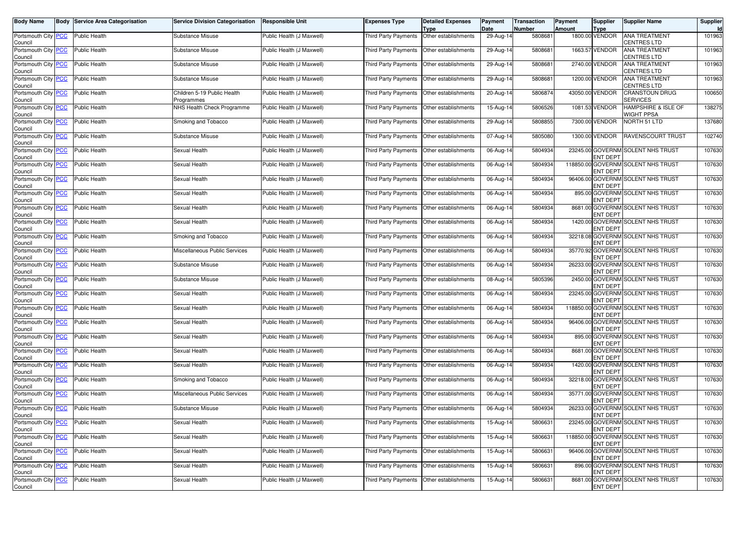| <b>Body Name</b>                      | <b>Body Service Area Categorisation</b> | <b>Service Division Categorisation</b>    | <b>Responsible Unit</b>   | Expenses Type                               | <b>Detailed Expenses</b><br>Type            | Payment<br>Date | Transaction<br>Number | Payment<br><b>Amount</b> | Supplier<br>Type | <b>Supplier Name</b>                       | Supplier<br>Id |
|---------------------------------------|-----------------------------------------|-------------------------------------------|---------------------------|---------------------------------------------|---------------------------------------------|-----------------|-----------------------|--------------------------|------------------|--------------------------------------------|----------------|
| Portsmouth City PCC<br>Council        | Public Health                           | Substance Misuse                          | Public Health (J Maxwell) | <b>Third Party Payments</b>                 | Other establishments                        | 29-Aug-14       | 5808681               |                          | 1800.00 VENDOR   | <b>ANA TREATMENT</b><br><b>CENTRES LTD</b> | 101963         |
| Portsmouth City PCC<br>Council        | <b>Public Health</b>                    | Substance Misuse                          | Public Health (J Maxwell) | Third Party Payments                        | Other establishments                        | 29-Aug-14       | 5808681               |                          | 1663.57 VENDOR   | <b>ANA TREATMENT</b><br>CENTRES LTD        | 101963         |
| Portsmouth City PCC<br>Council        | Public Health                           | Substance Misuse                          | Public Health (J Maxwell) | Third Party Payments                        | Other establishments                        | 29-Aug-14       | 5808681               |                          | 2740.00 VENDOR   | ANA TREATMENT<br>CENTRES LTD               | 101963         |
| Portsmouth City PCC<br>Council        | Public Health                           | Substance Misuse                          | Public Health (J Maxwell) | Third Party Payments                        | Other establishments                        | 29-Aug-14       | 5808681               |                          | 1200.00 VENDOR   | <b>ANA TREATMENT</b><br><b>CENTRES LTD</b> | 101963         |
| Portsmouth City PCC<br>Council        | <b>Public Health</b>                    | Children 5-19 Public Health<br>Programmes | Public Health (J Maxwell) | Third Party Payments   Other establishments |                                             | 20-Aug-14       | 5806874               |                          | 43050.00 VENDOR  | <b>CRANSTOUN DRUG</b><br>SERVICES          | 100650         |
| Portsmouth City PCC<br>Council        | Public Health                           | NHS Health Check Programme                | Public Health (J Maxwell) | Third Party Payments                        | Other establishments                        | 15-Aug-14       | 5806526               |                          | 1081.53 VENDOR   | HAMPSHIRE & ISLE OF<br>WIGHT PPSA          | 138275         |
| Portsmouth City PCC<br>Council        | <b>Public Health</b>                    | Smoking and Tobacco                       | Public Health (J Maxwell) | Third Party Payments                        | Other establishments                        | 29-Aug-14       | 5808855               |                          | 7300.00 VENDOR   | NORTH 51 LTD                               | 137680         |
| Portsmouth City PCC<br>Council        | <b>Public Health</b>                    | Substance Misuse                          | Public Health (J Maxwell) | Third Party Payments   Other establishments |                                             | 07-Aug-14       | 5805080               |                          | 1300.00 VENDOR   | <b>RAVENSCOURT TRUST</b>                   | 102740         |
| Portsmouth City PCC<br>Council        | Public Health                           | Sexual Health                             | Public Health (J Maxwell) | Third Party Payments                        | Other establishments                        | 06-Aug-14       | 5804934               |                          | <b>ENT DEPT</b>  | 23245.00 GOVERNM SOLENT NHS TRUST          | 107630         |
| Portsmouth City <b>PCC</b><br>Council | Public Health                           | Sexual Health                             | Public Health (J Maxwell) | Third Party Payments                        | Other establishments                        | 06-Aug-14       | 5804934               |                          | <b>ENT DEPT</b>  | 118850.00 GOVERNM SOLENT NHS TRUST         | 107630         |
| Portsmouth City PCC<br>Council        | <b>Public Health</b>                    | Sexual Health                             | Public Health (J Maxwell) | Third Party Payments   Other establishments |                                             | 06-Aug-14       | 5804934               |                          | <b>ENT DEPT</b>  | 96406.00 GOVERNM SOLENT NHS TRUST          | 107630         |
| Portsmouth City PCC<br>Council        | Public Health                           | Sexual Health                             | Public Health (J Maxwell) | Third Party Payments                        | Other establishments                        | 06-Aug-14       | 5804934               |                          | <b>ENT DEPT</b>  | 895.00 GOVERNM SOLENT NHS TRUST            | 107630         |
| Portsmouth City <b>PCC</b><br>Council | Public Health                           | Sexual Health                             | Public Health (J Maxwell) | Third Party Payments                        | Other establishments                        | 06-Aug-14       | 5804934               |                          | <b>ENT DEPT</b>  | 8681.00 GOVERNM SOLENT NHS TRUST           | 107630         |
| Portsmouth City PCC<br>Council        | Public Health                           | Sexual Health                             | Public Health (J Maxwell) | Third Party Payments                        | Other establishments                        | 06-Aug-14       | 5804934               |                          | <b>ENT DEPT</b>  | 1420.00 GOVERNM SOLENT NHS TRUST           | 107630         |
| Portsmouth City PCC<br>Council        | Public Health                           | Smoking and Tobacco                       | Public Health (J Maxwell) | Third Party Payments                        | Other establishments                        | 06-Aug-14       | 5804934               |                          | <b>ENT DEPT</b>  | 32218.08 GOVERNM SOLENT NHS TRUST          | 107630         |
| Portsmouth City PCC<br>Council        | Public Health                           | Miscellaneous Public Services             | Public Health (J Maxwell) |                                             | Third Party Payments   Other establishments | 06-Aug-14       | 5804934               |                          | <b>ENT DEPT</b>  | 35770.92 GOVERNM SOLENT NHS TRUST          | 107630         |
| Portsmouth City PCC<br>Council        | Public Health                           | Substance Misuse                          | Public Health (J Maxwell) | Third Party Payments                        | Other establishments                        | 06-Aug-14       | 5804934               |                          | <b>ENT DEPT</b>  | 26233.00 GOVERNM SOLENT NHS TRUST          | 107630         |
| Portsmouth City PCC<br>Council        | Public Health                           | Substance Misuse                          | Public Health (J Maxwell) | Third Party Payments                        | Other establishments                        | 08-Aug-14       | 5805396               |                          | <b>ENT DEPT</b>  | 2450.00 GOVERNM SOLENT NHS TRUST           | 107630         |
| Portsmouth City PCC<br>Council        | Public Health                           | Sexual Health                             | Public Health (J Maxwell) | Third Party Payments                        | Other establishments                        | 06-Aug-14       | 5804934               |                          | <b>ENT DEPT</b>  | 23245.00 GOVERNM SOLENT NHS TRUST          | 107630         |
| Portsmouth City PCC<br>Council        | Public Health                           | Sexual Health                             | Public Health (J Maxwell) | Third Party Payments                        | Other establishments                        | 06-Aug-14       | 5804934               |                          | <b>ENT DEPT</b>  | 118850.00 GOVERNM SOLENT NHS TRUST         | 107630         |
| Portsmouth City PCC<br>Council        | Public Health                           | Sexual Health                             | Public Health (J Maxwell) | Third Party Payments                        | Other establishments                        | 06-Aug-14       | 5804934               |                          | <b>ENT DEPT</b>  | 96406.00 GOVERNM SOLENT NHS TRUST          | 107630         |
| Portsmouth City PCC<br>Council        | Public Health                           | Sexual Health                             | Public Health (J Maxwell) |                                             | Third Party Payments   Other establishments | 06-Aug-14       | 5804934               |                          | <b>ENT DEPT</b>  | 895.00 GOVERNM SOLENT NHS TRUST            | 107630         |
| Portsmouth City PCC<br>Council        | Public Health                           | Sexual Health                             | Public Health (J Maxwell) | Third Party Payments                        | Other establishments                        | 06-Aug-14       | 5804934               |                          | <b>ENT DEPT</b>  | 8681.00 GOVERNM SOLENT NHS TRUST           | 107630         |
| Portsmouth City PCC<br>Council        | Public Health                           | Sexual Health                             | Public Health (J Maxwell) | Third Party Payments                        | Other establishments                        | 06-Aug-14       | 5804934               |                          | <b>ENT DEPT</b>  | 1420.00 GOVERNM SOLENT NHS TRUST           | 107630         |
| Portsmouth City PCC<br>Council        | Public Health                           | Smoking and Tobacco                       | Public Health (J Maxwell) | Third Party Payments   Other establishments |                                             | 06-Aug-14       | 5804934               |                          | <b>ENT DEPT</b>  | 32218.00 GOVERNM SOLENT NHS TRUST          | 107630         |
| Portsmouth City PCC<br>Council        | Public Health                           | Miscellaneous Public Services             | Public Health (J Maxwell) | Third Party Payments                        | Other establishments                        | 06-Aug-14       | 5804934               |                          | <b>ENT DEPT</b>  | 35771.00 GOVERNM SOLENT NHS TRUST          | 107630         |
| Portsmouth City PCC<br>Council        | Public Health                           | Substance Misuse                          | Public Health (J Maxwell) | Third Party Payments                        | Other establishments                        | 06-Aug-14       | 5804934               |                          | <b>ENT DEPT</b>  | 26233.00 GOVERNM SOLENT NHS TRUST          | 107630         |
| Portsmouth City PCC<br>Council        | <b>Public Health</b>                    | Sexual Health                             | Public Health (J Maxwell) | Third Party Payments   Other establishments |                                             | 15-Aug-14       | 5806631               |                          | <b>ENT DEPT</b>  | 23245.00 GOVERNM SOLENT NHS TRUST          | 107630         |
| Portsmouth City PCC<br>Council        | Public Health                           | Sexual Health                             | Public Health (J Maxwell) | Third Party Payments   Other establishments |                                             | 15-Aug-14       | 5806631               |                          | <b>ENT DEPT</b>  | 118850.00 GOVERNM SOLENT NHS TRUST         | 107630         |
| Portsmouth City PCC<br>Council        | <b>Public Health</b>                    | Sexual Health                             | Public Health (J Maxwell) | Third Party Payments Other establishments   |                                             | 15-Aug-14       | 5806631               |                          | <b>ENT DEPT</b>  | 96406.00 GOVERNM SOLENT NHS TRUST          | 107630         |
| Portsmouth City PCC<br>Council        | Public Health                           | Sexual Health                             | Public Health (J Maxwell) | Third Party Payments Other establishments   |                                             | 15-Aug-14       | 5806631               |                          | <b>ENT DEPT</b>  | 896.00 GOVERNM SOLENT NHS TRUST            | 107630         |
| Portsmouth City PCC<br>Council        | Public Health                           | Sexual Health                             | Public Health (J Maxwell) | Third Party Payments Other establishments   |                                             | 15-Aug-14       | 5806631               |                          | <b>ENT DEPT</b>  | 8681.00 GOVERNM SOLENT NHS TRUST           | 107630         |
|                                       |                                         |                                           |                           |                                             |                                             |                 |                       |                          |                  |                                            |                |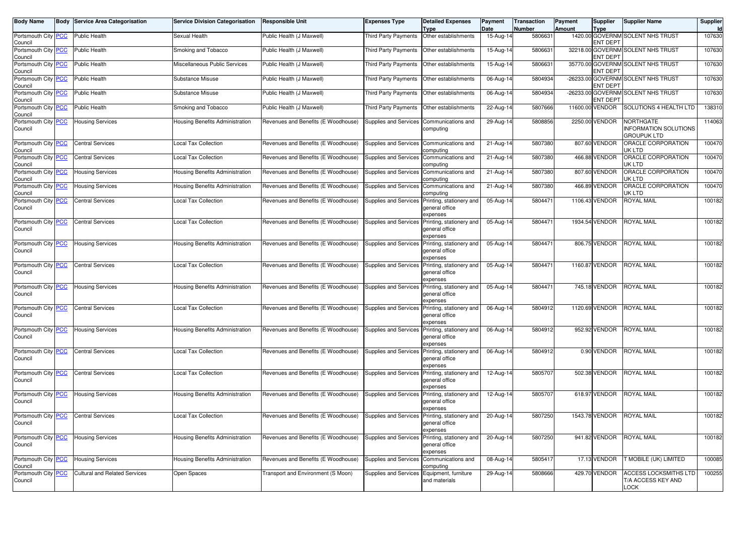| Body Name                      | <b>Body Service Area Categorisation</b> | <b>Service Division Categorisation</b> | Responsible Unit                    | Expenses Type                               | <b>Detailed Expenses</b><br><b>Type</b>                                      | Payment<br>Date         | Transaction<br>Number | Payment<br><b>Amount</b> | <b>Supplier</b><br><b>Type</b> | <b>Supplier Name</b>                                            | Supplier<br>ld |
|--------------------------------|-----------------------------------------|----------------------------------------|-------------------------------------|---------------------------------------------|------------------------------------------------------------------------------|-------------------------|-----------------------|--------------------------|--------------------------------|-----------------------------------------------------------------|----------------|
| Portsmouth City PCC<br>Council | Public Health                           | Sexual Health                          | Public Health (J Maxwell)           | Third Party Payments                        | Other establishments                                                         | 15-Aug-14               | 5806631               |                          | <b>ENT DEPT</b>                | 1420.00 GOVERNM SOLENT NHS TRUST                                | 107630         |
| Portsmouth City PCC<br>Council | <b>Public Health</b>                    | Smoking and Tobacco                    | Public Health (J Maxwell)           | Third Party Payments                        | Other establishments                                                         | 15-Aug-14               | 580663                |                          | ENT DEPT                       | 32218.00 GOVERNM SOLENT NHS TRUST                               | 107630         |
| Portsmouth City PCC<br>Council | Public Health                           | Miscellaneous Public Services          | Public Health (J Maxwell)           | Third Party Payments                        | Other establishments                                                         | 15-Aug-14               | 580663                |                          | <b>ENT DEPT</b>                | 35770.00 GOVERNM SOLENT NHS TRUST                               | 107630         |
| Portsmouth City PCC<br>Council | Public Health                           | Substance Misuse                       | Public Health (J Maxwell)           | Third Party Payments   Other establishments |                                                                              | 06-Aug-14               | 5804934               |                          | <b>ENT DEPT</b>                | -26233.00 GOVERNM SOLENT NHS TRUST                              | 107630         |
| Portsmouth City PCC<br>Council | Public Health                           | Substance Misuse                       | Public Health (J Maxwell)           | Third Party Payments                        | Other establishments                                                         | 06-Aug-14               | 5804934               |                          | <b>ENT DEPT</b>                | -26233.00 GOVERNM SOLENT NHS TRUST                              | 107630         |
| Portsmouth City PCC<br>Council | Public Health                           | Smoking and Tobacco                    | Public Health (J Maxwell)           | <b>Third Party Payments</b>                 | Other establishments                                                         | 22-Aug-14               | 5807666               |                          | 11600.00 VENDOR                | SOLUTIONS 4 HEALTH LTD                                          | 138310         |
| Portsmouth City PCC<br>Council | <b>Housing Services</b>                 | Housing Benefits Administration        | Revenues and Benefits (E Woodhouse) | Supplies and Services Communications and    | computing                                                                    | 29-Aug-14               | 5808856               |                          | 2250.00 VENDOR                 | NORTHGATE<br><b>INFORMATION SOLUTIONS</b><br><b>GROUPUK LTD</b> | 114063         |
| Portsmouth City PCC<br>Council | <b>Central Services</b>                 | <b>Local Tax Collection</b>            | Revenues and Benefits (E Woodhouse) | <b>Supplies and Services</b>                | Communications and<br>computing                                              | 21-Aug-14               | 5807380               |                          | 807.60 VENDOR                  | ORACLE CORPORATION<br>JK LTD                                    | 100470         |
| Portsmouth City PCC<br>Council | <b>Central Services</b>                 | <b>Local Tax Collection</b>            | Revenues and Benefits (E Woodhouse) | Supplies and Services                       | Communications and<br>computina                                              | 21-Aug-14               | 5807380               |                          | 466.88 VENDOR                  | ORACLE CORPORATION<br>JK LTD                                    | 100470         |
| Portsmouth City PCC<br>Council | <b>Housing Services</b>                 | Housing Benefits Administration        | Revenues and Benefits (E Woodhouse) | Supplies and Services                       | Communications and<br>computing                                              | 21-Aug-14               | 5807380               |                          | 807.60 VENDOR                  | ORACLE CORPORATION<br>UK LTD                                    | 100470         |
| Portsmouth City PCC<br>Council | <b>Housing Services</b>                 | Housing Benefits Administration        | Revenues and Benefits (E Woodhouse) | Supplies and Services                       | Communications and<br>computing                                              | $\overline{21}$ -Aug-14 | 5807380               |                          | 466.89 VENDOR                  | ORACLE CORPORATION<br>JK LTD                                    | 100470         |
| Portsmouth City PCC<br>Council | <b>Central Services</b>                 | <b>Local Tax Collection</b>            | Revenues and Benefits (E Woodhouse) | Supplies and Services                       | Printing, stationery and<br>deneral office<br>expenses                       | 05-Aug-14               | 5804471               |                          | 1106.43 VENDOR                 | <b>ROYAL MAIL</b>                                               | 100182         |
| Portsmouth City PCC<br>Council | <b>Central Services</b>                 | <b>Local Tax Collection</b>            | Revenues and Benefits (E Woodhouse) | Supplies and Services                       | Printing, stationery and<br>general office<br>expenses                       | 05-Aug-14               | 5804471               |                          | 1934.54 VENDOR                 | <b>ROYAL MAIL</b>                                               | 100182         |
| Portsmouth City PCC<br>Council | <b>Housing Services</b>                 | Housing Benefits Administration        | Revenues and Benefits (E Woodhouse) | Supplies and Services                       | Printing, stationery and<br>general office<br>expenses                       | 05-Aug-14               | 5804471               |                          | 806.75 VENDOR                  | <b>ROYAL MAIL</b>                                               | 100182         |
| Portsmouth City PCC<br>Council | <b>Central Services</b>                 | Local Tax Collection                   | Revenues and Benefits (E Woodhouse) | Supplies and Services                       | Printing, stationery and<br>general office<br>expenses                       | 05-Aug-14               | 5804471               |                          | 1160.87 VENDOR                 | <b>ROYAL MAIL</b>                                               | 100182         |
| Portsmouth City PCC<br>Council | <b>Housing Services</b>                 | Housing Benefits Administration        | Revenues and Benefits (E Woodhouse) | Supplies and Services                       | Printing, stationery and<br>general office<br>expenses                       | 05-Aug-14               | 5804471               |                          | 745.18 VENDOR                  | <b>ROYAL MAIL</b>                                               | 100182         |
| Portsmouth City PCC<br>Council | <b>Central Services</b>                 | <b>Local Tax Collection</b>            | Revenues and Benefits (E Woodhouse) | Supplies and Services                       | Printing, stationery and<br>general office<br>expenses                       | 06-Aug-14               | 5804912               |                          | 1120.69 VENDOR                 | <b>ROYAL MAIL</b>                                               | 100182         |
| Portsmouth City PCC<br>Council | <b>Housing Services</b>                 | Housing Benefits Administration        | Revenues and Benefits (E Woodhouse) | Supplies and Services                       | Printing, stationery and<br>general office<br>expenses                       | 06-Aug-14               | 5804912               |                          | 952.92 VENDOR                  | <b>ROYAL MAIL</b>                                               | 100182         |
| Portsmouth City PCC<br>Council | <b>Central Services</b>                 | <b>Local Tax Collection</b>            | Revenues and Benefits (E Woodhouse) | <b>Supplies and Services</b>                | Printing, stationery and<br>general office<br>expenses                       | 06-Aug-14               | 5804912               |                          | 0.90 VENDOR                    | <b>ROYAL MAIL</b>                                               | 100182         |
| Portsmouth City PCC<br>Council | <b>Central Services</b>                 | <b>Local Tax Collection</b>            | Revenues and Benefits (E Woodhouse) | Supplies and Services                       | Printing, stationery and<br>general office<br>expenses                       | 12-Aug-14               | 5805707               |                          | 502.38 VENDOR                  | <b>ROYAL MAIL</b>                                               | 100182         |
| Portsmouth City PCC<br>Council | <b>Housing Services</b>                 | Housing Benefits Administration        | Revenues and Benefits (E Woodhouse) | Supplies and Services                       | Printing, stationery and<br>general office<br>expenses                       | 12-Aug-14               | 5805707               |                          | 618.97 VENDOR                  | <b>ROYAL MAIL</b>                                               | 100182         |
| Portsmouth City PCC<br>Council | <b>Central Services</b>                 | <b>Local Tax Collection</b>            | Revenues and Benefits (E Woodhouse) |                                             | Supplies and Services Printing, stationery and<br>general office<br>expenses | 20-Aug-14               | 5807250               |                          | 1543.78 VENDOR                 | <b>ROYAL MAIL</b>                                               | 100182         |
| Portsmouth City PCC<br>Council | <b>Housing Services</b>                 | Housing Benefits Administration        | Revenues and Benefits (E Woodhouse) | Supplies and Services                       | Printing, stationery and<br>general office<br>expenses                       | 20-Aug-14               | 5807250               |                          | 941.82 VENDOR                  | <b>ROYAL MAIL</b>                                               | 100182         |
| Portsmouth City PCC<br>Council | <b>Housing Services</b>                 | Housing Benefits Administration        | Revenues and Benefits (E Woodhouse) | Supplies and Services                       | Communications and<br>computing                                              | 08-Aug-14               | 5805417               |                          | 17.13 VENDOR                   | T MOBILE (UK) LIMITED                                           | 100085         |
| Portsmouth City PCC<br>Council | <b>Cultural and Related Services</b>    | Open Spaces                            | Transport and Environment (S Moon)  | Supplies and Services                       | Equipment, furniture<br>and materials                                        | 29-Aug-14               | 5808666               |                          | 429.70 VENDOR                  | ACCESS LOCKSMITHS LTD<br>T/A ACCESS KEY AND<br>LOCK             | 100255         |
|                                |                                         |                                        |                                     |                                             |                                                                              |                         |                       |                          |                                |                                                                 |                |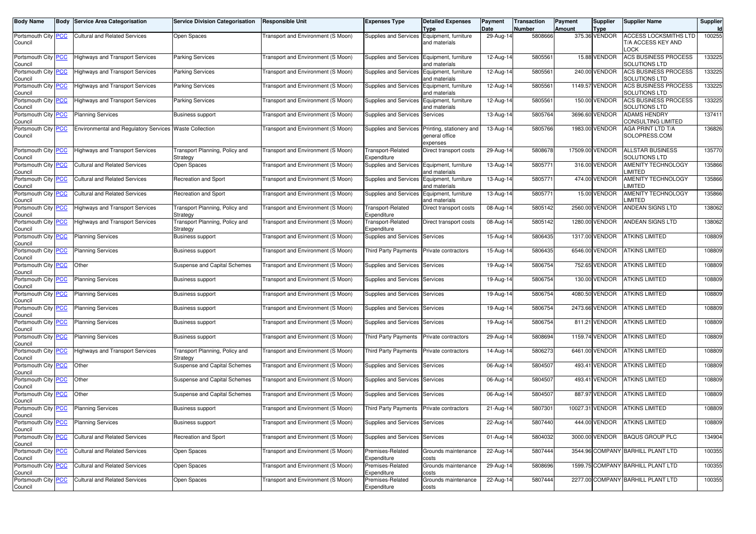| <b>Body Name</b>               | Body       | Service Area Categorisation                  | <b>Service Division Categorisation</b> | <b>Responsible Unit</b>                   | <b>Expenses Type</b>                       | <b>Detailed Expenses</b> | Payment           | <b>Transaction</b> | Payment | <b>Supplier</b>       | <b>Supplier Name</b>              | Supplier            |
|--------------------------------|------------|----------------------------------------------|----------------------------------------|-------------------------------------------|--------------------------------------------|--------------------------|-------------------|--------------------|---------|-----------------------|-----------------------------------|---------------------|
|                                |            | Cultural and Related Services                |                                        |                                           | Supplies and Services Equipment, furniture | <b>Type</b>              | Date<br>29-Aug-14 | Number             | Amount  | Type<br>375.36 VENDOR | ACCESS LOCKSMITHS LTD             | <b>Id</b><br>100255 |
| Portsmouth City PCC<br>Council |            |                                              | Open Spaces                            | Transport and Environment (S Moon)        |                                            | and materials            |                   | 5808666            |         |                       | T/A ACCESS KEY AND                |                     |
|                                |            |                                              |                                        |                                           |                                            |                          |                   |                    |         |                       | .OCK                              |                     |
| Portsmouth City PCC            |            | <b>Highways and Transport Services</b>       | Parking Services                       | Transport and Environment (S Moon)        | Supplies and Services Equipment, furniture |                          | 12-Aug-14         | 580556             |         | 15.88 VENDOR          | ACS BUSINESS PROCESS              | 133225              |
| Council                        |            |                                              |                                        |                                           |                                            | and materials            |                   |                    |         |                       | <b>SOLUTIONS LTD</b>              |                     |
| Portsmouth City PCC            |            | <b>Highways and Transport Services</b>       | Parking Services                       | Transport and Environment (S Moon)        | Supplies and Services                      | Equipment, furniture     | 12-Aug-14         | 5805561            |         | 240.00 VENDOR         | ACS BUSINESS PROCESS              | 133225              |
| Council                        |            |                                              |                                        |                                           |                                            | and materials            |                   |                    |         |                       | SOLUTIONS LTD                     |                     |
| Portsmouth City PCC            |            | <b>Highways and Transport Services</b>       | Parking Services                       | Transport and Environment (S Moon)        | Supplies and Services                      | Equipment, furniture     | 12-Aug-14         | 5805561            |         | 1149.57 VENDOR        | ACS BUSINESS PROCESS              | 133225              |
| Council                        |            |                                              |                                        |                                           |                                            | and materials            |                   |                    |         |                       | <b>SOLUTIONS LTD</b>              |                     |
| Portsmouth City PCC            |            | <b>Highways and Transport Services</b>       | Parking Services                       | Transport and Environment (S Moon)        | Supplies and Services                      | Equipment, furniture     | 12-Aug-14         | 5805561            |         | 150.00 VENDOR         | ACS BUSINESS PROCESS              | 133225              |
| Council                        |            |                                              |                                        |                                           |                                            | and materials            |                   |                    |         |                       | <b>SOLUTIONS LTD</b>              |                     |
| Portsmouth City                | <b>PCC</b> | <b>Planning Services</b>                     | Business support                       | Transport and Environment (S Moon)        | Supplies and Services                      | Services                 | 13-Aug-14         | 5805764            |         | 3696.60 VENDOR        | <b>ADAMS HENDRY</b>               | 137411              |
| Council                        |            |                                              |                                        |                                           |                                            |                          |                   |                    |         |                       | CONSULTING LIMITED                |                     |
| Portsmouth City PCC            |            | <b>Environmental and Regulatory Services</b> | <b>Waste Collection</b>                | Transport and Environment (S Moon)        | Supplies and Services                      | Printing, stationery and | 13-Aug-14         | 5805766            |         | 1983.00 VENDOR        | AGA PRINT LTD T/A                 | 136826              |
| Council                        |            |                                              |                                        |                                           |                                            | general office           |                   |                    |         |                       | SOLOPRESS.COM                     |                     |
|                                |            |                                              |                                        |                                           |                                            | expenses                 |                   |                    |         |                       |                                   |                     |
| Portsmouth City PCC            |            | <b>Highways and Transport Services</b>       | Transport Planning, Policy and         | Transport and Environment (S Moon)        | Transport-Related                          | Direct transport costs   | 29-Aug-14         | 5808678            |         | 17509.00 VENDOR       | ALLSTAR BUSINESS                  | 135770              |
| Council                        |            |                                              | Strategy                               |                                           | Expenditure                                |                          |                   |                    |         |                       | SOLUTIONS LTD                     |                     |
| Portsmouth City PCC            |            | <b>Cultural and Related Services</b>         | Open Spaces                            | Transport and Environment (S Moon)        | Supplies and Services Equipment, furniture |                          | 13-Aug-14         | 5805771            |         | 316.00 VENDOR         | AMENITY TECHNOLOGY                | 135866              |
| Council                        |            |                                              |                                        |                                           |                                            | and materials            |                   |                    |         |                       | <b>IMITED</b>                     |                     |
| Portsmouth City                | <u>PCC</u> | <b>Cultural and Related Services</b>         | Recreation and Sport                   | Transport and Environment (S Moon)        | Supplies and Services                      | Equipment, furniture     | 13-Aug-14         | 5805771            |         | 474.00 VENDOR         | <b>AMENITY TECHNOLOGY</b>         | 135866              |
| Council                        |            |                                              |                                        |                                           |                                            | and materials            |                   |                    |         |                       | IMITED.                           |                     |
| Portsmouth City PCC            |            | <b>Cultural and Related Services</b>         | Recreation and Sport                   | Transport and Environment (S Moon)        | Supplies and Services Equipment, furniture |                          | 13-Aug-14         | 5805771            |         | 15.00 VENDOR          | <b>AMENITY TECHNOLOGY</b>         | 135866              |
| Council                        |            |                                              |                                        |                                           |                                            | and materials            |                   |                    |         |                       | <b>IMITED</b>                     |                     |
| Portsmouth City <b>PCC</b>     |            | <b>Highways and Transport Services</b>       | Transport Planning, Policy and         | Transport and Environment (S Moon)        | Transport-Related                          | Direct transport costs   | 08-Aug-14         | 5805142            |         | 2560.00 VENDOR        | <b>ANDEAN SIGNS LTD</b>           | 138062              |
| Council                        |            |                                              | Strategy                               |                                           | Expenditure                                |                          |                   |                    |         |                       |                                   |                     |
| Portsmouth City                | <b>PCC</b> | <b>Highways and Transport Services</b>       | Fransport Planning, Policy and         | <b>Transport and Environment (S Moon)</b> | Transport-Related                          | Direct transport costs   | 08-Aug-14         | 5805142            |         | 1280.00 VENDOR        | ANDEAN SIGNS LTD                  | 138062              |
| Council                        |            |                                              | Strategy                               |                                           | Expenditure                                |                          |                   |                    |         |                       |                                   |                     |
| Portsmouth City PCC            |            | <b>Planning Services</b>                     | Business support                       | Transport and Environment (S Moon)        | Supplies and Services Services             |                          | 15-Aug-14         | 5806435            |         | 1317.00 VENDOR        | <b>ATKINS LIMITED</b>             | 108809              |
| Council                        |            |                                              |                                        |                                           |                                            |                          |                   |                    |         |                       |                                   |                     |
| Portsmouth City PCC            |            | <b>Planning Services</b>                     | <b>Business support</b>                | Transport and Environment (S Moon)        | <b>Third Party Payments</b>                | Private contractors      | 15-Aug-14         | 5806435            |         | 6546.00 VENDOR        | ATKINS LIMITED                    | 108809              |
| Council                        |            |                                              |                                        |                                           |                                            |                          |                   |                    |         |                       |                                   |                     |
| Portsmouth City                | <u>PCC</u> | Other                                        | <b>Suspense and Capital Schemes</b>    | Transport and Environment (S Moon)        | Supplies and Services                      | Services                 | 19-Aug-14         | 5806754            |         | 752.65 VENDOR         | ATKINS LIMITED                    | 108809              |
| Council<br>Portsmouth City PCC |            | <b>Planning Services</b>                     | <b>Business support</b>                | Transport and Environment (S Moon)        | Supplies and Services                      | Services                 | 19-Aug-14         | 5806754            |         | 130.00 VENDOR         | <b>ATKINS LIMITED</b>             | 108809              |
| Council                        |            |                                              |                                        |                                           |                                            |                          |                   |                    |         |                       |                                   |                     |
| Portsmouth City PCC            |            | <b>Planning Services</b>                     | Business support                       | Transport and Environment (S Moon)        | Supplies and Services Services             |                          | 19-Aug-14         | 5806754            |         | 4080.50 VENDOR        | ATKINS LIMITED                    | 108809              |
| Council                        |            |                                              |                                        |                                           |                                            |                          |                   |                    |         |                       |                                   |                     |
| Portsmouth City PCC            |            | <b>Planning Services</b>                     | Business support                       | Transport and Environment (S Moon)        | Supplies and Services Services             |                          | 19-Aug-14         | 5806754            |         | 2473.66 VENDOR        | <b>ATKINS LIMITED</b>             | 108809              |
| Council                        |            |                                              |                                        |                                           |                                            |                          |                   |                    |         |                       |                                   |                     |
| Portsmouth City PCC            |            | <b>Planning Services</b>                     | <b>Business support</b>                | Transport and Environment (S Moon)        | Supplies and Services                      | Services                 | 19-Aug-14         | 5806754            |         | 811.21 VENDOR         | ATKINS LIMITED                    | 108809              |
| Council                        |            |                                              |                                        |                                           |                                            |                          |                   |                    |         |                       |                                   |                     |
| Portsmouth City PCC            |            | <b>Planning Services</b>                     | Business support                       | Transport and Environment (S Moon)        | <b>Third Party Payments</b>                | Private contractors      | 29-Aug-14         | 5808694            |         | 1159.74 VENDOR        | <b>ATKINS LIMITED</b>             | 108809              |
| Council                        |            |                                              |                                        |                                           |                                            |                          |                   |                    |         |                       |                                   |                     |
| Portsmouth City PCC            |            | <b>Highways and Transport Services</b>       | Transport Planning, Policy and         | Transport and Environment (S Moon)        | <b>Third Party Payments</b>                | Private contractors      | 14-Aug-14         | 5806273            |         | 6461.00 VENDOR        | <b>ATKINS LIMITED</b>             | 108809              |
| Council                        |            |                                              | Strategy                               |                                           |                                            |                          |                   |                    |         |                       |                                   |                     |
| Portsmouth City PCC            |            | Other                                        | <b>Suspense and Capital Schemes</b>    | Transport and Environment (S Moon)        | Supplies and Services                      | Services                 | 06-Aug-14         | 5804507            |         | 493.41 VENDOR         | <b>ATKINS LIMITED</b>             | 108809              |
| Council                        |            |                                              |                                        |                                           |                                            |                          |                   |                    |         |                       |                                   |                     |
| Portsmouth City PCC            |            | Other                                        | <b>Suspense and Capital Schemes</b>    | Transport and Environment (S Moon)        | Supplies and Services Services             |                          | 06-Aug-14         | 5804507            |         | 493.41 VENDOR         | <b>ATKINS LIMITED</b>             | 108809              |
| Council                        |            |                                              |                                        |                                           |                                            |                          |                   |                    |         |                       |                                   |                     |
| Portsmouth City PCC            |            | Other                                        | Suspense and Capital Schemes           | Transport and Environment (S Moon)        | Supplies and Services Services             |                          | 06-Aug-14         | 5804507            |         | 887.97 VENDOR         | <b>ATKINS LIMITED</b>             | 108809              |
| Council                        |            |                                              |                                        |                                           |                                            |                          |                   |                    |         |                       |                                   |                     |
| Portsmouth City PCC            |            | <b>Planning Services</b>                     | <b>Business support</b>                | Transport and Environment (S Moon)        | <b>Third Party Payments</b>                | Private contractors      | $21-Aug-14$       | 5807301            |         | 10027.31 VENDOR       | <b>ATKINS LIMITED</b>             | 108809              |
| Council                        |            |                                              |                                        |                                           |                                            |                          |                   |                    |         |                       |                                   |                     |
| Portsmouth City <b>PCC</b>     |            | <b>Planning Services</b>                     | Business support                       | Transport and Environment (S Moon)        | Supplies and Services Services             |                          | 22-Aug-14         | 5807440            |         |                       | 444.00 VENDOR ATKINS LIMITED      | 108809              |
| Council<br>Portsmouth City PCC |            | <b>Cultural and Related Services</b>         | Recreation and Sport                   | Transport and Environment (S Moon)        |                                            |                          | 01-Aug-14         | 5804032            |         | 3000.00 VENDOR        | <b>BAQUS GROUP PLC</b>            | 134904              |
| Council                        |            |                                              |                                        |                                           | Supplies and Services Services             |                          |                   |                    |         |                       |                                   |                     |
| Portsmouth City PCC            |            | <b>Cultural and Related Services</b>         | Open Spaces                            | Transport and Environment (S Moon)        | Premises-Related                           | Grounds maintenance      | 22-Aug-14         | 5807444            |         |                       | 3544.96 COMPANY BARHILL PLANT LTD | 100355              |
| Council                        |            |                                              |                                        |                                           | Expenditure                                | costs                    |                   |                    |         |                       |                                   |                     |
| Portsmouth City PCC            |            | <b>Cultural and Related Services</b>         | Open Spaces                            | Transport and Environment (S Moon)        | Premises-Related                           | Grounds maintenance      | 29-Aug-14         | 5808696            |         |                       | 1599.75 COMPANY BARHILL PLANT LTD | 100355              |
| Council                        |            |                                              |                                        |                                           | Expenditure                                | costs                    |                   |                    |         |                       |                                   |                     |
| Portsmouth City PCC            |            | <b>Cultural and Related Services</b>         | Open Spaces                            | Transport and Environment (S Moon)        | Premises-Related                           | Grounds maintenance      | 22-Aug-14         | 5807444            |         |                       | 2277.00 COMPANY BARHILL PLANT LTD | 100355              |
| Council                        |            |                                              |                                        |                                           | Expenditure                                | costs                    |                   |                    |         |                       |                                   |                     |
|                                |            |                                              |                                        |                                           |                                            |                          |                   |                    |         |                       |                                   |                     |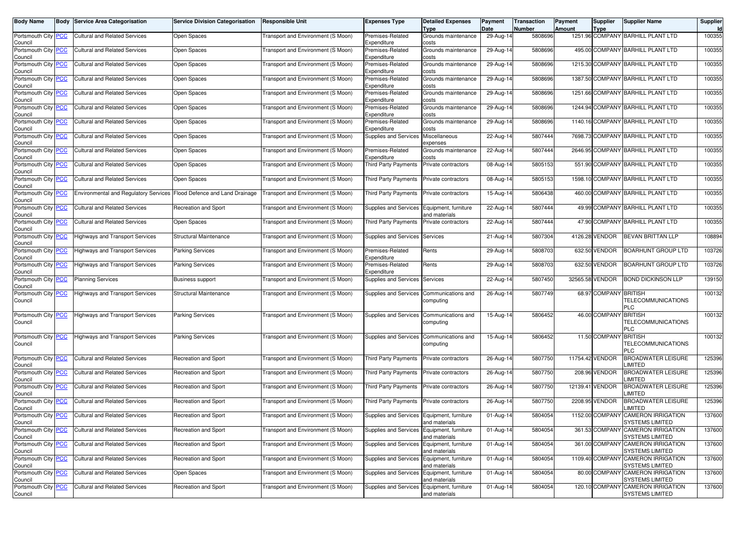| <b>Body Name</b>                      | <b>Body Service Area Categorisation</b>      | <b>Service Division Categorisation</b> | <b>Responsible Unit</b>                   | Expenses Type                              | <b>Detailed Expenses</b><br><b>Type</b> | Payment<br>Date | <b>Transaction</b><br><b>Number</b> | Payment<br>Amount | Supplier<br><b>Type</b> | <b>Supplier Name</b>                                        | Supplier<br>Id |
|---------------------------------------|----------------------------------------------|----------------------------------------|-------------------------------------------|--------------------------------------------|-----------------------------------------|-----------------|-------------------------------------|-------------------|-------------------------|-------------------------------------------------------------|----------------|
| Portsmouth City <b>PCC</b><br>Council | <b>Cultural and Related Services</b>         | Open Spaces                            | <b>Fransport and Environment (S Moon)</b> | Premises-Related<br>Expenditure            | Grounds maintenance<br>costs            | 29-Aug-14       | 5808696                             |                   |                         | 1251.96 COMPANY BARHILL PLANT LTD                           | 100355         |
| Portsmouth City PCC<br>Council        | <b>Cultural and Related Services</b>         | Open Spaces                            | <b>Fransport and Environment (S Moon)</b> | Premises-Related<br>Expenditure            | Grounds maintenance<br>costs            | 29-Aug-14       | 5808696                             |                   |                         | 495.00 COMPANY BARHILL PLANT LTD                            | 100355         |
| Portsmouth City <b>PCC</b><br>Council | <b>Cultural and Related Services</b>         | Open Spaces                            | Transport and Environment (S Moon)        | Premises-Related<br>Expenditure            | Grounds maintenance<br>costs            | 29-Aug-14       | 5808696                             |                   |                         | 1215.30 COMPANY BARHILL PLANT LTD                           | 100355         |
| Portsmouth City PCC<br>Council        | <b>Cultural and Related Services</b>         | Open Spaces                            | <b>Fransport and Environment (S Moon)</b> | Premises-Related<br>Expenditure            | Grounds maintenance<br>costs            | 29-Aug-14       | 5808696                             |                   |                         | 1387.50 COMPANY BARHILL PLANT LTD                           | 100355         |
| Portsmouth City PCC<br>Council        | <b>Cultural and Related Services</b>         | Open Spaces                            | <b>Fransport and Environment (S Moon)</b> | Premises-Related<br>Expenditure            | Grounds maintenance<br>costs            | 29-Aug-14       | 5808696                             |                   |                         | 1251.66 COMPANY BARHILL PLANT LTD                           | 100355         |
| Portsmouth City PCC<br>Council        | <b>Cultural and Related Services</b>         | Open Spaces                            | Transport and Environment (S Moon)        | Premises-Related<br>Expenditure            | Grounds maintenance<br>costs            | 29-Aug-14       | 5808696                             |                   |                         | 1244.94 COMPANY BARHILL PLANT LTD                           | 100355         |
| Portsmouth City PCC<br>Council        | <b>Cultural and Related Services</b>         | Open Spaces                            | Fransport and Environment (S Moon)        | Premises-Related<br>Expenditure            | Grounds maintenance<br>costs            | 29-Aug-14       | 5808696                             |                   |                         | 1140.16 COMPANY BARHILL PLANT LTD                           | 100355         |
| Portsmouth City <b>PCC</b><br>Council | <b>Cultural and Related Services</b>         | Open Spaces                            | Transport and Environment (S Moon)        | Supplies and Services                      | Miscellaneous<br>expenses               | 22-Aug-14       | 5807444                             |                   |                         | 7698.73 COMPANY BARHILL PLANT LTD                           | 100355         |
| Portsmouth City PCC<br>Council        | <b>Cultural and Related Services</b>         | Open Spaces                            | Transport and Environment (S Moon)        | Premises-Related<br>Expenditure            | Grounds maintenance<br>costs            | 22-Aug-14       | 5807444                             |                   |                         | 2646.95 COMPANY BARHILL PLANT LTD                           | 100355         |
| Portsmouth City PCC<br>Council        | <b>Cultural and Related Services</b>         | Open Spaces                            | Fransport and Environment (S Moon)        | Third Party Payments                       | Private contractors                     | 08-Aug-14       | 5805153                             |                   |                         | 551.90 COMPANY BARHILL PLANT LTD                            | 100355         |
| Portsmouth City PCC<br>Council        | <b>Cultural and Related Services</b>         | Open Spaces                            | Transport and Environment (S Moon)        | Third Party Payments                       | Private contractors                     | 08-Aug-14       | 5805153                             |                   |                         | 1598.10 COMPANY BARHILL PLANT LTD                           | 100355         |
| Portsmouth City PCC<br>Council        | <b>Environmental and Regulatory Services</b> | Flood Defence and Land Drainage        | Transport and Environment (S Moon)        | Third Party Payments                       | Private contractors                     | 15-Aug-14       | 5806438                             |                   |                         | 460.00 COMPANY BARHILL PLANT LTD                            | 100355         |
| Portsmouth City PCC<br>Council        | <b>Cultural and Related Services</b>         | Recreation and Sport                   | Fransport and Environment (S Moon)        | Supplies and Services                      | Equipment, furniture<br>and materials   | 22-Aug-14       | 5807444                             |                   |                         | 49.99 COMPANY BARHILL PLANT LTD                             | 100355         |
| Portsmouth City PCC<br>Council        | <b>Cultural and Related Services</b>         | Open Spaces                            | Transport and Environment (S Moon)        | Third Party Payments                       | Private contractors                     | 22-Aug-14       | 5807444                             |                   |                         | 47.90 COMPANY BARHILL PLANT LTD                             | 100355         |
| Portsmouth City PCC<br>Council        | <b>Highways and Transport Services</b>       | Structural Maintenance                 | Transport and Environment (S Moon)        | Supplies and Services                      | Services                                | 21-Aug-14       | 5807304                             |                   | 4126.28 VENDOR          | BEVAN BRITTAN LLP                                           | 108894         |
| Portsmouth City PCC<br>Council        | <b>Highways and Transport Services</b>       | <b>Parking Services</b>                | <b>Fransport and Environment (S Moon)</b> | Premises-Related<br>Expenditure            | Rents                                   | 29-Aug-14       | 5808703                             |                   | 632.50 VENDOR           | <b>BOARHUNT GROUP LTD</b>                                   | 103726         |
| Portsmouth City PCC<br>Council        | <b>Highways and Transport Services</b>       | <b>Parking Services</b>                | <b>Fransport and Environment (S Moon)</b> | Premises-Related<br>Expenditure            | Rents                                   | 29-Aug-14       | 5808703                             |                   | 632.50 VENDOR           | <b>BOARHUNT GROUP LTD</b>                                   | 103726         |
| Portsmouth City PCC<br>Council        | <b>Planning Services</b>                     | <b>Business support</b>                | Transport and Environment (S Moon)        | Supplies and Services                      | Services                                | 22-Aug-14       | 5807450                             |                   | 32565.58 VENDOR         | <b>BOND DICKINSON LLP</b>                                   | 139150         |
| Portsmouth City PCC<br>Council        | <b>Highways and Transport Services</b>       | Structural Maintenance                 | <b>Fransport and Environment (S Moon)</b> | Supplies and Services                      | Communications and<br>computing         | 26-Aug-14       | 5807749                             |                   | 68.97 COMPANY BRITISH   | <b>TELECOMMUNICATIONS</b><br>PLC                            | 100132         |
| Portsmouth City PCC<br>Council        | <b>Highways and Transport Services</b>       | Parking Services                       | <b>Transport and Environment (S Moon)</b> | Supplies and Services                      | Communications and<br>computing         | 15-Aug-14       | 5806452                             |                   | 46.00 COMPANY           | <b>BRITISH</b><br><b>TELECOMMUNICATIONS</b><br>PLC          | 100132         |
| Portsmouth City PCC<br>Council        | <b>Highways and Transport Services</b>       | Parking Services                       | Transport and Environment (S Moon)        | Supplies and Services                      | Communications and<br>computing         | 15-Aug-14       | 5806452                             |                   | 11.50 COMPANY           | <b>BRITISH</b><br><b>TELECOMMUNICATIONS</b><br>PLC          | 100132         |
| Portsmouth City PCC<br>Council        | <b>Cultural and Related Services</b>         | Recreation and Sport                   | <b>Fransport and Environment (S Moon)</b> | <b>Third Party Payments</b>                | Private contractors                     | 26-Aug-14       | 5807750                             |                   | 11754.42 VENDOR         | <b>BROADWATER LEISURE</b><br>LIMITED                        | 125396         |
| Portsmouth City PCC<br>Council        | <b>Cultural and Related Services</b>         | Recreation and Sport                   | Transport and Environment (S Moon)        | <b>Third Party Payments</b>                | Private contractors                     | 26-Aug-14       | 5807750                             |                   | 208.96 VENDOR           | <b>BROADWATER LEISURE</b><br><b>IMITED</b>                  | 125396         |
| Portsmouth City PCC<br>Council        | <b>Cultural and Related Services</b>         | Recreation and Sport                   | Transport and Environment (S Moon)        | <b>Third Party Payments</b>                | Private contractors                     | 26-Aug-14       | 5807750                             |                   | 12139.41 VENDOR         | <b>BROADWATER LEISURE</b><br><b>IMITED</b>                  | 125396         |
| Portsmouth City <b>PCC</b><br>Council | <b>Cultural and Related Services</b>         | Recreation and Sport                   | Transport and Environment (S Moon)        | Third Party Payments                       | Private contractors                     | 26-Aug-14       | 5807750                             |                   | 2208.95 VENDOR          | <b>BROADWATER LEISURE</b><br><b>IMITED</b>                  | 125396         |
| Portsmouth City PCC<br>Council        | <b>Cultural and Related Services</b>         | Recreation and Sport                   | Transport and Environment (S Moon)        | Supplies and Services Equipment, furniture | and materials                           | 01-Aug-14       | 5804054                             |                   | 1152.00 COMPANY         | <b>CAMERON IRRIGATION</b><br>SYSTEMS LIMITED                | 137600         |
| Portsmouth City PCC<br>Council        | <b>Cultural and Related Services</b>         | Recreation and Sport                   | Transport and Environment (S Moon)        | Supplies and Services Equipment, furniture | and materials                           | 01-Aug-14       | 5804054                             |                   |                         | 361.53 COMPANY CAMERON IRRIGATION<br><b>SYSTEMS LIMITED</b> | 137600         |
| Portsmouth City PCC<br>Council        | <b>Cultural and Related Services</b>         | Recreation and Sport                   | Transport and Environment (S Moon)        | Supplies and Services Equipment, furniture | and materials                           | 01-Aug-14       | 5804054                             |                   |                         | 361.00 COMPANY CAMERON IRRIGATION<br><b>SYSTEMS LIMITED</b> | 137600         |
| Portsmouth City PCC<br>Council        | <b>Cultural and Related Services</b>         | Recreation and Sport                   | Transport and Environment (S Moon)        | Supplies and Services                      | Equipment, furniture<br>and materials   | 01-Aug-14       | 5804054                             |                   |                         | 1109.40 COMPANY CAMERON IRRIGATION<br>SYSTEMS LIMITED       | 137600         |
| Portsmouth City PCC<br>Council        | <b>Cultural and Related Services</b>         | Open Spaces                            | <b>Fransport and Environment (S Moon)</b> | Supplies and Services                      | Equipment, furniture<br>and materials   | 01-Aug-14       | 5804054                             |                   |                         | 80.00 COMPANY CAMERON IRRIGATION<br>SYSTEMS LIMITED         | 137600         |
| Portsmouth City PCC<br>Council        | <b>Cultural and Related Services</b>         | Recreation and Sport                   | Transport and Environment (S Moon)        | Supplies and Services Equipment, furniture | and materials                           | 01-Aug-14       | 5804054                             |                   |                         | 120.10 COMPANY CAMERON IRRIGATION<br><b>SYSTEMS LIMITED</b> | 137600         |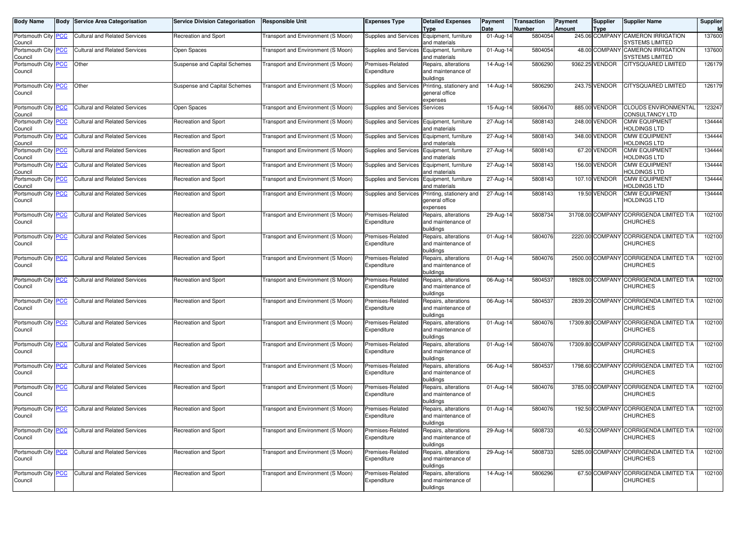| <b>Body Name</b>                      | <b>Body</b> | Service Area Categorisation          | <b>Service Division Categorisation</b> | <b>Responsible Unit</b>            | <b>Expenses Type</b>            | <b>Detailed Expenses</b><br>Type                        | Payment<br>Date         | Transaction<br><b>Number</b> | Payment<br>Amount | <b>Supplier</b><br><b>Type</b> | <b>Supplier Name</b>                                       | Supplier |
|---------------------------------------|-------------|--------------------------------------|----------------------------------------|------------------------------------|---------------------------------|---------------------------------------------------------|-------------------------|------------------------------|-------------------|--------------------------------|------------------------------------------------------------|----------|
| Portsmouth City <b>PCC</b><br>Council |             | <b>Cultural and Related Services</b> | Recreation and Sport                   | Transport and Environment (S Moon) | Supplies and Services           | Equipment, furniture<br>and materials                   | 01-Aug-14               | 5804054                      |                   | 245.06 COMPANY                 | <b>CAMERON IRRIGATION</b><br><b>SYSTEMS LIMITED</b>        | 137600   |
| Portsmouth City PCC<br>Council        |             | Cultural and Related Services        | Open Spaces                            | Transport and Environment (S Moon) | Supplies and Services           | Equipment, furniture<br>and materials                   | 01-Aug-14               | 5804054                      |                   | 48.00 COMPANY                  | <b>CAMERON IRRIGATION</b><br>SYSTEMS LIMITED               | 137600   |
| Portsmouth City <b>PCC</b><br>Council |             | Other                                | Suspense and Capital Schemes           | Transport and Environment (S Moon) | Premises-Related<br>Expenditure | Repairs, alterations<br>and maintenance of<br>puildings | 14-Aug-14               | 5806290                      |                   | 9362.25 VENDOR                 | <b>CITYSQUARED LIMITED</b>                                 | 126179   |
| Portsmouth City <b>PCC</b><br>Council |             | Other                                | Suspense and Capital Schemes           | Transport and Environment (S Moon) | Supplies and Services           | Printing, stationery and<br>general office<br>expenses  | 14-Aug-14               | 5806290                      |                   | 243.75 VENDOR                  | <b>CITYSQUARED LIMITED</b>                                 | 126179   |
| Portsmouth City PCC<br>Council        |             | <b>Cultural and Related Services</b> | Open Spaces                            | Transport and Environment (S Moon) | Supplies and Services           | Services                                                | 15-Aug-14               | 5806470                      |                   | 885.00 VENDOR                  | <b>CLOUDS ENVIRONMENTAL</b><br><b>CONSULTANCY LTD</b>      | 123247   |
| Portsmouth City PCC<br>Council        |             | <b>Cultural and Related Services</b> | Recreation and Sport                   | Transport and Environment (S Moon) | Supplies and Services           | Equipment, furniture<br>and materials                   | 27-Aug-14               | 5808143                      |                   | 248.00 VENDOR                  | <b>CMW EQUIPMENT</b><br>HOLDINGS LTD                       | 134444   |
| Portsmouth City PCC<br>Council        |             | Cultural and Related Services        | <b>Recreation and Sport</b>            | Transport and Environment (S Moon) | Supplies and Services           | Equipment, furniture<br>and materials                   | 27-Aug-14               | 5808143                      |                   | 348.00 VENDOR                  | <b>CMW EQUIPMENT</b><br>HOLDINGS LTD                       | 134444   |
| Portsmouth City PCC<br>Council        |             | <b>Cultural and Related Services</b> | <b>Recreation and Sport</b>            | Transport and Environment (S Moon) | Supplies and Services           | Equipment, furniture<br>and materials                   | 27-Aug-14               | 5808143                      |                   | 67.20 VENDOR                   | <b>CMW EQUIPMENT</b><br>HOLDINGS LTD                       | 134444   |
| Portsmouth City PCC<br>Council        |             | <b>Cultural and Related Services</b> | Recreation and Sport                   | Transport and Environment (S Moon) | Supplies and Services           | Equipment, furniture<br>and materials                   | 27-Aug-14               | 5808143                      |                   | 156.00 VENDOR                  | <b>CMW EQUIPMENT</b><br>HOLDINGS LTD                       | 134444   |
| Portsmouth City PCC<br>Council        |             | <b>Cultural and Related Services</b> | Recreation and Sport                   | Transport and Environment (S Moon) | Supplies and Services           | Equipment, furniture<br>and materials                   | 27-Aug-14               | 5808143                      |                   | 107.10 VENDOR                  | <b>CMW EQUIPMENT</b><br>HOLDINGS LTD                       | 134444   |
| Portsmouth City PCC<br>Council        |             | <b>Cultural and Related Services</b> | <b>Recreation and Sport</b>            | Transport and Environment (S Moon) | Supplies and Services           | Printing, stationery and<br>general office<br>expenses  | 27-Aug-14               | 5808143                      |                   | 19.50 VENDOR                   | <b>CMW EQUIPMENT</b><br><b>HOLDINGS LTD</b>                | 134444   |
| Portsmouth City PCC<br>Council        |             | Cultural and Related Services        | <b>Recreation and Sport</b>            | Transport and Environment (S Moon) | Premises-Related<br>Expenditure | Repairs, alterations<br>and maintenance of<br>buildings | 29-Aug-14               | 580873                       |                   |                                | 31708.00 COMPANY CORRIGENDA LIMITED T/A<br><b>CHURCHES</b> | 102100   |
| Portsmouth City PCC<br>Council        |             | Cultural and Related Services        | <b>Recreation and Sport</b>            | Transport and Environment (S Moon) | Premises-Related<br>Expenditure | Repairs, alterations<br>and maintenance of<br>buildings | 01-Aug-14               | 5804076                      |                   |                                | 2220.00 COMPANY CORRIGENDA LIMITED T/A<br><b>CHURCHES</b>  | 102100   |
| Portsmouth City PCC<br>Council        |             | Cultural and Related Services        | Recreation and Sport                   | Transport and Environment (S Moon) | Premises-Related<br>Expenditure | Repairs, alterations<br>and maintenance of<br>buildings | 01-Aug-14               | 5804076                      |                   |                                | 2500.00 COMPANY CORRIGENDA LIMITED T/A<br><b>CHURCHES</b>  | 102100   |
| Portsmouth City PCC<br>Council        |             | <b>Cultural and Related Services</b> | Recreation and Sport                   | Transport and Environment (S Moon) | Premises-Related<br>Expenditure | Repairs, alterations<br>and maintenance of<br>buildings | 06-Aug-14               | 5804537                      |                   |                                | 18928.00 COMPANY CORRIGENDA LIMITED T/A<br><b>CHURCHES</b> | 102100   |
| Portsmouth City PCC<br>Council        |             | <b>Cultural and Related Services</b> | <b>Recreation and Sport</b>            | Transport and Environment (S Moon) | Premises-Related<br>Expenditure | Repairs, alterations<br>and maintenance of<br>buildings | 06-Aug-14               | 5804537                      |                   |                                | 2839.20 COMPANY CORRIGENDA LIMITED T/A<br><b>CHURCHES</b>  | 102100   |
| Portsmouth City PCC<br>Council        |             | <b>Cultural and Related Services</b> | <b>Recreation and Sport</b>            | Transport and Environment (S Moon) | Premises-Related<br>Expenditure | Repairs, alterations<br>and maintenance of<br>buildings | 01-Aug-14               | 5804076                      |                   |                                | 17309.80 COMPANY CORRIGENDA LIMITED T/A<br><b>CHURCHES</b> | 102100   |
| Portsmouth City PCC<br>Council        |             | <b>Cultural and Related Services</b> | <b>Recreation and Sport</b>            | Transport and Environment (S Moon) | Premises-Related<br>Expenditure | Repairs, alterations<br>and maintenance of<br>buildings | 01-Aug-14               | 5804076                      |                   |                                | 17309.80 COMPANY CORRIGENDA LIMITED T/A<br><b>CHURCHES</b> | 102100   |
| Portsmouth City PCC<br>Council        |             | <b>Cultural and Related Services</b> | <b>Recreation and Sport</b>            | Transport and Environment (S Moon) | Premises-Related<br>Expenditure | Repairs, alterations<br>and maintenance of<br>buildings | 06-Aug-14               | 5804537                      |                   |                                | 1798.60 COMPANY CORRIGENDA LIMITED T/A<br><b>CHURCHES</b>  | 102100   |
| Portsmouth City PCC<br>Council        |             | <b>Cultural and Related Services</b> | <b>Recreation and Sport</b>            | Transport and Environment (S Moon) | Premises-Related<br>Expenditure | Repairs, alterations<br>and maintenance of<br>puildings | 01-Aug-14               | 5804076                      |                   |                                | 3785.00 COMPANY CORRIGENDA LIMITED T/A<br><b>CHURCHES</b>  | 102100   |
| Portsmouth City PCC<br>Council        |             | <b>Cultural and Related Services</b> | Recreation and Sport                   | Transport and Environment (S Moon) | Premises-Related<br>Expenditure | Repairs, alterations<br>and maintenance of<br>buildings | $\overline{0}$ 1-Aug-14 | 5804076                      |                   |                                | 192.50 COMPANY CORRIGENDA LIMITED T/A<br><b>CHURCHES</b>   | 102100   |
| Portsmouth City PCC<br>Council        |             | <b>Cultural and Related Services</b> | <b>Recreation and Sport</b>            | Transport and Environment (S Moon) | Premises-Related<br>Expenditure | Repairs, alterations<br>and maintenance of<br>buildings | 29-Aug-14               | 5808733                      |                   |                                | 40.52 COMPANY CORRIGENDA LIMITED T/A<br><b>CHURCHES</b>    | 102100   |
| Portsmouth City PCC<br>Council        |             | <b>Cultural and Related Services</b> | Recreation and Sport                   | Transport and Environment (S Moon) | Premises-Related<br>Expenditure | Repairs, alterations<br>and maintenance of<br>buildings | 29-Aug-14               | 5808733                      |                   |                                | 5285.00 COMPANY CORRIGENDA LIMITED T/A<br><b>CHURCHES</b>  | 102100   |
| Portsmouth City PCC<br>Council        |             | <b>Cultural and Related Services</b> | Recreation and Sport                   | Transport and Environment (S Moon) | Premises-Related<br>Expenditure | Repairs, alterations<br>and maintenance of<br>buildings | 14-Aug-14               | 5806296                      |                   |                                | 67.50 COMPANY CORRIGENDA LIMITED T/A<br><b>CHURCHES</b>    | 102100   |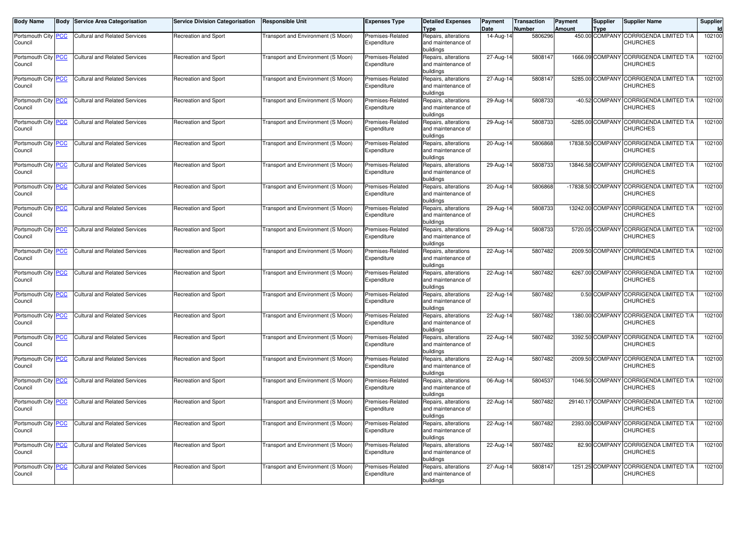| <b>Body Name</b>               | Body | <b>Service Area Categorisation</b>   | <b>Service Division Categorisation</b> | <b>Responsible Unit</b>                   | Expenses Type                   | <b>Detailed Expenses</b><br><b>Type</b>                 | Payment<br>Date | Transaction<br>Number | Payment<br><b>Amount</b> | <b>Supplier</b><br><b>Type</b> | <b>Supplier Name</b>                                       | Supplier<br>Id |
|--------------------------------|------|--------------------------------------|----------------------------------------|-------------------------------------------|---------------------------------|---------------------------------------------------------|-----------------|-----------------------|--------------------------|--------------------------------|------------------------------------------------------------|----------------|
| Portsmouth City PCC<br>Council |      | <b>Cultural and Related Services</b> | Recreation and Sport                   | Transport and Environment (S Moon)        | Premises-Related<br>Expenditure | Repairs, alterations<br>and maintenance of              | 14-Aug-14       | 5806296               |                          | 450.00 COMPANY                 | CORRIGENDA LIMITED T/A<br><b>CHURCHES</b>                  | 102100         |
|                                |      |                                      |                                        |                                           |                                 | buildings                                               |                 |                       |                          |                                |                                                            |                |
| Portsmouth City PCC<br>Council |      | <b>Cultural and Related Services</b> | Recreation and Sport                   | Transport and Environment (S Moon)        | Premises-Related<br>Expenditure | Repairs, alterations<br>and maintenance of<br>buildinas | 27-Aug-14       | 5808147               |                          |                                | 1666.09 COMPANY CORRIGENDA LIMITED T/A<br>CHURCHES         | 102100         |
| Portsmouth City PCC<br>Council |      | <b>Cultural and Related Services</b> | Recreation and Sport                   | Transport and Environment (S Moon)        | Premises-Related<br>Expenditure | Repairs, alterations<br>and maintenance of<br>buildings | 27-Aug-14       | 5808147               |                          |                                | 5285.00 COMPANY CORRIGENDA LIMITED T/A<br><b>CHURCHES</b>  | 102100         |
| Portsmouth City PCC            |      | <b>Cultural and Related Services</b> | Recreation and Sport                   | Transport and Environment (S Moon)        | Premises-Related                | Repairs, alterations                                    | 29-Aug-14       | 5808733               |                          | -40.52 COMPANY                 | <b>CORRIGENDA LIMITED T/A</b>                              | 102100         |
| Council                        |      |                                      |                                        |                                           | Expenditure                     | and maintenance of<br>buildings                         |                 |                       |                          |                                | <b>CHURCHES</b>                                            |                |
| Portsmouth City PCC<br>Council |      | <b>Cultural and Related Services</b> | Recreation and Sport                   | Fransport and Environment (S Moon)        | Premises-Related<br>Expenditure | Repairs, alterations<br>and maintenance of<br>buildings | 29-Aug-14       | 5808733               |                          | -5285.00 COMPANY               | CORRIGENDA LIMITED T/A<br><b>CHURCHES</b>                  | 102100         |
| Portsmouth City PCC<br>Council |      | <b>Cultural and Related Services</b> | Recreation and Sport                   | Transport and Environment (S Moon)        | Premises-Related<br>Expenditure | Repairs, alterations<br>and maintenance of<br>buildings | 20-Aug-14       | 5806868               |                          |                                | 17838.50 COMPANY CORRIGENDA LIMITED T/A<br>CHURCHES        | 102100         |
| Portsmouth City PCC<br>Council |      | <b>Cultural and Related Services</b> | Recreation and Sport                   | Transport and Environment (S Moon)        | Premises-Related<br>Expenditure | Repairs, alterations<br>and maintenance of<br>buildings | 29-Aug-14       | 5808733               |                          |                                | 13846.58 COMPANY CORRIGENDA LIMITED T/A<br><b>CHURCHES</b> | 102100         |
| Portsmouth City PCC<br>Council |      | <b>Cultural and Related Services</b> | Recreation and Sport                   | Transport and Environment (S Moon)        | Premises-Related<br>Expenditure | Repairs, alterations<br>and maintenance of<br>buildings | $20 - Aug-14$   | 5806868               |                          |                                | -17838.50 COMPANY CORRIGENDA LIMITED T/A<br>CHURCHES       | 102100         |
| Portsmouth City PCC<br>Council |      | <b>Cultural and Related Services</b> | Recreation and Sport                   | Transport and Environment (S Moon)        | Premises-Related<br>Expenditure | Repairs, alterations<br>and maintenance of<br>buildings | 29-Aug-14       | 5808733               |                          |                                | 13242.00 COMPANY CORRIGENDA LIMITED T/A<br>CHURCHES        | 102100         |
| Portsmouth City PCC<br>Council |      | <b>Cultural and Related Services</b> | Recreation and Sport                   | Transport and Environment (S Moon)        | Premises-Related<br>Expenditure | Repairs, alterations<br>and maintenance of<br>buildings | $29-Aug-14$     | 5808733               |                          |                                | 5720.05 COMPANY CORRIGENDA LIMITED T/A<br><b>CHURCHES</b>  | 102100         |
| Portsmouth City PCC<br>Council |      | <b>Cultural and Related Services</b> | Recreation and Sport                   | Transport and Environment (S Moon)        | Premises-Related<br>Expenditure | Repairs, alterations<br>and maintenance of<br>buildings | 22-Aug-14       | 5807482               |                          |                                | 2009.50 COMPANY CORRIGENDA LIMITED T/A<br><b>CHURCHES</b>  | 102100         |
| Portsmouth City PCC<br>Council |      | <b>Cultural and Related Services</b> | Recreation and Sport                   | Fransport and Environment (S Moon)        | Premises-Related<br>Expenditure | Repairs, alterations<br>and maintenance of<br>buildings | 22-Aug-14       | 5807482               |                          | 6267.00 COMPANY                | <b>CORRIGENDA LIMITED T/A</b><br><b>CHURCHES</b>           | 102100         |
| Portsmouth City PCC<br>Council |      | <b>Cultural and Related Services</b> | <b>Recreation and Sport</b>            | Transport and Environment (S Moon)        | Premises-Related<br>Expenditure | Repairs, alterations<br>and maintenance of<br>buildings | 22-Aug-14       | 5807482               |                          | 0.50 COMPANY                   | CORRIGENDA LIMITED T/A<br>CHURCHES                         | 102100         |
| Portsmouth City PCC<br>Council |      | <b>Cultural and Related Services</b> | Recreation and Sport                   | Transport and Environment (S Moon)        | Premises-Related<br>Expenditure | Repairs, alterations<br>and maintenance of<br>buildings | 22-Aug-14       | 5807482               |                          | 1380.00 COMPANY                | CORRIGENDA LIMITED T/A<br>CHURCHES                         | 102100         |
| Portsmouth City PCC<br>Council |      | <b>Cultural and Related Services</b> | Recreation and Sport                   | Transport and Environment (S Moon)        | Premises-Related<br>Expenditure | Repairs, alterations<br>and maintenance of<br>buildings | 22-Aug-14       | 5807482               |                          |                                | 3392.50 COMPANY CORRIGENDA LIMITED T/A<br>CHURCHES         | 102100         |
| Portsmouth City PCC<br>Council |      | <b>Cultural and Related Services</b> | Recreation and Sport                   | Transport and Environment (S Moon)        | Premises-Related<br>Expenditure | Repairs, alterations<br>and maintenance of<br>buildings | 22-Aug-14       | 5807482               |                          |                                | -2009.50 COMPANY CORRIGENDA LIMITED T/A<br><b>CHURCHES</b> | 102100         |
| Portsmouth City PCC<br>Council |      | <b>Cultural and Related Services</b> | Recreation and Sport                   | <b>Fransport and Environment (S Moon)</b> | Premises-Related<br>Expenditure | Repairs, alterations<br>and maintenance of<br>buildings | 06-Aug-14       | 5804537               |                          |                                | 1046.50 COMPANY CORRIGENDA LIMITED T/A<br>CHURCHES         | 102100         |
| Portsmouth City PCC<br>Council |      | <b>Cultural and Related Services</b> | <b>Recreation and Sport</b>            | Transport and Environment (S Moon)        | Premises-Related<br>Expenditure | Repairs, alterations<br>and maintenance of<br>buildings | 22-Aug-14       | 5807482               |                          | 29140.17 COMPANY               | <b>CORRIGENDA LIMITED T/A</b><br>CHURCHES                  | 102100         |
| Portsmouth City PCC<br>Council |      | <b>Cultural and Related Services</b> | Recreation and Sport                   | Fransport and Environment (S Moon)        | Premises-Related<br>Expenditure | Repairs, alterations<br>and maintenance of<br>buildings | 22-Aug-14       | 5807482               |                          |                                | 2393.00 COMPANY CORRIGENDA LIMITED T/A<br><b>CHURCHES</b>  | 102100         |
| Portsmouth City PCC<br>Council |      | <b>Cultural and Related Services</b> | Recreation and Sport                   | Transport and Environment (S Moon)        | Premises-Related<br>Expenditure | Repairs, alterations<br>and maintenance of<br>buildings | 22-Aug-14       | 5807482               |                          | 82.90 COMPANY                  | CORRIGENDA LIMITED T/A<br>CHURCHES                         | 102100         |
| Portsmouth City PCC<br>Council |      | Cultural and Related Services        | Recreation and Sport                   | Transport and Environment (S Moon)        | Premises-Related<br>Expenditure | Repairs, alterations<br>and maintenance of<br>buildings | 27-Aug-14       | 5808147               |                          | 1251.25 COMPANY                | CORRIGENDA LIMITED T/A<br><b>CHURCHES</b>                  | 102100         |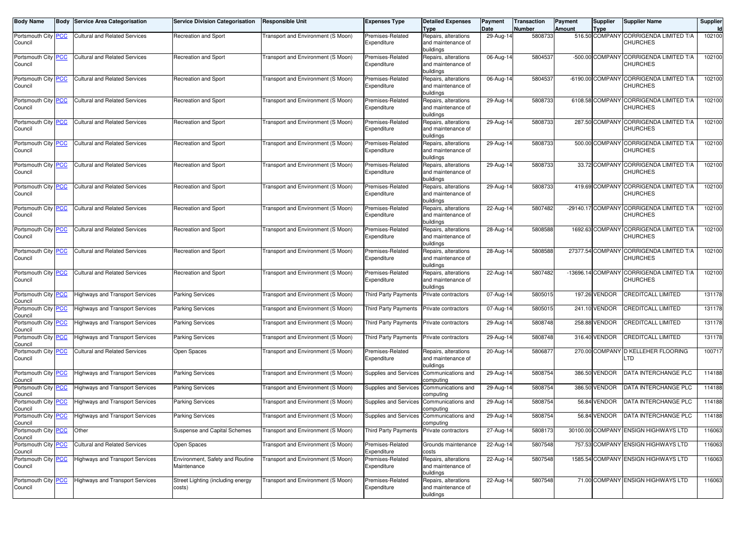| <b>Body Name</b>                            | <b>Body Service Area Categorisation</b> | <b>Service Division Categorisation</b>         | <b>Responsible Unit</b>                   | Expenses Type                   | <b>Detailed Expenses</b><br>Type                        | Payment<br>Date | Transaction<br>Number | Payment<br><b>Amount</b> | Supplier<br><b>Type</b> | <b>Supplier Name</b>                                        | Supplier<br>Id |
|---------------------------------------------|-----------------------------------------|------------------------------------------------|-------------------------------------------|---------------------------------|---------------------------------------------------------|-----------------|-----------------------|--------------------------|-------------------------|-------------------------------------------------------------|----------------|
| Portsmouth City PCC<br>Council              | Cultural and Related Services           | Recreation and Sport                           | <b>Fransport and Environment (S Moon)</b> | Premises-Related<br>Expenditure | Repairs, alterations<br>and maintenance of              | 29-Aug-14       | 5808733               |                          |                         | 516.50 COMPANY CORRIGENDA LIMITED T/A<br>CHURCHES           | 102100         |
|                                             |                                         |                                                |                                           |                                 | buildings                                               |                 |                       |                          |                         |                                                             |                |
| Portsmouth City PCC<br>Council              | <b>Cultural and Related Services</b>    | Recreation and Sport                           | <b>Fransport and Environment (S Moon)</b> | Premises-Related<br>Expenditure | Repairs, alterations<br>and maintenance of<br>buildings | 06-Aug-14       | 5804537               |                          |                         | -500.00 COMPANY CORRIGENDA LIMITED T/A<br><b>CHURCHES</b>   | 102100         |
| Portsmouth City PCC<br>Council              | <b>Cultural and Related Services</b>    | Recreation and Sport                           | <b>Fransport and Environment (S Moon)</b> | Premises-Related<br>Expenditure | Repairs, alterations<br>and maintenance of<br>buildings | 06-Aug-14       | 5804537               |                          |                         | -6190.00 COMPANY CORRIGENDA LIMITED T/A<br><b>CHURCHES</b>  | 102100         |
| Portsmouth City PCC<br>Council              | <b>Cultural and Related Services</b>    | Recreation and Sport                           | <b>Fransport and Environment (S Moon)</b> | Premises-Related<br>Expenditure | Repairs, alterations<br>and maintenance of<br>buildings | 29-Aug-14       | 5808733               |                          |                         | 6108.58 COMPANY CORRIGENDA LIMITED T/A<br><b>CHURCHES</b>   | 102100         |
| Portsmouth City PCC<br>Council              | <b>Cultural and Related Services</b>    | Recreation and Sport                           | <b>Fransport and Environment (S Moon)</b> | Premises-Related<br>Expenditure | Repairs, alterations<br>and maintenance of<br>buildings | 29-Aug-14       | 5808733               |                          |                         | 287.50 COMPANY CORRIGENDA LIMITED T/A<br><b>CHURCHES</b>    | 102100         |
| Portsmouth City PCC<br>Council              | <b>Cultural and Related Services</b>    | Recreation and Sport                           | <b>Fransport and Environment (S Moon)</b> | Premises-Related<br>Expenditure | Repairs, alterations<br>and maintenance of<br>buildings | 29-Aug-14       | 5808733               |                          |                         | 500.00 COMPANY CORRIGENDA LIMITED T/A<br><b>CHURCHES</b>    | 102100         |
| Portsmouth City PCC<br>Council              | <b>Cultural and Related Services</b>    | Recreation and Sport                           | <b>Fransport and Environment (S Moon)</b> | Premises-Related<br>Expenditure | Repairs, alterations<br>and maintenance of<br>buildings | 29-Aug-14       | 5808733               |                          |                         | 33.72 COMPANY CORRIGENDA LIMITED T/A<br><b>CHURCHES</b>     | 102100         |
| Portsmouth City PCC<br>Council              | <b>Cultural and Related Services</b>    | Recreation and Sport                           | <b>Fransport and Environment (S Moon)</b> | Premises-Related<br>Expenditure | Repairs, alterations<br>and maintenance of<br>buildings | 29-Aug-14       | 5808733               |                          |                         | 419.69 COMPANY CORRIGENDA LIMITED T/A<br><b>CHURCHES</b>    | 102100         |
| Portsmouth City PCC<br>Council              | <b>Cultural and Related Services</b>    | Recreation and Sport                           | <b>Fransport and Environment (S Moon)</b> | Premises-Related<br>Expenditure | Repairs, alterations<br>and maintenance of<br>buildings | $22-Aug-14$     | 5807482               |                          |                         | -29140.17 COMPANY CORRIGENDA LIMITED T/A<br>CHURCHES        | 102100         |
| Portsmouth City PCC<br>Council              | <b>Cultural and Related Services</b>    | Recreation and Sport                           | <b>Fransport and Environment (S Moon)</b> | Premises-Related<br>Expenditure | Repairs, alterations<br>and maintenance of<br>buildings | 28-Aug-14       | 5808588               |                          |                         | 1692.63 COMPANY CORRIGENDA LIMITED T/A<br>CHURCHES          | 102100         |
| Portsmouth City PCC<br>Council              | <b>Cultural and Related Services</b>    | Recreation and Sport                           | <b>Fransport and Environment (S Moon)</b> | Premises-Related<br>Expenditure | Repairs, alterations<br>and maintenance of<br>buildings | 28-Aug-14       | 5808588               |                          |                         | 27377.54 COMPANY CORRIGENDA LIMITED T/A<br><b>CHURCHES</b>  | 102100         |
| Portsmouth City PCC<br>Council              | <b>Cultural and Related Services</b>    | Recreation and Sport                           | <b>Fransport and Environment (S Moon)</b> | Premises-Related<br>Expenditure | Repairs, alterations<br>and maintenance of<br>buildings | 22-Aug-14       | 5807482               |                          |                         | -13696.14 COMPANY CORRIGENDA LIMITED T/A<br><b>CHURCHES</b> | 102100         |
| Portsmouth City PCC<br>Council              | <b>Highways and Transport Services</b>  | Parking Services                               | <b>Fransport and Environment (S Moon)</b> | <b>Third Party Payments</b>     | Private contractors                                     | 07-Aug-14       | 5805015               |                          | 197.26 VENDOR           | CREDITCALL LIMITED                                          | 131178         |
| Portsmouth City <mark>PCC</mark><br>Council | Highways and Transport Services         | <b>Parking Services</b>                        | Transport and Environment (S Moon)        | <b>Third Party Payments</b>     | Private contractors                                     | 07-Aug-14       | 5805015               |                          | 241.10 VENDOR           | CREDITCALL LIMITED                                          | 131178         |
| Portsmouth City PCC<br>Council              | <b>Highways and Transport Services</b>  | <b>Parking Services</b>                        | Transport and Environment (S Moon)        | Third Party Payments            | Private contractors                                     | 29-Aug-14       | 5808748               |                          | 258.88 VENDOR           | CREDITCALL LIMITED                                          | 131178         |
| Portsmouth City PCC<br>Council              | <b>Highways and Transport Services</b>  | Parking Services                               | <b>Fransport and Environment (S Moon)</b> | Third Party Payments            | Private contractors                                     | 29-Aug-14       | 5808748               |                          | 316.40 VENDOR           | <b>CREDITCALL LIMITED</b>                                   | 131178         |
| Portsmouth City PCC<br>Council              | <b>Cultural and Related Services</b>    | Open Spaces                                    | <b>Fransport and Environment (S Moon)</b> | Premises-Related<br>Expenditure | Repairs, alterations<br>and maintenance of<br>buildings | 20-Aug-14       | 5806877               |                          | 270.00 COMPANY          | D KELLEHER FLOORING<br>TD.                                  | 100717         |
| Portsmouth City PCC<br>Council              | <b>Highways and Transport Services</b>  | <b>Parking Services</b>                        | Transport and Environment (S Moon)        | Supplies and Services           | Communications and<br>computing                         | 29-Aug-14       | 5808754               |                          | 386.50 VENDOR           | DATA INTERCHANGE PLC                                        | 114188         |
| Portsmouth City PCC<br>Council              | Highways and Transport Services         | <b>Parking Services</b>                        | Transport and Environment (S Moon)        | Supplies and Services           | Communications and<br>computing                         | 29-Aug-14       | 5808754               |                          | 386.50 VENDOR           | DATA INTERCHANGE PLC                                        | 114188         |
| Portsmouth City PCC<br>Council              | <b>Highways and Transport Services</b>  | <b>Parking Services</b>                        | <b>Fransport and Environment (S Moon)</b> | Supplies and Services           | Communications and<br>computing                         | 29-Aug-14       | 5808754               |                          | 56.84 VENDOR            | DATA INTERCHANGE PLC                                        | 114188         |
| Portsmouth City PCC<br>Council              | <b>Highways and Transport Services</b>  | <b>Parking Services</b>                        | Transport and Environment (S Moon)        | Supplies and Services           | Communications and<br>computing                         | 29-Aug-14       | 5808754               |                          | 56.84 VENDOR            | DATA INTERCHANGE PLC                                        | 114188         |
| Portsmouth City PCC<br>Council              | Other                                   | Suspense and Capital Schemes                   | Transport and Environment (S Moon)        | Third Party Payments            | Private contractors                                     | 27-Aug-14       | 5808173               |                          |                         | 30100.00 COMPANY ENSIGN HIGHWAYS LTD                        | 116063         |
| Portsmouth City PCC<br>Council              | <b>Cultural and Related Services</b>    | Open Spaces                                    | Transport and Environment (S Moon)        | Premises-Related<br>Expenditure | Grounds maintenance<br>costs                            | 22-Aug-14       | 5807548               |                          |                         | 757.53 COMPANY ENSIGN HIGHWAYS LTD                          | 116063         |
| Portsmouth City PCC<br>Council              | <b>Highways and Transport Services</b>  | Environment, Safety and Routine<br>Maintenance | Fransport and Environment (S Moon)        | Premises-Related<br>Expenditure | Repairs, alterations<br>and maintenance of<br>buildings | 22-Aug-14       | 5807548               |                          |                         | 1585.54 COMPANY ENSIGN HIGHWAYS LTD                         | 116063         |
| Portsmouth City PCC<br>Council              | <b>Highways and Transport Services</b>  | Street Lighting (including energy<br>costs)    | Transport and Environment (S Moon)        | Premises-Related<br>Expenditure | Repairs, alterations<br>and maintenance of<br>buildings | 22-Aug-14       | 5807548               |                          |                         | 71.00 COMPANY ENSIGN HIGHWAYS LTD                           | 116063         |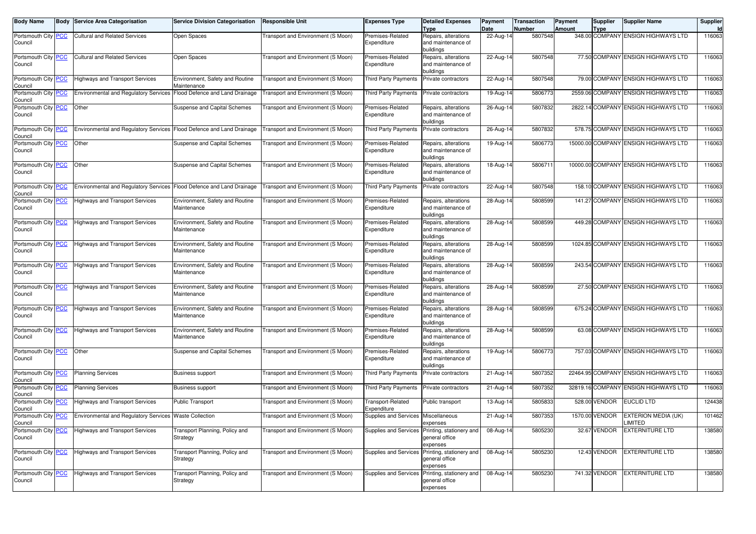| <b>Body Name</b>                      | <b>Body Service Area Categorisation</b>                               | <b>Service Division Categorisation</b>         | <b>Responsible Unit</b>            | <b>Expenses Type</b>                | <b>Detailed Expenses</b><br><b>Type</b>                                      | Payment<br>Date         | <b>Transaction</b><br>Number | Payment<br>Amount | <b>Supplier</b><br><b>Type</b> | <b>Supplier Name</b>                          | Supplier |
|---------------------------------------|-----------------------------------------------------------------------|------------------------------------------------|------------------------------------|-------------------------------------|------------------------------------------------------------------------------|-------------------------|------------------------------|-------------------|--------------------------------|-----------------------------------------------|----------|
| Portsmouth City <b>PCC</b><br>Council | <b>Cultural and Related Services</b>                                  | Open Spaces                                    | Transport and Environment (S Moon) | Premises-Related<br>Expenditure     | Repairs, alterations<br>and maintenance of<br>buildings                      | 22-Aug-14               | 5807548                      |                   |                                | 348.00 COMPANY ENSIGN HIGHWAYS LTD            | 116063   |
| Portsmouth City <b>PCC</b><br>Council | <b>Cultural and Related Services</b>                                  | Open Spaces                                    | Transport and Environment (S Moon) | Premises-Related<br>Expenditure     | Repairs, alterations<br>and maintenance of<br>buildings                      | 22-Aug-14               | 5807548                      |                   |                                | 77.50 COMPANY ENSIGN HIGHWAYS LTD             | 116063   |
| Portsmouth City PCC<br>Council        | <b>Highways and Transport Services</b>                                | Environment, Safety and Routine<br>Maintenance | Transport and Environment (S Moon) | <b>Third Party Payments</b>         | Private contractors                                                          | 22-Aug-14               | 5807548                      |                   |                                | 79.00 COMPANY ENSIGN HIGHWAYS LTD             | 116063   |
| Portsmouth City PCC<br>Council        | <b>Environmental and Regulatory Services</b>                          | Flood Defence and Land Drainage                | Transport and Environment (S Moon) | <b>Third Party Payments</b>         | Private contractors                                                          | 19-Aug-14               | 5806773                      |                   | 2559.06 COMPANY                | <b>ENSIGN HIGHWAYS LTD</b>                    | 116063   |
| Portsmouth City PCC<br>Council        | Other                                                                 | Suspense and Capital Schemes                   | Transport and Environment (S Moon) | Premises-Related<br>Expenditure     | Repairs, alterations<br>and maintenance of<br>buildings                      | 26-Aug-14               | 5807832                      |                   |                                | 2822.14 COMPANY ENSIGN HIGHWAYS LTD           | 116063   |
| Portsmouth City PCC<br>Council        | Environmental and Regulatory Services Flood Defence and Land Drainage |                                                | Transport and Environment (S Moon) | <b>Third Party Payments</b>         | Private contractors                                                          | 26-Aug-14               | 5807832                      |                   |                                | 578.75 COMPANY ENSIGN HIGHWAYS LTD            | 116063   |
| Portsmouth City PCC<br>Council        | Other                                                                 | <b>Suspense and Capital Schemes</b>            | Transport and Environment (S Moon) | Premises-Related<br>Expenditure     | Repairs, alterations<br>and maintenance of<br>buildings                      | 19-Aug-14               | 5806773                      |                   |                                | 15000.00 COMPANY ENSIGN HIGHWAYS LTD          | 116063   |
| Portsmouth City PCC<br>Council        | Other                                                                 | <b>Suspense and Capital Schemes</b>            | Transport and Environment (S Moon) | Premises-Related<br>Expenditure     | Repairs, alterations<br>and maintenance of<br>buildings                      | 18-Aug-14               | 5806711                      |                   |                                | 10000.00 COMPANY ENSIGN HIGHWAYS LTD          | 116063   |
| Portsmouth City PCC<br>Council        | <b>Environmental and Regulatory Services</b>                          | Flood Defence and Land Drainage                | Transport and Environment (S Moon) | <b>Third Party Payments</b>         | Private contractors                                                          | 22-Aug-14               | 5807548                      |                   |                                | 158.10 COMPANY ENSIGN HIGHWAYS LTD            | 116063   |
| Portsmouth City PCC<br>Council        | <b>Highways and Transport Services</b>                                | Environment, Safety and Routine<br>Maintenance | Transport and Environment (S Moon) | Premises-Related<br>Expenditure     | Repairs, alterations<br>and maintenance of<br>buildings                      | 28-Aug-14               | 5808599                      |                   |                                | 141.27 COMPANY ENSIGN HIGHWAYS LTD            | 116063   |
| Portsmouth City PCC<br>Council        | <b>Highways and Transport Services</b>                                | Environment, Safety and Routine<br>Maintenance | Transport and Environment (S Moon) | Premises-Related<br>Expenditure     | Repairs, alterations<br>and maintenance of<br>buildings                      | 28-Aug-14               | 5808599                      |                   |                                | 449.28 COMPANY ENSIGN HIGHWAYS LTD            | 116063   |
| Portsmouth City PCC<br>Council        | <b>Highways and Transport Services</b>                                | Environment, Safety and Routine<br>Maintenance | Transport and Environment (S Moon) | Premises-Related<br>Expenditure     | Repairs, alterations<br>and maintenance of<br>buildings                      | 28-Aug-14               | 5808599                      |                   |                                | 1024.85 COMPANY ENSIGN HIGHWAYS LTD           | 116063   |
| Portsmouth City PCC<br>Council        | Highways and Transport Services                                       | Environment, Safety and Routine<br>Maintenance | Transport and Environment (S Moon) | Premises-Related<br>Expenditure     | Repairs, alterations<br>and maintenance of<br>buildings                      | 28-Aug-14               | 5808599                      |                   |                                | 243.54 COMPANY ENSIGN HIGHWAYS LTD            | 116063   |
| Portsmouth City PCC<br>Council        | Highways and Transport Services                                       | Environment, Safety and Routine<br>Maintenance | Transport and Environment (S Moon) | Premises-Related<br>Expenditure     | Repairs, alterations<br>and maintenance of<br>buildings                      | 28-Aug-14               | 5808599                      |                   |                                | 27.50 COMPANY ENSIGN HIGHWAYS LTD             | 116063   |
| Portsmouth City PCC<br>Council        | Highways and Transport Services                                       | Environment, Safety and Routine<br>Maintenance | Transport and Environment (S Moon) | Premises-Related<br>Expenditure     | Repairs, alterations<br>and maintenance of<br>buildings                      | 28-Aug-14               | 5808599                      |                   |                                | 675.24 COMPANY ENSIGN HIGHWAYS LTD            | 116063   |
| Portsmouth City PCC<br>Council        | Highways and Transport Services                                       | Environment, Safety and Routine<br>Maintenance | Transport and Environment (S Moon) | Premises-Related<br>Expenditure     | Repairs, alterations<br>and maintenance of<br>buildings                      | 28-Aug-14               | 5808599                      |                   |                                | 63.08 COMPANY ENSIGN HIGHWAYS LTD             | 116063   |
| Portsmouth City PCC<br>Council        | Other                                                                 | Suspense and Capital Schemes                   | Transport and Environment (S Moon) | Premises-Related<br>Expenditure     | Repairs, alterations<br>and maintenance of<br>buildings                      | 19-Aug-14               | 5806773                      |                   |                                | 757.03 COMPANY ENSIGN HIGHWAYS LTD            | 116063   |
| Portsmouth City PCC<br>Council        | <b>Planning Services</b>                                              | <b>Business support</b>                        | Transport and Environment (S Moon) | <b>Third Party Payments</b>         | Private contractors                                                          | 21-Aug-14               | 5807352                      |                   |                                | 22464.95 COMPANY ENSIGN HIGHWAYS LTD          | 116063   |
| Portsmouth City PCC<br>Council        | <b>Planning Services</b>                                              | <b>Business support</b>                        | Transport and Environment (S Moon) | <b>Third Party Payments</b>         | Private contractors                                                          | 21-Aug-14               | 5807352                      |                   |                                | 32819.16 COMPANY ENSIGN HIGHWAYS LTD          | 116063   |
| Portsmouth City PCC<br>Council        | <b>Highways and Transport Services</b>                                | Public Transport                               | Transport and Environment (S Moon) | Transport-Related<br>Expenditure    | Public transport                                                             | 13-Aug-14               | 5805833                      |                   | 528.00 VENDOR                  | <b>EUCLID LTD</b>                             | 124438   |
| Portsmouth City PCC<br>Council        | Environmental and Regulatory Services Waste Collection                |                                                | Transport and Environment (S Moon) | Supplies and Services Miscellaneous | expenses                                                                     | 21-Aug-14               | 5807353                      |                   |                                | 1570.00 VENDOR EXTERION MEDIA (UK)<br>LIMITED | 101462   |
| Portsmouth City PCC<br>Council        | Highways and Transport Services                                       | Transport Planning, Policy and<br>Strategy     | Transport and Environment (S Moon) | Supplies and Services               | Printing, stationery and<br>general office<br>expenses                       | 08-Aug-14               | 5805230                      |                   | 32.67 VENDOR                   | <b>EXTERNITURE LTD</b>                        | 138580   |
| Portsmouth City PCC<br>Council        | <b>Highways and Transport Services</b>                                | Transport Planning, Policy and<br>Strategy     | Transport and Environment (S Moon) |                                     | Supplies and Services Printing, stationery and<br>general office<br>expenses | $08-Aug-14$             | 5805230                      |                   |                                | 12.43 VENDOR EXTERNITURE LTD                  | 138580   |
| Portsmouth City PCC<br>Council        | <b>Highways and Transport Services</b>                                | Transport Planning, Policy and<br>Strategy     | Transport and Environment (S Moon) |                                     | Supplies and Services Printing, stationery and<br>general office<br>expenses | $\overline{08}$ -Aug-14 | 5805230                      |                   |                                | 741.32 VENDOR EXTERNITURE LTD                 | 138580   |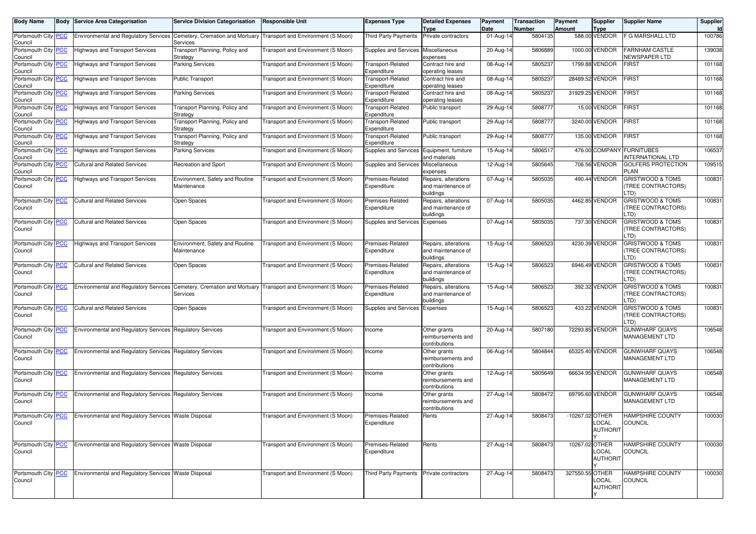| <b>Body Name</b>                 |            | <b>Body Service Area Categorisation</b>                          | <b>Service Division Categorisation</b>         | Responsible Unit                          | <b>Expenses Type</b>                     | <b>Detailed Expenses</b><br>Type                        | Payment<br>Date | Transaction<br>Number | Payment<br>Amount | <b>Supplier</b><br>Type  | <b>Supplier Name</b>                                      | Supplier<br>ld. |
|----------------------------------|------------|------------------------------------------------------------------|------------------------------------------------|-------------------------------------------|------------------------------------------|---------------------------------------------------------|-----------------|-----------------------|-------------------|--------------------------|-----------------------------------------------------------|-----------------|
| Portsmouth City<br>Council       | PCC        | <b>Environmental and Regulatory Services</b>                     | Cemetery, Cremation and Mortuary<br>Services   | Transport and Environment (S Moon)        | <b>Third Party Payments</b>              | Private contractors                                     | 01-Aug-14       | 5804135               |                   | 588.00 VENDOR            | <b>F G MARSHALL LTD</b>                                   | 100786          |
| Portsmouth City<br>Council       | <b>PCC</b> | <b>Highways and Transport Services</b>                           | Transport Planning, Policy and<br>Strategy     | Fransport and Environment (S Moon)        | Supplies and Services                    | Miscellaneous<br>expenses                               | 20-Aug-14       | 5806889               |                   | 1000.00 VENDOR           | <b>FARNHAM CASTLE</b><br>NEWSPAPER LTD                    | 139038          |
| Portsmouth City<br>Council       | PCC        | <b>Highways and Transport Services</b>                           | <b>Parking Services</b>                        | Fransport and Environment (S Moon)        | <b>Transport-Related</b><br>Expenditure  | Contract hire and<br>operating leases                   | 08-Aug-14       | 5805237               |                   | 1799.88 VENDOR           | <b>FIRST</b>                                              | 101168          |
| Portsmouth City<br>Council       | <u>PCC</u> | <b>Highways and Transport Services</b>                           | <b>Public Transport</b>                        | <b>Fransport and Environment (S Moon)</b> | <b>Transport-Related</b><br>Expenditure  | Contract hire and<br>operating leases                   | 08-Aug-14       | 5805237               |                   | 28489.52 VENDOR          | <b>FIRST</b>                                              | 101168          |
| Portsmouth City<br>Council       | <u>PCC</u> | <b>Highways and Transport Services</b>                           | <b>Parking Services</b>                        | Fransport and Environment (S Moon)        | <b>Transport-Related</b><br>Expenditure  | Contract hire and<br>operating leases                   | 08-Aug-14       | 5805237               |                   | 31929.25 VENDOR          | <b>FIRST</b>                                              | 101168          |
| Portsmouth City<br>Council       | <u>PCC</u> | Highways and Transport Services                                  | Transport Planning, Policy and<br>Strategy     | Fransport and Environment (S Moon)        | <b>Transport-Related</b><br>Expenditure  | Public transport                                        | 29-Aug-14       | 5808777               |                   | 15.00 VENDOR             | <b>FIRST</b>                                              | 101168          |
| Portsmouth City<br>Council       | <b>PCC</b> | <b>Highways and Transport Services</b>                           | Transport Planning, Policy and<br>Strategy     | <b>Fransport and Environment (S Moon)</b> | <b>Transport-Related</b><br>Expenditure  | Public transport                                        | 29-Aug-14       | 5808777               |                   | 3240.00 VENDOR           | <b>FIRST</b>                                              | 101168          |
| Portsmouth City<br>Council       | <b>PCC</b> | <b>Highways and Transport Services</b>                           | Transport Planning, Policy and<br>Strategy     | Transport and Environment (S Moon)        | Transport-Related<br>Expenditure         | Public transport                                        | 29-Aug-14       | 5808777               |                   | 135.00 VENDOR            | <b>FIRST</b>                                              | 101168          |
| Portsmouth City<br>Council       | <u>PCC</u> | <b>Highways and Transport Services</b>                           | <b>Parking Services</b>                        | Transport and Environment (S Moon)        | Supplies and Services                    | Equipment, furniture<br>and materials                   | 15-Aug-14       | 5806517               |                   | 476.00 COMPANY           | <b>FURNITUBES</b><br><b>INTERNATIONAL LTD</b>             | 106537          |
| Portsmouth City<br>Council       | <u>PCC</u> | <b>Cultural and Related Services</b>                             | Recreation and Sport                           | <b>Fransport and Environment (S Moon)</b> | Supplies and Services                    | Miscellaneous<br>expenses                               | $12-Aug-14$     | 5805645               |                   | 706.56 VENDOR            | <b>GOLFERS PROTECTION</b><br><b>PLAN</b>                  | 109515          |
| Portsmouth City PCC<br>Council   |            | <b>Highways and Transport Services</b>                           | Environment, Safety and Routine<br>Maintenance | Transport and Environment (S Moon)        | Premises-Related<br>Expenditure          | Repairs, alterations<br>and maintenance of<br>buildings | 07-Aug-14       | 5805035               |                   | 490.44 VENDOR            | <b>GRISTWOOD &amp; TOMS</b><br>(TREE CONTRACTORS)<br>LTD) | 100831          |
| Portsmouth City   PCC<br>Council |            | <b>Cultural and Related Services</b>                             | Open Spaces                                    | Transport and Environment (S Moon)        | Premises-Related<br>Expenditure          | Repairs, alterations<br>and maintenance of<br>buildings | 07-Aug-14       | 5805035               |                   | 4462.85 VENDOR           | <b>GRISTWOOD &amp; TOMS</b><br>(TREE CONTRACTORS)<br>LTD) | 100831          |
| Portsmouth City PCC<br>Council   |            | <b>Cultural and Related Services</b>                             | Open Spaces                                    | Transport and Environment (S Moon)        | Supplies and Services                    | Expenses                                                | 07-Aug-14       | 5805035               |                   | 737.30 VENDOR            | <b>GRISTWOOD &amp; TOMS</b><br>(TREE CONTRACTORS)<br>LTD) | 100831          |
| Portsmouth City PCC<br>Council   |            | <b>Highways and Transport Services</b>                           | Environment, Safety and Routine<br>Maintenance | Transport and Environment (S Moon)        | Premises-Related<br>Expenditure          | Repairs, alterations<br>and maintenance of<br>buildings | 15-Aug-14       | 5806523               |                   | 4230.39 VENDOR           | <b>GRISTWOOD &amp; TOMS</b><br>(TREE CONTRACTORS)<br>LTD) | 100831          |
| Portsmouth City   PCC<br>Council |            | <b>Cultural and Related Services</b>                             | Open Spaces                                    | Transport and Environment (S Moon)        | Premises-Related<br>Expenditure          | Repairs, alterations<br>and maintenance of<br>buildings | 15-Aug-14       | 5806523               |                   | 6946.49 VENDOR           | <b>GRISTWOOD &amp; TOMS</b><br>(TREE CONTRACTORS)<br>LTD) | 100831          |
| Portsmouth City   PCC<br>Council |            | <b>Environmental and Regulatory Services</b>                     | Cemetery, Cremation and Mortuary<br>Services   | Transport and Environment (S Moon)        | Premises-Related<br>Expenditure          | Repairs, alterations<br>and maintenance of<br>buildings | 15-Aug-14       | 5806523               |                   | 392.32 VENDOR            | <b>GRISTWOOD &amp; TOMS</b><br>(TREE CONTRACTORS)<br>LTD) | 100831          |
| Portsmouth City PCC<br>Council   |            | <b>Cultural and Related Services</b>                             | Open Spaces                                    | Transport and Environment (S Moon)        | Supplies and Services                    | Expenses                                                | 15-Aug-14       | 5806523               |                   | 433.22 VENDOR            | <b>GRISTWOOD &amp; TOMS</b><br>(TREE CONTRACTORS)<br>LTD) | 100831          |
| Portsmouth City PCC<br>Council   |            | Environmental and Regulatory Services Regulatory Services        |                                                | Transport and Environment (S Moon)        | Income                                   | Other grants<br>reimbursements and<br>contributions     | 20-Aug-14       | 5807180               |                   | 72293.85 VENDOR          | <b>GUNWHARF QUAYS</b><br>MANAGEMENT LTD                   | 106548          |
| Portsmouth City   PCC<br>Council |            | <b>Environmental and Regulatory Services</b>                     | <b>Regulatory Services</b>                     | Transport and Environment (S Moon)        | Income                                   | Other grants<br>reimbursements and<br>contributions     | 06-Aug-14       | 5804844               |                   | 65325.40 VENDOR          | <b>GUNWHARF QUAYS</b><br>MANAGEMENT LTD                   | 106548          |
| Portsmouth City PCC<br>Council   |            | <b>Environmental and Regulatory Services</b>                     | <b>Regulatory Services</b>                     | Transport and Environment (S Moon)        | Income                                   | Other grants<br>reimbursements and<br>contributions     | 12-Aug-14       | 5805649               |                   | 66634.95 VENDOR          | <b>GUNWHARF QUAYS</b><br>MANAGEMENT LTD                   | 106548          |
| Portsmouth City PCC<br>Council   |            | <b>Environmental and Regulatory Services Regulatory Services</b> |                                                | Transport and Environment (S Moon)        | Income                                   | Other grants<br>reimbursements and<br>contributions     | 27-Aug-14       | 5808472               |                   | 69795.60 VENDOR          | <b>GUNWHARF QUAYS</b><br>MANAGEMENT LTD                   | 106548          |
| Portsmouth City PCC<br>Council   |            | Environmental and Regulatory Services Waste Disposal             |                                                | Transport and Environment (S Moon)        | Premises-Related<br>Expenditure          | Rents                                                   | 27-Aug-14       | 5808473               | -10267.02 OTHER   | LOCAL<br><b>AUTHORIT</b> | <b>HAMPSHIRE COUNTY</b><br>COUNCIL                        | 100030          |
| Portsmouth City PCC<br>Council   |            | Environmental and Regulatory Services Waste Disposal             |                                                | Transport and Environment (S Moon)        | Premises-Related<br>Expenditure          | Rents                                                   | 27-Aug-14       | 5808473               | 10267.02 OTHER    | LOCAL<br><b>AUTHORIT</b> | HAMPSHIRE COUNTY<br><b>COUNCIL</b>                        | 100030          |
| Portsmouth City PCC<br>Council   |            | Environmental and Regulatory Services Waste Disposal             |                                                | Transport and Environment (S Moon)        | Third Party Payments Private contractors |                                                         | 27-Aug-14       | 5808473               | 327550.55 OTHER   | LOCAL<br><b>AUTHORIT</b> | <b>HAMPSHIRE COUNTY</b><br><b>COUNCIL</b>                 | 100030          |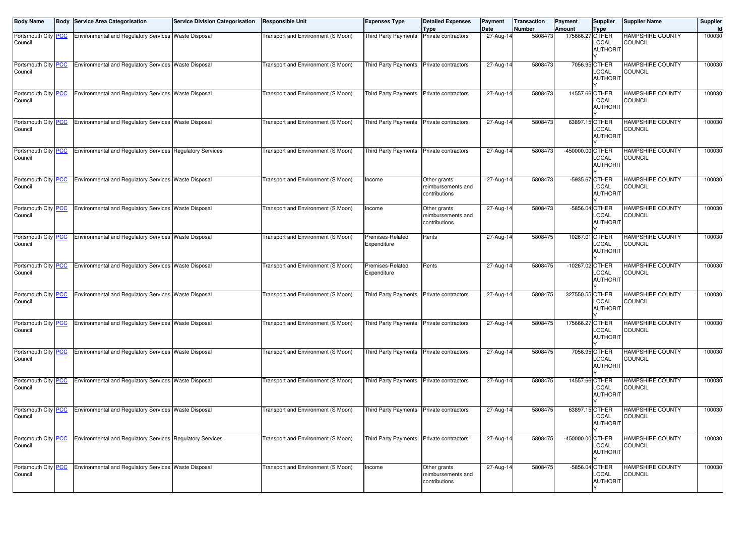| <b>Body Name</b>                      | <b>Body Service Area Categorisation</b>                   | <b>Service Division Categorisation</b> | <b>Responsible Unit</b>            | <b>Expenses Type</b>                     | <b>Detailed Expenses</b>                            | <b>Payment</b>    | <b>Transaction</b>       | Payment                          | Supplier                                   | <b>Supplier Name</b>                      | Supplier     |
|---------------------------------------|-----------------------------------------------------------|----------------------------------------|------------------------------------|------------------------------------------|-----------------------------------------------------|-------------------|--------------------------|----------------------------------|--------------------------------------------|-------------------------------------------|--------------|
| Portsmouth City PCC                   | Environmental and Regulatory Services Waste Disposal      |                                        | Transport and Environment (S Moon) | Third Party Payments                     | Type<br>Private contractors                         | Date<br>27-Aug-14 | <b>Number</b><br>5808473 | <b>Amount</b><br>175666.27 OTHER | Type                                       | <b>HAMPSHIRE COUNTY</b>                   | Id<br>100030 |
| Council                               |                                                           |                                        |                                    |                                          |                                                     |                   |                          |                                  | LOCAL<br><b>AUTHORIT</b>                   | <b>COUNCIL</b>                            |              |
| Portsmouth City PCC<br>Council        | Environmental and Regulatory Services Waste Disposal      |                                        | Transport and Environment (S Moon) | Third Party Payments                     | Private contractors                                 | 27-Aug-14         | 5808473                  |                                  | 7056.95 OTHER<br>LOCAL<br><b>AUTHORIT</b>  | <b>HAMPSHIRE COUNTY</b><br><b>COUNCIL</b> | 100030       |
| Portsmouth City PCC<br>Council        | Environmental and Regulatory Services Waste Disposal      |                                        | Transport and Environment (S Moon) | Third Party Payments                     | Private contractors                                 | 27-Aug-14         | 5808473                  |                                  | 14557.66 OTHER<br>LOCAL<br><b>AUTHORIT</b> | <b>HAMPSHIRE COUNTY</b><br><b>COUNCIL</b> | 100030       |
| Portsmouth City PCC<br>Council        | Environmental and Regulatory Services Waste Disposal      |                                        | Transport and Environment (S Moon) | <b>Third Party Payments</b>              | Private contractors                                 | 27-Aug-14         | 5808473                  | 63897.15 OTHER                   | LOCAL<br><b>AUTHORIT</b>                   | <b>HAMPSHIRE COUNTY</b><br><b>COUNCIL</b> | 100030       |
| Portsmouth City PCC<br>Council        | Environmental and Regulatory Services Regulatory Services |                                        | Transport and Environment (S Moon) | Third Party Payments                     | Private contractors                                 | 27-Aug-14         | 5808473                  | -450000.00 OTHER                 | LOCAL<br><b>AUTHORIT</b>                   | <b>HAMPSHIRE COUNTY</b><br><b>COUNCIL</b> | 100030       |
| Portsmouth City PCC<br>Council        | Environmental and Regulatory Services Waste Disposal      |                                        | Transport and Environment (S Moon) | Income                                   | Other grants<br>reimbursements and<br>contributions | 27-Aug-14         | 5808473                  |                                  | -5935.67 OTHER<br>LOCAL<br><b>AUTHORIT</b> | <b>HAMPSHIRE COUNTY</b><br><b>COUNCIL</b> | 100030       |
| Portsmouth City PCC<br>Council        | Environmental and Regulatory Services Waste Disposal      |                                        | Transport and Environment (S Moon) | Income                                   | Other grants<br>eimbursements and<br>contributions  | 27-Aug-14         | 5808473                  |                                  | -5856.04 OTHER<br>LOCAL<br><b>AUTHORIT</b> | <b>HAMPSHIRE COUNTY</b><br><b>COUNCIL</b> | 100030       |
| Portsmouth City PCC<br>Council        | Environmental and Regulatory Services Waste Disposal      |                                        | Transport and Environment (S Moon) | Premises-Related<br>Expenditure          | Rents                                               | 27-Aug-14         | 5808475                  | 10267.01 OTHER                   | LOCAL<br><b>AUTHORIT</b>                   | <b>HAMPSHIRE COUNTY</b><br><b>COUNCIL</b> | 100030       |
| Portsmouth City PCC<br>Council        | Environmental and Regulatory Services Waste Disposal      |                                        | Transport and Environment (S Moon) | Premises-Related<br>Expenditure          | Rents                                               | 27-Aug-14         | 5808475                  | -10267.02 OTHER                  | LOCAL<br><b>AUTHORIT</b>                   | <b>HAMPSHIRE COUNTY</b><br><b>COUNCIL</b> | 100030       |
| Portsmouth City <b>PCC</b><br>Council | Environmental and Regulatory Services Waste Disposal      |                                        | Transport and Environment (S Moon) | Third Party Payments                     | Private contractors                                 | 27-Aug-14         | 5808475                  | 327550.55 OTHER                  | LOCAL<br><b>AUTHORIT</b>                   | <b>HAMPSHIRE COUNTY</b><br>COUNCIL        | 100030       |
| Portsmouth City PCC<br>Council        | Environmental and Regulatory Services Waste Disposal      |                                        | Transport and Environment (S Moon) | Third Party Payments Private contractors |                                                     | 27-Aug-14         | 5808475                  | 175666.27 OTHER                  | LOCAL<br><b>AUTHORIT</b>                   | <b>HAMPSHIRE COUNTY</b><br><b>COUNCIL</b> | 100030       |
| Portsmouth City PCC<br>Council        | Environmental and Regulatory Services Waste Disposal      |                                        | Transport and Environment (S Moon) | <b>Third Party Payments</b>              | Private contractors                                 | 27-Aug-14         | 5808475                  |                                  | 7056.95 OTHER<br>LOCAL<br><b>AUTHORIT</b>  | <b>HAMPSHIRE COUNTY</b><br>COUNCIL        | 100030       |
| Portsmouth City PCC<br>Council        | Environmental and Regulatory Services Waste Disposal      |                                        | Transport and Environment (S Moon) | Third Party Payments                     | Private contractors                                 | 27-Aug-14         | 5808475                  | 14557.66 OTHER                   | LOCAL<br><b>AUTHORIT</b>                   | <b>HAMPSHIRE COUNTY</b><br><b>COUNCIL</b> | 100030       |
| Portsmouth City PCC<br>Council        | Environmental and Regulatory Services Waste Disposal      |                                        | Transport and Environment (S Moon) | Third Party Payments Private contractors |                                                     | 27-Aug-14         | 5808475                  | 63897.15 OTHER                   | LOCAL<br><b>AUTHORIT</b>                   | <b>HAMPSHIRE COUNTY</b><br>COUNCIL        | 100030       |
| Portsmouth City PCC<br>Council        | Environmental and Regulatory Services Regulatory Services |                                        | Transport and Environment (S Moon) | Third Party Payments Private contractors |                                                     | 27-Aug-14         | 5808475                  | -450000.00 OTHER                 | LOCAL<br><b>AUTHORIT</b>                   | <b>HAMPSHIRE COUNTY</b><br>COUNCIL        | 100030       |
| Portsmouth City PCC<br>Council        | Environmental and Regulatory Services Waste Disposal      |                                        | Transport and Environment (S Moon) | Income                                   | Other grants<br>reimbursements and<br>contributions | 27-Aug-14         | 5808475                  |                                  | -5856.04 OTHER<br>LOCAL<br><b>AUTHORIT</b> | HAMPSHIRE COUNTY<br>COUNCIL               | 100030       |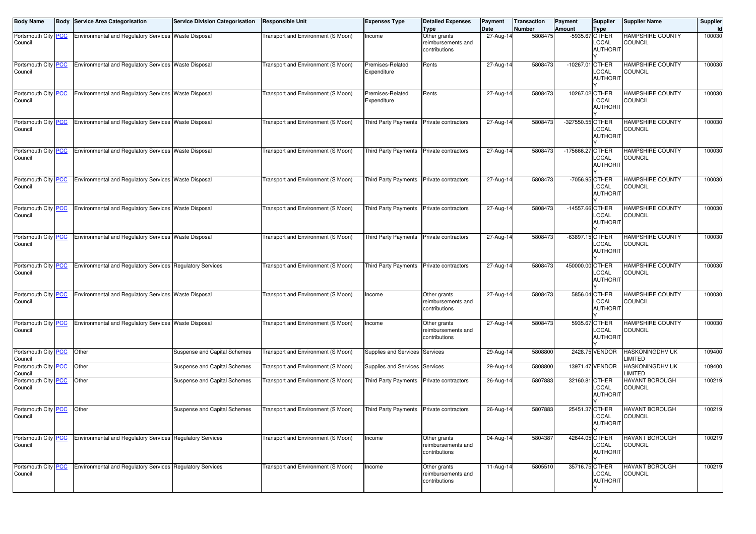| <b>Body Name</b>               | <b>Body Service Area Categorisation</b>                   | <b>Service Division Categorisation</b> | <b>Responsible Unit</b>            | <b>Expenses Type</b>                     | <b>Detailed Expenses</b>                                           | Payment           | <b>Transaction</b>       | Payment          | <b>Supplier</b>                                    | <b>Supplier Name</b>                      | Supplier     |
|--------------------------------|-----------------------------------------------------------|----------------------------------------|------------------------------------|------------------------------------------|--------------------------------------------------------------------|-------------------|--------------------------|------------------|----------------------------------------------------|-------------------------------------------|--------------|
| Portsmouth City PCC<br>Council | Environmental and Regulatory Services Waste Disposal      |                                        | Transport and Environment (S Moon) | Income                                   | <b>Type</b><br>Other grants<br>reimbursements and<br>contributions | Date<br>27-Aug-14 | <b>Number</b><br>5808475 | <b>Amount</b>    | Type<br>-5935.67 OTHER<br>LOCAL<br><b>AUTHORIT</b> | <b>HAMPSHIRE COUNTY</b><br>COUNCIL        | Id<br>100030 |
| Portsmouth City PCC<br>Council | Environmental and Regulatory Services Waste Disposal      |                                        | Transport and Environment (S Moon) | Premises-Related<br>Expenditure          | Rents                                                              | 27-Aug-14         | 5808473                  | $-10267.01$      | <b>OTHER</b><br>LOCAL<br><b>AUTHORIT</b>           | <b>HAMPSHIRE COUNTY</b><br><b>COUNCIL</b> | 100030       |
| Portsmouth City PCC<br>Council | Environmental and Regulatory Services Waste Disposal      |                                        | Transport and Environment (S Moon) | Premises-Related<br>Expenditure          | Rents                                                              | 27-Aug-14         | 5808473                  | 10267.02 OTHER   | LOCAL<br><b>AUTHORIT</b>                           | <b>HAMPSHIRE COUNTY</b><br><b>COUNCIL</b> | 100030       |
| Portsmouth City PCC<br>Council | Environmental and Regulatory Services Waste Disposal      |                                        | Transport and Environment (S Moon) | Third Party Payments                     | Private contractors                                                | 27-Aug-14         | 5808473                  | -327550.55 OTHER | LOCAL<br><b>AUTHORIT</b>                           | <b>HAMPSHIRE COUNTY</b><br>COUNCIL        | 100030       |
| Portsmouth City PCC<br>Council | Environmental and Regulatory Services Waste Disposal      |                                        | Transport and Environment (S Moon) | Third Party Payments                     | Private contractors                                                | 27-Aug-14         | 5808473                  | -175666.27 OTHER | LOCAL<br><b>AUTHORIT</b>                           | <b>HAMPSHIRE COUNTY</b><br><b>COUNCIL</b> | 100030       |
| Portsmouth City PCC<br>Council | Environmental and Regulatory Services Waste Disposal      |                                        | Transport and Environment (S Moon) | Third Party Payments Private contractors |                                                                    | 27-Aug-14         | 5808473                  |                  | -7056.95 OTHER<br>LOCAL<br><b>AUTHORIT</b>         | <b>HAMPSHIRE COUNTY</b><br><b>COUNCIL</b> | 100030       |
| Portsmouth City PCC<br>Council | Environmental and Regulatory Services Waste Disposal      |                                        | Transport and Environment (S Moon) | Third Party Payments                     | Private contractors                                                | 27-Aug-14         | 5808473                  | -14557.66 OTHER  | LOCAL<br><b>AUTHORIT</b>                           | <b>HAMPSHIRE COUNTY</b><br>COUNCIL        | 100030       |
| Portsmouth City PCC<br>Council | Environmental and Regulatory Services Waste Disposal      |                                        | Transport and Environment (S Moon) | Third Party Payments                     | Private contractors                                                | 27-Aug-14         | 5808473                  | -63897.15 OTHER  | LOCAL<br><b>AUTHORIT</b>                           | <b>HAMPSHIRE COUNTY</b><br><b>COUNCIL</b> | 100030       |
| Portsmouth City PCC<br>Council | Environmental and Regulatory Services Regulatory Services |                                        | Transport and Environment (S Moon) | Third Party Payments                     | Private contractors                                                | 27-Aug-14         | 5808473                  | 450000.00 OTHER  | LOCAL<br><b>AUTHORIT</b>                           | <b>HAMPSHIRE COUNTY</b><br><b>COUNCIL</b> | 100030       |
| Portsmouth City PCC<br>Council | Environmental and Regulatory Services Waste Disposal      |                                        | Transport and Environment (S Moon) | Income                                   | Other grants<br>eimbursements and<br>contributions                 | 27-Aug-14         | 5808473                  |                  | 5856.04 OTHER<br>LOCAL<br><b>AUTHORIT</b>          | <b>HAMPSHIRE COUNTY</b><br>COUNCIL        | 100030       |
| Portsmouth City PCC<br>Council | Environmental and Regulatory Services Waste Disposal      |                                        | Transport and Environment (S Moon) | Income                                   | Other grants<br>reimbursements and<br>contributions                | $27$ -Aug-14      | 5808473                  |                  | 5935.67 OTHER<br>LOCAL<br><b>AUTHORIT</b>          | <b>HAMPSHIRE COUNTY</b><br><b>COUNCIL</b> | 100030       |
| Portsmouth City PCC<br>Council | Other                                                     | Suspense and Capital Schemes           | Transport and Environment (S Moon) | Supplies and Services Services           |                                                                    | 29-Aug-14         | 5808800                  |                  | 2428.75 VENDOR                                     | HASKONINGDHV UK<br>LIMITED                | 109400       |
| Portsmouth City PCC<br>Council | Other                                                     | Suspense and Capital Schemes           | Transport and Environment (S Moon) | Supplies and Services                    | Services                                                           | 29-Aug-14         | 5808800                  |                  | 13971.47 VENDOR                                    | HASKONINGDHV UK<br>LIMITED                | 109400       |
| Portsmouth City PCC<br>Council | Other                                                     | Suspense and Capital Schemes           | Transport and Environment (S Moon) | Third Party Payments                     | Private contractors                                                | 26-Aug-14         | 5807883                  | 32160.81 OTHER   | LOCAL<br><b>AUTHORIT</b>                           | HAVANT BOROUGH<br>COUNCIL                 | 100219       |
| Portsmouth City PCC<br>Council | Other                                                     | Suspense and Capital Schemes           | Transport and Environment (S Moon) | <b>Third Party Payments</b>              | Private contractors                                                | 26-Aug-14         | 5807883                  |                  | 25451.37 OTHER<br>LOCAL<br><b>AUTHORIT</b>         | HAVANT BOROUGH<br>COUNCIL                 | 100219       |
| Portsmouth City PCC<br>Council | Environmental and Regulatory Services Regulatory Services |                                        | Transport and Environment (S Moon) | Income                                   | Other grants<br>reimbursements and<br>contributions                | 04-Aug-14         | 5804387                  | 42644.05 OTHER   | LOCAL<br><b>AUTHORIT</b>                           | <b>HAVANT BOROUGH</b><br>COUNCIL          | 100219       |
| Portsmouth City PCC<br>Council | Environmental and Regulatory Services Regulatory Services |                                        | Transport and Environment (S Moon) | Income                                   | Other grants<br>reimbursements and<br>contributions                | 11-Aug-14         | 5805510                  | 35716.75 OTHER   | LOCAL<br><b>AUTHORIT</b>                           | HAVANT BOROUGH<br>COUNCIL                 | 100219       |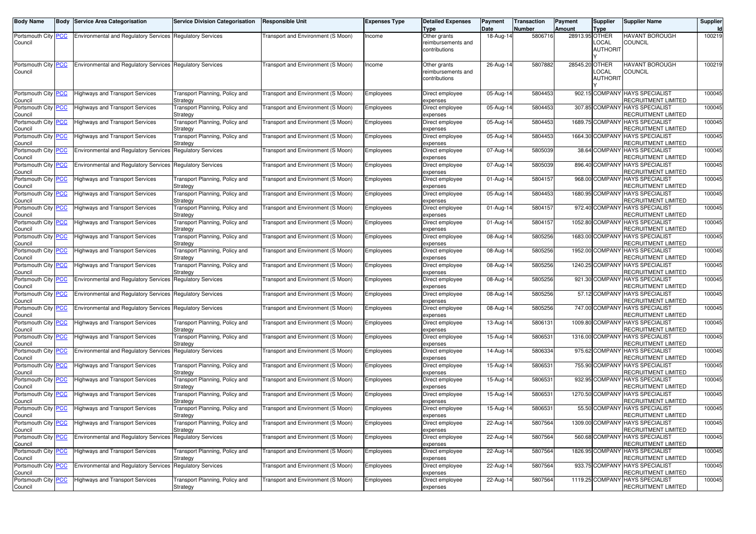| <b>Body Name</b>                      | Body | Service Area Categorisation                                      | <b>Service Division Categorisation</b>     | <b>Responsible Unit</b>            | <b>Expenses Type</b> | <b>Detailed Expenses</b><br>Type                    | Payment<br>Date | <b>Transaction</b><br>Number | Payment<br><b>Amount</b> | Supplier<br>Type         | <b>Supplier Name</b>                                   | Supplier<br>Id |
|---------------------------------------|------|------------------------------------------------------------------|--------------------------------------------|------------------------------------|----------------------|-----------------------------------------------------|-----------------|------------------------------|--------------------------|--------------------------|--------------------------------------------------------|----------------|
| Portsmouth City PCC<br>Council        |      | <b>Environmental and Regulatory Services</b>                     | <b>Requlatory Services</b>                 | Transport and Environment (S Moon) | Income               | Other grants<br>reimbursements and<br>contributions | 18-Aug-14       | 5806716                      | 28913.95 OTHER           | _OCAL<br><b>AUTHORIT</b> | HAVANT BOROUGH<br>COUNCIL                              | 100219         |
| Portsmouth City PCC<br>Council        |      | <b>Environmental and Regulatory Services Regulatory Services</b> |                                            | Transport and Environment (S Moon) | Income               | Other grants<br>reimbursements and<br>contributions | 26-Aug-14       | 5807882                      | 28545.20 OTHER           | LOCAL<br><b>AUTHORIT</b> | <b>HAVANT BOROUGH</b><br>COUNCIL                       | 100219         |
| Portsmouth City PCC<br>Council        |      | <b>Highways and Transport Services</b>                           | Transport Planning, Policy and<br>Strategy | Transport and Environment (S Moon) | Employees            | Direct employee<br>expenses                         | 05-Aug-14       | 5804453                      |                          | 902.15 COMPANY           | HAYS SPECIALIST<br>RECRUITMENT LIMITED                 | 100045         |
| Portsmouth City PCC<br>Council        |      | <b>Highways and Transport Services</b>                           | Transport Planning, Policy and<br>Strategy | Transport and Environment (S Moon) | Employees            | Direct employee<br>expenses                         | 05-Aug-14       | 5804453                      |                          | 307.85 COMPANY           | <b>HAYS SPECIALIST</b><br>RECRUITMENT LIMITED          | 100045         |
| Portsmouth City PCC<br>Council        |      | Highways and Transport Services                                  | Transport Planning, Policy and<br>Strategy | Transport and Environment (S Moon) | Employees            | Direct employee<br>expenses                         | 05-Aug-14       | 5804453                      |                          | 1689.75 COMPANY          | <b>HAYS SPECIALIST</b><br>RECRUITMENT LIMITED          | 100045         |
| Portsmouth City PCC<br>Council        |      | <b>Highways and Transport Services</b>                           | Transport Planning, Policy and<br>Strategy | Transport and Environment (S Moon) | Employees            | Direct employee<br>expenses                         | 05-Aug-14       | 5804453                      |                          | 1664.30 COMPANY          | <b>HAYS SPECIALIST</b><br>RECRUITMENT LIMITED          | 100045         |
| Portsmouth City PCC<br>Council        |      | <b>Environmental and Regulatory Services</b>                     | <b>Regulatory Services</b>                 | Transport and Environment (S Moon) | Employees            | Direct employee<br>expenses                         | 07-Aug-14       | 5805039                      |                          | 38.64 COMPANY            | <b>HAYS SPECIALIST</b><br>RECRUITMENT LIMITED          | 100045         |
| Portsmouth City PCC<br>Council        |      | <b>Environmental and Regulatory Services</b>                     | <b>Regulatory Services</b>                 | Transport and Environment (S Moon) | Employees            | Direct employee<br>expenses                         | 07-Aug-14       | 5805039                      |                          | 896.40 COMPANY           | <b>HAYS SPECIALIST</b><br>RECRUITMENT LIMITED          | 100045         |
| Portsmouth City PCC<br>Council        |      | <b>Highways and Transport Services</b>                           | Transport Planning, Policy and<br>Strategy | Transport and Environment (S Moon) | Employees            | Direct employee<br>expenses                         | 01-Aug-14       | 5804157                      |                          | 968.00 COMPANY           | <b>HAYS SPECIALIST</b><br>RECRUITMENT LIMITED          | 100045         |
| Portsmouth City PCC<br>Council        |      | <b>Highways and Transport Services</b>                           | Transport Planning, Policy and<br>Strategy | Transport and Environment (S Moon) | Employees            | Direct employee<br>expenses                         | 05-Aug-14       | 5804453                      |                          | 1680.95 COMPANY          | <b>HAYS SPECIALIST</b><br>RECRUITMENT LIMITED          | 100045         |
| Portsmouth City PCC<br>Council        |      | Highways and Transport Services                                  | Transport Planning, Policy and<br>Strategy | Transport and Environment (S Moon) | Employees            | Direct employee<br>expenses                         | 01-Aug-14       | 5804157                      |                          | 972.40 COMPANY           | <b>HAYS SPECIALIST</b><br>RECRUITMENT LIMITED          | 100045         |
| Portsmouth City PCC<br>Council        |      | <b>Highways and Transport Services</b>                           | Transport Planning, Policy and<br>Strategy | Transport and Environment (S Moon) | Employees            | Direct employee<br>expenses                         | 01-Aug-14       | 5804157                      |                          | 1052.80 COMPANY          | <b>HAYS SPECIALIST</b><br>RECRUITMENT LIMITED          | 100045         |
| Portsmouth City PCC<br>Council        |      | <b>Highways and Transport Services</b>                           | Transport Planning, Policy and<br>Strategy | Transport and Environment (S Moon) | Employees            | Direct employee<br>expenses                         | 08-Aug-14       | 5805256                      |                          | 1683.00 COMPANY          | <b>HAYS SPECIALIST</b><br>RECRUITMENT LIMITED          | 100045         |
| Portsmouth City PCC<br>Council        |      | Highways and Transport Services                                  | Transport Planning, Policy and<br>Strategy | Transport and Environment (S Moon) | Employees            | Direct employee<br>expenses                         | 08-Aug-14       | 5805256                      |                          | 1952.00 COMPANY          | <b>HAYS SPECIALIST</b><br>RECRUITMENT LIMITED          | 100045         |
| Portsmouth City PCC<br>Council        |      | <b>Highways and Transport Services</b>                           | Transport Planning, Policy and<br>Strategy | Transport and Environment (S Moon) | Employees            | Direct employee<br>expenses                         | 08-Aug-14       | 5805256                      |                          | 1240.25 COMPANY          | <b>HAYS SPECIALIST</b><br>RECRUITMENT LIMITED          | 100045         |
| Portsmouth City PCC<br>Council        |      | <b>Environmental and Regulatory Services</b>                     | <b>Regulatory Services</b>                 | Transport and Environment (S Moon) | Employees            | Direct employee<br>expenses                         | 08-Aug-14       | 5805256                      |                          | 921.30 COMPANY           | <b>HAYS SPECIALIST</b><br>RECRUITMENT LIMITED          | 100045         |
| Portsmouth City PCC<br>Council        |      | <b>Environmental and Regulatory Services</b>                     | <b>Regulatory Services</b>                 | Transport and Environment (S Moon) | Employees            | Direct employee<br>expenses                         | 08-Aug-14       | 5805256                      |                          | 57.12 COMPANY            | <b>HAYS SPECIALIST</b><br>RECRUITMENT LIMITED          | 100045         |
| Portsmouth City PCC<br>Council        |      | <b>Environmental and Regulatory Services</b>                     | <b>Regulatory Services</b>                 | Transport and Environment (S Moon) | Employees            | Direct employee<br>expenses                         | 08-Aug-14       | 5805256                      |                          | 747.00 COMPANY           | <b>HAYS SPECIALIST</b><br>RECRUITMENT LIMITED          | 100045         |
| Portsmouth City PCC<br>Council        |      | Highways and Transport Services                                  | Transport Planning, Policy and<br>Strategy | Transport and Environment (S Moon) | Employees            | Direct employee<br>expenses                         | 13-Aug-14       | 580613                       |                          | 1009.80 COMPANY          | HAYS SPECIALIST<br>RECRUITMENT LIMITED                 | 100045         |
| Portsmouth City PCC<br>Council        |      | Highways and Transport Services                                  | Transport Planning, Policy and<br>Strategy | Transport and Environment (S Moon) | Employees            | Direct employee<br>expenses                         | 15-Aug-14       | 5806531                      |                          | 1316.00 COMPANY          | <b>HAYS SPECIALIST</b><br>RECRUITMENT LIMITED          | 100045         |
| Portsmouth City PCC<br>Council        |      | <b>Environmental and Regulatory Services</b>                     | <b>Regulatory Services</b>                 | Transport and Environment (S Moon) | Employees            | Direct employee<br>expenses                         | 14-Aug-14       | 5806334                      |                          | 975.62 COMPANY           | <b>HAYS SPECIALIST</b><br>RECRUITMENT LIMITED          | 100045         |
| Portsmouth City PCC<br>Council        |      | Highways and Transport Services                                  | Transport Planning, Policy and<br>Strategy | Transport and Environment (S Moon) | Employees            | Direct employee<br>expenses                         | 15-Aug-14       | 580653                       |                          | 755.90 COMPANY           | <b>HAYS SPECIALIST</b><br>RECRUITMENT LIMITED          | 100045         |
| Portsmouth City PCC<br>Council        |      | <b>Highways and Transport Services</b>                           | Transport Planning, Policy and<br>Strategy | Transport and Environment (S Moon) | Employees            | Direct employee<br>expenses                         | 15-Aug-14       | 5806531                      |                          | 932.95 COMPANY           | <b>HAYS SPECIALIST</b><br><b>RECRUITMENT LIMITED</b>   | 100045         |
| Portsmouth City PCC<br>Council        |      | <b>Highways and Transport Services</b>                           | Transport Planning, Policy and<br>Strategy | Transport and Environment (S Moon) | Employees            | Direct employee<br>expenses                         | 15-Aug-14       | 580653                       |                          | 1270.50 COMPANY          | <b>HAYS SPECIALIST</b><br>RECRUITMENT LIMITED          | 100045         |
| Portsmouth City PCC<br>Council        |      | <b>Highways and Transport Services</b>                           | Transport Planning, Policy and<br>Strategy | Transport and Environment (S Moon) | Employees            | Direct employee<br>expenses                         | 15-Aug-14       | 580653                       |                          | 55.50 COMPANY            | <b>HAYS SPECIALIST</b><br>RECRUITMENT LIMITED          | 100045         |
| Portsmouth City <b>PCC</b><br>Council |      | Highways and Transport Services                                  | Transport Planning, Policy and<br>Strategy | Transport and Environment (S Moon) | ⊨mpioyees            | Direct employee<br>expenses                         | 22-Aug-14       | 5807564                      |                          | 1309.00 COMPANY          | <b>HAYS SPECIALIST</b><br>RECRUITMENT LIMITED          | 100045         |
| Portsmouth City PCC<br>Council        |      | <b>Environmental and Regulatory Services</b>                     | <b>Regulatory Services</b>                 | Transport and Environment (S Moon) | Employees            | Direct employee<br>expenses                         | 22-Aug-14       | 5807564                      |                          | 560.68 COMPANY           | <b>HAYS SPECIALIST</b><br>RECRUITMENT LIMITED          | 100045         |
| Portsmouth City PCC<br>Council        |      | <b>Highways and Transport Services</b>                           | Transport Planning, Policy and<br>Strategy | Transport and Environment (S Moon) | Employees            | Direct employee<br>expenses                         | 22-Aug-14       | 5807564                      |                          |                          | 1826.95 COMPANY HAYS SPECIALIST<br>RECRUITMENT LIMITED | 100045         |
| Portsmouth City PCC<br>Council        |      | <b>Environmental and Regulatory Services</b>                     | <b>Regulatory Services</b>                 | Transport and Environment (S Moon) | Employees            | Direct employee<br>expenses                         | 22-Aug-14       | 5807564                      |                          | 933.75 COMPANY           | HAYS SPECIALIST<br>RECRUITMENT LIMITED                 | 100045         |
| Portsmouth City PCC<br>Council        |      | <b>Highways and Transport Services</b>                           | Transport Planning, Policy and<br>Strategy | Transport and Environment (S Moon) | Employees            | Direct employee<br>expenses                         | 22-Aug-14       | 5807564                      |                          | 1119.25 COMPANY          | <b>HAYS SPECIALIST</b><br>RECRUITMENT LIMITED          | 100045         |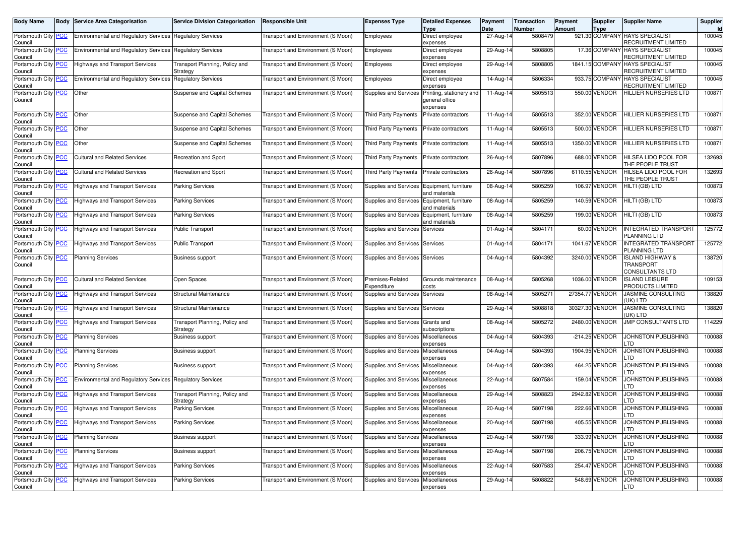| <b>Body Name</b>                              | Body           | <b>Service Area Categorisation</b>                               | <b>Service Division Categorisation</b>     | <b>Responsible Unit</b>                   | <b>Expenses Type</b>                       | <b>Detailed Expenses</b><br><b>Type</b>                | Payment<br>Date | Transaction<br>Number | Payment<br><b>Amount</b> | Supplier<br><b>Type</b> | <b>Supplier Name</b>                                        | Supplier<br>Id |
|-----------------------------------------------|----------------|------------------------------------------------------------------|--------------------------------------------|-------------------------------------------|--------------------------------------------|--------------------------------------------------------|-----------------|-----------------------|--------------------------|-------------------------|-------------------------------------------------------------|----------------|
| Portsmouth City <b>PCC</b><br>Council         |                | <b>Environmental and Requlatory Services Requlatory Services</b> |                                            | <b>Fransport and Environment (S Moon)</b> | Employees                                  | Direct employee<br>expenses                            | 27-Aug-14       | 5808479               |                          |                         | 921.30 COMPANY HAYS SPECIALIST<br>RECRUITMENT LIMITED       | 100045         |
| Portsmouth City<br>Council                    | <b>PCC</b>     | Environmental and Regulatory Services Regulatory Services        |                                            | Transport and Environment (S Moon)        | Employees                                  | Direct employee<br>expenses                            | 29-Aug-14       | 5808805               |                          | 17.36 COMPANY           | <b>HAYS SPECIALIST</b><br>RECRUITMENT LIMITED               | 100045         |
| Portsmouth City<br>Council                    | <b>PCC</b>     | <b>Highways and Transport Services</b>                           | Transport Planning, Policy and<br>Strategy | Transport and Environment (S Moon)        | Employees                                  | Direct employee<br>expenses                            | 29-Aug-14       | 5808805               |                          | 1841.15 COMPANY         | <b>HAYS SPECIALIST</b><br>RECRUITMENT LIMITED               | 100045         |
| Portsmouth City PCC<br>Council                |                | <b>Environmental and Regulatory Services</b>                     | <b>Regulatory Services</b>                 | Transport and Environment (S Moon)        | Employees                                  | Direct employee<br>expenses                            | 14-Aug-14       | 5806334               |                          | 933.75 COMPANY          | <b>HAYS SPECIALIST</b><br>RECRUITMENT LIMITED               | 100045         |
| Portsmouth City PCC<br>Council                |                | Other                                                            | Suspense and Capital Schemes               | Transport and Environment (S Moon)        | Supplies and Services                      | Printing, stationery and<br>general office<br>expenses | 11-Aug-14       | 5805513               |                          | 550.00 VENDOR           | HILLIER NURSERIES LTD                                       | 100871         |
| Portsmouth City<br>Council                    | <b>PCC</b>     | Other                                                            | Suspense and Capital Schemes               | Transport and Environment (S Moon)        | <b>Third Party Payments</b>                | Private contractors                                    | 11-Aug-14       | 5805513               |                          | 352.00 VENDOR           | HILLIER NURSERIES LTD                                       | 100871         |
| Portsmouth City<br>Council                    | <b>PCC</b>     | Other                                                            | Suspense and Capital Schemes               | Transport and Environment (S Moon)        | <b>Third Party Payments</b>                | Private contractors                                    | 11-Aug-14       | 5805513               |                          | 500.00 VENDOR           | HILLIER NURSERIES LTD                                       | 100871         |
| Portsmouth City PCC<br>Council                |                | Other                                                            | Suspense and Capital Schemes               | Transport and Environment (S Moon)        | <b>Third Party Payments</b>                | Private contractors                                    | 11-Aug-14       | 5805513               |                          | 1350.00 VENDOR          | HILLIER NURSERIES LTD                                       | 100871         |
| Portsmouth City<br>Council                    | <b>PCC</b>     | <b>Cultural and Related Services</b>                             | <b>Recreation and Sport</b>                | Transport and Environment (S Moon)        | <b>Third Party Payments</b>                | Private contractors                                    | 26-Aug-14       | 5807896               |                          | 688.00 VENDOR           | HILSEA LIDO POOL FOR<br>THE PEOPLE TRUST                    | 132693         |
| Portsmouth City PCC<br>Council                |                | <b>Cultural and Related Services</b>                             | Recreation and Sport                       | Transport and Environment (S Moon)        | <b>Third Party Payments</b>                | Private contractors                                    | 26-Aug-14       | 5807896               |                          | 6110.55 VENDOR          | HILSEA LIDO POOL FOR<br>THE PEOPLE TRUST                    | 132693         |
| Portsmouth City PCC<br>Council                |                | <b>Highways and Transport Services</b>                           | <b>Parking Services</b>                    | Transport and Environment (S Moon)        | Supplies and Services Equipment, furniture | and materials                                          | 08-Aug-14       | 5805259               |                          | 106.97 VENDOR           | HILTI (GB) LTD                                              | 100873         |
| Portsmouth City PCC<br>Council                |                | <b>Highways and Transport Services</b>                           | <b>Parking Services</b>                    | Transport and Environment (S Moon)        | Supplies and Services                      | Equipment, furniture<br>and materials                  | 08-Aug-14       | 5805259               |                          | 140.59 VENDOR           | HILTI (GB) LTD                                              | 100873         |
| Portsmouth City<br>Council                    | <b>PCC</b>     | <b>Highways and Transport Services</b>                           | <b>Parking Services</b>                    | Transport and Environment (S Moon)        | Supplies and Services                      | Equipment, furniture<br>and materials                  | 08-Aug-14       | 5805259               |                          | 199.00 VENDOR           | HILTI (GB) LTD                                              | 100873         |
| Portsmouth City PCC<br>Council                |                | <b>Highways and Transport Services</b>                           | <b>Public Transport</b>                    | Transport and Environment (S Moon)        | Supplies and Services                      | Services                                               | 01-Aug-14       | 5804171               |                          | 60.00 VENDOR            | <b>INTEGRATED TRANSPORT</b><br>PLANNING LTD                 | 125772         |
| Portsmouth City<br>Council                    | <b>PCC</b>     | <b>Highways and Transport Services</b>                           | <b>Public Transport</b>                    | Transport and Environment (S Moon)        | Supplies and Services                      | Services                                               | 01-Aug-14       | 5804171               |                          | 1041.67 VENDOR          | <b>INTEGRATED TRANSPORT</b><br>PLANNING LTD                 | 125772         |
| Portsmouth City<br>Council                    | $\overline{C}$ | <b>Planning Services</b>                                         | Business support                           | Transport and Environment (S Moon)        | Supplies and Services                      | Services                                               | 04-Aug-14       | 5804392               |                          | 3240.00 VENDOR          | <b>ISLAND HIGHWAY &amp;</b><br>TRANSPORT<br>CONSULTANTS LTD | 138720         |
| Portsmouth City<br>Council                    | <b>PCC</b>     | <b>Cultural and Related Services</b>                             | Open Spaces                                | Transport and Environment (S Moon)        | Premises-Related<br>Expenditure            | Grounds maintenance<br>costs                           | 08-Aug-14       | 5805268               |                          | 1036.00 VENDOR          | <b>ISLAND LEISURE</b><br>PRODUCTS LIMITED                   | 109153         |
| Portsmouth City PCC<br>Council                |                | <b>Highways and Transport Services</b>                           | Structural Maintenance                     | Transport and Environment (S Moon)        | Supplies and Services                      | Services                                               | 08-Aug-14       | 5805271               |                          | 27354.77 VENDOR         | JASMINE CONSULTING<br>UK) LTD                               | 138820         |
| Portsmouth City<br>Council                    | <b>PCC</b>     | <b>Highways and Transport Services</b>                           | Structural Maintenance                     | Transport and Environment (S Moon)        | Supplies and Services                      | Services                                               | 29-Aug-14       | 5808818               |                          | 30327.30 VENDOR         | <b>JASMINE CONSULTING</b><br>UK) LTD                        | 138820         |
| Portsmouth City<br>Council                    | <u>PCC</u>     | <b>Highways and Transport Services</b>                           | Transport Planning, Policy and<br>Strategy | Transport and Environment (S Moon)        | Supplies and Services                      | Grants and<br>subscriptions                            | 08-Aug-14       | 5805272               |                          | 2480.00 VENDOR          | <b>JMP CONSULTANTS LTD</b>                                  | 114229         |
| Portsmouth City PCC<br>Council                |                | <b>Planning Services</b>                                         | Business support                           | Transport and Environment (S Moon)        | Supplies and Services                      | Miscellaneous<br>expenses                              | 04-Aug-14       | 5804393               |                          | -214.25 VENDOR          | JOHNSTON PUBLISHING<br>.TD                                  | 100088         |
| Portsmouth City PCC<br>Council                |                | <b>Planning Services</b>                                         | <b>Business support</b>                    | Transport and Environment (S Moon)        | <b>Supplies and Services</b>               | Miscellaneous<br>expenses                              | 04-Aug-14       | 5804393               |                          | 1904.95 VENDOR          | JOHNSTON PUBLISHING<br>TD                                   | 100088         |
| Portsmouth City<br>Council                    | <b>PCC</b>     | <b>Planning Services</b>                                         | <b>Business support</b>                    | Transport and Environment (S Moon)        | <b>Supplies and Services</b>               | Miscellaneous<br>expenses                              | 04-Aug-14       | 5804393               |                          | 464.25 VENDOR           | JOHNSTON PUBLISHING<br>.TD                                  | 100088         |
| Portsmouth City PCC<br>Council                |                | <b>Environmental and Regulatory Services Regulatory Services</b> |                                            | Transport and Environment (S Moon)        | Supplies and Services                      | Miscellaneous<br>expenses                              | 22-Aug-14       | 5807584               |                          | 159.04 VENDOR           | JOHNSTON PUBLISHING<br>.TD                                  | 100088         |
| Portsmouth City<br>Council                    | <b>PCC</b>     | <b>Highways and Transport Services</b>                           | Transport Planning, Policy and<br>Strategy | Transport and Environment (S Moon)        | Supplies and Services                      | Miscellaneous<br>expenses                              | 29-Aug-14       | 5808823               |                          | 2942.82 VENDOR          | JOHNSTON PUBLISHING<br>TD                                   | 100088         |
| Portsmouth City<br>Council                    | <u>PCC</u>     | <b>Highways and Transport Services</b>                           | <b>Parking Services</b>                    | Transport and Environment (S Moon)        | <b>Supplies and Services</b>               | Miscellaneous<br>expenses                              | $20-Aug-14$     | 5807198               |                          | 222.66 VENDOR           | JOHNSTON PUBLISHING<br>_TD                                  | 100088         |
| Portsmoutn City   <mark>PCC</mark><br>Council |                | <b>Highways and Transport Services</b>                           | Parking Services                           | Transport and Environment (S Moon)        | supplies and Services                      | <b>MISCEllaneous</b><br>expenses                       | 20-Aug-14       | 5807198               |                          | 405.55 VENDOR           | JOHNSTON PUBLISHING<br>_TD                                  | 100088         |
| Portsmouth City PCC<br>Council                |                | <b>Planning Services</b>                                         | <b>Business support</b>                    | Transport and Environment (S Moon)        | Supplies and Services                      | Miscellaneous<br>expenses                              | 20-Aug-14       | 5807198               |                          | 333.99 VENDOR           | <b>JOHNSTON PUBLISHING</b><br>.TD                           | 100088         |
| Portsmouth City PCC<br>Council                |                | <b>Planning Services</b>                                         | <b>Business support</b>                    | Transport and Environment (S Moon)        | Supplies and Services                      | Miscellaneous<br>expenses                              | 20-Aug-14       | 5807198               |                          | 206.75 VENDOR           | JOHNSTON PUBLISHING<br>TD.                                  | 100088         |
| Portsmouth City PCC<br>Council                |                | <b>Highways and Transport Services</b>                           | Parking Services                           | Transport and Environment (S Moon)        | Supplies and Services Miscellaneous        | expenses                                               | 22-Aug-14       | 5807583               |                          | 254.47 VENDOR           | JOHNSTON PUBLISHING<br>.TD                                  | 100088         |
| Portsmouth City PCC<br>Council                |                | <b>Highways and Transport Services</b>                           | Parking Services                           | Transport and Environment (S Moon)        | Supplies and Services                      | Miscellaneous<br>expenses                              | 29-Aug-14       | 5808822               |                          | 548.69 VENDOR           | JOHNSTON PUBLISHING<br>LTD                                  | 100088         |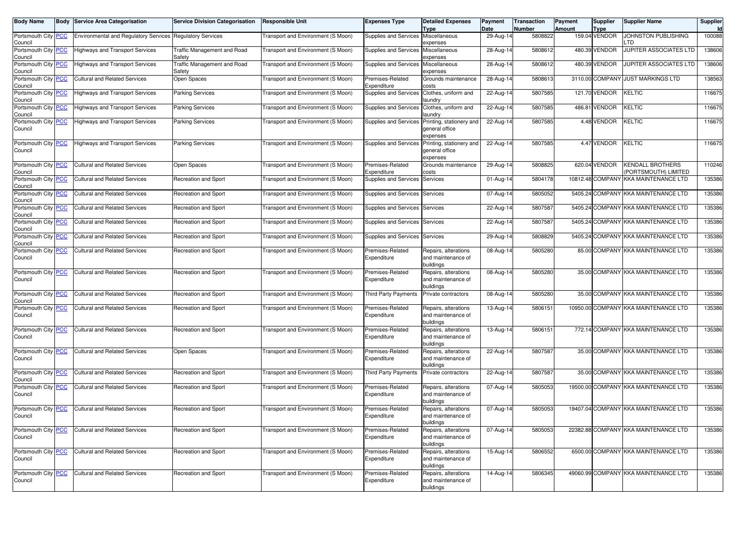| Body Name                             |            | <b>Body Service Area Categorisation</b>                          | <b>Service Division Categorisation</b> | <b>Responsible Unit</b>                   | <b>Expenses Type</b>                | <b>Detailed Expenses</b>                                                     | Payment           | <b>Transaction</b> | Payment | <b>Supplier</b>              | <b>Supplier Name</b>                    | Supplier |
|---------------------------------------|------------|------------------------------------------------------------------|----------------------------------------|-------------------------------------------|-------------------------------------|------------------------------------------------------------------------------|-------------------|--------------------|---------|------------------------------|-----------------------------------------|----------|
| Portsmouth City <b>PCC</b>            |            | <b>Environmental and Regulatory Services Regulatory Services</b> |                                        | Fransport and Environment (S Moon)        | Supplies and Services Miscellaneous | <b>Type</b>                                                                  | Date<br>29-Aug-14 | Number<br>5808822  | Amount  | <b>Type</b><br>159.04 VENDOR | JOHNSTON PUBLISHING                     | 100088   |
| Council                               |            |                                                                  |                                        |                                           |                                     | expenses                                                                     |                   |                    |         |                              | TD                                      |          |
| Portsmouth City<br>Council            | <b>PCC</b> | <b>Highways and Transport Services</b>                           | Traffic Management and Road<br>Safety  | Transport and Environment (S Moon)        | Supplies and Services               | Miscellaneous<br>expenses                                                    | 28-Aug-14         | 5808612            |         | 480.39 VENDOR                | <b>JUPITER ASSOCIATES LTD</b>           | 138606   |
| Portsmouth City PCC<br>Council        |            | <b>Highways and Transport Services</b>                           | Traffic Management and Road<br>Safety  | Transport and Environment (S Moon)        | Supplies and Services Miscellaneous | expenses                                                                     | 28-Aug-14         | 5808612            |         | 480.39 VENDOR                | <b>UPITER ASSOCIATES LTD</b>            | 138606   |
| Portsmouth City<br>Council            | <b>PCC</b> | <b>Cultural and Related Services</b>                             | Open Spaces                            | <b>Fransport and Environment (S Moon)</b> | Premises-Related<br>Expenditure     | Grounds maintenance<br>costs                                                 | 28-Aug-14         | 5808613            |         | 3110.00 COMPANY              | <b>JUST MARKINGS LTD</b>                | 138563   |
| Portsmouth City<br>Council            | PCC        | <b>Highways and Transport Services</b>                           | <b>Parking Services</b>                | <b>Fransport and Environment (S Moon)</b> | Supplies and Services               | Clothes, uniform and<br>aundry                                               | 22-Aug-14         | 5807585            |         | 121.70 VENDOR                | KELTIC                                  | 116675   |
| Portsmouth City PCC<br>Council        |            | <b>Highways and Transport Services</b>                           | <b>Parking Services</b>                | <b>Fransport and Environment (S Moon)</b> | Supplies and Services               | Clothes, uniform and<br>aundry                                               | 22-Aug-14         | 5807585            |         | 486.81 VENDOR                | KELTIC                                  | 116675   |
| Portsmouth City<br>Council            | <b>PCC</b> | <b>Highways and Transport Services</b>                           | Parking Services                       | <b>Fransport and Environment (S Moon)</b> |                                     | Supplies and Services Printing, stationery and<br>general office<br>expenses | 22-Aug-14         | 5807585            |         | 4.48 VENDOR                  | KELTIC                                  | 116675   |
| Portsmouth City<br>Council            | <b>PCC</b> | <b>Highways and Transport Services</b>                           | Parking Services                       | <b>Fransport and Environment (S Moon)</b> |                                     | Supplies and Services Printing, stationery and<br>general office<br>expenses | 22-Aug-14         | 5807585            |         | 4.47 VENDOR                  | KELTIC                                  | 116675   |
| Portsmouth City<br>Council            | <b>PCC</b> | <b>Cultural and Related Services</b>                             | Open Spaces                            | <b>Fransport and Environment (S Moon)</b> | Premises-Related<br>Expenditure     | Grounds maintenance<br>costs                                                 | 29-Aug-14         | 5808825            |         | 620.04 VENDOR                | KENDALL BROTHERS<br>PORTSMOUTH) LIMITED | 110246   |
| Portsmouth City<br>Council            | PСC        | <b>Cultural and Related Services</b>                             | Recreation and Sport                   | Transport and Environment (S Moon)        | Supplies and Services               | Services                                                                     | 01-Aug-14         | 5804178            |         | 10812.48 COMPANY             | KKA MAINTENANCE LTD                     | 135386   |
| Portsmouth City<br>Council            | <b>PCC</b> | <b>Cultural and Related Services</b>                             | Recreation and Sport                   | Transport and Environment (S Moon)        | Supplies and Services               | Services                                                                     | 07-Aug-14         | 5805052            |         |                              | 5405.24 COMPANY KKA MAINTENANCE LTD     | 135386   |
| Portsmouth City PCC<br>Council        |            | <b>Cultural and Related Services</b>                             | Recreation and Sport                   | <b>Fransport and Environment (S Moon)</b> | Supplies and Services Services      |                                                                              | 22-Aug-14         | 5807587            |         |                              | 5405.24 COMPANY KKA MAINTENANCE LTD     | 135386   |
| Portsmouth City<br>Council            | <b>PCC</b> | <b>Cultural and Related Services</b>                             | Recreation and Sport                   | Transport and Environment (S Moon)        | Supplies and Services Services      |                                                                              | 22-Aug-14         | 5807587            |         |                              | 5405.24 COMPANY KKA MAINTENANCE LTD     | 135386   |
| Portsmouth City PCC<br>Council        |            | <b>Cultural and Related Services</b>                             | Recreation and Sport                   | Transport and Environment (S Moon)        | Supplies and Services Services      |                                                                              | 29-Aug-14         | 5808829            |         |                              | 5405.24 COMPANY KKA MAINTENANCE LTD     | 135386   |
| Portsmouth City<br>Council            | <b>PCC</b> | <b>Cultural and Related Services</b>                             | Recreation and Sport                   | <b>Fransport and Environment (S Moon)</b> | Premises-Related<br>Expenditure     | Repairs, alterations<br>and maintenance of<br>buildings                      | 08-Aug-14         | 5805280            |         |                              | 85.00 COMPANY KKA MAINTENANCE LTD       | 135386   |
| Portsmouth City <b>PCC</b><br>Council |            | <b>Cultural and Related Services</b>                             | Recreation and Sport                   | <b>Fransport and Environment (S Moon)</b> | Premises-Related<br>Expenditure     | Repairs, alterations<br>and maintenance of<br>buildings                      | 08-Aug-14         | 5805280            |         |                              | 35.00 COMPANY KKA MAINTENANCE LTD       | 135386   |
| Portsmouth City PCC<br>Council        |            | <b>Cultural and Related Services</b>                             | Recreation and Sport                   | <b>Fransport and Environment (S Moon)</b> | <b>Third Party Payments</b>         | Private contractors                                                          | 08-Aug-14         | 5805280            |         |                              | 35.00 COMPANY KKA MAINTENANCE LTD       | 135386   |
| Portsmouth City<br>Council            | <b>PCC</b> | <b>Cultural and Related Services</b>                             | Recreation and Sport                   | Transport and Environment (S Moon)        | Premises-Related<br>Expenditure     | Repairs, alterations<br>and maintenance of<br>buildings                      | 13-Aug-14         | 5806151            |         |                              | 10950.00 COMPANY KKA MAINTENANCE LTD    | 135386   |
| Portsmouth City<br>Council            | <b>PCC</b> | <b>Cultural and Related Services</b>                             | Recreation and Sport                   | Transport and Environment (S Moon)        | Premises-Related<br>Expenditure     | Repairs, alterations<br>and maintenance of<br>buildings                      | 13-Aug-14         | 5806151            |         |                              | 772.14 COMPANY KKA MAINTENANCE LTD      | 135386   |
| Portsmouth City<br>Council            | <b>PCC</b> | <b>Cultural and Related Services</b>                             | Open Spaces                            | Transport and Environment (S Moon)        | Premises-Related<br>Expenditure     | Repairs, alterations<br>and maintenance of<br>buildings                      | 22-Aug-14         | 5807587            |         |                              | 35.00 COMPANY KKA MAINTENANCE LTD       | 135386   |
| Portsmouth City<br>Council            | <b>PCC</b> | <b>Cultural and Related Services</b>                             | Recreation and Sport                   | Transport and Environment (S Moon)        | <b>Third Party Payments</b>         | Private contractors                                                          | 22-Aug-14         | 5807587            |         |                              | 35.00 COMPANY KKA MAINTENANCE LTD       | 135386   |
| Portsmouth City<br>Council            | <b>PCC</b> | <b>Cultural and Related Services</b>                             | Recreation and Sport                   | Transport and Environment (S Moon)        | Premises-Related<br>Expenditure     | Repairs, alterations<br>and maintenance of<br>buildings                      | 07-Aug-14         | 5805053            |         |                              | 19500.00 COMPANY KKA MAINTENANCE LTD    | 135386   |
| Portsmouth City<br>Council            | <b>PCC</b> | <b>Cultural and Related Services</b>                             | Recreation and Sport                   | Transport and Environment (S Moon)        | Premises-Related<br>Expenditure     | Repairs, alterations<br>and maintenance of<br>buildings                      | 07-Aug-14         | 5805053            |         |                              | 19407.04 COMPANY KKA MAINTENANCE LTD    | 135386   |
| Portsmouth City PCC<br>Council        |            | <b>Cultural and Related Services</b>                             | Recreation and Sport                   | Transport and Environment (S Moon)        | Premises-Related<br>Expenditure     | Repairs, alterations<br>and maintenance of<br>buildings                      | 07-Aug-14         | 5805053            |         |                              | 22382.88 COMPANY KKA MAINTENANCE LTD    | 135386   |
| Portsmouth City PCC<br>Council        |            | <b>Cultural and Related Services</b>                             | Recreation and Sport                   | Transport and Environment (S Moon)        | Premises-Related<br>Expenditure     | Repairs, alterations<br>and maintenance of<br>buildings                      | 15-Aug-14         | 5806552            |         |                              | 6500.00 COMPANY KKA MAINTENANCE LTD     | 135386   |
| Portsmouth City PCC<br>Council        |            | <b>Cultural and Related Services</b>                             | Recreation and Sport                   | Transport and Environment (S Moon)        | Premises-Related<br>Expenditure     | Repairs, alterations<br>and maintenance of<br>buildings                      | 14-Aug-14         | 5806345            |         |                              | 49060.99 COMPANY KKA MAINTENANCE LTD    | 135386   |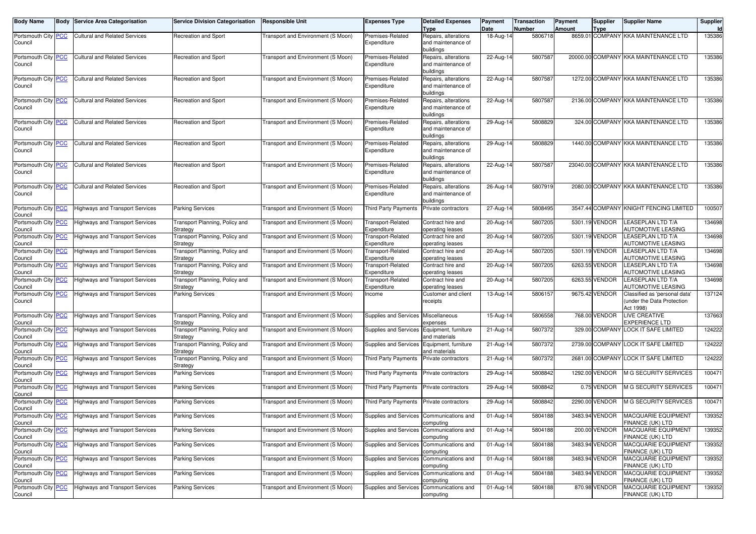| <b>Body Name</b>               | <b>Body</b> | Service Area Categorisation            | Service Division Categorisation            | <b>Responsible Unit</b>            | <b>Expenses Type</b>                     | <b>Detailed Expenses</b>                                | Payment                 | <b>Transaction</b> | Payment | <b>Supplier</b> | <b>Supplier Name</b>                                  | <b>Supplier</b> |
|--------------------------------|-------------|----------------------------------------|--------------------------------------------|------------------------------------|------------------------------------------|---------------------------------------------------------|-------------------------|--------------------|---------|-----------------|-------------------------------------------------------|-----------------|
| Portsmouth City PCC            |             | Cultural and Related Services          | Recreation and Sport                       | Transport and Environment (S Moon) | Premises-Related                         | Type<br>Repairs, alterations                            | Date<br>18-Aug-14       | Number<br>5806718  | Amount  | Type            | 8659.01 COMPANY KKA MAINTENANCE LTD                   | ld<br>135386    |
| Council                        |             |                                        |                                            |                                    | Expenditure                              | and maintenance of                                      |                         |                    |         |                 |                                                       |                 |
|                                |             |                                        |                                            |                                    |                                          | buildings                                               |                         |                    |         |                 |                                                       |                 |
| Portsmouth City PCC<br>Council |             | <b>Cultural and Related Services</b>   | Recreation and Sport                       | Transport and Environment (S Moon) | Premises-Related<br>Expenditure          | Repairs, alterations<br>and maintenance of<br>buildings | 22-Aug-14               | 5807587            |         |                 | 20000.00 COMPANY KKA MAINTENANCE LTD                  | 135386          |
| Portsmouth City   PCC          |             | <b>Cultural and Related Services</b>   | Recreation and Sport                       | Transport and Environment (S Moon) | Premises-Related                         | Repairs, alterations                                    | 22-Aug-14               | 5807587            |         |                 | 1272.00 COMPANY KKA MAINTENANCE LTD                   | 135386          |
| Council                        |             |                                        |                                            |                                    | Expenditure                              | and maintenance of<br>buildings                         |                         |                    |         |                 |                                                       |                 |
| Portsmouth City PCC            |             | <b>Cultural and Related Services</b>   | Recreation and Sport                       | Transport and Environment (S Moon) | Premises-Related                         | Repairs, alterations                                    | 22-Aug-14               | 5807587            |         |                 | 2136.00 COMPANY KKA MAINTENANCE LTD                   | 135386          |
| Council                        |             |                                        |                                            |                                    | Expenditure                              | and maintenance of<br>buildings                         |                         |                    |         |                 |                                                       |                 |
| Portsmouth City PCC            |             | <b>Cultural and Related Services</b>   | Recreation and Sport                       | Transport and Environment (S Moon) | Premises-Related                         | Repairs, alterations                                    | 29-Aug-14               | 5808829            |         |                 | 324.00 COMPANY KKA MAINTENANCE LTD                    | 135386          |
| Council                        |             |                                        |                                            |                                    | Expenditure                              | and maintenance of<br>buildings                         |                         |                    |         |                 |                                                       |                 |
| Portsmouth City   PCC          |             | <b>Cultural and Related Services</b>   | Recreation and Sport                       | Transport and Environment (S Moon) | Premises-Related                         | Repairs, alterations                                    | 29-Aug-14               | 5808829            |         |                 | 1440.00 COMPANY KKA MAINTENANCE LTD                   | 135386          |
| Council                        |             |                                        |                                            |                                    | Expenditure                              | and maintenance of<br>buildings                         |                         |                    |         |                 |                                                       |                 |
| Portsmouth City   PCC          |             | <b>Cultural and Related Services</b>   | Recreation and Sport                       | Transport and Environment (S Moon) | Premises-Related                         | Repairs, alterations                                    | 22-Aug-14               | 5807587            |         |                 | 23040.00 COMPANY KKA MAINTENANCE LTD                  | 135386          |
| Council                        |             |                                        |                                            |                                    | Expenditure                              | and maintenance of<br>buildings                         |                         |                    |         |                 |                                                       |                 |
| Portsmouth City PCC            |             | <b>Cultural and Related Services</b>   | Recreation and Sport                       | Transport and Environment (S Moon) | Premises-Related                         | Repairs, alterations                                    | 26-Aug-14               | 5807919            |         |                 | 2080.00 COMPANY KKA MAINTENANCE LTD                   | 135386          |
| Council                        |             |                                        |                                            |                                    | Expenditure                              | and maintenance of<br>buildings                         |                         |                    |         |                 |                                                       |                 |
| Portsmouth City PCC<br>Council |             | Highways and Transport Services        | Parking Services                           | Transport and Environment (S Moon) | <b>Third Party Payments</b>              | Private contractors                                     | 27-Aug-14               | 5808495            |         | 3547.44 COMPANY | KNIGHT FENCING LIMITED                                | 100507          |
| Portsmouth City PCC<br>Council |             | <b>Highways and Transport Services</b> | Transport Planning, Policy and<br>Strategy | Transport and Environment (S Moon) | <b>Transport-Related</b><br>Expenditure  | Contract hire and<br>operating leases                   | 20-Aug-14               | 5807205            |         | 5301.19 VENDOR  | <b>LEASEPLAN LTD T/A</b><br>AUTOMOTIVE LEASING        | 134698          |
| Portsmouth City PCC<br>Council |             | Highways and Transport Services        | Transport Planning, Policy and<br>Strategy | Transport and Environment (S Moon) | <b>Transport-Related</b><br>Expenditure  | Contract hire and<br>operating leases                   | 20-Aug-14               | 5807205            |         | 5301.19 VENDOR  | LEASEPLAN LTD T/A<br>AUTOMOTIVE LEASING               | 134698          |
| Portsmouth City PCC<br>Council |             | Highways and Transport Services        | Transport Planning, Policy and<br>Strategy | Transport and Environment (S Moon) | <b>Transport-Related</b><br>Expenditure  | Contract hire and<br>operating leases                   | 20-Aug-14               | 5807205            |         | 5301.19 VENDOR  | <b>LEASEPLAN LTD T/A</b><br><b>AUTOMOTIVE LEASING</b> | 134698          |
| Portsmouth City PCC<br>Council |             | <b>Highways and Transport Services</b> | Transport Planning, Policy and<br>Strategy | Transport and Environment (S Moon) | Transport-Related<br>Expenditure         | Contract hire and<br>operating leases                   | 20-Aug-14               | 5807205            |         | 6263.55 VENDOR  | <b>LEASEPLAN LTD T/A</b><br>AUTOMOTIVE LEASING        | 134698          |
| Portsmouth City PCC<br>Council |             | Highways and Transport Services        | Transport Planning, Policy and<br>Strategy | Transport and Environment (S Moon) | <b>Transport-Related</b><br>Expenditure  | Contract hire and<br>operating leases                   | 20-Aug-14               | 5807205            |         | 6263.55 VENDOR  | <b>LEASEPLAN LTD T/A</b><br>AUTOMOTIVE LEASING        | 134698          |
| Portsmouth City PCC            |             | Highways and Transport Services        | Parking Services                           | Transport and Environment (S Moon) | Income                                   | Customer and client                                     | 13-Aug-14               | 5806157            |         | 9675.42 VENDOR  | Classified as 'personal data'                         | 137124          |
| Council                        |             |                                        |                                            |                                    |                                          | eceipts <sup>.</sup>                                    |                         |                    |         |                 | under the Data Protection<br>Act 1998)                |                 |
| Portsmouth City PCC<br>Council |             | Highways and Transport Services        | Transport Planning, Policy and<br>Strategy | Transport and Environment (S Moon) | Supplies and Services                    | Miscellaneous<br>expenses                               | 15-Aug-14               | 5806558            |         | 768.00 VENDOR   | LIVE CREATIVE<br>EXPERIENCE LTD                       | 137663          |
| Portsmouth City PCC<br>Council |             | Highways and Transport Services        | Transport Planning, Policy and<br>Strategy | Transport and Environment (S Moon) | Supplies and Services                    | Equipment, furniture<br>and materials                   | 21-Aug-14               | 5807372            |         | 329.00 COMPANY  | LOCK IT SAFE LIMITED                                  | 124222          |
| Portsmouth City PCC<br>Council |             | Highways and Transport Services        | Transport Planning, Policy and<br>Strategy | Transport and Environment (S Moon) | Supplies and Services                    | Equipment, furniture<br>and materials                   | 21-Aug-14               | 5807372            |         |                 | 2739.00 COMPANY LOCK IT SAFE LIMITED                  | 124222          |
| Portsmouth City PCC<br>Council |             | Highways and Transport Services        | Transport Planning, Policy and<br>Strategy | Transport and Environment (S Moon) | <b>Third Party Payments</b>              | Private contractors                                     | 21-Aug-14               | 5807372            |         | 2681.00 COMPANY | LOCK IT SAFE LIMITED                                  | 124222          |
| Portsmouth City PCC<br>Council |             | Highways and Transport Services        | Parking Services                           | Transport and Environment (S Moon) | <b>Third Party Payments</b>              | Private contractors                                     | 29-Aug-14               | 5808842            |         | 1292.00 VENDOR  | M G SECURITY SERVICES                                 | 100471          |
| Portsmouth City PCC<br>Council |             | Highways and Transport Services        | Parking Services                           | Transport and Environment (S Moon) | <b>Third Party Payments</b>              | Private contractors                                     | 29-Aug-14               | 5808842            |         | 0.75 VENDOR     | <b>M G SECURITY SERVICES</b>                          | 100471          |
| Portsmouth City PCC<br>Council |             | Highways and Transport Services        | Parking Services                           | Transport and Environment (S Moon) | <b>Third Party Payments</b>              | Private contractors                                     | 29-Aug-14               | 5808842            |         | 2290.00 VENDOR  | M G SECURITY SERVICES                                 | 100471          |
| Portsmouth City PCC<br>Council |             | <b>Highways and Transport Services</b> | <b>Parking Services</b>                    | Transport and Environment (S Moon) | Supplies and Services                    | Communications and<br>computing                         | 01-Aug-14               | 5804188            |         | 3483.94 VENDOR  | <b>MACQUARIE EQUIPMENT</b><br>FINANCE (UK) LTD        | 139352          |
| Portsmouth City PCC<br>Council |             | Highways and Transport Services        | <b>Parking Services</b>                    | Transport and Environment (S Moon) | Supplies and Services                    | Communications and<br>computing                         | $\overline{0}$ 1-Aug-14 | 5804188            |         | 200.00 VENDOR   | MACQUARIE EQUIPMENT<br>FINANCE (UK) LTD               | 139352          |
| Portsmouth City PCC<br>Council |             | <b>Highways and Transport Services</b> | Parking Services                           | Transport and Environment (S Moon) | Supplies and Services                    | Communications and<br>computing                         | 01-Aug-14               | 5804188            |         | 3483.94 VENDOR  | <b>MACQUARIE EQUIPMENT</b><br>FINANCE (UK) LTD        | 139352          |
| Portsmouth City PCC<br>Council |             | <b>Highways and Transport Services</b> | Parking Services                           | Transport and Environment (S Moon) | Supplies and Services                    | Communications and<br>computing                         | 01-Aug-14               | 5804188            |         | 3483.94 VENDOR  | MACQUARIE EQUIPMENT<br>FINANCE (UK) LTD               | 139352          |
| Portsmouth City PCC<br>Council |             | Highways and Transport Services        | Parking Services                           | Transport and Environment (S Moon) | Supplies and Services                    | Communications and<br>computing                         | 01-Aug-14               | 5804188            |         | 3483.94 VENDOR  | MACQUARIE EQUIPMENT<br>FINANCE (UK) LTD               | 139352          |
| Portsmouth City PCC<br>Council |             | <b>Highways and Transport Services</b> | Parking Services                           | Transport and Environment (S Moon) | Supplies and Services Communications and | computing                                               | 01-Aug-14               | 5804188            |         | 870.98 VENDOR   | MACQUARIE EQUIPMENT<br>FINANCE (UK) LTD               | 139352          |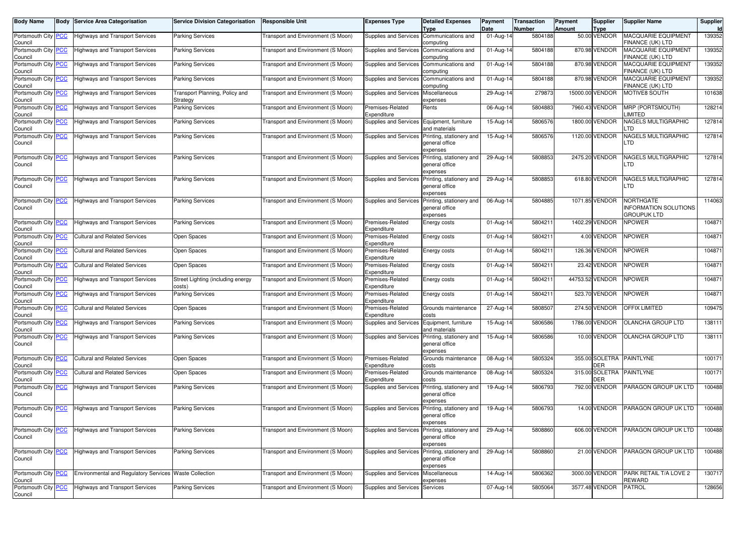| <b>Body Name</b>                      | Body | <b>Service Area Categorisation</b>                     | <b>Service Division Categorisation</b>      | <b>Responsible Unit</b>                   | Expenses Type                              | <b>Detailed Expenses</b><br>Type                                             | Payment<br>Date         | Transaction<br>Number | Payment<br><b>Amount</b> | <b>Supplier</b><br><b>Type</b> | <b>Supplier Name</b>                                           | Supplier<br><b>Id</b> |
|---------------------------------------|------|--------------------------------------------------------|---------------------------------------------|-------------------------------------------|--------------------------------------------|------------------------------------------------------------------------------|-------------------------|-----------------------|--------------------------|--------------------------------|----------------------------------------------------------------|-----------------------|
| Portsmouth City PCC<br>Council        |      | <b>Highways and Transport Services</b>                 | Parking Services                            | <b>Fransport and Environment (S Moon)</b> | Supplies and Services                      | Communications and<br>computing                                              | 01-Aug-14               | 5804188               |                          | 50.00 VENDOR                   | MACQUARIE EQUIPMENT<br>FINANCE (UK) LTD                        | 139352                |
| Portsmouth City PCC<br>Council        |      | <b>Highways and Transport Services</b>                 | <b>Parking Services</b>                     | Transport and Environment (S Moon)        | Supplies and Services                      | Communications and<br>computing                                              | 01-Aug-14               | 5804188               |                          | 870.98 VENDOR                  | MACQUARIE EQUIPMENT<br>FINANCE (UK) LTD                        | 139352                |
| Portsmouth City <b>PCC</b><br>Council |      | Highways and Transport Services                        | <b>Parking Services</b>                     | <b>Fransport and Environment (S Moon)</b> | Supplies and Services                      | Communications and<br>computing                                              | 01-Aug-14               | 5804188               |                          | 870.98 VENDOR                  | MACQUARIE EQUIPMENT<br>FINANCE (UK) LTD                        | 139352                |
| Portsmouth City PCC<br>Council        |      | <b>Highways and Transport Services</b>                 | Parking Services                            | <b>Fransport and Environment (S Moon)</b> | Supplies and Services                      | Communications and<br>computing                                              | $\overline{0}$ 1-Aug-14 | 5804188               |                          | 870.98 VENDOR                  | MACQUARIE EQUIPMENT<br>FINANCE (UK) LTD                        | 139352                |
| Portsmouth City PCC<br>Council        |      | Highways and Transport Services                        | Transport Planning, Policy and<br>Strategy  | Transport and Environment (S Moon)        | Supplies and Services                      | Miscellaneous<br>expenses                                                    | 29-Aug-14               | 279873                |                          | 15000.00 VENDOR                | MOTIVE8 SOUTH                                                  | 101638                |
| Portsmouth City PCC<br>Council        |      | Highways and Transport Services                        | <b>Parking Services</b>                     | <b>Fransport and Environment (S Moon)</b> | Premises-Related<br>Expenditure            | Rents                                                                        | 06-Aug-14               | 5804883               |                          | 7960.43 VENDOR                 | <b>MRP (PORTSMOUTH)</b><br><b>IMITED</b>                       | 128214                |
| Portsmouth City PCC<br>Council        |      | <b>Highways and Transport Services</b>                 | Parking Services                            | <b>Fransport and Environment (S Moon)</b> | Supplies and Services                      | Equipment, furniture<br>and materials                                        | 15-Aug-14               | 5806576               |                          | 1800.00 VENDOR                 | NAGELS MULTIGRAPHIC<br>.TD                                     | 127814                |
| Portsmouth City PCC<br>Council        |      | <b>Highways and Transport Services</b>                 | Parking Services                            | Transport and Environment (S Moon)        | Supplies and Services                      | Printing, stationery and<br>general office<br>expenses                       | 15-Aug-14               | 5806576               |                          | 1120.00 VENDOR                 | <b>VAGELS MULTIGRAPHIC</b><br>TD.                              | 127814                |
| Portsmouth City PCC<br>Council        |      | <b>Highways and Transport Services</b>                 | Parking Services                            | <b>Fransport and Environment (S Moon)</b> | Supplies and Services                      | Printing, stationery and<br>general office<br>expenses                       | 29-Aug-14               | 5808853               |                          | 2475.20 VENDOR                 | <b>VAGELS MULTIGRAPHIC</b><br>TD.                              | 127814                |
| Portsmouth City PCC<br>Council        |      | <b>Highways and Transport Services</b>                 | Parking Services                            | Transport and Environment (S Moon)        | Supplies and Services                      | Printing, stationery and<br>general office<br>expenses                       | 29-Aug-14               | 5808853               |                          | 618.80 VENDOR                  | <b>VAGELS MULTIGRAPHIC</b><br>TD.                              | 127814                |
| Portsmouth City PCC<br>Council        |      | <b>Highways and Transport Services</b>                 | <b>Parking Services</b>                     | Transport and Environment (S Moon)        | Supplies and Services                      | Printing, stationery and<br>general office<br>expenses                       | 06-Aug-14               | 5804885               |                          | 1071.85 VENDOR                 | <b>NORTHGATE</b><br>NFORMATION SOLUTIONS<br><b>GROUPUK LTD</b> | 114063                |
| Portsmouth City PCC<br>Council        |      | <b>Highways and Transport Services</b>                 | Parking Services                            | Transport and Environment (S Moon)        | Premises-Related<br>Expenditure            | Energy costs                                                                 | 01-Aug-14               | 580421                |                          | 1402.29 VENDOR                 | <b>NPOWER</b>                                                  | 104871                |
| Portsmouth City PCC<br>Council        |      | <b>Cultural and Related Services</b>                   | Open Spaces                                 | Fransport and Environment (S Moon)        | Premises-Related<br>Expenditure            | Energy costs                                                                 | 01-Aug-14               | 5804211               |                          | 4.00 VENDOR                    | <b>NPOWER</b>                                                  | 104871                |
| Portsmouth City PCC<br>Council        |      | Cultural and Related Services                          | Open Spaces                                 | <b>Fransport and Environment (S Moon)</b> | Premises-Related<br>Expenditure            | Energy costs                                                                 | 01-Aug-14               | 580421                |                          | 126.36 VENDOR                  | <b>NPOWER</b>                                                  | 104871                |
| Portsmouth City PCC<br>Council        |      | Cultural and Related Services                          | Open Spaces                                 | <b>Fransport and Environment (S Moon)</b> | Premises-Related<br>Expenditure            | Energy costs                                                                 | 01-Aug-14               | 580421                |                          | 23.42 VENDOR                   | <b>NPOWER</b>                                                  | 104871                |
| Portsmouth City PCC<br>Council        |      | Highways and Transport Services                        | Street Lighting (including energy<br>costs) | Fransport and Environment (S Moon)        | Premises-Related<br>Expenditure            | Energy costs                                                                 | 01-Aug-14               | 5804211               |                          | 44753.52 VENDOR                | <b>NPOWER</b>                                                  | 104871                |
| Portsmouth City PCC<br>Council        |      | Highways and Transport Services                        | <b>Parking Services</b>                     | <b>Fransport and Environment (S Moon)</b> | Premises-Related<br>Expenditure            | Energy costs                                                                 | 01-Aug-14               | 5804211               |                          | 523.70 VENDOR                  | <b>NPOWER</b>                                                  | 104871                |
| Portsmouth City PCC<br>Council        |      | Cultural and Related Services                          | Open Spaces                                 | <b>Fransport and Environment (S Moon)</b> | Premises-Related<br>Expenditure            | Grounds maintenance<br>costs                                                 | 27-Aug-14               | 5808507               |                          | 274.50 VENDOR                  | OFFIX LIMITED                                                  | 109475                |
| Portsmouth City PCC<br>Council        |      | Highways and Transport Services                        | <b>Parking Services</b>                     | Fransport and Environment (S Moon)        | Supplies and Services Equipment, furniture | and materials                                                                | 15-Aug-14               | 5806586               |                          | 1786.00 VENDOR                 | OLANCHA GROUP LTD                                              | 138111                |
| Portsmouth City PCC<br>Council        |      | <b>Highways and Transport Services</b>                 | Parking Services                            | <b>Fransport and Environment (S Moon)</b> | Supplies and Services                      | Printing, stationery and<br>general office<br>expenses                       | 15-Aug-14               | 5806586               |                          | 10.00 VENDOR                   | OLANCHA GROUP LTD                                              | 138111                |
| Portsmouth City PCC<br>Council        |      | <b>Cultural and Related Services</b>                   | Open Spaces                                 | Fransport and Environment (S Moon)        | Premises-Related<br>Expenditure            | Grounds maintenance<br>costs                                                 | 08-Aug-14               | 5805324               |                          | 355.00 SOLETRA<br>DER          | <b>PAINTLYNE</b>                                               | 100171                |
| Portsmouth City PCC<br>Council        |      | <b>Cultural and Related Services</b>                   | Open Spaces                                 | <b>Fransport and Environment (S Moon)</b> | Premises-Related<br>Expenditure            | Grounds maintenance<br>costs                                                 | 08-Aug-14               | 5805324               |                          | 315.00 SOLETRA<br>DER          | <b>PAINTLYNE</b>                                               | 100171                |
| Portsmouth City PCC<br>Council        |      | Highways and Transport Services                        | <b>Parking Services</b>                     | Transport and Environment (S Moon)        | Supplies and Services                      | Printing, stationery and<br>general office<br>expenses                       | 19-Aug-14               | 5806793               |                          | 792.00 VENDOR                  | PARAGON GROUP UK LTD                                           | 100488                |
| Portsmouth City PCC<br>Council        |      | <b>Highways and Transport Services</b>                 | <b>Parking Services</b>                     | Transport and Environment (S Moon)        | Supplies and Services                      | Printing, stationery and<br>general office<br>expenses                       | 19-Aug-14               | 5806793               |                          | 14.00 VENDOR                   | PARAGON GROUP UK LTD                                           | 100488                |
| Portsmouth City PCC<br>Council        |      | <b>Highways and Transport Services</b>                 | <b>Parking Services</b>                     | Fransport and Environment (S Moon)        | <b>Supplies and Services</b>               | Printing, stationery and<br>general office<br>expenses                       | 29-Aug-14               | 5808860               |                          | 606.00 VENDOR                  | PARAGON GROUP UK LTD                                           | 100488                |
| Portsmouth City PCC<br>Council        |      | <b>Highways and Transport Services</b>                 | <b>Parking Services</b>                     | Transport and Environment (S Moon)        |                                            | Supplies and Services Printing, stationery and<br>general office<br>expenses | 29-Aug-14               | 5808860               |                          | 21.00 VENDOR                   | PARAGON GROUP UK LTD                                           | 100488                |
| Portsmouth City PCC<br>Council        |      | Environmental and Regulatory Services Waste Collection |                                             | Fransport and Environment (S Moon)        | Supplies and Services Miscellaneous        | expenses                                                                     | $14 - Aug-14$           | 5806362               |                          | 3000.00 VENDOR                 | PARK RETAIL T/A LOVE 2<br>REWARD                               | 130717                |
| Portsmouth City PCC<br>Council        |      | <b>Highways and Transport Services</b>                 | <b>Parking Services</b>                     | Fransport and Environment (S Moon)        | Supplies and Services                      | Services                                                                     | 07-Aug-14               | 5805064               |                          | 3577.48 VENDOR                 | PATROL                                                         | 128656                |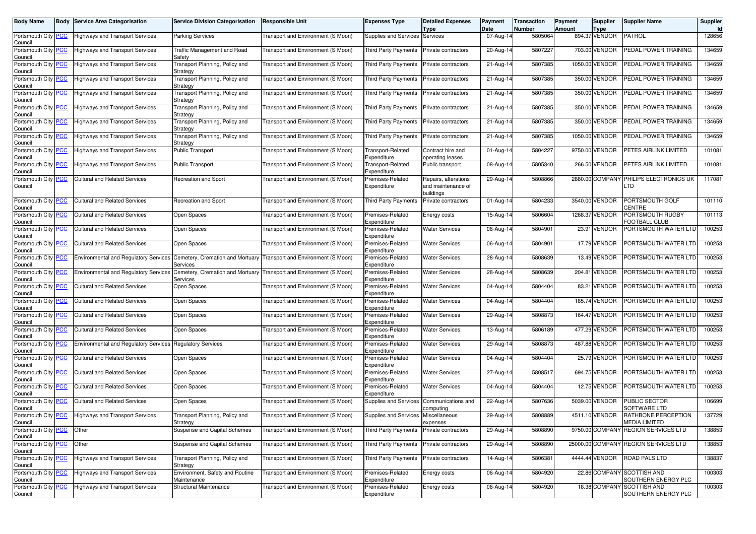| Body Name                             | Body       | Service Area Categorisation                               | <b>Service Division Categorisation</b>            | <b>Responsible Unit</b>                                             | <b>Expenses Type</b>             | <b>Detailed Expenses</b><br><b>Type</b>                 | Payment<br>Date         | Transaction<br>Number | Payment<br>Amount | Supplier<br><b>Type</b> | <b>Supplier Name</b>                              | Supplier<br><b>Id</b> |
|---------------------------------------|------------|-----------------------------------------------------------|---------------------------------------------------|---------------------------------------------------------------------|----------------------------------|---------------------------------------------------------|-------------------------|-----------------------|-------------------|-------------------------|---------------------------------------------------|-----------------------|
| Portsmouth City<br>Council            | <b>PCC</b> | <b>Highways and Transport Services</b>                    | <b>Parking Services</b>                           | Transport and Environment (S Moon)                                  | Supplies and Services            | Services                                                | 07-Aug-14               | 5805064               |                   | 894.37 VENDOR           | PATROL                                            | 128656                |
| Portsmouth City PCC<br>Council        |            | <b>Highways and Transport Services</b>                    | Traffic Management and Road<br>Safety             | Transport and Environment (S Moon)                                  | <b>Third Party Payments</b>      | Private contractors                                     | 20-Aug-14               | 5807227               |                   | 703.00 VENDOR           | PEDAL POWER TRAINING                              | 134659                |
| Portsmouth City<br>Council            | <b>PCC</b> | <b>Highways and Transport Services</b>                    | Transport Planning, Policy and<br>Strategy        | Transport and Environment (S Moon)                                  | <b>Third Party Payments</b>      | Private contractors                                     | 21-Aug-14               | 5807385               |                   | 1050.00 VENDOR          | PEDAL POWER TRAINING                              | 134659                |
| Portsmouth City <b>PCC</b><br>Council |            | <b>Highways and Transport Services</b>                    | Transport Planning, Policy and<br>Strategy        | Transport and Environment (S Moon)                                  | <b>Third Party Payments</b>      | Private contractors                                     | 21-Aug-14               | 5807385               |                   | 350.00 VENDOR           | PEDAL POWER TRAINING                              | 134659                |
| Portsmouth City PCC<br>Council        |            | <b>Highways and Transport Services</b>                    | Transport Planning, Policy and<br>Strategy        | Transport and Environment (S Moon)                                  | Third Party Payments             | Private contractors                                     | 21-Aug-14               | 5807385               |                   | 350.00 VENDOR           | PEDAL POWER TRAINING                              | 134659                |
| Portsmouth City<br>Council            | <b>PCC</b> | <b>Highways and Transport Services</b>                    | Transport Planning, Policy and<br>Strategy        | Transport and Environment (S Moon)                                  | <b>Third Party Payments</b>      | Private contractors                                     | 21-Aug-14               | 5807385               |                   | 350.00 VENDOR           | PEDAL POWER TRAINING                              | 134659                |
| Portsmouth City <b>PCC</b><br>Council |            | <b>Highways and Transport Services</b>                    | Transport Planning, Policy and<br>Strategy        | Transport and Environment (S Moon)                                  | <b>Third Party Payments</b>      | Private contractors                                     | 21-Aug-14               | 5807385               |                   | 350.00 VENDOR           | PEDAL POWER TRAINING                              | 134659                |
| Portsmouth City<br>Council            | <u>PCC</u> | <b>Highways and Transport Services</b>                    | <b>Fransport Planning, Policy and</b><br>Strategy | Transport and Environment (S Moon)                                  | Third Party Payments             | Private contractors                                     | 21-Aug-14               | 5807385               |                   | 1050.00 VENDOR          | PEDAL POWER TRAINING                              | 134659                |
| Portsmouth City<br>Council            | <b>PCC</b> | <b>Highways and Transport Services</b>                    | <b>Public Transport</b>                           | Transport and Environment (S Moon)                                  | Transport-Related<br>Expenditure | Contract hire and<br>operating leases                   | 01-Aug-14               | 5804227               |                   | 9750.00 VENDOR          | PETES AIRLINK LIMITED                             | 101081                |
| Portsmouth City <b>PCC</b><br>Council |            | <b>Highways and Transport Services</b>                    | Public Transport                                  | Transport and Environment (S Moon)                                  | Transport-Related<br>Expenditure | Public transport                                        | 08-Aug-14               | 5805340               |                   | 266.50 VENDOR           | PETES AIRLINK LIMITED                             | 101081                |
| Portsmouth City<br>Council            | <b>PCC</b> | <b>Cultural and Related Services</b>                      | Recreation and Sport                              | Transport and Environment (S Moon)                                  | Premises-Related<br>Expenditure  | Repairs, alterations<br>and maintenance of<br>buildings | 29-Aug-14               | 5808866               |                   | 2880.00 COMPANY         | PHILIPS ELECTRONICS UK<br>LTD                     | 117081                |
| Portsmouth City<br>Council            | <b>PCC</b> | <b>Cultural and Related Services</b>                      | <b>Recreation and Sport</b>                       | Transport and Environment (S Moon)                                  | <b>Third Party Payments</b>      | Private contractors                                     | 01-Aug-14               | 5804233               |                   | 3540.00 VENDOR          | PORTSMOUTH GOLF<br>CENTRE                         | 101110                |
| Portsmouth City PCC<br>Council        |            | <b>Cultural and Related Services</b>                      | Open Spaces                                       | Transport and Environment (S Moon)                                  | Premises-Related<br>Expenditure  | Energy costs                                            | 15-Aug-14               | 5806604               |                   | 1268.37 VENDOR          | PORTSMOUTH RUGBY<br>OOTBALL CLUB                  | 101113                |
| Portsmouth City PCC<br>Council        |            | <b>Cultural and Related Services</b>                      | Open Spaces                                       | Transport and Environment (S Moon)                                  | Premises-Related<br>Expenditure  | <b>Water Services</b>                                   | 06-Aug-14               | 5804901               |                   | 23.91 VENDOR            | PORTSMOUTH WATER LTD                              | 100253                |
| Portsmouth City<br>Council            | <b>PCC</b> | <b>Cultural and Related Services</b>                      | Open Spaces                                       | Transport and Environment (S Moon)                                  | Premises-Related<br>Expenditure  | <b>Water Services</b>                                   | 06-Aug-14               | 5804901               |                   | 17.79 VENDOR            | PORTSMOUTH WATER LTD                              | 100253                |
| Portsmouth City <b>PCC</b><br>Council |            | <b>Environmental and Regulatory Services</b>              | Services                                          | Cemetery, Cremation and Mortuary Transport and Environment (S Moon) | Premises-Related<br>Expenditure  | <b>Water Services</b>                                   | 28-Aug-14               | 5808639               |                   | 13.49 VENDOR            | PORTSMOUTH WATER LTD                              | 100253                |
| Portsmouth City PCC<br>Council        |            | <b>Environmental and Regulatory Services</b>              | Cemetery, Cremation and Mortuary<br>Services      | Transport and Environment (S Moon)                                  | Premises-Related<br>Expenditure  | <b>Water Services</b>                                   | 28-Aug-14               | 5808639               |                   | 204.81 VENDOR           | PORTSMOUTH WATER LTD                              | 100253                |
| Portsmouth City<br>Council            | <b>PCC</b> | <b>Cultural and Related Services</b>                      | Open Spaces                                       | Transport and Environment (S Moon)                                  | Premises-Related<br>Expenditure  | <b>Water Services</b>                                   | 04-Aug-14               | 5804404               |                   | 83.21 VENDOR            | PORTSMOUTH WATER LTD                              | 100253                |
| Portsmouth City PCC<br>Council        |            | <b>Cultural and Related Services</b>                      | Open Spaces                                       | Transport and Environment (S Moon)                                  | Premises-Related<br>Expenditure  | <b>Water Services</b>                                   | $\overline{0}$ 4-Aug-14 | 5804404               |                   | 185.74 VENDOR           | PORTSMOUTH WATER LTD                              | 100253                |
| Portsmouth City PCC<br>Council        |            | <b>Cultural and Related Services</b>                      | Open Spaces                                       | Transport and Environment (S Moon)                                  | Premises-Related<br>Expenditure  | <b>Water Services</b>                                   | 29-Aug-14               | 5808873               |                   | 164.47 VENDOR           | PORTSMOUTH WATER LTD                              | 100253                |
| Portsmouth City<br>Council            | <b>PCC</b> | <b>Cultural and Related Services</b>                      | Open Spaces                                       | Transport and Environment (S Moon)                                  | Premises-Related<br>Expenditure  | <b>Water Services</b>                                   | 13-Aug-14               | 5806189               |                   | 477.29 VENDOR           | PORTSMOUTH WATER LTD                              | 100253                |
| Portsmouth City<br>Council            | <b>PCC</b> | Environmental and Regulatory Services Regulatory Services |                                                   | Transport and Environment (S Moon)                                  | Premises-Related<br>Expenditure  | <b>Water Services</b>                                   | 29-Aug-14               | 5808873               |                   | 487.88 VENDOR           | PORTSMOUTH WATER LTD                              | 100253                |
| Portsmouth City PCC<br>Council        |            | <b>Cultural and Related Services</b>                      | Open Spaces                                       | Transport and Environment (S Moon)                                  | Premises-Related<br>Expenditure  | Water Services                                          | 04-Aug-14               | 5804404               |                   | 25.79 VENDOR            | PORTSMOUTH WATER LTD                              | 100253                |
| Portsmouth City<br>Council            | <b>PCC</b> | <b>Cultural and Related Services</b>                      | Open Spaces                                       | Transport and Environment (S Moon)                                  | Premises-Related<br>Expenditure  | <b>Water Services</b>                                   | 27-Aug-14               | 5808517               |                   | 694.75 VENDOR           | PORTSMOUTH WATER LTD                              | 100253                |
| Portsmouth City<br>Council            | <b>PCC</b> | <b>Cultural and Related Services</b>                      | Open Spaces                                       | Transport and Environment (S Moon)                                  | Premises-Related<br>Expenditure  | <b>Water Services</b>                                   | 04-Aug-14               | 5804404               |                   | 12.75 VENDOR            | PORTSMOUTH WATER LTD                              | 100253                |
| Portsmouth City <b>PCC</b><br>Council |            | <b>Cultural and Related Services</b>                      | Open Spaces                                       | Transport and Environment (S Moon)                                  | Supplies and Services            | Communications and<br>computing                         | 22-Aug-14               | 5807636               |                   | 5039.00 VENDOR          | PUBLIC SECTOR<br>SOFTWARE LTD                     | 106699                |
| Portsmouth City PCC<br>Council        |            | <b>Highways and Transport Services</b>                    | Transport Planning, Policy and<br>Strategy        | Transport and Environment (S Moon)                                  | Supplies and Services            | Miscellaneous<br>expenses                               | 29-Aug-14               | 5808889               |                   | 4511.10 VENDOR          | RATHBONE PERCEPTION<br><b>MEDIA LIMITED</b>       | 137729                |
| Portsmouth City PCC<br>Council        |            | Other                                                     | Suspense and Capital Schemes                      | Transport and Environment (S Moon)                                  | Third Party Payments             | Private contractors                                     | 29-Aug-14               | 5808890               |                   |                         | 9750.00 COMPANY REGION SERVICES LTD               | 138853                |
| Portsmouth City PCC<br>Council        |            | Other                                                     | Suspense and Capital Schemes                      | Transport and Environment (S Moon)                                  | Third Party Payments             | Private contractors                                     | 29-Aug-14               | 5808890               |                   |                         | 25000.00 COMPANY REGION SERVICES LTD              | 138853                |
| Portsmouth City PCC<br>Council        |            | <b>Highways and Transport Services</b>                    | Transport Planning, Policy and<br>Strategy        | Transport and Environment (S Moon)                                  | Third Party Payments             | Private contractors                                     | 14-Aug-14               | 5806381               |                   | 4444.44 VENDOR          | ROAD PALS LTD                                     | 138837                |
| Portsmouth City PCC<br>Council        |            | <b>Highways and Transport Services</b>                    | Environment, Safety and Routine<br>Maintenance    | Transport and Environment (S Moon)                                  | Premises-Related<br>Expenditure  | Energy costs                                            | 06-Aug-14               | 5804920               |                   |                         | 22.86 COMPANY SCOTTISH AND<br>SOUTHERN ENERGY PLC | 100303                |
| Portsmouth City PCC<br>Council        |            | <b>Highways and Transport Services</b>                    | Structural Maintenance                            | Transport and Environment (S Moon)                                  | Premises-Related<br>Expenditure  | Energy costs                                            | 06-Aug-14               | 5804920               |                   |                         | 18.38 COMPANY SCOTTISH AND<br>SOUTHERN ENERGY PLC | 100303                |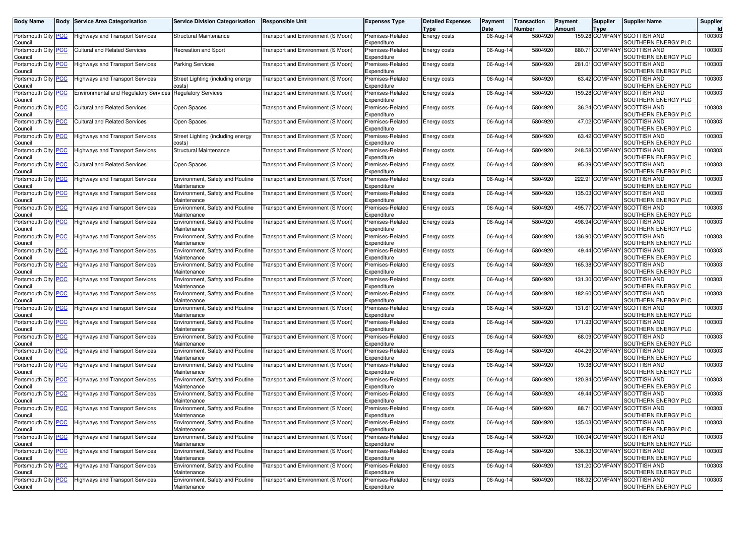| <b>Body Name</b>                      |             | <b>Body Service Area Categorisation</b>      | Service Division Categorisation                | <b>Responsible Unit</b>                   | <b>Expenses Type</b>            | <b>Detailed Expenses</b><br>Type | Payment<br>Date | <b>Transaction</b><br>Number | Payment<br><b>Amount</b> | Supplier<br>Type | <b>Supplier Name</b>                                | Supplier |
|---------------------------------------|-------------|----------------------------------------------|------------------------------------------------|-------------------------------------------|---------------------------------|----------------------------------|-----------------|------------------------------|--------------------------|------------------|-----------------------------------------------------|----------|
| Portsmouth City<br>Council            | <b>PCC</b>  | Highways and Transport Services              | <b>Structural Maintenance</b>                  | <b>Fransport and Environment (S Moon)</b> | Premises-Related<br>Expenditure | <b>Energy costs</b>              | 06-Aug-14       | 5804920                      |                          |                  | 159.28 COMPANY SCOTTISH AND<br>SOUTHERN ENERGY PLC  | 100303   |
| Portsmouth City<br>Council            | <u>PCC</u>  | <b>Cultural and Related Services</b>         | Recreation and Sport                           | Fransport and Environment (S Moon)        | Premises-Related<br>Expenditure | Energy costs                     | 06-Aug-14       | 5804920                      |                          | 880.71 COMPAN    | <b>SCOTTISH AND</b><br>SOUTHERN ENERGY PLC          | 100303   |
| Portsmouth City PCC<br>Council        |             | <b>Highways and Transport Services</b>       | <b>Parking Services</b>                        | Transport and Environment (S Moon)        | Premises-Related<br>Expenditure | <b>Energy costs</b>              | 06-Aug-14       | 5804920                      |                          | 281.01 COMPANY   | <b>SCOTTISH AND</b><br>SOUTHERN ENERGY PLC          | 100303   |
| Portsmouth City<br>Council            | <u>PCC</u>  | Highways and Transport Services              | Street Lighting (including energy<br>costs)    | Transport and Environment (S Moon)        | Premises-Related<br>Expenditure | Energy costs                     | 06-Aug-14       | 5804920                      |                          | 63.42 COMPANY    | <b>SCOTTISH AND</b><br>SOUTHERN ENERGY PLC          | 100303   |
| Portsmouth City<br>Council            | <u>PCC </u> | <b>Environmental and Regulatory Services</b> | <b>Regulatory Services</b>                     | (S Moon) Fransport and Environment        | Premises-Related<br>Expenditure | Energy costs                     | 06-Aug-14       | 5804920                      |                          | 159.28 COMPAN    | <b>SCOTTISH AND</b><br>SOUTHERN ENERGY PLC          | 100303   |
| Portsmouth City PCC<br>Council        |             | <b>Cultural and Related Services</b>         | Open Spaces                                    | Fransport and Environment (S Moon)        | Premises-Related<br>Expenditure | Energy costs                     | 06-Aug-14       | 5804920                      |                          | 36.24 COMPANY    | <b>SCOTTISH AND</b><br>SOUTHERN ENERGY PLC          | 100303   |
| Portsmouth City<br>Council            | <u>PCC</u>  | <b>Cultural and Related Services</b>         | Open Spaces                                    | Fransport and Environment (S Moon)        | Premises-Related<br>Expenditure | Energy costs                     | 06-Aug-14       | 5804920                      |                          | 47.02 COMPANY    | <b>SCOTTISH AND</b><br>SOUTHERN ENERGY PLC          | 100303   |
| Portsmouth City<br>Council            | PCC         | Highways and Transport Services              | Street Lighting (including energy<br>costs)    | Transport and Environment (S Moon)        | Premises-Related<br>Expenditure | Energy costs                     | 06-Aug-14       | 5804920                      |                          | 63.42 COMPAN     | <b>SCOTTISH AND</b><br>SOUTHERN ENERGY PLC          | 100303   |
| Portsmouth City PCC<br>Council        |             | <b>Highways and Transport Services</b>       | Structural Maintenance                         | Transport and Environment (S Moon)        | Premises-Related<br>Expenditure | <b>Energy costs</b>              | 06-Aug-14       | 5804920                      |                          | 248.58 COMPANY   | <b>SCOTTISH AND</b><br>SOUTHERN ENERGY PLC          | 100303   |
| Portsmouth City<br>Council            | <u>PCC</u>  | <b>Cultural and Related Services</b>         | Open Spaces                                    | (S Moon) Fransport and Environment        | Premises-Related<br>Expenditure | Energy costs                     | 06-Aug-14       | 5804920                      |                          | 95.39 COMPAN     | <b>SCOTTISH AND</b><br>SOUTHERN ENERGY PLC          | 100303   |
| Portsmouth City<br>Council            | <u>CC</u>   | Highways and Transport Services              | Environment, Safety and Routine<br>Maintenance | Transport and Environment (S Moon)        | Premises-Related<br>Expenditure | <b>Energy costs</b>              | 06-Aug-14       | 5804920                      |                          | 222.91 COMPAN    | <b>SCOTTISH AND</b><br>SOUTHERN ENERGY PLC          | 100303   |
| Portsmouth City PCC<br>Council        |             | Highways and Transport Services              | Environment, Safety and Routine<br>Maintenance | Fransport and Environment (S Moon)        | Premises-Related<br>Expenditure | <b>Energy costs</b>              | 06-Aug-14       | 5804920                      |                          | 135.03 COMPAN    | <b>SCOTTISH AND</b><br>SOUTHERN ENERGY PLC          | 100303   |
| Portsmouth City<br>Council            | <u>PCC</u>  | Highways and Transport Services              | Environment, Safety and Routine<br>Maintenance | (S Moon) Fransport and Environment        | Premises-Related<br>Expenditure | Energy costs                     | 06-Aug-14       | 5804920                      |                          | 495.77 COMPAN    | <b>SCOTTISH AND</b><br>SOUTHERN ENERGY PLC          | 100303   |
| Portsmouth City<br>Council            | <u>PCC</u>  | Highways and Transport Services              | Environment, Safety and Routine<br>Maintenance | Transport and Environment (S Moon)        | Premises-Related<br>Expenditure | Energy costs                     | 06-Aug-14       | 5804920                      |                          | 498.94 COMPAN    | <b>SCOTTISH AND</b><br>SOUTHERN ENERGY PLC          | 100303   |
| Portsmouth City PCC<br>Council        |             | Highways and Transport Services              | Environment, Safety and Routine<br>Maintenance | Fransport and Environment (S Moon)        | Premises-Related<br>Expenditure | <b>Energy costs</b>              | 06-Aug-14       | 5804920                      |                          | 136.90 COMPANY   | <b>SCOTTISH AND</b><br>SOUTHERN ENERGY PLC          | 100303   |
| Portsmouth City<br>Council            | <u>PCC</u>  | Highways and Transport Services              | Environment, Safety and Routine<br>Maintenance | Fransport and Environment (S Moon)        | Premises-Related<br>Expenditure | Energy costs                     | 06-Aug-14       | 5804920                      |                          | 49.44 COMPANY    | <b>SCOTTISH AND</b><br>SOUTHERN ENERGY PLC          | 100303   |
| Portsmouth City<br>Council            | <u>PCC</u>  | Highways and Transport Services              | Environment, Safety and Routine<br>Maintenance | (S Moon) Fransport and Environment        | Premises-Related<br>Expenditure | <b>Energy costs</b>              | 06-Aug-14       | 5804920                      |                          | 165.38 COMPAN    | <b>SCOTTISH AND</b><br>SOUTHERN ENERGY PLC          | 100303   |
| Portsmouth City<br>Council            | <u> РСС</u> | Highways and Transport Services              | Environment, Safety and Routine<br>Maintenance | Fransport and Environment (S Moon)        | Premises-Related<br>Expenditure | <b>Energy costs</b>              | 06-Aug-14       | 5804920                      |                          | 131.30 COMPANY   | <b>SCOTTISH AND</b><br>SOUTHERN ENERGY PLC          | 100303   |
| Portsmouth City<br>Council            | <u>PCC</u>  | Highways and Transport Services              | Environment, Safety and Routine<br>Maintenance | Fransport and Environment (S Moon)        | Premises-Related<br>Expenditure | Energy costs                     | 06-Aug-14       | 5804920                      |                          |                  | 182.60 COMPANY SCOTTISH AND<br>SOUTHERN ENERGY PLC  | 100303   |
| Portsmouth City<br>Council            | <u>PCC</u>  | Highways and Transport Services              | Environment, Safety and Routine<br>Maintenance | [ransport and Environment (S Moon]        | Premises-Related<br>Expenditure | <b>Energy costs</b>              | 06-Aug-14       | 5804920                      |                          | 131.61 COMPAN    | <b>SCOTTISH AND</b><br>SOUTHERN ENERGY PLC          | 100303   |
| Portsmouth City<br>Council            | <u>PCC</u>  | Highways and Transport Services              | Environment, Safety and Routine<br>Maintenance | (S Moon) Fransport and Environment        | Premises-Related<br>Expenditure | Energy costs                     | 06-Aug-14       | 5804920                      |                          | 171.93 COMPAN    | <b>SCOTTISH AND</b><br>SOUTHERN ENERGY PLC          | 100303   |
| Portsmouth City <b>PCC</b><br>Council |             | <b>Highways and Transport Services</b>       | Environment, Safety and Routine<br>Maintenance | (S Moon) Fransport and Environment        | Premises-Related<br>Expenditure | <b>Energy costs</b>              | 06-Aug-14       | 5804920                      |                          | 68.09 COMPANY    | <b>SCOTTISH AND</b><br>SOUTHERN ENERGY PLC          | 100303   |
| Portsmouth City<br>Council            |             | Highways and Transport Services              | Environment, Safety and Routine<br>Maintenance | (S Moon) Fransport and Environment        | Premises-Related<br>Expenditure | Energy costs                     | 06-Aug-14       | 5804920                      |                          | 404.29 COMPAN    | <b>SCOTTISH AND</b><br>SOUTHERN ENERGY PLC          | 100303   |
| Portsmouth City<br>Council            |             | Highways and Transport Services              | Environment, Safety and Routine<br>Maintenance | (S Moon) Fransport and Environment        | Premises-Related<br>Expenditure | Energy costs                     | 06-Aug-1        | 5804920                      |                          | 19.38 COMPAN     | <b>SCOTTISH AND</b><br>SOUTHERN ENERGY PLC          | 100303   |
| Portsmouth City<br>Council            | <u>PCC</u>  | Highways and Transport Services              | Environment, Safety and Routine<br>Maintenance | Fransport and Environment (S Moon)        | Premises-Related<br>Expenditure | Energy costs                     | 06-Aug-14       | 5804920                      |                          | 120.84 COMPANY   | <b>SCOTTISH AND</b><br>SOUTHERN ENERGY PLC          | 100303   |
| Portsmouth City<br>Council            | <u>PCC</u>  | Highways and Transport Services              | Environment, Safety and Routine<br>Maintenance | Fransport and Environment (S Moon)        | Premises-Related<br>Expenditure | <b>Energy costs</b>              | 06-Aug-14       | 5804920                      |                          | 49.44 COMPAN     | <b>SCOTTISH AND</b><br>SOUTHERN ENERGY PLC          | 100303   |
| Portsmouth City<br>Council            | <u>PCC</u>  | Highways and Transport Services              | Environment, Safety and Routine<br>Maintenance | Transport and Environment (S Moon)        | Premises-Related<br>Expenditure | Energy costs                     | 06-Aug-1        | 5804920                      |                          | 88.71 COMPAN     | <b>SCOTTISH AND</b><br>SOUTHERN ENERGY PLC          | 100303   |
| Portsmouth City <b>PCC</b><br>Council |             | Highways and Transport Services              | Environment, Safety and Routine<br>Maintenance | Transport and Environment (S Moon)        | Premises-Related<br>Expenditure | Energy costs                     | 06-Aug-14       | 5804920                      |                          |                  | 135.03 COMPANY ISCOTTISH AND<br>SOUTHERN ENERGY PLC | 100303   |
| Portsmouth City PCC<br>Council        |             | <b>Highways and Transport Services</b>       | Environment, Safety and Routine<br>Maintenance | Transport and Environment (S Moon)        | Premises-Related<br>Expenditure | Energy costs                     | 06-Aug-14       | 5804920                      |                          |                  | 100.94 COMPANY SCOTTISH AND<br>SOUTHERN ENERGY PLC  | 100303   |
| Portsmouth City<br>Council            | <u>PCC</u>  | <b>Highways and Transport Services</b>       | Environment, Safety and Routine<br>Maintenance | Transport and Environment (S Moon)        | Premises-Related<br>Expenditure | Energy costs                     | 06-Aug-14       | 5804920                      |                          | 536.33 COMPANY   | <b>SCOTTISH AND</b><br>SOUTHERN ENERGY PLC          | 100303   |
| Portsmouth City PCC<br>Council        |             | <b>Highways and Transport Services</b>       | Environment, Safety and Routine<br>Maintenance | Transport and Environment (S Moon)        | Premises-Related<br>Expenditure | Energy costs                     | 06-Aug-14       | 5804920                      |                          | 131.20 COMPANY   | SCOTTISH AND<br>SOUTHERN ENERGY PLC                 | 100303   |
| Portsmouth City PCC<br>Council        |             | <b>Highways and Transport Services</b>       | Environment, Safety and Routine<br>Maintenance | Transport and Environment (S Moon)        | Premises-Related<br>Expenditure | Energy costs                     | 06-Aug-14       | 5804920                      |                          |                  | 188.92 COMPANY SCOTTISH AND<br>SOUTHERN ENERGY PLC  | 100303   |
|                                       |             |                                              |                                                |                                           |                                 |                                  |                 |                              |                          |                  |                                                     |          |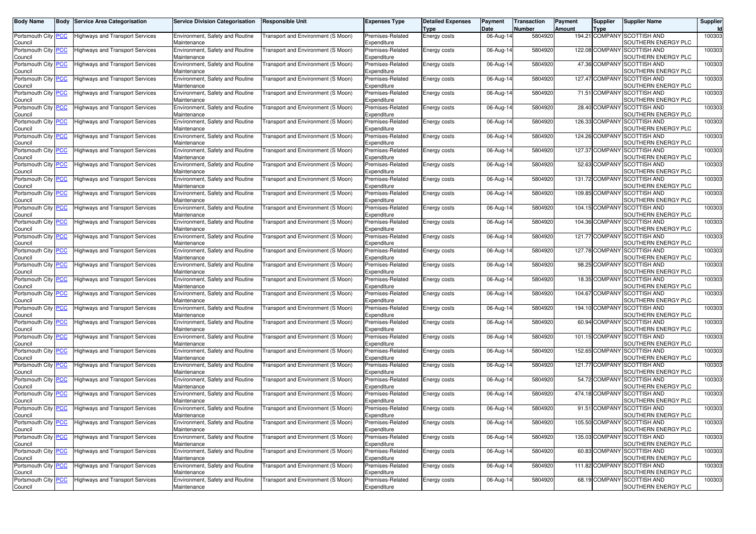| <b>Body Name</b>                              | Body             | <b>Service Area Categorisation</b>     | <b>Service Division Categorisation</b>         | <b>Responsible Unit</b>            | Expenses Type                          | <b>Detailed Expenses</b><br>Type | Payment<br>Date | Transaction<br>Number | Payment<br>Amount | <b>Supplier</b><br>Type | Supplier Name                                      | Supplier |
|-----------------------------------------------|------------------|----------------------------------------|------------------------------------------------|------------------------------------|----------------------------------------|----------------------------------|-----------------|-----------------------|-------------------|-------------------------|----------------------------------------------------|----------|
| Portsmouth City<br>Council                    |                  | Highways and Transport Services        | Environment, Safety and Routine<br>Maintenance | Transport and Environment (S Moon) | Premises-Related<br>Expenditure        | Energy costs                     | 06-Aug-14       | 5804920               |                   | 194.21 COMPANY          | <b>SCOTTISH AND</b><br>SOUTHERN ENERGY PLC         | 100303   |
| Portsmouth City<br>Council                    | <u> РСС</u>      | <b>Highways and Transport Services</b> | Environment, Safety and Routine<br>Maintenance | Transport and Environment (S Moon) | Premises-Related<br>Expenditure        | Energy costs                     | 06-Aug-14       | 5804920               |                   | 122.08 COMPAN           | <b>SCOTTISH AND</b><br>SOUTHERN ENERGY PLC         | 100303   |
| Portsmouth City                               | PСC              | Highways and Transport Services        | Environment, Safety and Routine                | Transport and Environment (S Moon) | Premises-Related                       | Energy costs                     | 06-Aug-14       | 5804920               |                   | 47.36 COMPANY           | <b>SCOTTISH AND</b><br>SOUTHERN ENERGY PLC         | 100303   |
| Council<br>Portsmouth City   <mark>PCC</mark> |                  | Highways and Transport Services        | Maintenance<br>Environment, Safety and Routine | Transport and Environment (S Moon) | Expenditure<br>Premises-Related        | Energy costs                     | 06-Aug-14       | 5804920               |                   | 127.47 COMPANY          | <b>SCOTTISH AND</b>                                | 100303   |
| Council<br>Portsmouth City                    |                  |                                        | Maintenance<br>Environment, Safety and Routine | Transport and Environment (S Moon) | Expenditure<br>Premises-Related        |                                  | 06-Aug-14       | 5804920               |                   | 71.51 COMPAN            | SOUTHERN ENERGY PLC<br><b>SCOTTISH AND</b>         | 100303   |
| Council                                       | <u> РСС</u>      | Highways and Transport Services        | Maintenance                                    |                                    | Expenditure                            | Energy costs                     |                 |                       |                   |                         | SOUTHERN ENERGY PLC                                |          |
| Portsmouth City<br>Council                    | <b>PCC</b>       | Highways and Transport Services        | Environment, Safety and Routine<br>Maintenance | [ransport and Environment (S Moon) | Premises-Related<br>Expenditure        | Energy costs                     | 06-Aug-14       | 5804920               |                   | 28.40 COMPANY           | <b>SCOTTISH AND</b><br>SOUTHERN ENERGY PLC         | 100303   |
| Portsmouth City<br>Council                    | <u> РСС</u>      | Highways and Transport Services        | Environment, Safety and Routine<br>Maintenance | Fransport and Environment (S Moon) | Premises-Related<br>Expenditure        | Energy costs                     | 06-Aug-14       | 5804920               |                   | 126.33 COMPANY          | <b>SCOTTISH AND</b><br>SOUTHERN ENERGY PLC         | 100303   |
| Portsmouth City                               | <u>PCC</u>       | Highways and Transport Services        | Environment, Safety and Routine                | Transport and Environment (S Moon) | Premises-Related                       | Energy costs                     | 06-Aug-14       | 5804920               |                   | 124.26 COMPAN           | <b>SCOTTISH AND</b>                                | 100303   |
| Council<br>Portsmouth City                    | $\overline{PCC}$ | Highways and Transport Services        | Maintenance<br>Environment, Safety and Routine | Fransport and Environment (S Moon) | Expenditure<br>Premises-Related        | Energy costs                     | 06-Aug-14       | 5804920               |                   | 127.37 COMPANY          | SOUTHERN ENERGY PLC<br><b>SCOTTISH AND</b>         | 100303   |
| Council                                       |                  |                                        | Maintenance                                    |                                    | Expenditure                            |                                  |                 |                       |                   |                         | SOUTHERN ENERGY PLC                                |          |
| Portsmouth City<br>Council                    | PCC              | Highways and Transport Services        | Environment, Safety and Routine<br>Maintenance | [ransport and Environment (S Moon) | Premises-Related<br>Expenditure        | Energy costs                     | 06-Aug-14       | 5804920               |                   | 52.63 COMPANY           | <b>SCOTTISH AND</b><br>SOUTHERN ENERGY PLC         | 100303   |
| Portsmouth City                               | <u> РСС</u>      | Highways and Transport Services        | Environment, Safety and Routine                | [ransport and Environment (S Moon) | Premises-Related                       | Energy costs                     | 06-Aug-14       | 5804920               |                   | 131.72 COMPAN           | <b>SCOTTISH AND</b>                                | 100303   |
| Council<br>Portsmouth City                    | <u>PCC</u>       | Highways and Transport Services        | Maintenance<br>Environment, Safety and Routine | Fransport and Environment (S Moon) | Expenditure<br>Premises-Related        | Energy costs                     | 06-Aug-14       | 5804920               |                   | 109.85 COMPANY          | SOUTHERN ENERGY PLC<br><b>SCOTTISH AND</b>         | 100303   |
| Council<br>Portsmouth City                    | <u> РСС</u>      | Highways and Transport Services        | Maintenance<br>Environment, Safety and Routine | [ransport and Environment (S Moon) | Expenditure<br>Premises-Related        | Energy costs                     | 06-Aug-14       | 5804920               |                   | 104.15 COMPANY          | SOUTHERN ENERGY PLC<br><b>SCOTTISH AND</b>         | 100303   |
| Council                                       |                  |                                        | Maintenance                                    |                                    | <i>Expenditure</i>                     |                                  |                 |                       |                   |                         | SOUTHERN ENERGY PLC                                |          |
| Portsmouth City<br>Council                    | <u>PCC</u>       | <b>Highways and Transport Services</b> | Environment, Safety and Routine<br>Maintenance | Transport and Environment (S Moon) | Premises-Related<br>Expenditure        | Energy costs                     | 06-Aug-14       | 5804920               |                   | 104.36 COMPAN           | <b>SCOTTISH AND</b><br>SOUTHERN ENERGY PLC         | 100303   |
| Portsmouth City  <br>Council                  | <u>PCC</u>       | Highways and Transport Services        | Environment, Safety and Routine<br>Maintenance | Fransport and Environment (S Moon) | Premises-Related<br>Expenditure        | Energy costs                     | 06-Aug-14       | 5804920               |                   | 121.77 COMPANY          | <b>SCOTTISH AND</b><br>SOUTHERN ENERGY PLC         | 100303   |
| Portsmouth City<br>Council                    | <u>PCC </u>      | Highways and Transport Services        | Environment, Safety and Routine<br>Maintenance | Transport and Environment (S Moon) | Premises-Related<br><i>Expenditure</i> | Energy costs                     | 06-Aug-14       | 5804920               |                   | 127.78 COMPANY          | <b>SCOTTISH AND</b><br>SOUTHERN ENERGY PLC         | 100303   |
| Portsmouth City                               | PСC              | <b>Highways and Transport Services</b> | <b>Environment, Safety and Routine</b>         | Transport and Environment (S Moon) | Premises-Related                       | Energy costs                     | 06-Aug-14       | 5804920               |                   | 98.25 COMPAN            | <b>SCOTTISH AND</b>                                | 100303   |
| Council<br>Portsmouth City                    | <u>PCC</u>       | Highways and Transport Services        | Maintenance<br>Environment, Safety and Routine | Fransport and Environment (S Moon) | Expenditure<br>Premises-Related        | Energy costs                     | 06-Aug-14       | 5804920               |                   | 18.35 COMPANY           | SOUTHERN ENERGY PLC<br><b>SCOTTISH AND</b>         | 100303   |
| Council<br>Portsmouth City                    | <u>PCC </u>      | Highways and Transport Services        | Maintenance<br>Environment, Safety and Routine | Transport and Environment (S Moon) | Expenditure<br>Premises-Related        | Energy costs                     | 06-Aug-14       | 5804920               |                   | 104.67 COMPANY          | SOUTHERN ENERGY PLC<br><b>SCOTTISH AND</b>         | 100303   |
| Council                                       |                  |                                        | Maintenance                                    |                                    | Expenditure                            |                                  |                 |                       |                   |                         | SOUTHERN ENERGY PLC                                |          |
| Portsmouth City<br>Council                    | <u>PCC</u>       | Highways and Transport Services        | Environment, Safety and Routine<br>Maintenance | Transport and Environment (S Moon) | Premises-Related<br>Expenditure        | Energy costs                     | 06-Aug-14       | 5804920               |                   | 194.10 COMPAN           | <b>SCOTTISH AND</b><br>SOUTHERN ENERGY PLC         | 100303   |
| Portsmouth City<br>Council                    | <u>PCC</u>       | Highways and Transport Services        | Environment, Safety and Routine<br>Maintenance | Transport and Environment (S Moon) | Premises-Related<br>Expenditure        | Energy costs                     | 06-Aug-14       | 5804920               |                   | 60.94 COMPANY           | <b>SCOTTISH AND</b><br>SOUTHERN ENERGY PLC         | 100303   |
| Portsmouth City<br>Council                    | <u>PCC</u>       | Highways and Transport Services        | Environment, Safety and Routine<br>Maintenance | Fransport and Environment (S Moon) | Premises-Related<br>Expenditure        | Energy costs                     | 06-Aug-14       | 5804920               |                   | 101.15 COMPAN           | <b>SCOTTISH AND</b><br>SOUTHERN ENERGY PLC         | 100300   |
| Portsmouth City                               | <u>PCC</u>       | Highways and Transport Services        | Environment, Safety and Routine                | [ransport and Environment (S Moon) | Premises-Related                       | Energy costs                     | 06-Aug-14       | 5804920               |                   | 152.65 COMPAN           | <b>SCOTTISH AND</b>                                | 100303   |
| Council<br>Portsmouth City                    | <u>PCC </u>      | Highways and Transport Services        | Maintenance<br>Environment, Safety and Routine | Transport and Environment (S Moon) | Expenditure<br>Premises-Related        | Energy costs                     | 06-Aug-14       | 5804920               |                   | 121.77 COMPANY          | SOUTHERN ENERGY PLC<br><b>SCOTTISH AND</b>         | 100303   |
| Council                                       |                  |                                        | Maintenance                                    |                                    | Expenditure                            |                                  |                 |                       |                   |                         | SOUTHERN ENERGY PLC                                |          |
| Portsmouth City<br>Council                    | <u>PCC</u>       | Highways and Transport Services        | Environment, Safety and Routine<br>Maintenance | Fransport and Environment (S Moon) | Premises-Related<br>Expenditure        | Energy costs                     | 06-Aug-14       | 5804920               |                   | 54.72 COMPAN            | <b>SCOTTISH AND</b><br>SOUTHERN ENERGY PLC         | 100303   |
| Portsmouth City<br>Council                    | <u>PCC</u>       | Highways and Transport Services        | Environment, Safety and Routine<br>Maintenance | [ransport and Environment (S Moon) | Premises-Related<br>Expenditure        | Energy costs                     | 06-Aug-14       | 5804920               |                   | 474.18 COMPAN           | <b>SCOTTISH AND</b><br>SOUTHERN ENERGY PLC         | 100303   |
| Portsmouth City                               | <u>PCC</u>       | <b>Highways and Transport Services</b> | Environment, Safety and Routine                | Transport and Environment (S Moon) | Premises-Related                       | Energy costs                     | 06-Aug-14       | 5804920               |                   | 91.51 COMPANY           | <b>SCOTTISH AND</b>                                | 100303   |
| Council<br>Portsmouth City <mark>  PCC</mark> |                  | <b>Highways and Transport Services</b> | Maintenance<br>Environment, Safety and Routine | Transport and Environment (S Moon) | Expenditure<br>Premises-Related        | Energy costs                     | 06-Aug-14       | 5804920               |                   |                         | SOUTHERN ENERGY PLC<br>105.50 COMPANY SCOTTISH AND | 100303   |
| Council<br>Portsmouth City PCC                |                  | <b>Highways and Transport Services</b> | Maintenance<br>Environment, Safety and Routine | Transport and Environment (S Moon) | Expenditure<br>Premises-Related        | Energy costs                     | 06-Aug-14       | 5804920               |                   | 135.03 COMPANY          | SOUTHERN ENERGY PLC<br><b>SCOTTISH AND</b>         | 100303   |
| Council<br>Portsmouth City PCC                |                  | <b>Highways and Transport Services</b> | Maintenance<br>Environment, Safety and Routine | Transport and Environment (S Moon) | Expenditure<br>Premises-Related        |                                  |                 | 5804920               |                   |                         | SOUTHERN ENERGY PLC<br>60.83 COMPANY SCOTTISH AND  | 100303   |
| Council                                       |                  |                                        | Maintenance                                    |                                    | Expenditure                            | Energy costs                     | 06-Aug-14       |                       |                   |                         | SOUTHERN ENERGY PLC                                |          |
| Portsmouth City PCC<br>Council                |                  | <b>Highways and Transport Services</b> | Environment, Safety and Routine<br>Maintenance | Transport and Environment (S Moon) | Premises-Related<br>Expenditure        | Energy costs                     | 06-Aug-14       | 5804920               |                   |                         | 111.82 COMPANY SCOTTISH AND<br>SOUTHERN ENERGY PLC | 100303   |
| Portsmouth City PCC<br>Council                |                  | <b>Highways and Transport Services</b> | Environment, Safety and Routine<br>Maintenance | Transport and Environment (S Moon) | Premises-Related<br>Expenditure        | Energy costs                     | 06-Aug-14       | 5804920               |                   | 68.19 COMPANY           | <b>SCOTTISH AND</b><br>SOUTHERN ENERGY PLC         | 100303   |
|                                               |                  |                                        |                                                |                                    |                                        |                                  |                 |                       |                   |                         |                                                    |          |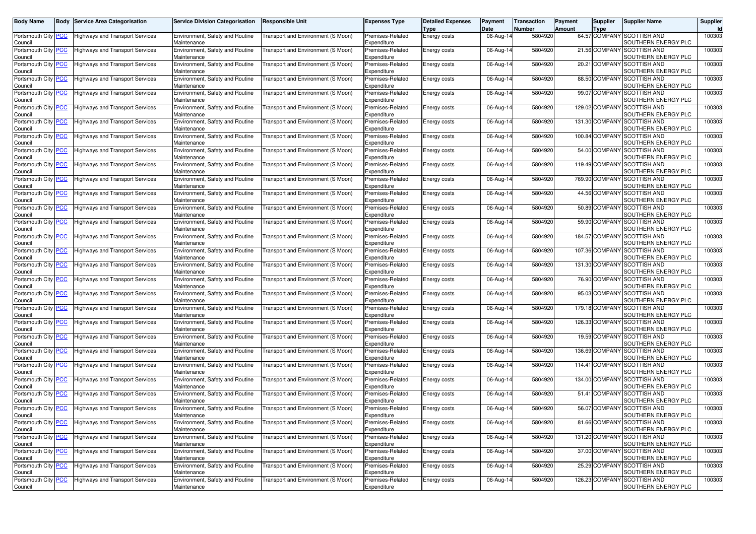| <b>Body Name</b>                              | Body             | <b>Service Area Categorisation</b>     | <b>Service Division Categorisation</b>                | <b>Responsible Unit</b>            | Expenses Type                          | <b>Detailed Expenses</b><br>Type | Payment<br>Date | Transaction<br>Number | Payment<br>Amount | <b>Supplier</b><br>Type | Supplier Name                                     | Supplier |
|-----------------------------------------------|------------------|----------------------------------------|-------------------------------------------------------|------------------------------------|----------------------------------------|----------------------------------|-----------------|-----------------------|-------------------|-------------------------|---------------------------------------------------|----------|
| Portsmouth City<br>Council                    |                  | Highways and Transport Services        | Environment, Safety and Routine<br>Maintenance        | Transport and Environment (S Moon) | Premises-Related<br>Expenditure        | Energy costs                     | 06-Aug-14       | 5804920               |                   | 64.57 COMPANY           | <b>SCOTTISH AND</b><br>SOUTHERN ENERGY PLC        | 100303   |
| Portsmouth City                               | <u> РСС</u>      | Highways and Transport Services        | Environment, Safety and Routine<br>Maintenance        | Transport and Environment (S Moon) | Premises-Related                       | Energy costs                     | 06-Aug-14       | 5804920               |                   | 21.56 COMPAN            | <b>SCOTTISH AND</b><br>SOUTHERN ENERGY PLC        | 100303   |
| Council<br>Portsmouth City                    | PСC              | Highways and Transport Services        | Environment, Safety and Routine                       | Transport and Environment (S Moon) | Expenditure<br>Premises-Related        | Energy costs                     | 06-Aug-14       | 5804920               |                   | 20.21 COMPANY           | <b>SCOTTISH AND</b><br>SOUTHERN ENERGY PLC        | 100303   |
| Council<br>Portsmouth City   <mark>PCC</mark> |                  | Highways and Transport Services        | Maintenance<br>Environment, Safety and Routine        | Transport and Environment (S Moon) | Expenditure<br>Premises-Related        | Energy costs                     | 06-Aug-14       | 5804920               |                   | 88.50 COMPANY           | <b>SCOTTISH AND</b>                               | 100303   |
| Council<br>Portsmouth City                    |                  |                                        | Maintenance<br>Environment, Safety and Routine        | Transport and Environment (S Moon) | Expenditure<br>Premises-Related        |                                  |                 | 5804920               |                   | 99.07 COMPAN            | SOUTHERN ENERGY PLC<br><b>SCOTTISH AND</b>        | 100303   |
| Council                                       | <u> РСС</u>      | Highways and Transport Services        | Maintenance                                           |                                    | Expenditure                            | Energy costs                     | 06-Aug-14       |                       |                   |                         | SOUTHERN ENERGY PLC                               |          |
| Portsmouth City<br>Council                    | <b>PCC</b>       | Highways and Transport Services        | Environment, Safety and Routine<br>Maintenance        | [ransport and Environment (S Moon) | Premises-Related<br>Expenditure        | Energy costs                     | 06-Aug-14       | 5804920               |                   | 129.02 COMPANY          | <b>SCOTTISH AND</b><br>SOUTHERN ENERGY PLC        | 100303   |
| Portsmouth City<br>Council                    | <u> РСС</u>      | Highways and Transport Services        | Environment, Safety and Routine<br>Maintenance        | Fransport and Environment (S Moon) | Premises-Related<br>Expenditure        | Energy costs                     | 06-Aug-14       | 5804920               |                   | 131.30 COMPANY          | <b>SCOTTISH AND</b><br>SOUTHERN ENERGY PLC        | 100303   |
| Portsmouth City                               | <u>PCC</u>       | Highways and Transport Services        | Environment, Safety and Routine                       | Transport and Environment (S Moon) | Premises-Related                       | Energy costs                     | 06-Aug-14       | 5804920               |                   | 100.84 COMPAN           | <b>SCOTTISH AND</b>                               | 100303   |
| Council<br>Portsmouth City                    | $\overline{PCC}$ | Highways and Transport Services        | Maintenance<br>Environment, Safety and Routine        | Fransport and Environment (S Moon) | Expenditure<br>Premises-Related        | Energy costs                     | 06-Aug-14       | 5804920               |                   | 54.00 COMPANY           | SOUTHERN ENERGY PLC<br><b>SCOTTISH AND</b>        | 100303   |
| Council                                       |                  |                                        | Maintenance                                           |                                    | Expenditure                            |                                  |                 |                       |                   |                         | SOUTHERN ENERGY PLC                               |          |
| Portsmouth City<br>Council                    | PCC              | Highways and Transport Services        | Environment, Safety and Routine<br>Maintenance        | [ransport and Environment (S Moon) | Premises-Related<br>Expenditure        | Energy costs                     | 06-Aug-14       | 5804920               |                   | 119.49 COMPANY          | <b>SCOTTISH AND</b><br>SOUTHERN ENERGY PLC        | 100303   |
| Portsmouth City                               | <u> РСС</u>      | Highways and Transport Services        | Environment, Safety and Routine                       | [ransport and Environment (S Moon) | Premises-Related                       | Energy costs                     | 06-Aug-14       | 5804920               |                   | 769.90 COMPAN           | <b>SCOTTISH AND</b>                               | 100303   |
| Council<br>Portsmouth City                    | <u>PCC</u>       | Highways and Transport Services        | Maintenance<br>Environment, Safety and Routine        | Fransport and Environment (S Moon) | Expenditure<br>Premises-Related        | Energy costs                     | 06-Aug-14       | 5804920               |                   | 44.56 COMPANY           | SOUTHERN ENERGY PLC<br><b>SCOTTISH AND</b>        | 100303   |
| Council<br>Portsmouth City                    | <u> РСС</u>      | Highways and Transport Services        | Maintenance<br>Environment, Safety and Routine        | [ransport and Environment (S Moon) | Expenditure<br>Premises-Related        | Energy costs                     | 06-Aug-14       | 5804920               |                   | 50.89 COMPANY           | SOUTHERN ENERGY PLC<br><b>SCOTTISH AND</b>        | 100303   |
| Council                                       |                  |                                        | Maintenance                                           |                                    | Expenditure                            |                                  |                 |                       |                   |                         | SOUTHERN ENERGY PLC                               |          |
| Portsmouth City<br>Council                    | <u>PCC</u>       | <b>Highways and Transport Services</b> | Environment, Safety and Routine<br>Maintenance        | Transport and Environment (S Moon) | Premises-Related<br>Expenditure        | Energy costs                     | 06-Aug-14       | 5804920               |                   | 59.90 COMPAN            | <b>SCOTTISH AND</b><br>SOUTHERN ENERGY PLC        | 100303   |
| Portsmouth City  <br>Council                  | <u>PCC</u>       | Highways and Transport Services        | Environment, Safety and Routine<br>Maintenance        | Fransport and Environment (S Moon) | Premises-Related<br>Expenditure        | Energy costs                     | 06-Aug-14       | 5804920               |                   | 184.57 COMPANY          | <b>SCOTTISH AND</b><br>SOUTHERN ENERGY PLC        | 100303   |
| Portsmouth City                               | <u>PCC </u>      | Highways and Transport Services        | Environment, Safety and Routine                       | [ransport and Environment (S Moon) | Premises-Related                       | Energy costs                     | 06-Aug-14       | 5804920               |                   | 107.36 COMPANY          | <b>SCOTTISH AND</b>                               | 100303   |
| Council<br>Portsmouth City                    | PСC              | Highways and Transport Services        | Maintenance<br><b>Environment, Safety and Routine</b> | Transport and Environment (S Moon) | <i>Expenditure</i><br>Premises-Related | Energy costs                     | 06-Aug-14       | 5804920               |                   | 131.30 COMPAN           | SOUTHERN ENERGY PLC<br><b>SCOTTISH AND</b>        | 100303   |
| Council<br>Portsmouth City                    | <u>PCC</u>       | Highways and Transport Services        | Maintenance<br>Environment, Safety and Routine        | Fransport and Environment (S Moon) | Expenditure<br>Premises-Related        | Energy costs                     | 06-Aug-14       | 5804920               |                   | 76.90 COMPANY           | SOUTHERN ENERGY PLC<br><b>SCOTTISH AND</b>        | 100303   |
| Council                                       |                  |                                        | Maintenance                                           |                                    | Expenditure                            |                                  |                 |                       |                   |                         | SOUTHERN ENERGY PLC                               |          |
| Portsmouth City<br>Council                    | <u>PCC </u>      | Highways and Transport Services        | Environment, Safety and Routine<br>Maintenance        | Transport and Environment (S Moon) | Premises-Related<br>Expenditure        | Energy costs                     | 06-Aug-14       | 5804920               |                   | 95.03 COMPANY           | <b>SCOTTISH AND</b><br>SOUTHERN ENERGY PLC        | 100303   |
| Portsmouth City<br>Council                    | <u>PCC</u>       | <b>Highways and Transport Services</b> | Environment, Safety and Routine<br>Maintenance        | Transport and Environment (S Moon) | Premises-Related<br>Expenditure        | Energy costs                     | 06-Aug-14       | 5804920               |                   | 179.18 COMPAN           | <b>SCOTTISH AND</b><br>SOUTHERN ENERGY PLC        | 100303   |
| Portsmouth City<br>Council                    | <u>PCC</u>       | Highways and Transport Services        | Environment, Safety and Routine<br>Maintenance        | [ransport and Environment (S Moon) | Premises-Related<br>Expenditure        | Energy costs                     | 06-Aug-14       | 5804920               |                   | 126.33 COMPANY          | <b>SCOTTISH AND</b><br>SOUTHERN ENERGY PLC        | 100303   |
| Portsmouth City                               | <u>PCC</u>       | Highways and Transport Services        | Environment, Safety and Routine                       | Fransport and Environment (S Moon) | Premises-Related                       | Energy costs                     | 06-Aug-14       | 5804920               |                   | 19.59 COMPAN            | <b>SCOTTISH AND</b>                               | 100300   |
| Council<br>Portsmouth City                    | <u>PCC</u>       | Highways and Transport Services        | Maintenance<br>Environment, Safety and Routine        | [ransport and Environment (S Moon) | Expenditure<br>Premises-Related        | Energy costs                     | 06-Aug-14       | 5804920               |                   | 136.69 COMPAN           | SOUTHERN ENERGY PLC<br><b>SCOTTISH AND</b>        | 100303   |
| Council<br>Portsmouth City                    | <u>PCC </u>      | Highways and Transport Services        | Maintenance<br>Environment, Safety and Routine        | Transport and Environment (S Moon) | Expenditure<br>Premises-Related        |                                  | 06-Aug-14       | 5804920               |                   | 114.41 COMPANY          | SOUTHERN ENERGY PLC<br><b>SCOTTISH AND</b>        | 100303   |
| Council                                       |                  |                                        | Maintenance                                           |                                    | Expenditure                            | Energy costs                     |                 |                       |                   |                         | SOUTHERN ENERGY PLC                               |          |
| Portsmouth City<br>Council                    | <u>PCC</u>       | Highways and Transport Services        | Environment, Safety and Routine<br>Maintenance        | Fransport and Environment (S Moon) | Premises-Related<br>Expenditure        | Energy costs                     | 06-Aug-14       | 5804920               |                   | 134.00 COMPAN           | <b>SCOTTISH AND</b><br>SOUTHERN ENERGY PLC        | 100303   |
| Portsmouth City<br>Council                    | <u>PCC</u>       | Highways and Transport Services        | Environment, Safety and Routine<br>Maintenance        | [ransport and Environment (S Moon  | Premises-Related<br>Expenditure        | Energy costs                     | 06-Aug-14       | 5804920               |                   | 51.41 COMPAN            | <b>SCOTTISH AND</b><br>SOUTHERN ENERGY PLC        | 100303   |
| Portsmouth City                               | <u>PCC</u>       | Highways and Transport Services        | Environment, Safety and Routine                       | Transport and Environment (S Moon) | Premises-Related                       | Energy costs                     | 06-Aug-14       | 5804920               |                   | 56.07 COMPANY           | <b>SCOTTISH AND</b>                               | 100303   |
| Council<br>Portsmouth City PCC                |                  | <b>Highways and Transport Services</b> | Maintenance<br>Environment, Safety and Routine        | Transport and Environment (S Moon) | Expenditure<br>Premises-Related        | Energy costs                     | 06-Aug-14       | 5804920               |                   |                         | SOUTHERN ENERGY PLC<br>81.66 COMPANY SCOTTISH AND | 100303   |
| Council<br>Portsmouth City PCC                |                  | <b>Highways and Transport Services</b> | Maintenance<br>Environment, Safety and Routine        | Transport and Environment (S Moon) | Expenditure<br>Premises-Related        | Energy costs                     | 06-Aug-14       | 5804920               |                   | 131.20 COMPANY          | SOUTHERN ENERGY PLC<br><b>SCOTTISH AND</b>        | 100303   |
| Council                                       |                  |                                        | Maintenance                                           |                                    | Expenditure                            |                                  |                 |                       |                   |                         | SOUTHERN ENERGY PLC                               |          |
| Portsmouth City PCC<br>Council                |                  | <b>Highways and Transport Services</b> | Environment, Safety and Routine<br>Maintenance        | Transport and Environment (S Moon) | Premises-Related<br>Expenditure        | Energy costs                     | 06-Aug-14       | 5804920               |                   |                         | 37.00 COMPANY SCOTTISH AND<br>SOUTHERN ENERGY PLC | 100303   |
| Portsmouth City PCC<br>Council                |                  | <b>Highways and Transport Services</b> | Environment, Safety and Routine<br>Maintenance        | Transport and Environment (S Moon) | Premises-Related<br>Expenditure        | Energy costs                     | 06-Aug-14       | 5804920               |                   |                         | 25.29 COMPANY SCOTTISH AND<br>SOUTHERN ENERGY PLC | 100303   |
| Portsmouth City PCC                           |                  | <b>Highways and Transport Services</b> | Environment, Safety and Routine                       | Transport and Environment (S Moon) | Premises-Related                       | Energy costs                     | 06-Aug-14       | 5804920               |                   | 126.23 COMPANY          | <b>SCOTTISH AND</b>                               | 100303   |
| Council                                       |                  |                                        | Maintenance                                           |                                    | Expenditure                            |                                  |                 |                       |                   |                         | SOUTHERN ENERGY PLC                               |          |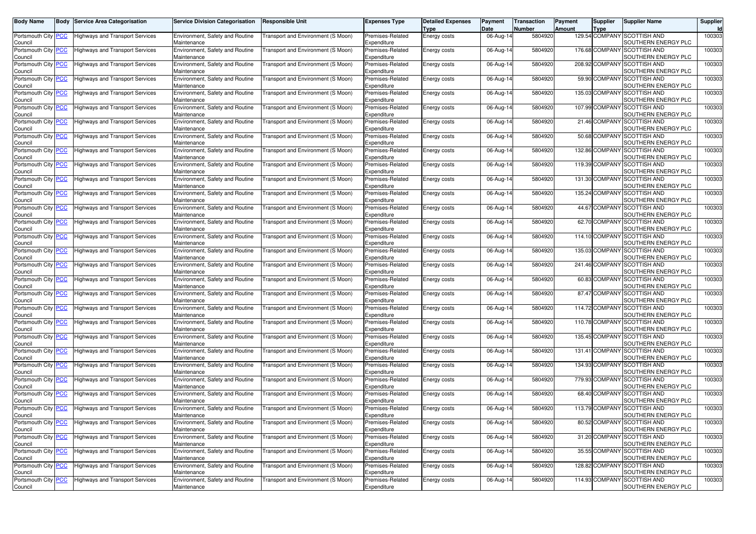| <b>Body Name</b>                              | Body             | <b>Service Area Categorisation</b>     | <b>Service Division Categorisation</b>                | <b>Responsible Unit</b>            | Expenses Type                          | <b>Detailed Expenses</b><br>Type | Payment<br>Date | Transaction<br>Number | Payment<br>Amount | <b>Supplier</b><br>Type | Supplier Name                                     | Supplier |
|-----------------------------------------------|------------------|----------------------------------------|-------------------------------------------------------|------------------------------------|----------------------------------------|----------------------------------|-----------------|-----------------------|-------------------|-------------------------|---------------------------------------------------|----------|
| Portsmouth City<br>Council                    |                  | Highways and Transport Services        | Environment, Safety and Routine<br>Maintenance        | Transport and Environment (S Moon) | Premises-Related<br>Expenditure        | Energy costs                     | 06-Aug-14       | 5804920               |                   | 129.54 COMPANY          | <b>SCOTTISH AND</b><br>SOUTHERN ENERGY PLC        | 100303   |
| Portsmouth City                               | <u> РСС</u>      | Highways and Transport Services        | Environment, Safety and Routine<br>Maintenance        | Transport and Environment (S Moon) | Premises-Related                       | Energy costs                     | 06-Aug-14       | 5804920               |                   | 176.68 COMPAN           | <b>SCOTTISH AND</b><br>SOUTHERN ENERGY PLC        | 100303   |
| Council<br>Portsmouth City                    | PСC              | Highways and Transport Services        | Environment, Safety and Routine                       | Transport and Environment (S Moon) | Expenditure<br>Premises-Related        | Energy costs                     | 06-Aug-14       | 5804920               |                   | 208.92 COMPANY          | <b>SCOTTISH AND</b><br>SOUTHERN ENERGY PLC        | 100303   |
| Council<br>Portsmouth City   <mark>PCC</mark> |                  | Highways and Transport Services        | Maintenance<br>Environment, Safety and Routine        | [ransport and Environment (S Moon) | Expenditure<br>Premises-Related        | Energy costs                     | 06-Aug-14       | 5804920               |                   | 59.90 COMPANY           | <b>SCOTTISH AND</b>                               | 100303   |
| Council<br>Portsmouth City                    | <u> РСС</u>      | Highways and Transport Services        | Maintenance<br>Environment, Safety and Routine        | Transport and Environment (S Moon) | Expenditure<br>Premises-Related        | Energy costs                     | 06-Aug-14       | 5804920               |                   | 135.03 COMPAN           | SOUTHERN ENERGY PLC<br><b>SCOTTISH AND</b>        | 100303   |
| Council                                       |                  |                                        | Maintenance                                           |                                    | Expenditure                            |                                  |                 |                       |                   |                         | SOUTHERN ENERGY PLC                               |          |
| Portsmouth City<br>Council                    | <b>PCC</b>       | Highways and Transport Services        | Environment, Safety and Routine<br>Maintenance        | Transport and Environment (S Moon) | Premises-Related<br>Expenditure        | Energy costs                     | 06-Aug-14       | 5804920               |                   | 107.99 COMPANY          | <b>SCOTTISH AND</b><br>SOUTHERN ENERGY PLC        | 100303   |
| Portsmouth City<br>Council                    | <u> РСС</u>      | Highways and Transport Services        | Environment, Safety and Routine<br>Maintenance        | Fransport and Environment (S Moon) | Premises-Related<br>Expenditure        | Energy costs                     | 06-Aug-14       | 5804920               |                   | 21.46 COMPANY           | <b>SCOTTISH AND</b><br>SOUTHERN ENERGY PLC        | 100303   |
| Portsmouth City                               | <u>PCC</u>       | Highways and Transport Services        | Environment, Safety and Routine                       | Transport and Environment (S Moon) | Premises-Related                       | Energy costs                     | 06-Aug-14       | 5804920               |                   | 50.68 COMPAN            | <b>SCOTTISH AND</b>                               | 100303   |
| Council<br>Portsmouth City                    | $\overline{PCC}$ | Highways and Transport Services        | Maintenance<br>Environment, Safety and Routine        | Fransport and Environment (S Moon) | Expenditure<br>Premises-Related        | Energy costs                     | 06-Aug-14       | 5804920               |                   | 132.86 COMPANY          | SOUTHERN ENERGY PLC<br><b>SCOTTISH AND</b>        | 100303   |
| Council                                       |                  |                                        | Maintenance                                           |                                    | Expenditure                            |                                  |                 |                       |                   |                         | SOUTHERN ENERGY PLC                               |          |
| Portsmouth City<br>Council                    | PCC              | Highways and Transport Services        | Environment, Safety and Routine<br>Maintenance        | [ransport and Environment (S Moon) | Premises-Related<br>Expenditure        | Energy costs                     | 06-Aug-14       | 5804920               |                   | 119.39 COMPANY          | <b>SCOTTISH AND</b><br>SOUTHERN ENERGY PLC        | 100303   |
| Portsmouth City                               | <u> РСС</u>      | Highways and Transport Services        | Environment, Safety and Routine                       | [ransport and Environment (S Moon) | Premises-Related                       | Energy costs                     | 06-Aug-14       | 5804920               |                   | 131.30 COMPAN           | <b>SCOTTISH AND</b><br>SOUTHERN ENERGY PLC        | 100303   |
| Council<br>Portsmouth City                    | <u>PCC</u>       | Highways and Transport Services        | Maintenance<br>Environment, Safety and Routine        | Fransport and Environment (S Moon) | Expenditure<br>Premises-Related        | Energy costs                     | 06-Aug-14       | 5804920               |                   | 135.24 COMPANY          | <b>SCOTTISH AND</b>                               | 100303   |
| Council<br>Portsmouth City                    | <u> РСС</u>      | Highways and Transport Services        | Maintenance<br>Environment, Safety and Routine        | Transport and Environment (S Moon) | Expenditure<br>Premises-Related        | Energy costs                     | 06-Aug-14       | 5804920               |                   | 44.67 COMPANY           | SOUTHERN ENERGY PLC<br><b>SCOTTISH AND</b>        | 100303   |
| Council                                       |                  |                                        | Maintenance                                           |                                    | <i>Expenditure</i>                     |                                  |                 |                       |                   |                         | SOUTHERN ENERGY PLC<br>SCOTTISH AND               |          |
| Portsmouth City<br>Council                    | <u>PCC</u>       | <b>Highways and Transport Services</b> | Environment, Safety and Routine<br>Maintenance        | Transport and Environment (S Moon) | Premises-Related<br>Expenditure        | Energy costs                     | 06-Aug-14       | 5804920               |                   | 62.70 COMPAN            | SOUTHERN ENERGY PLC                               | 100303   |
| Portsmouth City  <br>Council                  | <u>PCC</u>       | Highways and Transport Services        | Environment, Safety and Routine<br>Maintenance        | Fransport and Environment (S Moon) | Premises-Related<br>Expenditure        | Energy costs                     | 06-Aug-14       | 5804920               |                   | 114.10 COMPANY          | <b>SCOTTISH AND</b><br>SOUTHERN ENERGY PLC        | 100303   |
| Portsmouth City                               | <u>PCC </u>      | Highways and Transport Services        | Environment, Safety and Routine                       | Transport and Environment (S Moon) | Premises-Related                       | Energy costs                     | 06-Aug-14       | 5804920               |                   | 135.03 COMPANY          | <b>SCOTTISH AND</b>                               | 100303   |
| Council<br>Portsmouth City                    | PСC              | <b>Highways and Transport Services</b> | Maintenance<br><b>Environment, Safety and Routine</b> | Transport and Environment (S Moon) | <i>Expenditure</i><br>Premises-Related | Energy costs                     | 06-Aug-14       | 5804920               |                   | 241.46 COMPAN           | SOUTHERN ENERGY PLC<br><b>SCOTTISH AND</b>        | 100303   |
| Council<br>Portsmouth City                    | <u>PCC</u>       | Highways and Transport Services        | Maintenance<br>Environment, Safety and Routine        | Fransport and Environment (S Moon) | Expenditure<br>Premises-Related        | Energy costs                     | 06-Aug-14       | 5804920               |                   | 60.83 COMPANY           | SOUTHERN ENERGY PLC<br><b>SCOTTISH AND</b>        | 100303   |
| Council                                       |                  |                                        | Maintenance                                           |                                    | Expenditure                            |                                  |                 |                       |                   |                         | SOUTHERN ENERGY PLC                               |          |
| Portsmouth City<br>Council                    | <u>PCC </u>      | Highways and Transport Services        | Environment, Safety and Routine<br>Maintenance        | Transport and Environment (S Moon) | Premises-Related<br>Expenditure        | Energy costs                     | 06-Aug-14       | 5804920               |                   | 87.47 COMPANY           | <b>SCOTTISH AND</b><br>SOUTHERN ENERGY PLC        | 100303   |
| Portsmouth City<br>Council                    | <u>PCC</u>       | Highways and Transport Services        | Environment, Safety and Routine<br>Maintenance        | Transport and Environment (S Moon) | Premises-Related<br>Expenditure        | Energy costs                     | 06-Aug-14       | 5804920               |                   | 114.72 COMPAN           | <b>SCOTTISH AND</b><br>SOUTHERN ENERGY PLC        | 100303   |
| Portsmouth City<br>Council                    | <u>PCC</u>       | Highways and Transport Services        | Environment, Safety and Routine<br>Maintenance        | Transport and Environment (S Moon) | Premises-Related<br>Expenditure        | Energy costs                     | 06-Aug-14       | 5804920               |                   | 110.78 COMPANY          | <b>SCOTTISH AND</b><br>SOUTHERN ENERGY PLC        | 100303   |
| Portsmouth City                               | <u>PCC</u>       | Highways and Transport Services        | Environment, Safety and Routine                       | Fransport and Environment (S Moon) | Premises-Related                       | Energy costs                     | 06-Aug-14       | 5804920               |                   | 135.45 COMPANY          | <b>SCOTTISH AND</b>                               | 100303   |
| Council<br>Portsmouth City                    | <u>PCC</u>       | Highways and Transport Services        | Maintenance<br>Environment, Safety and Routine        | [ransport and Environment (S Moon) | Expenditure<br>Premises-Related        | Energy costs                     | 06-Aug-14       | 5804920               |                   | 131.41 COMPAN           | SOUTHERN ENERGY PLC<br><b>SCOTTISH AND</b>        | 100303   |
| Council                                       |                  |                                        | Maintenance                                           |                                    | Expenditure                            |                                  |                 |                       |                   |                         | SOUTHERN ENERGY PLC                               |          |
| Portsmouth City<br>Council                    | <u>PCC </u>      | Highways and Transport Services        | Environment, Safety and Routine<br>Maintenance        | Transport and Environment (S Moon) | Premises-Related<br>Expenditure        | Energy costs                     | 06-Aug-14       | 5804920               |                   | 134.93 COMPANY          | <b>SCOTTISH AND</b><br>SOUTHERN ENERGY PLC        | 100303   |
| Portsmouth City<br>Council                    | <u>PCC</u>       | Highways and Transport Services        | Environment, Safety and Routine<br>Maintenance        | Fransport and Environment (S Moon) | Premises-Related<br>Expenditure        | Energy costs                     | 06-Aug-14       | 5804920               |                   | 779.93 COMPAN           | <b>SCOTTISH AND</b><br>SOUTHERN ENERGY PLC        | 100303   |
| Portsmouth City                               | <u>PCC</u>       | Highways and Transport Services        | Environment, Safety and Routine                       | [ransport and Environment (S Moon) | Premises-Related                       | Energy costs                     | 06-Aug-14       | 5804920               |                   | 68.40 COMPAN            | <b>SCOTTISH AND</b>                               | 100303   |
| Council<br>Portsmouth City                    | <u>PCC</u>       | <b>Highways and Transport Services</b> | Maintenance<br>Environment, Safety and Routine        | Transport and Environment (S Moon) | Expenditure<br>Premises-Related        | Energy costs                     | 06-Aug-14       | 5804920               |                   | 113.79 COMPANY          | SOUTHERN ENERGY PLC<br><b>SCOTTISH AND</b>        | 100303   |
| Council                                       |                  |                                        | Maintenance                                           |                                    | Expenditure                            |                                  |                 |                       |                   |                         | SOUTHERN ENERGY PLC                               |          |
| Portsmouth City PCC<br>Council                |                  | <b>Highways and Transport Services</b> | Environment, Safety and Routine<br>Maintenance        | Transport and Environment (S Moon) | Premises-Related<br>Expenditure        | Energy costs                     | 06-Aug-14       | 5804920               |                   |                         | 80.52 COMPANY SCOTTISH AND<br>SOUTHERN ENERGY PLC | 100303   |
| Portsmouth City PCC<br>Council                |                  | <b>Highways and Transport Services</b> | Environment, Safety and Routine<br>Maintenance        | Transport and Environment (S Moon) | Premises-Related<br>Expenditure        | Energy costs                     | 06-Aug-14       | 5804920               |                   | 31.20 COMPANY           | <b>SCOTTISH AND</b><br>SOUTHERN ENERGY PLC        | 100303   |
| Portsmouth City PCC<br>Council                |                  | <b>Highways and Transport Services</b> | Environment, Safety and Routine<br>Maintenance        | Transport and Environment (S Moon) | Premises-Related<br>Expenditure        | Energy costs                     | 06-Aug-14       | 5804920               |                   |                         | 35.55 COMPANY SCOTTISH AND<br>SOUTHERN ENERGY PLC | 100303   |
| Portsmouth City PCC                           |                  | <b>Highways and Transport Services</b> | Environment, Safety and Routine                       | Transport and Environment (S Moon) | Premises-Related                       | Energy costs                     | 06-Aug-14       | 5804920               |                   |                         | 128.82 COMPANY SCOTTISH AND                       | 100303   |
| Council<br>Portsmouth City PCC                |                  | <b>Highways and Transport Services</b> | Maintenance<br>Environment, Safety and Routine        | Transport and Environment (S Moon) | Expenditure<br>Premises-Related        | Energy costs                     | 06-Aug-14       | 5804920               |                   | 114.93 COMPANY          | SOUTHERN ENERGY PLC<br><b>SCOTTISH AND</b>        | 100303   |
| Council                                       |                  |                                        | Maintenance                                           |                                    | Expenditure                            |                                  |                 |                       |                   |                         | SOUTHERN ENERGY PLC                               |          |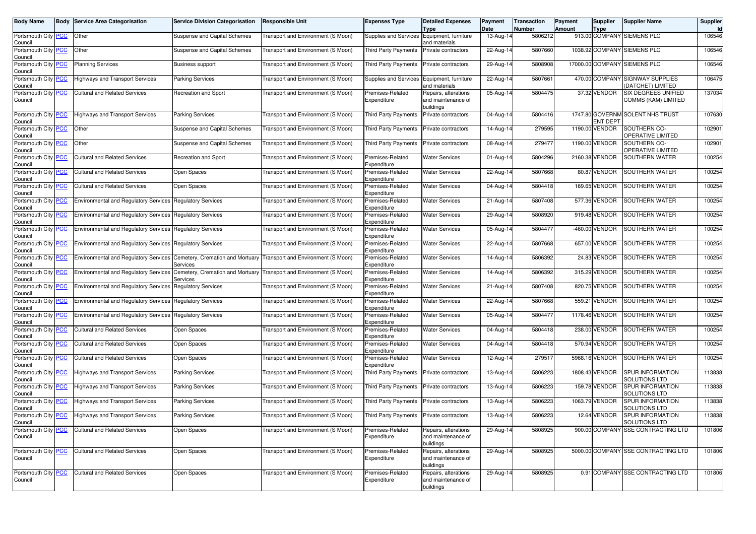| <b>Body Name</b>                      | <b>Body Service Area Categorisation</b>                                | <b>Service Division Categorisation</b> | <b>Responsible Unit</b>                                             | <b>Expenses Type</b>            | <b>Detailed Expenses</b><br>Type                        | Payment<br>Date | Transaction<br>Number | Payment<br><b>Amount</b> | Supplier<br>Type | <b>Supplier Name</b>                                 | Supplier<br>Id |
|---------------------------------------|------------------------------------------------------------------------|----------------------------------------|---------------------------------------------------------------------|---------------------------------|---------------------------------------------------------|-----------------|-----------------------|--------------------------|------------------|------------------------------------------------------|----------------|
| Portsmouth City   PCC<br>Council      | Other                                                                  | Suspense and Capital Schemes           | Transport and Environment (S Moon)                                  | Supplies and Services           | Equipment, furniture<br>and materials                   | 13-Aug-14       | 5806212               |                          |                  | 913.00 COMPANY SIEMENS PLC                           | 106546         |
| Portsmouth City PCC<br>Council        | Other                                                                  | Suspense and Capital Schemes           | Transport and Environment (S Moon)                                  | <b>Third Party Payments</b>     | Private contractors                                     | 22-Aug-14       | 5807660               |                          |                  | 1038.92 COMPANY SIEMENS PLC                          | 106546         |
| Portsmouth City <b>PCC</b><br>Council | <b>Planning Services</b>                                               | <b>Business support</b>                | Transport and Environment (S Moon)                                  | <b>Third Party Payments</b>     | Private contractors                                     | 29-Aug-14       | 5808908               |                          |                  | 17000.00 COMPANY SIEMENS PLC                         | 106546         |
| Portsmouth City PCC<br>Council        | <b>Highways and Transport Services</b>                                 | <b>Parking Services</b>                | Transport and Environment (S Moon)                                  | Supplies and Services           | Equipment, furniture<br>and materials                   | 22-Aug-14       | 5807661               |                          |                  | 470.00 COMPANY SIGNWAY SUPPLIES<br>(DATCHET) LIMITED | 106475         |
| Portsmouth City PCC<br>Council        | <b>Cultural and Related Services</b>                                   | Recreation and Sport                   | Transport and Environment (S Moon)                                  | Premises-Related<br>Expenditure | Repairs, alterations<br>and maintenance of<br>buildings | 05-Aug-14       | 5804475               |                          | 37.32 VENDOR     | SIX DEGREES UNIFIED<br>COMMS (KAM) LIMITED           | 137034         |
| Portsmouth City PCC<br>Council        | <b>Highways and Transport Services</b>                                 | <b>Parking Services</b>                | Transport and Environment (S Moon)                                  | <b>Third Party Payments</b>     | Private contractors                                     | 04-Aug-14       | 5804416               |                          | <b>ENT DEPT</b>  | 1747.80 GOVERNM SOLENT NHS TRUST                     | 107630         |
| Portsmouth City PCC<br>Council        | Other                                                                  | Suspense and Capital Schemes           | Transport and Environment (S Moon)                                  | <b>Third Party Payments</b>     | Private contractors                                     | 14-Aug-14       | 279595                |                          | 1190.00 VENDOR   | SOUTHERN CO-<br>OPERATIVE LIMITED                    | 102901         |
| Portsmouth City PCC<br>Council        | Other                                                                  | Suspense and Capital Schemes           | Transport and Environment (S Moon)                                  | <b>Third Party Payments</b>     | Private contractors                                     | 08-Aug-14       | 279477                |                          | 1190.00 VENDOR   | SOUTHERN CO-<br>OPERATIVE LIMITED                    | 102901         |
| Portsmouth City <b>PCC</b><br>Council | <b>Cultural and Related Services</b>                                   | Recreation and Sport                   | Transport and Environment (S Moon)                                  | Premises-Related<br>Expenditure | <b>Water Services</b>                                   | 01-Aug-14       | 5804296               |                          | 2160.38 VENDOR   | SOUTHERN WATER                                       | 100254         |
| Portsmouth City PCC<br>Council        | <b>Cultural and Related Services</b>                                   | Open Spaces                            | Transport and Environment (S Moon)                                  | Premises-Related<br>Expenditure | <b>Water Services</b>                                   | 22-Aug-14       | 5807668               |                          | 80.87 VENDOR     | SOUTHERN WATER                                       | 100254         |
| Portsmouth City PCC<br>Council        | <b>Cultural and Related Services</b>                                   | Open Spaces                            | Transport and Environment (S Moon)                                  | Premises-Related<br>Expenditure | <b>Water Services</b>                                   | 04-Aug-14       | 5804418               |                          | 169.65 VENDOR    | SOUTHERN WATER                                       | 100254         |
| Portsmouth City PCC<br>Council        | <b>Environmental and Regulatory Services Regulatory Services</b>       |                                        | Transport and Environment (S Moon)                                  | Premises-Related<br>Expenditure | <b>Water Services</b>                                   | 21-Aug-14       | 5807408               |                          | 577.36 VENDOR    | SOUTHERN WATER                                       | 100254         |
| Portsmouth City PCC<br>Council        | <b>Environmental and Regulatory Services Regulatory Services</b>       |                                        | Transport and Environment (S Moon)                                  | Premises-Related<br>Expenditure | <b>Water Services</b>                                   | 29-Aug-14       | 5808920               |                          | 919.48 VENDOR    | SOUTHERN WATER                                       | 100254         |
| Portsmouth City PCC<br>Council        | <b>Environmental and Regulatory Services Regulatory Services</b>       |                                        | Transport and Environment (S Moon)                                  | Premises-Related<br>Expenditure | <b>Water Services</b>                                   | 05-Aug-14       | 5804477               |                          | -460.00 VENDOR   | SOUTHERN WATER                                       | 100254         |
| Portsmouth City PCC<br>Council        | <b>Environmental and Regulatory Services Regulatory Services</b>       |                                        | Transport and Environment (S Moon)                                  | Premises-Related<br>Expenditure | <b>Water Services</b>                                   | 22-Aug-14       | 5807668               |                          | 657.00 VENDOR    | SOUTHERN WATER                                       | 100254         |
| Portsmouth City <b>PCC</b><br>Council | Environmental and Regulatory Services Cemetery, Cremation and Mortuary | Services                               | Transport and Environment (S Moon)                                  | Premises-Related<br>Expenditure | <b>Water Services</b>                                   | 14-Aug-14       | 5806392               |                          | 24.83 VENDOR     | SOUTHERN WATER                                       | 100254         |
| Portsmouth City PCC<br>Council        | <b>Environmental and Regulatory Services</b>                           | Services                               | Cemetery, Cremation and Mortuary Transport and Environment (S Moon) | Premises-Related<br>Expenditure | <b>Water Services</b>                                   | 14-Aug-14       | 5806392               |                          | 315.29 VENDOR    | <b>SOUTHERN WATER</b>                                | 100254         |
| Portsmouth City   PCC<br>Council      | <b>Environmental and Regulatory Services</b>                           | <b>Regulatory Services</b>             | Transport and Environment (S Moon)                                  | Premises-Related<br>Expenditure | <b>Water Services</b>                                   | 21-Aug-14       | 5807408               |                          | 820.75 VENDOR    | SOUTHERN WATER                                       | 100254         |
| Portsmouth City PCC<br>Council        | Environmental and Regulatory Services Regulatory Services              |                                        | Transport and Environment (S Moon)                                  | Premises-Related<br>Expenditure | <b>Water Services</b>                                   | 22-Aug-14       | 5807668               |                          | 559.21 VENDOR    | SOUTHERN WATER                                       | 100254         |
| Portsmouth City PCC<br>Council        | <b>Environmental and Regulatory Services Regulatory Services</b>       |                                        | Transport and Environment (S Moon)                                  | Premises-Related<br>Expenditure | <b>Water Services</b>                                   | 05-Aug-14       | 5804477               |                          | 1178.46 VENDOR   | <b>SOUTHERN WATER</b>                                | 100254         |
| Portsmouth City PCC<br>Council        | <b>Cultural and Related Services</b>                                   | Open Spaces                            | Transport and Environment (S Moon)                                  | Premises-Related<br>Expenditure | <b>Water Services</b>                                   | 04-Aug-14       | 5804418               |                          | 238.00 VENDOR    | SOUTHERN WATER                                       | 100254         |
| Portsmouth City PCC<br>Council        | <b>Cultural and Related Services</b>                                   | Open Spaces                            | Transport and Environment (S Moon)                                  | Premises-Related<br>Expenditure | <b>Water Services</b>                                   | 04-Aug-14       | 5804418               |                          | 570.94 VENDOR    | SOUTHERN WATER                                       | 100254         |
| Portsmouth City PCC<br>Council        | <b>Cultural and Related Services</b>                                   | Open Spaces                            | Transport and Environment (S Moon)                                  | Premises-Related<br>Expenditure | <b>Water Services</b>                                   | 12-Aug-14       | 279517                |                          | 5968.16 VENDOR   | <b>SOUTHERN WATER</b>                                | 100254         |
| Portsmouth City PCC<br>Council        | <b>Highways and Transport Services</b>                                 | <b>Parking Services</b>                | Transport and Environment (S Moon)                                  | <b>Third Party Payments</b>     | Private contractors                                     | 13-Aug-14       | 5806223               |                          | 1808.43 VENDOR   | SPUR INFORMATION<br>SOLUTIONS LTD                    | 113838         |
| Portsmouth City PCC<br>Council        | <b>Highways and Transport Services</b>                                 | <b>Parking Services</b>                | Transport and Environment (S Moon)                                  | <b>Third Party Payments</b>     | Private contractors                                     | 13-Aug-14       | 5806223               |                          | 159.78 VENDOR    | SPUR INFORMATION<br><b>SOLUTIONS LTD</b>             | 113838         |
| Portsmouth City PCC<br>Council        | <b>Highways and Transport Services</b>                                 | <b>Parking Services</b>                | Transport and Environment (S Moon)                                  | <b>Third Party Payments</b>     | Private contractors                                     | 13-Aug-14       | 5806223               |                          | 1063.79 VENDOR   | SPUR INFORMATION<br>SOLUTIONS LTD                    | 113838         |
| Portsmouth City PCC<br>Council        | <b>Highways and Transport Services</b>                                 | <b>Parking Services</b>                | Transport and Environment (S Moon)                                  | Third Party Payments            | <b>Private contractors</b>                              | 13-Aug-14       | 5806223               |                          | 12.64 VENDOR     | SPUR INFORMATION<br>SOLUTIONS LTD                    | 113838         |
| Portsmouth City PCC<br>Council        | <b>Cultural and Related Services</b>                                   | Open Spaces                            | Transport and Environment (S Moon)                                  | Premises-Related<br>Expenditure | Repairs, alterations<br>and maintenance of<br>buildings | 29-Aug-14       | 5808925               |                          |                  | 900.00 COMPANY SSE CONTRACTING LTD                   | 101806         |
| Portsmouth City PCC<br>Council        | <b>Cultural and Related Services</b>                                   | Open Spaces                            | Transport and Environment (S Moon)                                  | Premises-Related<br>Expenditure | Repairs, alterations<br>and maintenance of<br>buildings | 29-Aug-14       | 5808925               |                          |                  | 5000.00 COMPANY SSE CONTRACTING LTD                  | 101806         |
| Portsmouth City PCC<br>Council        | <b>Cultural and Related Services</b>                                   | Open Spaces                            | Transport and Environment (S Moon)                                  | Premises-Related<br>Expenditure | Repairs, alterations<br>and maintenance of<br>buildings | 29-Aug-14       | 5808925               |                          |                  | 0.91 COMPANY SSE CONTRACTING LTD                     | 101806         |